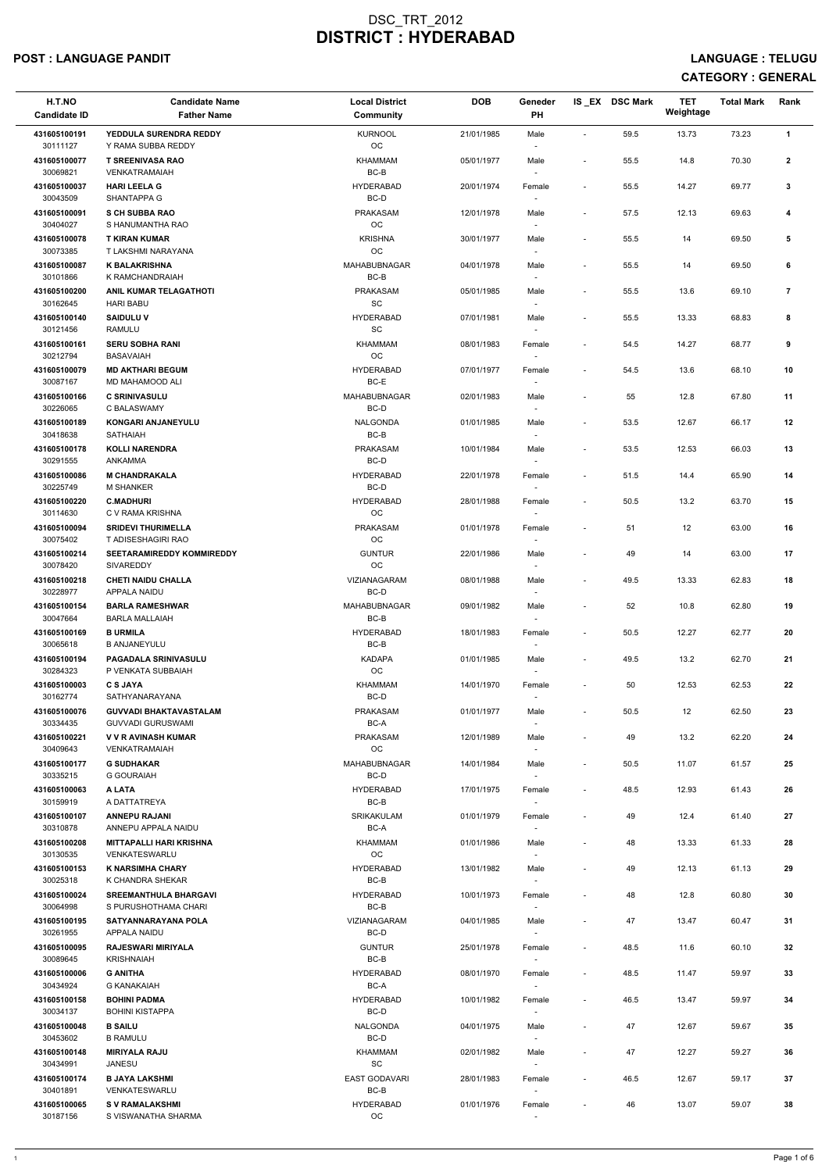### POST : LANGUAGE PANDIT LANGUAGE : TELUGU

| H.T.NO<br><b>Candidate ID</b> | <b>Candidate Name</b><br><b>Father Name</b>               | <b>Local District</b><br><b>Community</b> | <b>DOB</b> | Geneder<br><b>PH</b>               |                          | IS EX DSC Mark | <b>TET</b><br>Weightage | <b>Total Mark</b> | Rank           |
|-------------------------------|-----------------------------------------------------------|-------------------------------------------|------------|------------------------------------|--------------------------|----------------|-------------------------|-------------------|----------------|
| 431605100191<br>30111127      | YEDDULA SURENDRA REDDY<br>Y RAMA SUBBA REDDY              | <b>KURNOOL</b><br>OC                      | 21/01/1985 | Male<br>$\sim$                     | $\overline{\phantom{a}}$ | 59.5           | 13.73                   | 73.23             | $\mathbf{1}$   |
| 431605100077<br>30069821      | <b>T SREENIVASA RAO</b><br><b>VENKATRAMAIAH</b>           | KHAMMAM<br>$BC-B$                         | 05/01/1977 | Male<br>$\overline{\phantom{a}}$   | $\overline{\phantom{a}}$ | 55.5           | 14.8                    | 70.30             | $\mathbf{2}$   |
| 431605100037                  | <b>HARI LEELA G</b>                                       | <b>HYDERABAD</b>                          | 20/01/1974 | Female                             | $\overline{\phantom{a}}$ | 55.5           | 14.27                   | 69.77             | 3              |
| 30043509<br>431605100091      | SHANTAPPA G<br><b>S CH SUBBA RAO</b>                      | BC-D<br><b>PRAKASAM</b>                   | 12/01/1978 | $\sim$<br>Male                     | $\overline{\phantom{a}}$ | 57.5           | 12.13                   | 69.63             | 4              |
| 30404027<br>431605100078      | S HANUMANTHA RAO<br><b>T KIRAN KUMAR</b>                  | OC<br><b>KRISHNA</b>                      | 30/01/1977 | $\overline{\phantom{a}}$<br>Male   | $\overline{\phantom{a}}$ | 55.5           | 14                      | 69.50             | 5              |
| 30073385<br>431605100087      | T LAKSHMI NARAYANA<br><b>K BALAKRISHNA</b>                | OC<br>MAHABUBNAGAR                        | 04/01/1978 | $\overline{\phantom{a}}$<br>Male   | $\overline{\phantom{a}}$ | 55.5           | 14                      | 69.50             | 6              |
| 30101866<br>431605100200      | K RAMCHANDRAIAH<br><b>ANIL KUMAR TELAGATHOTI</b>          | BC-B<br><b>PRAKASAM</b>                   | 05/01/1985 | $\overline{\phantom{a}}$<br>Male   | $\blacksquare$           | 55.5           | 13.6                    | 69.10             | $\overline{7}$ |
| 30162645<br>431605100140      | <b>HARI BABU</b><br><b>SAIDULU V</b>                      | SC<br><b>HYDERABAD</b>                    | 07/01/1981 | $\sim$<br>Male                     | $\overline{\phantom{a}}$ | 55.5           | 13.33                   | 68.83             | 8              |
| 30121456<br>431605100161      | RAMULU<br><b>SERU SOBHA RANI</b>                          | SC<br>KHAMMAM                             | 08/01/1983 | $\overline{\phantom{a}}$<br>Female | $\blacksquare$           | 54.5           | 14.27                   | 68.77             | 9              |
| 30212794<br>431605100079      | <b>BASAVAIAH</b><br><b>MD AKTHARI BEGUM</b>               | OC<br><b>HYDERABAD</b>                    | 07/01/1977 | $\overline{\phantom{a}}$<br>Female | $\overline{\phantom{a}}$ | 54.5           | 13.6                    | 68.10             | 10             |
| 30087167<br>431605100166      | MD MAHAMOOD ALI<br><b>C SRINIVASULU</b>                   | BC-E<br>MAHABUBNAGAR                      | 02/01/1983 | Male                               | $\overline{\phantom{a}}$ | 55             | 12.8                    | 67.80             | 11             |
| 30226065<br>431605100189      | C BALASWAMY                                               | BC-D<br><b>NALGONDA</b>                   |            | $\overline{\phantom{a}}$           |                          |                |                         |                   |                |
| 30418638                      | <b>KONGARI ANJANEYULU</b><br><b>SATHAIAH</b>              | $BC-B$                                    | 01/01/1985 | Male<br>$\sim$                     | $\overline{\phantom{a}}$ | 53.5           | 12.67                   | 66.17             | 12             |
| 431605100178<br>30291555      | <b>KOLLI NARENDRA</b><br>ANKAMMA                          | <b>PRAKASAM</b><br>BC-D                   | 10/01/1984 | Male<br>$\overline{\phantom{a}}$   | $\overline{\phantom{a}}$ | 53.5           | 12.53                   | 66.03             | 13             |
| 431605100086<br>30225749      | <b>M CHANDRAKALA</b><br><b>M SHANKER</b>                  | <b>HYDERABAD</b><br>$BC-D$                | 22/01/1978 | Female                             | $\overline{\phantom{a}}$ | 51.5           | 14.4                    | 65.90             | 14             |
| 431605100220<br>30114630      | <b>C.MADHURI</b><br>C V RAMA KRISHNA                      | <b>HYDERABAD</b><br>OC                    | 28/01/1988 | Female                             | $\overline{\phantom{a}}$ | 50.5           | 13.2                    | 63.70             | 15             |
| 431605100094<br>30075402      | <b>SRIDEVI THURIMELLA</b><br>T ADISESHAGIRI RAO           | <b>PRAKASAM</b><br>OC.                    | 01/01/1978 | Female<br>$\overline{\phantom{a}}$ | $\overline{\phantom{a}}$ | 51             | 12                      | 63.00             | 16             |
| 431605100214<br>30078420      | <b>SEETARAMIREDDY KOMMIREDDY</b><br><b>SIVAREDDY</b>      | <b>GUNTUR</b><br>OC                       | 22/01/1986 | Male<br>$\overline{\phantom{a}}$   | $\overline{\phantom{a}}$ | 49             | 14                      | 63.00             | 17             |
| 431605100218<br>30228977      | <b>CHETI NAIDU CHALLA</b><br>APPALA NAIDU                 | VIZIANAGARAM<br>BC-D                      | 08/01/1988 | Male<br>$\sim$                     | $\sim$                   | 49.5           | 13.33                   | 62.83             | 18             |
| 431605100154<br>30047664      | <b>BARLA RAMESHWAR</b><br><b>BARLA MALLAIAH</b>           | MAHABUBNAGAR<br>BC-B                      | 09/01/1982 | Male<br>$\sim$                     | $\blacksquare$           | 52             | 10.8                    | 62.80             | 19             |
| 431605100169<br>30065618      | <b>B URMILA</b><br><b>B ANJANEYULU</b>                    | <b>HYDERABAD</b><br>BC-B                  | 18/01/1983 | Female<br>$\overline{\phantom{a}}$ | $\overline{\phantom{a}}$ | 50.5           | 12.27                   | 62.77             | 20             |
| 431605100194<br>30284323      | <b>PAGADALA SRINIVASULU</b><br>P VENKATA SUBBAIAH         | <b>KADAPA</b><br>OC                       | 01/01/1985 | Male<br>$\overline{\phantom{a}}$   | $\overline{\phantom{a}}$ | 49.5           | 13.2                    | 62.70             | 21             |
| 431605100003<br>30162774      | <b>C S JAYA</b><br>SATHYANARAYANA                         | <b>KHAMMAM</b><br>BC-D                    | 14/01/1970 | Female                             | $\blacksquare$           | 50             | 12.53                   | 62.53             | 22             |
| 431605100076<br>30334435      | <b>GUVVADI BHAKTAVASTALAM</b><br><b>GUVVADI GURUSWAMI</b> | <b>PRAKASAM</b><br>BC-A                   | 01/01/1977 | Male<br>$\overline{\phantom{a}}$   | $\overline{\phantom{a}}$ | 50.5           | 12                      | 62.50             | 23             |
| 431605100221                  | <b>V V R AVINASH KUMAR</b>                                | <b>PRAKASAM</b><br><b>OC</b>              | 12/01/1989 | Male                               | $\overline{\phantom{a}}$ | 49             | 13.2                    | 62.20             | 24             |
| 30409643<br>431605100177      | <b>VENKATRAMAIAH</b><br><b>G SUDHAKAR</b>                 | MAHABUBNAGAR                              | 14/01/1984 | $\overline{\phantom{a}}$<br>Male   | $\blacksquare$           | 50.5           | 11.07                   | 61.57             | 25             |
| 30335215<br>431605100063      | <b>G GOURAIAH</b><br>A LATA                               | BC-D<br><b>HYDERABAD</b>                  | 17/01/1975 | $\overline{\phantom{a}}$<br>Female | $\blacksquare$           | 48.5           | 12.93                   | 61.43             | 26             |
| 30159919<br>431605100107      | A DATTATREYA<br><b>ANNEPU RAJANI</b>                      | BC-B<br>SRIKAKULAM                        | 01/01/1979 | Female                             | $\overline{\phantom{a}}$ | 49             | 12.4                    | 61.40             | 27             |
| 30310878<br>431605100208      | ANNEPU APPALA NAIDU<br><b>MITTAPALLI HARI KRISHNA</b>     | BC-A<br><b>KHAMMAM</b>                    | 01/01/1986 | Male                               | $\overline{\phantom{a}}$ | 48             | 13.33                   | 61.33             | 28             |
| 30130535<br>431605100153      | <b>VENKATESWARLU</b><br><b>K NARSIMHA CHARY</b>           | <b>OC</b><br><b>HYDERABAD</b>             | 13/01/1982 | $\overline{\phantom{a}}$<br>Male   | $\overline{\phantom{a}}$ | 49             | 12.13                   | 61.13             | 29             |
| 30025318<br>431605100024      | K CHANDRA SHEKAR<br><b>SREEMANTHULA BHARGAVI</b>          | BC-B<br><b>HYDERABAD</b>                  | 10/01/1973 | $\sim$<br>Female                   | $\blacksquare$           | 48             | 12.8                    | 60.80             | 30             |
| 30064998<br>431605100195      | S PURUSHOTHAMA CHARI<br>SATYANNARAYANA POLA               | BC-B<br>VIZIANAGARAM                      | 04/01/1985 | $\overline{\phantom{a}}$<br>Male   | $\blacksquare$           | 47             | 13.47                   | 60.47             | 31             |
| 30261955                      | APPALA NAIDU                                              | BC-D                                      |            |                                    |                          |                |                         |                   |                |
| 431605100095<br>30089645      | <b>RAJESWARI MIRIYALA</b><br><b>KRISHNAIAH</b>            | <b>GUNTUR</b><br>BC-B                     | 25/01/1978 | Female                             | $\overline{\phantom{a}}$ | 48.5           | 11.6                    | 60.10             | 32             |
| 431605100006<br>30434924      | <b>G ANITHA</b><br><b>G KANAKAIAH</b>                     | <b>HYDERABAD</b><br>BC-A                  | 08/01/1970 | Female<br>$\overline{\phantom{a}}$ | $\overline{\phantom{a}}$ | 48.5           | 11.47                   | 59.97             | 33             |
| 431605100158<br>30034137      | <b>BOHINI PADMA</b><br><b>BOHINI KISTAPPA</b>             | <b>HYDERABAD</b><br>$BC-D$                | 10/01/1982 | Female                             | $\overline{\phantom{a}}$ | 46.5           | 13.47                   | 59.97             | 34             |
| 431605100048<br>30453602      | <b>B SAILU</b><br><b>B RAMULU</b>                         | NALGONDA<br>BC-D                          | 04/01/1975 | Male<br>$\sim$                     | $\overline{\phantom{a}}$ | 47             | 12.67                   | 59.67             | 35             |
| 431605100148<br>30434991      | <b>MIRIYALA RAJU</b><br>JANESU                            | KHAMMAM<br>SC                             | 02/01/1982 | Male<br>$\overline{\phantom{a}}$   | $\overline{\phantom{a}}$ | 47             | 12.27                   | 59.27             | 36             |
| 431605100174<br>30401891      | <b>B JAYA LAKSHMI</b><br>VENKATESWARLU                    | <b>EAST GODAVARI</b><br>BC-B              | 28/01/1983 | Female<br>$\sim$                   | $\overline{\phantom{a}}$ | 46.5           | 12.67                   | 59.17             | 37             |
| 431605100065<br>30187156      | <b>SV RAMALAKSHMI</b><br>S VISWANATHA SHARMA              | <b>HYDERABAD</b><br>$_{\rm OC}$           | 01/01/1976 | Female<br>$\overline{\phantom{a}}$ |                          | 46             | 13.07                   | 59.07             | 38             |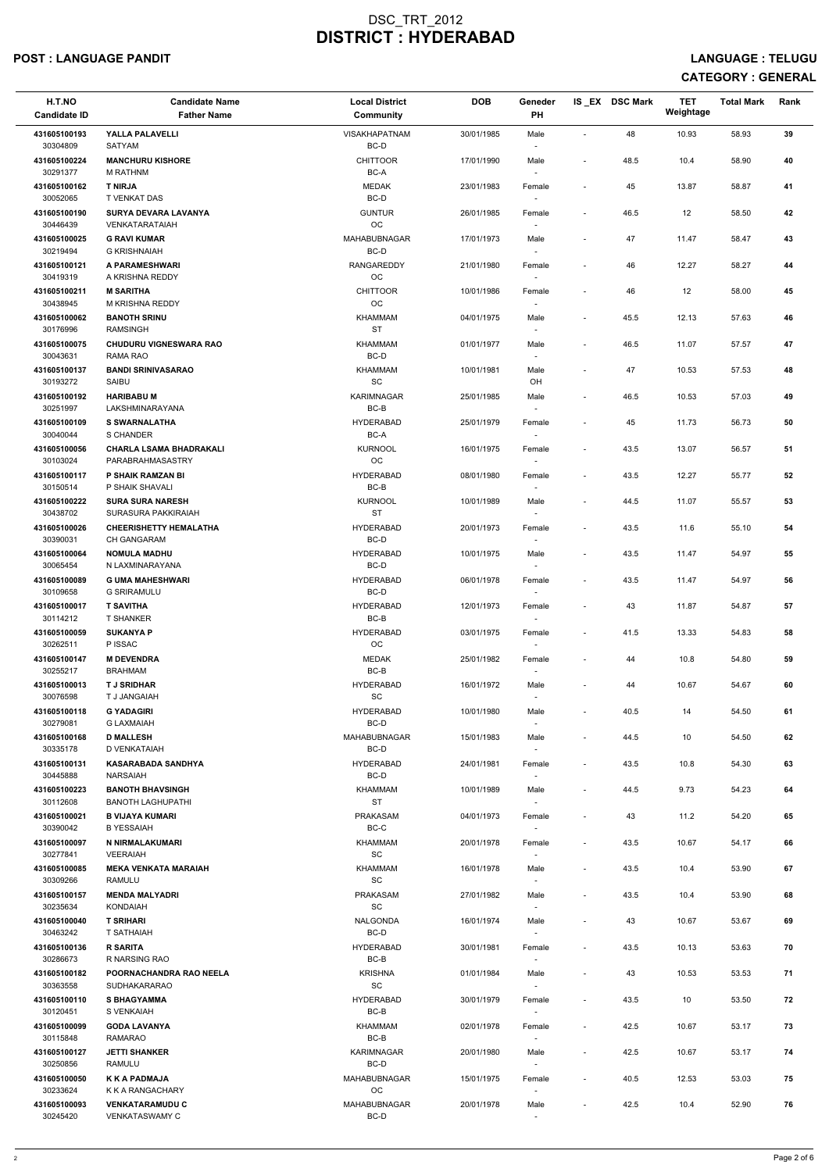### POST : LANGUAGE PANDIT LANGUAGE : TELUGU

| H.T.NO<br><b>Candidate ID</b> | <b>Candidate Name</b><br><b>Father Name</b>        | <b>Local District</b><br>Community             | <b>DOB</b> | Geneder<br>PH                      |                          | IS EX DSC Mark | <b>TET</b><br>Weightage | <b>Total Mark</b> | Rank |
|-------------------------------|----------------------------------------------------|------------------------------------------------|------------|------------------------------------|--------------------------|----------------|-------------------------|-------------------|------|
| 431605100193<br>30304809      | YALLA PALAVELLI<br>SATYAM                          | VISAKHAPATNAM<br>BC-D                          | 30/01/1985 | Male<br>$\overline{\phantom{a}}$   | $\blacksquare$           | 48             | 10.93                   | 58.93             | 39   |
| 431605100224<br>30291377      | <b>MANCHURU KISHORE</b><br>M RATHNM                | <b>CHITTOOR</b><br>BC-A                        | 17/01/1990 | Male                               | $\overline{\phantom{a}}$ | 48.5           | 10.4                    | 58.90             | 40   |
| 431605100162                  | <b>T NIRJA</b><br><b>T VENKAT DAS</b>              | <b>MEDAK</b><br>BC-D                           | 23/01/1983 | Female                             | $\blacksquare$           | 45             | 13.87                   | 58.87             | 41   |
| 30052065<br>431605100190      | <b>SURYA DEVARA LAVANYA</b>                        | <b>GUNTUR</b>                                  | 26/01/1985 | $\overline{\phantom{a}}$<br>Female | $\blacksquare$           | 46.5           | 12                      | 58.50             | 42   |
| 30446439                      | VENKATARATAIAH                                     | $_{\rm OC}$                                    |            | $\overline{\phantom{a}}$           |                          |                |                         |                   |      |
| 431605100025<br>30219494      | <b>G RAVI KUMAR</b><br><b>G KRISHNAIAH</b>         | MAHABUBNAGAR<br>BC-D                           | 17/01/1973 | Male<br>$\overline{\phantom{a}}$   | $\blacksquare$           | 47             | 11.47                   | 58.47             | 43   |
| 431605100121<br>30419319      | A PARAMESHWARI<br>A KRISHNA REDDY                  | RANGAREDDY<br>$_{\rm OC}$                      | 21/01/1980 | Female                             | $\overline{\phantom{a}}$ | 46             | 12.27                   | 58.27             | 44   |
| 431605100211<br>30438945      | <b>M SARITHA</b><br>M KRISHNA REDDY                | <b>CHITTOOR</b><br>OC                          | 10/01/1986 | Female                             | $\overline{\phantom{a}}$ | 46             | 12                      | 58.00             | 45   |
| 431605100062<br>30176996      | <b>BANOTH SRINU</b><br><b>RAMSINGH</b>             | KHAMMAM<br><b>ST</b>                           | 04/01/1975 | Male<br>$\sim$                     | $\blacksquare$           | 45.5           | 12.13                   | 57.63             | 46   |
| 431605100075                  | <b>CHUDURU VIGNESWARA RAO</b>                      | KHAMMAM                                        | 01/01/1977 | Male                               | $\overline{\phantom{a}}$ | 46.5           | 11.07                   | 57.57             | 47   |
| 30043631<br>431605100137      | RAMA RAO<br><b>BANDI SRINIVASARAO</b>              | BC-D<br>KHAMMAM                                | 10/01/1981 | $\sim$<br>Male                     | $\overline{\phantom{a}}$ | 47             | 10.53                   | 57.53             | 48   |
| 30193272                      | SAIBU                                              | $\operatorname{\textsf{SC}}$                   |            | OH                                 |                          |                |                         |                   |      |
| 431605100192<br>30251997      | <b>HARIBABU M</b><br>LAKSHMINARAYANA               | <b>KARIMNAGAR</b><br>BC-B                      | 25/01/1985 | Male                               | $\blacksquare$           | 46.5           | 10.53                   | 57.03             | 49   |
| 431605100109<br>30040044      | <b>S SWARNALATHA</b><br>S CHANDER                  | <b>HYDERABAD</b><br>BC-A                       | 25/01/1979 | Female<br>$\overline{\phantom{a}}$ | $\overline{\phantom{a}}$ | 45             | 11.73                   | 56.73             | 50   |
| 431605100056                  | <b>CHARLA LSAMA BHADRAKALI</b>                     | <b>KURNOOL</b>                                 | 16/01/1975 | Female                             | $\blacksquare$           | 43.5           | 13.07                   | 56.57             | 51   |
| 30103024<br>431605100117      | PARABRAHMASASTRY<br>P SHAIK RAMZAN BI              | <b>OC</b><br><b>HYDERABAD</b>                  | 08/01/1980 | $\overline{\phantom{a}}$<br>Female | $\overline{\phantom{a}}$ | 43.5           | 12.27                   | 55.77             | 52   |
| 30150514                      | P SHAIK SHAVALI                                    | BC-B                                           |            | $\overline{\phantom{a}}$           |                          |                |                         |                   |      |
| 431605100222<br>30438702      | <b>SURA SURA NARESH</b><br>SURASURA PAKKIRAIAH     | <b>KURNOOL</b><br><b>ST</b>                    | 10/01/1989 | Male                               | $\blacksquare$           | 44.5           | 11.07                   | 55.57             | 53   |
| 431605100026<br>30390031      | <b>CHEERISHETTY HEMALATHA</b><br>CH GANGARAM       | <b>HYDERABAD</b><br>BC-D                       | 20/01/1973 | Female<br>$\overline{\phantom{a}}$ | $\overline{\phantom{a}}$ | 43.5           | 11.6                    | 55.10             | 54   |
| 431605100064<br>30065454      | <b>NOMULA MADHU</b><br>N LAXMINARAYANA             | <b>HYDERABAD</b><br>BC-D                       | 10/01/1975 | Male<br>$\sim$                     | $\overline{\phantom{a}}$ | 43.5           | 11.47                   | 54.97             | 55   |
| 431605100089<br>30109658      | <b>G UMA MAHESHWARI</b><br><b>G SRIRAMULU</b>      | <b>HYDERABAD</b><br>BC-D                       | 06/01/1978 | Female                             | $\blacksquare$           | 43.5           | 11.47                   | 54.97             | 56   |
| 431605100017                  | <b>T SAVITHA</b>                                   | <b>HYDERABAD</b>                               | 12/01/1973 | Female                             | $\overline{\phantom{a}}$ | 43             | 11.87                   | 54.87             | 57   |
| 30114212<br>431605100059      | <b>T SHANKER</b><br><b>SUKANYA P</b>               | BC-B<br><b>HYDERABAD</b>                       | 03/01/1975 | $\sim$<br>Female                   | $\blacksquare$           | 41.5           | 13.33                   | 54.83             | 58   |
| 30262511<br>431605100147      | P ISSAC<br><b>M DEVENDRA</b>                       | <b>OC</b><br><b>MEDAK</b>                      | 25/01/1982 | $\overline{\phantom{a}}$<br>Female | $\overline{\phantom{a}}$ | 44             | 10.8                    | 54.80             | 59   |
| 30255217                      | <b>BRAHMAM</b>                                     | $BC-B$                                         |            | $\sim$                             |                          |                |                         |                   |      |
| 431605100013<br>30076598      | <b>T J SRIDHAR</b><br>T J JANGAIAH                 | <b>HYDERABAD</b><br><b>SC</b>                  | 16/01/1972 | Male<br>$\overline{\phantom{a}}$   | $\overline{\phantom{a}}$ | 44             | 10.67                   | 54.67             | 60   |
| 431605100118<br>30279081      | <b>G YADAGIRI</b><br><b>G LAXMAIAH</b>             | <b>HYDERABAD</b><br>BC-D                       | 10/01/1980 | Male<br>$\overline{\phantom{a}}$   | $\sim$                   | 40.5           | 14                      | 54.50             | 61   |
| 431605100168<br>30335178      | <b>D MALLESH</b><br>D VENKATAIAH                   | MAHABUBNAGAR<br>BC-D                           | 15/01/1983 | Male<br>$\sim$                     | $\overline{\phantom{a}}$ | 44.5           | 10                      | 54.50             | 62   |
| 431605100131                  | <b>KASARABADA SANDHYA</b>                          | <b>HYDERABAD</b>                               | 24/01/1981 | Female                             | $\blacksquare$           | 43.5           | 10.8                    | 54.30             | 63   |
| 30445888<br>431605100223      | <b>NARSAIAH</b><br><b>BANOTH BHAVSINGH</b>         | BC-D<br>KHAMMAM                                | 10/01/1989 | $\sim$<br>Male                     | $\overline{\phantom{a}}$ | 44.5           | 9.73                    | 54.23             | 64   |
| 30112608<br>431605100021      | <b>BANOTH LAGHUPATHI</b><br><b>B VIJAYA KUMARI</b> | <b>ST</b><br><b>PRAKASAM</b>                   | 04/01/1973 | $\sim$<br>Female                   | $\overline{\phantom{a}}$ | 43             | 11.2                    | 54.20             | 65   |
| 30390042                      | <b>B YESSAIAH</b>                                  | $BC-C$                                         |            |                                    |                          |                |                         |                   |      |
| 431605100097<br>30277841      | N NIRMALAKUMARI<br><b>VEERAIAH</b>                 | KHAMMAM<br>SC                                  | 20/01/1978 | Female<br>$\sim$                   | $\blacksquare$           | 43.5           | 10.67                   | 54.17             | 66   |
| 431605100085<br>30309266      | <b>MEKA VENKATA MARAIAH</b><br>RAMULU              | KHAMMAM<br>SC                                  | 16/01/1978 | Male<br>$\overline{\phantom{a}}$   | $\overline{\phantom{a}}$ | 43.5           | 10.4                    | 53.90             | 67   |
| 431605100157<br>30235634      | <b>MENDA MALYADRI</b><br><b>KONDAIAH</b>           | <b>PRAKASAM</b><br>SC                          | 27/01/1982 | Male<br>$\sim$                     | $\overline{\phantom{a}}$ | 43.5           | 10.4                    | 53.90             | 68   |
| 431605100040                  | <b>T SRIHARI</b>                                   | NALGONDA                                       | 16/01/1974 | Male                               | $\overline{\phantom{a}}$ | 43             | 10.67                   | 53.67             | 69   |
| 30463242<br>431605100136      | T SATHAIAH<br><b>R SARITA</b>                      | BC-D<br><b>HYDERABAD</b>                       | 30/01/1981 | Female                             | $\sim$                   | 43.5           | 10.13                   | 53.63             | 70   |
| 30286673                      | R NARSING RAO                                      | BC-B                                           |            |                                    |                          |                |                         |                   |      |
| 431605100182<br>30363558      | POORNACHANDRA RAO NEELA<br>SUDHAKARARAO            | <b>KRISHNA</b><br>$\operatorname{\textsf{SC}}$ | 01/01/1984 | Male<br>$\sim$                     | $\overline{\phantom{a}}$ | 43             | 10.53                   | 53.53             | 71   |
| 431605100110<br>30120451      | <b>S BHAGYAMMA</b><br>S VENKAIAH                   | <b>HYDERABAD</b><br>$BC-B$                     | 30/01/1979 | Female<br>$\overline{\phantom{a}}$ | $\overline{\phantom{a}}$ | 43.5           | 10                      | 53.50             | 72   |
| 431605100099<br>30115848      | <b>GODA LAVANYA</b>                                | KHAMMAM<br>BC-B                                | 02/01/1978 | Female                             | $\overline{\phantom{a}}$ | 42.5           | 10.67                   | 53.17             | 73   |
| 431605100127                  | <b>RAMARAO</b><br><b>JETTI SHANKER</b>             | <b>KARIMNAGAR</b>                              | 20/01/1980 | $\sim$<br>Male                     | $\overline{\phantom{a}}$ | 42.5           | 10.67                   | 53.17             | 74   |
| 30250856<br>431605100050      | RAMULU<br><b>KKA PADMAJA</b>                       | BC-D<br>MAHABUBNAGAR                           | 15/01/1975 | $\sim$<br>Female                   | $\sim$                   | 40.5           | 12.53                   | 53.03             | 75   |
| 30233624<br>431605100093      | K K A RANGACHARY<br><b>VENKATARAMUDU C</b>         | OC<br>MAHABUBNAGAR                             | 20/01/1978 | $\sim$<br>Male                     |                          | 42.5           | 10.4                    | 52.90             | 76   |
| 30245420                      | <b>VENKATASWAMY C</b>                              | BC-D                                           |            | $\sim$                             |                          |                |                         |                   |      |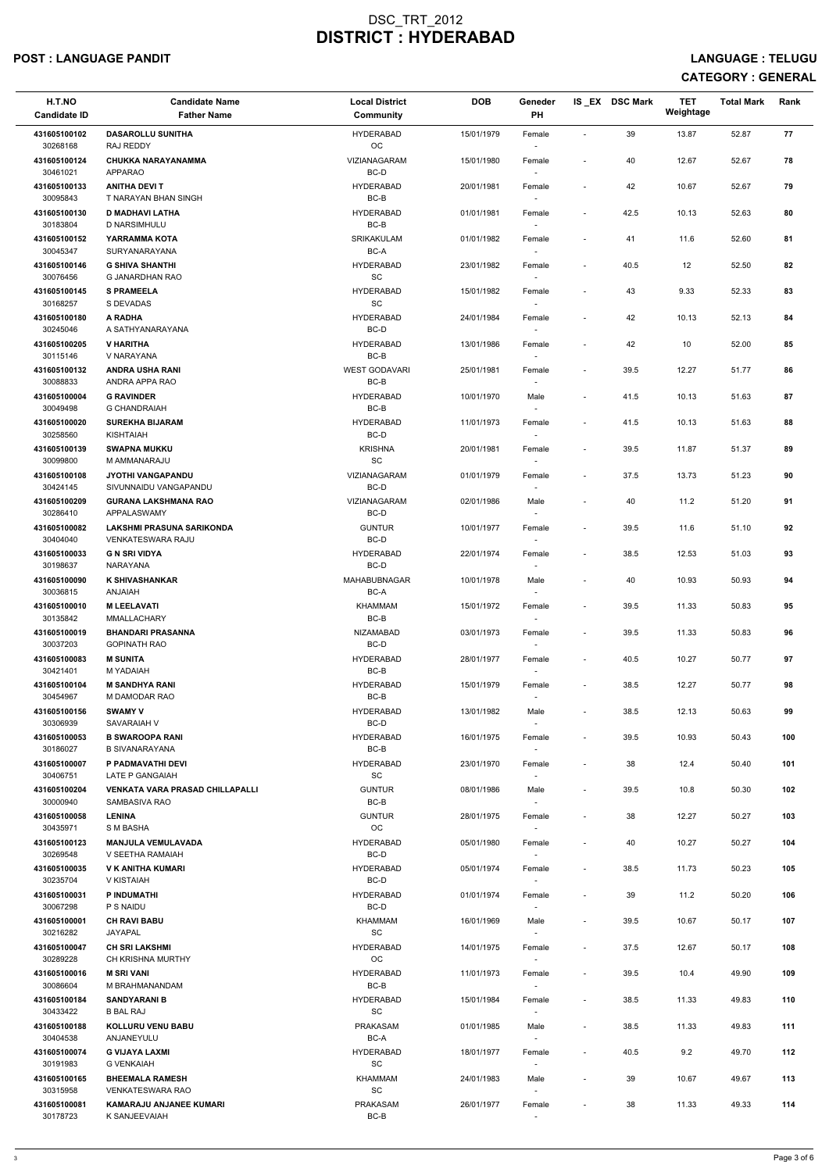### POST : LANGUAGE PANDIT LANGUAGE : TELUGU

| H.T.NO<br><b>Candidate ID</b> | <b>Candidate Name</b><br><b>Father Name</b>             | <b>Local District</b><br>Community      | <b>DOB</b> | Geneder<br><b>PH</b>               |                          | IS EX DSC Mark | <b>TET</b><br>Weightage | <b>Total Mark</b> | Rank |
|-------------------------------|---------------------------------------------------------|-----------------------------------------|------------|------------------------------------|--------------------------|----------------|-------------------------|-------------------|------|
| 431605100102<br>30268168      | <b>DASAROLLU SUNITHA</b><br>RAJ REDDY                   | <b>HYDERABAD</b><br>OC                  | 15/01/1979 | Female                             | $\blacksquare$           | 39             | 13.87                   | 52.87             | 77   |
| 431605100124<br>30461021      | <b>CHUKKA NARAYANAMMA</b><br><b>APPARAO</b>             | VIZIANAGARAM<br>BC-D                    | 15/01/1980 | Female                             | $\blacksquare$           | 40             | 12.67                   | 52.67             | 78   |
| 431605100133<br>30095843      | <b>ANITHA DEVIT</b><br><b>T NARAYAN BHAN SINGH</b>      | <b>HYDERABAD</b><br>BC-B                | 20/01/1981 | Female<br>$\sim$                   | $\overline{\phantom{a}}$ | 42             | 10.67                   | 52.67             | 79   |
| 431605100130                  | <b>D MADHAVI LATHA</b>                                  | <b>HYDERABAD</b>                        | 01/01/1981 | Female                             | $\overline{\phantom{a}}$ | 42.5           | 10.13                   | 52.63             | 80   |
| 30183804<br>431605100152      | D NARSIMHULU<br>YARRAMMA KOTA                           | BC-B<br><b>SRIKAKULAM</b>               | 01/01/1982 | $\overline{\phantom{a}}$<br>Female | $\overline{\phantom{a}}$ | 41             | 11.6                    | 52.60             | 81   |
| 30045347<br>431605100146      | SURYANARAYANA<br><b>G SHIVA SHANTHI</b>                 | BC-A<br><b>HYDERABAD</b>                | 23/01/1982 | $\overline{\phantom{a}}$<br>Female | $\overline{\phantom{a}}$ | 40.5           | 12                      | 52.50             | 82   |
| 30076456<br>431605100145      | <b>G JANARDHAN RAO</b><br><b>S PRAMEELA</b>             | SC<br><b>HYDERABAD</b>                  | 15/01/1982 |                                    | $\blacksquare$           | 43             | 9.33                    | 52.33             | 83   |
| 30168257                      | S DEVADAS                                               | SC                                      |            | Female                             |                          |                |                         |                   |      |
| 431605100180<br>30245046      | A RADHA<br>A SATHYANARAYANA                             | <b>HYDERABAD</b><br>BC-D                | 24/01/1984 | Female<br>$\overline{\phantom{a}}$ | $\overline{\phantom{a}}$ | 42             | 10.13                   | 52.13             | 84   |
| 431605100205<br>30115146      | <b>V HARITHA</b><br>V NARAYANA                          | <b>HYDERABAD</b><br>BC-B                | 13/01/1986 | Female<br>$\sim$                   | $\overline{\phantom{a}}$ | 42             | 10                      | 52.00             | 85   |
| 431605100132<br>30088833      | <b>ANDRA USHA RANI</b><br>ANDRA APPA RAO                | <b>WEST GODAVARI</b><br>$BC-B$          | 25/01/1981 | Female                             | $\blacksquare$           | 39.5           | 12.27                   | 51.77             | 86   |
| 431605100004<br>30049498      | <b>G RAVINDER</b><br><b>G CHANDRAIAH</b>                | <b>HYDERABAD</b><br>BC-B                | 10/01/1970 | Male<br>$\overline{\phantom{a}}$   | $\overline{\phantom{a}}$ | 41.5           | 10.13                   | 51.63             | 87   |
| 431605100020<br>30258560      | <b>SUREKHA BIJARAM</b><br>KISHTAIAH                     | <b>HYDERABAD</b><br>BC-D                | 11/01/1973 | Female<br>$\overline{\phantom{a}}$ | $\overline{\phantom{a}}$ | 41.5           | 10.13                   | 51.63             | 88   |
| 431605100139<br>30099800      | <b>SWAPNA MUKKU</b><br>M AMMANARAJU                     | <b>KRISHNA</b><br>SC                    | 20/01/1981 | Female                             | $\overline{\phantom{a}}$ | 39.5           | 11.87                   | 51.37             | 89   |
| 431605100108                  | <b>JYOTHI VANGAPANDU</b>                                | VIZIANAGARAM                            | 01/01/1979 | Female                             | $\overline{\phantom{a}}$ | 37.5           | 13.73                   | 51.23             | 90   |
| 30424145<br>431605100209      | SIVUNNAIDU VANGAPANDU<br><b>GURANA LAKSHMANA RAO</b>    | BC-D<br><b>VIZIANAGARAM</b>             | 02/01/1986 | $\sim$<br>Male                     | $\blacksquare$           | 40             | 11.2                    | 51.20             | 91   |
| 30286410<br>431605100082      | APPALASWAMY<br>LAKSHMI PRASUNA SARIKONDA                | BC-D<br><b>GUNTUR</b>                   | 10/01/1977 | Female                             | $\overline{\phantom{a}}$ | 39.5           | 11.6                    | 51.10             | 92   |
| 30404040<br>431605100033      | <b>VENKATESWARA RAJU</b><br><b>G N SRI VIDYA</b>        | BC-D<br><b>HYDERABAD</b>                | 22/01/1974 | $\overline{\phantom{a}}$<br>Female | $\overline{\phantom{a}}$ | 38.5           | 12.53                   | 51.03             | 93   |
| 30198637                      | <b>NARAYANA</b>                                         | BC-D                                    |            |                                    |                          |                |                         |                   |      |
| 431605100090<br>30036815      | <b>K SHIVASHANKAR</b><br><b>HAIANA</b>                  | MAHABUBNAGAR<br>BC-A                    | 10/01/1978 | Male                               | $\blacksquare$           | 40             | 10.93                   | 50.93             | 94   |
| 431605100010<br>30135842      | <b>M LEELAVATI</b><br>MMALLACHARY                       | <b>KHAMMAM</b><br>BC-B                  | 15/01/1972 | Female<br>$\sim$                   | $\sim$                   | 39.5           | 11.33                   | 50.83             | 95   |
| 431605100019<br>30037203      | <b>BHANDARI PRASANNA</b><br><b>GOPINATH RAO</b>         | <b>NIZAMABAD</b><br>BC-D                | 03/01/1973 | Female<br>$\sim$                   | $\overline{\phantom{a}}$ | 39.5           | 11.33                   | 50.83             | 96   |
| 431605100083<br>30421401      | <b>M SUNITA</b><br>M YADAIAH                            | <b>HYDERABAD</b><br>BC-B                | 28/01/1977 | Female<br>$\sim$                   | $\overline{\phantom{a}}$ | 40.5           | 10.27                   | 50.77             | 97   |
| 431605100104<br>30454967      | <b>M SANDHYA RANI</b><br>M DAMODAR RAO                  | <b>HYDERABAD</b><br>BC-B                | 15/01/1979 | Female                             | $\sim$                   | 38.5           | 12.27                   | 50.77             | 98   |
| 431605100156                  | <b>SWAMY V</b>                                          | <b>HYDERABAD</b>                        | 13/01/1982 | Male                               | $\overline{\phantom{a}}$ | 38.5           | 12.13                   | 50.63             | 99   |
| 30306939<br>431605100053      | SAVARAIAH V<br><b>B SWAROOPA RANI</b>                   | BC-D<br><b>HYDERABAD</b>                | 16/01/1975 | $\sim$<br>Female                   | $\overline{\phantom{a}}$ | 39.5           | 10.93                   | 50.43             | 100  |
| 30186027<br>431605100007      | <b>B SIVANARAYANA</b><br>P PADMAVATHI DEVI              | BC-B<br><b>HYDERABAD</b>                | 23/01/1970 | $\sim$<br>Female                   | $\sim$                   | 38             | 12.4                    | 50.40             | 101  |
| 30406751                      | LATE P GANGAIAH                                         | <b>SC</b>                               |            | $\sim$                             |                          |                |                         |                   |      |
| 431605100204<br>30000940      | <b>VENKATA VARA PRASAD CHILLAPALLI</b><br>SAMBASIVA RAO | <b>GUNTUR</b><br>BC-B                   | 08/01/1986 | Male                               | $\sim$                   | 39.5           | 10.8                    | 50.30             | 102  |
| 431605100058<br>30435971      | <b>LENINA</b><br>S M BASHA                              | <b>GUNTUR</b><br><b>OC</b>              | 28/01/1975 | Female                             | $\sim$                   | 38             | 12.27                   | 50.27             | 103  |
| 431605100123<br>30269548      | <b>MANJULA VEMULAVADA</b><br>V SEETHA RAMAIAH           | <b>HYDERABAD</b><br>BC-D                | 05/01/1980 | Female<br>$\sim$                   | $\overline{\phantom{a}}$ | 40             | 10.27                   | 50.27             | 104  |
| 431605100035<br>30235704      | V K ANITHA KUMARI<br>V KISTAIAH                         | <b>HYDERABAD</b><br>BC-D                | 05/01/1974 | Female<br>$\sim$                   | $\sim$                   | 38.5           | 11.73                   | 50.23             | 105  |
| 431605100031<br>30067298      | P INDUMATHI<br>P S NAIDU                                | <b>HYDERABAD</b><br>BC-D                | 01/01/1974 | Female<br>$\overline{\phantom{a}}$ | $\overline{\phantom{a}}$ | 39             | 11.2                    | 50.20             | 106  |
| 431605100001<br>30216282      | <b>CH RAVI BABU</b><br>JAYAPAL                          | KHAMMAM<br><b>SC</b>                    | 16/01/1969 | Male                               | $\sim$                   | 39.5           | 10.67                   | 50.17             | 107  |
| 431605100047                  | <b>CH SRI LAKSHMI</b>                                   | <b>HYDERABAD</b>                        | 14/01/1975 | Female                             | $\sim$                   | 37.5           | 12.67                   | 50.17             | 108  |
| 30289228<br>431605100016      | <b>CH KRISHNA MURTHY</b><br><b>M SRI VANI</b>           | <b>OC</b><br><b>HYDERABAD</b>           | 11/01/1973 | $\overline{\phantom{a}}$<br>Female | $\overline{\phantom{a}}$ | 39.5           | 10.4                    | 49.90             | 109  |
| 30086604<br>431605100184      | M BRAHMANANDAM<br><b>SANDYARANI B</b>                   | BC-B<br>HYDERABAD                       | 15/01/1984 | $\overline{\phantom{a}}$<br>Female | $\overline{\phantom{a}}$ | 38.5           | 11.33                   | 49.83             | 110  |
| 30433422                      | <b>B BAL RAJ</b>                                        | SC                                      |            |                                    |                          |                |                         |                   |      |
| 431605100188<br>30404538      | <b>KOLLURU VENU BABU</b><br>ANJANEYULU                  | <b>PRAKASAM</b><br>BC-A                 | 01/01/1985 | Male<br>$\overline{\phantom{a}}$   | $\overline{\phantom{a}}$ | 38.5           | 11.33                   | 49.83             | 111  |
| 431605100074<br>30191983      | <b>G VIJAYA LAXMI</b><br><b>G VENKAIAH</b>              | <b>HYDERABAD</b><br>SC                  | 18/01/1977 | Female<br>$\overline{\phantom{a}}$ | $\blacksquare$           | 40.5           | 9.2                     | 49.70             | 112  |
| 431605100165<br>30315958      | <b>BHEEMALA RAMESH</b><br><b>VENKATESWARA RAO</b>       | KHAMMAM<br>$\operatorname{\textsf{SC}}$ | 24/01/1983 | Male<br>$\overline{\phantom{a}}$   | $\overline{\phantom{a}}$ | 39             | 10.67                   | 49.67             | 113  |
| 431605100081<br>30178723      | <b>KAMARAJU ANJANEE KUMARI</b><br>K SANJEEVAIAH         | <b>PRAKASAM</b><br>BC-B                 | 26/01/1977 | Female<br>$\sim$                   | $\overline{a}$           | 38             | 11.33                   | 49.33             | 114  |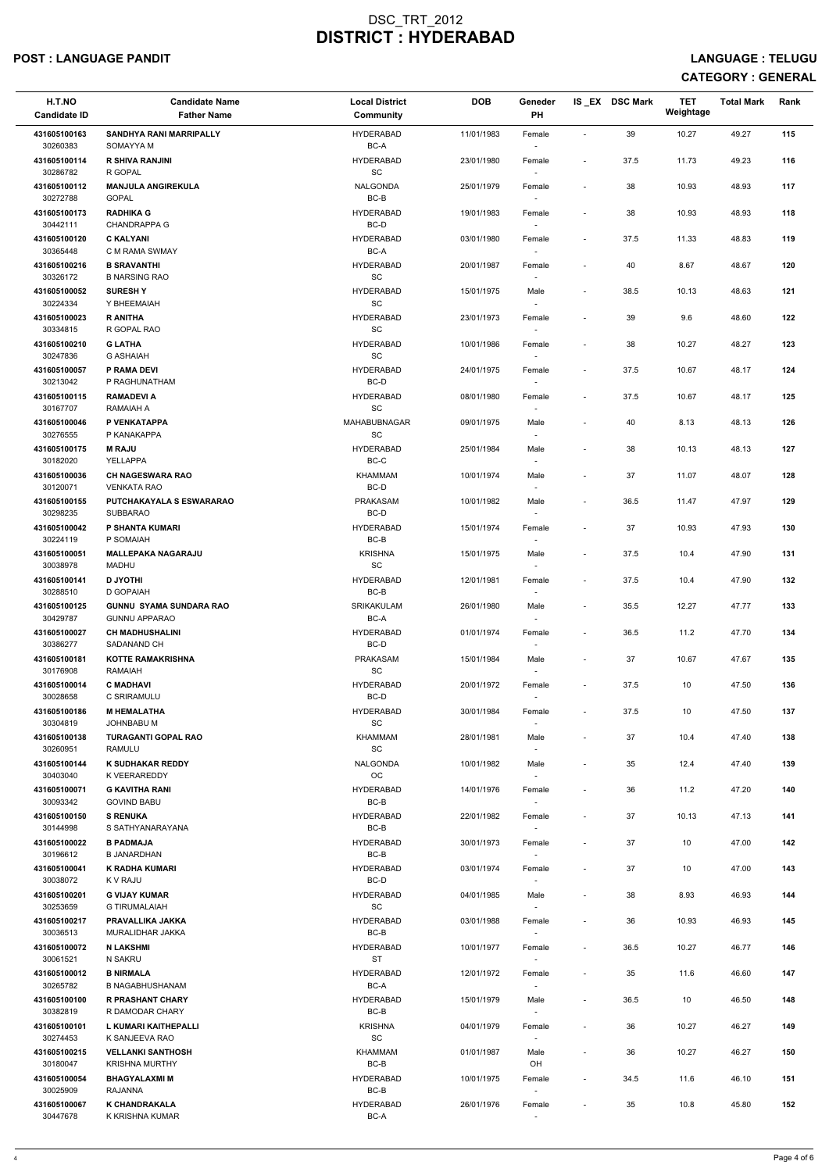### POST : LANGUAGE PANDIT LANGUAGE : TELUGU

| H.T.NO<br><b>Candidate ID</b> | <b>Candidate Name</b><br><b>Father Name</b>            | <b>Local District</b><br>Community | <b>DOB</b> | Geneder<br>PH                      |                          | IS EX DSC Mark | <b>TET</b><br>Weightage | <b>Total Mark</b> | Rank |
|-------------------------------|--------------------------------------------------------|------------------------------------|------------|------------------------------------|--------------------------|----------------|-------------------------|-------------------|------|
| 431605100163<br>30260383      | <b>SANDHYA RANI MARRIPALLY</b><br>SOMAYYA M            | <b>HYDERABAD</b><br>BC-A           | 11/01/1983 | Female                             | $\sim$                   | 39             | 10.27                   | 49.27             | 115  |
| 431605100114<br>30286782      | <b>R SHIVA RANJINI</b><br>R GOPAL                      | <b>HYDERABAD</b><br>SC             | 23/01/1980 | Female                             | $\sim$                   | 37.5           | 11.73                   | 49.23             | 116  |
| 431605100112<br>30272788      | <b>MANJULA ANGIREKULA</b><br><b>GOPAL</b>              | <b>NALGONDA</b><br>BC-B            | 25/01/1979 | Female<br>$\sim$                   | $\overline{\phantom{a}}$ | 38             | 10.93                   | 48.93             | 117  |
| 431605100173                  | <b>RADHIKA G</b>                                       | <b>HYDERABAD</b>                   | 19/01/1983 | Female                             | $\overline{\phantom{a}}$ | 38             | 10.93                   | 48.93             | 118  |
| 30442111<br>431605100120      | CHANDRAPPA G<br><b>C KALYANI</b>                       | BC-D<br><b>HYDERABAD</b>           | 03/01/1980 | $\overline{\phantom{a}}$<br>Female | $\sim$                   | 37.5           | 11.33                   | 48.83             | 119  |
| 30365448                      | C M RAMA SWMAY                                         | BC-A                               |            | $\overline{\phantom{a}}$           |                          |                |                         |                   |      |
| 431605100216<br>30326172      | <b>B SRAVANTHI</b><br><b>B NARSING RAO</b>             | <b>HYDERABAD</b><br>SC             | 20/01/1987 | Female                             | $\blacksquare$           | 40             | 8.67                    | 48.67             | 120  |
| 431605100052<br>30224334      | <b>SURESHY</b><br>Y BHEEMAIAH                          | <b>HYDERABAD</b><br>SC             | 15/01/1975 | Male<br>$\sim$                     | $\overline{\phantom{a}}$ | 38.5           | 10.13                   | 48.63             | 121  |
| 431605100023<br>30334815      | <b>R ANITHA</b><br>R GOPAL RAO                         | <b>HYDERABAD</b><br>SC             | 23/01/1973 | Female<br>$\overline{\phantom{a}}$ | $\overline{\phantom{a}}$ | 39             | 9.6                     | 48.60             | 122  |
| 431605100210<br>30247836      | <b>G LATHA</b><br><b>G ASHAIAH</b>                     | <b>HYDERABAD</b><br>SC             | 10/01/1986 | Female<br>$\sim$                   | $\overline{\phantom{a}}$ | 38             | 10.27                   | 48.27             | 123  |
| 431605100057<br>30213042      | P RAMA DEVI<br>P RAGHUNATHAM                           | <b>HYDERABAD</b><br>BC-D           | 24/01/1975 | Female                             | $\blacksquare$           | 37.5           | 10.67                   | 48.17             | 124  |
| 431605100115<br>30167707      | <b>RAMADEVIA</b><br><b>RAMAIAH A</b>                   | <b>HYDERABAD</b><br>SC             | 08/01/1980 | Female                             | $\overline{\phantom{a}}$ | 37.5           | 10.67                   | 48.17             | 125  |
| 431605100046                  | P VENKATAPPA                                           | MAHABUBNAGAR                       | 09/01/1975 | Male                               | $\overline{\phantom{a}}$ | 40             | 8.13                    | 48.13             | 126  |
| 30276555<br>431605100175      | P KANAKAPPA<br><b>M RAJU</b>                           | SC<br><b>HYDERABAD</b>             | 25/01/1984 | $\overline{\phantom{a}}$<br>Male   | $\overline{\phantom{a}}$ | 38             | 10.13                   | 48.13             | 127  |
| 30182020                      | YELLAPPA                                               | BC-C                               |            | $\overline{\phantom{a}}$           |                          |                |                         |                   |      |
| 431605100036<br>30120071      | <b>CH NAGESWARA RAO</b><br><b>VENKATA RAO</b>          | KHAMMAM<br>BC-D                    | 10/01/1974 | Male<br>$\overline{\phantom{a}}$   | $\blacksquare$           | 37             | 11.07                   | 48.07             | 128  |
| 431605100155<br>30298235      | PUTCHAKAYALA S ESWARARAO<br><b>SUBBARAO</b>            | PRAKASAM<br>BC-D                   | 10/01/1982 | Male                               | $\overline{\phantom{a}}$ | 36.5           | 11.47                   | 47.97             | 129  |
| 431605100042<br>30224119      | P SHANTA KUMARI<br>P SOMAIAH                           | <b>HYDERABAD</b><br>BC-B           | 15/01/1974 | Female                             | $\overline{\phantom{a}}$ | 37             | 10.93                   | 47.93             | 130  |
| 431605100051<br>30038978      | <b>MALLEPAKA NAGARAJU</b><br>MADHU                     | <b>KRISHNA</b><br>SC               | 15/01/1975 | Male<br>$\overline{\phantom{a}}$   | $\overline{\phantom{a}}$ | 37.5           | 10.4                    | 47.90             | 131  |
| 431605100141<br>30288510      | <b>D JYOTHI</b><br>D GOPAIAH                           | <b>HYDERABAD</b><br>BC-B           | 12/01/1981 | Female                             | $\blacksquare$           | 37.5           | 10.4                    | 47.90             | 132  |
| 431605100125<br>30429787      | <b>GUNNU SYAMA SUNDARA RAO</b><br><b>GUNNU APPARAO</b> | SRIKAKULAM<br>BC-A                 | 26/01/1980 | Male<br>$\sim$                     | $\sim$                   | 35.5           | 12.27                   | 47.77             | 133  |
| 431605100027<br>30386277      | <b>CH MADHUSHALINI</b><br>SADANAND CH                  | <b>HYDERABAD</b><br>BC-D           | 01/01/1974 | Female<br>$\sim$                   | $\sim$                   | 36.5           | 11.2                    | 47.70             | 134  |
| 431605100181<br>30176908      | <b>KOTTE RAMAKRISHNA</b><br><b>RAMAIAH</b>             | <b>PRAKASAM</b><br>SC              | 15/01/1984 | Male<br>$\overline{\phantom{a}}$   | $\overline{\phantom{a}}$ | 37             | 10.67                   | 47.67             | 135  |
| 431605100014                  | <b>C MADHAVI</b>                                       | <b>HYDERABAD</b>                   | 20/01/1972 | Female                             | $\overline{\phantom{a}}$ | 37.5           | 10                      | 47.50             | 136  |
| 30028658<br>431605100186      | C SRIRAMULU<br><b>M HEMALATHA</b>                      | BC-D<br><b>HYDERABAD</b>           | 30/01/1984 | Female                             | $\blacksquare$           | 37.5           | 10                      | 47.50             | 137  |
| 30304819                      | JOHNBABU M                                             | SC                                 |            |                                    |                          |                |                         |                   |      |
| 431605100138<br>30260951      | <b>TURAGANTI GOPAL RAO</b><br>RAMULU                   | KHAMMAM<br>SC                      | 28/01/1981 | Male<br>$\overline{\phantom{a}}$   | $\overline{\phantom{a}}$ | 37             | 10.4                    | 47.40             | 138  |
| 431605100144<br>30403040      | <b>K SUDHAKAR REDDY</b><br>K VEERAREDDY                | NALGONDA<br><b>OC</b>              | 10/01/1982 | Male<br>$\sim$                     | $\overline{\phantom{a}}$ | 35             | 12.4                    | 47.40             | 139  |
| 431605100071<br>30093342      | <b>G KAVITHA RANI</b><br><b>GOVIND BABU</b>            | <b>HYDERABAD</b><br>BC-B           | 14/01/1976 | Female                             | $\overline{\phantom{a}}$ | 36             | 11.2                    | 47.20             | 140  |
| 431605100150<br>30144998      | <b>S RENUKA</b><br>S SATHYANARAYANA                    | <b>HYDERABAD</b><br>BC-B           | 22/01/1982 | Female                             | $\overline{\phantom{a}}$ | 37             | 10.13                   | 47.13             | 141  |
| 431605100022<br>30196612      | <b>B PADMAJA</b><br><b>B JANARDHAN</b>                 | <b>HYDERABAD</b><br>BC-B           | 30/01/1973 | Female<br>$\sim$                   | $\overline{\phantom{a}}$ | 37             | 10                      | 47.00             | 142  |
| 431605100041                  | <b>K RADHA KUMARI</b>                                  | <b>HYDERABAD</b>                   | 03/01/1974 | Female                             | $\overline{\phantom{a}}$ | 37             | 10                      | 47.00             | 143  |
| 30038072<br>431605100201      | K V RAJU<br><b>G VIJAY KUMAR</b>                       | BC-D<br><b>HYDERABAD</b>           | 04/01/1985 | $\sim$<br>Male                     | $\overline{\phantom{a}}$ | 38             | 8.93                    | 46.93             | 144  |
| 30253659<br>431605100217      | <b>G TIRUMALAIAH</b><br>PRAVALLIKA JAKKA               | SC<br><b>HYDERABAD</b>             | 03/01/1988 | $\overline{\phantom{a}}$<br>Female | $\overline{\phantom{a}}$ | 36             | 10.93                   | 46.93             | 145  |
| 30036513                      | MURALIDHAR JAKKA                                       | BC-B                               |            |                                    |                          |                |                         |                   |      |
| 431605100072<br>30061521      | <b>N LAKSHMI</b><br>N SAKRU                            | <b>HYDERABAD</b><br><b>ST</b>      | 10/01/1977 | Female<br>$\overline{\phantom{a}}$ | $\sim$                   | 36.5           | 10.27                   | 46.77             | 146  |
| 431605100012                  | <b>B NIRMALA</b>                                       | <b>HYDERABAD</b>                   | 12/01/1972 | Female                             | $\overline{\phantom{a}}$ | 35             | 11.6                    | 46.60             | 147  |
| 30265782<br>431605100100      | <b>B NAGABHUSHANAM</b><br><b>R PRASHANT CHARY</b>      | BC-A<br><b>HYDERABAD</b>           | 15/01/1979 | Male                               | $\overline{\phantom{a}}$ | 36.5           | 10                      | 46.50             | 148  |
| 30382819<br>431605100101      | R DAMODAR CHARY<br>L KUMARI KAITHEPALLI                | $BC-B$<br><b>KRISHNA</b>           | 04/01/1979 | $\overline{\phantom{a}}$<br>Female | $\overline{\phantom{a}}$ | 36             | 10.27                   | 46.27             | 149  |
| 30274453<br>431605100215      | K SANJEEVA RAO<br><b>VELLANKI SANTHOSH</b>             | SC<br>KHAMMAM                      | 01/01/1987 | $\overline{\phantom{a}}$           | $\blacksquare$           | 36             | 10.27                   |                   | 150  |
| 30180047                      | <b>KRISHNA MURTHY</b>                                  | BC-B                               |            | Male<br>OH                         |                          |                |                         | 46.27             |      |
| 431605100054<br>30025909      | <b>BHAGYALAXMI M</b><br>RAJANNA                        | <b>HYDERABAD</b><br>BC-B           | 10/01/1975 | Female<br>$\overline{\phantom{a}}$ | $\overline{\phantom{a}}$ | 34.5           | 11.6                    | 46.10             | 151  |
| 431605100067<br>30447678      | <b>K CHANDRAKALA</b><br>K KRISHNA KUMAR                | <b>HYDERABAD</b><br>BC-A           | 26/01/1976 | Female<br>$\sim$                   | $\overline{\phantom{a}}$ | 35             | 10.8                    | 45.80             | 152  |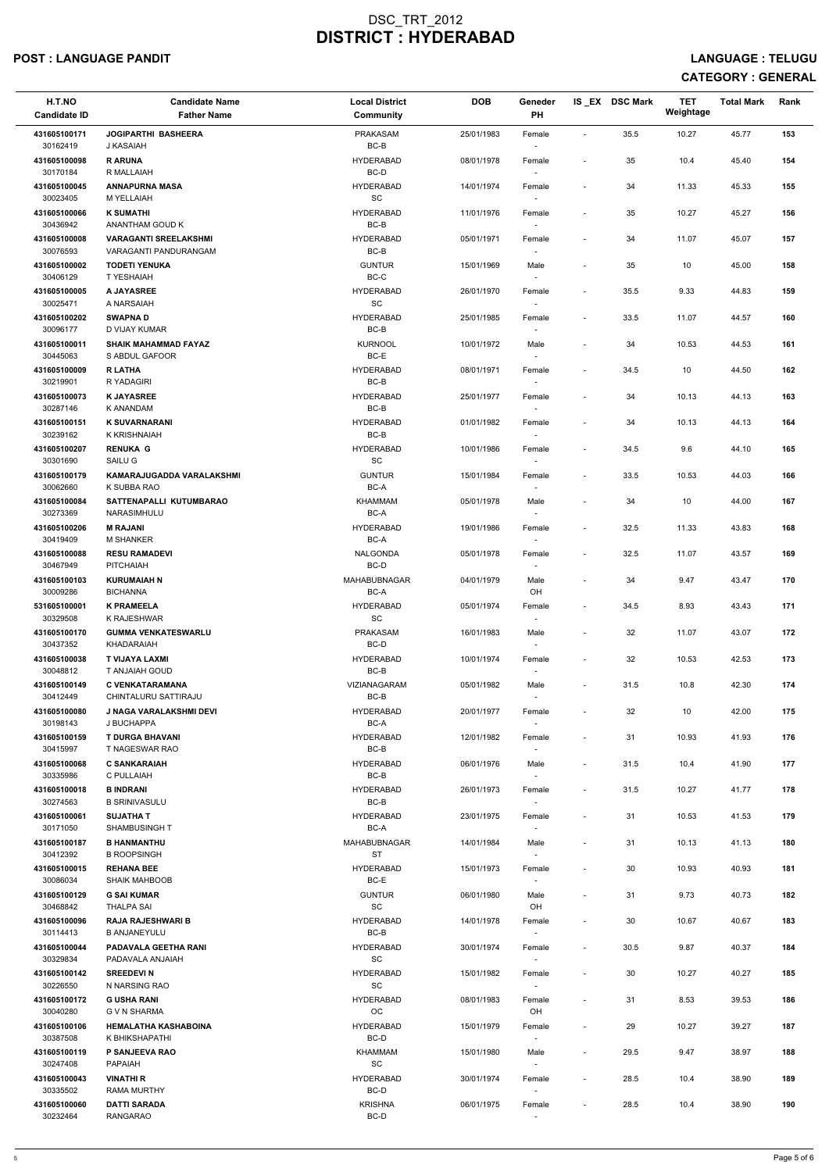### POST : LANGUAGE PANDIT LANGUAGE : TELUGU

| H.T.NO<br><b>Candidate ID</b> | <b>Candidate Name</b><br><b>Father Name</b>     | <b>Local District</b><br>Community | <b>DOB</b> | Geneder<br>PH                      |                          | IS EX DSC Mark | <b>TET</b><br>Weightage | <b>Total Mark</b> | Rank |
|-------------------------------|-------------------------------------------------|------------------------------------|------------|------------------------------------|--------------------------|----------------|-------------------------|-------------------|------|
| 431605100171<br>30162419      | <b>JOGIPARTHI BASHEERA</b><br>J KASAIAH         | PRAKASAM<br>$BC-B$                 | 25/01/1983 | Female                             | $\sim$                   | 35.5           | 10.27                   | 45.77             | 153  |
| 431605100098<br>30170184      | <b>R ARUNA</b><br>R MALLAIAH                    | <b>HYDERABAD</b><br>BC-D           | 08/01/1978 | Female                             | $\blacksquare$           | 35             | 10.4                    | 45.40             | 154  |
| 431605100045<br>30023405      | <b>ANNAPURNA MASA</b><br>M YELLAIAH             | <b>HYDERABAD</b><br>SC             | 14/01/1974 | Female<br>$\sim$                   | $\overline{\phantom{a}}$ | 34             | 11.33                   | 45.33             | 155  |
| 431605100066                  | <b>K SUMATHI</b>                                | <b>HYDERABAD</b>                   | 11/01/1976 | Female                             | $\overline{\phantom{a}}$ | 35             | 10.27                   | 45.27             | 156  |
| 30436942<br>431605100008      | ANANTHAM GOUD K<br><b>VARAGANTI SREELAKSHMI</b> | BC-B<br><b>HYDERABAD</b>           | 05/01/1971 | $\overline{\phantom{a}}$<br>Female | $\overline{\phantom{a}}$ | 34             | 11.07                   | 45.07             | 157  |
| 30076593                      | VARAGANTI PANDURANGAM                           | BC-B                               |            | $\overline{\phantom{a}}$           |                          |                |                         |                   |      |
| 431605100002<br>30406129      | <b>TODETI YENUKA</b><br>T YESHAIAH              | <b>GUNTUR</b><br>BC-C              | 15/01/1969 | Male                               | $\blacksquare$           | 35             | 10                      | 45.00             | 158  |
| 431605100005<br>30025471      | A JAYASREE<br>A NARSAIAH                        | <b>HYDERABAD</b><br>SC             | 26/01/1970 | Female                             | $\overline{\phantom{a}}$ | 35.5           | 9.33                    | 44.83             | 159  |
| 431605100202<br>30096177      | <b>SWAPNAD</b><br>D VIJAY KUMAR                 | <b>HYDERABAD</b><br>BC-B           | 25/01/1985 | Female<br>$\overline{\phantom{a}}$ | $\overline{\phantom{a}}$ | 33.5           | 11.07                   | 44.57             | 160  |
| 431605100011<br>30445063      | <b>SHAIK MAHAMMAD FAYAZ</b><br>S ABDUL GAFOOR   | <b>KURNOOL</b><br>BC-E             | 10/01/1972 | Male<br>$\overline{\phantom{a}}$   | $\overline{\phantom{a}}$ | 34             | 10.53                   | 44.53             | 161  |
| 431605100009<br>30219901      | <b>R LATHA</b><br>R YADAGIRI                    | <b>HYDERABAD</b><br>BC-B           | 08/01/1971 | Female                             | $\blacksquare$           | 34.5           | 10                      | 44.50             | 162  |
| 431605100073                  | <b>K JAYASREE</b>                               | <b>HYDERABAD</b>                   | 25/01/1977 | Female                             | $\overline{\phantom{a}}$ | 34             | 10.13                   | 44.13             | 163  |
| 30287146<br>431605100151      | K ANANDAM<br><b>K SUVARNARANI</b>               | BC-B<br><b>HYDERABAD</b>           | 01/01/1982 | Female                             | $\overline{\phantom{a}}$ | 34             | 10.13                   | 44.13             | 164  |
| 30239162<br>431605100207      | K KRISHNAIAH<br><b>RENUKA G</b>                 | BC-B<br><b>HYDERABAD</b>           | 10/01/1986 | $\sim$<br>Female                   | $\sim$                   | 34.5           | 9.6                     | 44.10             | 165  |
| 30301690<br>431605100179      | SAILU G                                         | <b>SC</b><br><b>GUNTUR</b>         |            |                                    | $\sim$                   |                |                         |                   |      |
| 30062660                      | KAMARAJUGADDA VARALAKSHMI<br>K SUBBA RAO        | BC-A                               | 15/01/1984 | Female<br>$\sim$                   |                          | 33.5           | 10.53                   | 44.03             | 166  |
| 431605100084<br>30273369      | SATTENAPALLI KUTUMBARAO<br>NARASIMHULU          | KHAMMAM<br>BC-A                    | 05/01/1978 | Male                               | $\overline{\phantom{a}}$ | 34             | 10                      | 44.00             | 167  |
| 431605100206<br>30419409      | <b>M RAJANI</b><br><b>M SHANKER</b>             | <b>HYDERABAD</b><br>BC-A           | 19/01/1986 | Female<br>$\overline{\phantom{a}}$ | $\overline{\phantom{a}}$ | 32.5           | 11.33                   | 43.83             | 168  |
| 431605100088<br>30467949      | <b>RESU RAMADEVI</b><br><b>PITCHAIAH</b>        | <b>NALGONDA</b><br>BC-D            | 05/01/1978 | Female<br>$\overline{a}$           | $\overline{\phantom{a}}$ | 32.5           | 11.07                   | 43.57             | 169  |
| 431605100103<br>30009286      | <b>KURUMAIAH N</b><br><b>BICHANNA</b>           | MAHABUBNAGAR<br>BC-A               | 04/01/1979 | Male<br>OH                         | $\blacksquare$           | 34             | 9.47                    | 43.47             | 170  |
| 531605100001                  | <b>K PRAMEELA</b>                               | <b>HYDERABAD</b>                   | 05/01/1974 | Female                             | $\overline{\phantom{a}}$ | 34.5           | 8.93                    | 43.43             | 171  |
| 30329508<br>431605100170      | K RAJESHWAR<br><b>GUMMA VENKATESWARLU</b>       | SC<br><b>PRAKASAM</b>              | 16/01/1983 | $\sim$<br>Male                     | $\overline{\phantom{a}}$ | 32             | 11.07                   | 43.07             | 172  |
| 30437352<br>431605100038      | KHADARAIAH<br>T VIJAYA LAXMI                    | BC-D<br><b>HYDERABAD</b>           | 10/01/1974 | $\overline{\phantom{a}}$<br>Female | $\overline{\phantom{a}}$ | 32             | 10.53                   | 42.53             | 173  |
| 30048812<br>431605100149      | T ANJAIAH GOUD<br><b>C VENKATARAMANA</b>        | BC-B<br>VIZIANAGARAM               | 05/01/1982 | $\sim$<br>Male                     | $\overline{\phantom{a}}$ | 31.5           | 10.8                    | 42.30             | 174  |
| 30412449                      | CHINTALURU SATTIRAJU                            | BC-B                               |            |                                    |                          |                |                         |                   |      |
| 431605100080<br>30198143      | J NAGA VARALAKSHMI DEVI<br>J BUCHAPPA           | <b>HYDERABAD</b><br>BC-A           | 20/01/1977 | Female<br>$\sim$                   | $\blacksquare$           | 32             | 10                      | 42.00             | 175  |
| 431605100159<br>30415997      | <b>T DURGA BHAVANI</b><br>T NAGESWAR RAO        | <b>HYDERABAD</b><br>BC-B           | 12/01/1982 | Female<br>$\overline{\phantom{a}}$ | $\overline{\phantom{a}}$ | 31             | 10.93                   | 41.93             | 176  |
| 431605100068                  | <b>C SANKARAIAH</b>                             | <b>HYDERABAD</b>                   | 06/01/1976 | Male                               | $\sim$                   | 31.5           | 10.4                    | 41.90             | 177  |
| 30335986<br>431605100018      | C PULLAIAH<br><b>B INDRANI</b>                  | BC-B<br><b>HYDERABAD</b>           | 26/01/1973 | $\overline{\phantom{a}}$<br>Female | $\sim$                   | 31.5           | 10.27                   | 41.77             | 178  |
| 30274563<br>431605100061      | <b>B SRINIVASULU</b><br><b>SUJATHAT</b>         | BC-B<br><b>HYDERABAD</b>           | 23/01/1975 | Female                             | $\blacksquare$           | 31             | 10.53                   | 41.53             | 179  |
| 30171050                      | <b>SHAMBUSINGHT</b>                             | BC-A                               |            |                                    |                          |                |                         |                   |      |
| 431605100187<br>30412392      | <b>B HANMANTHU</b><br><b>B ROOPSINGH</b>        | MAHABUBNAGAR<br>ST                 | 14/01/1984 | Male<br>$\sim$                     | $\overline{\phantom{a}}$ | 31             | 10.13                   | 41.13             | 180  |
| 431605100015<br>30086034      | <b>REHANA BEE</b><br><b>SHAIK MAHBOOB</b>       | <b>HYDERABAD</b><br>BC-E           | 15/01/1973 | Female<br>$\sim$                   | $\overline{\phantom{a}}$ | 30             | 10.93                   | 40.93             | 181  |
| 431605100129<br>30468842      | <b>G SAI KUMAR</b><br><b>THALPA SAI</b>         | <b>GUNTUR</b><br>SC                | 06/01/1980 | Male<br>OH                         | $\overline{\phantom{a}}$ | 31             | 9.73                    | 40.73             | 182  |
| 431605100096<br>30114413      | <b>RAJA RAJESHWARI B</b><br><b>B ANJANEYULU</b> | <b>HYDERABAD</b><br>BC-B           | 14/01/1978 | Female                             | $\sim$                   | 30             | 10.67                   | 40.67             | 183  |
| 431605100044                  | <b>PADAVALA GEETHA RANI</b>                     | <b>HYDERABAD</b>                   | 30/01/1974 | Female                             | $\sim$                   | 30.5           | 9.87                    | 40.37             | 184  |
| 30329834<br>431605100142      | PADAVALA ANJAIAH<br><b>SREEDEVIN</b>            | SC<br><b>HYDERABAD</b>             | 15/01/1982 | $\overline{\phantom{a}}$<br>Female | $\overline{\phantom{a}}$ | 30             | 10.27                   | 40.27             | 185  |
| 30226550<br>431605100172      | N NARSING RAO<br><b>G USHA RANI</b>             | SC<br><b>HYDERABAD</b>             | 08/01/1983 | $\overline{\phantom{a}}$<br>Female | $\overline{\phantom{a}}$ | 31             | 8.53                    | 39.53             | 186  |
| 30040280<br>431605100106      | G V N SHARMA<br><b>HEMALATHA KASHABOINA</b>     | OC<br><b>HYDERABAD</b>             | 15/01/1979 | OH<br>Female                       | $\overline{\phantom{a}}$ | 29             | 10.27                   | 39.27             | 187  |
| 30387508                      | K BHIKSHAPATHI                                  | BC-D                               |            | $\overline{\phantom{a}}$           |                          |                |                         |                   |      |
| 431605100119<br>30247408      | P SANJEEVA RAO<br>PAPAIAH                       | KHAMMAM<br>SC                      | 15/01/1980 | Male<br>$\sim$                     | $\blacksquare$           | 29.5           | 9.47                    | 38.97             | 188  |
| 431605100043<br>30335502      | <b>VINATHI R</b><br><b>RAMA MURTHY</b>          | <b>HYDERABAD</b><br>BC-D           | 30/01/1974 | Female<br>$\sim$                   | $\sim$                   | 28.5           | 10.4                    | 38.90             | 189  |
| 431605100060<br>30232464      | <b>DATTI SARADA</b><br><b>RANGARAO</b>          | <b>KRISHNA</b><br>BC-D             | 06/01/1975 | Female<br>$\sim$                   | $\overline{\phantom{a}}$ | 28.5           | 10.4                    | 38.90             | 190  |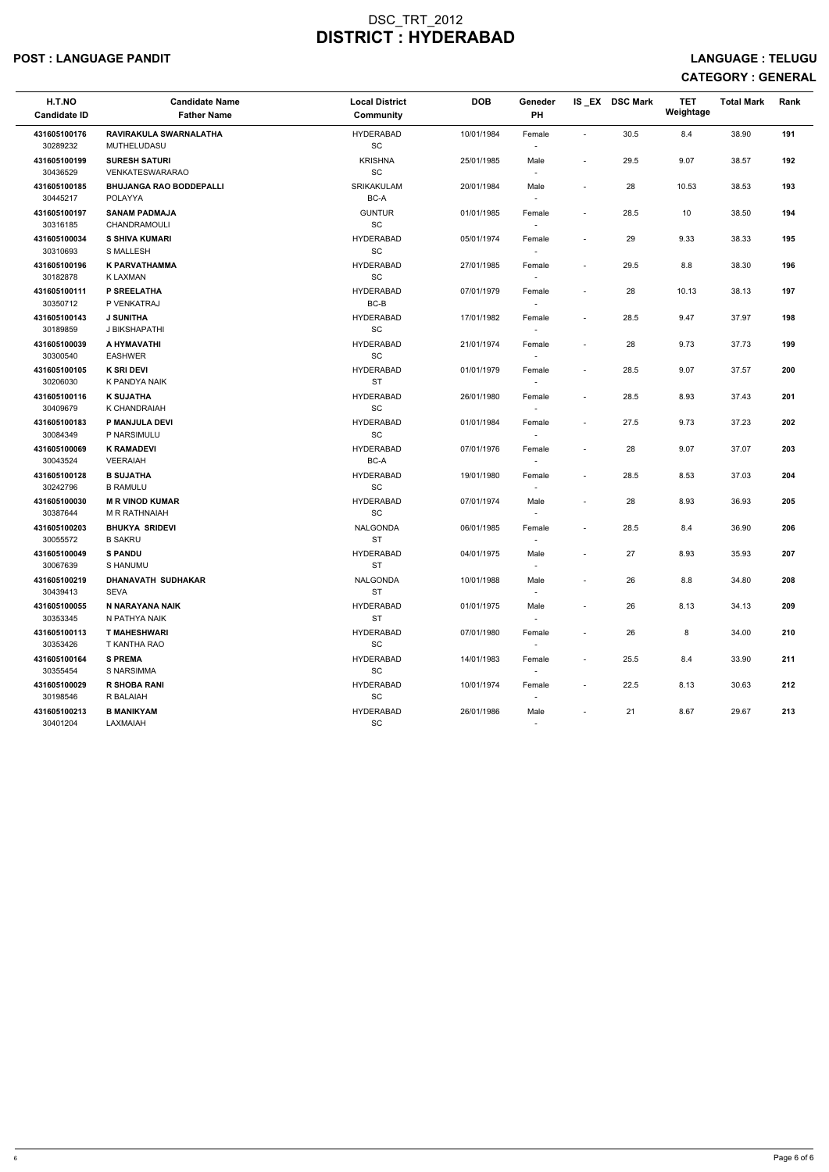### POST : LANGUAGE PANDIT LANGUAGE : TELUGU

| H.T.NO<br><b>Candidate ID</b> | <b>Candidate Name</b><br><b>Father Name</b> | <b>Local District</b><br><b>Community</b> | <b>DOB</b> | Geneder<br>PH            |                          | IS EX DSC Mark | <b>TET</b><br>Weightage | <b>Total Mark</b> | Rank |
|-------------------------------|---------------------------------------------|-------------------------------------------|------------|--------------------------|--------------------------|----------------|-------------------------|-------------------|------|
| 431605100176                  | RAVIRAKULA SWARNALATHA                      | <b>HYDERABAD</b>                          | 10/01/1984 | Female                   | $\sim$                   | 30.5           | 8.4                     | 38.90             | 191  |
| 30289232                      | MUTHELUDASU                                 | SC                                        |            |                          |                          |                |                         |                   |      |
| 431605100199                  | <b>SURESH SATURI</b>                        | <b>KRISHNA</b>                            | 25/01/1985 | Male                     | $\overline{\phantom{a}}$ | 29.5           | 9.07                    | 38.57             | 192  |
| 30436529                      | VENKATESWARARAO                             | $\operatorname{\textsf{SC}}$              |            | $\overline{\phantom{a}}$ |                          |                |                         |                   |      |
| 431605100185                  | <b>BHUJANGA RAO BODDEPALLI</b>              | <b>SRIKAKULAM</b>                         | 20/01/1984 | Male                     | $\overline{\phantom{a}}$ | 28             | 10.53                   | 38.53             | 193  |
| 30445217                      | <b>POLAYYA</b>                              | BC-A                                      |            | $\overline{\phantom{a}}$ |                          |                |                         |                   |      |
| 431605100197                  | <b>SANAM PADMAJA</b>                        | <b>GUNTUR</b>                             | 01/01/1985 | Female                   | $\overline{\phantom{a}}$ | 28.5           | 10                      | 38.50             | 194  |
| 30316185                      | CHANDRAMOULI                                | SC                                        |            |                          |                          |                |                         |                   |      |
| 431605100034                  | <b>S SHIVA KUMARI</b>                       | <b>HYDERABAD</b>                          | 05/01/1974 | Female                   | $\sim$                   | 29             | 9.33                    | 38.33             | 195  |
| 30310693                      | <b>S MALLESH</b>                            | SC                                        |            | $\sim$                   |                          |                |                         |                   |      |
| 431605100196                  | K PARVATHAMMA                               | <b>HYDERABAD</b>                          | 27/01/1985 | Female                   | $\overline{\phantom{a}}$ | 29.5           | 8.8                     | 38.30             | 196  |
| 30182878                      | K LAXMAN                                    | <b>SC</b>                                 |            | $\sim$                   |                          |                |                         |                   |      |
| 431605100111<br>30350712      | P SREELATHA<br>P VENKATRAJ                  | <b>HYDERABAD</b><br>BC-B                  | 07/01/1979 | Female<br>$\sim$         | $\overline{\phantom{a}}$ | 28             | 10.13                   | 38.13             | 197  |
| 431605100143                  | <b>J SUNITHA</b>                            | <b>HYDERABAD</b>                          | 17/01/1982 | Female                   | $\sim$                   | 28.5           | 9.47                    | 37.97             | 198  |
| 30189859                      | J BIKSHAPATHI                               | SC                                        |            |                          |                          |                |                         |                   |      |
| 431605100039                  | A HYMAVATHI                                 | <b>HYDERABAD</b>                          | 21/01/1974 | Female                   | $\sim$                   | 28             | 9.73                    | 37.73             | 199  |
| 30300540                      | <b>EASHWER</b>                              | SC                                        |            | $\overline{\phantom{a}}$ |                          |                |                         |                   |      |
| 431605100105                  | <b>K SRI DEVI</b>                           | <b>HYDERABAD</b>                          | 01/01/1979 | Female                   | $\overline{\phantom{a}}$ | 28.5           | 9.07                    | 37.57             | 200  |
| 30206030                      | K PANDYA NAIK                               | <b>ST</b>                                 |            |                          |                          |                |                         |                   |      |
| 431605100116                  | <b>K SUJATHA</b>                            | <b>HYDERABAD</b>                          | 26/01/1980 | Female                   | $\overline{\phantom{a}}$ | 28.5           | 8.93                    | 37.43             | 201  |
| 30409679                      | K CHANDRAIAH                                | <b>SC</b>                                 |            | $\sim$                   |                          |                |                         |                   |      |
| 431605100183                  | P MANJULA DEVI                              | <b>HYDERABAD</b>                          | 01/01/1984 | Female                   | $\overline{\phantom{a}}$ | 27.5           | 9.73                    | 37.23             | 202  |
| 30084349                      | P NARSIMULU                                 | SC                                        |            |                          |                          |                |                         |                   |      |
| 431605100069                  | <b>K RAMADEVI</b>                           | <b>HYDERABAD</b>                          | 07/01/1976 | Female                   | $\sim$                   | 28             | 9.07                    | 37.07             | 203  |
| 30043524                      | <b>VEERAIAH</b>                             | BC-A                                      |            |                          |                          |                |                         |                   |      |
| 431605100128                  | <b>B SUJATHA</b>                            | <b>HYDERABAD</b>                          | 19/01/1980 | Female                   | $\overline{\phantom{a}}$ | 28.5           | 8.53                    | 37.03             | 204  |
| 30242796                      | <b>B RAMULU</b>                             | SC                                        |            | $\sim$                   |                          |                |                         |                   |      |
| 431605100030                  | <b>M R VINOD KUMAR</b>                      | <b>HYDERABAD</b>                          | 07/01/1974 | Male                     | $\overline{\phantom{a}}$ | 28             | 8.93                    | 36.93             | 205  |
| 30387644                      | <b>M R RATHNAIAH</b>                        | SC                                        |            |                          |                          |                |                         |                   |      |
| 431605100203                  | <b>BHUKYA SRIDEVI</b>                       | NALGONDA                                  | 06/01/1985 | Female                   |                          | 28.5           | 8.4                     | 36.90             | 206  |
| 30055572                      | <b>B SAKRU</b>                              | ST                                        |            | $\overline{\phantom{a}}$ |                          |                |                         |                   |      |
| 431605100049                  | <b>S PANDU</b>                              | <b>HYDERABAD</b>                          | 04/01/1975 | Male                     | $\overline{\phantom{a}}$ | 27             | 8.93                    | 35.93             | 207  |
| 30067639                      | S HANUMU                                    | <b>ST</b>                                 |            | $\sim$                   |                          |                |                         |                   |      |
| 431605100219                  | DHANAVATH SUDHAKAR                          | NALGONDA                                  | 10/01/1988 | Male                     | $\blacksquare$           | 26             | 8.8                     | 34.80             | 208  |
| 30439413                      | SEVA                                        | <b>ST</b>                                 |            | $\sim$                   |                          |                |                         |                   |      |
| 431605100055                  | N NARAYANA NAIK                             | <b>HYDERABAD</b>                          | 01/01/1975 | Male                     | $\overline{\phantom{a}}$ | 26             | 8.13                    | 34.13             | 209  |
| 30353345                      | N PATHYA NAIK                               | ST                                        |            | $\sim$                   |                          |                |                         |                   |      |
| 431605100113                  | <b>T MAHESHWARI</b>                         | <b>HYDERABAD</b>                          | 07/01/1980 | Female                   | $\overline{\phantom{a}}$ | 26             | 8                       | 34.00             | 210  |
| 30353426                      | T KANTHA RAO                                | SC                                        |            | $\sim$                   |                          |                |                         |                   |      |
| 431605100164<br>30355454      | <b>S PREMA</b>                              | <b>HYDERABAD</b><br>SC                    | 14/01/1983 | Female                   | $\overline{\phantom{a}}$ | 25.5           | 8.4                     | 33.90             | 211  |
|                               | S NARSIMMA                                  |                                           |            | $\sim$                   |                          |                |                         |                   |      |
| 431605100029<br>30198546      | <b>R SHOBA RANI</b><br>R BALAIAH            | <b>HYDERABAD</b><br>SC                    | 10/01/1974 | Female<br>$\sim$         | $\sim$                   | 22.5           | 8.13                    | 30.63             | 212  |
|                               |                                             |                                           |            |                          |                          |                |                         |                   |      |
| 431605100213<br>30401204      | <b>B MANIKYAM</b><br>LAXMAIAH               | <b>HYDERABAD</b><br>SC                    | 26/01/1986 | Male<br>$\sim$           | $\sim$                   | 21             | 8.67                    | 29.67             | 213  |
|                               |                                             |                                           |            |                          |                          |                |                         |                   |      |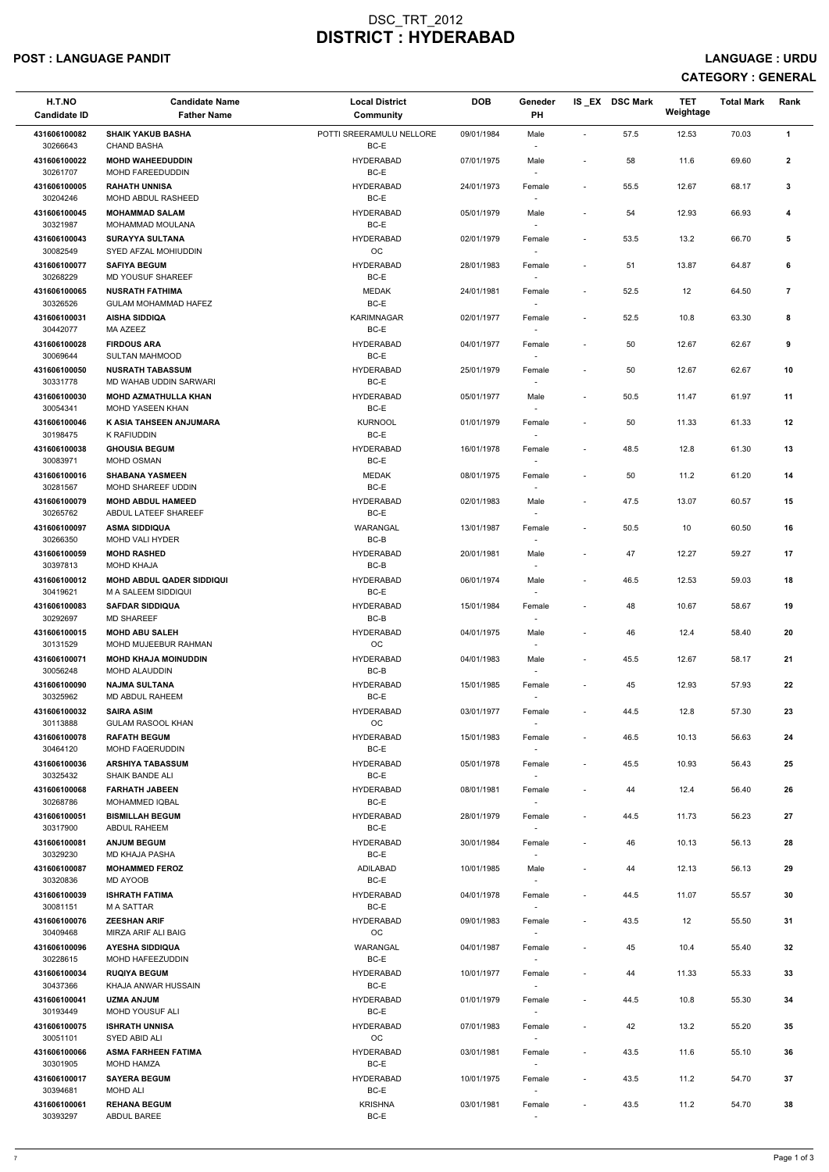### POST : LANGUAGE PANDIT LANGUAGE : URDU

| H.T.NO<br><b>Candidate ID</b> | <b>Candidate Name</b><br><b>Father Name</b>             | <b>Local District</b><br><b>Community</b> | <b>DOB</b> | Geneder<br><b>PH</b>               |                          | IS EX DSC Mark | <b>TET</b><br>Weightage | <b>Total Mark</b> | Rank           |
|-------------------------------|---------------------------------------------------------|-------------------------------------------|------------|------------------------------------|--------------------------|----------------|-------------------------|-------------------|----------------|
| 431606100082<br>30266643      | <b>SHAIK YAKUB BASHA</b><br><b>CHAND BASHA</b>          | POTTI SREERAMULU NELLORE<br>BC-E          | 09/01/1984 | Male<br>$\sim$                     | $\sim$                   | 57.5           | 12.53                   | 70.03             | $\mathbf{1}$   |
| 431606100022<br>30261707      | <b>MOHD WAHEEDUDDIN</b><br>MOHD FAREEDUDDIN             | <b>HYDERABAD</b><br>BC-E                  | 07/01/1975 | Male<br>$\overline{\phantom{a}}$   | $\overline{\phantom{a}}$ | 58             | 11.6                    | 69.60             | $\mathbf{2}$   |
| 431606100005                  | <b>RAHATH UNNISA</b>                                    | <b>HYDERABAD</b>                          | 24/01/1973 | Female                             | $\overline{\phantom{a}}$ | 55.5           | 12.67                   | 68.17             | 3              |
| 30204246<br>431606100045      | MOHD ABDUL RASHEED<br><b>MOHAMMAD SALAM</b>             | BC-E<br><b>HYDERABAD</b>                  | 05/01/1979 | $\sim$<br>Male                     | $\overline{\phantom{a}}$ | 54             | 12.93                   | 66.93             | 4              |
| 30321987                      | <b>MOHAMMAD MOULANA</b>                                 | BC-E                                      |            | $\overline{\phantom{a}}$           |                          |                |                         |                   |                |
| 431606100043<br>30082549      | <b>SURAYYA SULTANA</b><br>SYED AFZAL MOHIUDDIN          | <b>HYDERABAD</b><br>OC                    | 02/01/1979 | Female<br>$\sim$                   | $\blacksquare$           | 53.5           | 13.2                    | 66.70             | 5              |
| 431606100077<br>30268229      | <b>SAFIYA BEGUM</b><br>MD YOUSUF SHAREEF                | <b>HYDERABAD</b><br>BC-E                  | 28/01/1983 | Female                             | $\overline{\phantom{a}}$ | 51             | 13.87                   | 64.87             | 6              |
| 431606100065<br>30326526      | <b>NUSRATH FATHIMA</b><br><b>GULAM MOHAMMAD HAFEZ</b>   | <b>MEDAK</b><br>BC-E                      | 24/01/1981 | Female                             | $\sim$                   | 52.5           | 12                      | 64.50             | $\overline{7}$ |
| 431606100031<br>30442077      | <b>AISHA SIDDIQA</b><br>MA AZEEZ                        | <b>KARIMNAGAR</b><br>BC-E                 | 02/01/1977 | Female<br>$\overline{\phantom{a}}$ | $\sim$                   | 52.5           | 10.8                    | 63.30             | 8              |
| 431606100028<br>30069644      | <b>FIRDOUS ARA</b><br><b>SULTAN MAHMOOD</b>             | <b>HYDERABAD</b><br>BC-E                  | 04/01/1977 | Female<br>$\overline{\phantom{a}}$ | $\blacksquare$           | 50             | 12.67                   | 62.67             | 9              |
| 431606100050<br>30331778      | <b>NUSRATH TABASSUM</b><br>MD WAHAB UDDIN SARWARI       | <b>HYDERABAD</b><br>BC-E                  | 25/01/1979 | Female<br>$\sim$                   | $\overline{\phantom{a}}$ | 50             | 12.67                   | 62.67             | 10             |
| 431606100030<br>30054341      | <b>MOHD AZMATHULLA KHAN</b><br><b>MOHD YASEEN KHAN</b>  | <b>HYDERABAD</b><br>BC-E                  | 05/01/1977 | Male                               | $\overline{\phantom{a}}$ | 50.5           | 11.47                   | 61.97             | 11             |
| 431606100046                  | K ASIA TAHSEEN ANJUMARA                                 | <b>KURNOOL</b>                            | 01/01/1979 | Female                             | $\overline{\phantom{a}}$ | 50             | 11.33                   | 61.33             | 12             |
| 30198475<br>431606100038      | K RAFIUDDIN<br><b>GHOUSIA BEGUM</b>                     | BC-E<br><b>HYDERABAD</b>                  | 16/01/1978 | $\overline{\phantom{a}}$<br>Female | $\overline{\phantom{a}}$ | 48.5           | 12.8                    | 61.30             | 13             |
| 30083971<br>431606100016      | MOHD OSMAN<br><b>SHABANA YASMEEN</b>                    | BC-E<br><b>MEDAK</b>                      | 08/01/1975 | Female                             | $\overline{\phantom{a}}$ | 50             | 11.2                    | 61.20             | 14             |
| 30281567<br>431606100079      | MOHD SHAREEF UDDIN<br><b>MOHD ABDUL HAMEED</b>          | BC-E<br><b>HYDERABAD</b>                  | 02/01/1983 | $\sim$<br>Male                     | $\sim$                   | 47.5           | 13.07                   | 60.57             | 15             |
| 30265762                      | ABDUL LATEEF SHAREEF                                    | BC-E                                      |            |                                    |                          |                |                         |                   |                |
| 431606100097<br>30266350      | <b>ASMA SIDDIQUA</b><br><b>MOHD VALI HYDER</b>          | WARANGAL<br>BC-B                          | 13/01/1987 | Female<br>$\overline{\phantom{a}}$ | $\overline{\phantom{a}}$ | 50.5           | 10                      | 60.50             | 16             |
| 431606100059<br>30397813      | <b>MOHD RASHED</b><br><b>MOHD KHAJA</b>                 | <b>HYDERABAD</b><br>BC-B                  | 20/01/1981 | Male<br>$\overline{\phantom{a}}$   | $\overline{\phantom{a}}$ | 47             | 12.27                   | 59.27             | 17             |
| 431606100012<br>30419621      | <b>MOHD ABDUL QADER SIDDIQUI</b><br>M A SALEEM SIDDIQUI | <b>HYDERABAD</b><br>BC-E                  | 06/01/1974 | Male<br>$\sim$                     | $\sim$                   | 46.5           | 12.53                   | 59.03             | 18             |
| 431606100083<br>30292697      | <b>SAFDAR SIDDIQUA</b><br><b>MD SHAREEF</b>             | <b>HYDERABAD</b><br>BC-B                  | 15/01/1984 | Female<br>$\sim$                   | $\blacksquare$           | 48             | 10.67                   | 58.67             | 19             |
| 431606100015<br>30131529      | <b>MOHD ABU SALEH</b><br>MOHD MUJEEBUR RAHMAN           | <b>HYDERABAD</b><br><b>OC</b>             | 04/01/1975 | Male<br>$\sim$                     | $\overline{\phantom{a}}$ | 46             | 12.4                    | 58.40             | 20             |
| 431606100071                  | <b>MOHD KHAJA MOINUDDIN</b>                             | <b>HYDERABAD</b>                          | 04/01/1983 | Male                               | $\overline{\phantom{a}}$ | 45.5           | 12.67                   | 58.17             | 21             |
| 30056248<br>431606100090      | <b>MOHD ALAUDDIN</b><br><b>NAJMA SULTANA</b>            | BC-B<br><b>HYDERABAD</b>                  | 15/01/1985 | $\sim$<br>Female                   | $\blacksquare$           | 45             | 12.93                   | 57.93             | 22             |
| 30325962<br>431606100032      | MD ABDUL RAHEEM<br><b>SAIRA ASIM</b>                    | BC-E<br><b>HYDERABAD</b>                  | 03/01/1977 | Female                             | $\overline{\phantom{a}}$ | 44.5           | 12.8                    | 57.30             | 23             |
| 30113888                      | <b>GULAM RASOOL KHAN</b>                                | <b>OC</b>                                 |            |                                    |                          |                |                         |                   |                |
| 431606100078<br>30464120      | <b>RAFATH BEGUM</b><br><b>MOHD FAQERUDDIN</b>           | <b>HYDERABAD</b><br>BC-E                  | 15/01/1983 | Female<br>$\sim$                   | $\overline{\phantom{a}}$ | 46.5           | 10.13                   | 56.63             | 24             |
| 431606100036<br>30325432      | <b>ARSHIYA TABASSUM</b><br><b>SHAIK BANDE ALI</b>       | <b>HYDERABAD</b><br>BC-E                  | 05/01/1978 | Female<br>$\sim$                   | $\blacksquare$           | 45.5           | 10.93                   | 56.43             | 25             |
| 431606100068<br>30268786      | <b>FARHATH JABEEN</b><br><b>MOHAMMED IQBAL</b>          | <b>HYDERABAD</b><br>BC-E                  | 08/01/1981 | Female                             | $\blacksquare$           | 44             | 12.4                    | 56.40             | 26             |
| 431606100051<br>30317900      | <b>BISMILLAH BEGUM</b><br>ABDUL RAHEEM                  | <b>HYDERABAD</b><br>BC-E                  | 28/01/1979 | Female                             | $\overline{\phantom{a}}$ | 44.5           | 11.73                   | 56.23             | 27             |
| 431606100081<br>30329230      | <b>ANJUM BEGUM</b><br><b>MD KHAJA PASHA</b>             | <b>HYDERABAD</b><br>BC-E                  | 30/01/1984 | Female<br>$\sim$                   | $\overline{\phantom{a}}$ | 46             | 10.13                   | 56.13             | 28             |
| 431606100087                  | <b>MOHAMMED FEROZ</b>                                   | ADILABAD                                  | 10/01/1985 | Male                               | $\overline{\phantom{a}}$ | 44             | 12.13                   | 56.13             | 29             |
| 30320836<br>431606100039      | <b>MD AYOOB</b><br><b>ISHRATH FATIMA</b>                | BC-E<br><b>HYDERABAD</b>                  | 04/01/1978 | $\sim$<br>Female                   | $\blacksquare$           | 44.5           | 11.07                   | 55.57             | 30             |
| 30081151                      | M A SATTAR                                              | BC-E                                      |            | $\sim$                             |                          |                |                         |                   |                |
| 431606100076<br>30409468      | <b>ZEESHAN ARIF</b><br>MIRZA ARIF ALI BAIG              | <b>HYDERABAD</b><br><b>OC</b>             | 09/01/1983 | Female                             | $\blacksquare$           | 43.5           | 12                      | 55.50             | 31             |
| 431606100096                  | <b>AYESHA SIDDIQUA</b>                                  | WARANGAL                                  | 04/01/1987 | Female                             | $\overline{\phantom{a}}$ | 45             | 10.4                    | 55.40             | 32             |
| 30228615<br>431606100034      | MOHD HAFEEZUDDIN<br><b>RUQIYA BEGUM</b>                 | BC-E<br><b>HYDERABAD</b>                  | 10/01/1977 | Female                             | $\overline{\phantom{a}}$ | 44             | 11.33                   | 55.33             | 33             |
| 30437366                      | KHAJA ANWAR HUSSAIN                                     | BC-E                                      |            | $\overline{\phantom{a}}$           |                          |                |                         |                   |                |
| 431606100041<br>30193449      | <b>UZMA ANJUM</b><br>MOHD YOUSUF ALI                    | <b>HYDERABAD</b><br>BC-E                  | 01/01/1979 | Female                             | $\overline{\phantom{a}}$ | 44.5           | 10.8                    | 55.30             | 34             |
| 431606100075<br>30051101      | <b>ISHRATH UNNISA</b><br>SYED ABID ALI                  | <b>HYDERABAD</b><br>OC                    | 07/01/1983 | Female<br>$\sim$                   | $\overline{\phantom{a}}$ | 42             | 13.2                    | 55.20             | 35             |
| 431606100066<br>30301905      | <b>ASMA FARHEEN FATIMA</b><br><b>MOHD HAMZA</b>         | <b>HYDERABAD</b><br>BC-E                  | 03/01/1981 | Female<br>$\sim$                   | $\overline{\phantom{a}}$ | 43.5           | 11.6                    | 55.10             | 36             |
| 431606100017<br>30394681      | <b>SAYERA BEGUM</b><br>MOHD ALI                         | <b>HYDERABAD</b><br>BC-E                  | 10/01/1975 | Female<br>$\overline{\phantom{a}}$ | $\overline{\phantom{a}}$ | 43.5           | 11.2                    | 54.70             | 37             |
| 431606100061                  | <b>REHANA BEGUM</b>                                     | <b>KRISHNA</b>                            | 03/01/1981 | Female                             | $\overline{\phantom{a}}$ | 43.5           | 11.2                    | 54.70             | 38             |
| 30393297                      | ABDUL BAREE                                             | BC-E                                      |            | $\overline{\phantom{a}}$           |                          |                |                         |                   |                |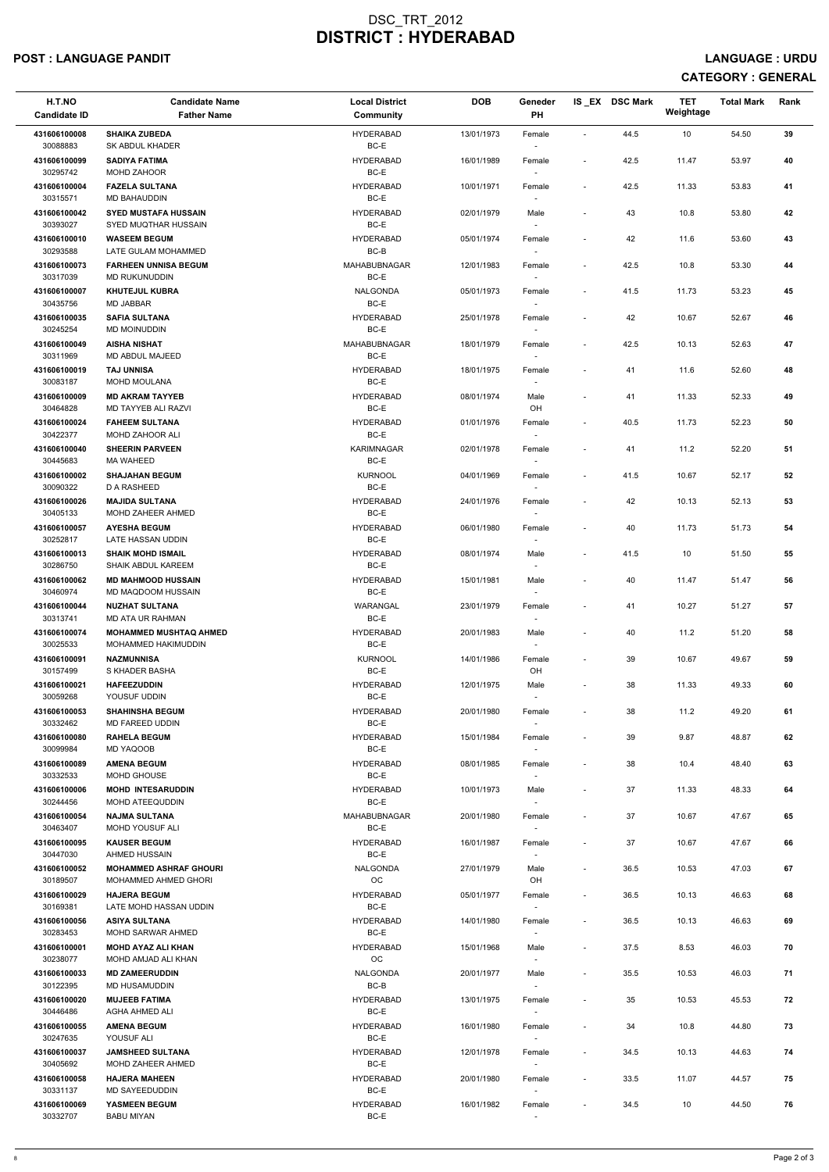### POST : LANGUAGE PANDIT LANGUAGE : URDU

| H.T.NO<br><b>Candidate ID</b> | <b>Candidate Name</b><br><b>Father Name</b>                 | <b>Local District</b><br><b>Community</b> | <b>DOB</b> | Geneder<br><b>PH</b>               |                          | IS EX DSC Mark | <b>TET</b><br>Weightage | <b>Total Mark</b> | Rank |
|-------------------------------|-------------------------------------------------------------|-------------------------------------------|------------|------------------------------------|--------------------------|----------------|-------------------------|-------------------|------|
| 431606100008<br>30088883      | <b>SHAIKA ZUBEDA</b><br>SK ABDUL KHADER                     | <b>HYDERABAD</b><br>BC-E                  | 13/01/1973 | Female                             | $\blacksquare$           | 44.5           | 10                      | 54.50             | 39   |
| 431606100099<br>30295742      | <b>SADIYA FATIMA</b><br>MOHD ZAHOOR                         | <b>HYDERABAD</b><br>BC-E                  | 16/01/1989 | Female                             | $\blacksquare$           | 42.5           | 11.47                   | 53.97             | 40   |
| 431606100004<br>30315571      | <b>FAZELA SULTANA</b><br>MD BAHAUDDIN                       | <b>HYDERABAD</b><br>BC-E                  | 10/01/1971 | Female<br>$\sim$                   | $\blacksquare$           | 42.5           | 11.33                   | 53.83             | 41   |
| 431606100042<br>30393027      | <b>SYED MUSTAFA HUSSAIN</b><br>SYED MUQTHAR HUSSAIN         | <b>HYDERABAD</b><br>BC-E                  | 02/01/1979 | Male<br>$\sim$                     | $\overline{\phantom{a}}$ | 43             | 10.8                    | 53.80             | 42   |
| 431606100010                  | <b>WASEEM BEGUM</b>                                         | <b>HYDERABAD</b>                          | 05/01/1974 | Female                             | $\overline{\phantom{a}}$ | 42             | 11.6                    | 53.60             | 43   |
| 30293588                      | LATE GULAM MOHAMMED                                         | BC-B                                      |            | $\sim$                             |                          |                |                         |                   |      |
| 431606100073                  | <b>FARHEEN UNNISA BEGUM</b>                                 | MAHABUBNAGAR                              | 12/01/1983 | Female                             | $\overline{\phantom{a}}$ | 42.5           | 10.8                    | 53.30             | 44   |
| 30317039                      | <b>MD RUKUNUDDIN</b>                                        | BC-E                                      |            |                                    |                          |                |                         |                   |      |
| 431606100007<br>30435756      | <b>KHUTEJUL KUBRA</b><br><b>MD JABBAR</b>                   | <b>NALGONDA</b><br>BC-E                   | 05/01/1973 | Female                             | $\blacksquare$           | 41.5           | 11.73                   | 53.23             | 45   |
| 431606100035<br>30245254      | <b>SAFIA SULTANA</b><br>MD MOINUDDIN                        | <b>HYDERABAD</b><br>BC-E                  | 25/01/1978 | Female                             | $\overline{\phantom{a}}$ | 42             | 10.67                   | 52.67             | 46   |
| 431606100049                  | <b>AISHA NISHAT</b>                                         | MAHABUBNAGAR                              | 18/01/1979 | Female                             | $\sim$                   | 42.5           | 10.13                   | 52.63             | 47   |
| 30311969                      | MD ABDUL MAJEED                                             | BC-E                                      |            | $\overline{\phantom{a}}$           |                          |                |                         |                   |      |
| 431606100019<br>30083187      | <b>TAJ UNNISA</b><br>MOHD MOULANA                           | <b>HYDERABAD</b><br>BC-E                  | 18/01/1975 | Female                             | $\overline{\phantom{a}}$ | 41             | 11.6                    | 52.60             | 48   |
| 431606100009<br>30464828      | <b>MD AKRAM TAYYEB</b><br>MD TAYYEB ALI RAZVI               | <b>HYDERABAD</b><br>BC-E                  | 08/01/1974 | Male<br>OH                         | $\overline{\phantom{a}}$ | 41             | 11.33                   | 52.33             | 49   |
| 431606100024                  | <b>FAHEEM SULTANA</b>                                       | <b>HYDERABAD</b>                          | 01/01/1976 | Female                             | $\overline{\phantom{a}}$ | 40.5           | 11.73                   | 52.23             | 50   |
| 30422377                      | MOHD ZAHOOR ALI                                             | BC-E                                      |            | $\sim$                             |                          |                |                         |                   |      |
| 431606100040<br>30445683      | <b>SHEERIN PARVEEN</b><br><b>MA WAHEED</b>                  | <b>KARIMNAGAR</b><br>BC-E                 | 02/01/1978 | Female<br>$\overline{\phantom{a}}$ | $\overline{\phantom{a}}$ | 41             | 11.2                    | 52.20             | 51   |
| 431606100002                  | <b>SHAJAHAN BEGUM</b>                                       | <b>KURNOOL</b>                            | 04/01/1969 | Female                             | $\overline{\phantom{a}}$ | 41.5           | 10.67                   | 52.17             | 52   |
| 30090322                      | D A RASHEED                                                 | BC-E                                      |            | $\sim$                             |                          |                |                         |                   |      |
| 431606100026<br>30405133      | <b>MAJIDA SULTANA</b><br>MOHD ZAHEER AHMED                  | <b>HYDERABAD</b><br>$BC-E$                | 24/01/1976 | Female                             | $\blacksquare$           | 42             | 10.13                   | 52.13             | 53   |
| 431606100057                  | <b>AYESHA BEGUM</b>                                         | <b>HYDERABAD</b>                          | 06/01/1980 | Female                             | $\blacksquare$           | 40             | 11.73                   | 51.73             | 54   |
| 30252817                      | LATE HASSAN UDDIN                                           | BC-E                                      |            | $\overline{\phantom{a}}$           |                          |                |                         |                   |      |
| 431606100013<br>30286750      | <b>SHAIK MOHD ISMAIL</b><br><b>SHAIK ABDUL KAREEM</b>       | <b>HYDERABAD</b><br>BC-E                  | 08/01/1974 | Male                               | $\overline{\phantom{a}}$ | 41.5           | 10                      | 51.50             | 55   |
| 431606100062<br>30460974      | <b>MD MAHMOOD HUSSAIN</b><br>MD MAQDOOM HUSSAIN             | <b>HYDERABAD</b><br>BC-E                  | 15/01/1981 | Male                               | $\overline{\phantom{a}}$ | 40             | 11.47                   | 51.47             | 56   |
| 431606100044<br>30313741      | <b>NUZHAT SULTANA</b><br>MD ATA UR RAHMAN                   | WARANGAL<br>BC-E                          | 23/01/1979 | Female<br>$\overline{\phantom{a}}$ | $\blacksquare$           | 41             | 10.27                   | 51.27             | 57   |
| 431606100074<br>30025533      | <b>MOHAMMED MUSHTAQ AHMED</b><br><b>MOHAMMED HAKIMUDDIN</b> | <b>HYDERABAD</b><br>BC-E                  | 20/01/1983 | Male<br>$\sim$                     | $\overline{\phantom{a}}$ | 40             | 11.2                    | 51.20             | 58   |
| 431606100091<br>30157499      | <b>NAZMUNNISA</b><br>S KHADER BASHA                         | <b>KURNOOL</b><br>BC-E                    | 14/01/1986 | Female<br>OH                       | $\blacksquare$           | 39             | 10.67                   | 49.67             | 59   |
| 431606100021                  | <b>HAFEEZUDDIN</b>                                          | <b>HYDERABAD</b>                          | 12/01/1975 | Male                               | $\overline{\phantom{a}}$ | 38             | 11.33                   | 49.33             | 60   |
| 30059268                      | YOUSUF UDDIN                                                | BC-E                                      |            |                                    |                          |                |                         |                   |      |
| 431606100053<br>30332462      | <b>SHAHINSHA BEGUM</b><br><b>MD FAREED UDDIN</b>            | <b>HYDERABAD</b><br>BC-E                  | 20/01/1980 | Female                             | $\blacksquare$           | 38             | 11.2                    | 49.20             | 61   |
| 431606100080                  | <b>RAHELA BEGUM</b>                                         | <b>HYDERABAD</b>                          | 15/01/1984 | $\sim$<br>Female                   | $\blacksquare$           | 39             | 9.87                    | 48.87             | 62   |
| 30099984                      | MD YAQOOB                                                   | BC-E                                      |            | $\sim$                             |                          |                |                         |                   |      |
| 431606100089                  | <b>AMENA BEGUM</b>                                          | <b>HYDERABAD</b>                          | 08/01/1985 | Female                             | $\blacksquare$           | 38             | 10.4                    | 48.40             | 63   |
| 30332533                      | <b>MOHD GHOUSE</b>                                          | BC-E                                      |            | $\overline{\phantom{a}}$           |                          |                |                         |                   |      |
| 431606100006<br>30244456      | <b>MOHD INTESARUDDIN</b><br><b>MOHD ATEEQUDDIN</b>          | <b>HYDERABAD</b><br>BC-E                  | 10/01/1973 | Male                               | $\blacksquare$           | 37             | 11.33                   | 48.33             | 64   |
| 431606100054<br>30463407      | <b>NAJMA SULTANA</b><br>MOHD YOUSUF ALI                     | <b>MAHABUBNAGAR</b><br>BC-E               | 20/01/1980 | Female                             | $\overline{\phantom{a}}$ | 37             | 10.67                   | 47.67             | 65   |
| 431606100095<br>30447030      | <b>KAUSER BEGUM</b><br>AHMED HUSSAIN                        | <b>HYDERABAD</b><br>BC-E                  | 16/01/1987 | Female<br>$\sim$                   | $\blacksquare$           | 37             | 10.67                   | 47.67             | 66   |
| 431606100052                  | <b>MOHAMMED ASHRAF GHOURI</b>                               | NALGONDA                                  | 27/01/1979 | Male                               | $\overline{\phantom{a}}$ | 36.5           | 10.53                   | 47.03             | 67   |
| 30189507<br>431606100029      | MOHAMMED AHMED GHORI<br><b>HAJERA BEGUM</b>                 | <b>OC</b><br><b>HYDERABAD</b>             | 05/01/1977 | OH<br>Female                       | $\overline{\phantom{a}}$ | 36.5           | 10.13                   | 46.63             | 68   |
| 30169381                      | LATE MOHD HASSAN UDDIN                                      | BC-E                                      |            | $\sim$                             |                          |                |                         |                   |      |
| 431606100056<br>30283453      | <b>ASIYA SULTANA</b><br><b>MOHD SARWAR AHMED</b>            | <b>HYDERABAD</b><br>BC-E                  | 14/01/1980 | Female                             | $\sim$                   | 36.5           | 10.13                   | 46.63             | 69   |
| 431606100001                  | <b>MOHD AYAZ ALI KHAN</b>                                   | <b>HYDERABAD</b>                          | 15/01/1968 | Male                               | $\overline{\phantom{a}}$ | 37.5           | 8.53                    | 46.03             | 70   |
| 30238077                      | MOHD AMJAD ALI KHAN                                         | OС                                        |            | $\overline{\phantom{a}}$           |                          |                |                         |                   |      |
| 431606100033<br>30122395      | <b>MD ZAMEERUDDIN</b><br>MD HUSAMUDDIN                      | <b>NALGONDA</b><br>BC-B                   | 20/01/1977 | Male<br>$\sim$                     |                          | 35.5           | 10.53                   | 46.03             | 71   |
| 431606100020                  | <b>MUJEEB FATIMA</b>                                        | <b>HYDERABAD</b>                          | 13/01/1975 | Female                             | $\overline{\phantom{a}}$ | 35             | 10.53                   | 45.53             | 72   |
| 30446486<br>431606100055      | AGHA AHMED ALI<br><b>AMENA BEGUM</b>                        | BC-E<br><b>HYDERABAD</b>                  | 16/01/1980 | $\overline{\phantom{a}}$<br>Female | $\overline{\phantom{a}}$ | 34             | 10.8                    | 44.80             | 73   |
| 30247635                      | YOUSUF ALI                                                  | BC-E                                      |            | $\sim$                             |                          |                |                         |                   |      |
| 431606100037<br>30405692      | <b>JAMSHEED SULTANA</b><br>MOHD ZAHEER AHMED                | <b>HYDERABAD</b><br>BC-E                  | 12/01/1978 | Female<br>$\overline{\phantom{a}}$ | $\overline{\phantom{a}}$ | 34.5           | 10.13                   | 44.63             | 74   |
| 431606100058<br>30331137      | <b>HAJERA MAHEEN</b><br>MD SAYEEDUDDIN                      | <b>HYDERABAD</b><br>BC-E                  | 20/01/1980 | Female<br>$\sim$                   | $\overline{\phantom{a}}$ | 33.5           | 11.07                   | 44.57             | 75   |
| 431606100069                  | YASMEEN BEGUM                                               | <b>HYDERABAD</b>                          | 16/01/1982 | Female                             | $\overline{\phantom{a}}$ | 34.5           | 10                      | 44.50             | 76   |
| 30332707                      | <b>BABU MIYAN</b>                                           | BC-E                                      |            | $\sim$                             |                          |                |                         |                   |      |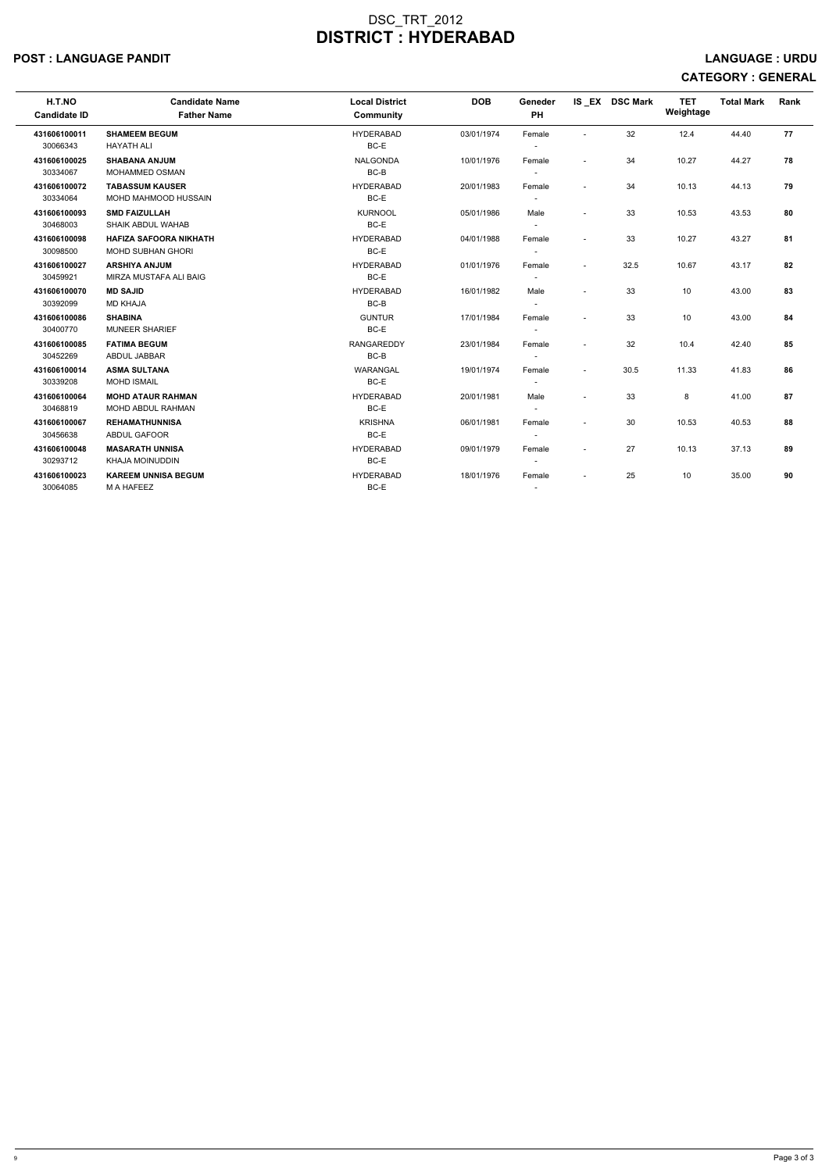### POST : LANGUAGE PANDIT LANGUAGE : URDU

| H.T.NO<br><b>Candidate ID</b> | <b>Candidate Name</b><br><b>Father Name</b> | <b>Local District</b><br>Community | <b>DOB</b> | Geneder<br><b>PH</b>     |                          | IS EX DSC Mark | <b>TET</b><br>Weightage | <b>Total Mark</b> | Rank |
|-------------------------------|---------------------------------------------|------------------------------------|------------|--------------------------|--------------------------|----------------|-------------------------|-------------------|------|
| 431606100011                  | <b>SHAMEEM BEGUM</b>                        | <b>HYDERABAD</b>                   | 03/01/1974 | Female                   | $\overline{\phantom{a}}$ | 32             | 12.4                    | 44.40             | 77   |
| 30066343                      | <b>HAYATH ALI</b>                           | BC-E                               |            |                          |                          |                |                         |                   |      |
| 431606100025                  | <b>SHABANA ANJUM</b>                        | <b>NALGONDA</b>                    | 10/01/1976 | Female                   | $\sim$                   | 34             | 10.27                   | 44.27             | 78   |
| 30334067                      | <b>MOHAMMED OSMAN</b>                       | $BC-B$                             |            | $\sim$                   |                          |                |                         |                   |      |
| 431606100072                  | <b>TABASSUM KAUSER</b>                      | <b>HYDERABAD</b>                   | 20/01/1983 | Female                   | $\overline{\phantom{a}}$ | 34             | 10.13                   | 44.13             | 79   |
| 30334064                      | <b>MOHD MAHMOOD HUSSAIN</b>                 | BC-E                               |            | $\sim$                   |                          |                |                         |                   |      |
| 431606100093                  | <b>SMD FAIZULLAH</b>                        | <b>KURNOOL</b>                     | 05/01/1986 | Male                     | $\overline{\phantom{a}}$ | 33             | 10.53                   | 43.53             | 80   |
| 30468003                      | SHAIK ABDUL WAHAB                           | BC-E                               |            |                          |                          |                |                         |                   |      |
| 431606100098                  | <b>HAFIZA SAFOORA NIKHATH</b>               | <b>HYDERABAD</b>                   | 04/01/1988 | Female                   | $\sim$                   | 33             | 10.27                   | 43.27             | 81   |
| 30098500                      | <b>MOHD SUBHAN GHORI</b>                    | BC-E                               |            | $\overline{\phantom{a}}$ |                          |                |                         |                   |      |
| 431606100027                  | <b>ARSHIYA ANJUM</b>                        | <b>HYDERABAD</b>                   | 01/01/1976 | Female                   | $\overline{\phantom{a}}$ | 32.5           | 10.67                   | 43.17             | 82   |
| 30459921                      | MIRZA MUSTAFA ALI BAIG                      | BC-E                               |            |                          |                          |                |                         |                   |      |
| 431606100070                  | <b>MD SAJID</b>                             | <b>HYDERABAD</b>                   | 16/01/1982 | Male                     | $\sim$                   | 33             | 10                      | 43.00             | 83   |
| 30392099                      | <b>MD KHAJA</b>                             | $BC-B$                             |            | $\sim$                   |                          |                |                         |                   |      |
| 431606100086                  | <b>SHABINA</b>                              | <b>GUNTUR</b>                      | 17/01/1984 | Female                   | $\sim$                   | 33             | 10                      | 43.00             | 84   |
| 30400770                      | <b>MUNEER SHARIEF</b>                       | BC-E                               |            |                          |                          |                |                         |                   |      |
| 431606100085                  | <b>FATIMA BEGUM</b>                         | <b>RANGAREDDY</b>                  | 23/01/1984 | Female                   | $\sim$                   | 32             | 10.4                    | 42.40             | 85   |
| 30452269                      | ABDUL JABBAR                                | $BC-B$                             |            |                          |                          |                |                         |                   |      |
| 431606100014                  | <b>ASMA SULTANA</b>                         | WARANGAL                           | 19/01/1974 | Female                   | $\sim$                   | 30.5           | 11.33                   | 41.83             | 86   |
| 30339208                      | <b>MOHD ISMAIL</b>                          | BC-E                               |            | $\overline{\phantom{a}}$ |                          |                |                         |                   |      |
| 431606100064                  | <b>MOHD ATAUR RAHMAN</b>                    | <b>HYDERABAD</b>                   | 20/01/1981 | Male                     | $\overline{\phantom{a}}$ | 33             | 8                       | 41.00             | 87   |
| 30468819                      | <b>MOHD ABDUL RAHMAN</b>                    | BC-E                               |            |                          |                          |                |                         |                   |      |
| 431606100067                  | <b>REHAMATHUNNISA</b>                       | <b>KRISHNA</b>                     | 06/01/1981 | Female                   | $\overline{a}$           | 30             | 10.53                   | 40.53             | 88   |
| 30456638                      | <b>ABDUL GAFOOR</b>                         | BC-E                               |            | $\sim$                   |                          |                |                         |                   |      |
| 431606100048                  | <b>MASARATH UNNISA</b>                      | <b>HYDERABAD</b>                   | 09/01/1979 | Female                   | $\overline{\phantom{a}}$ | 27             | 10.13                   | 37.13             | 89   |
| 30293712                      | <b>KHAJA MOINUDDIN</b>                      | BC-E                               |            |                          |                          |                |                         |                   |      |
| 431606100023                  | <b>KAREEM UNNISA BEGUM</b>                  | <b>HYDERABAD</b>                   | 18/01/1976 | Female                   |                          | 25             | 10                      | 35.00             | 90   |
| 30064085                      | M A HAFEEZ                                  | BC-E                               |            |                          |                          |                |                         |                   |      |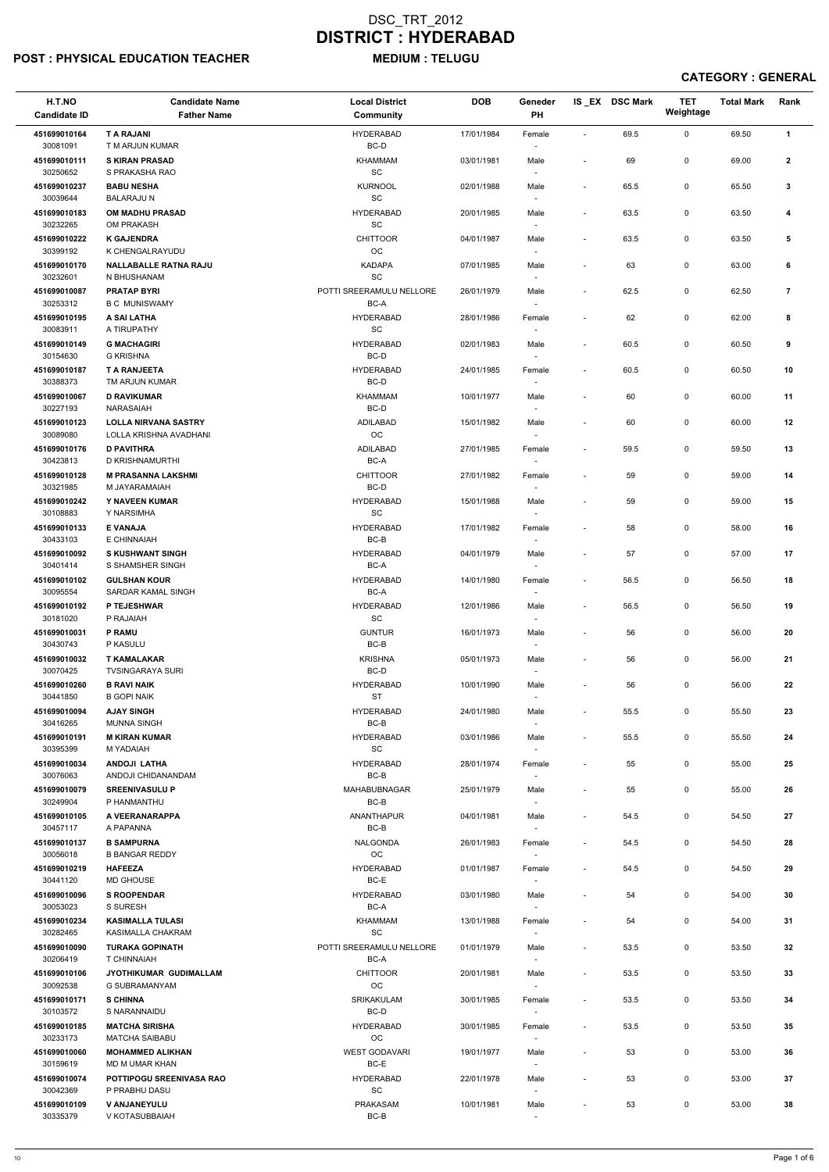### POST : PHYSICAL EDUCATION TEACHER MEDIUM : TELUGU

| H.T.NO<br><b>Candidate ID</b> | <b>Candidate Name</b><br><b>Father Name</b>           | <b>Local District</b><br><b>Community</b>        | <b>DOB</b> | Geneder<br>PH                      |                          | IS EX DSC Mark | <b>TET</b><br>Weightage | <b>Total Mark</b> | Rank           |
|-------------------------------|-------------------------------------------------------|--------------------------------------------------|------------|------------------------------------|--------------------------|----------------|-------------------------|-------------------|----------------|
| 451699010164<br>30081091      | <b>T A RAJANI</b><br>T M ARJUN KUMAR                  | <b>HYDERABAD</b><br>BC-D                         | 17/01/1984 | Female<br>$\overline{\phantom{a}}$ | $\mathbf{r}$             | 69.5           | $\mathbf 0$             | 69.50             | $\mathbf{1}$   |
| 451699010111                  | <b>S KIRAN PRASAD</b>                                 | <b>KHAMMAM</b>                                   | 03/01/1981 | Male                               | $\overline{\phantom{a}}$ | 69             | 0                       | 69.00             | $\mathbf{2}$   |
| 30250652<br>451699010237      | S PRAKASHA RAO<br><b>BABU NESHA</b>                   | $\operatorname{\textsf{SC}}$<br><b>KURNOOL</b>   | 02/01/1988 | Male                               | $\overline{\phantom{a}}$ | 65.5           | 0                       | 65.50             | 3              |
| 30039644<br>451699010183      | <b>BALARAJU N</b><br><b>OM MADHU PRASAD</b>           | $\operatorname{\textsf{sc}}$                     |            | $\overline{\phantom{a}}$           |                          |                |                         |                   |                |
| 30232265                      | OM PRAKASH                                            | <b>HYDERABAD</b><br>$\operatorname{\textsf{SC}}$ | 20/01/1985 | Male<br>$\overline{\phantom{a}}$   | $\overline{\phantom{a}}$ | 63.5           | 0                       | 63.50             | 4              |
| 451699010222<br>30399192      | <b>K GAJENDRA</b><br>K CHENGALRAYUDU                  | <b>CHITTOOR</b><br>OC                            | 04/01/1987 | Male<br>$\overline{\phantom{a}}$   | $\overline{\phantom{a}}$ | 63.5           | 0                       | 63.50             | 5              |
| 451699010170<br>30232601      | <b>NALLABALLE RATNA RAJU</b><br>N BHUSHANAM           | <b>KADAPA</b><br>$\operatorname{\textsf{SC}}$    | 07/01/1985 | Male                               |                          | 63             | 0                       | 63.00             | 6              |
| 451699010087<br>30253312      | <b>PRATAP BYRI</b><br><b>B C MUNISWAMY</b>            | POTTI SREERAMULU NELLORE<br>BC-A                 | 26/01/1979 | Male                               | $\overline{\phantom{a}}$ | 62.5           | 0                       | 62.50             | $\overline{7}$ |
| 451699010195<br>30083911      | A SAI LATHA<br>A TIRUPATHY                            | <b>HYDERABAD</b><br>$\operatorname{\textsf{SC}}$ | 28/01/1986 | Female<br>$\sim$                   |                          | 62             | 0                       | 62.00             | 8              |
| 451699010149                  | <b>G MACHAGIRI</b>                                    | <b>HYDERABAD</b>                                 | 02/01/1983 | Male                               | $\overline{\phantom{a}}$ | 60.5           | 0                       | 60.50             | 9              |
| 30154630<br>451699010187      | <b>G KRISHNA</b><br><b>T A RANJEETA</b>               | BC-D<br><b>HYDERABAD</b>                         | 24/01/1985 | $\overline{\phantom{a}}$<br>Female | $\overline{\phantom{a}}$ | 60.5           | 0                       | 60.50             | 10             |
| 30388373<br>451699010067      | TM ARJUN KUMAR<br><b>D RAVIKUMAR</b>                  | BC-D<br><b>KHAMMAM</b>                           | 10/01/1977 | $\overline{\phantom{a}}$<br>Male   | $\blacksquare$           | 60             | 0                       | 60.00             | 11             |
| 30227193                      | NARASAIAH                                             | BC-D                                             |            |                                    |                          |                |                         |                   |                |
| 451699010123<br>30089080      | <b>LOLLA NIRVANA SASTRY</b><br>LOLLA KRISHNA AVADHANI | <b>ADILABAD</b><br>$_{\rm OC}$                   | 15/01/1982 | Male<br>$\overline{\phantom{a}}$   |                          | 60             | 0                       | 60.00             | 12             |
| 451699010176<br>30423813      | <b>D PAVITHRA</b><br>D KRISHNAMURTHI                  | <b>ADILABAD</b><br>BC-A                          | 27/01/1985 | Female<br>$\overline{\phantom{a}}$ |                          | 59.5           | 0                       | 59.50             | 13             |
| 451699010128                  | <b>M PRASANNA LAKSHMI</b>                             | <b>CHITTOOR</b>                                  | 27/01/1982 | Female                             | $\overline{\phantom{a}}$ | 59             | 0                       | 59.00             | 14             |
| 30321985<br>451699010242      | M JAYARAMAIAH<br>Y NAVEEN KUMAR                       | BC-D<br><b>HYDERABAD</b>                         | 15/01/1988 | $\overline{\phantom{a}}$<br>Male   | $\blacksquare$           | 59             | 0                       | 59.00             | 15             |
| 30108883<br>451699010133      | Y NARSIMHA<br><b>E VANAJA</b>                         | $\operatorname{\textsf{SC}}$<br><b>HYDERABAD</b> | 17/01/1982 | Female                             | $\overline{\phantom{a}}$ | 58             | 0                       | 58.00             | 16             |
| 30433103                      | E CHINNAIAH                                           | BC-B                                             |            | $\overline{\phantom{a}}$           |                          |                |                         |                   |                |
| 451699010092<br>30401414      | <b>S KUSHWANT SINGH</b><br>S SHAMSHER SINGH           | <b>HYDERABAD</b><br>BC-A                         | 04/01/1979 | Male<br>$\overline{\phantom{a}}$   |                          | 57             | 0                       | 57.00             | 17             |
| 451699010102<br>30095554      | <b>GULSHAN KOUR</b><br>SARDAR KAMAL SINGH             | <b>HYDERABAD</b><br>BC-A                         | 14/01/1980 | Female                             | $\overline{\phantom{a}}$ | 56.5           | 0                       | 56.50             | 18             |
| 451699010192                  | P TEJESHWAR                                           | <b>HYDERABAD</b>                                 | 12/01/1986 | Male                               | $\overline{\phantom{a}}$ | 56.5           | 0                       | 56.50             | 19             |
| 30181020<br>451699010031      | P RAJAIAH<br><b>P RAMU</b>                            | SC<br><b>GUNTUR</b>                              | 16/01/1973 | Male                               |                          | 56             | 0                       | 56.00             | 20             |
| 30430743<br>451699010032      | P KASULU<br><b>T KAMALAKAR</b>                        | $BC-B$<br><b>KRISHNA</b>                         | 05/01/1973 | $\overline{\phantom{a}}$<br>Male   |                          | 56             | 0                       | 56.00             | 21             |
| 30070425                      | <b>TVSINGARAYA SURI</b>                               | BC-D                                             |            | $\sim$                             |                          |                |                         |                   |                |
| 451699010260<br>30441850      | <b>B RAVI NAIK</b><br><b>B GOPI NAIK</b>              | <b>HYDERABAD</b><br><b>ST</b>                    | 10/01/1990 | Male                               |                          | 56             | 0                       | 56.00             | 22             |
| 451699010094<br>30416265      | <b>AJAY SINGH</b><br><b>MUNNA SINGH</b>               | <b>HYDERABAD</b><br>BC-B                         | 24/01/1980 | Male                               | $\overline{\phantom{a}}$ | 55.5           | 0                       | 55.50             | 23             |
| 451699010191<br>30395399      | <b>M KIRAN KUMAR</b><br>M YADAIAH                     | <b>HYDERABAD</b><br>SC                           | 03/01/1986 | Male<br>$\overline{\phantom{a}}$   | $\blacksquare$           | 55.5           | 0                       | 55.50             | 24             |
| 451699010034<br>30076063      | <b>ANDOJI LATHA</b><br>ANDOJI CHIDANANDAM             | <b>HYDERABAD</b><br>BC-B                         | 28/01/1974 | Female<br>$\overline{\phantom{a}}$ |                          | 55             | 0                       | 55.00             | 25             |
| 451699010079<br>30249904      | <b>SREENIVASULU P</b><br>P HANMANTHU                  | MAHABUBNAGAR<br>BC-B                             | 25/01/1979 | Male                               | $\overline{\phantom{a}}$ | 55             | 0                       | 55.00             | 26             |
| 451699010105<br>30457117      | A VEERANARAPPA<br>A PAPANNA                           | ANANTHAPUR<br>BC-B                               | 04/01/1981 | Male                               | $\overline{\phantom{a}}$ | 54.5           | 0                       | 54.50             | 27             |
| 451699010137<br>30056018      | <b>B SAMPURNA</b><br><b>B BANGAR REDDY</b>            | <b>NALGONDA</b><br>OC                            | 26/01/1983 | Female<br>$\overline{\phantom{a}}$ | $\overline{\phantom{a}}$ | 54.5           | 0                       | 54.50             | 28             |
| 451699010219                  | <b>HAFEEZA</b>                                        | <b>HYDERABAD</b>                                 | 01/01/1987 | Female                             |                          | 54.5           | 0                       | 54.50             | 29             |
| 30441120<br>451699010096      | <b>MD GHOUSE</b><br><b>S ROOPENDAR</b>                | BC-E<br><b>HYDERABAD</b>                         | 03/01/1980 | $\overline{\phantom{a}}$<br>Male   | $\overline{a}$           | 54             | 0                       | 54.00             | 30             |
| 30053023                      | S SURESH                                              | BC-A                                             |            | $\overline{\phantom{a}}$           |                          |                |                         |                   |                |
| 451699010234<br>30282465      | <b>KASIMALLA TULASI</b><br>KASIMALLA CHAKRAM          | <b>KHAMMAM</b><br>SC                             | 13/01/1988 | Female                             |                          | 54             | 0                       | 54.00             | 31             |
| 451699010090                  | <b>TURAKA GOPINATH</b>                                | POTTI SREERAMULU NELLORE                         | 01/01/1979 | Male                               | $\overline{\phantom{a}}$ | 53.5           | 0                       | 53.50             | 32             |
| 30206419<br>451699010106      | T CHINNAIAH<br>JYOTHIKUMAR GUDIMALLAM                 | BC-A<br><b>CHITTOOR</b>                          | 20/01/1981 | Male                               | $\blacksquare$           | 53.5           | 0                       | 53.50             | 33             |
| 30092538                      | <b>G SUBRAMANYAM</b>                                  | $_{\rm OC}$                                      |            | $\overline{\phantom{a}}$           |                          |                |                         |                   |                |
| 451699010171<br>30103572      | <b>S CHINNA</b><br>S NARANNAIDU                       | SRIKAKULAM<br>BC-D                               | 30/01/1985 | Female<br>$\overline{\phantom{a}}$ | $\overline{\phantom{a}}$ | 53.5           | 0                       | 53.50             | 34             |
| 451699010185<br>30233173      | <b>MATCHA SIRISHA</b><br><b>MATCHA SAIBABU</b>        | <b>HYDERABAD</b><br>OC                           | 30/01/1985 | Female<br>$\sim$                   | $\overline{\phantom{a}}$ | 53.5           | 0                       | 53.50             | 35             |
| 451699010060<br>30159619      | <b>MOHAMMED ALIKHAN</b><br>MD M UMAR KHAN             | <b>WEST GODAVARI</b><br>BC-E                     | 19/01/1977 | Male<br>$\sim$                     | $\blacksquare$           | 53             | 0                       | 53.00             | 36             |
| 451699010074<br>30042369      | POTTIPOGU SREENIVASA RAO<br>P PRABHU DASU             | <b>HYDERABAD</b><br>SC                           | 22/01/1978 | Male<br>$\sim$                     | $\overline{\phantom{a}}$ | 53             | 0                       | 53.00             | 37             |
| 451699010109<br>30335379      | V ANJANEYULU<br>V KOTASUBBAIAH                        | PRAKASAM<br>BC-B                                 | 10/01/1981 | Male                               |                          | 53             | 0                       | 53.00             | 38             |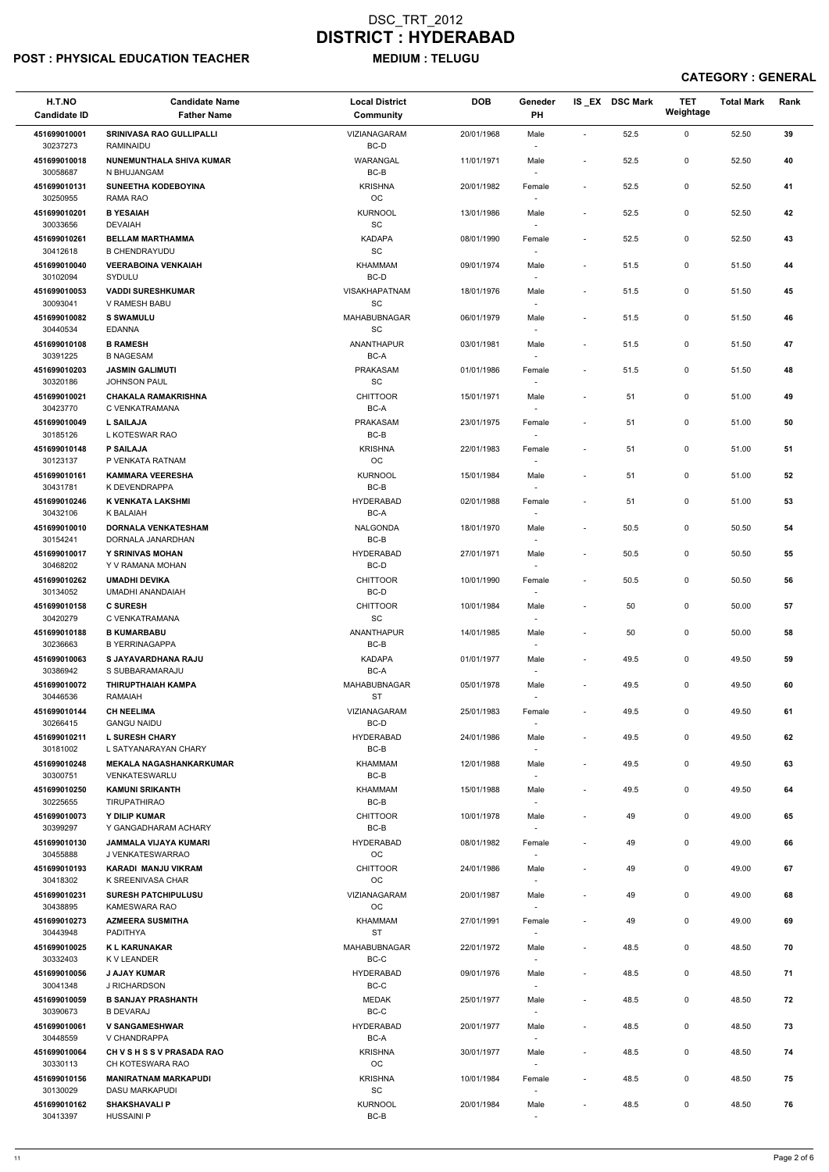### POST : PHYSICAL EDUCATION TEACHER MEDIUM : TELUGU

| H.T.NO<br><b>Candidate ID</b>        | <b>Candidate Name</b><br><b>Father Name</b>                              | <b>Local District</b><br>Community              | <b>DOB</b> | Geneder<br>PH                      |                          | IS EX DSC Mark | TET<br>Weightage | <b>Total Mark</b> | Rank |
|--------------------------------------|--------------------------------------------------------------------------|-------------------------------------------------|------------|------------------------------------|--------------------------|----------------|------------------|-------------------|------|
| 451699010001<br>30237273             | <b>SRINIVASA RAO GULLIPALLI</b><br>RAMINAIDU                             | VIZIANAGARAM<br>BC-D                            | 20/01/1968 | Male                               | $\sim$                   | 52.5           | $\mathbf 0$      | 52.50             | 39   |
| 451699010018<br>30058687             | <b>NUNEMUNTHALA SHIVA KUMAR</b><br>N BHUJANGAM                           | WARANGAL<br>$BC-B$                              | 11/01/1971 | Male<br>$\sim$                     | $\overline{\phantom{a}}$ | 52.5           | 0                | 52.50             | 40   |
| 451699010131<br>30250955             | <b>SUNEETHA KODEBOYINA</b><br><b>RAMA RAO</b>                            | <b>KRISHNA</b><br>OC                            | 20/01/1982 | Female<br>$\sim$                   | $\blacksquare$           | 52.5           | 0                | 52.50             | 41   |
| 451699010201                         | <b>B YESAIAH</b>                                                         | <b>KURNOOL</b>                                  | 13/01/1986 | Male                               | $\blacksquare$           | 52.5           | 0                | 52.50             | 42   |
| 30033656<br>451699010261             | <b>DEVAIAH</b><br><b>BELLAM MARTHAMMA</b>                                | SC<br><b>KADAPA</b>                             | 08/01/1990 | $\sim$<br>Female                   | $\overline{\phantom{a}}$ | 52.5           | 0                | 52.50             | 43   |
| 30412618                             | <b>B CHENDRAYUDU</b>                                                     | SC                                              |            | $\sim$                             |                          |                |                  |                   |      |
| 451699010040<br>30102094             | <b>VEERABOINA VENKAIAH</b><br>SYDULU                                     | <b>KHAMMAM</b><br>BC-D                          | 09/01/1974 | Male                               | $\blacksquare$           | 51.5           | 0                | 51.50             | 44   |
| 451699010053<br>30093041             | <b>VADDI SURESHKUMAR</b><br>V RAMESH BABU                                | VISAKHAPATNAM<br>$\operatorname{\textsf{SC}}$   | 18/01/1976 | Male<br>$\overline{\phantom{a}}$   | $\blacksquare$           | 51.5           | 0                | 51.50             | 45   |
| 451699010082<br>30440534             | <b>S SWAMULU</b><br><b>EDANNA</b>                                        | <b>MAHABUBNAGAR</b><br><b>SC</b>                | 06/01/1979 | Male<br>$\overline{\phantom{a}}$   | $\blacksquare$           | 51.5           | 0                | 51.50             | 46   |
| 451699010108<br>30391225             | <b>B RAMESH</b><br><b>B NAGESAM</b>                                      | ANANTHAPUR<br>BC-A                              | 03/01/1981 | Male                               | $\overline{\phantom{a}}$ | 51.5           | $\mathsf{O}$     | 51.50             | 47   |
| 451699010203<br>30320186             | <b>JASMIN GALIMUTI</b><br><b>JOHNSON PAUL</b>                            | <b>PRAKASAM</b><br>$\operatorname{\textsf{SC}}$ | 01/01/1986 | $\overline{\phantom{a}}$<br>Female | $\blacksquare$           | 51.5           | 0                | 51.50             | 48   |
| 451699010021<br>30423770             | <b>CHAKALA RAMAKRISHNA</b><br>C VENKATRAMANA                             | <b>CHITTOOR</b><br>BC-A                         | 15/01/1971 | Male<br>$\sim$                     | $\blacksquare$           | 51             | 0                | 51.00             | 49   |
| 451699010049                         | <b>L SAILAJA</b>                                                         | <b>PRAKASAM</b>                                 | 23/01/1975 | Female                             | $\blacksquare$           | 51             | 0                | 51.00             | 50   |
| 30185126<br>451699010148             | L KOTESWAR RAO<br><b>P SAILAJA</b>                                       | $BC-B$<br><b>KRISHNA</b>                        | 22/01/1983 | $\sim$<br>Female                   | $\sim$                   | 51             | 0                | 51.00             | 51   |
| 30123137                             | P VENKATA RATNAM                                                         | OC                                              |            | $\overline{\phantom{a}}$           |                          |                |                  |                   |      |
| 451699010161<br>30431781             | <b>KAMMARA VEERESHA</b><br>K DEVENDRAPPA                                 | <b>KURNOOL</b><br>$BC-B$                        | 15/01/1984 | Male<br>$\sim$                     | $\blacksquare$           | 51             | 0                | 51.00             | 52   |
| 451699010246                         | K VENKATA LAKSHMI                                                        | <b>HYDERABAD</b>                                | 02/01/1988 | Female                             | $\blacksquare$           | 51             | 0                | 51.00             | 53   |
| 30432106<br>451699010010<br>30154241 | K BALAIAH<br><b>DORNALA VENKATESHAM</b><br>DORNALA JANARDHAN             | BC-A<br><b>NALGONDA</b><br>BC-B                 | 18/01/1970 | Male<br>$\overline{\phantom{a}}$   | $\blacksquare$           | 50.5           | 0                | 50.50             | 54   |
| 451699010017<br>30468202             | <b>Y SRINIVAS MOHAN</b><br>Y V RAMANA MOHAN                              | <b>HYDERABAD</b><br>BC-D                        | 27/01/1971 | Male<br>$\overline{\phantom{a}}$   | $\overline{a}$           | 50.5           | 0                | 50.50             | 55   |
| 451699010262                         | <b>UMADHI DEVIKA</b>                                                     | <b>CHITTOOR</b>                                 | 10/01/1990 | Female                             | $\sim$                   | 50.5           | 0                | 50.50             | 56   |
| 30134052<br>451699010158             | UMADHI ANANDAIAH<br><b>C SURESH</b>                                      | BC-D<br><b>CHITTOOR</b>                         | 10/01/1984 | Male                               | $\blacksquare$           | 50             | 0                | 50.00             | 57   |
| 30420279<br>451699010188             | C VENKATRAMANA<br><b>B KUMARBABU</b>                                     | SC<br>ANANTHAPUR                                | 14/01/1985 | $\overline{\phantom{a}}$<br>Male   | $\overline{\phantom{a}}$ | 50             | 0                | 50.00             | 58   |
| 30236663                             | <b>B YERRINAGAPPA</b>                                                    | BC-B                                            |            | $\sim$                             |                          |                |                  |                   |      |
| 451699010063<br>30386942             | S JAYAVARDHANA RAJU<br>S SUBBARAMARAJU                                   | <b>KADAPA</b><br>BC-A                           | 01/01/1977 | Male<br>$\sim$                     | $\sim$                   | 49.5           | 0                | 49.50             | 59   |
| 451699010072<br>30446536             | <b>THIRUPTHAIAH KAMPA</b><br>RAMAIAH                                     | MAHABUBNAGAR<br><b>ST</b>                       | 05/01/1978 | Male                               | $\overline{\phantom{a}}$ | 49.5           | 0                | 49.50             | 60   |
| 451699010144                         | <b>CH NEELIMA</b>                                                        | VIZIANAGARAM                                    | 25/01/1983 | Female                             | $\blacksquare$           | 49.5           | 0                | 49.50             | 61   |
| 30266415<br>451699010211             | <b>GANGU NAIDU</b><br><b>L SURESH CHARY</b>                              | BC-D<br><b>HYDERABAD</b>                        | 24/01/1986 | $\overline{\phantom{a}}$<br>Male   |                          | 49.5           | 0                | 49.50             | 62   |
| 30181002                             | L SATYANARAYAN CHARY                                                     | BC-B                                            |            | $\overline{\phantom{a}}$           |                          |                |                  |                   |      |
| 451699010248<br>30300751             | <b>MEKALA NAGASHANKARKUMAR</b><br>VENKATESWARLU                          | KHAMMAM<br>BC-B                                 | 12/01/1988 | Male<br>$\overline{\phantom{a}}$   | $\overline{\phantom{a}}$ | 49.5           | 0                | 49.50             | 63   |
| 451699010250<br>30225655             | <b>KAMUNI SRIKANTH</b><br><b>TIRUPATHIRAO</b>                            | KHAMMAM<br>BC-B                                 | 15/01/1988 | Male                               | $\overline{\phantom{a}}$ | 49.5           | 0                | 49.50             | 64   |
| 451699010073                         | <b>Y DILIP KUMAR</b>                                                     | <b>CHITTOOR</b>                                 | 10/01/1978 | Male                               | $\overline{\phantom{a}}$ | 49             | 0                | 49.00             | 65   |
| 30399297<br>451699010130<br>30455888 | Y GANGADHARAM ACHARY<br><b>JAMMALA VIJAYA KUMARI</b><br>J VENKATESWARRAO | BC-B<br><b>HYDERABAD</b><br>OC                  | 08/01/1982 | Female<br>$\sim$                   | $\blacksquare$           | 49             | 0                | 49.00             | 66   |
| 451699010193                         | <b>KARADI MANJU VIKRAM</b>                                               | <b>CHITTOOR</b>                                 | 24/01/1986 | Male                               | $\overline{\phantom{a}}$ | 49             | 0                | 49.00             | 67   |
| 30418302<br>451699010231             | K SREENIVASA CHAR<br><b>SURESH PATCHIPULUSU</b>                          | <b>OC</b><br>VIZIANAGARAM                       | 20/01/1987 | $\sim$<br>Male                     | $\blacksquare$           | 49             | 0                | 49.00             | 68   |
| 30438895                             | KAMESWARA RAO                                                            | OC                                              |            | $\sim$                             |                          |                |                  |                   |      |
| 451699010273<br>30443948             | <b>AZMEERA SUSMITHA</b><br><b>PADITHYA</b>                               | KHAMMAM<br><b>ST</b>                            | 27/01/1991 | Female                             | $\overline{\phantom{a}}$ | 49             | 0                | 49.00             | 69   |
| 451699010025<br>30332403             | <b>KL KARUNAKAR</b><br>K V LEANDER                                       | MAHABUBNAGAR<br>$BC-C$                          | 22/01/1972 | Male                               | $\overline{\phantom{a}}$ | 48.5           | 0                | 48.50             | 70   |
| 451699010056                         | <b>J AJAY KUMAR</b>                                                      | <b>HYDERABAD</b>                                | 09/01/1976 | Male                               |                          | 48.5           | 0                | 48.50             | 71   |
| 30041348<br>451699010059             | J RICHARDSON<br><b>B SANJAY PRASHANTH</b>                                | $BC-C$<br><b>MEDAK</b>                          | 25/01/1977 | $\overline{\phantom{a}}$<br>Male   | $\overline{a}$           | 48.5           | 0                | 48.50             | 72   |
| 30390673                             | <b>B DEVARAJ</b>                                                         | BC-C                                            |            | $\overline{\phantom{a}}$           |                          |                |                  |                   |      |
| 451699010061<br>30448559             | <b>V SANGAMESHWAR</b><br>V CHANDRAPPA                                    | <b>HYDERABAD</b><br>BC-A                        | 20/01/1977 | Male<br>$\overline{\phantom{a}}$   | $\overline{\phantom{a}}$ | 48.5           | $\mathbf 0$      | 48.50             | 73   |
| 451699010064<br>30330113             | CH V S H S S V PRASADA RAO<br>CH KOTESWARA RAO                           | <b>KRISHNA</b><br>OC                            | 30/01/1977 | Male<br>$\sim$                     | $\blacksquare$           | 48.5           | 0                | 48.50             | 74   |
| 451699010156<br>30130029             | <b>MANIRATNAM MARKAPUDI</b><br>DASU MARKAPUDI                            | <b>KRISHNA</b><br>$\operatorname{\textsf{SC}}$  | 10/01/1984 | Female<br>$\sim$                   | $\overline{\phantom{a}}$ | 48.5           | $\mathbf 0$      | 48.50             | 75   |
| 451699010162<br>30413397             | <b>SHAKSHAVALI P</b><br><b>HUSSAINI P</b>                                | <b>KURNOOL</b><br>$BC-B$                        | 20/01/1984 | Male<br>$\sim$                     |                          | 48.5           | 0                | 48.50             | 76   |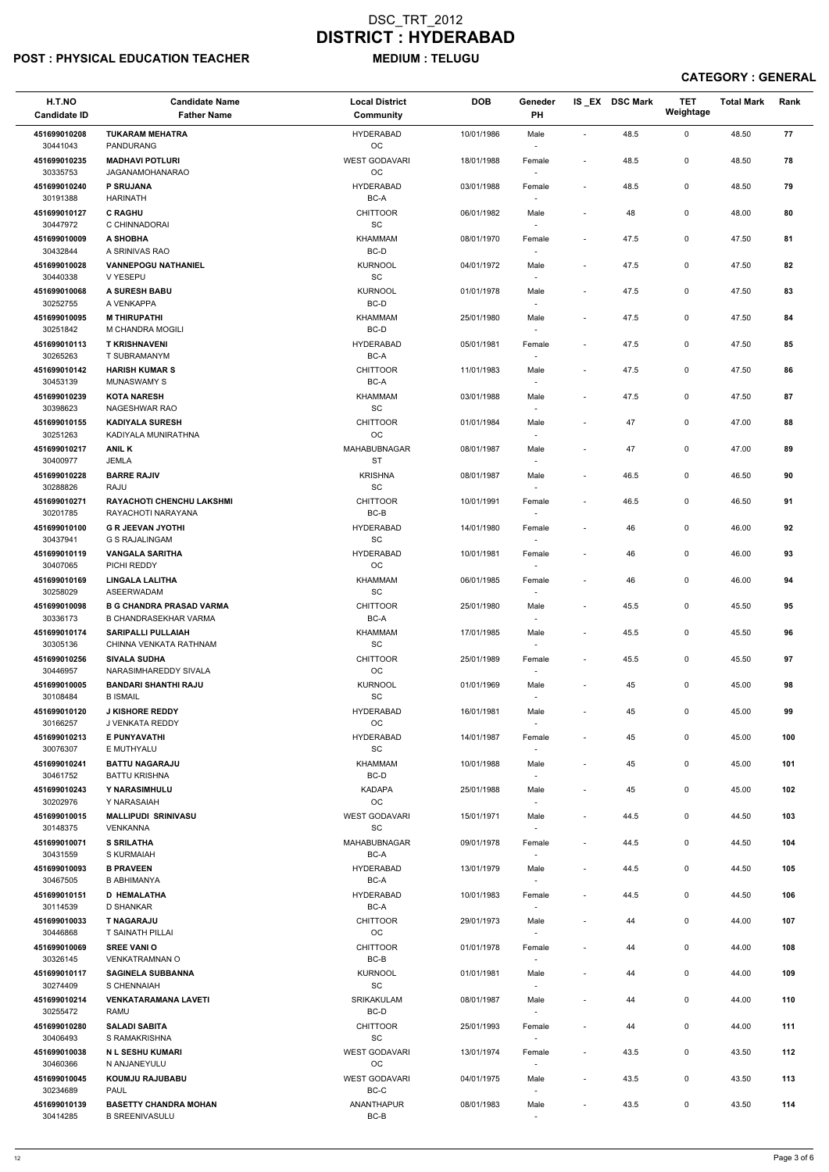### POST : PHYSICAL EDUCATION TEACHER MEDIUM : TELUGU

| H.T.NO<br><b>Candidate ID</b> | <b>Candidate Name</b><br><b>Father Name</b>                     | <b>Local District</b><br><b>Community</b>      | <b>DOB</b> | Geneder<br>PH                      |                          | IS_EX DSC Mark | <b>TET</b><br>Weightage | <b>Total Mark</b> | Rank |
|-------------------------------|-----------------------------------------------------------------|------------------------------------------------|------------|------------------------------------|--------------------------|----------------|-------------------------|-------------------|------|
| 451699010208<br>30441043      | <b>TUKARAM MEHATRA</b><br><b>PANDURANG</b>                      | <b>HYDERABAD</b><br>$_{\rm OC}$                | 10/01/1986 | Male                               | $\overline{\phantom{a}}$ | 48.5           | 0                       | 48.50             | 77   |
| 451699010235<br>30335753      | <b>MADHAVI POTLURI</b><br>JAGANAMOHANARAO                       | <b>WEST GODAVARI</b><br>$_{\rm OC}$            | 18/01/1988 | Female                             | $\overline{\phantom{a}}$ | 48.5           | 0                       | 48.50             | 78   |
| 451699010240                  | <b>P SRUJANA</b>                                                | <b>HYDERABAD</b>                               | 03/01/1988 | Female                             | $\overline{\phantom{a}}$ | 48.5           | 0                       | 48.50             | 79   |
| 30191388<br>451699010127      | <b>HARINATH</b><br><b>C RAGHU</b>                               | BC-A<br><b>CHITTOOR</b>                        | 06/01/1982 | Male                               | $\blacksquare$           | 48             | 0                       | 48.00             | 80   |
| 30447972                      | C CHINNADORAI                                                   | $\operatorname{\textsf{SC}}$                   |            | $\overline{\phantom{a}}$           |                          |                |                         |                   |      |
| 451699010009                  | A SHOBHA                                                        | <b>KHAMMAM</b>                                 | 08/01/1970 | Female                             | $\overline{\phantom{a}}$ | 47.5           | 0                       | 47.50             | 81   |
| 30432844<br>451699010028      | A SRINIVAS RAO<br><b>VANNEPOGU NATHANIEL</b>                    | BC-D<br><b>KURNOOL</b>                         | 04/01/1972 | $\overline{\phantom{a}}$<br>Male   | $\overline{\phantom{a}}$ | 47.5           | 0                       | 47.50             | 82   |
| 30440338                      | V YESEPU                                                        | $\operatorname{\textsf{SC}}$                   |            |                                    |                          |                |                         |                   |      |
| 451699010068<br>30252755      | <b>A SURESH BABU</b><br>A VENKAPPA                              | <b>KURNOOL</b><br>BC-D                         | 01/01/1978 | Male<br>$\overline{\phantom{a}}$   | $\overline{\phantom{a}}$ | 47.5           | 0                       | 47.50             | 83   |
| 451699010095<br>30251842      | <b>M THIRUPATHI</b><br>M CHANDRA MOGILI                         | <b>KHAMMAM</b><br>BC-D                         | 25/01/1980 | Male<br>$\overline{\phantom{a}}$   |                          | 47.5           | 0                       | 47.50             | 84   |
| 451699010113<br>30265263      | <b>T KRISHNAVENI</b><br>T SUBRAMANYM                            | <b>HYDERABAD</b><br>BC-A                       | 05/01/1981 | Female<br>$\overline{\phantom{a}}$ | $\overline{\phantom{a}}$ | 47.5           | 0                       | 47.50             | 85   |
| 451699010142                  | <b>HARISH KUMAR S</b>                                           | <b>CHITTOOR</b>                                | 11/01/1983 | Male                               | $\overline{\phantom{a}}$ | 47.5           | 0                       | 47.50             | 86   |
| 30453139<br>451699010239      | <b>MUNASWAMY S</b><br><b>KOTA NARESH</b>                        | BC-A<br><b>KHAMMAM</b>                         | 03/01/1988 | Male                               | $\overline{\phantom{a}}$ | 47.5           | 0                       | 47.50             | 87   |
| 30398623<br>451699010155      | NAGESHWAR RAO<br><b>KADIYALA SURESH</b>                         | SC<br><b>CHITTOOR</b>                          | 01/01/1984 |                                    | $\blacksquare$           | 47             | 0                       | 47.00             | 88   |
| 30251263                      | KADIYALA MUNIRATHNA                                             | $_{\rm OC}$                                    |            | Male<br>$\sim$                     |                          |                |                         |                   |      |
| 451699010217<br>30400977      | <b>ANIL K</b><br><b>JEMLA</b>                                   | MAHABUBNAGAR<br>ST                             | 08/01/1987 | Male<br>$\overline{\phantom{a}}$   |                          | 47             | 0                       | 47.00             | 89   |
| 451699010228<br>30288826      | <b>BARRE RAJIV</b><br><b>RAJU</b>                               | <b>KRISHNA</b><br>$\operatorname{\textsf{SC}}$ | 08/01/1987 | Male                               | $\overline{\phantom{a}}$ | 46.5           | 0                       | 46.50             | 90   |
| 451699010271                  | <b>RAYACHOTI CHENCHU LAKSHMI</b>                                | <b>CHITTOOR</b>                                | 10/01/1991 | Female                             | $\overline{\phantom{a}}$ | 46.5           | 0                       | 46.50             | 91   |
| 30201785<br>451699010100      | RAYACHOTI NARAYANA<br><b>G R JEEVAN JYOTHI</b>                  | BC-B<br><b>HYDERABAD</b>                       | 14/01/1980 | Female                             | $\overline{\phantom{a}}$ | 46             | 0                       | 46.00             | 92   |
| 30437941<br>451699010119      | <b>G S RAJALINGAM</b><br><b>VANGALA SARITHA</b>                 | SC<br><b>HYDERABAD</b>                         | 10/01/1981 | $\overline{\phantom{a}}$<br>Female |                          | 46             | 0                       | 46.00             | 93   |
| 30407065                      | PICHI REDDY                                                     | $_{\rm OC}$<br><b>KHAMMAM</b>                  |            |                                    |                          |                | 0                       |                   | 94   |
| 451699010169<br>30258029      | LINGALA LALITHA<br><b>ASEERWADAM</b>                            | SC                                             | 06/01/1985 | Female                             | $\overline{\phantom{a}}$ | 46             |                         | 46.00             |      |
| 451699010098<br>30336173      | <b>B G CHANDRA PRASAD VARMA</b><br><b>B CHANDRASEKHAR VARMA</b> | <b>CHITTOOR</b><br>BC-A                        | 25/01/1980 | Male                               | $\overline{\phantom{a}}$ | 45.5           | 0                       | 45.50             | 95   |
| 451699010174<br>30305136      | <b>SARIPALLI PULLAIAH</b><br>CHINNA VENKATA RATHNAM             | <b>KHAMMAM</b><br><b>SC</b>                    | 17/01/1985 | Male<br>$\overline{\phantom{a}}$   | $\overline{\phantom{a}}$ | 45.5           | 0                       | 45.50             | 96   |
| 451699010256<br>30446957      | <b>SIVALA SUDHA</b><br>NARASIMHAREDDY SIVALA                    | <b>CHITTOOR</b><br>$_{\rm OC}$                 | 25/01/1989 | Female<br>$\overline{\phantom{a}}$ | $\overline{\phantom{a}}$ | 45.5           | 0                       | 45.50             | 97   |
| 451699010005                  | <b>BANDARI SHANTHI RAJU</b>                                     | <b>KURNOOL</b>                                 | 01/01/1969 | Male                               | $\overline{\phantom{a}}$ | 45             | 0                       | 45.00             | 98   |
| 30108484<br>451699010120      | <b>B ISMAIL</b><br><b>J KISHORE REDDY</b>                       | SC<br><b>HYDERABAD</b>                         | 16/01/1981 | Male                               | $\overline{\phantom{a}}$ | 45             | 0                       | 45.00             | 99   |
| 30166257                      | J VENKATA REDDY                                                 | OC                                             |            | $\overline{\phantom{a}}$           |                          |                |                         |                   |      |
| 451699010213<br>30076307      | E PUNYAVATHI<br>E MUTHYALU                                      | <b>HYDERABAD</b><br>SC                         | 14/01/1987 | Female<br>$\overline{\phantom{a}}$ |                          | 45             | 0                       | 45.00             | 100  |
| 451699010241<br>30461752      | <b>BATTU NAGARAJU</b><br><b>BATTU KRISHNA</b>                   | <b>KHAMMAM</b><br>BC-D                         | 10/01/1988 | Male<br>$\overline{\phantom{a}}$   |                          | 45             | 0                       | 45.00             | 101  |
| 451699010243<br>30202976      | Y NARASIMHULU<br>Y NARASAIAH                                    | <b>KADAPA</b><br>OC                            | 25/01/1988 | Male                               |                          | 45             | 0                       | 45.00             | 102  |
| 451699010015                  | <b>MALLIPUDI SRINIVASU</b>                                      | <b>WEST GODAVARI</b>                           | 15/01/1971 | Male                               | $\overline{\phantom{a}}$ | 44.5           | 0                       | 44.50             | 103  |
| 30148375<br>451699010071      | <b>VENKANNA</b><br><b>S SRILATHA</b>                            | <b>SC</b><br>MAHABUBNAGAR                      | 09/01/1978 | Female                             | $\overline{\phantom{a}}$ | 44.5           | 0                       | 44.50             | 104  |
| 30431559<br>451699010093      | S KURMAIAH<br><b>B PRAVEEN</b>                                  | BC-A<br><b>HYDERABAD</b>                       | 13/01/1979 | $\overline{\phantom{a}}$<br>Male   | $\overline{\phantom{a}}$ | 44.5           | 0                       | 44.50             | 105  |
| 30467505                      | <b>B ABHIMANYA</b>                                              | BC-A                                           |            | $\overline{\phantom{a}}$           |                          |                |                         |                   |      |
| 451699010151<br>30114539      | <b>D HEMALATHA</b><br>D SHANKAR                                 | <b>HYDERABAD</b><br>BC-A                       | 10/01/1983 | Female<br>$\overline{\phantom{a}}$ | $\overline{\phantom{a}}$ | 44.5           | 0                       | 44.50             | 106  |
| 451699010033                  | <b>T NAGARAJU</b><br><b>T SAINATH PILLAI</b>                    | <b>CHITTOOR</b><br>OC                          | 29/01/1973 | Male                               | $\overline{\phantom{a}}$ | 44             | 0                       | 44.00             | 107  |
| 30446868<br>451699010069      | <b>SREE VANIO</b>                                               | <b>CHITTOOR</b>                                | 01/01/1978 | Female                             | $\overline{\phantom{a}}$ | 44             | 0                       | 44.00             | 108  |
| 30326145                      | <b>VENKATRAMNAN O</b>                                           | BC-B                                           |            | $\overline{\phantom{a}}$           |                          |                |                         |                   |      |
| 451699010117                  | <b>SAGINELA SUBBANNA</b>                                        | <b>KURNOOL</b>                                 | 01/01/1981 | Male                               |                          | 44             | 0                       | 44.00             | 109  |
| 30274409<br>451699010214      | S CHENNAIAH<br><b>VENKATARAMANA LAVETI</b>                      | $\operatorname{\textsf{SC}}$<br>SRIKAKULAM     | 08/01/1987 | $\overline{\phantom{a}}$<br>Male   |                          | 44             | 0                       | 44.00             | 110  |
| 30255472<br>451699010280      | <b>RAMU</b><br><b>SALADI SABITA</b>                             | BC-D<br><b>CHITTOOR</b>                        | 25/01/1993 | $\overline{\phantom{a}}$<br>Female | $\blacksquare$           | 44             | 0                       | 44.00             | 111  |
| 30406493<br>451699010038      | S RAMAKRISHNA<br><b>N L SESHU KUMARI</b>                        | SC<br><b>WEST GODAVARI</b>                     | 13/01/1974 | $\overline{\phantom{a}}$<br>Female | $\overline{\phantom{a}}$ | 43.5           | 0                       | 43.50             | 112  |
| 30460366                      | N ANJANEYULU                                                    | OC<br><b>WEST GODAVARI</b>                     |            | $\overline{\phantom{a}}$           |                          |                |                         |                   |      |
| 451699010045<br>30234689      | KOUMJU RAJUBABU<br><b>PAUL</b>                                  | $BC-C$                                         | 04/01/1975 | Male<br>$\overline{\phantom{a}}$   | $\overline{\phantom{a}}$ | 43.5           | 0                       | 43.50             | 113  |
| 451699010139<br>30414285      | <b>BASETTY CHANDRA MOHAN</b><br><b>B SREENIVASULU</b>           | ANANTHAPUR<br>$BC-B$                           | 08/01/1983 | Male<br>$\sim$                     | $\overline{\phantom{a}}$ | 43.5           | 0                       | 43.50             | 114  |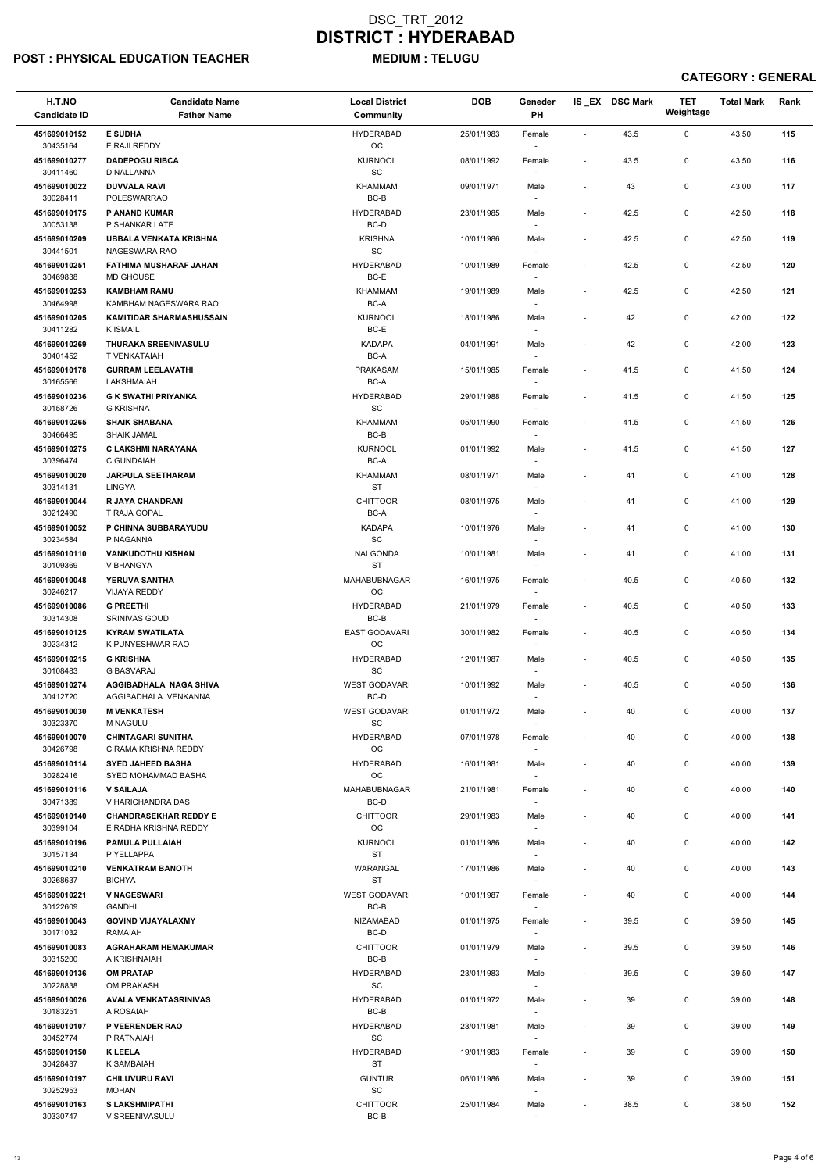### POST : PHYSICAL EDUCATION TEACHER MEDIUM : TELUGU

| H.T.NO<br><b>Candidate ID</b> | <b>Candidate Name</b><br><b>Father Name</b>        | <b>Local District</b><br>Community             | <b>DOB</b> | Geneder<br>PH                      |                          | IS EX DSC Mark | <b>TET</b><br>Weightage | <b>Total Mark</b> | Rank |
|-------------------------------|----------------------------------------------------|------------------------------------------------|------------|------------------------------------|--------------------------|----------------|-------------------------|-------------------|------|
| 451699010152<br>30435164      | <b>E SUDHA</b><br>E RAJI REDDY                     | <b>HYDERABAD</b><br>OC                         | 25/01/1983 | Female                             | $\sim$                   | 43.5           | $\mathbf 0$             | 43.50             | 115  |
| 451699010277<br>30411460      | <b>DADEPOGU RIBCA</b>                              | <b>KURNOOL</b><br>SC                           | 08/01/1992 | Female                             | $\blacksquare$           | 43.5           | 0                       | 43.50             | 116  |
| 451699010022                  | D NALLANNA<br><b>DUVVALA RAVI</b>                  | <b>KHAMMAM</b>                                 | 09/01/1971 | Male                               | $\overline{\phantom{a}}$ | 43             | 0                       | 43.00             | 117  |
| 30028411<br>451699010175      | POLESWARRAO<br>P ANAND KUMAR                       | $BC-B$<br><b>HYDERABAD</b>                     | 23/01/1985 | $\sim$<br>Male                     | $\overline{\phantom{a}}$ | 42.5           | 0                       | 42.50             | 118  |
| 30053138                      | P SHANKAR LATE                                     | BC-D                                           |            | $\sim$                             |                          |                |                         |                   |      |
| 451699010209<br>30441501      | <b>UBBALA VENKATA KRISHNA</b><br>NAGESWARA RAO     | <b>KRISHNA</b><br>$\operatorname{\textsf{SC}}$ | 10/01/1986 | Male<br>$\sim$                     | $\blacksquare$           | 42.5           | 0                       | 42.50             | 119  |
| 451699010251<br>30469838      | <b>FATHIMA MUSHARAF JAHAN</b><br>MD GHOUSE         | <b>HYDERABAD</b><br>BC-E                       | 10/01/1989 | Female                             | $\blacksquare$           | 42.5           | $\mathsf{O}$            | 42.50             | 120  |
| 451699010253<br>30464998      | <b>KAMBHAM RAMU</b><br>KAMBHAM NAGESWARA RAO       | <b>KHAMMAM</b><br>BC-A                         | 19/01/1989 | Male<br>$\overline{\phantom{a}}$   | $\sim$                   | 42.5           | $\mathsf{O}$            | 42.50             | 121  |
| 451699010205<br>30411282      | <b>KAMITIDAR SHARMASHUSSAIN</b><br><b>K ISMAIL</b> | <b>KURNOOL</b><br>BC-E                         | 18/01/1986 | Male<br>$\overline{\phantom{a}}$   |                          | 42             | $\mathbf 0$             | 42.00             | 122  |
| 451699010269                  | THURAKA SREENIVASULU                               | <b>KADAPA</b>                                  | 04/01/1991 | Male                               | $\overline{\phantom{a}}$ | 42             | 0                       | 42.00             | 123  |
| 30401452<br>451699010178      | T VENKATAIAH<br><b>GURRAM LEELAVATHI</b>           | BC-A<br><b>PRAKASAM</b>                        | 15/01/1985 | $\overline{\phantom{a}}$<br>Female | $\overline{\phantom{a}}$ | 41.5           | 0                       | 41.50             | 124  |
| 30165566<br>451699010236      | LAKSHMAIAH<br><b>G K SWATHI PRIYANKA</b>           | BC-A<br><b>HYDERABAD</b>                       | 29/01/1988 | Female                             | $\blacksquare$           | 41.5           | 0                       | 41.50             | 125  |
| 30158726<br>451699010265      | <b>G KRISHNA</b><br><b>SHAIK SHABANA</b>           | SC<br><b>KHAMMAM</b>                           | 05/01/1990 | Female                             | $\overline{\phantom{a}}$ | 41.5           | 0                       | 41.50             | 126  |
| 30466495                      | <b>SHAIK JAMAL</b>                                 | $BC-B$                                         |            | $\overline{\phantom{a}}$           |                          |                |                         |                   |      |
| 451699010275<br>30396474      | <b>C LAKSHMI NARAYANA</b><br>C GUNDAIAH            | <b>KURNOOL</b><br>BC-A                         | 01/01/1992 | Male<br>$\overline{\phantom{a}}$   | $\blacksquare$           | 41.5           | 0                       | 41.50             | 127  |
| 451699010020<br>30314131      | <b>JARPULA SEETHARAM</b><br>LINGYA                 | KHAMMAM<br><b>ST</b>                           | 08/01/1971 | Male<br>$\overline{\phantom{a}}$   | $\blacksquare$           | 41             | 0                       | 41.00             | 128  |
| 451699010044<br>30212490      | <b>R JAYA CHANDRAN</b><br>T RAJA GOPAL             | <b>CHITTOOR</b><br>$BC-A$                      | 08/01/1975 | Male                               | $\overline{\phantom{a}}$ | 41             | 0                       | 41.00             | 129  |
| 451699010052<br>30234584      | P CHINNA SUBBARAYUDU<br>P NAGANNA                  | <b>KADAPA</b><br>SC                            | 10/01/1976 | Male<br>$\overline{\phantom{a}}$   | $\overline{\phantom{a}}$ | 41             | 0                       | 41.00             | 130  |
| 451699010110<br>30109369      | <b>VANKUDOTHU KISHAN</b><br>V BHANGYA              | <b>NALGONDA</b><br><b>ST</b>                   | 10/01/1981 | Male<br>$\overline{\phantom{a}}$   | $\overline{\phantom{a}}$ | 41             | $\mathsf{O}$            | 41.00             | 131  |
| 451699010048<br>30246217      | <b>YERUVA SANTHA</b><br><b>VIJAYA REDDY</b>        | MAHABUBNAGAR<br><b>OC</b>                      | 16/01/1975 | Female                             | $\overline{\phantom{a}}$ | 40.5           | 0                       | 40.50             | 132  |
| 451699010086                  | <b>G PREETHI</b>                                   | <b>HYDERABAD</b>                               | 21/01/1979 | Female                             | $\overline{\phantom{a}}$ | 40.5           | 0                       | 40.50             | 133  |
| 30314308<br>451699010125      | <b>SRINIVAS GOUD</b><br><b>KYRAM SWATILATA</b>     | BC-B<br><b>EAST GODAVARI</b>                   | 30/01/1982 | $\sim$<br>Female                   | $\blacksquare$           | 40.5           | 0                       | 40.50             | 134  |
| 30234312<br>451699010215      | K PUNYESHWAR RAO<br><b>G KRISHNA</b>               | <b>OC</b><br><b>HYDERABAD</b>                  | 12/01/1987 | $\sim$<br>Male                     | $\sim$                   | 40.5           | 0                       | 40.50             | 135  |
| 30108483<br>451699010274      | <b>G BASVARAJ</b><br>AGGIBADHALA NAGA SHIVA        | <b>SC</b><br><b>WEST GODAVARI</b>              | 10/01/1992 | $\sim$<br>Male                     | $\blacksquare$           | 40.5           | 0                       | 40.50             | 136  |
| 30412720                      | AGGIBADHALA VENKANNA                               | BC-D                                           |            |                                    |                          |                |                         |                   |      |
| 451699010030<br>30323370      | <b>M VENKATESH</b><br><b>M NAGULU</b>              | <b>WEST GODAVARI</b><br><b>SC</b>              | 01/01/1972 | Male<br>$\sim$                     | $\blacksquare$           | 40             | 0                       | 40.00             | 137  |
| 451699010070<br>30426798      | <b>CHINTAGARI SUNITHA</b><br>C RAMA KRISHNA REDDY  | <b>HYDERABAD</b><br>OC.                        | 07/01/1978 | Female<br>$\overline{\phantom{a}}$ | $\blacksquare$           | 40             | 0                       | 40.00             | 138  |
| 451699010114<br>30282416      | <b>SYED JAHEED BASHA</b><br>SYED MOHAMMAD BASHA    | <b>HYDERABAD</b><br><b>OC</b>                  | 16/01/1981 | Male<br>$\sim$                     | $\overline{\phantom{a}}$ | 40             | 0                       | 40.00             | 139  |
| 451699010116<br>30471389      | <b>V SAILAJA</b><br>V HARICHANDRA DAS              | <b>MAHABUBNAGAR</b><br>BC-D                    | 21/01/1981 | Female                             | $\blacksquare$           | 40             | 0                       | 40.00             | 140  |
| 451699010140                  | <b>CHANDRASEKHAR REDDY E</b>                       | <b>CHITTOOR</b>                                | 29/01/1983 | Male                               | $\blacksquare$           | 40             | 0                       | 40.00             | 141  |
| 30399104<br>451699010196      | E RADHA KRISHNA REDDY<br><b>PAMULA PULLAIAH</b>    | <b>OC</b><br><b>KURNOOL</b>                    | 01/01/1986 | $\overline{\phantom{a}}$<br>Male   | $\blacksquare$           | 40             | 0                       | 40.00             | 142  |
| 30157134<br>451699010210      | P YELLAPPA<br><b>VENKATRAM BANOTH</b>              | <b>ST</b><br>WARANGAL                          | 17/01/1986 | $\sim$<br>Male                     | $\blacksquare$           | 40             | 0                       | 40.00             | 143  |
| 30268637                      | <b>BICHYA</b>                                      | ST                                             |            | $\sim$                             |                          |                |                         |                   |      |
| 451699010221<br>30122609      | <b>V NAGESWARI</b><br>GANDHI                       | <b>WEST GODAVARI</b><br>BC-B                   | 10/01/1987 | Female<br>$\sim$                   | $\blacksquare$           | 40             | 0                       | 40.00             | 144  |
| 451699010043<br>30171032      | <b>GOVIND VIJAYALAXMY</b><br><b>RAMAIAH</b>        | NIZAMABAD<br>BC-D                              | 01/01/1975 | Female                             | $\blacksquare$           | 39.5           | 0                       | 39.50             | 145  |
| 451699010083                  | <b>AGRAHARAM HEMAKUMAR</b>                         | <b>CHITTOOR</b>                                | 01/01/1979 | Male                               | $\blacksquare$           | 39.5           | 0                       | 39.50             | 146  |
| 30315200<br>451699010136      | A KRISHNAIAH<br><b>OM PRATAP</b>                   | $BC-B$<br><b>HYDERABAD</b>                     | 23/01/1983 | Male                               | $\overline{\phantom{a}}$ | 39.5           | 0                       | 39.50             | 147  |
| 30228838<br>451699010026      | OM PRAKASH<br><b>AVALA VENKATASRINIVAS</b>         | SC<br><b>HYDERABAD</b>                         | 01/01/1972 | $\overline{\phantom{a}}$<br>Male   |                          | 39             | 0                       | 39.00             | 148  |
| 30183251                      | A ROSAIAH                                          | $BC-B$                                         |            | $\overline{\phantom{a}}$           |                          |                |                         |                   |      |
| 451699010107<br>30452774      | P VEERENDER RAO<br>P RATNAIAH                      | <b>HYDERABAD</b><br>SC                         | 23/01/1981 | Male<br>$\sim$                     |                          | 39             | $\mathbf 0$             | 39.00             | 149  |
| 451699010150<br>30428437      | <b>K LEELA</b><br>K SAMBAIAH                       | <b>HYDERABAD</b><br><b>ST</b>                  | 19/01/1983 | Female<br>$\sim$                   | $\overline{\phantom{a}}$ | 39             | 0                       | 39.00             | 150  |
| 451699010197<br>30252953      | <b>CHILUVURU RAVI</b><br>MOHAN                     | <b>GUNTUR</b><br>$\operatorname{\textsf{SC}}$  | 06/01/1986 | Male<br>$\sim$                     |                          | 39             | 0                       | 39.00             | 151  |
| 451699010163<br>30330747      | <b>S LAKSHMIPATHI</b><br>V SREENIVASULU            | <b>CHITTOOR</b><br>$BC-B$                      | 25/01/1984 | Male<br>$\sim$                     |                          | 38.5           | 0                       | 38.50             | 152  |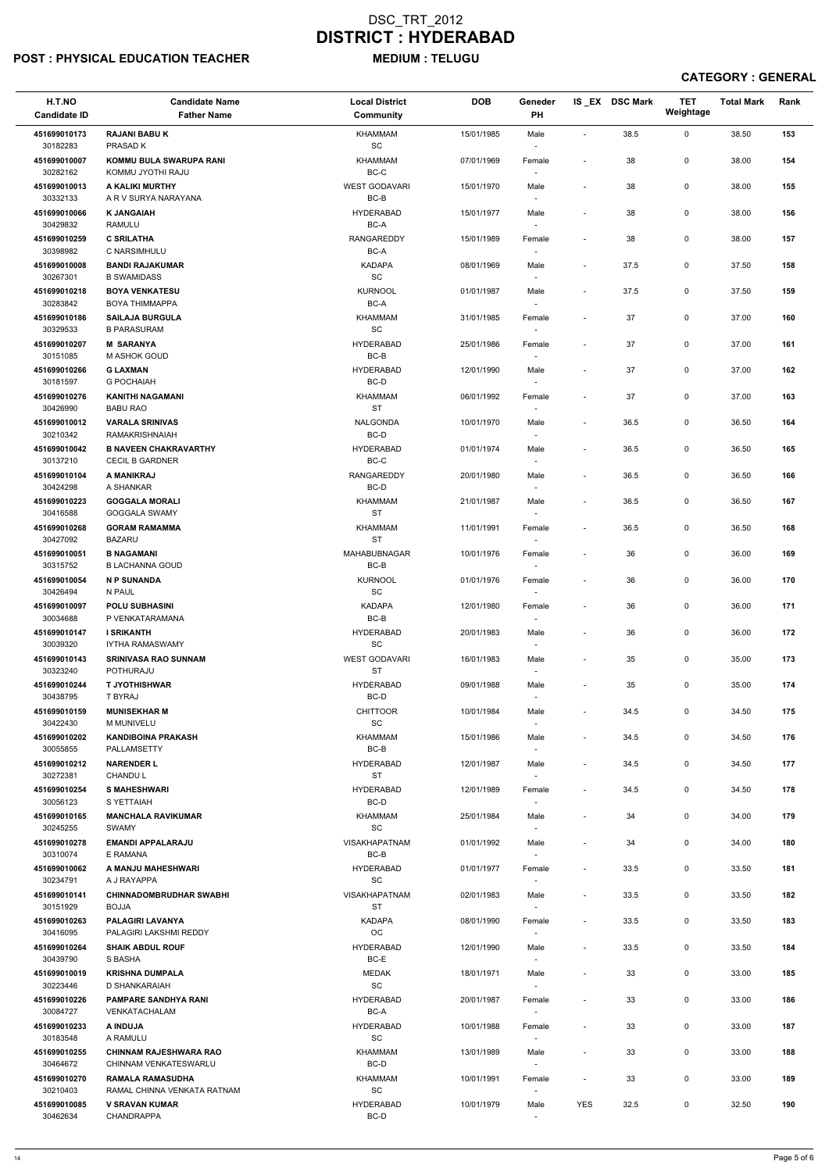### POST : PHYSICAL EDUCATION TEACHER MEDIUM : TELUGU

### DSC\_TRT\_2012 DISTRICT : HYDERABAD

| H.T.NO<br><b>Candidate ID</b> | <b>Candidate Name</b><br><b>Father Name</b>            | <b>Local District</b><br>Community      | <b>DOB</b> | Geneder<br>PH                      |                          | IS_EX DSC Mark | <b>TET</b><br>Weightage | <b>Total Mark</b> | Rank |
|-------------------------------|--------------------------------------------------------|-----------------------------------------|------------|------------------------------------|--------------------------|----------------|-------------------------|-------------------|------|
| 451699010173<br>30182283      | <b>RAJANI BABU K</b><br>PRASAD K                       | KHAMMAM<br>$\operatorname{\textsf{SC}}$ | 15/01/1985 | Male                               | $\overline{a}$           | 38.5           | $\mathsf{O}$            | 38.50             | 153  |
| 451699010007<br>30282162      | KOMMU BULA SWARUPA RANI<br>KOMMU JYOTHI RAJU           | <b>KHAMMAM</b><br>$BC-C$                | 07/01/1969 | Female                             | $\blacksquare$           | 38             | 0                       | 38.00             | 154  |
| 451699010013<br>30332133      | A KALIKI MURTHY<br>A R V SURYA NARAYANA                | <b>WEST GODAVARI</b><br>$BC-B$          | 15/01/1970 | Male<br>$\overline{\phantom{a}}$   | $\blacksquare$           | 38             | 0                       | 38.00             | 155  |
| 451699010066                  | <b>K JANGAIAH</b>                                      | <b>HYDERABAD</b>                        | 15/01/1977 | Male                               | $\blacksquare$           | 38             | 0                       | 38.00             | 156  |
| 30429832<br>451699010259      | <b>RAMULU</b><br><b>C SRILATHA</b>                     | BC-A<br><b>RANGAREDDY</b>               | 15/01/1989 | $\overline{\phantom{a}}$<br>Female | $\blacksquare$           | 38             | 0                       | 38.00             | 157  |
| 30398982                      | C NARSIMHULU                                           | $BC-A$                                  |            |                                    |                          |                |                         |                   |      |
| 451699010008<br>30267301      | <b>BANDI RAJAKUMAR</b><br><b>B SWAMIDASS</b>           | <b>KADAPA</b><br>SC                     | 08/01/1969 | Male<br>$\sim$                     | $\blacksquare$           | 37.5           | 0                       | 37.50             | 158  |
| 451699010218                  | <b>BOYA VENKATESU</b>                                  | <b>KURNOOL</b>                          | 01/01/1987 | Male                               | $\blacksquare$           | 37.5           | 0                       | 37.50             | 159  |
| 30283842                      | <b>BOYA THIMMAPPA</b>                                  | BC-A                                    |            | $\sim$                             |                          |                |                         |                   |      |
| 451699010186<br>30329533      | <b>SAILAJA BURGULA</b><br><b>B PARASURAM</b>           | <b>KHAMMAM</b><br>SC                    | 31/01/1985 | Female<br>$\overline{\phantom{a}}$ | $\blacksquare$           | 37             | 0                       | 37.00             | 160  |
| 451699010207<br>30151085      | <b>M SARANYA</b><br>M ASHOK GOUD                       | <b>HYDERABAD</b><br>BC-B                | 25/01/1986 | Female<br>$\overline{\phantom{a}}$ | $\blacksquare$           | 37             | 0                       | 37.00             | 161  |
| 451699010266                  | <b>G LAXMAN</b>                                        | <b>HYDERABAD</b>                        | 12/01/1990 | Male                               |                          | 37             | 0                       | 37.00             | 162  |
| 30181597<br>451699010276      | <b>G POCHAIAH</b><br><b>KANITHI NAGAMANI</b>           | BC-D<br>KHAMMAM                         | 06/01/1992 |                                    |                          | 37             | 0                       | 37.00             | 163  |
| 30426990                      | <b>BABU RAO</b>                                        | <b>ST</b>                               |            | Female<br>$\overline{\phantom{a}}$ | $\overline{\phantom{a}}$ |                |                         |                   |      |
| 451699010012<br>30210342      | <b>VARALA SRINIVAS</b><br><b>RAMAKRISHNAIAH</b>        | <b>NALGONDA</b><br>BC-D                 | 10/01/1970 | Male<br>$\overline{\phantom{a}}$   | $\blacksquare$           | 36.5           | $\mathsf{O}$            | 36.50             | 164  |
| 451699010042                  | <b>B NAVEEN CHAKRAVARTHY</b>                           | <b>HYDERABAD</b>                        | 01/01/1974 | Male                               | $\blacksquare$           | 36.5           | 0                       | 36.50             | 165  |
| 30137210<br>451699010104      | <b>CECIL B GARDNER</b><br>A MANIKRAJ                   | BC-C<br><b>RANGAREDDY</b>               | 20/01/1980 | $\sim$<br>Male                     | $\blacksquare$           | 36.5           | 0                       | 36.50             | 166  |
| 30424298                      | A SHANKAR                                              | BC-D                                    |            | $\overline{\phantom{a}}$           |                          |                |                         |                   |      |
| 451699010223<br>30416588      | <b>GOGGALA MORALI</b><br>GOGGALA SWAMY                 | <b>KHAMMAM</b><br><b>ST</b>             | 21/01/1987 | Male                               | $\blacksquare$           | 36.5           | 0                       | 36.50             | 167  |
| 451699010268                  | <b>GORAM RAMAMMA</b>                                   | KHAMMAM                                 | 11/01/1991 | Female                             | $\overline{\phantom{a}}$ | 36.5           | 0                       | 36.50             | 168  |
| 30427092<br>451699010051      | <b>BAZARU</b>                                          | <b>ST</b>                               |            | $\overline{\phantom{a}}$           |                          |                |                         |                   |      |
| 30315752                      | <b>B NAGAMANI</b><br><b>B LACHANNA GOUD</b>            | MAHABUBNAGAR<br>$BC-B$                  | 10/01/1976 | Female                             | $\blacksquare$           | 36             | 0                       | 36.00             | 169  |
| 451699010054<br>30426494      | <b>N P SUNANDA</b><br>N PAUL                           | <b>KURNOOL</b><br>SC                    | 01/01/1976 | Female<br>$\sim$                   | $\blacksquare$           | 36             | 0                       | 36.00             | 170  |
| 451699010097                  | <b>POLU SUBHASINI</b>                                  | <b>KADAPA</b>                           | 12/01/1980 | Female                             | $\blacksquare$           | 36             | 0                       | 36.00             | 171  |
| 30034688<br>451699010147      | P VENKATARAMANA<br><b>I SRIKANTH</b>                   | BC-B<br><b>HYDERABAD</b>                | 20/01/1983 | $\overline{\phantom{a}}$<br>Male   | $\overline{\phantom{a}}$ | 36             | 0                       | 36.00             | 172  |
| 30039320                      | <b>IYTHA RAMASWAMY</b>                                 | <b>SC</b>                               |            | $\sim$                             |                          |                |                         |                   |      |
| 451699010143<br>30323240      | <b>SRINIVASA RAO SUNNAM</b><br>POTHURAJU               | <b>WEST GODAVARI</b><br><b>ST</b>       | 16/01/1983 | Male<br>$\overline{\phantom{a}}$   | $\overline{\phantom{a}}$ | 35             | 0                       | 35.00             | 173  |
| 451699010244<br>30438795      | <b>T JYOTHISHWAR</b><br>T BYRAJ                        | <b>HYDERABAD</b><br>BC-D                | 09/01/1988 | Male<br>$\overline{\phantom{a}}$   | $\blacksquare$           | 35             | 0                       | 35.00             | 174  |
| 451699010159                  | <b>MUNISEKHAR M</b>                                    | <b>CHITTOOR</b>                         | 10/01/1984 | Male                               | $\blacksquare$           | 34.5           | 0                       | 34.50             | 175  |
| 30422430                      | <b>M MUNIVELU</b>                                      | SC                                      |            | $\sim$                             |                          |                |                         |                   |      |
| 451699010202<br>30055855      | <b>KANDIBOINA PRAKASH</b><br>PALLAMSETTY               | KHAMMAM<br>BC-B                         | 15/01/1986 | Male<br>$\sim$                     | $\blacksquare$           | 34.5           | 0                       | 34.50             | 176  |
| 451699010212<br>30272381      | <b>NARENDER L</b><br><b>CHANDUL</b>                    | <b>HYDERABAD</b><br><b>ST</b>           | 12/01/1987 | Male<br>$\sim$                     | $\overline{\phantom{a}}$ | 34.5           | 0                       | 34.50             | 177  |
| 451699010254                  | <b>S MAHESHWARI</b>                                    | <b>HYDERABAD</b>                        | 12/01/1989 | Female                             | $\blacksquare$           | 34.5           | 0                       | 34.50             | 178  |
| 30056123<br>451699010165      | S YETTAIAH<br><b>MANCHALA RAVIKUMAR</b>                | BC-D<br>KHAMMAM                         | 25/01/1984 | Male                               | $\blacksquare$           | 34             | 0                       | 34.00             | 179  |
| 30245255                      | SWAMY                                                  | <b>SC</b>                               |            | $\overline{\phantom{a}}$           |                          |                |                         |                   |      |
| 451699010278<br>30310074      | <b>EMANDI APPALARAJU</b><br>E RAMANA                   | <b>VISAKHAPATNAM</b><br>BC-B            | 01/01/1992 | Male<br>$\sim$                     | $\blacksquare$           | 34             | 0                       | 34.00             | 180  |
| 451699010062                  | A MANJU MAHESHWARI                                     | <b>HYDERABAD</b>                        | 01/01/1977 | Female                             | $\blacksquare$           | 33.5           | $\mathsf{O}$            | 33.50             | 181  |
| 30234791<br>451699010141      | A J RAYAPPA<br><b>CHINNADOMBRUDHAR SWABHI</b>          | <b>SC</b><br>VISAKHAPATNAM              | 02/01/1983 | $\sim$<br>Male                     | $\overline{\phantom{a}}$ | 33.5           | 0                       | 33.50             | 182  |
| 30151929                      | <b>BOJJA</b>                                           | <b>ST</b>                               |            |                                    |                          |                |                         |                   |      |
| 451699010263<br>30416095      | PALAGIRI LAVANYA<br>PALAGIRI LAKSHMI REDDY             | <b>KADAPA</b><br>OC                     | 08/01/1990 | Female<br>$\sim$                   | $\blacksquare$           | 33.5           | 0                       | 33.50             | 183  |
| 451699010264                  | <b>SHAIK ABDUL ROUF</b>                                | <b>HYDERABAD</b>                        | 12/01/1990 | Male                               | $\sim$                   | 33.5           | 0                       | 33.50             | 184  |
| 30439790<br>451699010019      | S BASHA<br><b>KRISHNA DUMPALA</b>                      | BC-E<br>MEDAK                           | 18/01/1971 | $\overline{\phantom{a}}$<br>Male   |                          | 33             | 0                       | 33.00             | 185  |
| 30223446                      | D SHANKARAIAH                                          | SC                                      |            | $\overline{\phantom{a}}$           |                          |                |                         |                   |      |
| 451699010226<br>30084727      | <b>PAMPARE SANDHYA RANI</b><br>VENKATACHALAM           | <b>HYDERABAD</b><br>BC-A                | 20/01/1987 | Female<br>$\sim$                   |                          | 33             | 0                       | 33.00             | 186  |
| 451699010233                  | A INDUJA                                               | <b>HYDERABAD</b>                        | 10/01/1988 | Female                             |                          | 33             | 0                       | 33.00             | 187  |
| 30183548<br>451699010255      | A RAMULU<br><b>CHINNAM RAJESHWARA RAO</b>              | SC<br><b>KHAMMAM</b>                    | 13/01/1989 | $\overline{\phantom{a}}$<br>Male   | $\overline{\phantom{a}}$ | 33             | 0                       | 33.00             | 188  |
| 30464672                      | CHINNAM VENKATESWARLU                                  | BC-D                                    |            | $\sim$                             |                          |                |                         |                   |      |
| 451699010270<br>30210403      | <b>RAMALA RAMASUDHA</b><br>RAMAL CHINNA VENKATA RATNAM | KHAMMAM<br>SC                           | 10/01/1991 | Female<br>$\overline{\phantom{a}}$ | $\overline{\phantom{a}}$ | 33             | 0                       | 33.00             | 189  |
| 451699010085<br>30462634      | <b>V SRAVAN KUMAR</b><br>CHANDRAPPA                    | <b>HYDERABAD</b><br>BC-D                | 10/01/1979 | Male<br>$\sim$                     | YES                      | 32.5           | 0                       | 32.50             | 190  |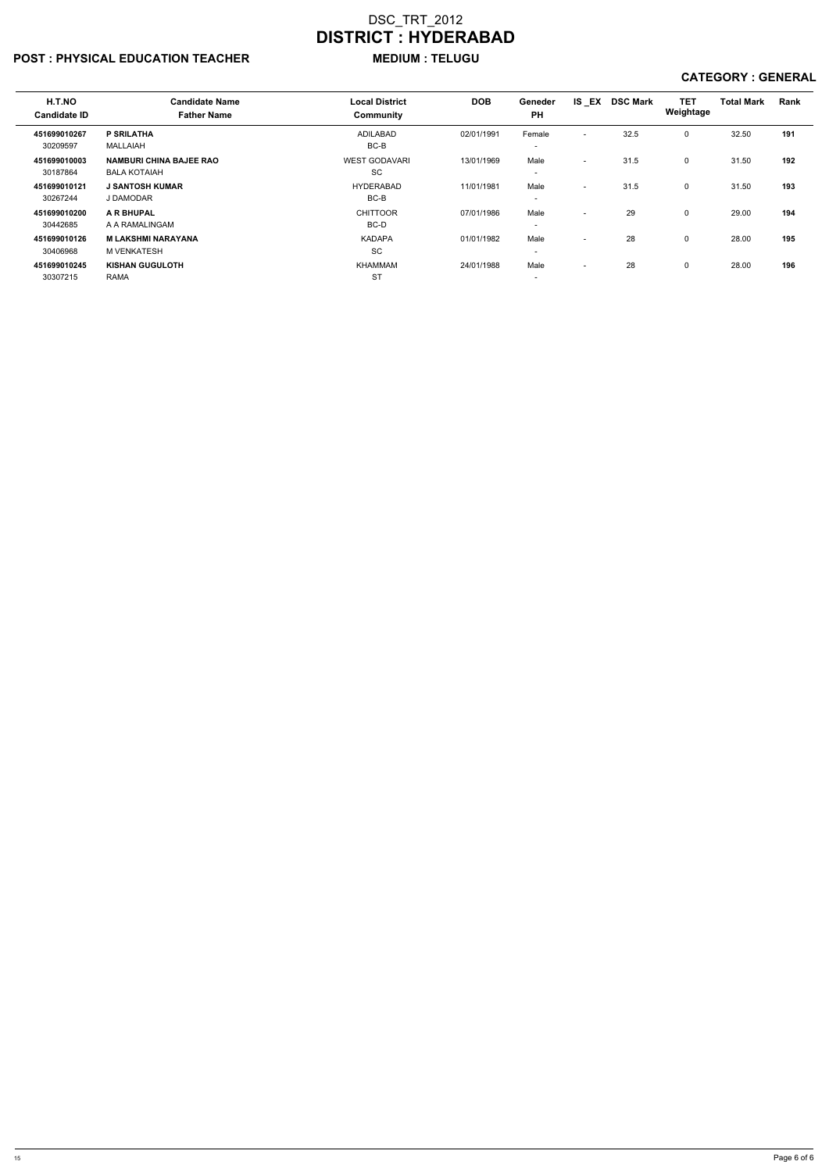### POST : PHYSICAL EDUCATION TEACHER MEDIUM : TELUGU

| H.T.NO<br><b>Candidate ID</b> | <b>Candidate Name</b><br><b>Father Name</b>           | <b>Local District</b><br>Community | <b>DOB</b> | Geneder<br><b>PH</b>               | IS EX                    | <b>DSC Mark</b> | <b>TET</b><br>Weightage | <b>Total Mark</b> | Rank |
|-------------------------------|-------------------------------------------------------|------------------------------------|------------|------------------------------------|--------------------------|-----------------|-------------------------|-------------------|------|
| 451699010267<br>30209597      | <b>P SRILATHA</b><br>MALLAIAH                         | <b>ADILABAD</b><br>BC-B            | 02/01/1991 | Female<br>$\overline{\phantom{0}}$ | $\overline{\phantom{a}}$ | 32.5            | $\Omega$                | 32.50             | 191  |
| 451699010003<br>30187864      | <b>NAMBURI CHINA BAJEE RAO</b><br><b>BALA KOTAIAH</b> | <b>WEST GODAVARI</b><br>SC         | 13/01/1969 | Male<br>$\overline{\phantom{a}}$   | $\overline{\phantom{0}}$ | 31.5            | $\mathbf 0$             | 31.50             | 192  |
| 451699010121<br>30267244      | <b>J SANTOSH KUMAR</b><br>J DAMODAR                   | <b>HYDERABAD</b><br>BC-B           | 11/01/1981 | Male<br>$\overline{\phantom{a}}$   | $\overline{\phantom{a}}$ | 31.5            | $\mathbf 0$             | 31.50             | 193  |
| 451699010200<br>30442685      | A R BHUPAL<br>A A RAMALINGAM                          | <b>CHITTOOR</b><br>BC-D            | 07/01/1986 | Male<br>$\overline{\phantom{0}}$   | ٠                        | 29              | $\Omega$                | 29.00             | 194  |
| 451699010126<br>30406968      | <b>M LAKSHMI NARAYANA</b><br>M VENKATESH              | <b>KADAPA</b><br><b>SC</b>         | 01/01/1982 | Male<br>$\overline{\phantom{0}}$   | $\overline{\phantom{a}}$ | 28              | $\Omega$                | 28.00             | 195  |
| 451699010245<br>30307215      | <b>KISHAN GUGULOTH</b><br><b>RAMA</b>                 | KHAMMAM<br><b>ST</b>               | 24/01/1988 | Male<br>$\overline{\phantom{a}}$   | $\overline{\phantom{a}}$ | 28              | $\Omega$                | 28.00             | 196  |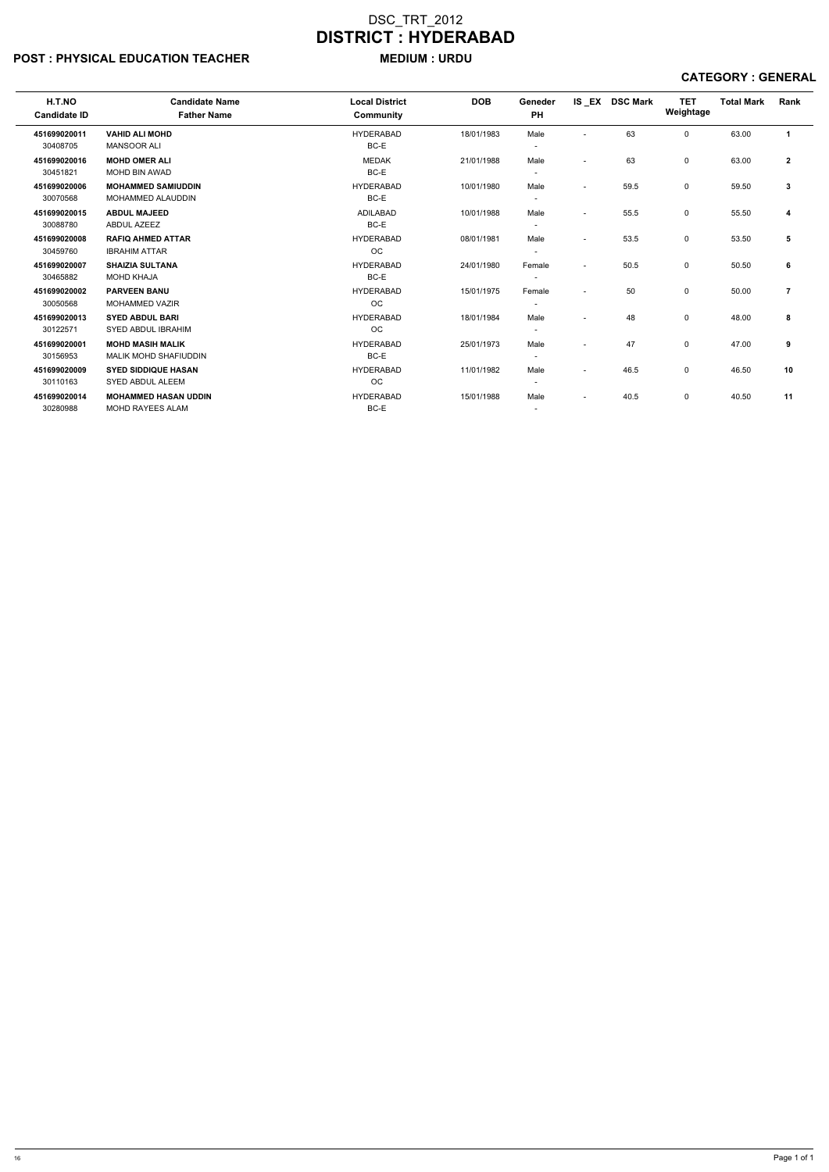### POST : PHYSICAL EDUCATION TEACHER MEDIUM : URDU

| H.T.NO              | <b>Candidate Name</b>        | <b>Local District</b> | <b>DOB</b> | Geneder                  |                          | IS EX DSC Mark | <b>TET</b>  | <b>Total Mark</b> | Rank                 |
|---------------------|------------------------------|-----------------------|------------|--------------------------|--------------------------|----------------|-------------|-------------------|----------------------|
| <b>Candidate ID</b> | <b>Father Name</b>           | <b>Community</b>      |            | <b>PH</b>                |                          |                | Weightage   |                   |                      |
| 451699020011        | <b>VAHID ALI MOHD</b>        | <b>HYDERABAD</b>      | 18/01/1983 | Male                     |                          | 63             | $\mathbf 0$ | 63.00             | $\blacktriangleleft$ |
| 30408705            | <b>MANSOOR ALI</b>           | BC-E                  |            |                          |                          |                |             |                   |                      |
| 451699020016        | <b>MOHD OMER ALI</b>         | <b>MEDAK</b>          | 21/01/1988 | Male                     | $\overline{\phantom{a}}$ | 63             | 0           | 63.00             | $\mathbf{2}$         |
| 30451821            | MOHD BIN AWAD                | BC-E                  |            | $\overline{\phantom{a}}$ |                          |                |             |                   |                      |
| 451699020006        | <b>MOHAMMED SAMIUDDIN</b>    | <b>HYDERABAD</b>      | 10/01/1980 | Male                     | $\overline{\phantom{a}}$ | 59.5           | 0           | 59.50             | 3                    |
| 30070568            | <b>MOHAMMED ALAUDDIN</b>     | BC-E                  |            | $\overline{\phantom{a}}$ |                          |                |             |                   |                      |
| 451699020015        | <b>ABDUL MAJEED</b>          | <b>ADILABAD</b>       | 10/01/1988 | Male                     | $\overline{\phantom{a}}$ | 55.5           | $\mathbf 0$ | 55.50             | 4                    |
| 30088780            | <b>ABDUL AZEEZ</b>           | BC-E                  |            | $\overline{\phantom{a}}$ |                          |                |             |                   |                      |
| 451699020008        | <b>RAFIQ AHMED ATTAR</b>     | <b>HYDERABAD</b>      | 08/01/1981 | Male                     | $\overline{\phantom{a}}$ | 53.5           | $\mathbf 0$ | 53.50             | 5                    |
| 30459760            | <b>IBRAHIM ATTAR</b>         | OC.                   |            | $\overline{\phantom{a}}$ |                          |                |             |                   |                      |
| 451699020007        | <b>SHAIZIA SULTANA</b>       | <b>HYDERABAD</b>      | 24/01/1980 | Female                   | $\overline{\phantom{0}}$ | 50.5           | 0           | 50.50             | 6                    |
| 30465882            | <b>MOHD KHAJA</b>            | BC-E                  |            | $\overline{\phantom{a}}$ |                          |                |             |                   |                      |
| 451699020002        | <b>PARVEEN BANU</b>          | <b>HYDERABAD</b>      | 15/01/1975 | Female                   | $\overline{\phantom{a}}$ | 50             | $\mathbf 0$ | 50.00             | 7                    |
| 30050568            | <b>MOHAMMED VAZIR</b>        | <b>OC</b>             |            | $\overline{\phantom{a}}$ |                          |                |             |                   |                      |
| 451699020013        | <b>SYED ABDUL BARI</b>       | <b>HYDERABAD</b>      | 18/01/1984 | Male                     | $\overline{\phantom{a}}$ | 48             | $\mathbf 0$ | 48.00             | 8                    |
| 30122571            | <b>SYED ABDUL IBRAHIM</b>    | <b>OC</b>             |            | $\overline{\phantom{a}}$ |                          |                |             |                   |                      |
| 451699020001        | <b>MOHD MASIH MALIK</b>      | <b>HYDERABAD</b>      | 25/01/1973 | Male                     | $\overline{\phantom{a}}$ | 47             | 0           | 47.00             | 9                    |
| 30156953            | <b>MALIK MOHD SHAFIUDDIN</b> | BC-E                  |            | $\overline{\phantom{a}}$ |                          |                |             |                   |                      |
| 451699020009        | <b>SYED SIDDIQUE HASAN</b>   | <b>HYDERABAD</b>      | 11/01/1982 | Male                     | $\overline{\phantom{a}}$ | 46.5           | 0           | 46.50             | 10                   |
| 30110163            | SYED ABDUL ALEEM             | <b>OC</b>             |            | $\overline{\phantom{a}}$ |                          |                |             |                   |                      |
| 451699020014        | <b>MOHAMMED HASAN UDDIN</b>  | <b>HYDERABAD</b>      | 15/01/1988 | Male                     | $\overline{\phantom{a}}$ | 40.5           | $\mathbf 0$ | 40.50             | 11                   |
| 30280988            | MOHD RAYEES ALAM             | BC-E                  |            | $\overline{\phantom{a}}$ |                          |                |             |                   |                      |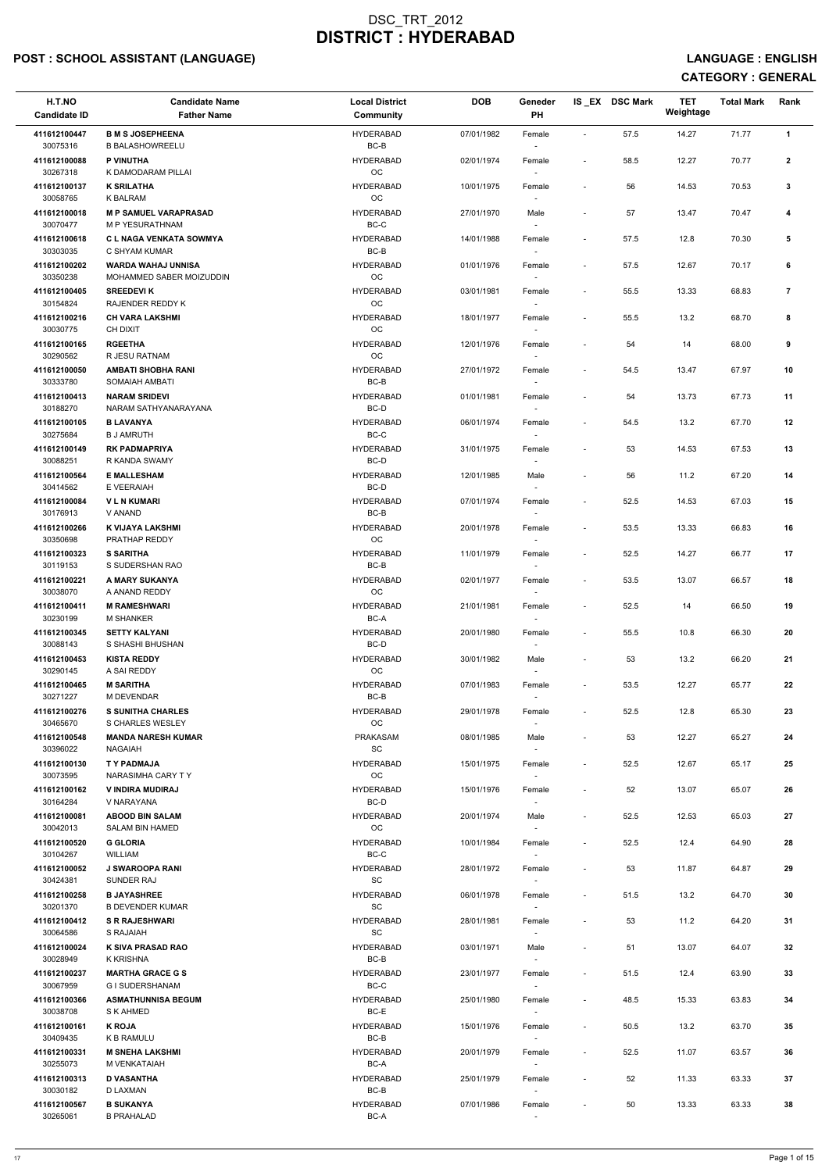# POST : SCHOOL ASSISTANT (LANGUAGE) And the state of the state of the state of the state of the state of the state of the state of the state of the state of the state of the state of the state of the state of the state of t

| H.T.NO<br><b>Candidate ID</b> | <b>Candidate Name</b><br><b>Father Name</b>           | <b>Local District</b><br><b>Community</b> | <b>DOB</b> | Geneder<br>PH                      |                          | IS EX DSC Mark | <b>TET</b><br>Weightage | <b>Total Mark</b> | Rank           |
|-------------------------------|-------------------------------------------------------|-------------------------------------------|------------|------------------------------------|--------------------------|----------------|-------------------------|-------------------|----------------|
| 411612100447<br>30075316      | <b>B M S JOSEPHEENA</b><br><b>B BALASHOWREELU</b>     | <b>HYDERABAD</b><br>BC-B                  | 07/01/1982 | Female                             | $\overline{\phantom{a}}$ | 57.5           | 14.27                   | 71.77             | $\mathbf{1}$   |
| 411612100088<br>30267318      | P VINUTHA<br>K DAMODARAM PILLAI                       | <b>HYDERABAD</b><br>OC                    | 02/01/1974 | Female                             | $\sim$                   | 58.5           | 12.27                   | 70.77             | $\overline{2}$ |
| 411612100137                  | <b>K SRILATHA</b>                                     | <b>HYDERABAD</b>                          | 10/01/1975 | Female                             |                          | 56             | 14.53                   | 70.53             | 3              |
| 30058765<br>411612100018      | <b>K BALRAM</b><br><b>M P SAMUEL VARAPRASAD</b>       | OC<br><b>HYDERABAD</b>                    | 27/01/1970 | Male                               | $\blacksquare$           | 57             | 13.47                   | 70.47             | 4              |
| 30070477<br>411612100618      | M P YESURATHNAM<br><b>CL NAGA VENKATA SOWMYA</b>      | BC-C<br><b>HYDERABAD</b>                  | 14/01/1988 | Female                             | $\overline{\phantom{a}}$ | 57.5           | 12.8                    | 70.30             | 5              |
| 30303035                      | C SHYAM KUMAR                                         | BC-B                                      |            | $\overline{\phantom{a}}$           |                          |                |                         |                   |                |
| 411612100202<br>30350238      | <b>WARDA WAHAJ UNNISA</b><br>MOHAMMED SABER MOIZUDDIN | <b>HYDERABAD</b><br>OC                    | 01/01/1976 | Female                             | $\overline{\phantom{a}}$ | 57.5           | 12.67                   | 70.17             | 6              |
| 411612100405<br>30154824      | <b>SREEDEVIK</b><br>RAJENDER REDDY K                  | <b>HYDERABAD</b><br>OC                    | 03/01/1981 | Female                             | $\overline{\phantom{a}}$ | 55.5           | 13.33                   | 68.83             | $\overline{7}$ |
| 411612100216<br>30030775      | <b>CH VARA LAKSHMI</b><br>CH DIXIT                    | <b>HYDERABAD</b><br><b>OC</b>             | 18/01/1977 | Female<br>$\overline{\phantom{a}}$ |                          | 55.5           | 13.2                    | 68.70             | 8              |
| 411612100165<br>30290562      | <b>RGEETHA</b><br>R JESU RATNAM                       | <b>HYDERABAD</b><br><b>OC</b>             | 12/01/1976 | Female<br>$\overline{\phantom{a}}$ | $\overline{\phantom{a}}$ | 54             | 14                      | 68.00             | 9              |
| 411612100050<br>30333780      | <b>AMBATI SHOBHA RANI</b><br>SOMAIAH AMBATI           | <b>HYDERABAD</b><br>BC-B                  | 27/01/1972 | Female                             |                          | 54.5           | 13.47                   | 67.97             | 10             |
| 411612100413                  | <b>NARAM SRIDEVI</b>                                  | <b>HYDERABAD</b>                          | 01/01/1981 | Female                             | $\overline{\phantom{a}}$ | 54             | 13.73                   | 67.73             | 11             |
| 30188270<br>411612100105      | NARAM SATHYANARAYANA<br><b>B LAVANYA</b>              | BC-D<br><b>HYDERABAD</b>                  | 06/01/1974 | Female                             |                          | 54.5           | 13.2                    | 67.70             | 12             |
| 30275684<br>411612100149      | <b>B J AMRUTH</b><br><b>RK PADMAPRIYA</b>             | BC-C<br><b>HYDERABAD</b>                  | 31/01/1975 | $\sim$<br>Female                   | $\overline{\phantom{a}}$ | 53             | 14.53                   | 67.53             | 13             |
| 30088251<br>411612100564      | R KANDA SWAMY<br><b>E MALLESHAM</b>                   | BC-D<br><b>HYDERABAD</b>                  | 12/01/1985 | Male                               |                          | 56             | 11.2                    | 67.20             | 14             |
| 30414562                      | E VEERAIAH                                            | BC-D                                      |            |                                    |                          |                |                         |                   |                |
| 411612100084<br>30176913      | <b>VLNKUMARI</b><br>V ANAND                           | <b>HYDERABAD</b><br>BC-B                  | 07/01/1974 | Female                             | $\overline{\phantom{a}}$ | 52.5           | 14.53                   | 67.03             | 15             |
| 411612100266<br>30350698      | K VIJAYA LAKSHMI<br>PRATHAP REDDY                     | <b>HYDERABAD</b><br>OC.                   | 20/01/1978 | Female<br>$\overline{\phantom{a}}$ | $\overline{\phantom{a}}$ | 53.5           | 13.33                   | 66.83             | 16             |
| 411612100323<br>30119153      | <b>S SARITHA</b><br>S SUDERSHAN RAO                   | <b>HYDERABAD</b><br>BC-B                  | 11/01/1979 | Female                             |                          | 52.5           | 14.27                   | 66.77             | 17             |
| 411612100221<br>30038070      | A MARY SUKANYA                                        | <b>HYDERABAD</b><br>OC                    | 02/01/1977 | Female                             | $\sim$                   | 53.5           | 13.07                   | 66.57             | 18             |
| 411612100411                  | A ANAND REDDY<br><b>M RAMESHWARI</b>                  | <b>HYDERABAD</b>                          | 21/01/1981 | Female                             | $\overline{\phantom{a}}$ | 52.5           | 14                      | 66.50             | 19             |
| 30230199<br>411612100345      | <b>M SHANKER</b><br><b>SETTY KALYANI</b>              | BC-A<br><b>HYDERABAD</b>                  | 20/01/1980 | Female                             | $\sim$                   | 55.5           | 10.8                    | 66.30             | 20             |
| 30088143<br>411612100453      | S SHASHI BHUSHAN<br><b>KISTA REDDY</b>                | BC-D<br><b>HYDERABAD</b>                  | 30/01/1982 | $\sim$<br>Male                     | $\overline{\phantom{a}}$ | 53             | 13.2                    | 66.20             | 21             |
| 30290145<br>411612100465      | A SAI REDDY<br><b>M SARITHA</b>                       | <b>OC</b><br><b>HYDERABAD</b>             | 07/01/1983 | $\sim$<br>Female                   | $\sim$                   | 53.5           | 12.27                   | 65.77             | 22             |
| 30271227                      | <b>M DEVENDAR</b>                                     | BC-B                                      |            |                                    |                          |                |                         |                   |                |
| 411612100276<br>30465670      | <b>S SUNITHA CHARLES</b><br>S CHARLES WESLEY          | <b>HYDERABAD</b><br><b>OC</b>             | 29/01/1978 | Female                             | $\overline{\phantom{a}}$ | 52.5           | 12.8                    | 65.30             | 23             |
| 411612100548<br>30396022      | <b>MANDA NARESH KUMAR</b><br><b>NAGAIAH</b>           | <b>PRAKASAM</b><br>SC.                    | 08/01/1985 | Male<br>$\overline{\phantom{a}}$   |                          | 53             | 12.27                   | 65.27             | 24             |
| 411612100130<br>30073595      | T Y PADMAJA<br>NARASIMHA CARY TY                      | <b>HYDERABAD</b><br><b>OC</b>             | 15/01/1975 | Female<br>$\sim$                   | $\overline{\phantom{a}}$ | 52.5           | 12.67                   | 65.17             | 25             |
| 411612100162<br>30164284      | V INDIRA MUDIRAJ<br>V NARAYANA                        | <b>HYDERABAD</b><br>BC-D                  | 15/01/1976 | Female                             |                          | 52             | 13.07                   | 65.07             | 26             |
| 411612100081                  | <b>ABOOD BIN SALAM</b>                                | <b>HYDERABAD</b>                          | 20/01/1974 | Male                               | $\sim$                   | 52.5           | 12.53                   | 65.03             | 27             |
| 30042013<br>411612100520      | <b>SALAM BIN HAMED</b><br><b>G GLORIA</b>             | <b>OC</b><br><b>HYDERABAD</b>             | 10/01/1984 | Female                             |                          | 52.5           | 12.4                    | 64.90             | 28             |
| 30104267<br>411612100052      | WILLIAM<br><b>J SWAROOPA RANI</b>                     | BC-C<br><b>HYDERABAD</b>                  | 28/01/1972 | $\sim$<br>Female                   | $\sim$                   | 53             | 11.87                   | 64.87             | 29             |
| 30424381<br>411612100258      | SUNDER RAJ<br><b>B JAYASHREE</b>                      | <b>SC</b><br><b>HYDERABAD</b>             | 06/01/1978 | $\sim$<br>Female                   | $\overline{\phantom{a}}$ | 51.5           | 13.2                    | 64.70             | 30             |
| 30201370                      | <b>B DEVENDER KUMAR</b>                               | SC                                        |            | $\sim$                             |                          |                |                         |                   |                |
| 411612100412<br>30064586      | <b>S R RAJESHWARI</b><br>S RAJAIAH                    | <b>HYDERABAD</b><br>SC                    | 28/01/1981 | Female                             |                          | 53             | 11.2                    | 64.20             | 31             |
| 411612100024<br>30028949      | K SIVA PRASAD RAO<br>K KRISHNA                        | <b>HYDERABAD</b><br>BC-B                  | 03/01/1971 | Male                               | $\sim$                   | 51             | 13.07                   | 64.07             | 32             |
| 411612100237<br>30067959      | <b>MARTHA GRACE G S</b><br><b>GI SUDERSHANAM</b>      | <b>HYDERABAD</b><br>BC-C                  | 23/01/1977 | Female<br>$\overline{\phantom{a}}$ | $\overline{\phantom{a}}$ | 51.5           | 12.4                    | 63.90             | 33             |
| 411612100366                  | <b>ASMATHUNNISA BEGUM</b>                             | <b>HYDERABAD</b>                          | 25/01/1980 | Female                             |                          | 48.5           | 15.33                   | 63.83             | 34             |
| 30038708<br>411612100161      | S K AHMED<br><b>K ROJA</b>                            | BC-E<br><b>HYDERABAD</b>                  | 15/01/1976 | Female                             |                          | 50.5           | 13.2                    | 63.70             | 35             |
| 30409435<br>411612100331      | <b>K B RAMULU</b><br><b>M SNEHA LAKSHMI</b>           | BC-B<br><b>HYDERABAD</b>                  | 20/01/1979 | $\sim$<br>Female                   | $\overline{\phantom{a}}$ | 52.5           | 11.07                   | 63.57             | 36             |
| 30255073<br>411612100313      | M VENKATAIAH<br><b>D VASANTHA</b>                     | BC-A<br><b>HYDERABAD</b>                  | 25/01/1979 | $\sim$<br>Female                   |                          | 52             | 11.33                   | 63.33             | 37             |
| 30030182                      | D LAXMAN                                              | BC-B                                      |            | $\sim$                             |                          |                |                         |                   |                |
| 411612100567<br>30265061      | <b>B SUKANYA</b><br><b>B PRAHALAD</b>                 | <b>HYDERABAD</b><br>$BC-A$                | 07/01/1986 | Female                             |                          | 50             | 13.33                   | 63.33             | 38             |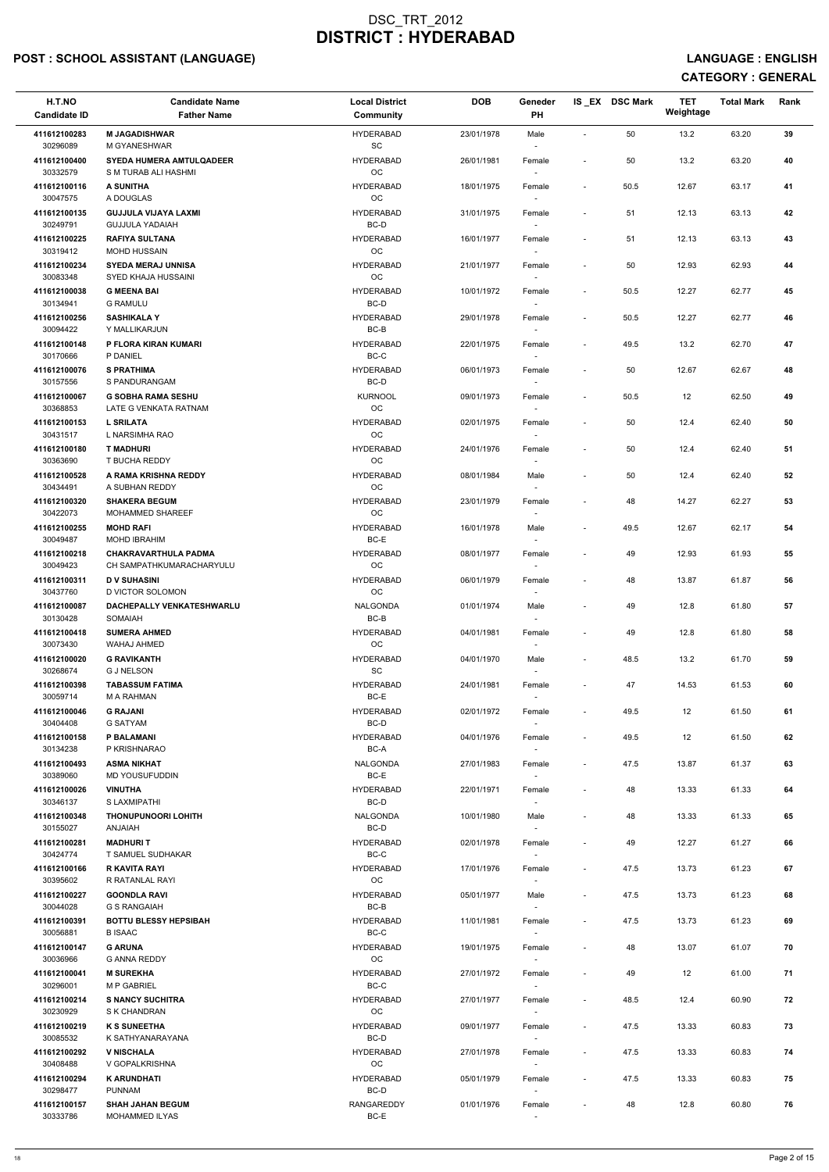# POST : SCHOOL ASSISTANT (LANGUAGE) And the state of the state of the state of the state of the state of the state of the state of the state of the state of the state of the state of the state of the state of the state of t

| H.T.NO<br><b>Candidate ID</b> | <b>Candidate Name</b><br><b>Father Name</b>           | <b>Local District</b><br>Community | <b>DOB</b> | Geneder<br>PH            |                          | IS_EX DSC Mark | <b>TET</b><br>Weightage | <b>Total Mark</b> | Rank |  |
|-------------------------------|-------------------------------------------------------|------------------------------------|------------|--------------------------|--------------------------|----------------|-------------------------|-------------------|------|--|
| 411612100283                  | <b>M JAGADISHWAR</b>                                  | <b>HYDERABAD</b>                   | 23/01/1978 | Male                     | $\sim$                   | 50             | 13.2                    | 63.20             | 39   |  |
| 30296089<br>411612100400      | M GYANESHWAR<br><b>SYEDA HUMERA AMTULQADEER</b>       | SC<br><b>HYDERABAD</b>             | 26/01/1981 | $\sim$<br>Female         |                          | 50             | 13.2                    | 63.20             | 40   |  |
| 30332579                      | S M TURAB ALI HASHMI                                  | OC                                 |            |                          |                          |                |                         |                   |      |  |
| 411612100116<br>30047575      | A SUNITHA<br>A DOUGLAS                                | <b>HYDERABAD</b><br>OC             | 18/01/1975 | Female                   | $\overline{\phantom{a}}$ | 50.5           | 12.67                   | 63.17             | 41   |  |
| 411612100135<br>30249791      | <b>GUJJULA VIJAYA LAXMI</b><br><b>GUJJULA YADAIAH</b> | <b>HYDERABAD</b><br>BC-D           | 31/01/1975 | Female<br>$\sim$         | $\overline{\phantom{a}}$ | 51             | 12.13                   | 63.13             | 42   |  |
| 411612100225                  | <b>RAFIYA SULTANA</b>                                 | <b>HYDERABAD</b>                   | 16/01/1977 | Female                   | $\overline{\phantom{a}}$ | 51             | 12.13                   | 63.13             | 43   |  |
| 30319412<br>411612100234      | <b>MOHD HUSSAIN</b><br><b>SYEDA MERAJ UNNISA</b>      | <b>OC</b><br><b>HYDERABAD</b>      | 21/01/1977 | $\sim$<br>Female         | $\overline{\phantom{a}}$ | 50             | 12.93                   | 62.93             | 44   |  |
| 30083348                      | SYED KHAJA HUSSAINI                                   | OC                                 |            |                          |                          |                |                         |                   |      |  |
| 411612100038<br>30134941      | <b>G MEENA BAI</b><br><b>G RAMULU</b>                 | <b>HYDERABAD</b><br>BC-D           | 10/01/1972 | Female                   | $\overline{\phantom{a}}$ | 50.5           | 12.27                   | 62.77             | 45   |  |
| 411612100256<br>30094422      | <b>SASHIKALA Y</b><br>Y MALLIKARJUN                   | <b>HYDERABAD</b><br>BC-B           | 29/01/1978 | Female<br>$\sim$         | $\overline{\phantom{a}}$ | 50.5           | 12.27                   | 62.77             | 46   |  |
| 411612100148                  | P FLORA KIRAN KUMARI                                  | <b>HYDERABAD</b>                   | 22/01/1975 | Female                   | $\overline{\phantom{a}}$ | 49.5           | 13.2                    | 62.70             | 47   |  |
| 30170666<br>411612100076      | P DANIEL<br><b>S PRATHIMA</b>                         | BC-C<br><b>HYDERABAD</b>           | 06/01/1973 | $\sim$<br>Female         | $\overline{\phantom{a}}$ | 50             | 12.67                   | 62.67             | 48   |  |
| 30157556                      | S PANDURANGAM                                         | BC-D                               |            | $\sim$                   |                          |                |                         |                   |      |  |
| 411612100067<br>30368853      | <b>G SOBHA RAMA SESHU</b><br>LATE G VENKATA RATNAM    | <b>KURNOOL</b><br>OC               | 09/01/1973 | Female                   | $\sim$                   | 50.5           | 12                      | 62.50             | 49   |  |
| 411612100153<br>30431517      | <b>L SRILATA</b><br>L NARSIMHA RAO                    | <b>HYDERABAD</b><br>OC             | 02/01/1975 | Female<br>$\sim$         | $\overline{\phantom{a}}$ | 50             | 12.4                    | 62.40             | 50   |  |
| 411612100180                  | <b>T MADHURI</b>                                      | <b>HYDERABAD</b>                   | 24/01/1976 | Female                   | $\overline{\phantom{a}}$ | 50             | 12.4                    | 62.40             | 51   |  |
| 30363690<br>411612100528      | T BUCHA REDDY<br>A RAMA KRISHNA REDDY                 | OC<br><b>HYDERABAD</b>             | 08/01/1984 | $\sim$<br>Male           | $\overline{\phantom{a}}$ | 50             | 12.4                    | 62.40             | 52   |  |
| 30434491                      | A SUBHAN REDDY                                        | OC                                 |            | $\sim$                   |                          |                |                         |                   |      |  |
| 411612100320<br>30422073      | <b>SHAKERA BEGUM</b><br>MOHAMMED SHAREEF              | <b>HYDERABAD</b><br>OC             | 23/01/1979 | Female                   | $\sim$                   | 48             | 14.27                   | 62.27             | 53   |  |
| 411612100255<br>30049487      | <b>MOHD RAFI</b><br><b>MOHD IBRAHIM</b>               | <b>HYDERABAD</b><br>BC-E           | 16/01/1978 | Male<br>$\sim$           | $\overline{\phantom{a}}$ | 49.5           | 12.67                   | 62.17             | 54   |  |
| 411612100218                  | <b>CHAKRAVARTHULA PADMA</b>                           | <b>HYDERABAD</b>                   | 08/01/1977 | Female                   |                          | 49             | 12.93                   | 61.93             | 55   |  |
| 30049423<br>411612100311      | CH SAMPATHKUMARACHARYULU<br><b>D V SUHASINI</b>       | OC<br><b>HYDERABAD</b>             | 06/01/1979 | $\sim$<br>Female         | $\overline{\phantom{a}}$ | 48             | 13.87                   | 61.87             | 56   |  |
| 30437760                      | D VICTOR SOLOMON                                      | OC                                 |            |                          |                          |                |                         |                   |      |  |
| 411612100087<br>30130428      | DACHEPALLY VENKATESHWARLU<br>SOMAIAH                  | <b>NALGONDA</b><br>BC-B            | 01/01/1974 | Male<br>$\sim$           | $\overline{\phantom{a}}$ | 49             | 12.8                    | 61.80             | 57   |  |
| 411612100418<br>30073430      | <b>SUMERA AHMED</b><br>WAHAJ AHMED                    | <b>HYDERABAD</b><br>OC             | 04/01/1981 | Female                   | $\overline{\phantom{a}}$ | 49             | 12.8                    | 61.80             | 58   |  |
| 411612100020                  | <b>G RAVIKANTH</b>                                    | <b>HYDERABAD</b><br><b>SC</b>      | 04/01/1970 | Male                     | $\sim$                   | 48.5           | 13.2                    | 61.70             | 59   |  |
| 30268674<br>411612100398      | <b>G J NELSON</b><br><b>TABASSUM FATIMA</b>           | <b>HYDERABAD</b>                   | 24/01/1981 | $\sim$<br>Female         | $\overline{\phantom{a}}$ | 47             | 14.53                   | 61.53             | 60   |  |
| 30059714<br>411612100046      | M A RAHMAN<br><b>G RAJANI</b>                         | BC-E<br><b>HYDERABAD</b>           | 02/01/1972 | Female                   | $\sim$                   | 49.5           | 12                      | 61.50             | 61   |  |
| 30404408                      | <b>G SATYAM</b>                                       | BC-D                               |            |                          |                          |                |                         |                   |      |  |
| 411612100158<br>30134238      | <b>P BALAMANI</b><br>P KRISHNARAO                     | <b>HYDERABAD</b><br>BC-A           | 04/01/1976 | Female<br>$\sim$         | $\sim$                   | 49.5           | 12                      | 61.50             | 62   |  |
| 411612100493<br>30389060      | <b>ASMA NIKHAT</b><br><b>MD YOUSUFUDDIN</b>           | <b>NALGONDA</b><br>BC-E            | 27/01/1983 | Female<br>$\sim$         | $\overline{\phantom{a}}$ | 47.5           | 13.87                   | 61.37             | 63   |  |
| 411612100026                  | <b>VINUTHA</b>                                        | <b>HYDERABAD</b>                   | 22/01/1971 | Female                   | $\overline{\phantom{a}}$ | 48             | 13.33                   | 61.33             | 64   |  |
| 30346137<br>411612100348      | S LAXMIPATHI<br><b>THONUPUNOORI LOHITH</b>            | BC-D<br><b>NALGONDA</b>            | 10/01/1980 | $\sim$<br>Male           |                          | 48             | 13.33                   | 61.33             | 65   |  |
| 30155027                      | <b>ANJAIAH</b>                                        | BC-D                               |            |                          |                          |                |                         |                   |      |  |
| 411612100281<br>30424774      | <b>MADHURIT</b><br>T SAMUEL SUDHAKAR                  | <b>HYDERABAD</b><br>BC-C           | 02/01/1978 | Female<br>$\sim$         | $\overline{\phantom{a}}$ | 49             | 12.27                   | 61.27             | 66   |  |
| 411612100166<br>30395602      | <b>R KAVITA RAYI</b><br>R RATANLAL RAYI               | <b>HYDERABAD</b><br>OC             | 17/01/1976 | Female<br>$\sim$         | $\sim$                   | 47.5           | 13.73                   | 61.23             | 67   |  |
| 411612100227                  | <b>GOONDLA RAVI</b>                                   | <b>HYDERABAD</b>                   | 05/01/1977 | Male                     | $\sim$                   | 47.5           | 13.73                   | 61.23             | 68   |  |
| 30044028<br>411612100391      | <b>G S RANGAIAH</b><br><b>BOTTU BLESSY HEPSIBAH</b>   | BC-B<br><b>HYDERABAD</b>           | 11/01/1981 | $\sim$<br>Female         | $\sim$                   | 47.5           | 13.73                   | 61.23             | 69   |  |
| 30056881                      | <b>BISAAC</b>                                         | BC-C                               |            |                          |                          |                |                         |                   |      |  |
| 411612100147<br>30036966      | <b>G ARUNA</b><br><b>G ANNA REDDY</b>                 | <b>HYDERABAD</b><br>OC             | 19/01/1975 | Female                   | $\overline{\phantom{a}}$ | 48             | 13.07                   | 61.07             | 70   |  |
| 411612100041<br>30296001      | <b>M SUREKHA</b><br><b>M P GABRIEL</b>                | <b>HYDERABAD</b><br>$BC-C$         | 27/01/1972 | Female<br>$\sim$         | $\sim$                   | 49             | 12 <sup>°</sup>         | 61.00             | 71   |  |
| 411612100214                  | <b>S NANCY SUCHITRA</b>                               | <b>HYDERABAD</b>                   | 27/01/1977 | Female                   | $\sim$                   | 48.5           | 12.4                    | 60.90             | 72   |  |
| 30230929<br>411612100219      | S K CHANDRAN<br><b>K S SUNEETHA</b>                   | OC<br><b>HYDERABAD</b>             | 09/01/1977 | $\sim$<br>Female         | $\sim$                   | 47.5           | 13.33                   | 60.83             | 73   |  |
| 30085532                      | K SATHYANARAYANA                                      | BC-D                               |            | $\sim$                   |                          |                |                         |                   |      |  |
| 411612100292<br>30408488      | <b>V NISCHALA</b><br>V GOPALKRISHNA                   | <b>HYDERABAD</b><br>OC             | 27/01/1978 | Female<br>$\sim$         | $\sim$                   | 47.5           | 13.33                   | 60.83             | 74   |  |
| 411612100294<br>30298477      | <b>K ARUNDHATI</b><br><b>PUNNAM</b>                   | <b>HYDERABAD</b><br>BC-D           | 05/01/1979 | Female<br>$\sim$         | $\sim$                   | 47.5           | 13.33                   | 60.83             | 75   |  |
| 411612100157                  | <b>SHAH JAHAN BEGUM</b>                               | RANGAREDDY                         | 01/01/1976 | Female                   |                          | 48             | 12.8                    | 60.80             | 76   |  |
| 30333786                      | MOHAMMED ILYAS                                        | BC-E                               |            | $\overline{\phantom{a}}$ |                          |                |                         |                   |      |  |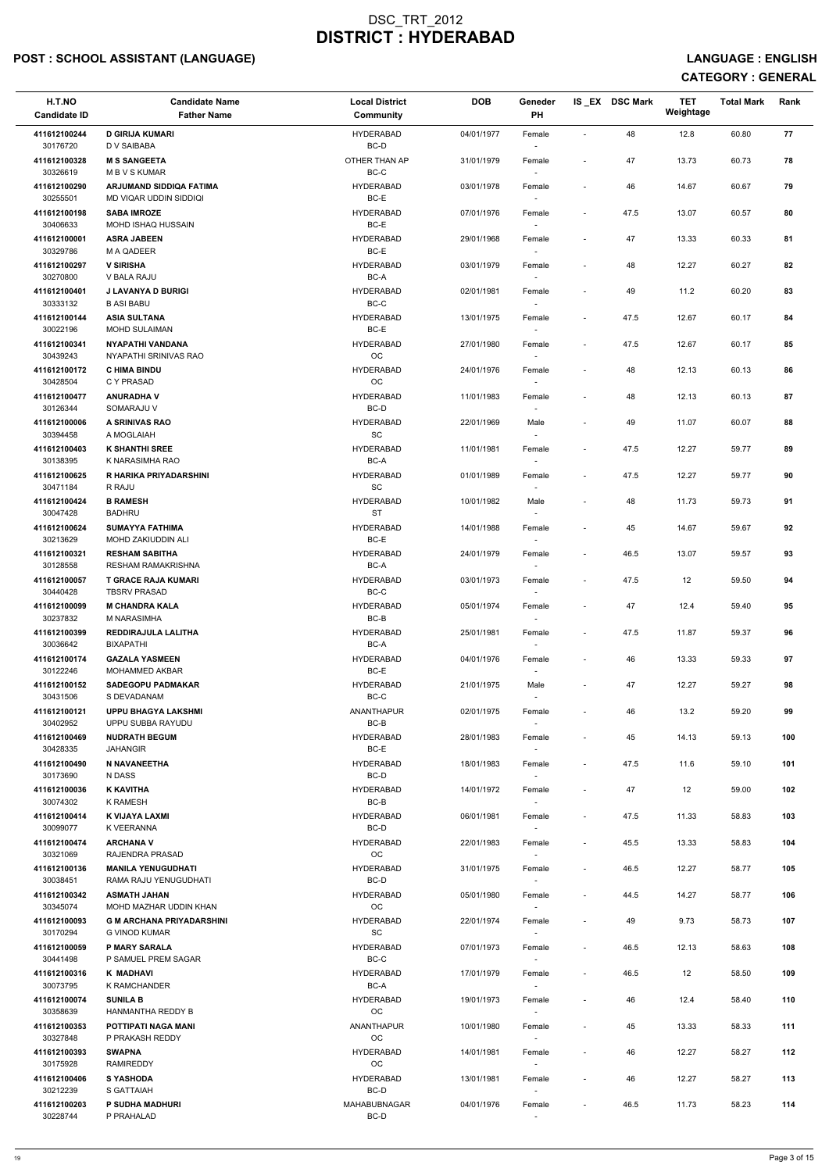# POST : SCHOOL ASSISTANT (LANGUAGE) AND ENGLISH CONTROLLING ON THE SERVICE OF THE SERVICE OF THE SERVICE : ENGLISH

| H.T.NO<br><b>Candidate ID</b> | <b>Candidate Name</b><br><b>Father Name</b>              | <b>Local District</b><br>Community | <b>DOB</b> | Geneder<br>PH                    |                          | IS EX DSC Mark | <b>TET</b><br>Weightage | <b>Total Mark</b> | Rank |  |
|-------------------------------|----------------------------------------------------------|------------------------------------|------------|----------------------------------|--------------------------|----------------|-------------------------|-------------------|------|--|
| 411612100244                  | <b>D GIRIJA KUMARI</b>                                   | <b>HYDERABAD</b>                   | 04/01/1977 | Female                           | $\sim$                   | 48             | 12.8                    | 60.80             | 77   |  |
| 30176720<br>411612100328      | D V SAIBABA<br><b>M S SANGEETA</b>                       | BC-D<br>OTHER THAN AP              | 31/01/1979 | $\sim$<br>Female                 |                          | 47             | 13.73                   | 60.73             | 78   |  |
| 30326619<br>411612100290      | <b>MBVSKUMAR</b><br>ARJUMAND SIDDIQA FATIMA              | BC-C<br><b>HYDERABAD</b>           | 03/01/1978 | Female                           | $\overline{\phantom{a}}$ | 46             | 14.67                   | 60.67             | 79   |  |
| 30255501                      | MD VIQAR UDDIN SIDDIQI                                   | BC-E                               |            |                                  |                          |                |                         |                   |      |  |
| 411612100198<br>30406633      | <b>SABA IMROZE</b><br>MOHD ISHAQ HUSSAIN                 | <b>HYDERABAD</b><br>BC-E           | 07/01/1976 | Female<br>$\sim$                 | $\sim$                   | 47.5           | 13.07                   | 60.57             | 80   |  |
| 411612100001<br>30329786      | <b>ASRA JABEEN</b><br>M A QADEER                         | <b>HYDERABAD</b><br>BC-E           | 29/01/1968 | Female                           | $\overline{\phantom{a}}$ | 47             | 13.33                   | 60.33             | 81   |  |
| 411612100297                  | <b>V SIRISHA</b>                                         | <b>HYDERABAD</b>                   | 03/01/1979 | $\sim$<br>Female                 | $\overline{\phantom{a}}$ | 48             | 12.27                   | 60.27             | 82   |  |
| 30270800<br>411612100401      | V BALA RAJU<br><b>J LAVANYA D BURIGI</b>                 | BC-A<br><b>HYDERABAD</b>           | 02/01/1981 | Female                           | $\overline{\phantom{a}}$ | 49             | 11.2                    | 60.20             | 83   |  |
| 30333132                      | <b>B ASI BABU</b>                                        | $BC-C$                             |            |                                  |                          |                |                         |                   |      |  |
| 411612100144<br>30022196      | <b>ASIA SULTANA</b><br><b>MOHD SULAIMAN</b>              | <b>HYDERABAD</b><br>BC-E           | 13/01/1975 | Female<br>$\sim$                 | $\overline{\phantom{a}}$ | 47.5           | 12.67                   | 60.17             | 84   |  |
| 411612100341<br>30439243      | <b>NYAPATHI VANDANA</b><br>NYAPATHI SRINIVAS RAO         | <b>HYDERABAD</b><br>OC             | 27/01/1980 | Female<br>$\sim$                 | $\overline{\phantom{a}}$ | 47.5           | 12.67                   | 60.17             | 85   |  |
| 411612100172                  | <b>C HIMA BINDU</b>                                      | <b>HYDERABAD</b>                   | 24/01/1976 | Female                           | $\sim$                   | 48             | 12.13                   | 60.13             | 86   |  |
| 30428504<br>411612100477      | C Y PRASAD<br><b>ANURADHAV</b>                           | OC<br><b>HYDERABAD</b>             | 11/01/1983 | $\sim$<br>Female                 |                          | 48             | 12.13                   | 60.13             | 87   |  |
| 30126344<br>411612100006      | SOMARAJU V<br>A SRINIVAS RAO                             | BC-D<br><b>HYDERABAD</b>           | 22/01/1969 | Male                             |                          | 49             | 11.07                   | 60.07             |      |  |
| 30394458                      | A MOGLAIAH                                               | <b>SC</b>                          |            | $\sim$                           | $\overline{\phantom{a}}$ |                |                         |                   | 88   |  |
| 411612100403<br>30138395      | <b>K SHANTHI SREE</b><br>K NARASIMHA RAO                 | <b>HYDERABAD</b><br>BC-A           | 11/01/1981 | Female<br>$\sim$                 | $\sim$                   | 47.5           | 12.27                   | 59.77             | 89   |  |
| 411612100625                  | R HARIKA PRIYADARSHINI                                   | <b>HYDERABAD</b>                   | 01/01/1989 | Female                           | $\overline{\phantom{a}}$ | 47.5           | 12.27                   | 59.77             | 90   |  |
| 30471184<br>411612100424      | R RAJU<br><b>B RAMESH</b>                                | <b>SC</b><br><b>HYDERABAD</b>      | 10/01/1982 | $\sim$<br>Male                   | $\sim$                   | 48             | 11.73                   | 59.73             | 91   |  |
| 30047428<br>411612100624      | <b>BADHRU</b><br><b>SUMAYYA FATHIMA</b>                  | <b>ST</b><br><b>HYDERABAD</b>      | 14/01/1988 | Female                           | $\overline{\phantom{a}}$ | 45             | 14.67                   | 59.67             | 92   |  |
| 30213629                      | MOHD ZAKIUDDIN ALI                                       | BC-E                               |            | $\sim$                           |                          |                |                         |                   |      |  |
| 411612100321<br>30128558      | <b>RESHAM SABITHA</b><br><b>RESHAM RAMAKRISHNA</b>       | <b>HYDERABAD</b><br>BC-A           | 24/01/1979 | Female<br>$\sim$                 | $\overline{\phantom{a}}$ | 46.5           | 13.07                   | 59.57             | 93   |  |
| 411612100057<br>30440428      | <b>T GRACE RAJA KUMARI</b><br><b>TBSRV PRASAD</b>        | <b>HYDERABAD</b><br>BC-C           | 03/01/1973 | Female                           | $\sim$                   | 47.5           | 12                      | 59.50             | 94   |  |
| 411612100099                  | <b>M CHANDRA KALA</b>                                    | <b>HYDERABAD</b>                   | 05/01/1974 | Female                           | $\overline{\phantom{a}}$ | 47             | 12.4                    | 59.40             | 95   |  |
| 30237832<br>411612100399      | M NARASIMHA<br>REDDIRAJULA LALITHA                       | BC-B<br><b>HYDERABAD</b>           | 25/01/1981 | Female                           | $\sim$                   | 47.5           | 11.87                   | 59.37             | 96   |  |
| 30036642                      | BIXAPATHI                                                | BC-A                               |            | $\sim$                           |                          |                |                         |                   |      |  |
| 411612100174<br>30122246      | <b>GAZALA YASMEEN</b><br>MOHAMMED AKBAR                  | <b>HYDERABAD</b><br>BC-E           | 04/01/1976 | Female<br>$\sim$                 | $\sim$                   | 46             | 13.33                   | 59.33             | 97   |  |
| 411612100152<br>30431506      | <b>SADEGOPU PADMAKAR</b><br>S DEVADANAM                  | <b>HYDERABAD</b><br>BC-C           | 21/01/1975 | Male<br>$\overline{\phantom{a}}$ | $\sim$                   | 47             | 12.27                   | 59.27             | 98   |  |
| 411612100121<br>30402952      | <b>UPPU BHAGYA LAKSHMI</b>                               | ANANTHAPUR<br>BC-B                 | 02/01/1975 | Female                           | $\overline{\phantom{a}}$ | 46             | 13.2                    | 59.20             | 99   |  |
| 411612100469                  | UPPU SUBBA RAYUDU<br><b>NUDRATH BEGUM</b>                | <b>HYDERABAD</b>                   | 28/01/1983 | Female                           | $\overline{\phantom{a}}$ | 45             | 14.13                   | 59.13             | 100  |  |
| 30428335<br>411612100490      | <b>JAHANGIR</b><br>N NAVANEETHA                          | BC-E<br><b>HYDERABAD</b>           | 18/01/1983 | $\sim$<br>Female                 | $\sim$                   | 47.5           | 11.6                    | 59.10             | 101  |  |
| 30173690                      | N DASS                                                   | BC-D                               |            | $\sim$                           |                          |                |                         |                   |      |  |
| 411612100036<br>30074302      | <b>K KAVITHA</b><br>K RAMESH                             | <b>HYDERABAD</b><br>BC-B           | 14/01/1972 | Female<br>$\sim$                 | $\sim$                   | 47             | 12                      | 59.00             | 102  |  |
| 411612100414<br>30099077      | K VIJAYA LAXMI<br>K VEERANNA                             | <b>HYDERABAD</b><br>BC-D           | 06/01/1981 | Female                           | $\overline{\phantom{a}}$ | 47.5           | 11.33                   | 58.83             | 103  |  |
| 411612100474                  | <b>ARCHANA V</b>                                         | <b>HYDERABAD</b>                   | 22/01/1983 | Female                           | $\overline{\phantom{a}}$ | 45.5           | 13.33                   | 58.83             | 104  |  |
| 30321069<br>411612100136      | RAJENDRA PRASAD<br><b>MANILA YENUGUDHATI</b>             | <b>OC</b><br><b>HYDERABAD</b>      | 31/01/1975 | $\sim$<br>Female                 | $\sim$                   | 46.5           | 12.27                   | 58.77             | 105  |  |
| 30038451                      | RAMA RAJU YENUGUDHATI                                    | BC-D                               |            | $\sim$                           |                          |                |                         |                   |      |  |
| 411612100342<br>30345074      | <b>ASMATH JAHAN</b><br>MOHD MAZHAR UDDIN KHAN            | <b>HYDERABAD</b><br>OC.            | 05/01/1980 | Female<br>$\sim$                 | $\overline{\phantom{a}}$ | 44.5           | 14.27                   | 58.77             | 106  |  |
| 411612100093<br>30170294      | <b>G M ARCHANA PRIYADARSHINI</b><br><b>G VINOD KUMAR</b> | <b>HYDERABAD</b><br>SC             | 22/01/1974 | Female                           | $\overline{\phantom{a}}$ | 49             | 9.73                    | 58.73             | 107  |  |
| 411612100059                  | <b>P MARY SARALA</b>                                     | <b>HYDERABAD</b>                   | 07/01/1973 | Female                           | $\overline{\phantom{a}}$ | 46.5           | 12.13                   | 58.63             | 108  |  |
| 30441498<br>411612100316      | P SAMUEL PREM SAGAR<br>K MADHAVI                         | $BC-C$<br><b>HYDERABAD</b>         | 17/01/1979 | Female                           | $\sim$                   | 46.5           | 12 <sup>°</sup>         | 58.50             | 109  |  |
| 30073795<br>411612100074      | K RAMCHANDER<br><b>SUNILA B</b>                          | BC-A<br><b>HYDERABAD</b>           | 19/01/1973 | $\sim$<br>Female                 | $\overline{\phantom{a}}$ | 46             | 12.4                    | 58.40             | 110  |  |
| 30358639                      | HANMANTHA REDDY B                                        | <b>OC</b>                          |            | $\sim$                           |                          |                |                         |                   |      |  |
| 411612100353<br>30327848      | POTTIPATI NAGA MANI<br>P PRAKASH REDDY                   | ANANTHAPUR<br>OC                   | 10/01/1980 | Female<br>$\sim$                 | $\sim$                   | 45             | 13.33                   | 58.33             | 111  |  |
| 411612100393<br>30175928      | <b>SWAPNA</b><br><b>RAMIREDDY</b>                        | <b>HYDERABAD</b><br>OC             | 14/01/1981 | Female<br>$\sim$                 | $\sim$                   | 46             | 12.27                   | 58.27             | 112  |  |
| 411612100406                  | <b>S YASHODA</b>                                         | <b>HYDERABAD</b>                   | 13/01/1981 | Female                           | $\sim$                   | 46             | 12.27                   | 58.27             | 113  |  |
| 30212239<br>411612100203      | S GATTAIAH<br>P SUDHA MADHURI                            | BC-D<br>MAHABUBNAGAR               | 04/01/1976 | $\sim$<br>Female                 | $\overline{\phantom{a}}$ | 46.5           | 11.73                   | 58.23             | 114  |  |
| 30228744                      | P PRAHALAD                                               | BC-D                               |            | $\overline{\phantom{a}}$         |                          |                |                         |                   |      |  |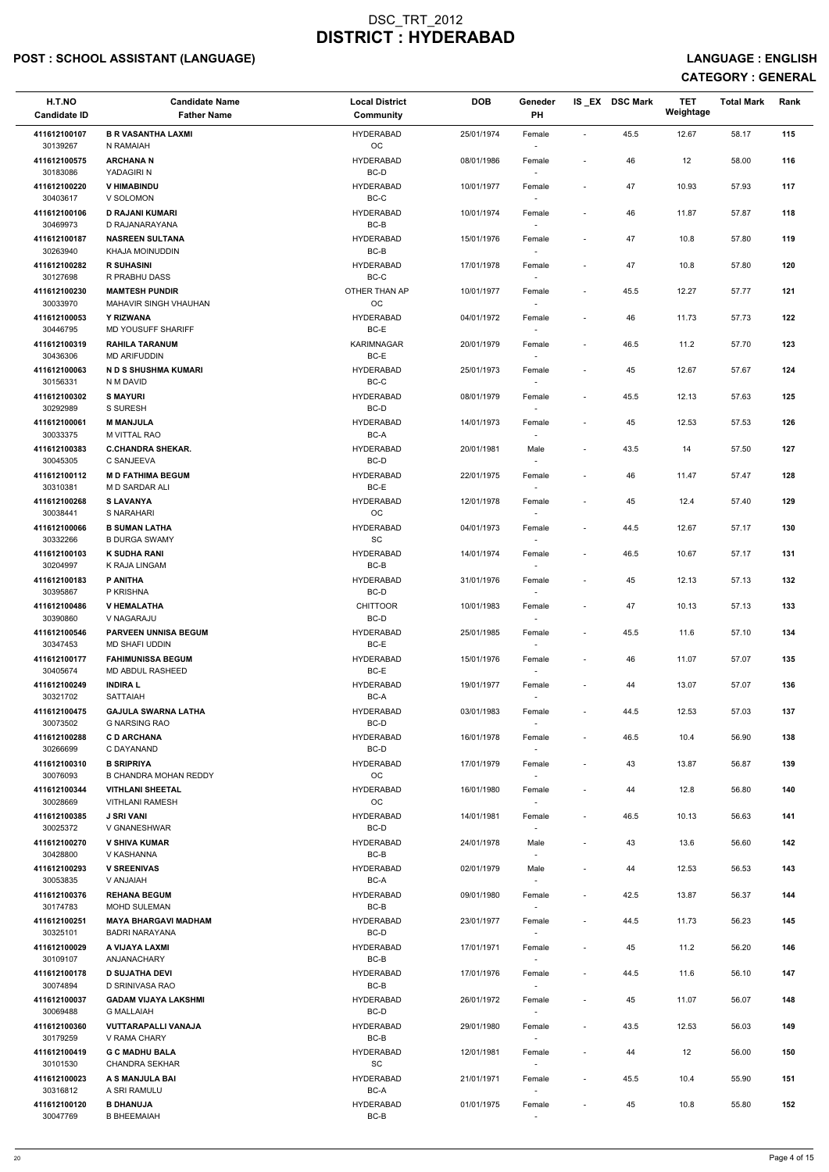# POST : SCHOOL ASSISTANT (LANGUAGE) And the state of the state of the state of the state of the state of the state of the state of the state of the state of the state of the state of the state of the state of the state of t

| H.T.NO<br><b>Candidate ID</b> | <b>Candidate Name</b><br><b>Father Name</b>        | <b>Local District</b><br><b>Community</b> | <b>DOB</b> | Geneder<br>PH    |                          | IS EX DSC Mark | <b>TET</b><br>Weightage | <b>Total Mark</b> | Rank |
|-------------------------------|----------------------------------------------------|-------------------------------------------|------------|------------------|--------------------------|----------------|-------------------------|-------------------|------|
| 411612100107<br>30139267      | <b>B R VASANTHA LAXMI</b><br>N RAMAIAH             | <b>HYDERABAD</b><br>OC                    | 25/01/1974 | Female           | $\blacksquare$           | 45.5           | 12.67                   | 58.17             | 115  |
| 411612100575<br>30183086      | <b>ARCHANAN</b><br>YADAGIRI N                      | <b>HYDERABAD</b><br>BC-D                  | 08/01/1986 | Female           | $\overline{\phantom{a}}$ | 46             | 12                      | 58.00             | 116  |
| 411612100220                  | <b>V HIMABINDU</b>                                 | <b>HYDERABAD</b>                          | 10/01/1977 | Female           | $\sim$                   | 47             | 10.93                   | 57.93             | 117  |
| 30403617<br>411612100106      | V SOLOMON<br><b>D RAJANI KUMARI</b>                | BC-C<br><b>HYDERABAD</b>                  | 10/01/1974 | $\sim$<br>Female | $\overline{\phantom{a}}$ | 46             | 11.87                   | 57.87             | 118  |
| 30469973<br>411612100187      | D RAJANARAYANA<br><b>NASREEN SULTANA</b>           | BC-B<br><b>HYDERABAD</b>                  | 15/01/1976 | $\sim$<br>Female | $\sim$                   | 47             | 10.8                    | 57.80             | 119  |
| 30263940<br>411612100282      | KHAJA MOINUDDIN<br><b>R SUHASINI</b>               | BC-B<br><b>HYDERABAD</b>                  | 17/01/1978 | $\sim$<br>Female | $\overline{\phantom{a}}$ | 47             | 10.8                    | 57.80             | 120  |
| 30127698                      | R PRABHU DASS                                      | $BC-C$                                    |            |                  |                          |                |                         |                   |      |
| 411612100230<br>30033970      | <b>MAMTESH PUNDIR</b><br>MAHAVIR SINGH VHAUHAN     | OTHER THAN AP<br>OC                       | 10/01/1977 | Female<br>$\sim$ | $\overline{\phantom{a}}$ | 45.5           | 12.27                   | 57.77             | 121  |
| 411612100053<br>30446795      | Y RIZWANA<br>MD YOUSUFF SHARIFF                    | <b>HYDERABAD</b><br>BC-E                  | 04/01/1972 | Female<br>$\sim$ | $\overline{\phantom{a}}$ | 46             | 11.73                   | 57.73             | 122  |
| 411612100319<br>30436306      | <b>RAHILA TARANUM</b><br><b>MD ARIFUDDIN</b>       | <b>KARIMNAGAR</b><br>BC-E                 | 20/01/1979 | Female<br>$\sim$ | $\overline{\phantom{a}}$ | 46.5           | 11.2                    | 57.70             | 123  |
| 411612100063<br>30156331      | <b>NDS SHUSHMA KUMARI</b><br>N M DAVID             | <b>HYDERABAD</b><br>BC-C                  | 25/01/1973 | Female           | $\overline{\phantom{a}}$ | 45             | 12.67                   | 57.67             | 124  |
| 411612100302<br>30292989      | <b>S MAYURI</b><br>S SURESH                        | <b>HYDERABAD</b><br>BC-D                  | 08/01/1979 | Female           | $\overline{\phantom{a}}$ | 45.5           | 12.13                   | 57.63             | 125  |
| 411612100061                  | <b>M MANJULA</b>                                   | <b>HYDERABAD</b>                          | 14/01/1973 | Female           | $\sim$                   | 45             | 12.53                   | 57.53             | 126  |
| 30033375<br>411612100383      | <b>M VITTAL RAO</b><br><b>C.CHANDRA SHEKAR.</b>    | BC-A<br><b>HYDERABAD</b>                  | 20/01/1981 | $\sim$<br>Male   | $\sim$                   | 43.5           | 14                      | 57.50             | 127  |
| 30045305<br>411612100112      | C SANJEEVA<br><b>MD FATHIMA BEGUM</b>              | BC-D<br><b>HYDERABAD</b>                  | 22/01/1975 | $\sim$<br>Female | $\overline{\phantom{a}}$ | 46             | 11.47                   | 57.47             | 128  |
| 30310381<br>411612100268      | M D SARDAR ALI<br><b>SLAVANYA</b>                  | BC-E<br><b>HYDERABAD</b>                  | 12/01/1978 | Female           | $\overline{\phantom{a}}$ | 45             | 12.4                    | 57.40             | 129  |
| 30038441                      | S NARAHARI                                         | OC                                        |            |                  |                          |                |                         |                   |      |
| 411612100066<br>30332266      | <b>B SUMAN LATHA</b><br><b>B DURGA SWAMY</b>       | <b>HYDERABAD</b><br>SC                    | 04/01/1973 | Female<br>$\sim$ | $\overline{\phantom{a}}$ | 44.5           | 12.67                   | 57.17             | 130  |
| 411612100103<br>30204997      | <b>K SUDHA RANI</b><br>K RAJA LINGAM               | <b>HYDERABAD</b><br>BC-B                  | 14/01/1974 | Female           | $\overline{\phantom{a}}$ | 46.5           | 10.67                   | 57.17             | 131  |
| 411612100183<br>30395867      | P ANITHA<br>P KRISHNA                              | <b>HYDERABAD</b><br>BC-D                  | 31/01/1976 | Female           | $\overline{\phantom{a}}$ | 45             | 12.13                   | 57.13             | 132  |
| 411612100486<br>30390860      | <b>V HEMALATHA</b><br>V NAGARAJU                   | <b>CHITTOOR</b><br>BC-D                   | 10/01/1983 | Female<br>$\sim$ | $\overline{\phantom{a}}$ | 47             | 10.13                   | 57.13             | 133  |
| 411612100546<br>30347453      | <b>PARVEEN UNNISA BEGUM</b><br>MD SHAFI UDDIN      | <b>HYDERABAD</b><br>BC-E                  | 25/01/1985 | Female<br>$\sim$ | $\overline{\phantom{a}}$ | 45.5           | 11.6                    | 57.10             | 134  |
| 411612100177                  | <b>FAHIMUNISSA BEGUM</b>                           | <b>HYDERABAD</b>                          | 15/01/1976 | Female           | $\sim$                   | 46             | 11.07                   | 57.07             | 135  |
| 30405674<br>411612100249      | MD ABDUL RASHEED<br><b>INDIRAL</b>                 | BC-E<br><b>HYDERABAD</b>                  | 19/01/1977 | $\sim$<br>Female | $\overline{\phantom{a}}$ | 44             | 13.07                   | 57.07             | 136  |
| 30321702<br>411612100475      | <b>SATTAIAH</b><br><b>GAJULA SWARNA LATHA</b>      | BC-A<br><b>HYDERABAD</b>                  | 03/01/1983 | Female           | $\overline{\phantom{a}}$ | 44.5           | 12.53                   | 57.03             | 137  |
| 30073502<br>411612100288      | <b>G NARSING RAO</b><br><b>CD ARCHANA</b>          | BC-D<br><b>HYDERABAD</b>                  | 16/01/1978 | $\sim$<br>Female | $\sim$                   | 46.5           | 10.4                    | 56.90             | 138  |
| 30266699                      | C DAYANAND                                         | BC-D                                      |            | $\sim$           |                          |                |                         |                   |      |
| 411612100310<br>30076093      | <b>B SRIPRIYA</b><br><b>B CHANDRA MOHAN REDDY</b>  | <b>HYDERABAD</b><br>OC                    | 17/01/1979 | Female<br>$\sim$ | $\sim$                   | 43             | 13.87                   | 56.87             | 139  |
| 411612100344<br>30028669      | <b>VITHLANI SHEETAL</b><br><b>VITHLANI RAMESH</b>  | <b>HYDERABAD</b><br><b>OC</b>             | 16/01/1980 | Female           | $\overline{\phantom{a}}$ | 44             | 12.8                    | 56.80             | 140  |
| 411612100385<br>30025372      | <b>J SRI VANI</b><br>V GNANESHWAR                  | <b>HYDERABAD</b><br>BC-D                  | 14/01/1981 | Female           | $\overline{\phantom{a}}$ | 46.5           | 10.13                   | 56.63             | 141  |
| 411612100270<br>30428800      | <b>V SHIVA KUMAR</b><br>V KASHANNA                 | <b>HYDERABAD</b><br>BC-B                  | 24/01/1978 | Male<br>$\sim$   | $\overline{\phantom{a}}$ | 43             | 13.6                    | 56.60             | 142  |
| 411612100293                  | <b>V SREENIVAS</b>                                 | <b>HYDERABAD</b>                          | 02/01/1979 | Male             | $\sim$                   | 44             | 12.53                   | 56.53             | 143  |
| 30053835<br>411612100376      | <b>HAIALAN V</b><br><b>REHANA BEGUM</b>            | BC-A<br><b>HYDERABAD</b>                  | 09/01/1980 | $\sim$<br>Female | $\overline{\phantom{a}}$ | 42.5           | 13.87                   | 56.37             | 144  |
| 30174783<br>411612100251      | <b>MOHD SULEMAN</b><br><b>MAYA BHARGAVI MADHAM</b> | BC-B<br><b>HYDERABAD</b>                  | 23/01/1977 | $\sim$<br>Female | $\sim$                   | 44.5           | 11.73                   | 56.23             | 145  |
| 30325101<br>411612100029      | <b>BADRI NARAYANA</b><br>A VIJAYA LAXMI            | BC-D<br><b>HYDERABAD</b>                  | 17/01/1971 | Female           | $\overline{\phantom{a}}$ | 45             | 11.2                    | 56.20             | 146  |
| 30109107                      | ANJANACHARY                                        | BC-B                                      |            | $\sim$           |                          |                |                         |                   |      |
| 411612100178<br>30074894      | <b>D SUJATHA DEVI</b><br>D SRINIVASA RAO           | <b>HYDERABAD</b><br>BC-B                  | 17/01/1976 | Female<br>$\sim$ | $\sim$                   | 44.5           | 11.6                    | 56.10             | 147  |
| 411612100037<br>30069488      | <b>GADAM VIJAYA LAKSHMI</b><br><b>G MALLAIAH</b>   | <b>HYDERABAD</b><br>BC-D                  | 26/01/1972 | Female<br>$\sim$ |                          | 45             | 11.07                   | 56.07             | 148  |
| 411612100360<br>30179259      | <b>VUTTARAPALLI VANAJA</b><br>V RAMA CHARY         | <b>HYDERABAD</b><br>BC-B                  | 29/01/1980 | Female<br>$\sim$ | $\sim$                   | 43.5           | 12.53                   | 56.03             | 149  |
| 411612100419<br>30101530      | <b>G C MADHU BALA</b><br><b>CHANDRA SEKHAR</b>     | <b>HYDERABAD</b><br>SC                    | 12/01/1981 | Female<br>$\sim$ | $\sim$                   | 44             | 12                      | 56.00             | 150  |
| 411612100023<br>30316812      | A S MANJULA BAI<br>A SRI RAMULU                    | <b>HYDERABAD</b><br>BC-A                  | 21/01/1971 | Female           | $\sim$                   | 45.5           | 10.4                    | 55.90             | 151  |
| 411612100120                  | <b>B DHANUJA</b>                                   | <b>HYDERABAD</b>                          | 01/01/1975 | $\sim$<br>Female |                          | 45             | 10.8                    | 55.80             | 152  |
| 30047769                      | <b>B BHEEMAIAH</b>                                 | $BC-B$                                    |            | $\sim$           |                          |                |                         |                   |      |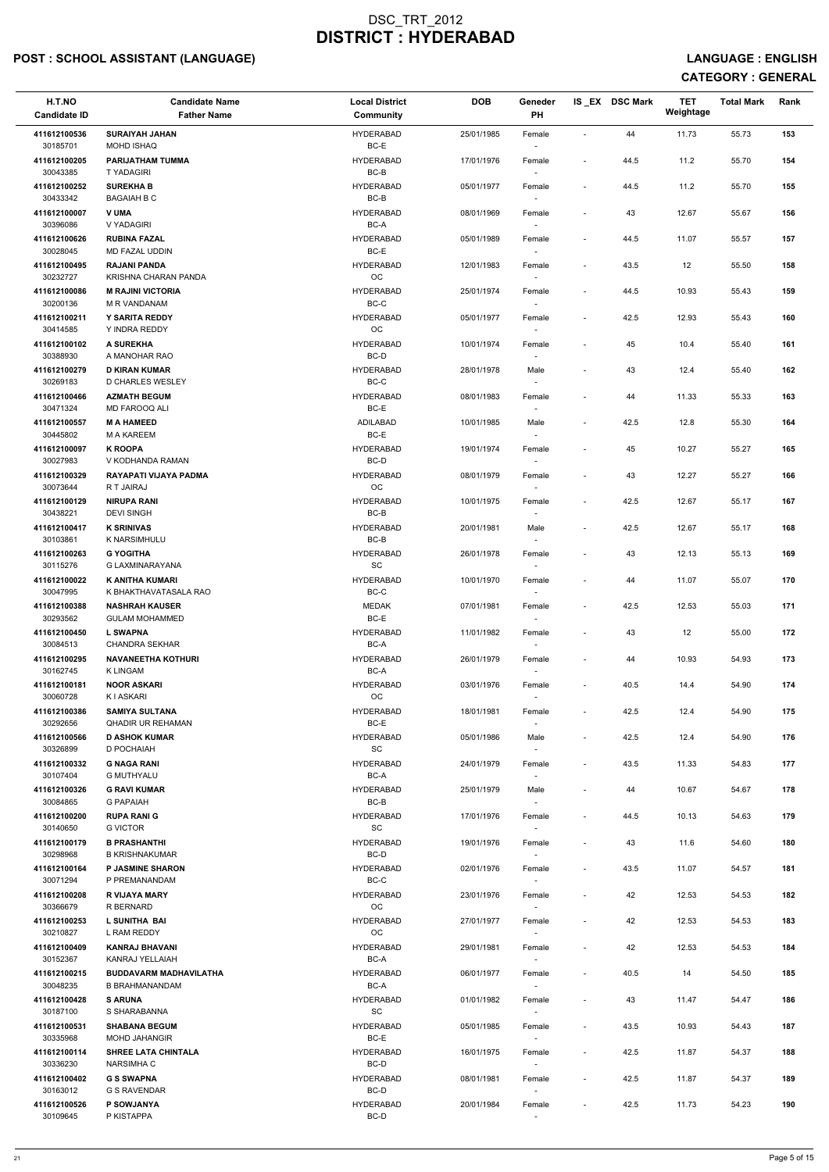# POST : SCHOOL ASSISTANT (LANGUAGE) And the state of the state of the state of the state of the state of the state of the state of the state of the state of the state of the state of the state of the state of the state of t

| H.T.NO<br><b>Candidate ID</b> | <b>Candidate Name</b><br><b>Father Name</b>            | <b>Local District</b><br><b>Community</b> | <b>DOB</b> | Geneder<br>PH                    |                          | IS_EX DSC Mark | <b>TET</b><br>Weightage | <b>Total Mark</b> | Rank |  |
|-------------------------------|--------------------------------------------------------|-------------------------------------------|------------|----------------------------------|--------------------------|----------------|-------------------------|-------------------|------|--|
| 411612100536<br>30185701      | <b>SURAIYAH JAHAN</b><br><b>MOHD ISHAQ</b>             | <b>HYDERABAD</b><br>BC-E                  | 25/01/1985 | Female<br>$\sim$                 | $\sim$                   | 44             | 11.73                   | 55.73             | 153  |  |
| 411612100205                  | PARIJATHAM TUMMA                                       | <b>HYDERABAD</b><br>BC-B                  | 17/01/1976 | Female                           | $\sim$                   | 44.5           | 11.2                    | 55.70             | 154  |  |
| 30043385<br>411612100252      | T YADAGIRI<br><b>SUREKHA B</b>                         | <b>HYDERABAD</b>                          | 05/01/1977 | Female                           | $\overline{\phantom{a}}$ | 44.5           | 11.2                    | 55.70             | 155  |  |
| 30433342<br>411612100007      | <b>BAGAIAH B C</b><br>V UMA                            | $BC-B$<br><b>HYDERABAD</b>                | 08/01/1969 | Female                           | $\overline{\phantom{a}}$ | 43             | 12.67                   | 55.67             | 156  |  |
| 30396086<br>411612100626      | V YADAGIRI<br><b>RUBINA FAZAL</b>                      | BC-A<br><b>HYDERABAD</b>                  | 05/01/1989 | $\sim$<br>Female                 | $\overline{\phantom{a}}$ | 44.5           | 11.07                   | 55.57             | 157  |  |
| 30028045<br>411612100495      | MD FAZAL UDDIN<br><b>RAJANI PANDA</b>                  | BC-E<br><b>HYDERABAD</b>                  | 12/01/1983 | $\sim$<br>Female                 | $\overline{\phantom{a}}$ | 43.5           | 12                      | 55.50             | 158  |  |
| 30232727<br>411612100086      | KRISHNA CHARAN PANDA<br><b>M RAJINI VICTORIA</b>       | OC<br><b>HYDERABAD</b>                    | 25/01/1974 | $\sim$<br>Female                 | $\overline{\phantom{a}}$ | 44.5           | 10.93                   | 55.43             | 159  |  |
| 30200136<br>411612100211      | M R VANDANAM<br>Y SARITA REDDY                         | $BC-C$<br><b>HYDERABAD</b>                | 05/01/1977 | Female                           | $\overline{\phantom{a}}$ | 42.5           | 12.93                   | 55.43             | 160  |  |
| 30414585<br>411612100102      | Y INDRA REDDY<br>A SUREKHA                             | OC<br><b>HYDERABAD</b>                    | 10/01/1974 | $\sim$<br>Female                 | $\overline{\phantom{a}}$ | 45             | 10.4                    | 55.40             | 161  |  |
| 30388930                      | A MANOHAR RAO                                          | BC-D                                      |            | $\sim$                           |                          |                |                         |                   |      |  |
| 411612100279<br>30269183      | <b>D KIRAN KUMAR</b><br>D CHARLES WESLEY               | <b>HYDERABAD</b><br>BC-C                  | 28/01/1978 | Male<br>$\sim$                   | $\overline{\phantom{a}}$ | 43             | 12.4                    | 55.40             | 162  |  |
| 411612100466<br>30471324      | <b>AZMATH BEGUM</b><br>MD FAROOQ ALI                   | <b>HYDERABAD</b><br>BC-E                  | 08/01/1983 | Female                           | $\overline{\phantom{a}}$ | 44             | 11.33                   | 55.33             | 163  |  |
| 411612100557<br>30445802      | <b>M A HAMEED</b><br>M A KAREEM                        | <b>ADILABAD</b><br>BC-E                   | 10/01/1985 | Male<br>$\sim$                   | $\overline{\phantom{a}}$ | 42.5           | 12.8                    | 55.30             | 164  |  |
| 411612100097<br>30027983      | <b>K ROOPA</b><br>V KODHANDA RAMAN                     | <b>HYDERABAD</b><br>BC-D                  | 19/01/1974 | Female<br>$\sim$                 | $\overline{\phantom{a}}$ | 45             | 10.27                   | 55.27             | 165  |  |
| 411612100329<br>30073644      | RAYAPATI VIJAYA PADMA<br>R T JAIRAJ                    | <b>HYDERABAD</b><br><b>OC</b>             | 08/01/1979 | Female<br>$\sim$                 | $\overline{\phantom{a}}$ | 43             | 12.27                   | 55.27             | 166  |  |
| 411612100129<br>30438221      | <b>NIRUPA RANI</b><br><b>DEVI SINGH</b>                | <b>HYDERABAD</b><br>BC-B                  | 10/01/1975 | Female<br>$\sim$                 | $\overline{\phantom{a}}$ | 42.5           | 12.67                   | 55.17             | 167  |  |
| 411612100417<br>30103861      | <b>K SRINIVAS</b><br>K NARSIMHULU                      | <b>HYDERABAD</b><br>BC-B                  | 20/01/1981 | Male<br>$\overline{\phantom{a}}$ | $\sim$                   | 42.5           | 12.67                   | 55.17             | 168  |  |
| 411612100263<br>30115276      | <b>G YOGITHA</b><br>G LAXMINARAYANA                    | <b>HYDERABAD</b><br>SC                    | 26/01/1978 | Female<br>$\sim$                 | $\overline{\phantom{a}}$ | 43             | 12.13                   | 55.13             | 169  |  |
| 411612100022                  | K ANITHA KUMARI                                        | <b>HYDERABAD</b>                          | 10/01/1970 | Female                           |                          | 44             | 11.07                   | 55.07             | 170  |  |
| 30047995<br>411612100388      | K BHAKTHAVATASALA RAO<br><b>NASHRAH KAUSER</b>         | BC-C<br><b>MEDAK</b>                      | 07/01/1981 | Female                           | $\sim$                   | 42.5           | 12.53                   | 55.03             | 171  |  |
| 30293562<br>411612100450      | <b>GULAM MOHAMMED</b><br><b>L SWAPNA</b>               | BC-E<br><b>HYDERABAD</b>                  | 11/01/1982 | Female                           | $\overline{\phantom{a}}$ | 43             | 12                      | 55.00             | 172  |  |
| 30084513<br>411612100295      | <b>CHANDRA SEKHAR</b><br><b>NAVANEETHA KOTHURI</b>     | BC-A<br><b>HYDERABAD</b>                  | 26/01/1979 | $\sim$<br>Female                 | $\overline{\phantom{a}}$ | 44             | 10.93                   | 54.93             | 173  |  |
| 30162745<br>411612100181      | <b>K LINGAM</b><br><b>NOOR ASKARI</b>                  | BC-A<br><b>HYDERABAD</b>                  | 03/01/1976 | $\sim$<br>Female                 | $\overline{\phantom{a}}$ | 40.5           | 14.4                    | 54.90             | 174  |  |
| 30060728<br>411612100386      | K I ASKARI<br><b>SAMIYA SULTANA</b>                    | OC<br><b>HYDERABAD</b>                    | 18/01/1981 | $\sim$<br>Female                 | $\overline{\phantom{a}}$ | 42.5           | 12.4                    | 54.90             | 175  |  |
| 30292656<br>411612100566      | <b>QHADIR UR REHAMAN</b><br><b>D ASHOK KUMAR</b>       | BC-E<br><b>HYDERABAD</b>                  | 05/01/1986 | Male                             | $\sim$                   | 42.5           | 12.4                    | 54.90             | 176  |  |
| 30326899<br>411612100332      | D POCHAIAH<br><b>G NAGA RANI</b>                       | <b>SC</b><br><b>HYDERABAD</b>             | 24/01/1979 | $\sim$<br>Female                 | $\sim$                   | 43.5           | 11.33                   | 54.83             | 177  |  |
| 30107404                      | <b>G MUTHYALU</b>                                      | BC-A                                      |            | $\overline{\phantom{a}}$         |                          |                |                         |                   |      |  |
| 411612100326<br>30084865      | <b>G RAVI KUMAR</b><br><b>G PAPAIAH</b>                | <b>HYDERABAD</b><br>BC-B                  | 25/01/1979 | Male<br>$\sim$                   | $\overline{\phantom{a}}$ | 44             | 10.67                   | 54.67             | 178  |  |
| 411612100200<br>30140650      | <b>RUPA RANI G</b><br><b>G VICTOR</b>                  | <b>HYDERABAD</b><br>SC                    | 17/01/1976 | Female                           | $\overline{\phantom{a}}$ | 44.5           | 10.13                   | 54.63             | 179  |  |
| 411612100179<br>30298968      | <b>B PRASHANTHI</b><br><b>B KRISHNAKUMAR</b>           | <b>HYDERABAD</b><br>BC-D                  | 19/01/1976 | Female<br>$\sim$                 | $\sim$                   | 43             | 11.6                    | 54.60             | 180  |  |
| 411612100164<br>30071294      | <b>P JASMINE SHARON</b><br>P PREMANANDAM               | <b>HYDERABAD</b><br>BC-C                  | 02/01/1976 | Female<br>$\sim$                 | $\sim$                   | 43.5           | 11.07                   | 54.57             | 181  |  |
| 411612100208<br>30366679      | <b>R VIJAYA MARY</b><br>R BERNARD                      | <b>HYDERABAD</b><br>OC                    | 23/01/1976 | Female<br>$\sim$                 | $\overline{\phantom{a}}$ | 42             | 12.53                   | 54.53             | 182  |  |
| 411612100253<br>30210827      | L SUNITHA BAI<br>L RAM REDDY                           | <b>HYDERABAD</b><br>OC                    | 27/01/1977 | Female<br>$\sim$                 | $\sim$                   | 42             | 12.53                   | 54.53             | 183  |  |
| 411612100409<br>30152367      | <b>KANRAJ BHAVANI</b><br>KANRAJ YELLAIAH               | <b>HYDERABAD</b><br>BC-A                  | 29/01/1981 | Female                           | $\overline{\phantom{a}}$ | 42             | 12.53                   | 54.53             | 184  |  |
| 411612100215<br>30048235      | <b>BUDDAVARM MADHAVILATHA</b><br><b>B BRAHMANANDAM</b> | <b>HYDERABAD</b><br>BC-A                  | 06/01/1977 | Female<br>$\sim$                 | $\sim$                   | 40.5           | 14                      | 54.50             | 185  |  |
| 411612100428<br>30187100      | <b>S ARUNA</b><br>S SHARABANNA                         | <b>HYDERABAD</b><br>SC                    | 01/01/1982 | Female                           |                          | 43             | 11.47                   | 54.47             | 186  |  |
| 411612100531                  | <b>SHABANA BEGUM</b>                                   | <b>HYDERABAD</b>                          | 05/01/1985 | Female                           | $\sim$                   | 43.5           | 10.93                   | 54.43             | 187  |  |
| 30335968<br>411612100114      | <b>MOHD JAHANGIR</b><br><b>SHREE LATA CHINTALA</b>     | BC-E<br><b>HYDERABAD</b>                  | 16/01/1975 | $\sim$<br>Female                 | $\sim$                   | 42.5           | 11.87                   | 54.37             | 188  |  |
| 30336230<br>411612100402      | <b>NARSIMHA C</b><br><b>G S SWAPNA</b>                 | BC-D<br><b>HYDERABAD</b>                  | 08/01/1981 | $\sim$<br>Female                 | $\overline{\phantom{a}}$ | 42.5           | 11.87                   | 54.37             | 189  |  |
| 30163012<br>411612100526      | <b>G S RAVENDAR</b><br>P SOWJANYA                      | BC-D<br><b>HYDERABAD</b>                  | 20/01/1984 | $\sim$<br>Female                 | $\overline{\phantom{a}}$ | 42.5           | 11.73                   | 54.23             | 190  |  |
| 30109645                      | P KISTAPPA                                             | BC-D                                      |            | $\sim$                           |                          |                |                         |                   |      |  |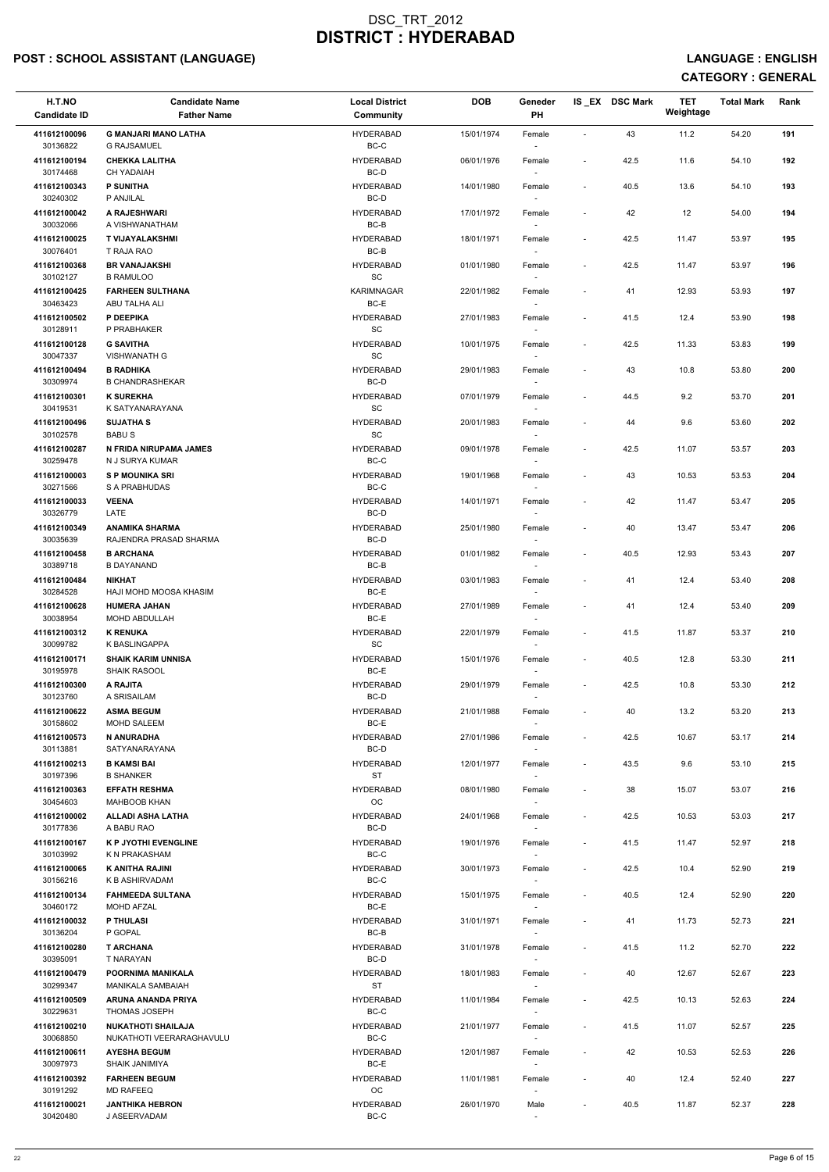# POST : SCHOOL ASSISTANT (LANGUAGE) And the state of the state of the state of the state of the state of the state of the state of the state of the state of the state of the state of the state of the state of the state of t

| H.T.NO<br><b>Candidate ID</b> | <b>Candidate Name</b><br><b>Father Name</b>           | <b>Local District</b><br>Community | <b>DOB</b> | Geneder<br>PH                      |                          | IS_EX DSC Mark | <b>TET</b><br>Weightage | <b>Total Mark</b> | Rank |
|-------------------------------|-------------------------------------------------------|------------------------------------|------------|------------------------------------|--------------------------|----------------|-------------------------|-------------------|------|
| 411612100096                  | <b>G MANJARI MANO LATHA</b>                           | <b>HYDERABAD</b>                   | 15/01/1974 | Female                             | $\sim$                   | 43             | 11.2                    | 54.20             | 191  |
| 30136822<br>411612100194      | <b>G RAJSAMUEL</b><br><b>CHEKKA LALITHA</b>           | BC-C<br><b>HYDERABAD</b>           | 06/01/1976 | $\sim$<br>Female                   | $\sim$                   | 42.5           | 11.6                    | 54.10             | 192  |
| 30174468                      | <b>CH YADAIAH</b>                                     | BC-D                               |            |                                    |                          |                |                         |                   |      |
| 411612100343<br>30240302      | <b>P SUNITHA</b><br>P ANJILAL                         | <b>HYDERABAD</b><br>BC-D           | 14/01/1980 | Female                             | $\overline{\phantom{a}}$ | 40.5           | 13.6                    | 54.10             | 193  |
| 411612100042<br>30032066      | A RAJESHWARI<br>A VISHWANATHAM                        | <b>HYDERABAD</b><br>BC-B           | 17/01/1972 | Female<br>$\sim$                   | $\overline{\phantom{a}}$ | 42             | 12                      | 54.00             | 194  |
| 411612100025                  | <b>T VIJAYALAKSHMI</b>                                | <b>HYDERABAD</b>                   | 18/01/1971 | Female                             | $\overline{\phantom{a}}$ | 42.5           | 11.47                   | 53.97             | 195  |
| 30076401                      | T RAJA RAO                                            | BC-B                               |            | $\sim$                             |                          |                |                         |                   |      |
| 411612100368<br>30102127      | <b>BR VANAJAKSHI</b><br><b>B RAMULOO</b>              | <b>HYDERABAD</b><br>SC             | 01/01/1980 | Female<br>$\sim$                   | $\overline{\phantom{a}}$ | 42.5           | 11.47                   | 53.97             | 196  |
| 411612100425<br>30463423      | <b>FARHEEN SULTHANA</b><br>ABU TALHA ALI              | <b>KARIMNAGAR</b><br>BC-E          | 22/01/1982 | Female                             | $\overline{\phantom{a}}$ | 41             | 12.93                   | 53.93             | 197  |
| 411612100502<br>30128911      | P DEEPIKA<br>P PRABHAKER                              | <b>HYDERABAD</b><br>SC             | 27/01/1983 | Female<br>$\sim$                   | $\overline{\phantom{a}}$ | 41.5           | 12.4                    | 53.90             | 198  |
| 411612100128<br>30047337      | <b>G SAVITHA</b><br><b>VISHWANATH G</b>               | <b>HYDERABAD</b><br>SC             | 10/01/1975 | Female<br>$\sim$                   | $\overline{\phantom{a}}$ | 42.5           | 11.33                   | 53.83             | 199  |
| 411612100494                  | <b>B RADHIKA</b>                                      | <b>HYDERABAD</b>                   | 29/01/1983 | Female                             | $\overline{\phantom{a}}$ | 43             | 10.8                    | 53.80             | 200  |
| 30309974                      | <b>B CHANDRASHEKAR</b>                                | BC-D                               |            | $\sim$                             |                          |                |                         |                   |      |
| 411612100301<br>30419531      | <b>K SUREKHA</b><br>K SATYANARAYANA                   | <b>HYDERABAD</b><br><b>SC</b>      | 07/01/1979 | Female                             | $\sim$                   | 44.5           | 9.2                     | 53.70             | 201  |
| 411612100496                  | <b>SUJATHA S</b>                                      | <b>HYDERABAD</b>                   | 20/01/1983 | Female                             | $\overline{\phantom{a}}$ | 44             | 9.6                     | 53.60             | 202  |
| 30102578                      | <b>BABUS</b>                                          | SC                                 |            |                                    |                          |                |                         |                   |      |
| 411612100287<br>30259478      | N FRIDA NIRUPAMA JAMES<br>N J SURYA KUMAR             | <b>HYDERABAD</b><br>$BC-C$         | 09/01/1978 | Female<br>$\sim$                   | $\overline{\phantom{a}}$ | 42.5           | 11.07                   | 53.57             | 203  |
| 411612100003<br>30271566      | <b>S P MOUNIKA SRI</b><br><b>S A PRABHUDAS</b>        | <b>HYDERABAD</b><br>BC-C           | 19/01/1968 | Female                             | $\overline{\phantom{a}}$ | 43             | 10.53                   | 53.53             | 204  |
| 411612100033                  | <b>VEENA</b>                                          | <b>HYDERABAD</b>                   | 14/01/1971 | $\sim$<br>Female                   | $\sim$                   | 42             | 11.47                   | 53.47             | 205  |
| 30326779<br>411612100349      | LATE<br><b>ANAMIKA SHARMA</b>                         | BC-D<br><b>HYDERABAD</b>           | 25/01/1980 | $\overline{\phantom{a}}$<br>Female |                          | 40             | 13.47                   | 53.47             | 206  |
| 30035639                      | RAJENDRA PRASAD SHARMA                                | BC-D                               |            | $\overline{\phantom{a}}$           |                          |                |                         |                   |      |
| 411612100458<br>30389718      | <b>B ARCHANA</b><br><b>B DAYANAND</b>                 | <b>HYDERABAD</b><br>BC-B           | 01/01/1982 | Female<br>$\sim$                   | $\overline{\phantom{a}}$ | 40.5           | 12.93                   | 53.43             | 207  |
| 411612100484<br>30284528      | <b>NIKHAT</b><br>HAJI MOHD MOOSA KHASIM               | <b>HYDERABAD</b><br>BC-E           | 03/01/1983 | Female                             |                          | 41             | 12.4                    | 53.40             | 208  |
| 411612100628                  | <b>HUMERA JAHAN</b>                                   | <b>HYDERABAD</b>                   | 27/01/1989 | Female                             | $\overline{\phantom{a}}$ | 41             | 12.4                    | 53.40             | 209  |
| 30038954                      | MOHD ABDULLAH                                         | BC-E                               |            |                                    |                          |                |                         |                   |      |
| 411612100312<br>30099782      | <b>K RENUKA</b><br>K BASLINGAPPA                      | <b>HYDERABAD</b><br>SC             | 22/01/1979 | Female<br>$\sim$                   | $\sim$                   | 41.5           | 11.87                   | 53.37             | 210  |
| 411612100171<br>30195978      | <b>SHAIK KARIM UNNISA</b><br><b>SHAIK RASOOL</b>      | <b>HYDERABAD</b><br>BC-E           | 15/01/1976 | Female<br>$\sim$                   | $\overline{\phantom{a}}$ | 40.5           | 12.8                    | 53.30             | 211  |
| 411612100300                  | A RAJITA                                              | <b>HYDERABAD</b>                   | 29/01/1979 | Female                             | $\overline{\phantom{a}}$ | 42.5           | 10.8                    | 53.30             | 212  |
| 30123760<br>411612100622      | A SRISAILAM<br><b>ASMA BEGUM</b>                      | BC-D<br><b>HYDERABAD</b>           | 21/01/1988 | $\sim$<br>Female                   | $\sim$                   | 40             | 13.2                    | 53.20             | 213  |
| 30158602                      | <b>MOHD SALEEM</b>                                    | BC-E                               |            |                                    |                          |                |                         |                   |      |
| 411612100573<br>30113881      | N ANURADHA<br>SATYANARAYANA                           | <b>HYDERABAD</b><br>BC-D           | 27/01/1986 | Female<br>$\sim$                   | $\sim$                   | 42.5           | 10.67                   | 53.17             | 214  |
| 411612100213<br>30197396      | <b>B KAMSI BAI</b><br><b>B SHANKER</b>                | <b>HYDERABAD</b><br><b>ST</b>      | 12/01/1977 | Female<br>$\sim$                   | $\sim$                   | 43.5           | 9.6                     | 53.10             | 215  |
| 411612100363                  | <b>EFFATH RESHMA</b>                                  | <b>HYDERABAD</b>                   | 08/01/1980 | Female                             | $\overline{\phantom{a}}$ | 38             | 15.07                   | 53.07             | 216  |
| 30454603<br>411612100002      | <b>MAHBOOB KHAN</b><br><b>ALLADI ASHA LATHA</b>       | <b>OC</b><br><b>HYDERABAD</b>      | 24/01/1968 | $\sim$<br>Female                   | $\overline{\phantom{a}}$ | 42.5           | 10.53                   | 53.03             | 217  |
| 30177836<br>411612100167      | A BABU RAO<br><b>K P JYOTHI EVENGLINE</b>             | BC-D<br><b>HYDERABAD</b>           | 19/01/1976 | Female                             | $\overline{\phantom{a}}$ | 41.5           | 11.47                   | 52.97             | 218  |
| 30103992                      | K N PRAKASHAM                                         | BC-C                               |            | $\sim$                             |                          |                |                         |                   |      |
| 411612100065                  | K ANITHA RAJINI                                       | <b>HYDERABAD</b>                   | 30/01/1973 | Female                             | $\sim$                   | 42.5           | 10.4                    | 52.90             | 219  |
| 30156216<br>411612100134      | K B ASHIRVADAM<br><b>FAHMEEDA SULTANA</b>             | BC-C<br><b>HYDERABAD</b>           | 15/01/1975 | $\sim$<br>Female                   | $\overline{\phantom{a}}$ | 40.5           | 12.4                    | 52.90             | 220  |
| 30460172                      | <b>MOHD AFZAL</b>                                     | BC-E                               |            | $\sim$                             |                          |                |                         |                   |      |
| 411612100032<br>30136204      | <b>P THULASI</b><br>P GOPAL                           | <b>HYDERABAD</b><br>BC-B           | 31/01/1971 | Female<br>$\sim$                   | $\sim$                   | 41             | 11.73                   | 52.73             | 221  |
| 411612100280                  | <b>T ARCHANA</b>                                      | <b>HYDERABAD</b>                   | 31/01/1978 | Female                             | $\overline{\phantom{a}}$ | 41.5           | 11.2                    | 52.70             | 222  |
| 30395091<br>411612100479      | T NARAYAN<br>POORNIMA MANIKALA                        | BC-D<br><b>HYDERABAD</b>           | 18/01/1983 | Female                             | $\sim$                   | 40             | 12.67                   | 52.67             | 223  |
| 30299347                      | MANIKALA SAMBAIAH                                     | <b>ST</b>                          |            | $\sim$                             |                          |                |                         |                   |      |
| 411612100509<br>30229631      | ARUNA ANANDA PRIYA<br>THOMAS JOSEPH                   | <b>HYDERABAD</b><br>BC-C           | 11/01/1984 | Female                             | $\overline{\phantom{a}}$ | 42.5           | 10.13                   | 52.63             | 224  |
| 411612100210<br>30068850      | <b>NUKATHOTI SHAILAJA</b><br>NUKATHOTI VEERARAGHAVULU | <b>HYDERABAD</b><br>BC-C           | 21/01/1977 | Female<br>$\sim$                   | $\sim$                   | 41.5           | 11.07                   | 52.57             | 225  |
| 411612100611<br>30097973      | <b>AYESHA BEGUM</b><br>SHAIK JANIMIYA                 | <b>HYDERABAD</b><br>BC-E           | 12/01/1987 | Female                             | $\overline{\phantom{a}}$ | 42             | 10.53                   | 52.53             | 226  |
| 411612100392                  | <b>FARHEEN BEGUM</b>                                  | <b>HYDERABAD</b>                   | 11/01/1981 | $\sim$<br>Female                   | $\sim$                   | 40             | 12.4                    | 52.40             | 227  |
| 30191292<br>411612100021      | <b>MD RAFEEQ</b><br><b>JANTHIKA HEBRON</b>            | <b>OC</b><br><b>HYDERABAD</b>      | 26/01/1970 | $\sim$<br>Male                     | $\sim$                   | 40.5           | 11.87                   | 52.37             | 228  |
| 30420480                      | J ASEERVADAM                                          | BC-C                               |            | $\sim$                             |                          |                |                         |                   |      |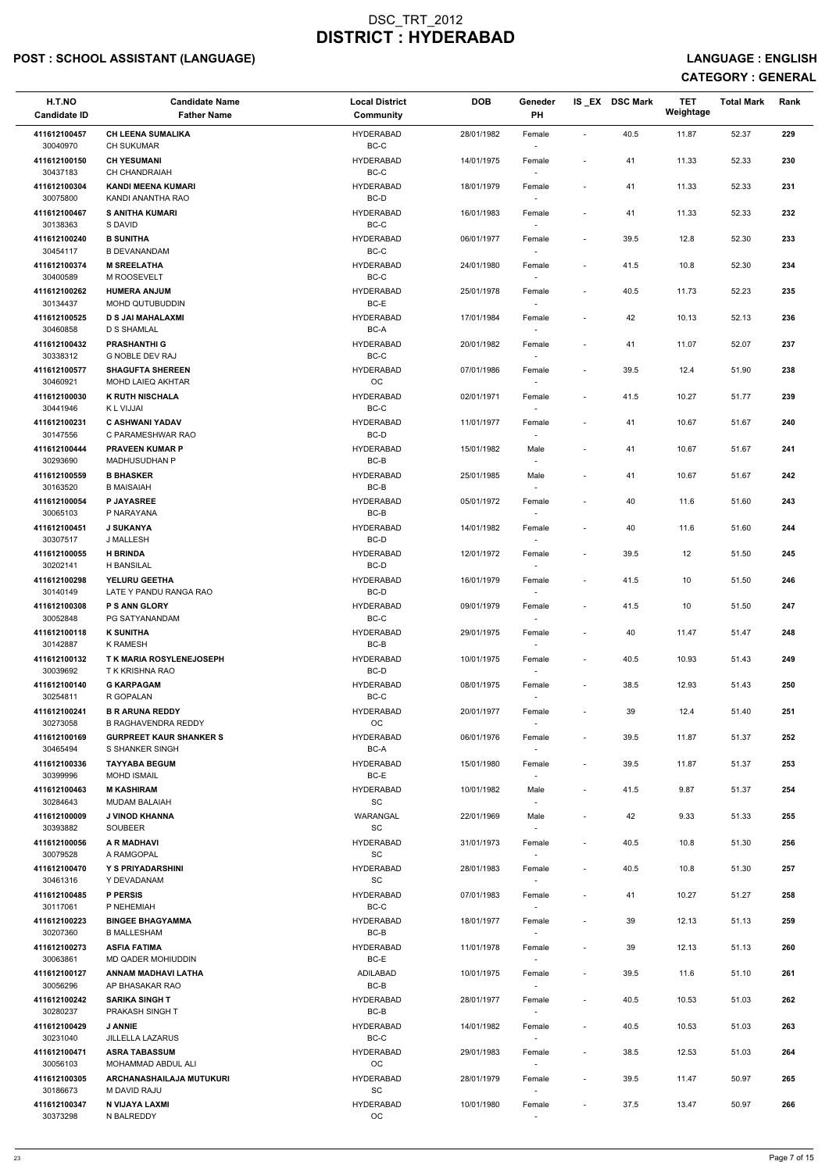# POST : SCHOOL ASSISTANT (LANGUAGE) And the state of the state of the state of the state of the state of the state of the state of the state of the state of the state of the state of the state of the state of the state of t

| H.T.NO<br><b>Candidate ID</b> | <b>Candidate Name</b><br><b>Father Name</b>          | <b>Local District</b><br>Community | <b>DOB</b> | Geneder<br>PH    |                          | IS EX DSC Mark | <b>TET</b><br>Weightage | <b>Total Mark</b> | Rank |
|-------------------------------|------------------------------------------------------|------------------------------------|------------|------------------|--------------------------|----------------|-------------------------|-------------------|------|
| 411612100457<br>30040970      | <b>CH LEENA SUMALIKA</b><br><b>CH SUKUMAR</b>        | <b>HYDERABAD</b><br>$BC-C$         | 28/01/1982 | Female           | $\blacksquare$           | 40.5           | 11.87                   | 52.37             | 229  |
| 411612100150<br>30437183      | <b>CH YESUMANI</b><br><b>CH CHANDRAIAH</b>           | <b>HYDERABAD</b><br>$BC-C$         | 14/01/1975 | Female           | $\overline{\phantom{a}}$ | 41             | 11.33                   | 52.33             | 230  |
| 411612100304                  | <b>KANDI MEENA KUMARI</b>                            | <b>HYDERABAD</b>                   | 18/01/1979 | Female           | $\sim$                   | 41             | 11.33                   | 52.33             | 231  |
| 30075800<br>411612100467      | KANDI ANANTHA RAO<br><b>S ANITHA KUMARI</b>          | BC-D<br><b>HYDERABAD</b>           | 16/01/1983 | $\sim$<br>Female | $\overline{\phantom{a}}$ | 41             | 11.33                   | 52.33             | 232  |
| 30138363<br>411612100240      | S DAVID<br><b>B SUNITHA</b>                          | BC-C<br><b>HYDERABAD</b>           | 06/01/1977 | $\sim$<br>Female | $\overline{\phantom{a}}$ | 39.5           | 12.8                    | 52.30             | 233  |
| 30454117                      | <b>B DEVANANDAM</b>                                  | BC-C                               |            | $\sim$           |                          |                |                         |                   |      |
| 411612100374<br>30400589      | <b>M SREELATHA</b><br>M ROOSEVELT                    | <b>HYDERABAD</b><br>BC-C           | 24/01/1980 | Female           | $\overline{\phantom{a}}$ | 41.5           | 10.8                    | 52.30             | 234  |
| 411612100262<br>30134437      | <b>HUMERA ANJUM</b><br>MOHD QUTUBUDDIN               | <b>HYDERABAD</b><br>BC-E           | 25/01/1978 | Female<br>$\sim$ | $\overline{\phantom{a}}$ | 40.5           | 11.73                   | 52.23             | 235  |
| 411612100525<br>30460858      | <b>D S JAI MAHALAXMI</b><br><b>D S SHAMLAL</b>       | <b>HYDERABAD</b><br>BC-A           | 17/01/1984 | Female<br>$\sim$ | $\overline{\phantom{a}}$ | 42             | 10.13                   | 52.13             | 236  |
| 411612100432<br>30338312      | <b>PRASHANTHI G</b><br>G NOBLE DEV RAJ               | <b>HYDERABAD</b><br>BC-C           | 20/01/1982 | Female<br>$\sim$ | $\overline{\phantom{a}}$ | 41             | 11.07                   | 52.07             | 237  |
| 411612100577<br>30460921      | <b>SHAGUFTA SHEREEN</b><br>MOHD LAIEQ AKHTAR         | <b>HYDERABAD</b><br>OC             | 07/01/1986 | Female           | $\overline{\phantom{a}}$ | 39.5           | 12.4                    | 51.90             | 238  |
| 411612100030<br>30441946      | <b>K RUTH NISCHALA</b><br>K L VIJJAI                 | <b>HYDERABAD</b><br>$BC-C$         | 02/01/1971 | Female           | $\overline{\phantom{a}}$ | 41.5           | 10.27                   | 51.77             | 239  |
| 411612100231<br>30147556      | C ASHWANI YADAV<br>C PARAMESHWAR RAO                 | <b>HYDERABAD</b><br>BC-D           | 11/01/1977 | Female<br>$\sim$ | $\overline{\phantom{a}}$ | 41             | 10.67                   | 51.67             | 240  |
| 411612100444                  | <b>PRAVEEN KUMAR P</b>                               | <b>HYDERABAD</b>                   | 15/01/1982 | Male             |                          | 41             | 10.67                   | 51.67             | 241  |
| 30293690<br>411612100559      | <b>MADHUSUDHAN P</b><br><b>B BHASKER</b>             | BC-B<br><b>HYDERABAD</b>           | 25/01/1985 | $\sim$<br>Male   | $\overline{\phantom{a}}$ | 41             | 10.67                   | 51.67             | 242  |
| 30163520<br>411612100054      | <b>B MAISAIAH</b><br><b>P JAYASREE</b>               | BC-B<br><b>HYDERABAD</b>           | 05/01/1972 | $\sim$<br>Female | $\overline{\phantom{a}}$ | 40             | 11.6                    | 51.60             | 243  |
| 30065103<br>411612100451      | P NARAYANA<br><b>J SUKANYA</b>                       | BC-B<br><b>HYDERABAD</b>           | 14/01/1982 | Female           | $\overline{\phantom{a}}$ | 40             | 11.6                    | 51.60             | 244  |
| 30307517<br>411612100055      | J MALLESH<br><b>H BRINDA</b>                         | BC-D<br><b>HYDERABAD</b>           | 12/01/1972 | $\sim$<br>Female | $\overline{\phantom{a}}$ | 39.5           | 12                      | 51.50             | 245  |
| 30202141                      | <b>H BANSILAL</b><br>YELURU GEETHA                   | BC-D<br><b>HYDERABAD</b>           |            |                  |                          |                |                         |                   |      |
| 411612100298<br>30140149      | LATE Y PANDU RANGA RAO                               | BC-D                               | 16/01/1979 | Female           | $\overline{\phantom{a}}$ | 41.5           | 10                      | 51.50             | 246  |
| 411612100308<br>30052848      | <b>P S ANN GLORY</b><br>PG SATYANANDAM               | <b>HYDERABAD</b><br>BC-C           | 09/01/1979 | Female<br>$\sim$ | $\sim$                   | 41.5           | 10                      | 51.50             | 247  |
| 411612100118<br>30142887      | <b>K SUNITHA</b><br>K RAMESH                         | <b>HYDERABAD</b><br>BC-B           | 29/01/1975 | Female<br>$\sim$ | $\sim$                   | 40             | 11.47                   | 51.47             | 248  |
| 411612100132<br>30039692      | <b>T K MARIA ROSYLENEJOSEPH</b><br>T K KRISHNA RAO   | <b>HYDERABAD</b><br>BC-D           | 10/01/1975 | Female<br>$\sim$ | $\overline{\phantom{a}}$ | 40.5           | 10.93                   | 51.43             | 249  |
| 411612100140<br>30254811      | <b>G KARPAGAM</b><br>R GOPALAN                       | <b>HYDERABAD</b><br>BC-C           | 08/01/1975 | Female           | $\overline{\phantom{a}}$ | 38.5           | 12.93                   | 51.43             | 250  |
| 411612100241<br>30273058      | <b>B R ARUNA REDDY</b><br><b>B RAGHAVENDRA REDDY</b> | <b>HYDERABAD</b><br><b>OC</b>      | 20/01/1977 | Female<br>$\sim$ | $\overline{\phantom{a}}$ | 39             | 12.4                    | 51.40             | 251  |
| 411612100169<br>30465494      | <b>GURPREET KAUR SHANKER S</b><br>S SHANKER SINGH    | <b>HYDERABAD</b><br>BC-A           | 06/01/1976 | Female<br>$\sim$ | $\sim$                   | 39.5           | 11.87                   | 51.37             | 252  |
| 411612100336                  | <b>TAYYABA BEGUM</b>                                 | <b>HYDERABAD</b>                   | 15/01/1980 | Female           | $\overline{\phantom{a}}$ | 39.5           | 11.87                   | 51.37             | 253  |
| 30399996<br>411612100463      | <b>MOHD ISMAIL</b><br><b>M KASHIRAM</b>              | BC-E<br><b>HYDERABAD</b>           | 10/01/1982 | $\sim$<br>Male   | $\overline{\phantom{a}}$ | 41.5           | 9.87                    | 51.37             | 254  |
| 30284643<br>411612100009      | <b>MUDAM BALAIAH</b><br>J VINOD KHANNA               | <b>SC</b><br>WARANGAL              | 22/01/1969 | $\sim$<br>Male   | $\overline{\phantom{a}}$ | 42             | 9.33                    | 51.33             | 255  |
| 30393882<br>411612100056      | <b>SOUBEER</b><br>A R MADHAVI                        | <b>SC</b><br><b>HYDERABAD</b>      | 31/01/1973 | $\sim$<br>Female | $\sim$                   | 40.5           | 10.8                    | 51.30             | 256  |
| 30079528<br>411612100470      | A RAMGOPAL<br>Y S PRIYADARSHINI                      | SC<br><b>HYDERABAD</b>             | 28/01/1983 | $\sim$<br>Female | $\overline{\phantom{a}}$ | 40.5           | 10.8                    | 51.30             | 257  |
| 30461316                      | Y DEVADANAM                                          | <b>SC</b>                          |            | $\sim$           |                          |                |                         |                   |      |
| 411612100485<br>30117061      | <b>P PERSIS</b><br>P NEHEMIAH                        | <b>HYDERABAD</b><br>BC-C           | 07/01/1983 | Female<br>$\sim$ | $\sim$                   | 41             | 10.27                   | 51.27             | 258  |
| 411612100223<br>30207360      | <b>BINGEE BHAGYAMMA</b><br><b>B MALLESHAM</b>        | <b>HYDERABAD</b><br>BC-B           | 18/01/1977 | Female           | $\sim$                   | 39             | 12.13                   | 51.13             | 259  |
| 411612100273                  | <b>ASFIA FATIMA</b>                                  | <b>HYDERABAD</b>                   | 11/01/1978 | Female           | $\overline{\phantom{a}}$ | 39             | 12.13                   | 51.13             | 260  |
| 30063861<br>411612100127      | MD QADER MOHIUDDIN<br>ANNAM MADHAVI LATHA            | BC-E<br>ADILABAD                   | 10/01/1975 | $\sim$<br>Female | $\sim$                   | 39.5           | 11.6                    | 51.10             | 261  |
| 30056296<br>411612100242      | AP BHASAKAR RAO<br><b>SARIKA SINGH T</b>             | BC-B<br><b>HYDERABAD</b>           | 28/01/1977 | $\sim$<br>Female | $\overline{\phantom{a}}$ | 40.5           | 10.53                   | 51.03             | 262  |
| 30280237<br>411612100429      | PRAKASH SINGH T<br><b>J ANNIE</b>                    | BC-B<br><b>HYDERABAD</b>           | 14/01/1982 | $\sim$<br>Female | $\sim$                   | 40.5           | 10.53                   | 51.03             | 263  |
| 30231040                      | <b>JILLELLA LAZARUS</b>                              | $BC-C$                             |            | $\sim$           |                          |                |                         |                   |      |
| 411612100471<br>30056103      | <b>ASRA TABASSUM</b><br>MOHAMMAD ABDUL ALI           | <b>HYDERABAD</b><br>OC             | 29/01/1983 | Female<br>$\sim$ | $\overline{\phantom{a}}$ | 38.5           | 12.53                   | 51.03             | 264  |
| 411612100305<br>30186673      | <b>ARCHANASHAILAJA MUTUKURI</b><br>M DAVID RAJU      | <b>HYDERABAD</b><br>SC             | 28/01/1979 | Female<br>$\sim$ | $\sim$                   | 39.5           | 11.47                   | 50.97             | 265  |
| 411612100347<br>30373298      | N VIJAYA LAXMI<br>N BALREDDY                         | <b>HYDERABAD</b><br>OC             | 10/01/1980 | Female<br>$\sim$ | $\overline{\phantom{a}}$ | 37.5           | 13.47                   | 50.97             | 266  |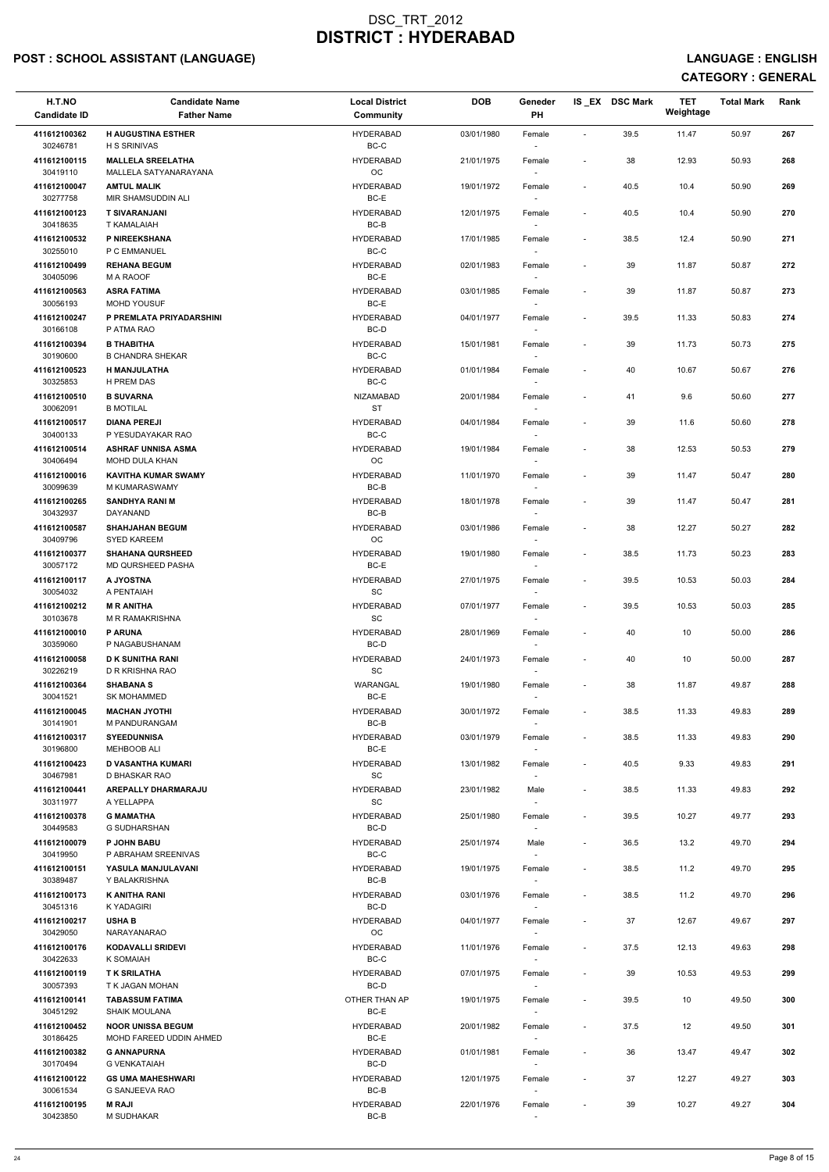# POST : SCHOOL ASSISTANT (LANGUAGE) AND ENGLISH CONTROLLING ON THE SERVICE OF THE SERVICE OF THE SERVICE : ENGLISH

| H.T.NO<br><b>Candidate ID</b> | <b>Candidate Name</b><br><b>Father Name</b>      | <b>Local District</b><br>Community | <b>DOB</b> | Geneder<br>PH                      |                          | IS_EX DSC Mark | <b>TET</b><br>Weightage | <b>Total Mark</b> | Rank |  |
|-------------------------------|--------------------------------------------------|------------------------------------|------------|------------------------------------|--------------------------|----------------|-------------------------|-------------------|------|--|
| 411612100362<br>30246781      | <b>H AUGUSTINA ESTHER</b><br><b>H S SRINIVAS</b> | <b>HYDERABAD</b><br>BC-C           | 03/01/1980 | Female<br>$\sim$                   | $\sim$                   | 39.5           | 11.47                   | 50.97             | 267  |  |
| 411612100115                  | <b>MALLELA SREELATHA</b>                         | <b>HYDERABAD</b>                   | 21/01/1975 | Female                             | $\overline{\phantom{a}}$ | 38             | 12.93                   | 50.93             | 268  |  |
| 30419110<br>411612100047      | MALLELA SATYANARAYANA<br><b>AMTUL MALIK</b>      | OC<br><b>HYDERABAD</b>             | 19/01/1972 | Female                             | $\overline{\phantom{a}}$ | 40.5           | 10.4                    | 50.90             | 269  |  |
| 30277758<br>411612100123      | MIR SHAMSUDDIN ALI<br><b>T SIVARANJANI</b>       | BC-E<br><b>HYDERABAD</b>           | 12/01/1975 | Female                             | $\overline{\phantom{a}}$ | 40.5           | 10.4                    | 50.90             | 270  |  |
| 30418635<br>411612100532      | T KAMALAIAH<br>P NIREEKSHANA                     | BC-B<br><b>HYDERABAD</b>           | 17/01/1985 | $\sim$<br>Female                   | $\overline{\phantom{a}}$ | 38.5           | 12.4                    | 50.90             | 271  |  |
| 30255010<br>411612100499      | P C EMMANUEL<br><b>REHANA BEGUM</b>              | $BC-C$<br><b>HYDERABAD</b>         | 02/01/1983 | $\sim$<br>Female                   | $\sim$                   | 39             | 11.87                   | 50.87             | 272  |  |
| 30405096<br>411612100563      | M A RAOOF<br><b>ASRA FATIMA</b>                  | BC-E<br><b>HYDERABAD</b>           | 03/01/1985 | $\sim$<br>Female                   | $\overline{\phantom{a}}$ | 39             | 11.87                   | 50.87             | 273  |  |
| 30056193<br>411612100247      | <b>MOHD YOUSUF</b><br>P PREMLATA PRIYADARSHINI   | BC-E<br><b>HYDERABAD</b>           | 04/01/1977 | Female                             | $\overline{\phantom{a}}$ | 39.5           | 11.33                   | 50.83             | 274  |  |
| 30166108<br>411612100394      | P ATMA RAO<br><b>B THABITHA</b>                  | BC-D<br><b>HYDERABAD</b>           | 15/01/1981 | Female                             | $\sim$                   | 39             | 11.73                   | 50.73             | 275  |  |
| 30190600                      | <b>B CHANDRA SHEKAR</b>                          | BC-C                               |            | $\sim$                             |                          |                |                         |                   |      |  |
| 411612100523<br>30325853      | H MANJULATHA<br>H PREM DAS                       | <b>HYDERABAD</b><br>BC-C           | 01/01/1984 | Female<br>$\sim$                   | $\overline{\phantom{a}}$ | 40             | 10.67                   | 50.67             | 276  |  |
| 411612100510<br>30062091      | <b>B SUVARNA</b><br><b>B MOTILAL</b>             | NIZAMABAD<br><b>ST</b>             | 20/01/1984 | Female                             | $\overline{\phantom{a}}$ | 41             | 9.6                     | 50.60             | 277  |  |
| 411612100517<br>30400133      | <b>DIANA PEREJI</b><br>P YESUDAYAKAR RAO         | <b>HYDERABAD</b><br>$BC-C$         | 04/01/1984 | Female                             | $\overline{\phantom{a}}$ | 39             | 11.6                    | 50.60             | 278  |  |
| 411612100514<br>30406494      | <b>ASHRAF UNNISA ASMA</b><br>MOHD DULA KHAN      | <b>HYDERABAD</b><br>OC             | 19/01/1984 | Female<br>$\sim$                   | $\overline{\phantom{a}}$ | 38             | 12.53                   | 50.53             | 279  |  |
| 411612100016<br>30099639      | <b>KAVITHA KUMAR SWAMY</b><br>M KUMARASWAMY      | <b>HYDERABAD</b><br>BC-B           | 11/01/1970 | Female<br>$\sim$                   | $\overline{\phantom{a}}$ | 39             | 11.47                   | 50.47             | 280  |  |
| 411612100265<br>30432937      | <b>SANDHYA RANI M</b><br>DAYANAND                | <b>HYDERABAD</b><br>BC-B           | 18/01/1978 | Female<br>$\overline{\phantom{a}}$ | $\sim$                   | 39             | 11.47                   | 50.47             | 281  |  |
| 411612100587<br>30409796      | <b>SHAHJAHAN BEGUM</b><br>SYED KAREEM            | <b>HYDERABAD</b><br>OC.            | 03/01/1986 | Female<br>$\overline{\phantom{a}}$ | $\overline{\phantom{a}}$ | 38             | 12.27                   | 50.27             | 282  |  |
| 411612100377<br>30057172      | <b>SHAHANA QURSHEED</b><br>MD QURSHEED PASHA     | <b>HYDERABAD</b><br>BC-E           | 19/01/1980 | Female<br>$\sim$                   | $\overline{\phantom{a}}$ | 38.5           | 11.73                   | 50.23             | 283  |  |
| 411612100117<br>30054032      | A JYOSTNA<br>A PENTAIAH                          | <b>HYDERABAD</b><br>SC             | 27/01/1975 | Female                             | $\overline{\phantom{a}}$ | 39.5           | 10.53                   | 50.03             | 284  |  |
| 411612100212                  | <b>M R ANITHA</b>                                | <b>HYDERABAD</b>                   | 07/01/1977 | Female                             | $\sim$                   | 39.5           | 10.53                   | 50.03             | 285  |  |
| 30103678<br>411612100010      | <b>M R RAMAKRISHNA</b><br><b>P ARUNA</b>         | <b>SC</b><br><b>HYDERABAD</b>      | 28/01/1969 | Female                             | $\overline{\phantom{a}}$ | 40             | 10                      | 50.00             | 286  |  |
| 30359060<br>411612100058      | P NAGABUSHANAM<br><b>D K SUNITHA RANI</b>        | BC-D<br><b>HYDERABAD</b>           | 24/01/1973 | $\sim$<br>Female                   | $\overline{\phantom{a}}$ | 40             | 10                      | 50.00             | 287  |  |
| 30226219<br>411612100364      | D R KRISHNA RAO<br><b>SHABANA S</b>              | <b>SC</b><br>WARANGAL              | 19/01/1980 | $\sim$<br>Female                   | $\sim$                   | 38             | 11.87                   | 49.87             | 288  |  |
| 30041521<br>411612100045      | <b>SK MOHAMMED</b><br><b>MACHAN JYOTHI</b>       | BC-E<br><b>HYDERABAD</b>           | 30/01/1972 | $\sim$<br>Female                   | $\overline{\phantom{a}}$ | 38.5           | 11.33                   | 49.83             | 289  |  |
| 30141901                      | M PANDURANGAM                                    | BC-B                               |            |                                    |                          |                |                         |                   |      |  |
| 411612100317<br>30196800      | <b>SYEEDUNNISA</b><br><b>MEHBOOB ALI</b>         | <b>HYDERABAD</b><br>BC-E           | 03/01/1979 | Female<br>$\sim$                   | $\sim$                   | 38.5           | 11.33                   | 49.83             | 290  |  |
| 411612100423<br>30467981      | D VASANTHA KUMARI<br>D BHASKAR RAO               | <b>HYDERABAD</b><br>SC             | 13/01/1982 | Female<br>$\sim$                   | $\sim$                   | 40.5           | 9.33                    | 49.83             | 291  |  |
| 411612100441<br>30311977      | <b>AREPALLY DHARMARAJU</b><br>A YELLAPPA         | <b>HYDERABAD</b><br>SC             | 23/01/1982 | Male<br>$\sim$                     | $\overline{\phantom{a}}$ | 38.5           | 11.33                   | 49.83             | 292  |  |
| 411612100378<br>30449583      | <b>G MAMATHA</b><br>G SUDHARSHAN                 | <b>HYDERABAD</b><br>BC-D           | 25/01/1980 | Female                             | $\overline{\phantom{a}}$ | 39.5           | 10.27                   | 49.77             | 293  |  |
| 411612100079<br>30419950      | <b>P JOHN BABU</b><br>P ABRAHAM SREENIVAS        | <b>HYDERABAD</b><br>BC-C           | 25/01/1974 | Male<br>$\sim$                     | $\sim$                   | 36.5           | 13.2                    | 49.70             | 294  |  |
| 411612100151<br>30389487      | YASULA MANJULAVANI<br>Y BALAKRISHNA              | <b>HYDERABAD</b><br>BC-B           | 19/01/1975 | Female<br>$\sim$                   | $\sim$                   | 38.5           | 11.2                    | 49.70             | 295  |  |
| 411612100173<br>30451316      | <b>K ANITHA RANI</b><br>K YADAGIRI               | <b>HYDERABAD</b><br>BC-D           | 03/01/1976 | Female<br>$\sim$                   | $\overline{\phantom{a}}$ | 38.5           | 11.2                    | 49.70             | 296  |  |
| 411612100217                  | <b>USHA B</b><br><b>NARAYANARAO</b>              | <b>HYDERABAD</b>                   | 04/01/1977 | Female                             | $\sim$                   | 37             | 12.67                   | 49.67             | 297  |  |
| 30429050<br>411612100176      | <b>KODAVALLI SRIDEVI</b>                         | OC<br><b>HYDERABAD</b>             | 11/01/1976 | $\sim$<br>Female                   | $\overline{\phantom{a}}$ | 37.5           | 12.13                   | 49.63             | 298  |  |
| 30422633<br>411612100119      | K SOMAIAH<br><b>TK SRILATHA</b>                  | BC-C<br><b>HYDERABAD</b>           | 07/01/1975 | Female                             | $\sim$                   | 39             | 10.53                   | 49.53             | 299  |  |
| 30057393<br>411612100141      | T K JAGAN MOHAN<br><b>TABASSUM FATIMA</b>        | BC-D<br>OTHER THAN AP              | 19/01/1975 | $\sim$<br>Female                   |                          | 39.5           | 10                      | 49.50             | 300  |  |
| 30451292<br>411612100452      | <b>SHAIK MOULANA</b><br><b>NOOR UNISSA BEGUM</b> | BC-E<br><b>HYDERABAD</b>           | 20/01/1982 | Female                             | $\sim$                   | 37.5           | 12                      | 49.50             | 301  |  |
| 30186425<br>411612100382      | MOHD FAREED UDDIN AHMED<br><b>G ANNAPURNA</b>    | BC-E<br><b>HYDERABAD</b>           | 01/01/1981 | $\sim$<br>Female                   | $\overline{\phantom{a}}$ | 36             | 13.47                   | 49.47             | 302  |  |
| 30170494<br>411612100122      | <b>G VENKATAIAH</b><br><b>GS UMA MAHESHWARI</b>  | BC-D<br><b>HYDERABAD</b>           | 12/01/1975 | $\sim$<br>Female                   | $\sim$                   | 37             | 12.27                   | 49.27             | 303  |  |
| 30061534<br>411612100195      | G SANJEEVA RAO<br><b>M RAJI</b>                  | BC-B<br><b>HYDERABAD</b>           | 22/01/1976 | $\sim$<br>Female                   |                          | 39             | 10.27                   | 49.27             | 304  |  |
| 30423850                      | M SUDHAKAR                                       | BC-B                               |            | $\sim$                             |                          |                |                         |                   |      |  |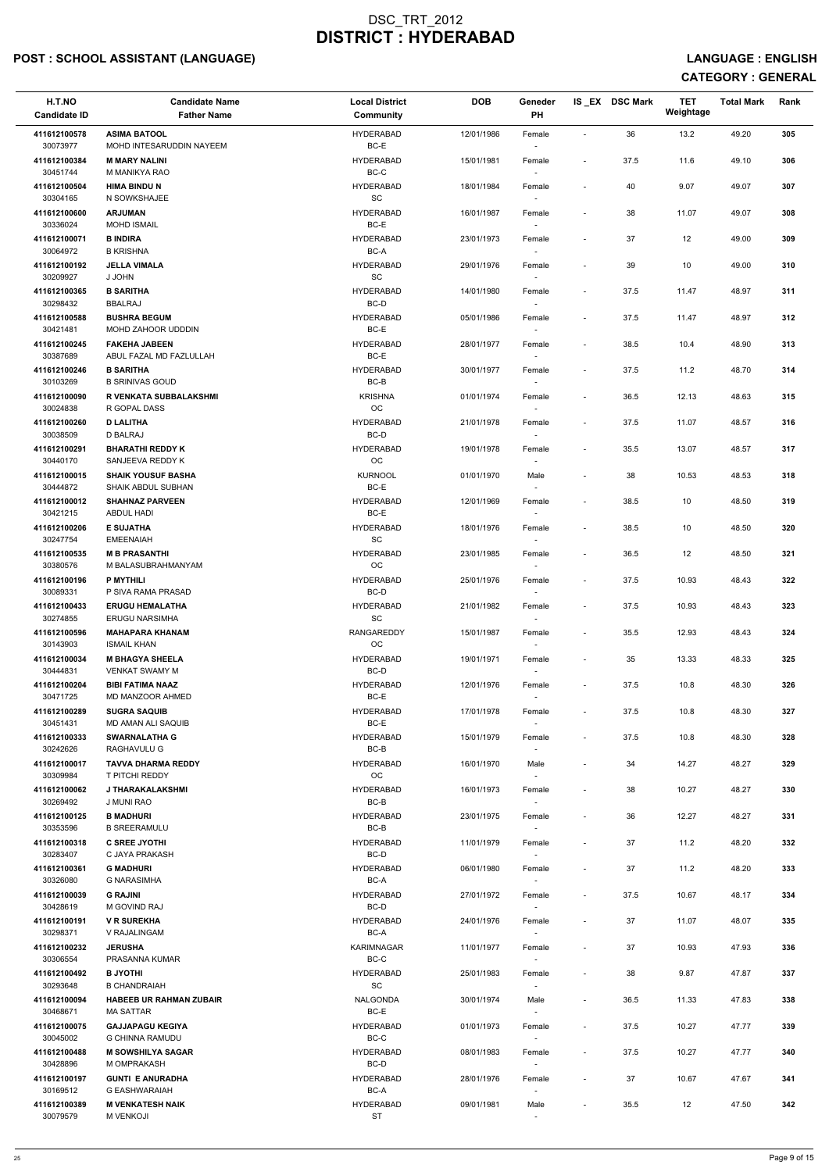# POST : SCHOOL ASSISTANT (LANGUAGE) AND ENGLISH CONTROLLING ON THE SERVICE OF THE SERVICE OF THE SERVICE : ENGLISH

| H.T.NO<br><b>Candidate ID</b> | <b>Candidate Name</b><br><b>Father Name</b>            | <b>Local District</b><br>Community | <b>DOB</b> | Geneder<br>PH                      |                          | IS_EX DSC Mark | <b>TET</b><br>Weightage | <b>Total Mark</b> | Rank |  |
|-------------------------------|--------------------------------------------------------|------------------------------------|------------|------------------------------------|--------------------------|----------------|-------------------------|-------------------|------|--|
| 411612100578<br>30073977      | <b>ASIMA BATOOL</b><br>MOHD INTESARUDDIN NAYEEM        | <b>HYDERABAD</b><br>BC-E           | 12/01/1986 | Female<br>$\sim$                   | $\sim$                   | 36             | 13.2                    | 49.20             | 305  |  |
| 411612100384                  | <b>M MARY NALINI</b>                                   | <b>HYDERABAD</b>                   | 15/01/1981 | Female                             | $\sim$                   | 37.5           | 11.6                    | 49.10             | 306  |  |
| 30451744<br>411612100504      | M MANIKYA RAO<br><b>HIMA BINDU N</b>                   | BC-C<br><b>HYDERABAD</b>           | 18/01/1984 | Female                             | $\sim$                   | 40             | 9.07                    | 49.07             | 307  |  |
| 30304165<br>411612100600      | N SOWKSHAJEE<br><b>ARJUMAN</b>                         | SC<br><b>HYDERABAD</b>             | 16/01/1987 | Female                             | $\overline{\phantom{a}}$ | 38             | 11.07                   | 49.07             | 308  |  |
| 30336024<br>411612100071      | <b>MOHD ISMAIL</b><br><b>B INDIRA</b>                  | BC-E<br><b>HYDERABAD</b>           | 23/01/1973 | $\sim$<br>Female                   | $\overline{\phantom{a}}$ | 37             | 12                      | 49.00             | 309  |  |
| 30064972<br>411612100192      | <b>B KRISHNA</b><br><b>JELLA VIMALA</b>                | BC-A<br><b>HYDERABAD</b>           | 29/01/1976 | $\sim$<br>Female                   | $\sim$                   | 39             | 10                      | 49.00             | 310  |  |
| 30209927<br>411612100365      | J JOHN<br><b>B SARITHA</b>                             | SC<br><b>HYDERABAD</b>             | 14/01/1980 | $\sim$<br>Female                   | $\overline{\phantom{a}}$ | 37.5           | 11.47                   | 48.97             | 311  |  |
| 30298432<br>411612100588      | <b>BBALRAJ</b><br><b>BUSHRA BEGUM</b>                  | BC-D<br><b>HYDERABAD</b>           | 05/01/1986 | Female                             | $\overline{\phantom{a}}$ | 37.5           | 11.47                   | 48.97             | 312  |  |
| 30421481<br>411612100245      | MOHD ZAHOOR UDDDIN<br><b>FAKEHA JABEEN</b>             | BC-E<br><b>HYDERABAD</b>           | 28/01/1977 | $\sim$<br>Female                   | $\overline{\phantom{a}}$ | 38.5           | 10.4                    | 48.90             | 313  |  |
| 30387689                      | ABUL FAZAL MD FAZLULLAH                                | BC-E                               |            | $\sim$                             |                          |                |                         |                   |      |  |
| 411612100246<br>30103269      | <b>B SARITHA</b><br><b>B SRINIVAS GOUD</b>             | <b>HYDERABAD</b><br>BC-B           | 30/01/1977 | Female<br>$\sim$                   | $\overline{\phantom{a}}$ | 37.5           | 11.2                    | 48.70             | 314  |  |
| 411612100090<br>30024838      | R VENKATA SUBBALAKSHMI<br>R GOPAL DASS                 | <b>KRISHNA</b><br>OC               | 01/01/1974 | Female                             | $\overline{\phantom{a}}$ | 36.5           | 12.13                   | 48.63             | 315  |  |
| 411612100260<br>30038509      | <b>D LALITHA</b><br><b>D BALRAJ</b>                    | <b>HYDERABAD</b><br>BC-D           | 21/01/1978 | Female<br>$\sim$                   | $\overline{\phantom{a}}$ | 37.5           | 11.07                   | 48.57             | 316  |  |
| 411612100291<br>30440170      | <b>BHARATHI REDDY K</b><br>SANJEEVA REDDY K            | <b>HYDERABAD</b><br>OC             | 19/01/1978 | Female<br>$\sim$                   | $\overline{\phantom{a}}$ | 35.5           | 13.07                   | 48.57             | 317  |  |
| 411612100015<br>30444872      | <b>SHAIK YOUSUF BASHA</b><br><b>SHAIK ABDUL SUBHAN</b> | <b>KURNOOL</b><br>BC-E             | 01/01/1970 | Male<br>$\sim$                     | $\sim$                   | 38             | 10.53                   | 48.53             | 318  |  |
| 411612100012<br>30421215      | <b>SHAHNAZ PARVEEN</b><br><b>ABDUL HADI</b>            | <b>HYDERABAD</b><br>BC-E           | 12/01/1969 | Female<br>$\sim$                   | $\overline{\phantom{a}}$ | 38.5           | 10                      | 48.50             | 319  |  |
| 411612100206<br>30247754      | <b>E SUJATHA</b><br><b>EMEENAIAH</b>                   | <b>HYDERABAD</b><br>SC             | 18/01/1976 | Female<br>$\overline{\phantom{a}}$ | $\overline{\phantom{a}}$ | 38.5           | 10                      | 48.50             | 320  |  |
| 411612100535<br>30380576      | <b>M B PRASANTHI</b><br>M BALASUBRAHMANYAM             | <b>HYDERABAD</b><br><b>OC</b>      | 23/01/1985 | Female<br>$\sim$                   | $\overline{\phantom{a}}$ | 36.5           | 12                      | 48.50             | 321  |  |
| 411612100196<br>30089331      | P MYTHILI<br>P SIVA RAMA PRASAD                        | <b>HYDERABAD</b><br>BC-D           | 25/01/1976 | Female                             | $\overline{\phantom{a}}$ | 37.5           | 10.93                   | 48.43             | 322  |  |
| 411612100433                  | <b>ERUGU HEMALATHA</b>                                 | <b>HYDERABAD</b>                   | 21/01/1982 | Female                             | $\sim$                   | 37.5           | 10.93                   | 48.43             | 323  |  |
| 30274855<br>411612100596      | <b>ERUGU NARSIMHA</b><br><b>MAHAPARA KHANAM</b>        | SC<br><b>RANGAREDDY</b>            | 15/01/1987 | Female                             | $\sim$                   | 35.5           | 12.93                   | 48.43             | 324  |  |
| 30143903<br>411612100034      | ISMAIL KHAN<br><b>M BHAGYA SHEELA</b>                  | OC<br><b>HYDERABAD</b>             | 19/01/1971 | $\sim$<br>Female                   | $\overline{\phantom{a}}$ | 35             | 13.33                   | 48.33             | 325  |  |
| 30444831<br>411612100204      | <b>VENKAT SWAMY M</b><br><b>BIBI FATIMA NAAZ</b>       | BC-D<br><b>HYDERABAD</b>           | 12/01/1976 | $\sim$<br>Female                   | $\sim$                   | 37.5           | 10.8                    | 48.30             | 326  |  |
| 30471725<br>411612100289      | MD MANZOOR AHMED<br><b>SUGRA SAQUIB</b>                | BC-E<br><b>HYDERABAD</b>           | 17/01/1978 | $\sim$<br>Female                   | $\overline{\phantom{a}}$ | 37.5           | 10.8                    | 48.30             | 327  |  |
| 30451431<br>411612100333      | MD AMAN ALI SAQUIB<br><b>SWARNALATHA G</b>             | BC-E<br><b>HYDERABAD</b>           | 15/01/1979 | Female                             | $\sim$                   | 37.5           | 10.8                    | 48.30             | 328  |  |
| 30242626<br>411612100017      | RAGHAVULU G<br><b>TAVVA DHARMA REDDY</b>               | BC-B<br><b>HYDERABAD</b>           | 16/01/1970 | $\sim$<br>Male                     |                          | 34             | 14.27                   | 48.27             | 329  |  |
| 30309984<br>411612100062      | T PITCHI REDDY<br>J THARAKALAKSHMI                     | OC<br><b>HYDERABAD</b>             | 16/01/1973 | $\sim$<br>Female                   | $\overline{\phantom{a}}$ | 38             | 10.27                   | 48.27             | 330  |  |
| 30269492<br>411612100125      | <b>J MUNI RAO</b><br><b>B MADHURI</b>                  | BC-B<br><b>HYDERABAD</b>           | 23/01/1975 | $\sim$<br>Female                   | $\overline{\phantom{a}}$ | 36             | 12.27                   | 48.27             | 331  |  |
| 30353596<br>411612100318      | <b>B SREERAMULU</b><br><b>C SREE JYOTHI</b>            | BC-B<br><b>HYDERABAD</b>           | 11/01/1979 |                                    |                          | 37             | 11.2                    | 48.20             | 332  |  |
| 30283407                      | C JAYA PRAKASH                                         | BC-D                               |            | Female<br>$\sim$                   | $\sim$                   |                |                         |                   |      |  |
| 411612100361<br>30326080      | <b>G MADHURI</b><br><b>G NARASIMHA</b>                 | <b>HYDERABAD</b><br>BC-A           | 06/01/1980 | Female<br>$\sim$                   | $\sim$                   | 37             | 11.2                    | 48.20             | 333  |  |
| 411612100039<br>30428619      | <b>G RAJINI</b><br><b>M GOVIND RAJ</b>                 | <b>HYDERABAD</b><br>BC-D           | 27/01/1972 | Female<br>$\sim$                   | $\overline{\phantom{a}}$ | 37.5           | 10.67                   | 48.17             | 334  |  |
| 411612100191<br>30298371      | <b>V R SUREKHA</b><br>V RAJALINGAM                     | <b>HYDERABAD</b><br>BC-A           | 24/01/1976 | Female<br>$\sim$                   | $\sim$                   | 37             | 11.07                   | 48.07             | 335  |  |
| 411612100232<br>30306554      | <b>JERUSHA</b><br>PRASANNA KUMAR                       | <b>KARIMNAGAR</b><br>$BC-C$        | 11/01/1977 | Female                             | $\sim$                   | 37             | 10.93                   | 47.93             | 336  |  |
| 411612100492<br>30293648      | <b>B JYOTHI</b><br><b>B CHANDRAIAH</b>                 | <b>HYDERABAD</b><br>SC             | 25/01/1983 | Female<br>$\overline{\phantom{a}}$ | $\sim$                   | 38             | 9.87                    | 47.87             | 337  |  |
| 411612100094<br>30468671      | <b>HABEEB UR RAHMAN ZUBAIR</b><br>MA SATTAR            | NALGONDA<br>$BC-E$                 | 30/01/1974 | Male<br>$\overline{\phantom{a}}$   |                          | 36.5           | 11.33                   | 47.83             | 338  |  |
| 411612100075<br>30045002      | <b>GAJJAPAGU KEGIYA</b><br><b>G CHINNA RAMUDU</b>      | <b>HYDERABAD</b><br>BC-C           | 01/01/1973 | Female<br>$\sim$                   | $\sim$                   | 37.5           | 10.27                   | 47.77             | 339  |  |
| 411612100488<br>30428896      | <b>M SOWSHILYA SAGAR</b><br>M OMPRAKASH                | <b>HYDERABAD</b><br>BC-D           | 08/01/1983 | Female<br>$\sim$                   | $\overline{\phantom{a}}$ | 37.5           | 10.27                   | 47.77             | 340  |  |
| 411612100197                  | <b>GUNTI E ANURADHA</b>                                | <b>HYDERABAD</b>                   | 28/01/1976 | Female                             | $\sim$                   | 37             | 10.67                   | 47.67             | 341  |  |
| 30169512<br>411612100389      | G EASHWARAIAH<br><b>M VENKATESH NAIK</b>               | BC-A<br><b>HYDERABAD</b>           | 09/01/1981 | $\sim$<br>Male                     | $\overline{\phantom{a}}$ | 35.5           | 12                      | 47.50             | 342  |  |
| 30079579                      | <b>M VENKOJI</b>                                       | <b>ST</b>                          |            | $\sim$                             |                          |                |                         |                   |      |  |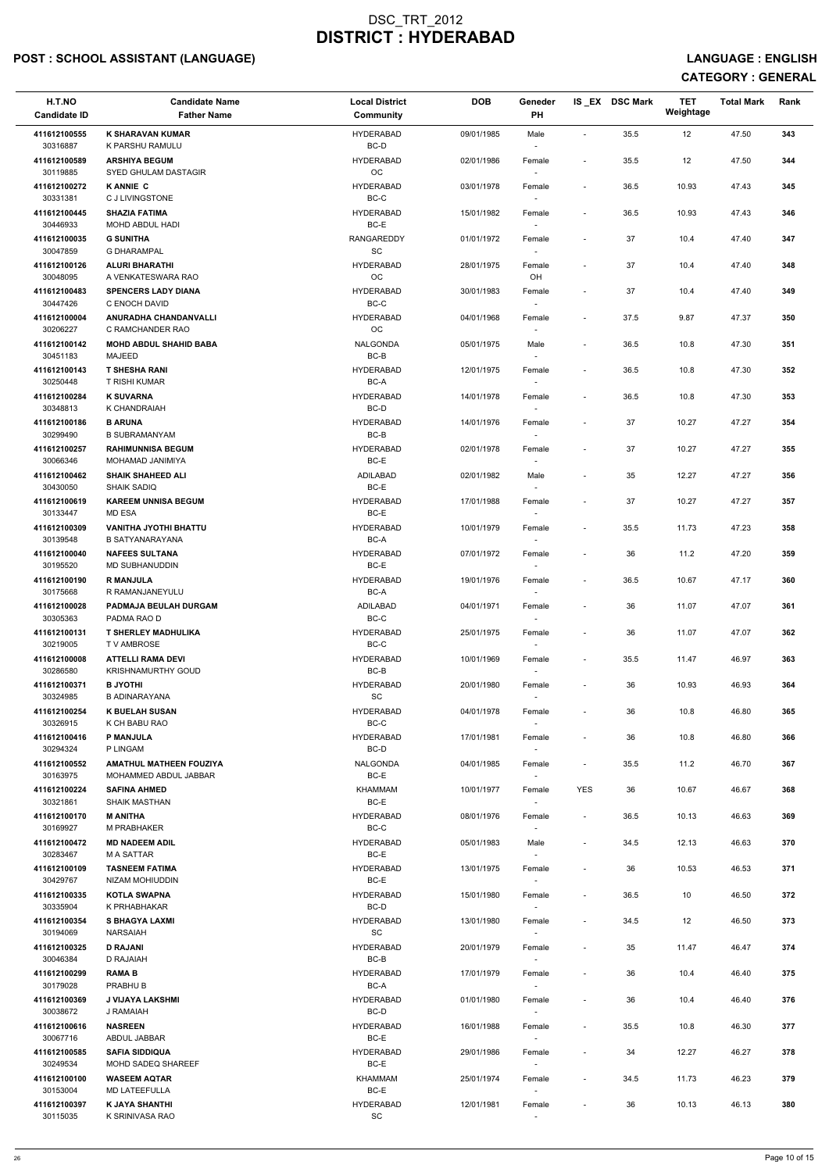# POST : SCHOOL ASSISTANT (LANGUAGE) And the state of the state of the state of the state of the state of the state of the state of the state of the state of the state of the state of the state of the state of the state of t

| 12<br>47.50<br><b>HYDERABAD</b><br>09/01/1985<br>35.5<br>411612100555<br>K SHARAVAN KUMAR<br>Male<br>$\overline{\phantom{a}}$<br>30316887<br>K PARSHU RAMULU<br>BC-D<br>$\sim$<br><b>ARSHIYA BEGUM</b><br><b>HYDERABAD</b><br>12<br>47.50<br>411612100589<br>35.5<br>02/01/1986<br>Female<br>$\overline{\phantom{a}}$<br>OC<br>30119885<br>SYED GHULAM DASTAGIR<br><b>KANNIE C</b><br><b>HYDERABAD</b><br>36.5<br>10.93<br>411612100272<br>03/01/1978<br>47.43<br>Female<br>$\overline{\phantom{a}}$<br>$BC-C$<br>C J LIVINGSTONE<br>30331381<br><b>HYDERABAD</b><br>36.5<br>411612100445<br><b>SHAZIA FATIMA</b><br>15/01/1982<br>10.93<br>47.43<br>Female<br>$\overline{\phantom{a}}$<br>BC-E<br>30446933<br>MOHD ABDUL HADI<br><b>G SUNITHA</b><br>RANGAREDDY<br>01/01/1972<br>37<br>47.40<br>411612100035<br>10.4<br>Female<br>$\overline{\phantom{a}}$<br><b>SC</b><br>30047859<br><b>G DHARAMPAL</b><br>$\sim$<br>37<br>411612100126<br><b>ALURI BHARATHI</b><br><b>HYDERABAD</b><br>10.4<br>47.40<br>28/01/1975<br>Female<br>$\blacksquare$<br>OC<br>OH<br>30048095<br>A VENKATESWARA RAO | 343<br>344<br>345<br>346<br>347<br>348<br>349<br>350<br>351<br>352 |
|--------------------------------------------------------------------------------------------------------------------------------------------------------------------------------------------------------------------------------------------------------------------------------------------------------------------------------------------------------------------------------------------------------------------------------------------------------------------------------------------------------------------------------------------------------------------------------------------------------------------------------------------------------------------------------------------------------------------------------------------------------------------------------------------------------------------------------------------------------------------------------------------------------------------------------------------------------------------------------------------------------------------------------------------------------------------------------------------------|--------------------------------------------------------------------|
|                                                                                                                                                                                                                                                                                                                                                                                                                                                                                                                                                                                                                                                                                                                                                                                                                                                                                                                                                                                                                                                                                                  |                                                                    |
|                                                                                                                                                                                                                                                                                                                                                                                                                                                                                                                                                                                                                                                                                                                                                                                                                                                                                                                                                                                                                                                                                                  |                                                                    |
|                                                                                                                                                                                                                                                                                                                                                                                                                                                                                                                                                                                                                                                                                                                                                                                                                                                                                                                                                                                                                                                                                                  |                                                                    |
|                                                                                                                                                                                                                                                                                                                                                                                                                                                                                                                                                                                                                                                                                                                                                                                                                                                                                                                                                                                                                                                                                                  |                                                                    |
|                                                                                                                                                                                                                                                                                                                                                                                                                                                                                                                                                                                                                                                                                                                                                                                                                                                                                                                                                                                                                                                                                                  |                                                                    |
|                                                                                                                                                                                                                                                                                                                                                                                                                                                                                                                                                                                                                                                                                                                                                                                                                                                                                                                                                                                                                                                                                                  |                                                                    |
| 411612100483<br><b>HYDERABAD</b><br>37<br>47.40<br><b>SPENCERS LADY DIANA</b><br>30/01/1983<br>10.4<br>Female<br>$\overline{\phantom{a}}$                                                                                                                                                                                                                                                                                                                                                                                                                                                                                                                                                                                                                                                                                                                                                                                                                                                                                                                                                        |                                                                    |
| $BC-C$<br>30447426<br>C ENOCH DAVID<br><b>HYDERABAD</b><br>37.5<br>411612100004<br>ANURADHA CHANDANVALLI<br>04/01/1968<br>9.87<br>47.37<br>Female<br>$\overline{\phantom{a}}$                                                                                                                                                                                                                                                                                                                                                                                                                                                                                                                                                                                                                                                                                                                                                                                                                                                                                                                    |                                                                    |
| OC<br>30206227<br>C RAMCHANDER RAO<br>$\sim$<br>NALGONDA<br>36.5<br>47.30<br>411612100142<br><b>MOHD ABDUL SHAHID BABA</b><br>05/01/1975<br>Male<br>10.8<br>$\overline{\phantom{a}}$                                                                                                                                                                                                                                                                                                                                                                                                                                                                                                                                                                                                                                                                                                                                                                                                                                                                                                             |                                                                    |
| BC-B<br>30451183<br>MAJEED<br>$\sim$<br><b>T SHESHA RANI</b><br>36.5<br>47.30<br>411612100143<br><b>HYDERABAD</b><br>12/01/1975<br>10.8<br>Female<br>$\overline{\phantom{a}}$                                                                                                                                                                                                                                                                                                                                                                                                                                                                                                                                                                                                                                                                                                                                                                                                                                                                                                                    |                                                                    |
| <b>T RISHI KUMAR</b><br>BC-A<br>30250448<br>$\sim$<br>411612100284<br><b>K SUVARNA</b><br><b>HYDERABAD</b><br>36.5<br>47.30<br>14/01/1978<br>10.8<br>Female<br>$\overline{\phantom{a}}$                                                                                                                                                                                                                                                                                                                                                                                                                                                                                                                                                                                                                                                                                                                                                                                                                                                                                                          | 353                                                                |
| 30348813<br>BC-D<br>K CHANDRAIAH<br><b>B ARUNA</b><br><b>HYDERABAD</b><br>47.27<br>411612100186<br>14/01/1976<br>37<br>10.27<br>Female<br>$\overline{\phantom{a}}$                                                                                                                                                                                                                                                                                                                                                                                                                                                                                                                                                                                                                                                                                                                                                                                                                                                                                                                               | 354                                                                |
| 30299490<br><b>B SUBRAMANYAM</b><br>BC-B                                                                                                                                                                                                                                                                                                                                                                                                                                                                                                                                                                                                                                                                                                                                                                                                                                                                                                                                                                                                                                                         |                                                                    |
| <b>HYDERABAD</b><br>37<br>10.27<br>47.27<br>411612100257<br><b>RAHIMUNNISA BEGUM</b><br>02/01/1978<br>Female<br>$\overline{\phantom{0}}$<br>BC-E<br>30066346<br>MOHAMAD JANIMIYA                                                                                                                                                                                                                                                                                                                                                                                                                                                                                                                                                                                                                                                                                                                                                                                                                                                                                                                 | 355                                                                |
| 35<br>47.27<br>411612100462<br><b>SHAIK SHAHEED ALI</b><br>ADILABAD<br>02/01/1982<br>Male<br>12.27<br>$\overline{\phantom{a}}$<br>BC-E<br>30430050<br><b>SHAIK SADIQ</b><br>$\sim$                                                                                                                                                                                                                                                                                                                                                                                                                                                                                                                                                                                                                                                                                                                                                                                                                                                                                                               | 356                                                                |
| <b>KAREEM UNNISA BEGUM</b><br><b>HYDERABAD</b><br>37<br>10.27<br>47.27<br>411612100619<br>17/01/1988<br>Female<br>$\overline{\phantom{a}}$<br>BC-E<br>30133447<br>MD ESA                                                                                                                                                                                                                                                                                                                                                                                                                                                                                                                                                                                                                                                                                                                                                                                                                                                                                                                         | 357                                                                |
| <b>VANITHA JYOTHI BHATTU</b><br><b>HYDERABAD</b><br>35.5<br>47.23<br>411612100309<br>10/01/1979<br>11.73<br>Female<br>$\overline{\phantom{a}}$<br>30139548<br><b>B SATYANARAYANA</b><br>BC-A<br>$\overline{\phantom{a}}$                                                                                                                                                                                                                                                                                                                                                                                                                                                                                                                                                                                                                                                                                                                                                                                                                                                                         | 358                                                                |
| 47.20<br>411612100040<br><b>NAFEES SULTANA</b><br><b>HYDERABAD</b><br>07/01/1972<br>36<br>11.2<br>Female<br>BC-E<br>30195520<br><b>MD SUBHANUDDIN</b><br>$\sim$                                                                                                                                                                                                                                                                                                                                                                                                                                                                                                                                                                                                                                                                                                                                                                                                                                                                                                                                  | 359                                                                |
| <b>R MANJULA</b><br>411612100190<br><b>HYDERABAD</b><br>19/01/1976<br>36.5<br>10.67<br>47.17<br>Female<br>$\overline{\phantom{a}}$<br>R RAMANJANEYULU<br>BC-A<br>30175668                                                                                                                                                                                                                                                                                                                                                                                                                                                                                                                                                                                                                                                                                                                                                                                                                                                                                                                        | 360                                                                |
| 411612100028<br>PADMAJA BEULAH DURGAM<br>ADILABAD<br>36<br>47.07<br>04/01/1971<br>11.07<br>Female<br>$\overline{\phantom{a}}$<br>BC-C<br>30305363<br>PADMA RAO D<br>$\sim$                                                                                                                                                                                                                                                                                                                                                                                                                                                                                                                                                                                                                                                                                                                                                                                                                                                                                                                       | 361                                                                |
| <b>HYDERABAD</b><br>411612100131<br><b>T SHERLEY MADHULIKA</b><br>25/01/1975<br>36<br>11.07<br>47.07<br>Female<br>$\overline{\phantom{a}}$<br>BC-C<br>30219005<br>T V AMBROSE<br>$\sim$                                                                                                                                                                                                                                                                                                                                                                                                                                                                                                                                                                                                                                                                                                                                                                                                                                                                                                          | 362                                                                |
| 411612100008<br><b>ATTELLI RAMA DEVI</b><br><b>HYDERABAD</b><br>10/01/1969<br>35.5<br>11.47<br>46.97<br>Female<br>$\overline{\phantom{a}}$<br>BC-B<br>30286580<br><b>KRISHNAMURTHY GOUD</b><br>$\sim$                                                                                                                                                                                                                                                                                                                                                                                                                                                                                                                                                                                                                                                                                                                                                                                                                                                                                            | 363                                                                |
| 411612100371<br><b>B JYOTHI</b><br><b>HYDERABAD</b><br>36<br>10.93<br>46.93<br>20/01/1980<br>Female<br>$\overline{\phantom{a}}$<br><b>SC</b><br>30324985<br><b>B ADINARAYANA</b>                                                                                                                                                                                                                                                                                                                                                                                                                                                                                                                                                                                                                                                                                                                                                                                                                                                                                                                 | 364                                                                |
| 411612100254<br><b>K BUELAH SUSAN</b><br><b>HYDERABAD</b><br>36<br>04/01/1978<br>10.8<br>46.80<br>Female<br>$\overline{\phantom{a}}$<br>BC-C<br>30326915<br>K CH BABU RAO                                                                                                                                                                                                                                                                                                                                                                                                                                                                                                                                                                                                                                                                                                                                                                                                                                                                                                                        | 365                                                                |
| <b>HYDERABAD</b><br>36<br>411612100416<br><b>P MANJULA</b><br>46.80<br>17/01/1981<br>10.8<br>Female<br>$\blacksquare$<br>BC-D<br>30294324<br>P LINGAM<br>$\sim$                                                                                                                                                                                                                                                                                                                                                                                                                                                                                                                                                                                                                                                                                                                                                                                                                                                                                                                                  | 366                                                                |
| 411612100552<br><b>AMATHUL MATHEEN FOUZIYA</b><br>NALGONDA<br>04/01/1985<br>35.5<br>11.2<br>46.70<br>Female<br>$\overline{\phantom{a}}$<br>BC-E<br>30163975<br>MOHAMMED ABDUL JABBAR<br>$\sim$                                                                                                                                                                                                                                                                                                                                                                                                                                                                                                                                                                                                                                                                                                                                                                                                                                                                                                   | 367                                                                |
| 411612100224<br><b>SAFINA AHMED</b><br><b>KHAMMAM</b><br><b>YES</b><br>36<br>10.67<br>46.67<br>10/01/1977<br>Female<br>BC-E<br>30321861<br><b>SHAIK MASTHAN</b><br>$\overline{\phantom{a}}$                                                                                                                                                                                                                                                                                                                                                                                                                                                                                                                                                                                                                                                                                                                                                                                                                                                                                                      | 368                                                                |
| <b>M ANITHA</b><br>411612100170<br><b>HYDERABAD</b><br>36.5<br>10.13<br>46.63<br>08/01/1976<br>Female<br>$\overline{\phantom{a}}$<br>BC-C<br>30169927<br>M PRABHAKER                                                                                                                                                                                                                                                                                                                                                                                                                                                                                                                                                                                                                                                                                                                                                                                                                                                                                                                             | 369                                                                |
| <b>HYDERABAD</b><br>411612100472<br><b>MD NADEEM ADIL</b><br>05/01/1983<br>34.5<br>12.13<br>46.63<br>Male<br>$\overline{\phantom{a}}$<br>BC-E<br>30283467<br><b>MA SATTAR</b><br>$\sim$                                                                                                                                                                                                                                                                                                                                                                                                                                                                                                                                                                                                                                                                                                                                                                                                                                                                                                          | 370                                                                |
| 411612100109<br><b>TASNEEM FATIMA</b><br><b>HYDERABAD</b><br>13/01/1975<br>36<br>10.53<br>46.53<br>Female<br>$\overline{\phantom{a}}$                                                                                                                                                                                                                                                                                                                                                                                                                                                                                                                                                                                                                                                                                                                                                                                                                                                                                                                                                            | 371                                                                |
| BC-E<br>30429767<br>NIZAM MOHIUDDIN<br>$\sim$<br>411612100335<br><b>KOTLA SWAPNA</b><br><b>HYDERABAD</b><br>15/01/1980<br>36.5<br>10<br>46.50<br>Female<br>$\overline{\phantom{a}}$                                                                                                                                                                                                                                                                                                                                                                                                                                                                                                                                                                                                                                                                                                                                                                                                                                                                                                              | 372                                                                |
| BC-D<br>30335904<br>K PRHABHAKAR<br>$\sim$<br>411612100354<br><b>S BHAGYA LAXMI</b><br><b>HYDERABAD</b><br>34.5<br>12<br>46.50<br>13/01/1980<br>Female<br>$\overline{\phantom{a}}$                                                                                                                                                                                                                                                                                                                                                                                                                                                                                                                                                                                                                                                                                                                                                                                                                                                                                                               | 373                                                                |
| <b>SC</b><br>30194069<br><b>NARSAIAH</b>                                                                                                                                                                                                                                                                                                                                                                                                                                                                                                                                                                                                                                                                                                                                                                                                                                                                                                                                                                                                                                                         |                                                                    |
| <b>HYDERABAD</b><br>411612100325<br><b>D RAJANI</b><br>20/01/1979<br>35<br>11.47<br>46.47<br>Female<br>$\overline{\phantom{a}}$<br>BC-B<br>30046384<br>D RAJAIAH                                                                                                                                                                                                                                                                                                                                                                                                                                                                                                                                                                                                                                                                                                                                                                                                                                                                                                                                 | 374                                                                |
| 411612100299<br><b>HYDERABAD</b><br>17/01/1979<br>36<br>RAMA B<br>10.4<br>46.40<br>Female<br>$\overline{\phantom{a}}$<br>PRABHU B<br>BC-A<br>30179028<br>$\sim$                                                                                                                                                                                                                                                                                                                                                                                                                                                                                                                                                                                                                                                                                                                                                                                                                                                                                                                                  | 375                                                                |
| J VIJAYA LAKSHMI<br><b>HYDERABAD</b><br>36<br>10.4<br>46.40<br>411612100369<br>01/01/1980<br>Female<br>$\overline{\phantom{a}}$<br>30038672<br>BC-D<br>J RAMAIAH<br>$\overline{\phantom{a}}$                                                                                                                                                                                                                                                                                                                                                                                                                                                                                                                                                                                                                                                                                                                                                                                                                                                                                                     | 376                                                                |
| 411612100616<br><b>NASREEN</b><br><b>HYDERABAD</b><br>16/01/1988<br>35.5<br>10.8<br>46.30<br>Female<br>$\overline{\phantom{a}}$<br>30067716<br>ABDUL JABBAR<br>BC-E<br>$\sim$                                                                                                                                                                                                                                                                                                                                                                                                                                                                                                                                                                                                                                                                                                                                                                                                                                                                                                                    | 377                                                                |
| <b>HYDERABAD</b><br>411612100585<br><b>SAFIA SIDDIQUA</b><br>29/01/1986<br>34<br>12.27<br>46.27<br>Female<br>$\overline{\phantom{a}}$<br>BC-E<br>30249534<br>MOHD SADEQ SHAREEF                                                                                                                                                                                                                                                                                                                                                                                                                                                                                                                                                                                                                                                                                                                                                                                                                                                                                                                  | 378                                                                |
| $\sim$<br><b>WASEEM AQTAR</b><br>34.5<br>46.23<br>411612100100<br>KHAMMAM<br>25/01/1974<br>11.73<br>Female<br>$\overline{\phantom{a}}$<br>BC-E<br>30153004<br><b>MD LATEEFULLA</b><br>$\sim$                                                                                                                                                                                                                                                                                                                                                                                                                                                                                                                                                                                                                                                                                                                                                                                                                                                                                                     | 379                                                                |
| 411612100397<br><b>K JAYA SHANTHI</b><br><b>HYDERABAD</b><br>12/01/1981<br>36<br>10.13<br>46.13<br>Female<br>$\overline{\phantom{a}}$<br>30115035<br>K SRINIVASA RAO<br>$\operatorname{\textsf{SC}}$                                                                                                                                                                                                                                                                                                                                                                                                                                                                                                                                                                                                                                                                                                                                                                                                                                                                                             | 380                                                                |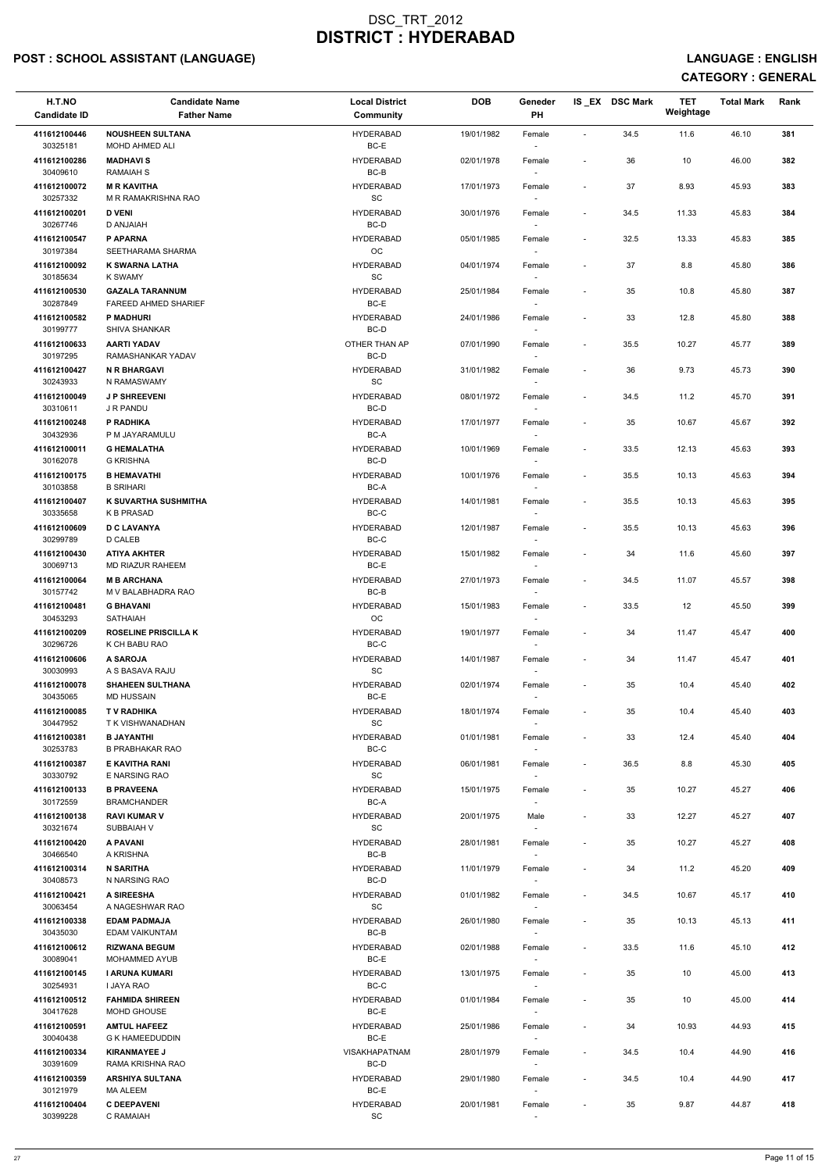# POST : SCHOOL ASSISTANT (LANGUAGE) And the state of the state of the state of the state of the state of the state of the state of the state of the state of the state of the state of the state of the state of the state of t

| H.T.NO<br><b>Candidate ID</b> | <b>Candidate Name</b><br><b>Father Name</b>    | <b>Local District</b><br><b>Community</b> | <b>DOB</b> | Geneder<br>PH                      |                          | IS_EX DSC Mark | <b>TET</b><br>Weightage | <b>Total Mark</b> | Rank |
|-------------------------------|------------------------------------------------|-------------------------------------------|------------|------------------------------------|--------------------------|----------------|-------------------------|-------------------|------|
| 411612100446<br>30325181      | <b>NOUSHEEN SULTANA</b><br>MOHD AHMED ALI      | <b>HYDERABAD</b><br>BC-E                  | 19/01/1982 | Female<br>$\sim$                   | $\blacksquare$           | 34.5           | 11.6                    | 46.10             | 381  |
| 411612100286                  | <b>MADHAVIS</b>                                | <b>HYDERABAD</b>                          | 02/01/1978 | Female                             | $\sim$                   | 36             | 10                      | 46.00             | 382  |
| 30409610<br>411612100072      | <b>RAMAIAH S</b><br><b>M R KAVITHA</b>         | $BC-B$<br><b>HYDERABAD</b>                | 17/01/1973 | Female                             | $\sim$                   | 37             | 8.93                    | 45.93             | 383  |
| 30257332<br>411612100201      | M R RAMAKRISHNA RAO<br><b>D VENI</b>           | SC<br><b>HYDERABAD</b>                    | 30/01/1976 | $\sim$<br>Female                   | $\overline{\phantom{a}}$ | 34.5           | 11.33                   | 45.83             | 384  |
| 30267746                      | D ANJAIAH                                      | BC-D                                      |            | $\sim$                             |                          |                |                         |                   |      |
| 411612100547<br>30197384      | P APARNA<br>SEETHARAMA SHARMA                  | <b>HYDERABAD</b><br>OC.                   | 05/01/1985 | Female<br>$\sim$                   | $\overline{\phantom{a}}$ | 32.5           | 13.33                   | 45.83             | 385  |
| 411612100092<br>30185634      | <b>K SWARNA LATHA</b><br>K SWAMY               | <b>HYDERABAD</b><br>SC                    | 04/01/1974 | Female<br>$\overline{\phantom{a}}$ | $\overline{\phantom{a}}$ | 37             | 8.8                     | 45.80             | 386  |
| 411612100530<br>30287849      | <b>GAZALA TARANNUM</b><br>FAREED AHMED SHARIEF | <b>HYDERABAD</b><br>BC-E                  | 25/01/1984 | Female                             | $\overline{\phantom{a}}$ | 35             | 10.8                    | 45.80             | 387  |
| 411612100582<br>30199777      | <b>P MADHURI</b><br>SHIVA SHANKAR              | <b>HYDERABAD</b><br>BC-D                  | 24/01/1986 | Female<br>$\sim$                   | $\overline{\phantom{a}}$ | 33             | 12.8                    | 45.80             | 388  |
| 411612100633<br>30197295      | <b>AARTI YADAV</b><br>RAMASHANKAR YADAV        | OTHER THAN AP<br>BC-D                     | 07/01/1990 | Female<br>$\sim$                   | $\overline{\phantom{a}}$ | 35.5           | 10.27                   | 45.77             | 389  |
| 411612100427                  | <b>N R BHARGAVI</b>                            | <b>HYDERABAD</b>                          | 31/01/1982 | Female                             | $\sim$                   | 36             | 9.73                    | 45.73             | 390  |
| 30243933<br>411612100049      | N RAMASWAMY<br><b>J P SHREEVENI</b>            | <b>SC</b><br><b>HYDERABAD</b>             | 08/01/1972 | $\sim$<br>Female                   | $\overline{\phantom{a}}$ | 34.5           | 11.2                    | 45.70             | 391  |
| 30310611                      | J R PANDU                                      | BC-D                                      |            |                                    |                          |                |                         |                   |      |
| 411612100248<br>30432936      | P RADHIKA<br>P M JAYARAMULU                    | <b>HYDERABAD</b><br>BC-A                  | 17/01/1977 | Female<br>$\sim$                   | $\overline{\phantom{a}}$ | 35             | 10.67                   | 45.67             | 392  |
| 411612100011<br>30162078      | <b>G HEMALATHA</b><br><b>G KRISHNA</b>         | <b>HYDERABAD</b><br>BC-D                  | 10/01/1969 | Female<br>$\sim$                   | $\overline{\phantom{a}}$ | 33.5           | 12.13                   | 45.63             | 393  |
| 411612100175                  | <b>B HEMAVATHI</b>                             | <b>HYDERABAD</b>                          | 10/01/1976 | Female                             | $\overline{\phantom{a}}$ | 35.5           | 10.13                   | 45.63             | 394  |
| 30103858<br>411612100407      | <b>B SRIHARI</b><br>K SUVARTHA SUSHMITHA       | BC-A<br><b>HYDERABAD</b>                  | 14/01/1981 | $\sim$<br>Female                   | $\overline{\phantom{a}}$ | 35.5           | 10.13                   | 45.63             | 395  |
| 30335658<br>411612100609      | <b>K B PRASAD</b><br><b>D C LAVANYA</b>        | $BC-C$<br><b>HYDERABAD</b>                | 12/01/1987 | Female                             | $\overline{\phantom{a}}$ | 35.5           | 10.13                   | 45.63             | 396  |
| 30299789                      | <b>D CALEB</b>                                 | BC-C                                      |            | $\sim$                             |                          |                |                         |                   |      |
| 411612100430<br>30069713      | <b>ATIYA AKHTER</b><br><b>MD RIAZUR RAHEEM</b> | <b>HYDERABAD</b><br>BC-E                  | 15/01/1982 | Female<br>$\sim$                   | $\overline{\phantom{a}}$ | 34             | 11.6                    | 45.60             | 397  |
| 411612100064<br>30157742      | <b>M B ARCHANA</b><br>M V BALABHADRA RAO       | <b>HYDERABAD</b><br>BC-B                  | 27/01/1973 | Female                             | $\sim$                   | 34.5           | 11.07                   | 45.57             | 398  |
| 411612100481<br>30453293      | <b>G BHAVANI</b><br><b>SATHAIAH</b>            | <b>HYDERABAD</b><br>OC.                   | 15/01/1983 | Female<br>$\sim$                   | $\sim$                   | 33.5           | 12                      | 45.50             | 399  |
| 411612100209<br>30296726      | <b>ROSELINE PRISCILLA K</b><br>K CH BABU RAO   | <b>HYDERABAD</b><br>BC-C                  | 19/01/1977 | Female<br>$\sim$                   | $\overline{\phantom{a}}$ | 34             | 11.47                   | 45.47             | 400  |
| 411612100606                  | A SAROJA                                       | <b>HYDERABAD</b>                          | 14/01/1987 | Female                             | $\overline{\phantom{a}}$ | 34             | 11.47                   | 45.47             | 401  |
| 30030993<br>411612100078      | A S BASAVA RAJU<br><b>SHAHEEN SULTHANA</b>     | SC<br><b>HYDERABAD</b>                    | 02/01/1974 | $\sim$<br>Female                   | $\overline{\phantom{a}}$ | 35             | 10.4                    | 45.40             | 402  |
| 30435065<br>411612100085      | <b>MD HUSSAIN</b><br><b>TV RADHIKA</b>         | BC-E<br><b>HYDERABAD</b>                  | 18/01/1974 | Female                             | $\sim$                   | 35             | 10.4                    | 45.40             | 403  |
| 30447952                      | T K VISHWANADHAN                               | <b>SC</b>                                 |            |                                    |                          |                |                         |                   |      |
| 411612100381<br>30253783      | <b>B JAYANTHI</b><br><b>B PRABHAKAR RAO</b>    | <b>HYDERABAD</b><br>BC-C                  | 01/01/1981 | Female<br>$-$                      | $\sim$                   | 33             | 12.4                    | 45.40             | 404  |
| 411612100387<br>30330792      | E KAVITHA RANI<br>E NARSING RAO                | <b>HYDERABAD</b><br><b>SC</b>             | 06/01/1981 | Female<br>$\sim$                   | $\overline{\phantom{a}}$ | 36.5           | 8.8                     | 45.30             | 405  |
| 411612100133<br>30172559      | <b>B PRAVEENA</b><br><b>BRAMCHANDER</b>        | <b>HYDERABAD</b><br>BC-A                  | 15/01/1975 | Female<br>$\sim$                   | $\sim$                   | 35             | 10.27                   | 45.27             | 406  |
| 411612100138                  | <b>RAVI KUMAR V</b>                            | <b>HYDERABAD</b>                          | 20/01/1975 | Male                               | $\overline{\phantom{a}}$ | 33             | 12.27                   | 45.27             | 407  |
| 30321674<br>411612100420      | SUBBAIAH V<br>A PAVANI                         | <b>SC</b><br><b>HYDERABAD</b>             | 28/01/1981 | Female                             | $\overline{\phantom{a}}$ | 35             | 10.27                   | 45.27             | 408  |
| 30466540<br>411612100314      | A KRISHNA<br><b>N SARITHA</b>                  | BC-B<br><b>HYDERABAD</b>                  | 11/01/1979 | $\sim$<br>Female                   | $\overline{\phantom{a}}$ | 34             | 11.2                    | 45.20             | 409  |
| 30408573                      | N NARSING RAO                                  | BC-D                                      |            | $\sim$                             |                          |                |                         |                   |      |
| 411612100421<br>30063454      | A SIREESHA<br>A NAGESHWAR RAO                  | <b>HYDERABAD</b><br>SC                    | 01/01/1982 | Female<br>$\sim$                   | $\overline{\phantom{a}}$ | 34.5           | 10.67                   | 45.17             | 410  |
| 411612100338<br>30435030      | <b>EDAM PADMAJA</b><br><b>EDAM VAIKUNTAM</b>   | <b>HYDERABAD</b><br>BC-B                  | 26/01/1980 | Female                             | $\overline{\phantom{a}}$ | 35             | 10.13                   | 45.13             | 411  |
| 411612100612                  | <b>RIZWANA BEGUM</b>                           | <b>HYDERABAD</b>                          | 02/01/1988 | Female                             | $\overline{\phantom{a}}$ | 33.5           | 11.6                    | 45.10             | 412  |
| 30089041<br>411612100145      | <b>MOHAMMED AYUB</b><br>I ARUNA KUMARI         | BC-E<br><b>HYDERABAD</b>                  | 13/01/1975 | Female                             | $\sim$                   | 35             | 10                      | 45.00             | 413  |
| 30254931                      | <b>I JAYA RAO</b>                              | BC-C                                      |            | $\sim$                             |                          |                |                         |                   |      |
| 411612100512<br>30417628      | <b>FAHMIDA SHIREEN</b><br>MOHD GHOUSE          | <b>HYDERABAD</b><br>BC-E                  | 01/01/1984 | Female<br>$\sim$                   | $\overline{\phantom{a}}$ | 35             | 10                      | 45.00             | 414  |
| 411612100591<br>30040438      | <b>AMTUL HAFEEZ</b><br><b>G K HAMEEDUDDIN</b>  | <b>HYDERABAD</b><br>BC-E                  | 25/01/1986 | Female<br>$\sim$                   | $\overline{\phantom{a}}$ | 34             | 10.93                   | 44.93             | 415  |
| 411612100334<br>30391609      | <b>KIRANMAYEE J</b><br>RAMA KRISHNA RAO        | <b>VISAKHAPATNAM</b><br>BC-D              | 28/01/1979 | Female<br>$\sim$                   | $\sim$                   | 34.5           | 10.4                    | 44.90             | 416  |
| 411612100359<br>30121979      | <b>ARSHIYA SULTANA</b><br>MA ALEEM             | <b>HYDERABAD</b><br>BC-E                  | 29/01/1980 | Female                             | $\sim$                   | 34.5           | 10.4                    | 44.90             | 417  |
| 411612100404                  | <b>C DEEPAVENI</b>                             | <b>HYDERABAD</b>                          | 20/01/1981 | $\sim$<br>Female                   |                          | 35             | 9.87                    | 44.87             | 418  |
| 30399228                      | C RAMAIAH                                      | SC                                        |            |                                    |                          |                |                         |                   |      |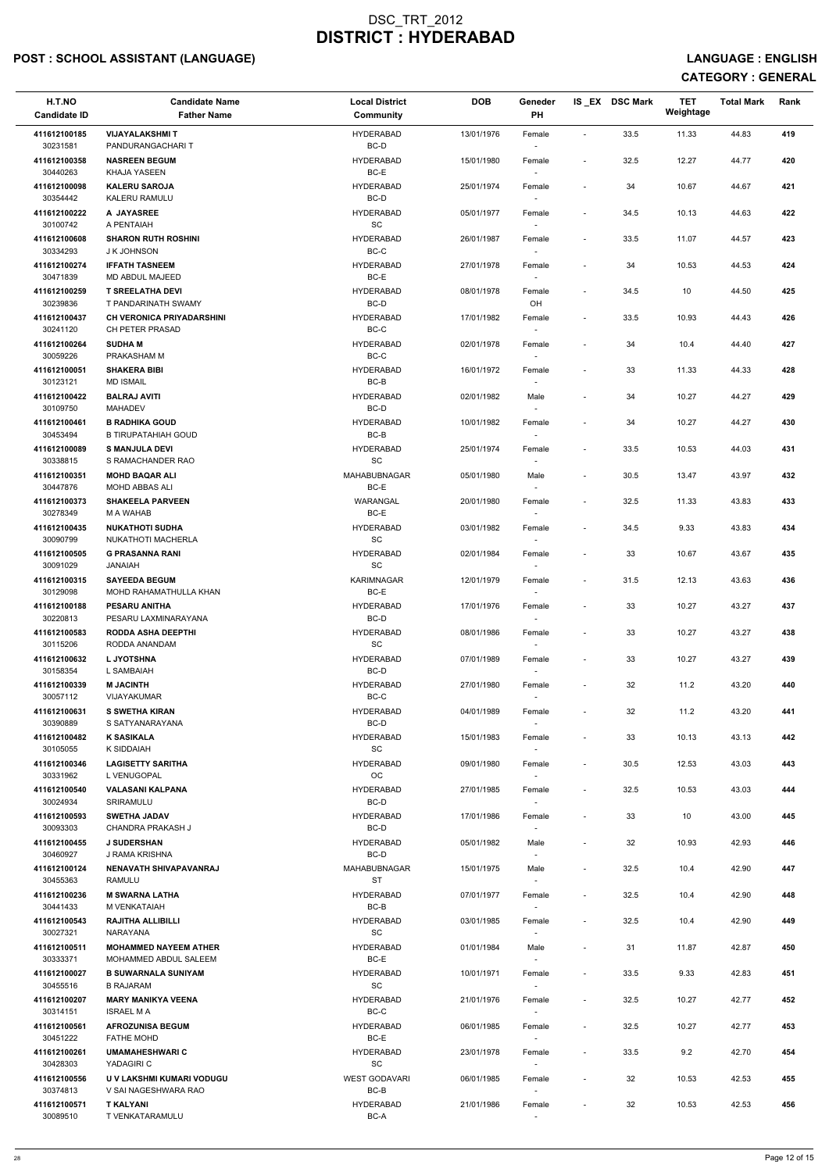# POST : SCHOOL ASSISTANT (LANGUAGE) And the state of the state of the state of the state of the state of the state of the state of the state of the state of the state of the state of the state of the state of the state of t

| H.T.NO<br><b>Candidate ID</b> | <b>Candidate Name</b><br><b>Father Name</b>           | <b>Local District</b><br>Community | <b>DOB</b> | Geneder<br>PH            |                          | IS EX DSC Mark | <b>TET</b><br>Weightage | <b>Total Mark</b> | Rank |  |
|-------------------------------|-------------------------------------------------------|------------------------------------|------------|--------------------------|--------------------------|----------------|-------------------------|-------------------|------|--|
| 411612100185                  | <b>VIJAYALAKSHMI T</b>                                | <b>HYDERABAD</b>                   | 13/01/1976 | Female                   | $\sim$                   | 33.5           | 11.33                   | 44.83             | 419  |  |
| 30231581<br>411612100358      | PANDURANGACHARI T<br><b>NASREEN BEGUM</b>             | BC-D<br><b>HYDERABAD</b>           | 15/01/1980 | $\sim$<br>Female         | $\overline{\phantom{a}}$ | 32.5           | 12.27                   | 44.77             | 420  |  |
| 30440263<br>411612100098      | KHAJA YASEEN<br><b>KALERU SAROJA</b>                  | BC-E<br><b>HYDERABAD</b>           | 25/01/1974 |                          | $\overline{\phantom{a}}$ | 34             | 10.67                   | 44.67             | 421  |  |
| 30354442                      | KALERU RAMULU                                         | BC-D                               |            | Female                   |                          |                |                         |                   |      |  |
| 411612100222<br>30100742      | A JAYASREE<br>A PENTAIAH                              | <b>HYDERABAD</b><br>SC             | 05/01/1977 | Female<br>$\sim$         | $\sim$                   | 34.5           | 10.13                   | 44.63             | 422  |  |
| 411612100608                  | <b>SHARON RUTH ROSHINI</b>                            | <b>HYDERABAD</b>                   | 26/01/1987 | Female                   | $\overline{\phantom{a}}$ | 33.5           | 11.07                   | 44.57             | 423  |  |
| 30334293<br>411612100274      | J K JOHNSON<br><b>IFFATH TASNEEM</b>                  | BC-C<br><b>HYDERABAD</b>           | 27/01/1978 | $\sim$<br>Female         | $\overline{\phantom{a}}$ | 34             | 10.53                   | 44.53             | 424  |  |
| 30471839<br>411612100259      | MD ABDUL MAJEED<br><b>T SREELATHA DEVI</b>            | BC-E<br><b>HYDERABAD</b>           | 08/01/1978 | Female                   | $\overline{\phantom{a}}$ | 34.5           | 10                      | 44.50             | 425  |  |
| 30239836                      | T PANDARINATH SWAMY                                   | BC-D                               |            | OH                       |                          |                |                         |                   |      |  |
| 411612100437<br>30241120      | <b>CH VERONICA PRIYADARSHINI</b><br>CH PETER PRASAD   | <b>HYDERABAD</b><br>BC-C           | 17/01/1982 | Female<br>$\sim$         | $\overline{\phantom{a}}$ | 33.5           | 10.93                   | 44.43             | 426  |  |
| 411612100264<br>30059226      | <b>SUDHAM</b><br>PRAKASHAM M                          | <b>HYDERABAD</b><br>BC-C           | 02/01/1978 | Female<br>$\sim$         | $\overline{\phantom{a}}$ | 34             | 10.4                    | 44.40             | 427  |  |
| 411612100051                  | <b>SHAKERA BIBI</b>                                   | <b>HYDERABAD</b>                   | 16/01/1972 | Female                   | $\overline{\phantom{a}}$ | 33             | 11.33                   | 44.33             | 428  |  |
| 30123121<br>411612100422      | <b>MD ISMAIL</b><br><b>BALRAJ AVITI</b>               | BC-B<br><b>HYDERABAD</b>           | 02/01/1982 | $\sim$<br>Male           |                          | 34             | 10.27                   | 44.27             | 429  |  |
| 30109750<br>411612100461      | <b>MAHADEV</b><br><b>B RADHIKA GOUD</b>               | BC-D<br><b>HYDERABAD</b>           | 10/01/1982 |                          | $\overline{\phantom{a}}$ | 34             | 10.27                   | 44.27             | 430  |  |
| 30453494                      | <b>B TIRUPATAHIAH GOUD</b>                            | BC-B                               |            | Female<br>$\sim$         |                          |                |                         |                   |      |  |
| 411612100089<br>30338815      | <b>S MANJULA DEVI</b><br>S RAMACHANDER RAO            | <b>HYDERABAD</b><br>SC             | 25/01/1974 | Female<br>$\sim$         | $\overline{\phantom{a}}$ | 33.5           | 10.53                   | 44.03             | 431  |  |
| 411612100351                  | <b>MOHD BAQAR ALI</b>                                 | MAHABUBNAGAR                       | 05/01/1980 | Male                     | $\overline{\phantom{a}}$ | 30.5           | 13.47                   | 43.97             | 432  |  |
| 30447876<br>411612100373      | MOHD ABBAS ALI<br><b>SHAKEELA PARVEEN</b>             | BC-E<br>WARANGAL                   | 20/01/1980 | $\sim$<br>Female         | $\overline{\phantom{a}}$ | 32.5           | 11.33                   | 43.83             | 433  |  |
| 30278349<br>411612100435      | M A WAHAB<br><b>NUKATHOTI SUDHA</b>                   | BC-E<br><b>HYDERABAD</b>           | 03/01/1982 | Female                   | $\overline{\phantom{a}}$ | 34.5           | 9.33                    | 43.83             | 434  |  |
| 30090799                      | NUKATHOTI MACHERLA                                    | SC                                 |            | $\sim$                   |                          |                |                         |                   |      |  |
| 411612100505<br>30091029      | <b>G PRASANNA RANI</b><br><b>HAIANAL</b>              | <b>HYDERABAD</b><br>SC             | 02/01/1984 | Female<br>$\sim$         |                          | 33             | 10.67                   | 43.67             | 435  |  |
| 411612100315<br>30129098      | <b>SAYEEDA BEGUM</b><br>MOHD RAHAMATHULLA KHAN        | <b>KARIMNAGAR</b><br>BC-E          | 12/01/1979 | Female                   | $\sim$                   | 31.5           | 12.13                   | 43.63             | 436  |  |
| 411612100188                  | <b>PESARU ANITHA</b>                                  | <b>HYDERABAD</b>                   | 17/01/1976 | Female                   | $\overline{\phantom{a}}$ | 33             | 10.27                   | 43.27             | 437  |  |
| 30220813<br>411612100583      | PESARU LAXMINARAYANA<br><b>RODDA ASHA DEEPTHI</b>     | BC-D<br><b>HYDERABAD</b>           | 08/01/1986 | Female                   | $\overline{\phantom{a}}$ | 33             | 10.27                   | 43.27             | 438  |  |
| 30115206<br>411612100632      | RODDA ANANDAM<br><b>L JYOTSHNA</b>                    | SC<br><b>HYDERABAD</b>             |            | $\overline{\phantom{a}}$ |                          |                |                         |                   |      |  |
| 30158354                      | L SAMBAIAH                                            | BC-D                               | 07/01/1989 | Female<br>$\sim$         | $\overline{\phantom{a}}$ | 33             | 10.27                   | 43.27             | 439  |  |
| 411612100339<br>30057112      | <b>M JACINTH</b><br><b>VIJAYAKUMAR</b>                | <b>HYDERABAD</b><br>BC-C           | 27/01/1980 | Female                   | $\sim$                   | 32             | 11.2                    | 43.20             | 440  |  |
| 411612100631<br>30390889      | <b>S SWETHA KIRAN</b><br>S SATYANARAYANA              | <b>HYDERABAD</b><br>BC-D           | 04/01/1989 | Female                   | $\overline{\phantom{a}}$ | 32             | 11.2                    | 43.20             | 441  |  |
| 411612100482                  | <b>K SASIKALA</b>                                     | <b>HYDERABAD</b>                   | 15/01/1983 | Female                   | $\overline{\phantom{a}}$ | 33             | 10.13                   | 43.13             | 442  |  |
| 30105055<br>411612100346      | K SIDDAIAH<br><b>LAGISETTY SARITHA</b>                | SC<br><b>HYDERABAD</b>             | 09/01/1980 | $\sim$<br>Female         | $\overline{\phantom{a}}$ | 30.5           | 12.53                   | 43.03             | 443  |  |
| 30331962                      | L VENUGOPAL                                           | OC.                                |            | $\sim$                   |                          |                |                         |                   |      |  |
| 411612100540<br>30024934      | <b>VALASANI KALPANA</b><br>SRIRAMULU                  | <b>HYDERABAD</b><br>BC-D           | 27/01/1985 | Female<br>$\sim$         | $\sim$                   | 32.5           | 10.53                   | 43.03             | 444  |  |
| 411612100593<br>30093303      | <b>SWETHA JADAV</b><br>CHANDRA PRAKASH J              | <b>HYDERABAD</b><br>BC-D           | 17/01/1986 | Female                   | $\overline{\phantom{a}}$ | 33             | 10                      | 43.00             | 445  |  |
| 411612100455                  | <b>J SUDERSHAN</b>                                    | <b>HYDERABAD</b>                   | 05/01/1982 | Male                     | $\overline{\phantom{a}}$ | 32             | 10.93                   | 42.93             | 446  |  |
| 30460927<br>411612100124      | J RAMA KRISHNA<br><b>NENAVATH SHIVAPAVANRAJ</b>       | BC-D<br><b>MAHABUBNAGAR</b>        | 15/01/1975 | Male                     | $\overline{\phantom{a}}$ | 32.5           | 10.4                    | 42.90             | 447  |  |
| 30455363<br>411612100236      | RAMULU<br><b>M SWARNA LATHA</b>                       | ST<br><b>HYDERABAD</b>             | 07/01/1977 | $\sim$<br>Female         | $\overline{\phantom{a}}$ | 32.5           | 10.4                    | 42.90             | 448  |  |
| 30441433                      | M VENKATAIAH                                          | BC-B                               |            | $\sim$                   |                          |                |                         |                   |      |  |
| 411612100543<br>30027321      | <b>RAJITHA ALLIBILLI</b><br>NARAYANA                  | <b>HYDERABAD</b><br>SC             | 03/01/1985 | Female                   | $\sim$                   | 32.5           | 10.4                    | 42.90             | 449  |  |
| 411612100511<br>30333371      | <b>MOHAMMED NAYEEM ATHER</b><br>MOHAMMED ABDUL SALEEM | <b>HYDERABAD</b><br>BC-E           | 01/01/1984 | Male                     | $\overline{\phantom{a}}$ | 31             | 11.87                   | 42.87             | 450  |  |
| 411612100027                  | <b>B SUWARNALA SUNIYAM</b>                            | <b>HYDERABAD</b>                   | 10/01/1971 | Female                   | $\sim$                   | 33.5           | 9.33                    | 42.83             | 451  |  |
| 30455516<br>411612100207      | <b>B RAJARAM</b><br><b>MARY MANIKYA VEENA</b>         | SC<br><b>HYDERABAD</b>             | 21/01/1976 | $\sim$<br>Female         | $\sim$                   | 32.5           | 10.27                   | 42.77             | 452  |  |
| 30314151                      | <b>ISRAEL MA</b>                                      | BC-C                               |            | $\sim$                   |                          |                |                         |                   |      |  |
| 411612100561<br>30451222      | <b>AFROZUNISA BEGUM</b><br><b>FATHE MOHD</b>          | <b>HYDERABAD</b><br>BC-E           | 06/01/1985 | Female<br>$\sim$         | $\sim$                   | 32.5           | 10.27                   | 42.77             | 453  |  |
| 411612100261<br>30428303      | <b>UMAMAHESHWARIC</b><br>YADAGIRI C                   | <b>HYDERABAD</b><br>SC             | 23/01/1978 | Female<br>$\sim$         | $\sim$                   | 33.5           | 9.2                     | 42.70             | 454  |  |
| 411612100556<br>30374813      | U V LAKSHMI KUMARI VODUGU<br>V SAI NAGESHWARA RAO     | <b>WEST GODAVARI</b><br>BC-B       | 06/01/1985 | Female                   | $\overline{\phantom{a}}$ | 32             | 10.53                   | 42.53             | 455  |  |
| 411612100571                  | <b>T KALYANI</b>                                      | <b>HYDERABAD</b>                   | 21/01/1986 | $\sim$<br>Female         |                          | 32             | 10.53                   | 42.53             | 456  |  |
| 30089510                      | T VENKATARAMULU                                       | BC-A                               |            | $\overline{\phantom{a}}$ |                          |                |                         |                   |      |  |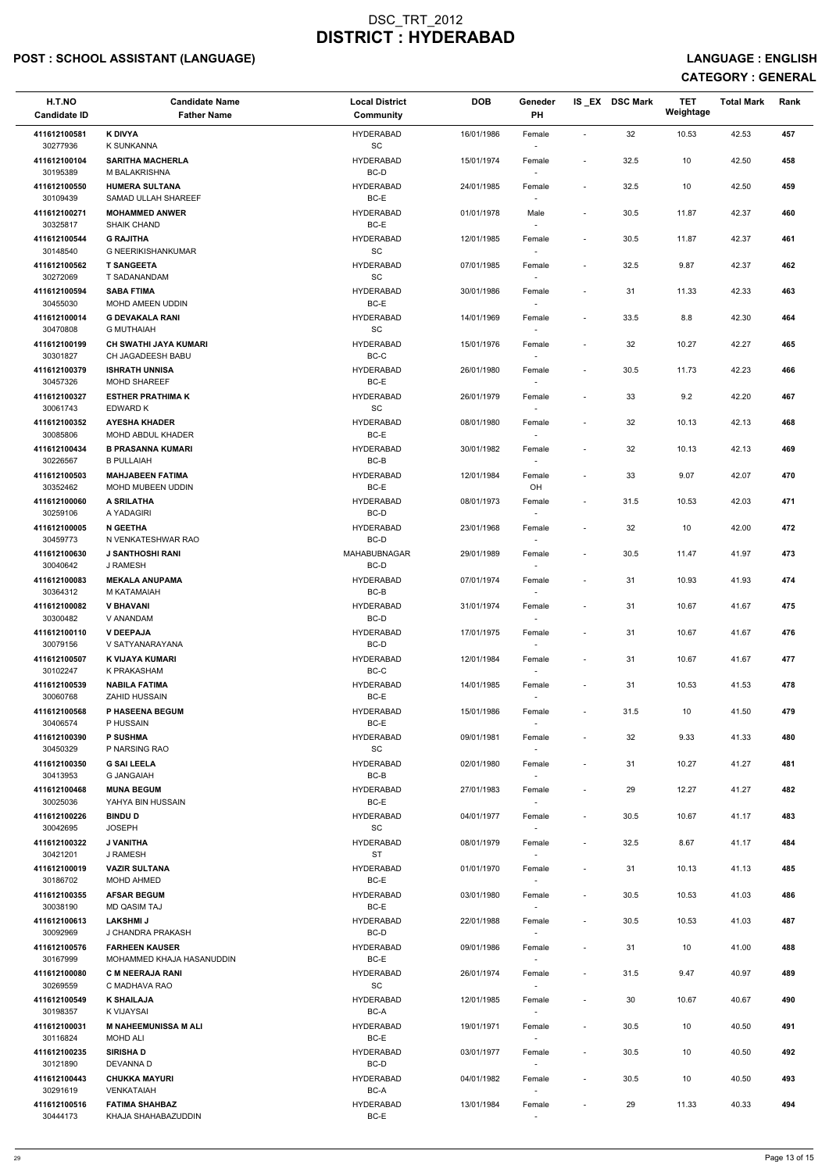# POST : SCHOOL ASSISTANT (LANGUAGE) And the state of the state of the state of the state of the state of the state of the state of the state of the state of the state of the state of the state of the state of the state of t

| H.T.NO<br><b>Candidate ID</b> | <b>Candidate Name</b><br><b>Father Name</b>        | <b>Local District</b><br>Community | <b>DOB</b> | Geneder<br>PH                      |                          | IS_EX DSC Mark | <b>TET</b><br>Weightage | <b>Total Mark</b> | Rank |
|-------------------------------|----------------------------------------------------|------------------------------------|------------|------------------------------------|--------------------------|----------------|-------------------------|-------------------|------|
| 411612100581<br>30277936      | <b>K DIVYA</b><br>K SUNKANNA                       | <b>HYDERABAD</b>                   | 16/01/1986 | Female                             | $\sim$                   | 32             | 10.53                   | 42.53             | 457  |
| 411612100104                  | <b>SARITHA MACHERLA</b>                            | SC<br><b>HYDERABAD</b>             | 15/01/1974 | $\sim$<br>Female                   | $\sim$                   | 32.5           | 10                      | 42.50             | 458  |
| 30195389<br>411612100550      | M BALAKRISHNA<br><b>HUMERA SULTANA</b>             | BC-D<br><b>HYDERABAD</b>           | 24/01/1985 | Female                             | $\overline{\phantom{a}}$ | 32.5           | 10                      | 42.50             | 459  |
| 30109439<br>411612100271      | SAMAD ULLAH SHAREEF<br><b>MOHAMMED ANWER</b>       | BC-E<br><b>HYDERABAD</b>           | 01/01/1978 | Male                               | $\overline{\phantom{a}}$ | 30.5           | 11.87                   | 42.37             | 460  |
| 30325817                      | <b>SHAIK CHAND</b>                                 | BC-E                               |            | $\sim$                             |                          |                |                         |                   |      |
| 411612100544<br>30148540      | <b>G RAJITHA</b><br><b>G NEERIKISHANKUMAR</b>      | <b>HYDERABAD</b><br>SC             | 12/01/1985 | Female<br>$\sim$                   | $\overline{\phantom{a}}$ | 30.5           | 11.87                   | 42.37             | 461  |
| 411612100562<br>30272069      | <b>T SANGEETA</b><br>T SADANANDAM                  | <b>HYDERABAD</b><br>SC             | 07/01/1985 | Female<br>$\sim$                   | $\overline{\phantom{a}}$ | 32.5           | 9.87                    | 42.37             | 462  |
| 411612100594<br>30455030      | <b>SABA FTIMA</b><br>MOHD AMEEN UDDIN              | <b>HYDERABAD</b><br>BC-E           | 30/01/1986 | Female                             | $\overline{\phantom{a}}$ | 31             | 11.33                   | 42.33             | 463  |
| 411612100014<br>30470808      | <b>G DEVAKALA RANI</b><br><b>G MUTHAIAH</b>        | <b>HYDERABAD</b><br><b>SC</b>      | 14/01/1969 | Female<br>$\sim$                   | $\overline{\phantom{a}}$ | 33.5           | 8.8                     | 42.30             | 464  |
| 411612100199                  | <b>CH SWATHI JAYA KUMARI</b>                       | <b>HYDERABAD</b>                   | 15/01/1976 | Female                             | $\sim$                   | 32             | 10.27                   | 42.27             | 465  |
| 30301827<br>411612100379      | CH JAGADEESH BABU<br><b>ISHRATH UNNISA</b>         | BC-C<br><b>HYDERABAD</b>           | 26/01/1980 | $\sim$<br>Female                   | $\overline{\phantom{a}}$ | 30.5           | 11.73                   | 42.23             | 466  |
| 30457326                      | <b>MOHD SHAREEF</b>                                | BC-E                               |            | $\sim$                             |                          |                |                         |                   |      |
| 411612100327<br>30061743      | <b>ESTHER PRATHIMA K</b><br>EDWARD K               | <b>HYDERABAD</b><br><b>SC</b>      | 26/01/1979 | Female                             | $\sim$                   | 33             | 9.2                     | 42.20             | 467  |
| 411612100352<br>30085806      | <b>AYESHA KHADER</b><br>MOHD ABDUL KHADER          | <b>HYDERABAD</b><br>BC-E           | 08/01/1980 | Female<br>$\sim$                   | $\overline{\phantom{a}}$ | 32             | 10.13                   | 42.13             | 468  |
| 411612100434<br>30226567      | <b>B PRASANNA KUMARI</b><br><b>B PULLAIAH</b>      | <b>HYDERABAD</b><br>BC-B           | 30/01/1982 | Female<br>$\sim$                   | $\sim$                   | 32             | 10.13                   | 42.13             | 469  |
| 411612100503<br>30352462      | <b>MAHJABEEN FATIMA</b><br>MOHD MUBEEN UDDIN       | <b>HYDERABAD</b><br>BC-E           | 12/01/1984 | Female<br>OH                       | $\overline{\phantom{a}}$ | 33             | 9.07                    | 42.07             | 470  |
| 411612100060                  | A SRILATHA                                         | <b>HYDERABAD</b>                   | 08/01/1973 | Female                             | $\overline{\phantom{a}}$ | 31.5           | 10.53                   | 42.03             | 471  |
| 30259106<br>411612100005      | A YADAGIRI<br><b>N GEETHA</b>                      | BC-D<br><b>HYDERABAD</b>           | 23/01/1968 | $\sim$<br>Female                   | $\overline{\phantom{a}}$ | 32             | 10                      | 42.00             | 472  |
| 30459773<br>411612100630      | N VENKATESHWAR RAO<br><b>J SANTHOSHI RANI</b>      | BC-D<br>MAHABUBNAGAR               | 29/01/1989 | $\overline{\phantom{a}}$<br>Female | $\sim$                   | 30.5           | 11.47                   | 41.97             | 473  |
| 30040642<br>411612100083      | J RAMESH<br><b>MEKALA ANUPAMA</b>                  | BC-D<br><b>HYDERABAD</b>           | 07/01/1974 | $\sim$<br>Female                   |                          | 31             | 10.93                   | 41.93             | 474  |
| 30364312                      | M KATAMAIAH                                        | BC-B                               |            |                                    |                          |                |                         |                   |      |
| 411612100082<br>30300482      | <b>V BHAVANI</b><br>V ANANDAM                      | <b>HYDERABAD</b><br>BC-D           | 31/01/1974 | Female                             | $\overline{\phantom{a}}$ | 31             | 10.67                   | 41.67             | 475  |
| 411612100110<br>30079156      | <b>V DEEPAJA</b><br>V SATYANARAYANA                | <b>HYDERABAD</b><br>BC-D           | 17/01/1975 | Female<br>$\sim$                   | $\sim$                   | 31             | 10.67                   | 41.67             | 476  |
| 411612100507<br>30102247      | <b>K VIJAYA KUMARI</b><br>K PRAKASHAM              | <b>HYDERABAD</b><br>BC-C           | 12/01/1984 | Female<br>$\sim$                   | $\overline{\phantom{a}}$ | 31             | 10.67                   | 41.67             | 477  |
| 411612100539                  | <b>NABILA FATIMA</b>                               | <b>HYDERABAD</b>                   | 14/01/1985 | Female                             | $\sim$                   | 31             | 10.53                   | 41.53             | 478  |
| 30060768<br>411612100568      | <b>ZAHID HUSSAIN</b><br>P HASEENA BEGUM            | BC-E<br><b>HYDERABAD</b>           | 15/01/1986 | $\sim$<br>Female                   | $\overline{\phantom{a}}$ | 31.5           | 10                      | 41.50             | 479  |
| 30406574<br>411612100390      | P HUSSAIN<br><b>P SUSHMA</b>                       | BC-E<br><b>HYDERABAD</b>           | 09/01/1981 | Female                             | $\sim$                   | 32             | 9.33                    | 41.33             | 480  |
| 30450329                      | P NARSING RAO                                      | <b>SC</b>                          |            | $\sim$                             |                          |                |                         |                   |      |
| 411612100350<br>30413953      | <b>G SAI LEELA</b><br><b>G JANGAIAH</b>            | <b>HYDERABAD</b><br>BC-B           | 02/01/1980 | Female<br>$\sim$                   | $\overline{\phantom{a}}$ | 31             | 10.27                   | 41.27             | 481  |
| 411612100468<br>30025036      | <b>MUNA BEGUM</b><br>YAHYA BIN HUSSAIN             | <b>HYDERABAD</b><br>BC-E           | 27/01/1983 | Female<br>$\sim$                   | $\overline{\phantom{a}}$ | 29             | 12.27                   | 41.27             | 482  |
| 411612100226<br>30042695      | <b>BINDU D</b><br><b>JOSEPH</b>                    | <b>HYDERABAD</b><br>SC             | 04/01/1977 | Female                             | $\sim$                   | 30.5           | 10.67                   | 41.17             | 483  |
| 411612100322<br>30421201      | J VANITHA<br>J RAMESH                              | <b>HYDERABAD</b><br>ST             | 08/01/1979 | Female<br>$\sim$                   | $\overline{\phantom{a}}$ | 32.5           | 8.67                    | 41.17             | 484  |
| 411612100019                  | <b>VAZIR SULTANA</b>                               | <b>HYDERABAD</b>                   | 01/01/1970 | Female                             | $\sim$                   | 31             | 10.13                   | 41.13             | 485  |
| 30186702<br>411612100355      | MOHD AHMED<br><b>AFSAR BEGUM</b>                   | BC-E<br><b>HYDERABAD</b>           | 03/01/1980 | $-$<br>Female                      | $\overline{\phantom{a}}$ | 30.5           | 10.53                   | 41.03             | 486  |
| 30038190                      | <b>MD QASIM TAJ</b>                                | BC-E                               |            | $\sim$                             |                          |                |                         |                   |      |
| 411612100613<br>30092969      | <b>LAKSHMIJ</b><br>J CHANDRA PRAKASH               | <b>HYDERABAD</b><br>BC-D           | 22/01/1988 | Female<br>$\sim$                   | $\sim$                   | 30.5           | 10.53                   | 41.03             | 487  |
| 411612100576<br>30167999      | <b>FARHEEN KAUSER</b><br>MOHAMMED KHAJA HASANUDDIN | <b>HYDERABAD</b><br>BC-E           | 09/01/1986 | Female                             | $\overline{\phantom{a}}$ | 31             | 10                      | 41.00             | 488  |
| 411612100080                  | <b>C M NEERAJA RANI</b>                            | <b>HYDERABAD</b>                   | 26/01/1974 | Female                             | $\sim$                   | 31.5           | 9.47                    | 40.97             | 489  |
| 30269559<br>411612100549      | C MADHAVA RAO<br><b>K SHAILAJA</b>                 | SC<br><b>HYDERABAD</b>             | 12/01/1985 | $\sim$<br>Female                   |                          | 30             | 10.67                   | 40.67             | 490  |
| 30198357<br>411612100031      | K VIJAYSAI<br><b>M NAHEEMUNISSA M ALI</b>          | BC-A<br><b>HYDERABAD</b>           | 19/01/1971 | Female                             | $\sim$                   | 30.5           | 10                      | 40.50             | 491  |
| 30116824<br>411612100235      | <b>MOHD ALI</b><br><b>SIRISHAD</b>                 | BC-E<br><b>HYDERABAD</b>           | 03/01/1977 | $\sim$<br>Female                   | $\overline{\phantom{a}}$ | 30.5           | 10                      | 40.50             | 492  |
| 30121890                      | DEVANNA D                                          | BC-D                               |            | $\sim$                             |                          |                |                         |                   |      |
| 411612100443<br>30291619      | <b>CHUKKA MAYURI</b><br><b>VENKATAIAH</b>          | <b>HYDERABAD</b><br>BC-A           | 04/01/1982 | Female<br>$\sim$                   | $\sim$                   | 30.5           | 10                      | 40.50             | 493  |
| 411612100516<br>30444173      | <b>FATIMA SHAHBAZ</b><br>KHAJA SHAHABAZUDDIN       | <b>HYDERABAD</b><br>BC-E           | 13/01/1984 | Female<br>$\sim$                   | $\overline{\phantom{a}}$ | 29             | 11.33                   | 40.33             | 494  |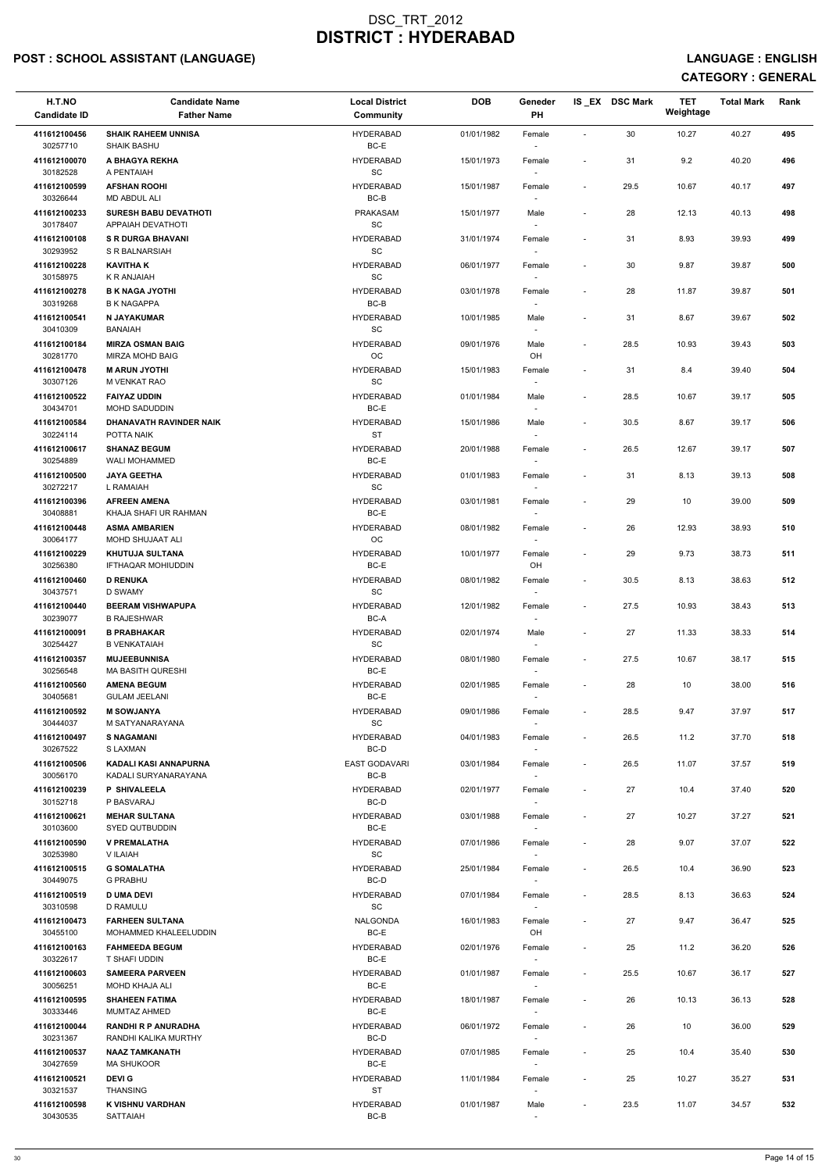# POST : SCHOOL ASSISTANT (LANGUAGE) AND ENGLISH CONTROLLING ON THE SERVICE OF THE SERVICE OF THE SERVICE : ENGLISH

| H.T.NO<br><b>Candidate ID</b> | <b>Candidate Name</b><br><b>Father Name</b>         | <b>Local District</b><br><b>Community</b> | <b>DOB</b> | Geneder<br>PH                      |                          | IS_EX DSC Mark | <b>TET</b><br>Weightage | <b>Total Mark</b> | Rank |  |
|-------------------------------|-----------------------------------------------------|-------------------------------------------|------------|------------------------------------|--------------------------|----------------|-------------------------|-------------------|------|--|
| 411612100456<br>30257710      | <b>SHAIK RAHEEM UNNISA</b><br><b>SHAIK BASHU</b>    | <b>HYDERABAD</b><br>BC-E                  | 01/01/1982 | Female<br>$\sim$                   | $\sim$                   | 30             | 10.27                   | 40.27             | 495  |  |
| 411612100070                  | A BHAGYA REKHA                                      | <b>HYDERABAD</b>                          | 15/01/1973 | Female                             | $\overline{\phantom{a}}$ | 31             | 9.2                     | 40.20             | 496  |  |
| 30182528<br>411612100599      | A PENTAIAH<br><b>AFSHAN ROOHI</b>                   | <b>SC</b><br><b>HYDERABAD</b>             | 15/01/1987 | Female                             | $\overline{\phantom{a}}$ | 29.5           | 10.67                   | 40.17             | 497  |  |
| 30326644<br>411612100233      | <b>MD ABDUL ALI</b><br><b>SURESH BABU DEVATHOTI</b> | BC-B<br><b>PRAKASAM</b>                   | 15/01/1977 | Male                               | $\overline{\phantom{a}}$ | 28             | 12.13                   | 40.13             | 498  |  |
| 30178407<br>411612100108      | APPAIAH DEVATHOTI<br><b>S R DURGA BHAVANI</b>       | SC<br><b>HYDERABAD</b>                    | 31/01/1974 | $\sim$<br>Female                   | $\overline{\phantom{a}}$ | 31             | 8.93                    | 39.93             | 499  |  |
| 30293952<br>411612100228      | S R BALNARSIAH<br><b>KAVITHAK</b>                   | SC<br><b>HYDERABAD</b>                    | 06/01/1977 | $\sim$<br>Female                   | $\sim$                   | 30             | 9.87                    | 39.87             | 500  |  |
| 30158975<br>411612100278      | K R ANJAIAH<br><b>B K NAGA JYOTHI</b>               | SC<br><b>HYDERABAD</b>                    | 03/01/1978 | $\sim$<br>Female                   | $\overline{\phantom{a}}$ | 28             | 11.87                   | 39.87             | 501  |  |
| 30319268<br>411612100541      | <b>B K NAGAPPA</b><br>N JAYAKUMAR                   | BC-B<br><b>HYDERABAD</b>                  | 10/01/1985 | Male                               | $\overline{\phantom{a}}$ | 31             | 8.67                    | 39.67             | 502  |  |
| 30410309<br>411612100184      | <b>BANAIAH</b><br><b>MIRZA OSMAN BAIG</b>           | SC<br><b>HYDERABAD</b>                    | 09/01/1976 | $\sim$<br>Male                     | $\overline{\phantom{a}}$ | 28.5           | 10.93                   | 39.43             | 503  |  |
| 30281770<br>411612100478      | <b>MIRZA MOHD BAIG</b><br><b>M ARUN JYOTHI</b>      | OC<br><b>HYDERABAD</b>                    | 15/01/1983 | OH                                 | $\overline{\phantom{a}}$ | 31             | 8.4                     | 39.40             | 504  |  |
| 30307126                      | M VENKAT RAO                                        | <b>SC</b>                                 |            | Female<br>$\sim$                   |                          |                |                         |                   |      |  |
| 411612100522<br>30434701      | <b>FAIYAZ UDDIN</b><br>MOHD SADUDDIN                | <b>HYDERABAD</b><br>BC-E                  | 01/01/1984 | Male                               | $\sim$                   | 28.5           | 10.67                   | 39.17             | 505  |  |
| 411612100584<br>30224114      | DHANAVATH RAVINDER NAIK<br>POTTA NAIK               | <b>HYDERABAD</b><br><b>ST</b>             | 15/01/1986 | Male<br>$\sim$                     | $\overline{\phantom{a}}$ | 30.5           | 8.67                    | 39.17             | 506  |  |
| 411612100617<br>30254889      | <b>SHANAZ BEGUM</b><br>WALI MOHAMMED                | <b>HYDERABAD</b><br>BC-E                  | 20/01/1988 | Female<br>$\sim$                   | $\overline{\phantom{a}}$ | 26.5           | 12.67                   | 39.17             | 507  |  |
| 411612100500<br>30272217      | <b>JAYA GEETHA</b><br>L RAMAIAH                     | <b>HYDERABAD</b><br><b>SC</b>             | 01/01/1983 | Female<br>$\sim$                   | $\overline{\phantom{a}}$ | 31             | 8.13                    | 39.13             | 508  |  |
| 411612100396<br>30408881      | <b>AFREEN AMENA</b><br>KHAJA SHAFI UR RAHMAN        | <b>HYDERABAD</b><br>BC-E                  | 03/01/1981 | Female<br>$\overline{\phantom{a}}$ | $\sim$                   | 29             | 10                      | 39.00             | 509  |  |
| 411612100448<br>30064177      | <b>ASMA AMBARIEN</b><br>MOHD SHUJAAT ALI            | <b>HYDERABAD</b><br>OC.                   | 08/01/1982 | Female<br>$\sim$                   |                          | 26             | 12.93                   | 38.93             | 510  |  |
| 411612100229<br>30256380      | <b>KHUTUJA SULTANA</b><br>IFTHAQAR MOHIUDDIN        | <b>HYDERABAD</b><br>BC-E                  | 10/01/1977 | Female<br>OH                       |                          | 29             | 9.73                    | 38.73             | 511  |  |
| 411612100460<br>30437571      | <b>D RENUKA</b><br>D SWAMY                          | <b>HYDERABAD</b><br>SC                    | 08/01/1982 | Female                             | $\overline{\phantom{a}}$ | 30.5           | 8.13                    | 38.63             | 512  |  |
| 411612100440                  | <b>BEERAM VISHWAPUPA</b>                            | <b>HYDERABAD</b>                          | 12/01/1982 | Female                             | $\sim$                   | 27.5           | 10.93                   | 38.43             | 513  |  |
| 30239077<br>411612100091      | <b>B RAJESHWAR</b><br><b>B PRABHAKAR</b>            | BC-A<br><b>HYDERABAD</b>                  | 02/01/1974 | Male                               | $\sim$                   | 27             | 11.33                   | 38.33             | 514  |  |
| 30254427<br>411612100357      | <b>B VENKATAIAH</b><br><b>MUJEEBUNNISA</b>          | SC<br><b>HYDERABAD</b>                    | 08/01/1980 | $\sim$<br>Female                   | $\overline{\phantom{a}}$ | 27.5           | 10.67                   | 38.17             | 515  |  |
| 30256548<br>411612100560      | <b>MA BASITH QURESHI</b><br><b>AMENA BEGUM</b>      | BC-E<br><b>HYDERABAD</b>                  | 02/01/1985 | $\sim$<br>Female                   | $\sim$                   | 28             | 10                      | 38.00             | 516  |  |
| 30405681<br>411612100592      | <b>GULAM JEELANI</b><br><b>M SOWJANYA</b>           | BC-E<br><b>HYDERABAD</b>                  | 09/01/1986 | $\sim$<br>Female                   | $\overline{\phantom{a}}$ | 28.5           | 9.47                    | 37.97             | 517  |  |
| 30444037<br>411612100497      | M SATYANARAYANA<br><b>S NAGAMANI</b>                | SC<br><b>HYDERABAD</b>                    | 04/01/1983 | Female                             | $\sim$                   | 26.5           | 11.2                    | 37.70             | 518  |  |
| 30267522<br>411612100506      | S LAXMAN<br>KADALI KASI ANNAPURNA                   | BC-D<br><b>EAST GODAVARI</b>              | 03/01/1984 | $\sim$<br>Female                   | $\overline{\phantom{a}}$ | 26.5           | 11.07                   | 37.57             | 519  |  |
| 30056170<br>411612100239      | KADALI SURYANARAYANA<br><b>P SHIVALEELA</b>         | BC-B<br><b>HYDERABAD</b>                  | 02/01/1977 | $\sim$<br>Female                   | $\overline{\phantom{a}}$ | 27             | 10.4                    | 37.40             | 520  |  |
| 30152718<br>411612100621      | P BASVARAJ<br><b>MEHAR SULTANA</b>                  | BC-D<br><b>HYDERABAD</b>                  | 03/01/1988 | $\sim$<br>Female                   | $\overline{\phantom{a}}$ | 27             | 10.27                   | 37.27             | 521  |  |
| 30103600<br>411612100590      | SYED QUTBUDDIN<br><b>V PREMALATHA</b>               | BC-E<br><b>HYDERABAD</b>                  | 07/01/1986 | Female                             | $\overline{\phantom{a}}$ | 28             | 9.07                    | 37.07             | 522  |  |
| 30253980                      | V ILAIAH                                            | <b>SC</b>                                 |            | $\sim$                             |                          |                |                         |                   |      |  |
| 411612100515<br>30449075      | <b>G SOMALATHA</b><br><b>G PRABHU</b>               | <b>HYDERABAD</b><br>BC-D                  | 25/01/1984 | Female<br>$\sim$                   | $\overline{\phantom{a}}$ | 26.5           | 10.4                    | 36.90             | 523  |  |
| 411612100519<br>30310598      | <b>D UMA DEVI</b><br>D RAMULU                       | <b>HYDERABAD</b><br><b>SC</b>             | 07/01/1984 | Female<br>$\sim$                   | $\overline{\phantom{a}}$ | 28.5           | 8.13                    | 36.63             | 524  |  |
| 411612100473<br>30455100      | <b>FARHEEN SULTANA</b><br>MOHAMMED KHALEELUDDIN     | <b>NALGONDA</b><br>BC-E                   | 16/01/1983 | Female<br>OH                       | $\sim$                   | 27             | 9.47                    | 36.47             | 525  |  |
| 411612100163<br>30322617      | <b>FAHMEEDA BEGUM</b><br>T SHAFI UDDIN              | <b>HYDERABAD</b><br>BC-E                  | 02/01/1976 | Female                             | $\overline{\phantom{a}}$ | 25             | 11.2                    | 36.20             | 526  |  |
| 411612100603<br>30056251      | <b>SAMEERA PARVEEN</b><br>MOHD KHAJA ALI            | <b>HYDERABAD</b><br>BC-E                  | 01/01/1987 | Female<br>$\sim$                   | $\sim$                   | 25.5           | 10.67                   | 36.17             | 527  |  |
| 411612100595<br>30333446      | <b>SHAHEEN FATIMA</b><br>MUMTAZ AHMED               | <b>HYDERABAD</b><br>BC-E                  | 18/01/1987 | Female                             |                          | 26             | 10.13                   | 36.13             | 528  |  |
| 411612100044<br>30231367      | <b>RANDHI R P ANURADHA</b><br>RANDHI KALIKA MURTHY  | <b>HYDERABAD</b><br>BC-D                  | 06/01/1972 | Female<br>$\sim$                   | $\sim$                   | 26             | 10                      | 36.00             | 529  |  |
| 411612100537<br>30427659      | <b>NAAZ TAMKANATH</b><br><b>MA SHUKOOR</b>          | <b>HYDERABAD</b><br>BC-E                  | 07/01/1985 | Female<br>$\sim$                   | $\overline{\phantom{a}}$ | 25             | 10.4                    | 35.40             | 530  |  |
| 411612100521                  | <b>DEVIG</b>                                        | <b>HYDERABAD</b>                          | 11/01/1984 | Female                             | $\sim$                   | 25             | 10.27                   | 35.27             | 531  |  |
| 30321537<br>411612100598      | THANSING<br>K VISHNU VARDHAN                        | <b>ST</b><br><b>HYDERABAD</b>             | 01/01/1987 | $\sim$<br>Male                     | $\sim$                   | 23.5           | 11.07                   | 34.57             | 532  |  |
| 30430535                      | SATTAIAH                                            | BC-B                                      |            | $\sim$                             |                          |                |                         |                   |      |  |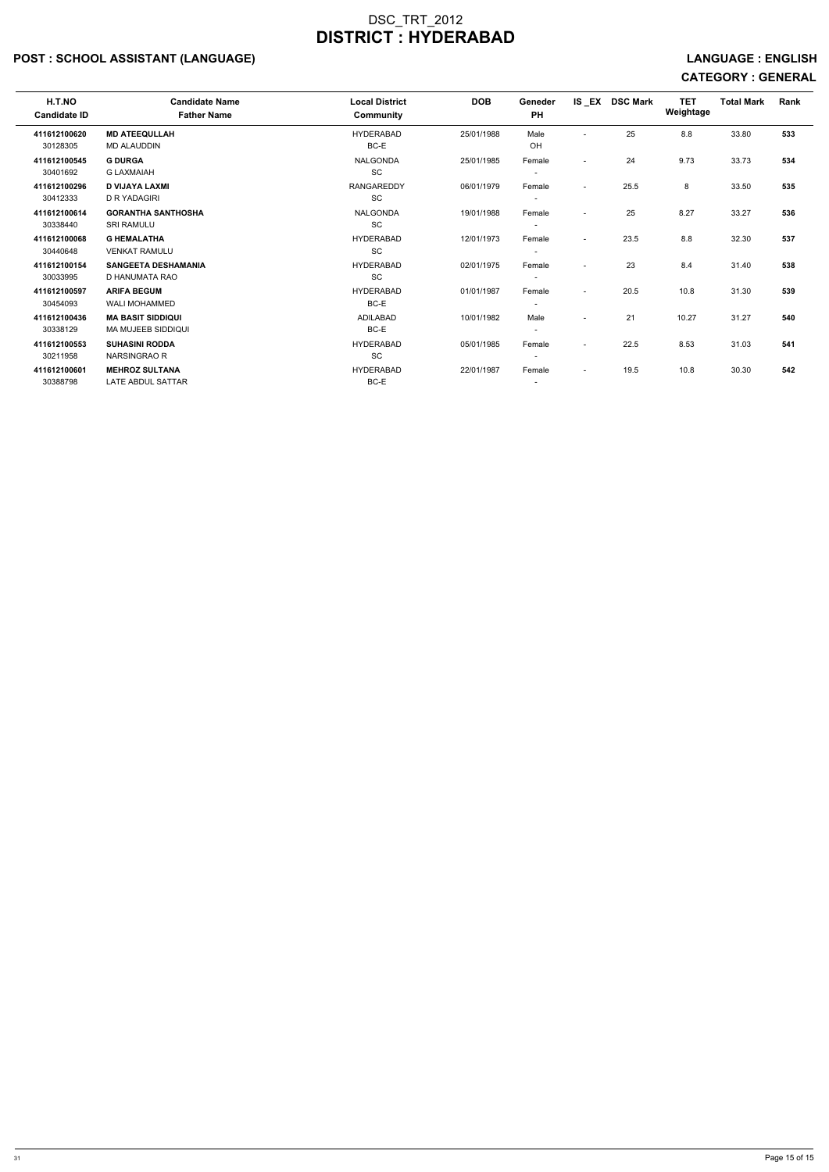# POST : SCHOOL ASSISTANT (LANGUAGE) And the state of the state of the state of the state of the state of the state of the state of the state of the state of the state of the state of the state of the state of the state of t

| H.T.NO<br><b>Candidate ID</b> | <b>Candidate Name</b><br><b>Father Name</b> | <b>Local District</b><br><b>Community</b> | <b>DOB</b> | Geneder<br><b>PH</b>     | IS EX                    | <b>DSC Mark</b> | <b>TET</b><br>Weightage | <b>Total Mark</b> | <b>Rank</b> |
|-------------------------------|---------------------------------------------|-------------------------------------------|------------|--------------------------|--------------------------|-----------------|-------------------------|-------------------|-------------|
| 411612100620                  | <b>MD ATEEQULLAH</b>                        | <b>HYDERABAD</b>                          | 25/01/1988 | Male                     | $\overline{\phantom{a}}$ | 25              | 8.8                     | 33.80             | 533         |
| 30128305                      | <b>MD ALAUDDIN</b>                          | BC-E                                      |            | OH.                      |                          |                 |                         |                   |             |
| 411612100545                  | <b>G DURGA</b>                              | <b>NALGONDA</b>                           | 25/01/1985 | Female                   | $\overline{\phantom{a}}$ | 24              | 9.73                    | 33.73             | 534         |
| 30401692                      | <b>G LAXMAIAH</b>                           | <b>SC</b>                                 |            | $\overline{\phantom{a}}$ |                          |                 |                         |                   |             |
| 411612100296                  | <b>D VIJAYA LAXMI</b>                       | <b>RANGAREDDY</b>                         | 06/01/1979 | Female                   | $\overline{\phantom{a}}$ | 25.5            | 8                       | 33.50             | 535         |
| 30412333                      | <b>D R YADAGIRI</b>                         | <b>SC</b>                                 |            | $\overline{\phantom{a}}$ |                          |                 |                         |                   |             |
| 411612100614                  | <b>GORANTHA SANTHOSHA</b>                   | <b>NALGONDA</b>                           | 19/01/1988 | Female                   |                          | 25              | 8.27                    | 33.27             | 536         |
| 30338440                      | <b>SRI RAMULU</b>                           | <b>SC</b>                                 |            | $\overline{\phantom{a}}$ |                          |                 |                         |                   |             |
| 411612100068                  | <b>G HEMALATHA</b>                          | <b>HYDERABAD</b>                          | 12/01/1973 | Female                   | $\blacksquare$           | 23.5            | 8.8                     | 32.30             | 537         |
| 30440648                      | <b>VENKAT RAMULU</b>                        | <b>SC</b>                                 |            |                          |                          |                 |                         |                   |             |
| 411612100154                  | <b>SANGEETA DESHAMANIA</b>                  | <b>HYDERABAD</b>                          | 02/01/1975 | Female                   |                          | 23              | 8.4                     | 31.40             | 538         |
| 30033995                      | D HANUMATA RAO                              | <b>SC</b>                                 |            | $\overline{\phantom{a}}$ |                          |                 |                         |                   |             |
| 411612100597                  | <b>ARIFA BEGUM</b>                          | <b>HYDERABAD</b>                          | 01/01/1987 | Female                   | $\overline{\phantom{a}}$ | 20.5            | 10.8                    | 31.30             | 539         |
| 30454093                      | <b>WALI MOHAMMED</b>                        | BC-E                                      |            | $\overline{\phantom{a}}$ |                          |                 |                         |                   |             |
| 411612100436                  | <b>MA BASIT SIDDIQUI</b>                    | ADILABAD                                  | 10/01/1982 | Male                     | $\overline{\phantom{a}}$ | 21              | 10.27                   | 31.27             | 540         |
| 30338129                      | <b>MA MUJEEB SIDDIQUI</b>                   | BC-E                                      |            | $\overline{\phantom{a}}$ |                          |                 |                         |                   |             |
| 411612100553                  | <b>SUHASINI RODDA</b>                       | <b>HYDERABAD</b>                          | 05/01/1985 | Female                   | $\blacksquare$           | 22.5            | 8.53                    | 31.03             | 541         |
| 30211958                      | NARSINGRAO R                                | <b>SC</b>                                 |            |                          |                          |                 |                         |                   |             |
| 411612100601                  | <b>MEHROZ SULTANA</b>                       | <b>HYDERABAD</b>                          | 22/01/1987 | Female                   | $\overline{\phantom{a}}$ | 19.5            | 10.8                    | 30.30             | 542         |
| 30388798                      | LATE ABDUL SATTAR                           | BC-E                                      |            | $\overline{\phantom{a}}$ |                          |                 |                         |                   |             |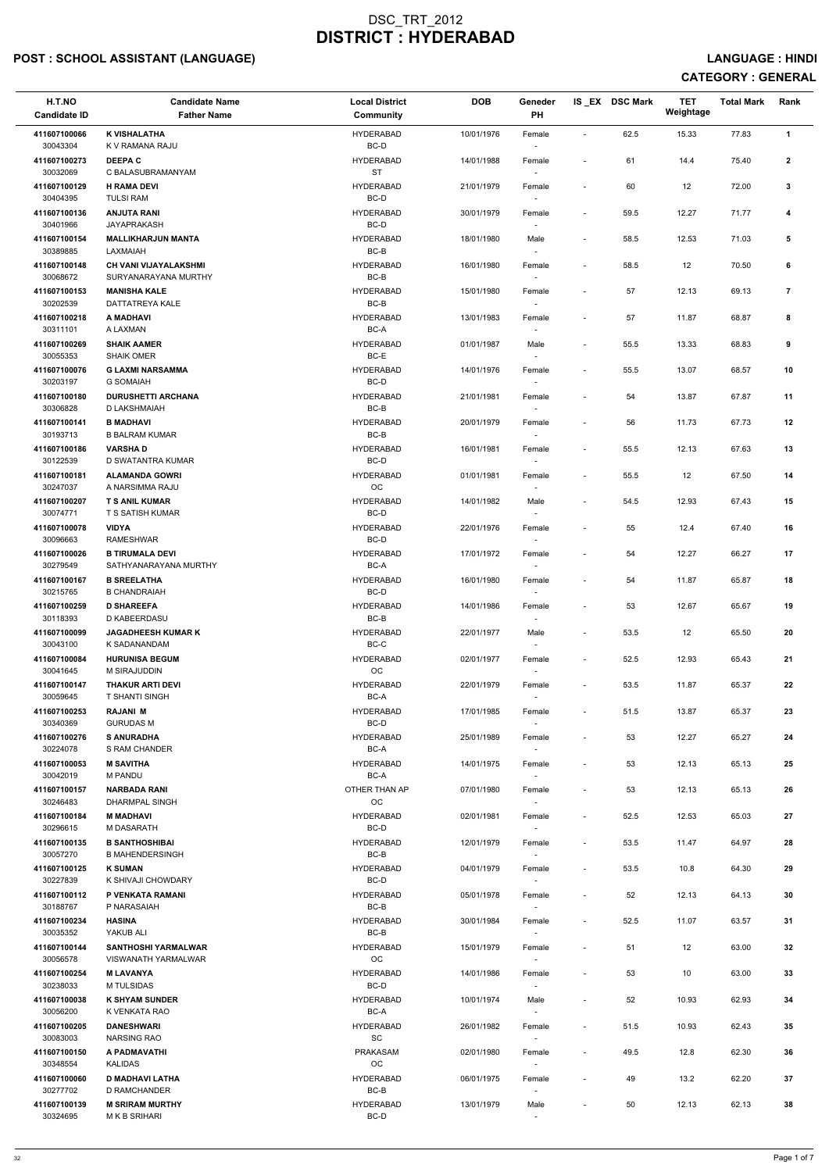# POST : SCHOOL ASSISTANT (LANGUAGE) And the set of the set of the set of the set of the set of the set of the set of the set of the set of the set of the set of the set of the set of the set of the set of the set of the set

| H.T.NO<br><b>Candidate ID</b> | <b>Candidate Name</b><br><b>Father Name</b>     | <b>Local District</b><br><b>Community</b> | <b>DOB</b> | Geneder<br>PH                      |                          | IS_EX DSC Mark | <b>TET</b><br>Weightage | <b>Total Mark</b> | Rank           |
|-------------------------------|-------------------------------------------------|-------------------------------------------|------------|------------------------------------|--------------------------|----------------|-------------------------|-------------------|----------------|
| 411607100066<br>30043304      | <b>K VISHALATHA</b><br>K V RAMANA RAJU          | <b>HYDERABAD</b><br>BC-D                  | 10/01/1976 | Female                             | $\overline{\phantom{a}}$ | 62.5           | 15.33                   | 77.83             | $\mathbf{1}$   |
| 411607100273<br>30032069      | <b>DEEPAC</b><br>C BALASUBRAMANYAM              | <b>HYDERABAD</b><br><b>ST</b>             | 14/01/1988 | Female                             | $\blacksquare$           | 61             | 14.4                    | 75.40             | $\mathbf{2}$   |
| 411607100129                  | <b>H RAMA DEVI</b>                              | <b>HYDERABAD</b>                          | 21/01/1979 | Female                             | $\sim$                   | 60             | 12                      | 72.00             | 3              |
| 30404395<br>411607100136      | <b>TULSI RAM</b><br><b>ANJUTA RANI</b>          | BC-D<br><b>HYDERABAD</b>                  | 30/01/1979 | Female                             | $\sim$                   | 59.5           | 12.27                   | 71.77             | 4              |
| 30401966                      | JAYAPRAKASH                                     | BC-D                                      |            |                                    |                          |                |                         |                   |                |
| 411607100154<br>30389885      | <b>MALLIKHARJUN MANTA</b><br>LAXMAIAH           | <b>HYDERABAD</b><br>BC-B                  | 18/01/1980 | Male<br>$\sim$                     | $\overline{\phantom{a}}$ | 58.5           | 12.53                   | 71.03             | 5              |
| 411607100148<br>30068672      | CH VANI VIJAYALAKSHMI<br>SURYANARAYANA MURTHY   | <b>HYDERABAD</b><br>$BC-B$                | 16/01/1980 | Female                             | $\blacksquare$           | 58.5           | 12                      | 70.50             | 6              |
| 411607100153<br>30202539      | <b>MANISHA KALE</b><br>DATTATREYA KALE          | <b>HYDERABAD</b><br>$BC-B$                | 15/01/1980 | Female                             | $\blacksquare$           | 57             | 12.13                   | 69.13             | $\overline{7}$ |
| 411607100218<br>30311101      | A MADHAVI<br>A LAXMAN                           | <b>HYDERABAD</b><br>BC-A                  | 13/01/1983 | Female<br>$\sim$                   |                          | 57             | 11.87                   | 68.87             | 8              |
| 411607100269<br>30055353      | <b>SHAIK AAMER</b><br><b>SHAIK OMER</b>         | <b>HYDERABAD</b><br>BC-E                  | 01/01/1987 | Male<br>$\overline{\phantom{a}}$   | $\sim$                   | 55.5           | 13.33                   | 68.83             | 9              |
| 411607100076<br>30203197      | <b>G LAXMI NARSAMMA</b><br><b>G SOMAIAH</b>     | <b>HYDERABAD</b><br>BC-D                  | 14/01/1976 | Female<br>$\overline{\phantom{a}}$ | $\overline{\phantom{a}}$ | 55.5           | 13.07                   | 68.57             | 10             |
| 411607100180<br>30306828      | <b>DURUSHETTI ARCHANA</b><br>D LAKSHMAIAH       | <b>HYDERABAD</b><br>$BC-B$                | 21/01/1981 | Female                             | $\blacksquare$           | 54             | 13.87                   | 67.87             | 11             |
| 411607100141<br>30193713      | <b>B MADHAVI</b><br><b>B BALRAM KUMAR</b>       | <b>HYDERABAD</b><br>$BC-B$                | 20/01/1979 | Female<br>$\sim$                   | $\overline{\phantom{a}}$ | 56             | 11.73                   | 67.73             | 12             |
| 411607100186                  | <b>VARSHAD</b>                                  | <b>HYDERABAD</b>                          | 16/01/1981 | Female                             | $\overline{\phantom{a}}$ | 55.5           | 12.13                   | 67.63             | 13             |
| 30122539<br>411607100181      | D SWATANTRA KUMAR<br><b>ALAMANDA GOWRI</b>      | BC-D<br><b>HYDERABAD</b>                  | 01/01/1981 | Female                             | $\overline{\phantom{a}}$ | 55.5           | 12                      | 67.50             | 14             |
| 30247037<br>411607100207      | A NARSIMMA RAJU<br><b>T S ANIL KUMAR</b>        | OC<br><b>HYDERABAD</b>                    | 14/01/1982 | Male                               |                          | 54.5           | 12.93                   | 67.43             | 15             |
| 30074771<br>411607100078      | T S SATISH KUMAR<br><b>VIDYA</b>                | BC-D<br><b>HYDERABAD</b>                  | 22/01/1976 | Female                             |                          | 55             | 12.4                    | 67.40             | 16             |
| 30096663<br>411607100026      | <b>RAMESHWAR</b><br><b>B TIRUMALA DEVI</b>      | $BC-D$<br><b>HYDERABAD</b>                | 17/01/1972 | $\overline{\phantom{a}}$<br>Female |                          | 54             | 12.27                   | 66.27             | 17             |
| 30279549                      | SATHYANARAYANA MURTHY                           | BC-A                                      |            |                                    |                          |                |                         |                   |                |
| 411607100167<br>30215765      | <b>B SREELATHA</b><br><b>B CHANDRAIAH</b>       | <b>HYDERABAD</b><br>BC-D                  | 16/01/1980 | Female                             | $\blacksquare$           | 54             | 11.87                   | 65.87             | 18             |
| 411607100259<br>30118393      | <b>D SHAREEFA</b><br>D KABEERDASU               | <b>HYDERABAD</b><br>BC-B                  | 14/01/1986 | Female                             | $\overline{\phantom{a}}$ | 53             | 12.67                   | 65.67             | 19             |
| 411607100099<br>30043100      | <b>JAGADHEESH KUMAR K</b><br>K SADANANDAM       | <b>HYDERABAD</b><br>BC-C                  | 22/01/1977 | Male<br>$\overline{\phantom{a}}$   | $\sim$                   | 53.5           | 12                      | 65.50             | 20             |
| 411607100084<br>30041645      | <b>HURUNISA BEGUM</b><br>M SIRAJUDDIN           | <b>HYDERABAD</b><br>OC                    | 02/01/1977 | Female<br>$\sim$                   | $\sim$                   | 52.5           | 12.93                   | 65.43             | 21             |
| 411607100147<br>30059645      | <b>THAKUR ARTI DEVI</b><br>T SHANTI SINGH       | <b>HYDERABAD</b><br>BC-A                  | 22/01/1979 | Female                             | $\blacksquare$           | 53.5           | 11.87                   | 65.37             | 22             |
| 411607100253                  | <b>RAJANI M</b>                                 | <b>HYDERABAD</b>                          | 17/01/1985 | Female                             | $\blacksquare$           | 51.5           | 13.87                   | 65.37             | 23             |
| 30340369<br>411607100276      | <b>GURUDAS M</b><br><b>S ANURADHA</b>           | BC-D<br><b>HYDERABAD</b>                  | 25/01/1989 | Female                             |                          | 53             | 12.27                   | 65.27             | 24             |
| 30224078<br>411607100053      | S RAM CHANDER<br><b>M SAVITHA</b>               | BC-A<br><b>HYDERABAD</b>                  | 14/01/1975 | $\overline{\phantom{a}}$<br>Female | $\sim$                   | 53             | 12.13                   | 65.13             | 25             |
| 30042019                      | M PANDU                                         | BC-A                                      |            | $\sim$                             |                          |                |                         |                   |                |
| 411607100157<br>30246483      | <b>NARBADA RANI</b><br>DHARMPAL SINGH           | OTHER THAN AP<br>OC                       | 07/01/1980 | Female                             |                          | 53             | 12.13                   | 65.13             | 26             |
| 411607100184<br>30296615      | <b>M MADHAVI</b><br>M DASARATH                  | <b>HYDERABAD</b><br>BC-D                  | 02/01/1981 | Female                             | $\blacksquare$           | 52.5           | 12.53                   | 65.03             | 27             |
| 411607100135<br>30057270      | <b>B SANTHOSHIBAI</b><br><b>B MAHENDERSINGH</b> | <b>HYDERABAD</b><br>BC-B                  | 12/01/1979 | Female<br>$\sim$                   | $\sim$                   | 53.5           | 11.47                   | 64.97             | 28             |
| 411607100125<br>30227839      | <b>K SUMAN</b><br>K SHIVAJI CHOWDARY            | <b>HYDERABAD</b><br>BC-D                  | 04/01/1979 | Female<br>$\sim$                   | $\sim$                   | 53.5           | 10.8                    | 64.30             | 29             |
| 411607100112                  | P VENKATA RAMANI                                | <b>HYDERABAD</b>                          | 05/01/1978 | Female                             | $\overline{\phantom{a}}$ | 52             | 12.13                   | 64.13             | 30             |
| 30188767<br>411607100234      | P NARASAIAH<br><b>HASINA</b>                    | BC-B<br><b>HYDERABAD</b>                  | 30/01/1984 | Female                             | $\overline{\phantom{a}}$ | 52.5           | 11.07                   | 63.57             | 31             |
| 30035352<br>411607100144      | YAKUB ALI<br><b>SANTHOSHI YARMALWAR</b>         | BC-B<br><b>HYDERABAD</b>                  | 15/01/1979 | Female                             | $\overline{\phantom{a}}$ | 51             | 12                      | 63.00             | 32             |
| 30056578                      | <b>VISWANATH YARMALWAR</b>                      | ОC                                        |            |                                    |                          |                |                         |                   |                |
| 411607100254<br>30238033      | <b>M LAVANYA</b><br>M TULSIDAS                  | <b>HYDERABAD</b><br>BC-D                  | 14/01/1986 | Female<br>$\overline{\phantom{a}}$ |                          | 53             | 10                      | 63.00             | 33             |
| 411607100038<br>30056200      | <b>K SHYAM SUNDER</b><br>K VENKATA RAO          | <b>HYDERABAD</b><br>BC-A                  | 10/01/1974 | Male<br>$\sim$                     |                          | 52             | 10.93                   | 62.93             | 34             |
| 411607100205<br>30083003      | <b>DANESHWARI</b><br><b>NARSING RAO</b>         | <b>HYDERABAD</b><br>SC                    | 26/01/1982 | Female<br>$\sim$                   | $\sim$                   | 51.5           | 10.93                   | 62.43             | 35             |
| 411607100150                  | A PADMAVATHI                                    | <b>PRAKASAM</b>                           | 02/01/1980 | Female                             | $\overline{\phantom{a}}$ | 49.5           | 12.8                    | 62.30             | 36             |
| 30348554<br>411607100060      | <b>KALIDAS</b><br><b>D MADHAVI LATHA</b>        | OC<br><b>HYDERABAD</b>                    | 06/01/1975 | $\sim$<br>Female                   | $\overline{\phantom{a}}$ | 49             | 13.2                    | 62.20             | $37\,$         |
| 30277702<br>411607100139      | D RAMCHANDER<br><b>M SRIRAM MURTHY</b>          | BC-B<br><b>HYDERABAD</b>                  | 13/01/1979 | $\sim$<br>Male                     |                          | 50             | 12.13                   | 62.13             | 38             |
| 30324695                      | M K B SRIHARI                                   | $BC-D$                                    |            |                                    |                          |                |                         |                   |                |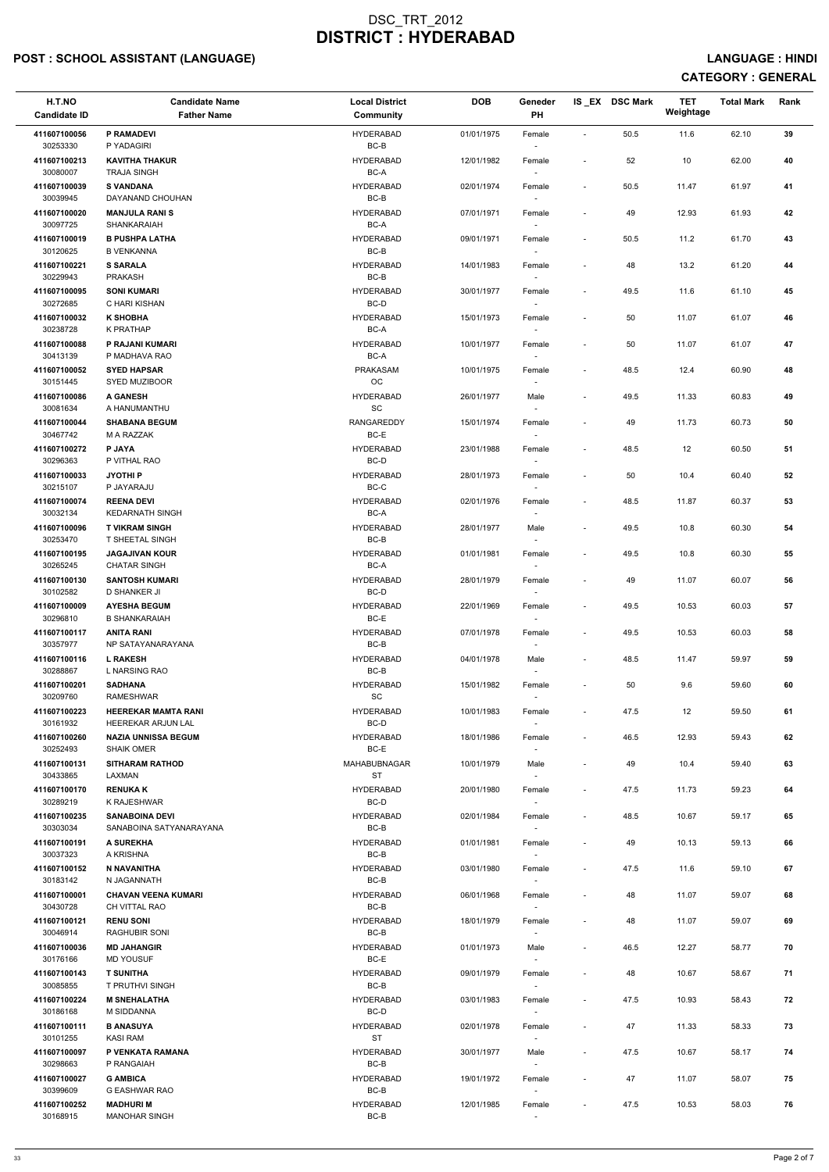# POST : SCHOOL ASSISTANT (LANGUAGE) And the set of the set of the set of the set of the set of the set of the set of the set of the set of the set of the set of the set of the set of the set of the set of the set of the set

| H.T.NO<br><b>Candidate ID</b> | <b>Candidate Name</b><br><b>Father Name</b>      | <b>Local District</b><br><b>Community</b>  | <b>DOB</b> | Geneder<br>PH                      |                          | IS_EX DSC Mark | <b>TET</b><br>Weightage | <b>Total Mark</b> | Rank |
|-------------------------------|--------------------------------------------------|--------------------------------------------|------------|------------------------------------|--------------------------|----------------|-------------------------|-------------------|------|
| 411607100056<br>30253330      | <b>P RAMADEVI</b><br>P YADAGIRI                  | <b>HYDERABAD</b><br>BC-B                   | 01/01/1975 | Female<br>$\overline{\phantom{a}}$ | $\blacksquare$           | 50.5           | 11.6                    | 62.10             | 39   |
| 411607100213<br>30080007      | <b>KAVITHA THAKUR</b><br><b>TRAJA SINGH</b>      | <b>HYDERABAD</b><br>BC-A                   | 12/01/1982 | Female                             | $\overline{\phantom{a}}$ | 52             | 10                      | 62.00             | 40   |
| 411607100039<br>30039945      | <b>S VANDANA</b><br>DAYANAND CHOUHAN             | <b>HYDERABAD</b><br>BC-B                   | 02/01/1974 | Female<br>$\sim$                   | $\overline{\phantom{a}}$ | 50.5           | 11.47                   | 61.97             | 41   |
| 411607100020<br>30097725      | <b>MANJULA RANIS</b><br>SHANKARAIAH              | <b>HYDERABAD</b><br>BC-A                   | 07/01/1971 | Female                             |                          | 49             | 12.93                   | 61.93             | 42   |
| 411607100019                  | <b>B PUSHPA LATHA</b>                            | <b>HYDERABAD</b>                           | 09/01/1971 | Female                             | $\overline{\phantom{a}}$ | $50.5\,$       | 11.2                    | 61.70             | 43   |
| 30120625<br>411607100221      | <b>B VENKANNA</b><br><b>S SARALA</b>             | BC-B<br><b>HYDERABAD</b>                   | 14/01/1983 | $\overline{\phantom{a}}$<br>Female |                          | 48             | 13.2                    | 61.20             | 44   |
| 30229943<br>411607100095      | <b>PRAKASH</b><br><b>SONI KUMARI</b>             | BC-B<br><b>HYDERABAD</b>                   | 30/01/1977 | Female                             | $\overline{\phantom{a}}$ | 49.5           | 11.6                    | 61.10             | 45   |
| 30272685<br>411607100032      | C HARI KISHAN<br><b>K SHOBHA</b>                 | $BC-D$<br><b>HYDERABAD</b>                 | 15/01/1973 | Female                             | $\blacksquare$           | 50             | 11.07                   | 61.07             | 46   |
| 30238728<br>411607100088      | K PRATHAP<br>P RAJANI KUMARI                     | BC-A<br><b>HYDERABAD</b>                   | 10/01/1977 | $\sim$<br>Female                   | $\overline{\phantom{a}}$ | 50             | 11.07                   | 61.07             | 47   |
| 30413139<br>411607100052      | P MADHAVA RAO<br><b>SYED HAPSAR</b>              | BC-A<br>PRAKASAM                           | 10/01/1975 | $\sim$<br>Female                   | $\overline{\phantom{a}}$ | 48.5           | 12.4                    | 60.90             | 48   |
| 30151445<br>411607100086      | SYED MUZIBOOR<br><b>A GANESH</b>                 | OC<br><b>HYDERABAD</b>                     | 26/01/1977 | $\sim$<br>Male                     | $\overline{\phantom{a}}$ | 49.5           | 11.33                   | 60.83             | 49   |
| 30081634<br>411607100044      | A HANUMANTHU<br><b>SHABANA BEGUM</b>             | $\operatorname{\textsf{SC}}$<br>RANGAREDDY | 15/01/1974 | Female                             | $\overline{\phantom{a}}$ | 49             | 11.73                   | 60.73             | 50   |
| 30467742<br>411607100272      | M A RAZZAK<br><b>P JAYA</b>                      | $BC-E$<br><b>HYDERABAD</b>                 | 23/01/1988 | $\sim$<br>Female                   |                          | 48.5           | 12                      | 60.50             | 51   |
| 30296363<br>411607100033      | P VITHAL RAO<br><b>JYOTHIP</b>                   | BC-D<br><b>HYDERABAD</b>                   | 28/01/1973 | $\overline{\phantom{a}}$<br>Female | $\overline{\phantom{a}}$ | 50             | 10.4                    | 60.40             | 52   |
| 30215107                      | P JAYARAJU                                       | BC-C                                       |            | $\overline{\phantom{a}}$           |                          |                |                         |                   |      |
| 411607100074<br>30032134      | <b>REENA DEVI</b><br><b>KEDARNATH SINGH</b>      | <b>HYDERABAD</b><br>BC-A                   | 02/01/1976 | Female                             | $\overline{\phantom{a}}$ | 48.5           | 11.87                   | 60.37             | 53   |
| 411607100096<br>30253470      | <b>T VIKRAM SINGH</b><br>T SHEETAL SINGH         | <b>HYDERABAD</b><br>$BC-B$                 | 28/01/1977 | Male<br>$\overline{\phantom{a}}$   | $\overline{\phantom{a}}$ | 49.5           | 10.8                    | 60.30             | 54   |
| 411607100195<br>30265245      | <b>JAGAJIVAN KOUR</b><br><b>CHATAR SINGH</b>     | <b>HYDERABAD</b><br>BC-A                   | 01/01/1981 | Female<br>$\overline{\phantom{a}}$ | $\blacksquare$           | 49.5           | 10.8                    | 60.30             | 55   |
| 411607100130<br>30102582      | <b>SANTOSH KUMARI</b><br><b>D SHANKER JI</b>     | <b>HYDERABAD</b><br>BC-D                   | 28/01/1979 | Female                             | $\overline{\phantom{a}}$ | 49             | 11.07                   | 60.07             | 56   |
| 411607100009<br>30296810      | <b>AYESHA BEGUM</b><br><b>B SHANKARAIAH</b>      | <b>HYDERABAD</b><br>BC-E                   | 22/01/1969 | Female<br>$\sim$                   | $\overline{\phantom{a}}$ | 49.5           | 10.53                   | 60.03             | 57   |
| 411607100117<br>30357977      | <b>ANITA RANI</b><br>NP SATAYANARAYANA           | <b>HYDERABAD</b><br>BC-B                   | 07/01/1978 | Female<br>$\overline{\phantom{a}}$ | $\overline{\phantom{a}}$ | 49.5           | 10.53                   | 60.03             | 58   |
| 411607100116<br>30288867      | <b>L RAKESH</b><br>L NARSING RAO                 | <b>HYDERABAD</b><br>BC-B                   | 04/01/1978 | Male<br>$\sim$                     | $\overline{\phantom{a}}$ | 48.5           | 11.47                   | 59.97             | 59   |
| 411607100201<br>30209760      | <b>SADHANA</b><br><b>RAMESHWAR</b>               | <b>HYDERABAD</b><br><b>SC</b>              | 15/01/1982 | Female                             | $\overline{\phantom{a}}$ | 50             | 9.6                     | 59.60             | 60   |
| 411607100223<br>30161932      | <b>HEEREKAR MAMTA RANI</b><br>HEEREKAR ARJUN LAL | <b>HYDERABAD</b><br>BC-D                   | 10/01/1983 | Female                             | $\overline{\phantom{a}}$ | 47.5           | 12                      | 59.50             | 61   |
| 411607100260<br>30252493      | <b>NAZIA UNNISSA BEGUM</b><br><b>SHAIK OMER</b>  | <b>HYDERABAD</b><br>BC-E                   | 18/01/1986 | Female<br>$\sim$                   | $\blacksquare$           | 46.5           | 12.93                   | 59.43             | 62   |
| 411607100131<br>30433865      | <b>SITHARAM RATHOD</b><br>LAXMAN                 | MAHABUBNAGAR<br><b>ST</b>                  | 10/01/1979 | Male<br>$\sim$                     | $\overline{\phantom{a}}$ | 49             | 10.4                    | 59.40             | 63   |
| 411607100170<br>30289219      | <b>RENUKAK</b><br>K RAJESHWAR                    | <b>HYDERABAD</b><br>BC-D                   | 20/01/1980 | Female<br>$\sim$                   | $\overline{\phantom{a}}$ | 47.5           | 11.73                   | 59.23             | 64   |
| 411607100235<br>30303034      | <b>SANABOINA DEVI</b><br>SANABOINA SATYANARAYANA | <b>HYDERABAD</b><br>BC-B                   | 02/01/1984 | Female                             | $\overline{\phantom{a}}$ | 48.5           | 10.67                   | 59.17             | 65   |
| 411607100191<br>30037323      | A SUREKHA<br>A KRISHNA                           | <b>HYDERABAD</b><br>BC-B                   | 01/01/1981 | Female<br>$\sim$                   | $\blacksquare$           | 49             | 10.13                   | 59.13             | 66   |
| 411607100152<br>30183142      | N NAVANITHA<br>N JAGANNATH                       | <b>HYDERABAD</b><br>BC-B                   | 03/01/1980 | Female                             | $\overline{\phantom{a}}$ | 47.5           | 11.6                    | 59.10             | 67   |
| 411607100001<br>30430728      | <b>CHAVAN VEENA KUMARI</b><br>CH VITTAL RAO      | <b>HYDERABAD</b><br>BC-B                   | 06/01/1968 | $\sim$<br>Female                   | $\overline{\phantom{a}}$ | 48             | 11.07                   | 59.07             | 68   |
| 411607100121                  | <b>RENU SONI</b>                                 | <b>HYDERABAD</b>                           | 18/01/1979 | $\sim$<br>Female                   | $\overline{\phantom{a}}$ | 48             | 11.07                   | 59.07             | 69   |
| 30046914<br>411607100036      | RAGHUBIR SONI<br><b>MD JAHANGIR</b>              | BC-B<br><b>HYDERABAD</b>                   | 01/01/1973 | Male                               | $\overline{\phantom{a}}$ | 46.5           | 12.27                   | 58.77             | 70   |
| 30176166<br>411607100143      | <b>MD YOUSUF</b><br><b>T SUNITHA</b>             | BC-E<br><b>HYDERABAD</b>                   | 09/01/1979 | Female                             |                          | 48             | 10.67                   | 58.67             | 71   |
| 30085855<br>411607100224      | T PRUTHVI SINGH<br><b>M SNEHALATHA</b>           | BC-B<br><b>HYDERABAD</b>                   | 03/01/1983 | $\sim$<br>Female                   | $\overline{\phantom{a}}$ | 47.5           | 10.93                   | 58.43             | 72   |
| 30186168<br>411607100111      | M SIDDANNA<br><b>B ANASUYA</b>                   | BC-D<br><b>HYDERABAD</b>                   | 02/01/1978 | $\overline{\phantom{a}}$<br>Female | $\overline{\phantom{a}}$ | 47             | 11.33                   | 58.33             | 73   |
| 30101255<br>411607100097      | <b>KASI RAM</b><br>P VENKATA RAMANA              | ST<br><b>HYDERABAD</b>                     | 30/01/1977 | $\sim$<br>Male                     | $\sim$                   | 47.5           | 10.67                   | 58.17             | 74   |
| 30298663<br>411607100027      | P RANGAIAH<br><b>G AMBICA</b>                    | BC-B<br><b>HYDERABAD</b>                   | 19/01/1972 | $\sim$<br>Female                   | $\overline{\phantom{a}}$ | 47             | 11.07                   | 58.07             | 75   |
| 30399609                      | G EASHWAR RAO                                    | BC-B<br><b>HYDERABAD</b>                   |            | $\sim$                             |                          |                |                         |                   |      |
| 411607100252<br>30168915      | <b>MADHURI M</b><br><b>MANOHAR SINGH</b>         | BC-B                                       | 12/01/1985 | Female                             | $\overline{\phantom{a}}$ | 47.5           | 10.53                   | 58.03             | 76   |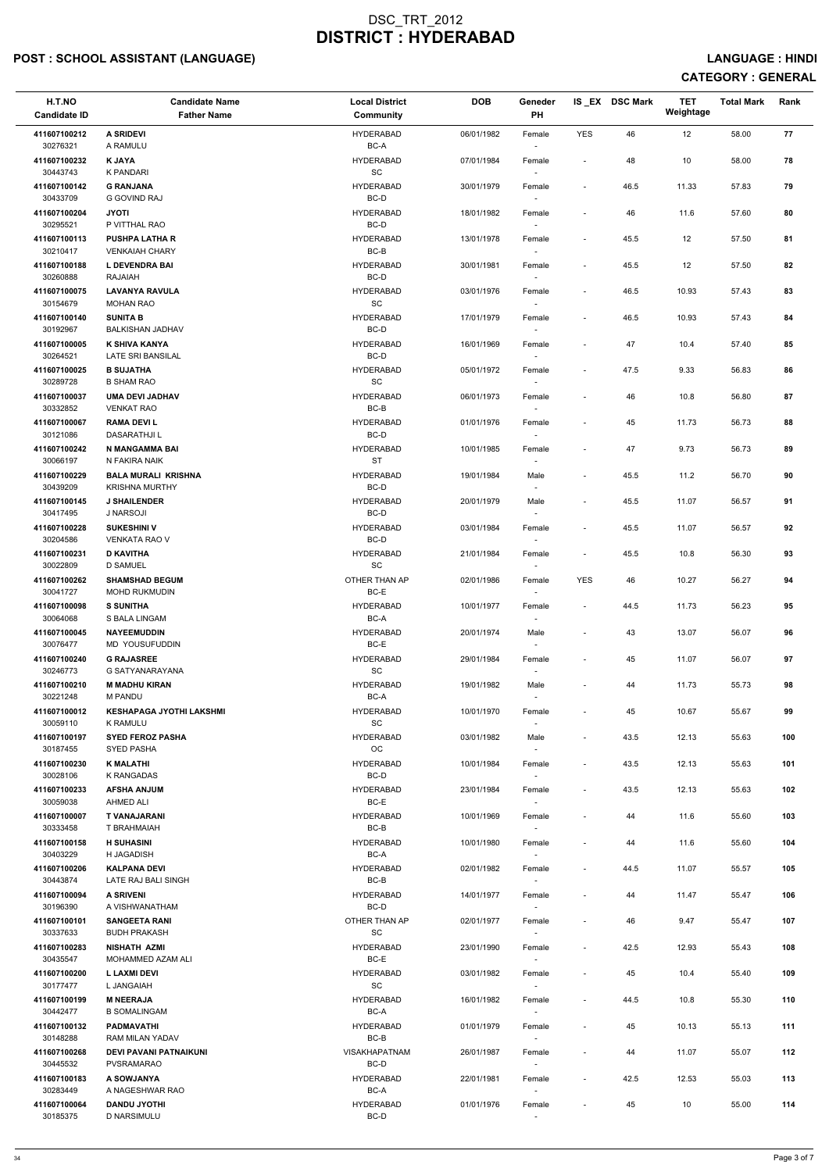# POST : SCHOOL ASSISTANT (LANGUAGE) And the set of the set of the set of the set of the set of the set of the set of the set of the set of the set of the set of the set of the set of the set of the set of the set of the set

| H.T.NO<br><b>Candidate ID</b> | <b>Candidate Name</b><br><b>Father Name</b>         | <b>Local District</b><br><b>Community</b>        | <b>DOB</b> | Geneder<br>PH                      |                          | IS EX DSC Mark | <b>TET</b><br>Weightage | <b>Total Mark</b> | Rank |
|-------------------------------|-----------------------------------------------------|--------------------------------------------------|------------|------------------------------------|--------------------------|----------------|-------------------------|-------------------|------|
| 411607100212<br>30276321      | <b>A SRIDEVI</b><br>A RAMULU                        | <b>HYDERABAD</b><br>BC-A                         | 06/01/1982 | Female<br>$\sim$                   | <b>YES</b>               | 46             | 12                      | 58.00             | 77   |
| 411607100232<br>30443743      | <b>K JAYA</b><br>K PANDARI                          | <b>HYDERABAD</b><br>$\operatorname{\textsf{SC}}$ | 07/01/1984 | Female                             | $\overline{\phantom{a}}$ | 48             | 10                      | 58.00             | 78   |
| 411607100142<br>30433709      | <b>G RANJANA</b><br><b>G GOVIND RAJ</b>             | <b>HYDERABAD</b><br>BC-D                         | 30/01/1979 | Female<br>$\sim$                   | $\overline{\phantom{a}}$ | 46.5           | 11.33                   | 57.83             | 79   |
| 411607100204                  | <b>JYOTI</b>                                        | <b>HYDERABAD</b>                                 | 18/01/1982 | Female                             |                          | 46             | 11.6                    | 57.60             | 80   |
| 30295521<br>411607100113      | P VITTHAL RAO<br><b>PUSHPA LATHA R</b>              | BC-D<br><b>HYDERABAD</b>                         | 13/01/1978 | $\overline{\phantom{a}}$<br>Female | $\overline{\phantom{a}}$ | 45.5           | 12                      | 57.50             | 81   |
| 30210417                      | <b>VENKAIAH CHARY</b>                               | BC-B                                             |            | $\overline{\phantom{a}}$           |                          |                |                         |                   |      |
| 411607100188<br>30260888      | <b>L DEVENDRA BAI</b><br>RAJAIAH                    | <b>HYDERABAD</b><br>BC-D                         | 30/01/1981 | Female                             | $\overline{\phantom{a}}$ | 45.5           | 12                      | 57.50             | 82   |
| 411607100075<br>30154679      | <b>LAVANYA RAVULA</b><br><b>MOHAN RAO</b>           | <b>HYDERABAD</b><br>$\operatorname{\textsf{SC}}$ | 03/01/1976 | Female                             | $\overline{\phantom{a}}$ | 46.5           | 10.93                   | 57.43             | 83   |
| 411607100140<br>30192967      | <b>SUNITA B</b><br><b>BALKISHAN JADHAV</b>          | <b>HYDERABAD</b><br>BC-D                         | 17/01/1979 | Female<br>$\sim$                   | $\blacksquare$           | 46.5           | 10.93                   | 57.43             | 84   |
| 411607100005<br>30264521      | K SHIVA KANYA<br>LATE SRI BANSILAL                  | <b>HYDERABAD</b><br>BC-D                         | 16/01/1969 | Female<br>$\sim$                   | $\overline{\phantom{a}}$ | 47             | 10.4                    | 57.40             | 85   |
| 411607100025<br>30289728      | <b>B SUJATHA</b>                                    | <b>HYDERABAD</b><br>$\operatorname{\textsf{SC}}$ | 05/01/1972 | Female                             | $\overline{\phantom{a}}$ | 47.5           | 9.33                    | 56.83             | 86   |
| 411607100037                  | <b>B SHAM RAO</b><br><b>UMA DEVI JADHAV</b>         | <b>HYDERABAD</b>                                 | 06/01/1973 | $\sim$<br>Female                   | $\blacksquare$           | 46             | 10.8                    | 56.80             | 87   |
| 30332852<br>411607100067      | <b>VENKAT RAO</b><br><b>RAMA DEVIL</b>              | $BC-B$<br><b>HYDERABAD</b>                       | 01/01/1976 | Female                             | $\overline{\phantom{a}}$ | 45             | 11.73                   | 56.73             | 88   |
| 30121086                      | <b>DASARATHJI L</b>                                 | BC-D                                             |            | $\sim$                             |                          |                |                         |                   |      |
| 411607100242<br>30066197      | N MANGAMMA BAI<br>N FAKIRA NAIK                     | <b>HYDERABAD</b><br><b>ST</b>                    | 10/01/1985 | Female<br>$\overline{\phantom{a}}$ |                          | 47             | 9.73                    | 56.73             | 89   |
| 411607100229<br>30439209      | <b>BALA MURALI KRISHNA</b><br><b>KRISHNA MURTHY</b> | <b>HYDERABAD</b><br>BC-D                         | 19/01/1984 | Male<br>$\overline{\phantom{a}}$   | $\overline{\phantom{a}}$ | 45.5           | 11.2                    | 56.70             | 90   |
| 411607100145                  | <b>J SHAILENDER</b>                                 | <b>HYDERABAD</b>                                 | 20/01/1979 | Male                               | $\overline{\phantom{a}}$ | 45.5           | 11.07                   | 56.57             | 91   |
| 30417495<br>411607100228      | J NARSOJI<br><b>SUKESHINI V</b>                     | BC-D<br><b>HYDERABAD</b>                         | 03/01/1984 | Female                             | $\overline{\phantom{a}}$ | 45.5           | 11.07                   | 56.57             | 92   |
| 30204586<br>411607100231      | <b>VENKATA RAO V</b><br><b>D KAVITHA</b>            | BC-D<br><b>HYDERABAD</b>                         | 21/01/1984 | $\sim$<br>Female                   | $\overline{\phantom{a}}$ | 45.5           | 10.8                    | 56.30             | 93   |
| 30022809<br>411607100262      | <b>D SAMUEL</b><br><b>SHAMSHAD BEGUM</b>            | SC<br>OTHER THAN AP                              | 02/01/1986 | $\sim$<br>Female                   | <b>YES</b>               | 46             | 10.27                   | 56.27             | 94   |
| 30041727<br>411607100098      | <b>MOHD RUKMUDIN</b><br><b>S SUNITHA</b>            | BC-E<br><b>HYDERABAD</b>                         | 10/01/1977 | Female                             | $\overline{\phantom{a}}$ | 44.5           | 11.73                   | 56.23             | 95   |
| 30064068                      | S BALA LINGAM                                       | BC-A                                             |            | $\sim$                             |                          |                |                         |                   |      |
| 411607100045<br>30076477      | <b>NAYEEMUDDIN</b><br>MD YOUSUFUDDIN                | <b>HYDERABAD</b><br>BC-E                         | 20/01/1974 | Male<br>$\sim$                     | $\blacksquare$           | 43             | 13.07                   | 56.07             | 96   |
| 411607100240<br>30246773      | <b>G RAJASREE</b><br>G SATYANARAYANA                | <b>HYDERABAD</b><br>SC                           | 29/01/1984 | Female<br>$\sim$                   |                          | 45             | 11.07                   | 56.07             | 97   |
| 411607100210<br>30221248      | <b>M MADHU KIRAN</b><br><b>M PANDU</b>              | <b>HYDERABAD</b><br>BC-A                         | 19/01/1982 | Male<br>$\overline{\phantom{a}}$   |                          | 44             | 11.73                   | 55.73             | 98   |
| 411607100012<br>30059110      | <b>KESHAPAGA JYOTHI LAKSHMI</b><br>K RAMULU         | <b>HYDERABAD</b><br><b>SC</b>                    | 10/01/1970 | Female                             | $\overline{\phantom{a}}$ | 45             | 10.67                   | 55.67             | 99   |
| 411607100197                  | <b>SYED FEROZ PASHA</b>                             | <b>HYDERABAD</b>                                 | 03/01/1982 | Male                               | $\blacksquare$           | 43.5           | 12.13                   | 55.63             | 100  |
| 30187455<br>411607100230      | <b>SYED PASHA</b><br><b>K MALATHI</b>               | OC<br><b>HYDERABAD</b>                           | 10/01/1984 | $\sim$<br>Female                   | $\overline{\phantom{a}}$ | 43.5           | 12.13                   | 55.63             | 101  |
| 30028106<br>411607100233      | K RANGADAS<br><b>AFSHA ANJUM</b>                    | BC-D<br><b>HYDERABAD</b>                         | 23/01/1984 | $\sim$<br>Female                   | $\overline{\phantom{a}}$ | 43.5           | 12.13                   | 55.63             | 102  |
| 30059038                      | AHMED ALI                                           | BC-E                                             |            | $\sim$                             |                          |                |                         |                   |      |
| 411607100007<br>30333458      | T VANAJARANI<br>T BRAHMAIAH                         | <b>HYDERABAD</b><br>BC-B                         | 10/01/1969 | Female                             | $\overline{\phantom{a}}$ | 44             | 11.6                    | 55.60             | 103  |
| 411607100158<br>30403229      | <b>H SUHASINI</b><br><b>H JAGADISH</b>              | <b>HYDERABAD</b><br>BC-A                         | 10/01/1980 | Female<br>$\sim$                   | $\overline{\phantom{a}}$ | 44             | 11.6                    | 55.60             | 104  |
| 411607100206<br>30443874      | <b>KALPANA DEVI</b><br>LATE RAJ BALI SINGH          | <b>HYDERABAD</b><br>BC-B                         | 02/01/1982 | Female<br>$\sim$                   |                          | 44.5           | 11.07                   | 55.57             | 105  |
| 411607100094                  | <b>A SRIVENI</b>                                    | <b>HYDERABAD</b>                                 | 14/01/1977 | Female                             | $\overline{\phantom{a}}$ | 44             | 11.47                   | 55.47             | 106  |
| 30196390<br>411607100101      | A VISHWANATHAM<br><b>SANGEETA RANI</b>              | BC-D<br>OTHER THAN AP                            | 02/01/1977 | $\sim$<br>Female                   | $\overline{\phantom{a}}$ | 46             | 9.47                    | 55.47             | 107  |
| 30337633                      | <b>BUDH PRAKASH</b>                                 | <b>SC</b>                                        |            |                                    |                          |                |                         |                   |      |
| 411607100283<br>30435547      | <b>NISHATH AZMI</b><br>MOHAMMED AZAM ALI            | <b>HYDERABAD</b><br>BC-E                         | 23/01/1990 | Female                             | $\overline{\phantom{a}}$ | 42.5           | 12.93                   | 55.43             | 108  |
| 411607100200<br>30177477      | L LAXMI DEVI<br>L JANGAIAH                          | <b>HYDERABAD</b><br>$\operatorname{\textsf{SC}}$ | 03/01/1982 | Female<br>$\sim$                   |                          | 45             | 10.4                    | 55.40             | 109  |
| 411607100199<br>30442477      | <b>M NEERAJA</b><br><b>B SOMALINGAM</b>             | <b>HYDERABAD</b><br>BC-A                         | 16/01/1982 | Female<br>$\overline{\phantom{a}}$ | $\overline{\phantom{a}}$ | 44.5           | 10.8                    | 55.30             | 110  |
| 411607100132<br>30148288      | <b>PADMAVATHI</b>                                   | <b>HYDERABAD</b>                                 | 01/01/1979 | Female                             | $\overline{\phantom{a}}$ | 45             | 10.13                   | 55.13             | 111  |
| 411607100268                  | RAM MILAN YADAV<br>DEVI PAVANI PATNAIKUNI           | BC-B<br><b>VISAKHAPATNAM</b>                     | 26/01/1987 | $\sim$<br>Female                   | $\overline{\phantom{a}}$ | 44             | 11.07                   | 55.07             | 112  |
| 30445532<br>411607100183      | PVSRAMARAO<br>A SOWJANYA                            | BC-D<br><b>HYDERABAD</b>                         | 22/01/1981 | $\sim$<br>Female                   | $\overline{\phantom{a}}$ | 42.5           | 12.53                   | 55.03             | 113  |
| 30283449<br>411607100064      | A NAGESHWAR RAO<br><b>DANDU JYOTHI</b>              | BC-A<br><b>HYDERABAD</b>                         | 01/01/1976 | $\sim$<br>Female                   |                          | 45             | 10                      | 55.00             | 114  |
| 30185375                      | <b>D NARSIMULU</b>                                  | BC-D                                             |            |                                    |                          |                |                         |                   |      |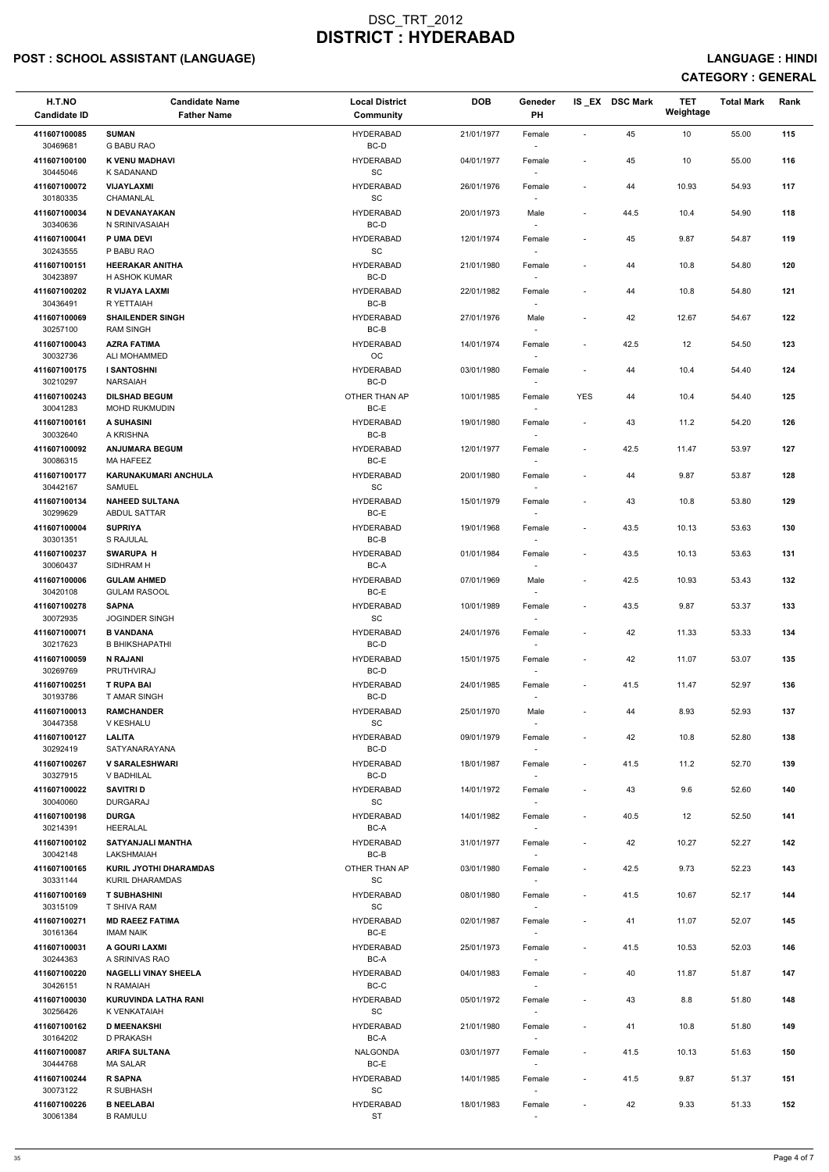# POST : SCHOOL ASSISTANT (LANGUAGE) And the state of the state of the state of the state of the state of the state of the state of the state of the state of the state of the state of the state of the state of the state of t

| H.T.NO<br><b>Candidate ID</b>        | <b>Candidate Name</b><br><b>Father Name</b>     | <b>Local District</b><br><b>Community</b>        | <b>DOB</b> | Geneder<br>PH            |                          | IS EX DSC Mark | <b>TET</b><br>Weightage | <b>Total Mark</b> | Rank |
|--------------------------------------|-------------------------------------------------|--------------------------------------------------|------------|--------------------------|--------------------------|----------------|-------------------------|-------------------|------|
| 411607100085<br>30469681             | <b>SUMAN</b><br><b>G BABU RAO</b>               | <b>HYDERABAD</b><br>$BC-D$                       | 21/01/1977 | Female                   | $\overline{\phantom{a}}$ | 45             | 10                      | 55.00             | 115  |
| 411607100100<br>30445046             | K VENU MADHAVI<br>K SADANAND                    | <b>HYDERABAD</b><br>SC                           | 04/01/1977 | Female                   | $\overline{\phantom{a}}$ | 45             | 10                      | 55.00             | 116  |
| 411607100072                         | VIJAYLAXMI                                      | <b>HYDERABAD</b>                                 | 26/01/1976 | Female                   | $\overline{\phantom{a}}$ | 44             | 10.93                   | 54.93             | 117  |
| 30180335<br>411607100034             | <b>CHAMANLAL</b><br>N DEVANAYAKAN               | SC<br><b>HYDERABAD</b>                           | 20/01/1973 | $\sim$<br>Male           | $\sim$                   | 44.5           | 10.4                    | 54.90             | 118  |
| 30340636                             | N SRINIVASAIAH                                  | BC-D                                             |            | $\sim$                   |                          |                |                         |                   |      |
| 411607100041<br>30243555             | P UMA DEVI<br>P BABU RAO                        | <b>HYDERABAD</b><br>$\operatorname{\textsf{SC}}$ | 12/01/1974 | Female<br>$\sim$         | $\overline{\phantom{a}}$ | 45             | 9.87                    | 54.87             | 119  |
| 411607100151<br>30423897             | <b>HEERAKAR ANITHA</b><br>H ASHOK KUMAR         | <b>HYDERABAD</b><br>BC-D                         | 21/01/1980 | Female                   |                          | 44             | 10.8                    | 54.80             | 120  |
| 411607100202<br>30436491             | R VIJAYA LAXMI<br>R YETTAIAH                    | <b>HYDERABAD</b><br>BC-B                         | 22/01/1982 | Female                   | $\overline{\phantom{a}}$ | 44             | 10.8                    | 54.80             | 121  |
| 411607100069<br>30257100             | <b>SHAILENDER SINGH</b><br><b>RAM SINGH</b>     | <b>HYDERABAD</b><br>BC-B                         | 27/01/1976 | Male<br>$\sim$           | $\overline{\phantom{a}}$ | 42             | 12.67                   | 54.67             | 122  |
| 411607100043<br>30032736             | <b>AZRA FATIMA</b><br>ALI MOHAMMED              | <b>HYDERABAD</b><br>OC                           | 14/01/1974 | Female<br>$\sim$         | $\overline{\phantom{a}}$ | 42.5           | 12                      | 54.50             | 123  |
| 411607100175<br>30210297             | <b>I SANTOSHNI</b><br><b>NARSAIAH</b>           | <b>HYDERABAD</b><br>BC-D                         | 03/01/1980 | Female                   | $\overline{\phantom{a}}$ | 44             | 10.4                    | 54.40             | 124  |
| 411607100243<br>30041283             | <b>DILSHAD BEGUM</b><br><b>MOHD RUKMUDIN</b>    | OTHER THAN AP<br>BC-E                            | 10/01/1985 | Female                   | <b>YES</b>               | 44             | 10.4                    | 54.40             | 125  |
| 411607100161                         | <b>A SUHASINI</b>                               | <b>HYDERABAD</b>                                 | 19/01/1980 | Female                   | $\overline{\phantom{a}}$ | 43             | 11.2                    | 54.20             | 126  |
| 30032640<br>411607100092             | A KRISHNA<br><b>ANJUMARA BEGUM</b>              | $BC-B$<br><b>HYDERABAD</b>                       | 12/01/1977 | $\sim$<br>Female         | $\sim$                   | 42.5           | 11.47                   | 53.97             | 127  |
| 30086315<br>411607100177             | <b>MA HAFEEZ</b><br><b>KARUNAKUMARI ANCHULA</b> | BC-E                                             |            | $\overline{\phantom{a}}$ |                          |                |                         |                   |      |
| 30442167                             | <b>SAMUEL</b>                                   | <b>HYDERABAD</b><br>$\operatorname{\textsf{SC}}$ | 20/01/1980 | Female                   | $\overline{\phantom{a}}$ | 44             | 9.87                    | 53.87             | 128  |
| 411607100134<br>30299629             | <b>NAHEED SULTANA</b><br>ABDUL SATTAR           | <b>HYDERABAD</b><br>BC-E                         | 15/01/1979 | Female                   | $\overline{\phantom{a}}$ | 43             | 10.8                    | 53.80             | 129  |
| 411607100004<br>30301351             | <b>SUPRIYA</b><br>S RAJULAL                     | <b>HYDERABAD</b><br>BC-B                         | 19/01/1968 | Female<br>$\sim$         | $\overline{\phantom{a}}$ | 43.5           | 10.13                   | 53.63             | 130  |
| 411607100237                         | <b>SWARUPA H</b>                                | <b>HYDERABAD</b><br>BC-A                         | 01/01/1984 | Female                   | $\overline{\phantom{a}}$ | 43.5           | 10.13                   | 53.63             | 131  |
| 30060437<br>411607100006             | SIDHRAM H<br><b>GULAM AHMED</b>                 | <b>HYDERABAD</b>                                 | 07/01/1969 | $\sim$<br>Male           | $\overline{\phantom{a}}$ | 42.5           | 10.93                   | 53.43             | 132  |
| 30420108<br>411607100278             | <b>GULAM RASOOL</b><br><b>SAPNA</b>             | BC-E<br><b>HYDERABAD</b>                         | 10/01/1989 | $\sim$<br>Female         | $\sim$                   | 43.5           | 9.87                    | 53.37             | 133  |
| 30072935                             | <b>JOGINDER SINGH</b>                           | SC                                               |            | $\sim$                   |                          |                |                         |                   |      |
| 411607100071<br>30217623             | <b>B VANDANA</b><br><b>B BHIKSHAPATHI</b>       | <b>HYDERABAD</b><br>BC-D                         | 24/01/1976 | Female<br>$\sim$         | $\sim$                   | 42             | 11.33                   | 53.33             | 134  |
| 411607100059<br>30269769             | <b>N RAJANI</b><br>PRUTHVIRAJ                   | <b>HYDERABAD</b><br>BC-D                         | 15/01/1975 | Female<br>$\sim$         | $\sim$                   | 42             | 11.07                   | 53.07             | 135  |
| 411607100251<br>30193786             | <b>T RUPA BAI</b><br><b>T AMAR SINGH</b>        | <b>HYDERABAD</b><br>BC-D                         | 24/01/1985 | Female                   | $\sim$                   | 41.5           | 11.47                   | 52.97             | 136  |
| 411607100013                         | <b>RAMCHANDER</b>                               | <b>HYDERABAD</b>                                 | 25/01/1970 | Male                     | $\overline{\phantom{a}}$ | 44             | 8.93                    | 52.93             | 137  |
| 30447358<br>411607100127             | V KESHALU<br><b>LALITA</b>                      | <b>SC</b><br><b>HYDERABAD</b>                    | 09/01/1979 | $\sim$<br>Female         | $\overline{\phantom{a}}$ | 42             | 10.8                    | 52.80             | 138  |
| 30292419                             | SATYANARAYANA                                   | BC-D                                             |            | $\sim$                   |                          |                |                         |                   |      |
| 411607100267<br>30327915             | <b>V SARALESHWARI</b><br>V BADHILAL             | <b>HYDERABAD</b><br>BC-D                         | 18/01/1987 | Female<br>$\sim$         | $\overline{\phantom{a}}$ | 41.5           | 11.2                    | 52.70             | 139  |
| 411607100022<br>30040060             | <b>SAVITRI D</b><br><b>DURGARAJ</b>             | <b>HYDERABAD</b><br>SC                           | 14/01/1972 | Female                   | $\sim$                   | 43             | 9.6                     | 52.60             | 140  |
| 411607100198                         | <b>DURGA</b><br><b>HEERALAL</b>                 | <b>HYDERABAD</b><br>BC-A                         | 14/01/1982 | Female                   | $\overline{\phantom{a}}$ | 40.5           | 12                      | 52.50             | 141  |
| 30214391<br>411607100102<br>30042148 | SATYANJALI MANTHA<br>LAKSHMAIAH                 | <b>HYDERABAD</b><br>BC-B                         | 31/01/1977 | Female                   | $\overline{\phantom{a}}$ | 42             | 10.27                   | 52.27             | 142  |
| 411607100165                         | <b>KURIL JYOTHI DHARAMDAS</b>                   | OTHER THAN AP                                    | 03/01/1980 | $\sim$<br>Female         | $\overline{\phantom{a}}$ | 42.5           | 9.73                    | 52.23             | 143  |
| 30331144<br>411607100169             | KURIL DHARAMDAS<br><b>T SUBHASHINI</b>          | <b>SC</b><br><b>HYDERABAD</b>                    | 08/01/1980 | $\sim$<br>Female         | $\overline{\phantom{a}}$ | 41.5           | 10.67                   | 52.17             | 144  |
| 30315109<br>411607100271             | T SHIVA RAM<br><b>MD RAEEZ FATIMA</b>           | SC<br><b>HYDERABAD</b>                           | 02/01/1987 | $\sim$<br>Female         | $\overline{\phantom{a}}$ | 41             | 11.07                   | 52.07             | 145  |
| 30161364                             | <b>IMAM NAIK</b>                                | BC-E                                             |            |                          |                          |                |                         |                   |      |
| 411607100031<br>30244363             | A GOURI LAXMI<br>A SRINIVAS RAO                 | <b>HYDERABAD</b><br>BC-A                         | 25/01/1973 | Female<br>$\sim$         | $\sim$                   | 41.5           | 10.53                   | 52.03             | 146  |
| 411607100220                         | <b>NAGELLI VINAY SHEELA</b>                     | <b>HYDERABAD</b>                                 | 04/01/1983 | Female                   | $\overline{\phantom{a}}$ | 40             | 11.87                   | 51.87             | 147  |
| 30426151<br>411607100030             | N RAMAIAH<br><b>KURUVINDA LATHA RANI</b>        | BC-C<br><b>HYDERABAD</b>                         | 05/01/1972 | $\sim$<br>Female         |                          | 43             | $8.8\,$                 | 51.80             | 148  |
| 30256426<br>411607100162             | K VENKATAIAH<br><b>D MEENAKSHI</b>              | $\operatorname{\textsf{SC}}$<br><b>HYDERABAD</b> | 21/01/1980 | $\sim$<br>Female         | $\overline{\phantom{a}}$ | 41             | 10.8                    | 51.80             | 149  |
| 30164202<br>411607100087             | D PRAKASH<br><b>ARIFA SULTANA</b>               | BC-A<br><b>NALGONDA</b>                          | 03/01/1977 | $\sim$<br>Female         | $\overline{\phantom{a}}$ | 41.5           | 10.13                   | 51.63             | 150  |
| 30444768                             | <b>MA SALAR</b>                                 | BC-E                                             |            | $\sim$                   |                          |                |                         |                   |      |
| 411607100244<br>30073122             | <b>R SAPNA</b><br>R SUBHASH                     | <b>HYDERABAD</b><br>SC                           | 14/01/1985 | Female<br>$\sim$         | $\sim$                   | 41.5           | 9.87                    | 51.37             | 151  |
| 411607100226<br>30061384             | <b>B NEELABAI</b>                               | <b>HYDERABAD</b><br>$\mathsf{ST}$                | 18/01/1983 | Female                   |                          | 42             | 9.33                    | 51.33             | 152  |
|                                      | <b>B RAMULU</b>                                 |                                                  |            |                          |                          |                |                         |                   |      |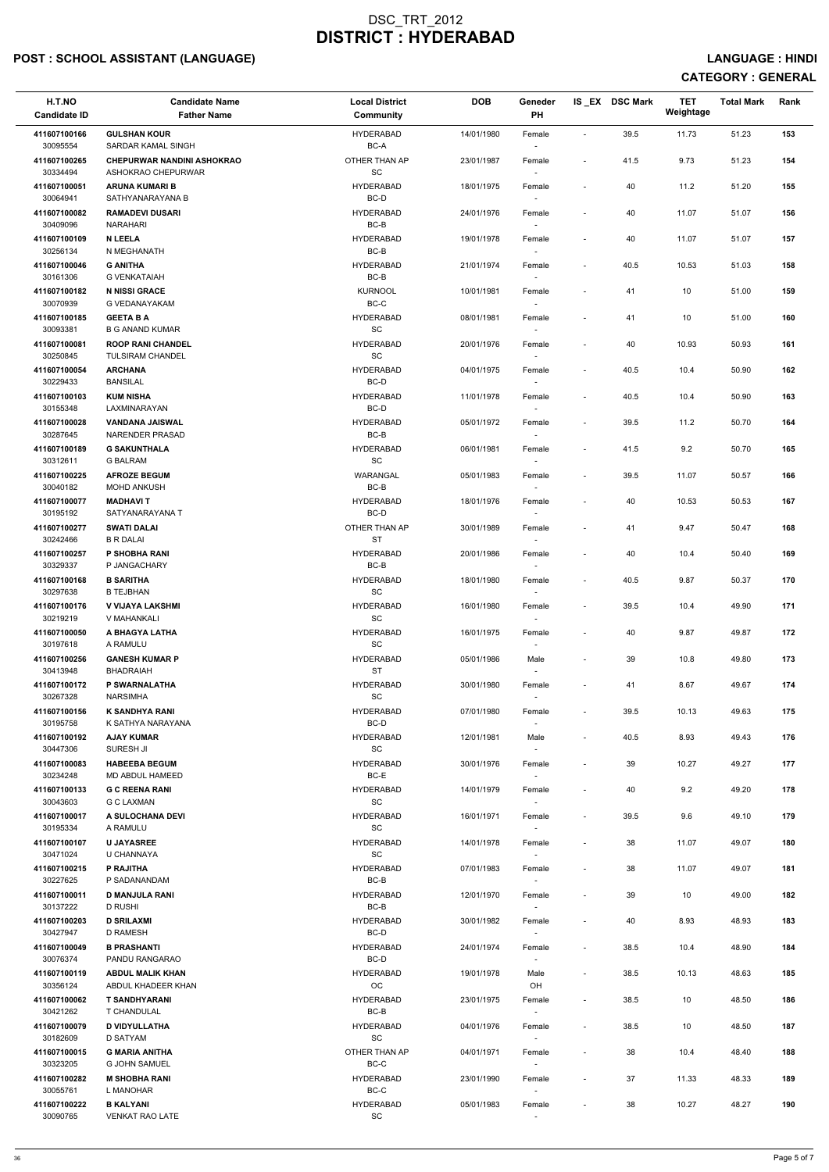# POST : SCHOOL ASSISTANT (LANGUAGE) And the state of the state of the state of the state of the state of the state of the state of the state of the state of the state of the state of the state of the state of the state of t

| H.T.NO<br><b>Candidate ID</b> | <b>Candidate Name</b><br><b>Father Name</b>             | <b>Local District</b><br>Community | <b>DOB</b> | Geneder<br>PH    |                          | IS EX DSC Mark | <b>TET</b><br>Weightage | <b>Total Mark</b> | Rank |
|-------------------------------|---------------------------------------------------------|------------------------------------|------------|------------------|--------------------------|----------------|-------------------------|-------------------|------|
| 411607100166<br>30095554      | <b>GULSHAN KOUR</b><br>SARDAR KAMAL SINGH               | <b>HYDERABAD</b><br>BC-A           | 14/01/1980 | Female<br>$\sim$ | $\blacksquare$           | 39.5           | 11.73                   | 51.23             | 153  |
| 411607100265<br>30334494      | <b>CHEPURWAR NANDINI ASHOKRAO</b><br>ASHOKRAO CHEPURWAR | OTHER THAN AP<br>SC                | 23/01/1987 | Female           | $\overline{\phantom{a}}$ | 41.5           | 9.73                    | 51.23             | 154  |
| 411607100051<br>30064941      | <b>ARUNA KUMARI B</b><br>SATHYANARAYANA B               | <b>HYDERABAD</b><br>BC-D           | 18/01/1975 | Female           | $\sim$                   | 40             | 11.2                    | 51.20             | 155  |
| 411607100082                  | <b>RAMADEVI DUSARI</b>                                  | <b>HYDERABAD</b>                   | 24/01/1976 | Female           | $\sim$                   | 40             | 11.07                   | 51.07             | 156  |
| 30409096<br>411607100109      | NARAHARI<br><b>N LEELA</b>                              | BC-B<br><b>HYDERABAD</b>           | 19/01/1978 | $\sim$<br>Female | $\overline{\phantom{a}}$ | 40             | 11.07                   | 51.07             | 157  |
| 30256134                      | N MEGHANATH                                             | BC-B                               |            | $\sim$           |                          |                |                         |                   |      |
| 411607100046<br>30161306      | <b>G ANITHA</b><br><b>G VENKATAIAH</b>                  | <b>HYDERABAD</b><br>BC-B           | 21/01/1974 | Female           | $\sim$                   | 40.5           | 10.53                   | 51.03             | 158  |
| 411607100182<br>30070939      | <b>N NISSI GRACE</b><br>G VEDANAYAKAM                   | <b>KURNOOL</b><br>BC-C             | 10/01/1981 | Female           | $\overline{\phantom{a}}$ | 41             | 10                      | 51.00             | 159  |
| 411607100185<br>30093381      | <b>GEETA B A</b><br><b>B G ANAND KUMAR</b>              | <b>HYDERABAD</b><br>SC             | 08/01/1981 | Female<br>$\sim$ | $\overline{\phantom{a}}$ | 41             | 10                      | 51.00             | 160  |
| 411607100081<br>30250845      | <b>ROOP RANI CHANDEL</b><br><b>TULSIRAM CHANDEL</b>     | <b>HYDERABAD</b><br>SC             | 20/01/1976 | Female<br>$\sim$ | $\overline{\phantom{a}}$ | 40             | 10.93                   | 50.93             | 161  |
| 411607100054<br>30229433      | <b>ARCHANA</b><br><b>BANSILAL</b>                       | <b>HYDERABAD</b><br>BC-D           | 04/01/1975 | Female<br>$\sim$ | $\overline{\phantom{a}}$ | 40.5           | 10.4                    | 50.90             | 162  |
| 411607100103                  | <b>KUM NISHA</b>                                        | <b>HYDERABAD</b>                   | 11/01/1978 | Female           | $\sim$                   | 40.5           | 10.4                    | 50.90             | 163  |
| 30155348<br>411607100028      | LAXMINARAYAN<br><b>VANDANA JAISWAL</b>                  | BC-D<br><b>HYDERABAD</b>           | 05/01/1972 | Female           | $\overline{\phantom{a}}$ | 39.5           | 11.2                    | 50.70             | 164  |
| 30287645                      | NARENDER PRASAD                                         | BC-B                               |            | $\sim$           |                          |                |                         |                   |      |
| 411607100189<br>30312611      | <b>G SAKUNTHALA</b><br><b>G BALRAM</b>                  | <b>HYDERABAD</b><br><b>SC</b>      | 06/01/1981 | Female<br>$\sim$ | $\overline{\phantom{a}}$ | 41.5           | 9.2                     | 50.70             | 165  |
| 411607100225<br>30040182      | <b>AFROZE BEGUM</b><br><b>MOHD ANKUSH</b>               | WARANGAL<br>BC-B                   | 05/01/1983 | Female           | $\overline{\phantom{a}}$ | 39.5           | 11.07                   | 50.57             | 166  |
| 411607100077                  | <b>MADHAVIT</b>                                         | <b>HYDERABAD</b>                   | 18/01/1976 | $\sim$<br>Female | $\overline{\phantom{a}}$ | 40             | 10.53                   | 50.53             | 167  |
| 30195192<br>411607100277      | SATYANARAYANA T<br><b>SWATI DALAI</b>                   | BC-D<br>OTHER THAN AP              | 30/01/1989 | Female           | $\overline{\phantom{a}}$ | 41             | 9.47                    | 50.47             | 168  |
| 30242466<br>411607100257      | <b>B R DALAI</b><br>P SHOBHA RANI                       | <b>ST</b><br><b>HYDERABAD</b>      | 20/01/1986 | $\sim$<br>Female | $\overline{\phantom{a}}$ | 40             | 10.4                    | 50.40             | 169  |
| 30329337<br>411607100168      | P JANGACHARY<br><b>B SARITHA</b>                        | BC-B<br><b>HYDERABAD</b>           | 18/01/1980 | $\sim$<br>Female | $\sim$                   | 40.5           | 9.87                    | 50.37             | 170  |
| 30297638<br>411607100176      | <b>B TEJBHAN</b><br>V VIJAYA LAKSHMI                    | SC<br><b>HYDERABAD</b>             | 16/01/1980 | Female           | $\sim$                   | 39.5           | 10.4                    | 49.90             | 171  |
| 30219219<br>411607100050      | V MAHANKALI<br>A BHAGYA LATHA                           | <b>SC</b><br><b>HYDERABAD</b>      | 16/01/1975 | $\sim$<br>Female |                          | 40             | 9.87                    | 49.87             | 172  |
| 30197618                      | A RAMULU                                                | SC                                 |            | $\sim$           |                          |                |                         |                   |      |
| 411607100256<br>30413948      | <b>GANESH KUMAR P</b><br><b>BHADRAIAH</b>               | <b>HYDERABAD</b><br><b>ST</b>      | 05/01/1986 | Male<br>$\sim$   | $\overline{\phantom{a}}$ | 39             | 10.8                    | 49.80             | 173  |
| 411607100172<br>30267328      | P SWARNALATHA<br><b>NARSIMHA</b>                        | <b>HYDERABAD</b><br>SC             | 30/01/1980 | Female           | $\overline{\phantom{a}}$ | 41             | 8.67                    | 49.67             | 174  |
| 411607100156                  | <b>K SANDHYA RANI</b>                                   | <b>HYDERABAD</b>                   | 07/01/1980 | Female           | $\overline{\phantom{a}}$ | 39.5           | 10.13                   | 49.63             | 175  |
| 30195758<br>411607100192      | K SATHYA NARAYANA<br><b>AJAY KUMAR</b>                  | BC-D<br><b>HYDERABAD</b>           | 12/01/1981 | Male             | $\sim$                   | 40.5           | 8.93                    | 49.43             | 176  |
| 30447306<br>411607100083      | SURESH JI<br><b>HABEEBA BEGUM</b>                       | SC<br><b>HYDERABAD</b>             | 30/01/1976 | $\sim$<br>Female | $\overline{\phantom{a}}$ | 39             | 10.27                   | 49.27             | 177  |
| 30234248                      | MD ABDUL HAMEED                                         | BC-E                               |            | $\sim$           |                          |                |                         |                   |      |
| 411607100133<br>30043603      | <b>G C REENA RANI</b><br><b>G C LAXMAN</b>              | <b>HYDERABAD</b><br><b>SC</b>      | 14/01/1979 | Female<br>$\sim$ | $\overline{\phantom{a}}$ | 40             | 9.2                     | 49.20             | 178  |
| 411607100017<br>30195334      | A SULOCHANA DEVI<br>A RAMULU                            | <b>HYDERABAD</b><br><b>SC</b>      | 16/01/1971 | Female           | $\sim$                   | 39.5           | 9.6                     | 49.10             | 179  |
| 411607100107<br>30471024      | <b>U JAYASREE</b><br>U CHANNAYA                         | <b>HYDERABAD</b><br>SC             | 14/01/1978 | Female<br>$\sim$ | $\overline{\phantom{a}}$ | 38             | 11.07                   | 49.07             | 180  |
| 411607100215                  | P RAJITHA                                               | <b>HYDERABAD</b>                   | 07/01/1983 | Female           |                          | 38             | 11.07                   | 49.07             | 181  |
| 30227625<br>411607100011      | P SADANANDAM<br><b>D MANJULA RANI</b>                   | BC-B<br><b>HYDERABAD</b>           | 12/01/1970 | $\sim$<br>Female | $\overline{\phantom{a}}$ | 39             | 10                      | 49.00             | 182  |
| 30137222                      | D RUSHI                                                 | BC-B                               |            | $\sim$           |                          |                |                         |                   |      |
| 411607100203<br>30427947      | <b>D SRILAXMI</b><br>D RAMESH                           | <b>HYDERABAD</b><br>BC-D           | 30/01/1982 | Female           | $\overline{\phantom{a}}$ | 40             | 8.93                    | 48.93             | 183  |
| 411607100049<br>30076374      | <b>B PRASHANTI</b><br>PANDU RANGARAO                    | <b>HYDERABAD</b><br>BC-D           | 24/01/1974 | Female           | $\sim$                   | 38.5           | 10.4                    | 48.90             | 184  |
| 411607100119                  | <b>ABDUL MALIK KHAN</b>                                 | <b>HYDERABAD</b>                   | 19/01/1978 | Male             | $\sim$                   | 38.5           | 10.13                   | 48.63             | 185  |
| 30356124<br>411607100062      | ABDUL KHADEER KHAN<br><b>T SANDHYARANI</b>              | OC<br><b>HYDERABAD</b>             | 23/01/1975 | OH<br>Female     | $\overline{\phantom{a}}$ | 38.5           | 10                      | 48.50             | 186  |
| 30421262<br>411607100079      | T CHANDULAL<br><b>D VIDYULLATHA</b>                     | BC-B<br><b>HYDERABAD</b>           | 04/01/1976 | $\sim$<br>Female | $\sim$                   | 38.5           | 10                      | 48.50             | 187  |
| 30182609                      | D SATYAM                                                | SC                                 |            | $\sim$           |                          |                |                         |                   |      |
| 411607100015<br>30323205      | <b>G MARIA ANITHA</b><br><b>G JOHN SAMUEL</b>           | OTHER THAN AP<br>$BC-C$            | 04/01/1971 | Female<br>$\sim$ | $\overline{\phantom{a}}$ | 38             | 10.4                    | 48.40             | 188  |
| 411607100282<br>30055761      | <b>M SHOBHA RANI</b><br>L MANOHAR                       | <b>HYDERABAD</b><br>BC-C           | 23/01/1990 | Female<br>$\sim$ | $\sim$                   | 37             | 11.33                   | 48.33             | 189  |
| 411607100222<br>30090765      | <b>B KALYANI</b><br>VENKAT RAO LATE                     | <b>HYDERABAD</b><br>SC             | 05/01/1983 | Female           |                          | 38             | 10.27                   | 48.27             | 190  |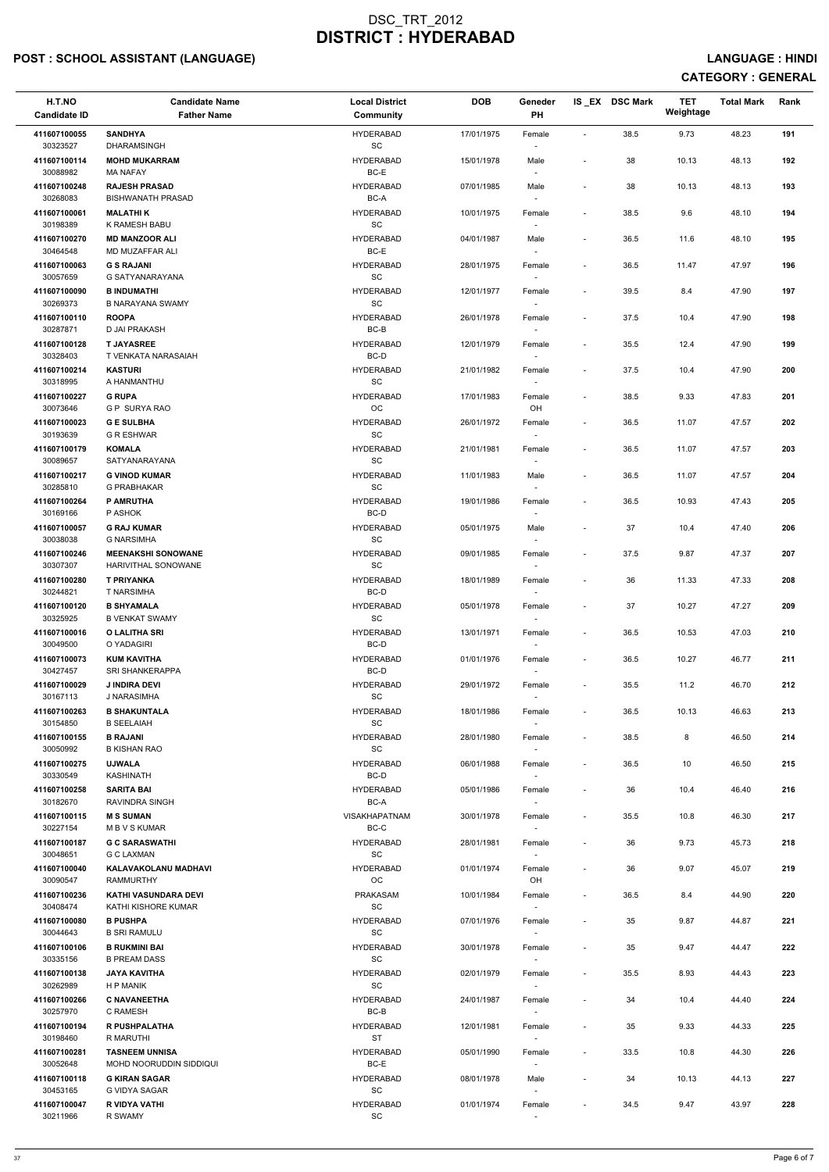## POST : SCHOOL ASSISTANT (LANGUAGE) And the set of the set of the set of the set of the set of the set of the set of the set of the set of the set of the set of the set of the set of the set of the set of the set of the set

| H.T.NO<br><b>Candidate ID</b> | <b>Candidate Name</b><br><b>Father Name</b>     | <b>Local District</b><br><b>Community</b>        | <b>DOB</b> | Geneder<br>PH                      |                              | IS_EX DSC Mark | <b>TET</b><br>Weightage | <b>Total Mark</b> | Rank |
|-------------------------------|-------------------------------------------------|--------------------------------------------------|------------|------------------------------------|------------------------------|----------------|-------------------------|-------------------|------|
| 411607100055<br>30323527      | <b>SANDHYA</b><br><b>DHARAMSINGH</b>            | <b>HYDERABAD</b><br>$\operatorname{\textsf{SC}}$ | 17/01/1975 | Female                             | $\overline{\phantom{a}}$     | 38.5           | 9.73                    | 48.23             | 191  |
| 411607100114<br>30088982      | <b>MOHD MUKARRAM</b>                            | <b>HYDERABAD</b><br>BC-E                         | 15/01/1978 | Male                               | $\overline{\phantom{a}}$     | 38             | 10.13                   | 48.13             | 192  |
| 411607100248                  | <b>MA NAFAY</b><br><b>RAJESH PRASAD</b>         | <b>HYDERABAD</b>                                 | 07/01/1985 | Male                               | $\overline{\phantom{a}}$     | 38             | 10.13                   | 48.13             | 193  |
| 30268083<br>411607100061      | <b>BISHWANATH PRASAD</b><br><b>MALATHIK</b>     | BC-A<br><b>HYDERABAD</b>                         | 10/01/1975 | Female                             | $\overline{\phantom{a}}$     | 38.5           | 9.6                     | 48.10             | 194  |
| 30198389                      | K RAMESH BABU                                   | SC                                               |            |                                    |                              |                |                         |                   |      |
| 411607100270<br>30464548      | <b>MD MANZOOR ALI</b><br>MD MUZAFFAR ALI        | <b>HYDERABAD</b><br>$BC-E$                       | 04/01/1987 | Male                               | $\overline{\phantom{a}}$     | 36.5           | 11.6                    | 48.10             | 195  |
| 411607100063                  | <b>G S RAJANI</b>                               | <b>HYDERABAD</b>                                 | 28/01/1975 | Female                             | $\overline{\phantom{a}}$     | 36.5           | 11.47                   | 47.97             | 196  |
| 30057659                      | G SATYANARAYANA                                 | $\operatorname{\textsf{SC}}$                     |            |                                    |                              |                |                         |                   |      |
| 411607100090<br>30269373      | <b>B INDUMATHI</b><br><b>B NARAYANA SWAMY</b>   | <b>HYDERABAD</b><br>SC                           | 12/01/1977 | Female                             | $\overline{\phantom{a}}$     | 39.5           | 8.4                     | 47.90             | 197  |
| 411607100110<br>30287871      | <b>ROOPA</b><br>D JAI PRAKASH                   | <b>HYDERABAD</b><br>BC-B                         | 26/01/1978 | Female<br>$\overline{\phantom{a}}$ | $\overline{\phantom{a}}$     | 37.5           | 10.4                    | 47.90             | 198  |
| 411607100128                  | <b>T JAYASREE</b>                               | <b>HYDERABAD</b>                                 | 12/01/1979 | Female                             | $\overline{\phantom{a}}$     | 35.5           | 12.4                    | 47.90             | 199  |
| 30328403                      | T VENKATA NARASAIAH                             | BC-D                                             |            | $\overline{\phantom{a}}$           |                              |                |                         |                   |      |
| 411607100214<br>30318995      | <b>KASTURI</b><br>A HANMANTHU                   | <b>HYDERABAD</b><br>SC                           | 21/01/1982 | Female                             | $\overline{\phantom{a}}$     | 37.5           | 10.4                    | 47.90             | 200  |
| 411607100227<br>30073646      | <b>G RUPA</b><br><b>G P SURYA RAO</b>           | <b>HYDERABAD</b><br>OC                           | 17/01/1983 | Female<br>OH                       | $\overline{\phantom{a}}$     | 38.5           | 9.33                    | 47.83             | 201  |
| 411607100023                  | <b>GE SULBHA</b>                                | <b>HYDERABAD</b>                                 | 26/01/1972 | Female                             | $\overline{\phantom{a}}$     | 36.5           | 11.07                   | 47.57             | 202  |
| 30193639                      | <b>G R ESHWAR</b>                               | SC                                               |            | $\overline{\phantom{a}}$           |                              |                |                         |                   |      |
| 411607100179<br>30089657      | <b>KOMALA</b><br>SATYANARAYANA                  | <b>HYDERABAD</b><br>$\operatorname{\textsf{SC}}$ | 21/01/1981 | Female                             | $\overline{\phantom{a}}$     | 36.5           | 11.07                   | 47.57             | 203  |
| 411607100217                  | <b>G VINOD KUMAR</b>                            | <b>HYDERABAD</b>                                 | 11/01/1983 | Male                               | $\overline{\phantom{a}}$     | 36.5           | 11.07                   | 47.57             | 204  |
| 30285810<br>411607100264      | <b>G PRABHAKAR</b><br><b>P AMRUTHA</b>          | SC<br><b>HYDERABAD</b>                           | 19/01/1986 | Female                             | $\overline{\phantom{a}}$     | 36.5           | 10.93                   | 47.43             | 205  |
| 30169166                      | P ASHOK                                         | BC-D                                             |            |                                    |                              |                |                         |                   |      |
| 411607100057<br>30038038      | <b>G RAJ KUMAR</b><br><b>G NARSIMHA</b>         | <b>HYDERABAD</b><br>SC                           | 05/01/1975 | Male<br>$\overline{\phantom{a}}$   | $\overline{\phantom{a}}$     | 37             | 10.4                    | 47.40             | 206  |
| 411607100246                  | <b>MEENAKSHI SONOWANE</b>                       | <b>HYDERABAD</b>                                 | 09/01/1985 | Female                             | $\overline{\phantom{a}}$     | 37.5           | 9.87                    | 47.37             | 207  |
| 30307307<br>411607100280      | HARIVITHAL SONOWANE<br><b>T PRIYANKA</b>        | SC<br><b>HYDERABAD</b>                           | 18/01/1989 | Female                             | $\overline{\phantom{a}}$     | 36             | 11.33                   | 47.33             | 208  |
| 30244821                      | <b>T NARSIMHA</b>                               | BC-D                                             |            |                                    |                              |                |                         |                   |      |
| 411607100120<br>30325925      | <b>B SHYAMALA</b><br><b>B VENKAT SWAMY</b>      | <b>HYDERABAD</b><br>SC                           | 05/01/1978 | Female<br>$\overline{\phantom{a}}$ | $\overline{\phantom{a}}$     | 37             | 10.27                   | 47.27             | 209  |
| 411607100016<br>30049500      | O LALITHA SRI<br>O YADAGIRI                     | <b>HYDERABAD</b><br>BC-D                         | 13/01/1971 | Female<br>$\overline{\phantom{a}}$ | $\overline{\phantom{a}}$     | 36.5           | 10.53                   | 47.03             | 210  |
| 411607100073<br>30427457      | <b>KUM KAVITHA</b><br><b>SRI SHANKERAPPA</b>    | <b>HYDERABAD</b><br>BC-D                         | 01/01/1976 | Female<br>$\overline{\phantom{a}}$ | $\overline{\phantom{a}}$     | 36.5           | 10.27                   | 46.77             | 211  |
| 411607100029                  | <b>J INDIRA DEVI</b>                            | <b>HYDERABAD</b>                                 | 29/01/1972 | Female                             | $\overline{\phantom{a}}$     | 35.5           | 11.2                    | 46.70             | 212  |
| 30167113<br>411607100263      | J NARASIMHA<br><b>B SHAKUNTALA</b>              | SC<br><b>HYDERABAD</b>                           | 18/01/1986 | Female                             | $\overline{\phantom{a}}$     | 36.5           | 10.13                   | 46.63             | 213  |
| 30154850                      | <b>B SEELAIAH</b>                               | SC                                               |            |                                    |                              |                |                         |                   |      |
| 411607100155<br>30050992      | <b>B RAJANI</b><br><b>B KISHAN RAO</b>          | <b>HYDERABAD</b><br>SC                           | 28/01/1980 | Female                             | $\overline{\phantom{a}}$     | 38.5           | 8                       | 46.50             | 214  |
| 411607100275                  | <b>UJWALA</b>                                   | <b>HYDERABAD</b>                                 | 06/01/1988 | Female                             | $\overline{\phantom{a}}$     | 36.5           | 10                      | 46.50             | 215  |
| 30330549<br>411607100258      | <b>KASHINATH</b><br><b>SARITA BAI</b>           | BC-D<br><b>HYDERABAD</b>                         | 05/01/1986 | $\sim$                             | $\blacksquare$               | 36             | 10.4                    | 46.40             | 216  |
| 30182670                      | <b>RAVINDRA SINGH</b>                           | BC-A                                             |            | Female                             |                              |                |                         |                   |      |
| 411607100115<br>30227154      | <b>M S SUMAN</b><br><b>MBVSKUMAR</b>            | <b>VISAKHAPATNAM</b><br>BC-C                     | 30/01/1978 | Female                             | $\overline{\phantom{a}}$     | 35.5           | 10.8                    | 46.30             | 217  |
| 411607100187<br>30048651      | <b>G C SARASWATHI</b><br><b>G C LAXMAN</b>      | <b>HYDERABAD</b><br>SC                           | 28/01/1981 | Female<br>$\sim$                   | $\overline{\phantom{a}}$     | 36             | 9.73                    | 45.73             | 218  |
| 411607100040                  | KALAVAKOLANU MADHAVI                            | <b>HYDERABAD</b>                                 | 01/01/1974 | Female                             | $\qquad \qquad \blacksquare$ | 36             | 9.07                    | 45.07             | 219  |
| 30090547<br>411607100236      | <b>RAMMURTHY</b><br><b>KATHI VASUNDARA DEVI</b> | OC<br><b>PRAKASAM</b>                            | 10/01/1984 | OH                                 | $\overline{\phantom{a}}$     | 36.5           | 8.4                     | 44.90             | 220  |
| 30408474                      | KATHI KISHORE KUMAR                             | <b>SC</b>                                        |            | Female                             |                              |                |                         |                   |      |
| 411607100080<br>30044643      | <b>B PUSHPA</b><br><b>B SRI RAMULU</b>          | <b>HYDERABAD</b><br>SC                           | 07/01/1976 | Female                             | $\overline{\phantom{a}}$     | 35             | 9.87                    | 44.87             | 221  |
| 411607100106                  | <b>B RUKMINI BAI</b>                            | <b>HYDERABAD</b>                                 | 30/01/1978 | Female                             | $\overline{\phantom{a}}$     | 35             | 9.47                    | 44.47             | 222  |
| 30335156<br>411607100138      | <b>B PREAM DASS</b><br><b>JAYA KAVITHA</b>      | SC                                               |            |                                    |                              |                |                         |                   |      |
| 30262989                      | H P MANIK                                       | <b>HYDERABAD</b><br>$\operatorname{\textsf{SC}}$ | 02/01/1979 | Female<br>$\overline{\phantom{a}}$ | $\overline{\phantom{a}}$     | 35.5           | 8.93                    | 44.43             | 223  |
| 411607100266<br>30257970      | <b>C NAVANEETHA</b><br>C RAMESH                 | <b>HYDERABAD</b><br>$BC-B$                       | 24/01/1987 | Female                             |                              | 34             | 10.4                    | 44.40             | 224  |
| 411607100194                  | <b>R PUSHPALATHA</b>                            | <b>HYDERABAD</b>                                 | 12/01/1981 | Female                             | $\overline{\phantom{a}}$     | 35             | 9.33                    | 44.33             | 225  |
| 30198460<br>411607100281      | R MARUTHI<br><b>TASNEEM UNNISA</b>              | <b>ST</b><br><b>HYDERABAD</b>                    | 05/01/1990 | $\sim$<br>Female                   | $\overline{\phantom{a}}$     | 33.5           | 10.8                    | 44.30             | 226  |
| 30052648                      | MOHD NOORUDDIN SIDDIQUI                         | BC-E                                             |            | $\overline{\phantom{a}}$           |                              |                |                         |                   |      |
| 411607100118<br>30453165      | <b>G KIRAN SAGAR</b><br>G VIDYA SAGAR           | <b>HYDERABAD</b><br>$\operatorname{\textsf{SC}}$ | 08/01/1978 | Male<br>$\overline{\phantom{a}}$   | $\overline{a}$               | 34             | 10.13                   | 44.13             | 227  |
| 411607100047                  | R VIDYA VATHI                                   | <b>HYDERABAD</b>                                 | 01/01/1974 | Female                             | $\overline{\phantom{a}}$     | 34.5           | 9.47                    | 43.97             | 228  |
| 30211966                      | R SWAMY                                         | $\operatorname{\textsf{SC}}$                     |            |                                    |                              |                |                         |                   |      |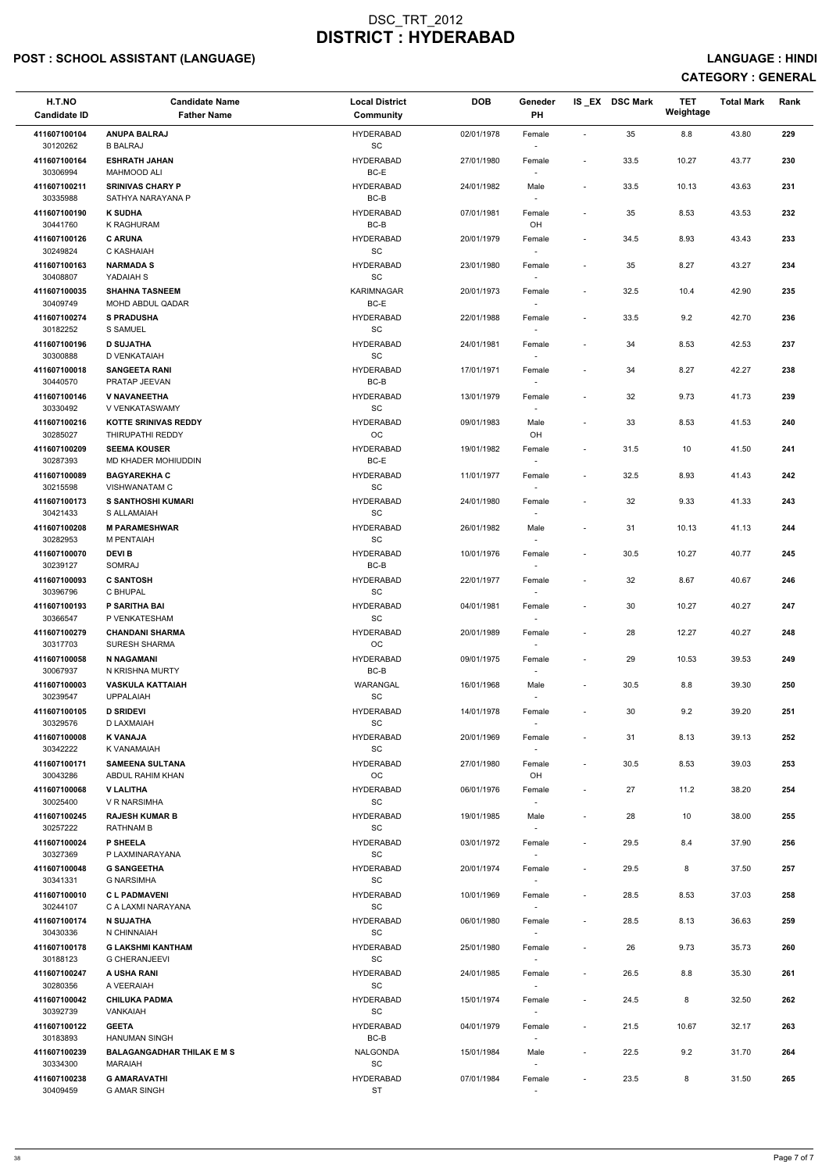## POST : SCHOOL ASSISTANT (LANGUAGE) And the state of the state of the state of the state of the state of the state of the state of the state of the state of the state of the state of the state of the state of the state of t

| H.T.NO<br><b>Candidate ID</b> | <b>Candidate Name</b><br><b>Father Name</b>               | <b>Local District</b><br>Community                | <b>DOB</b> | Geneder<br>PH    |                          | IS_EX DSC Mark | TET<br>Weightage | <b>Total Mark</b> | Rank |
|-------------------------------|-----------------------------------------------------------|---------------------------------------------------|------------|------------------|--------------------------|----------------|------------------|-------------------|------|
| 411607100104<br>30120262      | <b>ANUPA BALRAJ</b><br><b>B BALRAJ</b>                    | <b>HYDERABAD</b><br>$\operatorname{\textsf{SC}}$  | 02/01/1978 | Female           | $\overline{\phantom{a}}$ | 35             | 8.8              | 43.80             | 229  |
| 411607100164<br>30306994      | <b>ESHRATH JAHAN</b><br><b>MAHMOOD ALI</b>                | <b>HYDERABAD</b><br>BC-E                          | 27/01/1980 | Female           | $\overline{\phantom{a}}$ | 33.5           | 10.27            | 43.77             | 230  |
| 411607100211<br>30335988      | <b>SRINIVAS CHARY P</b><br>SATHYA NARAYANA P              | <b>HYDERABAD</b><br>BC-B                          | 24/01/1982 | Male<br>$\sim$   | $\sim$                   | 33.5           | 10.13            | 43.63             | 231  |
| 411607100190                  | <b>K SUDHA</b>                                            | <b>HYDERABAD</b>                                  | 07/01/1981 | Female           | $\overline{\phantom{a}}$ | 35             | 8.53             | 43.53             | 232  |
| 30441760<br>411607100126      | K RAGHURAM<br><b>C ARUNA</b>                              | BC-B<br><b>HYDERABAD</b>                          | 20/01/1979 | OH<br>Female     | $\overline{\phantom{a}}$ | 34.5           | 8.93             | 43.43             | 233  |
| 30249824<br>411607100163      | C KASHAIAH<br><b>NARMADA S</b>                            | <b>SC</b><br><b>HYDERABAD</b>                     | 23/01/1980 | $\sim$<br>Female | $\sim$                   | 35             | 8.27             | 43.27             | 234  |
| 30408807<br>411607100035      | YADAIAH S<br><b>SHAHNA TASNEEM</b>                        | $\operatorname{\textsf{SC}}$<br><b>KARIMNAGAR</b> | 20/01/1973 | Female           | $\overline{\phantom{a}}$ | 32.5           | 10.4             | 42.90             | 235  |
| 30409749                      | MOHD ABDUL QADAR                                          | BC-E                                              |            | $\sim$           |                          |                |                  |                   |      |
| 411607100274<br>30182252      | <b>S PRADUSHA</b><br>S SAMUEL                             | <b>HYDERABAD</b><br><b>SC</b>                     | 22/01/1988 | Female<br>$\sim$ | $\sim$                   | 33.5           | 9.2              | 42.70             | 236  |
| 411607100196<br>30300888      | <b>D SUJATHA</b><br>D VENKATAIAH                          | <b>HYDERABAD</b><br><b>SC</b>                     | 24/01/1981 | Female<br>$\sim$ | $\overline{\phantom{a}}$ | 34             | 8.53             | 42.53             | 237  |
| 411607100018<br>30440570      | <b>SANGEETA RANI</b><br>PRATAP JEEVAN                     | <b>HYDERABAD</b><br>BC-B                          | 17/01/1971 | Female           | $\overline{\phantom{a}}$ | 34             | 8.27             | 42.27             | 238  |
| 411607100146<br>30330492      | <b>V NAVANEETHA</b><br>V VENKATASWAMY                     | <b>HYDERABAD</b><br>SC                            | 13/01/1979 | Female           | $\overline{\phantom{a}}$ | 32             | 9.73             | 41.73             | 239  |
| 411607100216<br>30285027      | <b>KOTTE SRINIVAS REDDY</b><br>THIRUPATHI REDDY           | <b>HYDERABAD</b><br>OC                            | 09/01/1983 | Male<br>OH       | $\overline{\phantom{a}}$ | 33             | 8.53             | 41.53             | 240  |
| 411607100209                  | <b>SEEMA KOUSER</b>                                       | <b>HYDERABAD</b>                                  | 19/01/1982 | Female           | $\overline{\phantom{a}}$ | 31.5           | 10               | 41.50             | 241  |
| 30287393<br>411607100089      | MD KHADER MOHIUDDIN<br><b>BAGYAREKHA C</b>                | BC-E<br><b>HYDERABAD</b>                          | 11/01/1977 | $\sim$<br>Female | $\overline{\phantom{a}}$ | 32.5           | 8.93             | 41.43             | 242  |
| 30215598<br>411607100173      | <b>VISHWANATAM C</b><br><b>S SANTHOSHI KUMARI</b>         | $\operatorname{\textsf{SC}}$<br><b>HYDERABAD</b>  | 24/01/1980 | $\sim$<br>Female | $\overline{\phantom{a}}$ | 32             | 9.33             | 41.33             | 243  |
| 30421433                      | S ALLAMAIAH                                               | SC                                                |            |                  |                          |                |                  |                   |      |
| 411607100208<br>30282953      | <b>M PARAMESHWAR</b><br>M PENTAIAH                        | <b>HYDERABAD</b><br>SC                            | 26/01/1982 | Male<br>$\sim$   | $\overline{\phantom{a}}$ | 31             | 10.13            | 41.13             | 244  |
| 411607100070<br>30239127      | <b>DEVIB</b><br>SOMRAJ                                    | <b>HYDERABAD</b><br>BC-B                          | 10/01/1976 | Female           | $\overline{\phantom{a}}$ | 30.5           | 10.27            | 40.77             | 245  |
| 411607100093<br>30396796      | <b>C SANTOSH</b><br>C BHUPAL                              | <b>HYDERABAD</b><br><b>SC</b>                     | 22/01/1977 | Female           | $\sim$                   | 32             | 8.67             | 40.67             | 246  |
| 411607100193<br>30366547      | <b>P SARITHA BAI</b><br>P VENKATESHAM                     | <b>HYDERABAD</b><br>SC                            | 04/01/1981 | Female<br>$\sim$ | $\sim$                   | 30             | 10.27            | 40.27             | 247  |
| 411607100279                  | <b>CHANDANI SHARMA</b>                                    | <b>HYDERABAD</b>                                  | 20/01/1989 | Female           | $\overline{\phantom{a}}$ | 28             | 12.27            | 40.27             | 248  |
| 30317703<br>411607100058      | <b>SURESH SHARMA</b><br><b>N NAGAMANI</b>                 | <b>OC</b><br><b>HYDERABAD</b>                     | 09/01/1975 | $\sim$<br>Female | $\sim$                   | 29             | 10.53            | 39.53             | 249  |
| 30067937<br>411607100003      | N KRISHNA MURTY<br><b>VASKULA KATTAIAH</b>                | BC-B<br>WARANGAL                                  | 16/01/1968 | $\sim$<br>Male   | $\sim$                   | 30.5           | 8.8              | 39.30             | 250  |
| 30239547<br>411607100105      | <b>UPPALAIAH</b><br><b>D SRIDEVI</b>                      | SC<br><b>HYDERABAD</b>                            | 14/01/1978 | Female           | $\overline{\phantom{a}}$ | 30             | 9.2              | 39.20             | 251  |
| 30329576                      | D LAXMAIAH                                                | <b>SC</b>                                         |            | $\sim$           |                          |                |                  |                   |      |
| 411607100008<br>30342222      | <b>K VANAJA</b><br>K VANAMAIAH                            | <b>HYDERABAD</b><br>SC                            | 20/01/1969 | Female<br>$\sim$ | $\overline{\phantom{a}}$ | 31             | 8.13             | 39.13             | 252  |
| 411607100171<br>30043286      | <b>SAMEENA SULTANA</b><br>ABDUL RAHIM KHAN                | <b>HYDERABAD</b><br>OC.                           | 27/01/1980 | Female<br>OH     | $\overline{\phantom{a}}$ | 30.5           | 8.53             | 39.03             | 253  |
| 411607100068<br>30025400      | <b>V LALITHA</b><br>V R NARSIMHA                          | <b>HYDERABAD</b><br><b>SC</b>                     | 06/01/1976 | Female           | $\sim$                   | 27             | 11.2             | 38.20             | 254  |
| 411607100245<br>30257222      | <b>RAJESH KUMAR B</b>                                     | <b>HYDERABAD</b><br><b>SC</b>                     | 19/01/1985 | Male             | $\overline{\phantom{a}}$ | 28             | 10               | 38.00             | 255  |
| 411607100024                  | RATHNAM B<br><b>P SHEELA</b>                              | <b>HYDERABAD</b>                                  | 03/01/1972 | $\sim$<br>Female | $\overline{\phantom{a}}$ | 29.5           | 8.4              | 37.90             | 256  |
| 30327369<br>411607100048      | P LAXMINARAYANA<br><b>G SANGEETHA</b>                     | SC<br><b>HYDERABAD</b>                            | 20/01/1974 | $\sim$<br>Female | $\overline{\phantom{a}}$ | 29.5           | 8                | 37.50             | 257  |
| 30341331<br>411607100010      | <b>G NARSIMHA</b><br><b>CL PADMAVENI</b>                  | SC<br><b>HYDERABAD</b>                            | 10/01/1969 | $\sim$<br>Female | $\overline{\phantom{a}}$ | 28.5           | 8.53             | 37.03             | 258  |
| 30244107                      | C A LAXMI NARAYANA                                        | SC                                                |            | $\sim$           |                          |                |                  |                   |      |
| 411607100174<br>30430336      | <b>N SUJATHA</b><br>N CHINNAIAH                           | <b>HYDERABAD</b><br><b>SC</b>                     | 06/01/1980 | Female           | $\overline{\phantom{a}}$ | 28.5           | 8.13             | 36.63             | 259  |
| 411607100178<br>30188123      | <b>G LAKSHMI KANTHAM</b><br><b>G CHERANJEEVI</b>          | <b>HYDERABAD</b><br>SC                            | 25/01/1980 | Female<br>$\sim$ | $\sim$                   | 26             | 9.73             | 35.73             | 260  |
| 411607100247<br>30280356      | A USHA RANI<br>A VEERAIAH                                 | <b>HYDERABAD</b><br>SC                            | 24/01/1985 | Female<br>$\sim$ |                          | 26.5           | 8.8              | 35.30             | 261  |
| 411607100042<br>30392739      | <b>CHILUKA PADMA</b><br><b>VANKAIAH</b>                   | <b>HYDERABAD</b><br>SC                            | 15/01/1974 | Female<br>$\sim$ | $\sim$                   | 24.5           | 8                | 32.50             | 262  |
| 411607100122                  | <b>GEETA</b>                                              | <b>HYDERABAD</b>                                  | 04/01/1979 | Female           | $\overline{\phantom{a}}$ | 21.5           | 10.67            | 32.17             | 263  |
| 30183893<br>411607100239      | <b>HANUMAN SINGH</b><br><b>BALAGANGADHAR THILAK E M S</b> | BC-B<br>NALGONDA                                  | 15/01/1984 | $\sim$<br>Male   | $\overline{\phantom{a}}$ | 22.5           | 9.2              | 31.70             | 264  |
| 30334300<br>411607100238      | MARAIAH<br><b>G AMARAVATHI</b>                            | SC<br><b>HYDERABAD</b>                            | 07/01/1984 | $\sim$<br>Female | $\sim$                   | 23.5           | 8                | 31.50             | 265  |
| 30409459                      | <b>G AMAR SINGH</b>                                       | ST                                                |            | $\sim$           |                          |                |                  |                   |      |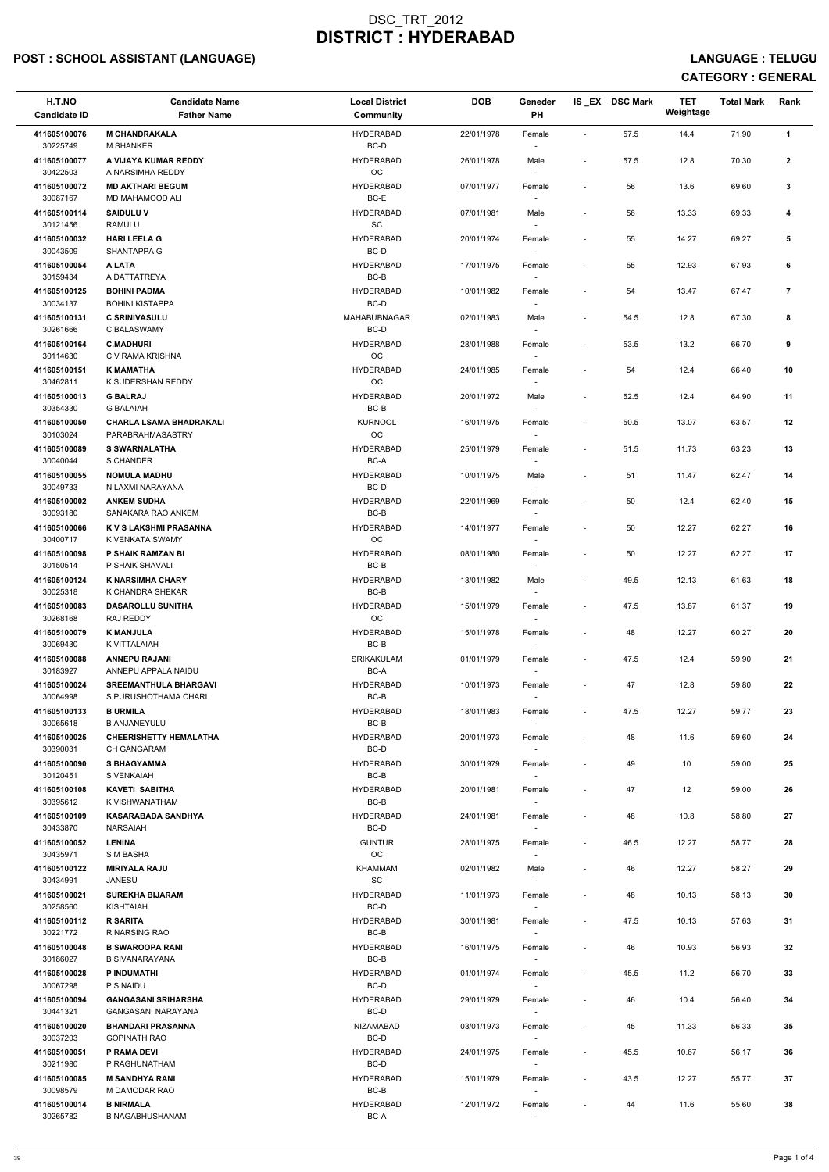## POST : SCHOOL ASSISTANT (LANGUAGE) And the set of the set of the set of the set of the set of the set of the set of the set of the set of the set of the set of the set of the set of the set of the set of the set of the set

| H.T.NO<br><b>Candidate ID</b> | <b>Candidate Name</b><br><b>Father Name</b>         | <b>Local District</b><br>Community | <b>DOB</b> | Geneder<br>PH                      |                          | IS_EX DSC Mark | <b>TET</b><br>Weightage | <b>Total Mark</b> | Rank           |
|-------------------------------|-----------------------------------------------------|------------------------------------|------------|------------------------------------|--------------------------|----------------|-------------------------|-------------------|----------------|
| 411605100076<br>30225749      | <b>M CHANDRAKALA</b><br><b>M SHANKER</b>            | <b>HYDERABAD</b><br>BC-D           | 22/01/1978 | Female<br>$\overline{\phantom{a}}$ | $\sim$                   | 57.5           | 14.4                    | 71.90             | $\mathbf{1}$   |
| 411605100077<br>30422503      | A VIJAYA KUMAR REDDY<br>A NARSIMHA REDDY            | <b>HYDERABAD</b><br>OC             | 26/01/1978 | Male                               | $\sim$                   | 57.5           | 12.8                    | 70.30             | $\mathbf{2}$   |
| 411605100072<br>30087167      | <b>MD AKTHARI BEGUM</b><br>MD MAHAMOOD ALI          | <b>HYDERABAD</b><br>BC-E           | 07/01/1977 | Female                             | $\overline{\phantom{a}}$ | 56             | 13.6                    | 69.60             | 3              |
| 411605100114                  | <b>SAIDULU V</b>                                    | <b>HYDERABAD</b>                   | 07/01/1981 | Male                               | $\overline{\phantom{a}}$ | 56             | 13.33                   | 69.33             | 4              |
| 30121456<br>411605100032      | RAMULU<br><b>HARI LEELA G</b>                       | SC<br><b>HYDERABAD</b>             | 20/01/1974 | $\overline{\phantom{a}}$<br>Female | $\overline{\phantom{a}}$ | 55             | 14.27                   | 69.27             | 5              |
| 30043509<br>411605100054      | SHANTAPPA G<br>A LATA                               | BC-D<br><b>HYDERABAD</b>           |            | $\sim$                             | $\overline{\phantom{a}}$ | 55             | 12.93                   | 67.93             | 6              |
| 30159434                      | A DATTATREYA                                        | $BC-B$                             | 17/01/1975 | Female                             |                          |                |                         |                   |                |
| 411605100125<br>30034137      | <b>BOHINI PADMA</b><br><b>BOHINI KISTAPPA</b>       | <b>HYDERABAD</b><br>BC-D           | 10/01/1982 | Female                             | $\overline{\phantom{a}}$ | 54             | 13.47                   | 67.47             | $\overline{7}$ |
| 411605100131<br>30261666      | <b>C SRINIVASULU</b><br>C BALASWAMY                 | MAHABUBNAGAR<br>BC-D               | 02/01/1983 | Male<br>$\sim$                     | $\overline{\phantom{a}}$ | 54.5           | 12.8                    | 67.30             | 8              |
| 411605100164<br>30114630      | <b>C.MADHURI</b><br>C V RAMA KRISHNA                | <b>HYDERABAD</b><br><b>OC</b>      | 28/01/1988 | Female<br>$\sim$                   | $\overline{\phantom{a}}$ | 53.5           | 13.2                    | 66.70             | 9              |
| 411605100151<br>30462811      | <b>K MAMATHA</b><br>K SUDERSHAN REDDY               | <b>HYDERABAD</b><br>OC             | 24/01/1985 | Female<br>$\overline{\phantom{a}}$ | $\sim$                   | 54             | 12.4                    | 66.40             | 10             |
| 411605100013                  | <b>G BALRAJ</b>                                     | <b>HYDERABAD</b>                   | 20/01/1972 | Male                               | $\sim$                   | 52.5           | 12.4                    | 64.90             | 11             |
| 30354330<br>411605100050      | <b>G BALAIAH</b><br><b>CHARLA LSAMA BHADRAKALI</b>  | $BC-B$<br><b>KURNOOL</b>           | 16/01/1975 | Female                             | $\overline{\phantom{a}}$ | 50.5           | 13.07                   | 63.57             | 12             |
| 30103024                      | PARABRAHMASASTRY                                    | OC                                 |            | $\sim$                             |                          |                |                         |                   |                |
| 411605100089<br>30040044      | <b>S SWARNALATHA</b><br>S CHANDER                   | <b>HYDERABAD</b><br>BC-A           | 25/01/1979 | Female<br>$\overline{\phantom{a}}$ | $\overline{\phantom{a}}$ | 51.5           | 11.73                   | 63.23             | 13             |
| 411605100055<br>30049733      | <b>NOMULA MADHU</b><br>N LAXMI NARAYANA             | <b>HYDERABAD</b><br>BC-D           | 10/01/1975 | Male<br>$\sim$                     | $\overline{\phantom{a}}$ | 51             | 11.47                   | 62.47             | 14             |
| 411605100002<br>30093180      | <b>ANKEM SUDHA</b><br>SANAKARA RAO ANKEM            | <b>HYDERABAD</b><br>BC-B           | 22/01/1969 | Female                             | $\overline{\phantom{a}}$ | 50             | 12.4                    | 62.40             | 15             |
| 411605100066<br>30400717      | K V S LAKSHMI PRASANNA<br>K VENKATA SWAMY           | <b>HYDERABAD</b><br><b>OC</b>      | 14/01/1977 | Female<br>$\sim$                   | $\overline{\phantom{a}}$ | 50             | 12.27                   | 62.27             | 16             |
| 411605100098<br>30150514      | P SHAIK RAMZAN BI<br>P SHAIK SHAVALI                | <b>HYDERABAD</b><br>BC-B           | 08/01/1980 | Female<br>$\sim$                   | $\overline{\phantom{a}}$ | 50             | 12.27                   | 62.27             | 17             |
| 411605100124<br>30025318      | <b>K NARSIMHA CHARY</b><br>K CHANDRA SHEKAR         | <b>HYDERABAD</b><br>BC-B           | 13/01/1982 | Male<br>$\sim$                     | $\sim$                   | 49.5           | 12.13                   | 61.63             | 18             |
| 411605100083<br>30268168      | <b>DASAROLLU SUNITHA</b><br>RAJ REDDY               | <b>HYDERABAD</b><br>OC             | 15/01/1979 | Female<br>$\sim$                   | $\sim$                   | 47.5           | 13.87                   | 61.37             | 19             |
| 411605100079<br>30069430      | <b>K MANJULA</b><br>K VITTALAIAH                    | <b>HYDERABAD</b><br>BC-B           | 15/01/1978 | Female<br>$\sim$                   |                          | 48             | 12.27                   | 60.27             | 20             |
| 411605100088<br>30183927      | <b>ANNEPU RAJANI</b><br>ANNEPU APPALA NAIDU         | <b>SRIKAKULAM</b><br>BC-A          | 01/01/1979 | Female<br>$\sim$                   | $\overline{\phantom{a}}$ | 47.5           | 12.4                    | 59.90             | 21             |
| 411605100024                  | <b>SREEMANTHULA BHARGAVI</b>                        | <b>HYDERABAD</b>                   | 10/01/1973 | Female                             | $\overline{\phantom{a}}$ | 47             | 12.8                    | 59.80             | 22             |
| 30064998<br>411605100133      | S PURUSHOTHAMA CHARI<br><b>B URMILA</b>             | BC-B<br><b>HYDERABAD</b>           | 18/01/1983 | Female                             | $\overline{\phantom{a}}$ | 47.5           | 12.27                   | 59.77             | 23             |
| 30065618                      | <b>B ANJANEYULU</b>                                 | BC-B                               |            |                                    |                          |                |                         |                   |                |
| 411605100025<br>30390031      | <b>CHEERISHETTY HEMALATHA</b><br><b>CH GANGARAM</b> | <b>HYDERABAD</b><br>BC-D           | 20/01/1973 | Female<br>$\sim$                   | $\sim$                   | 48             | 11.6                    | 59.60             | 24             |
| 411605100090<br>30120451      | <b>S BHAGYAMMA</b><br>S VENKAIAH                    | <b>HYDERABAD</b><br>BC-B           | 30/01/1979 | Female<br>$\sim$                   | $\overline{\phantom{a}}$ | 49             | 10                      | 59.00             | 25             |
| 411605100108<br>30395612      | <b>KAVETI SABITHA</b><br>K VISHWANATHAM             | <b>HYDERABAD</b><br>BC-B           | 20/01/1981 | Female<br>$\sim$                   | $\sim$                   | 47             | 12                      | 59.00             | 26             |
| 411605100109                  | <b>KASARABADA SANDHYA</b>                           | <b>HYDERABAD</b><br>BC-D           | 24/01/1981 | Female                             | $\overline{\phantom{a}}$ | 48             | 10.8                    | 58.80             | 27             |
| 30433870<br>411605100052      | <b>NARSAIAH</b><br><b>LENINA</b>                    | <b>GUNTUR</b>                      | 28/01/1975 | Female                             | $\overline{\phantom{a}}$ | 46.5           | 12.27                   | 58.77             | 28             |
| 30435971<br>411605100122      | S M BASHA<br><b>MIRIYALA RAJU</b>                   | OC<br>KHAMMAM                      | 02/01/1982 | $\sim$<br>Male                     |                          | 46             | 12.27                   | 58.27             | 29             |
| 30434991<br>411605100021      | <b>JANESU</b><br><b>SUREKHA BIJARAM</b>             | <b>SC</b><br><b>HYDERABAD</b>      | 11/01/1973 | $\sim$<br>Female                   | $\overline{\phantom{a}}$ | 48             | 10.13                   | 58.13             | 30             |
| 30258560                      | <b>KISHTAIAH</b>                                    | BC-D                               |            | $\sim$                             |                          |                |                         |                   |                |
| 411605100112<br>30221772      | <b>R SARITA</b><br>R NARSING RAO                    | <b>HYDERABAD</b><br>BC-B           | 30/01/1981 | Female                             | $\sim$                   | 47.5           | 10.13                   | 57.63             | 31             |
| 411605100048<br>30186027      | <b>B SWAROOPA RANI</b><br><b>B SIVANARAYANA</b>     | <b>HYDERABAD</b><br>BC-B           | 16/01/1975 | Female                             | $\sim$                   | 46             | 10.93                   | 56.93             | 32             |
| 411605100028                  | P INDUMATHI                                         | <b>HYDERABAD</b>                   | 01/01/1974 | Female                             | $\sim$                   | 45.5           | 11.2                    | 56.70             | 33             |
| 30067298<br>411605100094      | P S NAIDU<br><b>GANGASANI SRIHARSHA</b>             | BC-D<br><b>HYDERABAD</b>           | 29/01/1979 | $\sim$<br>Female                   |                          | 46             | 10.4                    | 56.40             | 34             |
| 30441321<br>411605100020      | GANGASANI NARAYANA<br><b>BHANDARI PRASANNA</b>      | BC-D<br>NIZAMABAD                  | 03/01/1973 | $\sim$<br>Female                   | $\overline{\phantom{a}}$ | 45             | 11.33                   | 56.33             | 35             |
| 30037203<br>411605100051      | <b>GOPINATH RAO</b><br>P RAMA DEVI                  | BC-D<br><b>HYDERABAD</b>           | 24/01/1975 | $\sim$<br>Female                   | $\sim$                   | 45.5           | 10.67                   | 56.17             | 36             |
| 30211980<br>411605100085      | P RAGHUNATHAM<br><b>M SANDHYA RANI</b>              | BC-D<br><b>HYDERABAD</b>           | 15/01/1979 | $\sim$<br>Female                   | $\sim$                   | 43.5           | 12.27                   | 55.77             | 37             |
| 30098579                      | M DAMODAR RAO                                       | BC-B                               |            | $\sim$                             |                          |                |                         |                   |                |
| 411605100014<br>30265782      | <b>B NIRMALA</b><br>B NAGABHUSHANAM                 | <b>HYDERABAD</b><br>BC-A           | 12/01/1972 | Female                             |                          | 44             | 11.6                    | 55.60             | 38             |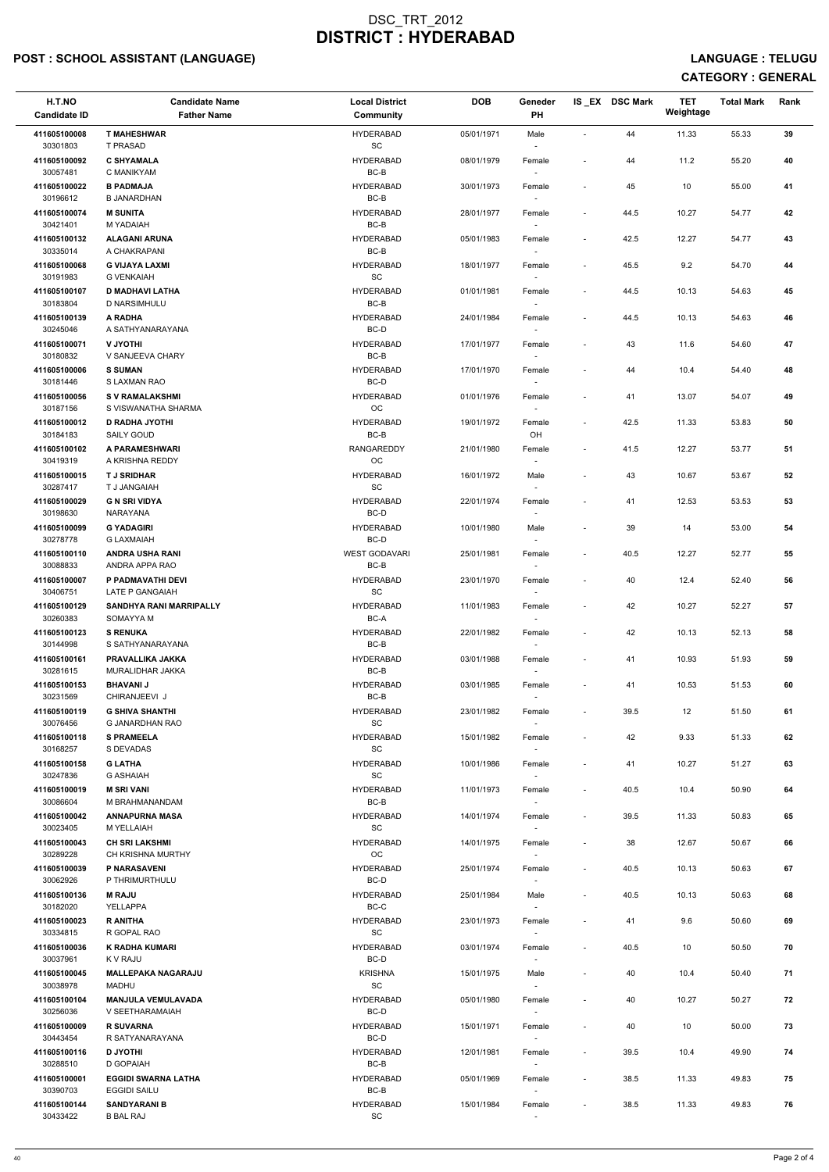## POST : SCHOOL ASSISTANT (LANGUAGE) And the set of the set of the set of the set of the set of the set of the set of the set of the set of the set of the set of the set of the set of the set of the set of the set of the set

| H.T.NO<br><b>Candidate ID</b> | <b>Candidate Name</b><br><b>Father Name</b>       | <b>Local District</b><br>Community               | <b>DOB</b> | Geneder<br>PH            |                          | IS_EX DSC Mark | <b>TET</b><br>Weightage | <b>Total Mark</b> | Rank |
|-------------------------------|---------------------------------------------------|--------------------------------------------------|------------|--------------------------|--------------------------|----------------|-------------------------|-------------------|------|
| 411605100008<br>30301803      | <b>T MAHESHWAR</b><br>T PRASAD                    | <b>HYDERABAD</b><br>$\operatorname{\textsf{SC}}$ | 05/01/1971 | Male                     |                          | 44             | 11.33                   | 55.33             | 39   |
| 411605100092<br>30057481      | <b>C SHYAMALA</b><br>C MANIKYAM                   | <b>HYDERABAD</b><br>$BC-B$                       | 08/01/1979 | Female                   | $\overline{\phantom{a}}$ | 44             | 11.2                    | 55.20             | 40   |
| 411605100022<br>30196612      | <b>B PADMAJA</b><br><b>B JANARDHAN</b>            | <b>HYDERABAD</b><br>BC-B                         | 30/01/1973 | Female<br>$\sim$         | $\overline{\phantom{a}}$ | 45             | 10                      | 55.00             | 41   |
| 411605100074                  | <b>M SUNITA</b>                                   | <b>HYDERABAD</b>                                 | 28/01/1977 | Female                   | $\overline{\phantom{a}}$ | 44.5           | 10.27                   | 54.77             | 42   |
| 30421401<br>411605100132      | M YADAIAH<br><b>ALAGANI ARUNA</b>                 | BC-B<br><b>HYDERABAD</b>                         | 05/01/1983 | $\sim$<br>Female         | $\overline{\phantom{a}}$ | 42.5           | 12.27                   | 54.77             | 43   |
| 30335014<br>411605100068      | A CHAKRAPANI<br><b>G VIJAYA LAXMI</b>             | BC-B<br><b>HYDERABAD</b>                         | 18/01/1977 | $\sim$<br>Female         | $\sim$                   | 45.5           | 9.2                     | 54.70             | 44   |
| 30191983                      | <b>G VENKAIAH</b>                                 | $\operatorname{\textsf{SC}}$                     |            |                          |                          |                |                         |                   |      |
| 411605100107<br>30183804      | <b>D MADHAVI LATHA</b><br>D NARSIMHULU            | <b>HYDERABAD</b><br>BC-B                         | 01/01/1981 | Female<br>$\sim$         | $\overline{\phantom{a}}$ | 44.5           | 10.13                   | 54.63             | 45   |
| 411605100139<br>30245046      | A RADHA<br>A SATHYANARAYANA                       | <b>HYDERABAD</b><br>BC-D                         | 24/01/1984 | Female<br>$\sim$         | $\overline{\phantom{a}}$ | 44.5           | 10.13                   | 54.63             | 46   |
| 411605100071<br>30180832      | <b>V JYOTHI</b><br>V SANJEEVA CHARY               | <b>HYDERABAD</b><br>BC-B                         | 17/01/1977 | Female<br>$\sim$         | $\overline{\phantom{a}}$ | 43             | 11.6                    | 54.60             | 47   |
| 411605100006                  | <b>S SUMAN</b>                                    | <b>HYDERABAD</b>                                 | 17/01/1970 | Female                   | $\overline{\phantom{a}}$ | 44             | 10.4                    | 54.40             | 48   |
| 30181446<br>411605100056      | S LAXMAN RAO<br><b>SV RAMALAKSHMI</b>             | BC-D<br><b>HYDERABAD</b>                         | 01/01/1976 | Female                   | $\overline{\phantom{a}}$ | 41             | 13.07                   | 54.07             | 49   |
| 30187156<br>411605100012      | S VISWANATHA SHARMA<br><b>D RADHA JYOTHI</b>      | $_{\rm OC}$<br><b>HYDERABAD</b>                  | 19/01/1972 | Female                   | $\sim$                   | 42.5           | 11.33                   | 53.83             | 50   |
| 30184183                      | SAILY GOUD                                        | BC-B                                             |            | OH                       |                          |                |                         |                   |      |
| 411605100102<br>30419319      | A PARAMESHWARI<br>A KRISHNA REDDY                 | <b>RANGAREDDY</b><br>OC                          | 21/01/1980 | Female<br>$\sim$         | $\overline{\phantom{a}}$ | 41.5           | 12.27                   | 53.77             | 51   |
| 411605100015<br>30287417      | <b>TJ SRIDHAR</b><br>T J JANGAIAH                 | <b>HYDERABAD</b><br>$\operatorname{\textsf{SC}}$ | 16/01/1972 | Male<br>$\sim$           | $\overline{\phantom{a}}$ | 43             | 10.67                   | 53.67             | 52   |
| 411605100029<br>30198630      | <b>G N SRI VIDYA</b><br>NARAYANA                  | <b>HYDERABAD</b><br>BC-D                         | 22/01/1974 | Female                   |                          | 41             | 12.53                   | 53.53             | 53   |
| 411605100099<br>30278778      | <b>G YADAGIRI</b><br><b>G LAXMAIAH</b>            | <b>HYDERABAD</b><br>BC-D                         | 10/01/1980 | Male<br>$\sim$           | $\overline{\phantom{a}}$ | 39             | 14                      | 53.00             | 54   |
| 411605100110<br>30088833      | <b>ANDRA USHA RANI</b><br>ANDRA APPA RAO          | <b>WEST GODAVARI</b><br>BC-B                     | 25/01/1981 | Female                   | $\overline{\phantom{a}}$ | 40.5           | 12.27                   | 52.77             | 55   |
| 411605100007<br>30406751      | P PADMAVATHI DEVI<br>LATE P GANGAIAH              | <b>HYDERABAD</b><br><b>SC</b>                    | 23/01/1970 | Female                   | $\sim$                   | 40             | 12.4                    | 52.40             | 56   |
| 411605100129<br>30260383      | <b>SANDHYA RANI MARRIPALLY</b><br>SOMAYYA M       | <b>HYDERABAD</b><br>BC-A                         | 11/01/1983 | Female<br>$\sim$         | $\sim$                   | 42             | 10.27                   | 52.27             | 57   |
| 411605100123<br>30144998      | <b>S RENUKA</b><br>S SATHYANARAYANA               | <b>HYDERABAD</b><br>BC-B                         | 22/01/1982 | Female<br>$\sim$         | $\overline{\phantom{a}}$ | 42             | 10.13                   | 52.13             | 58   |
| 411605100161<br>30281615      | PRAVALLIKA JAKKA<br>MURALIDHAR JAKKA              | <b>HYDERABAD</b><br>BC-B                         | 03/01/1988 | Female<br>$\sim$         | $\sim$                   | 41             | 10.93                   | 51.93             | 59   |
| 411605100153                  | <b>BHAVANIJ</b>                                   | <b>HYDERABAD</b>                                 | 03/01/1985 | Female                   | $\overline{\phantom{a}}$ | 41             | 10.53                   | 51.53             | 60   |
| 30231569<br>411605100119      | CHIRANJEEVI J<br><b>G SHIVA SHANTHI</b>           | BC-B<br><b>HYDERABAD</b>                         | 23/01/1982 | Female                   | $\overline{\phantom{a}}$ | 39.5           | 12                      | 51.50             | 61   |
| 30076456<br>411605100118      | G JANARDHAN RAO<br><b>S PRAMEELA</b>              | SC<br><b>HYDERABAD</b>                           | 15/01/1982 | $\sim$<br>Female         |                          | 42             | 9.33                    | 51.33             | 62   |
| 30168257                      | S DEVADAS                                         | SC                                               |            | $\sim$                   |                          |                |                         |                   |      |
| 411605100158<br>30247836      | <b>G LATHA</b><br><b>G ASHAIAH</b>                | <b>HYDERABAD</b><br>SC                           | 10/01/1986 | Female<br>$\sim$         | $\sim$                   | 41             | 10.27                   | 51.27             | 63   |
| 411605100019<br>30086604      | <b>M SRI VANI</b><br>M BRAHMANANDAM               | <b>HYDERABAD</b><br>BC-B                         | 11/01/1973 | Female                   | $\sim$                   | 40.5           | 10.4                    | 50.90             | 64   |
| 411605100042<br>30023405      | <b>ANNAPURNA MASA</b><br>M YELLAIAH               | <b>HYDERABAD</b><br><b>SC</b>                    | 14/01/1974 | Female                   | $\overline{\phantom{a}}$ | 39.5           | 11.33                   | 50.83             | 65   |
| 411605100043<br>30289228      | <b>CH SRI LAKSHMI</b><br>CH KRISHNA MURTHY        | <b>HYDERABAD</b><br>OC                           | 14/01/1975 | Female<br>$\sim$         | $\sim$                   | 38             | 12.67                   | 50.67             | 66   |
| 411605100039<br>30062926      | P NARASAVENI<br>P THRIMURTHULU                    | <b>HYDERABAD</b><br>BC-D                         | 25/01/1974 | Female<br>$\sim$         | $\overline{\phantom{a}}$ | 40.5           | 10.13                   | 50.63             | 67   |
| 411605100136<br>30182020      | <b>M RAJU</b><br>YELLAPPA                         | <b>HYDERABAD</b><br>BC-C                         | 25/01/1984 | Male<br>$\sim$           | $\overline{\phantom{a}}$ | 40.5           | 10.13                   | 50.63             | 68   |
| 411605100023                  | <b>R ANITHA</b>                                   | <b>HYDERABAD</b>                                 | 23/01/1973 | Female                   | $\sim$                   | 41             | 9.6                     | 50.60             | 69   |
| 30334815<br>411605100036      | R GOPAL RAO<br>K RADHA KUMARI                     | <b>SC</b><br><b>HYDERABAD</b>                    | 03/01/1974 | Female                   | $\overline{\phantom{a}}$ | 40.5           | 10                      | 50.50             | 70   |
| 30037961<br>411605100045      | K V RAJU<br><b>MALLEPAKA NAGARAJU</b>             | BC-D<br><b>KRISHNA</b>                           | 15/01/1975 | $\sim$<br>Male           |                          | 40             | 10.4                    | 50.40             | 71   |
| 30038978                      | <b>MADHU</b>                                      | SC                                               |            | $\overline{\phantom{a}}$ |                          |                |                         |                   |      |
| 411605100104<br>30256036      | <b>MANJULA VEMULAVADA</b><br>V SEETHARAMAIAH      | <b>HYDERABAD</b><br>BC-D                         | 05/01/1980 | Female<br>$\sim$         |                          | 40             | 10.27                   | 50.27             | 72   |
| 411605100009<br>30443454      | <b>R SUVARNA</b><br>R SATYANARAYANA               | <b>HYDERABAD</b><br>BC-D                         | 15/01/1971 | Female<br>$\sim$         | $\overline{\phantom{a}}$ | 40             | 10                      | 50.00             | 73   |
| 411605100116<br>30288510      | <b>D JYOTHI</b><br>D GOPAIAH                      | <b>HYDERABAD</b><br>BC-B                         | 12/01/1981 | Female<br>$\sim$         | $\overline{\phantom{a}}$ | 39.5           | 10.4                    | 49.90             | 74   |
| 411605100001<br>30390703      | <b>EGGIDI SWARNA LATHA</b><br><b>EGGIDI SAILU</b> | <b>HYDERABAD</b><br>BC-B                         | 05/01/1969 | Female<br>$\sim$         | $\sim$                   | 38.5           | 11.33                   | 49.83             | 75   |
| 411605100144<br>30433422      | <b>SANDYARANI B</b><br><b>B BAL RAJ</b>           | <b>HYDERABAD</b><br>SC                           | 15/01/1984 | Female<br>$\sim$         | $\overline{\phantom{a}}$ | 38.5           | 11.33                   | 49.83             | 76   |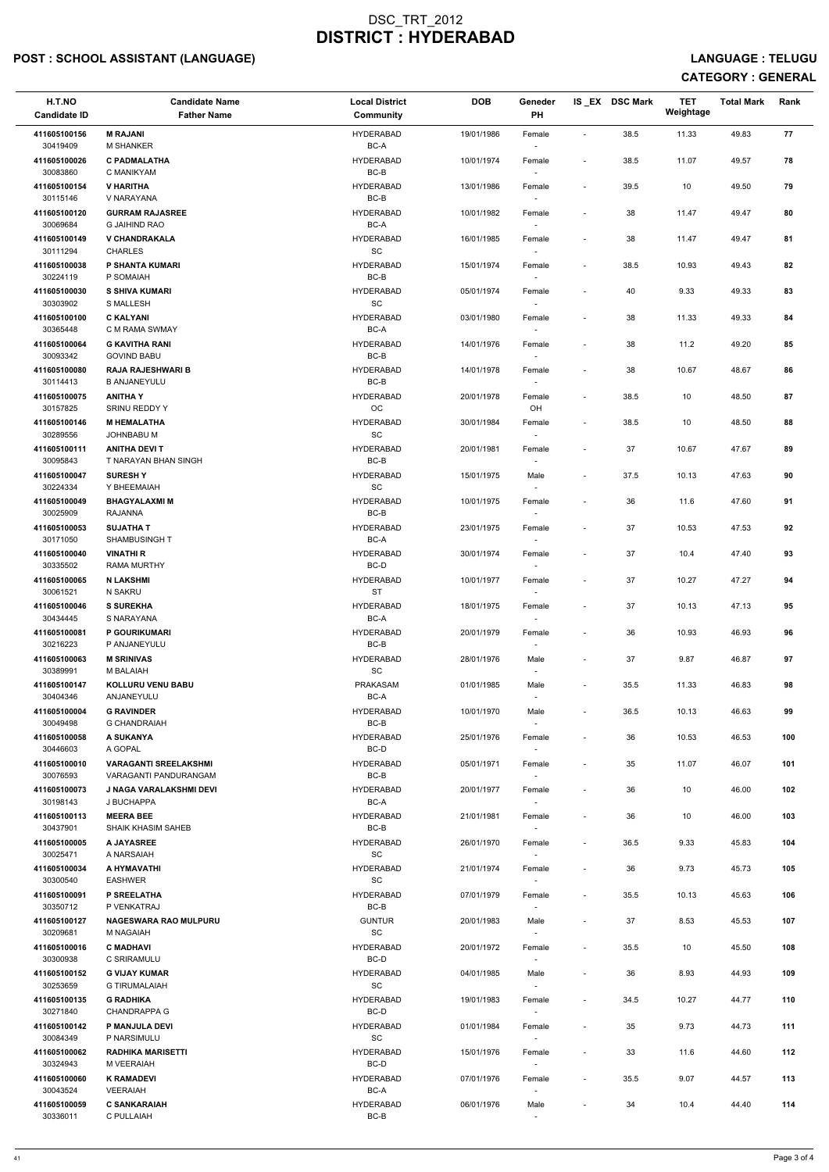## POST : SCHOOL ASSISTANT (LANGUAGE) And the set of the set of the set of the set of the set of the set of the set of the set of the set of the set of the set of the set of the set of the set of the set of the set of the set

| H.T.NO<br><b>Candidate ID</b> | <b>Candidate Name</b><br><b>Father Name</b>           | <b>Local District</b><br><b>Community</b>        | <b>DOB</b> | Geneder<br>PH                      |                              | IS_EX DSC Mark | <b>TET</b><br>Weightage | <b>Total Mark</b> | Rank |
|-------------------------------|-------------------------------------------------------|--------------------------------------------------|------------|------------------------------------|------------------------------|----------------|-------------------------|-------------------|------|
| 411605100156<br>30419409      | <b>M RAJANI</b><br><b>M SHANKER</b>                   | <b>HYDERABAD</b><br>BC-A                         | 19/01/1986 | Female                             | $\overline{\phantom{a}}$     | 38.5           | 11.33                   | 49.83             | 77   |
| 411605100026<br>30083860      | <b>C PADMALATHA</b><br>C MANIKYAM                     | <b>HYDERABAD</b><br>$BC-B$                       | 10/01/1974 | Female                             | $\overline{\phantom{a}}$     | 38.5           | 11.07                   | 49.57             | 78   |
| 411605100154<br>30115146      | <b>V HARITHA</b><br>V NARAYANA                        | <b>HYDERABAD</b><br>BC-B                         | 13/01/1986 | Female<br>$\sim$                   | $\overline{\phantom{a}}$     | 39.5           | 10                      | 49.50             | 79   |
| 411605100120                  | <b>GURRAM RAJASREE</b>                                | <b>HYDERABAD</b>                                 | 10/01/1982 | Female                             | $\overline{\phantom{a}}$     | 38             | 11.47                   | 49.47             | 80   |
| 30069684                      | <b>G JAIHIND RAO</b>                                  | BC-A                                             |            | $\overline{\phantom{a}}$           |                              |                |                         |                   |      |
| 411605100149<br>30111294      | <b>V CHANDRAKALA</b><br><b>CHARLES</b>                | <b>HYDERABAD</b><br>$\operatorname{\textsf{SC}}$ | 16/01/1985 | Female<br>$\overline{\phantom{a}}$ | $\qquad \qquad \blacksquare$ | 38             | 11.47                   | 49.47             | 81   |
| 411605100038<br>30224119      | P SHANTA KUMARI<br>P SOMAIAH                          | <b>HYDERABAD</b><br>$BC-B$                       | 15/01/1974 | Female                             | $\overline{\phantom{a}}$     | 38.5           | 10.93                   | 49.43             | 82   |
| 411605100030<br>30303902      | <b>S SHIVA KUMARI</b><br><b>S MALLESH</b>             | <b>HYDERABAD</b><br>$\operatorname{\textsf{SC}}$ | 05/01/1974 | Female<br>$\overline{\phantom{a}}$ | $\overline{\phantom{a}}$     | 40             | 9.33                    | 49.33             | 83   |
| 411605100100<br>30365448      | <b>C KALYANI</b><br>C M RAMA SWMAY                    | <b>HYDERABAD</b><br>BC-A                         | 03/01/1980 | Female<br>$\overline{\phantom{a}}$ | $\overline{\phantom{a}}$     | 38             | 11.33                   | 49.33             | 84   |
| 411605100064<br>30093342      | <b>G KAVITHA RANI</b><br><b>GOVIND BABU</b>           | <b>HYDERABAD</b><br>BC-B                         | 14/01/1976 | Female<br>$\overline{\phantom{a}}$ | $\overline{\phantom{a}}$     | 38             | 11.2                    | 49.20             | 85   |
| 411605100080<br>30114413      | <b>RAJA RAJESHWARI B</b><br><b>B ANJANEYULU</b>       | <b>HYDERABAD</b><br>BC-B                         | 14/01/1978 | Female                             | $\qquad \qquad \blacksquare$ | 38             | 10.67                   | 48.67             | 86   |
| 411605100075                  | <b>ANITHAY</b>                                        | <b>HYDERABAD</b>                                 | 20/01/1978 | Female                             | $\overline{\phantom{a}}$     | 38.5           | 10                      | 48.50             | 87   |
| 30157825<br>411605100146      | SRINU REDDY Y<br><b>M HEMALATHA</b>                   | $_{\rm OC}$<br><b>HYDERABAD</b>                  | 30/01/1984 | OH<br>Female                       | $\overline{\phantom{a}}$     | 38.5           | 10                      | 48.50             | 88   |
| 30289556                      | JOHNBABU M                                            | SC                                               |            | $\sim$                             |                              |                |                         |                   |      |
| 411605100111<br>30095843      | <b>ANITHA DEVIT</b><br>T NARAYAN BHAN SINGH           | <b>HYDERABAD</b><br>BC-B                         | 20/01/1981 | Female<br>$\overline{\phantom{a}}$ | $\overline{\phantom{a}}$     | 37             | 10.67                   | 47.67             | 89   |
| 411605100047                  | <b>SURESHY</b>                                        | <b>HYDERABAD</b>                                 | 15/01/1975 | Male                               | $\overline{\phantom{a}}$     | 37.5           | 10.13                   | 47.63             | 90   |
| 30224334<br>411605100049      | Y BHEEMAIAH<br><b>BHAGYALAXMIM</b>                    | SC<br><b>HYDERABAD</b>                           | 10/01/1975 | $\sim$<br>Female                   | $\overline{\phantom{a}}$     | 36             | 11.6                    | 47.60             | 91   |
| 30025909<br>411605100053      | <b>RAJANNA</b><br><b>SUJATHAT</b>                     | BC-B<br><b>HYDERABAD</b>                         | 23/01/1975 | Female                             | $\overline{\phantom{a}}$     | 37             | 10.53                   | 47.53             | 92   |
| 30171050<br>411605100040      | SHAMBUSINGH T<br><b>VINATHIR</b>                      | BC-A<br><b>HYDERABAD</b>                         | 30/01/1974 | $\overline{\phantom{a}}$<br>Female | $\qquad \qquad \blacksquare$ | 37             | 10.4                    | 47.40             | 93   |
| 30335502<br>411605100065      | <b>RAMA MURTHY</b><br><b>N LAKSHMI</b>                | BC-D<br><b>HYDERABAD</b>                         | 10/01/1977 | Female                             | $\overline{\phantom{a}}$     | 37             | 10.27                   | 47.27             | 94   |
| 30061521<br>411605100046      | N SAKRU                                               | <b>ST</b><br><b>HYDERABAD</b>                    |            |                                    |                              |                |                         |                   |      |
| 30434445                      | <b>S SUREKHA</b><br>S NARAYANA                        | BC-A                                             | 18/01/1975 | Female<br>$\sim$                   | $\blacksquare$               | 37             | 10.13                   | 47.13             | 95   |
| 411605100081<br>30216223      | P GOURIKUMARI<br>P ANJANEYULU                         | <b>HYDERABAD</b><br>BC-B                         | 20/01/1979 | Female<br>$\overline{\phantom{a}}$ | $\overline{\phantom{a}}$     | 36             | 10.93                   | 46.93             | 96   |
| 411605100063<br>30389991      | <b>M SRINIVAS</b><br>M BALAIAH                        | <b>HYDERABAD</b><br><b>SC</b>                    | 28/01/1976 | Male<br>$\overline{\phantom{a}}$   | $\overline{\phantom{a}}$     | 37             | 9.87                    | 46.87             | 97   |
| 411605100147                  | <b>KOLLURU VENU BABU</b>                              | PRAKASAM                                         | 01/01/1985 | Male                               | $\overline{\phantom{a}}$     | 35.5           | 11.33                   | 46.83             | 98   |
| 30404346<br>411605100004      | ANJANEYULU<br><b>G RAVINDER</b>                       | BC-A<br><b>HYDERABAD</b>                         | 10/01/1970 | Male                               | $\overline{\phantom{a}}$     | 36.5           | 10.13                   | 46.63             | 99   |
| 30049498                      | <b>G CHANDRAIAH</b>                                   | BC-B                                             |            | $\sim$                             |                              |                |                         |                   |      |
| 411605100058<br>30446603      | A SUKANYA<br>A GOPAL                                  | <b>HYDERABAD</b><br>BC-D                         | 25/01/1976 | Female<br>$\overline{\phantom{a}}$ | $\qquad \qquad \blacksquare$ | 36             | 10.53                   | 46.53             | 100  |
| 411605100010<br>30076593      | <b>VARAGANTI SREELAKSHMI</b><br>VARAGANTI PANDURANGAM | <b>HYDERABAD</b><br>BC-B                         | 05/01/1971 | Female<br>$\sim$                   | $\overline{\phantom{a}}$     | 35             | 11.07                   | 46.07             | 101  |
| 411605100073<br>30198143      | J NAGA VARALAKSHMI DEVI<br>J BUCHAPPA                 | <b>HYDERABAD</b><br>BC-A                         | 20/01/1977 | Female                             | $\qquad \qquad \blacksquare$ | 36             | 10                      | 46.00             | 102  |
| 411605100113<br>30437901      | <b>MEERA BEE</b><br>SHAIK KHASIM SAHEB                | <b>HYDERABAD</b><br>BC-B                         | 21/01/1981 | Female<br>$\overline{\phantom{a}}$ | $\overline{\phantom{a}}$     | 36             | 10                      | 46.00             | 103  |
| 411605100005<br>30025471      | <b>A JAYASREE</b><br>A NARSAIAH                       | <b>HYDERABAD</b><br>SC                           | 26/01/1970 | Female<br>$\sim$                   | $\overline{\phantom{a}}$     | 36.5           | 9.33                    | 45.83             | 104  |
| 411605100034                  | A HYMAVATHI                                           | <b>HYDERABAD</b>                                 | 21/01/1974 | Female                             | $\overline{\phantom{a}}$     | 36             | 9.73                    | 45.73             | 105  |
| 30300540<br>411605100091      | <b>EASHWER</b><br>P SREELATHA                         | <b>SC</b><br><b>HYDERABAD</b>                    | 07/01/1979 | $\sim$<br>Female                   | $\overline{\phantom{a}}$     | 35.5           | 10.13                   | 45.63             | 106  |
| 30350712<br>411605100127      | P VENKATRAJ<br><b>NAGESWARA RAO MULPURU</b>           | BC-B<br><b>GUNTUR</b>                            | 20/01/1983 | $\overline{\phantom{a}}$<br>Male   | $\overline{\phantom{a}}$     | 37             | 8.53                    | 45.53             | 107  |
| 30209681<br>411605100016      | <b>M NAGAIAH</b><br><b>C MADHAVI</b>                  | SC<br><b>HYDERABAD</b>                           | 20/01/1972 |                                    | $\overline{\phantom{a}}$     | 35.5           | 10                      | 45.50             | 108  |
| 30300938                      | C SRIRAMULU                                           | BC-D                                             |            | Female<br>$\overline{\phantom{a}}$ |                              |                |                         |                   |      |
| 411605100152<br>30253659      | <b>G VIJAY KUMAR</b><br><b>G TIRUMALAIAH</b>          | <b>HYDERABAD</b><br>SC                           | 04/01/1985 | Male<br>$\overline{\phantom{a}}$   |                              | 36             | 8.93                    | 44.93             | 109  |
| 411605100135<br>30271840      | <b>G RADHIKA</b><br>CHANDRAPPA G                      | <b>HYDERABAD</b><br>BC-D                         | 19/01/1983 | Female<br>$\overline{\phantom{a}}$ | $\qquad \qquad \blacksquare$ | 34.5           | 10.27                   | 44.77             | 110  |
| 411605100142<br>30084349      | P MANJULA DEVI                                        | <b>HYDERABAD</b><br>SC                           | 01/01/1984 | Female                             | $\overline{\phantom{a}}$     | 35             | 9.73                    | 44.73             | 111  |
| 411605100062                  | P NARSIMULU<br><b>RADHIKA MARISETTI</b>               | <b>HYDERABAD</b>                                 | 15/01/1976 | $\overline{\phantom{a}}$<br>Female | $\overline{\phantom{a}}$     | 33             | 11.6                    | 44.60             | 112  |
| 30324943<br>411605100060      | M VEERAIAH<br><b>K RAMADEVI</b>                       | BC-D<br><b>HYDERABAD</b>                         | 07/01/1976 | $\overline{\phantom{a}}$<br>Female | $\overline{\phantom{a}}$     | 35.5           | 9.07                    | 44.57             | 113  |
| 30043524<br>411605100059      | <b>VEERAIAH</b><br><b>C SANKARAIAH</b>                | BC-A<br><b>HYDERABAD</b>                         | 06/01/1976 | $\overline{\phantom{a}}$<br>Male   | $\overline{\phantom{a}}$     | 34             | 10.4                    | 44.40             | 114  |
| 30336011                      | C PULLAIAH                                            | $BC-B$                                           |            | $\overline{\phantom{a}}$           |                              |                |                         |                   |      |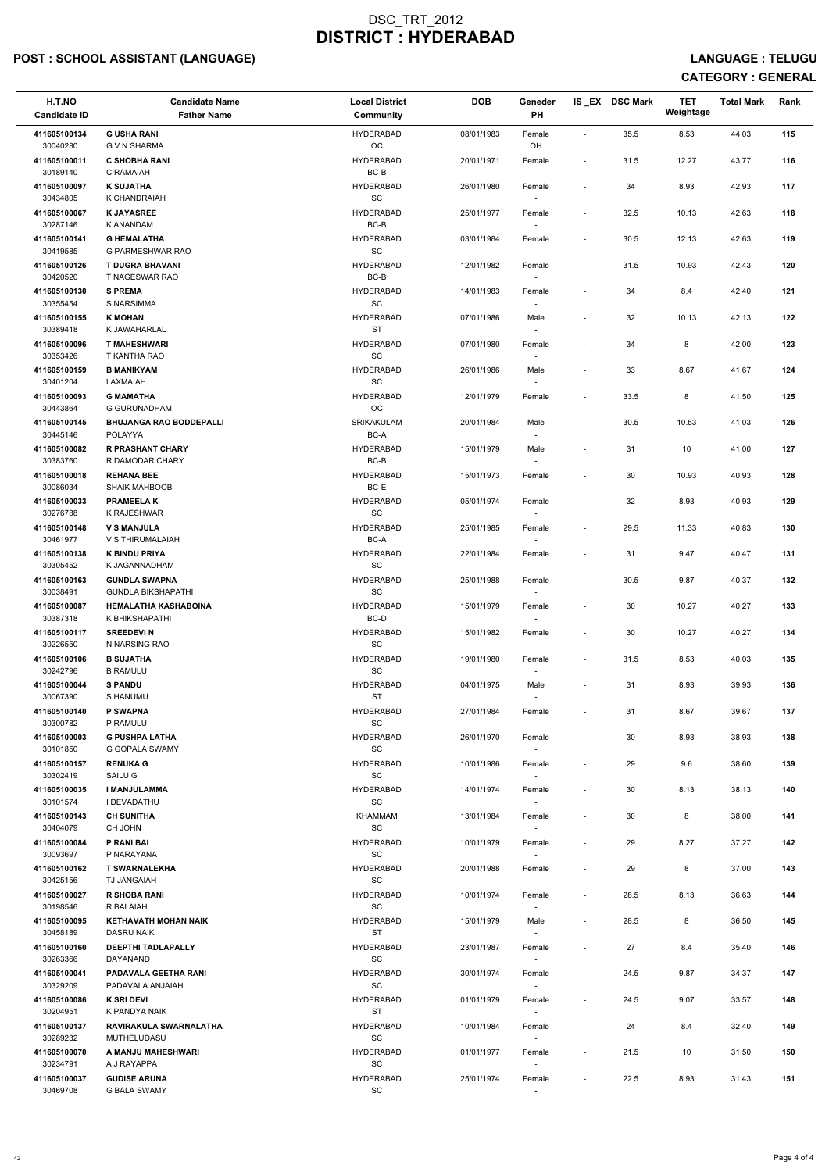## POST : SCHOOL ASSISTANT (LANGUAGE) And the set of the set of the set of the set of the set of the set of the set of the set of the set of the set of the set of the set of the set of the set of the set of the set of the set

| 35.5<br>8.53<br>44.03<br>115<br>411605100134<br><b>G USHA RANI</b><br><b>HYDERABAD</b><br>08/01/1983<br>Female<br>$\blacksquare$<br>30040280<br>OC<br>OH<br>G V N SHARMA<br>411605100011<br><b>C SHOBHA RANI</b><br><b>HYDERABAD</b><br>116<br>20/01/1971<br>31.5<br>12.27<br>43.77<br>Female<br>$\overline{\phantom{a}}$<br>$BC-B$<br>30189140<br>C RAMAIAH<br>411605100097<br><b>K SUJATHA</b><br><b>HYDERABAD</b><br>34<br>8.93<br>42.93<br>117<br>26/01/1980<br>Female<br>$\sim$<br>$\operatorname{\textsf{SC}}$<br>30434805<br>K CHANDRAIAH<br>$\sim$<br><b>HYDERABAD</b><br>32.5<br>42.63<br>118<br>411605100067<br><b>K JAYASREE</b><br>25/01/1977<br>10.13<br>Female<br>$\overline{\phantom{a}}$<br>30287146<br>BC-B<br><b>K ANANDAM</b><br>$\sim$<br><b>G HEMALATHA</b><br>$30.5$<br>42.63<br>411605100141<br><b>HYDERABAD</b><br>03/01/1984<br>12.13<br>119<br>Female<br>$\overline{\phantom{a}}$<br>SC<br>30419585<br>G PARMESHWAR RAO<br>$\sim$<br><b>T DUGRA BHAVANI</b><br>120<br>411605100126<br><b>HYDERABAD</b><br>31.5<br>10.93<br>42.43<br>12/01/1982<br>Female<br>$\sim$<br>BC-B<br>30420520<br>T NAGESWAR RAO<br>411605100130<br><b>S PREMA</b><br><b>HYDERABAD</b><br>8.4<br>42.40<br>121<br>14/01/1983<br>34<br>Female<br>$\overline{\phantom{a}}$<br>$\operatorname{\textsf{SC}}$<br>30355454<br>S NARSIMMA<br><b>K MOHAN</b><br><b>HYDERABAD</b><br>32<br>42.13<br>122<br>411605100155<br>07/01/1986<br>Male<br>10.13<br>$\overline{\phantom{a}}$<br>30389418<br><b>ST</b><br>K JAWAHARLAL<br>$\sim$<br>411605100096<br><b>HYDERABAD</b><br>34<br>8<br>42.00<br>123<br><b>T MAHESHWARI</b><br>07/01/1980<br>Female<br>$\overline{\phantom{a}}$<br>SC<br>30353426<br>T KANTHA RAO<br>$\sim$<br><b>B MANIKYAM</b><br>8.67<br>411605100159<br><b>HYDERABAD</b><br>33<br>41.67<br>124<br>26/01/1986<br>Male<br>$\sim$<br>$\operatorname{\textsf{SC}}$<br>30401204<br>LAXMAIAH<br>$\sim$<br><b>HYDERABAD</b><br>411605100093<br><b>G MAMATHA</b><br>33.5<br>8<br>41.50<br>125<br>12/01/1979<br>Female<br>$\sim$<br>$_{\rm OC}$<br>30443864<br><b>G GURUNADHAM</b><br>411605100145<br><b>BHUJANGA RAO BODDEPALLI</b><br>SRIKAKULAM<br>20/01/1984<br>30.5<br>Male<br>10.53<br>41.03<br>126<br>$\overline{\phantom{a}}$<br>30445146<br>POLAYYA<br>BC-A<br>$\sim$<br>31<br>411605100082<br><b>R PRASHANT CHARY</b><br><b>HYDERABAD</b><br>15/01/1979<br>Male<br>10<br>41.00<br>127<br>$\overline{\phantom{a}}$<br>30383760<br>BC-B<br>R DAMODAR CHARY<br>$\sim$<br><b>REHANA BEE</b><br>30<br>40.93<br>411605100018<br><b>HYDERABAD</b><br>15/01/1973<br>10.93<br>128<br>Female<br>$\sim$<br>BC-E<br>30086034<br><b>SHAIK MAHBOOB</b><br>$\sim$<br><b>PRAMEELAK</b><br><b>HYDERABAD</b><br>32<br>8.93<br>40.93<br>129<br>411605100033<br>05/01/1974<br>Female<br>$\overline{\phantom{a}}$<br>30276788<br>SC<br>K RAJESHWAR<br><b>V S MANJULA</b><br><b>HYDERABAD</b><br>29.5<br>40.83<br>411605100148<br>25/01/1985<br>11.33<br>130<br>Female<br>$\overline{\phantom{a}}$<br>30461977<br>V S THIRUMALAIAH<br>BC-A<br>$\sim$<br><b>K BINDU PRIYA</b><br><b>HYDERABAD</b><br>9.47<br>40.47<br>131<br>411605100138<br>22/01/1984<br>31<br>Female<br>$\overline{\phantom{a}}$<br>30305452<br>SC<br>K JAGANNADHAM<br>$\sim$<br>411605100163<br><b>GUNDLA SWAPNA</b><br><b>HYDERABAD</b><br>30.5<br>9.87<br>40.37<br>132<br>25/01/1988<br>Female<br>$\sim$<br>SC<br>30038491<br><b>GUNDLA BIKSHAPATHI</b><br>133<br>411605100087<br><b>HEMALATHA KASHABOINA</b><br><b>HYDERABAD</b><br>30<br>10.27<br>40.27<br>15/01/1979<br>Female<br>$\overline{\phantom{a}}$<br>BC-D<br>30387318<br>K BHIKSHAPATHI<br>$\sim$<br>134<br>411605100117<br><b>SREEDEVIN</b><br><b>HYDERABAD</b><br>15/01/1982<br>30<br>10.27<br>40.27<br>Female<br>30226550<br>N NARSING RAO<br>SC<br><b>HYDERABAD</b><br>8.53<br>411605100106<br><b>B SUJATHA</b><br>19/01/1980<br>31.5<br>40.03<br>135<br>Female<br>$\overline{\phantom{a}}$<br>SC<br>30242796<br><b>B RAMULU</b><br>$\sim$<br><b>S PANDU</b><br>8.93<br>411605100044<br><b>HYDERABAD</b><br>31<br>39.93<br>136<br>04/01/1975<br>Male<br>$\overline{\phantom{a}}$<br>30067390<br>ST<br>S HANUMU<br>$\overline{\phantom{a}}$<br>411605100140<br><b>P SWAPNA</b><br><b>HYDERABAD</b><br>27/01/1984<br>31<br>8.67<br>39.67<br>137<br>Female<br>$\sim$<br>30300782<br><b>SC</b><br>P RAMULU<br><b>HYDERABAD</b><br>30<br>38.93<br>138<br>411605100003<br><b>G PUSHPA LATHA</b><br>26/01/1970<br>8.93<br>Female<br>$\sim$<br>SC<br>30101850<br><b>G GOPALA SWAMY</b><br>$\sim$<br><b>RENUKA G</b><br><b>HYDERABAD</b><br>9.6<br>38.60<br>411605100157<br>10/01/1986<br>29<br>139<br>Female<br>$\overline{\phantom{a}}$<br>SAILU G<br><b>SC</b><br>30302419<br>$\sim$<br><b>I MANJULAMMA</b><br>8.13<br>411605100035<br><b>HYDERABAD</b><br>30<br>38.13<br>140<br>14/01/1974<br>Female<br>$\overline{\phantom{a}}$<br>SC<br>30101574<br>I DEVADATHU<br>$\sim$<br><b>CH SUNITHA</b><br>411605100143<br>KHAMMAM<br>30<br>8<br>38.00<br>141<br>13/01/1984<br>Female<br>$\overline{\phantom{a}}$<br>SC<br>30404079<br>CH JOHN<br>411605100084<br><b>HYDERABAD</b><br>29<br>8.27<br>37.27<br>142<br>P RANI BAI<br>10/01/1979<br>Female<br>$\overline{\phantom{a}}$<br>30093697<br>SC<br>P NARAYANA<br>$\sim$<br>37.00<br>411605100162<br><b>T SWARNALEKHA</b><br><b>HYDERABAD</b><br>20/01/1988<br>29<br>8<br>143<br>Female<br>SC<br>30425156<br>TJ JANGAIAH<br>$\sim$<br><b>R SHOBA RANI</b><br>8.13<br>411605100027<br><b>HYDERABAD</b><br>10/01/1974<br>28.5<br>36.63<br>144<br>Female<br>$\sim$<br>SC<br>30198546<br>R BALAIAH<br>$\sim$<br>411605100095<br><b>KETHAVATH MOHAN NAIK</b><br><b>HYDERABAD</b><br>28.5<br>8<br>36.50<br>145<br>15/01/1979<br>Male<br>$\overline{\phantom{a}}$<br>30458189<br>DASRU NAIK<br>ST<br>411605100160<br><b>DEEPTHI TADLAPALLY</b><br><b>HYDERABAD</b><br>27<br>8.4<br>35.40<br>146<br>23/01/1987<br>Female<br>$\sim$<br>SC<br>30263366<br>DAYANAND<br>411605100041<br><b>HYDERABAD</b><br>30/01/1974<br>24.5<br>9.87<br>34.37<br>147<br>PADAVALA GEETHA RANI<br>Female<br>$\sim$<br>30329209<br>SC<br>PADAVALA ANJAIAH<br>$\sim$<br>K SRI DEVI<br><b>HYDERABAD</b><br>9.07<br>33.57<br>148<br>411605100086<br>01/01/1979<br>Female<br>24.5<br>$\overline{\phantom{a}}$<br>ST<br>30204951<br>K PANDYA NAIK<br>$\sim$<br>411605100137<br>RAVIRAKULA SWARNALATHA<br><b>HYDERABAD</b><br>10/01/1984<br>24<br>8.4<br>32.40<br>149<br>Female<br>$\sim$<br>30289232<br>SC<br>MUTHELUDASU<br>$\sim$<br><b>HYDERABAD</b><br>411605100070<br>A MANJU MAHESHWARI<br>01/01/1977<br>21.5<br>10<br>31.50<br>150<br>Female<br>$\sim$<br>SC<br>30234791<br>A J RAYAPPA<br>$\sim$<br>411605100037<br><b>GUDISE ARUNA</b><br><b>HYDERABAD</b><br>22.5<br>8.93<br>31.43<br>25/01/1974<br>151<br>Female<br>$\sim$ | H.T.NO<br><b>Candidate ID</b> | <b>Candidate Name</b><br><b>Father Name</b> | <b>Local District</b><br>Community | <b>DOB</b> | Geneder<br>PH | IS_EX DSC Mark | <b>TET</b><br>Weightage | <b>Total Mark</b> | Rank |
|-------------------------------------------------------------------------------------------------------------------------------------------------------------------------------------------------------------------------------------------------------------------------------------------------------------------------------------------------------------------------------------------------------------------------------------------------------------------------------------------------------------------------------------------------------------------------------------------------------------------------------------------------------------------------------------------------------------------------------------------------------------------------------------------------------------------------------------------------------------------------------------------------------------------------------------------------------------------------------------------------------------------------------------------------------------------------------------------------------------------------------------------------------------------------------------------------------------------------------------------------------------------------------------------------------------------------------------------------------------------------------------------------------------------------------------------------------------------------------------------------------------------------------------------------------------------------------------------------------------------------------------------------------------------------------------------------------------------------------------------------------------------------------------------------------------------------------------------------------------------------------------------------------------------------------------------------------------------------------------------------------------------------------------------------------------------------------------------------------------------------------------------------------------------------------------------------------------------------------------------------------------------------------------------------------------------------------------------------------------------------------------------------------------------------------------------------------------------------------------------------------------------------------------------------------------------------------------------------------------------------------------------------------------------------------------------------------------------------------------------------------------------------------------------------------------------------------------------------------------------------------------------------------------------------------------------------------------------------------------------------------------------------------------------------------------------------------------------------------------------------------------------------------------------------------------------------------------------------------------------------------------------------------------------------------------------------------------------------------------------------------------------------------------------------------------------------------------------------------------------------------------------------------------------------------------------------------------------------------------------------------------------------------------------------------------------------------------------------------------------------------------------------------------------------------------------------------------------------------------------------------------------------------------------------------------------------------------------------------------------------------------------------------------------------------------------------------------------------------------------------------------------------------------------------------------------------------------------------------------------------------------------------------------------------------------------------------------------------------------------------------------------------------------------------------------------------------------------------------------------------------------------------------------------------------------------------------------------------------------------------------------------------------------------------------------------------------------------------------------------------------------------------------------------------------------------------------------------------------------------------------------------------------------------------------------------------------------------------------------------------------------------------------------------------------------------------------------------------------------------------------------------------------------------------------------------------------------------------------------------------------------------------------------------------------------------------------------------------------------------------------------------------------------------------------------------------------------------------------------------------------------------------------------------------------------------------------------------------------------------------------------------------------------------------------------------------------------------------------------------------------------------------------------------------------------------------------------------------------------------------------------------------------------------------------------------------------------------------------------------------------------------------------------------------------------------------------------------------------------------------------------------------------------------------------------------------------------------------------------------------------------------------------------------------------------------------------------------------------------------------------------------------------------------------------------------------------------------------------------------------------------------------------------------------------------------------------------------------------------------------------------------------------------------------------------------------------------------------------------------------------------------------|-------------------------------|---------------------------------------------|------------------------------------|------------|---------------|----------------|-------------------------|-------------------|------|
|                                                                                                                                                                                                                                                                                                                                                                                                                                                                                                                                                                                                                                                                                                                                                                                                                                                                                                                                                                                                                                                                                                                                                                                                                                                                                                                                                                                                                                                                                                                                                                                                                                                                                                                                                                                                                                                                                                                                                                                                                                                                                                                                                                                                                                                                                                                                                                                                                                                                                                                                                                                                                                                                                                                                                                                                                                                                                                                                                                                                                                                                                                                                                                                                                                                                                                                                                                                                                                                                                                                                                                                                                                                                                                                                                                                                                                                                                                                                                                                                                                                                                                                                                                                                                                                                                                                                                                                                                                                                                                                                                                                                                                                                                                                                                                                                                                                                                                                                                                                                                                                                                                                                                                                                                                                                                                                                                                                                                                                                                                                                                                                                                                                                                                                                                                                                                                                                                                                                                                                                                                                                                                                                                                                                                                                                                                                                                                                                                                                                                                                                                                                                                                                                                                                                                                         |                               |                                             |                                    |            |               |                |                         |                   |      |
|                                                                                                                                                                                                                                                                                                                                                                                                                                                                                                                                                                                                                                                                                                                                                                                                                                                                                                                                                                                                                                                                                                                                                                                                                                                                                                                                                                                                                                                                                                                                                                                                                                                                                                                                                                                                                                                                                                                                                                                                                                                                                                                                                                                                                                                                                                                                                                                                                                                                                                                                                                                                                                                                                                                                                                                                                                                                                                                                                                                                                                                                                                                                                                                                                                                                                                                                                                                                                                                                                                                                                                                                                                                                                                                                                                                                                                                                                                                                                                                                                                                                                                                                                                                                                                                                                                                                                                                                                                                                                                                                                                                                                                                                                                                                                                                                                                                                                                                                                                                                                                                                                                                                                                                                                                                                                                                                                                                                                                                                                                                                                                                                                                                                                                                                                                                                                                                                                                                                                                                                                                                                                                                                                                                                                                                                                                                                                                                                                                                                                                                                                                                                                                                                                                                                                                         |                               |                                             |                                    |            |               |                |                         |                   |      |
|                                                                                                                                                                                                                                                                                                                                                                                                                                                                                                                                                                                                                                                                                                                                                                                                                                                                                                                                                                                                                                                                                                                                                                                                                                                                                                                                                                                                                                                                                                                                                                                                                                                                                                                                                                                                                                                                                                                                                                                                                                                                                                                                                                                                                                                                                                                                                                                                                                                                                                                                                                                                                                                                                                                                                                                                                                                                                                                                                                                                                                                                                                                                                                                                                                                                                                                                                                                                                                                                                                                                                                                                                                                                                                                                                                                                                                                                                                                                                                                                                                                                                                                                                                                                                                                                                                                                                                                                                                                                                                                                                                                                                                                                                                                                                                                                                                                                                                                                                                                                                                                                                                                                                                                                                                                                                                                                                                                                                                                                                                                                                                                                                                                                                                                                                                                                                                                                                                                                                                                                                                                                                                                                                                                                                                                                                                                                                                                                                                                                                                                                                                                                                                                                                                                                                                         |                               |                                             |                                    |            |               |                |                         |                   |      |
|                                                                                                                                                                                                                                                                                                                                                                                                                                                                                                                                                                                                                                                                                                                                                                                                                                                                                                                                                                                                                                                                                                                                                                                                                                                                                                                                                                                                                                                                                                                                                                                                                                                                                                                                                                                                                                                                                                                                                                                                                                                                                                                                                                                                                                                                                                                                                                                                                                                                                                                                                                                                                                                                                                                                                                                                                                                                                                                                                                                                                                                                                                                                                                                                                                                                                                                                                                                                                                                                                                                                                                                                                                                                                                                                                                                                                                                                                                                                                                                                                                                                                                                                                                                                                                                                                                                                                                                                                                                                                                                                                                                                                                                                                                                                                                                                                                                                                                                                                                                                                                                                                                                                                                                                                                                                                                                                                                                                                                                                                                                                                                                                                                                                                                                                                                                                                                                                                                                                                                                                                                                                                                                                                                                                                                                                                                                                                                                                                                                                                                                                                                                                                                                                                                                                                                         |                               |                                             |                                    |            |               |                |                         |                   |      |
|                                                                                                                                                                                                                                                                                                                                                                                                                                                                                                                                                                                                                                                                                                                                                                                                                                                                                                                                                                                                                                                                                                                                                                                                                                                                                                                                                                                                                                                                                                                                                                                                                                                                                                                                                                                                                                                                                                                                                                                                                                                                                                                                                                                                                                                                                                                                                                                                                                                                                                                                                                                                                                                                                                                                                                                                                                                                                                                                                                                                                                                                                                                                                                                                                                                                                                                                                                                                                                                                                                                                                                                                                                                                                                                                                                                                                                                                                                                                                                                                                                                                                                                                                                                                                                                                                                                                                                                                                                                                                                                                                                                                                                                                                                                                                                                                                                                                                                                                                                                                                                                                                                                                                                                                                                                                                                                                                                                                                                                                                                                                                                                                                                                                                                                                                                                                                                                                                                                                                                                                                                                                                                                                                                                                                                                                                                                                                                                                                                                                                                                                                                                                                                                                                                                                                                         |                               |                                             |                                    |            |               |                |                         |                   |      |
|                                                                                                                                                                                                                                                                                                                                                                                                                                                                                                                                                                                                                                                                                                                                                                                                                                                                                                                                                                                                                                                                                                                                                                                                                                                                                                                                                                                                                                                                                                                                                                                                                                                                                                                                                                                                                                                                                                                                                                                                                                                                                                                                                                                                                                                                                                                                                                                                                                                                                                                                                                                                                                                                                                                                                                                                                                                                                                                                                                                                                                                                                                                                                                                                                                                                                                                                                                                                                                                                                                                                                                                                                                                                                                                                                                                                                                                                                                                                                                                                                                                                                                                                                                                                                                                                                                                                                                                                                                                                                                                                                                                                                                                                                                                                                                                                                                                                                                                                                                                                                                                                                                                                                                                                                                                                                                                                                                                                                                                                                                                                                                                                                                                                                                                                                                                                                                                                                                                                                                                                                                                                                                                                                                                                                                                                                                                                                                                                                                                                                                                                                                                                                                                                                                                                                                         |                               |                                             |                                    |            |               |                |                         |                   |      |
|                                                                                                                                                                                                                                                                                                                                                                                                                                                                                                                                                                                                                                                                                                                                                                                                                                                                                                                                                                                                                                                                                                                                                                                                                                                                                                                                                                                                                                                                                                                                                                                                                                                                                                                                                                                                                                                                                                                                                                                                                                                                                                                                                                                                                                                                                                                                                                                                                                                                                                                                                                                                                                                                                                                                                                                                                                                                                                                                                                                                                                                                                                                                                                                                                                                                                                                                                                                                                                                                                                                                                                                                                                                                                                                                                                                                                                                                                                                                                                                                                                                                                                                                                                                                                                                                                                                                                                                                                                                                                                                                                                                                                                                                                                                                                                                                                                                                                                                                                                                                                                                                                                                                                                                                                                                                                                                                                                                                                                                                                                                                                                                                                                                                                                                                                                                                                                                                                                                                                                                                                                                                                                                                                                                                                                                                                                                                                                                                                                                                                                                                                                                                                                                                                                                                                                         |                               |                                             |                                    |            |               |                |                         |                   |      |
|                                                                                                                                                                                                                                                                                                                                                                                                                                                                                                                                                                                                                                                                                                                                                                                                                                                                                                                                                                                                                                                                                                                                                                                                                                                                                                                                                                                                                                                                                                                                                                                                                                                                                                                                                                                                                                                                                                                                                                                                                                                                                                                                                                                                                                                                                                                                                                                                                                                                                                                                                                                                                                                                                                                                                                                                                                                                                                                                                                                                                                                                                                                                                                                                                                                                                                                                                                                                                                                                                                                                                                                                                                                                                                                                                                                                                                                                                                                                                                                                                                                                                                                                                                                                                                                                                                                                                                                                                                                                                                                                                                                                                                                                                                                                                                                                                                                                                                                                                                                                                                                                                                                                                                                                                                                                                                                                                                                                                                                                                                                                                                                                                                                                                                                                                                                                                                                                                                                                                                                                                                                                                                                                                                                                                                                                                                                                                                                                                                                                                                                                                                                                                                                                                                                                                                         |                               |                                             |                                    |            |               |                |                         |                   |      |
|                                                                                                                                                                                                                                                                                                                                                                                                                                                                                                                                                                                                                                                                                                                                                                                                                                                                                                                                                                                                                                                                                                                                                                                                                                                                                                                                                                                                                                                                                                                                                                                                                                                                                                                                                                                                                                                                                                                                                                                                                                                                                                                                                                                                                                                                                                                                                                                                                                                                                                                                                                                                                                                                                                                                                                                                                                                                                                                                                                                                                                                                                                                                                                                                                                                                                                                                                                                                                                                                                                                                                                                                                                                                                                                                                                                                                                                                                                                                                                                                                                                                                                                                                                                                                                                                                                                                                                                                                                                                                                                                                                                                                                                                                                                                                                                                                                                                                                                                                                                                                                                                                                                                                                                                                                                                                                                                                                                                                                                                                                                                                                                                                                                                                                                                                                                                                                                                                                                                                                                                                                                                                                                                                                                                                                                                                                                                                                                                                                                                                                                                                                                                                                                                                                                                                                         |                               |                                             |                                    |            |               |                |                         |                   |      |
|                                                                                                                                                                                                                                                                                                                                                                                                                                                                                                                                                                                                                                                                                                                                                                                                                                                                                                                                                                                                                                                                                                                                                                                                                                                                                                                                                                                                                                                                                                                                                                                                                                                                                                                                                                                                                                                                                                                                                                                                                                                                                                                                                                                                                                                                                                                                                                                                                                                                                                                                                                                                                                                                                                                                                                                                                                                                                                                                                                                                                                                                                                                                                                                                                                                                                                                                                                                                                                                                                                                                                                                                                                                                                                                                                                                                                                                                                                                                                                                                                                                                                                                                                                                                                                                                                                                                                                                                                                                                                                                                                                                                                                                                                                                                                                                                                                                                                                                                                                                                                                                                                                                                                                                                                                                                                                                                                                                                                                                                                                                                                                                                                                                                                                                                                                                                                                                                                                                                                                                                                                                                                                                                                                                                                                                                                                                                                                                                                                                                                                                                                                                                                                                                                                                                                                         |                               |                                             |                                    |            |               |                |                         |                   |      |
|                                                                                                                                                                                                                                                                                                                                                                                                                                                                                                                                                                                                                                                                                                                                                                                                                                                                                                                                                                                                                                                                                                                                                                                                                                                                                                                                                                                                                                                                                                                                                                                                                                                                                                                                                                                                                                                                                                                                                                                                                                                                                                                                                                                                                                                                                                                                                                                                                                                                                                                                                                                                                                                                                                                                                                                                                                                                                                                                                                                                                                                                                                                                                                                                                                                                                                                                                                                                                                                                                                                                                                                                                                                                                                                                                                                                                                                                                                                                                                                                                                                                                                                                                                                                                                                                                                                                                                                                                                                                                                                                                                                                                                                                                                                                                                                                                                                                                                                                                                                                                                                                                                                                                                                                                                                                                                                                                                                                                                                                                                                                                                                                                                                                                                                                                                                                                                                                                                                                                                                                                                                                                                                                                                                                                                                                                                                                                                                                                                                                                                                                                                                                                                                                                                                                                                         |                               |                                             |                                    |            |               |                |                         |                   |      |
|                                                                                                                                                                                                                                                                                                                                                                                                                                                                                                                                                                                                                                                                                                                                                                                                                                                                                                                                                                                                                                                                                                                                                                                                                                                                                                                                                                                                                                                                                                                                                                                                                                                                                                                                                                                                                                                                                                                                                                                                                                                                                                                                                                                                                                                                                                                                                                                                                                                                                                                                                                                                                                                                                                                                                                                                                                                                                                                                                                                                                                                                                                                                                                                                                                                                                                                                                                                                                                                                                                                                                                                                                                                                                                                                                                                                                                                                                                                                                                                                                                                                                                                                                                                                                                                                                                                                                                                                                                                                                                                                                                                                                                                                                                                                                                                                                                                                                                                                                                                                                                                                                                                                                                                                                                                                                                                                                                                                                                                                                                                                                                                                                                                                                                                                                                                                                                                                                                                                                                                                                                                                                                                                                                                                                                                                                                                                                                                                                                                                                                                                                                                                                                                                                                                                                                         |                               |                                             |                                    |            |               |                |                         |                   |      |
|                                                                                                                                                                                                                                                                                                                                                                                                                                                                                                                                                                                                                                                                                                                                                                                                                                                                                                                                                                                                                                                                                                                                                                                                                                                                                                                                                                                                                                                                                                                                                                                                                                                                                                                                                                                                                                                                                                                                                                                                                                                                                                                                                                                                                                                                                                                                                                                                                                                                                                                                                                                                                                                                                                                                                                                                                                                                                                                                                                                                                                                                                                                                                                                                                                                                                                                                                                                                                                                                                                                                                                                                                                                                                                                                                                                                                                                                                                                                                                                                                                                                                                                                                                                                                                                                                                                                                                                                                                                                                                                                                                                                                                                                                                                                                                                                                                                                                                                                                                                                                                                                                                                                                                                                                                                                                                                                                                                                                                                                                                                                                                                                                                                                                                                                                                                                                                                                                                                                                                                                                                                                                                                                                                                                                                                                                                                                                                                                                                                                                                                                                                                                                                                                                                                                                                         |                               |                                             |                                    |            |               |                |                         |                   |      |
|                                                                                                                                                                                                                                                                                                                                                                                                                                                                                                                                                                                                                                                                                                                                                                                                                                                                                                                                                                                                                                                                                                                                                                                                                                                                                                                                                                                                                                                                                                                                                                                                                                                                                                                                                                                                                                                                                                                                                                                                                                                                                                                                                                                                                                                                                                                                                                                                                                                                                                                                                                                                                                                                                                                                                                                                                                                                                                                                                                                                                                                                                                                                                                                                                                                                                                                                                                                                                                                                                                                                                                                                                                                                                                                                                                                                                                                                                                                                                                                                                                                                                                                                                                                                                                                                                                                                                                                                                                                                                                                                                                                                                                                                                                                                                                                                                                                                                                                                                                                                                                                                                                                                                                                                                                                                                                                                                                                                                                                                                                                                                                                                                                                                                                                                                                                                                                                                                                                                                                                                                                                                                                                                                                                                                                                                                                                                                                                                                                                                                                                                                                                                                                                                                                                                                                         |                               |                                             |                                    |            |               |                |                         |                   |      |
|                                                                                                                                                                                                                                                                                                                                                                                                                                                                                                                                                                                                                                                                                                                                                                                                                                                                                                                                                                                                                                                                                                                                                                                                                                                                                                                                                                                                                                                                                                                                                                                                                                                                                                                                                                                                                                                                                                                                                                                                                                                                                                                                                                                                                                                                                                                                                                                                                                                                                                                                                                                                                                                                                                                                                                                                                                                                                                                                                                                                                                                                                                                                                                                                                                                                                                                                                                                                                                                                                                                                                                                                                                                                                                                                                                                                                                                                                                                                                                                                                                                                                                                                                                                                                                                                                                                                                                                                                                                                                                                                                                                                                                                                                                                                                                                                                                                                                                                                                                                                                                                                                                                                                                                                                                                                                                                                                                                                                                                                                                                                                                                                                                                                                                                                                                                                                                                                                                                                                                                                                                                                                                                                                                                                                                                                                                                                                                                                                                                                                                                                                                                                                                                                                                                                                                         |                               |                                             |                                    |            |               |                |                         |                   |      |
|                                                                                                                                                                                                                                                                                                                                                                                                                                                                                                                                                                                                                                                                                                                                                                                                                                                                                                                                                                                                                                                                                                                                                                                                                                                                                                                                                                                                                                                                                                                                                                                                                                                                                                                                                                                                                                                                                                                                                                                                                                                                                                                                                                                                                                                                                                                                                                                                                                                                                                                                                                                                                                                                                                                                                                                                                                                                                                                                                                                                                                                                                                                                                                                                                                                                                                                                                                                                                                                                                                                                                                                                                                                                                                                                                                                                                                                                                                                                                                                                                                                                                                                                                                                                                                                                                                                                                                                                                                                                                                                                                                                                                                                                                                                                                                                                                                                                                                                                                                                                                                                                                                                                                                                                                                                                                                                                                                                                                                                                                                                                                                                                                                                                                                                                                                                                                                                                                                                                                                                                                                                                                                                                                                                                                                                                                                                                                                                                                                                                                                                                                                                                                                                                                                                                                                         |                               |                                             |                                    |            |               |                |                         |                   |      |
|                                                                                                                                                                                                                                                                                                                                                                                                                                                                                                                                                                                                                                                                                                                                                                                                                                                                                                                                                                                                                                                                                                                                                                                                                                                                                                                                                                                                                                                                                                                                                                                                                                                                                                                                                                                                                                                                                                                                                                                                                                                                                                                                                                                                                                                                                                                                                                                                                                                                                                                                                                                                                                                                                                                                                                                                                                                                                                                                                                                                                                                                                                                                                                                                                                                                                                                                                                                                                                                                                                                                                                                                                                                                                                                                                                                                                                                                                                                                                                                                                                                                                                                                                                                                                                                                                                                                                                                                                                                                                                                                                                                                                                                                                                                                                                                                                                                                                                                                                                                                                                                                                                                                                                                                                                                                                                                                                                                                                                                                                                                                                                                                                                                                                                                                                                                                                                                                                                                                                                                                                                                                                                                                                                                                                                                                                                                                                                                                                                                                                                                                                                                                                                                                                                                                                                         |                               |                                             |                                    |            |               |                |                         |                   |      |
|                                                                                                                                                                                                                                                                                                                                                                                                                                                                                                                                                                                                                                                                                                                                                                                                                                                                                                                                                                                                                                                                                                                                                                                                                                                                                                                                                                                                                                                                                                                                                                                                                                                                                                                                                                                                                                                                                                                                                                                                                                                                                                                                                                                                                                                                                                                                                                                                                                                                                                                                                                                                                                                                                                                                                                                                                                                                                                                                                                                                                                                                                                                                                                                                                                                                                                                                                                                                                                                                                                                                                                                                                                                                                                                                                                                                                                                                                                                                                                                                                                                                                                                                                                                                                                                                                                                                                                                                                                                                                                                                                                                                                                                                                                                                                                                                                                                                                                                                                                                                                                                                                                                                                                                                                                                                                                                                                                                                                                                                                                                                                                                                                                                                                                                                                                                                                                                                                                                                                                                                                                                                                                                                                                                                                                                                                                                                                                                                                                                                                                                                                                                                                                                                                                                                                                         |                               |                                             |                                    |            |               |                |                         |                   |      |
|                                                                                                                                                                                                                                                                                                                                                                                                                                                                                                                                                                                                                                                                                                                                                                                                                                                                                                                                                                                                                                                                                                                                                                                                                                                                                                                                                                                                                                                                                                                                                                                                                                                                                                                                                                                                                                                                                                                                                                                                                                                                                                                                                                                                                                                                                                                                                                                                                                                                                                                                                                                                                                                                                                                                                                                                                                                                                                                                                                                                                                                                                                                                                                                                                                                                                                                                                                                                                                                                                                                                                                                                                                                                                                                                                                                                                                                                                                                                                                                                                                                                                                                                                                                                                                                                                                                                                                                                                                                                                                                                                                                                                                                                                                                                                                                                                                                                                                                                                                                                                                                                                                                                                                                                                                                                                                                                                                                                                                                                                                                                                                                                                                                                                                                                                                                                                                                                                                                                                                                                                                                                                                                                                                                                                                                                                                                                                                                                                                                                                                                                                                                                                                                                                                                                                                         |                               |                                             |                                    |            |               |                |                         |                   |      |
|                                                                                                                                                                                                                                                                                                                                                                                                                                                                                                                                                                                                                                                                                                                                                                                                                                                                                                                                                                                                                                                                                                                                                                                                                                                                                                                                                                                                                                                                                                                                                                                                                                                                                                                                                                                                                                                                                                                                                                                                                                                                                                                                                                                                                                                                                                                                                                                                                                                                                                                                                                                                                                                                                                                                                                                                                                                                                                                                                                                                                                                                                                                                                                                                                                                                                                                                                                                                                                                                                                                                                                                                                                                                                                                                                                                                                                                                                                                                                                                                                                                                                                                                                                                                                                                                                                                                                                                                                                                                                                                                                                                                                                                                                                                                                                                                                                                                                                                                                                                                                                                                                                                                                                                                                                                                                                                                                                                                                                                                                                                                                                                                                                                                                                                                                                                                                                                                                                                                                                                                                                                                                                                                                                                                                                                                                                                                                                                                                                                                                                                                                                                                                                                                                                                                                                         |                               |                                             |                                    |            |               |                |                         |                   |      |
|                                                                                                                                                                                                                                                                                                                                                                                                                                                                                                                                                                                                                                                                                                                                                                                                                                                                                                                                                                                                                                                                                                                                                                                                                                                                                                                                                                                                                                                                                                                                                                                                                                                                                                                                                                                                                                                                                                                                                                                                                                                                                                                                                                                                                                                                                                                                                                                                                                                                                                                                                                                                                                                                                                                                                                                                                                                                                                                                                                                                                                                                                                                                                                                                                                                                                                                                                                                                                                                                                                                                                                                                                                                                                                                                                                                                                                                                                                                                                                                                                                                                                                                                                                                                                                                                                                                                                                                                                                                                                                                                                                                                                                                                                                                                                                                                                                                                                                                                                                                                                                                                                                                                                                                                                                                                                                                                                                                                                                                                                                                                                                                                                                                                                                                                                                                                                                                                                                                                                                                                                                                                                                                                                                                                                                                                                                                                                                                                                                                                                                                                                                                                                                                                                                                                                                         |                               |                                             |                                    |            |               |                |                         |                   |      |
|                                                                                                                                                                                                                                                                                                                                                                                                                                                                                                                                                                                                                                                                                                                                                                                                                                                                                                                                                                                                                                                                                                                                                                                                                                                                                                                                                                                                                                                                                                                                                                                                                                                                                                                                                                                                                                                                                                                                                                                                                                                                                                                                                                                                                                                                                                                                                                                                                                                                                                                                                                                                                                                                                                                                                                                                                                                                                                                                                                                                                                                                                                                                                                                                                                                                                                                                                                                                                                                                                                                                                                                                                                                                                                                                                                                                                                                                                                                                                                                                                                                                                                                                                                                                                                                                                                                                                                                                                                                                                                                                                                                                                                                                                                                                                                                                                                                                                                                                                                                                                                                                                                                                                                                                                                                                                                                                                                                                                                                                                                                                                                                                                                                                                                                                                                                                                                                                                                                                                                                                                                                                                                                                                                                                                                                                                                                                                                                                                                                                                                                                                                                                                                                                                                                                                                         |                               |                                             |                                    |            |               |                |                         |                   |      |
|                                                                                                                                                                                                                                                                                                                                                                                                                                                                                                                                                                                                                                                                                                                                                                                                                                                                                                                                                                                                                                                                                                                                                                                                                                                                                                                                                                                                                                                                                                                                                                                                                                                                                                                                                                                                                                                                                                                                                                                                                                                                                                                                                                                                                                                                                                                                                                                                                                                                                                                                                                                                                                                                                                                                                                                                                                                                                                                                                                                                                                                                                                                                                                                                                                                                                                                                                                                                                                                                                                                                                                                                                                                                                                                                                                                                                                                                                                                                                                                                                                                                                                                                                                                                                                                                                                                                                                                                                                                                                                                                                                                                                                                                                                                                                                                                                                                                                                                                                                                                                                                                                                                                                                                                                                                                                                                                                                                                                                                                                                                                                                                                                                                                                                                                                                                                                                                                                                                                                                                                                                                                                                                                                                                                                                                                                                                                                                                                                                                                                                                                                                                                                                                                                                                                                                         |                               |                                             |                                    |            |               |                |                         |                   |      |
|                                                                                                                                                                                                                                                                                                                                                                                                                                                                                                                                                                                                                                                                                                                                                                                                                                                                                                                                                                                                                                                                                                                                                                                                                                                                                                                                                                                                                                                                                                                                                                                                                                                                                                                                                                                                                                                                                                                                                                                                                                                                                                                                                                                                                                                                                                                                                                                                                                                                                                                                                                                                                                                                                                                                                                                                                                                                                                                                                                                                                                                                                                                                                                                                                                                                                                                                                                                                                                                                                                                                                                                                                                                                                                                                                                                                                                                                                                                                                                                                                                                                                                                                                                                                                                                                                                                                                                                                                                                                                                                                                                                                                                                                                                                                                                                                                                                                                                                                                                                                                                                                                                                                                                                                                                                                                                                                                                                                                                                                                                                                                                                                                                                                                                                                                                                                                                                                                                                                                                                                                                                                                                                                                                                                                                                                                                                                                                                                                                                                                                                                                                                                                                                                                                                                                                         |                               |                                             |                                    |            |               |                |                         |                   |      |
|                                                                                                                                                                                                                                                                                                                                                                                                                                                                                                                                                                                                                                                                                                                                                                                                                                                                                                                                                                                                                                                                                                                                                                                                                                                                                                                                                                                                                                                                                                                                                                                                                                                                                                                                                                                                                                                                                                                                                                                                                                                                                                                                                                                                                                                                                                                                                                                                                                                                                                                                                                                                                                                                                                                                                                                                                                                                                                                                                                                                                                                                                                                                                                                                                                                                                                                                                                                                                                                                                                                                                                                                                                                                                                                                                                                                                                                                                                                                                                                                                                                                                                                                                                                                                                                                                                                                                                                                                                                                                                                                                                                                                                                                                                                                                                                                                                                                                                                                                                                                                                                                                                                                                                                                                                                                                                                                                                                                                                                                                                                                                                                                                                                                                                                                                                                                                                                                                                                                                                                                                                                                                                                                                                                                                                                                                                                                                                                                                                                                                                                                                                                                                                                                                                                                                                         |                               |                                             |                                    |            |               |                |                         |                   |      |
|                                                                                                                                                                                                                                                                                                                                                                                                                                                                                                                                                                                                                                                                                                                                                                                                                                                                                                                                                                                                                                                                                                                                                                                                                                                                                                                                                                                                                                                                                                                                                                                                                                                                                                                                                                                                                                                                                                                                                                                                                                                                                                                                                                                                                                                                                                                                                                                                                                                                                                                                                                                                                                                                                                                                                                                                                                                                                                                                                                                                                                                                                                                                                                                                                                                                                                                                                                                                                                                                                                                                                                                                                                                                                                                                                                                                                                                                                                                                                                                                                                                                                                                                                                                                                                                                                                                                                                                                                                                                                                                                                                                                                                                                                                                                                                                                                                                                                                                                                                                                                                                                                                                                                                                                                                                                                                                                                                                                                                                                                                                                                                                                                                                                                                                                                                                                                                                                                                                                                                                                                                                                                                                                                                                                                                                                                                                                                                                                                                                                                                                                                                                                                                                                                                                                                                         |                               |                                             |                                    |            |               |                |                         |                   |      |
|                                                                                                                                                                                                                                                                                                                                                                                                                                                                                                                                                                                                                                                                                                                                                                                                                                                                                                                                                                                                                                                                                                                                                                                                                                                                                                                                                                                                                                                                                                                                                                                                                                                                                                                                                                                                                                                                                                                                                                                                                                                                                                                                                                                                                                                                                                                                                                                                                                                                                                                                                                                                                                                                                                                                                                                                                                                                                                                                                                                                                                                                                                                                                                                                                                                                                                                                                                                                                                                                                                                                                                                                                                                                                                                                                                                                                                                                                                                                                                                                                                                                                                                                                                                                                                                                                                                                                                                                                                                                                                                                                                                                                                                                                                                                                                                                                                                                                                                                                                                                                                                                                                                                                                                                                                                                                                                                                                                                                                                                                                                                                                                                                                                                                                                                                                                                                                                                                                                                                                                                                                                                                                                                                                                                                                                                                                                                                                                                                                                                                                                                                                                                                                                                                                                                                                         |                               |                                             |                                    |            |               |                |                         |                   |      |
|                                                                                                                                                                                                                                                                                                                                                                                                                                                                                                                                                                                                                                                                                                                                                                                                                                                                                                                                                                                                                                                                                                                                                                                                                                                                                                                                                                                                                                                                                                                                                                                                                                                                                                                                                                                                                                                                                                                                                                                                                                                                                                                                                                                                                                                                                                                                                                                                                                                                                                                                                                                                                                                                                                                                                                                                                                                                                                                                                                                                                                                                                                                                                                                                                                                                                                                                                                                                                                                                                                                                                                                                                                                                                                                                                                                                                                                                                                                                                                                                                                                                                                                                                                                                                                                                                                                                                                                                                                                                                                                                                                                                                                                                                                                                                                                                                                                                                                                                                                                                                                                                                                                                                                                                                                                                                                                                                                                                                                                                                                                                                                                                                                                                                                                                                                                                                                                                                                                                                                                                                                                                                                                                                                                                                                                                                                                                                                                                                                                                                                                                                                                                                                                                                                                                                                         |                               |                                             |                                    |            |               |                |                         |                   |      |
|                                                                                                                                                                                                                                                                                                                                                                                                                                                                                                                                                                                                                                                                                                                                                                                                                                                                                                                                                                                                                                                                                                                                                                                                                                                                                                                                                                                                                                                                                                                                                                                                                                                                                                                                                                                                                                                                                                                                                                                                                                                                                                                                                                                                                                                                                                                                                                                                                                                                                                                                                                                                                                                                                                                                                                                                                                                                                                                                                                                                                                                                                                                                                                                                                                                                                                                                                                                                                                                                                                                                                                                                                                                                                                                                                                                                                                                                                                                                                                                                                                                                                                                                                                                                                                                                                                                                                                                                                                                                                                                                                                                                                                                                                                                                                                                                                                                                                                                                                                                                                                                                                                                                                                                                                                                                                                                                                                                                                                                                                                                                                                                                                                                                                                                                                                                                                                                                                                                                                                                                                                                                                                                                                                                                                                                                                                                                                                                                                                                                                                                                                                                                                                                                                                                                                                         |                               |                                             |                                    |            |               |                |                         |                   |      |
|                                                                                                                                                                                                                                                                                                                                                                                                                                                                                                                                                                                                                                                                                                                                                                                                                                                                                                                                                                                                                                                                                                                                                                                                                                                                                                                                                                                                                                                                                                                                                                                                                                                                                                                                                                                                                                                                                                                                                                                                                                                                                                                                                                                                                                                                                                                                                                                                                                                                                                                                                                                                                                                                                                                                                                                                                                                                                                                                                                                                                                                                                                                                                                                                                                                                                                                                                                                                                                                                                                                                                                                                                                                                                                                                                                                                                                                                                                                                                                                                                                                                                                                                                                                                                                                                                                                                                                                                                                                                                                                                                                                                                                                                                                                                                                                                                                                                                                                                                                                                                                                                                                                                                                                                                                                                                                                                                                                                                                                                                                                                                                                                                                                                                                                                                                                                                                                                                                                                                                                                                                                                                                                                                                                                                                                                                                                                                                                                                                                                                                                                                                                                                                                                                                                                                                         |                               |                                             |                                    |            |               |                |                         |                   |      |
|                                                                                                                                                                                                                                                                                                                                                                                                                                                                                                                                                                                                                                                                                                                                                                                                                                                                                                                                                                                                                                                                                                                                                                                                                                                                                                                                                                                                                                                                                                                                                                                                                                                                                                                                                                                                                                                                                                                                                                                                                                                                                                                                                                                                                                                                                                                                                                                                                                                                                                                                                                                                                                                                                                                                                                                                                                                                                                                                                                                                                                                                                                                                                                                                                                                                                                                                                                                                                                                                                                                                                                                                                                                                                                                                                                                                                                                                                                                                                                                                                                                                                                                                                                                                                                                                                                                                                                                                                                                                                                                                                                                                                                                                                                                                                                                                                                                                                                                                                                                                                                                                                                                                                                                                                                                                                                                                                                                                                                                                                                                                                                                                                                                                                                                                                                                                                                                                                                                                                                                                                                                                                                                                                                                                                                                                                                                                                                                                                                                                                                                                                                                                                                                                                                                                                                         |                               |                                             |                                    |            |               |                |                         |                   |      |
|                                                                                                                                                                                                                                                                                                                                                                                                                                                                                                                                                                                                                                                                                                                                                                                                                                                                                                                                                                                                                                                                                                                                                                                                                                                                                                                                                                                                                                                                                                                                                                                                                                                                                                                                                                                                                                                                                                                                                                                                                                                                                                                                                                                                                                                                                                                                                                                                                                                                                                                                                                                                                                                                                                                                                                                                                                                                                                                                                                                                                                                                                                                                                                                                                                                                                                                                                                                                                                                                                                                                                                                                                                                                                                                                                                                                                                                                                                                                                                                                                                                                                                                                                                                                                                                                                                                                                                                                                                                                                                                                                                                                                                                                                                                                                                                                                                                                                                                                                                                                                                                                                                                                                                                                                                                                                                                                                                                                                                                                                                                                                                                                                                                                                                                                                                                                                                                                                                                                                                                                                                                                                                                                                                                                                                                                                                                                                                                                                                                                                                                                                                                                                                                                                                                                                                         |                               |                                             |                                    |            |               |                |                         |                   |      |
|                                                                                                                                                                                                                                                                                                                                                                                                                                                                                                                                                                                                                                                                                                                                                                                                                                                                                                                                                                                                                                                                                                                                                                                                                                                                                                                                                                                                                                                                                                                                                                                                                                                                                                                                                                                                                                                                                                                                                                                                                                                                                                                                                                                                                                                                                                                                                                                                                                                                                                                                                                                                                                                                                                                                                                                                                                                                                                                                                                                                                                                                                                                                                                                                                                                                                                                                                                                                                                                                                                                                                                                                                                                                                                                                                                                                                                                                                                                                                                                                                                                                                                                                                                                                                                                                                                                                                                                                                                                                                                                                                                                                                                                                                                                                                                                                                                                                                                                                                                                                                                                                                                                                                                                                                                                                                                                                                                                                                                                                                                                                                                                                                                                                                                                                                                                                                                                                                                                                                                                                                                                                                                                                                                                                                                                                                                                                                                                                                                                                                                                                                                                                                                                                                                                                                                         |                               |                                             |                                    |            |               |                |                         |                   |      |
|                                                                                                                                                                                                                                                                                                                                                                                                                                                                                                                                                                                                                                                                                                                                                                                                                                                                                                                                                                                                                                                                                                                                                                                                                                                                                                                                                                                                                                                                                                                                                                                                                                                                                                                                                                                                                                                                                                                                                                                                                                                                                                                                                                                                                                                                                                                                                                                                                                                                                                                                                                                                                                                                                                                                                                                                                                                                                                                                                                                                                                                                                                                                                                                                                                                                                                                                                                                                                                                                                                                                                                                                                                                                                                                                                                                                                                                                                                                                                                                                                                                                                                                                                                                                                                                                                                                                                                                                                                                                                                                                                                                                                                                                                                                                                                                                                                                                                                                                                                                                                                                                                                                                                                                                                                                                                                                                                                                                                                                                                                                                                                                                                                                                                                                                                                                                                                                                                                                                                                                                                                                                                                                                                                                                                                                                                                                                                                                                                                                                                                                                                                                                                                                                                                                                                                         |                               |                                             |                                    |            |               |                |                         |                   |      |
|                                                                                                                                                                                                                                                                                                                                                                                                                                                                                                                                                                                                                                                                                                                                                                                                                                                                                                                                                                                                                                                                                                                                                                                                                                                                                                                                                                                                                                                                                                                                                                                                                                                                                                                                                                                                                                                                                                                                                                                                                                                                                                                                                                                                                                                                                                                                                                                                                                                                                                                                                                                                                                                                                                                                                                                                                                                                                                                                                                                                                                                                                                                                                                                                                                                                                                                                                                                                                                                                                                                                                                                                                                                                                                                                                                                                                                                                                                                                                                                                                                                                                                                                                                                                                                                                                                                                                                                                                                                                                                                                                                                                                                                                                                                                                                                                                                                                                                                                                                                                                                                                                                                                                                                                                                                                                                                                                                                                                                                                                                                                                                                                                                                                                                                                                                                                                                                                                                                                                                                                                                                                                                                                                                                                                                                                                                                                                                                                                                                                                                                                                                                                                                                                                                                                                                         |                               |                                             |                                    |            |               |                |                         |                   |      |
|                                                                                                                                                                                                                                                                                                                                                                                                                                                                                                                                                                                                                                                                                                                                                                                                                                                                                                                                                                                                                                                                                                                                                                                                                                                                                                                                                                                                                                                                                                                                                                                                                                                                                                                                                                                                                                                                                                                                                                                                                                                                                                                                                                                                                                                                                                                                                                                                                                                                                                                                                                                                                                                                                                                                                                                                                                                                                                                                                                                                                                                                                                                                                                                                                                                                                                                                                                                                                                                                                                                                                                                                                                                                                                                                                                                                                                                                                                                                                                                                                                                                                                                                                                                                                                                                                                                                                                                                                                                                                                                                                                                                                                                                                                                                                                                                                                                                                                                                                                                                                                                                                                                                                                                                                                                                                                                                                                                                                                                                                                                                                                                                                                                                                                                                                                                                                                                                                                                                                                                                                                                                                                                                                                                                                                                                                                                                                                                                                                                                                                                                                                                                                                                                                                                                                                         |                               |                                             |                                    |            |               |                |                         |                   |      |
| 30469708<br>SC<br><b>G BALA SWAMY</b><br>$\sim$                                                                                                                                                                                                                                                                                                                                                                                                                                                                                                                                                                                                                                                                                                                                                                                                                                                                                                                                                                                                                                                                                                                                                                                                                                                                                                                                                                                                                                                                                                                                                                                                                                                                                                                                                                                                                                                                                                                                                                                                                                                                                                                                                                                                                                                                                                                                                                                                                                                                                                                                                                                                                                                                                                                                                                                                                                                                                                                                                                                                                                                                                                                                                                                                                                                                                                                                                                                                                                                                                                                                                                                                                                                                                                                                                                                                                                                                                                                                                                                                                                                                                                                                                                                                                                                                                                                                                                                                                                                                                                                                                                                                                                                                                                                                                                                                                                                                                                                                                                                                                                                                                                                                                                                                                                                                                                                                                                                                                                                                                                                                                                                                                                                                                                                                                                                                                                                                                                                                                                                                                                                                                                                                                                                                                                                                                                                                                                                                                                                                                                                                                                                                                                                                                                                         |                               |                                             |                                    |            |               |                |                         |                   |      |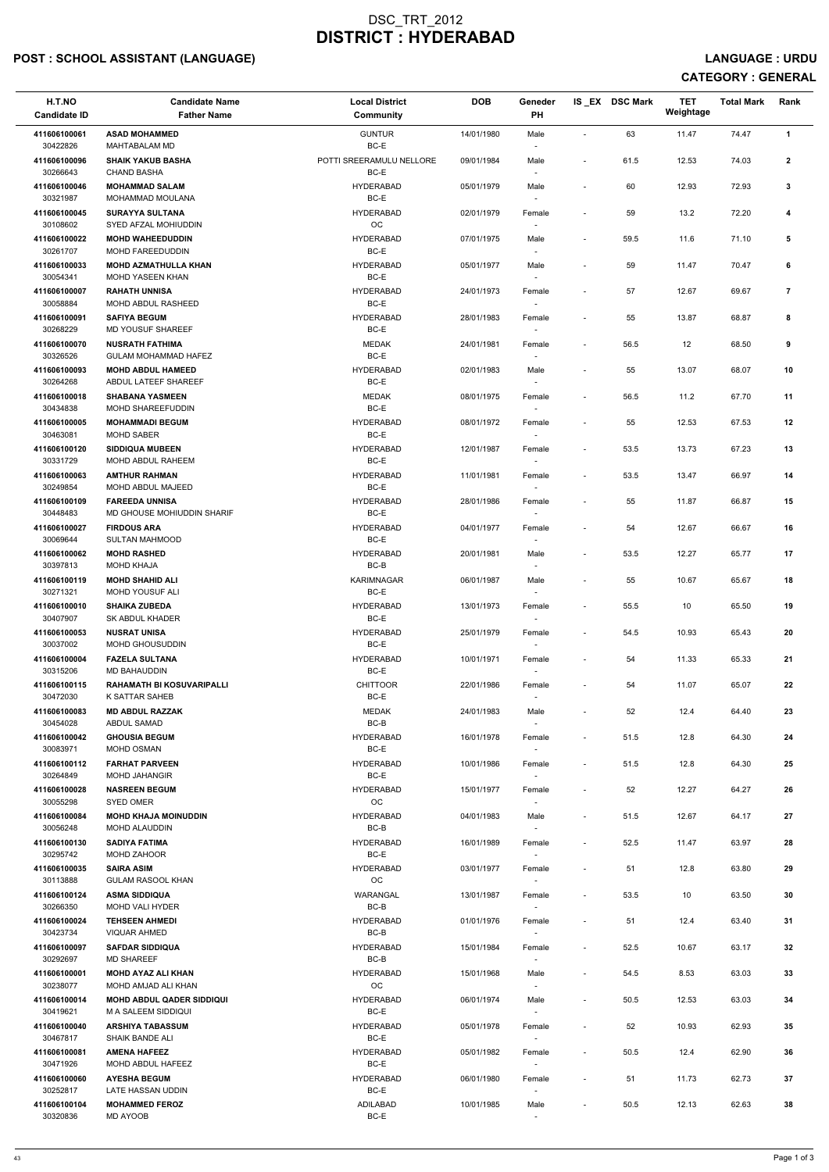## POST : SCHOOL ASSISTANT (LANGUAGE) And the set of the set of the set of the set of the set of the set of the set of the set of the set of the set of the set of the set of the set of the set of the set of the set of the set

| H.T.NO<br><b>Candidate ID</b> | <b>Candidate Name</b><br><b>Father Name</b>             | <b>Local District</b><br><b>Community</b> | <b>DOB</b> | Geneder<br><b>PH</b>             |                          | IS EX DSC Mark | <b>TET</b><br>Weightage | <b>Total Mark</b> | Rank           |
|-------------------------------|---------------------------------------------------------|-------------------------------------------|------------|----------------------------------|--------------------------|----------------|-------------------------|-------------------|----------------|
| 411606100061<br>30422826      | <b>ASAD MOHAMMED</b><br>MAHTABALAM MD                   | <b>GUNTUR</b><br>BC-E                     | 14/01/1980 | Male<br>$\overline{\phantom{a}}$ |                          | 63             | 11.47                   | 74.47             | $\mathbf{1}$   |
| 411606100096<br>30266643      | <b>SHAIK YAKUB BASHA</b><br><b>CHAND BASHA</b>          | POTTI SREERAMULU NELLORE<br>BC-E          | 09/01/1984 | Male<br>$\overline{\phantom{a}}$ | $\overline{\phantom{a}}$ | 61.5           | 12.53                   | 74.03             | $\mathbf{2}$   |
| 411606100046<br>30321987      | <b>MOHAMMAD SALAM</b><br><b>MOHAMMAD MOULANA</b>        | <b>HYDERABAD</b><br>BC-E                  | 05/01/1979 | Male                             |                          | 60             | 12.93                   | 72.93             | 3              |
| 411606100045<br>30108602      | <b>SURAYYA SULTANA</b><br>SYED AFZAL MOHIUDDIN          | <b>HYDERABAD</b><br>OC                    | 02/01/1979 | Female                           | $\blacksquare$           | 59             | 13.2                    | 72.20             | 4              |
| 411606100022<br>30261707      | <b>MOHD WAHEEDUDDIN</b><br>MOHD FAREEDUDDIN             | <b>HYDERABAD</b><br>BC-E                  | 07/01/1975 | Male                             | $\overline{\phantom{a}}$ | 59.5           | 11.6                    | 71.10             | 5              |
| 411606100033<br>30054341      | <b>MOHD AZMATHULLA KHAN</b><br><b>MOHD YASEEN KHAN</b>  | <b>HYDERABAD</b><br>BC-E                  | 05/01/1977 | Male<br>$\overline{\phantom{a}}$ | $\overline{\phantom{a}}$ | 59             | 11.47                   | 70.47             | 6              |
| 411606100007                  | <b>RAHATH UNNISA</b>                                    | <b>HYDERABAD</b>                          | 24/01/1973 | Female                           | $\blacksquare$           | 57             | 12.67                   | 69.67             | $\overline{7}$ |
| 30058884<br>411606100091      | MOHD ABDUL RASHEED<br><b>SAFIYA BEGUM</b>               | BC-E<br><b>HYDERABAD</b>                  | 28/01/1983 | Female                           | $\sim$                   | 55             | 13.87                   | 68.87             | 8              |
| 30268229<br>411606100070      | MD YOUSUF SHAREEF<br><b>NUSRATH FATHIMA</b>             | BC-E<br><b>MEDAK</b>                      | 24/01/1981 | Female                           | $\overline{\phantom{a}}$ | 56.5           | $12 \overline{ }$       | 68.50             | 9              |
| 30326526<br>411606100093      | <b>GULAM MOHAMMAD HAFEZ</b><br><b>MOHD ABDUL HAMEED</b> | BC-E<br><b>HYDERABAD</b>                  | 02/01/1983 | $\overline{\phantom{a}}$<br>Male |                          | 55             | 13.07                   | 68.07             | 10             |
| 30264268<br>411606100018      | ABDUL LATEEF SHAREEF<br><b>SHABANA YASMEEN</b>          | BC-E<br><b>MEDAK</b>                      | 08/01/1975 | Female                           |                          | 56.5           | 11.2                    | 67.70             | 11             |
| 30434838<br>411606100005      | MOHD SHAREEFUDDIN<br><b>MOHAMMADI BEGUM</b>             | BC-E<br><b>HYDERABAD</b>                  | 08/01/1972 | Female                           |                          | 55             | 12.53                   | 67.53             | 12             |
| 30463081<br>411606100120      | <b>MOHD SABER</b><br><b>SIDDIQUA MUBEEN</b>             | BC-E<br><b>HYDERABAD</b>                  | 12/01/1987 | Female                           | $\overline{\phantom{a}}$ | 53.5           | 13.73                   | 67.23             | 13             |
| 30331729<br>411606100063      | <b>MOHD ABDUL RAHEEM</b><br><b>AMTHUR RAHMAN</b>        | BC-E<br><b>HYDERABAD</b>                  | 11/01/1981 | Female                           | $\overline{\phantom{a}}$ | 53.5           | 13.47                   | 66.97             | 14             |
| 30249854                      | MOHD ABDUL MAJEED                                       | BC-E                                      |            | $\overline{\phantom{a}}$         |                          |                |                         |                   |                |
| 411606100109<br>30448483      | <b>FAREEDA UNNISA</b><br>MD GHOUSE MOHIUDDIN SHARIF     | <b>HYDERABAD</b><br>BC-E                  | 28/01/1986 | Female                           | $\overline{\phantom{a}}$ | 55             | 11.87                   | 66.87             | 15             |
| 411606100027<br>30069644      | <b>FIRDOUS ARA</b><br><b>SULTAN MAHMOOD</b>             | <b>HYDERABAD</b><br>BC-E                  | 04/01/1977 | Female                           |                          | 54             | 12.67                   | 66.67             | 16             |
| 411606100062<br>30397813      | <b>MOHD RASHED</b><br><b>MOHD KHAJA</b>                 | <b>HYDERABAD</b><br>BC-B                  | 20/01/1981 | Male<br>$\sim$                   | $\overline{\phantom{a}}$ | 53.5           | 12.27                   | 65.77             | 17             |
| 411606100119<br>30271321      | <b>MOHD SHAHID ALI</b><br>MOHD YOUSUF ALI               | KARIMNAGAR<br>BC-E                        | 06/01/1987 | Male<br>$\sim$                   | $\sim$                   | 55             | 10.67                   | 65.67             | 18             |
| 411606100010<br>30407907      | <b>SHAIKA ZUBEDA</b><br><b>SK ABDUL KHADER</b>          | <b>HYDERABAD</b><br>BC-E                  | 13/01/1973 | Female                           | $\overline{\phantom{a}}$ | 55.5           | 10                      | 65.50             | 19             |
| 411606100053<br>30037002      | <b>NUSRAT UNISA</b><br><b>MOHD GHOUSUDDIN</b>           | <b>HYDERABAD</b><br>BC-E                  | 25/01/1979 | Female<br>$\sim$                 | $\overline{\phantom{a}}$ | 54.5           | 10.93                   | 65.43             | 20             |
| 411606100004<br>30315206      | <b>FAZELA SULTANA</b><br>MD BAHAUDDIN                   | <b>HYDERABAD</b><br>BC-E                  | 10/01/1971 | Female<br>$\sim$                 | $\overline{\phantom{a}}$ | 54             | 11.33                   | 65.33             | 21             |
| 411606100115<br>30472030      | <b>RAHAMATH BI KOSUVARIPALLI</b><br>K SATTAR SAHEB      | <b>CHITTOOR</b><br>BC-E                   | 22/01/1986 | Female<br>$\sim$                 | $\overline{\phantom{a}}$ | 54             | 11.07                   | 65.07             | 22             |
| 411606100083<br>30454028      | <b>MD ABDUL RAZZAK</b><br>ABDUL SAMAD                   | MEDAK<br>$BC-B$                           | 24/01/1983 | Male                             | $\sim$                   | 52             | 12.4                    | 64.40             | 23             |
| 411606100042<br>30083971      | <b>GHOUSIA BEGUM</b><br><b>MOHD OSMAN</b>               | <b>HYDERABAD</b><br>BC-E                  | 16/01/1978 | Female                           | $\overline{\phantom{a}}$ | 51.5           | 12.8                    | 64.30             | 24             |
| 411606100112                  | <b>FARHAT PARVEEN</b>                                   | <b>HYDERABAD</b>                          | 10/01/1986 | Female                           | $\sim$                   | 51.5           | 12.8                    | 64.30             | 25             |
| 30264849<br>411606100028      | <b>MOHD JAHANGIR</b><br><b>NASREEN BEGUM</b>            | BC-E<br><b>HYDERABAD</b>                  | 15/01/1977 | $\sim$<br>Female                 | $\overline{\phantom{a}}$ | 52             | 12.27                   | 64.27             | 26             |
| 30055298<br>411606100084      | <b>SYED OMER</b><br><b>MOHD KHAJA MOINUDDIN</b>         | <b>OC</b><br><b>HYDERABAD</b>             | 04/01/1983 | $\sim$<br>Male                   | $\overline{\phantom{a}}$ | 51.5           | 12.67                   | 64.17             | 27             |
| 30056248<br>411606100130      | <b>MOHD ALAUDDIN</b><br><b>SADIYA FATIMA</b>            | BC-B<br><b>HYDERABAD</b>                  | 16/01/1989 | $\sim$<br>Female                 | $\overline{\phantom{a}}$ | 52.5           | 11.47                   | 63.97             | 28             |
| 30295742<br>411606100035      | MOHD ZAHOOR<br><b>SAIRA ASIM</b>                        | BC-E<br><b>HYDERABAD</b>                  | 03/01/1977 | Female                           | $\overline{\phantom{a}}$ | 51             | 12.8                    | 63.80             | 29             |
| 30113888<br>411606100124      | <b>GULAM RASOOL KHAN</b><br><b>ASMA SIDDIQUA</b>        | OC<br>WARANGAL                            | 13/01/1987 | $\sim$<br>Female                 | $\sim$                   | 53.5           | 10                      | 63.50             | 30             |
| 30266350<br>411606100024      | MOHD VALI HYDER<br><b>TEHSEEN AHMEDI</b>                | BC-B<br><b>HYDERABAD</b>                  | 01/01/1976 | $\sim$<br>Female                 | $\overline{\phantom{a}}$ | 51             | 12.4                    | 63.40             | 31             |
| 30423734<br>411606100097      | <b>VIQUAR AHMED</b><br><b>SAFDAR SIDDIQUA</b>           | BC-B<br><b>HYDERABAD</b>                  | 15/01/1984 | $\sim$<br>Female                 | $\overline{\phantom{a}}$ | 52.5           | 10.67                   | 63.17             | 32             |
| 30292697<br>411606100001      | <b>MD SHAREEF</b><br><b>MOHD AYAZ ALI KHAN</b>          | BC-B<br><b>HYDERABAD</b>                  | 15/01/1968 |                                  |                          | 54.5           | 8.53                    | 63.03             | 33             |
| 30238077                      | MOHD AMJAD ALI KHAN                                     | OC                                        |            | Male<br>$\sim$                   |                          |                |                         |                   |                |
| 411606100014<br>30419621      | <b>MOHD ABDUL QADER SIDDIQUI</b><br>M A SALEEM SIDDIQUI | <b>HYDERABAD</b><br>BC-E                  | 06/01/1974 | Male<br>$\sim$                   | $\sim$                   | 50.5           | 12.53                   | 63.03             | 34             |
| 411606100040<br>30467817      | <b>ARSHIYA TABASSUM</b><br><b>SHAIK BANDE ALI</b>       | <b>HYDERABAD</b><br>BC-E                  | 05/01/1978 | Female                           | $\sim$                   | 52             | 10.93                   | 62.93             | 35             |
| 411606100081<br>30471926      | <b>AMENA HAFEEZ</b><br>MOHD ABDUL HAFEEZ                | <b>HYDERABAD</b><br>BC-E                  | 05/01/1982 | Female<br>$\sim$                 | $\sim$                   | 50.5           | 12.4                    | 62.90             | 36             |
| 411606100060<br>30252817      | <b>AYESHA BEGUM</b><br>LATE HASSAN UDDIN                | <b>HYDERABAD</b><br>BC-E                  | 06/01/1980 | Female                           | $\overline{\phantom{a}}$ | 51             | 11.73                   | 62.73             | 37             |
| 411606100104<br>30320836      | <b>MOHAMMED FEROZ</b><br>MD AYOOB                       | <b>ADILABAD</b><br>BC-E                   | 10/01/1985 | Male<br>$\overline{\phantom{a}}$ | $\sim$                   | 50.5           | 12.13                   | 62.63             | 38             |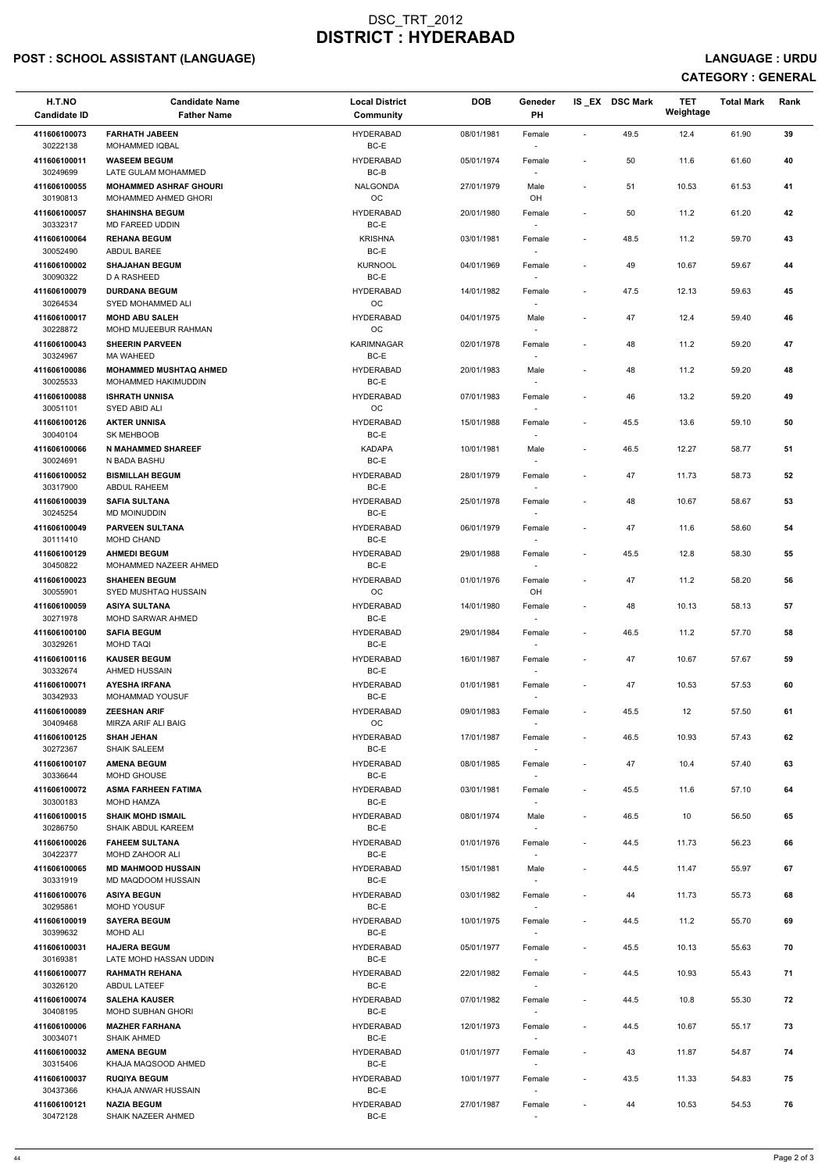## POST : SCHOOL ASSISTANT (LANGUAGE) And the set of the set of the set of the set of the set of the set of the set of the set of the set of the set of the set of the set of the set of the set of the set of the set of the set

| H.T.NO<br><b>Candidate ID</b>        | <b>Candidate Name</b><br><b>Father Name</b>           | <b>Local District</b><br>Community | <b>DOB</b> | Geneder<br><b>PH</b>               |                          | IS_EX DSC Mark | <b>TET</b><br>Weightage | <b>Total Mark</b> | Rank |
|--------------------------------------|-------------------------------------------------------|------------------------------------|------------|------------------------------------|--------------------------|----------------|-------------------------|-------------------|------|
| 411606100073<br>30222138             | <b>FARHATH JABEEN</b><br><b>MOHAMMED IQBAL</b>        | <b>HYDERABAD</b><br>BC-E           | 08/01/1981 | Female                             | $\overline{\phantom{a}}$ | 49.5           | 12.4                    | 61.90             | 39   |
| 411606100011<br>30249699             | <b>WASEEM BEGUM</b><br>LATE GULAM MOHAMMED            | <b>HYDERABAD</b><br>BC-B           | 05/01/1974 | Female                             | $\overline{\phantom{a}}$ | 50             | 11.6                    | 61.60             | 40   |
| 411606100055<br>30190813             | <b>MOHAMMED ASHRAF GHOURI</b><br>MOHAMMED AHMED GHORI | <b>NALGONDA</b><br>OC              | 27/01/1979 | Male<br>OH                         | $\blacksquare$           | 51             | 10.53                   | 61.53             | 41   |
| 411606100057<br>30332317             | <b>SHAHINSHA BEGUM</b><br>MD FAREED UDDIN             | <b>HYDERABAD</b><br>BC-E           | 20/01/1980 | Female<br>$\overline{\phantom{a}}$ | $\overline{\phantom{a}}$ | 50             | 11.2                    | 61.20             | 42   |
| 411606100064<br>30052490             | <b>REHANA BEGUM</b><br>ABDUL BAREE                    | <b>KRISHNA</b><br>BC-E             | 03/01/1981 | Female<br>$\overline{\phantom{a}}$ | $\sim$                   | 48.5           | 11.2                    | 59.70             | 43   |
| 411606100002                         | <b>SHAJAHAN BEGUM</b>                                 | <b>KURNOOL</b><br>BC-E             | 04/01/1969 | Female                             | $\overline{\phantom{a}}$ | 49             | 10.67                   | 59.67             | 44   |
| 30090322<br>411606100079<br>30264534 | D A RASHEED<br><b>DURDANA BEGUM</b>                   | <b>HYDERABAD</b><br>OC             | 14/01/1982 | Female                             | $\blacksquare$           | 47.5           | 12.13                   | 59.63             | 45   |
| 411606100017                         | SYED MOHAMMED ALI<br><b>MOHD ABU SALEH</b>            | <b>HYDERABAD</b>                   | 04/01/1975 | Male                               |                          | 47             | 12.4                    | 59.40             | 46   |
| 30228872<br>411606100043             | MOHD MUJEEBUR RAHMAN<br><b>SHEERIN PARVEEN</b>        | OC<br><b>KARIMNAGAR</b>            | 02/01/1978 | $\sim$<br>Female                   | $\overline{\phantom{a}}$ | 48             | 11.2                    | 59.20             | 47   |
| 30324967<br>411606100086             | <b>MA WAHEED</b><br><b>MOHAMMED MUSHTAQ AHMED</b>     | BC-E<br><b>HYDERABAD</b>           | 20/01/1983 | $\overline{\phantom{a}}$<br>Male   | $\overline{\phantom{a}}$ | 48             | 11.2                    | 59.20             | 48   |
| 30025533<br>411606100088             | MOHAMMED HAKIMUDDIN<br><b>ISHRATH UNNISA</b>          | BC-E<br><b>HYDERABAD</b>           | 07/01/1983 | $\overline{\phantom{a}}$<br>Female |                          | 46             | 13.2                    | 59.20             | 49   |
| 30051101<br>411606100126             | SYED ABID ALI<br><b>AKTER UNNISA</b>                  | OC<br><b>HYDERABAD</b>             | 15/01/1988 | Female                             | $\overline{\phantom{a}}$ | 45.5           | 13.6                    | 59.10             | 50   |
| 30040104<br>411606100066             | SK MEHBOOB<br><b>N MAHAMMED SHAREEF</b>               | BC-E<br><b>KADAPA</b>              | 10/01/1981 | Male                               | $\overline{\phantom{a}}$ | 46.5           | 12.27                   | 58.77             | 51   |
| 30024691<br>411606100052             | N BADA BASHU<br><b>BISMILLAH BEGUM</b>                | BC-E<br><b>HYDERABAD</b>           | 28/01/1979 | $\sim$<br>Female                   | $\overline{\phantom{a}}$ | 47             | 11.73                   | 58.73             | 52   |
| 30317900<br>411606100039             | ABDUL RAHEEM<br><b>SAFIA SULTANA</b>                  | BC-E<br><b>HYDERABAD</b>           | 25/01/1978 | Female                             | $\blacksquare$           | 48             | 10.67                   | 58.67             | 53   |
| 30245254<br>411606100049             | MD MOINUDDIN<br><b>PARVEEN SULTANA</b>                | BC-E<br><b>HYDERABAD</b>           | 06/01/1979 | Female                             | $\overline{\phantom{a}}$ | 47             | 11.6                    | 58.60             | 54   |
| 30111410<br>411606100129             | MOHD CHAND<br><b>AHMEDI BEGUM</b>                     | BC-E<br><b>HYDERABAD</b>           | 29/01/1988 | $\sim$<br>Female                   | $\overline{\phantom{a}}$ | 45.5           | 12.8                    | 58.30             | 55   |
| 30450822<br>411606100023             | MOHAMMED NAZEER AHMED<br><b>SHAHEEN BEGUM</b>         | BC-E<br><b>HYDERABAD</b>           | 01/01/1976 | $\sim$<br>Female                   | $\overline{\phantom{a}}$ | 47             | 11.2                    | 58.20             | 56   |
| 30055901<br>411606100059             | SYED MUSHTAQ HUSSAIN<br><b>ASIYA SULTANA</b>          | <b>OC</b><br><b>HYDERABAD</b>      | 14/01/1980 | OH.<br>Female                      | $\overline{\phantom{a}}$ | 48             | 10.13                   | 58.13             | 57   |
| 30271978<br>411606100100             | <b>MOHD SARWAR AHMED</b><br><b>SAFIA BEGUM</b>        | BC-E<br><b>HYDERABAD</b>           | 29/01/1984 | $\sim$<br>Female                   | $\overline{\phantom{a}}$ | 46.5           | 11.2                    | 57.70             | 58   |
| 30329261<br>411606100116             | <b>MOHD TAQI</b><br><b>KAUSER BEGUM</b>               | BC-E<br><b>HYDERABAD</b>           | 16/01/1987 | $\sim$<br>Female                   | $\overline{\phantom{a}}$ | 47             | 10.67                   | 57.67             | 59   |
| 30332674<br>411606100071             | AHMED HUSSAIN<br><b>AYESHA IRFANA</b>                 | BC-E<br><b>HYDERABAD</b>           | 01/01/1981 | $\sim$<br>Female                   | $\overline{\phantom{a}}$ | 47             | 10.53                   | 57.53             | 60   |
| 30342933<br>411606100089             | <b>MOHAMMAD YOUSUF</b><br><b>ZEESHAN ARIF</b>         | BC-E<br><b>HYDERABAD</b>           | 09/01/1983 | Female                             | $\sim$                   | 45.5           | 12                      | 57.50             | 61   |
| 30409468<br>411606100125             | MIRZA ARIF ALI BAIG<br><b>SHAH JEHAN</b>              | <b>OC</b><br><b>HYDERABAD</b>      | 17/01/1987 | Female                             | $\blacksquare$           | 46.5           | 10.93                   | 57.43             | 62   |
| 30272367<br>411606100107             | <b>SHAIK SALEEM</b><br><b>AMENA BEGUM</b>             | BC-E<br><b>HYDERABAD</b>           | 08/01/1985 | $\sim$<br>Female                   | $\overline{\phantom{a}}$ | 47             | 10.4                    | 57.40             | 63   |
| 30336644<br>411606100072             | MOHD GHOUSE<br><b>ASMA FARHEEN FATIMA</b>             | BC-E<br><b>HYDERABAD</b>           | 03/01/1981 | $\sim$<br>Female                   | $\overline{\phantom{a}}$ | 45.5           | 11.6                    | 57.10             | 64   |
| 30300183<br>411606100015             | <b>MOHD HAMZA</b><br><b>SHAIK MOHD ISMAIL</b>         | BC-E<br><b>HYDERABAD</b>           | 08/01/1974 | $\overline{\phantom{a}}$<br>Male   | $\overline{\phantom{a}}$ | 46.5           | 10                      | 56.50             | 65   |
| 30286750<br>411606100026             | <b>SHAIK ABDUL KAREEM</b><br><b>FAHEEM SULTANA</b>    | BC-E<br><b>HYDERABAD</b>           | 01/01/1976 |                                    | $\blacksquare$           | 44.5           | 11.73                   | 56.23             | 66   |
| 30422377<br>411606100065             | <b>MOHD ZAHOOR ALI</b><br><b>MD MAHMOOD HUSSAIN</b>   | BC-E<br><b>HYDERABAD</b>           | 15/01/1981 | Female<br>$\sim$                   | $\overline{\phantom{a}}$ | 44.5           | 11.47                   | 55.97             | 67   |
| 30331919                             | MD MAQDOOM HUSSAIN                                    | BC-E                               |            | Male<br>$\sim$                     |                          |                |                         |                   |      |
| 411606100076<br>30295861             | <b>ASIYA BEGUN</b><br><b>MOHD YOUSUF</b>              | <b>HYDERABAD</b><br>BC-E           | 03/01/1982 | Female<br>$\sim$                   | $\overline{\phantom{a}}$ | 44             | 11.73                   | 55.73             | 68   |
| 411606100019<br>30399632             | <b>SAYERA BEGUM</b><br>MOHD ALI                       | <b>HYDERABAD</b><br>BC-E           | 10/01/1975 | Female                             | $\overline{\phantom{a}}$ | 44.5           | 11.2                    | 55.70             | 69   |
| 411606100031<br>30169381             | <b>HAJERA BEGUM</b><br>LATE MOHD HASSAN UDDIN         | <b>HYDERABAD</b><br>BC-E           | 05/01/1977 | Female                             | $\overline{\phantom{a}}$ | 45.5           | 10.13                   | 55.63             | 70   |
| 411606100077<br>30326120             | <b>RAHMATH REHANA</b><br>ABDUL LATEEF                 | <b>HYDERABAD</b><br>BC-E           | 22/01/1982 | Female<br>$\sim$                   | $\sim$                   | 44.5           | 10.93                   | 55.43             | 71   |
| 411606100074<br>30408195             | <b>SALEHA KAUSER</b><br><b>MOHD SUBHAN GHORI</b>      | <b>HYDERABAD</b><br>BC-E           | 07/01/1982 | Female<br>$\sim$                   | $\overline{\phantom{a}}$ | 44.5           | 10.8                    | 55.30             | 72   |
| 411606100006<br>30034071             | <b>MAZHER FARHANA</b><br><b>SHAIK AHMED</b>           | <b>HYDERABAD</b><br>BC-E           | 12/01/1973 | Female<br>$\sim$                   | $\overline{\phantom{a}}$ | 44.5           | 10.67                   | 55.17             | 73   |
| 411606100032<br>30315406             | <b>AMENA BEGUM</b><br>KHAJA MAQSOOD AHMED             | <b>HYDERABAD</b><br>BC-E           | 01/01/1977 | Female<br>$\overline{\phantom{a}}$ | $\blacksquare$           | 43             | 11.87                   | 54.87             | 74   |
| 411606100037<br>30437366             | <b>RUQIYA BEGUM</b><br>KHAJA ANWAR HUSSAIN            | <b>HYDERABAD</b><br>BC-E           | 10/01/1977 | Female<br>$\sim$                   | $\blacksquare$           | 43.5           | 11.33                   | 54.83             | 75   |
| 411606100121<br>30472128             | <b>NAZIA BEGUM</b><br>SHAIK NAZEER AHMED              | <b>HYDERABAD</b><br>BC-E           | 27/01/1987 | Female<br>$\overline{\phantom{a}}$ |                          | 44             | 10.53                   | 54.53             | 76   |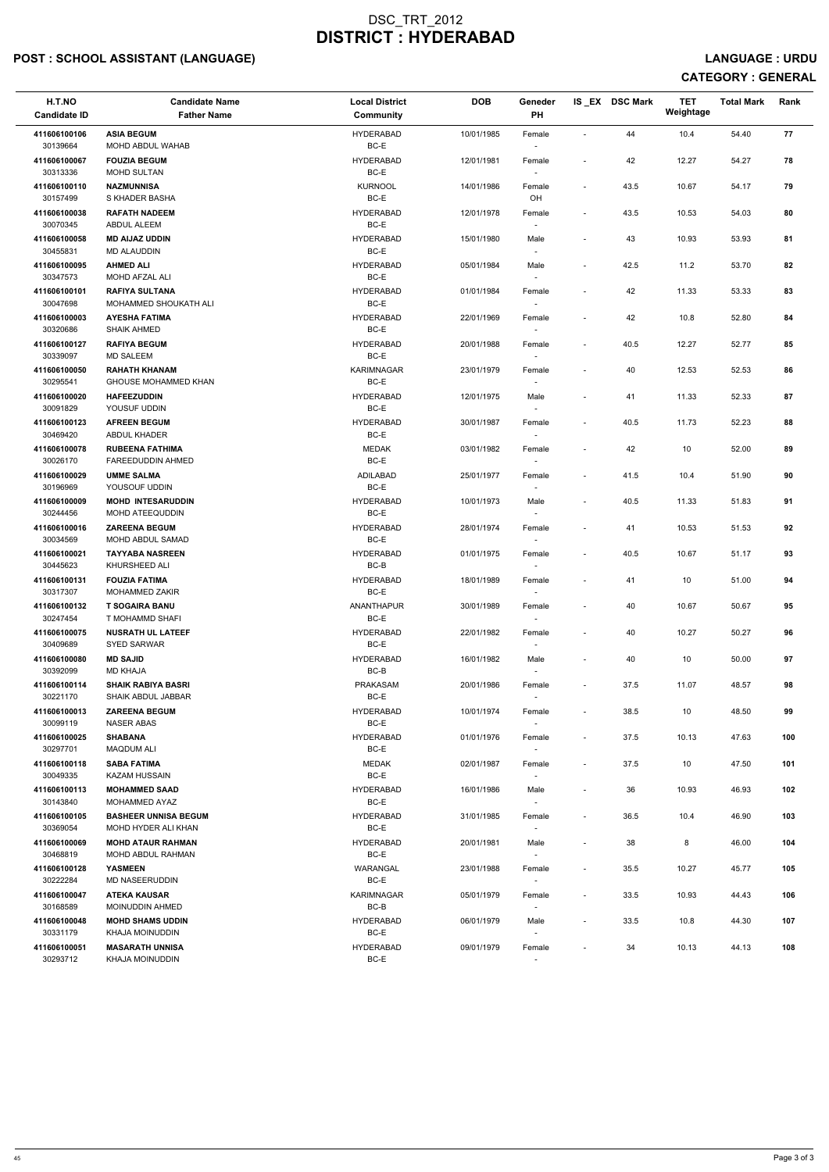## POST : SCHOOL ASSISTANT (LANGUAGE) And the set of the set of the set of the set of the set of the set of the set of the set of the set of the set of the set of the set of the set of the set of the set of the set of the set

| H.T.NO<br><b>Candidate ID</b> | <b>Candidate Name</b><br><b>Father Name</b>          | <b>Local District</b><br><b>Community</b> | <b>DOB</b> | Geneder<br>PH                      |                          | IS EX DSC Mark | <b>TET</b><br>Weightage | <b>Total Mark</b> | Rank |
|-------------------------------|------------------------------------------------------|-------------------------------------------|------------|------------------------------------|--------------------------|----------------|-------------------------|-------------------|------|
| 411606100106<br>30139664      | <b>ASIA BEGUM</b><br>MOHD ABDUL WAHAB                | <b>HYDERABAD</b><br>BC-E                  | 10/01/1985 | Female                             | $\blacksquare$           | 44             | 10.4                    | 54.40             | 77   |
| 411606100067<br>30313336      | <b>FOUZIA BEGUM</b><br>MOHD SULTAN                   | <b>HYDERABAD</b><br>BC-E                  | 12/01/1981 | Female                             | $\overline{\phantom{a}}$ | 42             | 12.27                   | 54.27             | 78   |
| 411606100110<br>30157499      | <b>NAZMUNNISA</b><br>S KHADER BASHA                  | <b>KURNOOL</b><br>BC-E                    | 14/01/1986 | Female<br>OH                       | $\overline{\phantom{a}}$ | 43.5           | 10.67                   | 54.17             | 79   |
| 411606100038<br>30070345      | <b>RAFATH NADEEM</b><br>ABDUL ALEEM                  | <b>HYDERABAD</b><br>BC-E                  | 12/01/1978 | Female                             | $\overline{\phantom{a}}$ | 43.5           | 10.53                   | 54.03             | 80   |
| 411606100058<br>30455831      | <b>MD AIJAZ UDDIN</b><br><b>MD ALAUDDIN</b>          | <b>HYDERABAD</b><br>BC-E                  | 15/01/1980 | Male<br>$\overline{\phantom{a}}$   | $\blacksquare$           | 43             | 10.93                   | 53.93             | 81   |
| 411606100095<br>30347573      | <b>AHMED ALI</b><br>MOHD AFZAL ALI                   | <b>HYDERABAD</b><br>BC-E                  | 05/01/1984 | Male<br>$\overline{\phantom{a}}$   | $\overline{\phantom{a}}$ | 42.5           | 11.2                    | 53.70             | 82   |
| 411606100101<br>30047698      | <b>RAFIYA SULTANA</b><br>MOHAMMED SHOUKATH ALI       | <b>HYDERABAD</b><br>BC-E                  | 01/01/1984 | Female                             | $\overline{\phantom{a}}$ | 42             | 11.33                   | 53.33             | 83   |
| 411606100003<br>30320686      | <b>AYESHA FATIMA</b><br><b>SHAIK AHMED</b>           | <b>HYDERABAD</b><br>BC-E                  | 22/01/1969 | Female<br>$\overline{\phantom{a}}$ | $\overline{\phantom{a}}$ | 42             | 10.8                    | 52.80             | 84   |
| 411606100127<br>30339097      | <b>RAFIYA BEGUM</b><br><b>MD SALEEM</b>              | <b>HYDERABAD</b><br>BC-E                  | 20/01/1988 | Female<br>$\overline{\phantom{a}}$ | $\overline{\phantom{a}}$ | 40.5           | 12.27                   | 52.77             | 85   |
| 411606100050<br>30295541      | <b>RAHATH KHANAM</b><br><b>GHOUSE MOHAMMED KHAN</b>  | <b>KARIMNAGAR</b><br>BC-E                 | 23/01/1979 | Female<br>$\overline{\phantom{a}}$ | $\overline{\phantom{a}}$ | 40             | 12.53                   | 52.53             | 86   |
| 411606100020<br>30091829      | <b>HAFEEZUDDIN</b><br>YOUSUF UDDIN                   | <b>HYDERABAD</b><br>BC-E                  | 12/01/1975 | Male                               | $\overline{\phantom{a}}$ | 41             | 11.33                   | 52.33             | 87   |
| 411606100123<br>30469420      | <b>AFREEN BEGUM</b><br>ABDUL KHADER                  | <b>HYDERABAD</b><br>BC-E                  | 30/01/1987 | Female<br>$\overline{\phantom{a}}$ | $\overline{\phantom{a}}$ | 40.5           | 11.73                   | 52.23             | 88   |
| 411606100078<br>30026170      | <b>RUBEENA FATHIMA</b><br>FAREEDUDDIN AHMED          | <b>MEDAK</b><br>BC-E                      | 03/01/1982 | Female<br>$\overline{\phantom{a}}$ | $\blacksquare$           | 42             | 10                      | 52.00             | 89   |
| 411606100029<br>30196969      | <b>UMME SALMA</b><br>YOUSOUF UDDIN                   | <b>ADILABAD</b><br>BC-E                   | 25/01/1977 | Female<br>$\overline{\phantom{a}}$ | $\overline{\phantom{a}}$ | 41.5           | 10.4                    | 51.90             | 90   |
| 411606100009<br>30244456      | <b>MOHD INTESARUDDIN</b><br>MOHD ATEEQUDDIN          | <b>HYDERABAD</b><br>BC-E                  | 10/01/1973 | Male                               | $\overline{\phantom{a}}$ | 40.5           | 11.33                   | 51.83             | 91   |
| 411606100016<br>30034569      | <b>ZAREENA BEGUM</b><br>MOHD ABDUL SAMAD             | <b>HYDERABAD</b><br>BC-E                  | 28/01/1974 | Female<br>$\overline{\phantom{a}}$ | $\overline{\phantom{a}}$ | 41             | 10.53                   | 51.53             | 92   |
| 411606100021<br>30445623      | <b>TAYYABA NASREEN</b><br>KHURSHEED ALI              | <b>HYDERABAD</b><br>BC-B                  | 01/01/1975 | Female                             | $\overline{\phantom{a}}$ | 40.5           | 10.67                   | 51.17             | 93   |
| 411606100131<br>30317307      | <b>FOUZIA FATIMA</b><br><b>MOHAMMED ZAKIR</b>        | <b>HYDERABAD</b><br>BC-E                  | 18/01/1989 | Female                             | $\overline{\phantom{a}}$ | 41             | 10                      | 51.00             | 94   |
| 411606100132<br>30247454      | <b>T SOGAIRA BANU</b><br>T MOHAMMD SHAFI             | ANANTHAPUR<br>BC-E                        | 30/01/1989 | Female<br>$\sim$                   | $\overline{\phantom{a}}$ | 40             | 10.67                   | 50.67             | 95   |
| 411606100075<br>30409689      | <b>NUSRATH UL LATEEF</b><br><b>SYED SARWAR</b>       | <b>HYDERABAD</b><br>BC-E                  | 22/01/1982 | Female<br>$\sim$                   | $\overline{\phantom{a}}$ | 40             | 10.27                   | 50.27             | 96   |
| 411606100080<br>30392099      | <b>MD SAJID</b><br><b>MD KHAJA</b>                   | <b>HYDERABAD</b><br>BC-B                  | 16/01/1982 | Male<br>$\sim$                     | $\overline{\phantom{a}}$ | 40             | 10                      | 50.00             | 97   |
| 411606100114<br>30221170      | <b>SHAIK RABIYA BASRI</b><br>SHAIK ABDUL JABBAR      | <b>PRAKASAM</b><br>BC-E                   | 20/01/1986 | Female                             | $\overline{\phantom{a}}$ | 37.5           | 11.07                   | 48.57             | 98   |
| 411606100013<br>30099119      | <b>ZAREENA BEGUM</b><br><b>NASER ABAS</b>            | <b>HYDERABAD</b><br>BC-E                  | 10/01/1974 | Female<br>$\sim$                   | $\overline{\phantom{a}}$ | 38.5           | 10                      | 48.50             | 99   |
| 411606100025<br>30297701      | <b>SHABANA</b><br><b>MAQDUM ALI</b>                  | <b>HYDERABAD</b><br>BC-E                  | 01/01/1976 | Female<br>$\sim$                   | $\overline{\phantom{a}}$ | 37.5           | 10.13                   | 47.63             | 100  |
| 411606100118<br>30049335      | <b>SABA FATIMA</b><br>KAZAM HUSSAIN                  | <b>MEDAK</b><br>BC-E                      | 02/01/1987 | Female<br>$\sim$                   | $\blacksquare$           | 37.5           | 10                      | 47.50             | 101  |
| 411606100113<br>30143840      | <b>MOHAMMED SAAD</b><br>MOHAMMED AYAZ                | <b>HYDERABAD</b><br>BC-E                  | 16/01/1986 | Male                               | $\overline{\phantom{a}}$ | 36             | 10.93                   | 46.93             | 102  |
| 411606100105<br>30369054      | <b>BASHEER UNNISA BEGUM</b><br>MOHD HYDER ALI KHAN   | HYDERABAD<br>BC-E                         | 31/01/1985 | Female                             | $\overline{\phantom{a}}$ | 36.5           | 10.4                    | 46.90             | 103  |
| 411606100069<br>30468819      | <b>MOHD ATAUR RAHMAN</b><br><b>MOHD ABDUL RAHMAN</b> | <b>HYDERABAD</b><br>BC-E                  | 20/01/1981 | Male<br>$\sim$                     | $\overline{\phantom{a}}$ | 38             | 8                       | 46.00             | 104  |
| 411606100128<br>30222284      | <b>YASMEEN</b><br>MD NASEERUDDIN                     | WARANGAL<br>BC-E                          | 23/01/1988 | Female<br>$\sim$                   | $\overline{\phantom{a}}$ | 35.5           | 10.27                   | 45.77             | 105  |

| 411606100047 | <b>ATEKA KAUSAR</b>     | <b>KARIMNAGAR</b> | 05/01/1979 | Female                   |                          | 33.5 | 10.93 | 44.43 | 106 |
|--------------|-------------------------|-------------------|------------|--------------------------|--------------------------|------|-------|-------|-----|
| 30168589     | <b>MOINUDDIN AHMED</b>  | BC-B              |            | -                        |                          |      |       |       |     |
| 411606100048 | <b>MOHD SHAMS UDDIN</b> | <b>HYDERABAD</b>  | 06/01/1979 | Male                     | $\overline{\phantom{0}}$ | 33.5 | 10.8  | 44.30 | 107 |
| 30331179     | KHAJA MOINUDDIN         | BC-E              |            | $\overline{\phantom{a}}$ |                          |      |       |       |     |
| 411606100051 | <b>MASARATH UNNISA</b>  | <b>HYDERABAD</b>  | 09/01/1979 | Female                   | $\overline{\phantom{0}}$ | 34   | 10.13 | 44.13 | 108 |
| 30293712     | KHAJA MOINUDDIN         | BC-E              |            | $\overline{\phantom{a}}$ |                          |      |       |       |     |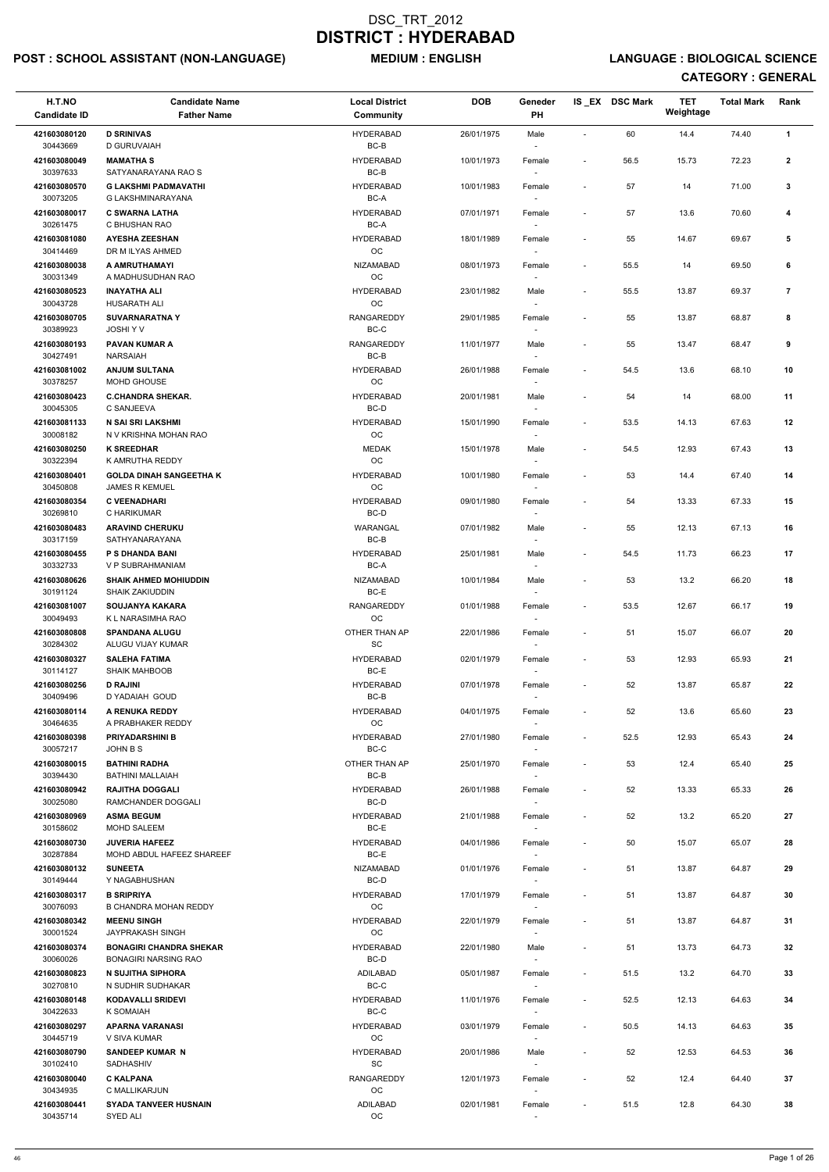## POST : SCHOOL ASSISTANT (NON-LANGUAGE) MEDIUM : ENGLISH LANGUAGE : BIOLOGICAL SCIENCE

| H.T.NO<br><b>Candidate ID</b> | <b>Candidate Name</b><br><b>Father Name</b>                   | <b>Local District</b><br><b>Community</b> | <b>DOB</b> | Geneder<br>PH                      |                          | IS_EX DSC Mark | <b>TET</b><br>Weightage | <b>Total Mark</b> | Rank           |
|-------------------------------|---------------------------------------------------------------|-------------------------------------------|------------|------------------------------------|--------------------------|----------------|-------------------------|-------------------|----------------|
| 421603080120<br>30443669      | <b>D SRINIVAS</b><br>D GURUVAIAH                              | <b>HYDERABAD</b><br>BC-B                  | 26/01/1975 | Male                               |                          | 60             | 14.4                    | 74.40             | $\mathbf{1}$   |
| 421603080049                  | <b>MAMATHAS</b>                                               | <b>HYDERABAD</b><br>BC-B                  | 10/01/1973 | Female                             | $\overline{\phantom{a}}$ | 56.5           | 15.73                   | 72.23             | $\mathbf{2}$   |
| 30397633<br>421603080570      | SATYANARAYANA RAO S<br><b>G LAKSHMI PADMAVATHI</b>            | <b>HYDERABAD</b>                          | 10/01/1983 | Female                             | $\overline{\phantom{a}}$ | 57             | 14                      | 71.00             | 3              |
| 30073205<br>421603080017      | G LAKSHMINARAYANA<br><b>C SWARNA LATHA</b>                    | BC-A<br><b>HYDERABAD</b>                  | 07/01/1971 | Female                             | $\overline{\phantom{a}}$ | 57             | 13.6                    | 70.60             | 4              |
| 30261475<br>421603081080      | C BHUSHAN RAO<br><b>AYESHA ZEESHAN</b>                        | BC-A<br><b>HYDERABAD</b>                  | 18/01/1989 | $\overline{\phantom{a}}$<br>Female | $\overline{\phantom{a}}$ | 55             | 14.67                   | 69.67             | 5              |
| 30414469<br>421603080038      | DR M ILYAS AHMED<br>A AMRUTHAMAYI                             | OC<br><b>NIZAMABAD</b>                    | 08/01/1973 | Female                             | $\overline{\phantom{a}}$ | 55.5           | 14                      | 69.50             | 6              |
| 30031349<br>421603080523      | A MADHUSUDHAN RAO<br><b>INAYATHA ALI</b>                      | OC<br><b>HYDERABAD</b>                    | 23/01/1982 | Male                               |                          | 55.5           | 13.87                   | 69.37             | $\overline{7}$ |
| 30043728<br>421603080705      | HUSARATH ALI<br><b>SUVARNARATNA Y</b>                         | OC<br><b>RANGAREDDY</b>                   | 29/01/1985 | Female                             | $\overline{\phantom{a}}$ | 55             | 13.87                   | 68.87             | 8              |
| 30389923<br>421603080193      | JOSHI Y V<br><b>PAVAN KUMAR A</b>                             | BC-C<br>RANGAREDDY                        | 11/01/1977 | Male                               |                          | 55             | 13.47                   | 68.47             | 9              |
| 30427491                      | <b>NARSAIAH</b>                                               | BC-B                                      |            |                                    |                          |                |                         |                   |                |
| 421603081002<br>30378257      | <b>ANJUM SULTANA</b><br>MOHD GHOUSE                           | <b>HYDERABAD</b><br>OC                    | 26/01/1988 | Female                             | $\overline{\phantom{a}}$ | 54.5           | 13.6                    | 68.10             | 10             |
| 421603080423<br>30045305      | <b>C.CHANDRA SHEKAR.</b><br>C SANJEEVA                        | <b>HYDERABAD</b><br>BC-D                  | 20/01/1981 | Male                               |                          | 54             | 14                      | 68.00             | 11             |
| 421603081133<br>30008182      | N SAI SRI LAKSHMI<br>N V KRISHNA MOHAN RAO                    | <b>HYDERABAD</b><br>OC                    | 15/01/1990 | Female                             | $\overline{\phantom{a}}$ | 53.5           | 14.13                   | 67.63             | 12             |
| 421603080250<br>30322394      | <b>K SREEDHAR</b><br>K AMRUTHA REDDY                          | <b>MEDAK</b><br>$_{\rm OC}$               | 15/01/1978 | Male<br>$\sim$                     |                          | 54.5           | 12.93                   | 67.43             | 13             |
| 421603080401<br>30450808      | <b>GOLDA DINAH SANGEETHA K</b><br><b>JAMES R KEMUEL</b>       | <b>HYDERABAD</b><br>OC                    | 10/01/1980 | Female                             | $\overline{\phantom{a}}$ | 53             | 14.4                    | 67.40             | 14             |
| 421603080354<br>30269810      | <b>C VEENADHARI</b><br>C HARIKUMAR                            | <b>HYDERABAD</b><br>BC-D                  | 09/01/1980 | Female                             | $\overline{\phantom{a}}$ | 54             | 13.33                   | 67.33             | 15             |
| 421603080483<br>30317159      | <b>ARAVIND CHERUKU</b><br>SATHYANARAYANA                      | WARANGAL<br>BC-B                          | 07/01/1982 | Male                               |                          | 55             | 12.13                   | 67.13             | 16             |
| 421603080455<br>30332733      | P S DHANDA BANI<br>V P SUBRAHMANIAM                           | <b>HYDERABAD</b><br>BC-A                  | 25/01/1981 | Male<br>$\sim$                     | $\overline{\phantom{a}}$ | 54.5           | 11.73                   | 66.23             | 17             |
| 421603080626<br>30191124      | <b>SHAIK AHMED MOHIUDDIN</b><br><b>SHAIK ZAKIUDDIN</b>        | <b>NIZAMABAD</b><br>BC-E                  | 10/01/1984 | Male                               |                          | 53             | 13.2                    | 66.20             | 18             |
| 421603081007<br>30049493      | <b>SOUJANYA KAKARA</b><br>K L NARASIMHA RAO                   | <b>RANGAREDDY</b><br><b>OC</b>            | 01/01/1988 | Female                             |                          | 53.5           | 12.67                   | 66.17             | 19             |
| 421603080808                  | <b>SPANDANA ALUGU</b>                                         | OTHER THAN AP                             | 22/01/1986 | Female                             | $\overline{\phantom{a}}$ | 51             | 15.07                   | 66.07             | 20             |
| 30284302<br>421603080327      | ALUGU VIJAY KUMAR<br><b>SALEHA FATIMA</b>                     | SC<br><b>HYDERABAD</b>                    | 02/01/1979 | Female                             | $\overline{\phantom{a}}$ | 53             | 12.93                   | 65.93             | 21             |
| 30114127<br>421603080256      | <b>SHAIK MAHBOOB</b><br><b>D RAJINI</b>                       | BC-E<br><b>HYDERABAD</b>                  | 07/01/1978 | $\sim$<br>Female                   | $\overline{\phantom{a}}$ | 52             | 13.87                   | 65.87             | 22             |
| 30409496<br>421603080114      | D YADAIAH GOUD<br>A RENUKA REDDY                              | BC-B<br><b>HYDERABAD</b>                  | 04/01/1975 | Female                             | $\overline{\phantom{a}}$ | 52             | 13.6                    | 65.60             | 23             |
| 30464635<br>421603080398      | A PRABHAKER REDDY<br><b>PRIYADARSHINI B</b>                   | <b>OC</b><br><b>HYDERABAD</b>             | 27/01/1980 | Female                             | $\sim$                   | 52.5           | 12.93                   | 65.43             | 24             |
| 30057217<br>421603080015      | JOHN B S<br><b>BATHINI RADHA</b>                              | BC-C<br>OTHER THAN AP                     | 25/01/1970 | $\sim$<br>Female                   |                          | 53             | 12.4                    | 65.40             | 25             |
| 30394430<br>421603080942      | <b>BATHINI MALLAIAH</b><br><b>RAJITHA DOGGALI</b>             | BC-B<br><b>HYDERABAD</b>                  | 26/01/1988 | Female                             | $\overline{\phantom{a}}$ | 52             | 13.33                   | 65.33             | 26             |
| 30025080<br>421603080969      | RAMCHANDER DOGGALI<br><b>ASMA BEGUM</b>                       | BC-D<br><b>HYDERABAD</b>                  | 21/01/1988 | Female                             |                          | 52             | 13.2                    | 65.20             | 27             |
| 30158602<br>421603080730      | <b>MOHD SALEEM</b><br><b>JUVERIA HAFEEZ</b>                   | BC-E<br><b>HYDERABAD</b>                  | 04/01/1986 | Female                             | $\overline{\phantom{a}}$ | 50             | 15.07                   | 65.07             | 28             |
| 30287884                      | MOHD ABDUL HAFEEZ SHAREEF                                     | BC-E                                      |            |                                    |                          |                |                         |                   |                |
| 421603080132<br>30149444      | <b>SUNEETA</b><br>Y NAGABHUSHAN                               | <b>NIZAMABAD</b><br>BC-D                  | 01/01/1976 | Female<br>$\overline{\phantom{a}}$ | $\overline{\phantom{a}}$ | 51             | 13.87                   | 64.87             | 29             |
| 421603080317<br>30076093      | <b>B SRIPRIYA</b><br><b>B CHANDRA MOHAN REDDY</b>             | <b>HYDERABAD</b><br><b>OC</b>             | 17/01/1979 | Female                             | $\overline{\phantom{a}}$ | 51             | 13.87                   | 64.87             | 30             |
| 421603080342<br>30001524      | <b>MEENU SINGH</b><br>JAYPRAKASH SINGH                        | <b>HYDERABAD</b><br>OC                    | 22/01/1979 | Female                             | $\overline{\phantom{a}}$ | 51             | 13.87                   | 64.87             | 31             |
| 421603080374<br>30060026      | <b>BONAGIRI CHANDRA SHEKAR</b><br><b>BONAGIRI NARSING RAO</b> | <b>HYDERABAD</b><br>BC-D                  | 22/01/1980 | Male                               | $\overline{\phantom{a}}$ | 51             | 13.73                   | 64.73             | 32             |
| 421603080823<br>30270810      | N SUJITHA SIPHORA<br>N SUDHIR SUDHAKAR                        | ADILABAD<br>BC-C                          | 05/01/1987 | Female<br>$\sim$                   | $\sim$                   | 51.5           | 13.2                    | 64.70             | 33             |
| 421603080148<br>30422633      | <b>KODAVALLI SRIDEVI</b><br>K SOMAIAH                         | <b>HYDERABAD</b><br>BC-C                  | 11/01/1976 | Female                             |                          | 52.5           | 12.13                   | 64.63             | 34             |
| 421603080297<br>30445719      | <b>APARNA VARANASI</b><br>V SIVA KUMAR                        | <b>HYDERABAD</b><br>OC                    | 03/01/1979 | Female                             | $\sim$                   | 50.5           | 14.13                   | 64.63             | 35             |
| 421603080790<br>30102410      | <b>SANDEEP KUMAR N</b><br>SADHASHIV                           | <b>HYDERABAD</b><br>SC                    | 20/01/1986 | Male<br>$\overline{\phantom{a}}$   |                          | 52             | 12.53                   | 64.53             | 36             |
| 421603080040<br>30434935      | <b>C KALPANA</b><br>C MALLIKARJUN                             | <b>RANGAREDDY</b><br>OC                   | 12/01/1973 | Female<br>$\sim$                   |                          | 52             | 12.4                    | 64.40             | 37             |
| 421603080441<br>30435714      | <b>SYADA TANVEER HUSNAIN</b><br>SYED ALI                      | ADILABAD<br>OC                            | 02/01/1981 | Female                             | $\overline{\phantom{a}}$ | 51.5           | 12.8                    | 64.30             | 38             |
|                               |                                                               |                                           |            |                                    |                          |                |                         |                   |                |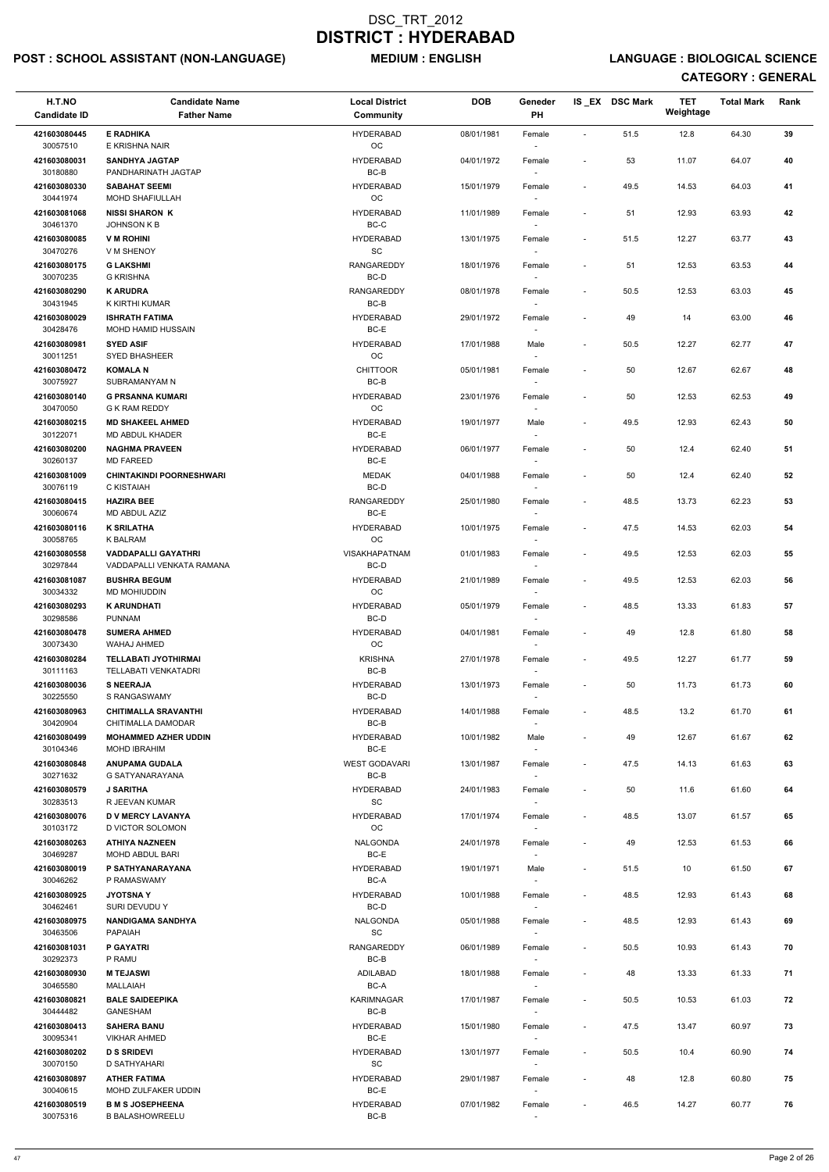## POST : SCHOOL ASSISTANT (NON-LANGUAGE) MEDIUM : ENGLISH LANGUAGE : BIOLOGICAL SCIENCE

| H.T.NO<br><b>Candidate ID</b>        | <b>Candidate Name</b><br><b>Father Name</b>             | <b>Local District</b><br><b>Community</b> | <b>DOB</b> | Geneder<br>PH                      |                              | IS EX DSC Mark | <b>TET</b><br>Weightage | <b>Total Mark</b> | Rank |
|--------------------------------------|---------------------------------------------------------|-------------------------------------------|------------|------------------------------------|------------------------------|----------------|-------------------------|-------------------|------|
| 421603080445                         | <b>E RADHIKA</b>                                        | <b>HYDERABAD</b>                          | 08/01/1981 | Female                             | $\blacksquare$               | 51.5           | 12.8                    | 64.30             | 39   |
| 30057510<br>421603080031             | E KRISHNA NAIR<br><b>SANDHYA JAGTAP</b>                 | OC<br><b>HYDERABAD</b>                    | 04/01/1972 | $\sim$<br>Female                   | $\qquad \qquad \blacksquare$ | 53             | 11.07                   | 64.07             | 40   |
| 30180880                             | PANDHARINATH JAGTAP                                     | BC-B                                      |            |                                    |                              |                |                         |                   |      |
| 421603080330<br>30441974             | <b>SABAHAT SEEMI</b><br>MOHD SHAFIULLAH                 | <b>HYDERABAD</b><br>OC                    | 15/01/1979 | Female                             | $\overline{\phantom{a}}$     | 49.5           | 14.53                   | 64.03             | 41   |
| 421603081068<br>30461370             | <b>NISSI SHARON K</b><br><b>JOHNSON K B</b>             | <b>HYDERABAD</b><br>BC-C                  | 11/01/1989 | Female<br>$\sim$                   | $\sim$                       | 51             | 12.93                   | 63.93             | 42   |
| 421603080085                         | <b>V M ROHINI</b><br>V M SHENOY                         | <b>HYDERABAD</b><br><b>SC</b>             | 13/01/1975 | Female                             | $\overline{\phantom{a}}$     | 51.5           | 12.27                   | 63.77             | 43   |
| 30470276<br>421603080175<br>30070235 | <b>G LAKSHMI</b>                                        | <b>RANGAREDDY</b>                         | 18/01/1976 | $\sim$<br>Female                   | $\overline{\phantom{a}}$     | 51             | 12.53                   | 63.53             | 44   |
| 421603080290<br>30431945             | <b>G KRISHNA</b><br><b>K ARUDRA</b><br>K KIRTHI KUMAR   | BC-D<br><b>RANGAREDDY</b><br>BC-B         | 08/01/1978 | $\sim$<br>Female                   | $\overline{\phantom{a}}$     | 50.5           | 12.53                   | 63.03             | 45   |
| 421603080029<br>30428476             | <b>ISHRATH FATIMA</b><br>MOHD HAMID HUSSAIN             | <b>HYDERABAD</b><br>$BC-E$                | 29/01/1972 | Female<br>$\sim$                   | $\overline{\phantom{a}}$     | 49             | 14                      | 63.00             | 46   |
| 421603080981                         | <b>SYED ASIF</b>                                        | <b>HYDERABAD</b>                          | 17/01/1988 | Male                               | $\overline{\phantom{a}}$     | 50.5           | 12.27                   | 62.77             | 47   |
| 30011251<br>421603080472             | SYED BHASHEER<br><b>KOMALAN</b>                         | OC<br><b>CHITTOOR</b>                     | 05/01/1981 | $\sim$<br>Female                   | $\qquad \qquad \blacksquare$ | 50             | 12.67                   | 62.67             | 48   |
| 30075927                             | SUBRAMANYAM N                                           | BC-B                                      |            | $\overline{\phantom{a}}$           |                              |                |                         |                   |      |
| 421603080140<br>30470050             | <b>G PRSANNA KUMARI</b><br>G K RAM REDDY                | <b>HYDERABAD</b><br>$_{\rm OC}$           | 23/01/1976 | Female                             | $\overline{\phantom{a}}$     | 50             | 12.53                   | 62.53             | 49   |
| 421603080215                         | <b>MD SHAKEEL AHMED</b>                                 | <b>HYDERABAD</b>                          | 19/01/1977 | Male                               | $\overline{\phantom{a}}$     | 49.5           | 12.93                   | 62.43             | 50   |
| 30122071<br>421603080200             | MD ABDUL KHADER<br><b>NAGHMA PRAVEEN</b>                | BC-E<br><b>HYDERABAD</b>                  | 06/01/1977 | Female                             | $\overline{\phantom{a}}$     | 50             | 12.4                    | 62.40             | 51   |
| 30260137                             | <b>MD FAREED</b>                                        | BC-E                                      |            | $\sim$                             |                              |                |                         |                   |      |
| 421603081009<br>30076119             | <b>CHINTAKINDI POORNESHWARI</b><br>C KISTAIAH           | <b>MEDAK</b><br>BC-D                      | 04/01/1988 | Female<br>$\overline{\phantom{a}}$ | $\overline{\phantom{a}}$     | 50             | 12.4                    | 62.40             | 52   |
| 421603080415<br>30060674             | <b>HAZIRA BEE</b><br>MD ABDUL AZIZ                      | RANGAREDDY<br>BC-E                        | 25/01/1980 | Female                             | $\overline{\phantom{a}}$     | 48.5           | 13.73                   | 62.23             | 53   |
| 421603080116<br>30058765             | <b>K SRILATHA</b><br>K BALRAM                           | <b>HYDERABAD</b><br>OC.                   | 10/01/1975 | Female<br>$\overline{\phantom{a}}$ | $\overline{\phantom{a}}$     | 47.5           | 14.53                   | 62.03             | 54   |
| 421603080558<br>30297844             | <b>VADDAPALLI GAYATHRI</b><br>VADDAPALLI VENKATA RAMANA | <b>VISAKHAPATNAM</b><br>BC-D              | 01/01/1983 | Female<br>$\sim$                   | $\overline{\phantom{a}}$     | 49.5           | 12.53                   | 62.03             | 55   |
| 421603081087<br>30034332             | <b>BUSHRA BEGUM</b><br>MD MOHIUDDIN                     | <b>HYDERABAD</b><br><b>OC</b>             | 21/01/1989 | Female                             | $\overline{\phantom{a}}$     | 49.5           | 12.53                   | 62.03             | 56   |
| 421603080293<br>30298586             | <b>K ARUNDHATI</b><br><b>PUNNAM</b>                     | <b>HYDERABAD</b><br>BC-D                  | 05/01/1979 | Female                             | $\overline{\phantom{a}}$     | 48.5           | 13.33                   | 61.83             | 57   |
| 421603080478                         | <b>SUMERA AHMED</b>                                     | <b>HYDERABAD</b>                          | 04/01/1981 | Female                             | $\overline{\phantom{a}}$     | 49             | 12.8                    | 61.80             | 58   |
| 30073430<br>421603080284             | <b>WAHAJ AHMED</b><br><b>TELLABATI JYOTHIRMAI</b>       | OC<br><b>KRISHNA</b>                      | 27/01/1978 | $\overline{\phantom{a}}$<br>Female | $\overline{\phantom{a}}$     | 49.5           | 12.27                   | 61.77             | 59   |
| 30111163<br>421603080036             | TELLABATI VENKATADRI<br><b>S NEERAJA</b>                | BC-B<br><b>HYDERABAD</b>                  | 13/01/1973 | $\sim$<br>Female                   | $\overline{\phantom{a}}$     | 50             | 11.73                   | 61.73             | 60   |
| 30225550                             | S RANGASWAMY                                            | BC-D                                      |            | $\overline{\phantom{a}}$           |                              |                |                         |                   |      |
| 421603080963<br>30420904             | <b>CHITIMALLA SRAVANTHI</b><br>CHITIMALLA DAMODAR       | <b>HYDERABAD</b><br>BC-B                  | 14/01/1988 | Female                             | $\overline{\phantom{a}}$     | 48.5           | 13.2                    | 61.70             | 61   |
| 421603080499<br>30104346             | <b>MOHAMMED AZHER UDDIN</b><br><b>MOHD IBRAHIM</b>      | <b>HYDERABAD</b><br>BC-E                  | 10/01/1982 | Male<br>$\sim$                     | $\overline{\phantom{a}}$     | 49             | 12.67                   | 61.67             | 62   |
| 421603080848<br>30271632             | <b>ANUPAMA GUDALA</b><br>G SATYANARAYANA                | <b>WEST GODAVARI</b><br>BC-B              | 13/01/1987 | Female<br>$\sim$                   | $\overline{\phantom{a}}$     | 47.5           | 14.13                   | 61.63             | 63   |
| 421603080579<br>30283513             | <b>J SARITHA</b><br>R JEEVAN KUMAR                      | <b>HYDERABAD</b><br>SC                    | 24/01/1983 | Female<br>$\sim$                   | $\overline{\phantom{a}}$     | 50             | 11.6                    | 61.60             | 64   |
| 421603080076<br>30103172             | <b>D V MERCY LAVANYA</b><br>D VICTOR SOLOMON            | <b>HYDERABAD</b><br><b>OC</b>             | 17/01/1974 | Female                             | $\overline{\phantom{a}}$     | 48.5           | 13.07                   | 61.57             | 65   |
| 421603080263<br>30469287             | <b>ATHIYA NAZNEEN</b><br>MOHD ABDUL BARI                | NALGONDA<br>BC-E                          | 24/01/1978 | Female<br>$\overline{\phantom{a}}$ | $\overline{\phantom{a}}$     | 49             | 12.53                   | 61.53             | 66   |
| 421603080019                         | P SATHYANARAYANA                                        | <b>HYDERABAD</b>                          | 19/01/1971 | Male                               | $\overline{\phantom{a}}$     | 51.5           | 10                      | 61.50             | 67   |
| 30046262<br>421603080925             | P RAMASWAMY<br><b>JYOTSNAY</b>                          | BC-A<br><b>HYDERABAD</b>                  | 10/01/1988 | $\sim$<br>Female                   | $\overline{\phantom{a}}$     | 48.5           | 12.93                   | 61.43             | 68   |
| 30462461                             | SURI DEVUDU Y                                           | BC-D                                      |            | $\sim$                             |                              |                |                         |                   |      |
| 421603080975<br>30463506             | <b>NANDIGAMA SANDHYA</b><br><b>PAPAIAH</b>              | <b>NALGONDA</b><br>SC                     | 05/01/1988 | Female                             | $\overline{\phantom{a}}$     | 48.5           | 12.93                   | 61.43             | 69   |
| 421603081031<br>30292373             | <b>P GAYATRI</b><br>P RAMU                              | <b>RANGAREDDY</b><br>BC-B                 | 06/01/1989 | Female                             | $\overline{\phantom{a}}$     | 50.5           | 10.93                   | 61.43             | 70   |
| 421603080930                         | <b>M TEJASWI</b>                                        | ADILABAD                                  | 18/01/1988 | Female                             | $\overline{\phantom{a}}$     | 48             | 13.33                   | 61.33             | 71   |
| 30465580<br>421603080821             | <b>MALLAIAH</b><br><b>BALE SAIDEEPIKA</b>               | BC-A<br>KARIMNAGAR                        | 17/01/1987 | $\sim$<br>Female                   | $\overline{\phantom{a}}$     | 50.5           | 10.53                   | 61.03             | 72   |
| 30444482                             | GANESHAM<br><b>SAHERA BANU</b>                          | $BC-B$                                    |            | $\overline{\phantom{a}}$           |                              |                |                         |                   |      |
| 421603080413<br>30095341             | <b>VIKHAR AHMED</b>                                     | <b>HYDERABAD</b><br>BC-E                  | 15/01/1980 | Female<br>$\sim$                   | $\overline{\phantom{a}}$     | 47.5           | 13.47                   | 60.97             | 73   |
| 421603080202<br>30070150             | <b>D S SRIDEVI</b><br>D SATHYAHARI                      | <b>HYDERABAD</b><br>SC                    | 13/01/1977 | Female<br>$\sim$                   | $\qquad \qquad \blacksquare$ | 50.5           | 10.4                    | 60.90             | 74   |
| 421603080897<br>30040615             | <b>ATHER FATIMA</b><br>MOHD ZULFAKER UDDIN              | <b>HYDERABAD</b><br>BC-E                  | 29/01/1987 | Female<br>$\overline{\phantom{a}}$ | $\overline{\phantom{a}}$     | 48             | 12.8                    | 60.80             | 75   |
| 421603080519<br>30075316             | <b>B M S JOSEPHEENA</b><br><b>B BALASHOWREELU</b>       | <b>HYDERABAD</b><br>BC-B                  | 07/01/1982 | Female<br>$\overline{\phantom{a}}$ | $\overline{\phantom{a}}$     | 46.5           | 14.27                   | 60.77             | 76   |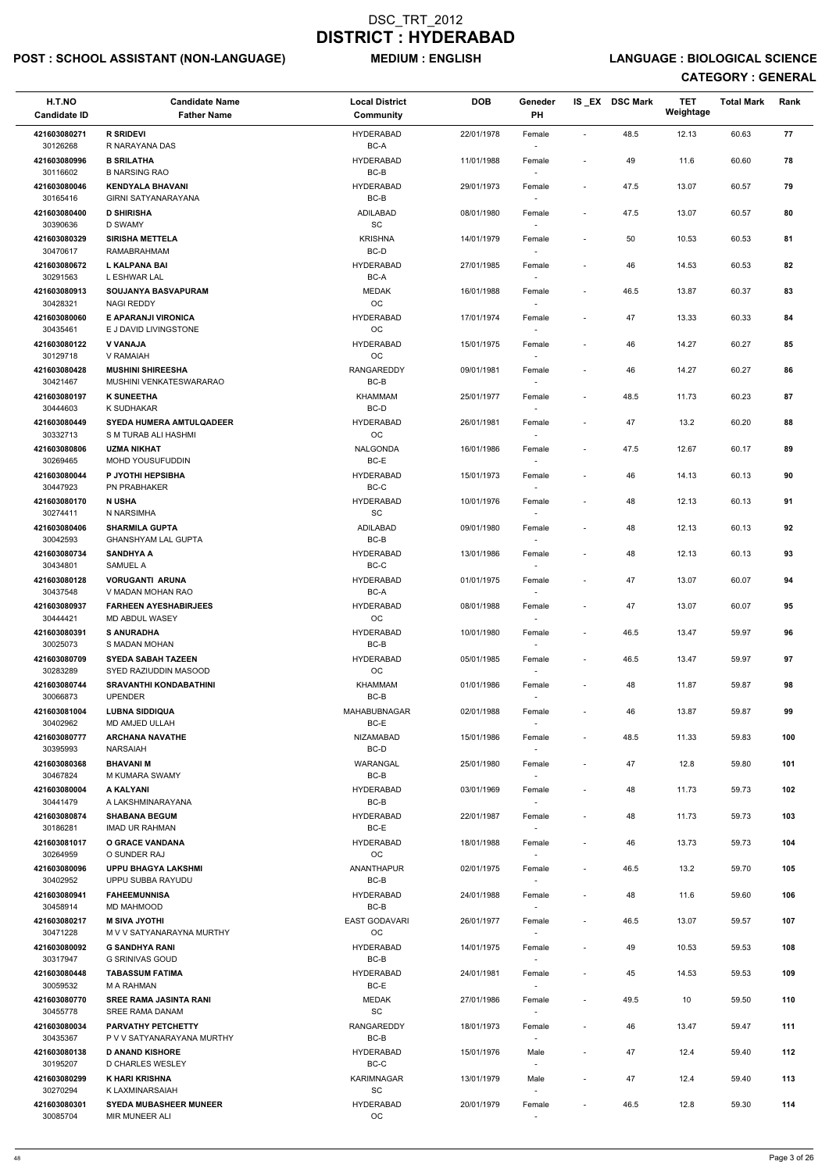## POST : SCHOOL ASSISTANT (NON-LANGUAGE) MEDIUM : ENGLISH LANGUAGE : BIOLOGICAL SCIENCE

| H.T.NO<br><b>Candidate ID</b> | <b>Candidate Name</b><br><b>Father Name</b>             | <b>Local District</b><br>Community               | <b>DOB</b> | Geneder<br><b>PH</b>               |                          | IS EX DSC Mark | <b>TET</b><br>Weightage | <b>Total Mark</b> | Rank |
|-------------------------------|---------------------------------------------------------|--------------------------------------------------|------------|------------------------------------|--------------------------|----------------|-------------------------|-------------------|------|
| 421603080271                  | <b>R SRIDEVI</b>                                        | <b>HYDERABAD</b>                                 | 22/01/1978 | Female                             | $\sim$                   | 48.5           | 12.13                   | 60.63             | 77   |
| 30126268                      | R NARAYANA DAS                                          | BC-A                                             |            |                                    |                          |                |                         |                   |      |
| 421603080996<br>30116602      | <b>B SRILATHA</b><br><b>B NARSING RAO</b>               | <b>HYDERABAD</b><br>$BC-B$                       | 11/01/1988 | Female                             |                          | 49             | 11.6                    | 60.60             | 78   |
| 421603080046<br>30165416      | <b>KENDYALA BHAVANI</b><br><b>GIRNI SATYANARAYANA</b>   | <b>HYDERABAD</b><br>BC-B                         | 29/01/1973 | Female                             |                          | 47.5           | 13.07                   | 60.57             | 79   |
| 421603080400                  | <b>D SHIRISHA</b>                                       | ADILABAD                                         | 08/01/1980 | Female                             | $\overline{\phantom{a}}$ | 47.5           | 13.07                   | 60.57             | 80   |
| 30390636<br>421603080329      | D SWAMY<br><b>SIRISHA METTELA</b>                       | <b>SC</b><br><b>KRISHNA</b>                      | 14/01/1979 | Female                             | $\overline{\phantom{a}}$ | 50             | 10.53                   | 60.53             | 81   |
| 30470617                      | <b>RAMABRAHMAM</b>                                      | BC-D                                             |            | $\sim$                             |                          |                |                         |                   |      |
| 421603080672<br>30291563      | <b>L KALPANA BAI</b><br>L ESHWAR LAL                    | <b>HYDERABAD</b><br>BC-A                         | 27/01/1985 | Female                             |                          | 46             | 14.53                   | 60.53             | 82   |
| 421603080913<br>30428321      | SOUJANYA BASVAPURAM<br><b>NAGI REDDY</b>                | <b>MEDAK</b><br>OC                               | 16/01/1988 | Female                             | $\sim$                   | 46.5           | 13.87                   | 60.37             | 83   |
| 421603080060<br>30435461      | E APARANJI VIRONICA<br>E J DAVID LIVINGSTONE            | <b>HYDERABAD</b><br>OC                           | 17/01/1974 | Female<br>$\sim$                   |                          | 47             | 13.33                   | 60.33             | 84   |
| 421603080122                  | V VANAJA                                                | <b>HYDERABAD</b>                                 | 15/01/1975 | Female                             | $\sim$                   | 46             | 14.27                   | 60.27             | 85   |
| 30129718<br>421603080428      | V RAMAIAH<br><b>MUSHINI SHIREESHA</b>                   | OC<br>RANGAREDDY                                 | 09/01/1981 | Female                             |                          | 46             | 14.27                   | 60.27             | 86   |
| 30421467                      | MUSHINI VENKATESWARARAO                                 | BC-B                                             |            |                                    |                          |                |                         |                   |      |
| 421603080197<br>30444603      | <b>K SUNEETHA</b><br>K SUDHAKAR                         | <b>KHAMMAM</b><br>BC-D                           | 25/01/1977 | Female                             |                          | 48.5           | 11.73                   | 60.23             | 87   |
| 421603080449<br>30332713      | <b>SYEDA HUMERA AMTULQADEER</b><br>S M TURAB ALI HASHMI | <b>HYDERABAD</b><br>OC                           | 26/01/1981 | Female                             | $\overline{\phantom{a}}$ | 47             | 13.2                    | 60.20             | 88   |
| 421603080806                  | <b>UZMA NIKHAT</b>                                      | <b>NALGONDA</b>                                  | 16/01/1986 | Female                             |                          | 47.5           | 12.67                   | 60.17             | 89   |
| 30269465<br>421603080044      | MOHD YOUSUFUDDIN<br>P JYOTHI HEPSIBHA                   | BC-E<br><b>HYDERABAD</b>                         | 15/01/1973 | $\sim$<br>Female                   | $\sim$                   | 46             | 14.13                   | 60.13             | 90   |
| 30447923                      | PN PRABHAKER                                            | BC-C                                             |            |                                    |                          |                |                         |                   |      |
| 421603080170<br>30274411      | <b>N USHA</b><br>N NARSIMHA                             | <b>HYDERABAD</b><br>$\operatorname{\textsf{SC}}$ | 10/01/1976 | Female                             |                          | 48             | 12.13                   | 60.13             | 91   |
| 421603080406<br>30042593      | <b>SHARMILA GUPTA</b><br><b>GHANSHYAM LAL GUPTA</b>     | ADILABAD<br>BC-B                                 | 09/01/1980 | Female<br>$\overline{\phantom{a}}$ |                          | 48             | 12.13                   | 60.13             | 92   |
| 421603080734                  | <b>SANDHYA A</b>                                        | <b>HYDERABAD</b>                                 | 13/01/1986 | Female                             |                          | 48             | 12.13                   | 60.13             | 93   |
| 30434801<br>421603080128      | <b>SAMUEL A</b><br><b>VORUGANTI ARUNA</b>               | BC-C<br><b>HYDERABAD</b>                         | 01/01/1975 | $\sim$<br>Female                   | $\overline{\phantom{a}}$ | 47             | 13.07                   | 60.07             | 94   |
| 30437548                      | V MADAN MOHAN RAO                                       | BC-A                                             |            |                                    |                          |                |                         |                   |      |
| 421603080937<br>30444421      | <b>FARHEEN AYESHABIRJEES</b><br>MD ABDUL WASEY          | <b>HYDERABAD</b><br><b>OC</b>                    | 08/01/1988 | Female                             | $\overline{\phantom{a}}$ | 47             | 13.07                   | 60.07             | 95   |
| 421603080391<br>30025073      | <b>S ANURADHA</b><br>S MADAN MOHAN                      | <b>HYDERABAD</b><br>BC-B                         | 10/01/1980 | Female                             | $\overline{\phantom{a}}$ | 46.5           | 13.47                   | 59.97             | 96   |
| 421603080709<br>30283289      | <b>SYEDA SABAH TAZEEN</b><br>SYED RAZIUDDIN MASOOD      | <b>HYDERABAD</b><br><b>OC</b>                    | 05/01/1985 | Female<br>$\sim$                   | $\overline{\phantom{a}}$ | 46.5           | 13.47                   | 59.97             | 97   |
| 421603080744                  | <b>SRAVANTHI KONDABATHINI</b>                           | <b>KHAMMAM</b>                                   | 01/01/1986 | Female                             |                          | 48             | 11.87                   | 59.87             | 98   |
| 30066873<br>421603081004      | <b>UPENDER</b><br><b>LUBNA SIDDIQUA</b>                 | BC-B<br><b>MAHABUBNAGAR</b>                      | 02/01/1988 | Female                             | $\overline{\phantom{a}}$ | 46             | 13.87                   | 59.87             | 99   |
| 30402962                      | MD AMJED ULLAH                                          | BC-E                                             |            |                                    |                          |                |                         |                   |      |
| 421603080777<br>30395993      | <b>ARCHANA NAVATHE</b><br><b>NARSAIAH</b>               | <b>NIZAMABAD</b><br>BC-D                         | 15/01/1986 | Female<br>$\sim$                   | $\overline{\phantom{a}}$ | 48.5           | 11.33                   | 59.83             | 100  |
| 421603080368<br>30467824      | <b>BHAVANIM</b><br>M KUMARA SWAMY                       | WARANGAL<br>BC-B                                 | 25/01/1980 | Female<br>$\sim$                   | $\overline{\phantom{a}}$ | 47             | 12.8                    | 59.80             | 101  |
| 421603080004                  | A KALYANI                                               | <b>HYDERABAD</b>                                 | 03/01/1969 | Female                             |                          | 48             | 11.73                   | 59.73             | 102  |
| 30441479<br>421603080874      | A LAKSHMINARAYANA<br><b>SHABANA BEGUM</b>               | BC-B<br><b>HYDERABAD</b>                         | 22/01/1987 | $\sim$<br>Female                   |                          | 48             | 11.73                   | 59.73             | 103  |
| 30186281<br>421603081017      | <b>IMAD UR RAHMAN</b><br><b>O GRACE VANDANA</b>         | BC-E<br><b>HYDERABAD</b>                         | 18/01/1988 | Female                             | $\overline{\phantom{a}}$ | 46             | 13.73                   | 59.73             | 104  |
| 30264959                      | O SUNDER RAJ                                            | <b>OC</b>                                        |            | $\sim$                             |                          |                |                         |                   |      |
| 421603080096<br>30402952      | <b>UPPU BHAGYA LAKSHMI</b><br>UPPU SUBBA RAYUDU         | ANANTHAPUR<br>BC-B                               | 02/01/1975 | Female<br>$\sim$                   | $\overline{\phantom{a}}$ | 46.5           | 13.2                    | 59.70             | 105  |
| 421603080941<br>30458914      | <b>FAHEEMUNNISA</b><br>MD MAHMOOD                       | <b>HYDERABAD</b><br>BC-B                         | 24/01/1988 | Female<br>$\sim$                   | $\overline{\phantom{a}}$ | 48             | 11.6                    | 59.60             | 106  |
| 421603080217                  | <b>M SIVA JYOTHI</b>                                    | <b>EAST GODAVARI</b>                             | 26/01/1977 | Female                             | $\overline{\phantom{a}}$ | 46.5           | 13.07                   | 59.57             | 107  |
| 30471228<br>421603080092      | M V V SATYANARAYNA MURTHY<br><b>G SANDHYA RANI</b>      | <b>OC</b><br><b>HYDERABAD</b>                    | 14/01/1975 | Female                             | $\overline{\phantom{a}}$ | 49             | 10.53                   | 59.53             | 108  |
| 30317947                      | G SRINIVAS GOUD                                         | BC-B                                             |            |                                    |                          |                |                         |                   |      |
| 421603080448<br>30059532      | <b>TABASSUM FATIMA</b><br>M A RAHMAN                    | <b>HYDERABAD</b><br>BC-E                         | 24/01/1981 | Female<br>$\sim$                   | $\sim$                   | 45             | 14.53                   | 59.53             | 109  |
| 421603080770                  | <b>SREE RAMA JASINTA RANI</b>                           | <b>MEDAK</b>                                     | 27/01/1986 | Female                             |                          | 49.5           | 10                      | 59.50             | 110  |
| 30455778<br>421603080034      | <b>SREE RAMA DANAM</b><br><b>PARVATHY PETCHETTY</b>     | SC<br><b>RANGAREDDY</b>                          | 18/01/1973 | Female                             |                          | 46             | 13.47                   | 59.47             | 111  |
| 30435367<br>421603080138      | P V V SATYANARAYANA MURTHY<br><b>D ANAND KISHORE</b>    | BC-B<br><b>HYDERABAD</b>                         | 15/01/1976 | $\sim$<br>Male                     | $\blacksquare$           | 47             | 12.4                    | 59.40             | 112  |
| 30195207                      | D CHARLES WESLEY                                        | BC-C                                             |            | $\overline{\phantom{a}}$           |                          |                |                         |                   |      |
| 421603080299<br>30270294      | <b>K HARI KRISHNA</b><br>K LAXMINARSAIAH                | <b>KARIMNAGAR</b><br>SC                          | 13/01/1979 | Male<br>$\sim$                     |                          | 47             | 12.4                    | 59.40             | 113  |
| 421603080301<br>30085704      | <b>SYEDA MUBASHEER MUNEER</b><br><b>MIR MUNEER ALI</b>  | <b>HYDERABAD</b><br>OC                           | 20/01/1979 | Female                             |                          | 46.5           | 12.8                    | 59.30             | 114  |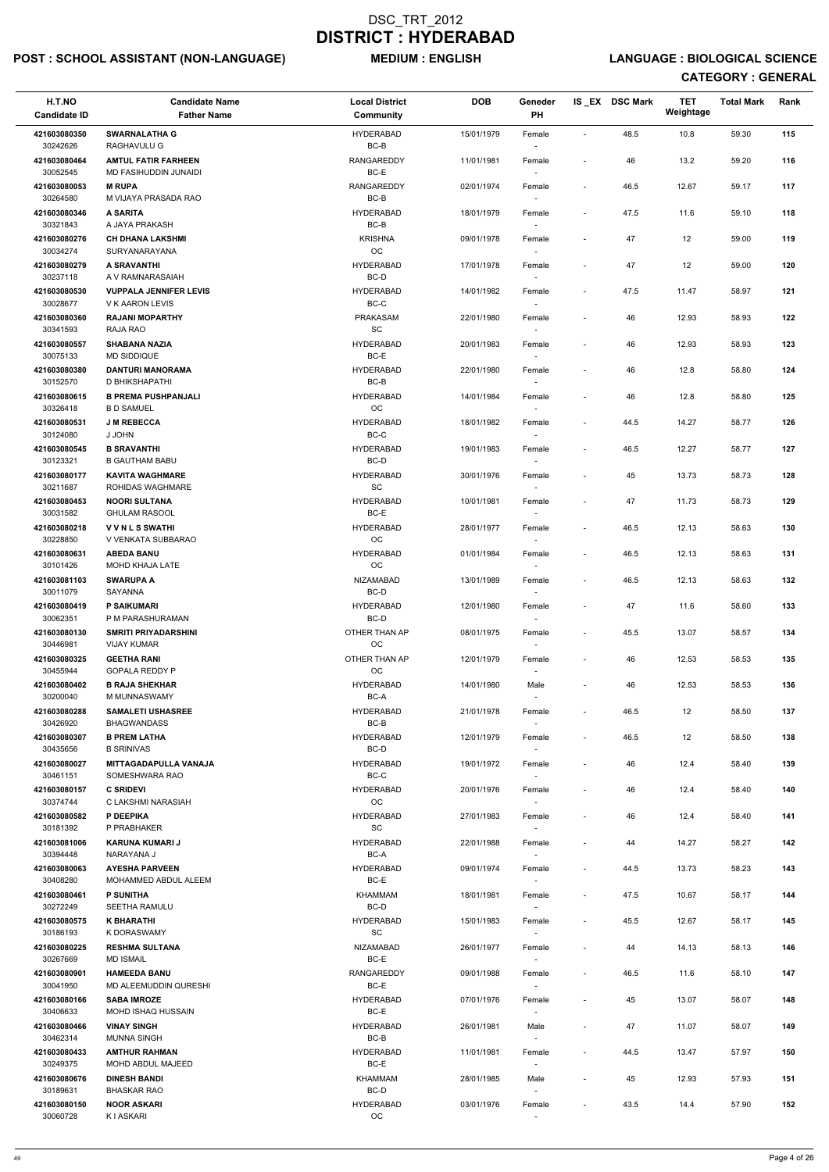## POST : SCHOOL ASSISTANT (NON-LANGUAGE) MEDIUM : ENGLISH LANGUAGE : BIOLOGICAL SCIENCE

| H.T.NO<br><b>Candidate ID</b> | <b>Candidate Name</b><br><b>Father Name</b>       | <b>Local District</b><br>Community               | <b>DOB</b> | Geneder<br>PH                      |                          | IS_EX DSC Mark | <b>TET</b><br>Weightage | <b>Total Mark</b> | Rank |
|-------------------------------|---------------------------------------------------|--------------------------------------------------|------------|------------------------------------|--------------------------|----------------|-------------------------|-------------------|------|
| 421603080350<br>30242626      | <b>SWARNALATHA G</b><br>RAGHAVULU G               | <b>HYDERABAD</b><br>BC-B                         | 15/01/1979 | Female                             | $\sim$                   | 48.5           | 10.8                    | 59.30             | 115  |
| 421603080464                  | <b>AMTUL FATIR FARHEEN</b>                        | RANGAREDDY                                       | 11/01/1981 | Female                             | $\overline{\phantom{a}}$ | 46             | 13.2                    | 59.20             | 116  |
| 30052545<br>421603080053      | MD FASIHUDDIN JUNAIDI<br><b>M RUPA</b>            | BC-E<br>RANGAREDDY                               | 02/01/1974 | Female                             | $\overline{\phantom{a}}$ | 46.5           | 12.67                   | 59.17             | 117  |
| 30264580<br>421603080346      | M VIJAYA PRASADA RAO<br><b>A SARITA</b>           | $BC-B$<br><b>HYDERABAD</b>                       | 18/01/1979 | Female                             | $\overline{\phantom{a}}$ | 47.5           | 11.6                    | 59.10             | 118  |
| 30321843<br>421603080276      | A JAYA PRAKASH<br><b>CH DHANA LAKSHMI</b>         | BC-B<br><b>KRISHNA</b>                           | 09/01/1978 | $\overline{\phantom{a}}$<br>Female | $\overline{\phantom{a}}$ | 47             | 12                      | 59.00             | 119  |
| 30034274<br>421603080279      | SURYANARAYANA<br>A SRAVANTHI                      | <b>OC</b><br><b>HYDERABAD</b>                    | 17/01/1978 | $\sim$<br>Female                   | $\overline{\phantom{a}}$ | 47             | 12                      | 59.00             | 120  |
| 30237118<br>421603080530      | A V RAMNARASAIAH<br><b>VUPPALA JENNIFER LEVIS</b> | BC-D<br><b>HYDERABAD</b>                         | 14/01/1982 | Female                             | $\overline{\phantom{a}}$ | 47.5           | 11.47                   | 58.97             | 121  |
| 30028677<br>421603080360      | <b>V K AARON LEVIS</b><br><b>RAJANI MOPARTHY</b>  | $BC-C$<br><b>PRAKASAM</b>                        | 22/01/1980 | Female                             | $\overline{\phantom{a}}$ | 46             | 12.93                   | 58.93             | 122  |
| 30341593<br>421603080557      | RAJA RAO<br><b>SHABANA NAZIA</b>                  | $\operatorname{\textsf{SC}}$<br><b>HYDERABAD</b> | 20/01/1983 | Female                             | $\overline{\phantom{a}}$ | 46             | 12.93                   | 58.93             | 123  |
| 30075133                      | MD SIDDIQUE                                       | BC-E                                             |            |                                    |                          |                |                         |                   |      |
| 421603080380<br>30152570      | <b>DANTURI MANORAMA</b><br>D BHIKSHAPATHI         | <b>HYDERABAD</b><br>BC-B                         | 22/01/1980 | Female                             | $\overline{\phantom{a}}$ | 46             | 12.8                    | 58.80             | 124  |
| 421603080615<br>30326418      | <b>B PREMA PUSHPANJALI</b><br><b>B D SAMUEL</b>   | <b>HYDERABAD</b><br>OC                           | 14/01/1984 | Female                             | $\overline{a}$           | 46             | 12.8                    | 58.80             | 125  |
| 421603080531<br>30124080      | <b>J M REBECCA</b><br>J JOHN                      | <b>HYDERABAD</b><br>$BC-C$                       | 18/01/1982 | Female                             | $\overline{\phantom{a}}$ | 44.5           | 14.27                   | 58.77             | 126  |
| 421603080545<br>30123321      | <b>B SRAVANTHI</b><br><b>B GAUTHAM BABU</b>       | <b>HYDERABAD</b><br>BC-D                         | 19/01/1983 | Female<br>$\sim$                   | $\overline{\phantom{a}}$ | 46.5           | 12.27                   | 58.77             | 127  |
| 421603080177<br>30211687      | <b>KAVITA WAGHMARE</b>                            | <b>HYDERABAD</b>                                 | 30/01/1976 | Female                             | $\overline{\phantom{a}}$ | 45             | 13.73                   | 58.73             | 128  |
| 421603080453                  | ROHIDAS WAGHMARE<br><b>NOORI SULTANA</b>          | SC<br><b>HYDERABAD</b>                           | 10/01/1981 | Female                             | $\overline{\phantom{a}}$ | 47             | 11.73                   | 58.73             | 129  |
| 30031582<br>421603080218      | <b>GHULAM RASOOL</b><br><b>VVNLSSWATHI</b>        | BC-E<br><b>HYDERABAD</b>                         | 28/01/1977 | Female                             | $\overline{\phantom{a}}$ | 46.5           | 12.13                   | 58.63             | 130  |
| 30228850<br>421603080631      | V VENKATA SUBBARAO<br><b>ABEDA BANU</b>           | OC.<br><b>HYDERABAD</b>                          | 01/01/1984 | $\overline{\phantom{a}}$<br>Female | $\overline{\phantom{a}}$ | 46.5           | 12.13                   | 58.63             | 131  |
| 30101426<br>421603081103      | <b>MOHD KHAJA LATE</b><br><b>SWARUPA A</b>        | <b>OC</b><br>NIZAMABAD                           | 13/01/1989 | $\sim$<br>Female                   | $\overline{\phantom{a}}$ | 46.5           | 12.13                   | 58.63             | 132  |
| 30011079<br>421603080419      | SAYANNA<br><b>P SAIKUMARI</b>                     | BC-D<br><b>HYDERABAD</b>                         | 12/01/1980 | Female                             | $\overline{\phantom{a}}$ | 47             | 11.6                    | 58.60             | 133  |
| 30062351                      | P M PARASHURAMAN                                  | BC-D                                             |            |                                    |                          |                |                         |                   |      |
| 421603080130<br>30446981      | <b>SMRITI PRIYADARSHINI</b><br><b>VIJAY KUMAR</b> | OTHER THAN AP<br>OC                              | 08/01/1975 | Female                             | $\overline{\phantom{a}}$ | 45.5           | 13.07                   | 58.57             | 134  |
| 421603080325<br>30455944      | <b>GEETHA RANI</b><br><b>GOPALA REDDY P</b>       | OTHER THAN AP<br><b>OC</b>                       | 12/01/1979 | Female<br>$\overline{\phantom{a}}$ | $\overline{\phantom{a}}$ | 46             | 12.53                   | 58.53             | 135  |
| 421603080402<br>30200040      | <b>B RAJA SHEKHAR</b><br>M MUNNASWAMY             | <b>HYDERABAD</b><br>BC-A                         | 14/01/1980 | Male                               | $\overline{\phantom{a}}$ | 46             | 12.53                   | 58.53             | 136  |
| 421603080288<br>30426920      | <b>SAMALETI USHASREE</b><br><b>BHAGWANDASS</b>    | <b>HYDERABAD</b><br>BC-B                         | 21/01/1978 | Female                             | $\overline{\phantom{a}}$ | 46.5           | 12                      | 58.50             | 137  |
| 421603080307<br>30435656      | <b>B PREM LATHA</b><br><b>B SRINIVAS</b>          | <b>HYDERABAD</b><br>BC-D                         | 12/01/1979 | Female                             | $\overline{\phantom{a}}$ | 46.5           | 12                      | 58.50             | 138  |
| 421603080027<br>30461151      | MITTAGADAPULLA VANAJA<br>SOMESHWARA RAO           | <b>HYDERABAD</b><br>BC-C                         | 19/01/1972 | Female                             | $\overline{\phantom{a}}$ | 46             | 12.4                    | 58.40             | 139  |
| 421603080157<br>30374744      | <b>C SRIDEVI</b><br>C LAKSHMI NARASIAH            | <b>HYDERABAD</b><br><b>OC</b>                    | 20/01/1976 | Female                             | $\overline{\phantom{a}}$ | 46             | 12.4                    | 58.40             | 140  |
| 421603080582<br>30181392      | P DEEPIKA<br>P PRABHAKER                          | <b>HYDERABAD</b><br><b>SC</b>                    | 27/01/1983 | Female                             | $\overline{a}$           | 46             | 12.4                    | 58.40             | 141  |
| 421603081006                  | <b>KARUNA KUMARI J</b>                            | <b>HYDERABAD</b><br>BC-A                         | 22/01/1988 | Female                             | $\overline{\phantom{a}}$ | 44             | 14.27                   | 58.27             | 142  |
| 30394448<br>421603080063      | NARAYANA J<br><b>AYESHA PARVEEN</b>               | <b>HYDERABAD</b>                                 | 09/01/1974 | Female                             | $\overline{\phantom{a}}$ | 44.5           | 13.73                   | 58.23             | 143  |
| 30408280<br>421603080461      | MOHAMMED ABDUL ALEEM<br><b>P SUNITHA</b>          | BC-E<br>KHAMMAM                                  | 18/01/1981 | $\overline{\phantom{a}}$<br>Female | $\overline{\phantom{a}}$ | 47.5           | 10.67                   | 58.17             | 144  |
| 30272249<br>421603080575      | <b>SEETHA RAMULU</b><br><b>K BHARATHI</b>         | BC-D<br><b>HYDERABAD</b>                         | 15/01/1983 | $\sim$                             | $\overline{\phantom{a}}$ | 45.5           | 12.67                   | 58.17             | 145  |
| 30186193                      | K DORASWAMY                                       | SC                                               |            | Female                             |                          |                |                         |                   |      |
| 421603080225<br>30267669      | <b>RESHMA SULTANA</b><br><b>MD ISMAIL</b>         | NIZAMABAD<br>BC-E                                | 26/01/1977 | Female                             | $\overline{\phantom{a}}$ | 44             | 14.13                   | 58.13             | 146  |
| 421603080901<br>30041950      | <b>HAMEEDA BANU</b><br>MD ALEEMUDDIN QURESHI      | RANGAREDDY<br>BC-E                               | 09/01/1988 | Female<br>$\overline{\phantom{a}}$ | $\overline{\phantom{a}}$ | 46.5           | 11.6                    | 58.10             | 147  |
| 421603080166<br>30406633      | <b>SABA IMROZE</b><br>MOHD ISHAQ HUSSAIN          | <b>HYDERABAD</b><br>$BC-E$                       | 07/01/1976 | Female                             | $\blacksquare$           | 45             | 13.07                   | 58.07             | 148  |
| 421603080466<br>30462314      | <b>VINAY SINGH</b><br><b>MUNNA SINGH</b>          | <b>HYDERABAD</b><br>BC-B                         | 26/01/1981 | Male                               | $\overline{\phantom{a}}$ | 47             | 11.07                   | 58.07             | 149  |
| 421603080433                  | <b>AMTHUR RAHMAN</b>                              | <b>HYDERABAD</b>                                 | 11/01/1981 | $\overline{\phantom{a}}$<br>Female | $\overline{\phantom{a}}$ | 44.5           | 13.47                   | 57.97             | 150  |
| 30249375<br>421603080676      | MOHD ABDUL MAJEED<br><b>DINESH BANDI</b>          | BC-E<br>KHAMMAM                                  | 28/01/1985 | Male                               | $\overline{\phantom{a}}$ | 45             | 12.93                   | 57.93             | 151  |
| 30189631<br>421603080150      | <b>BHASKAR RAO</b><br><b>NOOR ASKARI</b>          | BC-D<br><b>HYDERABAD</b>                         | 03/01/1976 | $\overline{\phantom{a}}$<br>Female | $\overline{\phantom{a}}$ | 43.5           | 14.4                    | 57.90             | 152  |
| 30060728                      | <b>KIASKARI</b>                                   | OC                                               |            |                                    |                          |                |                         |                   |      |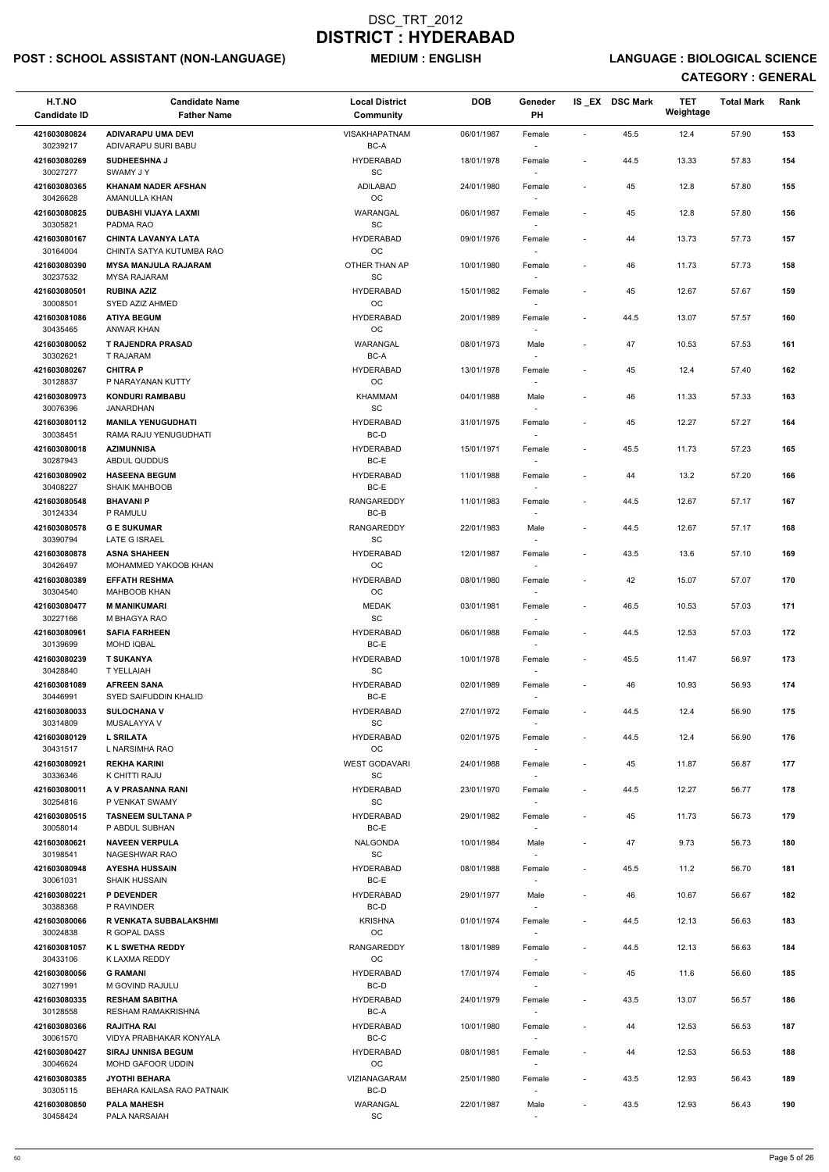## POST : SCHOOL ASSISTANT (NON-LANGUAGE) MEDIUM : ENGLISH LANGUAGE : BIOLOGICAL SCIENCE

| H.T.NO<br><b>Candidate ID</b>        | <b>Candidate Name</b><br><b>Father Name</b>                       | <b>Local District</b><br>Community               | <b>DOB</b> | Geneder<br>PH                      |                          | IS EX DSC Mark | <b>TET</b><br>Weightage | <b>Total Mark</b> | Rank |
|--------------------------------------|-------------------------------------------------------------------|--------------------------------------------------|------------|------------------------------------|--------------------------|----------------|-------------------------|-------------------|------|
| 421603080824<br>30239217             | <b>ADIVARAPU UMA DEVI</b><br>ADIVARAPU SURI BABU                  | <b>VISAKHAPATNAM</b><br>BC-A                     | 06/01/1987 | Female                             | $\mathbf{r}$             | 45.5           | 12.4                    | 57.90             | 153  |
| 421603080269<br>30027277             | <b>SUDHEESHNA J</b><br><b>SWAMY JY</b>                            | <b>HYDERABAD</b><br>SC                           | 18/01/1978 | Female                             | $\blacksquare$           | 44.5           | 13.33                   | 57.83             | 154  |
| 421603080365<br>30426628             | <b>KHANAM NADER AFSHAN</b><br>AMANULLA KHAN                       | ADILABAD<br>$_{\rm OC}$                          | 24/01/1980 | Female                             | $\overline{\phantom{a}}$ | 45             | 12.8                    | 57.80             | 155  |
| 421603080825                         | DUBASHI VIJAYA LAXMI                                              | WARANGAL                                         | 06/01/1987 | Female                             | $\overline{\phantom{a}}$ | 45             | 12.8                    | 57.80             | 156  |
| 30305821<br>421603080167             | PADMA RAO<br><b>CHINTA LAVANYA LATA</b>                           | SC<br><b>HYDERABAD</b>                           | 09/01/1976 | Female                             | $\overline{\phantom{a}}$ | 44             | 13.73                   | 57.73             | 157  |
| 30164004<br>421603080390             | CHINTA SATYA KUTUMBA RAO<br><b>MYSA MANJULA RAJARAM</b>           | <b>OC</b><br>OTHER THAN AP                       | 10/01/1980 | $\sim$<br>Female                   |                          | 46             | 11.73                   | 57.73             | 158  |
| 30237532<br>421603080501             | <b>MYSA RAJARAM</b><br><b>RUBINA AZIZ</b>                         | SC<br><b>HYDERABAD</b>                           | 15/01/1982 | Female                             | $\overline{\phantom{a}}$ | 45             | 12.67                   | 57.67             | 159  |
| 30008501<br>421603081086             | SYED AZIZ AHMED<br><b>ATIYA BEGUM</b>                             | OC<br><b>HYDERABAD</b>                           | 20/01/1989 | Female                             |                          | 44.5           | 13.07                   | 57.57             | 160  |
| 30435465                             | ANWAR KHAN                                                        | OC<br>WARANGAL                                   |            | $\sim$                             |                          |                |                         |                   |      |
| 421603080052<br>30302621             | T RAJENDRA PRASAD<br>T RAJARAM                                    | BC-A                                             | 08/01/1973 | Male<br>$\sim$                     | $\blacksquare$           | 47             | 10.53                   | 57.53             | 161  |
| 421603080267<br>30128837             | <b>CHITRA P</b><br>P NARAYANAN KUTTY                              | <b>HYDERABAD</b><br>OC                           | 13/01/1978 | Female                             | $\blacksquare$           | 45             | 12.4                    | 57.40             | 162  |
| 421603080973<br>30076396             | <b>KONDURI RAMBABU</b><br><b>JANARDHAN</b>                        | <b>KHAMMAM</b><br>SC                             | 04/01/1988 | Male                               | $\blacksquare$           | 46             | 11.33                   | 57.33             | 163  |
| 421603080112<br>30038451             | <b>MANILA YENUGUDHATI</b><br>RAMA RAJU YENUGUDHATI                | <b>HYDERABAD</b><br>BC-D                         | 31/01/1975 | Female<br>$\overline{\phantom{a}}$ |                          | 45             | 12.27                   | 57.27             | 164  |
| 421603080018<br>30287943             | <b>AZIMUNNISA</b><br>ABDUL QUDDUS                                 | <b>HYDERABAD</b><br>BC-E                         | 15/01/1971 | Female<br>$\sim$                   | $\overline{\phantom{a}}$ | 45.5           | 11.73                   | 57.23             | 165  |
| 421603080902<br>30408227             | <b>HASEENA BEGUM</b><br><b>SHAIK MAHBOOB</b>                      | <b>HYDERABAD</b><br>BC-E                         | 11/01/1988 | Female                             | $\overline{\phantom{a}}$ | 44             | 13.2                    | 57.20             | 166  |
| 421603080548                         | <b>BHAVANIP</b>                                                   | <b>RANGAREDDY</b>                                | 11/01/1983 | $\overline{\phantom{a}}$<br>Female | $\blacksquare$           | 44.5           | 12.67                   | 57.17             | 167  |
| 30124334<br>421603080578             | P RAMULU<br><b>GE SUKUMAR</b>                                     | BC-B<br><b>RANGAREDDY</b>                        | 22/01/1983 | Male                               | $\blacksquare$           | 44.5           | 12.67                   | 57.17             | 168  |
| 30390794<br>421603080878             | LATE G ISRAEL<br><b>ASNA SHAHEEN</b>                              | SC<br><b>HYDERABAD</b>                           | 12/01/1987 | $\sim$<br>Female                   | $\blacksquare$           | 43.5           | 13.6                    | 57.10             | 169  |
| 30426497<br>421603080389             | MOHAMMED YAKOOB KHAN<br><b>EFFATH RESHMA</b>                      | OC<br><b>HYDERABAD</b>                           | 08/01/1980 | $\sim$<br>Female                   | $\overline{\phantom{a}}$ | 42             | 15.07                   | 57.07             | 170  |
| 30304540<br>421603080477             | <b>MAHBOOB KHAN</b><br><b>M MANIKUMARI</b>                        | OC<br>MEDAK                                      | 03/01/1981 | Female                             | $\overline{\phantom{a}}$ | 46.5           | 10.53                   | 57.03             | 171  |
| 30227166                             | M BHAGYA RAO                                                      | SC                                               |            | $\sim$                             |                          |                |                         |                   |      |
| 421603080961<br>30139699             | <b>SAFIA FARHEEN</b><br><b>MOHD IQBAL</b>                         | <b>HYDERABAD</b><br>BC-E                         | 06/01/1988 | Female                             | $\blacksquare$           | 44.5           | 12.53                   | 57.03             | 172  |
| 421603080239<br>30428840             | <b>T SUKANYA</b><br>T YELLAIAH                                    | <b>HYDERABAD</b><br>SC                           | 10/01/1978 | Female<br>$\sim$                   | $\blacksquare$           | 45.5           | 11.47                   | 56.97             | 173  |
| 421603081089<br>30446991             | <b>AFREEN SANA</b><br><b>SYED SAIFUDDIN KHALID</b>                | <b>HYDERABAD</b><br>BC-E                         | 02/01/1989 | Female                             |                          | 46             | 10.93                   | 56.93             | 174  |
| 421603080033<br>30314809             | <b>SULOCHANA V</b><br>MUSALAYYA V                                 | <b>HYDERABAD</b><br>SC                           | 27/01/1972 | Female                             | $\overline{\phantom{a}}$ | 44.5           | 12.4                    | 56.90             | 175  |
| 421603080129<br>30431517             | <b>L SRILATA</b><br>L NARSIMHA RAO                                | <b>HYDERABAD</b><br>OC                           | 02/01/1975 | Female<br>$\sim$                   | $\overline{\phantom{a}}$ | 44.5           | 12.4                    | 56.90             | 176  |
| 421603080921<br>30336346             | <b>REKHA KARINI</b><br>K CHITTI RAJU                              | <b>WEST GODAVARI</b><br><b>SC</b>                | 24/01/1988 | Female<br>$\sim$                   | $\blacksquare$           | 45             | 11.87                   | 56.87             | 177  |
| 421603080011                         | A V PRASANNA RANI                                                 | <b>HYDERABAD</b>                                 | 23/01/1970 | Female                             | $\overline{\phantom{a}}$ | 44.5           | 12.27                   | 56.77             | 178  |
| 30254816<br>421603080515             | P VENKAT SWAMY<br><b>TASNEEM SULTANA P</b>                        | SC<br><b>HYDERABAD</b>                           | 29/01/1982 | $\overline{\phantom{a}}$<br>Female | $\overline{\phantom{a}}$ | 45             | 11.73                   | 56.73             | 179  |
| 30058014<br>421603080621             | P ABDUL SUBHAN<br><b>NAVEEN VERPULA</b>                           | BC-E<br><b>NALGONDA</b>                          | 10/01/1984 | Male                               | $\overline{\phantom{a}}$ | 47             | 9.73                    | 56.73             | 180  |
| 30198541<br>421603080948             | NAGESHWAR RAO<br><b>AYESHA HUSSAIN</b>                            | SC<br><b>HYDERABAD</b>                           | 08/01/1988 | $\sim$<br>Female                   | $\blacksquare$           | 45.5           | 11.2                    | 56.70             | 181  |
| 30061031<br>421603080221             | <b>SHAIK HUSSAIN</b><br><b>P DEVENDER</b>                         | BC-E<br><b>HYDERABAD</b>                         | 29/01/1977 | $\overline{\phantom{a}}$<br>Male   | $\overline{\phantom{a}}$ | 46             | 10.67                   | 56.67             | 182  |
| 30388368<br>421603080066             | P RAVINDER<br><b>R VENKATA SUBBALAKSHMI</b>                       | BC-D<br><b>KRISHNA</b>                           | 01/01/1974 | $\sim$<br>Female                   | $\overline{\phantom{a}}$ | 44.5           | 12.13                   | 56.63             | 183  |
| 30024838                             | R GOPAL DASS                                                      | OC                                               |            |                                    |                          |                |                         |                   |      |
| 421603081057<br>30433106             | <b>K L SWETHA REDDY</b><br>K LAXMA REDDY                          | <b>RANGAREDDY</b><br><b>OC</b>                   | 18/01/1989 | Female                             | $\blacksquare$           | 44.5           | 12.13                   | 56.63             | 184  |
| 421603080056<br>30271991             | <b>G RAMANI</b><br>M GOVIND RAJULU                                | <b>HYDERABAD</b><br>BC-D                         | 17/01/1974 | Female<br>$\sim$                   | $\overline{\phantom{a}}$ | 45             | 11.6                    | 56.60             | 185  |
| 421603080335<br>30128558             | <b>RESHAM SABITHA</b><br>RESHAM RAMAKRISHNA                       | <b>HYDERABAD</b><br>BC-A                         | 24/01/1979 | Female<br>$\overline{\phantom{a}}$ | $\overline{\phantom{a}}$ | 43.5           | 13.07                   | 56.57             | 186  |
| 421603080366<br>30061570             | <b>RAJITHA RAI</b><br>VIDYA PRABHAKAR KONYALA                     | <b>HYDERABAD</b><br>BC-C                         | 10/01/1980 | Female<br>$\sim$                   | $\overline{\phantom{a}}$ | 44             | 12.53                   | 56.53             | 187  |
| 421603080427<br>30046624             | <b>SIRAJ UNNISA BEGUM</b><br>MOHD GAFOOR UDDIN                    | <b>HYDERABAD</b><br>OC                           | 08/01/1981 | Female<br>$\sim$                   | $\overline{\phantom{a}}$ | 44             | 12.53                   | 56.53             | 188  |
| 421603080385                         | <b>JYOTHI BEHARA</b>                                              | VIZIANAGARAM                                     | 25/01/1980 | Female                             | $\sim$                   | 43.5           | 12.93                   | 56.43             | 189  |
| 30305115<br>421603080850<br>30458424 | BEHARA KAILASA RAO PATNAIK<br><b>PALA MAHESH</b><br>PALA NARSAIAH | BC-D<br>WARANGAL<br>$\operatorname{\textsf{SC}}$ | 22/01/1987 | $\sim$<br>Male                     | $\overline{\phantom{a}}$ | 43.5           | 12.93                   | 56.43             | 190  |
|                                      |                                                                   |                                                  |            |                                    |                          |                |                         |                   |      |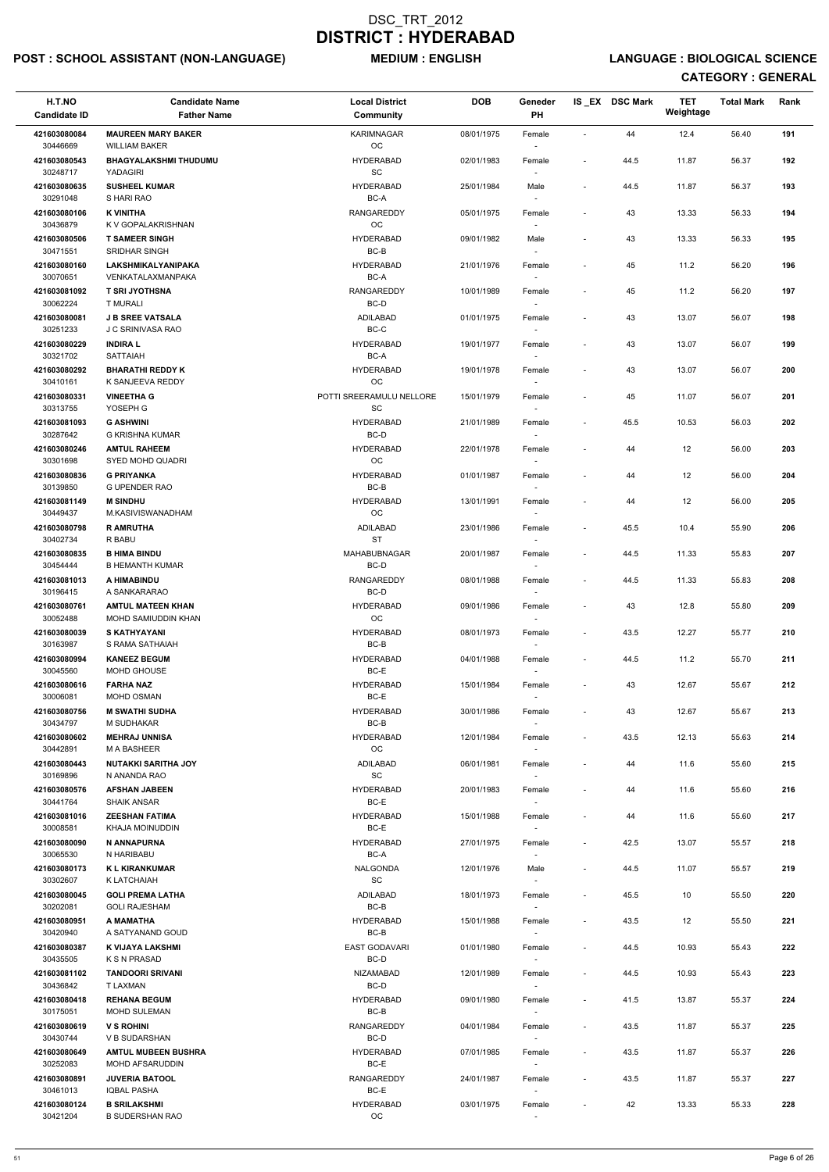## POST : SCHOOL ASSISTANT (NON-LANGUAGE) MEDIUM : ENGLISH LANGUAGE : BIOLOGICAL SCIENCE

| H.T.NO<br><b>Candidate ID</b> | <b>Candidate Name</b><br><b>Father Name</b>       | <b>Local District</b><br>Community               | <b>DOB</b> | Geneder<br>PH                      |                              | IS_EX DSC Mark | <b>TET</b><br>Weightage | <b>Total Mark</b> | Rank |
|-------------------------------|---------------------------------------------------|--------------------------------------------------|------------|------------------------------------|------------------------------|----------------|-------------------------|-------------------|------|
| 421603080084                  | <b>MAUREEN MARY BAKER</b>                         | <b>KARIMNAGAR</b>                                | 08/01/1975 | Female                             | $\blacksquare$               | 44             | 12.4                    | 56.40             | 191  |
| 30446669                      | <b>WILLIAM BAKER</b>                              | OC                                               |            |                                    |                              |                |                         |                   |      |
| 421603080543<br>30248717      | <b>BHAGYALAKSHMI THUDUMU</b><br>YADAGIRI          | <b>HYDERABAD</b><br>$\operatorname{\textsf{SC}}$ | 02/01/1983 | Female                             | $\overline{\phantom{a}}$     | 44.5           | 11.87                   | 56.37             | 192  |
| 421603080635<br>30291048      | <b>SUSHEEL KUMAR</b><br>S HARI RAO                | <b>HYDERABAD</b><br>BC-A                         | 25/01/1984 | Male                               | $\overline{\phantom{a}}$     | 44.5           | 11.87                   | 56.37             | 193  |
| 421603080106                  | <b>K VINITHA</b>                                  | RANGAREDDY                                       | 05/01/1975 | Female                             | $\blacksquare$               | 43             | 13.33                   | 56.33             | 194  |
| 30436879<br>421603080506      | K V GOPALAKRISHNAN<br><b>T SAMEER SINGH</b>       | OC<br><b>HYDERABAD</b>                           | 09/01/1982 | Male                               | $\overline{\phantom{a}}$     | 43             | 13.33                   | 56.33             | 195  |
| 30471551                      | <b>SRIDHAR SINGH</b>                              | BC-B                                             |            | $\overline{\phantom{a}}$           |                              |                |                         |                   |      |
| 421603080160<br>30070651      | LAKSHMIKALYANIPAKA<br>VENKATALAXMANPAKA           | <b>HYDERABAD</b><br>BC-A                         | 21/01/1976 | Female                             | $\tilde{\phantom{a}}$        | 45             | 11.2                    | 56.20             | 196  |
| 421603081092<br>30062224      | <b>T SRI JYOTHSNA</b><br>T MURALI                 | <b>RANGAREDDY</b><br>BC-D                        | 10/01/1989 | Female                             | $\overline{\phantom{a}}$     | 45             | 11.2                    | 56.20             | 197  |
| 421603080081<br>30251233      | <b>J B SREE VATSALA</b><br>J C SRINIVASA RAO      | ADILABAD<br>$BC-C$                               | 01/01/1975 | Female<br>$\overline{\phantom{a}}$ | $\overline{\phantom{a}}$     | 43             | 13.07                   | 56.07             | 198  |
| 421603080229<br>30321702      | <b>INDIRA L</b><br><b>SATTAIAH</b>                | <b>HYDERABAD</b><br>BC-A                         | 19/01/1977 | Female                             | $\overline{\phantom{a}}$     | 43             | 13.07                   | 56.07             | 199  |
| 421603080292                  | <b>BHARATHI REDDY K</b>                           | <b>HYDERABAD</b>                                 | 19/01/1978 | Female                             | $\overline{\phantom{a}}$     | 43             | 13.07                   | 56.07             | 200  |
| 30410161<br>421603080331      | K SANJEEVA REDDY<br><b>VINEETHA G</b>             | <b>OC</b><br>POTTI SREERAMULU NELLORE            | 15/01/1979 | Female                             |                              | 45             | 11.07                   | 56.07             | 201  |
| 30313755                      | YOSEPH G                                          | SC                                               |            |                                    |                              |                |                         |                   |      |
| 421603081093<br>30287642      | <b>G ASHWINI</b><br>G KRISHNA KUMAR               | <b>HYDERABAD</b><br>BC-D                         | 21/01/1989 | Female                             | $\overline{\phantom{a}}$     | 45.5           | 10.53                   | 56.03             | 202  |
| 421603080246                  | <b>AMTUL RAHEEM</b>                               | <b>HYDERABAD</b>                                 | 22/01/1978 | Female                             |                              | 44             | 12                      | 56.00             | 203  |
| 30301698<br>421603080836      | SYED MOHD QUADRI<br><b>G PRIYANKA</b>             | OC<br><b>HYDERABAD</b>                           | 01/01/1987 | $\overline{\phantom{a}}$<br>Female | $\overline{\phantom{a}}$     | 44             | 12                      | 56.00             | 204  |
| 30139850                      | G UPENDER RAO                                     | BC-B                                             |            |                                    |                              |                |                         |                   |      |
| 421603081149<br>30449437      | <b>M SINDHU</b><br>M.KASIVISWANADHAM              | <b>HYDERABAD</b><br>$_{\rm OC}$                  | 13/01/1991 | Female                             | $\overline{\phantom{a}}$     | 44             | 12                      | 56.00             | 205  |
| 421603080798<br>30402734      | <b>R AMRUTHA</b><br>R BABU                        | ADILABAD<br>ST                                   | 23/01/1986 | Female<br>$\overline{\phantom{a}}$ | $\overline{\phantom{a}}$     | 45.5           | 10.4                    | 55.90             | 206  |
| 421603080835<br>30454444      | <b>B HIMA BINDU</b><br><b>B HEMANTH KUMAR</b>     | MAHABUBNAGAR<br>BC-D                             | 20/01/1987 | Female<br>$\overline{\phantom{a}}$ | $\qquad \qquad \blacksquare$ | 44.5           | 11.33                   | 55.83             | 207  |
| 421603081013                  | A HIMABINDU                                       | RANGAREDDY<br>BC-D                               | 08/01/1988 | Female                             | $\overline{\phantom{a}}$     | 44.5           | 11.33                   | 55.83             | 208  |
| 30196415<br>421603080761      | A SANKARARAO<br><b>AMTUL MATEEN KHAN</b>          | <b>HYDERABAD</b>                                 | 09/01/1986 | Female                             | $\overline{\phantom{a}}$     | 43             | 12.8                    | 55.80             | 209  |
| 30052488<br>421603080039      | <b>MOHD SAMIUDDIN KHAN</b><br><b>S KATHYAYANI</b> | OC<br><b>HYDERABAD</b>                           | 08/01/1973 | Female                             | $\overline{\phantom{a}}$     | 43.5           | 12.27                   | 55.77             | 210  |
| 30163987                      | S RAMA SATHAIAH                                   | BC-B                                             |            | $\overline{\phantom{a}}$           |                              |                |                         |                   |      |
| 421603080994<br>30045560      | <b>KANEEZ BEGUM</b><br>MOHD GHOUSE                | <b>HYDERABAD</b><br>BC-E                         | 04/01/1988 | Female<br>$\overline{\phantom{a}}$ | $\overline{\phantom{a}}$     | 44.5           | 11.2                    | 55.70             | 211  |
| 421603080616<br>30006081      | <b>FARHA NAZ</b><br>MOHD OSMAN                    | <b>HYDERABAD</b><br>BC-E                         | 15/01/1984 | Female                             | $\blacksquare$               | 43             | 12.67                   | 55.67             | 212  |
| 421603080756                  | <b>M SWATHI SUDHA</b>                             | <b>HYDERABAD</b>                                 | 30/01/1986 | Female                             | $\overline{\phantom{a}}$     | 43             | 12.67                   | 55.67             | 213  |
| 30434797<br>421603080602      | M SUDHAKAR<br><b>MEHRAJ UNNISA</b>                | BC-B<br><b>HYDERABAD</b>                         | 12/01/1984 | Female                             | $\overline{\phantom{a}}$     | 43.5           | 12.13                   | 55.63             | 214  |
| 30442891                      | <b>M A BASHEER</b>                                | OC                                               |            | $\sim$                             |                              |                |                         |                   |      |
| 421603080443<br>30169896      | <b>NUTAKKI SARITHA JOY</b><br>N ANANDA RAO        | ADILABAD<br><b>SC</b>                            | 06/01/1981 | Female<br>$\overline{\phantom{a}}$ | $\overline{\phantom{a}}$     | 44             | 11.6                    | 55.60             | 215  |
| 421603080576<br>30441764      | <b>AFSHAN JABEEN</b><br><b>SHAIK ANSAR</b>        | <b>HYDERABAD</b><br>BC-E                         | 20/01/1983 | Female<br>$\sim$                   | $\overline{\phantom{a}}$     | 44             | 11.6                    | 55.60             | 216  |
| 421603081016                  | <b>ZEESHAN FATIMA</b>                             | <b>HYDERABAD</b>                                 | 15/01/1988 | Female                             | $\overline{\phantom{a}}$     | 44             | 11.6                    | 55.60             | 217  |
| 30008581<br>421603080090      | KHAJA MOINUDDIN<br>N ANNAPURNA                    | BC-E<br><b>HYDERABAD</b>                         | 27/01/1975 | Female                             | $\overline{\phantom{a}}$     | 42.5           | 13.07                   | 55.57             | 218  |
| 30065530<br>421603080173      | N HARIBABU<br><b>KL KIRANKUMAR</b>                | BC-A<br>NALGONDA                                 | 12/01/1976 | $\overline{\phantom{a}}$<br>Male   | $\overline{\phantom{a}}$     | 44.5           | 11.07                   | 55.57             | 219  |
| 30302607                      | K LATCHAIAH                                       | SC                                               |            | $\overline{\phantom{a}}$           |                              |                |                         |                   |      |
| 421603080045<br>30202081      | <b>GOLI PREMA LATHA</b><br><b>GOLI RAJESHAM</b>   | ADILABAD<br>BC-B                                 | 18/01/1973 | Female<br>$\sim$                   | $\overline{\phantom{a}}$     | 45.5           | 10                      | 55.50             | 220  |
| 421603080951                  | A MAMATHA                                         | <b>HYDERABAD</b>                                 | 15/01/1988 | Female                             | $\overline{\phantom{a}}$     | 43.5           | 12                      | 55.50             | 221  |
| 30420940<br>421603080387      | A SATYANAND GOUD<br><b>K VIJAYA LAKSHMI</b>       | BC-B<br><b>EAST GODAVARI</b>                     | 01/01/1980 | Female                             | $\overline{\phantom{a}}$     | 44.5           | 10.93                   | 55.43             | 222  |
| 30435505                      | K S N PRASAD                                      | BC-D                                             |            |                                    |                              |                |                         |                   |      |
| 421603081102<br>30436842      | <b>TANDOORI SRIVANI</b><br><b>T LAXMAN</b>        | <b>NIZAMABAD</b><br>BC-D                         | 12/01/1989 | Female<br>$\sim$                   | $\sim$                       | 44.5           | 10.93                   | 55.43             | 223  |
| 421603080418<br>30175051      | <b>REHANA BEGUM</b><br>MOHD SULEMAN               | <b>HYDERABAD</b><br>BC-B                         | 09/01/1980 | Female                             | $\overline{\phantom{a}}$     | 41.5           | 13.87                   | 55.37             | 224  |
| 421603080619                  | <b>V S ROHINI</b>                                 | RANGAREDDY                                       | 04/01/1984 | Female                             | $\overline{\phantom{a}}$     | 43.5           | 11.87                   | 55.37             | 225  |
| 30430744<br>421603080649      | V B SUDARSHAN<br><b>AMTUL MUBEEN BUSHRA</b>       | BC-D<br><b>HYDERABAD</b>                         | 07/01/1985 | $\sim$<br>Female                   | $\overline{\phantom{a}}$     | 43.5           | 11.87                   | 55.37             | 226  |
| 30252083                      | MOHD AFSARUDDIN                                   | BC-E                                             |            | $\sim$                             |                              |                |                         |                   |      |
| 421603080891<br>30461013      | <b>JUVERIA BATOOL</b><br><b>IQBAL PASHA</b>       | <b>RANGAREDDY</b><br>BC-E                        | 24/01/1987 | Female<br>$\sim$                   | $\overline{\phantom{a}}$     | 43.5           | 11.87                   | 55.37             | 227  |
| 421603080124<br>30421204      | <b>B SRILAKSHMI</b><br><b>B SUDERSHAN RAO</b>     | <b>HYDERABAD</b><br>OC                           | 03/01/1975 | Female                             | $\overline{\phantom{a}}$     | 42             | 13.33                   | 55.33             | 228  |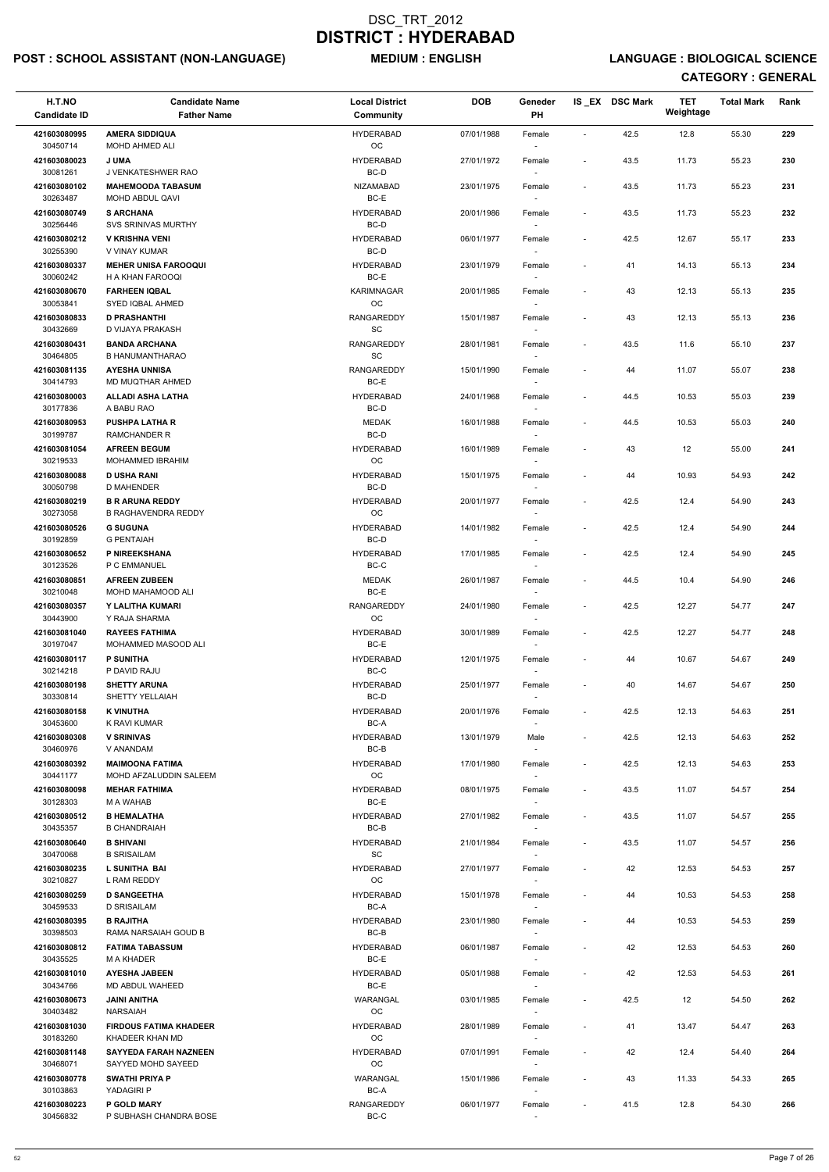## POST : SCHOOL ASSISTANT (NON-LANGUAGE) MEDIUM : ENGLISH LANGUAGE : BIOLOGICAL SCIENCE

| H.T.NO<br><b>Candidate ID</b> | <b>Candidate Name</b><br><b>Father Name</b>        | <b>Local District</b><br>Community | <b>DOB</b> | Geneder<br><b>PH</b>               |                          | IS_EX DSC Mark | <b>TET</b><br>Weightage | <b>Total Mark</b> | Rank |
|-------------------------------|----------------------------------------------------|------------------------------------|------------|------------------------------------|--------------------------|----------------|-------------------------|-------------------|------|
| 421603080995                  | <b>AMERA SIDDIQUA</b>                              | <b>HYDERABAD</b>                   | 07/01/1988 | Female                             | $\sim$                   | 42.5           | 12.8                    | 55.30             | 229  |
| 30450714<br>421603080023      | MOHD AHMED ALI<br><b>JUMA</b>                      | OC<br><b>HYDERABAD</b>             | 27/01/1972 | Female                             | $\overline{\phantom{a}}$ | 43.5           | 11.73                   | 55.23             | 230  |
| 30081261<br>421603080102      | J VENKATESHWER RAO<br><b>MAHEMOODA TABASUM</b>     | BC-D<br>NIZAMABAD                  | 23/01/1975 | Female                             | $\blacksquare$           | 43.5           | 11.73                   | 55.23             | 231  |
| 30263487<br>421603080749      | MOHD ABDUL QAVI<br><b>S ARCHANA</b>                | BC-E<br><b>HYDERABAD</b>           | 20/01/1986 | Female                             | $\overline{\phantom{a}}$ | 43.5           | 11.73                   | 55.23             | 232  |
| 30256446                      | <b>SVS SRINIVAS MURTHY</b>                         | BC-D                               |            | $\sim$                             |                          |                |                         |                   |      |
| 421603080212<br>30255390      | <b>V KRISHNA VENI</b><br>V VINAY KUMAR             | <b>HYDERABAD</b><br>BC-D           | 06/01/1977 | Female<br>$\sim$                   | $\blacksquare$           | 42.5           | 12.67                   | 55.17             | 233  |
| 421603080337<br>30060242      | <b>MEHER UNISA FAROOQUI</b><br>H A KHAN FAROOQI    | <b>HYDERABAD</b><br>BC-E           | 23/01/1979 | Female<br>$\sim$                   | $\overline{\phantom{a}}$ | 41             | 14.13                   | 55.13             | 234  |
| 421603080670<br>30053841      | <b>FARHEEN IQBAL</b><br>SYED IQBAL AHMED           | KARIMNAGAR<br>OC                   | 20/01/1985 | Female                             | $\blacksquare$           | 43             | 12.13                   | 55.13             | 235  |
| 421603080833<br>30432669      | <b>D PRASHANTHI</b><br>D VIJAYA PRAKASH            | <b>RANGAREDDY</b><br>SC            | 15/01/1987 | Female<br>$\sim$                   | $\blacksquare$           | 43             | 12.13                   | 55.13             | 236  |
| 421603080431                  | <b>BANDA ARCHANA</b>                               | RANGAREDDY                         | 28/01/1981 | Female                             | $\blacksquare$           | 43.5           | 11.6                    | 55.10             | 237  |
| 30464805<br>421603081135      | <b>B HANUMANTHARAO</b><br><b>AYESHA UNNISA</b>     | SC<br><b>RANGAREDDY</b>            | 15/01/1990 | Female                             | $\overline{\phantom{a}}$ | 44             | 11.07                   | 55.07             | 238  |
| 30414793<br>421603080003      | MD MUQTHAR AHMED<br><b>ALLADI ASHA LATHA</b>       | BC-E<br><b>HYDERABAD</b>           |            |                                    |                          | 44.5           | 10.53                   | 55.03             | 239  |
| 30177836                      | A BABU RAO                                         | BC-D                               | 24/01/1968 | Female                             |                          |                |                         |                   |      |
| 421603080953<br>30199787      | <b>PUSHPA LATHA R</b><br><b>RAMCHANDER R</b>       | <b>MEDAK</b><br>BC-D               | 16/01/1988 | Female                             | $\blacksquare$           | 44.5           | 10.53                   | 55.03             | 240  |
| 421603081054<br>30219533      | <b>AFREEN BEGUM</b><br>MOHAMMED IBRAHIM            | <b>HYDERABAD</b><br>OC             | 16/01/1989 | Female                             |                          | 43             | 12                      | 55.00             | 241  |
| 421603080088                  | <b>D USHA RANI</b>                                 | <b>HYDERABAD</b>                   | 15/01/1975 | $\sim$<br>Female                   | $\blacksquare$           | 44             | 10.93                   | 54.93             | 242  |
| 30050798<br>421603080219      | D MAHENDER<br><b>B R ARUNA REDDY</b>               | BC-D<br><b>HYDERABAD</b>           | 20/01/1977 | $\sim$<br>Female                   | $\blacksquare$           | 42.5           | 12.4                    | 54.90             | 243  |
| 30273058                      | <b>B RAGHAVENDRA REDDY</b>                         | OC                                 |            |                                    |                          |                |                         |                   |      |
| 421603080526<br>30192859      | <b>G SUGUNA</b><br>G PENTAIAH                      | <b>HYDERABAD</b><br>BC-D           | 14/01/1982 | Female<br>$\overline{\phantom{a}}$ | $\blacksquare$           | 42.5           | 12.4                    | 54.90             | 244  |
| 421603080652<br>30123526      | P NIREEKSHANA<br>P C EMMANUEL                      | <b>HYDERABAD</b><br>BC-C           | 17/01/1985 | Female<br>$\sim$                   | $\blacksquare$           | 42.5           | 12.4                    | 54.90             | 245  |
| 421603080851<br>30210048      | <b>AFREEN ZUBEEN</b><br>MOHD MAHAMOOD ALI          | <b>MEDAK</b><br>BC-E               | 26/01/1987 | Female                             | $\blacksquare$           | 44.5           | 10.4                    | 54.90             | 246  |
| 421603080357                  | Y LALITHA KUMARI                                   | <b>RANGAREDDY</b><br>OC.           | 24/01/1980 | Female                             | $\overline{\phantom{a}}$ | 42.5           | 12.27                   | 54.77             | 247  |
| 30443900<br>421603081040      | Y RAJA SHARMA<br><b>RAYEES FATHIMA</b>             | <b>HYDERABAD</b>                   | 30/01/1989 | Female                             | $\overline{\phantom{a}}$ | 42.5           | 12.27                   | 54.77             | 248  |
| 30197047<br>421603080117      | MOHAMMED MASOOD ALI<br><b>P SUNITHA</b>            | BC-E<br><b>HYDERABAD</b>           | 12/01/1975 | $\overline{\phantom{a}}$<br>Female | $\overline{\phantom{a}}$ | 44             | 10.67                   | 54.67             | 249  |
| 30214218<br>421603080198      | P DAVID RAJU<br><b>SHETTY ARUNA</b>                | BC-C<br><b>HYDERABAD</b>           | 25/01/1977 | $\sim$<br>Female                   | $\overline{\phantom{a}}$ | 40             | 14.67                   | 54.67             | 250  |
| 30330814                      | SHETTY YELLAIAH                                    | BC-D                               |            | $\sim$                             |                          |                |                         |                   |      |
| 421603080158<br>30453600      | <b>K VINUTHA</b><br>K RAVI KUMAR                   | <b>HYDERABAD</b><br>BC-A           | 20/01/1976 | Female                             | $\overline{\phantom{a}}$ | 42.5           | 12.13                   | 54.63             | 251  |
| 421603080308<br>30460976      | <b>V SRINIVAS</b><br>V ANANDAM                     | <b>HYDERABAD</b><br>BC-B           | 13/01/1979 | Male<br>$\sim$                     | $\blacksquare$           | 42.5           | 12.13                   | 54.63             | 252  |
| 421603080392<br>30441177      | <b>MAIMOONA FATIMA</b><br>MOHD AFZALUDDIN SALEEM   | <b>HYDERABAD</b><br>OC             | 17/01/1980 | Female<br>$\overline{\phantom{a}}$ | $\blacksquare$           | 42.5           | 12.13                   | 54.63             | 253  |
| 421603080098<br>30128303      | <b>MEHAR FATHIMA</b><br><b>M A WAHAB</b>           | <b>HYDERABAD</b><br>BC-E           | 08/01/1975 | Female                             | $\blacksquare$           | 43.5           | 11.07                   | 54.57             | 254  |
| 421603080512                  | <b>B HEMALATHA</b>                                 | <b>HYDERABAD</b>                   | 27/01/1982 | $\sim$<br>Female                   | $\overline{\phantom{a}}$ | 43.5           | 11.07                   | 54.57             | 255  |
| 30435357<br>421603080640      | <b>B CHANDRAIAH</b><br><b>B SHIVANI</b>            | BC-B<br><b>HYDERABAD</b>           | 21/01/1984 | Female                             | $\blacksquare$           | 43.5           | 11.07                   | 54.57             | 256  |
| 30470068                      | <b>B SRISAILAM</b>                                 | SC<br><b>HYDERABAD</b>             |            |                                    |                          |                |                         |                   |      |
| 421603080235<br>30210827      | L SUNITHA BAI<br>L RAM REDDY                       | <b>OC</b>                          | 27/01/1977 | Female<br>$\sim$                   | $\overline{\phantom{a}}$ | 42             | 12.53                   | 54.53             | 257  |
| 421603080259<br>30459533      | <b>D SANGEETHA</b><br>D SRISAILAM                  | <b>HYDERABAD</b><br>BC-A           | 15/01/1978 | Female<br>$\sim$                   | $\overline{\phantom{a}}$ | 44             | 10.53                   | 54.53             | 258  |
| 421603080395                  | <b>B RAJITHA</b>                                   | <b>HYDERABAD</b>                   | 23/01/1980 | Female                             | $\overline{\phantom{a}}$ | 44             | 10.53                   | 54.53             | 259  |
| 30398503<br>421603080812      | RAMA NARSAIAH GOUD B<br><b>FATIMA TABASSUM</b>     | BC-B<br><b>HYDERABAD</b>           | 06/01/1987 | Female                             | $\overline{\phantom{a}}$ | 42             | 12.53                   | 54.53             | 260  |
| 30435525                      | M A KHADER                                         | BC-E                               |            |                                    |                          |                |                         |                   |      |
| 421603081010<br>30434766      | <b>AYESHA JABEEN</b><br>MD ABDUL WAHEED            | <b>HYDERABAD</b><br>BC-E           | 05/01/1988 | Female<br>$\sim$                   | $\overline{\phantom{a}}$ | 42             | 12.53                   | 54.53             | 261  |
| 421603080673<br>30403482      | <b>JAINI ANITHA</b><br><b>NARSAIAH</b>             | WARANGAL<br>OC                     | 03/01/1985 | Female                             | $\blacksquare$           | 42.5           | 12                      | 54.50             | 262  |
| 421603081030<br>30183260      | <b>FIRDOUS FATIMA KHADEER</b><br>KHADEER KHAN MD   | <b>HYDERABAD</b><br>OC             | 28/01/1989 | Female<br>$\sim$                   | $\overline{\phantom{a}}$ | 41             | 13.47                   | 54.47             | 263  |
| 421603081148<br>30468071      | <b>SAYYEDA FARAH NAZNEEN</b><br>SAYYED MOHD SAYEED | <b>HYDERABAD</b><br>OC             | 07/01/1991 | Female                             |                          | 42             | 12.4                    | 54.40             | 264  |
| 421603080778                  | SWATHI PRIYA P                                     | WARANGAL                           | 15/01/1986 | $\overline{\phantom{a}}$<br>Female | $\overline{\phantom{a}}$ | 43             | 11.33                   | 54.33             | 265  |
| 30103863<br>421603080223      | YADAGIRI P<br><b>P GOLD MARY</b>                   | BC-A<br><b>RANGAREDDY</b>          | 06/01/1977 | $\sim$<br>Female                   | $\overline{\phantom{a}}$ | 41.5           | 12.8                    | 54.30             | 266  |
| 30456832                      | P SUBHASH CHANDRA BOSE                             | BC-C                               |            | $\overline{\phantom{a}}$           |                          |                |                         |                   |      |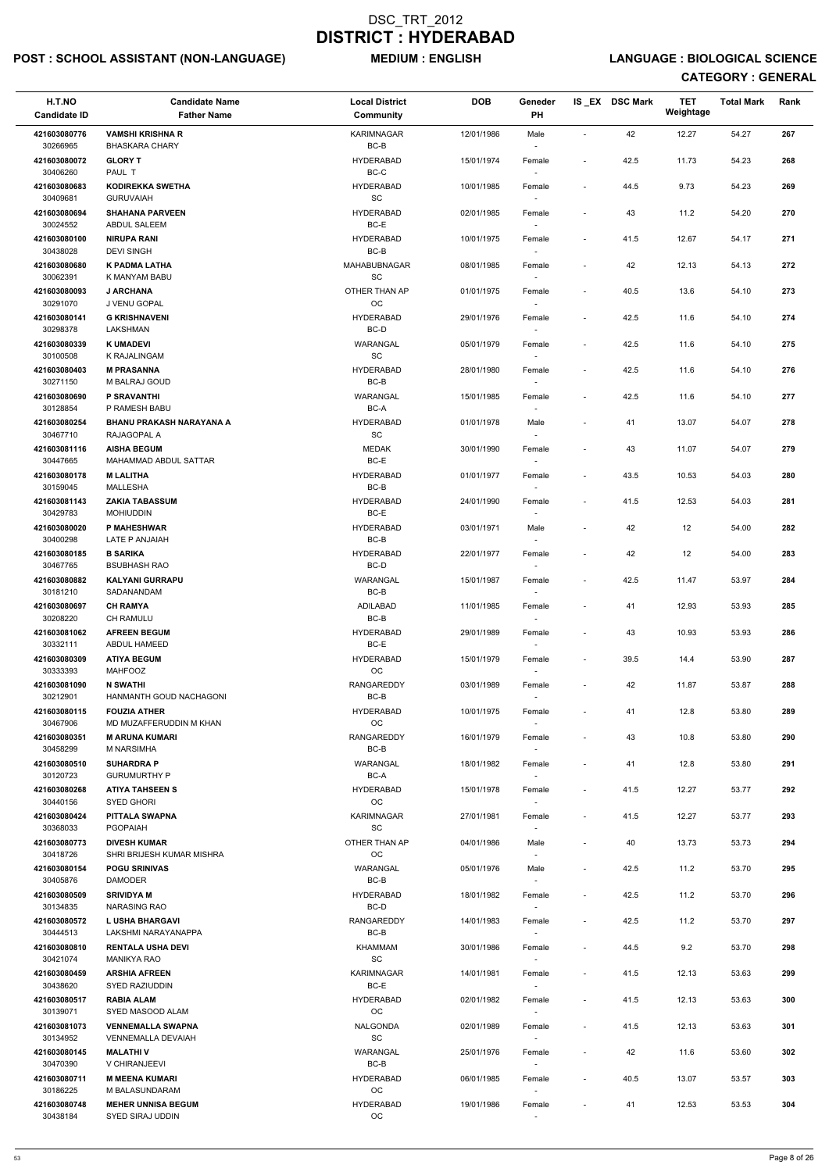## POST : SCHOOL ASSISTANT (NON-LANGUAGE) MEDIUM : ENGLISH LANGUAGE : BIOLOGICAL SCIENCE

| H.T.NO<br><b>Candidate ID</b> | <b>Candidate Name</b><br><b>Father Name</b>           | <b>Local District</b><br>Community              | <b>DOB</b> | Geneder<br>PH                      |                          | IS EX DSC Mark | <b>TET</b><br>Weightage | <b>Total Mark</b> | Rank |
|-------------------------------|-------------------------------------------------------|-------------------------------------------------|------------|------------------------------------|--------------------------|----------------|-------------------------|-------------------|------|
| 421603080776                  | <b>VAMSHI KRISHNA R</b>                               | <b>KARIMNAGAR</b>                               | 12/01/1986 | Male                               | $\blacksquare$           | 42             | 12.27                   | 54.27             | 267  |
| 30266965<br>421603080072      | <b>BHASKARA CHARY</b><br><b>GLORY T</b>               | BC-B<br><b>HYDERABAD</b>                        | 15/01/1974 | $\sim$<br>Female                   | $\overline{\phantom{a}}$ | 42.5           | 11.73                   | 54.23             | 268  |
| 30406260<br>421603080683      | PAUL T<br><b>KODIREKKA SWETHA</b>                     | BC-C<br><b>HYDERABAD</b>                        | 10/01/1985 | Female                             | $\overline{\phantom{a}}$ | 44.5           | 9.73                    | 54.23             | 269  |
| 30409681<br>421603080694      | <b>GURUVAIAH</b><br><b>SHAHANA PARVEEN</b>            | SC<br><b>HYDERABAD</b>                          | 02/01/1985 | Female                             |                          | 43             | 11.2                    | 54.20             | 270  |
| 30024552                      | <b>ABDUL SALEEM</b>                                   | BC-E                                            |            | $\sim$                             |                          |                |                         |                   |      |
| 421603080100<br>30438028      | <b>NIRUPA RANI</b><br><b>DEVI SINGH</b>               | <b>HYDERABAD</b><br>BC-B                        | 10/01/1975 | Female<br>$\sim$                   | $\overline{\phantom{a}}$ | 41.5           | 12.67                   | 54.17             | 271  |
| 421603080680<br>30062391      | K PADMA LATHA<br>K MANYAM BABU                        | MAHABUBNAGAR<br>SC                              | 08/01/1985 | Female<br>$\overline{\phantom{a}}$ | $\overline{\phantom{a}}$ | 42             | 12.13                   | 54.13             | 272  |
| 421603080093<br>30291070      | <b>J ARCHANA</b><br>J VENU GOPAL                      | OTHER THAN AP<br>OC                             | 01/01/1975 | Female                             | $\overline{\phantom{a}}$ | 40.5           | 13.6                    | 54.10             | 273  |
| 421603080141<br>30298378      | <b>G KRISHNAVENI</b><br>LAKSHMAN                      | <b>HYDERABAD</b><br>BC-D                        | 29/01/1976 | Female<br>$\sim$                   | $\overline{\phantom{a}}$ | 42.5           | 11.6                    | 54.10             | 274  |
| 421603080339                  | <b>K UMADEVI</b>                                      | WARANGAL                                        | 05/01/1979 | Female                             | $\overline{\phantom{a}}$ | 42.5           | 11.6                    | 54.10             | 275  |
| 30100508<br>421603080403      | K RAJALINGAM<br><b>M PRASANNA</b>                     | SC<br><b>HYDERABAD</b>                          | 28/01/1980 | Female                             | $\overline{\phantom{a}}$ | 42.5           | 11.6                    | 54.10             | 276  |
| 30271150<br>421603080690      | M BALRAJ GOUD<br>P SRAVANTHI                          | BC-B<br>WARANGAL                                | 15/01/1985 | $\overline{\phantom{a}}$<br>Female | $\blacksquare$           | 42.5           | 11.6                    | 54.10             | 277  |
| 30128854                      | P RAMESH BABU                                         | BC-A                                            |            |                                    |                          |                |                         |                   |      |
| 421603080254<br>30467710      | <b>BHANU PRAKASH NARAYANA A</b><br>RAJAGOPAL A        | <b>HYDERABAD</b><br>SC                          | 01/01/1978 | Male                               | $\overline{\phantom{a}}$ | 41             | 13.07                   | 54.07             | 278  |
| 421603081116<br>30447665      | <b>AISHA BEGUM</b><br>MAHAMMAD ABDUL SATTAR           | <b>MEDAK</b><br>$BC-E$                          | 30/01/1990 | Female<br>$\sim$                   |                          | 43             | 11.07                   | 54.07             | 279  |
| 421603080178<br>30159045      | <b>M LALITHA</b><br>MALLESHA                          | <b>HYDERABAD</b><br>BC-B                        | 01/01/1977 | Female<br>$\sim$                   | $\overline{\phantom{a}}$ | 43.5           | 10.53                   | 54.03             | 280  |
| 421603081143<br>30429783      | <b>ZAKIA TABASSUM</b><br><b>MOHIUDDIN</b>             | <b>HYDERABAD</b><br>BC-E                        | 24/01/1990 | Female<br>$\overline{\phantom{a}}$ | $\blacksquare$           | 41.5           | 12.53                   | 54.03             | 281  |
| 421603080020                  | P MAHESHWAR                                           | <b>HYDERABAD</b>                                | 03/01/1971 | Male                               | $\overline{\phantom{a}}$ | 42             | 12                      | 54.00             | 282  |
| 30400298<br>421603080185      | LATE P ANJAIAH<br><b>B SARIKA</b>                     | BC-B<br><b>HYDERABAD</b>                        | 22/01/1977 | $\overline{\phantom{a}}$<br>Female |                          | 42             | 12                      | 54.00             | 283  |
| 30467765<br>421603080882      | <b>BSUBHASH RAO</b><br><b>KALYANI GURRAPU</b>         | BC-D<br>WARANGAL                                | 15/01/1987 | $\sim$<br>Female                   | $\overline{\phantom{a}}$ | 42.5           | 11.47                   | 53.97             | 284  |
| 30181210<br>421603080697      | SADANANDAM<br><b>CH RAMYA</b>                         | BC-B<br>ADILABAD                                | 11/01/1985 | Female                             | $\overline{\phantom{a}}$ | 41             | 12.93                   | 53.93             | 285  |
| 30208220                      | <b>CH RAMULU</b>                                      | $BC-B$                                          |            |                                    |                          |                |                         |                   |      |
| 421603081062<br>30332111      | <b>AFREEN BEGUM</b><br>ABDUL HAMEED                   | <b>HYDERABAD</b><br>BC-E                        | 29/01/1989 | Female<br>$\overline{\phantom{a}}$ |                          | 43             | 10.93                   | 53.93             | 286  |
| 421603080309<br>30333393      | <b>ATIYA BEGUM</b><br><b>MAHFOOZ</b>                  | <b>HYDERABAD</b><br>OC                          | 15/01/1979 | Female<br>$\sim$                   | $\overline{\phantom{a}}$ | 39.5           | 14.4                    | 53.90             | 287  |
| 421603081090<br>30212901      | <b>N SWATHI</b><br>HANMANTH GOUD NACHAGONI            | <b>RANGAREDDY</b><br>BC-B                       | 03/01/1989 | Female<br>$\overline{\phantom{a}}$ | $\overline{\phantom{a}}$ | 42             | 11.87                   | 53.87             | 288  |
| 421603080115<br>30467906      | <b>FOUZIA ATHER</b><br>MD MUZAFFERUDDIN M KHAN        | <b>HYDERABAD</b><br>OC                          | 10/01/1975 | Female                             | $\overline{\phantom{a}}$ | 41             | 12.8                    | 53.80             | 289  |
| 421603080351                  | <b>M ARUNA KUMARI</b>                                 | <b>RANGAREDDY</b>                               | 16/01/1979 | Female                             | $\overline{\phantom{a}}$ | 43             | 10.8                    | 53.80             | 290  |
| 30458299<br>421603080510      | <b>M NARSIMHA</b><br><b>SUHARDRA P</b>                | BC-B<br>WARANGAL                                | 18/01/1982 | $\sim$<br>Female                   | $\overline{\phantom{a}}$ | 41             | 12.8                    | 53.80             | 291  |
| 30120723<br>421603080268      | <b>GURUMURTHY P</b><br><b>ATIYA TAHSEEN S</b>         | BC-A<br><b>HYDERABAD</b>                        | 15/01/1978 | $\sim$<br>Female                   | $\overline{\phantom{a}}$ | 41.5           | 12.27                   | 53.77             | 292  |
| 30440156                      | <b>SYED GHORI</b>                                     | <b>OC</b>                                       |            | $\sim$                             |                          |                |                         |                   |      |
| 421603080424<br>30368033      | PITTALA SWAPNA<br><b>PGOPAIAH</b>                     | KARIMNAGAR<br>SC                                | 27/01/1981 | Female                             | $\overline{\phantom{a}}$ | 41.5           | 12.27                   | 53.77             | 293  |
| 421603080773<br>30418726      | <b>DIVESH KUMAR</b><br>SHRI BRIJESH KUMAR MISHRA      | OTHER THAN AP<br><b>OC</b>                      | 04/01/1986 | Male<br>$\sim$                     | $\overline{\phantom{a}}$ | 40             | 13.73                   | 53.73             | 294  |
| 421603080154<br>30405876      | <b>POGU SRINIVAS</b><br><b>DAMODER</b>                | WARANGAL<br>BC-B                                | 05/01/1976 | Male<br>$\sim$                     | $\blacksquare$           | 42.5           | 11.2                    | 53.70             | 295  |
| 421603080509<br>30134835      | <b>SRIVIDYA M</b><br><b>NARASING RAO</b>              | <b>HYDERABAD</b><br>BC-D                        | 18/01/1982 | Female<br>$\sim$                   | $\overline{\phantom{a}}$ | 42.5           | 11.2                    | 53.70             | 296  |
| 421603080572                  | <b>L USHA BHARGAVI</b>                                | <b>RANGAREDDY</b>                               | 14/01/1983 | Female                             | $\overline{\phantom{a}}$ | 42.5           | 11.2                    | 53.70             | 297  |
| 30444513<br>421603080810      | LAKSHMI NARAYANAPPA<br><b>RENTALA USHA DEVI</b>       | BC-B<br><b>KHAMMAM</b>                          | 30/01/1986 | $\overline{\phantom{a}}$<br>Female | $\overline{\phantom{a}}$ | 44.5           | 9.2                     | 53.70             | 298  |
| 30421074<br>421603080459      | <b>MANIKYA RAO</b><br><b>ARSHIA AFREEN</b>            | SC<br><b>KARIMNAGAR</b>                         | 14/01/1981 | Female                             | $\overline{\phantom{a}}$ | 41.5           | 12.13                   | 53.63             | 299  |
| 30438620<br>421603080517      | SYED RAZIUDDIN<br><b>RABIA ALAM</b>                   | BC-E<br><b>HYDERABAD</b>                        | 02/01/1982 | $\sim$                             | $\overline{\phantom{a}}$ | 41.5           | 12.13                   | 53.63             | 300  |
| 30139071                      | SYED MASOOD ALAM                                      | OC                                              |            | Female<br>$\overline{\phantom{a}}$ |                          |                |                         |                   |      |
| 421603081073<br>30134952      | <b>VENNEMALLA SWAPNA</b><br><b>VENNEMALLA DEVAIAH</b> | <b>NALGONDA</b><br>$\operatorname{\textsf{SC}}$ | 02/01/1989 | Female<br>$\sim$                   | $\overline{\phantom{a}}$ | 41.5           | 12.13                   | 53.63             | 301  |
| 421603080145<br>30470390      | <b>MALATHIV</b><br>V CHIRANJEEVI                      | WARANGAL<br>BC-B                                | 25/01/1976 | Female<br>$\sim$                   |                          | 42             | 11.6                    | 53.60             | 302  |
| 421603080711<br>30186225      | <b>M MEENA KUMARI</b><br>M BALASUNDARAM               | <b>HYDERABAD</b><br>OC                          | 06/01/1985 | Female<br>$\overline{\phantom{a}}$ | $\overline{\phantom{a}}$ | 40.5           | 13.07                   | 53.57             | 303  |
| 421603080748                  | <b>MEHER UNNISA BEGUM</b>                             | <b>HYDERABAD</b>                                | 19/01/1986 | Female                             | $\overline{\phantom{a}}$ | 41             | 12.53                   | 53.53             | 304  |
| 30438184                      | SYED SIRAJ UDDIN                                      | OC                                              |            | $\sim$                             |                          |                |                         |                   |      |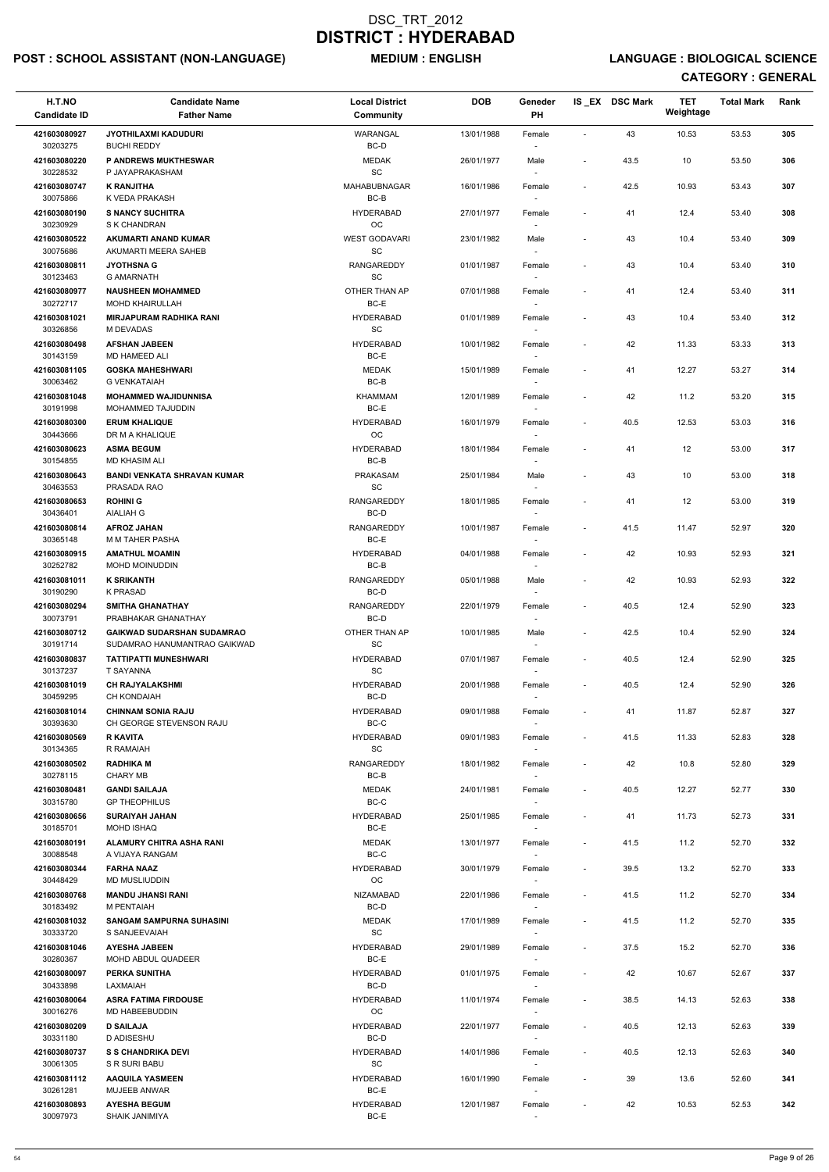## POST : SCHOOL ASSISTANT (NON-LANGUAGE) MEDIUM : ENGLISH LANGUAGE : BIOLOGICAL SCIENCE

| H.T.NO<br><b>Candidate ID</b> | <b>Candidate Name</b><br><b>Father Name</b>                       | <b>Local District</b><br>Community               | <b>DOB</b> | Geneder<br>PH                      |                              | IS EX DSC Mark | <b>TET</b><br>Weightage | <b>Total Mark</b> | Rank |
|-------------------------------|-------------------------------------------------------------------|--------------------------------------------------|------------|------------------------------------|------------------------------|----------------|-------------------------|-------------------|------|
| 421603080927                  | <b>JYOTHILAXMI KADUDURI</b>                                       | <b>WARANGAL</b><br>BC-D                          | 13/01/1988 | Female                             | $\overline{\phantom{a}}$     | 43             | 10.53                   | 53.53             | 305  |
| 30203275<br>421603080220      | <b>BUCHI REDDY</b><br><b>P ANDREWS MUKTHESWAR</b>                 | <b>MEDAK</b>                                     | 26/01/1977 | Male                               | $\overline{\phantom{a}}$     | 43.5           | 10                      | 53.50             | 306  |
| 30228532<br>421603080747      | P JAYAPRAKASHAM<br><b>K RANJITHA</b>                              | SC<br>MAHABUBNAGAR                               | 16/01/1986 | Female                             | $\overline{\phantom{a}}$     | 42.5           | 10.93                   | 53.43             | 307  |
| 30075866<br>421603080190      | K VEDA PRAKASH<br><b>S NANCY SUCHITRA</b>                         | BC-B<br><b>HYDERABAD</b>                         | 27/01/1977 | Female                             | $\overline{\phantom{a}}$     | 41             | 12.4                    | 53.40             | 308  |
| 30230929<br>421603080522      | S K CHANDRAN<br>AKUMARTI ANAND KUMAR                              | OC<br><b>WEST GODAVARI</b>                       | 23/01/1982 | Male                               | $\qquad \qquad \blacksquare$ | 43             | 10.4                    | 53.40             | 309  |
| 30075686<br>421603080811      | AKUMARTI MEERA SAHEB<br><b>JYOTHSNA G</b>                         | SC<br>RANGAREDDY                                 | 01/01/1987 | $\overline{\phantom{a}}$<br>Female | $\qquad \qquad \blacksquare$ | 43             | 10.4                    | 53.40             | 310  |
| 30123463                      | <b>G AMARNATH</b>                                                 | SC                                               |            |                                    |                              |                |                         |                   |      |
| 421603080977<br>30272717      | <b>NAUSHEEN MOHAMMED</b><br><b>MOHD KHAIRULLAH</b>                | OTHER THAN AP<br>BC-E                            | 07/01/1988 | Female                             | $\qquad \qquad \blacksquare$ | 41             | 12.4                    | 53.40             | 311  |
| 421603081021<br>30326856      | <b>MIRJAPURAM RADHIKA RANI</b><br>M DEVADAS                       | <b>HYDERABAD</b><br>$\operatorname{\textsf{SC}}$ | 01/01/1989 | Female<br>$\overline{\phantom{a}}$ | $\overline{\phantom{a}}$     | 43             | 10.4                    | 53.40             | 312  |
| 421603080498<br>30143159      | <b>AFSHAN JABEEN</b><br>MD HAMEED ALI                             | <b>HYDERABAD</b><br>BC-E                         | 10/01/1982 | Female                             |                              | 42             | 11.33                   | 53.33             | 313  |
| 421603081105<br>30063462      | <b>GOSKA MAHESHWARI</b><br><b>G VENKATAIAH</b>                    | <b>MEDAK</b><br>$BC-B$                           | 15/01/1989 | Female                             | $\qquad \qquad \blacksquare$ | 41             | 12.27                   | 53.27             | 314  |
| 421603081048<br>30191998      | <b>MOHAMMED WAJIDUNNISA</b><br>MOHAMMED TAJUDDIN                  | KHAMMAM<br>BC-E                                  | 12/01/1989 | Female                             | $\overline{\phantom{a}}$     | 42             | 11.2                    | 53.20             | 315  |
| 421603080300                  | <b>ERUM KHALIQUE</b>                                              | <b>HYDERABAD</b>                                 | 16/01/1979 | Female                             | $\overline{\phantom{a}}$     | 40.5           | 12.53                   | 53.03             | 316  |
| 30443666<br>421603080623      | DR M A KHALIQUE<br><b>ASMA BEGUM</b>                              | OC<br><b>HYDERABAD</b>                           | 18/01/1984 | Female                             | $\overline{\phantom{a}}$     | 41             | 12                      | 53.00             | 317  |
| 30154855<br>421603080643      | <b>MD KHASIM ALI</b><br><b>BANDI VENKATA SHRAVAN KUMAR</b>        | BC-B<br><b>PRAKASAM</b>                          | 25/01/1984 | $\overline{\phantom{a}}$<br>Male   | $\overline{\phantom{a}}$     | 43             | 10                      | 53.00             | 318  |
| 30463553<br>421603080653      | PRASADA RAO<br><b>ROHINI G</b>                                    | SC<br>RANGAREDDY                                 | 18/01/1985 | Female                             | $\overline{\phantom{a}}$     | 41             | 12                      | 53.00             | 319  |
| 30436401<br>421603080814      | <b>AIALIAH G</b><br><b>AFROZ JAHAN</b>                            | BC-D<br><b>RANGAREDDY</b>                        | 10/01/1987 | Female                             | $\overline{\phantom{a}}$     | 41.5           | 11.47                   | 52.97             | 320  |
| 30365148<br>421603080915      | M M TAHER PASHA<br><b>AMATHUL MOAMIN</b>                          | BC-E<br><b>HYDERABAD</b>                         | 04/01/1988 | $\overline{\phantom{a}}$<br>Female | $\qquad \qquad \blacksquare$ | 42             | 10.93                   | 52.93             | 321  |
| 30252782                      | <b>MOHD MOINUDDIN</b>                                             | BC-B                                             |            | $\overline{\phantom{a}}$           |                              |                |                         |                   |      |
| 421603081011<br>30190290      | <b>K SRIKANTH</b><br><b>K PRASAD</b>                              | <b>RANGAREDDY</b><br>BC-D                        | 05/01/1988 | Male                               | $\qquad \qquad \blacksquare$ | 42             | 10.93                   | 52.93             | 322  |
| 421603080294<br>30073791      | <b>SMITHA GHANATHAY</b><br>PRABHAKAR GHANATHAY                    | <b>RANGAREDDY</b><br>BC-D                        | 22/01/1979 | Female                             | $\overline{\phantom{a}}$     | 40.5           | 12.4                    | 52.90             | 323  |
| 421603080712<br>30191714      | <b>GAIKWAD SUDARSHAN SUDAMRAO</b><br>SUDAMRAO HANUMANTRAO GAIKWAD | OTHER THAN AP<br><b>SC</b>                       | 10/01/1985 | Male                               | $\overline{\phantom{a}}$     | 42.5           | 10.4                    | 52.90             | 324  |
| 421603080837<br>30137237      | <b>TATTIPATTI MUNESHWARI</b><br>T SAYANNA                         | <b>HYDERABAD</b><br>SC                           | 07/01/1987 | Female<br>$\sim$                   | $\overline{\phantom{a}}$     | 40.5           | 12.4                    | 52.90             | 325  |
| 421603081019<br>30459295      | <b>CH RAJYALAKSHMI</b><br><b>CH KONDAIAH</b>                      | <b>HYDERABAD</b><br>BC-D                         | 20/01/1988 | Female                             | $\overline{\phantom{a}}$     | 40.5           | 12.4                    | 52.90             | 326  |
| 421603081014<br>30393630      | <b>CHINNAM SONIA RAJU</b><br>CH GEORGE STEVENSON RAJU             | <b>HYDERABAD</b><br>BC-C                         | 09/01/1988 | Female                             | $\overline{\phantom{a}}$     | 41             | 11.87                   | 52.87             | 327  |
| 421603080569                  | <b>R KAVITA</b>                                                   | <b>HYDERABAD</b>                                 | 09/01/1983 | Female                             | $\blacksquare$               | 41.5           | 11.33                   | 52.83             | 328  |
| 30134365<br>421603080502      | R RAMAIAH<br><b>RADHIKA M</b>                                     | <b>SC</b><br>RANGAREDDY                          | 18/01/1982 | $\sim$<br>Female                   | $\overline{\phantom{a}}$     | 42             | 10.8                    | 52.80             | 329  |
| 30278115<br>421603080481      | <b>CHARY MB</b><br><b>GANDI SAILAJA</b>                           | BC-B<br><b>MEDAK</b>                             | 24/01/1981 | Female                             | $\overline{\phantom{a}}$     | 40.5           | 12.27                   | 52.77             | 330  |
| 30315780<br>421603080656      | <b>GP THEOPHILUS</b><br><b>SURAIYAH JAHAN</b>                     | BC-C<br><b>HYDERABAD</b>                         | 25/01/1985 | Female                             | $\overline{\phantom{a}}$     | 41             | 11.73                   | 52.73             | 331  |
| 30185701<br>421603080191      | <b>MOHD ISHAQ</b><br><b>ALAMURY CHITRA ASHA RANI</b>              | BC-E<br><b>MEDAK</b>                             | 13/01/1977 | Female                             | $\overline{\phantom{a}}$     | 41.5           | 11.2                    | 52.70             | 332  |
| 30088548<br>421603080344      | A VIJAYA RANGAM<br><b>FARHA NAAZ</b>                              | BC-C<br><b>HYDERABAD</b>                         | 30/01/1979 | Female                             | $\blacksquare$               | 39.5           | 13.2                    | 52.70             | 333  |
| 30448429<br>421603080768      | MD MUSLIUDDIN<br><b>MANDU JHANSI RANI</b>                         | OC.<br>NIZAMABAD                                 | 22/01/1986 | $\overline{\phantom{a}}$           | $\overline{\phantom{a}}$     | 41.5           | 11.2                    | 52.70             | 334  |
| 30183492                      | M PENTAIAH                                                        | BC-D                                             |            | Female                             |                              |                |                         |                   |      |
| 421603081032<br>30333720      | <b>SANGAM SAMPURNA SUHASINI</b><br>S SANJEEVAIAH                  | <b>MEDAK</b><br>$\operatorname{\textsf{SC}}$     | 17/01/1989 | Female                             | $\overline{\phantom{a}}$     | 41.5           | 11.2                    | 52.70             | 335  |
| 421603081046<br>30280367      | <b>AYESHA JABEEN</b><br>MOHD ABDUL QUADEER                        | <b>HYDERABAD</b><br>BC-E                         | 29/01/1989 | Female                             | $\overline{\phantom{a}}$     | 37.5           | 15.2                    | 52.70             | 336  |
| 421603080097<br>30433898      | <b>PERKA SUNITHA</b><br>LAXMAIAH                                  | <b>HYDERABAD</b><br>BC-D                         | 01/01/1975 | Female<br>$\sim$                   | $\overline{\phantom{a}}$     | 42             | 10.67                   | 52.67             | 337  |
| 421603080064<br>30016276      | <b>ASRA FATIMA FIRDOUSE</b><br>MD HABEEBUDDIN                     | <b>HYDERABAD</b><br>OC                           | 11/01/1974 | Female                             | $\qquad \qquad \blacksquare$ | 38.5           | 14.13                   | 52.63             | 338  |
| 421603080209<br>30331180      | <b>D SAILAJA</b><br>D ADISESHU                                    | <b>HYDERABAD</b><br>BC-D                         | 22/01/1977 | Female<br>$\sim$                   | $\overline{\phantom{a}}$     | 40.5           | 12.13                   | 52.63             | 339  |
| 421603080737                  | <b>S S CHANDRIKA DEVI</b>                                         | <b>HYDERABAD</b>                                 | 14/01/1986 | Female                             | $\qquad \qquad \blacksquare$ | 40.5           | 12.13                   | 52.63             | 340  |
| 30061305<br>421603081112      | S R SURI BABU<br><b>AAQUILA YASMEEN</b>                           | SC<br><b>HYDERABAD</b>                           | 16/01/1990 | $\overline{\phantom{a}}$<br>Female | $\overline{\phantom{a}}$     | 39             | 13.6                    | 52.60             | 341  |
| 30261281<br>421603080893      | <b>MUJEEB ANWAR</b><br><b>AYESHA BEGUM</b>                        | BC-E<br><b>HYDERABAD</b>                         | 12/01/1987 | $\overline{\phantom{a}}$<br>Female | $\qquad \qquad \blacksquare$ | 42             | 10.53                   | 52.53             | 342  |
| 30097973                      | SHAIK JANIMIYA                                                    | BC-E                                             |            | $\overline{\phantom{a}}$           |                              |                |                         |                   |      |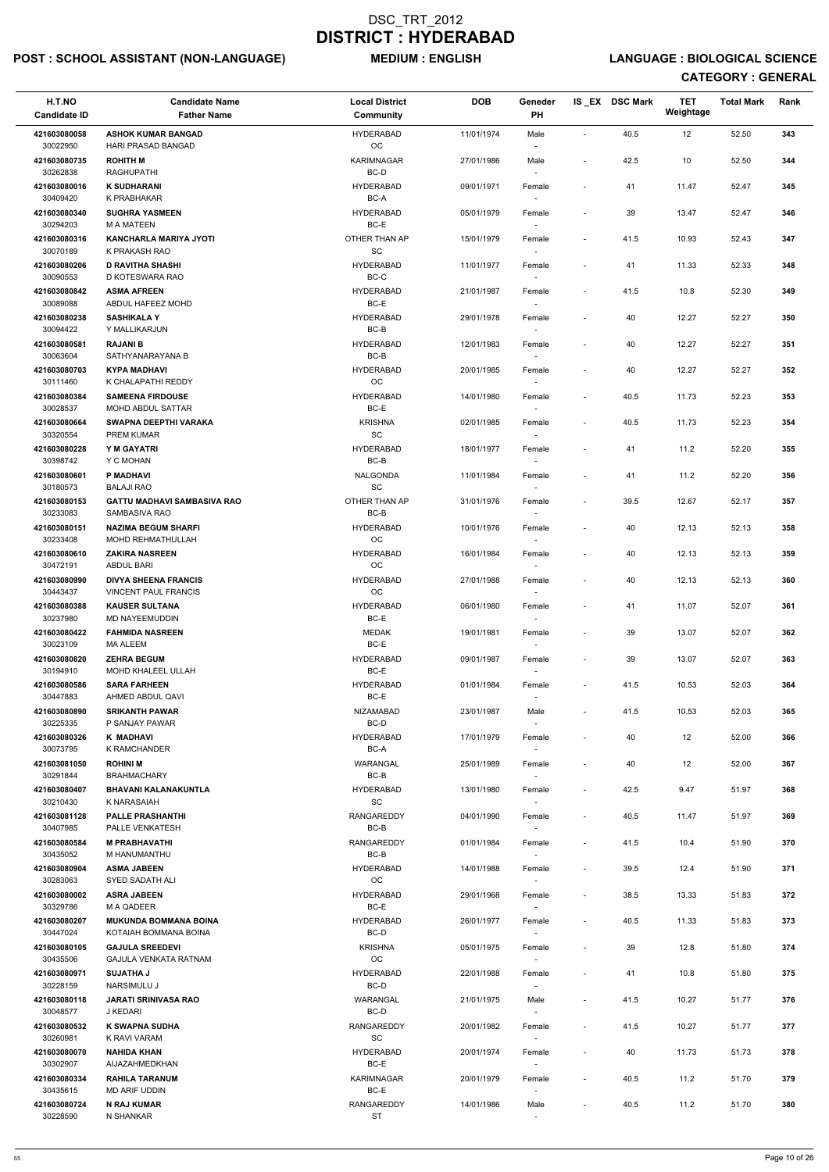## POST : SCHOOL ASSISTANT (NON-LANGUAGE) MEDIUM : ENGLISH LANGUAGE : BIOLOGICAL SCIENCE

| H.T.NO<br><b>Candidate ID</b> | <b>Candidate Name</b><br><b>Father Name</b>             | <b>Local District</b><br>Community | <b>DOB</b> | Geneder<br>PH                      |                              | IS_EX DSC Mark | <b>TET</b><br>Weightage | <b>Total Mark</b> | Rank |
|-------------------------------|---------------------------------------------------------|------------------------------------|------------|------------------------------------|------------------------------|----------------|-------------------------|-------------------|------|
| 421603080058                  | <b>ASHOK KUMAR BANGAD</b>                               | <b>HYDERABAD</b>                   | 11/01/1974 | Male                               | $\blacksquare$               | 40.5           | 12                      | 52.50             | 343  |
| 30022950                      | HARI PRASAD BANGAD                                      | OC                                 |            |                                    |                              |                |                         |                   |      |
| 421603080735<br>30262838      | <b>ROHITH M</b><br>RAGHUPATHI                           | <b>KARIMNAGAR</b><br>BC-D          | 27/01/1986 | Male                               | $\overline{\phantom{a}}$     | 42.5           | 10                      | 52.50             | 344  |
| 421603080016                  | <b>K SUDHARANI</b>                                      | <b>HYDERABAD</b>                   | 09/01/1971 | Female                             | $\overline{\phantom{a}}$     | 41             | 11.47                   | 52.47             | 345  |
| 30409420<br>421603080340      | K PRABHAKAR<br><b>SUGHRA YASMEEN</b>                    | BC-A<br><b>HYDERABAD</b>           | 05/01/1979 | Female                             | $\overline{\phantom{a}}$     | 39             | 13.47                   | 52.47             | 346  |
| 30294203                      | <b>M A MATEEN</b>                                       | BC-E                               |            |                                    |                              |                |                         |                   |      |
| 421603080316<br>30070189      | <b>KANCHARLA MARIYA JYOTI</b><br>K PRAKASH RAO          | OTHER THAN AP<br>SC                | 15/01/1979 | Female<br>$\sim$                   | $\overline{\phantom{a}}$     | 41.5           | 10.93                   | 52.43             | 347  |
| 421603080206                  | <b>D RAVITHA SHASHI</b>                                 | <b>HYDERABAD</b>                   | 11/01/1977 | Female                             | $\qquad \qquad \blacksquare$ | 41             | 11.33                   | 52.33             | 348  |
| 30090553<br>421603080842      | D KOTESWARA RAO<br><b>ASMA AFREEN</b>                   | BC-C<br><b>HYDERABAD</b>           | 21/01/1987 | Female                             | $\overline{\phantom{a}}$     | 41.5           | 10.8                    | 52.30             | 349  |
| 30089088                      | ABDUL HAFEEZ MOHD                                       | BC-E                               |            |                                    |                              |                |                         |                   |      |
| 421603080238<br>30094422      | <b>SASHIKALA Y</b><br>Y MALLIKARJUN                     | <b>HYDERABAD</b><br>BC-B           | 29/01/1978 | Female                             | $\overline{\phantom{a}}$     | 40             | 12.27                   | 52.27             | 350  |
| 421603080581                  | <b>RAJANI B</b>                                         | <b>HYDERABAD</b>                   | 12/01/1983 | Female                             | $\overline{\phantom{a}}$     | 40             | 12.27                   | 52.27             | 351  |
| 30063604<br>421603080703      | SATHYANARAYANA B<br><b>KYPA MADHAVI</b>                 | BC-B<br><b>HYDERABAD</b>           | 20/01/1985 |                                    | $\overline{\phantom{a}}$     | 40             | 12.27                   | 52.27             | 352  |
| 30111460                      | K CHALAPATHI REDDY                                      | OC                                 |            | Female                             |                              |                |                         |                   |      |
| 421603080384<br>30028537      | <b>SAMEENA FIRDOUSE</b><br>MOHD ABDUL SATTAR            | <b>HYDERABAD</b><br>BC-E           | 14/01/1980 | Female                             | $\overline{\phantom{a}}$     | 40.5           | 11.73                   | 52.23             | 353  |
| 421603080664                  | SWAPNA DEEPTHI VARAKA                                   | <b>KRISHNA</b>                     | 02/01/1985 | Female                             | $\overline{\phantom{a}}$     | 40.5           | 11.73                   | 52.23             | 354  |
| 30320554                      | <b>PREM KUMAR</b>                                       | SC                                 |            |                                    |                              |                |                         |                   |      |
| 421603080228<br>30398742      | Y M GAYATRI<br>Y C MOHAN                                | <b>HYDERABAD</b><br>BC-B           | 18/01/1977 | Female<br>$\sim$                   | $\overline{\phantom{a}}$     | 41             | 11.2                    | 52.20             | 355  |
| 421603080601                  | <b>P MADHAVI</b>                                        | NALGONDA                           | 11/01/1984 | Female                             | $\overline{\phantom{a}}$     | 41             | 11.2                    | 52.20             | 356  |
| 30180573<br>421603080153      | <b>BALAJI RAO</b><br><b>GATTU MADHAVI SAMBASIVA RAO</b> | SC<br>OTHER THAN AP                | 31/01/1976 | $\overline{\phantom{a}}$<br>Female | $\overline{\phantom{a}}$     | 39.5           | 12.67                   | 52.17             | 357  |
| 30233083                      | SAMBASIVA RAO                                           | BC-B                               |            |                                    |                              |                |                         |                   |      |
| 421603080151<br>30233408      | <b>NAZIMA BEGUM SHARFI</b><br><b>MOHD REHMATHULLAH</b>  | <b>HYDERABAD</b><br>OС             | 10/01/1976 | Female<br>$\overline{\phantom{a}}$ | $\overline{\phantom{a}}$     | 40             | 12.13                   | 52.13             | 358  |
| 421603080610                  | <b>ZAKIRA NASREEN</b>                                   | <b>HYDERABAD</b>                   | 16/01/1984 | Female                             |                              | 40             | 12.13                   | 52.13             | 359  |
| 30472191<br>421603080990      | <b>ABDUL BARI</b><br><b>DIVYA SHEENA FRANCIS</b>        | OC<br><b>HYDERABAD</b>             | 27/01/1988 | $\sim$<br>Female                   | $\overline{\phantom{a}}$     | 40             | 12.13                   | 52.13             | 360  |
| 30443437                      | <b>VINCENT PAUL FRANCIS</b>                             | OC                                 |            |                                    |                              |                |                         |                   |      |
| 421603080388<br>30237980      | <b>KAUSER SULTANA</b><br><b>MD NAYEEMUDDIN</b>          | <b>HYDERABAD</b><br>BC-E           | 06/01/1980 | Female                             | $\overline{\phantom{a}}$     | 41             | 11.07                   | 52.07             | 361  |
| 421603080422                  | <b>FAHMIDA NASREEN</b>                                  | <b>MEDAK</b>                       | 19/01/1981 | Female                             | $\overline{\phantom{a}}$     | 39             | 13.07                   | 52.07             | 362  |
| 30023109<br>421603080820      | MA ALEEM<br><b>ZEHRA BEGUM</b>                          | BC-E<br><b>HYDERABAD</b>           | 09/01/1987 | Female                             | $\overline{\phantom{a}}$     | 39             | 13.07                   | 52.07             | 363  |
| 30194910                      | MOHD KHALEEL ULLAH                                      | BC-E                               |            | $\sim$                             |                              |                |                         |                   |      |
| 421603080586<br>30447883      | <b>SARA FARHEEN</b><br>AHMED ABDUL QAVI                 | <b>HYDERABAD</b><br>BC-E           | 01/01/1984 | Female                             | $\overline{\phantom{a}}$     | 41.5           | 10.53                   | 52.03             | 364  |
| 421603080890                  | <b>SRIKANTH PAWAR</b>                                   | <b>NIZAMABAD</b>                   | 23/01/1987 | Male                               | $\overline{\phantom{a}}$     | 41.5           | 10.53                   | 52.03             | 365  |
| 30225335<br>421603080326      | P SANJAY PAWAR<br>K MADHAVI                             | BC-D<br><b>HYDERABAD</b>           | 17/01/1979 | Female                             | $\qquad \qquad \blacksquare$ | 40             | 12                      | 52.00             | 366  |
| 30073795                      | K RAMCHANDER                                            | BC-A                               |            | $\sim$                             |                              |                |                         |                   |      |
| 421603081050<br>30291844      | <b>ROHINI M</b><br><b>BRAHMACHARY</b>                   | WARANGAL<br>BC-B                   | 25/01/1989 | Female<br>$\overline{\phantom{a}}$ | $\overline{\phantom{a}}$     | 40             | 12                      | 52.00             | 367  |
| 421603080407                  | <b>BHAVANI KALANAKUNTLA</b>                             | <b>HYDERABAD</b>                   | 13/01/1980 | Female                             | $\overline{\phantom{a}}$     | 42.5           | 9.47                    | 51.97             | 368  |
| 30210430<br>421603081128      | K NARASAIAH<br><b>PALLE PRASHANTHI</b>                  | <b>SC</b><br><b>RANGAREDDY</b>     | 04/01/1990 | $\sim$<br>Female                   | $\overline{\phantom{a}}$     | 40.5           | 11.47                   | 51.97             | 369  |
| 30407985                      | PALLE VENKATESH                                         | BC-B                               |            |                                    |                              |                |                         |                   |      |
| 421603080584<br>30435052      | <b>M PRABHAVATHI</b><br>M HANUMANTHU                    | RANGAREDDY<br>BC-B                 | 01/01/1984 | Female                             | $\overline{\phantom{a}}$     | 41.5           | 10.4                    | 51.90             | 370  |
| 421603080904                  | <b>ASMA JABEEN</b>                                      | <b>HYDERABAD</b>                   | 14/01/1988 | Female                             | $\overline{\phantom{a}}$     | 39.5           | 12.4                    | 51.90             | 371  |
| 30283063<br>421603080002      | SYED SADATH ALI<br><b>ASRA JABEEN</b>                   | ОC<br><b>HYDERABAD</b>             | 29/01/1968 | $\overline{\phantom{a}}$<br>Female | $\overline{\phantom{a}}$     | 38.5           | 13.33                   | 51.83             | 372  |
| 30329786                      | M A QADEER                                              | BC-E                               |            | $\sim$                             |                              |                |                         |                   |      |
| 421603080207<br>30447024      | <b>MUKUNDA BOMMANA BOINA</b><br>KOTAIAH BOMMANA BOINA   | <b>HYDERABAD</b><br>BC-D           | 26/01/1977 | Female                             | $\overline{\phantom{a}}$     | 40.5           | 11.33                   | 51.83             | 373  |
| 421603080105                  | <b>GAJULA SREEDEVI</b>                                  | <b>KRISHNA</b>                     | 05/01/1975 | Female                             | $\overline{\phantom{a}}$     | 39             | 12.8                    | 51.80             | 374  |
| 30435506                      | GAJULA VENKATA RATNAM                                   | OC                                 |            |                                    |                              |                |                         |                   |      |
| 421603080971<br>30228159      | <b>SUJATHA J</b><br>NARSIMULU J                         | <b>HYDERABAD</b><br>BC-D           | 22/01/1988 | Female<br>$\overline{\phantom{a}}$ | $\overline{\phantom{a}}$     | 41             | 10.8                    | 51.80             | 375  |
| 421603080118<br>30048577      | <b>JARATI SRINIVASA RAO</b>                             | WARANGAL                           | 21/01/1975 | Male                               | $\overline{\phantom{a}}$     | 41.5           | 10.27                   | 51.77             | 376  |
| 421603080532                  | J KEDARI<br><b>K SWAPNA SUDHA</b>                       | BC-D<br>RANGAREDDY                 | 20/01/1982 | Female                             | $\overline{\phantom{a}}$     | 41.5           | 10.27                   | 51.77             | 377  |
| 30260981                      | K RAVI VARAM                                            | $\operatorname{\textsf{SC}}$       |            | $\sim$                             |                              |                |                         |                   |      |
| 421603080070<br>30302907      | <b>NAHIDA KHAN</b><br>AIJAZAHMEDKHAN                    | <b>HYDERABAD</b><br>BC-E           | 20/01/1974 | Female<br>$\sim$                   | $\overline{\phantom{a}}$     | 40             | 11.73                   | 51.73             | 378  |
| 421603080334                  | <b>RAHILA TARANUM</b>                                   | <b>KARIMNAGAR</b>                  | 20/01/1979 | Female                             | $\overline{\phantom{a}}$     | 40.5           | 11.2                    | 51.70             | 379  |
| 30435615<br>421603080724      | MD ARIF UDDIN<br><b>N RAJ KUMAR</b>                     | BC-E<br>RANGAREDDY                 | 14/01/1986 | $\overline{\phantom{a}}$<br>Male   | $\overline{\phantom{a}}$     | 40.5           | 11.2                    | 51.70             | 380  |
| 30228590                      | N SHANKAR                                               | <b>ST</b>                          |            |                                    |                              |                |                         |                   |      |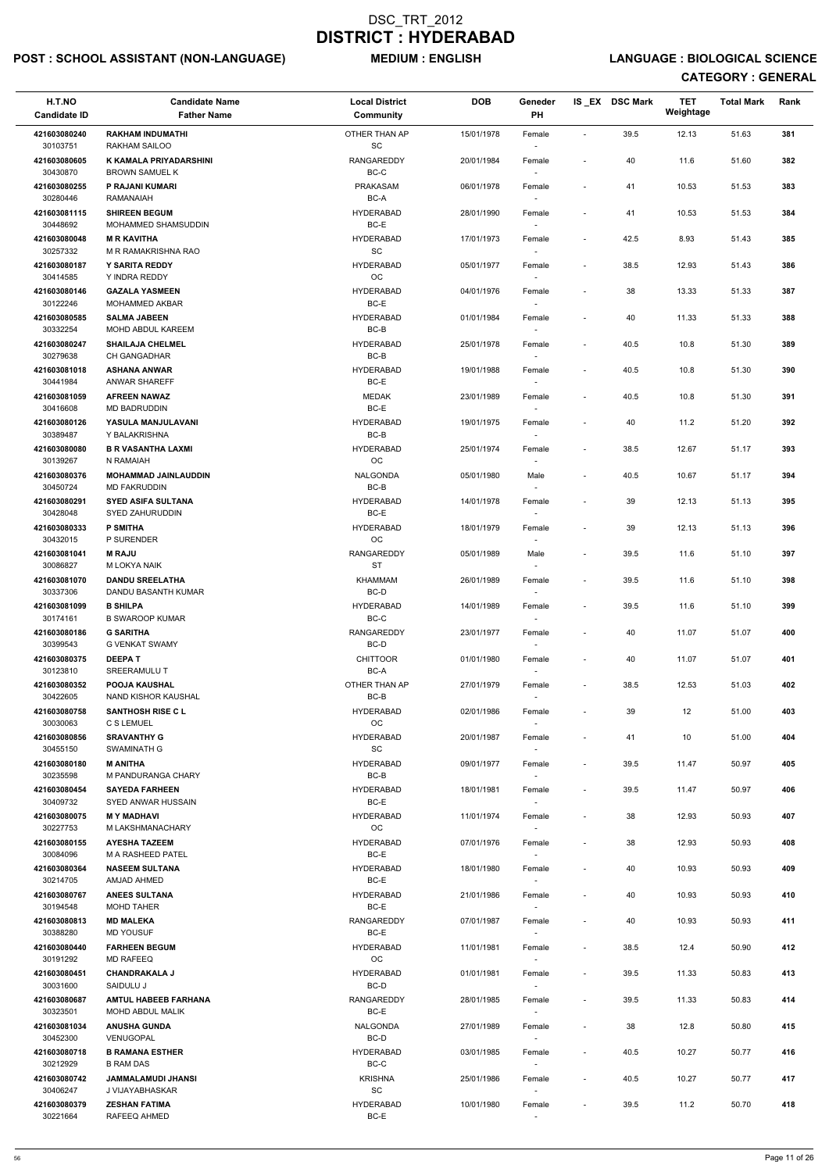## POST : SCHOOL ASSISTANT (NON-LANGUAGE) MEDIUM : ENGLISH LANGUAGE : BIOLOGICAL SCIENCE

| H.T.NO<br><b>Candidate ID</b> | <b>Candidate Name</b><br><b>Father Name</b>        | <b>Local District</b><br><b>Community</b>      | <b>DOB</b> | Geneder<br><b>PH</b>               |                              | IS_EX DSC Mark | <b>TET</b><br>Weightage | <b>Total Mark</b> | Rank |
|-------------------------------|----------------------------------------------------|------------------------------------------------|------------|------------------------------------|------------------------------|----------------|-------------------------|-------------------|------|
| 421603080240                  | <b>RAKHAM INDUMATHI</b>                            | OTHER THAN AP                                  | 15/01/1978 | Female                             | $\blacksquare$               | 39.5           | 12.13                   | 51.63             | 381  |
| 30103751<br>421603080605      | RAKHAM SAILOO<br><b>K KAMALA PRIYADARSHINI</b>     | SC<br><b>RANGAREDDY</b>                        | 20/01/1984 | $\overline{\phantom{a}}$           | $\overline{\phantom{a}}$     | 40             | 11.6                    | 51.60             | 382  |
| 30430870                      | <b>BROWN SAMUEL K</b>                              | BC-C                                           |            | Female                             |                              |                |                         |                   |      |
| 421603080255<br>30280446      | P RAJANI KUMARI<br><b>RAMANAIAH</b>                | PRAKASAM<br>BC-A                               | 06/01/1978 | Female                             | $\overline{\phantom{a}}$     | 41             | 10.53                   | 51.53             | 383  |
| 421603081115                  | <b>SHIREEN BEGUM</b>                               | <b>HYDERABAD</b>                               | 28/01/1990 | Female                             | $\overline{\phantom{a}}$     | 41             | 10.53                   | 51.53             | 384  |
| 30448692                      | MOHAMMED SHAMSUDDIN                                | BC-E                                           |            | $\overline{\phantom{a}}$           |                              |                |                         |                   |      |
| 421603080048<br>30257332      | <b>M R KAVITHA</b><br>M R RAMAKRISHNA RAO          | <b>HYDERABAD</b><br><b>SC</b>                  | 17/01/1973 | Female<br>$\sim$                   | $\overline{\phantom{a}}$     | 42.5           | 8.93                    | 51.43             | 385  |
| 421603080187                  | <b>Y SARITA REDDY</b>                              | <b>HYDERABAD</b>                               | 05/01/1977 | Female                             | $\overline{\phantom{a}}$     | 38.5           | 12.93                   | 51.43             | 386  |
| 30414585<br>421603080146      | Y INDRA REDDY<br><b>GAZALA YASMEEN</b>             | OC<br><b>HYDERABAD</b>                         | 04/01/1976 | Female                             | $\overline{\phantom{a}}$     | 38             | 13.33                   | 51.33             | 387  |
| 30122246                      | MOHAMMED AKBAR                                     | BC-E                                           |            |                                    |                              |                |                         |                   |      |
| 421603080585<br>30332254      | <b>SALMA JABEEN</b><br>MOHD ABDUL KAREEM           | <b>HYDERABAD</b><br>BC-B                       | 01/01/1984 | Female<br>$\sim$                   | $\overline{\phantom{a}}$     | 40             | 11.33                   | 51.33             | 388  |
| 421603080247                  | <b>SHAILAJA CHELMEL</b>                            | <b>HYDERABAD</b>                               | 25/01/1978 | Female                             | $\overline{\phantom{a}}$     | 40.5           | 10.8                    | 51.30             | 389  |
| 30279638<br>421603081018      | <b>CH GANGADHAR</b><br><b>ASHANA ANWAR</b>         | BC-B<br><b>HYDERABAD</b>                       | 19/01/1988 | $\sim$<br>Female                   | $\overline{\phantom{a}}$     | 40.5           | 10.8                    | 51.30             | 390  |
| 30441984                      | <b>ANWAR SHAREFF</b>                               | BC-E                                           |            | $\sim$                             |                              |                |                         |                   |      |
| 421603081059<br>30416608      | <b>AFREEN NAWAZ</b><br>MD BADRUDDIN                | <b>MEDAK</b><br>BC-E                           | 23/01/1989 | Female                             | $\overline{\phantom{a}}$     | 40.5           | 10.8                    | 51.30             | 391  |
| 421603080126                  | YASULA MANJULAVANI                                 | <b>HYDERABAD</b>                               | 19/01/1975 | Female                             | $\overline{\phantom{a}}$     | 40             | 11.2                    | 51.20             | 392  |
| 30389487<br>421603080080      | Y BALAKRISHNA<br><b>B R VASANTHA LAXMI</b>         | BC-B<br><b>HYDERABAD</b>                       | 25/01/1974 | $\overline{\phantom{a}}$<br>Female | $\overline{\phantom{a}}$     | 38.5           | 12.67                   | 51.17             | 393  |
| 30139267                      | N RAMAIAH                                          | OC                                             |            | $\sim$                             |                              |                |                         |                   |      |
| 421603080376<br>30450724      | <b>MOHAMMAD JAINLAUDDIN</b><br><b>MD FAKRUDDIN</b> | NALGONDA<br>BC-B                               | 05/01/1980 | Male<br>$\overline{\phantom{a}}$   | $\overline{\phantom{a}}$     | 40.5           | 10.67                   | 51.17             | 394  |
| 421603080291                  | <b>SYED ASIFA SULTANA</b>                          | <b>HYDERABAD</b>                               | 14/01/1978 | Female                             | $\overline{\phantom{a}}$     | 39             | 12.13                   | 51.13             | 395  |
| 30428048                      | SYED ZAHURUDDIN                                    | BC-E                                           |            |                                    |                              |                |                         |                   |      |
| 421603080333<br>30432015      | <b>P SMITHA</b><br>P SURENDER                      | <b>HYDERABAD</b><br>ОC                         | 18/01/1979 | Female<br>$\overline{\phantom{a}}$ | $\overline{\phantom{a}}$     | 39             | 12.13                   | 51.13             | 396  |
| 421603081041<br>30086827      | <b>M RAJU</b><br>M LOKYA NAIK                      | <b>RANGAREDDY</b><br><b>ST</b>                 | 05/01/1989 | Male                               | $\qquad \qquad \blacksquare$ | 39.5           | 11.6                    | 51.10             | 397  |
| 421603081070                  | <b>DANDU SREELATHA</b>                             | <b>KHAMMAM</b>                                 | 26/01/1989 | $\sim$<br>Female                   | $\overline{\phantom{a}}$     | 39.5           | 11.6                    | 51.10             | 398  |
| 30337306                      | DANDU BASANTH KUMAR                                | BC-D                                           |            |                                    |                              |                |                         |                   |      |
| 421603081099<br>30174161      | <b>B SHILPA</b><br><b>B SWAROOP KUMAR</b>          | <b>HYDERABAD</b><br>BC-C                       | 14/01/1989 | Female<br>$\sim$                   | $\overline{\phantom{a}}$     | 39.5           | 11.6                    | 51.10             | 399  |
| 421603080186                  | <b>G SARITHA</b>                                   | <b>RANGAREDDY</b>                              | 23/01/1977 | Female                             | $\qquad \qquad \blacksquare$ | 40             | 11.07                   | 51.07             | 400  |
| 30399543<br>421603080375      | <b>G VENKAT SWAMY</b><br><b>DEEPAT</b>             | BC-D<br><b>CHITTOOR</b>                        | 01/01/1980 | $\sim$<br>Female                   | $\qquad \qquad \blacksquare$ | 40             | 11.07                   | 51.07             | 401  |
| 30123810                      | SREERAMULU T                                       | BC-A                                           |            | $\sim$                             |                              |                |                         |                   |      |
| 421603080352<br>30422605      | <b>POOJA KAUSHAL</b><br>NAND KISHOR KAUSHAL        | OTHER THAN AP<br>BC-B                          | 27/01/1979 | Female                             | $\overline{\phantom{a}}$     | 38.5           | 12.53                   | 51.03             | 402  |
| 421603080758                  | <b>SANTHOSH RISE C L</b>                           | <b>HYDERABAD</b>                               | 02/01/1986 | Female                             | $\overline{\phantom{a}}$     | 39             | 12                      | 51.00             | 403  |
| 30030063<br>421603080856      | C S LEMUEL<br><b>SRAVANTHY G</b>                   | OC<br><b>HYDERABAD</b>                         | 20/01/1987 | Female                             | $\overline{\phantom{a}}$     | 41             | 10                      | 51.00             | 404  |
| 30455150                      | SWAMINATH G                                        | SC                                             |            | $\sim$                             |                              |                |                         |                   |      |
| 421603080180<br>30235598      | <b>M ANITHA</b><br>M PANDURANGA CHARY              | <b>HYDERABAD</b><br>BC-B                       | 09/01/1977 | Female<br>$\sim$                   | $\overline{\phantom{a}}$     | 39.5           | 11.47                   | 50.97             | 405  |
| 421603080454                  | <b>SAYEDA FARHEEN</b>                              | <b>HYDERABAD</b>                               | 18/01/1981 | Female                             | $\overline{\phantom{a}}$     | 39.5           | 11.47                   | 50.97             | 406  |
| 30409732<br>421603080075      | SYED ANWAR HUSSAIN<br><b>MY MADHAVI</b>            | BC-E<br><b>HYDERABAD</b>                       | 11/01/1974 | $\sim$<br>Female                   | $\overline{\phantom{a}}$     | 38             | 12.93                   | 50.93             | 407  |
| 30227753                      | M LAKSHMANACHARY                                   | OC                                             |            |                                    |                              |                |                         |                   |      |
| 421603080155<br>30084096      | <b>AYESHA TAZEEM</b><br><b>M A RASHEED PATEL</b>   | <b>HYDERABAD</b><br>BC-E                       | 07/01/1976 | Female<br>$\sim$                   | $\overline{\phantom{a}}$     | 38             | 12.93                   | 50.93             | 408  |
| 421603080364                  | <b>NASEEM SULTANA</b>                              | <b>HYDERABAD</b>                               | 18/01/1980 | Female                             | $\overline{\phantom{a}}$     | 40             | 10.93                   | 50.93             | 409  |
| 30214705<br>421603080767      | <b>AMJAD AHMED</b><br><b>ANEES SULTANA</b>         | BC-E<br><b>HYDERABAD</b>                       | 21/01/1986 | $\sim$<br>Female                   | $\overline{\phantom{a}}$     | 40             | 10.93                   | 50.93             | 410  |
| 30194548                      | <b>MOHD TAHER</b>                                  | BC-E                                           |            | $\sim$                             |                              |                |                         |                   |      |
| 421603080813<br>30388280      | <b>MD MALEKA</b><br><b>MD YOUSUF</b>               | RANGAREDDY<br>BC-E                             | 07/01/1987 | Female                             | $\overline{\phantom{a}}$     | 40             | 10.93                   | 50.93             | 411  |
| 421603080440                  | <b>FARHEEN BEGUM</b>                               | <b>HYDERABAD</b>                               | 11/01/1981 | Female                             | $\overline{\phantom{a}}$     | 38.5           | 12.4                    | 50.90             | 412  |
| 30191292                      | <b>MD RAFEEQ</b><br><b>CHANDRAKALA J</b>           | OC<br><b>HYDERABAD</b>                         |            |                                    |                              |                |                         |                   |      |
| 421603080451<br>30031600      | SAIDULU J                                          | BC-D                                           | 01/01/1981 | Female<br>$\sim$                   | $\overline{\phantom{a}}$     | 39.5           | 11.33                   | 50.83             | 413  |
| 421603080687<br>30323501      | <b>AMTUL HABEEB FARHANA</b><br>MOHD ABDUL MALIK    | RANGAREDDY<br>BC-E                             | 28/01/1985 | Female<br>$\overline{\phantom{a}}$ | $\overline{\phantom{a}}$     | 39.5           | 11.33                   | 50.83             | 414  |
| 421603081034                  | <b>ANUSHA GUNDA</b>                                | NALGONDA                                       | 27/01/1989 | Female                             | $\sim$                       | 38             | 12.8                    | 50.80             | 415  |
| 30452300                      | VENUGOPAL                                          | BC-D<br><b>HYDERABAD</b>                       |            | $\sim$                             |                              |                |                         |                   |      |
| 421603080718<br>30212929      | <b>B RAMANA ESTHER</b><br><b>B RAM DAS</b>         | BC-C                                           | 03/01/1985 | Female<br>$\sim$                   | $\overline{\phantom{a}}$     | 40.5           | 10.27                   | 50.77             | 416  |
| 421603080742<br>30406247      | <b>JAMMALAMUDI JHANSI</b><br>J VIJAYABHASKAR       | <b>KRISHNA</b><br>$\operatorname{\textsf{SC}}$ | 25/01/1986 | Female<br>$\sim$                   | $\overline{\phantom{a}}$     | 40.5           | 10.27                   | 50.77             | 417  |
| 421603080379                  | <b>ZESHAN FATIMA</b>                               | <b>HYDERABAD</b>                               | 10/01/1980 | Female                             | $\qquad \qquad \blacksquare$ | 39.5           | 11.2                    | 50.70             | 418  |
| 30221664                      | RAFEEQ AHMED                                       | BC-E                                           |            |                                    |                              |                |                         |                   |      |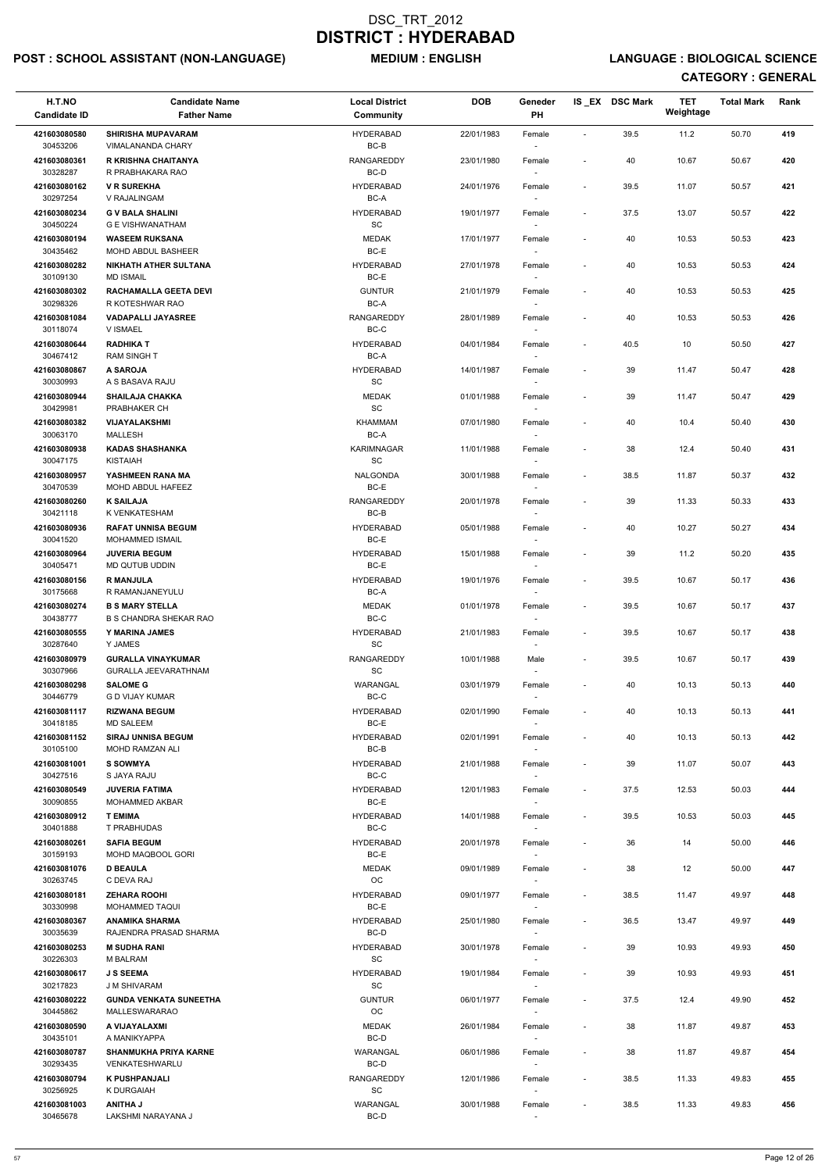## POST : SCHOOL ASSISTANT (NON-LANGUAGE) MEDIUM : ENGLISH LANGUAGE : BIOLOGICAL SCIENCE

| H.T.NO<br><b>Candidate ID</b>        | <b>Candidate Name</b><br><b>Father Name</b>             | <b>Local District</b><br><b>Community</b> | <b>DOB</b> | Geneder<br><b>PH</b>               |                          | IS EX DSC Mark | <b>TET</b><br>Weightage | <b>Total Mark</b> | Rank |
|--------------------------------------|---------------------------------------------------------|-------------------------------------------|------------|------------------------------------|--------------------------|----------------|-------------------------|-------------------|------|
| 421603080580                         | <b>SHIRISHA MUPAVARAM</b>                               | <b>HYDERABAD</b>                          | 22/01/1983 | Female                             | $\overline{\phantom{a}}$ | 39.5           | 11.2                    | 50.70             | 419  |
| 30453206<br>421603080361             | VIMALANANDA CHARY<br>R KRISHNA CHAITANYA                | BC-B<br><b>RANGAREDDY</b>                 | 23/01/1980 | $\overline{\phantom{a}}$<br>Female | $\overline{\phantom{a}}$ | 40             | 10.67                   | 50.67             | 420  |
| 30328287                             | R PRABHAKARA RAO                                        | BC-D                                      |            |                                    |                          |                |                         |                   |      |
| 421603080162<br>30297254             | <b>V R SUREKHA</b><br>V RAJALINGAM                      | <b>HYDERABAD</b><br>BC-A                  | 24/01/1976 | Female<br>$\sim$                   | $\overline{\phantom{a}}$ | 39.5           | 11.07                   | 50.57             | 421  |
| 421603080234                         | <b>G V BALA SHALINI</b>                                 | <b>HYDERABAD</b>                          | 19/01/1977 | Female                             | $\overline{\phantom{a}}$ | 37.5           | 13.07                   | 50.57             | 422  |
| 30450224<br>421603080194             | <b>G E VISHWANATHAM</b><br><b>WASEEM RUKSANA</b>        | <b>SC</b><br><b>MEDAK</b>                 | 17/01/1977 | $\overline{\phantom{a}}$<br>Female | ÷,                       | 40             | 10.53                   | 50.53             | 423  |
| 30435462                             | MOHD ABDUL BASHEER                                      | BC-E                                      |            | $\sim$                             |                          |                |                         |                   |      |
| 421603080282<br>30109130             | <b>NIKHATH ATHER SULTANA</b><br><b>MD ISMAIL</b>        | <b>HYDERABAD</b><br>BC-E                  | 27/01/1978 | Female                             |                          | 40             | 10.53                   | 50.53             | 424  |
| 421603080302<br>30298326             | <b>RACHAMALLA GEETA DEVI</b><br>R KOTESHWAR RAO         | <b>GUNTUR</b><br>BC-A                     | 21/01/1979 | Female                             | $\overline{\phantom{a}}$ | 40             | 10.53                   | 50.53             | 425  |
| 421603081084<br>30118074             | <b>VADAPALLI JAYASREE</b><br>V ISMAEL                   | RANGAREDDY<br>BC-C                        | 28/01/1989 | Female<br>$\sim$                   | $\overline{\phantom{a}}$ | 40             | 10.53                   | 50.53             | 426  |
| 421603080644                         | <b>RADHIKA T</b>                                        | <b>HYDERABAD</b>                          | 04/01/1984 | Female                             | $\overline{\phantom{a}}$ | 40.5           | 10                      | 50.50             | 427  |
| 30467412<br>421603080867             | <b>RAM SINGHT</b><br><b>A SAROJA</b>                    | BC-A<br><b>HYDERABAD</b>                  | 14/01/1987 | $\sim$<br>Female                   | $\overline{\phantom{a}}$ | 39             | 11.47                   | 50.47             | 428  |
| 30030993                             | A S BASAVA RAJU                                         | SC                                        |            | $\sim$                             |                          |                |                         |                   |      |
| 421603080944<br>30429981             | <b>SHAILAJA CHAKKA</b><br>PRABHAKER CH                  | MEDAK<br>$\operatorname{\textsf{SC}}$     | 01/01/1988 | Female                             | ÷,                       | 39             | 11.47                   | 50.47             | 429  |
| 421603080382                         | VIJAYALAKSHMI                                           | <b>KHAMMAM</b>                            | 07/01/1980 | Female                             | $\overline{\phantom{a}}$ | 40             | 10.4                    | 50.40             | 430  |
| 30063170<br>421603080938             | MALLESH<br><b>KADAS SHASHANKA</b>                       | BC-A<br><b>KARIMNAGAR</b>                 | 11/01/1988 | $\overline{\phantom{a}}$<br>Female |                          | 38             | 12.4                    | 50.40             | 431  |
| 30047175                             | KISTAIAH                                                | SC                                        |            | $\overline{\phantom{a}}$           |                          |                |                         |                   |      |
| 421603080957<br>30470539             | YASHMEEN RANA MA<br>MOHD ABDUL HAFEEZ                   | <b>NALGONDA</b><br>BC-E                   | 30/01/1988 | Female<br>$\sim$                   | $\overline{\phantom{a}}$ | 38.5           | 11.87                   | 50.37             | 432  |
| 421603080260<br>30421118             | <b>K SAILAJA</b><br>K VENKATESHAM                       | RANGAREDDY<br>BC-B                        | 20/01/1978 | Female                             | $\overline{\phantom{a}}$ | 39             | 11.33                   | 50.33             | 433  |
| 421603080936<br>30041520             | <b>RAFAT UNNISA BEGUM</b><br>MOHAMMED ISMAIL            | <b>HYDERABAD</b><br>BC-E                  | 05/01/1988 | Female<br>$\overline{\phantom{a}}$ | $\blacksquare$           | 40             | 10.27                   | 50.27             | 434  |
| 421603080964<br>30405471             | <b>JUVERIA BEGUM</b><br>MD QUTUB UDDIN                  | <b>HYDERABAD</b><br>BC-E                  | 15/01/1988 | Female<br>$\sim$                   | $\overline{a}$           | 39             | 11.2                    | 50.20             | 435  |
| 421603080156<br>30175668             | <b>R MANJULA</b><br>R RAMANJANEYULU                     | <b>HYDERABAD</b><br>BC-A                  | 19/01/1976 | Female                             | $\overline{\phantom{a}}$ | 39.5           | 10.67                   | 50.17             | 436  |
| 421603080274<br>30438777             | <b>B S MARY STELLA</b><br><b>B S CHANDRA SHEKAR RAO</b> | <b>MEDAK</b><br>BC-C                      | 01/01/1978 | Female<br>$\sim$                   | $\blacksquare$           | 39.5           | 10.67                   | 50.17             | 437  |
| 421603080555<br>30287640             | Y MARINA JAMES<br>Y JAMES                               | <b>HYDERABAD</b><br>SC                    | 21/01/1983 | Female                             | $\overline{\phantom{a}}$ | 39.5           | 10.67                   | 50.17             | 438  |
| 421603080979                         | <b>GURALLA VINAYKUMAR</b>                               | <b>RANGAREDDY</b>                         | 10/01/1988 | $\sim$<br>Male                     | $\overline{\phantom{a}}$ | 39.5           | 10.67                   | 50.17             | 439  |
| 30307966<br>421603080298             | GURALLA JEEVARATHNAM<br><b>SALOME G</b>                 | SC<br>WARANGAL                            | 03/01/1979 | $\sim$<br>Female                   |                          | 40             | 10.13                   | 50.13             | 440  |
| 30446779                             | <b>G D VIJAY KUMAR</b>                                  | BC-C                                      |            |                                    |                          |                |                         |                   |      |
| 421603081117<br>30418185             | <b>RIZWANA BEGUM</b><br><b>MD SALEEM</b>                | <b>HYDERABAD</b><br>BC-E                  | 02/01/1990 | Female                             | $\overline{\phantom{a}}$ | 40             | 10.13                   | 50.13             | 441  |
| 421603081152<br>30105100             | <b>SIRAJ UNNISA BEGUM</b><br>MOHD RAMZAN ALI            | <b>HYDERABAD</b><br>BC-B                  | 02/01/1991 | Female<br>$\sim$                   | $\blacksquare$           | 40             | 10.13                   | 50.13             | 442  |
| 421603081001<br>30427516             | <b>S SOWMYA</b><br>S JAYA RAJU                          | <b>HYDERABAD</b><br>BC-C                  | 21/01/1988 | Female<br>$\sim$                   | $\overline{\phantom{a}}$ | 39             | 11.07                   | 50.07             | 443  |
| 421603080549<br>30090855             | <b>JUVERIA FATIMA</b><br><b>MOHAMMED AKBAR</b>          | <b>HYDERABAD</b><br>BC-E                  | 12/01/1983 | Female<br>$\sim$                   | $\blacksquare$           | 37.5           | 12.53                   | 50.03             | 444  |
| 421603080912                         | <b>T EMIMA</b>                                          | <b>HYDERABAD</b>                          | 14/01/1988 | Female                             | $\overline{\phantom{a}}$ | 39.5           | 10.53                   | 50.03             | 445  |
| 30401888<br>421603080261             | T PRABHUDAS<br><b>SAFIA BEGUM</b>                       | BC-C<br><b>HYDERABAD</b>                  | 20/01/1978 | Female                             | $\overline{\phantom{a}}$ | 36             | 14                      | 50.00             | 446  |
| 30159193<br>421603081076             | MOHD MAQBOOL GORI<br><b>D BEAULA</b>                    | BC-E<br>MEDAK                             | 09/01/1989 | $\sim$<br>Female                   | $\blacksquare$           | 38             | 12                      | 50.00             | 447  |
| 30263745                             | C DEVA RAJ                                              | OC                                        |            | $\sim$                             |                          |                |                         |                   |      |
| 421603080181<br>30330998             | <b>ZEHARA ROOHI</b><br><b>MOHAMMED TAQUI</b>            | <b>HYDERABAD</b><br>BC-E                  | 09/01/1977 | Female<br>$\sim$                   | $\overline{\phantom{a}}$ | 38.5           | 11.47                   | 49.97             | 448  |
| 421603080367                         | <b>ANAMIKA SHARMA</b>                                   | <b>HYDERABAD</b>                          | 25/01/1980 | Female                             | $\overline{\phantom{a}}$ | 36.5           | 13.47                   | 49.97             | 449  |
| 30035639<br>421603080253             | RAJENDRA PRASAD SHARMA<br><b>M SUDHA RANI</b>           | BC-D<br><b>HYDERABAD</b>                  | 30/01/1978 | Female                             | $\overline{\phantom{a}}$ | 39             | 10.93                   | 49.93             | 450  |
| 30226303                             | <b>M BALRAM</b>                                         | SC                                        |            |                                    |                          |                |                         |                   |      |
| 421603080617<br>30217823             | <b>J S SEEMA</b><br>J M SHIVARAM                        | <b>HYDERABAD</b><br>SC                    | 19/01/1984 | Female<br>$\sim$                   | $\overline{\phantom{a}}$ | 39             | 10.93                   | 49.93             | 451  |
| 421603080222<br>30445862             | <b>GUNDA VENKATA SUNEETHA</b><br><b>MALLESWARARAO</b>   | <b>GUNTUR</b><br>OC                       | 06/01/1977 | Female                             | $\overline{\phantom{a}}$ | 37.5           | 12.4                    | 49.90             | 452  |
| 421603080590<br>30435101             | A VIJAYALAXMI<br>A MANIKYAPPA                           | MEDAK<br>BC-D                             | 26/01/1984 | $\overline{\phantom{a}}$<br>Female | $\sim$                   | 38             | 11.87                   | 49.87             | 453  |
| 421603080787                         | <b>SHANMUKHA PRIYA KARNE</b>                            | WARANGAL                                  | 06/01/1986 | $\sim$<br>Female                   | $\overline{\phantom{a}}$ | 38             | 11.87                   | 49.87             | 454  |
| 30293435<br>421603080794             | VENKATESHWARLU<br><b>K PUSHPANJALI</b>                  | BC-D<br>RANGAREDDY                        | 12/01/1986 | $\sim$<br>Female                   | $\overline{\phantom{a}}$ | 38.5           | 11.33                   | 49.83             | 455  |
| 30256925<br>421603081003<br>30465678 | K DURGAIAH<br><b>ANITHA J</b><br>LAKSHMI NARAYANA J     | SC<br>WARANGAL<br>BC-D                    | 30/01/1988 | $\sim$<br>Female<br>$\sim$         | $\overline{\phantom{a}}$ | 38.5           | 11.33                   | 49.83             | 456  |
|                                      |                                                         |                                           |            |                                    |                          |                |                         |                   |      |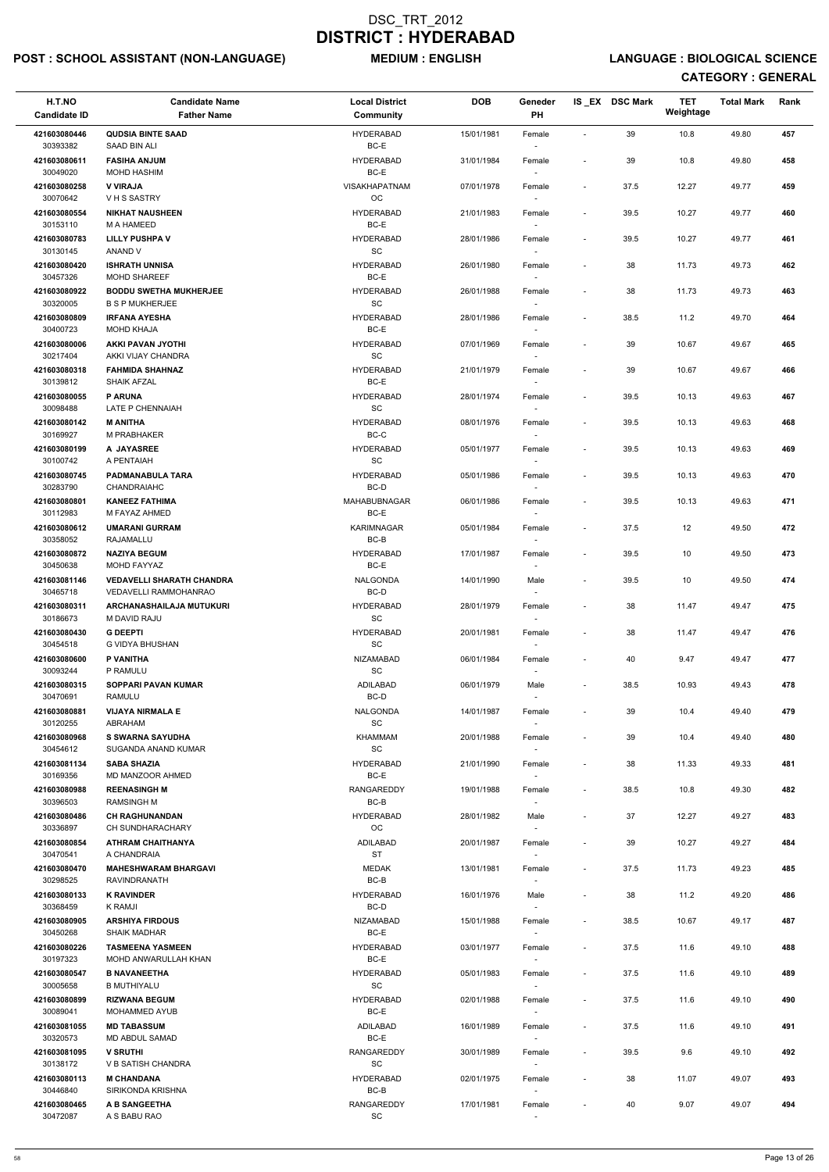## POST : SCHOOL ASSISTANT (NON-LANGUAGE) MEDIUM : ENGLISH LANGUAGE : BIOLOGICAL SCIENCE

| H.T.NO<br><b>Candidate ID</b>        | <b>Candidate Name</b><br><b>Father Name</b>                                    | <b>Local District</b><br><b>Community</b>        | <b>DOB</b> | Geneder<br><b>PH</b>               |                          | IS EX DSC Mark | <b>TET</b><br>Weightage | <b>Total Mark</b> | Rank |
|--------------------------------------|--------------------------------------------------------------------------------|--------------------------------------------------|------------|------------------------------------|--------------------------|----------------|-------------------------|-------------------|------|
| 421603080446<br>30393382             | <b>QUDSIA BINTE SAAD</b><br>SAAD BIN ALI                                       | <b>HYDERABAD</b><br>BC-E                         | 15/01/1981 | Female<br>$\overline{\phantom{a}}$ | $\sim$                   | 39             | 10.8                    | 49.80             | 457  |
| 421603080611<br>30049020             | <b>FASIHA ANJUM</b><br><b>MOHD HASHIM</b>                                      | <b>HYDERABAD</b><br>BC-E                         | 31/01/1984 | Female                             | $\overline{\phantom{a}}$ | 39             | 10.8                    | 49.80             | 458  |
| 421603080258<br>30070642             | <b>V VIRAJA</b><br>VHS SASTRY                                                  | VISAKHAPATNAM<br>OC                              | 07/01/1978 | Female<br>$\sim$                   | $\overline{\phantom{a}}$ | 37.5           | 12.27                   | 49.77             | 459  |
| 421603080554<br>30153110             | <b>NIKHAT NAUSHEEN</b><br>M A HAMEED                                           | <b>HYDERABAD</b><br>BC-E                         | 21/01/1983 | Female                             | $\overline{\phantom{a}}$ | 39.5           | 10.27                   | 49.77             | 460  |
| 421603080783<br>30130145             | <b>LILLY PUSHPA V</b><br>ANAND V                                               | <b>HYDERABAD</b><br><b>SC</b>                    | 28/01/1986 | Female<br>$\overline{\phantom{a}}$ | $\overline{\phantom{a}}$ | 39.5           | 10.27                   | 49.77             | 461  |
| 421603080420                         | <b>ISHRATH UNNISA</b>                                                          | <b>HYDERABAD</b><br>BC-E                         | 26/01/1980 | Female                             |                          | 38             | 11.73                   | 49.73             | 462  |
| 30457326<br>421603080922<br>30320005 | <b>MOHD SHAREEF</b><br><b>BODDU SWETHA MUKHERJEE</b><br><b>B S P MUKHERJEE</b> | <b>HYDERABAD</b><br>SC                           | 26/01/1988 | Female                             | $\blacksquare$           | 38             | 11.73                   | 49.73             | 463  |
| 421603080809<br>30400723             | <b>IRFANA AYESHA</b><br><b>MOHD KHAJA</b>                                      | <b>HYDERABAD</b><br>BC-E                         | 28/01/1986 | Female<br>$\overline{\phantom{a}}$ |                          | 38.5           | 11.2                    | 49.70             | 464  |
| 421603080006                         | AKKI PAVAN JYOTHI                                                              | <b>HYDERABAD</b>                                 | 07/01/1969 | Female                             |                          | 39             | 10.67                   | 49.67             | 465  |
| 30217404<br>421603080318             | AKKI VIJAY CHANDRA<br><b>FAHMIDA SHAHNAZ</b>                                   | <b>SC</b><br><b>HYDERABAD</b>                    | 21/01/1979 | $\sim$<br>Female                   |                          | 39             | 10.67                   | 49.67             | 466  |
| 30139812<br>421603080055             | <b>SHAIK AFZAL</b><br><b>P ARUNA</b>                                           | BC-E<br><b>HYDERABAD</b>                         | 28/01/1974 | $\overline{\phantom{a}}$<br>Female | $\sim$                   | 39.5           | 10.13                   | 49.63             | 467  |
| 30098488<br>421603080142             | LATE P CHENNAIAH<br><b>M ANITHA</b>                                            | $\operatorname{\textsf{SC}}$<br><b>HYDERABAD</b> | 08/01/1976 | Female                             | $\blacksquare$           | 39.5           | 10.13                   | 49.63             | 468  |
| 30169927<br>421603080199             | M PRABHAKER<br>A JAYASREE                                                      | BC-C<br><b>HYDERABAD</b>                         | 05/01/1977 | $\overline{\phantom{a}}$<br>Female |                          | 39.5           | 10.13                   | 49.63             | 469  |
| 30100742<br>421603080745             | A PENTAIAH<br>PADMANABULA TARA                                                 | SC<br><b>HYDERABAD</b>                           | 05/01/1986 | $\sim$<br>Female                   | $\overline{\phantom{a}}$ | 39.5           | 10.13                   | 49.63             | 470  |
| 30283790                             | <b>CHANDRAIAHC</b>                                                             | BC-D                                             |            | $\blacksquare$                     |                          |                |                         |                   |      |
| 421603080801<br>30112983             | <b>KANEEZ FATHIMA</b><br>M FAYAZ AHMED                                         | MAHABUBNAGAR<br>BC-E                             | 06/01/1986 | Female                             | $\overline{\phantom{a}}$ | 39.5           | 10.13                   | 49.63             | 471  |
| 421603080612<br>30358052             | <b>UMARANI GURRAM</b><br>RAJAMALLU                                             | <b>KARIMNAGAR</b><br>BC-B                        | 05/01/1984 | Female<br>$\overline{\phantom{a}}$ | $\blacksquare$           | 37.5           | 12                      | 49.50             | 472  |
| 421603080872<br>30450638             | <b>NAZIYA BEGUM</b><br>MOHD FAYYAZ                                             | <b>HYDERABAD</b><br>BC-E                         | 17/01/1987 | Female<br>$\overline{\phantom{a}}$ |                          | 39.5           | 10                      | 49.50             | 473  |
| 421603081146<br>30465718             | <b>VEDAVELLI SHARATH CHANDRA</b><br>VEDAVELLI RAMMOHANRAO                      | <b>NALGONDA</b><br>BC-D                          | 14/01/1990 | Male                               | $\overline{\phantom{a}}$ | 39.5           | 10                      | 49.50             | 474  |
| 421603080311<br>30186673             | ARCHANASHAILAJA MUTUKURI<br>M DAVID RAJU                                       | <b>HYDERABAD</b><br><b>SC</b>                    | 28/01/1979 | Female<br>$\sim$                   | $\overline{\phantom{a}}$ | 38             | 11.47                   | 49.47             | 475  |
| 421603080430<br>30454518             | <b>G DEEPTI</b><br>G VIDYA BHUSHAN                                             | <b>HYDERABAD</b><br>SC                           | 20/01/1981 | Female<br>$\overline{\phantom{a}}$ |                          | 38             | 11.47                   | 49.47             | 476  |
| 421603080600<br>30093244             | P VANITHA<br>P RAMULU                                                          | NIZAMABAD<br>SC                                  | 06/01/1984 | Female<br>$\sim$                   |                          | 40             | 9.47                    | 49.47             | 477  |
| 421603080315<br>30470691             | <b>SOPPARI PAVAN KUMAR</b><br>RAMULU                                           | ADILABAD<br>BC-D                                 | 06/01/1979 | Male                               |                          | 38.5           | 10.93                   | 49.43             | 478  |
| 421603080881<br>30120255             | <b>VIJAYA NIRMALA E</b><br>ABRAHAM                                             | <b>NALGONDA</b><br>SC                            | 14/01/1987 | Female                             | $\overline{\phantom{a}}$ | 39             | 10.4                    | 49.40             | 479  |
| 421603080968<br>30454612             | <b>S SWARNA SAYUDHA</b><br>SUGANDA ANAND KUMAR                                 | <b>KHAMMAM</b><br><b>SC</b>                      | 20/01/1988 | Female<br>$\overline{\phantom{a}}$ |                          | 39             | 10.4                    | 49.40             | 480  |
| 421603081134<br>30169356             | <b>SABA SHAZIA</b><br>MD MANZOOR AHMED                                         | <b>HYDERABAD</b><br>BC-E                         | 21/01/1990 | Female<br>$\overline{\phantom{a}}$ | $\overline{\phantom{a}}$ | 38             | 11.33                   | 49.33             | 481  |
| 421603080988<br>30396503             | <b>REENASINGH M</b><br><b>RAMSINGH M</b>                                       | RANGAREDDY<br>BC-B                               | 19/01/1988 | Female                             | $\overline{\phantom{a}}$ | 38.5           | 10.8                    | 49.30             | 482  |
| 421603080486                         | <b>CH RAGHUNANDAN</b>                                                          | <b>HYDERABAD</b>                                 | 28/01/1982 | Male                               | $\overline{\phantom{a}}$ | 37             | 12.27                   | 49.27             | 483  |
| 30336897<br>421603080854             | CH SUNDHARACHARY<br><b>ATHRAM CHAITHANYA</b>                                   | OC<br><b>ADILABAD</b>                            | 20/01/1987 | Female                             | $\overline{\phantom{a}}$ | 39             | 10.27                   | 49.27             | 484  |
| 30470541<br>421603080470             | A CHANDRAIA<br><b>MAHESHWARAM BHARGAVI</b>                                     | <b>ST</b><br><b>MEDAK</b>                        | 13/01/1981 | $\sim$<br>Female                   |                          | 37.5           | 11.73                   | 49.23             | 485  |
| 30298525<br>421603080133             | RAVINDRANATH<br><b>K RAVINDER</b>                                              | BC-B<br><b>HYDERABAD</b>                         | 16/01/1976 | $\overline{\phantom{a}}$<br>Male   | $\overline{\phantom{a}}$ | 38             | 11.2                    | 49.20             | 486  |
| 30368459<br>421603080905             | K RAMJI<br><b>ARSHIYA FIRDOUS</b>                                              | BC-D<br><b>NIZAMABAD</b>                         | 15/01/1988 | $\sim$<br>Female                   | $\overline{\phantom{a}}$ | 38.5           | 10.67                   | 49.17             | 487  |
| 30450268<br>421603080226             | <b>SHAIK MADHAR</b><br><b>TASMEENA YASMEEN</b>                                 | BC-E<br><b>HYDERABAD</b>                         | 03/01/1977 | Female                             | $\blacksquare$           | 37.5           | 11.6                    | 49.10             | 488  |
| 30197323                             | MOHD ANWARULLAH KHAN                                                           | BC-E                                             |            |                                    |                          |                |                         |                   |      |
| 421603080547<br>30005658             | <b>B NAVANEETHA</b><br><b>B MUTHIYALU</b>                                      | <b>HYDERABAD</b><br>$\operatorname{\textsf{SC}}$ | 05/01/1983 | Female<br>$\blacksquare$           |                          | 37.5           | 11.6                    | 49.10             | 489  |
| 421603080899<br>30089041             | <b>RIZWANA BEGUM</b><br>MOHAMMED AYUB                                          | <b>HYDERABAD</b><br>BC-E                         | 02/01/1988 | Female                             | $\overline{\phantom{a}}$ | 37.5           | 11.6                    | 49.10             | 490  |
| 421603081055<br>30320573             | <b>MD TABASSUM</b><br><b>MD ABDUL SAMAD</b>                                    | ADILABAD<br>BC-E                                 | 16/01/1989 | Female<br>$\overline{\phantom{a}}$ | $\overline{\phantom{a}}$ | 37.5           | 11.6                    | 49.10             | 491  |
| 421603081095<br>30138172             | <b>V SRUTHI</b><br><b>V B SATISH CHANDRA</b>                                   | RANGAREDDY<br>SC                                 | 30/01/1989 | Female                             | $\overline{\phantom{a}}$ | 39.5           | 9.6                     | 49.10             | 492  |
| 421603080113<br>30446840             | <b>M CHANDANA</b><br>SIRIKONDA KRISHNA                                         | <b>HYDERABAD</b><br>BC-B                         | 02/01/1975 | $\overline{\phantom{a}}$<br>Female |                          | 38             | 11.07                   | 49.07             | 493  |
| 421603080465<br>30472087             | A B SANGEETHA<br>A S BABU RAO                                                  | RANGAREDDY<br>$\operatorname{\textsf{SC}}$       | 17/01/1981 | $\overline{\phantom{a}}$<br>Female |                          | 40             | 9.07                    | 49.07             | 494  |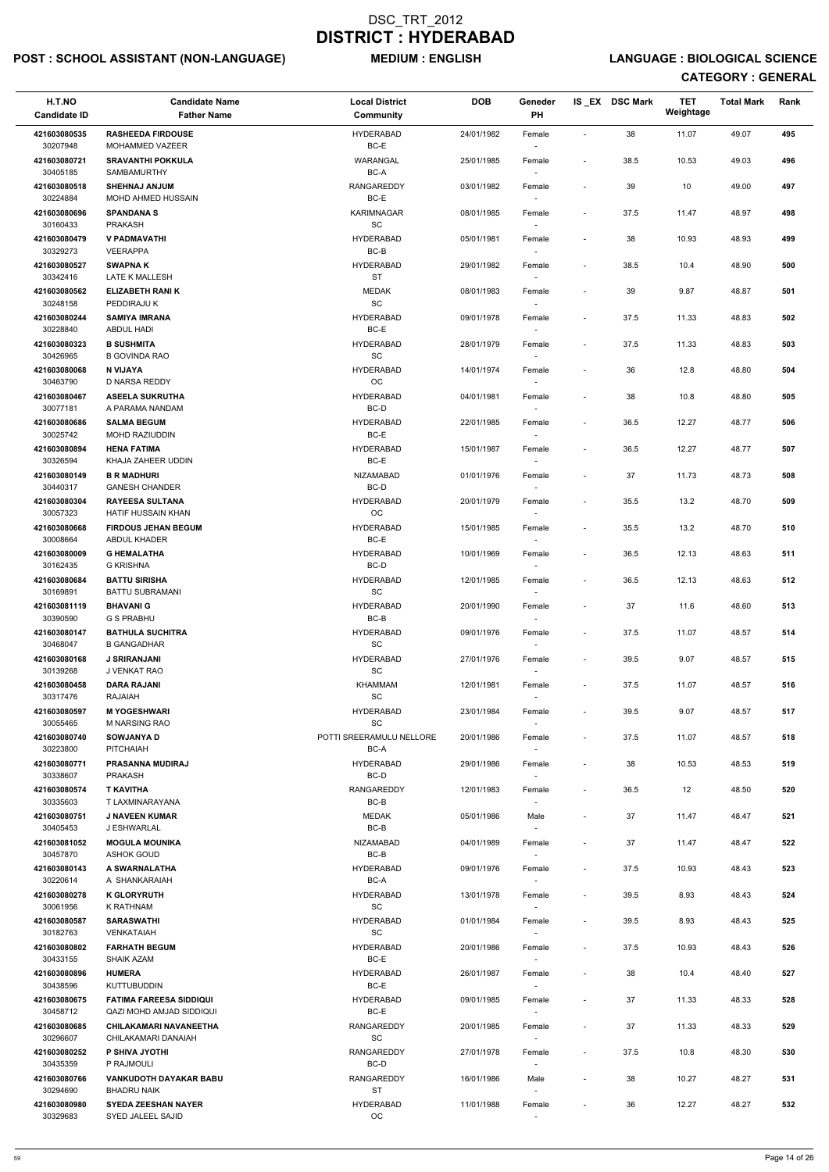## POST : SCHOOL ASSISTANT (NON-LANGUAGE) MEDIUM : ENGLISH LANGUAGE : BIOLOGICAL SCIENCE

| H.T.NO<br><b>Candidate ID</b> | <b>Candidate Name</b><br><b>Father Name</b>                | <b>Local District</b><br>Community | <b>DOB</b> | Geneder<br>PH                      |                          | IS_EX DSC Mark | <b>TET</b><br>Weightage | <b>Total Mark</b> | Rank |
|-------------------------------|------------------------------------------------------------|------------------------------------|------------|------------------------------------|--------------------------|----------------|-------------------------|-------------------|------|
| 421603080535                  | <b>RASHEEDA FIRDOUSE</b>                                   | <b>HYDERABAD</b>                   | 24/01/1982 | Female                             | $\overline{\phantom{a}}$ | 38             | 11.07                   | 49.07             | 495  |
| 30207948                      | MOHAMMED VAZEER                                            | BC-E                               |            | $\sim$                             |                          |                |                         |                   |      |
| 421603080721                  | <b>SRAVANTHI POKKULA</b>                                   | WARANGAL                           | 25/01/1985 | Female                             | $\overline{\phantom{a}}$ | 38.5           | 10.53                   | 49.03             | 496  |
| 30405185<br>421603080518      | SAMBAMURTHY<br><b>SHEHNAJ ANJUM</b>                        | BC-A<br><b>RANGAREDDY</b>          | 03/01/1982 | Female                             | $\overline{\phantom{a}}$ | 39             | 10                      | 49.00             | 497  |
| 30224884                      | MOHD AHMED HUSSAIN                                         | BC-E                               |            | $\sim$                             |                          |                |                         |                   |      |
| 421603080696<br>30160433      | <b>SPANDANA S</b><br><b>PRAKASH</b>                        | <b>KARIMNAGAR</b><br>SC            | 08/01/1985 | Female<br>$\overline{\phantom{a}}$ | $\overline{\phantom{a}}$ | 37.5           | 11.47                   | 48.97             | 498  |
| 421603080479                  | V PADMAVATHI                                               | <b>HYDERABAD</b>                   | 05/01/1981 | Female                             | $\blacksquare$           | 38             | 10.93                   | 48.93             | 499  |
| 30329273                      | <b>VEERAPPA</b>                                            | BC-B                               |            | $\overline{\phantom{a}}$           |                          |                |                         |                   |      |
| 421603080527<br>30342416      | <b>SWAPNAK</b><br>LATE K MALLESH                           | <b>HYDERABAD</b><br>ST             | 29/01/1982 | Female<br>$\overline{\phantom{a}}$ | $\overline{\phantom{a}}$ | 38.5           | 10.4                    | 48.90             | 500  |
| 421603080562<br>30248158      | <b>ELIZABETH RANI K</b><br>PEDDIRAJU K                     | <b>MEDAK</b><br>SC                 | 08/01/1983 | Female                             | $\overline{\phantom{a}}$ | 39             | 9.87                    | 48.87             | 501  |
| 421603080244<br>30228840      | <b>SAMIYA IMRANA</b><br>ABDUL HADI                         | <b>HYDERABAD</b><br>BC-E           | 09/01/1978 | Female<br>$\sim$                   | $\overline{\phantom{a}}$ | 37.5           | 11.33                   | 48.83             | 502  |
| 421603080323                  | <b>B SUSHMITA</b>                                          | <b>HYDERABAD</b>                   | 28/01/1979 | Female                             | $\overline{\phantom{a}}$ | 37.5           | 11.33                   | 48.83             | 503  |
| 30426965                      | <b>B GOVINDA RAO</b>                                       | SC                                 |            | $\sim$                             |                          |                |                         |                   |      |
| 421603080068<br>30463790      | <b>N VIJAYA</b><br>D NARSA REDDY                           | <b>HYDERABAD</b><br>OC             | 14/01/1974 | Female<br>$\sim$                   | $\overline{\phantom{a}}$ | 36             | 12.8                    | 48.80             | 504  |
| 421603080467                  | <b>ASEELA SUKRUTHA</b>                                     | <b>HYDERABAD</b>                   | 04/01/1981 | Female                             | $\overline{\phantom{a}}$ | 38             | 10.8                    | 48.80             | 505  |
| 30077181                      | A PARAMA NANDAM                                            | BC-D                               |            |                                    |                          |                |                         |                   |      |
| 421603080686<br>30025742      | <b>SALMA BEGUM</b><br>MOHD RAZIUDDIN                       | <b>HYDERABAD</b><br>BC-E           | 22/01/1985 | Female<br>$\overline{\phantom{a}}$ | $\overline{\phantom{a}}$ | 36.5           | 12.27                   | 48.77             | 506  |
| 421603080894                  | <b>HENA FATIMA</b>                                         | <b>HYDERABAD</b>                   | 15/01/1987 | Female                             |                          | 36.5           | 12.27                   | 48.77             | 507  |
| 30326594                      | KHAJA ZAHEER UDDIN                                         | BC-E                               |            | $\sim$                             |                          |                |                         |                   |      |
| 421603080149<br>30440317      | <b>B R MADHURI</b><br><b>GANESH CHANDER</b>                | NIZAMABAD<br>BC-D                  | 01/01/1976 | Female<br>$\sim$                   | $\overline{\phantom{a}}$ | 37             | 11.73                   | 48.73             | 508  |
| 421603080304<br>30057323      | <b>RAYEESA SULTANA</b><br><b>HATIF HUSSAIN KHAN</b>        | <b>HYDERABAD</b><br>$_{\rm OC}$    | 20/01/1979 | Female                             | $\overline{\phantom{a}}$ | 35.5           | 13.2                    | 48.70             | 509  |
| 421603080668                  | <b>FIRDOUS JEHAN BEGUM</b>                                 | <b>HYDERABAD</b>                   | 15/01/1985 | Female                             | $\overline{\phantom{a}}$ | 35.5           | 13.2                    | 48.70             | 510  |
| 30008664<br>421603080009      | ABDUL KHADER<br><b>G HEMALATHA</b>                         | BC-E<br><b>HYDERABAD</b>           | 10/01/1969 | $\sim$<br>Female                   | $\overline{\phantom{a}}$ | 36.5           | 12.13                   | 48.63             | 511  |
| 30162435                      | <b>G KRISHNA</b>                                           | BC-D                               |            | $\sim$                             |                          |                |                         |                   |      |
| 421603080684                  | <b>BATTU SIRISHA</b>                                       | <b>HYDERABAD</b>                   | 12/01/1985 | Female                             | $\overline{\phantom{a}}$ | 36.5           | 12.13                   | 48.63             | 512  |
| 30169891<br>421603081119      | <b>BATTU SUBRAMANI</b><br><b>BHAVANI G</b>                 | SC<br><b>HYDERABAD</b>             | 20/01/1990 | Female                             | $\overline{\phantom{a}}$ | 37             | 11.6                    | 48.60             | 513  |
| 30390590                      | <b>G S PRABHU</b>                                          | BC-B                               |            | $\sim$                             |                          |                |                         |                   |      |
| 421603080147<br>30468047      | <b>BATHULA SUCHITRA</b><br><b>B GANGADHAR</b>              | <b>HYDERABAD</b><br>SC             | 09/01/1976 | Female<br>$\overline{\phantom{a}}$ | $\overline{\phantom{a}}$ | 37.5           | 11.07                   | 48.57             | 514  |
| 421603080168<br>30139268      | <b>J SRIRANJANI</b><br>J VENKAT RAO                        | <b>HYDERABAD</b><br><b>SC</b>      | 27/01/1976 | Female                             | $\overline{\phantom{a}}$ | 39.5           | 9.07                    | 48.57             | 515  |
| 421603080458                  | <b>DARA RAJANI</b>                                         | <b>KHAMMAM</b>                     | 12/01/1981 | $\sim$<br>Female                   | $\overline{\phantom{a}}$ | 37.5           | 11.07                   | 48.57             | 516  |
| 30317476                      | <b>RAJAIAH</b>                                             | SC                                 |            |                                    |                          |                |                         |                   |      |
| 421603080597<br>30055465      | <b>M YOGESHWARI</b><br>M NARSING RAO                       | <b>HYDERABAD</b><br><b>SC</b>      | 23/01/1984 | Female                             | $\overline{\phantom{a}}$ | 39.5           | 9.07                    | 48.57             | 517  |
| 421603080740<br>30223800      | <b>SOWJANYA D</b><br><b>PITCHAIAH</b>                      | POTTI SREERAMULU NELLORE<br>BC-A   | 20/01/1986 | Female<br>$\sim$                   | $\overline{\phantom{a}}$ | 37.5           | 11.07                   | 48.57             | 518  |
| 421603080771<br>30338607      | <b>PRASANNA MUDIRAJ</b><br><b>PRAKASH</b>                  | <b>HYDERABAD</b><br>BC-D           | 29/01/1986 | Female<br>$\sim$                   | $\overline{\phantom{a}}$ | 38             | 10.53                   | 48.53             | 519  |
| 421603080574<br>30335603      | <b>T KAVITHA</b><br>T LAXMINARAYANA                        | <b>RANGAREDDY</b><br>BC-B          | 12/01/1983 | Female<br>$\sim$                   | $\overline{\phantom{a}}$ | 36.5           | 12                      | 48.50             | 520  |
| 421603080751                  | <b>J NAVEEN KUMAR</b>                                      | <b>MEDAK</b>                       | 05/01/1986 | Male                               | $\overline{\phantom{a}}$ | 37             | 11.47                   | 48.47             | 521  |
| 30405453                      | J ESHWARLAL                                                | $BC-B$                             |            |                                    |                          |                |                         |                   |      |
| 421603081052<br>30457870      | <b>MOGULA MOUNIKA</b><br><b>ASHOK GOUD</b>                 | <b>NIZAMABAD</b><br>BC-B           | 04/01/1989 | Female<br>$\sim$                   | $\overline{\phantom{a}}$ | 37             | 11.47                   | 48.47             | 522  |
| 421603080143                  | A SWARNALATHA                                              | <b>HYDERABAD</b>                   | 09/01/1976 | Female                             | $\overline{\phantom{a}}$ | 37.5           | 10.93                   | 48.43             | 523  |
| 30220614<br>421603080278      | A SHANKARAIAH<br><b>K GLORYRUTH</b>                        | BC-A<br><b>HYDERABAD</b>           | 13/01/1978 | $\sim$<br>Female                   | $\overline{\phantom{a}}$ | 39.5           | 8.93                    | 48.43             | 524  |
| 30061956                      | K RATHNAM                                                  | <b>SC</b>                          |            | $\sim$                             |                          |                |                         |                   |      |
| 421603080587<br>30182763      | <b>SARASWATHI</b><br><b>VENKATAIAH</b>                     | <b>HYDERABAD</b><br>SC             | 01/01/1984 | Female                             | $\overline{\phantom{a}}$ | 39.5           | 8.93                    | 48.43             | 525  |
| 421603080802                  | <b>FARHATH BEGUM</b>                                       | <b>HYDERABAD</b>                   | 20/01/1986 | Female                             | $\overline{\phantom{a}}$ | 37.5           | 10.93                   | 48.43             | 526  |
| 30433155                      | <b>SHAIK AZAM</b>                                          | BC-E                               |            |                                    |                          |                |                         |                   |      |
| 421603080896<br>30438596      | <b>HUMERA</b><br><b>KUTTUBUDDIN</b>                        | <b>HYDERABAD</b><br>BC-E           | 26/01/1987 | Female<br>$\sim$                   | $\overline{\phantom{a}}$ | 38             | 10.4                    | 48.40             | 527  |
| 421603080675<br>30458712      | <b>FATIMA FAREESA SIDDIQUI</b><br>QAZI MOHD AMJAD SIDDIQUI | <b>HYDERABAD</b><br>BC-E           | 09/01/1985 | Female                             |                          | 37             | 11.33                   | 48.33             | 528  |
| 421603080685<br>30296607      | CHILAKAMARI NAVANEETHA<br>CHILAKAMARI DANAIAH              | RANGAREDDY<br>SC                   | 20/01/1985 | Female                             | $\overline{\phantom{a}}$ | 37             | 11.33                   | 48.33             | 529  |
| 421603080252                  | P SHIVA JYOTHI                                             | <b>RANGAREDDY</b>                  | 27/01/1978 | $\sim$<br>Female                   | $\overline{\phantom{a}}$ | 37.5           | 10.8                    | 48.30             | 530  |
| 30435359<br>421603080766      | P RAJMOULI<br><b>VANKUDOTH DAYAKAR BABU</b>                | BC-D<br>RANGAREDDY                 | 16/01/1986 | $\overline{\phantom{a}}$<br>Male   | $\blacksquare$           | 38             | 10.27                   | 48.27             | 531  |
| 30294690<br>421603080980      | <b>BHADRU NAIK</b><br><b>SYEDA ZEESHAN NAYER</b>           | ST<br><b>HYDERABAD</b>             | 11/01/1988 | $\overline{\phantom{a}}$<br>Female |                          | 36             | 12.27                   | 48.27             | 532  |
| 30329683                      | SYED JALEEL SAJID                                          | OC                                 |            |                                    |                          |                |                         |                   |      |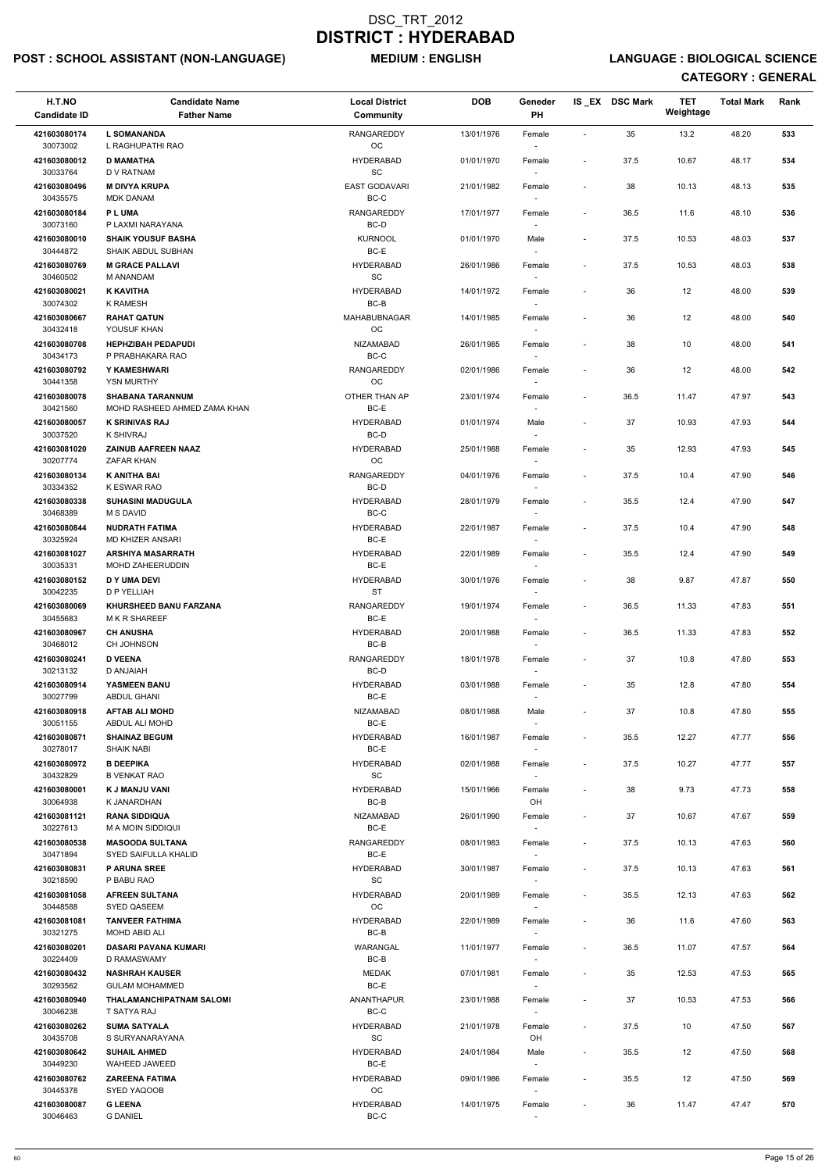## POST : SCHOOL ASSISTANT (NON-LANGUAGE) MEDIUM : ENGLISH LANGUAGE : BIOLOGICAL SCIENCE

| H.T.NO<br><b>Candidate ID</b> | <b>Candidate Name</b><br><b>Father Name</b>    | <b>Local District</b><br><b>Community</b>        | <b>DOB</b> | Geneder<br>PH                      |                          | IS_EX DSC Mark | <b>TET</b><br>Weightage | <b>Total Mark</b> | Rank |
|-------------------------------|------------------------------------------------|--------------------------------------------------|------------|------------------------------------|--------------------------|----------------|-------------------------|-------------------|------|
| 421603080174                  | <b>L SOMANANDA</b>                             | <b>RANGAREDDY</b>                                | 13/01/1976 | Female                             | $\mathbf{r}$             | 35             | 13.2                    | 48.20             | 533  |
| 30073002<br>421603080012      | L RAGHUPATHI RAO<br><b>D MAMATHA</b>           | $_{\rm OC}$<br><b>HYDERABAD</b>                  | 01/01/1970 | $\overline{\phantom{a}}$<br>Female | $\overline{\phantom{a}}$ | 37.5           | 10.67                   | 48.17             | 534  |
| 30033764                      | <b>D V RATNAM</b>                              | <b>SC</b>                                        |            |                                    |                          |                |                         |                   |      |
| 421603080496<br>30435575      | <b>M DIVYA KRUPA</b><br><b>MDK DANAM</b>       | EAST GODAVARI<br>BC-C                            | 21/01/1982 | Female<br>$\overline{\phantom{a}}$ | $\overline{\phantom{a}}$ | 38             | 10.13                   | 48.13             | 535  |
| 421603080184                  | <b>PLUMA</b>                                   | <b>RANGAREDDY</b>                                | 17/01/1977 | Female                             | $\blacksquare$           | 36.5           | 11.6                    | 48.10             | 536  |
| 30073160<br>421603080010      | P LAXMI NARAYANA<br><b>SHAIK YOUSUF BASHA</b>  | BC-D<br><b>KURNOOL</b>                           | 01/01/1970 | $\overline{\phantom{a}}$           | $\overline{\phantom{a}}$ | 37.5           | 10.53                   | 48.03             | 537  |
| 30444872                      | SHAIK ABDUL SUBHAN                             | BC-E                                             |            | Male<br>$\sim$                     |                          |                |                         |                   |      |
| 421603080769<br>30460502      | <b>M GRACE PALLAVI</b><br>M ANANDAM            | <b>HYDERABAD</b><br>$\operatorname{\textsf{SC}}$ | 26/01/1986 | Female                             | $\overline{\phantom{a}}$ | 37.5           | 10.53                   | 48.03             | 538  |
| 421603080021                  | <b>K KAVITHA</b>                               | <b>HYDERABAD</b>                                 | 14/01/1972 | Female                             | $\overline{\phantom{a}}$ | 36             | 12                      | 48.00             | 539  |
| 30074302<br>421603080667      | <b>K RAMESH</b><br><b>RAHAT QATUN</b>          | BC-B<br><b>MAHABUBNAGAR</b>                      | 14/01/1985 | Female                             | $\overline{\phantom{a}}$ | 36             | 12                      | 48.00             | 540  |
| 30432418                      | YOUSUF KHAN                                    | OC                                               |            | $\sim$                             |                          |                |                         |                   |      |
| 421603080708<br>30434173      | <b>HEPHZIBAH PEDAPUDI</b><br>P PRABHAKARA RAO  | NIZAMABAD<br>BC-C                                | 26/01/1985 | Female<br>$\sim$                   | $\overline{\phantom{a}}$ | 38             | 10                      | 48.00             | 541  |
| 421603080792                  | Y KAMESHWARI                                   | RANGAREDDY                                       | 02/01/1986 | Female                             | $\blacksquare$           | 36             | 12                      | 48.00             | 542  |
| 30441358<br>421603080078      | YSN MURTHY<br><b>SHABANA TARANNUM</b>          | OC<br>OTHER THAN AP                              | 23/01/1974 | $\sim$<br>Female                   | $\overline{\phantom{a}}$ | 36.5           | 11.47                   | 47.97             | 543  |
| 30421560                      | MOHD RASHEED AHMED ZAMA KHAN                   | BC-E                                             |            |                                    |                          |                |                         |                   |      |
| 421603080057<br>30037520      | <b>K SRINIVAS RAJ</b><br>K SHIVRAJ             | <b>HYDERABAD</b><br>BC-D                         | 01/01/1974 | Male<br>$\sim$                     | $\overline{\phantom{a}}$ | 37             | 10.93                   | 47.93             | 544  |
| 421603081020                  | <b>ZAINUB AAFREEN NAAZ</b>                     | <b>HYDERABAD</b>                                 | 25/01/1988 | Female                             |                          | 35             | 12.93                   | 47.93             | 545  |
| 30207774<br>421603080134      | ZAFAR KHAN<br><b>K ANITHA BAI</b>              | <b>OC</b><br><b>RANGAREDDY</b>                   | 04/01/1976 | $\overline{\phantom{a}}$<br>Female | $\overline{\phantom{a}}$ | 37.5           | 10.4                    | 47.90             | 546  |
| 30334352                      | K ESWAR RAO                                    | BC-D                                             |            | $\sim$                             |                          |                |                         |                   |      |
| 421603080338<br>30468389      | <b>SUHASINI MADUGULA</b><br>M S DAVID          | <b>HYDERABAD</b><br>BC-C                         | 28/01/1979 | Female                             | $\overline{\phantom{a}}$ | 35.5           | 12.4                    | 47.90             | 547  |
| 421603080844                  | <b>NUDRATH FATIMA</b>                          | <b>HYDERABAD</b>                                 | 22/01/1987 | Female                             | $\overline{\phantom{a}}$ | 37.5           | 10.4                    | 47.90             | 548  |
| 30325924<br>421603081027      | MD KHIZER ANSARI<br><b>ARSHIYA MASARRATH</b>   | BC-E<br><b>HYDERABAD</b>                         | 22/01/1989 | $\overline{\phantom{a}}$<br>Female | $\overline{\phantom{a}}$ | 35.5           | 12.4                    | 47.90             | 549  |
| 30035331                      | MOHD ZAHEERUDDIN                               | BC-E                                             |            | $\sim$                             |                          |                |                         |                   |      |
| 421603080152<br>30042235      | <b>DY UMA DEVI</b><br>D P YELLIAH              | <b>HYDERABAD</b><br><b>ST</b>                    | 30/01/1976 | Female                             | $\overline{\phantom{a}}$ | 38             | 9.87                    | 47.87             | 550  |
| 421603080069                  | <b>KHURSHEED BANU FARZANA</b>                  | <b>RANGAREDDY</b>                                | 19/01/1974 | Female                             | $\overline{\phantom{a}}$ | 36.5           | 11.33                   | 47.83             | 551  |
| 30455683<br>421603080967      | M K R SHAREEF<br><b>CH ANUSHA</b>              | BC-E<br><b>HYDERABAD</b>                         | 20/01/1988 | $\sim$<br>Female                   | $\overline{\phantom{a}}$ | 36.5           | 11.33                   | 47.83             | 552  |
| 30468012                      | CH JOHNSON                                     | BC-B                                             |            | $\sim$                             |                          |                |                         |                   |      |
| 421603080241<br>30213132      | <b>D VEENA</b><br>D ANJAIAH                    | <b>RANGAREDDY</b><br>BC-D                        | 18/01/1978 | Female<br>$\sim$                   | $\overline{\phantom{a}}$ | 37             | 10.8                    | 47.80             | 553  |
| 421603080914                  | YASMEEN BANU                                   | <b>HYDERABAD</b>                                 | 03/01/1988 | Female                             | $\blacksquare$           | 35             | 12.8                    | 47.80             | 554  |
| 30027799<br>421603080918      | ABDUL GHANI<br><b>AFTAB ALI MOHD</b>           | BC-E<br><b>NIZAMABAD</b>                         | 08/01/1988 | Male                               | $\overline{\phantom{a}}$ | 37             | 10.8                    | 47.80             | 555  |
| 30051155                      | ABDUL ALI MOHD                                 | BC-E                                             |            |                                    |                          |                |                         |                   |      |
| 421603080871<br>30278017      | <b>SHAINAZ BEGUM</b><br><b>SHAIK NABI</b>      | <b>HYDERABAD</b><br>BC-E                         | 16/01/1987 | Female<br>$\sim$                   | $\overline{\phantom{a}}$ | 35.5           | 12.27                   | 47.77             | 556  |
| 421603080972                  | <b>B DEEPIKA</b>                               | <b>HYDERABAD</b><br><b>SC</b>                    | 02/01/1988 | Female                             | $\overline{\phantom{a}}$ | 37.5           | 10.27                   | 47.77             | 557  |
| 30432829<br>421603080001      | <b>B VENKAT RAO</b><br>K J MANJU VANI          | <b>HYDERABAD</b>                                 | 15/01/1966 | $\sim$<br>Female                   | $\blacksquare$           | 38             | 9.73                    | 47.73             | 558  |
| 30064938                      | K JANARDHAN                                    | BC-B                                             |            | OH                                 |                          |                |                         |                   |      |
| 421603081121<br>30227613      | <b>RANA SIDDIQUA</b><br>M A MOIN SIDDIQUI      | <b>NIZAMABAD</b><br>BC-E                         | 26/01/1990 | Female                             | $\overline{\phantom{a}}$ | 37             | 10.67                   | 47.67             | 559  |
| 421603080538<br>30471894      | <b>MASOODA SULTANA</b><br>SYED SAIFULLA KHALID | <b>RANGAREDDY</b><br>BC-E                        | 08/01/1983 | Female<br>$\sim$                   | $\overline{\phantom{a}}$ | 37.5           | 10.13                   | 47.63             | 560  |
| 421603080831                  | <b>P ARUNA SREE</b>                            | <b>HYDERABAD</b>                                 | 30/01/1987 | Female                             | $\overline{\phantom{a}}$ | 37.5           | 10.13                   | 47.63             | 561  |
| 30218590                      | P BABU RAO                                     | SC                                               |            | $\sim$                             |                          |                |                         |                   |      |
| 421603081058<br>30448588      | <b>AFREEN SULTANA</b><br><b>SYED QASEEM</b>    | <b>HYDERABAD</b><br><b>OC</b>                    | 20/01/1989 | Female<br>$\sim$                   | $\overline{\phantom{a}}$ | 35.5           | 12.13                   | 47.63             | 562  |
| 421603081081<br>30321275      | <b>TANVEER FATHIMA</b><br><b>MOHD ABID ALI</b> | <b>HYDERABAD</b><br>BC-B                         | 22/01/1989 | Female                             | $\blacksquare$           | 36             | 11.6                    | 47.60             | 563  |
| 421603080201                  | <b>DASARI PAVANA KUMARI</b>                    | WARANGAL                                         | 11/01/1977 | Female                             | $\overline{\phantom{a}}$ | 36.5           | 11.07                   | 47.57             | 564  |
| 30224409                      | D RAMASWAMY                                    | BC-B                                             |            |                                    |                          |                |                         |                   |      |
| 421603080432<br>30293562      | <b>NASHRAH KAUSER</b><br><b>GULAM MOHAMMED</b> | <b>MEDAK</b><br>BC-E                             | 07/01/1981 | Female<br>$\sim$                   | $\sim$                   | 35             | 12.53                   | 47.53             | 565  |
| 421603080940<br>30046238      | <b>THALAMANCHIPATNAM SALOMI</b><br>T SATYA RAJ | <b>ANANTHAPUR</b><br>BC-C                        | 23/01/1988 | Female<br>$\overline{\phantom{a}}$ | $\overline{\phantom{a}}$ | 37             | 10.53                   | 47.53             | 566  |
| 421603080262                  | <b>SUMA SATYALA</b>                            | <b>HYDERABAD</b>                                 | 21/01/1978 | Female                             | $\overline{\phantom{a}}$ | 37.5           | 10                      | 47.50             | 567  |
| 30435708<br>421603080642      | S SURYANARAYANA<br><b>SUHAIL AHMED</b>         | SC<br><b>HYDERABAD</b>                           | 24/01/1984 | OH<br>Male                         | $\overline{\phantom{a}}$ | 35.5           | 12                      | 47.50             | 568  |
| 30449230                      | WAHEED JAWEED                                  | BC-E                                             |            | $\sim$                             |                          |                |                         |                   |      |
| 421603080762<br>30445378      | <b>ZAREENA FATIMA</b><br>SYED YAQOOB           | <b>HYDERABAD</b><br>OC                           | 09/01/1986 | Female<br>$\sim$                   | $\overline{\phantom{a}}$ | 35.5           | 12                      | 47.50             | 569  |
| 421603080087                  | <b>G LEENA</b>                                 | <b>HYDERABAD</b>                                 | 14/01/1975 | Female                             |                          | 36             | 11.47                   | 47.47             | 570  |
| 30046463                      | <b>G DANIEL</b>                                | BC-C                                             |            | $\overline{\phantom{a}}$           |                          |                |                         |                   |      |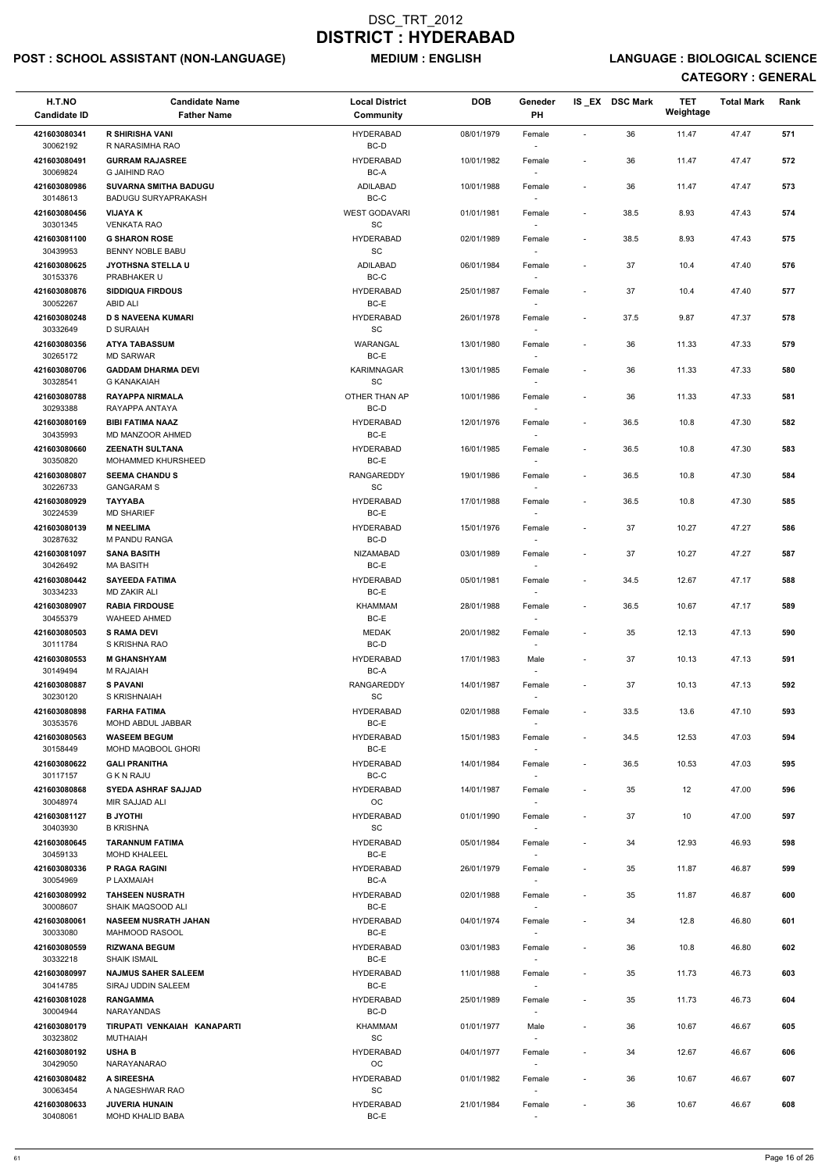## POST : SCHOOL ASSISTANT (NON-LANGUAGE) MEDIUM : ENGLISH LANGUAGE : BIOLOGICAL SCIENCE

| H.T.NO<br><b>Candidate ID</b> | <b>Candidate Name</b><br><b>Father Name</b>          | <b>Local District</b><br>Community               | <b>DOB</b> | Geneder<br>PH                      |                          | IS_EX DSC Mark | <b>TET</b><br>Weightage | <b>Total Mark</b> | Rank |
|-------------------------------|------------------------------------------------------|--------------------------------------------------|------------|------------------------------------|--------------------------|----------------|-------------------------|-------------------|------|
| 421603080341<br>30062192      | <b>R SHIRISHA VANI</b>                               | <b>HYDERABAD</b>                                 | 08/01/1979 | Female                             | $\sim$                   | 36             | 11.47                   | 47.47             | 571  |
| 421603080491                  | R NARASIMHA RAO<br><b>GURRAM RAJASREE</b>            | BC-D<br><b>HYDERABAD</b>                         | 10/01/1982 | Female                             | $\overline{\phantom{a}}$ | 36             | 11.47                   | 47.47             | 572  |
| 30069824<br>421603080986      | <b>G JAIHIND RAO</b><br><b>SUVARNA SMITHA BADUGU</b> | BC-A<br>ADILABAD                                 | 10/01/1988 | Female                             | $\overline{\phantom{a}}$ | 36             | 11.47                   | 47.47             | 573  |
| 30148613<br>421603080456      | <b>BADUGU SURYAPRAKASH</b><br><b>VIJAYA K</b>        | BC-C<br><b>WEST GODAVARI</b>                     | 01/01/1981 | Female                             | $\sim$                   | 38.5           | 8.93                    | 47.43             | 574  |
| 30301345<br>421603081100      | <b>VENKATA RAO</b><br><b>G SHARON ROSE</b>           | $\operatorname{\textsf{SC}}$<br><b>HYDERABAD</b> | 02/01/1989 | $\sim$<br>Female                   | $\overline{\phantom{a}}$ | 38.5           | 8.93                    | 47.43             | 575  |
| 30439953                      | BENNY NOBLE BABU                                     | SC                                               |            | $\sim$                             |                          |                |                         |                   |      |
| 421603080625<br>30153376      | <b>JYOTHSNA STELLA U</b><br>PRABHAKER U              | ADILABAD<br>BC-C                                 | 06/01/1984 | Female<br>$\sim$                   | $\overline{\phantom{a}}$ | 37             | 10.4                    | 47.40             | 576  |
| 421603080876<br>30052267      | <b>SIDDIQUA FIRDOUS</b><br>ABID ALI                  | <b>HYDERABAD</b><br>BC-E                         | 25/01/1987 | Female                             |                          | 37             | 10.4                    | 47.40             | 577  |
| 421603080248<br>30332649      | <b>D S NAVEENA KUMARI</b><br><b>D SURAIAH</b>        | <b>HYDERABAD</b><br>SC                           | 26/01/1978 | Female<br>$\sim$                   | $\sim$                   | 37.5           | 9.87                    | 47.37             | 578  |
| 421603080356<br>30265172      | <b>ATYA TABASSUM</b><br><b>MD SARWAR</b>             | WARANGAL<br>BC-E                                 | 13/01/1980 | Female<br>$\sim$                   |                          | 36             | 11.33                   | 47.33             | 579  |
| 421603080706                  | <b>GADDAM DHARMA DEVI</b>                            | <b>KARIMNAGAR</b>                                | 13/01/1985 | Female                             | $\overline{\phantom{a}}$ | 36             | 11.33                   | 47.33             | 580  |
| 30328541<br>421603080788      | <b>G KANAKAIAH</b><br><b>RAYAPPA NIRMALA</b>         | <b>SC</b><br>OTHER THAN AP                       | 10/01/1986 |                                    |                          | 36             | 11.33                   | 47.33             | 581  |
| 30293388                      | RAYAPPA ANTAYA                                       | BC-D                                             |            | Female                             |                          |                |                         |                   |      |
| 421603080169<br>30435993      | <b>BIBI FATIMA NAAZ</b><br>MD MANZOOR AHMED          | <b>HYDERABAD</b><br>BC-E                         | 12/01/1976 | Female                             | $\sim$                   | 36.5           | 10.8                    | 47.30             | 582  |
| 421603080660<br>30350820      | <b>ZEENATH SULTANA</b><br>MOHAMMED KHURSHEED         | <b>HYDERABAD</b><br>BC-E                         | 16/01/1985 | Female<br>$\sim$                   | $\sim$                   | 36.5           | 10.8                    | 47.30             | 583  |
| 421603080807                  | <b>SEEMA CHANDUS</b>                                 | <b>RANGAREDDY</b>                                | 19/01/1986 | Female                             | $\sim$                   | 36.5           | 10.8                    | 47.30             | 584  |
| 30226733<br>421603080929      | <b>GANGARAM S</b><br><b>TAYYABA</b>                  | SC<br><b>HYDERABAD</b>                           | 17/01/1988 | $\sim$<br>Female                   | $\sim$                   | 36.5           | 10.8                    | 47.30             | 585  |
| 30224539<br>421603080139      | <b>MD SHARIEF</b><br><b>M NEELIMA</b>                | BC-E<br><b>HYDERABAD</b>                         | 15/01/1976 | Female                             |                          | 37             | 10.27                   | 47.27             | 586  |
| 30287632<br>421603081097      | M PANDU RANGA<br><b>SANA BASITH</b>                  | BC-D<br><b>NIZAMABAD</b>                         | 03/01/1989 | Female                             |                          | 37             | 10.27                   | 47.27             | 587  |
| 30426492<br>421603080442      | <b>MA BASITH</b><br><b>SAYEEDA FATIMA</b>            | BC-E<br><b>HYDERABAD</b>                         | 05/01/1981 | $\sim$<br>Female                   | $\overline{\phantom{a}}$ | 34.5           | 12.67                   | 47.17             | 588  |
| 30334233                      | <b>MD ZAKIR ALI</b>                                  | BC-E                                             |            |                                    |                          |                |                         |                   |      |
| 421603080907<br>30455379      | <b>RABIA FIRDOUSE</b><br><b>WAHEED AHMED</b>         | <b>KHAMMAM</b><br>BC-E                           | 28/01/1988 | Female                             | $\overline{\phantom{a}}$ | 36.5           | 10.67                   | 47.17             | 589  |
| 421603080503<br>30111784      | <b>S RAMA DEVI</b><br>S KRISHNA RAO                  | <b>MEDAK</b><br>BC-D                             | 20/01/1982 | Female                             |                          | 35             | 12.13                   | 47.13             | 590  |
| 421603080553<br>30149494      | <b>M GHANSHYAM</b><br>M RAJAIAH                      | <b>HYDERABAD</b><br>BC-A                         | 17/01/1983 | Male<br>$\sim$                     | $\overline{\phantom{a}}$ | 37             | 10.13                   | 47.13             | 591  |
| 421603080887                  | <b>S PAVANI</b>                                      | <b>RANGAREDDY</b>                                | 14/01/1987 | Female                             | $\overline{\phantom{a}}$ | 37             | 10.13                   | 47.13             | 592  |
| 30230120<br>421603080898      | S KRISHNAIAH<br><b>FARHA FATIMA</b>                  | SC<br><b>HYDERABAD</b>                           | 02/01/1988 | Female                             | $\overline{\phantom{a}}$ | 33.5           | 13.6                    | 47.10             | 593  |
| 30353576                      | MOHD ABDUL JABBAR                                    | BC-E                                             |            |                                    |                          |                |                         |                   |      |
| 421603080563<br>30158449      | <b>WASEEM BEGUM</b><br>MOHD MAQBOOL GHORI            | <b>HYDERABAD</b><br>BC-E                         | 15/01/1983 | Female<br>$\sim$                   | $\sim$                   | 34.5           | 12.53                   | 47.03             | 594  |
| 421603080622<br>30117157      | <b>GALI PRANITHA</b><br><b>G K N RAJU</b>            | <b>HYDERABAD</b><br>BC-C                         | 14/01/1984 | Female<br>$\sim$                   | $\overline{\phantom{a}}$ | 36.5           | 10.53                   | 47.03             | 595  |
| 421603080868<br>30048974      | <b>SYEDA ASHRAF SAJJAD</b><br>MIR SAJJAD ALI         | <b>HYDERABAD</b><br><b>OC</b>                    | 14/01/1987 | Female                             | $\overline{\phantom{a}}$ | 35             | 12                      | 47.00             | 596  |
| 421603081127<br>30403930      | <b>B JYOTHI</b><br>B KRISHNA                         | <b>HYDERABAD</b><br><b>SC</b>                    | 01/01/1990 | Female                             |                          | 37             | 10                      | 47.00             | 597  |
| 421603080645<br>30459133      | <b>TARANNUM FATIMA</b><br><b>MOHD KHALEEL</b>        | <b>HYDERABAD</b><br>BC-E                         | 05/01/1984 | Female                             | $\overline{\phantom{a}}$ | 34             | 12.93                   | 46.93             | 598  |
| 421603080336                  | <b>P RAGA RAGINI</b>                                 | <b>HYDERABAD</b>                                 | 26/01/1979 | Female                             | $\overline{\phantom{a}}$ | 35             | 11.87                   | 46.87             | 599  |
| 30054969<br>421603080992      | P LAXMAIAH<br><b>TAHSEEN NUSRATH</b>                 | BC-A<br><b>HYDERABAD</b>                         | 02/01/1988 | $\sim$                             | $\sim$                   | 35             | 11.87                   | 46.87             | 600  |
| 30008607                      | SHAIK MAQSOOD ALI                                    | BC-E                                             |            | Female<br>$\sim$                   |                          |                |                         |                   |      |
| 421603080061<br>30033080      | <b>NASEEM NUSRATH JAHAN</b><br>MAHMOOD RASOOL        | <b>HYDERABAD</b><br>BC-E                         | 04/01/1974 | Female                             | $\overline{\phantom{a}}$ | 34             | 12.8                    | 46.80             | 601  |
| 421603080559                  | <b>RIZWANA BEGUM</b>                                 | <b>HYDERABAD</b>                                 | 03/01/1983 | Female                             | $\overline{\phantom{a}}$ | 36             | 10.8                    | 46.80             | 602  |
| 30332218<br>421603080997      | SHAIK ISMAIL<br><b>NAJMUS SAHER SALEEM</b>           | BC-E<br><b>HYDERABAD</b>                         | 11/01/1988 | Female                             | $\sim$                   | 35             | 11.73                   | 46.73             | 603  |
| 30414785                      | SIRAJ UDDIN SALEEM                                   | BC-E                                             |            | $\sim$                             |                          |                |                         |                   |      |
| 421603081028<br>30004944      | <b>RANGAMMA</b><br><b>NARAYANDAS</b>                 | <b>HYDERABAD</b><br>BC-D                         | 25/01/1989 | Female                             |                          | 35             | 11.73                   | 46.73             | 604  |
| 421603080179<br>30323802      | TIRUPATI VENKAIAH KANAPARTI<br><b>MUTHAIAH</b>       | KHAMMAM<br><b>SC</b>                             | 01/01/1977 | Male<br>$\overline{\phantom{a}}$   | $\overline{\phantom{a}}$ | 36             | 10.67                   | 46.67             | 605  |
| 421603080192                  | <b>USHA B</b>                                        | <b>HYDERABAD</b>                                 | 04/01/1977 | Female                             |                          | 34             | 12.67                   | 46.67             | 606  |
| 30429050<br>421603080482      | NARAYANARAO<br>A SIREESHA                            | OC<br><b>HYDERABAD</b>                           | 01/01/1982 | $\overline{\phantom{a}}$<br>Female | $\overline{\phantom{a}}$ | 36             | 10.67                   | 46.67             | 607  |
| 30063454<br>421603080633      | A NAGESHWAR RAO<br><b>JUVERIA HUNAIN</b>             | SC<br><b>HYDERABAD</b>                           | 21/01/1984 | $\sim$<br>Female                   |                          | 36             | 10.67                   | 46.67             | 608  |
| 30408061                      | MOHD KHALID BABA                                     | BC-E                                             |            |                                    |                          |                |                         |                   |      |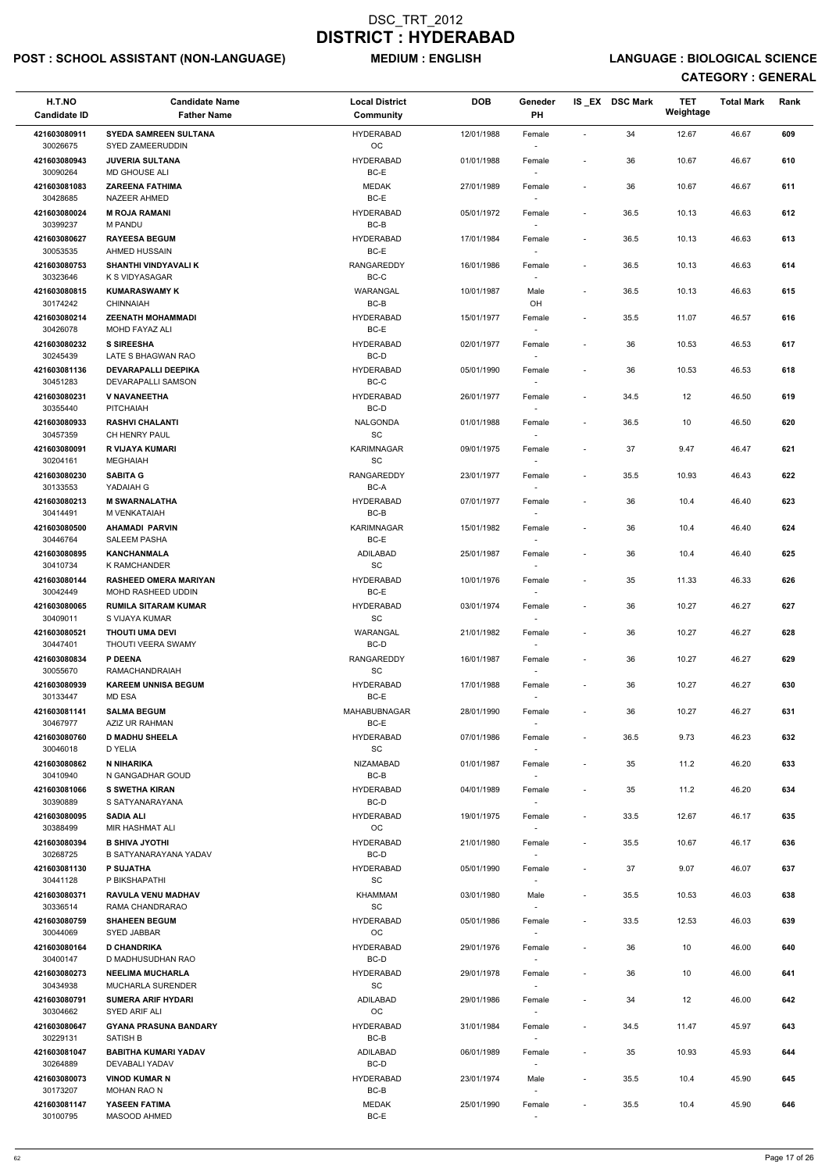## POST : SCHOOL ASSISTANT (NON-LANGUAGE) MEDIUM : ENGLISH LANGUAGE : BIOLOGICAL SCIENCE

| H.T.NO<br><b>Candidate ID</b> | <b>Candidate Name</b><br><b>Father Name</b>        | <b>Local District</b><br>Community              | <b>DOB</b> | Geneder<br>PH                      |                              | IS_EX DSC Mark | <b>TET</b><br>Weightage | <b>Total Mark</b> | Rank |
|-------------------------------|----------------------------------------------------|-------------------------------------------------|------------|------------------------------------|------------------------------|----------------|-------------------------|-------------------|------|
| 421603080911<br>30026675      | <b>SYEDA SAMREEN SULTANA</b><br>SYED ZAMEERUDDIN   | <b>HYDERABAD</b><br>OC                          | 12/01/1988 | Female                             | $\sim$                       | 34             | 12.67                   | 46.67             | 609  |
| 421603080943                  | <b>JUVERIA SULTANA</b>                             | <b>HYDERABAD</b>                                | 01/01/1988 | Female                             | $\overline{\phantom{a}}$     | 36             | 10.67                   | 46.67             | 610  |
| 30090264<br>421603081083      | <b>MD GHOUSE ALI</b><br><b>ZAREENA FATHIMA</b>     | BC-E<br><b>MEDAK</b>                            | 27/01/1989 | Female                             | $\sim$                       | 36             | 10.67                   | 46.67             | 611  |
| 30428685<br>421603080024      | NAZEER AHMED<br><b>M ROJA RAMANI</b>               | $BC-E$<br><b>HYDERABAD</b>                      | 05/01/1972 | Female                             | $\overline{\phantom{a}}$     | 36.5           | 10.13                   | 46.63             | 612  |
| 30399237                      | <b>M PANDU</b>                                     | BC-B                                            |            |                                    |                              |                |                         |                   |      |
| 421603080627<br>30053535      | <b>RAYEESA BEGUM</b><br>AHMED HUSSAIN              | <b>HYDERABAD</b><br>BC-E                        | 17/01/1984 | Female<br>$\overline{\phantom{a}}$ | $\blacksquare$               | 36.5           | 10.13                   | 46.63             | 613  |
| 421603080753<br>30323646      | <b>SHANTHI VINDYAVALI K</b><br>K S VIDYASAGAR      | <b>RANGAREDDY</b><br>BC-C                       | 16/01/1986 | Female                             | $\overline{\phantom{a}}$     | 36.5           | 10.13                   | 46.63             | 614  |
| 421603080815<br>30174242      | <b>KUMARASWAMY K</b><br><b>CHINNAIAH</b>           | WARANGAL<br>$BC-B$                              | 10/01/1987 | Male<br>OH                         | $\sim$                       | 36.5           | 10.13                   | 46.63             | 615  |
| 421603080214<br>30426078      | <b>ZEENATH MOHAMMADI</b><br>MOHD FAYAZ ALI         | <b>HYDERABAD</b><br>BC-E                        | 15/01/1977 | Female<br>$\sim$                   | $\overline{\phantom{a}}$     | 35.5           | 11.07                   | 46.57             | 616  |
| 421603080232                  | <b>S SIREESHA</b>                                  | <b>HYDERABAD</b>                                | 02/01/1977 | Female                             | $\overline{\phantom{a}}$     | 36             | 10.53                   | 46.53             | 617  |
| 30245439<br>421603081136      | LATE S BHAGWAN RAO<br><b>DEVARAPALLI DEEPIKA</b>   | BC-D<br><b>HYDERABAD</b>                        | 05/01/1990 | $\overline{\phantom{a}}$<br>Female | $\overline{\phantom{a}}$     | 36             | 10.53                   | 46.53             | 618  |
| 30451283                      | DEVARAPALLI SAMSON                                 | BC-C                                            |            |                                    |                              |                |                         |                   |      |
| 421603080231<br>30355440      | <b>V NAVANEETHA</b><br>PITCHAIAH                   | <b>HYDERABAD</b><br>$BC-D$                      | 26/01/1977 | Female                             | $\blacksquare$               | 34.5           | 12                      | 46.50             | 619  |
| 421603080933<br>30457359      | <b>RASHVI CHALANTI</b><br>CH HENRY PAUL            | <b>NALGONDA</b><br>$\operatorname{\textsf{SC}}$ | 01/01/1988 | Female<br>$\overline{\phantom{a}}$ | $\overline{\phantom{a}}$     | 36.5           | 10                      | 46.50             | 620  |
| 421603080091<br>30204161      | R VIJAYA KUMARI<br><b>MEGHAIAH</b>                 | <b>KARIMNAGAR</b><br><b>SC</b>                  | 09/01/1975 | Female<br>$\overline{\phantom{a}}$ | $\overline{\phantom{a}}$     | 37             | 9.47                    | 46.47             | 621  |
| 421603080230                  | <b>SABITA G</b>                                    | <b>RANGAREDDY</b>                               | 23/01/1977 | Female                             | $\overline{\phantom{a}}$     | 35.5           | 10.93                   | 46.43             | 622  |
| 30133553<br>421603080213      | YADAIAH G<br><b>M SWARNALATHA</b>                  | BC-A<br><b>HYDERABAD</b>                        | 07/01/1977 | Female                             | $\overline{\phantom{a}}$     | 36             | 10.4                    | 46.40             | 623  |
| 30414491<br>421603080500      | M VENKATAIAH<br><b>AHAMADI PARVIN</b>              | BC-B<br>KARIMNAGAR                              | 15/01/1982 | Female                             | $\overline{\phantom{a}}$     | 36             | 10.4                    | 46.40             | 624  |
| 30446764                      | <b>SALEEM PASHA</b>                                | BC-E                                            |            | $\overline{\phantom{a}}$           |                              |                |                         |                   |      |
| 421603080895<br>30410734      | <b>KANCHANMALA</b><br><b>K RAMCHANDER</b>          | ADILABAD<br>SC                                  | 25/01/1987 | Female<br>$\overline{\phantom{a}}$ |                              | 36             | 10.4                    | 46.40             | 625  |
| 421603080144<br>30042449      | <b>RASHEED OMERA MARIYAN</b><br>MOHD RASHEED UDDIN | <b>HYDERABAD</b><br>BC-E                        | 10/01/1976 | Female                             | $\overline{\phantom{a}}$     | 35             | 11.33                   | 46.33             | 626  |
| 421603080065<br>30409011      | <b>RUMILA SITARAM KUMAR</b><br>S VIJAYA KUMAR      | <b>HYDERABAD</b><br>SC                          | 03/01/1974 | Female                             | $\overline{\phantom{a}}$     | 36             | 10.27                   | 46.27             | 627  |
| 421603080521<br>30447401      | <b>THOUTI UMA DEVI</b><br>THOUTI VEERA SWAMY       | WARANGAL<br>BC-D                                | 21/01/1982 | Female                             | $\overline{\phantom{a}}$     | 36             | 10.27                   | 46.27             | 628  |
| 421603080834<br>30055670      | <b>P DEENA</b><br><b>RAMACHANDRAIAH</b>            | <b>RANGAREDDY</b><br>SC                         | 16/01/1987 | Female<br>$\sim$                   | $\overline{\phantom{a}}$     | 36             | 10.27                   | 46.27             | 629  |
| 421603080939                  | <b>KAREEM UNNISA BEGUM</b>                         | <b>HYDERABAD</b><br>BC-E                        | 17/01/1988 | Female                             | $\qquad \qquad \blacksquare$ | 36             | 10.27                   | 46.27             | 630  |
| 30133447<br>421603081141      | <b>MD ESA</b><br><b>SALMA BEGUM</b>                | MAHABUBNAGAR                                    | 28/01/1990 | Female                             | $\overline{\phantom{a}}$     | 36             | 10.27                   | 46.27             | 631  |
| 30467977<br>421603080760      | AZIZ UR RAHMAN<br><b>D MADHU SHEELA</b>            | BC-E<br><b>HYDERABAD</b>                        | 07/01/1986 | Female                             | $\overline{\phantom{a}}$     | 36.5           | 9.73                    | 46.23             | 632  |
| 30046018<br>421603080862      | D YELIA<br>N NIHARIKA                              | SC<br><b>NIZAMABAD</b>                          | 01/01/1987 | $\sim$<br>Female                   | $\overline{\phantom{a}}$     | 35             | 11.2                    | 46.20             | 633  |
| 30410940                      | N GANGADHAR GOUD                                   | BC-B                                            |            | $\sim$                             |                              |                |                         |                   |      |
| 421603081066<br>30390889      | <b>S SWETHA KIRAN</b><br>S SATYANARAYANA           | <b>HYDERABAD</b><br>BC-D                        | 04/01/1989 | Female                             | $\overline{\phantom{a}}$     | 35             | 11.2                    | 46.20             | 634  |
| 421603080095<br>30388499      | <b>SADIA ALI</b><br>MIR HASHMAT ALI                | <b>HYDERABAD</b><br>OC                          | 19/01/1975 | Female                             | $\overline{\phantom{a}}$     | 33.5           | 12.67                   | 46.17             | 635  |
| 421603080394<br>30268725      | <b>B SHIVA JYOTHI</b><br>B SATYANARAYANA YADAV     | <b>HYDERABAD</b><br>BC-D                        | 21/01/1980 | Female<br>$\overline{\phantom{a}}$ | $\blacksquare$               | 35.5           | 10.67                   | 46.17             | 636  |
| 421603081130                  | <b>P SUJATHA</b>                                   | <b>HYDERABAD</b>                                | 05/01/1990 | Female                             | $\overline{\phantom{a}}$     | 37             | 9.07                    | 46.07             | 637  |
| 30441128<br>421603080371      | P BIKSHAPATHI<br><b>RAVULA VENU MADHAV</b>         | SC<br>KHAMMAM                                   | 03/01/1980 | $\sim$<br>Male                     | $\blacksquare$               | 35.5           | 10.53                   | 46.03             | 638  |
| 30336514                      | RAMA CHANDRARAO                                    | SC                                              |            | $\overline{\phantom{a}}$           |                              |                |                         |                   |      |
| 421603080759<br>30044069      | <b>SHAHEEN BEGUM</b><br>SYED JABBAR                | <b>HYDERABAD</b><br>OC                          | 05/01/1986 | Female                             | $\overline{\phantom{a}}$     | 33.5           | 12.53                   | 46.03             | 639  |
| 421603080164                  | <b>D CHANDRIKA</b><br>D MADHUSUDHAN RAO            | <b>HYDERABAD</b><br>BC-D                        | 29/01/1976 | Female                             | $\overline{\phantom{a}}$     | 36             | 10                      | 46.00             | 640  |
| 30400147<br>421603080273      | <b>NEELIMA MUCHARLA</b>                            | <b>HYDERABAD</b>                                | 29/01/1978 | Female                             | $\overline{\phantom{a}}$     | 36             | 10                      | 46.00             | 641  |
| 30434938<br>421603080791      | MUCHARLA SURENDER<br><b>SUMERA ARIF HYDARI</b>     | $\operatorname{\textsf{SC}}$<br><b>ADILABAD</b> | 29/01/1986 | $\overline{\phantom{a}}$<br>Female | $\overline{\phantom{a}}$     | 34             | 12                      | 46.00             | 642  |
| 30304662<br>421603080647      | SYED ARIF ALI<br><b>GYANA PRASUNA BANDARY</b>      | OC<br><b>HYDERABAD</b>                          | 31/01/1984 |                                    | $\overline{\phantom{a}}$     | 34.5           | 11.47                   | 45.97             | 643  |
| 30229131                      | SATISH B                                           | BC-B                                            |            | Female<br>$\overline{\phantom{a}}$ |                              |                |                         |                   |      |
| 421603081047<br>30264889      | <b>BABITHA KUMARI YADAV</b><br>DEVABALI YADAV      | ADILABAD<br>BC-D                                | 06/01/1989 | Female<br>$\overline{\phantom{a}}$ | $\overline{\phantom{a}}$     | 35             | 10.93                   | 45.93             | 644  |
| 421603080073<br>30173207      | <b>VINOD KUMAR N</b><br><b>MOHAN RAO N</b>         | <b>HYDERABAD</b><br>BC-B                        | 23/01/1974 | Male<br>$\sim$                     | $\overline{\phantom{a}}$     | 35.5           | 10.4                    | 45.90             | 645  |
| 421603081147<br>30100795      | YASEEN FATIMA<br>MASOOD AHMED                      | <b>MEDAK</b><br>$BC-E$                          | 25/01/1990 | Female                             | $\overline{\phantom{a}}$     | 35.5           | 10.4                    | 45.90             | 646  |
|                               |                                                    |                                                 |            |                                    |                              |                |                         |                   |      |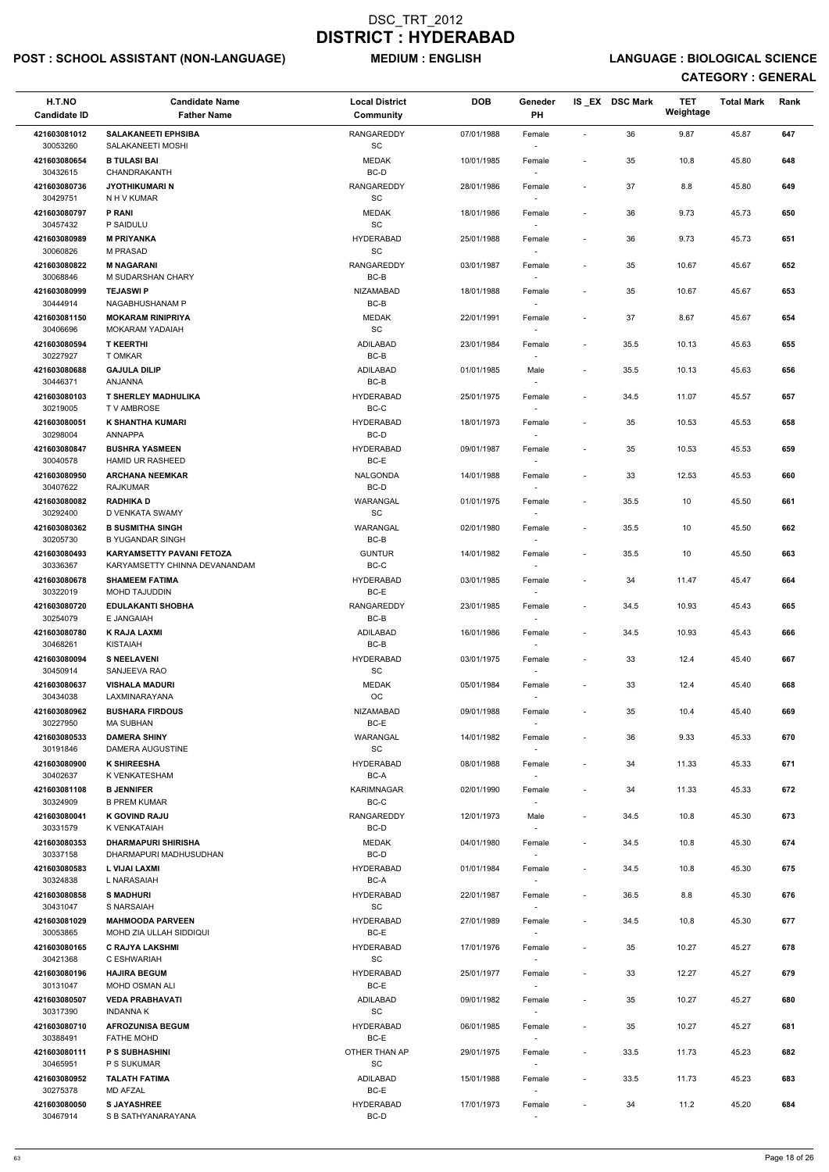## POST : SCHOOL ASSISTANT (NON-LANGUAGE) MEDIUM : ENGLISH LANGUAGE : BIOLOGICAL SCIENCE

| H.T.NO<br><b>Candidate ID</b> | <b>Candidate Name</b><br><b>Father Name</b>                 | <b>Local District</b><br>Community         | <b>DOB</b> | Geneder<br>PH                      |                          | IS EX DSC Mark | <b>TET</b><br>Weightage | <b>Total Mark</b> | Rank |
|-------------------------------|-------------------------------------------------------------|--------------------------------------------|------------|------------------------------------|--------------------------|----------------|-------------------------|-------------------|------|
| 421603081012<br>30053260      | <b>SALAKANEETI EPHSIBA</b><br>SALAKANEETI MOSHI             | RANGAREDDY<br>$\operatorname{\textsf{SC}}$ | 07/01/1988 | Female                             | $\sim$                   | 36             | 9.87                    | 45.87             | 647  |
| 421603080654<br>30432615      | <b>B TULASI BAI</b><br>CHANDRAKANTH                         | <b>MEDAK</b><br>BC-D                       | 10/01/1985 | Female                             | $\overline{\phantom{a}}$ | 35             | 10.8                    | 45.80             | 648  |
| 421603080736                  | <b>JYOTHIKUMARI N</b>                                       | RANGAREDDY                                 | 28/01/1986 | Female                             | $\overline{\phantom{a}}$ | 37             | 8.8                     | 45.80             | 649  |
| 30429751<br>421603080797      | N H V KUMAR<br><b>P RANI</b>                                | SC<br>MEDAK                                | 18/01/1986 | $\overline{\phantom{a}}$<br>Female | $\overline{\phantom{a}}$ | 36             | 9.73                    | 45.73             | 650  |
| 30457432                      | P SAIDULU                                                   | $\operatorname{\textsf{SC}}$               |            | $\overline{\phantom{a}}$           |                          |                |                         |                   |      |
| 421603080989<br>30060826      | <b>M PRIYANKA</b><br><b>M PRASAD</b>                        | <b>HYDERABAD</b><br>SC                     | 25/01/1988 | Female<br>$\overline{\phantom{a}}$ |                          | 36             | 9.73                    | 45.73             | 651  |
| 421603080822<br>30068846      | <b>M NAGARANI</b><br>M SUDARSHAN CHARY                      | <b>RANGAREDDY</b><br>BC-B                  | 03/01/1987 | Female                             |                          | 35             | 10.67                   | 45.67             | 652  |
| 421603080999<br>30444914      | <b>TEJASWI P</b><br>NAGABHUSHANAM P                         | <b>NIZAMABAD</b><br>$BC-B$                 | 18/01/1988 | Female                             | $\overline{\phantom{a}}$ | 35             | 10.67                   | 45.67             | 653  |
| 421603081150<br>30406696      | <b>MOKARAM RINIPRIYA</b><br><b>MOKARAM YADAIAH</b>          | MEDAK<br>$\operatorname{\textsf{SC}}$      | 22/01/1991 | Female<br>$\overline{\phantom{a}}$ |                          | 37             | 8.67                    | 45.67             | 654  |
| 421603080594<br>30227927      | <b>T KEERTHI</b><br>T OMKAR                                 | ADILABAD<br>$BC-B$                         | 23/01/1984 | Female<br>$\overline{\phantom{a}}$ | $\blacksquare$           | 35.5           | 10.13                   | 45.63             | 655  |
| 421603080688<br>30446371      | <b>GAJULA DILIP</b><br>ANJANNA                              | ADILABAD<br>BC-B                           | 01/01/1985 | Male                               |                          | 35.5           | 10.13                   | 45.63             | 656  |
| 421603080103<br>30219005      | <b>T SHERLEY MADHULIKA</b><br>T V AMBROSE                   | <b>HYDERABAD</b><br>BC-C                   | 25/01/1975 | Female                             | $\overline{\phantom{a}}$ | 34.5           | 11.07                   | 45.57             | 657  |
| 421603080051                  | <b>K SHANTHA KUMARI</b>                                     | <b>HYDERABAD</b>                           | 18/01/1973 | Female                             |                          | 35             | 10.53                   | 45.53             | 658  |
| 30298004<br>421603080847      | ANNAPPA<br><b>BUSHRA YASMEEN</b>                            | BC-D<br><b>HYDERABAD</b>                   | 09/01/1987 | $\sim$<br>Female                   |                          | 35             | 10.53                   | 45.53             | 659  |
| 30040578<br>421603080950      | <b>HAMID UR RASHEED</b><br><b>ARCHANA NEEMKAR</b>           | BC-E<br><b>NALGONDA</b>                    | 14/01/1988 | $\overline{\phantom{a}}$<br>Female | $\blacksquare$           | 33             | 12.53                   | 45.53             | 660  |
| 30407622<br>421603080082      | <b>RAJKUMAR</b><br><b>RADHIKA D</b>                         | BC-D<br>WARANGAL                           | 01/01/1975 | $\sim$<br>Female                   | $\overline{\phantom{a}}$ | 35.5           | 10                      | 45.50             | 661  |
| 30292400<br>421603080362      | D VENKATA SWAMY<br><b>B SUSMITHA SINGH</b>                  | $\operatorname{\textsf{SC}}$<br>WARANGAL   | 02/01/1980 | Female                             | $\blacksquare$           | 35.5           | 10                      | 45.50             | 662  |
| 30205730<br>421603080493      | <b>B YUGANDAR SINGH</b><br><b>KARYAMSETTY PAVANI FETOZA</b> | BC-B<br><b>GUNTUR</b>                      | 14/01/1982 | $\overline{\phantom{a}}$<br>Female |                          | 35.5           | 10                      | 45.50             | 663  |
| 30336367                      | KARYAMSETTY CHINNA DEVANANDAM                               | BC-C                                       |            |                                    |                          |                |                         |                   |      |
| 421603080678<br>30322019      | <b>SHAMEEM FATIMA</b><br><b>MOHD TAJUDDIN</b>               | <b>HYDERABAD</b><br>BC-E                   | 03/01/1985 | Female                             | $\overline{\phantom{a}}$ | 34             | 11.47                   | 45.47             | 664  |
| 421603080720<br>30254079      | <b>EDULAKANTI SHOBHA</b><br>E JANGAIAH                      | <b>RANGAREDDY</b><br>BC-B                  | 23/01/1985 | Female<br>$\sim$                   | $\overline{\phantom{a}}$ | 34.5           | 10.93                   | 45.43             | 665  |
| 421603080780<br>30468261      | <b>K RAJA LAXMI</b><br>KISTAIAH                             | ADILABAD<br>BC-B                           | 16/01/1986 | Female<br>$\sim$                   | $\overline{\phantom{a}}$ | 34.5           | 10.93                   | 45.43             | 666  |
| 421603080094<br>30450914      | <b>S NEELAVENI</b><br>SANJEEVA RAO                          | <b>HYDERABAD</b><br>SC                     | 03/01/1975 | Female<br>$\sim$                   |                          | 33             | 12.4                    | 45.40             | 667  |
| 421603080637                  | <b>VISHALA MADURI</b>                                       | <b>MEDAK</b>                               | 05/01/1984 | Female                             |                          | 33             | 12.4                    | 45.40             | 668  |
| 30434038<br>421603080962      | LAXMINARAYANA<br><b>BUSHARA FIRDOUS</b>                     | OC<br>NIZAMABAD                            | 09/01/1988 | Female                             | $\overline{\phantom{a}}$ | 35             | 10.4                    | 45.40             | 669  |
| 30227950                      | <b>MA SUBHAN</b>                                            | BC-E                                       |            | $\overline{\phantom{a}}$           |                          |                |                         |                   |      |
| 421603080533<br>30191846      | <b>DAMERA SHINY</b><br>DAMERA AUGUSTINE                     | WARANGAL<br>SC                             | 14/01/1982 | Female<br>$\overline{\phantom{a}}$ |                          | 36             | 9.33                    | 45.33             | 670  |
| 421603080900<br>30402637      | <b>K SHIREESHA</b><br>K VENKATESHAM                         | <b>HYDERABAD</b><br>BC-A                   | 08/01/1988 | Female<br>$\overline{\phantom{a}}$ |                          | 34             | 11.33                   | 45.33             | 671  |
| 421603081108<br>30324909      | <b>B JENNIFER</b><br><b>B PREM KUMAR</b>                    | <b>KARIMNAGAR</b><br>BC-C                  | 02/01/1990 | Female                             |                          | 34             | 11.33                   | 45.33             | 672  |
| 421603080041<br>30331579      | <b>K GOVIND RAJU</b><br>K VENKATAIAH                        | <b>RANGAREDDY</b><br>BC-D                  | 12/01/1973 | Male                               | $\overline{\phantom{a}}$ | 34.5           | 10.8                    | 45.30             | 673  |
| 421603080353<br>30337158      | <b>DHARMAPURI SHIRISHA</b><br>DHARMAPURI MADHUSUDHAN        | MEDAK<br>BC-D                              | 04/01/1980 | Female<br>$\overline{\phantom{a}}$ |                          | 34.5           | 10.8                    | 45.30             | 674  |
| 421603080583<br>30324838      | L VIJAI LAXMI<br>L NARASAIAH                                | <b>HYDERABAD</b><br>BC-A                   | 01/01/1984 | Female<br>$\overline{\phantom{a}}$ | $\overline{\phantom{a}}$ | 34.5           | 10.8                    | 45.30             | 675  |
| 421603080858<br>30431047      | <b>S MADHURI</b><br>S NARSAIAH                              | <b>HYDERABAD</b><br>SC                     | 22/01/1987 | Female                             | $\blacksquare$           | 36.5           | 8.8                     | 45.30             | 676  |
| 421603081029                  | <b>MAHMOODA PARVEEN</b>                                     | <b>HYDERABAD</b>                           | 27/01/1989 | $\overline{\phantom{a}}$<br>Female | $\overline{\phantom{a}}$ | 34.5           | 10.8                    | 45.30             | 677  |
| 30053865                      | MOHD ZIA ULLAH SIDDIQUI                                     | BC-E                                       |            |                                    |                          |                |                         |                   |      |
| 421603080165<br>30421368      | C RAJYA LAKSHMI<br>C ESHWARIAH                              | <b>HYDERABAD</b><br>SC                     | 17/01/1976 | Female<br>$\overline{\phantom{a}}$ | $\overline{\phantom{a}}$ | 35             | 10.27                   | 45.27             | 678  |
| 421603080196<br>30131047      | <b>HAJIRA BEGUM</b><br>MOHD OSMAN ALI                       | <b>HYDERABAD</b><br>BC-E                   | 25/01/1977 | Female<br>$\overline{\phantom{a}}$ |                          | 33             | 12.27                   | 45.27             | 679  |
| 421603080507<br>30317390      | <b>VEDA PRABHAVATI</b><br>INDANNA K                         | <b>ADILABAD</b><br>SC                      | 09/01/1982 | Female                             |                          | 35             | 10.27                   | 45.27             | 680  |
| 421603080710                  | <b>AFROZUNISA BEGUM</b><br><b>FATHE MOHD</b>                | <b>HYDERABAD</b>                           | 06/01/1985 | Female                             | $\overline{\phantom{a}}$ | 35             | 10.27                   | 45.27             | 681  |
| 30388491<br>421603080111      | <b>P S SUBHASHINI</b>                                       | BC-E<br>OTHER THAN AP                      | 29/01/1975 | $\overline{\phantom{a}}$<br>Female | $\overline{\phantom{a}}$ | 33.5           | 11.73                   | 45.23             | 682  |
| 30465951<br>421603080952      | P S SUKUMAR<br><b>TALATH FATIMA</b>                         | SC<br>ADILABAD                             | 15/01/1988 | $\overline{\phantom{a}}$<br>Female |                          | 33.5           | 11.73                   | 45.23             | 683  |
| 30275378<br>421603080050      | <b>MD AFZAL</b><br><b>S JAYASHREE</b>                       | BC-E<br><b>HYDERABAD</b>                   | 17/01/1973 | $\overline{\phantom{a}}$<br>Female |                          | 34             | 11.2                    | 45.20             | 684  |
| 30467914                      | S B SATHYANARAYANA                                          | $BC-D$                                     |            | $\sim$                             |                          |                |                         |                   |      |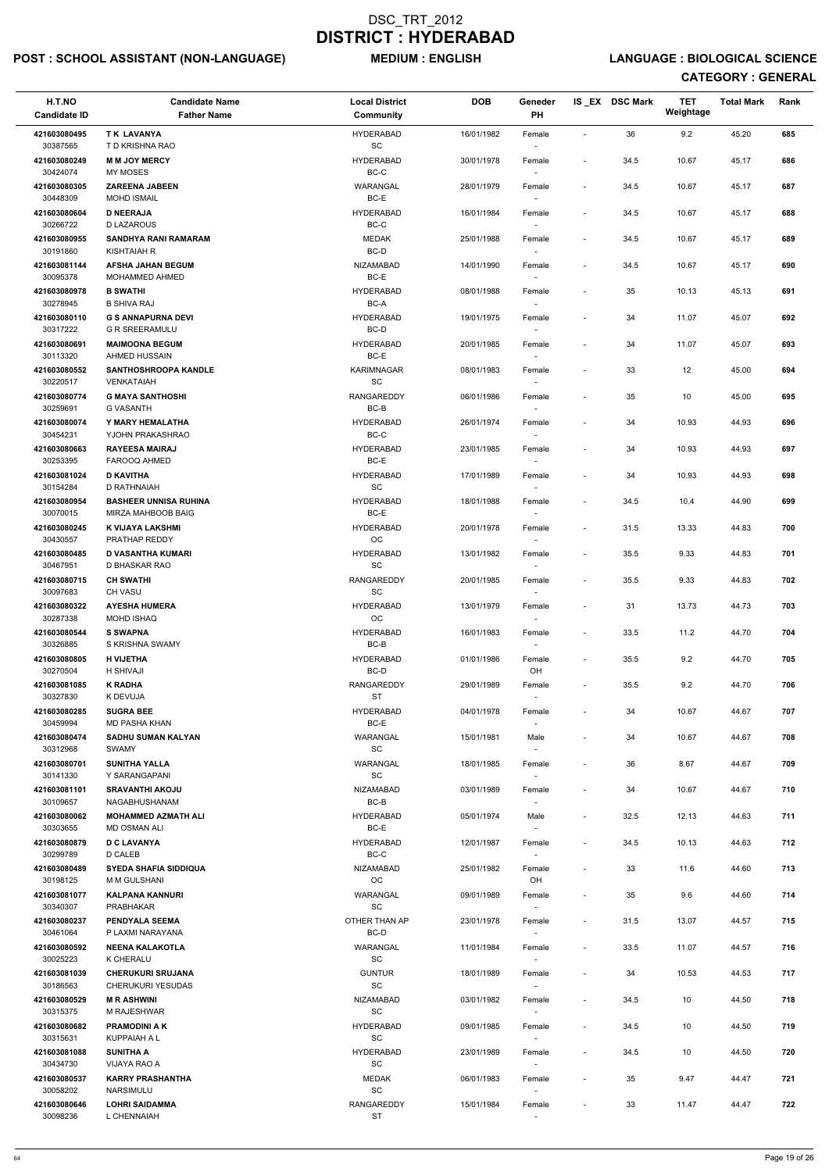## POST : SCHOOL ASSISTANT (NON-LANGUAGE) MEDIUM : ENGLISH LANGUAGE : BIOLOGICAL SCIENCE

| H.T.NO<br><b>Candidate ID</b> | <b>Candidate Name</b><br><b>Father Name</b>        | <b>Local District</b><br><b>Community</b>        | <b>DOB</b> | Geneder<br>PH                      |                              | IS EX DSC Mark | <b>TET</b><br>Weightage | <b>Total Mark</b> | Rank |
|-------------------------------|----------------------------------------------------|--------------------------------------------------|------------|------------------------------------|------------------------------|----------------|-------------------------|-------------------|------|
| 421603080495<br>30387565      | TK LAVANYA<br>T D KRISHNA RAO                      | <b>HYDERABAD</b><br>SC                           | 16/01/1982 | Female                             | $\overline{\phantom{a}}$     | 36             | 9.2                     | 45.20             | 685  |
| 421603080249<br>30424074      | <b>M M JOY MERCY</b><br>MY MOSES                   | <b>HYDERABAD</b><br>BC-C                         | 30/01/1978 | Female                             | $\overline{\phantom{a}}$     | 34.5           | 10.67                   | 45.17             | 686  |
| 421603080305                  | <b>ZAREENA JABEEN</b>                              | WARANGAL                                         | 28/01/1979 | Female                             | $\overline{\phantom{a}}$     | 34.5           | 10.67                   | 45.17             | 687  |
| 30448309<br>421603080604      | <b>MOHD ISMAIL</b><br><b>D NEERAJA</b>             | BC-E<br><b>HYDERABAD</b>                         | 16/01/1984 | $\sim$<br>Female                   | $\overline{\phantom{a}}$     | 34.5           | 10.67                   | 45.17             | 688  |
| 30266722                      | <b>D LAZAROUS</b>                                  | BC-C                                             |            |                                    |                              |                |                         |                   |      |
| 421603080955<br>30191860      | SANDHYA RANI RAMARAM<br><b>KISHTAIAH R</b>         | <b>MEDAK</b><br>BC-D                             | 25/01/1988 | Female<br>$\sim$                   | $\overline{\phantom{a}}$     | 34.5           | 10.67                   | 45.17             | 689  |
| 421603081144<br>30095378      | <b>AFSHA JAHAN BEGUM</b><br>MOHAMMED AHMED         | NIZAMABAD<br>BC-E                                | 14/01/1990 | Female                             | $\overline{\phantom{a}}$     | 34.5           | 10.67                   | 45.17             | 690  |
| 421603080978<br>30278945      | <b>B SWATHI</b><br><b>B SHIVA RAJ</b>              | <b>HYDERABAD</b><br>BC-A                         | 08/01/1988 | Female                             | $\overline{\phantom{a}}$     | 35             | 10.13                   | 45.13             | 691  |
| 421603080110<br>30317222      | <b>G S ANNAPURNA DEVI</b><br><b>G R SREERAMULU</b> | <b>HYDERABAD</b><br>BC-D                         | 19/01/1975 | Female                             | $\overline{\phantom{a}}$     | 34             | 11.07                   | 45.07             | 692  |
| 421603080691<br>30113320      | <b>MAIMOONA BEGUM</b><br><b>AHMED HUSSAIN</b>      | <b>HYDERABAD</b><br>BC-E                         | 20/01/1985 | Female<br>$\sim$                   | $\overline{\phantom{a}}$     | 34             | 11.07                   | 45.07             | 693  |
| 421603080552<br>30220517      | <b>SANTHOSHROOPA KANDLE</b><br><b>VENKATAIAH</b>   | <b>KARIMNAGAR</b><br>SC                          | 08/01/1983 | Female                             | $\qquad \qquad \blacksquare$ | 33             | 12                      | 45.00             | 694  |
| 421603080774                  | <b>G MAYA SANTHOSHI</b>                            | <b>RANGAREDDY</b>                                | 06/01/1986 | Female                             | $\overline{\phantom{a}}$     | 35             | 10                      | 45.00             | 695  |
| 30259691<br>421603080074      | <b>G VASANTH</b><br>Y MARY HEMALATHA               | BC-B<br><b>HYDERABAD</b>                         | 26/01/1974 | Female                             | $\overline{\phantom{a}}$     | 34             | 10.93                   | 44.93             | 696  |
| 30454231                      | YJOHN PRAKASHRAO                                   | BC-C                                             |            | $\sim$                             |                              |                |                         |                   |      |
| 421603080663<br>30253395      | <b>RAYEESA MAIRAJ</b><br>FAROOQ AHMED              | <b>HYDERABAD</b><br>BC-E                         | 23/01/1985 | Female                             | $\overline{\phantom{a}}$     | 34             | 10.93                   | 44.93             | 697  |
| 421603081024<br>30154284      | <b>D KAVITHA</b><br>D RATHNAIAH                    | <b>HYDERABAD</b><br>$\operatorname{\textsf{SC}}$ | 17/01/1989 | Female<br>$\sim$                   | $\overline{\phantom{a}}$     | 34             | 10.93                   | 44.93             | 698  |
| 421603080954                  | <b>BASHEER UNNISA RUHINA</b><br>MIRZA MAHBOOB BAIG | <b>HYDERABAD</b><br>BC-E                         | 18/01/1988 | Female                             | $\overline{\phantom{a}}$     | 34.5           | 10.4                    | 44.90             | 699  |
| 30070015<br>421603080245      | K VIJAYA LAKSHMI                                   | <b>HYDERABAD</b>                                 | 20/01/1978 | Female                             | $\overline{\phantom{a}}$     | 31.5           | 13.33                   | 44.83             | 700  |
| 30430557<br>421603080485      | PRATHAP REDDY<br><b>D VASANTHA KUMARI</b>          | OС<br><b>HYDERABAD</b>                           | 13/01/1982 | Female                             |                              | 35.5           | 9.33                    | 44.83             | 701  |
| 30467951<br>421603080715      | D BHASKAR RAO<br><b>CH SWATHI</b>                  | SC<br><b>RANGAREDDY</b>                          | 20/01/1985 | Female                             | $\overline{\phantom{a}}$     | 35.5           | 9.33                    | 44.83             | 702  |
| 30097683<br>421603080322      | <b>CH VASU</b><br><b>AYESHA HUMERA</b>             | SC<br><b>HYDERABAD</b>                           | 13/01/1979 | Female                             | $\overline{\phantom{a}}$     | 31             | 13.73                   | 44.73             | 703  |
| 30287338                      | <b>MOHD ISHAQ</b>                                  | OC                                               |            |                                    |                              |                |                         |                   |      |
| 421603080544<br>30326885      | <b>S SWAPNA</b><br>S KRISHNA SWAMY                 | <b>HYDERABAD</b><br>BC-B                         | 16/01/1983 | Female                             | $\overline{\phantom{a}}$     | 33.5           | 11.2                    | 44.70             | 704  |
| 421603080805<br>30270504      | <b>H VIJETHA</b><br>H SHIVAJI                      | <b>HYDERABAD</b><br>BC-D                         | 01/01/1986 | Female<br>OH                       | $\overline{\phantom{a}}$     | 35.5           | 9.2                     | 44.70             | 705  |
| 421603081085<br>30327830      | <b>K RADHA</b><br>K DEVUJA                         | RANGAREDDY<br><b>ST</b>                          | 29/01/1989 | Female                             | $\overline{\phantom{a}}$     | 35.5           | 9.2                     | 44.70             | 706  |
| 421603080285                  | <b>SUGRA BEE</b>                                   | <b>HYDERABAD</b>                                 | 04/01/1978 | Female                             | $\overline{\phantom{a}}$     | 34             | 10.67                   | 44.67             | 707  |
| 30459994<br>421603080474      | <b>MD PASHA KHAN</b><br><b>SADHU SUMAN KALYAN</b>  | BC-E<br>WARANGAL                                 | 15/01/1981 | Male                               | $\qquad \qquad \blacksquare$ | 34             | 10.67                   | 44.67             | 708  |
| 30312968<br>421603080701      | <b>SWAMY</b><br><b>SUNITHA YALLA</b>               | SC<br>WARANGAL                                   | 18/01/1985 |                                    | $\overline{\phantom{a}}$     | 36             | 8.67                    | 44.67             | 709  |
| 30141330                      | Y SARANGAPANI                                      | <b>SC</b>                                        |            | Female<br>$\sim$                   |                              |                |                         |                   |      |
| 421603081101<br>30109657      | <b>SRAVANTHI AKOJU</b><br>NAGABHUSHANAM            | <b>NIZAMABAD</b><br>BC-B                         | 03/01/1989 | Female                             | $\qquad \qquad \blacksquare$ | 34             | 10.67                   | 44.67             | 710  |
| 421603080062<br>30303655      | <b>MOHAMMED AZMATH ALI</b><br><b>MD OSMAN ALI</b>  | <b>HYDERABAD</b><br>BC-E                         | 05/01/1974 | Male                               | $\overline{\phantom{a}}$     | 32.5           | 12.13                   | 44.63             | 711  |
| 421603080879<br>30299789      | <b>D C LAVANYA</b><br>D CALEB                      | <b>HYDERABAD</b><br>BC-C                         | 12/01/1987 | Female<br>$\sim$                   | $\overline{\phantom{a}}$     | 34.5           | 10.13                   | 44.63             | 712  |
| 421603080489                  | <b>SYEDA SHAFIA SIDDIQUA</b>                       | <b>NIZAMABAD</b><br>OC                           | 25/01/1982 | Female                             | $\overline{\phantom{a}}$     | 33             | 11.6                    | 44.60             | 713  |
| 30198125<br>421603081077      | M M GULSHANI<br><b>KALPANA KANNURI</b>             | <b>WARANGAL</b>                                  | 09/01/1989 | OH<br>Female                       | $\overline{\phantom{a}}$     | 35             | 9.6                     | 44.60             | 714  |
| 30340307<br>421603080237      | <b>PRABHAKAR</b><br>PENDYALA SEEMA                 | SC<br>OTHER THAN AP                              | 23/01/1978 | $\sim$<br>Female                   | $\overline{\phantom{a}}$     | 31.5           | 13.07                   | 44.57             | 715  |
| 30461064                      | P LAXMI NARAYANA                                   | BC-D                                             |            |                                    |                              |                |                         |                   |      |
| 421603080592<br>30025223      | <b>NEENA KALAKOTLA</b><br>K CHERALU                | WARANGAL<br>SC                                   | 11/01/1984 | Female                             | $\blacksquare$               | 33.5           | 11.07                   | 44.57             | 716  |
| 421603081039<br>30186563      | <b>CHERUKURI SRUJANA</b><br>CHERUKURI YESUDAS      | <b>GUNTUR</b><br>$\operatorname{\textsf{SC}}$    | 18/01/1989 | Female<br>$\overline{\phantom{a}}$ | $\overline{\phantom{a}}$     | 34             | 10.53                   | 44.53             | 717  |
| 421603080529                  | <b>MR ASHWINI</b>                                  | <b>NIZAMABAD</b>                                 | 03/01/1982 | Female                             | $\overline{\phantom{a}}$     | 34.5           | 10                      | 44.50             | 718  |
| 30315375<br>421603080682      | M RAJESHWAR<br><b>PRAMODINI A K</b>                | $\operatorname{\textsf{SC}}$<br><b>HYDERABAD</b> | 09/01/1985 | Female                             | $\overline{\phantom{a}}$     | 34.5           | 10                      | 44.50             | 719  |
| 30315631<br>421603081088      | KUPPAIAH A L<br><b>SUNITHA A</b>                   | $\operatorname{\textsf{SC}}$<br><b>HYDERABAD</b> | 23/01/1989 | $\sim$<br>Female                   | $\overline{\phantom{a}}$     | 34.5           | 10                      | 44.50             | 720  |
| 30434730<br>421603080537      | VIJAYA RAO A<br><b>KARRY PRASHANTHA</b>            | SC<br>MEDAK                                      | 06/01/1983 | $\overline{\phantom{a}}$<br>Female | $\overline{\phantom{a}}$     | 35             | 9.47                    | 44.47             | 721  |
| 30058202<br>421603080646      | NARSIMULU<br><b>LOHRI SAIDAMMA</b>                 | $\operatorname{\textsf{SC}}$<br>RANGAREDDY       | 15/01/1984 | $\overline{\phantom{a}}$<br>Female | $\qquad \qquad \blacksquare$ | 33             | 11.47                   | 44.47             | 722  |
| 30098236                      | L CHENNAIAH                                        | ST                                               |            | $\sim$                             |                              |                |                         |                   |      |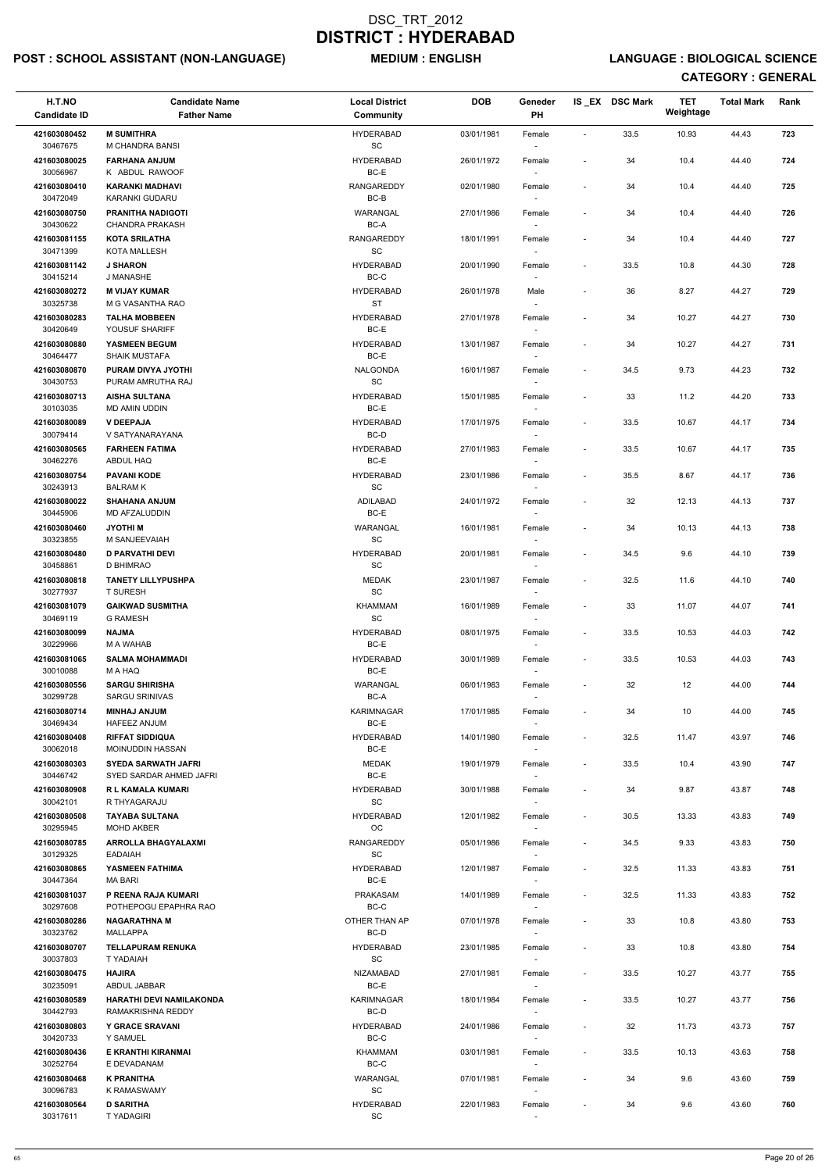## POST : SCHOOL ASSISTANT (NON-LANGUAGE) MEDIUM : ENGLISH LANGUAGE : BIOLOGICAL SCIENCE

| H.T.NO<br><b>Candidate ID</b> | <b>Candidate Name</b><br><b>Father Name</b>  | <b>Local District</b><br><b>Community</b> | <b>DOB</b> | Geneder<br>PH                      |                              | IS_EX DSC Mark | <b>TET</b><br>Weightage | <b>Total Mark</b> | Rank |
|-------------------------------|----------------------------------------------|-------------------------------------------|------------|------------------------------------|------------------------------|----------------|-------------------------|-------------------|------|
| 421603080452                  | <b>M SUMITHRA</b>                            | <b>HYDERABAD</b>                          | 03/01/1981 | Female                             | $\blacksquare$               | 33.5           | 10.93                   | 44.43             | 723  |
| 30467675                      | M CHANDRA BANSI                              | $\operatorname{\textsf{SC}}$              |            | $\overline{\phantom{a}}$           |                              |                |                         |                   |      |
| 421603080025<br>30056967      | <b>FARHANA ANJUM</b><br>K ABDUL RAWOOF       | <b>HYDERABAD</b><br>BC-E                  | 26/01/1972 | Female                             | $\overline{\phantom{a}}$     | 34             | 10.4                    | 44.40             | 724  |
| 421603080410                  | <b>KARANKI MADHAVI</b>                       | RANGAREDDY                                | 02/01/1980 | Female                             | $\overline{\phantom{a}}$     | 34             | 10.4                    | 44.40             | 725  |
| 30472049<br>421603080750      | KARANKI GUDARU<br><b>PRANITHA NADIGOTI</b>   | BC-B<br>WARANGAL                          | 27/01/1986 | Female                             | $\qquad \qquad \blacksquare$ |                | 10.4                    | 44.40             | 726  |
| 30430622                      | <b>CHANDRA PRAKASH</b>                       | BC-A                                      |            | $\overline{\phantom{a}}$           |                              | 34             |                         |                   |      |
| 421603081155<br>30471399      | <b>KOTA SRILATHA</b><br><b>KOTA MALLESH</b>  | <b>RANGAREDDY</b><br>SC                   | 18/01/1991 | Female<br>$\sim$                   | $\overline{\phantom{a}}$     | 34             | 10.4                    | 44.40             | 727  |
| 421603081142                  | <b>J SHARON</b>                              | <b>HYDERABAD</b>                          | 20/01/1990 | Female                             | $\overline{\phantom{a}}$     | 33.5           | 10.8                    | 44.30             | 728  |
| 30415214<br>421603080272      | J MANASHE<br><b>M VIJAY KUMAR</b>            | $BC-C$<br><b>HYDERABAD</b>                | 26/01/1978 | Male                               | $\overline{\phantom{a}}$     | 36             | 8.27                    | 44.27             | 729  |
| 30325738<br>421603080283      | M G VASANTHA RAO<br><b>TALHA MOBBEEN</b>     | <b>ST</b><br><b>HYDERABAD</b>             | 27/01/1978 | Female                             | $\overline{\phantom{a}}$     | 34             | 10.27                   | 44.27             | 730  |
| 30420649                      | YOUSUF SHARIFF                               | BC-E                                      |            | $\sim$                             |                              |                |                         |                   |      |
| 421603080880<br>30464477      | YASMEEN BEGUM<br><b>SHAIK MUSTAFA</b>        | <b>HYDERABAD</b><br>BC-E                  | 13/01/1987 | Female<br>$\overline{\phantom{a}}$ | $\overline{\phantom{a}}$     | 34             | 10.27                   | 44.27             | 731  |
| 421603080870                  | PURAM DIVYA JYOTHI                           | <b>NALGONDA</b>                           | 16/01/1987 | Female                             | $\overline{\phantom{a}}$     | 34.5           | 9.73                    | 44.23             | 732  |
| 30430753<br>421603080713      | PURAM AMRUTHA RAJ<br><b>AISHA SULTANA</b>    | SC<br><b>HYDERABAD</b>                    | 15/01/1985 | $\overline{\phantom{a}}$<br>Female | $\overline{\phantom{a}}$     | 33             | 11.2                    | 44.20             | 733  |
| 30103035                      | MD AMIN UDDIN                                | BC-E                                      |            |                                    |                              |                |                         |                   |      |
| 421603080089                  | <b>V DEEPAJA</b>                             | <b>HYDERABAD</b>                          | 17/01/1975 | Female                             | $\overline{\phantom{a}}$     | 33.5           | 10.67                   | 44.17             | 734  |
| 30079414<br>421603080565      | V SATYANARAYANA<br><b>FARHEEN FATIMA</b>     | BC-D<br><b>HYDERABAD</b>                  | 27/01/1983 | $\overline{\phantom{a}}$<br>Female | $\overline{\phantom{a}}$     | 33.5           | 10.67                   | 44.17             | 735  |
| 30462276                      | ABDUL HAQ                                    | BC-E                                      |            | $\sim$                             |                              |                |                         |                   |      |
| 421603080754<br>30243913      | <b>PAVANI KODE</b><br><b>BALRAM K</b>        | <b>HYDERABAD</b><br>SC                    | 23/01/1986 | Female<br>$\sim$                   | $\overline{\phantom{a}}$     | 35.5           | 8.67                    | 44.17             | 736  |
| 421603080022<br>30445906      | <b>SHAHANA ANJUM</b><br>MD AFZALUDDIN        | ADILABAD<br>BC-E                          | 24/01/1972 | Female                             | $\overline{\phantom{a}}$     | 32             | 12.13                   | 44.13             | 737  |
| 421603080460                  | <b>JYOTHIM</b>                               | WARANGAL                                  | 16/01/1981 | Female                             | $\overline{\phantom{a}}$     | 34             | 10.13                   | 44.13             | 738  |
| 30323855<br>421603080480      | M SANJEEVAIAH<br><b>D PARVATHI DEVI</b>      | SC<br><b>HYDERABAD</b>                    | 20/01/1981 | $\sim$<br>Female                   | $\overline{\phantom{a}}$     | 34.5           | 9.6                     | 44.10             | 739  |
| 30458861                      | D BHIMRAO                                    | SC                                        |            | $\sim$                             |                              |                |                         |                   |      |
| 421603080818<br>30277937      | <b>TANETY LILLYPUSHPA</b><br><b>T SURESH</b> | <b>MEDAK</b><br>SC                        | 23/01/1987 | Female                             | $\overline{\phantom{a}}$     | 32.5           | 11.6                    | 44.10             | 740  |
| 421603081079<br>30469119      | <b>GAIKWAD SUSMITHA</b><br><b>G RAMESH</b>   | <b>KHAMMAM</b><br>SC                      | 16/01/1989 | Female                             | $\overline{\phantom{a}}$     | 33             | 11.07                   | 44.07             | 741  |
| 421603080099<br>30229966      | <b>AMLAN</b><br>M A WAHAB                    | <b>HYDERABAD</b><br>BC-E                  | 08/01/1975 | Female<br>$\overline{\phantom{a}}$ | $\overline{\phantom{a}}$     | 33.5           | 10.53                   | 44.03             | 742  |
| 421603081065<br>30010088      | <b>SALMA MOHAMMADI</b><br>M A HAQ            | <b>HYDERABAD</b><br>BC-E                  | 30/01/1989 | Female<br>$\sim$                   | $\overline{\phantom{a}}$     | 33.5           | 10.53                   | 44.03             | 743  |
| 421603080556                  | <b>SARGU SHIRISHA</b>                        | WARANGAL                                  | 06/01/1983 | Female                             | $\tilde{\phantom{a}}$        | 32             | 12                      | 44.00             | 744  |
| 30299728                      | <b>SARGU SRINIVAS</b>                        | BC-A                                      |            | $\overline{\phantom{a}}$           |                              |                |                         |                   |      |
| 421603080714<br>30469434      | <b>MINHAJ ANJUM</b><br><b>HAFEEZ ANJUM</b>   | KARIMNAGAR<br>BC-E                        | 17/01/1985 | Female                             | $\overline{\phantom{a}}$     | 34             | 10                      | 44.00             | 745  |
| 421603080408<br>30062018      | <b>RIFFAT SIDDIQUA</b><br>MOINUDDIN HASSAN   | <b>HYDERABAD</b><br>BC-E                  | 14/01/1980 | Female<br>$\sim$                   | $\overline{\phantom{a}}$     | 32.5           | 11.47                   | 43.97             | 746  |
| 421603080303                  | <b>SYEDA SARWATH JAFRI</b>                   | <b>MEDAK</b>                              | 19/01/1979 | Female                             | $\overline{\phantom{a}}$     | 33.5           | 10.4                    | 43.90             | 747  |
| 30446742<br>421603080908      | SYED SARDAR AHMED JAFRI<br>R L KAMALA KUMARI | BC-E<br><b>HYDERABAD</b>                  | 30/01/1988 | $\sim$<br>Female                   | $\overline{\phantom{a}}$     | 34             | 9.87                    | 43.87             | 748  |
| 30042101<br>421603080508      | R THYAGARAJU<br><b>TAYABA SULTANA</b>        | <b>SC</b><br><b>HYDERABAD</b>             | 12/01/1982 | $\sim$<br>Female                   | $\overline{\phantom{a}}$     | 30.5           | 13.33                   | 43.83             | 749  |
| 30295945<br>421603080785      | MOHD AKBER<br><b>ARROLLA BHAGYALAXMI</b>     | OC<br><b>RANGAREDDY</b>                   | 05/01/1986 |                                    |                              | 34.5           | 9.33                    | 43.83             | 750  |
| 30129325                      | <b>EADAIAH</b>                               | <b>SC</b>                                 |            | Female<br>$\overline{\phantom{a}}$ | $\overline{\phantom{a}}$     |                |                         |                   |      |
| 421603080865<br>30447364      | YASMEEN FATHIMA<br><b>MA BARI</b>            | <b>HYDERABAD</b><br>BC-E                  | 12/01/1987 | Female<br>$\sim$                   | $\overline{\phantom{a}}$     | 32.5           | 11.33                   | 43.83             | 751  |
| 421603081037                  | P REENA RAJA KUMARI                          | PRAKASAM                                  | 14/01/1989 | Female                             | $\overline{\phantom{a}}$     | 32.5           | 11.33                   | 43.83             | 752  |
| 30297608<br>421603080286      | POTHEPOGU EPAPHRA RAO<br><b>NAGARATHNA M</b> | BC-C<br>OTHER THAN AP                     | 07/01/1978 | $\sim$<br>Female                   | $\overline{\phantom{a}}$     | 33             | 10.8                    | 43.80             | 753  |
| 30323762                      | <b>MALLAPPA</b>                              | BC-D                                      |            |                                    |                              |                |                         |                   |      |
| 421603080707<br>30037803      | <b>TELLAPURAM RENUKA</b><br>T YADAIAH        | <b>HYDERABAD</b><br>SC                    | 23/01/1985 | Female                             | $\overline{\phantom{a}}$     | 33             | 10.8                    | 43.80             | 754  |
| 421603080475                  | <b>HAJIRA</b>                                | NIZAMABAD<br>BC-E                         | 27/01/1981 | Female                             | $\overline{\phantom{a}}$     | 33.5           | 10.27                   | 43.77             | 755  |
| 30235091<br>421603080589      | ABDUL JABBAR<br>HARATHI DEVI NAMILAKONDA     | KARIMNAGAR                                | 18/01/1984 | $\sim$<br>Female                   | $\overline{\phantom{a}}$     | 33.5           | 10.27                   | 43.77             | 756  |
| 30442793<br>421603080803      | RAMAKRISHNA REDDY<br><b>Y GRACE SRAVANI</b>  | BC-D<br><b>HYDERABAD</b>                  | 24/01/1986 | $\sim$<br>Female                   | $\overline{\phantom{a}}$     | 32             | 11.73                   | 43.73             | 757  |
| 30420733<br>421603080436      | Y SAMUEL                                     | BC-C                                      |            | $\sim$                             |                              |                |                         |                   |      |
| 30252764                      | E KRANTHI KIRANMAI<br>E DEVADANAM            | KHAMMAM<br>BC-C                           | 03/01/1981 | Female<br>$\sim$                   | $\overline{\phantom{a}}$     | 33.5           | 10.13                   | 43.63             | 758  |
| 421603080468<br>30096783      | <b>K PRANITHA</b><br><b>K RAMASWAMY</b>      | WARANGAL<br><b>SC</b>                     | 07/01/1981 | Female<br>$\sim$                   | $\qquad \qquad \blacksquare$ | 34             | 9.6                     | 43.60             | 759  |
| 421603080564<br>30317611      | <b>D SARITHA</b><br><b>TYADAGIRI</b>         | <b>HYDERABAD</b><br>SC                    | 22/01/1983 | Female                             |                              | 34             | 9.6                     | 43.60             | 760  |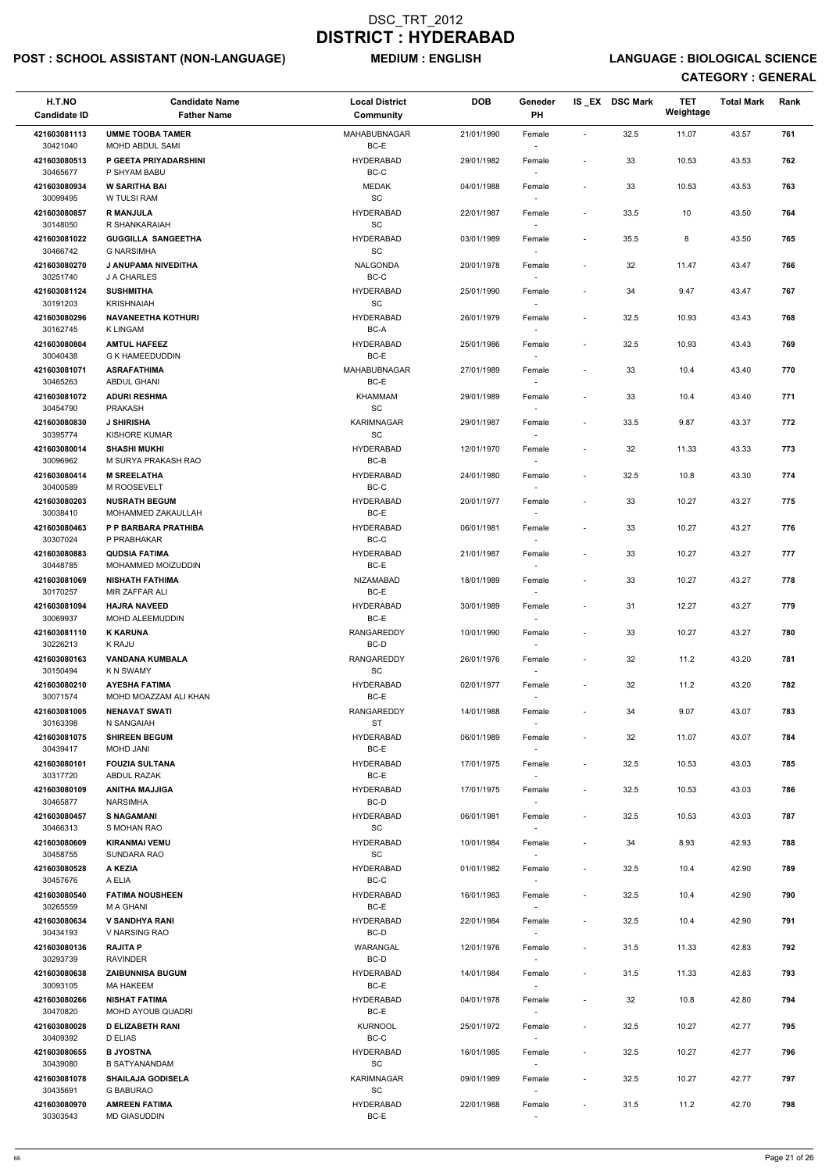## POST : SCHOOL ASSISTANT (NON-LANGUAGE) MEDIUM : ENGLISH LANGUAGE : BIOLOGICAL SCIENCE

| H.T.NO<br><b>Candidate ID</b> | <b>Candidate Name</b><br><b>Father Name</b>         | <b>Local District</b><br><b>Community</b>         | <b>DOB</b> | Geneder<br>PH                      |                              | IS_EX DSC Mark | <b>TET</b><br>Weightage | <b>Total Mark</b> | Rank |
|-------------------------------|-----------------------------------------------------|---------------------------------------------------|------------|------------------------------------|------------------------------|----------------|-------------------------|-------------------|------|
| 421603081113<br>30421040      | <b>UMME TOOBA TAMER</b><br>MOHD ABDUL SAMI          | <b>MAHABUBNAGAR</b><br>BC-E                       | 21/01/1990 | Female<br>$\sim$                   | $\blacksquare$               | 32.5           | 11.07                   | 43.57             | 761  |
| 421603080513<br>30465677      | P GEETA PRIYADARSHINI<br>P SHYAM BABU               | <b>HYDERABAD</b><br>$BC-C$                        | 29/01/1982 | Female                             | $\overline{\phantom{a}}$     | 33             | 10.53                   | 43.53             | 762  |
| 421603080934                  | <b>W SARITHA BAI</b>                                | <b>MEDAK</b><br>SC                                | 04/01/1988 | Female                             | $\overline{\phantom{a}}$     | 33             | 10.53                   | 43.53             | 763  |
| 30099495<br>421603080857      | W TULSI RAM<br><b>R MANJULA</b>                     | <b>HYDERABAD</b>                                  | 22/01/1987 | $\overline{\phantom{a}}$<br>Female | $\overline{\phantom{a}}$     | 33.5           | 10                      | 43.50             | 764  |
| 30148050<br>421603081022      | R SHANKARAIAH<br><b>GUGGILLA SANGEETHA</b>          | SC<br><b>HYDERABAD</b>                            | 03/01/1989 | $\overline{\phantom{a}}$<br>Female | $\overline{\phantom{a}}$     | 35.5           | 8                       | 43.50             | 765  |
| 30466742                      | <b>G NARSIMHA</b>                                   | <b>SC</b>                                         |            | $\sim$                             |                              |                |                         |                   |      |
| 421603080270<br>30251740      | J ANUPAMA NIVEDITHA<br>J A CHARLES                  | NALGONDA<br>$BC-C$                                | 20/01/1978 | Female                             | $\overline{\phantom{a}}$     | 32             | 11.47                   | 43.47             | 766  |
| 421603081124<br>30191203      | <b>SUSHMITHA</b><br><b>KRISHNAIAH</b>               | <b>HYDERABAD</b><br>SC                            | 25/01/1990 | Female                             | $\overline{\phantom{a}}$     | 34             | 9.47                    | 43.47             | 767  |
| 421603080296<br>30162745      | <b>NAVANEETHA KOTHURI</b><br>K LINGAM               | <b>HYDERABAD</b><br>BC-A                          | 26/01/1979 | Female<br>$\sim$                   | $\overline{\phantom{a}}$     | 32.5           | 10.93                   | 43.43             | 768  |
| 421603080804<br>30040438      | <b>AMTUL HAFEEZ</b><br><b>G K HAMEEDUDDIN</b>       | <b>HYDERABAD</b><br>BC-E                          | 25/01/1986 | Female<br>$\overline{\phantom{a}}$ | $\overline{\phantom{a}}$     | 32.5           | 10.93                   | 43.43             | 769  |
| 421603081071<br>30465263      | <b>ASRAFATHIMA</b>                                  | MAHABUBNAGAR<br>BC-E                              | 27/01/1989 | Female                             | $\overline{\phantom{a}}$     | 33             | 10.4                    | 43.40             | 770  |
| 421603081072                  | ABDUL GHANI<br><b>ADURI RESHMA</b>                  | <b>KHAMMAM</b>                                    | 29/01/1989 | $\sim$<br>Female                   | $\tilde{\phantom{a}}$        | 33             | 10.4                    | 43.40             | 771  |
| 30454790<br>421603080830      | PRAKASH<br><b>J SHIRISHA</b>                        | $\operatorname{\textsf{SC}}$<br><b>KARIMNAGAR</b> | 29/01/1987 | Female                             | $\overline{\phantom{a}}$     | 33.5           | 9.87                    | 43.37             | 772  |
| 30395774<br>421603080014      | <b>KISHORE KUMAR</b><br><b>SHASHI MUKHI</b>         | SC<br><b>HYDERABAD</b>                            | 12/01/1970 | $\overline{\phantom{a}}$<br>Female | $\qquad \qquad \blacksquare$ | 32             | 11.33                   | 43.33             | 773  |
| 30096962                      | M SURYA PRAKASH RAO                                 | BC-B                                              |            | $\sim$                             |                              |                |                         |                   |      |
| 421603080414<br>30400589      | <b>M SREELATHA</b><br>M ROOSEVELT                   | <b>HYDERABAD</b><br>BC-C                          | 24/01/1980 | Female<br>$\sim$                   | $\overline{\phantom{a}}$     | 32.5           | 10.8                    | 43.30             | 774  |
| 421603080203<br>30038410      | <b>NUSRATH BEGUM</b><br>MOHAMMED ZAKAULLAH          | <b>HYDERABAD</b><br>BC-E                          | 20/01/1977 | Female                             | $\overline{\phantom{a}}$     | 33             | 10.27                   | 43.27             | 775  |
| 421603080463<br>30307024      | P P BARBARA PRATHIBA<br>P PRABHAKAR                 | <b>HYDERABAD</b><br>$BC-C$                        | 06/01/1981 | Female<br>$\sim$                   | $\overline{\phantom{a}}$     | 33             | 10.27                   | 43.27             | 776  |
| 421603080883<br>30448785      | <b>QUDSIA FATIMA</b>                                | <b>HYDERABAD</b><br>BC-E                          | 21/01/1987 | Female                             | $\qquad \qquad \blacksquare$ | 33             | 10.27                   | 43.27             | 777  |
| 421603081069                  | MOHAMMED MOIZUDDIN<br><b>NISHATH FATHIMA</b>        | NIZAMABAD                                         | 18/01/1989 | $\sim$<br>Female                   | $\overline{\phantom{a}}$     | 33             | 10.27                   | 43.27             | 778  |
| 30170257<br>421603081094      | MIR ZAFFAR ALI<br><b>HAJRA NAVEED</b>               | BC-E<br><b>HYDERABAD</b>                          | 30/01/1989 | Female                             | $\overline{\phantom{a}}$     | 31             | 12.27                   | 43.27             | 779  |
| 30069937<br>421603081110      | MOHD ALEEMUDDIN<br><b>K KARUNA</b>                  | BC-E<br><b>RANGAREDDY</b>                         | 10/01/1990 | $\sim$<br>Female                   | $\overline{\phantom{a}}$     | 33             | 10.27                   | 43.27             | 780  |
| 30226213<br>421603080163      | K RAJU<br><b>VANDANA KUMBALA</b>                    | BC-D<br><b>RANGAREDDY</b>                         | 26/01/1976 | $\sim$<br>Female                   | $\overline{\phantom{a}}$     | 32             | 11.2                    | 43.20             | 781  |
| 30150494                      | K N SWAMY                                           | <b>SC</b>                                         |            | $\sim$                             |                              |                |                         |                   |      |
| 421603080210<br>30071574      | <b>AYESHA FATIMA</b><br>MOHD MOAZZAM ALI KHAN       | <b>HYDERABAD</b><br>BC-E                          | 02/01/1977 | Female                             | $\qquad \qquad \blacksquare$ | 32             | 11.2                    | 43.20             | 782  |
| 421603081005<br>30163398      | <b>NENAVAT SWATI</b><br>N SANGAIAH                  | RANGAREDDY<br><b>ST</b>                           | 14/01/1988 | Female                             | $\overline{\phantom{a}}$     | 34             | 9.07                    | 43.07             | 783  |
| 421603081075<br>30439417      | <b>SHIREEN BEGUM</b><br>MOHD JANI                   | <b>HYDERABAD</b><br>BC-E                          | 06/01/1989 | Female<br>$\sim$                   | $\overline{\phantom{a}}$     | 32             | 11.07                   | 43.07             | 784  |
| 421603080101<br>30317720      | <b>FOUZIA SULTANA</b><br><b>ABDUL RAZAK</b>         | <b>HYDERABAD</b><br>BC-E                          | 17/01/1975 | Female<br>$\sim$                   | $\overline{\phantom{a}}$     | 32.5           | 10.53                   | 43.03             | 785  |
| 421603080109                  | <b>ANITHA MAJJIGA</b>                               | <b>HYDERABAD</b>                                  | 17/01/1975 | Female                             | $\overline{\phantom{a}}$     | 32.5           | 10.53                   | 43.03             | 786  |
| 30465877<br>421603080457      | <b>NARSIMHA</b><br><b>S NAGAMANI</b>                | BC-D<br><b>HYDERABAD</b>                          | 06/01/1981 | $\overline{\phantom{a}}$<br>Female | $\overline{\phantom{a}}$     | 32.5           | 10.53                   | 43.03             | 787  |
| 30466313<br>421603080609      | S MOHAN RAO<br><b>KIRANMAI VEMU</b>                 | SC<br><b>HYDERABAD</b>                            | 10/01/1984 | Female                             | $\overline{\phantom{a}}$     | 34             | 8.93                    | 42.93             | 788  |
| 30458755<br>421603080528      | SUNDARA RAO<br>A KEZIA                              | <b>SC</b><br><b>HYDERABAD</b>                     | 01/01/1982 | $\sim$<br>Female                   | $\overline{\phantom{a}}$     | 32.5           | 10.4                    | 42.90             | 789  |
| 30457676                      | A ELIA                                              | $BC-C$                                            |            | $\sim$                             |                              |                |                         |                   |      |
| 421603080540<br>30265559      | <b>FATIMA NOUSHEEN</b><br>M A GHANI                 | <b>HYDERABAD</b><br>BC-E                          | 16/01/1983 | Female<br>$\sim$                   | $\overline{\phantom{a}}$     | 32.5           | 10.4                    | 42.90             | 790  |
| 421603080634<br>30434193      | <b>V SANDHYA RANI</b><br>V NARSING RAO              | <b>HYDERABAD</b><br>BC-D                          | 22/01/1984 | Female                             | $\overline{\phantom{a}}$     | 32.5           | 10.4                    | 42.90             | 791  |
| 421603080136<br>30293739      | <b>RAJITA P</b><br><b>RAVINDER</b>                  | WARANGAL<br>BC-D                                  | 12/01/1976 | Female                             | $\overline{\phantom{a}}$     | 31.5           | 11.33                   | 42.83             | 792  |
| 421603080638<br>30093105      | <b>ZAIBUNNISA BUGUM</b><br><b>MA HAKEEM</b>         | <b>HYDERABAD</b><br>BC-E                          | 14/01/1984 | Female<br>$\sim$                   | $\overline{\phantom{a}}$     | 31.5           | 11.33                   | 42.83             | 793  |
| 421603080266                  | <b>NISHAT FATIMA</b>                                | <b>HYDERABAD</b>                                  | 04/01/1978 | Female                             | $\overline{\phantom{a}}$     | 32             | 10.8                    | 42.80             | 794  |
| 30470820<br>421603080028      | <b>MOHD AYOUB QUADRI</b><br><b>D ELIZABETH RANI</b> | BC-E<br><b>KURNOOL</b>                            | 25/01/1972 | $\overline{\phantom{a}}$<br>Female | $\overline{\phantom{a}}$     | 32.5           | 10.27                   | 42.77             | 795  |
| 30409392<br>421603080655      | <b>D ELIAS</b><br><b>B JYOSTNA</b>                  | BC-C<br><b>HYDERABAD</b>                          | 16/01/1985 | $\sim$<br>Female                   | $\overline{\phantom{a}}$     | 32.5           | 10.27                   | 42.77             | 796  |
| 30439080<br>421603081078      | <b>B SATYANANDAM</b><br><b>SHAILAJA GODISELA</b>    | $\operatorname{\textsf{SC}}$<br>KARIMNAGAR        | 09/01/1989 | $\sim$<br>Female                   | $\overline{\phantom{a}}$     | 32.5           | 10.27                   | 42.77             | 797  |
| 30435691                      | <b>G BABURAO</b>                                    | $\operatorname{\textsf{SC}}$                      |            | $\sim$                             |                              |                |                         |                   |      |
| 421603080970<br>30303543      | <b>AMREEN FATIMA</b><br><b>MD GIASUDDIN</b>         | <b>HYDERABAD</b><br>BC-E                          | 22/01/1988 | Female                             | $\qquad \qquad \blacksquare$ | 31.5           | 11.2                    | 42.70             | 798  |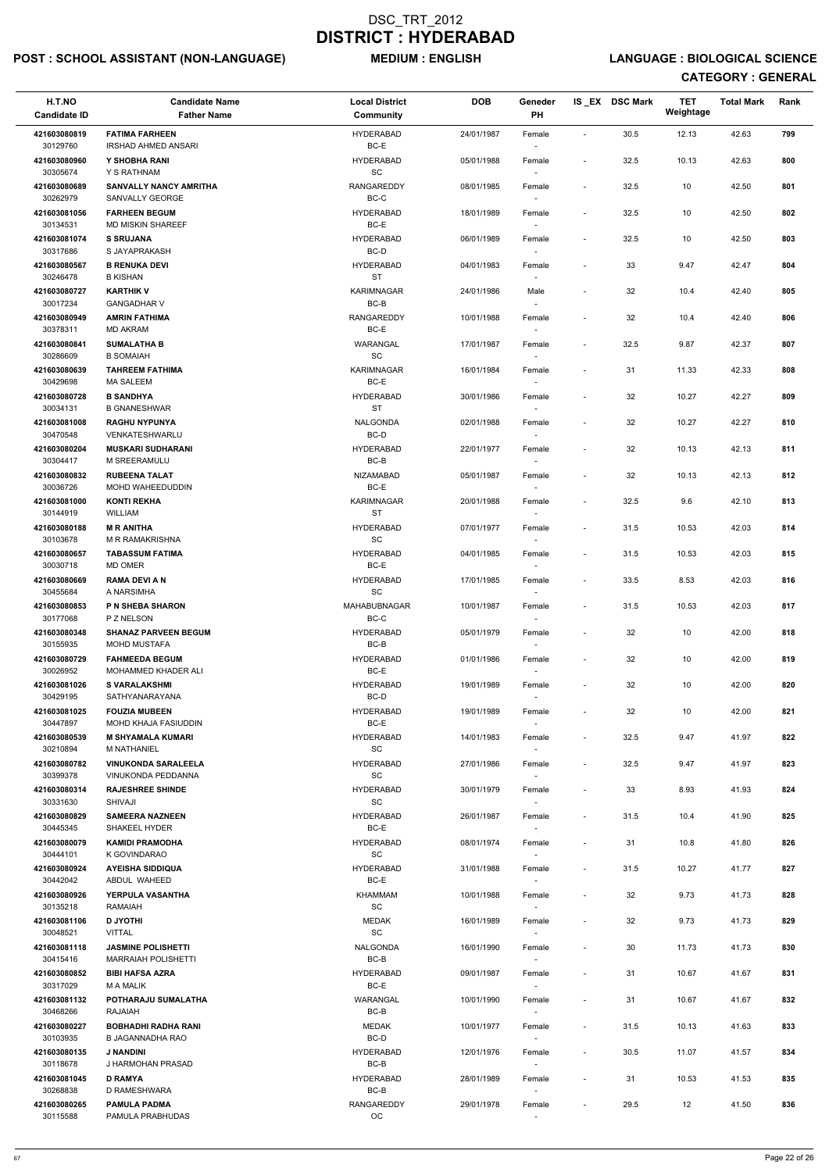## POST : SCHOOL ASSISTANT (NON-LANGUAGE) MEDIUM : ENGLISH LANGUAGE : BIOLOGICAL SCIENCE

| H.T.NO<br><b>Candidate ID</b> | <b>Candidate Name</b><br><b>Father Name</b>      | <b>Local District</b><br><b>Community</b>         | <b>DOB</b> | Geneder<br><b>PH</b>               |                          | IS_EX DSC Mark | <b>TET</b><br>Weightage | <b>Total Mark</b> | Rank |
|-------------------------------|--------------------------------------------------|---------------------------------------------------|------------|------------------------------------|--------------------------|----------------|-------------------------|-------------------|------|
| 421603080819                  | <b>FATIMA FARHEEN</b>                            | <b>HYDERABAD</b>                                  | 24/01/1987 | Female                             | $\overline{\phantom{a}}$ | 30.5           | 12.13                   | 42.63             | 799  |
| 30129760<br>421603080960      | <b>IRSHAD AHMED ANSARI</b><br>Y SHOBHA RANI      | BC-E<br><b>HYDERABAD</b>                          | 05/01/1988 | $\overline{\phantom{a}}$<br>Female | $\overline{\phantom{a}}$ | 32.5           | 10.13                   | 42.63             | 800  |
| 30305674                      | Y S RATHNAM                                      | SC                                                |            |                                    |                          |                |                         |                   |      |
| 421603080689<br>30262979      | <b>SANVALLY NANCY AMRITHA</b><br>SANVALLY GEORGE | <b>RANGAREDDY</b><br>BC-C                         | 08/01/1985 | Female<br>$\overline{\phantom{a}}$ | $\overline{\phantom{a}}$ | 32.5           | 10                      | 42.50             | 801  |
| 421603081056<br>30134531      | <b>FARHEEN BEGUM</b><br><b>MD MISKIN SHAREEF</b> | <b>HYDERABAD</b><br>BC-E                          | 18/01/1989 | Female                             | $\blacksquare$           | 32.5           | 10                      | 42.50             | 802  |
| 421603081074                  | <b>S SRUJANA</b>                                 | <b>HYDERABAD</b>                                  | 06/01/1989 | $\overline{\phantom{a}}$<br>Female | $\overline{\phantom{a}}$ | 32.5           | 10                      | 42.50             | 803  |
| 30317686<br>421603080567      | S JAYAPRAKASH<br><b>B RENUKA DEVI</b>            | BC-D<br><b>HYDERABAD</b>                          | 04/01/1983 | $\sim$<br>Female                   | $\overline{a}$           | 33             | 9.47                    | 42.47             | 804  |
| 30246478                      | <b>B KISHAN</b>                                  | <b>ST</b>                                         |            |                                    |                          |                |                         |                   |      |
| 421603080727<br>30017234      | <b>KARTHIK V</b><br><b>GANGADHAR V</b>           | <b>KARIMNAGAR</b><br>BC-B                         | 24/01/1986 | Male                               | $\overline{\phantom{a}}$ | 32             | 10.4                    | 42.40             | 805  |
| 421603080949<br>30378311      | <b>AMRIN FATHIMA</b>                             | <b>RANGAREDDY</b><br>BC-E                         | 10/01/1988 | Female                             | $\overline{\phantom{a}}$ | 32             | 10.4                    | 42.40             | 806  |
| 421603080841                  | <b>MD AKRAM</b><br><b>SUMALATHA B</b>            | WARANGAL                                          | 17/01/1987 | $\sim$<br>Female                   | $\overline{\phantom{a}}$ | 32.5           | 9.87                    | 42.37             | 807  |
| 30286609<br>421603080639      | <b>B SOMAIAH</b><br><b>TAHREEM FATHIMA</b>       | $\operatorname{\textsf{SC}}$<br><b>KARIMNAGAR</b> | 16/01/1984 | $\sim$<br>Female                   | $\overline{\phantom{a}}$ | 31             | 11.33                   | 42.33             | 808  |
| 30429698                      | <b>MA SALEEM</b>                                 | BC-E                                              |            | $\sim$                             |                          |                |                         |                   |      |
| 421603080728<br>30034131      | <b>B SANDHYA</b><br><b>B GNANESHWAR</b>          | <b>HYDERABAD</b><br>ST                            | 30/01/1986 | Female                             |                          | 32             | 10.27                   | 42.27             | 809  |
| 421603081008                  | <b>RAGHU NYPUNYA</b>                             | <b>NALGONDA</b>                                   | 02/01/1988 | Female                             | $\overline{\phantom{a}}$ | 32             | 10.27                   | 42.27             | 810  |
| 30470548<br>421603080204      | VENKATESHWARLU<br><b>MUSKARI SUDHARANI</b>       | BC-D<br><b>HYDERABAD</b>                          | 22/01/1977 | $\overline{\phantom{a}}$<br>Female | $\blacksquare$           | 32             | 10.13                   | 42.13             | 811  |
| 30304417                      | M SREERAMULU                                     | BC-B                                              |            | $\overline{\phantom{a}}$           |                          |                |                         |                   |      |
| 421603080832<br>30036726      | <b>RUBEENA TALAT</b><br>MOHD WAHEEDUDDIN         | <b>NIZAMABAD</b><br>BC-E                          | 05/01/1987 | Female<br>$\overline{\phantom{a}}$ | $\overline{\phantom{a}}$ | 32             | 10.13                   | 42.13             | 812  |
| 421603081000<br>30144919      | <b>KONTI REKHA</b><br>WILLIAM                    | KARIMNAGAR<br>ST                                  | 20/01/1988 | Female                             | $\blacksquare$           | 32.5           | 9.6                     | 42.10             | 813  |
| 421603080188                  | <b>MR ANITHA</b>                                 | <b>HYDERABAD</b>                                  | 07/01/1977 | Female                             | $\blacksquare$           | 31.5           | 10.53                   | 42.03             | 814  |
| 30103678<br>421603080657      | M R RAMAKRISHNA<br><b>TABASSUM FATIMA</b>        | SC<br><b>HYDERABAD</b>                            | 04/01/1985 | $\overline{\phantom{a}}$<br>Female | $\overline{\phantom{a}}$ | 31.5           | 10.53                   | 42.03             | 815  |
| 30030718                      | MD OMER                                          | BC-E                                              |            | $\sim$                             |                          |                |                         |                   |      |
| 421603080669<br>30455684      | <b>RAMA DEVI A N</b><br>A NARSIMHA               | <b>HYDERABAD</b><br>SC                            | 17/01/1985 | Female                             | $\overline{\phantom{a}}$ | 33.5           | 8.53                    | 42.03             | 816  |
| 421603080853<br>30177068      | P N SHEBA SHARON<br>P Z NELSON                   | MAHABUBNAGAR<br>BC-C                              | 10/01/1987 | Female<br>$\sim$                   | $\blacksquare$           | 31.5           | 10.53                   | 42.03             | 817  |
| 421603080348<br>30155935      | <b>SHANAZ PARVEEN BEGUM</b><br>MOHD MUSTAFA      | <b>HYDERABAD</b><br>BC-B                          | 05/01/1979 | Female<br>$\overline{\phantom{a}}$ |                          | 32             | 10                      | 42.00             | 818  |
| 421603080729                  | <b>FAHMEEDA BEGUM</b>                            | <b>HYDERABAD</b>                                  | 01/01/1986 | Female                             | $\overline{a}$           | 32             | 10                      | 42.00             | 819  |
| 30026952<br>421603081026      | MOHAMMED KHADER ALI<br><b>S VARALAKSHMI</b>      | BC-E<br><b>HYDERABAD</b>                          | 19/01/1989 | $\sim$<br>Female                   | $\overline{\phantom{a}}$ | 32             | 10                      | 42.00             | 820  |
| 30429195                      | SATHYANARAYANA                                   | BC-D                                              |            |                                    |                          |                |                         |                   |      |
| 421603081025<br>30447897      | <b>FOUZIA MUBEEN</b><br>MOHD KHAJA FASIUDDIN     | <b>HYDERABAD</b><br>BC-E                          | 19/01/1989 | Female<br>$\overline{\phantom{a}}$ | $\overline{\phantom{a}}$ | 32             | 10                      | 42.00             | 821  |
| 421603080539<br>30210894      | <b>M SHYAMALA KUMARI</b><br>M NATHANIEL          | <b>HYDERABAD</b><br>SC                            | 14/01/1983 | Female<br>$\sim$                   | $\blacksquare$           | 32.5           | 9.47                    | 41.97             | 822  |
| 421603080782                  | <b>VINUKONDA SARALEELA</b>                       | <b>HYDERABAD</b>                                  | 27/01/1986 | Female                             | $\overline{\phantom{a}}$ | 32.5           | 9.47                    | 41.97             | 823  |
| 30399378<br>421603080314      | VINUKONDA PEDDANNA<br><b>RAJESHREE SHINDE</b>    | SC<br><b>HYDERABAD</b>                            | 30/01/1979 | $\sim$<br>Female                   | $\overline{\phantom{a}}$ | 33             | 8.93                    | 41.93             | 824  |
| 30331630                      | SHIVAJI                                          | <b>SC</b>                                         |            | $\sim$                             |                          |                |                         |                   |      |
| 421603080829<br>30445345      | <b>SAMEERA NAZNEEN</b><br>SHAKEEL HYDER          | <b>HYDERABAD</b><br>BC-E                          | 26/01/1987 | Female                             | $\overline{\phantom{a}}$ | 31.5           | 10.4                    | 41.90             | 825  |
| 421603080079<br>30444101      | <b>KAMIDI PRAMODHA</b><br>K GOVINDARAO           | <b>HYDERABAD</b><br><b>SC</b>                     | 08/01/1974 | Female<br>$\sim$                   | $\overline{\phantom{a}}$ | 31             | 10.8                    | 41.80             | 826  |
| 421603080924                  | <b>AYEISHA SIDDIQUA</b>                          | <b>HYDERABAD</b>                                  | 31/01/1988 | Female                             | $\blacksquare$           | 31.5           | 10.27                   | 41.77             | 827  |
| 30442042<br>421603080926      | ABDUL WAHEED<br><b>YERPULA VASANTHA</b>          | BC-E<br><b>KHAMMAM</b>                            | 10/01/1988 | $\sim$<br>Female                   | $\overline{\phantom{a}}$ | 32             | 9.73                    | 41.73             | 828  |
| 30135218                      | <b>RAMAIAH</b>                                   | <b>SC</b>                                         |            | $\sim$                             |                          |                |                         |                   |      |
| 421603081106<br>30048521      | <b>D JYOTHI</b><br>VITTAL                        | <b>MEDAK</b><br>$\operatorname{\textsf{SC}}$      | 16/01/1989 | Female                             | $\blacksquare$           | 32             | 9.73                    | 41.73             | 829  |
| 421603081118<br>30415416      | <b>JASMINE POLISHETTI</b><br>MARRAIAH POLISHETTI | <b>NALGONDA</b><br>BC-B                           | 16/01/1990 | Female                             | $\overline{\phantom{a}}$ | 30             | 11.73                   | 41.73             | 830  |
| 421603080852                  | <b>BIBI HAFSA AZRA</b>                           | <b>HYDERABAD</b>                                  | 09/01/1987 | Female                             | $\overline{\phantom{a}}$ | 31             | 10.67                   | 41.67             | 831  |
| 30317029<br>421603081132      | <b>MA MALIK</b><br>POTHARAJU SUMALATHA           | BC-E<br>WARANGAL                                  | 10/01/1990 | $\sim$<br>Female                   | $\overline{\phantom{a}}$ | 31             | 10.67                   | 41.67             | 832  |
| 30468266                      | <b>RAJAIAH</b>                                   | BC-B                                              |            | $\sim$                             |                          |                |                         |                   |      |
| 421603080227<br>30103935      | <b>BOBHADHI RADHA RANI</b><br>B JAGANNADHA RAO   | MEDAK<br>BC-D                                     | 10/01/1977 | Female<br>$\sim$                   | $\sim$                   | 31.5           | 10.13                   | 41.63             | 833  |
| 421603080135<br>30118678      | J NANDINI<br>J HARMOHAN PRASAD                   | <b>HYDERABAD</b><br>BC-B                          | 12/01/1976 | Female<br>$\sim$                   | $\overline{\phantom{a}}$ | 30.5           | 11.07                   | 41.57             | 834  |
| 421603081045                  | <b>D RAMYA</b>                                   | <b>HYDERABAD</b>                                  | 28/01/1989 | Female                             | $\overline{\phantom{a}}$ | 31             | 10.53                   | 41.53             | 835  |
| 30268838<br>421603080265      | D RAMESHWARA<br><b>PAMULA PADMA</b>              | BC-B<br>RANGAREDDY                                | 29/01/1978 | $\sim$<br>Female                   | $\overline{\phantom{a}}$ | 29.5           | 12                      | 41.50             | 836  |
| 30115588                      | PAMULA PRABHUDAS                                 | OC                                                |            | $\sim$                             |                          |                |                         |                   |      |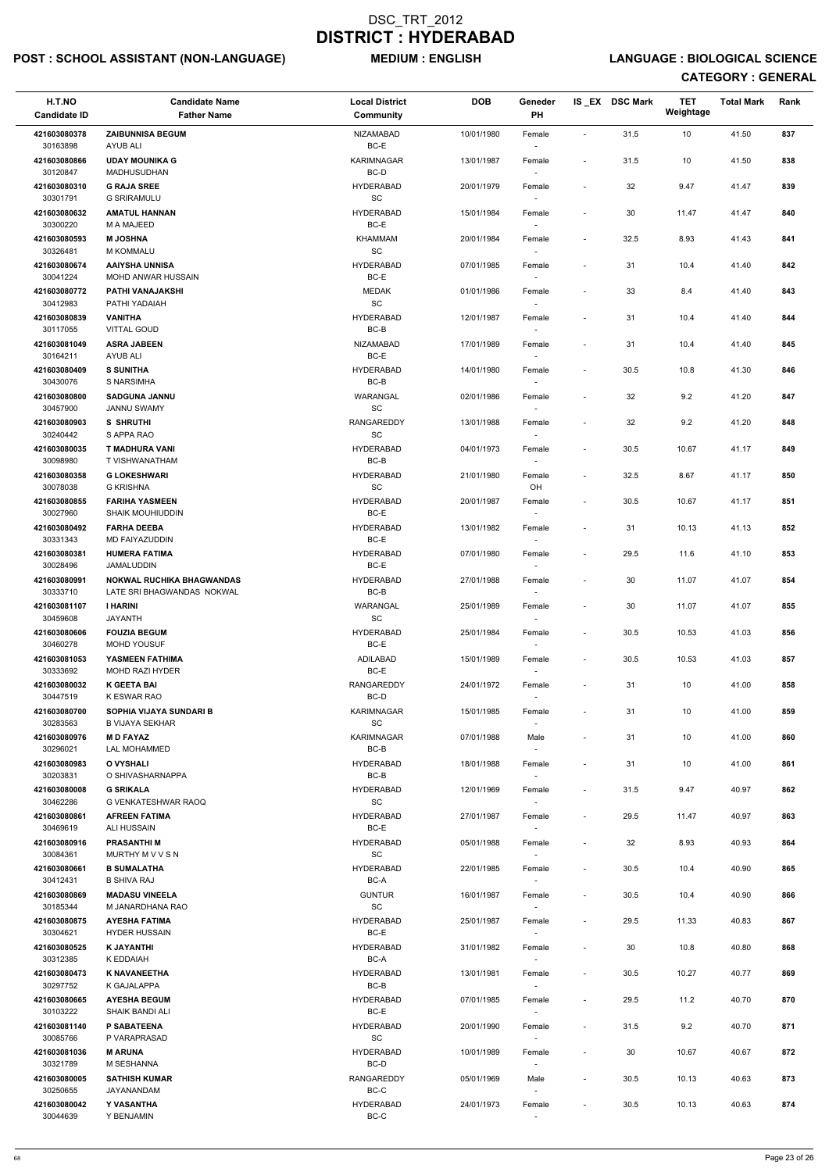## POST : SCHOOL ASSISTANT (NON-LANGUAGE) MEDIUM : ENGLISH LANGUAGE : BIOLOGICAL SCIENCE

| H.T.NO<br><b>Candidate ID</b> | <b>Candidate Name</b><br><b>Father Name</b>                    | <b>Local District</b><br><b>Community</b>        | <b>DOB</b> | Geneder<br>PH                      |                          | IS EX DSC Mark | <b>TET</b><br>Weightage | <b>Total Mark</b> | Rank |
|-------------------------------|----------------------------------------------------------------|--------------------------------------------------|------------|------------------------------------|--------------------------|----------------|-------------------------|-------------------|------|
|                               |                                                                |                                                  |            |                                    |                          |                |                         |                   |      |
| 421603080378<br>30163898      | <b>ZAIBUNNISA BEGUM</b><br>AYUB ALI                            | NIZAMABAD<br>BC-E                                | 10/01/1980 | Female<br>$\sim$                   | $\blacksquare$           | 31.5           | 10                      | 41.50             | 837  |
| 421603080866<br>30120847      | <b>UDAY MOUNIKA G</b><br>MADHUSUDHAN                           | KARIMNAGAR<br>BC-D                               | 13/01/1987 | Female                             | $\overline{\phantom{a}}$ | 31.5           | 10                      | 41.50             | 838  |
| 421603080310<br>30301791      | <b>G RAJA SREE</b><br><b>G SRIRAMULU</b>                       | <b>HYDERABAD</b><br>SC                           | 20/01/1979 | Female                             | $\overline{\phantom{a}}$ | 32             | 9.47                    | 41.47             | 839  |
| 421603080632<br>30300220      | <b>AMATUL HANNAN</b><br>M A MAJEED                             | <b>HYDERABAD</b><br>BC-E                         | 15/01/1984 | Female<br>$\sim$                   | $\overline{\phantom{a}}$ | 30             | 11.47                   | 41.47             | 840  |
| 421603080593                  | <b>M JOSHNA</b>                                                | <b>KHAMMAM</b>                                   | 20/01/1984 | Female                             | $\overline{\phantom{a}}$ | 32.5           | 8.93                    | 41.43             | 841  |
| 30326481<br>421603080674      | <b>M KOMMALU</b><br><b>AAIYSHA UNNISA</b>                      | SC<br><b>HYDERABAD</b>                           | 07/01/1985 | $\sim$<br>Female                   | $\overline{\phantom{a}}$ | 31             | 10.4                    | 41.40             | 842  |
| 30041224<br>421603080772      | <b>MOHD ANWAR HUSSAIN</b><br>PATHI VANAJAKSHI                  | BC-E<br><b>MEDAK</b>                             | 01/01/1986 | $\sim$<br>Female                   | $\overline{\phantom{a}}$ | 33             | 8.4                     | 41.40             | 843  |
| 30412983<br>421603080839      | PATHI YADAIAH<br><b>VANITHA</b>                                | $\operatorname{\textsf{SC}}$<br><b>HYDERABAD</b> | 12/01/1987 | Female                             | $\overline{\phantom{a}}$ | 31             | 10.4                    | 41.40             | 844  |
| 30117055<br>421603081049      | <b>VITTAL GOUD</b><br><b>ASRA JABEEN</b>                       | BC-B<br>NIZAMABAD                                | 17/01/1989 | $\overline{\phantom{a}}$<br>Female |                          | 31             | 10.4                    | 41.40             | 845  |
| 30164211                      | AYUB ALI                                                       | BC-E                                             |            | $\overline{\phantom{a}}$           |                          |                |                         |                   |      |
| 421603080409<br>30430076      | <b>S SUNITHA</b><br>S NARSIMHA                                 | <b>HYDERABAD</b><br>BC-B                         | 14/01/1980 | Female<br>$\sim$                   | $\overline{\phantom{a}}$ | 30.5           | 10.8                    | 41.30             | 846  |
| 421603080800                  | <b>SADGUNA JANNU</b>                                           | WARANGAL                                         | 02/01/1986 | Female                             | $\blacksquare$           | 32             | 9.2                     | 41.20             | 847  |
| 30457900                      | <b>JANNU SWAMY</b>                                             | $\operatorname{\textsf{SC}}$                     |            |                                    |                          |                |                         |                   |      |
| 421603080903<br>30240442      | <b>S SHRUTHI</b><br>S APPA RAO                                 | <b>RANGAREDDY</b><br><b>SC</b>                   | 13/01/1988 | Female                             | $\overline{\phantom{a}}$ | 32             | 9.2                     | 41.20             | 848  |
| 421603080035<br>30098980      | T MADHURA VANI<br>T VISHWANATHAM                               | <b>HYDERABAD</b><br>BC-B                         | 04/01/1973 | Female<br>$\sim$                   | $\overline{\phantom{a}}$ | 30.5           | 10.67                   | 41.17             | 849  |
| 421603080358                  | <b>G LOKESHWARI</b>                                            | <b>HYDERABAD</b>                                 | 21/01/1980 | Female                             | $\overline{\phantom{a}}$ | 32.5           | 8.67                    | 41.17             | 850  |
| 30078038<br>421603080855      | <b>G KRISHNA</b><br><b>FARIHA YASMEEN</b>                      | SC<br><b>HYDERABAD</b>                           | 20/01/1987 | OH<br>Female                       | $\overline{\phantom{a}}$ | 30.5           | 10.67                   | 41.17             | 851  |
| 30027960                      | <b>SHAIK MOUHIUDDIN</b>                                        | BC-E                                             |            |                                    |                          |                |                         |                   |      |
| 421603080492<br>30331343      | <b>FARHA DEEBA</b><br>MD FAIYAZUDDIN                           | <b>HYDERABAD</b><br>$BC-E$                       | 13/01/1982 | Female                             | $\overline{\phantom{a}}$ | 31             | 10.13                   | 41.13             | 852  |
| 421603080381<br>30028496      | <b>HUMERA FATIMA</b><br>JAMALUDDIN                             | <b>HYDERABAD</b><br>BC-E                         | 07/01/1980 | Female<br>$\sim$                   | $\overline{\phantom{a}}$ | 29.5           | 11.6                    | 41.10             | 853  |
| 421603080991<br>30333710      | <b>NOKWAL RUCHIKA BHAGWANDAS</b><br>LATE SRI BHAGWANDAS NOKWAL | <b>HYDERABAD</b><br>BC-B                         | 27/01/1988 | Female                             | $\overline{\phantom{a}}$ | 30             | 11.07                   | 41.07             | 854  |
| 421603081107                  | <b>I HARINI</b>                                                | WARANGAL                                         | 25/01/1989 | Female                             | $\overline{\phantom{a}}$ | 30             | 11.07                   | 41.07             | 855  |
| 30459608<br>421603080606      | <b>JAYANTH</b><br><b>FOUZIA BEGUM</b>                          | SC<br><b>HYDERABAD</b>                           | 25/01/1984 | Female                             | $\overline{\phantom{a}}$ | 30.5           | 10.53                   | 41.03             | 856  |
| 30460278                      | <b>MOHD YOUSUF</b>                                             | BC-E                                             |            | $\sim$                             |                          |                |                         |                   |      |
| 421603081053<br>30333692      | YASMEEN FATHIMA<br>MOHD RAZI HYDER                             | ADILABAD<br>BC-E                                 | 15/01/1989 | Female<br>$\sim$                   | $\overline{\phantom{a}}$ | 30.5           | 10.53                   | 41.03             | 857  |
| 421603080032<br>30447519      | <b>K GEETA BAI</b><br>K ESWAR RAO                              | RANGAREDDY<br>BC-D                               | 24/01/1972 | Female<br>$\sim$                   | $\overline{\phantom{a}}$ | 31             | 10                      | 41.00             | 858  |
| 421603080700<br>30283563      | SOPHIA VIJAYA SUNDARI B<br><b>B VIJAYA SEKHAR</b>              | KARIMNAGAR<br>SC                                 | 15/01/1985 | Female                             | $\overline{\phantom{a}}$ | 31             | 10                      | 41.00             | 859  |
| 421603080976<br>30296021      | <b>MD FAYAZ</b><br>LAL MOHAMMED                                | KARIMNAGAR<br>BC-B                               | 07/01/1988 | Male<br>$\sim$                     | $\overline{\phantom{a}}$ | 31             | 10                      | 41.00             | 860  |
| 421603080983<br>30203831      | O VYSHALI<br>O SHIVASHARNAPPA                                  | <b>HYDERABAD</b><br>BC-B                         | 18/01/1988 | Female<br>$\sim$                   | $\blacksquare$           | 31             | 10                      | 41.00             | 861  |
| 421603080008                  | <b>G SRIKALA</b>                                               | <b>HYDERABAD</b>                                 | 12/01/1969 | Female                             | $\overline{\phantom{a}}$ | 31.5           | 9.47                    | 40.97             | 862  |
| 30462286<br>421603080861      | G VENKATESHWAR RAOQ<br><b>AFREEN FATIMA</b>                    | <b>SC</b><br><b>HYDERABAD</b>                    | 27/01/1987 | $\overline{\phantom{a}}$<br>Female | $\blacksquare$           | 29.5           | 11.47                   | 40.97             | 863  |
| 30469619<br>421603080916      | ALI HUSSAIN<br><b>PRASANTHIM</b>                               | BC-E<br><b>HYDERABAD</b>                         | 05/01/1988 | Female                             | $\overline{\phantom{a}}$ | 32             | 8.93                    | 40.93             | 864  |
| 30084361                      | MURTHY M V V S N                                               | <b>SC</b>                                        |            |                                    |                          |                |                         |                   |      |
| 421603080661<br>30412431      | <b>B SUMALATHA</b><br><b>B SHIVA RAJ</b>                       | <b>HYDERABAD</b><br>BC-A                         | 22/01/1985 | Female<br>$\sim$                   | $\overline{\phantom{a}}$ | 30.5           | 10.4                    | 40.90             | 865  |
| 421603080869<br>30185344      | <b>MADASU VINEELA</b><br>M JANARDHANA RAO                      | <b>GUNTUR</b><br><b>SC</b>                       | 16/01/1987 | Female                             | $\overline{\phantom{a}}$ | 30.5           | 10.4                    | 40.90             | 866  |
| 421603080875                  | <b>AYESHA FATIMA</b>                                           | <b>HYDERABAD</b>                                 | 25/01/1987 | $\sim$<br>Female                   | $\blacksquare$           | 29.5           | 11.33                   | 40.83             | 867  |
| 30304621<br>421603080525      | <b>HYDER HUSSAIN</b><br><b>K JAYANTHI</b>                      | BC-E<br><b>HYDERABAD</b>                         | 31/01/1982 | $\sim$<br>Female                   | $\overline{\phantom{a}}$ | 30             | 10.8                    | 40.80             | 868  |
| 30312385                      | K EDDAIAH                                                      | BC-A                                             |            |                                    |                          |                |                         |                   |      |
| 421603080473<br>30297752      | <b>K NAVANEETHA</b><br>K GAJALAPPA                             | <b>HYDERABAD</b><br>$BC-B$                       | 13/01/1981 | Female<br>$\sim$                   | $\overline{\phantom{a}}$ | 30.5           | 10.27                   | 40.77             | 869  |
| 421603080665<br>30103222      | <b>AYESHA BEGUM</b><br>SHAIK BANDI ALI                         | <b>HYDERABAD</b><br>BC-E                         | 07/01/1985 | Female<br>$\overline{\phantom{a}}$ |                          | 29.5           | 11.2                    | 40.70             | 870  |
| 421603081140<br>30085766      | P SABATEENA<br>P VARAPRASAD                                    | <b>HYDERABAD</b><br>SC                           | 20/01/1990 | Female<br>$\overline{\phantom{a}}$ | $\overline{\phantom{a}}$ | 31.5           | 9.2                     | 40.70             | 871  |
| 421603081036                  | <b>M ARUNA</b>                                                 | <b>HYDERABAD</b>                                 | 10/01/1989 | Female                             | $\overline{\phantom{a}}$ | 30             | 10.67                   | 40.67             | 872  |
| 30321789<br>421603080005      | M SESHANNA<br><b>SATHISH KUMAR</b>                             | BC-D<br><b>RANGAREDDY</b>                        | 05/01/1969 | $\sim$<br>Male                     | $\overline{\phantom{a}}$ | $30.5\,$       | 10.13                   | 40.63             | 873  |
| 30250655<br>421603080042      | JAYANANDAM<br>Y VASANTHA                                       | $BC-C$<br><b>HYDERABAD</b>                       | 24/01/1973 | $\sim$<br>Female                   | $\overline{\phantom{a}}$ | 30.5           | 10.13                   | 40.63             | 874  |
| 30044639                      | Y BENJAMIN                                                     | BC-C                                             |            | $\sim$                             |                          |                |                         |                   |      |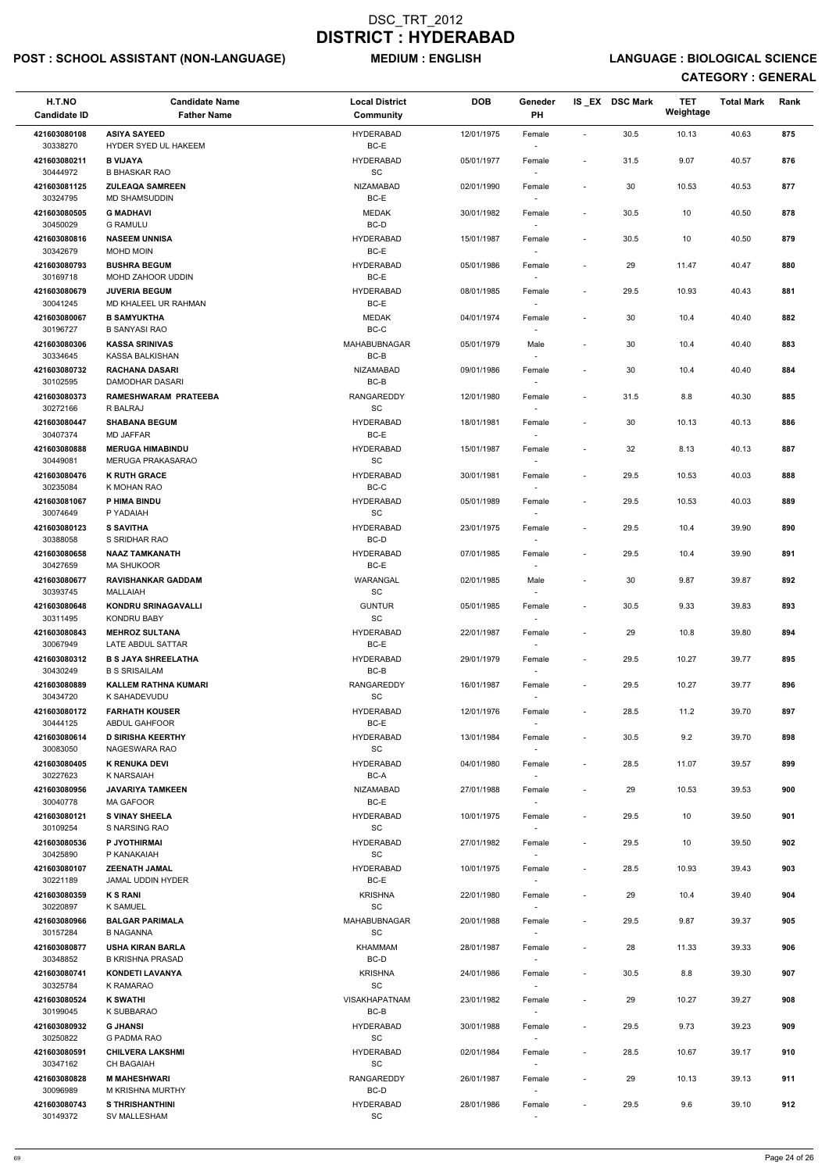## POST : SCHOOL ASSISTANT (NON-LANGUAGE) MEDIUM : ENGLISH LANGUAGE : BIOLOGICAL SCIENCE

| H.T.NO<br><b>Candidate ID</b> | <b>Candidate Name</b><br><b>Father Name</b>         | <b>Local District</b><br>Community               | <b>DOB</b> | Geneder<br>PH                      |                              | IS_EX DSC Mark | <b>TET</b><br>Weightage | <b>Total Mark</b> | Rank |
|-------------------------------|-----------------------------------------------------|--------------------------------------------------|------------|------------------------------------|------------------------------|----------------|-------------------------|-------------------|------|
| 421603080108<br>30338270      | <b>ASIYA SAYEED</b><br>HYDER SYED UL HAKEEM         | <b>HYDERABAD</b><br>BC-E                         | 12/01/1975 | Female                             | $\blacksquare$               | 30.5           | 10.13                   | 40.63             | 875  |
| 421603080211<br>30444972      | <b>B VIJAYA</b><br><b>B BHASKAR RAO</b>             | <b>HYDERABAD</b><br>SC                           | 05/01/1977 | Female                             | $\overline{\phantom{a}}$     | 31.5           | 9.07                    | 40.57             | 876  |
| 421603081125<br>30324795      | <b>ZULEAQA SAMREEN</b><br>MD SHAMSUDDIN             | <b>NIZAMABAD</b><br>BC-E                         | 02/01/1990 | Female                             | $\sim$                       | 30             | 10.53                   | 40.53             | 877  |
| 421603080505                  | <b>G MADHAVI</b>                                    | <b>MEDAK</b>                                     | 30/01/1982 | Female                             | $\overline{\phantom{a}}$     | 30.5           | 10                      | 40.50             | 878  |
| 30450029<br>421603080816      | <b>G RAMULU</b><br><b>NASEEM UNNISA</b>             | BC-D<br><b>HYDERABAD</b>                         | 15/01/1987 | Female                             | $\overline{\phantom{a}}$     | 30.5           | 10                      | 40.50             | 879  |
| 30342679<br>421603080793      | MOHD MOIN<br><b>BUSHRA BEGUM</b>                    | BC-E<br><b>HYDERABAD</b>                         | 05/01/1986 | $\overline{\phantom{a}}$<br>Female | $\qquad \qquad \blacksquare$ | 29             | 11.47                   | 40.47             | 880  |
| 30169718                      | MOHD ZAHOOR UDDIN                                   | BC-E                                             |            |                                    |                              |                |                         |                   |      |
| 421603080679<br>30041245      | <b>JUVERIA BEGUM</b><br>MD KHALEEL UR RAHMAN        | <b>HYDERABAD</b><br>BC-E                         | 08/01/1985 | Female                             | $\blacksquare$               | 29.5           | 10.93                   | 40.43             | 881  |
| 421603080067<br>30196727      | <b>B SAMYUKTHA</b><br><b>B SANYASI RAO</b>          | <b>MEDAK</b><br>$BC-C$                           | 04/01/1974 | Female<br>$\sim$                   | $\overline{\phantom{a}}$     | 30             | 10.4                    | 40.40             | 882  |
| 421603080306<br>30334645      | <b>KASSA SRINIVAS</b><br>KASSA BALKISHAN            | MAHABUBNAGAR<br>BC-B                             | 05/01/1979 | Male<br>$\overline{\phantom{a}}$   | $\overline{\phantom{a}}$     | 30             | 10.4                    | 40.40             | 883  |
| 421603080732<br>30102595      | <b>RACHANA DASARI</b><br>DAMODHAR DASARI            | <b>NIZAMABAD</b><br>BC-B                         | 09/01/1986 | Female                             | $\overline{\phantom{a}}$     | 30             | 10.4                    | 40.40             | 884  |
| 421603080373<br>30272166      | RAMESHWARAM PRATEEBA<br>R BALRAJ                    | RANGAREDDY<br>SC                                 | 12/01/1980 | Female                             | $\overline{\phantom{a}}$     | 31.5           | 8.8                     | 40.30             | 885  |
| 421603080447                  | <b>SHABANA BEGUM</b>                                | <b>HYDERABAD</b>                                 | 18/01/1981 | Female                             | $\overline{\phantom{a}}$     | 30             | 10.13                   | 40.13             | 886  |
| 30407374<br>421603080888      | <b>MD JAFFAR</b><br><b>MERUGA HIMABINDU</b>         | BC-E<br><b>HYDERABAD</b>                         | 15/01/1987 | $\overline{\phantom{a}}$<br>Female | $\qquad \qquad \blacksquare$ | 32             | 8.13                    | 40.13             | 887  |
| 30449081<br>421603080476      | <b>MERUGA PRAKASARAO</b><br><b>K RUTH GRACE</b>     | <b>SC</b><br><b>HYDERABAD</b>                    | 30/01/1981 | $\overline{\phantom{a}}$<br>Female | $\blacksquare$               | 29.5           | 10.53                   | 40.03             | 888  |
| 30235084                      | K MOHAN RAO                                         | BC-C                                             |            | $\overline{\phantom{a}}$           |                              |                |                         |                   |      |
| 421603081067<br>30074649      | P HIMA BINDU<br>P YADAIAH                           | <b>HYDERABAD</b><br>$\operatorname{\textsf{SC}}$ | 05/01/1989 | Female                             | $\blacksquare$               | 29.5           | 10.53                   | 40.03             | 889  |
| 421603080123<br>30388058      | <b>S SAVITHA</b><br>S SRIDHAR RAO                   | <b>HYDERABAD</b><br>BC-D                         | 23/01/1975 | Female<br>$\overline{\phantom{a}}$ | $\overline{\phantom{a}}$     | 29.5           | 10.4                    | 39.90             | 890  |
| 421603080658<br>30427659      | <b>NAAZ TAMKANATH</b><br><b>MA SHUKOOR</b>          | <b>HYDERABAD</b><br>BC-E                         | 07/01/1985 | Female<br>$\overline{\phantom{a}}$ |                              | 29.5           | 10.4                    | 39.90             | 891  |
| 421603080677<br>30393745      | <b>RAVISHANKAR GADDAM</b><br>MALLAIAH               | WARANGAL<br><b>SC</b>                            | 02/01/1985 | Male                               | $\overline{\phantom{a}}$     | 30             | 9.87                    | 39.87             | 892  |
| 421603080648<br>30311495      | <b>KONDRU SRINAGAVALLI</b>                          | <b>GUNTUR</b><br>SC                              | 05/01/1985 | Female                             | $\blacksquare$               | 30.5           | 9.33                    | 39.83             | 893  |
| 421603080843                  | KONDRU BABY<br><b>MEHROZ SULTANA</b>                | <b>HYDERABAD</b>                                 | 22/01/1987 | Female                             | $\overline{\phantom{a}}$     | 29             | 10.8                    | 39.80             | 894  |
| 30067949<br>421603080312      | LATE ABDUL SATTAR<br><b>B S JAYA SHREELATHA</b>     | BC-E<br><b>HYDERABAD</b>                         | 29/01/1979 | Female                             | $\blacksquare$               | 29.5           | 10.27                   | 39.77             | 895  |
| 30430249<br>421603080889      | <b>B S SRISAILAM</b><br><b>KALLEM RATHNA KUMARI</b> | BC-B<br><b>RANGAREDDY</b>                        | 16/01/1987 | $\sim$<br>Female                   | $\overline{\phantom{a}}$     | 29.5           | 10.27                   | 39.77             | 896  |
| 30434720<br>421603080172      | K SAHADEVUDU<br><b>FARHATH KOUSER</b>               | SC<br><b>HYDERABAD</b>                           | 12/01/1976 | Female                             | $\blacksquare$               | 28.5           | 11.2                    | 39.70             | 897  |
| 30444125                      | ABDUL GAHFOOR                                       | BC-E                                             |            |                                    |                              |                |                         |                   |      |
| 421603080614<br>30083050      | <b>D SIRISHA KEERTHY</b><br>NAGESWARA RAO           | <b>HYDERABAD</b><br>SC                           | 13/01/1984 | Female<br>$\sim$                   | $\overline{\phantom{a}}$     | 30.5           | 9.2                     | 39.70             | 898  |
| 421603080405<br>30227623      | <b>K RENUKA DEVI</b><br><b>K NARSAIAH</b>           | <b>HYDERABAD</b><br>BC-A                         | 04/01/1980 | Female<br>$\sim$                   | $\blacksquare$               | 28.5           | 11.07                   | 39.57             | 899  |
| 421603080956<br>30040778      | <b>JAVARIYA TAMKEEN</b><br><b>MA GAFOOR</b>         | NIZAMABAD<br>BC-E                                | 27/01/1988 | Female<br>$\overline{\phantom{a}}$ | $\overline{\phantom{a}}$     | 29             | 10.53                   | 39.53             | 900  |
| 421603080121<br>30109254      | <b>S VINAY SHEELA</b><br>S NARSING RAO              | <b>HYDERABAD</b><br>SC                           | 10/01/1975 | Female                             | $\blacksquare$               | 29.5           | 10                      | 39.50             | 901  |
| 421603080536                  | P JYOTHIRMAI                                        | <b>HYDERABAD</b><br>SC                           | 27/01/1982 | Female                             | $\blacksquare$               | 29.5           | 10                      | 39.50             | 902  |
| 30425890<br>421603080107      | P KANAKAIAH<br><b>ZEENATH JAMAL</b>                 | <b>HYDERABAD</b>                                 | 10/01/1975 | $\sim$<br>Female                   | $\blacksquare$               | 28.5           | 10.93                   | 39.43             | 903  |
| 30221189<br>421603080359      | JAMAL UDDIN HYDER<br><b>K S RANI</b>                | BC-E<br><b>KRISHNA</b>                           | 22/01/1980 | $\sim$<br>Female                   | $\overline{\phantom{a}}$     | 29             | 10.4                    | 39.40             | 904  |
| 30220897<br>421603080966      | <b>K SAMUEL</b><br><b>BALGAR PARIMALA</b>           | SC<br>MAHABUBNAGAR                               | 20/01/1988 | $\sim$<br>Female                   | $\overline{\phantom{a}}$     | 29.5           | 9.87                    | 39.37             | 905  |
| 30157284<br>421603080877      | <b>B NAGANNA</b><br><b>USHA KIRAN BARLA</b>         | SC<br>KHAMMAM                                    | 28/01/1987 | Female                             | $\overline{\phantom{a}}$     | 28             | 11.33                   | 39.33             | 906  |
| 30348852                      | <b>B KRISHNA PRASAD</b>                             | BC-D                                             |            |                                    |                              |                |                         |                   |      |
| 421603080741<br>30325784      | <b>KONDETI LAVANYA</b><br>K RAMARAO                 | <b>KRISHNA</b><br>$\operatorname{\textsf{SC}}$   | 24/01/1986 | Female<br>$\sim$                   | $\overline{\phantom{a}}$     | 30.5           | 8.8                     | 39.30             | 907  |
| 421603080524<br>30199045      | <b>K SWATHI</b><br>K SUBBARAO                       | VISAKHAPATNAM<br>BC-B                            | 23/01/1982 | Female<br>$\overline{\phantom{a}}$ | $\overline{\phantom{a}}$     | 29             | 10.27                   | 39.27             | 908  |
| 421603080932<br>30250822      | <b>G JHANSI</b><br>G PADMA RAO                      | <b>HYDERABAD</b><br>SC                           | 30/01/1988 | Female<br>$\sim$                   | $\overline{\phantom{a}}$     | 29.5           | 9.73                    | 39.23             | 909  |
| 421603080591                  | <b>CHILVERA LAKSHMI</b>                             | <b>HYDERABAD</b>                                 | 02/01/1984 | Female                             | $\overline{\phantom{a}}$     | 28.5           | 10.67                   | 39.17             | 910  |
| 30347162<br>421603080828      | <b>CH BAGAIAH</b><br><b>M MAHESHWARI</b>            | SC<br>RANGAREDDY                                 | 26/01/1987 | $\sim$<br>Female                   | $\overline{\phantom{a}}$     | 29             | 10.13                   | 39.13             | 911  |
| 30096989<br>421603080743      | M KRISHNA MURTHY<br><b>S THRISHANTHINI</b>          | BC-D<br><b>HYDERABAD</b>                         | 28/01/1986 | $\sim$<br>Female                   | $\overline{\phantom{a}}$     | 29.5           | 9.6                     | 39.10             | 912  |
| 30149372                      | SV MALLESHAM                                        | $\operatorname{\textsf{SC}}$                     |            |                                    |                              |                |                         |                   |      |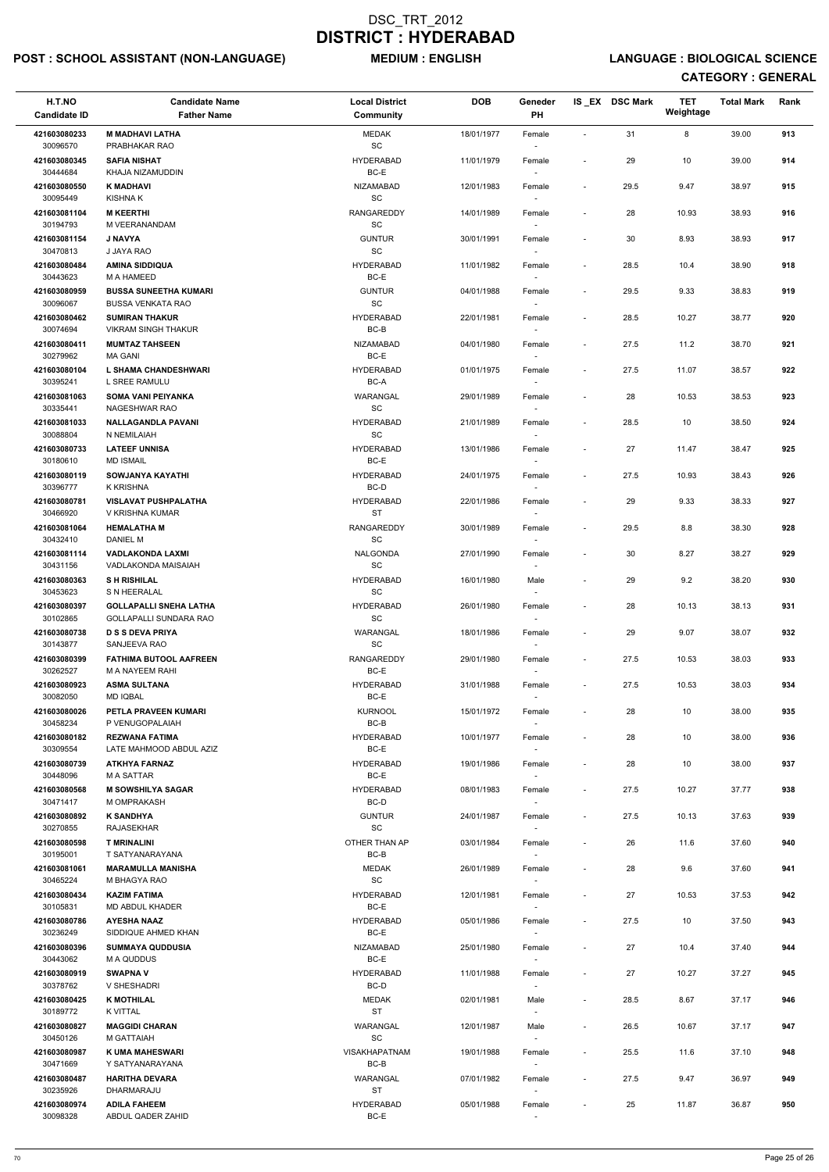## POST : SCHOOL ASSISTANT (NON-LANGUAGE) MEDIUM : ENGLISH LANGUAGE : BIOLOGICAL SCIENCE

| H.T.NO<br><b>Candidate ID</b> | <b>Candidate Name</b><br><b>Father Name</b>                    | <b>Local District</b><br><b>Community</b>         | <b>DOB</b> | Geneder<br><b>PH</b>               |                          | IS EX DSC Mark | <b>TET</b><br>Weightage | <b>Total Mark</b> | Rank |
|-------------------------------|----------------------------------------------------------------|---------------------------------------------------|------------|------------------------------------|--------------------------|----------------|-------------------------|-------------------|------|
| 421603080233                  | <b>M MADHAVI LATHA</b>                                         | <b>MEDAK</b>                                      | 18/01/1977 | Female                             | $\sim$                   | 31             | 8                       | 39.00             | 913  |
| 30096570<br>421603080345      | PRABHAKAR RAO<br><b>SAFIA NISHAT</b>                           | $\operatorname{\textsf{SC}}$<br><b>HYDERABAD</b>  | 11/01/1979 | $\overline{\phantom{a}}$<br>Female | $\overline{\phantom{a}}$ | 29             | 10                      | 39.00             | 914  |
| 30444684<br>421603080550      | KHAJA NIZAMUDDIN<br><b>K MADHAVI</b>                           | BC-E<br><b>NIZAMABAD</b>                          | 12/01/1983 | Female                             | $\blacksquare$           | 29.5           | 9.47                    | 38.97             | 915  |
| 30095449                      | KISHNA K                                                       | SC                                                |            | $\overline{\phantom{a}}$           |                          |                |                         |                   |      |
| 421603081104<br>30194793      | <b>M KEERTHI</b><br>M VEERANANDAM                              | <b>RANGAREDDY</b><br>$\operatorname{\textsf{SC}}$ | 14/01/1989 | Female<br>$\sim$                   | $\blacksquare$           | 28             | 10.93                   | 38.93             | 916  |
| 421603081154<br>30470813      | <b>J NAVYA</b><br>J JAYA RAO                                   | <b>GUNTUR</b><br>SC                               | 30/01/1991 | Female<br>$\sim$                   | $\overline{\phantom{a}}$ | 30             | 8.93                    | 38.93             | 917  |
| 421603080484<br>30443623      | <b>AMINA SIDDIQUA</b><br>M A HAMEED                            | <b>HYDERABAD</b><br>BC-E                          | 11/01/1982 | Female<br>$\sim$                   | $\blacksquare$           | 28.5           | 10.4                    | 38.90             | 918  |
| 421603080959<br>30096067      | <b>BUSSA SUNEETHA KUMARI</b><br><b>BUSSA VENKATA RAO</b>       | <b>GUNTUR</b><br>SC                               | 04/01/1988 | Female                             | $\blacksquare$           | 29.5           | 9.33                    | 38.83             | 919  |
| 421603080462<br>30074694      | <b>SUMIRAN THAKUR</b><br><b>VIKRAM SINGH THAKUR</b>            | <b>HYDERABAD</b><br>$BC-B$                        | 22/01/1981 | Female<br>$\sim$                   | $\overline{\phantom{a}}$ | 28.5           | 10.27                   | 38.77             | 920  |
| 421603080411                  | <b>MUMTAZ TAHSEEN</b>                                          | <b>NIZAMABAD</b>                                  | 04/01/1980 | Female                             | $\overline{\phantom{a}}$ | 27.5           | 11.2                    | 38.70             | 921  |
| 30279962<br>421603080104      | <b>MA GANI</b><br>L SHAMA CHANDESHWARI                         | BC-E<br><b>HYDERABAD</b>                          | 01/01/1975 | $\sim$<br>Female                   | $\blacksquare$           | 27.5           | 11.07                   | 38.57             | 922  |
| 30395241                      | L SREE RAMULU                                                  | BC-A                                              |            | $\sim$                             |                          |                |                         |                   |      |
| 421603081063<br>30335441      | <b>SOMA VANI PEIYANKA</b><br>NAGESHWAR RAO                     | WARANGAL<br>$\operatorname{\textsf{SC}}$          | 29/01/1989 | Female                             | $\blacksquare$           | 28             | 10.53                   | 38.53             | 923  |
| 421603081033                  | <b>NALLAGANDLA PAVANI</b>                                      | <b>HYDERABAD</b><br>SC                            | 21/01/1989 | Female                             | $\blacksquare$           | 28.5           | 10                      | 38.50             | 924  |
| 30088804<br>421603080733      | N NEMILAIAH<br><b>LATEEF UNNISA</b>                            | <b>HYDERABAD</b>                                  | 13/01/1986 | Female                             | $\overline{\phantom{a}}$ | 27             | 11.47                   | 38.47             | 925  |
| 30180610<br>421603080119      | <b>MD ISMAIL</b><br>SOWJANYA KAYATHI                           | BC-E<br><b>HYDERABAD</b>                          | 24/01/1975 | $\sim$<br>Female                   | $\blacksquare$           | 27.5           | 10.93                   | 38.43             | 926  |
| 30396777                      | <b>K KRISHNA</b><br><b>VISLAVAT PUSHPALATHA</b>                | BC-D                                              |            | $\sim$                             |                          |                |                         |                   |      |
| 421603080781<br>30466920      | V KRISHNA KUMAR                                                | <b>HYDERABAD</b><br><b>ST</b>                     | 22/01/1986 | Female<br>$\sim$                   | $\blacksquare$           | 29             | 9.33                    | 38.33             | 927  |
| 421603081064<br>30432410      | <b>HEMALATHA M</b><br>DANIEL M                                 | RANGAREDDY<br>SC                                  | 30/01/1989 | Female<br>$\overline{\phantom{a}}$ | $\overline{\phantom{a}}$ | 29.5           | 8.8                     | 38.30             | 928  |
| 421603081114<br>30431156      | <b>VADLAKONDA LAXMI</b><br>VADLAKONDA MAISAIAH                 | <b>NALGONDA</b><br>SC                             | 27/01/1990 | Female<br>$\sim$                   |                          | 30             | 8.27                    | 38.27             | 929  |
| 421603080363<br>30453623      | <b>SH RISHILAL</b><br>S N HEERALAL                             | <b>HYDERABAD</b><br>SC                            | 16/01/1980 | Male                               | $\overline{\phantom{a}}$ | 29             | 9.2                     | 38.20             | 930  |
| 421603080397<br>30102865      | <b>GOLLAPALLI SNEHA LATHA</b><br><b>GOLLAPALLI SUNDARA RAO</b> | <b>HYDERABAD</b><br><b>SC</b>                     | 26/01/1980 | Female<br>$\sim$                   | $\sim$                   | 28             | 10.13                   | 38.13             | 931  |
| 421603080738<br>30143877      | <b>D S S DEVA PRIYA</b><br>SANJEEVA RAO                        | WARANGAL<br>SC                                    | 18/01/1986 | Female<br>$\sim$                   | $\overline{\phantom{a}}$ | 29             | 9.07                    | 38.07             | 932  |
| 421603080399<br>30262527      | <b>FATHIMA BUTOOL AAFREEN</b><br>M A NAYEEM RAHI               | <b>RANGAREDDY</b><br>BC-E                         | 29/01/1980 | Female<br>$\sim$                   | $\overline{\phantom{a}}$ | 27.5           | 10.53                   | 38.03             | 933  |
| 421603080923<br>30082050      | <b>ASMA SULTANA</b>                                            | <b>HYDERABAD</b><br>BC-E                          | 31/01/1988 | Female                             | $\blacksquare$           | 27.5           | 10.53                   | 38.03             | 934  |
| 421603080026                  | <b>MD IQBAL</b><br>PETLA PRAVEEN KUMARI                        | <b>KURNOOL</b>                                    | 15/01/1972 | $\sim$<br>Female                   | $\overline{\phantom{a}}$ | 28             | 10                      | 38.00             | 935  |
| 30458234<br>421603080182      | P VENUGOPALAIAH<br><b>REZWANA FATIMA</b>                       | BC-B<br><b>HYDERABAD</b>                          | 10/01/1977 | Female                             | $\overline{\phantom{a}}$ | 28             | 10                      | 38.00             | 936  |
| 30309554                      | LATE MAHMOOD ABDUL AZIZ                                        | BC-E<br><b>HYDERABAD</b>                          |            | $\sim$                             |                          |                |                         |                   | 937  |
| 421603080739<br>30448096      | <b>ATKHYA FARNAZ</b><br><b>MA SATTAR</b>                       | BC-E                                              | 19/01/1986 | Female<br>$\sim$                   | $\overline{\phantom{a}}$ | 28             | 10                      | 38.00             |      |
| 421603080568<br>30471417      | <b>M SOWSHILYA SAGAR</b><br>M OMPRAKASH                        | <b>HYDERABAD</b><br>BC-D                          | 08/01/1983 | Female<br>$\sim$                   | $\blacksquare$           | 27.5           | 10.27                   | 37.77             | 938  |
| 421603080892<br>30270855      | <b>K SANDHYA</b><br><b>RAJASEKHAR</b>                          | <b>GUNTUR</b><br>SC                               | 24/01/1987 | Female                             | $\overline{\phantom{a}}$ | 27.5           | 10.13                   | 37.63             | 939  |
| 421603080598<br>30195001      | <b>T MRINALINI</b><br>T SATYANARAYANA                          | OTHER THAN AP<br>BC-B                             | 03/01/1984 | Female<br>$\overline{\phantom{a}}$ | $\blacksquare$           | 26             | 11.6                    | 37.60             | 940  |
| 421603081061<br>30465224      | <b>MARAMULLA MANISHA</b><br>M BHAGYA RAO                       | <b>MEDAK</b><br>SC                                | 26/01/1989 | Female<br>$\sim$                   | $\blacksquare$           | 28             | 9.6                     | 37.60             | 941  |
| 421603080434                  | <b>KAZIM FATIMA</b>                                            | <b>HYDERABAD</b>                                  | 12/01/1981 | Female                             | $\blacksquare$           | 27             | 10.53                   | 37.53             | 942  |
| 30105831<br>421603080786      | <b>MD ABDUL KHADER</b><br><b>AYESHA NAAZ</b>                   | BC-E<br><b>HYDERABAD</b>                          | 05/01/1986 | $\sim$<br>Female                   | $\blacksquare$           | 27.5           | 10                      | 37.50             | 943  |
| 30236249                      | SIDDIQUE AHMED KHAN                                            | BC-E                                              |            | $\sim$                             |                          |                |                         |                   |      |
| 421603080396<br>30443062      | <b>SUMMAYA QUDDUSIA</b><br>M A QUDDUS                          | NIZAMABAD<br>BC-E                                 | 25/01/1980 | Female                             | $\blacksquare$           | 27             | 10.4                    | 37.40             | 944  |
| 421603080919                  | <b>SWAPNA V</b>                                                | <b>HYDERABAD</b>                                  | 11/01/1988 | Female                             | $\overline{\phantom{a}}$ | 27             | 10.27                   | 37.27             | 945  |
| 30378762<br>421603080425      | V SHESHADRI<br><b>K MOTHILAL</b>                               | BC-D<br><b>MEDAK</b>                              | 02/01/1981 | $\sim$<br>Male                     | $\overline{\phantom{a}}$ | 28.5           | 8.67                    | 37.17             | 946  |
| 30189772<br>421603080827      | K VITTAL<br><b>MAGGIDI CHARAN</b>                              | ST<br>WARANGAL                                    | 12/01/1987 | $\overline{\phantom{a}}$<br>Male   | $\overline{\phantom{a}}$ | 26.5           | 10.67                   | 37.17             | 947  |
| 30450126                      | M GATTAIAH                                                     | SC                                                |            | $\sim$                             |                          |                |                         |                   |      |
| 421603080987<br>30471669      | <b>K UMA MAHESWARI</b><br>Y SATYANARAYANA                      | <b>VISAKHAPATNAM</b><br>BC-B                      | 19/01/1988 | Female<br>$\sim$                   | $\overline{\phantom{a}}$ | 25.5           | 11.6                    | 37.10             | 948  |
| 421603080487<br>30235926      | <b>HARITHA DEVARA</b><br>DHARMARAJU                            | <b>WARANGAL</b><br><b>ST</b>                      | 07/01/1982 | Female<br>$\sim$                   | $\overline{\phantom{a}}$ | 27.5           | 9.47                    | 36.97             | 949  |
| 421603080974<br>30098328      | <b>ADILA FAHEEM</b><br>ABDUL QADER ZAHID                       | <b>HYDERABAD</b><br>BC-E                          | 05/01/1988 | Female<br>$\overline{\phantom{a}}$ | $\overline{\phantom{a}}$ | 25             | 11.87                   | 36.87             | 950  |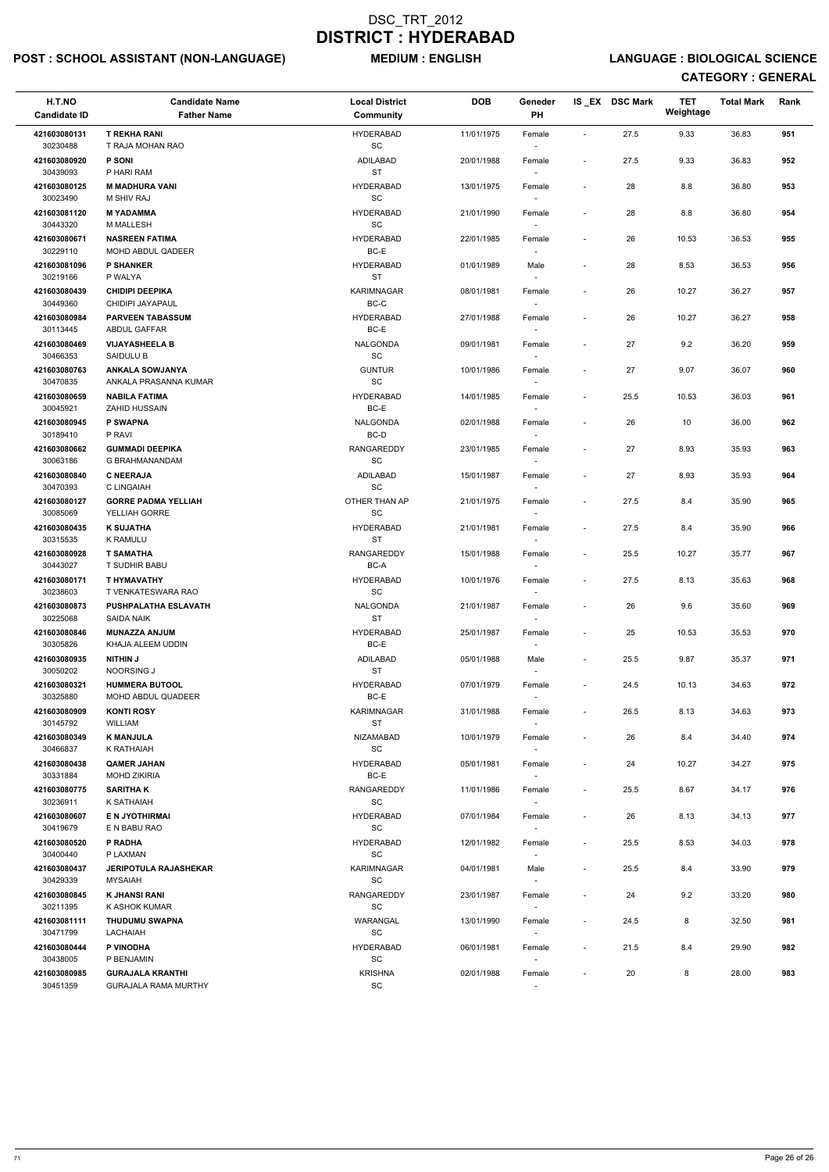## POST : SCHOOL ASSISTANT (NON-LANGUAGE) MEDIUM : ENGLISH LANGUAGE : BIOLOGICAL SCIENCE

| H.T.NO<br><b>Candidate ID</b> | <b>Candidate Name</b><br><b>Father Name</b>     | <b>Local District</b><br>Community               | <b>DOB</b> | Geneder<br>PH                      |                          | IS_EX DSC Mark | <b>TET</b><br>Weightage | <b>Total Mark</b> | Rank |
|-------------------------------|-------------------------------------------------|--------------------------------------------------|------------|------------------------------------|--------------------------|----------------|-------------------------|-------------------|------|
| 421603080131<br>30230488      | <b>T REKHA RANI</b><br>T RAJA MOHAN RAO         | <b>HYDERABAD</b><br>$\operatorname{\textsf{SC}}$ | 11/01/1975 | Female                             | $\blacksquare$           | 27.5           | 9.33                    | 36.83             | 951  |
| 421603080920<br>30439093      | <b>P SONI</b><br>P HARI RAM                     | <b>ADILABAD</b><br><b>ST</b>                     | 20/01/1988 | Female                             | $\blacksquare$           | 27.5           | 9.33                    | 36.83             | 952  |
| 421603080125<br>30023490      | <b>M MADHURA VANI</b><br><b>M SHIV RAJ</b>      | <b>HYDERABAD</b><br>$\operatorname{\textsf{SC}}$ | 13/01/1975 | Female                             | $\blacksquare$           | 28             | 8.8                     | 36.80             | 953  |
| 421603081120<br>30443320      | <b>M YADAMMA</b><br>M MALLESH                   | <b>HYDERABAD</b><br>SC                           | 21/01/1990 | Female<br>$\sim$                   | $\overline{\phantom{a}}$ | 28             | 8.8                     | 36.80             | 954  |
| 421603080671<br>30229110      | <b>NASREEN FATIMA</b><br>MOHD ABDUL QADEER      | <b>HYDERABAD</b><br>BC-E                         | 22/01/1985 | Female<br>$\overline{\phantom{a}}$ | $\overline{\phantom{a}}$ | 26             | 10.53                   | 36.53             | 955  |
| 421603081096<br>30219166      | <b>P SHANKER</b><br>P WALYA                     | <b>HYDERABAD</b><br><b>ST</b>                    | 01/01/1989 | Male<br>$\sim$                     | $\overline{\phantom{a}}$ | 28             | 8.53                    | 36.53             | 956  |
| 421603080439<br>30449360      | <b>CHIDIPI DEEPIKA</b><br>CHIDIPI JAYAPAUL      | <b>KARIMNAGAR</b><br>BC-C                        | 08/01/1981 | Female                             | $\blacksquare$           | 26             | 10.27                   | 36.27             | 957  |
| 421603080984<br>30113445      | PARVEEN TABASSUM<br>ABDUL GAFFAR                | <b>HYDERABAD</b><br>BC-E                         | 27/01/1988 | Female<br>$\sim$                   | $\blacksquare$           | 26             | 10.27                   | 36.27             | 958  |
| 421603080469<br>30466353      | <b>VIJAYASHEELA B</b><br>SAIDULU B              | NALGONDA<br>SC                                   | 09/01/1981 | Female<br>$\sim$                   | $\sim$                   | 27             | 9.2                     | 36.20             | 959  |
| 421603080763<br>30470835      | <b>ANKALA SOWJANYA</b><br>ANKALA PRASANNA KUMAR | <b>GUNTUR</b><br>SC                              | 10/01/1986 | Female<br>$\sim$                   | $\blacksquare$           | 27             | 9.07                    | 36.07             | 960  |
| 421603080659<br>30045921      | <b>NABILA FATIMA</b><br><b>ZAHID HUSSAIN</b>    | <b>HYDERABAD</b><br>BC-E                         | 14/01/1985 | Female                             | $\blacksquare$           | 25.5           | 10.53                   | 36.03             | 961  |
| 421603080945<br>30189410      | P SWAPNA<br>P RAVI                              | <b>NALGONDA</b><br>BC-D                          | 02/01/1988 | Female                             | $\blacksquare$           | 26             | 10                      | 36.00             | 962  |
| 421603080662<br>30063186      | <b>GUMMADI DEEPIKA</b><br>G BRAHMANANDAM        | RANGAREDDY<br>SC                                 | 23/01/1985 | Female<br>$\sim$                   |                          | 27             | 8.93                    | 35.93             | 963  |
| 421603080840<br>30470393      | <b>C NEERAJA</b><br>C LINGAIAH                  | ADILABAD<br>SC                                   | 15/01/1987 | Female<br>$\sim$                   | $\blacksquare$           | 27             | 8.93                    | 35.93             | 964  |
| 421603080127<br>30085069      | <b>GORRE PADMA YELLIAH</b><br>YELLIAH GORRE     | OTHER THAN AP<br>SC                              | 21/01/1975 | Female                             | $\blacksquare$           | 27.5           | 8.4                     | 35.90             | 965  |
| 421603080435<br>30315535      | <b>K SUJATHA</b><br>K RAMULU                    | <b>HYDERABAD</b><br>ST                           | 21/01/1981 | Female<br>$\overline{\phantom{a}}$ | $\blacksquare$           | 27.5           | 8.4                     | 35.90             | 966  |
| 421603080928<br>30443027      | <b>T SAMATHA</b><br>T SUDHIR BABU               | <b>RANGAREDDY</b><br>BC-A                        | 15/01/1988 | Female<br>$\sim$                   |                          | 25.5           | 10.27                   | 35.77             | 967  |
| 421603080171<br>30238603      | T HYMAVATHY<br>T VENKATESWARA RAO               | <b>HYDERABAD</b><br>SC                           | 10/01/1976 | Female                             | $\overline{\phantom{a}}$ | 27.5           | 8.13                    | 35.63             | 968  |
| 421603080873<br>30225068      | PUSHPALATHA ESLAVATH<br>SAIDA NAIK              | <b>NALGONDA</b><br><b>ST</b>                     | 21/01/1987 | Female                             | $\overline{\phantom{a}}$ | 26             | 9.6                     | 35.60             | 969  |
| 421603080846<br>30305826      | <b>MUNAZZA ANJUM</b><br>KHAJA ALEEM UDDIN       | <b>HYDERABAD</b><br>BC-E                         | 25/01/1987 | Female                             |                          | 25             | 10.53                   | 35.53             | 970  |
| 421603080935<br>30050202      | <b>NITHIN J</b><br>NOORSING J                   | ADILABAD<br><b>ST</b>                            | 05/01/1988 | Male<br>$\sim$                     | $\overline{\phantom{a}}$ | 25.5           | 9.87                    | 35.37             | 971  |
| 421603080321<br>30325880      | <b>HUMMERA BUTOOL</b><br>MOHD ABDUL QUADEER     | <b>HYDERABAD</b><br>BC-E                         | 07/01/1979 | Female                             | $\overline{\phantom{a}}$ | 24.5           | 10.13                   | 34.63             | 972  |
| 421603080909<br>30145792      | <b>KONTI ROSY</b><br><b>WILLIAM</b>             | KARIMNAGAR<br><b>ST</b>                          | 31/01/1988 | Female                             | $\blacksquare$           | 26.5           | 8.13                    | 34.63             | 973  |
| 421603080349<br>30466837      | <b>K MANJULA</b><br>K RATHAIAH                  | NIZAMABAD<br>SC                                  | 10/01/1979 | Female<br>$\sim$                   | $\overline{\phantom{a}}$ | 26             | 8.4                     | 34.40             | 974  |
| 421603080438<br>30331884      | <b>QAMER JAHAN</b><br><b>MOHD ZIKIRIA</b>       | <b>HYDERABAD</b><br>BC-E                         | 05/01/1981 | Female<br>$\sim$                   | $\overline{\phantom{a}}$ | 24             | 10.27                   | 34.27             | 975  |
| 421603080775<br>30236911      | <b>SARITHAK</b><br>K SATHAIAH                   | RANGAREDDY<br>SC                                 | 11/01/1986 | Female<br>$\sim$                   | $\overline{\phantom{a}}$ | 25.5           | 8.67                    | 34.17             | 976  |
| 421603080607<br>30419679      | E N JYOTHIRMAI<br>E N BABU RAO                  | <b>HYDERABAD</b><br>SC                           | 07/01/1984 | Female                             |                          | 26             | 8.13                    | 34.13             | 977  |
| 421603080520<br>30400440      | P RADHA<br>P LAXMAN                             | <b>HYDERABAD</b><br>SC                           | 12/01/1982 | Female<br>$\overline{\phantom{a}}$ | $\blacksquare$           | 25.5           | 8.53                    | 34.03             | 978  |
| 421603080437<br>30429339      | <b>JERIPOTULA RAJASHEKAR</b><br><b>MYSAIAH</b>  | <b>KARIMNAGAR</b><br><b>SC</b>                   | 04/01/1981 | Male                               |                          | 25.5           | 8.4                     | 33.90             | 979  |

| 421603080845 | K JHANSI RANI               | <b>RANGAREDDY</b> | 23/01/1987 | Female |                          | 24   | 9.2 | 33.20 | 980 |
|--------------|-----------------------------|-------------------|------------|--------|--------------------------|------|-----|-------|-----|
| 30211395     | K ASHOK KUMAR               | <b>SC</b>         |            |        |                          |      |     |       |     |
| 421603081111 | <b>THUDUMU SWAPNA</b>       | WARANGAL          | 13/01/1990 | Female | $\overline{\phantom{a}}$ | 24.5 | o   | 32.50 | 981 |
| 30471799     | LACHAIAH                    | SC                |            |        |                          |      |     |       |     |
| 421603080444 | P VINODHA                   | HYDERABAD         | 06/01/1981 | Female | $\overline{\phantom{a}}$ | 21.5 | 8.4 | 29.90 | 982 |
| 30438005     | P BENJAMIN                  | SC                |            |        |                          |      |     |       |     |
| 421603080985 | <b>GURAJALA KRANTHI</b>     | <b>KRISHNA</b>    | 02/01/1988 | Female | $\overline{\phantom{0}}$ | 20   |     | 28.00 | 983 |
| 30451359     | <b>GURAJALA RAMA MURTHY</b> | SC                |            |        |                          |      |     |       |     |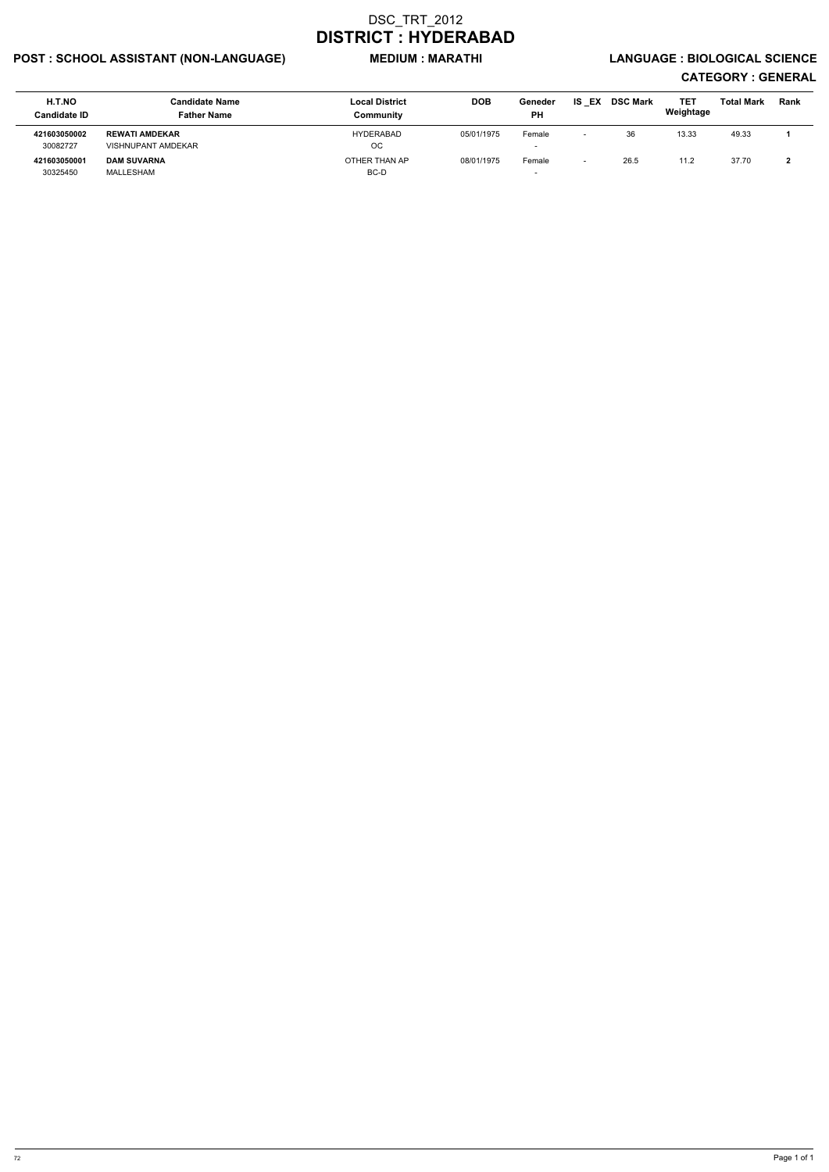## POST : SCHOOL ASSISTANT (NON-LANGUAGE) MEDIUM : MARATHI LANGUAGE : BIOLOGICAL SCIENCE

| H.T.NO              | <b>Candidate Name</b> | <b>Local District</b> | <b>DOB</b> | Geneder                  | EX<br>IS | <b>DSC Mark</b> | TET       | <b>Total Mark</b> | <b>Rank</b> |
|---------------------|-----------------------|-----------------------|------------|--------------------------|----------|-----------------|-----------|-------------------|-------------|
| <b>Candidate ID</b> | <b>Father Name</b>    | Community             |            | <b>PH</b>                |          |                 | Weightage |                   |             |
| 421603050002        | <b>REWATI AMDEKAR</b> | <b>HYDERABAD</b>      | 05/01/1975 | Female                   |          | 36              | 13.33     | 49.33             |             |
| 30082727            | VISHNUPANT AMDEKAR    | OC.                   |            | $\overline{\phantom{a}}$ |          |                 |           |                   |             |
| 421603050001        | <b>DAM SUVARNA</b>    | OTHER THAN AP         | 08/01/1975 | Female                   |          | 26.5            | 11.2      | 37.70             |             |
| 30325450            | MALLESHAM             | BC-D                  |            | -                        |          |                 |           |                   |             |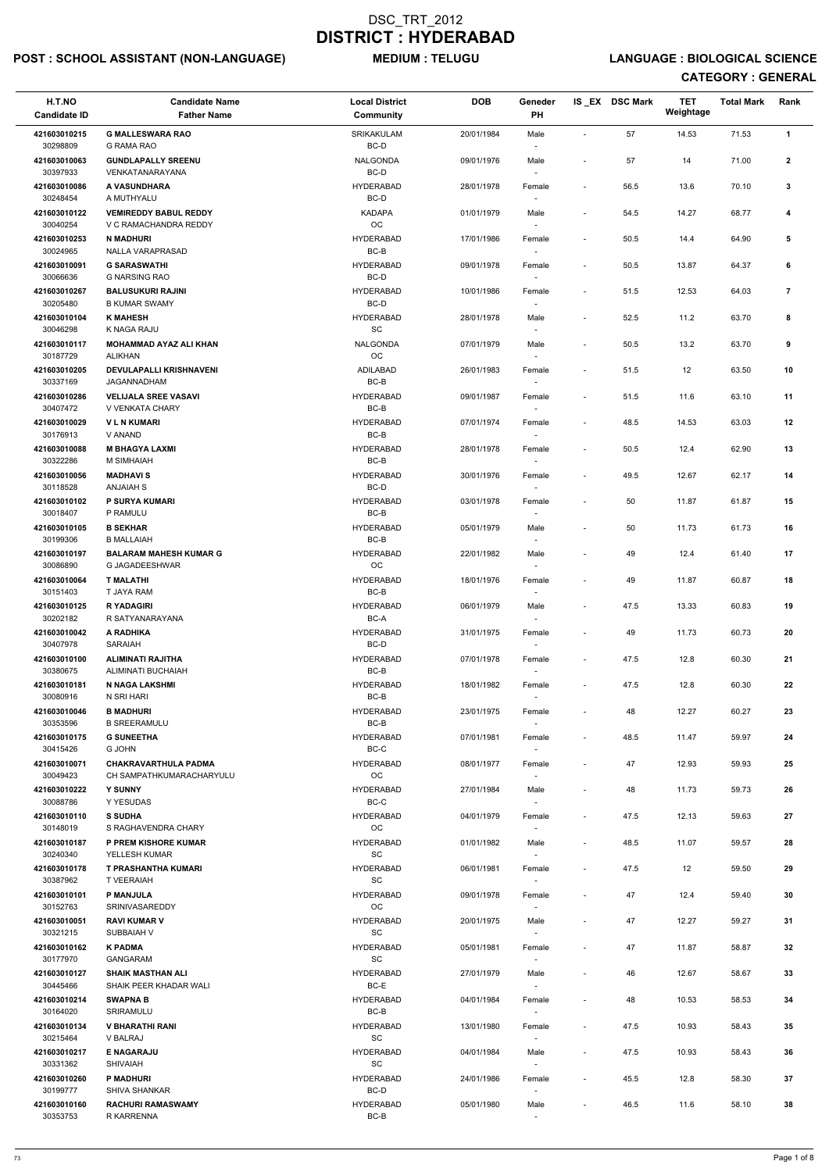## POST : SCHOOL ASSISTANT (NON-LANGUAGE) MEDIUM : TELUGU LANGUAGE : BIOLOGICAL SCIENCE

| H.T.NO<br><b>Candidate ID</b> | <b>Candidate Name</b><br><b>Father Name</b>             | <b>Local District</b><br>Community               | <b>DOB</b> | Geneder<br>PH                      |                          | IS EX DSC Mark | <b>TET</b><br>Weightage | <b>Total Mark</b> | Rank           |
|-------------------------------|---------------------------------------------------------|--------------------------------------------------|------------|------------------------------------|--------------------------|----------------|-------------------------|-------------------|----------------|
| 421603010215                  | <b>G MALLESWARA RAO</b>                                 | SRIKAKULAM                                       | 20/01/1984 | Male                               |                          | 57             | 14.53                   | 71.53             | $\mathbf{1}$   |
| 30298809                      | <b>G RAMA RAO</b>                                       | BC-D                                             |            |                                    |                          |                |                         |                   |                |
| 421603010063<br>30397933      | <b>GUNDLAPALLY SREENU</b><br>VENKATANARAYANA            | NALGONDA<br>BC-D                                 | 09/01/1976 | Male<br>$\overline{\phantom{a}}$   | $\sim$                   | 57             | 14                      | 71.00             | $\mathbf{2}$   |
| 421603010086<br>30248454      | A VASUNDHARA<br>A MUTHYALU                              | <b>HYDERABAD</b><br>BC-D                         | 28/01/1978 | Female                             | $\blacksquare$           | 56.5           | 13.6                    | 70.10             | 3              |
| 421603010122                  | <b>VEMIREDDY BABUL REDDY</b>                            | <b>KADAPA</b>                                    | 01/01/1979 | Male                               | $\overline{\phantom{a}}$ | 54.5           | 14.27                   | 68.77             | 4              |
| 30040254<br>421603010253      | V C RAMACHANDRA REDDY<br><b>N MADHURI</b>               | OC<br><b>HYDERABAD</b>                           | 17/01/1986 | Female                             | $\blacksquare$           | 50.5           | 14.4                    | 64.90             | 5              |
| 30024965                      | NALLA VARAPRASAD                                        | BC-B                                             |            |                                    |                          |                |                         |                   |                |
| 421603010091<br>30066636      | <b>G SARASWATHI</b><br><b>G NARSING RAO</b>             | <b>HYDERABAD</b><br>BC-D                         | 09/01/1978 | Female                             | $\blacksquare$           | 50.5           | 13.87                   | 64.37             | 6              |
| 421603010267<br>30205480      | <b>BALUSUKURI RAJINI</b><br><b>B KUMAR SWAMY</b>        | <b>HYDERABAD</b><br>BC-D                         | 10/01/1986 | Female                             | $\blacksquare$           | 51.5           | 12.53                   | 64.03             | $\overline{7}$ |
| 421603010104                  | <b>K MAHESH</b>                                         | <b>HYDERABAD</b>                                 | 28/01/1978 | Male                               | $\overline{\phantom{a}}$ | 52.5           | 11.2                    | 63.70             | 8              |
| 30046298<br>421603010117      | K NAGA RAJU<br><b>MOHAMMAD AYAZ ALI KHAN</b>            | SC<br>NALGONDA                                   | 07/01/1979 | Male                               |                          | 50.5           | 13.2                    | 63.70             | 9              |
| 30187729                      | <b>ALIKHAN</b>                                          | OC                                               |            | $\overline{\phantom{a}}$           |                          |                |                         |                   |                |
| 421603010205<br>30337169      | <b>DEVULAPALLI KRISHNAVENI</b><br><b>JAGANNADHAM</b>    | ADILABAD<br>BC-B                                 | 26/01/1983 | Female<br>$\sim$                   | $\overline{\phantom{a}}$ | 51.5           | 12                      | 63.50             | 10             |
| 421603010286<br>30407472      | <b>VELIJALA SREE VASAVI</b><br>V VENKATA CHARY          | <b>HYDERABAD</b><br>BC-B                         | 09/01/1987 | Female                             | $\blacksquare$           | 51.5           | 11.6                    | 63.10             | 11             |
| 421603010029                  | <b>VLNKUMARI</b>                                        | <b>HYDERABAD</b>                                 | 07/01/1974 | Female                             | $\blacksquare$           | 48.5           | 14.53                   | 63.03             | 12             |
| 30176913<br>421603010088      | V ANAND<br><b>M BHAGYA LAXMI</b>                        | BC-B<br><b>HYDERABAD</b>                         | 28/01/1978 | Female                             | $\blacksquare$           | 50.5           | 12.4                    | 62.90             | 13             |
| 30322286                      | <b>M SIMHAIAH</b>                                       | BC-B                                             |            | $\sim$                             |                          |                |                         |                   |                |
| 421603010056<br>30118528      | <b>MADHAVIS</b><br><b>ANJAIAH S</b>                     | <b>HYDERABAD</b><br>BC-D                         | 30/01/1976 | Female                             | $\blacksquare$           | 49.5           | 12.67                   | 62.17             | 14             |
| 421603010102<br>30018407      | P SURYA KUMARI<br>P RAMULU                              | <b>HYDERABAD</b><br>BC-B                         | 03/01/1978 | Female                             | $\overline{\phantom{a}}$ | 50             | 11.87                   | 61.87             | 15             |
| 421603010105                  | <b>B SEKHAR</b>                                         | <b>HYDERABAD</b>                                 | 05/01/1979 | Male                               |                          | 50             | 11.73                   | 61.73             | 16             |
| 30199306<br>421603010197      | <b>B MALLAIAH</b><br><b>BALARAM MAHESH KUMAR G</b>      | $BC-B$<br><b>HYDERABAD</b>                       | 22/01/1982 | Male                               |                          | 49             | 12.4                    | 61.40             | 17             |
| 30086890                      | G JAGADEESHWAR                                          | OC                                               |            | $\sim$                             |                          |                |                         |                   |                |
| 421603010064<br>30151403      | <b>T MALATHI</b><br>T JAYA RAM                          | <b>HYDERABAD</b><br>BC-B                         | 18/01/1976 | Female                             |                          | 49             | 11.87                   | 60.87             | 18             |
| 421603010125                  | <b>R YADAGIRI</b>                                       | <b>HYDERABAD</b>                                 | 06/01/1979 | Male                               | $\overline{\phantom{a}}$ | 47.5           | 13.33                   | 60.83             | 19             |
| 30202182<br>421603010042      | R SATYANARAYANA<br>A RADHIKA                            | BC-A<br><b>HYDERABAD</b>                         | 31/01/1975 | Female                             |                          | 49             | 11.73                   | 60.73             | 20             |
| 30407978<br>421603010100      | <b>SARAIAH</b><br><b>ALIMINATI RAJITHA</b>              | BC-D<br><b>HYDERABAD</b>                         | 07/01/1978 | $\sim$<br>Female                   | $\blacksquare$           | 47.5           | 12.8                    | 60.30             | 21             |
| 30380675                      | ALIMINATI BUCHAIAH                                      | BC-B                                             |            | $\overline{\phantom{a}}$           |                          |                |                         |                   |                |
| 421603010181<br>30080916      | N NAGA LAKSHMI<br>N SRI HARI                            | <b>HYDERABAD</b><br>BC-B                         | 18/01/1982 | Female<br>$\sim$                   | $\blacksquare$           | 47.5           | 12.8                    | 60.30             | 22             |
| 421603010046                  | <b>B MADHURI</b>                                        | <b>HYDERABAD</b>                                 | 23/01/1975 | Female                             | $\overline{\phantom{a}}$ | 48             | 12.27                   | 60.27             | 23             |
| 30353596<br>421603010175      | <b>B SREERAMULU</b><br><b>G SUNEETHA</b>                | BC-B<br><b>HYDERABAD</b>                         | 07/01/1981 | Female                             | $\overline{\phantom{a}}$ | 48.5           | 11.47                   | 59.97             | 24             |
| 30415426                      | <b>G JOHN</b>                                           | BC-C                                             |            |                                    |                          |                |                         |                   |                |
| 421603010071<br>30049423      | <b>CHAKRAVARTHULA PADMA</b><br>CH SAMPATHKUMARACHARYULU | <b>HYDERABAD</b><br>OC.                          | 08/01/1977 | Female                             | $\overline{\phantom{a}}$ | 47             | 12.93                   | 59.93             | 25             |
| 421603010222<br>30088786      | Y SUNNY<br>Y YESUDAS                                    | <b>HYDERABAD</b><br>BC-C                         | 27/01/1984 | Male<br>$\sim$                     | $\overline{\phantom{a}}$ | 48             | 11.73                   | 59.73             | 26             |
| 421603010110                  | <b>S SUDHA</b>                                          | <b>HYDERABAD</b>                                 | 04/01/1979 | Female                             | $\overline{\phantom{a}}$ | 47.5           | 12.13                   | 59.63             | 27             |
| 30148019<br>421603010187      | S RAGHAVENDRA CHARY<br><b>P PREM KISHORE KUMAR</b>      | OC<br><b>HYDERABAD</b>                           | 01/01/1982 | Male                               | $\blacksquare$           | 48.5           | 11.07                   | 59.57             | 28             |
| 30240340                      | YELLESH KUMAR<br><b>T PRASHANTHA KUMARI</b>             | SC<br><b>HYDERABAD</b>                           |            |                                    |                          |                |                         |                   |                |
| 421603010178<br>30387962      | <b>T VEERAIAH</b>                                       | SC                                               | 06/01/1981 | Female<br>$\sim$                   | $\overline{\phantom{a}}$ | 47.5           | 12                      | 59.50             | 29             |
| 421603010101<br>30152763      | <b>P MANJULA</b><br><b>SRINIVASAREDDY</b>               | <b>HYDERABAD</b><br>OC                           | 09/01/1978 | Female<br>$\sim$                   | $\blacksquare$           | 47             | 12.4                    | 59.40             | 30             |
| 421603010051                  | <b>RAVI KUMAR V</b>                                     | <b>HYDERABAD</b>                                 | 20/01/1975 | Male                               | $\blacksquare$           | 47             | 12.27                   | 59.27             | 31             |
| 30321215<br>421603010162      | SUBBAIAH V<br><b>K PADMA</b>                            | SC<br><b>HYDERABAD</b>                           | 05/01/1981 | Female                             | $\overline{\phantom{a}}$ | 47             | 11.87                   | 58.87             | 32             |
| 30177970                      | <b>GANGARAM</b>                                         | SC                                               |            |                                    |                          |                |                         |                   |                |
| 421603010127<br>30445466      | <b>SHAIK MASTHAN ALI</b><br>SHAIK PEER KHADAR WALI      | <b>HYDERABAD</b><br>BC-E                         | 27/01/1979 | Male<br>$\sim$                     | $\blacksquare$           | 46             | 12.67                   | 58.67             | 33             |
| 421603010214<br>30164020      | <b>SWAPNA B</b><br>SRIRAMULU                            | <b>HYDERABAD</b><br>BC-B                         | 04/01/1984 | Female<br>$\overline{\phantom{a}}$ |                          | 48             | 10.53                   | 58.53             | 34             |
| 421603010134                  | <b>V BHARATHI RANI</b>                                  | <b>HYDERABAD</b>                                 | 13/01/1980 | Female                             | $\overline{\phantom{a}}$ | 47.5           | 10.93                   | 58.43             | 35             |
| 30215464<br>421603010217      | V BALRAJ<br><b>E NAGARAJU</b>                           | $\operatorname{\textsf{SC}}$<br><b>HYDERABAD</b> | 04/01/1984 | Male                               | $\overline{\phantom{a}}$ | 47.5           | 10.93                   | 58.43             | 36             |
| 30331362                      | <b>SHIVAIAH</b>                                         | SC                                               |            | $\sim$                             |                          |                |                         |                   |                |
| 421603010260<br>30199777      | <b>P MADHURI</b><br>SHIVA SHANKAR                       | <b>HYDERABAD</b><br>BC-D                         | 24/01/1986 | Female<br>$\sim$                   | $\blacksquare$           | 45.5           | 12.8                    | 58.30             | 37             |
| 421603010160<br>30353753      | <b>RACHURI RAMASWAMY</b><br>R KARRENNA                  | <b>HYDERABAD</b><br>BC-B                         | 05/01/1980 | Male<br>$\sim$                     | $\overline{\phantom{a}}$ | 46.5           | 11.6                    | 58.10             | 38             |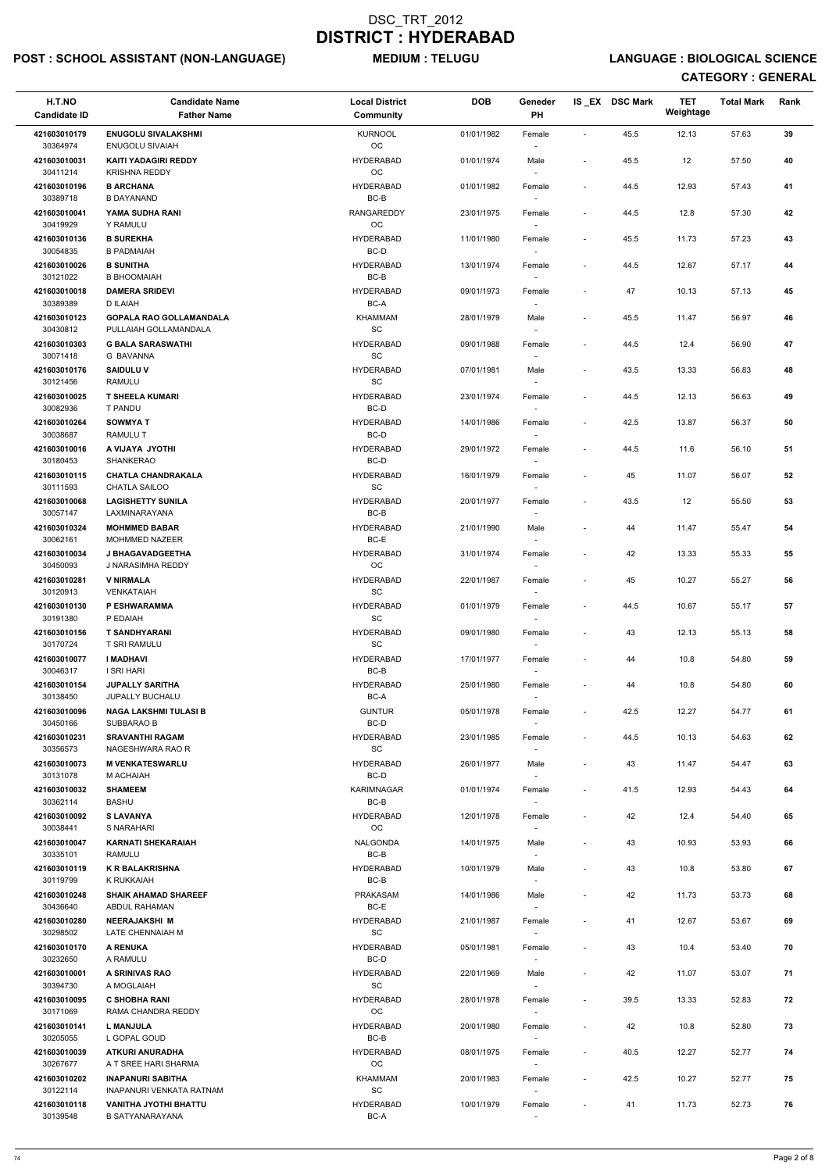## POST : SCHOOL ASSISTANT (NON-LANGUAGE) MEDIUM : TELUGU LANGUAGE : BIOLOGICAL SCIENCE

| H.T.NO<br><b>Candidate ID</b> | <b>Candidate Name</b><br><b>Father Name</b>              | <b>Local District</b><br><b>Community</b> | <b>DOB</b> | Geneder<br>PH                      |                          | IS_EX DSC Mark | <b>TET</b><br>Weightage | <b>Total Mark</b> | Rank |
|-------------------------------|----------------------------------------------------------|-------------------------------------------|------------|------------------------------------|--------------------------|----------------|-------------------------|-------------------|------|
| 421603010179                  | <b>ENUGOLU SIVALAKSHMI</b>                               | <b>KURNOOL</b>                            | 01/01/1982 | Female                             | $\blacksquare$           | 45.5           | 12.13                   | 57.63             | 39   |
| 30364974<br>421603010031      | <b>ENUGOLU SIVAIAH</b><br><b>KAITI YADAGIRI REDDY</b>    | OC<br><b>HYDERABAD</b>                    | 01/01/1974 | Male                               | $\overline{\phantom{a}}$ | 45.5           | 12                      | 57.50             | 40   |
| 30411214<br>421603010196      | <b>KRISHNA REDDY</b><br><b>B ARCHANA</b>                 | OC<br><b>HYDERABAD</b>                    | 01/01/1982 | Female                             | $\overline{\phantom{a}}$ | 44.5           | 12.93                   | 57.43             | 41   |
| 30389718<br>421603010041      | <b>B DAYANAND</b><br>YAMA SUDHA RANI                     | $BC-B$<br><b>RANGAREDDY</b>               | 23/01/1975 | Female                             | $\blacksquare$           | 44.5           | 12.8                    | 57.30             | 42   |
| 30419929                      | Y RAMULU                                                 | OC                                        |            | $\sim$                             |                          |                |                         |                   |      |
| 421603010136<br>30054835      | <b>B SUREKHA</b><br><b>B PADMAIAH</b>                    | <b>HYDERABAD</b><br>BC-D                  | 11/01/1980 | Female<br>$\sim$                   | $\overline{\phantom{a}}$ | 45.5           | 11.73                   | 57.23             | 43   |
| 421603010026<br>30121022      | <b>B SUNITHA</b><br><b>B BHOOMAIAH</b>                   | <b>HYDERABAD</b><br>BC-B                  | 13/01/1974 | Female<br>$\overline{\phantom{a}}$ | $\overline{\phantom{a}}$ | 44.5           | 12.67                   | 57.17             | 44   |
| 421603010018<br>30389389      | <b>DAMERA SRIDEVI</b><br>D ILAIAH                        | <b>HYDERABAD</b><br>BC-A                  | 09/01/1973 | Female                             | $\overline{\phantom{a}}$ | 47             | 10.13                   | 57.13             | 45   |
| 421603010123<br>30430812      | <b>GOPALA RAO GOLLAMANDALA</b><br>PULLAIAH GOLLAMANDALA  | <b>KHAMMAM</b><br>SC                      | 28/01/1979 | Male<br>$\overline{\phantom{a}}$   | $\overline{\phantom{a}}$ | 45.5           | 11.47                   | 56.97             | 46   |
| 421603010303                  | <b>G BALA SARASWATHI</b>                                 | <b>HYDERABAD</b>                          | 09/01/1988 | Female                             | $\overline{\phantom{a}}$ | 44.5           | 12.4                    | 56.90             | 47   |
| 30071418<br>421603010176      | <b>G BAVANNA</b><br><b>SAIDULUV</b>                      | SC<br><b>HYDERABAD</b>                    | 07/01/1981 | Male                               | $\overline{\phantom{a}}$ | 43.5           | 13.33                   | 56.83             | 48   |
| 30121456                      | <b>RAMULU</b>                                            | <b>SC</b>                                 |            | $\sim$                             |                          |                |                         |                   |      |
| 421603010025<br>30082936      | <b>T SHEELA KUMARI</b><br>T PANDU                        | <b>HYDERABAD</b><br>BC-D                  | 23/01/1974 | Female                             | $\blacksquare$           | 44.5           | 12.13                   | 56.63             | 49   |
| 421603010264<br>30038687      | <b>SOWMYAT</b><br>RAMULU T                               | <b>HYDERABAD</b><br>BC-D                  | 14/01/1986 | Female                             | $\overline{\phantom{a}}$ | 42.5           | 13.87                   | 56.37             | 50   |
| 421603010016<br>30180453      | <b>A VIJAYA JYOTHI</b><br>SHANKERAO                      | <b>HYDERABAD</b><br>BC-D                  | 29/01/1972 | Female<br>$\sim$                   | $\overline{\phantom{a}}$ | 44.5           | 11.6                    | 56.10             | 51   |
| 421603010115<br>30111593      | <b>CHATLA CHANDRAKALA</b><br>CHATLA SAILOO               | <b>HYDERABAD</b><br><b>SC</b>             | 16/01/1979 | Female<br>$\overline{\phantom{a}}$ | $\overline{\phantom{a}}$ | 45             | 11.07                   | 56.07             | 52   |
| 421603010068                  | <b>LAGISHETTY SUNILA</b>                                 | <b>HYDERABAD</b>                          | 20/01/1977 | Female                             | $\overline{\phantom{a}}$ | 43.5           | 12                      | 55.50             | 53   |
| 30057147<br>421603010324      | LAXMINARAYANA<br><b>MOHMMED BABAR</b>                    | BC-B<br><b>HYDERABAD</b>                  | 21/01/1990 | Male                               | $\overline{\phantom{a}}$ | 44             | 11.47                   | 55.47             | 54   |
| 30062161<br>421603010034      | MOHMMED NAZEER<br>J BHAGAVADGEETHA                       | BC-E<br><b>HYDERABAD</b>                  | 31/01/1974 | $\overline{\phantom{a}}$<br>Female | $\overline{\phantom{a}}$ | 42             | 13.33                   | 55.33             | 55   |
| 30450093<br>421603010281      | J NARASIMHA REDDY<br><b>V NIRMALA</b>                    | OC<br><b>HYDERABAD</b>                    | 22/01/1987 | $\sim$<br>Female                   | $\overline{a}$           | 45             | 10.27                   | 55.27             | 56   |
| 30120913                      | VENKATAIAH                                               | SC                                        |            |                                    |                          |                |                         |                   |      |
| 421603010130<br>30191380      | P ESHWARAMMA<br>P EDAIAH                                 | <b>HYDERABAD</b><br><b>SC</b>             | 01/01/1979 | Female                             | $\overline{\phantom{a}}$ | 44.5           | 10.67                   | 55.17             | 57   |
| 421603010156<br>30170724      | <b>T SANDHYARANI</b><br>T SRI RAMULU                     | <b>HYDERABAD</b><br><b>SC</b>             | 09/01/1980 | Female                             | $\blacksquare$           | 43             | 12.13                   | 55.13             | 58   |
| 421603010077<br>30046317      | <b>I MADHAVI</b><br>I SRI HARI                           | <b>HYDERABAD</b><br>BC-B                  | 17/01/1977 | Female<br>$\sim$                   | ÷,                       | 44             | 10.8                    | 54.80             | 59   |
| 421603010154<br>30138450      | <b>JUPALLY SARITHA</b><br><b>JUPALLY BUCHALU</b>         | <b>HYDERABAD</b><br>BC-A                  | 25/01/1980 | Female                             | $\overline{\phantom{a}}$ | 44             | 10.8                    | 54.80             | 60   |
| 421603010096                  | <b>NAGA LAKSHMI TULASI B</b>                             | <b>GUNTUR</b>                             | 05/01/1978 | Female                             | $\overline{\phantom{a}}$ | 42.5           | 12.27                   | 54.77             | 61   |
| 30450166<br>421603010231      | SUBBARAO B<br><b>SRAVANTHI RAGAM</b>                     | BC-D<br><b>HYDERABAD</b>                  | 23/01/1985 | Female                             | $\overline{\phantom{a}}$ | 44.5           | 10.13                   | 54.63             | 62   |
| 30356573                      | NAGESHWARA RAO R                                         | SC                                        |            | $\sim$                             |                          |                |                         |                   |      |
| 421603010073<br>30131078      | <b>M VENKATESWARLU</b><br>M ACHAIAH                      | <b>HYDERABAD</b><br>BC-D                  | 26/01/1977 | Male<br>$\sim$                     | $\overline{\phantom{a}}$ | 43             | 11.47                   | 54.47             | 63   |
| 421603010032<br>30362114      | <b>SHAMEEM</b><br><b>BASHU</b>                           | KARIMNAGAR<br>BC-B                        | 01/01/1974 | Female<br>$\overline{\phantom{a}}$ | $\overline{\phantom{a}}$ | 41.5           | 12.93                   | 54.43             | 64   |
| 421603010092<br>30038441      | <b>S LAVANYA</b><br>S NARAHARI                           | <b>HYDERABAD</b><br>OC                    | 12/01/1978 | Female                             | $\overline{a}$           | 42             | 12.4                    | 54.40             | 65   |
| 421603010047<br>30335101      | <b>KARNATI SHEKARAIAH</b><br>RAMULU                      | <b>NALGONDA</b><br>BC-B                   | 14/01/1975 | Male                               | $\overline{\phantom{a}}$ | 43             | 10.93                   | 53.93             | 66   |
| 421603010119                  | <b>K R BALAKRISHNA</b>                                   | <b>HYDERABAD</b>                          | 10/01/1979 | Male                               | $\overline{a}$           | 43             | 10.8                    | 53.80             | 67   |
| 30119799<br>421603010248      | K RUKKAIAH<br><b>SHAIK AHAMAD SHAREEF</b>                | BC-B<br>PRAKASAM                          | 14/01/1986 | $\overline{\phantom{a}}$<br>Male   | $\overline{\phantom{a}}$ | 42             | 11.73                   | 53.73             | 68   |
| 30436640<br>421603010280      | ABDUL RAHAMAN<br><b>NEERAJAKSHI M</b>                    | BC-E<br><b>HYDERABAD</b>                  | 21/01/1987 | $\sim$<br>Female                   | $\overline{\phantom{a}}$ | 41             | 12.67                   | 53.67             | 69   |
| 30298502                      | LATE CHENNAIAH M                                         | SC                                        |            |                                    |                          |                |                         |                   |      |
| 421603010170<br>30232650      | A RENUKA<br>A RAMULU                                     | <b>HYDERABAD</b><br>BC-D                  | 05/01/1981 | Female                             | $\overline{\phantom{a}}$ | 43             | 10.4                    | 53.40             | 70   |
| 421603010001<br>30394730      | A SRINIVAS RAO<br>A MOGLAIAH                             | <b>HYDERABAD</b><br>SC                    | 22/01/1969 | Male<br>$\sim$                     | $\overline{\phantom{a}}$ | 42             | 11.07                   | 53.07             | 71   |
| 421603010095<br>30171069      | <b>C SHOBHA RANI</b><br>RAMA CHANDRA REDDY               | <b>HYDERABAD</b><br>OC                    | 28/01/1978 | Female                             | $\overline{\phantom{a}}$ | 39.5           | 13.33                   | 52.83             | 72   |
| 421603010141                  | <b>L MANJULA</b>                                         | <b>HYDERABAD</b>                          | 20/01/1980 | Female                             | $\overline{\phantom{a}}$ | 42             | 10.8                    | 52.80             | 73   |
| 30205055<br>421603010039      | L GOPAL GOUD<br>ATKURI ANURADHA                          | BC-B<br><b>HYDERABAD</b>                  | 08/01/1975 | $\sim$<br>Female                   | $\overline{\phantom{a}}$ | 40.5           | 12.27                   | 52.77             | 74   |
| 30267677<br>421603010202      | A T SREE HARI SHARMA<br><b>INAPANURI SABITHA</b>         | ОC<br>KHAMMAM                             | 20/01/1983 | $\sim$<br>Female                   | $\overline{\phantom{a}}$ | 42.5           | 10.27                   | 52.77             | 75   |
| 30122114<br>421603010118      | INAPANURI VENKATA RATNAM<br><b>VANITHA JYOTHI BHATTU</b> | SC<br><b>HYDERABAD</b>                    | 10/01/1979 | $\overline{\phantom{a}}$<br>Female | $\overline{\phantom{a}}$ | 41             | 11.73                   | 52.73             | 76   |
| 30139548                      | <b>B SATYANARAYANA</b>                                   | BC-A                                      |            |                                    |                          |                |                         |                   |      |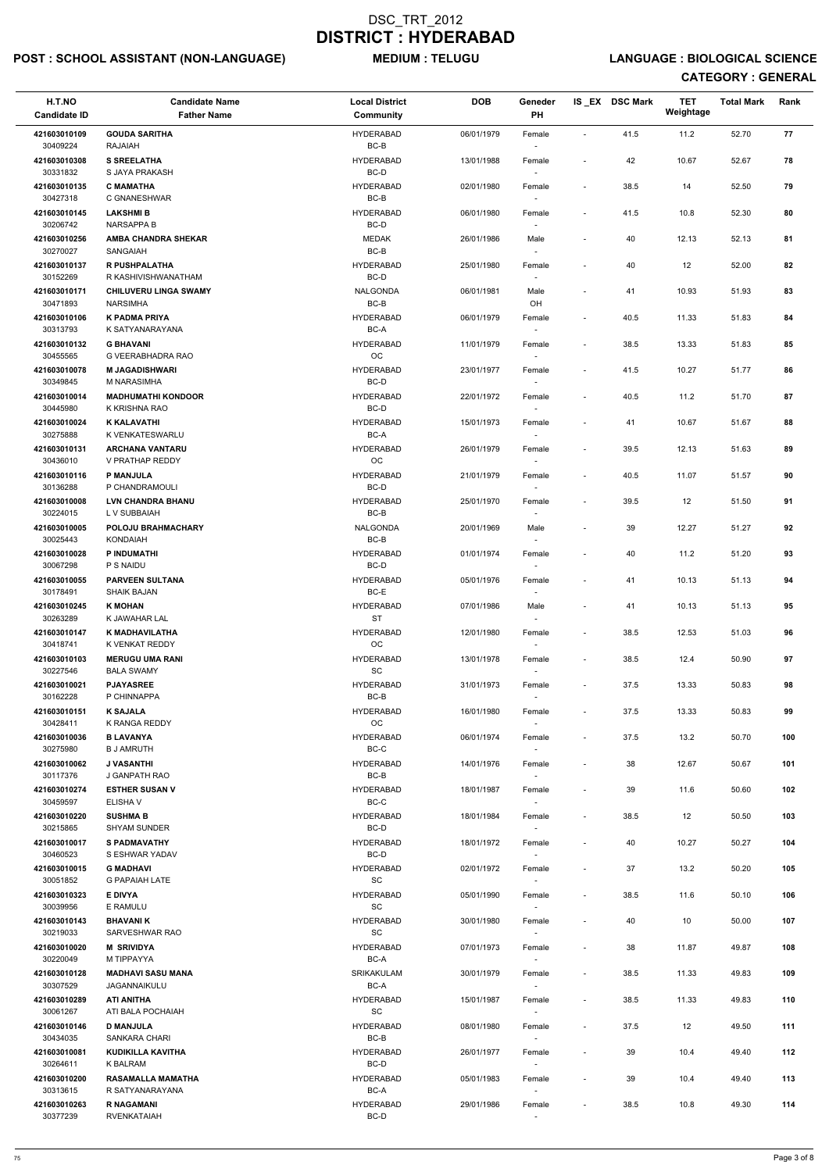## POST : SCHOOL ASSISTANT (NON-LANGUAGE) MEDIUM : TELUGU LANGUAGE : BIOLOGICAL SCIENCE

| H.T.NO<br><b>Candidate ID</b> | <b>Candidate Name</b><br><b>Father Name</b>     | <b>Local District</b><br>Community               | <b>DOB</b> | Geneder<br><b>PH</b> |                          | IS_EX DSC Mark | <b>TET</b><br>Weightage | <b>Total Mark</b> | Rank |
|-------------------------------|-------------------------------------------------|--------------------------------------------------|------------|----------------------|--------------------------|----------------|-------------------------|-------------------|------|
| 421603010109                  | <b>GOUDA SARITHA</b>                            | <b>HYDERABAD</b>                                 | 06/01/1979 | Female               | $\sim$                   | 41.5           | 11.2                    | 52.70             | 77   |
| 30409224                      | <b>RAJAIAH</b>                                  | BC-B                                             |            | $\sim$               |                          |                |                         |                   |      |
| 421603010308<br>30331832      | <b>S SREELATHA</b><br>S JAYA PRAKASH            | <b>HYDERABAD</b><br>BC-D                         | 13/01/1988 | Female               | $\overline{\phantom{a}}$ | 42             | 10.67                   | 52.67             | 78   |
| 421603010135<br>30427318      | <b>C MAMATHA</b><br>C GNANESHWAR                | <b>HYDERABAD</b><br>BC-B                         | 02/01/1980 | Female               | $\overline{\phantom{a}}$ | 38.5           | 14                      | 52.50             | 79   |
| 421603010145<br>30206742      | <b>LAKSHMIB</b><br><b>NARSAPPA B</b>            | <b>HYDERABAD</b><br>BC-D                         | 06/01/1980 | Female               | $\blacksquare$           | 41.5           | 10.8                    | 52.30             | 80   |
| 421603010256                  | <b>AMBA CHANDRA SHEKAR</b>                      | MEDAK                                            | 26/01/1986 | $\sim$<br>Male       | $\overline{\phantom{a}}$ | 40             | 12.13                   | 52.13             | 81   |
| 30270027<br>421603010137      | SANGAIAH<br><b>R PUSHPALATHA</b>                | BC-B<br><b>HYDERABAD</b>                         | 25/01/1980 | $\sim$               |                          | 40             | 12                      | 52.00             | 82   |
| 30152269                      | R KASHIVISHWANATHAM                             | BC-D                                             |            | Female<br>$\sim$     |                          |                |                         |                   |      |
| 421603010171<br>30471893      | <b>CHILUVERU LINGA SWAMY</b><br><b>NARSIMHA</b> | <b>NALGONDA</b><br>$BC-B$                        | 06/01/1981 | Male<br>OH           |                          | 41             | 10.93                   | 51.93             | 83   |
| 421603010106<br>30313793      | <b>K PADMA PRIYA</b><br>K SATYANARAYANA         | <b>HYDERABAD</b><br>BC-A                         | 06/01/1979 | Female<br>$\sim$     | $\overline{\phantom{a}}$ | 40.5           | 11.33                   | 51.83             | 84   |
| 421603010132                  | <b>G BHAVANI</b>                                | <b>HYDERABAD</b>                                 | 11/01/1979 | Female               | $\overline{\phantom{a}}$ | 38.5           | 13.33                   | 51.83             | 85   |
| 30455565<br>421603010078      | G VEERABHADRA RAO<br><b>M JAGADISHWARI</b>      | OC<br><b>HYDERABAD</b>                           | 23/01/1977 | $\sim$<br>Female     | $\blacksquare$           | 41.5           | 10.27                   | 51.77             | 86   |
| 30349845                      | M NARASIMHA                                     | BC-D                                             |            | $\sim$               |                          |                |                         |                   |      |
| 421603010014<br>30445980      | <b>MADHUMATHI KONDOOR</b><br>K KRISHNA RAO      | <b>HYDERABAD</b><br>BC-D                         | 22/01/1972 | Female               | $\overline{\phantom{a}}$ | 40.5           | 11.2                    | 51.70             | 87   |
| 421603010024                  | <b>K KALAVATHI</b>                              | <b>HYDERABAD</b>                                 | 15/01/1973 | Female               | $\overline{\phantom{a}}$ | 41             | 10.67                   | 51.67             | 88   |
| 30275888<br>421603010131      | K VENKATESWARLU<br><b>ARCHANA VANTARU</b>       | BC-A<br><b>HYDERABAD</b>                         | 26/01/1979 | Female               | $\blacksquare$           | 39.5           | 12.13                   | 51.63             | 89   |
| 30436010                      | V PRATHAP REDDY                                 | OC                                               |            | $\sim$               |                          |                |                         |                   |      |
| 421603010116<br>30136288      | <b>P MANJULA</b><br>P CHANDRAMOULI              | <b>HYDERABAD</b><br>BC-D                         | 21/01/1979 | Female<br>$\sim$     | $\blacksquare$           | 40.5           | 11.07                   | 51.57             | 90   |
| 421603010008<br>30224015      | <b>LVN CHANDRA BHANU</b><br>L V SUBBAIAH        | <b>HYDERABAD</b><br>BC-B                         | 25/01/1970 | Female               | $\blacksquare$           | 39.5           | 12                      | 51.50             | 91   |
| 421603010005<br>30025443      | POLOJU BRAHMACHARY<br><b>KONDAIAH</b>           | NALGONDA<br>BC-B                                 | 20/01/1969 | Male                 |                          | 39             | 12.27                   | 51.27             | 92   |
| 421603010028<br>30067298      | P INDUMATHI<br>P S NAIDU                        | <b>HYDERABAD</b><br>BC-D                         | 01/01/1974 | Female<br>$\sim$     | $\overline{\phantom{a}}$ | 40             | 11.2                    | 51.20             | 93   |
| 421603010055<br>30178491      | <b>PARVEEN SULTANA</b><br>SHAIK BAJAN           | <b>HYDERABAD</b><br>BC-E                         | 05/01/1976 | Female               | $\overline{\phantom{a}}$ | 41             | 10.13                   | 51.13             | 94   |
| 421603010245                  | <b>K MOHAN</b>                                  | <b>HYDERABAD</b>                                 | 07/01/1986 | Male                 | $\overline{\phantom{a}}$ | 41             | 10.13                   | 51.13             | 95   |
| 30263289<br>421603010147      | K JAWAHAR LAL<br>K MADHAVILATHA                 | <b>ST</b><br><b>HYDERABAD</b>                    | 12/01/1980 | Female               | $\blacksquare$           | 38.5           | 12.53                   | 51.03             | 96   |
| 30418741                      | K VENKAT REDDY                                  | OC                                               |            | $\sim$               |                          |                |                         |                   |      |
| 421603010103<br>30227546      | <b>MERUGU UMA RANI</b><br><b>BALA SWAMY</b>     | <b>HYDERABAD</b><br>SC                           | 13/01/1978 | Female<br>$\sim$     | $\overline{\phantom{a}}$ | 38.5           | 12.4                    | 50.90             | 97   |
| 421603010021                  | <b>PJAYASREE</b>                                | <b>HYDERABAD</b>                                 | 31/01/1973 | Female               | $\sim$                   | 37.5           | 13.33                   | 50.83             | 98   |
| 30162228<br>421603010151      | P CHINNAPPA<br><b>K SAJALA</b>                  | BC-B<br><b>HYDERABAD</b>                         | 16/01/1980 | $\sim$<br>Female     | $\sim$                   | 37.5           | 13.33                   | 50.83             | 99   |
| 30428411                      | K RANGA REDDY                                   | OC                                               |            |                      |                          |                |                         |                   |      |
| 421603010036<br>30275980      | <b>B LAVANYA</b><br><b>B J AMRUTH</b>           | <b>HYDERABAD</b><br>BC-C                         | 06/01/1974 | Female<br>$\sim$     | $\sim$                   | 37.5           | 13.2                    | 50.70             | 100  |
| 421603010062<br>30117376      | <b>J VASANTHI</b><br>J GANPATH RAO              | <b>HYDERABAD</b><br>BC-B                         | 14/01/1976 | Female<br>$\sim$     | $\overline{\phantom{a}}$ | 38             | 12.67                   | 50.67             | 101  |
| 421603010274                  | <b>ESTHER SUSAN V</b>                           | <b>HYDERABAD</b><br>BC-C                         | 18/01/1987 | Female               | $\overline{\phantom{a}}$ | 39             | 11.6                    | 50.60             | 102  |
| 30459597<br>421603010220      | ELISHA V<br><b>SUSHMA B</b>                     | <b>HYDERABAD</b>                                 | 18/01/1984 | $\sim$<br>Female     | $\overline{\phantom{a}}$ | 38.5           | 12                      | 50.50             | 103  |
| 30215865<br>421603010017      | <b>SHYAM SUNDER</b><br><b>S PADMAVATHY</b>      | BC-D<br><b>HYDERABAD</b>                         | 18/01/1972 |                      | $\overline{\phantom{a}}$ | 40             | 10.27                   | 50.27             | 104  |
| 30460523                      | S ESHWAR YADAV                                  | BC-D                                             |            | Female               |                          |                |                         |                   |      |
| 421603010015<br>30051852      | <b>G MADHAVI</b><br><b>G PAPAIAH LATE</b>       | <b>HYDERABAD</b><br>SC                           | 02/01/1972 | Female<br>$\sim$     | $\sim$                   | 37             | 13.2                    | 50.20             | 105  |
| 421603010323                  | E DIVYA                                         | <b>HYDERABAD</b>                                 | 05/01/1990 | Female               | $\overline{\phantom{a}}$ | 38.5           | 11.6                    | 50.10             | 106  |
| 30039956<br>421603010143      | E RAMULU<br><b>BHAVANIK</b>                     | <b>SC</b><br><b>HYDERABAD</b>                    | 30/01/1980 | $\sim$<br>Female     | $\overline{\phantom{a}}$ | 40             | 10                      | 50.00             | 107  |
| 30219033                      | SARVESHWAR RAO                                  | SC                                               |            | $\sim$               |                          |                |                         |                   |      |
| 421603010020<br>30220049      | <b>M SRIVIDYA</b><br>M TIPPAYYA                 | <b>HYDERABAD</b><br>BC-A                         | 07/01/1973 | Female               | $\sim$                   | 38             | 11.87                   | 49.87             | 108  |
| 421603010128<br>30307529      | <b>MADHAVI SASU MANA</b><br>JAGANNAIKULU        | SRIKAKULAM<br>BC-A                               | 30/01/1979 | Female<br>$\sim$     | $\blacksquare$           | 38.5           | 11.33                   | 49.83             | 109  |
| 421603010289<br>30061267      | <b>ATI ANITHA</b><br>ATI BALA POCHAIAH          | <b>HYDERABAD</b><br>$\operatorname{\textsf{SC}}$ | 15/01/1987 | Female               |                          | 38.5           | 11.33                   | 49.83             | 110  |
| 421603010146                  | <b>D MANJULA</b>                                | <b>HYDERABAD</b>                                 | 08/01/1980 | Female               | $\sim$                   | 37.5           | 12                      | 49.50             | 111  |
| 30434035<br>421603010081      | SANKARA CHARI<br>KUDIKILLA KAVITHA              | BC-B<br><b>HYDERABAD</b>                         | 26/01/1977 | $\sim$<br>Female     | $\overline{\phantom{a}}$ | 39             | 10.4                    | 49.40             | 112  |
| 30264611                      | K BALRAM                                        | BC-D                                             |            | $\sim$               |                          |                |                         |                   |      |
| 421603010200<br>30313615      | RASAMALLA MAMATHA<br>R SATYANARAYANA            | <b>HYDERABAD</b><br>BC-A                         | 05/01/1983 | Female<br>$\sim$     | $\overline{\phantom{a}}$ | 39             | 10.4                    | 49.40             | 113  |
| 421603010263<br>30377239      | <b>R NAGAMANI</b><br><b>RVENKATAIAH</b>         | <b>HYDERABAD</b><br>BC-D                         | 29/01/1986 | Female<br>$\sim$     | $\overline{\phantom{a}}$ | 38.5           | 10.8                    | 49.30             | 114  |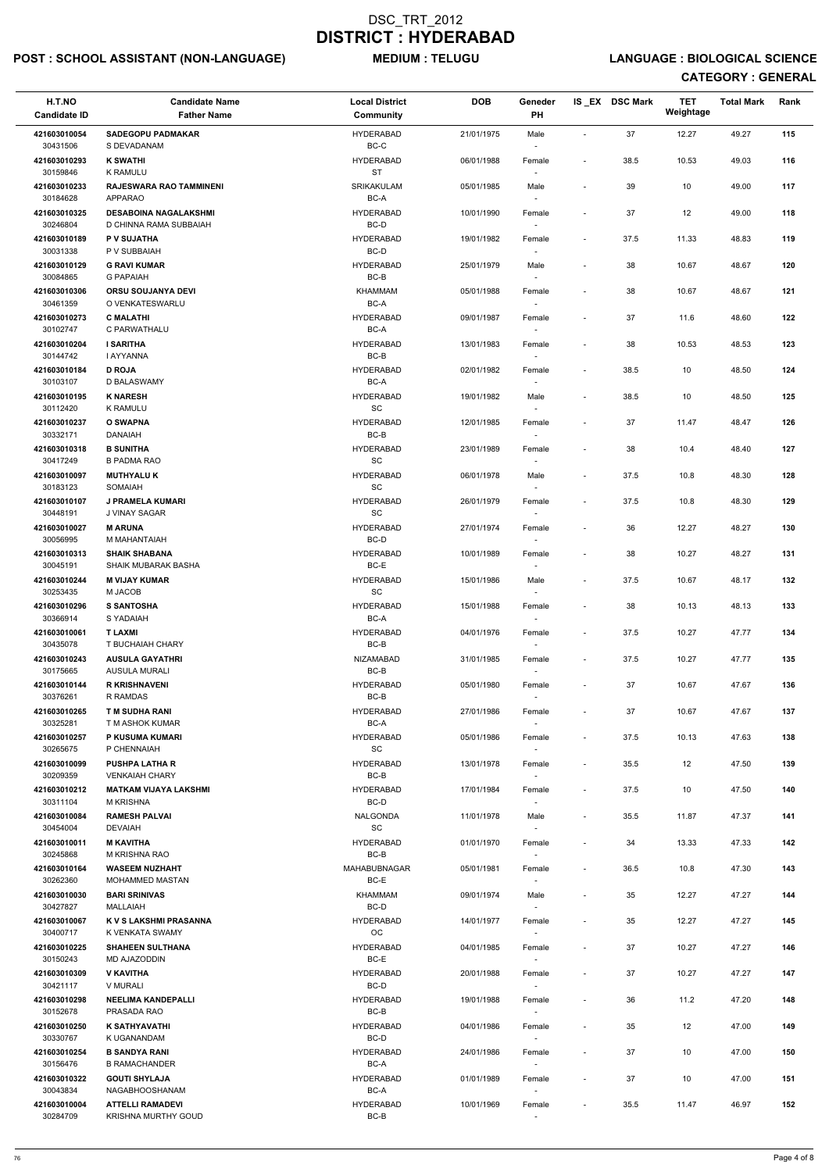## POST : SCHOOL ASSISTANT (NON-LANGUAGE) MEDIUM : TELUGU LANGUAGE : BIOLOGICAL SCIENCE

| H.T.NO<br><b>Candidate ID</b>        | <b>Candidate Name</b><br><b>Father Name</b>             | <b>Local District</b><br>Community                       | <b>DOB</b> | Geneder<br>PH                                |                              | IS_EX DSC Mark | <b>TET</b><br>Weightage | <b>Total Mark</b> | Rank |
|--------------------------------------|---------------------------------------------------------|----------------------------------------------------------|------------|----------------------------------------------|------------------------------|----------------|-------------------------|-------------------|------|
| 421603010054                         | <b>SADEGOPU PADMAKAR</b>                                | <b>HYDERABAD</b>                                         | 21/01/1975 | Male                                         | $\blacksquare$               | 37             | 12.27                   | 49.27             | 115  |
| 30431506                             | S DEVADANAM                                             | BC-C                                                     |            |                                              |                              |                |                         |                   |      |
| 421603010293<br>30159846             | <b>K SWATHI</b><br><b>K RAMULU</b>                      | <b>HYDERABAD</b><br><b>ST</b>                            | 06/01/1988 | Female                                       | $\overline{\phantom{a}}$     | 38.5           | 10.53                   | 49.03             | 116  |
| 421603010233<br>30184628             | <b>RAJESWARA RAO TAMMINENI</b><br><b>APPARAO</b>        | SRIKAKULAM<br>BC-A                                       | 05/01/1985 | Male                                         | $\overline{\phantom{a}}$     | 39             | 10                      | 49.00             | 117  |
| 421603010325<br>30246804             | <b>DESABOINA NAGALAKSHMI</b><br>D CHINNA RAMA SUBBAIAH  | <b>HYDERABAD</b><br>BC-D                                 | 10/01/1990 | Female<br>$\overline{\phantom{a}}$           |                              | 37             | 12                      | 49.00             | 118  |
| 421603010189                         | P V SUJATHA                                             | HYDERABAD                                                | 19/01/1982 | Female                                       | $\overline{\phantom{a}}$     | 37.5           | 11.33                   | 48.83             | 119  |
| 30031338<br>421603010129<br>30084865 | P V SUBBAIAH<br><b>G RAVI KUMAR</b><br><b>G PAPAIAH</b> | BC-D<br>HYDERABAD<br>BC-B                                | 25/01/1979 | Male                                         | $\overline{\phantom{a}}$     | 38             | 10.67                   | 48.67             | 120  |
| 421603010306<br>30461359             | <b>ORSU SOUJANYA DEVI</b><br>O VENKATESWARLU            | <b>KHAMMAM</b><br>$BC-A$                                 | 05/01/1988 | Female                                       | $\overline{\phantom{m}}$     | 38             | 10.67                   | 48.67             | 121  |
| 421603010273<br>30102747             | <b>C MALATHI</b><br>C PARWATHALU                        | <b>HYDERABAD</b><br>BC-A                                 | 09/01/1987 | Female                                       | $\overline{\phantom{a}}$     | 37             | 11.6                    | 48.60             | 122  |
| 421603010204<br>30144742             | <b>I SARITHA</b><br>I AYYANNA                           | <b>HYDERABAD</b><br>BC-B                                 | 13/01/1983 | Female                                       | $\overline{\phantom{a}}$     | 38             | 10.53                   | 48.53             | 123  |
| 421603010184                         | <b>D ROJA</b>                                           | HYDERABAD                                                | 02/01/1982 | Female                                       | $\overline{\phantom{a}}$     | 38.5           | 10                      | 48.50             | 124  |
| 30103107                             | D BALASWAMY                                             | BC-A                                                     |            |                                              |                              |                |                         |                   |      |
| 421603010195<br>30112420             | <b>K NARESH</b><br>K RAMULU                             | <b>HYDERABAD</b><br>$\operatorname{\textsf{SC}}$         | 19/01/1982 | Male                                         | $\overline{\phantom{a}}$     | 38.5           | 10                      | 48.50             | 125  |
| 421603010237                         | <b>O SWAPNA</b>                                         | <b>HYDERABAD</b><br>BC-B                                 | 12/01/1985 | Female                                       | $\overline{\phantom{a}}$     | 37             | 11.47                   | 48.47             | 126  |
| 30332171<br>421603010318<br>30417249 | DANAIAH<br><b>B SUNITHA</b><br><b>B PADMA RAO</b>       | <b>HYDERABAD</b><br>SC                                   | 23/01/1989 | Female                                       | $\overline{\phantom{a}}$     | 38             | 10.4                    | 48.40             | 127  |
| 421603010097                         | <b>MUTHYALUK</b>                                        | HYDERABAD                                                | 06/01/1978 | Male                                         | $\overline{\phantom{a}}$     | 37.5           | 10.8                    | 48.30             | 128  |
| 30183123<br>421603010107             | SOMAIAH<br><b>J PRAMELA KUMARI</b>                      | <b>SC</b><br><b>HYDERABAD</b>                            | 26/01/1979 | $\overline{\phantom{a}}$<br>Female           | $\overline{\phantom{a}}$     | 37.5           | 10.8                    | 48.30             | 129  |
| 30448191<br>421603010027<br>30056995 | J VINAY SAGAR<br><b>M ARUNA</b><br>M MAHANTAIAH         | $\operatorname{\textsf{SC}}$<br><b>HYDERABAD</b><br>BC-D | 27/01/1974 | Female                                       | $\overline{\phantom{m}}$     | 36             | 12.27                   | 48.27             | 130  |
| 421603010313<br>30045191             | <b>SHAIK SHABANA</b><br><b>SHAIK MUBARAK BASHA</b>      | HYDERABAD<br>BC-E                                        | 10/01/1989 | Female<br>$\overline{\phantom{a}}$           | $\qquad \qquad \blacksquare$ | 38             | 10.27                   | 48.27             | 131  |
| 421603010244<br>30253435             | <b>M VIJAY KUMAR</b><br>M JACOB                         | <b>HYDERABAD</b><br>SC                                   | 15/01/1986 | Male                                         | $\overline{\phantom{a}}$     | 37.5           | 10.67                   | 48.17             | 132  |
| 421603010296                         | <b>S SANTOSHA</b>                                       | <b>HYDERABAD</b>                                         | 15/01/1988 | Female                                       | $\overline{\phantom{a}}$     | 38             | 10.13                   | 48.13             | 133  |
| 30366914<br>421603010061             | S YADAIAH<br><b>T LAXMI</b>                             | BC-A<br><b>HYDERABAD</b>                                 | 04/01/1976 | Female                                       | $\overline{\phantom{a}}$     | 37.5           | 10.27                   | 47.77             | 134  |
| 30435078                             | T BUCHAIAH CHARY                                        | BC-B                                                     |            | $\overline{\phantom{a}}$                     |                              |                |                         |                   |      |
| 421603010243<br>30175665             | <b>AUSULA GAYATHRI</b><br><b>AUSULA MURALI</b>          | <b>NIZAMABAD</b><br>BC-B                                 | 31/01/1985 | Female<br>$\sim$                             | $\overline{\phantom{a}}$     | 37.5           | 10.27                   | 47.77             | 135  |
| 421603010144<br>30376261             | <b>R KRISHNAVENI</b><br><b>R RAMDAS</b>                 | <b>HYDERABAD</b><br>BC-B                                 | 05/01/1980 | Female<br>$\overline{\phantom{a}}$           | $\overline{\phantom{a}}$     | 37             | 10.67                   | 47.67             | 136  |
| 421603010265<br>30325281             | <b>TM SUDHA RANI</b><br>T M ASHOK KUMAR                 | HYDERABAD<br>BC-A                                        | 27/01/1986 | Female                                       | $\overline{\phantom{a}}$     | 37             | 10.67                   | 47.67             | 137  |
| 421603010257<br>30265675             | P KUSUMA KUMARI<br>P CHENNAIAH                          | <b>HYDERABAD</b><br>SC                                   | 05/01/1986 | Female                                       | $\overline{\phantom{a}}$     | 37.5           | 10.13                   | 47.63             | 138  |
| 421603010099<br>30209359             | <b>PUSHPA LATHA R</b><br><b>VENKAIAH CHARY</b>          | <b>HYDERABAD</b><br>BC-B                                 | 13/01/1978 | Female<br>$\sim$                             | $\overline{\phantom{a}}$     | 35.5           | 12                      | 47.50             | 139  |
| 421603010212<br>30311104             | <b>MATKAM VIJAYA LAKSHMI</b><br>M KRISHNA               | HYDERABAD<br>BC-D                                        | 17/01/1984 | Female                                       | $\overline{\phantom{a}}$     | 37.5           | 10                      | 47.50             | 140  |
| 421603010084<br>30454004             | <b>RAMESH PALVAI</b><br><b>DEVAIAH</b>                  | NALGONDA<br>SC                                           | 11/01/1978 | Male                                         | $\overline{\phantom{a}}$     | 35.5           | 11.87                   | 47.37             | 141  |
| 421603010011<br>30245868             | <b>M KAVITHA</b><br>M KRISHNA RAO                       | <b>HYDERABAD</b><br>BC-B                                 | 01/01/1970 | Female                                       | $\overline{\phantom{a}}$     | 34             | 13.33                   | 47.33             | 142  |
| 421603010164<br>30262360             | <b>WASEEM NUZHAHT</b><br><b>MOHAMMED MASTAN</b>         | MAHABUBNAGAR<br>BC-E                                     | 05/01/1981 | Female<br>$\sim$                             | $\overline{\phantom{a}}$     | 36.5           | 10.8                    | 47.30             | 143  |
| 421603010030                         | <b>BARI SRINIVAS</b>                                    | KHAMMAM                                                  | 09/01/1974 | Male                                         | $\overline{\phantom{a}}$     | 35             | 12.27                   | 47.27             | 144  |
| 30427827<br>421603010067             | MALLAIAH<br>K V S LAKSHMI PRASANNA                      | BC-D<br>HYDERABAD                                        | 14/01/1977 | $\sim$<br>Female                             | $\overline{\phantom{a}}$     | 35             | 12.27                   | 47.27             | 145  |
| 30400717<br>421603010225             | K VENKATA SWAMY<br><b>SHAHEEN SULTHANA</b>              | OC<br><b>HYDERABAD</b>                                   | 04/01/1985 | Female                                       | $\overline{\phantom{a}}$     | 37             | 10.27                   | 47.27             | 146  |
| 30150243                             | MD AJAZODDIN                                            | BC-E                                                     |            |                                              |                              |                |                         |                   |      |
| 421603010309<br>30421117             | <b>V KAVITHA</b><br>V MURALI                            | <b>HYDERABAD</b><br>BC-D                                 | 20/01/1988 | Female<br>$\sim$                             | $\blacksquare$               | 37             | 10.27                   | 47.27             | 147  |
| 421603010298<br>30152678             | <b>NEELIMA KANDEPALLI</b><br>PRASADA RAO                | <b>HYDERABAD</b><br>BC-B                                 | 19/01/1988 | Female                                       |                              | 36             | 11.2                    | 47.20             | 148  |
| 421603010250<br>30330767             | <b>K SATHYAVATHI</b><br>K UGANANDAM                     | HYDERABAD<br>BC-D                                        | 04/01/1986 | Female                                       | $\overline{\phantom{a}}$     | 35             | 12                      | 47.00             | 149  |
| 421603010254<br>30156476             | <b>B SANDYA RANI</b><br><b>B RAMACHANDER</b>            | <b>HYDERABAD</b><br>BC-A                                 | 24/01/1986 | Female<br>$\sim$                             | $\overline{\phantom{a}}$     | 37             | 10                      | 47.00             | 150  |
| 421603010322<br>30043834             | <b>GOUTI SHYLAJA</b><br>NAGABHOOSHANAM                  | HYDERABAD<br>BC-A                                        | 01/01/1989 | Female                                       | $\overline{\phantom{a}}$     | 37             | 10                      | 47.00             | 151  |
| 421603010004<br>30284709             | <b>ATTELLI RAMADEVI</b><br>KRISHNA MURTHY GOUD          | <b>HYDERABAD</b><br>BC-B                                 | 10/01/1969 | $\sim$<br>Female<br>$\overline{\phantom{a}}$ | $\overline{\phantom{a}}$     | 35.5           | 11.47                   | 46.97             | 152  |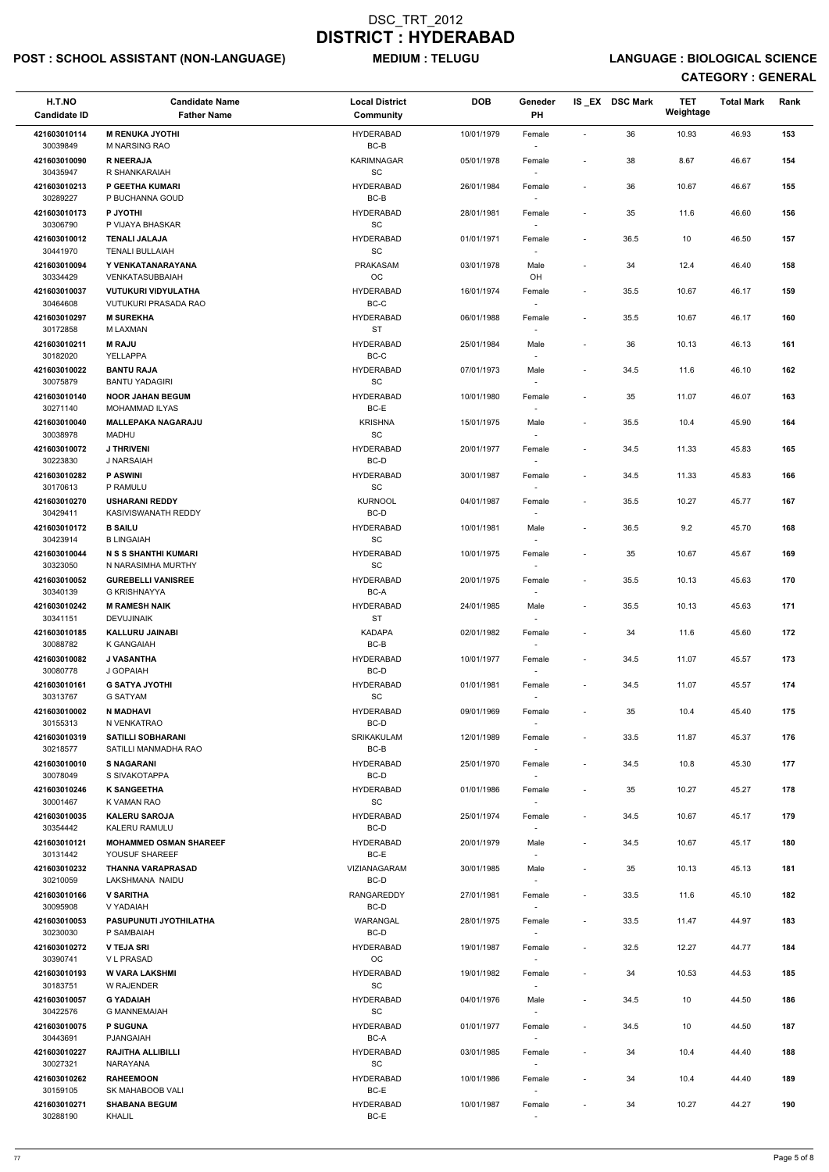## POST : SCHOOL ASSISTANT (NON-LANGUAGE) MEDIUM : TELUGU LANGUAGE : BIOLOGICAL SCIENCE

| H.T.NO<br><b>Candidate ID</b> | <b>Candidate Name</b><br><b>Father Name</b>        | <b>Local District</b><br><b>Community</b>        | <b>DOB</b> | Geneder<br>PH                      |                          | IS_EX DSC Mark | <b>TET</b><br>Weightage | <b>Total Mark</b> | Rank |
|-------------------------------|----------------------------------------------------|--------------------------------------------------|------------|------------------------------------|--------------------------|----------------|-------------------------|-------------------|------|
| 421603010114<br>30039849      | <b>M RENUKA JYOTHI</b><br><b>M NARSING RAO</b>     | <b>HYDERABAD</b>                                 | 10/01/1979 | Female                             | $\overline{\phantom{a}}$ | 36             | 10.93                   | 46.93             | 153  |
| 421603010090                  | <b>R NEERAJA</b>                                   | BC-B<br><b>KARIMNAGAR</b>                        | 05/01/1978 | $\sim$<br>Female                   | $\overline{\phantom{a}}$ | 38             | 8.67                    | 46.67             | 154  |
| 30435947<br>421603010213      | R SHANKARAIAH<br>P GEETHA KUMARI                   | SC<br><b>HYDERABAD</b>                           | 26/01/1984 | Female                             | $\overline{\phantom{a}}$ | 36             | 10.67                   | 46.67             | 155  |
| 30289227<br>421603010173      | P BUCHANNA GOUD<br>P JYOTHI                        | $BC-B$<br><b>HYDERABAD</b>                       | 28/01/1981 |                                    | $\blacksquare$           | 35             | 11.6                    | 46.60             | 156  |
| 30306790                      | P VIJAYA BHASKAR                                   | SC                                               |            | Female<br>$\sim$                   |                          |                |                         |                   |      |
| 421603010012<br>30441970      | <b>TENALI JALAJA</b><br><b>TENALI BULLAIAH</b>     | <b>HYDERABAD</b><br>SC                           | 01/01/1971 | Female<br>$\sim$                   | $\overline{\phantom{a}}$ | 36.5           | 10                      | 46.50             | 157  |
| 421603010094<br>30334429      | Y VENKATANARAYANA<br><b>VENKATASUBBAIAH</b>        | PRAKASAM<br>$_{\rm OC}$                          | 03/01/1978 | Male<br>OH                         | $\blacksquare$           | 34             | 12.4                    | 46.40             | 158  |
| 421603010037<br>30464608      | <b>VUTUKURI VIDYULATHA</b><br>VUTUKURI PRASADA RAO | <b>HYDERABAD</b><br>BC-C                         | 16/01/1974 | Female                             | $\overline{\phantom{a}}$ | 35.5           | 10.67                   | 46.17             | 159  |
| 421603010297<br>30172858      | <b>M SUREKHA</b><br>M LAXMAN                       | <b>HYDERABAD</b><br><b>ST</b>                    | 06/01/1988 | Female<br>$\sim$                   | $\overline{\phantom{a}}$ | 35.5           | 10.67                   | 46.17             | 160  |
| 421603010211                  | <b>M RAJU</b>                                      | <b>HYDERABAD</b>                                 | 25/01/1984 | Male                               |                          | 36             | 10.13                   | 46.13             | 161  |
| 30182020<br>421603010022      | YELLAPPA<br><b>BANTU RAJA</b>                      | $BC-C$<br><b>HYDERABAD</b>                       | 07/01/1973 | Male                               | $\overline{\phantom{a}}$ | 34.5           | 11.6                    | 46.10             | 162  |
| 30075879                      | <b>BANTU YADAGIRI</b>                              | <b>SC</b>                                        |            | $\overline{\phantom{a}}$           |                          |                |                         |                   |      |
| 421603010140<br>30271140      | <b>NOOR JAHAN BEGUM</b><br>MOHAMMAD ILYAS          | <b>HYDERABAD</b><br>BC-E                         | 10/01/1980 | Female                             |                          | 35             | 11.07                   | 46.07             | 163  |
| 421603010040<br>30038978      | <b>MALLEPAKA NAGARAJU</b><br>MADHU                 | <b>KRISHNA</b><br>$\operatorname{\textsf{SC}}$   | 15/01/1975 | Male                               | $\overline{\phantom{a}}$ | 35.5           | 10.4                    | 45.90             | 164  |
| 421603010072<br>30223830      | <b>J THRIVENI</b><br>J NARSAIAH                    | <b>HYDERABAD</b><br>BC-D                         | 20/01/1977 | Female<br>$\sim$                   | $\overline{\phantom{a}}$ | 34.5           | 11.33                   | 45.83             | 165  |
| 421603010282                  | <b>P ASWINI</b>                                    | <b>HYDERABAD</b>                                 | 30/01/1987 | Female                             | $\blacksquare$           | 34.5           | 11.33                   | 45.83             | 166  |
| 30170613<br>421603010270      | P RAMULU<br><b>USHARANI REDDY</b>                  | <b>SC</b><br><b>KURNOOL</b>                      | 04/01/1987 | $\sim$<br>Female                   | $\blacksquare$           | 35.5           | 10.27                   | 45.77             | 167  |
| 30429411<br>421603010172      | KASIVISWANATH REDDY<br><b>B SAILU</b>              | BC-D<br><b>HYDERABAD</b>                         | 10/01/1981 | $\overline{\phantom{a}}$<br>Male   | $\overline{\phantom{a}}$ | 36.5           | 9.2                     | 45.70             | 168  |
| 30423914                      | <b>B LINGAIAH</b>                                  | <b>SC</b>                                        |            | $\overline{\phantom{a}}$           |                          |                |                         |                   |      |
| 421603010044<br>30323050      | N S S SHANTHI KUMARI<br>N NARASIMHA MURTHY         | <b>HYDERABAD</b><br>SC                           | 10/01/1975 | Female<br>$\sim$                   |                          | 35             | 10.67                   | 45.67             | 169  |
| 421603010052<br>30340139      | <b>GUREBELLI VANISREE</b><br>G KRISHNAYYA          | <b>HYDERABAD</b><br>BC-A                         | 20/01/1975 | Female                             | $\overline{\phantom{a}}$ | 35.5           | 10.13                   | 45.63             | 170  |
| 421603010242<br>30341151      | <b>M RAMESH NAIK</b><br><b>DEVUJINAIK</b>          | <b>HYDERABAD</b><br><b>ST</b>                    | 24/01/1985 | Male<br>$\overline{\phantom{a}}$   | $\overline{\phantom{a}}$ | 35.5           | 10.13                   | 45.63             | 171  |
| 421603010185<br>30088782      | <b>KALLURU JAINABI</b><br>K GANGAIAH               | <b>KADAPA</b><br>BC-B                            | 02/01/1982 | Female<br>$\overline{\phantom{a}}$ |                          | 34             | 11.6                    | 45.60             | 172  |
| 421603010082                  | <b>J VASANTHA</b>                                  | <b>HYDERABAD</b>                                 | 10/01/1977 | Female                             | $\overline{\phantom{a}}$ | 34.5           | 11.07                   | 45.57             | 173  |
| 30080778<br>421603010161      | J GOPAIAH<br><b>G SATYA JYOTHI</b>                 | BC-D<br><b>HYDERABAD</b>                         | 01/01/1981 | $\sim$<br>Female                   | $\overline{\phantom{a}}$ | 34.5           | 11.07                   | 45.57             | 174  |
| 30313767<br>421603010002      | <b>G SATYAM</b><br><b>N MADHAVI</b>                | SC<br><b>HYDERABAD</b>                           | 09/01/1969 | $\overline{\phantom{a}}$<br>Female | $\overline{\phantom{a}}$ | 35             | 10.4                    | 45.40             | 175  |
| 30155313                      | N VENKATRAO                                        | BC-D                                             |            |                                    |                          |                |                         |                   |      |
| 421603010319<br>30218577      | <b>SATILLI SOBHARANI</b><br>SATILLI MANMADHA RAO   | <b>SRIKAKULAM</b><br>BC-B                        | 12/01/1989 | Female<br>$\sim$                   | $\overline{\phantom{a}}$ | 33.5           | 11.87                   | 45.37             | 176  |
| 421603010010<br>30078049      | <b>S NAGARANI</b><br>S SIVAKOTAPPA                 | <b>HYDERABAD</b><br>BC-D                         | 25/01/1970 | Female<br>$\sim$                   | $\overline{\phantom{a}}$ | 34.5           | 10.8                    | 45.30             | 177  |
| 421603010246<br>30001467      | <b>K SANGEETHA</b><br>K VAMAN RAO                  | <b>HYDERABAD</b><br><b>SC</b>                    | 01/01/1986 | Female<br>$\sim$                   | $\overline{\phantom{a}}$ | 35             | 10.27                   | 45.27             | 178  |
| 421603010035<br>30354442      | <b>KALERU SAROJA</b><br>KALERU RAMULU              | <b>HYDERABAD</b><br>BC-D                         | 25/01/1974 | Female                             | $\overline{\phantom{a}}$ | 34.5           | 10.67                   | 45.17             | 179  |
| 421603010121<br>30131442      | <b>MOHAMMED OSMAN SHAREEF</b><br>YOUSUF SHAREEF    | <b>HYDERABAD</b><br>BC-E                         | 20/01/1979 | Male<br>$\overline{\phantom{a}}$   | $\overline{\phantom{a}}$ | 34.5           | 10.67                   | 45.17             | 180  |
| 421603010232                  | THANNA VARAPRASAD                                  | VIZIANAGARAM                                     | 30/01/1985 | Male                               | $\blacksquare$           | 35             | 10.13                   | 45.13             | 181  |
| 30210059<br>421603010166      | LAKSHMANA NAIDU<br><b>V SARITHA</b>                | BC-D<br><b>RANGAREDDY</b>                        | 27/01/1981 | $\sim$<br>Female                   | $\overline{\phantom{a}}$ | 33.5           | 11.6                    | 45.10             | 182  |
| 30095908                      | V YADAIAH                                          | BC-D                                             |            | $\sim$                             |                          |                |                         |                   |      |
| 421603010053<br>30230030      | <b>PASUPUNUTI JYOTHILATHA</b><br>P SAMBAIAH        | WARANGAL<br>BC-D                                 | 28/01/1975 | Female                             | $\overline{\phantom{a}}$ | 33.5           | 11.47                   | 44.97             | 183  |
| 421603010272<br>30390741      | <b>V TEJA SRI</b><br><b>VL PRASAD</b>              | <b>HYDERABAD</b><br>OC                           | 19/01/1987 | Female                             | $\overline{\phantom{a}}$ | 32.5           | 12.27                   | 44.77             | 184  |
| 421603010193                  | <b>W VARA LAKSHMI</b>                              | <b>HYDERABAD</b>                                 | 19/01/1982 | Female                             | $\overline{\phantom{a}}$ | 34             | 10.53                   | 44.53             | 185  |
| 30183751<br>421603010057      | W RAJENDER<br><b>G YADAIAH</b>                     | SC<br><b>HYDERABAD</b>                           | 04/01/1976 | $\sim$<br>Male                     | $\overline{\phantom{a}}$ | 34.5           | 10                      | 44.50             | 186  |
| 30422576<br>421603010075      | <b>G MANNEMAIAH</b><br><b>P SUGUNA</b>             | $\operatorname{\textsf{SC}}$<br><b>HYDERABAD</b> | 01/01/1977 | $\overline{\phantom{a}}$<br>Female | $\overline{\phantom{a}}$ | 34.5           | 10                      | 44.50             | 187  |
| 30443691                      | PJANGAIAH                                          | BC-A                                             |            | $\sim$                             |                          |                |                         |                   |      |
| 421603010227<br>30027321      | <b>RAJITHA ALLIBILLI</b><br>NARAYANA               | <b>HYDERABAD</b><br>SC                           | 03/01/1985 | Female<br>$\sim$                   |                          | 34             | 10.4                    | 44.40             | 188  |
| 421603010262<br>30159105      | <b>RAHEEMOON</b><br>SK MAHABOOB VALI               | <b>HYDERABAD</b><br>BC-E                         | 10/01/1986 | Female<br>$\overline{\phantom{a}}$ | $\overline{\phantom{a}}$ | 34             | 10.4                    | 44.40             | 189  |
| 421603010271<br>30288190      | <b>SHABANA BEGUM</b><br>KHALIL                     | <b>HYDERABAD</b><br>BC-E                         | 10/01/1987 | Female<br>$\sim$                   | $\blacksquare$           | 34             | 10.27                   | 44.27             | 190  |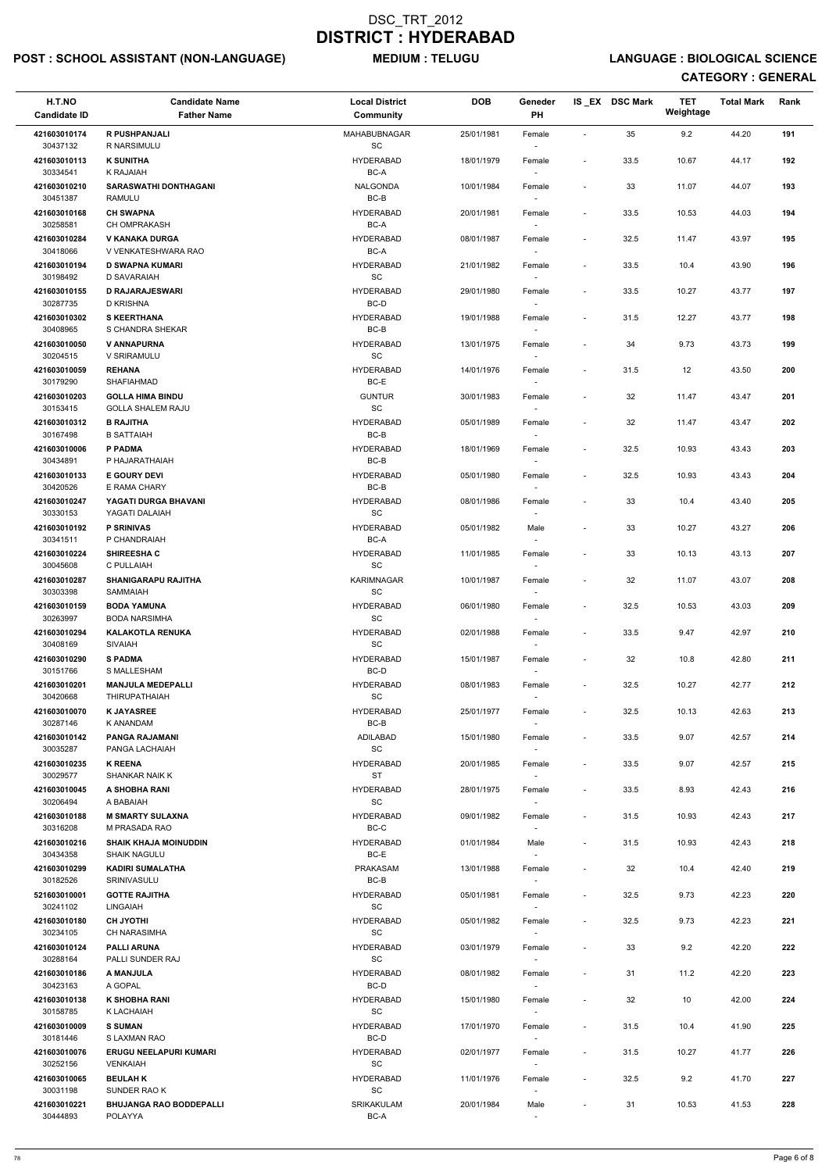## POST : SCHOOL ASSISTANT (NON-LANGUAGE) MEDIUM : TELUGU LANGUAGE : BIOLOGICAL SCIENCE

| H.T.NO<br><b>Candidate ID</b> | <b>Candidate Name</b><br><b>Father Name</b>         | <b>Local District</b><br>Community               | <b>DOB</b> | Geneder<br>PH                      |                              | IS_EX DSC Mark | <b>TET</b><br>Weightage | <b>Total Mark</b> | Rank |
|-------------------------------|-----------------------------------------------------|--------------------------------------------------|------------|------------------------------------|------------------------------|----------------|-------------------------|-------------------|------|
| 421603010174                  | <b>R PUSHPANJALI</b><br>R NARSIMULU                 | MAHABUBNAGAR                                     | 25/01/1981 | Female                             | $\sim$                       | 35             | 9.2                     | 44.20             | 191  |
| 30437132<br>421603010113      | <b>K SUNITHA</b>                                    | SC<br>HYDERABAD                                  | 18/01/1979 | Female                             | $\overline{\phantom{a}}$     | 33.5           | 10.67                   | 44.17             | 192  |
| 30334541<br>421603010210      | K RAJAIAH<br><b>SARASWATHI DONTHAGANI</b>           | BC-A<br><b>NALGONDA</b>                          | 10/01/1984 | Female                             | $\overline{\phantom{a}}$     | 33             | 11.07                   | 44.07             | 193  |
| 30451387<br>421603010168      | RAMULU<br><b>CH SWAPNA</b>                          | $BC-B$<br><b>HYDERABAD</b>                       | 20/01/1981 | Female                             | $\overline{\phantom{a}}$     | 33.5           | 10.53                   | 44.03             | 194  |
| 30258581<br>421603010284      | CH OMPRAKASH<br><b>V KANAKA DURGA</b>               | BC-A<br><b>HYDERABAD</b>                         | 08/01/1987 | $\sim$                             |                              | 32.5           | 11.47                   | 43.97             | 195  |
| 30418066                      | V VENKATESHWARA RAO                                 | BC-A                                             |            | Female<br>$\sim$                   | $\overline{\phantom{a}}$     |                |                         |                   |      |
| 421603010194<br>30198492      | <b>D SWAPNA KUMARI</b><br>D SAVARAIAH               | <b>HYDERABAD</b><br>SC                           | 21/01/1982 | Female                             | $\overline{\phantom{a}}$     | 33.5           | 10.4                    | 43.90             | 196  |
| 421603010155<br>30287735      | <b>D RAJARAJESWARI</b><br>D KRISHNA                 | <b>HYDERABAD</b><br>BC-D                         | 29/01/1980 | Female                             | $\overline{\phantom{a}}$     | 33.5           | 10.27                   | 43.77             | 197  |
| 421603010302<br>30408965      | <b>S KEERTHANA</b><br>S CHANDRA SHEKAR              | <b>HYDERABAD</b><br>$BC-B$                       | 19/01/1988 | Female<br>$\sim$                   | $\overline{\phantom{a}}$     | 31.5           | 12.27                   | 43.77             | 198  |
| 421603010050                  | V ANNAPURNA                                         | <b>HYDERABAD</b>                                 | 13/01/1975 | Female                             | $\overline{\phantom{a}}$     | 34             | 9.73                    | 43.73             | 199  |
| 30204515<br>421603010059      | V SRIRAMULU<br><b>REHANA</b>                        | SC<br><b>HYDERABAD</b>                           | 14/01/1976 | Female                             | $\overline{\phantom{a}}$     | 31.5           | 12                      | 43.50             | 200  |
| 30179290                      | SHAFIAHMAD                                          | BC-E                                             |            |                                    |                              |                |                         |                   |      |
| 421603010203<br>30153415      | <b>GOLLA HIMA BINDU</b><br><b>GOLLA SHALEM RAJU</b> | <b>GUNTUR</b><br>$\operatorname{\textsf{SC}}$    | 30/01/1983 | Female                             | $\blacksquare$               | 32             | 11.47                   | 43.47             | 201  |
| 421603010312                  | <b>B RAJITHA</b>                                    | <b>HYDERABAD</b>                                 | 05/01/1989 | Female                             | $\overline{\phantom{a}}$     | 32             | 11.47                   | 43.47             | 202  |
| 30167498<br>421603010006      | <b>B SATTAIAH</b><br>P PADMA                        | $BC-B$<br><b>HYDERABAD</b>                       | 18/01/1969 | Female                             | $\overline{\phantom{a}}$     | 32.5           | 10.93                   | 43.43             | 203  |
| 30434891                      | P HAJARATHAIAH                                      | BC-B                                             |            | $\sim$                             |                              |                |                         |                   |      |
| 421603010133<br>30420526      | <b>E GOURY DEVI</b><br>E RAMA CHARY                 | <b>HYDERABAD</b><br>BC-B                         | 05/01/1980 | Female                             | $\overline{\phantom{a}}$     | 32.5           | 10.93                   | 43.43             | 204  |
| 421603010247<br>30330153      | YAGATI DURGA BHAVANI<br>YAGATI DALAIAH              | <b>HYDERABAD</b><br>$\operatorname{\textsf{SC}}$ | 08/01/1986 | Female                             | $\overline{\phantom{a}}$     | 33             | 10.4                    | 43.40             | 205  |
| 421603010192<br>30341511      | <b>P SRINIVAS</b><br>P CHANDRAIAH                   | <b>HYDERABAD</b><br>BC-A                         | 05/01/1982 | Male                               | $\overline{\phantom{a}}$     | 33             | 10.27                   | 43.27             | 206  |
| 421603010224<br>30045608      | <b>SHIREESHAC</b><br>C PULLAIAH                     | <b>HYDERABAD</b><br>SC                           | 11/01/1985 | Female<br>$\sim$                   | $\qquad \qquad \blacksquare$ | 33             | 10.13                   | 43.13             | 207  |
| 421603010287<br>30303398      | <b>SHANIGARAPU RAJITHA</b><br><b>SAMMAIAH</b>       | <b>KARIMNAGAR</b><br>SC                          | 10/01/1987 | Female                             | $\overline{\phantom{a}}$     | 32             | 11.07                   | 43.07             | 208  |
| 421603010159                  | <b>BODA YAMUNA</b>                                  | HYDERABAD                                        | 06/01/1980 | Female                             | $\overline{\phantom{a}}$     | 32.5           | 10.53                   | 43.03             | 209  |
| 30263997<br>421603010294      | <b>BODA NARSIMHA</b><br><b>KALAKOTLA RENUKA</b>     | <b>SC</b><br><b>HYDERABAD</b>                    | 02/01/1988 | Female                             | $\overline{\phantom{a}}$     | 33.5           | 9.47                    | 42.97             | 210  |
| 30408169<br>421603010290      | <b>SIVAIAH</b><br><b>S PADMA</b>                    | SC<br>HYDERABAD                                  | 15/01/1987 | Female                             | $\overline{\phantom{a}}$     | 32             | 10.8                    | 42.80             | 211  |
| 30151766                      | S MALLESHAM                                         | BC-D                                             |            | $\sim$                             |                              |                |                         |                   |      |
| 421603010201<br>30420668      | <b>MANJULA MEDEPALLI</b><br><b>THIRUPATHAIAH</b>    | HYDERABAD<br>SC                                  | 08/01/1983 | Female<br>$\sim$                   | $\overline{\phantom{a}}$     | 32.5           | 10.27                   | 42.77             | 212  |
| 421603010070<br>30287146      | <b>K JAYASREE</b><br>K ANANDAM                      | HYDERABAD<br>BC-B                                | 25/01/1977 | Female                             | $\overline{\phantom{a}}$     | 32.5           | 10.13                   | 42.63             | 213  |
| 421603010142<br>30035287      | <b>PANGA RAJAMANI</b><br>PANGA LACHAIAH             | ADILABAD<br>SC                                   | 15/01/1980 | Female<br>$\sim$                   | $\overline{\phantom{a}}$     | 33.5           | 9.07                    | 42.57             | 214  |
| 421603010235<br>30029577      | <b>K REENA</b><br><b>SHANKAR NAIK K</b>             | <b>HYDERABAD</b><br><b>ST</b>                    | 20/01/1985 | Female                             | $\overline{\phantom{a}}$     | 33.5           | 9.07                    | 42.57             | 215  |
| 421603010045<br>30206494      | A SHOBHA RANI<br>A BABAIAH                          | HYDERABAD<br>SC                                  | 28/01/1975 | Female<br>$\sim$                   | $\overline{\phantom{a}}$     | 33.5           | 8.93                    | 42.43             | 216  |
| 421603010188                  | <b>M SMARTY SULAXNA</b>                             | HYDERABAD                                        | 09/01/1982 | Female                             | $\overline{\phantom{a}}$     | 31.5           | 10.93                   | 42.43             | 217  |
| 30316208<br>421603010216      | M PRASADA RAO<br><b>SHAIK KHAJA MOINUDDIN</b>       | BC-C<br>HYDERABAD                                | 01/01/1984 | Male                               | $\overline{\phantom{a}}$     | 31.5           | 10.93                   | 42.43             | 218  |
| 30434358<br>421603010299      | <b>SHAIK NAGULU</b><br><b>KADIRI SUMALATHA</b>      | BC-E<br><b>PRAKASAM</b>                          | 13/01/1988 | Female                             | $\blacksquare$               | 32             | 10.4                    | 42.40             | 219  |
| 30182526<br>521603010001      | SRINIVASULU<br><b>GOTTE RAJITHA</b>                 | BC-B<br>HYDERABAD                                | 05/01/1981 | $\sim$                             |                              | 32.5           | 9.73                    | 42.23             | 220  |
| 30241102                      | <b>LINGAIAH</b>                                     | <b>SC</b>                                        |            | Female<br>$\sim$                   | $\overline{\phantom{a}}$     |                |                         |                   |      |
| 421603010180<br>30234105      | <b>CH JYOTHI</b><br><b>CH NARASIMHA</b>             | <b>HYDERABAD</b><br>SC                           | 05/01/1982 | Female                             | $\overline{\phantom{a}}$     | 32.5           | 9.73                    | 42.23             | 221  |
| 421603010124                  | <b>PALLI ARUNA</b>                                  | <b>HYDERABAD</b>                                 | 03/01/1979 | Female                             | $\overline{\phantom{a}}$     | 33             | 9.2                     | 42.20             | 222  |
| 30288164<br>421603010186      | PALLI SUNDER RAJ<br>A MANJULA                       | SC<br><b>HYDERABAD</b>                           | 08/01/1982 | Female                             | $\overline{\phantom{a}}$     | 31             | 11.2                    | 42.20             | 223  |
| 30423163<br>421603010138      | A GOPAL<br><b>K SHOBHA RANI</b>                     | BC-D<br><b>HYDERABAD</b>                         | 15/01/1980 | $\sim$<br>Female                   | $\blacksquare$               | 32             | 10                      | 42.00             | 224  |
| 30158785<br>421603010009      | K LACHAIAH<br><b>S SUMAN</b>                        | $\operatorname{\textsf{SC}}$<br>HYDERABAD        | 17/01/1970 | Female                             | $\overline{\phantom{a}}$     | 31.5           | 10.4                    | 41.90             | 225  |
| 30181446                      | S LAXMAN RAO                                        | BC-D                                             |            | $\overline{\phantom{a}}$           |                              |                |                         |                   |      |
| 421603010076<br>30252156      | <b>ERUGU NEELAPURI KUMARI</b><br><b>VENKAIAH</b>    | HYDERABAD<br>SC                                  | 02/01/1977 | Female<br>$\sim$                   | $\overline{\phantom{a}}$     | 31.5           | 10.27                   | 41.77             | 226  |
| 421603010065<br>30031198      | <b>BEULAHK</b><br>SUNDER RAO K                      | <b>HYDERABAD</b><br>SC                           | 11/01/1976 | Female<br>$\overline{\phantom{a}}$ | $\overline{\phantom{a}}$     | 32.5           | 9.2                     | 41.70             | 227  |
| 421603010221<br>30444893      | <b>BHUJANGA RAO BODDEPALLI</b><br>POLAYYA           | SRIKAKULAM<br>BC-A                               | 20/01/1984 | Male                               | $\overline{\phantom{a}}$     | 31             | 10.53                   | 41.53             | 228  |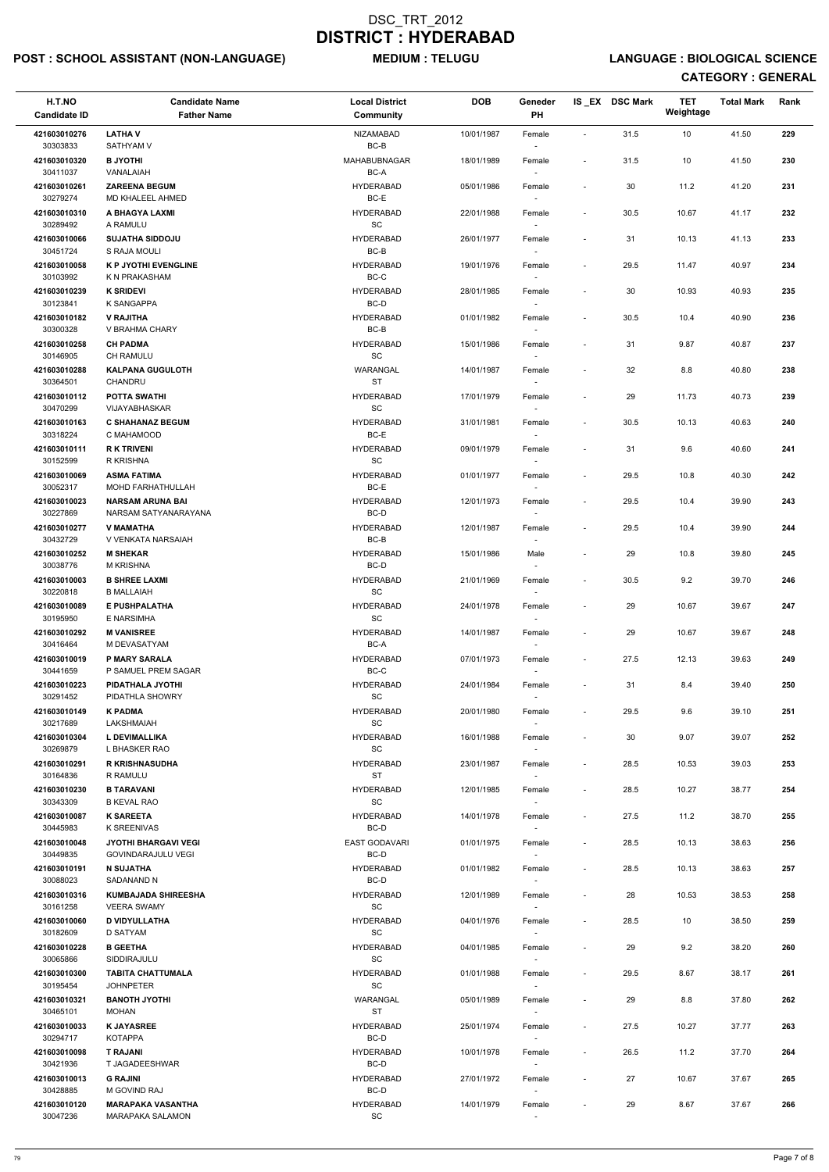## POST : SCHOOL ASSISTANT (NON-LANGUAGE) MEDIUM : TELUGU LANGUAGE : BIOLOGICAL SCIENCE

| H.T.NO<br><b>Candidate ID</b> | <b>Candidate Name</b><br><b>Father Name</b>       | <b>Local District</b><br><b>Community</b>        | <b>DOB</b> | Geneder<br>PH                      |                              | IS EX DSC Mark | <b>TET</b><br>Weightage | <b>Total Mark</b> | Rank |
|-------------------------------|---------------------------------------------------|--------------------------------------------------|------------|------------------------------------|------------------------------|----------------|-------------------------|-------------------|------|
| 421603010276                  | <b>LATHAV</b>                                     | NIZAMABAD                                        | 10/01/1987 | Female                             | $\blacksquare$               | 31.5           | 10                      | 41.50             | 229  |
| 30303833<br>421603010320      | <b>SATHYAM V</b><br><b>B JYOTHI</b>               | BC-B<br><b>MAHABUBNAGAR</b>                      | 18/01/1989 | $\overline{\phantom{a}}$<br>Female | $\overline{\phantom{a}}$     | 31.5           | 10                      | 41.50             | 230  |
| 30411037<br>421603010261      | VANALAIAH<br><b>ZAREENA BEGUM</b>                 | BC-A<br><b>HYDERABAD</b>                         | 05/01/1986 | Female                             | $\overline{\phantom{a}}$     | 30             | 11.2                    | 41.20             | 231  |
| 30279274<br>421603010310      | MD KHALEEL AHMED<br>A BHAGYA LAXMI                | BC-E<br><b>HYDERABAD</b>                         | 22/01/1988 | Female                             | $\overline{\phantom{a}}$     | 30.5           | 10.67                   | 41.17             | 232  |
| 30289492<br>421603010066      | A RAMULU<br><b>SUJATHA SIDDOJU</b>                | SC<br><b>HYDERABAD</b>                           | 26/01/1977 | $\sim$                             | $\overline{\phantom{a}}$     | 31             | 10.13                   | 41.13             | 233  |
| 30451724                      | S RAJA MOULI                                      | BC-B                                             |            | Female<br>$\sim$                   |                              |                |                         |                   |      |
| 421603010058<br>30103992      | <b>K P JYOTHI EVENGLINE</b><br>K N PRAKASHAM      | <b>HYDERABAD</b><br>BC-C                         | 19/01/1976 | Female<br>$\sim$                   | $\overline{\phantom{a}}$     | 29.5           | 11.47                   | 40.97             | 234  |
| 421603010239<br>30123841      | <b>K SRIDEVI</b><br>K SANGAPPA                    | <b>HYDERABAD</b><br>BC-D                         | 28/01/1985 | Female                             | $\overline{\phantom{a}}$     | 30             | 10.93                   | 40.93             | 235  |
| 421603010182<br>30300328      | <b>V RAJITHA</b><br>V BRAHMA CHARY                | <b>HYDERABAD</b><br>BC-B                         | 01/01/1982 | Female<br>$\sim$                   | $\overline{\phantom{a}}$     | 30.5           | 10.4                    | 40.90             | 236  |
| 421603010258<br>30146905      | <b>CH PADMA</b><br><b>CH RAMULU</b>               | <b>HYDERABAD</b><br>SC                           | 15/01/1986 | Female<br>$\sim$                   | $\overline{\phantom{a}}$     | 31             | 9.87                    | 40.87             | 237  |
| 421603010288                  | <b>KALPANA GUGULOTH</b>                           | WARANGAL                                         | 14/01/1987 | Female                             | $\overline{\phantom{a}}$     | 32             | 8.8                     | 40.80             | 238  |
| 30364501<br>421603010112      | <b>CHANDRU</b><br><b>POTTA SWATHI</b>             | <b>ST</b><br><b>HYDERABAD</b>                    | 17/01/1979 | $\sim$<br>Female                   | $\qquad \qquad \blacksquare$ | 29             | 11.73                   | 40.73             | 239  |
| 30470299<br>421603010163      | VIJAYABHASKAR<br><b>C SHAHANAZ BEGUM</b>          | $\operatorname{\textsf{SC}}$<br><b>HYDERABAD</b> | 31/01/1981 | Female                             | $\overline{\phantom{a}}$     | 30.5           | 10.13                   | 40.63             | 240  |
| 30318224<br>421603010111      | C MAHAMOOD<br><b>RK TRIVENI</b>                   | BC-E<br><b>HYDERABAD</b>                         | 09/01/1979 | Female                             | $\overline{\phantom{a}}$     | 31             | 9.6                     | 40.60             | 241  |
| 30152599<br>421603010069      | R KRISHNA<br><b>ASMA FATIMA</b>                   | $\operatorname{\textsf{SC}}$<br><b>HYDERABAD</b> | 01/01/1977 | $\sim$<br>Female                   | $\overline{\phantom{a}}$     | 29.5           | 10.8                    | 40.30             | 242  |
| 30052317                      | <b>MOHD FARHATHULLAH</b>                          | BC-E                                             |            | $\sim$                             |                              |                |                         |                   |      |
| 421603010023<br>30227869      | <b>NARSAM ARUNA BAI</b><br>NARSAM SATYANARAYANA   | <b>HYDERABAD</b><br>BC-D                         | 12/01/1973 | Female                             | $\overline{\phantom{a}}$     | 29.5           | 10.4                    | 39.90             | 243  |
| 421603010277<br>30432729      | <b>V MAMATHA</b><br>V VENKATA NARSAIAH            | <b>HYDERABAD</b><br>BC-B                         | 12/01/1987 | Female<br>$\overline{\phantom{a}}$ | $\overline{\phantom{a}}$     | 29.5           | 10.4                    | 39.90             | 244  |
| 421603010252<br>30038776      | <b>M SHEKAR</b><br><b>M KRISHNA</b>               | <b>HYDERABAD</b><br>BC-D                         | 15/01/1986 | Male<br>$\sim$                     | $\qquad \qquad \blacksquare$ | 29             | 10.8                    | 39.80             | 245  |
| 421603010003<br>30220818      | <b>B SHREE LAXMI</b><br><b>B MALLAIAH</b>         | <b>HYDERABAD</b><br>SC                           | 21/01/1969 | Female                             | $\overline{\phantom{a}}$     | 30.5           | 9.2                     | 39.70             | 246  |
| 421603010089<br>30195950      | <b>E PUSHPALATHA</b><br>E NARSIMHA                | <b>HYDERABAD</b><br><b>SC</b>                    | 24/01/1978 | Female                             | $\overline{\phantom{a}}$     | 29             | 10.67                   | 39.67             | 247  |
| 421603010292                  | <b>M VANISREE</b>                                 | <b>HYDERABAD</b>                                 | 14/01/1987 | Female                             | $\blacksquare$               | 29             | 10.67                   | 39.67             | 248  |
| 30416464<br>421603010019      | M DEVASATYAM<br><b>P MARY SARALA</b>              | BC-A<br><b>HYDERABAD</b>                         | 07/01/1973 | $\sim$<br>Female                   | $\overline{\phantom{a}}$     | 27.5           | 12.13                   | 39.63             | 249  |
| 30441659<br>421603010223      | P SAMUEL PREM SAGAR<br>PIDATHALA JYOTHI           | BC-C<br><b>HYDERABAD</b>                         | 24/01/1984 | $\sim$<br>Female                   | $\overline{\phantom{a}}$     | 31             | 8.4                     | 39.40             | 250  |
| 30291452<br>421603010149      | PIDATHLA SHOWRY<br><b>K PADMA</b>                 | SC<br><b>HYDERABAD</b>                           | 20/01/1980 | $\overline{\phantom{a}}$<br>Female | $\overline{\phantom{a}}$     | 29.5           | 9.6                     | 39.10             | 251  |
| 30217689<br>421603010304      | LAKSHMAIAH<br>L DEVIMALLIKA                       | SC<br><b>HYDERABAD</b>                           | 16/01/1988 | Female                             | $\overline{\phantom{a}}$     | 30             | 9.07                    | 39.07             | 252  |
| 30269879                      | L BHASKER RAO                                     | SC                                               |            | $\sim$                             |                              |                |                         |                   |      |
| 421603010291<br>30164836      | <b>R KRISHNASUDHA</b><br>R RAMULU                 | <b>HYDERABAD</b><br>ST                           | 23/01/1987 | Female<br>$\sim$                   | $\overline{\phantom{a}}$     | 28.5           | 10.53                   | 39.03             | 253  |
| 421603010230<br>30343309      | <b>B TARAVANI</b><br>B KEVAL RAO                  | <b>HYDERABAD</b><br>SC                           | 12/01/1985 | Female<br>$\sim$                   | $\overline{\phantom{a}}$     | 28.5           | 10.27                   | 38.77             | 254  |
| 421603010087<br>30445983      | <b>K SAREETA</b><br><b>K SREENIVAS</b>            | <b>HYDERABAD</b><br>BC-D                         | 14/01/1978 | Female                             | $\overline{\phantom{a}}$     | 27.5           | 11.2                    | 38.70             | 255  |
| 421603010048<br>30449835      | <b>JYOTHI BHARGAVI VEGI</b><br>GOVINDARAJULU VEGI | <b>EAST GODAVARI</b><br>BC-D                     | 01/01/1975 | Female<br>$\overline{\phantom{a}}$ | $\overline{\phantom{a}}$     | 28.5           | 10.13                   | 38.63             | 256  |
| 421603010191<br>30088023      | <b>N SUJATHA</b><br>SADANAND N                    | <b>HYDERABAD</b><br>BC-D                         | 01/01/1982 | Female<br>$\sim$                   | $\tilde{\phantom{a}}$        | 28.5           | 10.13                   | 38.63             | 257  |
| 421603010316                  | <b>KUMBAJADA SHIREESHA</b>                        | <b>HYDERABAD</b>                                 | 12/01/1989 | Female                             | $\overline{\phantom{a}}$     | 28             | 10.53                   | 38.53             | 258  |
| 30161258<br>421603010060      | <b>VEERA SWAMY</b><br><b>D VIDYULLATHA</b>        | <b>SC</b><br><b>HYDERABAD</b>                    | 04/01/1976 | $\sim$<br>Female                   | $\overline{\phantom{a}}$     | 28.5           | 10                      | 38.50             | 259  |
| 30182609<br>421603010228      | <b>D SATYAM</b><br><b>B GEETHA</b>                | SC<br><b>HYDERABAD</b>                           | 04/01/1985 | $\sim$<br>Female                   | $\overline{\phantom{a}}$     | 29             | 9.2                     | 38.20             | 260  |
| 30065866<br>421603010300      | SIDDIRAJULU<br><b>TABITA CHATTUMALA</b>           | SC<br><b>HYDERABAD</b>                           | 01/01/1988 | Female                             | $\overline{\phantom{a}}$     | 29.5           | 8.67                    | 38.17             | 261  |
| 30195454<br>421603010321      | <b>JOHNPETER</b><br><b>BANOTH JYOTHI</b>          | SC<br>WARANGAL                                   | 05/01/1989 | $\sim$<br>Female                   | $\qquad \qquad \blacksquare$ | 29             | 8.8                     | 37.80             | 262  |
| 30465101                      | MOHAN                                             | <b>ST</b>                                        |            |                                    |                              |                |                         |                   |      |
| 421603010033<br>30294717      | <b>K JAYASREE</b><br><b>KOTAPPA</b>               | <b>HYDERABAD</b><br>BC-D                         | 25/01/1974 | Female<br>$\sim$                   | $\overline{\phantom{a}}$     | 27.5           | 10.27                   | 37.77             | 263  |
| 421603010098<br>30421936      | <b>T RAJANI</b><br>T JAGADEESHWAR                 | <b>HYDERABAD</b><br>BC-D                         | 10/01/1978 | Female<br>$\sim$                   | $\overline{\phantom{a}}$     | 26.5           | 11.2                    | 37.70             | 264  |
| 421603010013<br>30428885      | <b>G RAJINI</b><br>M GOVIND RAJ                   | <b>HYDERABAD</b><br>BC-D                         | 27/01/1972 | Female<br>$\sim$                   | $\overline{\phantom{a}}$     | 27             | 10.67                   | 37.67             | 265  |
| 421603010120<br>30047236      | <b>MARAPAKA VASANTHA</b><br>MARAPAKA SALAMON      | <b>HYDERABAD</b><br>$\operatorname{\textsf{SC}}$ | 14/01/1979 | Female<br>$\overline{\phantom{a}}$ | $\qquad \qquad \blacksquare$ | 29             | 8.67                    | 37.67             | 266  |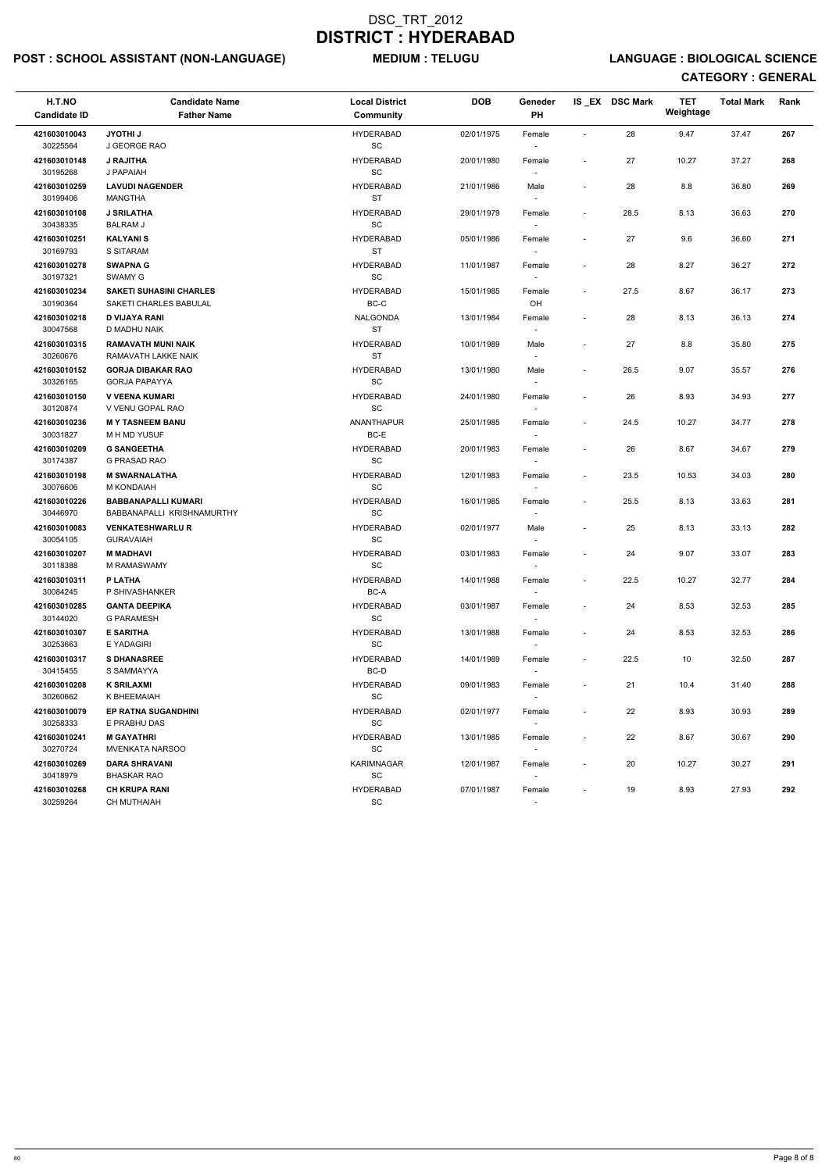## POST : SCHOOL ASSISTANT (NON-LANGUAGE) MEDIUM : TELUGU LANGUAGE : BIOLOGICAL SCIENCE

| H.T.NO<br><b>Candidate ID</b> | <b>Candidate Name</b><br><b>Father Name</b>              | <b>Local District</b><br><b>Community</b>        | <b>DOB</b> | Geneder<br>PH                      |                          | IS EX DSC Mark | <b>TET</b><br>Weightage | <b>Total Mark</b> | Rank |
|-------------------------------|----------------------------------------------------------|--------------------------------------------------|------------|------------------------------------|--------------------------|----------------|-------------------------|-------------------|------|
| 421603010043<br>30225564      | JYOTHI J<br>J GEORGE RAO                                 | <b>HYDERABAD</b><br>$\operatorname{\textsf{SC}}$ | 02/01/1975 | Female                             | $\overline{\phantom{a}}$ | 28             | 9.47                    | 37.47             | 267  |
| 421603010148<br>30195268      | <b>J RAJITHA</b><br>J PAPAIAH                            | <b>HYDERABAD</b><br>SC                           | 20/01/1980 | Female                             | $\blacksquare$           | 27             | 10.27                   | 37.27             | 268  |
| 421603010259<br>30199406      | <b>LAVUDI NAGENDER</b><br><b>MANGTHA</b>                 | <b>HYDERABAD</b><br><b>ST</b>                    | 21/01/1986 | Male<br>$\overline{\phantom{a}}$   | $\overline{\phantom{a}}$ | 28             | 8.8                     | 36.80             | 269  |
| 421603010108<br>30438335      | <b>J SRILATHA</b><br><b>BALRAM J</b>                     | <b>HYDERABAD</b><br><b>SC</b>                    | 29/01/1979 | Female                             | $\overline{\phantom{a}}$ | 28.5           | 8.13                    | 36.63             | 270  |
| 421603010251<br>30169793      | <b>KALYANIS</b><br><b>S SITARAM</b>                      | <b>HYDERABAD</b><br><b>ST</b>                    | 05/01/1986 | Female<br>$\sim$                   |                          | 27             | 9.6                     | 36.60             | 271  |
| 421603010278<br>30197321      | <b>SWAPNA G</b><br>SWAMY G                               | <b>HYDERABAD</b><br>SC                           | 11/01/1987 | Female                             |                          | 28             | 8.27                    | 36.27             | 272  |
| 421603010234<br>30190364      | <b>SAKETI SUHASINI CHARLES</b><br>SAKETI CHARLES BABULAL | <b>HYDERABAD</b><br>BC-C                         | 15/01/1985 | Female<br>OH                       | $\blacksquare$           | 27.5           | 8.67                    | 36.17             | 273  |
| 421603010218<br>30047568      | <b>D VIJAYA RANI</b><br>D MADHU NAIK                     | <b>NALGONDA</b><br><b>ST</b>                     | 13/01/1984 | Female<br>$\overline{\phantom{a}}$ |                          | 28             | 8.13                    | 36.13             | 274  |
| 421603010315<br>30260676      | <b>RAMAVATH MUNI NAIK</b><br>RAMAVATH LAKKE NAIK         | <b>HYDERABAD</b><br><b>ST</b>                    | 10/01/1989 | Male<br>$\overline{\phantom{a}}$   | $\overline{\phantom{a}}$ | 27             | 8.8                     | 35.80             | 275  |
| 421603010152<br>30326165      | <b>GORJA DIBAKAR RAO</b><br><b>GORJA PAPAYYA</b>         | <b>HYDERABAD</b><br>$\operatorname{\textsf{SC}}$ | 13/01/1980 | Male                               | $\blacksquare$           | 26.5           | 9.07                    | 35.57             | 276  |
| 421603010150<br>30120874      | <b>V VEENA KUMARI</b><br>V VENU GOPAL RAO                | <b>HYDERABAD</b><br>SC                           | 24/01/1980 | Female                             | $\blacksquare$           | 26             | 8.93                    | 34.93             | 277  |
| 421603010236<br>30031827      | <b>MY TASNEEM BANU</b><br>M H MD YUSUF                   | <b>ANANTHAPUR</b><br>BC-E                        | 25/01/1985 | Female<br>$\sim$                   | $\overline{\phantom{a}}$ | 24.5           | 10.27                   | 34.77             | 278  |
| 421603010209<br>30174387      | <b>G SANGEETHA</b><br>G PRASAD RAO                       | <b>HYDERABAD</b><br>SC                           | 20/01/1983 | Female                             |                          | 26             | 8.67                    | 34.67             | 279  |
| 421603010198<br>30076606      | <b>M SWARNALATHA</b><br>M KONDAIAH                       | <b>HYDERABAD</b><br>$\operatorname{\textsf{SC}}$ | 12/01/1983 | Female                             | $\blacksquare$           | 23.5           | 10.53                   | 34.03             | 280  |
| 421603010226<br>30446970      | <b>BABBANAPALLI KUMARI</b><br>BABBANAPALLI KRISHNAMURTHY | <b>HYDERABAD</b><br>SC                           | 16/01/1985 | Female                             | $\overline{\phantom{a}}$ | 25.5           | 8.13                    | 33.63             | 281  |
| 421603010083<br>30054105      | <b>VENKATESHWARLU R</b><br><b>GURAVAIAH</b>              | <b>HYDERABAD</b><br>SC                           | 02/01/1977 | Male<br>$\sim$                     | $\overline{\phantom{a}}$ | 25             | 8.13                    | 33.13             | 282  |
| 421603010207<br>30118388      | <b>M MADHAVI</b><br>M RAMASWAMY                          | <b>HYDERABAD</b><br><b>SC</b>                    | 03/01/1983 | Female<br>$\overline{\phantom{a}}$ |                          | 24             | 9.07                    | 33.07             | 283  |
| 421603010311<br>30084245      | P LATHA<br>P SHIVASHANKER                                | <b>HYDERABAD</b><br>BC-A                         | 14/01/1988 | Female                             | $\blacksquare$           | 22.5           | 10.27                   | 32.77             | 284  |
| 421603010285<br>30144020      | <b>GANTA DEEPIKA</b><br><b>G PARAMESH</b>                | <b>HYDERABAD</b><br>SC                           | 03/01/1987 | Female<br>$\sim$                   |                          | 24             | 8.53                    | 32.53             | 285  |
| 421603010307<br>30253663      | <b>E SARITHA</b><br>E YADAGIRI                           | <b>HYDERABAD</b><br>SC                           | 13/01/1988 | Female<br>$\sim$                   | $\overline{\phantom{a}}$ | 24             | 8.53                    | 32.53             | 286  |
| 421603010317<br>30415455      | <b>S DHANASREE</b><br>S SAMMAYYA                         | <b>HYDERABAD</b><br>BC-D                         | 14/01/1989 | Female<br>$\sim$                   | $\sim$                   | 22.5           | 10                      | 32.50             | 287  |
| 421603010208<br>30260662      | <b>K SRILAXMI</b><br>K BHEEMAIAH                         | <b>HYDERABAD</b><br>SC                           | 09/01/1983 | Female                             |                          | 21             | 10.4                    | 31.40             | 288  |
| 421603010079<br>30258333      | EP RATNA SUGANDHINI<br>E PRABHU DAS                      | <b>HYDERABAD</b><br>SC                           | 02/01/1977 | Female                             | $\overline{\phantom{a}}$ | 22             | 8.93                    | 30.93             | 289  |
| 421603010241<br>30270724      | <b>M GAYATHRI</b><br><b>MVENKATA NARSOO</b>              | <b>HYDERABAD</b><br>SC                           | 13/01/1985 | Female<br>$\sim$                   | $\overline{\phantom{a}}$ | 22             | 8.67                    | 30.67             | 290  |
| 421603010269<br>30418979      | <b>DARA SHRAVANI</b><br><b>BHASKAR RAO</b>               | KARIMNAGAR<br><b>SC</b>                          | 12/01/1987 | Female<br>$\sim$                   | $\overline{\phantom{a}}$ | 20             | 10.27                   | 30.27             | 291  |
| 421603010268<br>30259264      | <b>CH KRUPA RANI</b><br>CH MUTHAIAH                      | <b>HYDERABAD</b><br>$\operatorname{\textsf{SC}}$ | 07/01/1987 | Female                             |                          | 19             | 8.93                    | 27.93             | 292  |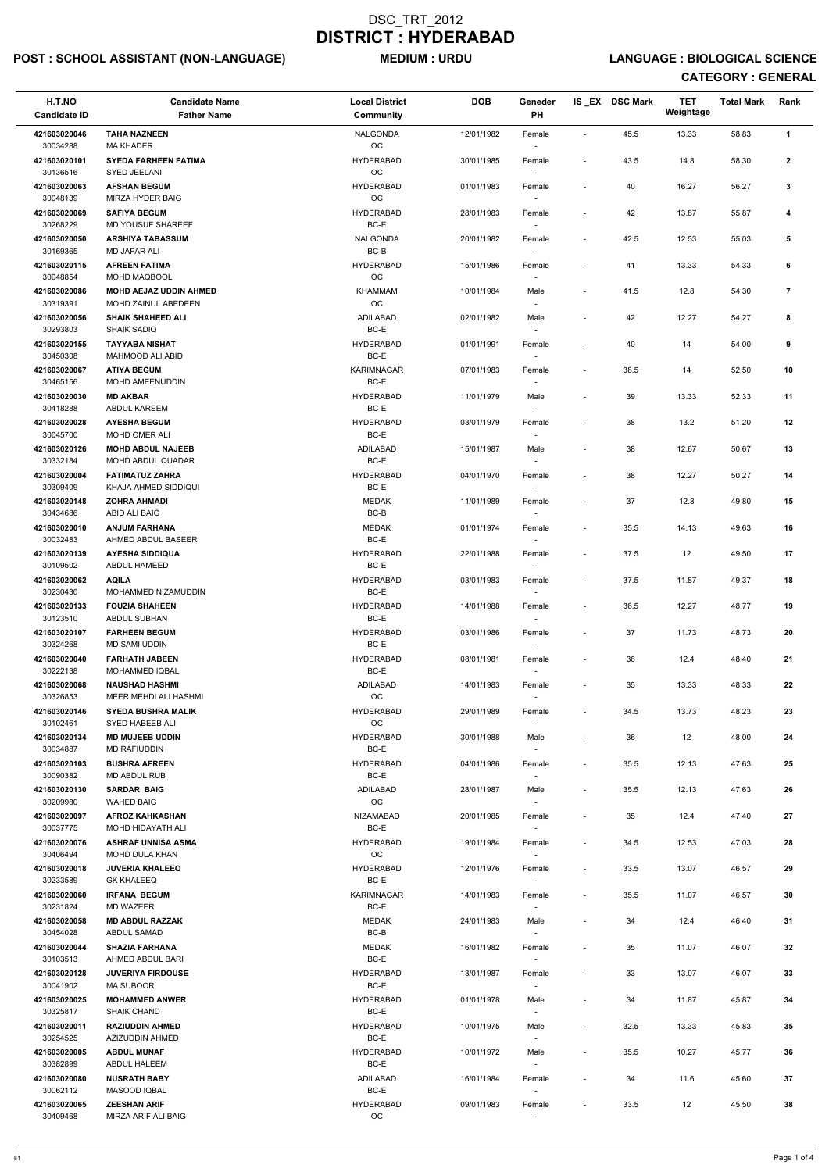## POST : SCHOOL ASSISTANT (NON-LANGUAGE) MEDIUM : URDU LANGUAGE : BIOLOGICAL SCIENCE

| H.T.NO<br><b>Candidate ID</b> | <b>Candidate Name</b><br><b>Father Name</b>     | <b>Local District</b><br><b>Community</b> | <b>DOB</b> | Geneder<br>PH                      |                          | IS_EX DSC Mark | <b>TET</b><br>Weightage | <b>Total Mark</b> | Rank         |  |
|-------------------------------|-------------------------------------------------|-------------------------------------------|------------|------------------------------------|--------------------------|----------------|-------------------------|-------------------|--------------|--|
| 421603020046                  | <b>TAHA NAZNEEN</b>                             | <b>NALGONDA</b>                           | 12/01/1982 | Female                             | $\sim$                   | 45.5           | 13.33                   | 58.83             | $\mathbf{1}$ |  |
| 30034288<br>421603020101      | <b>MA KHADER</b><br><b>SYEDA FARHEEN FATIMA</b> | OC<br><b>HYDERABAD</b>                    | 30/01/1985 | Female                             | $\overline{\phantom{a}}$ | 43.5           | 14.8                    | 58.30             | $\mathbf{2}$ |  |
| 30136516                      | SYED JEELANI                                    | OC                                        |            |                                    |                          |                |                         |                   |              |  |
| 421603020063<br>30048139      | <b>AFSHAN BEGUM</b><br>MIRZA HYDER BAIG         | <b>HYDERABAD</b><br>OC                    | 01/01/1983 | Female                             |                          | 40             | 16.27                   | 56.27             | $\mathbf{3}$ |  |
| 421603020069<br>30268229      | <b>SAFIYA BEGUM</b><br>MD YOUSUF SHAREEF        | <b>HYDERABAD</b><br>BC-E                  | 28/01/1983 | Female<br>$\overline{\phantom{a}}$ | $\overline{\phantom{a}}$ | 42             | 13.87                   | 55.87             | 4            |  |
| 421603020050                  | <b>ARSHIYA TABASSUM</b>                         | <b>NALGONDA</b>                           | 20/01/1982 | Female                             | $\overline{\phantom{a}}$ | 42.5           | 12.53                   | 55.03             | 5            |  |
| 30169365<br>421603020115      | MD JAFAR ALI<br><b>AFREEN FATIMA</b>            | $BC-B$<br><b>HYDERABAD</b>                | 15/01/1986 | $\overline{\phantom{a}}$<br>Female | $\overline{\phantom{a}}$ | 41             | 13.33                   | 54.33             | 6            |  |
| 30048854<br>421603020086      | MOHD MAQBOOL<br><b>MOHD AEJAZ UDDIN AHMED</b>   | OC<br><b>KHAMMAM</b>                      | 10/01/1984 | Male                               | $\overline{\phantom{a}}$ | 41.5           | 12.8                    | 54.30             | 7            |  |
| 30319391                      | MOHD ZAINUL ABEDEEN                             | OC                                        |            | $\sim$                             |                          |                |                         |                   |              |  |
| 421603020056<br>30293803      | <b>SHAIK SHAHEED ALI</b><br><b>SHAIK SADIQ</b>  | <b>ADILABAD</b><br>BC-E                   | 02/01/1982 | Male<br>$\overline{\phantom{a}}$   |                          | 42             | 12.27                   | 54.27             | 8            |  |
| 421603020155<br>30450308      | <b>TAYYABA NISHAT</b><br>MAHMOOD ALI ABID       | <b>HYDERABAD</b><br>BC-E                  | 01/01/1991 | Female<br>$\overline{\phantom{a}}$ |                          | 40             | 14                      | 54.00             | 9            |  |
| 421603020067                  | <b>ATIYA BEGUM</b>                              | KARIMNAGAR                                | 07/01/1983 | Female                             | $\overline{\phantom{a}}$ | 38.5           | 14                      | 52.50             | 10           |  |
| 30465156<br>421603020030      | MOHD AMEENUDDIN<br><b>MD AKBAR</b>              | BC-E<br><b>HYDERABAD</b>                  | 11/01/1979 | $\sim$<br>Male                     |                          | 39             | 13.33                   | 52.33             | 11           |  |
| 30418288<br>421603020028      | ABDUL KAREEM<br><b>AYESHA BEGUM</b>             | BC-E<br><b>HYDERABAD</b>                  | 03/01/1979 | Female                             | $\overline{\phantom{a}}$ | 38             | 13.2                    | 51.20             | 12           |  |
| 30045700                      | <b>MOHD OMER ALI</b>                            | BC-E                                      |            |                                    |                          |                |                         |                   |              |  |
| 421603020126<br>30332184      | <b>MOHD ABDUL NAJEEB</b><br>MOHD ABDUL QUADAR   | ADILABAD<br>BC-E                          | 15/01/1987 | Male<br>$\overline{\phantom{a}}$   |                          | 38             | 12.67                   | 50.67             | 13           |  |
| 421603020004<br>30309409      | <b>FATIMATUZ ZAHRA</b><br>KHAJA AHMED SIDDIQUI  | <b>HYDERABAD</b><br>BC-E                  | 04/01/1970 | Female<br>$\overline{\phantom{a}}$ | $\overline{\phantom{a}}$ | 38             | 12.27                   | 50.27             | 14           |  |
| 421603020148                  | <b>ZOHRA AHMADI</b>                             | <b>MEDAK</b>                              | 11/01/1989 | Female                             | $\overline{\phantom{a}}$ | 37             | 12.8                    | 49.80             | 15           |  |
| 30434686<br>421603020010      | ABID ALI BAIG<br><b>ANJUM FARHANA</b>           | $BC-B$<br><b>MEDAK</b>                    | 01/01/1974 | Female                             | $\sim$                   | 35.5           | 14.13                   | 49.63             | 16           |  |
| 30032483                      | AHMED ABDUL BASEER                              | BC-E                                      |            | $\sim$                             |                          |                |                         |                   |              |  |
| 421603020139<br>30109502      | <b>AYESHA SIDDIQUA</b><br><b>ABDUL HAMEED</b>   | <b>HYDERABAD</b><br>BC-E                  | 22/01/1988 | Female<br>$\sim$                   |                          | 37.5           | 12                      | 49.50             | 17           |  |
| 421603020062<br>30230430      | <b>AQILA</b><br>MOHAMMED NIZAMUDDIN             | <b>HYDERABAD</b><br>BC-E                  | 03/01/1983 | Female                             | $\sim$                   | 37.5           | 11.87                   | 49.37             | 18           |  |
| 421603020133<br>30123510      | <b>FOUZIA SHAHEEN</b><br>ABDUL SUBHAN           | <b>HYDERABAD</b><br>BC-E                  | 14/01/1988 | Female                             | $\overline{\phantom{a}}$ | 36.5           | 12.27                   | 48.77             | 19           |  |
| 421603020107                  | <b>FARHEEN BEGUM</b>                            | <b>HYDERABAD</b>                          | 03/01/1986 | Female                             |                          | 37             | 11.73                   | 48.73             | 20           |  |
| 30324268<br>421603020040      | <b>MD SAMI UDDIN</b><br><b>FARHATH JABEEN</b>   | BC-E<br><b>HYDERABAD</b>                  | 08/01/1981 | $\overline{\phantom{a}}$<br>Female | $\overline{\phantom{a}}$ | 36             | 12.4                    | 48.40             | 21           |  |
| 30222138                      | MOHAMMED IQBAL                                  | BC-E                                      |            | $\sim$                             |                          |                |                         |                   |              |  |
| 421603020068<br>30326853      | <b>NAUSHAD HASHMI</b><br>MEER MEHDI ALI HASHMI  | ADILABAD<br>OC                            | 14/01/1983 | Female                             | $\overline{\phantom{a}}$ | 35             | 13.33                   | 48.33             | 22           |  |
| 421603020146<br>30102461      | <b>SYEDA BUSHRA MALIK</b><br>SYED HABEEB ALI    | <b>HYDERABAD</b><br>OC                    | 29/01/1989 | Female                             | $\overline{\phantom{a}}$ | 34.5           | 13.73                   | 48.23             | 23           |  |
| 421603020134<br>30034887      | <b>MD MUJEEB UDDIN</b><br><b>MD RAFIUDDIN</b>   | <b>HYDERABAD</b><br>BC-E                  | 30/01/1988 | Male<br>$\sim$                     | $\overline{\phantom{a}}$ | 36             | 12                      | 48.00             | 24           |  |
| 421603020103                  | <b>BUSHRA AFREEN</b>                            | <b>HYDERABAD</b>                          | 04/01/1986 | Female                             | $\overline{\phantom{a}}$ | 35.5           | 12.13                   | 47.63             | 25           |  |
| 30090382<br>421603020130      | MD ABDUL RUB<br><b>SARDAR BAIG</b>              | BC-E<br>ADILABAD                          | 28/01/1987 | $\sim$<br>Male                     | $\sim$                   | 35.5           | 12.13                   | 47.63             | 26           |  |
| 30209980                      | <b>WAHED BAIG</b>                               | OC                                        |            | $\sim$                             |                          |                |                         |                   |              |  |
| 421603020097<br>30037775      | <b>AFROZ KAHKASHAN</b><br>MOHD HIDAYATH ALI     | <b>NIZAMABAD</b><br>BC-E                  | 20/01/1985 | Female                             |                          | 35             | 12.4                    | 47.40             | 27           |  |
| 421603020076<br>30406494      | <b>ASHRAF UNNISA ASMA</b><br>MOHD DULA KHAN     | <b>HYDERABAD</b><br><b>OC</b>             | 19/01/1984 | Female<br>$\sim$                   | $\overline{\phantom{a}}$ | 34.5           | 12.53                   | 47.03             | 28           |  |
| 421603020018                  | <b>JUVERIA KHALEEQ</b>                          | <b>HYDERABAD</b>                          | 12/01/1976 | Female                             | $\overline{\phantom{a}}$ | 33.5           | 13.07                   | 46.57             | 29           |  |
| 30233589<br>421603020060      | <b>GK KHALEEQ</b><br><b>IRFANA BEGUM</b>        | BC-E<br>KARIMNAGAR                        | 14/01/1983 | $\sim$<br>Female                   | $\overline{\phantom{a}}$ | 35.5           | 11.07                   | 46.57             | 30           |  |
| 30231824<br>421603020058      | <b>MD WAZEER</b><br><b>MD ABDUL RAZZAK</b>      | BC-E<br><b>MEDAK</b>                      | 24/01/1983 | $\sim$<br>Male                     | $\overline{\phantom{a}}$ | 34             | 12.4                    | 46.40             | 31           |  |
| 30454028                      | <b>ABDUL SAMAD</b>                              | $BC-B$                                    |            |                                    |                          |                |                         |                   |              |  |
| 421603020044<br>30103513      | <b>SHAZIA FARHANA</b><br>AHMED ABDUL BARI       | <b>MEDAK</b><br>BC-E                      | 16/01/1982 | Female                             | $\overline{\phantom{a}}$ | 35             | 11.07                   | 46.07             | 32           |  |
| 421603020128<br>30041902      | <b>JUVERIYA FIRDOUSE</b><br><b>MA SUBOOR</b>    | <b>HYDERABAD</b><br>BC-E                  | 13/01/1987 | Female<br>$\sim$                   | $\sim$                   | 33             | 13.07                   | 46.07             | 33           |  |
| 421603020025                  | <b>MOHAMMED ANWER</b>                           | <b>HYDERABAD</b>                          | 01/01/1978 | Male                               |                          | 34             | 11.87                   | 45.87             | 34           |  |
| 30325817<br>421603020011      | <b>SHAIK CHAND</b><br><b>RAZIUDDIN AHMED</b>    | BC-E<br><b>HYDERABAD</b>                  | 10/01/1975 | $\overline{\phantom{a}}$<br>Male   | $\overline{\phantom{a}}$ | 32.5           | 13.33                   | 45.83             | 35           |  |
| 30254525<br>421603020005      | AZIZUDDIN AHMED<br><b>ABDUL MUNAF</b>           | BC-E<br><b>HYDERABAD</b>                  | 10/01/1972 | $\sim$<br>Male                     | $\overline{\phantom{a}}$ | 35.5           | 10.27                   | 45.77             | 36           |  |
| 30382899                      | <b>ABDUL HALEEM</b>                             | BC-E                                      |            | $\overline{\phantom{a}}$           |                          |                |                         |                   |              |  |
| 421603020080<br>30062112      | <b>NUSRATH BABY</b><br>MASOOD IQBAL             | ADILABAD<br>BC-E                          | 16/01/1984 | Female<br>$\overline{\phantom{a}}$ | $\overline{\phantom{a}}$ | 34             | 11.6                    | 45.60             | 37           |  |
| 421603020065<br>30409468      | <b>ZEESHAN ARIF</b><br>MIRZA ARIF ALI BAIG      | <b>HYDERABAD</b><br>OC                    | 09/01/1983 | Female<br>$\overline{\phantom{a}}$ | $\overline{\phantom{a}}$ | 33.5           | 12                      | 45.50             | 38           |  |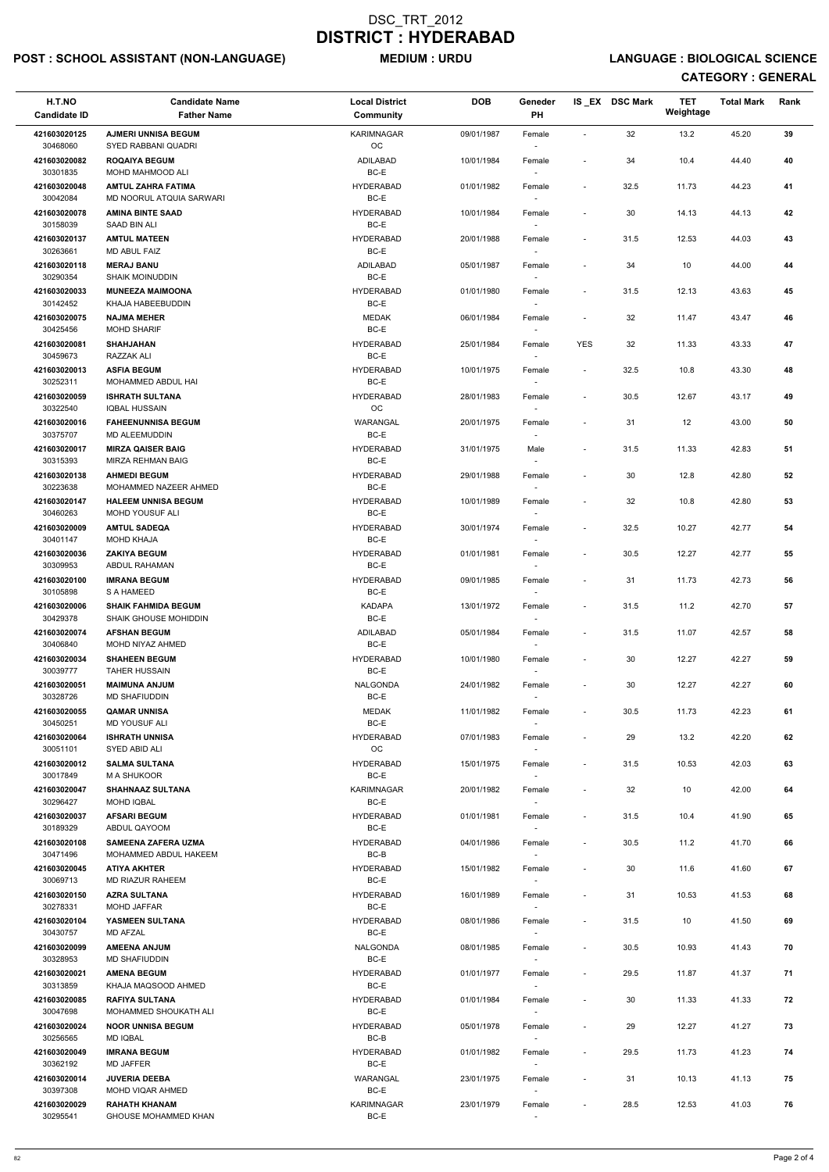## POST : SCHOOL ASSISTANT (NON-LANGUAGE) MEDIUM : URDU LANGUAGE : BIOLOGICAL SCIENCE

| H.T.NO<br><b>Candidate ID</b> | <b>Candidate Name</b><br><b>Father Name</b>         | <b>Local District</b><br><b>Community</b> | <b>DOB</b> | Geneder<br>PH                      |                          | IS EX DSC Mark | <b>TET</b><br>Weightage | <b>Total Mark</b> | Rank |
|-------------------------------|-----------------------------------------------------|-------------------------------------------|------------|------------------------------------|--------------------------|----------------|-------------------------|-------------------|------|
| 421603020125<br>30468060      | <b>AJMERI UNNISA BEGUM</b><br>SYED RABBANI QUADRI   | <b>KARIMNAGAR</b><br>OC                   | 09/01/1987 | Female                             | $\sim$                   | 32             | 13.2                    | 45.20             | 39   |
| 421603020082                  | <b>ROQAIYA BEGUM</b>                                | ADILABAD<br>BC-E                          | 10/01/1984 | Female                             | $\overline{\phantom{a}}$ | 34             | 10.4                    | 44.40             | 40   |
| 30301835<br>421603020048      | MOHD MAHMOOD ALI<br><b>AMTUL ZAHRA FATIMA</b>       | <b>HYDERABAD</b>                          | 01/01/1982 | Female                             | $\sim$                   | 32.5           | 11.73                   | 44.23             | 41   |
| 30042084<br>421603020078      | MD NOORUL ATQUIA SARWARI<br><b>AMINA BINTE SAAD</b> | BC-E<br><b>HYDERABAD</b>                  | 10/01/1984 | Female                             |                          | 30             | 14.13                   | 44.13             | 42   |
| 30158039                      | SAAD BIN ALI                                        | BC-E                                      |            |                                    |                          |                |                         |                   |      |
| 421603020137<br>30263661      | <b>AMTUL MATEEN</b><br>MD ABUL FAIZ                 | <b>HYDERABAD</b><br>BC-E                  | 20/01/1988 | Female<br>$\overline{\phantom{a}}$ | $\overline{\phantom{a}}$ | 31.5           | 12.53                   | 44.03             | 43   |
| 421603020118<br>30290354      | <b>MERAJ BANU</b><br><b>SHAIK MOINUDDIN</b>         | ADILABAD<br>BC-E                          | 05/01/1987 | Female                             |                          | 34             | 10                      | 44.00             | 44   |
| 421603020033<br>30142452      | <b>MUNEEZA MAIMOONA</b><br>KHAJA HABEEBUDDIN        | <b>HYDERABAD</b><br>BC-E                  | 01/01/1980 | Female                             | $\sim$                   | 31.5           | 12.13                   | 43.63             | 45   |
| 421603020075<br>30425456      | <b>NAJMA MEHER</b><br><b>MOHD SHARIF</b>            | <b>MEDAK</b><br>BC-E                      | 06/01/1984 | Female<br>$\sim$                   |                          | 32             | 11.47                   | 43.47             | 46   |
| 421603020081<br>30459673      | <b>SHAHJAHAN</b><br>RAZZAK ALI                      | <b>HYDERABAD</b><br>BC-E                  | 25/01/1984 | Female<br>$\sim$                   | <b>YES</b>               | 32             | 11.33                   | 43.33             | 47   |
| 421603020013<br>30252311      | <b>ASFIA BEGUM</b><br>MOHAMMED ABDUL HAI            | <b>HYDERABAD</b><br>BC-E                  | 10/01/1975 | Female                             | $\sim$                   | 32.5           | 10.8                    | 43.30             | 48   |
| 421603020059                  | <b>ISHRATH SULTANA</b>                              | <b>HYDERABAD</b>                          | 28/01/1983 | Female                             | $\sim$                   | 30.5           | 12.67                   | 43.17             | 49   |
| 30322540<br>421603020016      | <b>IQBAL HUSSAIN</b><br><b>FAHEENUNNISA BEGUM</b>   | OC<br>WARANGAL                            | 20/01/1975 | Female                             |                          | 31             | 12                      | 43.00             | 50   |
| 30375707<br>421603020017      | MD ALEEMUDDIN<br><b>MIRZA QAISER BAIG</b>           | BC-E<br><b>HYDERABAD</b>                  | 31/01/1975 | Male                               | $\overline{\phantom{a}}$ | 31.5           | 11.33                   | 42.83             | 51   |
| 30315393                      | MIRZA REHMAN BAIG                                   | BC-E                                      |            | $\overline{\phantom{a}}$           |                          |                |                         |                   |      |
| 421603020138<br>30223638      | <b>AHMEDI BEGUM</b><br>MOHAMMED NAZEER AHMED        | <b>HYDERABAD</b><br>BC-E                  | 29/01/1988 | Female                             | $\overline{\phantom{a}}$ | 30             | 12.8                    | 42.80             | 52   |
| 421603020147<br>30460263      | <b>HALEEM UNNISA BEGUM</b><br>MOHD YOUSUF ALI       | <b>HYDERABAD</b><br>BC-E                  | 10/01/1989 | Female                             | $\overline{\phantom{a}}$ | 32             | 10.8                    | 42.80             | 53   |
| 421603020009<br>30401147      | <b>AMTUL SADEQA</b><br><b>MOHD KHAJA</b>            | <b>HYDERABAD</b><br>BC-E                  | 30/01/1974 | Female<br>$\overline{\phantom{a}}$ | $\sim$                   | 32.5           | 10.27                   | 42.77             | 54   |
| 421603020036<br>30309953      | <b>ZAKIYA BEGUM</b><br>ABDUL RAHAMAN                | <b>HYDERABAD</b><br>BC-E                  | 01/01/1981 | Female<br>$\overline{\phantom{a}}$ |                          | 30.5           | 12.27                   | 42.77             | 55   |
| 421603020100<br>30105898      | <b>IMRANA BEGUM</b><br><b>S A HAMEED</b>            | <b>HYDERABAD</b><br>BC-E                  | 09/01/1985 | Female                             | $\overline{\phantom{a}}$ | 31             | 11.73                   | 42.73             | 56   |
| 421603020006<br>30429378      | <b>SHAIK FAHMIDA BEGUM</b><br>SHAIK GHOUSE MOHIDDIN | <b>KADAPA</b><br>BC-E                     | 13/01/1972 | Female                             | $\sim$                   | 31.5           | 11.2                    | 42.70             | 57   |
| 421603020074<br>30406840      | <b>AFSHAN BEGUM</b><br>MOHD NIYAZ AHMED             | ADILABAD<br>BC-E                          | 05/01/1984 | Female                             | $\sim$                   | 31.5           | 11.07                   | 42.57             | 58   |
| 421603020034<br>30039777      | <b>SHAHEEN BEGUM</b><br><b>TAHER HUSSAIN</b>        | <b>HYDERABAD</b><br>BC-E                  | 10/01/1980 | Female                             | $\overline{\phantom{a}}$ | 30             | 12.27                   | 42.27             | 59   |
| 421603020051                  | <b>MAIMUNA ANJUM</b>                                | NALGONDA                                  | 24/01/1982 | $\sim$<br>Female                   |                          | 30             | 12.27                   | 42.27             | 60   |
| 30328726<br>421603020055      | MD SHAFIUDDIN<br><b>QAMAR UNNISA</b>                | BC-E<br><b>MEDAK</b>                      | 11/01/1982 | Female                             | $\overline{\phantom{a}}$ | 30.5           | 11.73                   | 42.23             | 61   |
| 30450251                      | <b>MD YOUSUF ALI</b>                                | BC-E                                      |            |                                    |                          |                |                         |                   |      |
| 421603020064<br>30051101      | <b>ISHRATH UNNISA</b><br>SYED ABID ALI              | <b>HYDERABAD</b><br>OC                    | 07/01/1983 | Female<br>$\sim$                   |                          | 29             | 13.2                    | 42.20             | 62   |
| 421603020012<br>30017849      | <b>SALMA SULTANA</b><br>M A SHUKOOR                 | <b>HYDERABAD</b><br>BC-E                  | 15/01/1975 | Female<br>$\sim$                   | $\sim$                   | 31.5           | 10.53                   | 42.03             | 63   |
| 421603020047<br>30296427      | <b>SHAHNAAZ SULTANA</b><br><b>MOHD IQBAL</b>        | KARIMNAGAR<br>BC-E                        | 20/01/1982 | Female<br>$\sim$                   |                          | 32             | 10                      | 42.00             | 64   |
| 421603020037<br>30189329      | <b>AFSARI BEGUM</b><br>ABDUL QAYOOM                 | <b>HYDERABAD</b><br>BC-E                  | 01/01/1981 | Female                             | $\sim$                   | 31.5           | 10.4                    | 41.90             | 65   |
| 421603020108<br>30471496      | <b>SAMEENA ZAFERA UZMA</b><br>MOHAMMED ABDUL HAKEEM | <b>HYDERABAD</b><br>BC-B                  | 04/01/1986 | Female<br>$\sim$                   | $\sim$                   | 30.5           | 11.2                    | 41.70             | 66   |
| 421603020045                  | <b>ATIYA AKHTER</b>                                 | <b>HYDERABAD</b>                          | 15/01/1982 | Female                             | $\overline{\phantom{a}}$ | 30             | 11.6                    | 41.60             | 67   |
| 30069713<br>421603020150      | <b>MD RIAZUR RAHEEM</b><br><b>AZRA SULTANA</b>      | BC-E<br><b>HYDERABAD</b>                  | 16/01/1989 | Female                             | $\overline{\phantom{a}}$ | 31             | 10.53                   | 41.53             | 68   |
| 30278331                      | <b>MOHD JAFFAR</b>                                  | BC-E                                      |            |                                    |                          |                |                         |                   |      |
| 421603020104<br>30430757      | YASMEEN SULTANA<br><b>MD AFZAL</b>                  | <b>HYDERABAD</b><br>BC-E                  | 08/01/1986 | Female                             | $\overline{\phantom{a}}$ | 31.5           | 10                      | 41.50             | 69   |
| 421603020099<br>30328953      | <b>AMEENA ANJUM</b><br><b>MD SHAFIUDDIN</b>         | NALGONDA<br>BC-E                          | 08/01/1985 | Female                             | $\sim$                   | 30.5           | 10.93                   | 41.43             | 70   |
| 421603020021<br>30313859      | <b>AMENA BEGUM</b><br>KHAJA MAQSOOD AHMED           | <b>HYDERABAD</b><br>BC-E                  | 01/01/1977 | Female<br>$\sim$                   | $\sim$                   | 29.5           | 11.87                   | 41.37             | 71   |
| 421603020085<br>30047698      | <b>RAFIYA SULTANA</b><br>MOHAMMED SHOUKATH ALI      | <b>HYDERABAD</b><br>BC-E                  | 01/01/1984 | Female                             | $\overline{\phantom{a}}$ | 30             | 11.33                   | 41.33             | 72   |
| 421603020024<br>30256565      | <b>NOOR UNNISA BEGUM</b><br><b>MD IQBAL</b>         | <b>HYDERABAD</b><br>BC-B                  | 05/01/1978 | Female<br>$\sim$                   | $\overline{\phantom{a}}$ | 29             | 12.27                   | 41.27             | 73   |
| 421603020049                  | <b>IMRANA BEGUM</b>                                 | <b>HYDERABAD</b>                          | 01/01/1982 | Female                             | $\sim$                   | 29.5           | 11.73                   | 41.23             | 74   |
| 30362192<br>421603020014      | <b>MD JAFFER</b><br><b>JUVERIA DEEBA</b>            | BC-E<br>WARANGAL                          | 23/01/1975 | Female                             | $\sim$                   | 31             | 10.13                   | 41.13             | 75   |
| 30397308<br>421603020029      | MOHD VIQAR AHMED<br><b>RAHATH KHANAM</b>            | BC-E<br>KARIMNAGAR                        | 23/01/1979 | $\sim$<br>Female                   |                          | 28.5           | 12.53                   | 41.03             | 76   |
| 30295541                      | <b>GHOUSE MOHAMMED KHAN</b>                         | BC-E                                      |            |                                    |                          |                |                         |                   |      |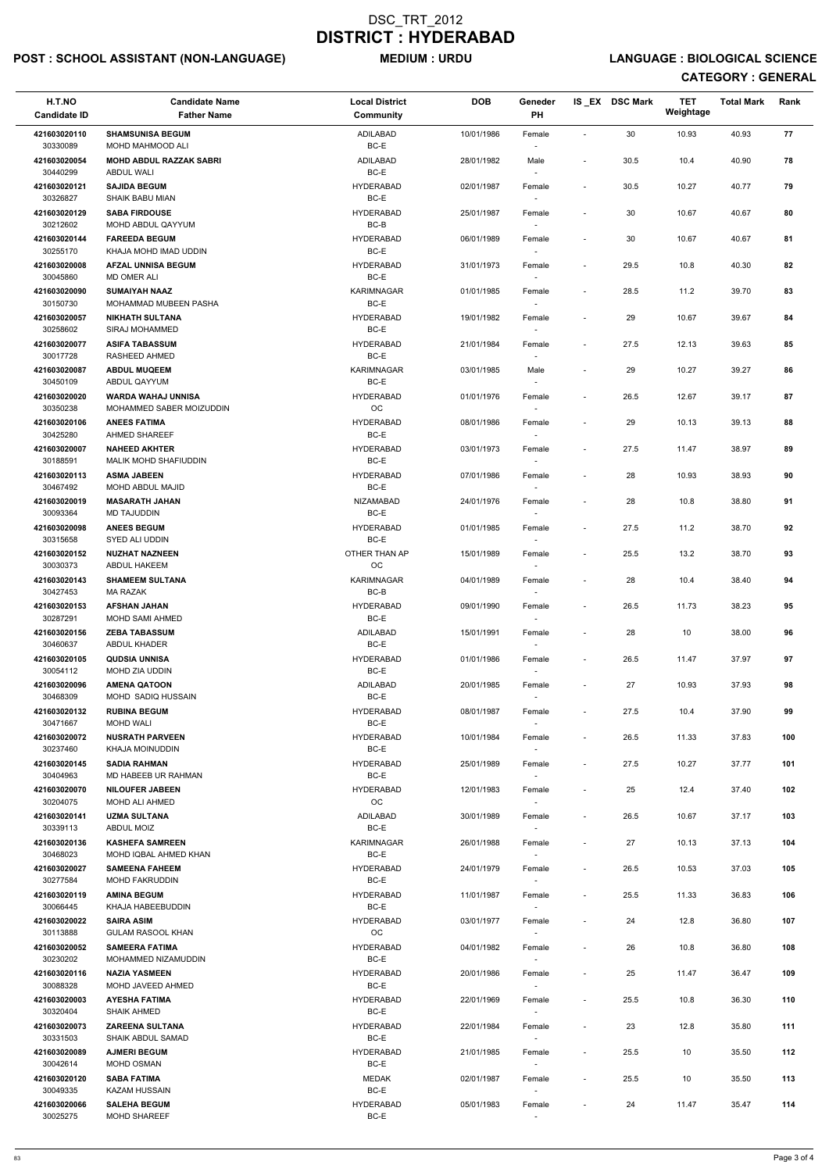## POST : SCHOOL ASSISTANT (NON-LANGUAGE) MEDIUM : URDU LANGUAGE : BIOLOGICAL SCIENCE

| H.T.NO<br><b>Candidate ID</b> | <b>Candidate Name</b><br><b>Father Name</b>          | <b>Local District</b><br>Community                  | <b>DOB</b> | Geneder<br><b>PH</b>               |                          | IS EX DSC Mark | <b>TET</b><br>Weightage | <b>Total Mark</b> | Rank |
|-------------------------------|------------------------------------------------------|-----------------------------------------------------|------------|------------------------------------|--------------------------|----------------|-------------------------|-------------------|------|
| 421603020110<br>30330089      | <b>SHAMSUNISA BEGUM</b><br>MOHD MAHMOOD ALI          | <b>ADILABAD</b><br>BC-E                             | 10/01/1986 | Female                             | $\sim$                   | 30             | 10.93                   | 40.93             | 77   |
| 421603020054<br>30440299      | <b>MOHD ABDUL RAZZAK SABRI</b><br>ABDUL WALI         | ADILABAD<br>BC-E                                    | 28/01/1982 | Male                               | $\blacksquare$           | 30.5           | 10.4                    | 40.90             | 78   |
| 421603020121<br>30326827      | <b>SAJIDA BEGUM</b><br><b>SHAIK BABU MIAN</b>        | <b>HYDERABAD</b><br>BC-E                            | 02/01/1987 | Female                             | $\sim$                   | 30.5           | 10.27                   | 40.77             | 79   |
| 421603020129                  | <b>SABA FIRDOUSE</b>                                 | <b>HYDERABAD</b>                                    | 25/01/1987 | Female                             |                          | 30             | 10.67                   | 40.67             | 80   |
| 30212602<br>421603020144      | MOHD ABDUL QAYYUM<br><b>FAREEDA BEGUM</b>            | BC-B<br><b>HYDERABAD</b>                            | 06/01/1989 | Female                             |                          | 30             | 10.67                   | 40.67             | 81   |
| 30255170                      | KHAJA MOHD IMAD UDDIN                                | BC-E                                                |            |                                    |                          |                |                         |                   |      |
| 421603020008<br>30045860      | <b>AFZAL UNNISA BEGUM</b><br><b>MD OMER ALI</b>      | <b>HYDERABAD</b><br>BC-E                            | 31/01/1973 | Female                             | $\overline{\phantom{a}}$ | 29.5           | 10.8                    | 40.30             | 82   |
| 421603020090<br>30150730      | <b>SUMAIYAH NAAZ</b><br><b>MOHAMMAD MUBEEN PASHA</b> | KARIMNAGAR<br>BC-E                                  | 01/01/1985 | Female                             | $\blacksquare$           | 28.5           | 11.2                    | 39.70             | 83   |
| 421603020057<br>30258602      | <b>NIKHATH SULTANA</b><br>SIRAJ MOHAMMED             | <b>HYDERABAD</b><br>BC-E                            | 19/01/1982 | Female<br>$\sim$                   |                          | 29             | 10.67                   | 39.67             | 84   |
| 421603020077<br>30017728      | <b>ASIFA TABASSUM</b><br>RASHEED AHMED               | <b>HYDERABAD</b><br>BC-E                            | 21/01/1984 | Female<br>$\sim$                   | $\sim$                   | 27.5           | 12.13                   | 39.63             | 85   |
| 421603020087<br>30450109      | <b>ABDUL MUQEEM</b><br>ABDUL QAYYUM                  | KARIMNAGAR<br>BC-E                                  | 03/01/1985 | Male<br>$\sim$                     |                          | 29             | 10.27                   | 39.27             | 86   |
| 421603020020                  | <b>WARDA WAHAJ UNNISA</b>                            | <b>HYDERABAD</b>                                    | 01/01/1976 | Female                             | $\sim$                   | 26.5           | 12.67                   | 39.17             | 87   |
| 30350238<br>421603020106      | MOHAMMED SABER MOIZUDDIN<br><b>ANEES FATIMA</b>      | OC<br><b>HYDERABAD</b>                              | 08/01/1986 | Female                             |                          | 29             | 10.13                   | 39.13             | 88   |
| 30425280                      | AHMED SHAREEF                                        | BC-E                                                |            | $\sim$                             |                          |                |                         |                   |      |
| 421603020007<br>30188591      | <b>NAHEED AKHTER</b><br>MALIK MOHD SHAFIUDDIN        | <b>HYDERABAD</b><br>BC-E                            | 03/01/1973 | Female                             |                          | 27.5           | 11.47                   | 38.97             | 89   |
| 421603020113<br>30467492      | <b>ASMA JABEEN</b><br><b>MOHD ABDUL MAJID</b>        | <b>HYDERABAD</b><br>BC-E                            | 07/01/1986 | Female                             | $\overline{\phantom{a}}$ | 28             | 10.93                   | 38.93             | 90   |
| 421603020019                  | <b>MASARATH JAHAN</b>                                | <b>NIZAMABAD</b>                                    | 24/01/1976 | Female                             |                          | 28             | 10.8                    | 38.80             | 91   |
| 30093364<br>421603020098      | <b>MD TAJUDDIN</b><br><b>ANEES BEGUM</b>             | BC-E<br><b>HYDERABAD</b>                            | 01/01/1985 | Female                             | $\overline{\phantom{a}}$ | 27.5           | 11.2                    | 38.70             | 92   |
| 30315658<br>421603020152      | SYED ALI UDDIN<br><b>NUZHAT NAZNEEN</b>              | BC-E<br>OTHER THAN AP                               | 15/01/1989 | $\overline{\phantom{a}}$<br>Female | $\overline{\phantom{a}}$ | 25.5           | 13.2                    | 38.70             | 93   |
| 30030373                      | <b>ABDUL HAKEEM</b><br><b>SHAMEEM SULTANA</b>        | <b>OC</b>                                           |            |                                    |                          |                |                         |                   |      |
| 421603020143<br>30427453      | <b>MA RAZAK</b>                                      | KARIMNAGAR<br>BC-B                                  | 04/01/1989 | Female                             | $\blacksquare$           | 28             | 10.4                    | 38.40             | 94   |
| 421603020153<br>30287291      | <b>AFSHAN JAHAN</b><br>MOHD SAMI AHMED               | <b>HYDERABAD</b><br>BC-E                            | 09/01/1990 | Female<br>$\sim$                   | $\overline{\phantom{a}}$ | 26.5           | 11.73                   | 38.23             | 95   |
| 421603020156<br>30460637      | <b>ZEBA TABASSUM</b><br>ABDUL KHADER                 | ADILABAD<br>BC-E                                    | 15/01/1991 | Female                             | $\sim$                   | 28             | 10                      | 38.00             | 96   |
| 421603020105<br>30054112      | <b>QUDSIA UNNISA</b><br>MOHD ZIA UDDIN               | <b>HYDERABAD</b><br>BC-E                            | 01/01/1986 | Female<br>$\sim$                   | $\sim$                   | 26.5           | 11.47                   | 37.97             | 97   |
| 421603020096                  | <b>AMENA QATOON</b>                                  | ADILABAD                                            | 20/01/1985 | Female                             |                          | 27             | 10.93                   | 37.93             | 98   |
| 30468309<br>421603020132      | MOHD SADIQ HUSSAIN<br><b>RUBINA BEGUM</b>            | BC-E<br><b>HYDERABAD</b>                            | 08/01/1987 | Female                             | $\overline{\phantom{a}}$ | 27.5           | 10.4                    | 37.90             | 99   |
| 30471667<br>421603020072      | <b>MOHD WALI</b><br><b>NUSRATH PARVEEN</b>           | BC-E<br><b>HYDERABAD</b>                            | 10/01/1984 | Female                             | $\overline{\phantom{a}}$ | 26.5           | 11.33                   | 37.83             | 100  |
| 30237460                      | KHAJA MOINUDDIN                                      | BC-E                                                |            | $\sim$                             |                          |                |                         |                   |      |
| 421603020145<br>30404963      | <b>SADIA RAHMAN</b><br>MD HABEEB UR RAHMAN           | <b>HYDERABAD</b><br>BC-E                            | 25/01/1989 | Female<br>$\sim$                   | $\sim$                   | 27.5           | 10.27                   | 37.77             | 101  |
| 421603020070<br>30204075      | <b>NILOUFER JABEEN</b><br><b>MOHD ALI AHMED</b>      | <b>HYDERABAD</b><br>OC                              | 12/01/1983 | Female                             |                          | 25             | 12.4                    | 37.40             | 102  |
| 421603020141<br>30339113      | <b>UZMA SULTANA</b><br>ABDUL MOIZ                    | ADILABAD<br>BC-E                                    | 30/01/1989 | Female                             | $\sim$                   | 26.5           | 10.67                   | 37.17             | 103  |
| 421603020136<br>30468023      | <b>KASHEFA SAMREEN</b><br>MOHD IQBAL AHMED KHAN      | KARIMNAGAR<br>BC-E                                  | 26/01/1988 | Female<br>$\sim$                   | $\overline{\phantom{a}}$ | 27             | 10.13                   | 37.13             | 104  |
| 421603020027<br>30277584      | <b>SAMEENA FAHEEM</b><br><b>MOHD FAKRUDDIN</b>       | <b>HYDERABAD</b><br>BC-E                            | 24/01/1979 | Female<br>$\sim$                   | $\sim$                   | 26.5           | 10.53                   | 37.03             | 105  |
| 421603020119                  | <b>AMINA BEGUM</b>                                   | <b>HYDERABAD</b>                                    | 11/01/1987 | Female                             | $\sim$                   | 25.5           | 11.33                   | 36.83             | 106  |
| 30066445<br>421603020022      | KHAJA HABEEBUDDIN<br><b>SAIRA ASIM</b>               | BC-E<br><b>HYDERABAD</b>                            | 03/01/1977 | Female                             |                          | 24             | 12.8                    | 36.80             | 107  |
| 30113888                      | <b>GULAM RASOOL KHAN</b>                             | OC                                                  |            |                                    |                          |                |                         |                   |      |
| 421603020052<br>30230202      | <b>SAMEERA FATIMA</b><br>MOHAMMED NIZAMUDDIN         | <b>HYDERABAD</b><br>BC-E                            | 04/01/1982 | Female                             | $\overline{\phantom{a}}$ | 26             | 10.8                    | 36.80             | 108  |
| 421603020116<br>30088328      | <b>NAZIA YASMEEN</b><br>MOHD JAVEED AHMED            | <b>HYDERABAD</b><br>BC-E                            | 20/01/1986 | Female                             |                          | 25             | 11.47                   | 36.47             | 109  |
| 421603020003                  | <b>AYESHA FATIMA</b>                                 | <b>HYDERABAD</b>                                    | 22/01/1969 | $\sim$<br>Female                   | $\overline{\phantom{a}}$ | 25.5           | 10.8                    | 36.30             | 110  |
| 30320404<br>421603020073      | <b>SHAIK AHMED</b><br><b>ZAREENA SULTANA</b>         | BC-E<br><b>HYDERABAD</b>                            | 22/01/1984 | Female                             | $\sim$                   | 23             | 12.8                    | 35.80             | 111  |
| 30331503<br>421603020089      | SHAIK ABDUL SAMAD<br><b>AJMERI BEGUM</b>             | BC-E<br><b>HYDERABAD</b>                            | 21/01/1985 | $\sim$<br>Female                   | $\sim$                   | 25.5           | 10                      | 35.50             | 112  |
| 30042614                      | MOHD OSMAN                                           | BC-E                                                |            | $\sim$                             |                          |                |                         |                   |      |
| 421603020120<br>30049335      | <b>SABA FATIMA</b><br><b>KAZAM HUSSAIN</b>           | <b>MEDAK</b><br>BC-E                                | 02/01/1987 | Female<br>$\sim$                   | $\sim$                   | 25.5           | 10                      | 35.50             | 113  |
| 421603020066<br>30025275      | <b>SALEHA BEGUM</b><br>MOHD SHAREEF                  | <b>HYDERABAD</b><br>$\mathsf{BC}\text{-}\mathsf{E}$ | 05/01/1983 | Female                             |                          | 24             | 11.47                   | 35.47             | 114  |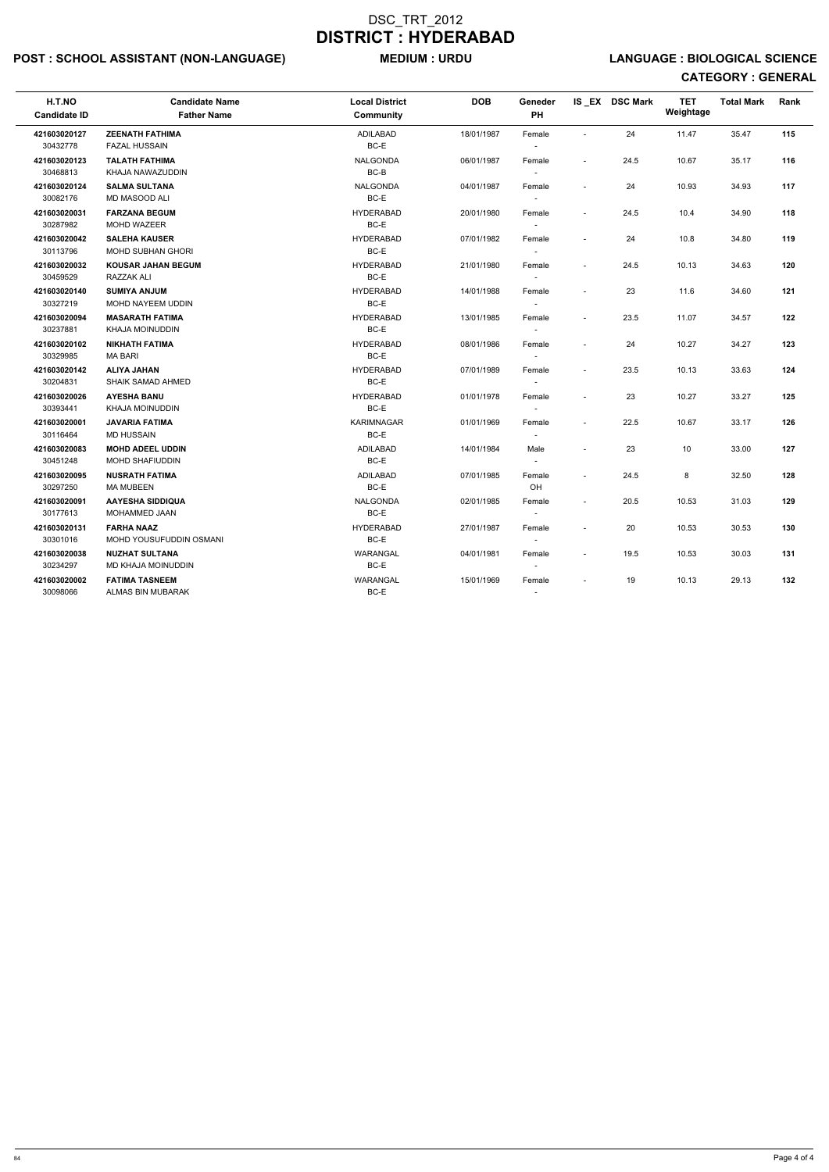## POST : SCHOOL ASSISTANT (NON-LANGUAGE) MEDIUM : URDU LANGUAGE : BIOLOGICAL SCIENCE

| H.T.NO<br><b>Candidate ID</b> | <b>Candidate Name</b><br><b>Father Name</b>       | <b>Local District</b><br><b>Community</b> | <b>DOB</b> | Geneder<br>PH                      |                          | IS EX DSC Mark | <b>TET</b><br>Weightage | <b>Total Mark</b> | Rank |
|-------------------------------|---------------------------------------------------|-------------------------------------------|------------|------------------------------------|--------------------------|----------------|-------------------------|-------------------|------|
| 421603020127<br>30432778      | <b>ZEENATH FATHIMA</b><br><b>FAZAL HUSSAIN</b>    | ADILABAD<br>BC-E                          | 18/01/1987 | Female<br>$\overline{\phantom{a}}$ |                          | 24             | 11.47                   | 35.47             | 115  |
| 421603020123<br>30468813      | <b>TALATH FATHIMA</b><br>KHAJA NAWAZUDDIN         | <b>NALGONDA</b><br>BC-B                   | 06/01/1987 | Female<br>$\sim$                   |                          | 24.5           | 10.67                   | 35.17             | 116  |
| 421603020124<br>30082176      | <b>SALMA SULTANA</b><br><b>MD MASOOD ALI</b>      | <b>NALGONDA</b><br>BC-E                   | 04/01/1987 | Female<br>$\sim$                   |                          | 24             | 10.93                   | 34.93             | 117  |
| 421603020031<br>30287982      | <b>FARZANA BEGUM</b><br>MOHD WAZEER               | <b>HYDERABAD</b><br>BC-E                  | 20/01/1980 | Female<br>$\sim$                   | $\overline{a}$           | 24.5           | 10.4                    | 34.90             | 118  |
| 421603020042<br>30113796      | <b>SALEHA KAUSER</b><br>MOHD SUBHAN GHORI         | <b>HYDERABAD</b><br>BC-E                  | 07/01/1982 | Female<br>$\sim$                   | $\overline{\phantom{a}}$ | 24             | 10.8                    | 34.80             | 119  |
| 421603020032<br>30459529      | <b>KOUSAR JAHAN BEGUM</b><br>RAZZAK ALI           | <b>HYDERABAD</b><br>BC-E                  | 21/01/1980 | Female<br>$\sim$                   | $\sim$                   | 24.5           | 10.13                   | 34.63             | 120  |
| 421603020140<br>30327219      | <b>SUMIYA ANJUM</b><br>MOHD NAYEEM UDDIN          | <b>HYDERABAD</b><br>BC-E                  | 14/01/1988 | Female<br>$\sim$                   |                          | 23             | 11.6                    | 34.60             | 121  |
| 421603020094<br>30237881      | <b>MASARATH FATIMA</b><br>KHAJA MOINUDDIN         | <b>HYDERABAD</b><br>BC-E                  | 13/01/1985 | Female<br>$\sim$                   | $\overline{\phantom{a}}$ | 23.5           | 11.07                   | 34.57             | 122  |
| 421603020102<br>30329985      | <b>NIKHATH FATIMA</b><br><b>MA BARI</b>           | <b>HYDERABAD</b><br>BC-E                  | 08/01/1986 | Female<br>$\sim$                   |                          | 24             | 10.27                   | 34.27             | 123  |
| 421603020142<br>30204831      | <b>ALIYA JAHAN</b><br><b>SHAIK SAMAD AHMED</b>    | <b>HYDERABAD</b><br>BC-E                  | 07/01/1989 | Female<br>$\overline{\phantom{a}}$ | $\sim$                   | 23.5           | 10.13                   | 33.63             | 124  |
| 421603020026<br>30393441      | <b>AYESHA BANU</b><br>KHAJA MOINUDDIN             | <b>HYDERABAD</b><br>BC-E                  | 01/01/1978 | Female                             | $\overline{\phantom{a}}$ | 23             | 10.27                   | 33.27             | 125  |
| 421603020001<br>30116464      | <b>JAVARIA FATIMA</b><br><b>MD HUSSAIN</b>        | <b>KARIMNAGAR</b><br>BC-E                 | 01/01/1969 | Female                             | $\sim$                   | 22.5           | 10.67                   | 33.17             | 126  |
| 421603020083<br>30451248      | <b>MOHD ADEEL UDDIN</b><br><b>MOHD SHAFIUDDIN</b> | ADILABAD<br>BC-E                          | 14/01/1984 | Male                               |                          | 23             | 10                      | 33.00             | 127  |
| 421603020095<br>30297250      | <b>NUSRATH FATIMA</b><br><b>MA MUBEEN</b>         | <b>ADILABAD</b><br>BC-E                   | 07/01/1985 | Female<br>OH                       |                          | 24.5           | 8                       | 32.50             | 128  |
| 421603020091<br>30177613      | <b>AAYESHA SIDDIQUA</b><br>MOHAMMED JAAN          | <b>NALGONDA</b><br>BC-E                   | 02/01/1985 | Female<br>$\sim$                   |                          | 20.5           | 10.53                   | 31.03             | 129  |
| 421603020131<br>30301016      | <b>FARHA NAAZ</b><br>MOHD YOUSUFUDDIN OSMANI      | <b>HYDERABAD</b><br>BC-E                  | 27/01/1987 | Female<br>$\sim$                   |                          | 20             | 10.53                   | 30.53             | 130  |
| 421603020038<br>30234297      | <b>NUZHAT SULTANA</b><br>MD KHAJA MOINUDDIN       | WARANGAL<br>BC-E                          | 04/01/1981 | Female<br>$\sim$                   |                          | 19.5           | 10.53                   | 30.03             | 131  |
| 421603020002<br>30098066      | <b>FATIMA TASNEEM</b><br>ALMAS BIN MUBARAK        | WARANGAL<br>BC-E                          | 15/01/1969 | Female                             |                          | 19             | 10.13                   | 29.13             | 132  |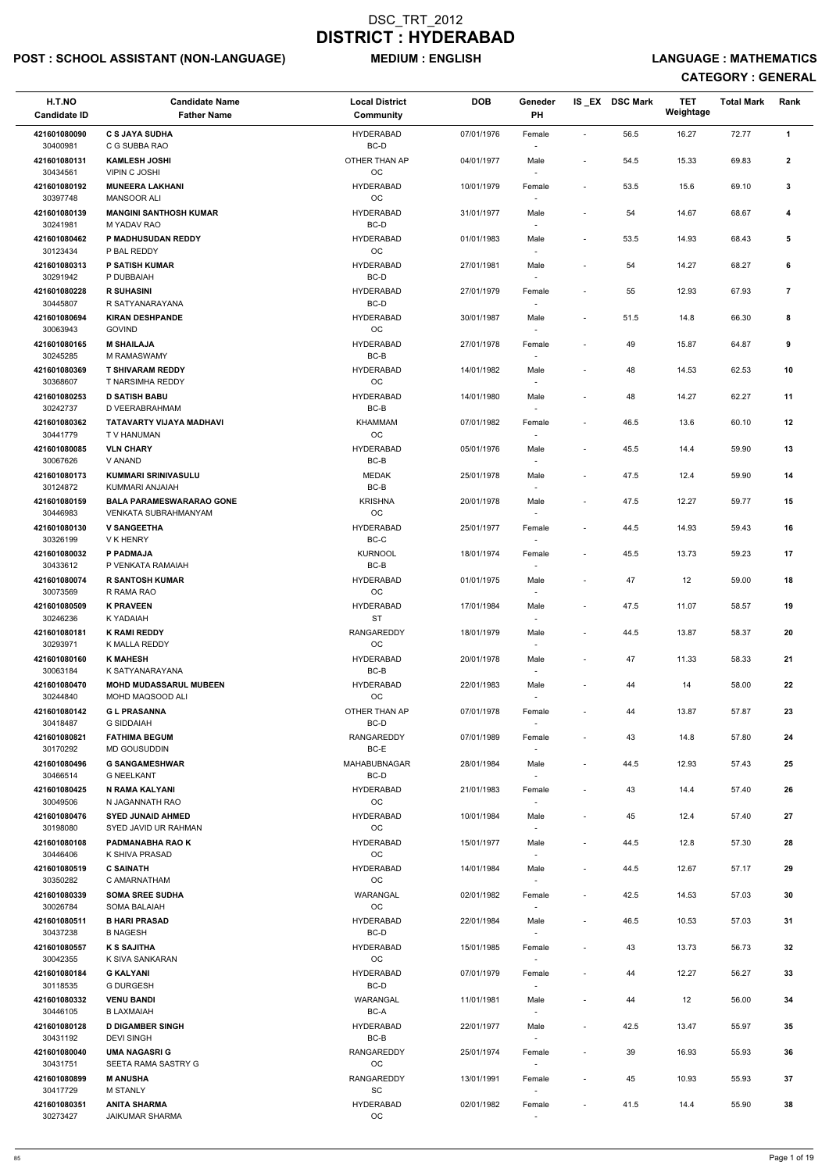## POST : SCHOOL ASSISTANT (NON-LANGUAGE) MEDIUM : ENGLISH LANGUAGE : MATHEMATICS

| H.T.NO<br><b>Candidate ID</b> | <b>Candidate Name</b><br><b>Father Name</b>        | <b>Local District</b><br><b>Community</b> | <b>DOB</b> | Geneder<br>PH                      |                          | IS_EX DSC Mark | <b>TET</b><br>Weightage | <b>Total Mark</b> | Rank           |  |
|-------------------------------|----------------------------------------------------|-------------------------------------------|------------|------------------------------------|--------------------------|----------------|-------------------------|-------------------|----------------|--|
| 421601080090                  | <b>C S JAYA SUDHA</b>                              | <b>HYDERABAD</b>                          | 07/01/1976 | Female                             | $\overline{\phantom{a}}$ | 56.5           | 16.27                   | 72.77             | $\mathbf{1}$   |  |
| 30400981                      | C G SUBBA RAO                                      | BC-D                                      |            |                                    |                          |                |                         |                   |                |  |
| 421601080131<br>30434561      | <b>KAMLESH JOSHI</b><br><b>VIPIN C JOSHI</b>       | OTHER THAN AP<br>OC                       | 04/01/1977 | Male                               | $\overline{\phantom{a}}$ | 54.5           | 15.33                   | 69.83             | $\overline{2}$ |  |
| 421601080192<br>30397748      | <b>MUNEERA LAKHANI</b><br><b>MANSOOR ALI</b>       | <b>HYDERABAD</b><br>OC                    | 10/01/1979 | Female                             | $\blacksquare$           | 53.5           | 15.6                    | 69.10             | 3              |  |
| 421601080139<br>30241981      | <b>MANGINI SANTHOSH KUMAR</b><br>M YADAV RAO       | <b>HYDERABAD</b><br>BC-D                  | 31/01/1977 | Male                               |                          | 54             | 14.67                   | 68.67             | 4              |  |
| 421601080462<br>30123434      | P MADHUSUDAN REDDY<br>P BAL REDDY                  | <b>HYDERABAD</b><br>OC                    | 01/01/1983 | Male                               | $\sim$                   | 53.5           | 14.93                   | 68.43             | 5              |  |
| 421601080313                  | <b>P SATISH KUMAR</b>                              | <b>HYDERABAD</b>                          | 27/01/1981 | Male                               |                          | 54             | 14.27                   | 68.27             | 6              |  |
| 30291942<br>421601080228      | P DUBBAIAH<br><b>R SUHASINI</b>                    | BC-D<br><b>HYDERABAD</b>                  | 27/01/1979 | Female                             |                          | 55             | 12.93                   | 67.93             | $\overline{7}$ |  |
| 30445807<br>421601080694      | R SATYANARAYANA<br><b>KIRAN DESHPANDE</b>          | BC-D<br><b>HYDERABAD</b>                  | 30/01/1987 | Male                               |                          | 51.5           | 14.8                    | 66.30             | 8              |  |
| 30063943<br>421601080165      | <b>GOVIND</b><br><b>M SHAILAJA</b>                 | OC<br><b>HYDERABAD</b>                    | 27/01/1978 | Female                             |                          | 49             | 15.87                   | 64.87             | 9              |  |
| 30245285                      | M RAMASWAMY                                        | BC-B                                      |            |                                    |                          |                |                         |                   |                |  |
| 421601080369<br>30368607      | <b>T SHIVARAM REDDY</b><br>T NARSIMHA REDDY        | <b>HYDERABAD</b><br>OC                    | 14/01/1982 | Male                               | $\overline{\phantom{a}}$ | 48             | 14.53                   | 62.53             | 10             |  |
| 421601080253                  | <b>D SATISH BABU</b>                               | <b>HYDERABAD</b>                          | 14/01/1980 | Male                               |                          | 48             | 14.27                   | 62.27             | 11             |  |
| 30242737<br>421601080362      | D VEERABRAHMAM<br>TATAVARTY VIJAYA MADHAVI         | BC-B<br><b>KHAMMAM</b>                    | 07/01/1982 | Female                             | $\blacksquare$           | 46.5           | 13.6                    | 60.10             | 12             |  |
| 30441779                      | T V HANUMAN                                        | OC                                        |            |                                    |                          |                |                         |                   |                |  |
| 421601080085<br>30067626      | <b>VLN CHARY</b><br>V ANAND                        | <b>HYDERABAD</b><br>$BC-B$                | 05/01/1976 | Male                               |                          | 45.5           | 14.4                    | 59.90             | 13             |  |
| 421601080173                  | <b>KUMMARI SRINIVASULU</b>                         | <b>MEDAK</b>                              | 25/01/1978 | Male                               |                          | 47.5           | 12.4                    | 59.90             | 14             |  |
| 30124872<br>421601080159      | KUMMARI ANJAIAH<br><b>BALA PARAMESWARARAO GONE</b> | $BC-B$<br><b>KRISHNA</b>                  | 20/01/1978 | Male                               |                          | 47.5           | 12.27                   | 59.77             | 15             |  |
| 30446983<br>421601080130      | VENKATA SUBRAHMANYAM<br><b>V SANGEETHA</b>         | OC<br><b>HYDERABAD</b>                    | 25/01/1977 | Female                             |                          | 44.5           | 14.93                   | 59.43             | 16             |  |
| 30326199                      | V K HENRY                                          | $BC-C$                                    |            |                                    |                          |                |                         |                   |                |  |
| 421601080032<br>30433612      | P PADMAJA<br>P VENKATA RAMAIAH                     | <b>KURNOOL</b><br>BC-B                    | 18/01/1974 | Female                             |                          | 45.5           | 13.73                   | 59.23             | 17             |  |
| 421601080074<br>30073569      | <b>R SANTOSH KUMAR</b><br>R RAMA RAO               | <b>HYDERABAD</b><br>OC                    | 01/01/1975 | Male                               |                          | 47             | 12                      | 59.00             | 18             |  |
| 421601080509                  | <b>K PRAVEEN</b>                                   | <b>HYDERABAD</b>                          | 17/01/1984 | Male                               | $\overline{\phantom{a}}$ | 47.5           | 11.07                   | 58.57             | 19             |  |
| 30246236<br>421601080181      | K YADAIAH<br><b>K RAMI REDDY</b>                   | <b>ST</b><br><b>RANGAREDDY</b>            | 18/01/1979 | Male                               | $\overline{\phantom{a}}$ | 44.5           | 13.87                   | 58.37             | 20             |  |
| 30293971                      | K MALLA REDDY                                      | OC                                        |            |                                    |                          |                |                         |                   |                |  |
| 421601080160<br>30063184      | <b>K MAHESH</b><br>K SATYANARAYANA                 | <b>HYDERABAD</b><br>BC-B                  | 20/01/1978 | Male<br>$\overline{\phantom{a}}$   | $\blacksquare$           | 47             | 11.33                   | 58.33             | 21             |  |
| 421601080470                  | <b>MOHD MUDASSARUL MUBEEN</b>                      | <b>HYDERABAD</b>                          | 22/01/1983 | Male                               |                          | 44             | 14                      | 58.00             | 22             |  |
| 30244840<br>421601080142      | MOHD MAQSOOD ALI<br><b>GL PRASANNA</b>             | <b>OC</b><br>OTHER THAN AP                | 07/01/1978 | $\overline{\phantom{a}}$<br>Female |                          | 44             | 13.87                   | 57.87             | 23             |  |
| 30418487                      | <b>G SIDDAIAH</b>                                  | BC-D                                      |            |                                    |                          |                |                         |                   |                |  |
| 421601080821<br>30170292      | <b>FATHIMA BEGUM</b><br><b>MD GOUSUDDIN</b>        | <b>RANGAREDDY</b><br>BC-E                 | 07/01/1989 | Female                             |                          | 43             | 14.8                    | 57.80             | 24             |  |
| 421601080496<br>30466514      | <b>G SANGAMESHWAR</b><br><b>G NEELKANT</b>         | <b>MAHABUBNAGAR</b><br>BC-D               | 28/01/1984 | Male<br>$\overline{\phantom{a}}$   |                          | 44.5           | 12.93                   | 57.43             | 25             |  |
| 421601080425<br>30049506      | N RAMA KALYANI<br>N JAGANNATH RAO                  | <b>HYDERABAD</b><br><b>OC</b>             | 21/01/1983 | Female<br>$\overline{\phantom{a}}$ | $\overline{\phantom{a}}$ | 43             | 14.4                    | 57.40             | 26             |  |
| 421601080476<br>30198080      | <b>SYED JUNAID AHMED</b><br>SYED JAVID UR RAHMAN   | <b>HYDERABAD</b><br>OC                    | 10/01/1984 | Male                               |                          | 45             | 12.4                    | 57.40             | 27             |  |
| 421601080108<br>30446406      | <b>PADMANABHA RAO K</b><br>K SHIVA PRASAD          | <b>HYDERABAD</b><br>OC                    | 15/01/1977 | Male                               | $\blacksquare$           | 44.5           | 12.8                    | 57.30             | 28             |  |
| 421601080519                  | <b>C SAINATH</b>                                   | <b>HYDERABAD</b>                          | 14/01/1984 | Male                               |                          | 44.5           | 12.67                   | 57.17             | 29             |  |
| 30350282<br>421601080339      | C AMARNATHAM                                       | OC<br>WARANGAL                            |            | $\sim$                             |                          |                |                         |                   |                |  |
| 30026784                      | <b>SOMA SREE SUDHA</b><br><b>SOMA BALAIAH</b>      | <b>OC</b>                                 | 02/01/1982 | Female<br>$\overline{\phantom{a}}$ | $\sim$                   | 42.5           | 14.53                   | 57.03             | 30             |  |
| 421601080511<br>30437238      | <b>B HARI PRASAD</b><br><b>B NAGESH</b>            | <b>HYDERABAD</b><br>BC-D                  | 22/01/1984 | Male                               | $\sim$                   | 46.5           | 10.53                   | 57.03             | 31             |  |
| 421601080557                  | <b>K S SAJITHA</b>                                 | <b>HYDERABAD</b>                          | 15/01/1985 | Female                             |                          | 43             | 13.73                   | 56.73             | 32             |  |
| 30042355                      | K SIVA SANKARAN                                    | OC                                        |            |                                    |                          |                |                         |                   |                |  |
| 421601080184<br>30118535      | <b>G KALYANI</b><br><b>G DURGESH</b>               | <b>HYDERABAD</b><br>BC-D                  | 07/01/1979 | Female<br>$\overline{\phantom{a}}$ | $\overline{\phantom{a}}$ | 44             | 12.27                   | 56.27             | 33             |  |
| 421601080332<br>30446105      | <b>VENU BANDI</b><br><b>B LAXMAIAH</b>             | WARANGAL<br>BC-A                          | 11/01/1981 | Male                               |                          | 44             | 12                      | 56.00             | 34             |  |
| 421601080128                  | <b>D DIGAMBER SINGH</b>                            | <b>HYDERABAD</b>                          | 22/01/1977 | Male                               | $\overline{\phantom{a}}$ | 42.5           | 13.47                   | 55.97             | 35             |  |
| 30431192<br>421601080040      | <b>DEVI SINGH</b><br><b>UMA NAGASRI G</b>          | BC-B<br><b>RANGAREDDY</b>                 | 25/01/1974 | $\overline{\phantom{a}}$<br>Female |                          | 39             | 16.93                   | 55.93             | 36             |  |
| 30431751                      | SEETA RAMA SASTRY G                                | OC                                        |            | $\sim$                             |                          |                |                         |                   |                |  |
| 421601080899<br>30417729      | <b>M ANUSHA</b><br><b>M STANLY</b>                 | <b>RANGAREDDY</b><br>SC                   | 13/01/1991 | Female<br>$\sim$                   | $\overline{\phantom{a}}$ | 45             | 10.93                   | 55.93             | 37             |  |
| 421601080351<br>30273427      | <b>ANITA SHARMA</b><br>JAIKUMAR SHARMA             | <b>HYDERABAD</b><br>OC                    | 02/01/1982 | Female<br>$\sim$                   |                          | 41.5           | 14.4                    | 55.90             | 38             |  |
|                               |                                                    |                                           |            |                                    |                          |                |                         |                   |                |  |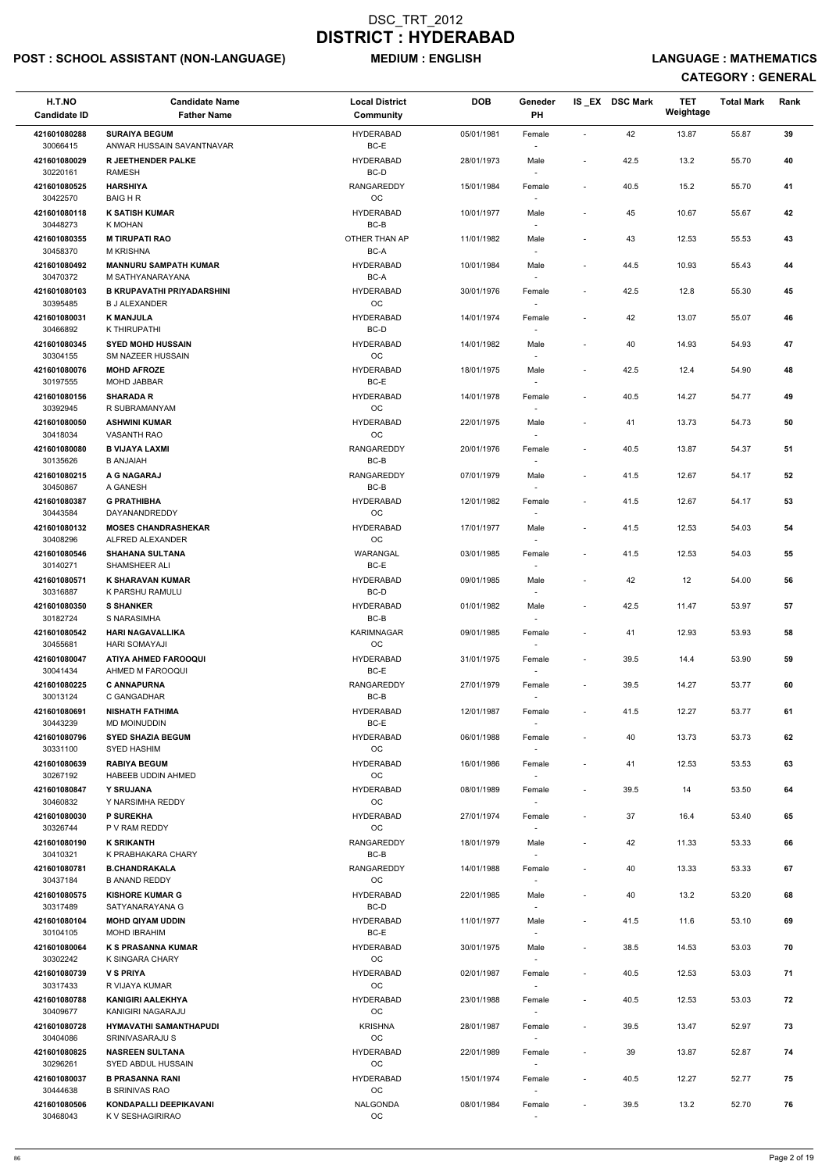## POST : SCHOOL ASSISTANT (NON-LANGUAGE) MEDIUM : ENGLISH LANGUAGE : MATHEMATICS

| H.T.NO<br><b>Candidate ID</b> | <b>Candidate Name</b><br><b>Father Name</b>               | <b>Local District</b><br>Community | <b>DOB</b> | Geneder<br>PH                      |                          | IS_EX DSC Mark | <b>TET</b><br>Weightage | <b>Total Mark</b> | Rank |
|-------------------------------|-----------------------------------------------------------|------------------------------------|------------|------------------------------------|--------------------------|----------------|-------------------------|-------------------|------|
| 421601080288                  | <b>SURAIYA BEGUM</b>                                      | <b>HYDERABAD</b>                   | 05/01/1981 | Female                             | $\sim$                   | 42             | 13.87                   | 55.87             | 39   |
| 30066415<br>421601080029      | ANWAR HUSSAIN SAVANTNAVAR<br><b>R JEETHENDER PALKE</b>    | BC-E<br><b>HYDERABAD</b>           | 28/01/1973 | Male                               |                          | 42.5           | 13.2                    | 55.70             | 40   |
| 30220161                      | <b>RAMESH</b>                                             | BC-D                               |            |                                    | $\overline{\phantom{a}}$ |                |                         |                   |      |
| 421601080525<br>30422570      | <b>HARSHIYA</b><br><b>BAIG H R</b>                        | <b>RANGAREDDY</b><br>OC            | 15/01/1984 | Female                             | $\overline{\phantom{a}}$ | 40.5           | 15.2                    | 55.70             | 41   |
| 421601080118<br>30448273      | <b>K SATISH KUMAR</b><br>K MOHAN                          | <b>HYDERABAD</b><br>BC-B           | 10/01/1977 | Male                               | $\overline{\phantom{a}}$ | 45             | 10.67                   | 55.67             | 42   |
| 421601080355<br>30458370      | <b>M TIRUPATI RAO</b><br><b>M KRISHNA</b>                 | OTHER THAN AP<br>BC-A              | 11/01/1982 | Male                               | $\overline{\phantom{a}}$ | 43             | 12.53                   | 55.53             | 43   |
| 421601080492<br>30470372      | <b>MANNURU SAMPATH KUMAR</b><br>M SATHYANARAYANA          | <b>HYDERABAD</b><br>BC-A           | 10/01/1984 | Male                               | $\overline{\phantom{a}}$ | 44.5           | 10.93                   | 55.43             | 44   |
| 421601080103<br>30395485      | <b>B KRUPAVATHI PRIYADARSHINI</b><br><b>B J ALEXANDER</b> | <b>HYDERABAD</b><br>OC             | 30/01/1976 | Female                             | $\overline{\phantom{a}}$ | 42.5           | 12.8                    | 55.30             | 45   |
| 421601080031<br>30466892      | <b>K MANJULA</b><br>K THIRUPATHI                          | <b>HYDERABAD</b><br>BC-D           | 14/01/1974 | Female                             | $\blacksquare$           | 42             | 13.07                   | 55.07             | 46   |
| 421601080345                  | <b>SYED MOHD HUSSAIN</b>                                  | <b>HYDERABAD</b>                   | 14/01/1982 | Male                               | ÷,                       | 40             | 14.93                   | 54.93             | 47   |
| 30304155                      | SM NAZEER HUSSAIN                                         | OC                                 |            |                                    |                          |                |                         |                   |      |
| 421601080076<br>30197555      | <b>MOHD AFROZE</b><br><b>MOHD JABBAR</b>                  | <b>HYDERABAD</b><br>BC-E           | 18/01/1975 | Male                               | $\overline{\phantom{a}}$ | 42.5           | 12.4                    | 54.90             | 48   |
| 421601080156                  | <b>SHARADA R</b>                                          | <b>HYDERABAD</b>                   | 14/01/1978 | Female                             | $\blacksquare$           | 40.5           | 14.27                   | 54.77             | 49   |
| 30392945                      | R SUBRAMANYAM                                             | OC                                 |            |                                    |                          |                |                         |                   |      |
| 421601080050<br>30418034      | <b>ASHWINI KUMAR</b><br><b>VASANTH RAO</b>                | <b>HYDERABAD</b><br>OC             | 22/01/1975 | Male                               | $\overline{\phantom{a}}$ | 41             | 13.73                   | 54.73             | 50   |
| 421601080080<br>30135626      | <b>B VIJAYA LAXMI</b><br><b>B ANJAIAH</b>                 | <b>RANGAREDDY</b><br>BC-B          | 20/01/1976 | Female<br>$\overline{\phantom{a}}$ | $\blacksquare$           | 40.5           | 13.87                   | 54.37             | 51   |
| 421601080215                  | A G NAGARAJ                                               | <b>RANGAREDDY</b>                  | 07/01/1979 | Male                               | $\overline{\phantom{a}}$ | 41.5           | 12.67                   | 54.17             | 52   |
| 30450867<br>421601080387      | A GANESH<br><b>G PRATHIBHA</b>                            | BC-B<br><b>HYDERABAD</b>           | 12/01/1982 | $\overline{\phantom{a}}$<br>Female | $\overline{\phantom{a}}$ | 41.5           | 12.67                   | 54.17             | 53   |
| 30443584<br>421601080132      | DAYANANDREDDY<br><b>MOSES CHANDRASHEKAR</b>               | OC<br><b>HYDERABAD</b>             | 17/01/1977 | Male                               | $\overline{\phantom{a}}$ | 41.5           | 12.53                   | 54.03             | 54   |
| 30408296                      | ALFRED ALEXANDER                                          | OС                                 |            | $\overline{\phantom{a}}$           |                          |                |                         |                   |      |
| 421601080546<br>30140271      | <b>SHAHANA SULTANA</b><br>SHAMSHEER ALI                   | WARANGAL<br>BC-E                   | 03/01/1985 | Female                             | $\overline{\phantom{a}}$ | 41.5           | 12.53                   | 54.03             | 55   |
| 421601080571<br>30316887      | <b>K SHARAVAN KUMAR</b><br>K PARSHU RAMULU                | <b>HYDERABAD</b><br>BC-D           | 09/01/1985 | Male                               | $\overline{\phantom{a}}$ | 42             | 12                      | 54.00             | 56   |
| 421601080350                  | <b>S SHANKER</b>                                          | <b>HYDERABAD</b>                   | 01/01/1982 | Male                               | $\overline{\phantom{a}}$ | 42.5           | 11.47                   | 53.97             | 57   |
| 30182724<br>421601080542      | S NARASIMHA<br><b>HARI NAGAVALLIKA</b>                    | BC-B<br><b>KARIMNAGAR</b>          | 09/01/1985 | Female                             | $\overline{\phantom{a}}$ | 41             | 12.93                   | 53.93             | 58   |
| 30455681                      | <b>HARI SOMAYAJI</b>                                      | OC                                 |            |                                    |                          |                |                         |                   |      |
| 421601080047<br>30041434      | <b>ATIYA AHMED FAROOQUI</b><br>AHMED M FAROOQUI           | <b>HYDERABAD</b><br>BC-E           | 31/01/1975 | Female<br>$\overline{\phantom{a}}$ | $\overline{\phantom{a}}$ | 39.5           | 14.4                    | 53.90             | 59   |
| 421601080225<br>30013124      | <b>C ANNAPURNA</b><br>C GANGADHAR                         | <b>RANGAREDDY</b><br>BC-B          | 27/01/1979 | Female                             | $\overline{\phantom{a}}$ | 39.5           | 14.27                   | 53.77             | 60   |
| 421601080691                  | <b>NISHATH FATHIMA</b>                                    | <b>HYDERABAD</b>                   | 12/01/1987 | Female                             | $\overline{\phantom{a}}$ | 41.5           | 12.27                   | 53.77             | 61   |
| 30443239<br>421601080796      | <b>MD MOINUDDIN</b><br><b>SYED SHAZIA BEGUM</b>           | BC-E<br><b>HYDERABAD</b>           | 06/01/1988 | Female                             | $\overline{\phantom{a}}$ | 40             | 13.73                   | 53.73             | 62   |
| 30331100                      | <b>SYED HASHIM</b>                                        | OC                                 |            |                                    |                          |                |                         |                   |      |
| 421601080639<br>30267192      | <b>RABIYA BEGUM</b><br>HABEEB UDDIN AHMED                 | <b>HYDERABAD</b><br>OC             | 16/01/1986 | Female                             | $\overline{\phantom{a}}$ | 41             | 12.53                   | 53.53             | 63   |
| 421601080847<br>30460832      | Y SRUJANA<br>Y NARSIMHA REDDY                             | <b>HYDERABAD</b><br><b>OC</b>      | 08/01/1989 | Female                             | $\overline{\phantom{a}}$ | 39.5           | 14                      | 53.50             | 64   |
| 421601080030<br>30326744      | <b>P SUREKHA</b><br>P V RAM REDDY                         | <b>HYDERABAD</b><br><b>OC</b>      | 27/01/1974 | Female                             | $\overline{\phantom{a}}$ | 37             | 16.4                    | 53.40             | 65   |
| 421601080190                  | <b>K SRIKANTH</b>                                         | <b>RANGAREDDY</b>                  | 18/01/1979 | Male                               | $\overline{\phantom{a}}$ | 42             | 11.33                   | 53.33             | 66   |
| 30410321<br>421601080781      | K PRABHAKARA CHARY<br><b>B.CHANDRAKALA</b>                | BC-B<br>RANGAREDDY                 | 14/01/1988 | Female                             | $\blacksquare$           | 40             | 13.33                   | 53.33             | 67   |
| 30437184                      | <b>B ANAND REDDY</b>                                      | <b>OC</b>                          |            |                                    |                          |                |                         |                   |      |
| 421601080575<br>30317489      | <b>KISHORE KUMAR G</b><br>SATYANARAYANA G                 | <b>HYDERABAD</b><br>BC-D           | 22/01/1985 | Male<br>$\sim$                     | $\overline{\phantom{a}}$ | 40             | 13.2                    | 53.20             | 68   |
| 421601080104<br>30104105      | <b>MOHD QIYAM UDDIN</b><br><b>MOHD IBRAHIM</b>            | <b>HYDERABAD</b><br>BC-E           | 11/01/1977 | Male                               | $\overline{\phantom{a}}$ | 41.5           | 11.6                    | 53.10             | 69   |
| 421601080064                  | <b>K S PRASANNA KUMAR</b>                                 | <b>HYDERABAD</b>                   | 30/01/1975 | Male                               | $\overline{\phantom{a}}$ | 38.5           | 14.53                   | 53.03             | 70   |
| 30302242                      | K SINGARA CHARY                                           | <b>OC</b>                          |            |                                    |                          |                |                         |                   |      |
| 421601080739<br>30317433      | <b>V S PRIYA</b><br>R VIJAYA KUMAR                        | <b>HYDERABAD</b><br>OC             | 02/01/1987 | Female<br>$\sim$                   | $\overline{\phantom{a}}$ | 40.5           | 12.53                   | 53.03             | 71   |
| 421601080788<br>30409677      | <b>KANIGIRI AALEKHYA</b><br>KANIGIRI NAGARAJU             | <b>HYDERABAD</b><br>OC             | 23/01/1988 | Female                             | $\overline{\phantom{a}}$ | 40.5           | 12.53                   | 53.03             | 72   |
| 421601080728<br>30404086      | <b>HYMAVATHI SAMANTHAPUDI</b><br>SRINIVASARAJU S          | <b>KRISHNA</b><br>OC               | 28/01/1987 | Female<br>$\overline{\phantom{a}}$ | $\overline{\phantom{a}}$ | 39.5           | 13.47                   | 52.97             | 73   |
| 421601080825                  | <b>NASREEN SULTANA</b>                                    | <b>HYDERABAD</b>                   | 22/01/1989 | Female                             | $\overline{\phantom{a}}$ | 39             | 13.87                   | 52.87             | 74   |
| 30296261<br>421601080037      | SYED ABDUL HUSSAIN<br><b>B PRASANNA RANI</b>              | OC<br><b>HYDERABAD</b>             | 15/01/1974 | $\sim$<br>Female                   | $\overline{\phantom{a}}$ | 40.5           | 12.27                   | 52.77             | 75   |
| 30444638<br>421601080506      | <b>B SRINIVAS RAO</b><br>KONDAPALLI DEEPIKAVANI           | OC<br><b>NALGONDA</b>              | 08/01/1984 | $\overline{\phantom{a}}$<br>Female | $\overline{\phantom{a}}$ | 39.5           | 13.2                    | 52.70             | 76   |
| 30468043                      | K V SESHAGIRIRAO                                          | OC                                 |            |                                    |                          |                |                         |                   |      |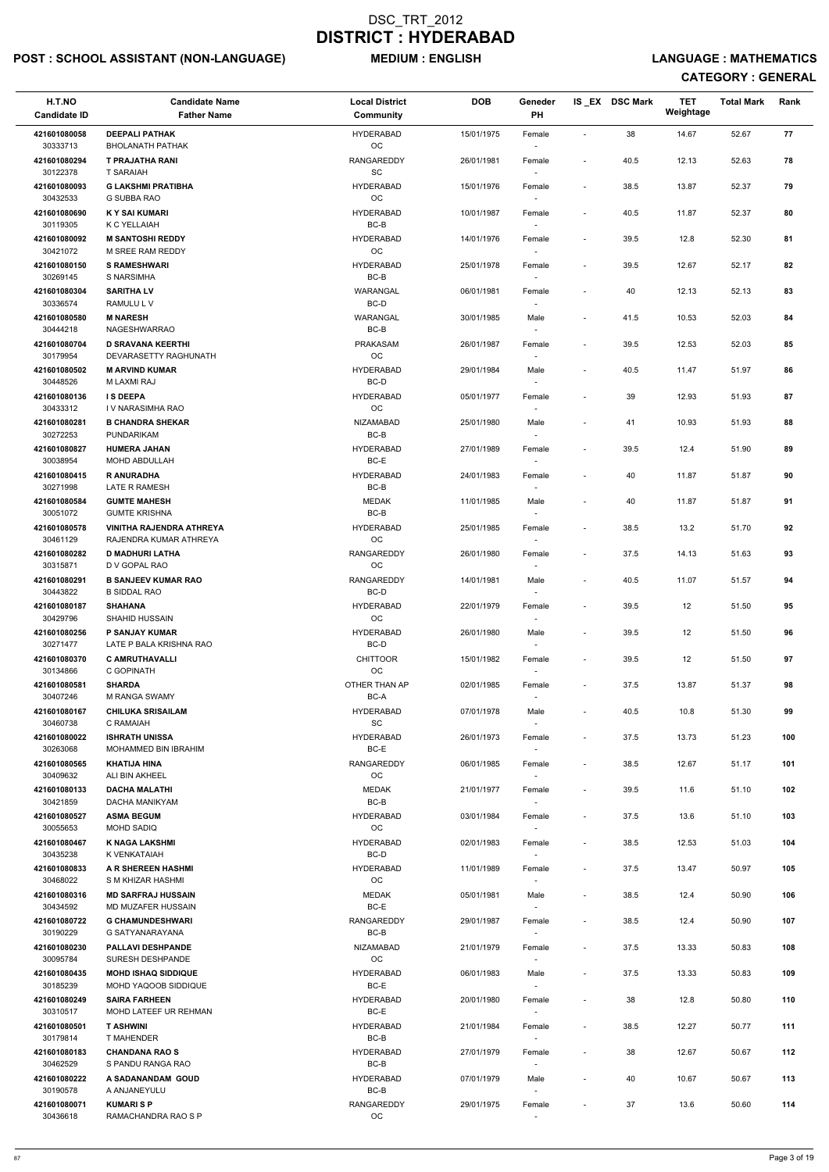## POST : SCHOOL ASSISTANT (NON-LANGUAGE) MEDIUM : ENGLISH LANGUAGE : MATHEMATICS

| H.T.NO<br><b>Candidate ID</b> | <b>Candidate Name</b><br><b>Father Name</b>             | <b>Local District</b><br>Community | <b>DOB</b> | Geneder<br><b>PH</b> |                          | IS EX DSC Mark | <b>TET</b><br>Weightage | <b>Total Mark</b> | Rank |  |
|-------------------------------|---------------------------------------------------------|------------------------------------|------------|----------------------|--------------------------|----------------|-------------------------|-------------------|------|--|
| 421601080058                  | <b>DEEPALI PATHAK</b>                                   | <b>HYDERABAD</b>                   | 15/01/1975 | Female               | $\overline{a}$           | 38             | 14.67                   | 52.67             | 77   |  |
| 30333713                      | <b>BHOLANATH PATHAK</b>                                 | OC                                 |            |                      |                          |                |                         |                   |      |  |
| 421601080294<br>30122378      | <b>T PRAJATHA RANI</b><br><b>T SARAIAH</b>              | <b>RANGAREDDY</b><br>SC            | 26/01/1981 | Female               | $\sim$                   | 40.5           | 12.13                   | 52.63             | 78   |  |
| 421601080093<br>30432533      | <b>G LAKSHMI PRATIBHA</b><br>G SUBBA RAO                | <b>HYDERABAD</b><br>OC             | 15/01/1976 | Female               | $\sim$                   | 38.5           | 13.87                   | 52.37             | 79   |  |
| 421601080690<br>30119305      | <b>KY SAI KUMARI</b><br>K C YELLAIAH                    | <b>HYDERABAD</b><br>BC-B           | 10/01/1987 | Female               | $\sim$                   | 40.5           | 11.87                   | 52.37             | 80   |  |
| 421601080092                  | <b>M SANTOSHI REDDY</b>                                 | <b>HYDERABAD</b>                   | 14/01/1976 | Female               | $\sim$                   | 39.5           | 12.8                    | 52.30             | 81   |  |
| 30421072<br>421601080150      | M SREE RAM REDDY<br><b>S RAMESHWARI</b>                 | <b>OC</b><br><b>HYDERABAD</b>      | 25/01/1978 | Female               | $\sim$                   | 39.5           | 12.67                   | 52.17             | 82   |  |
| 30269145<br>421601080304      | S NARSIMHA<br><b>SARITHA LV</b>                         | BC-B<br>WARANGAL<br>BC-D           | 06/01/1981 | Female               | $\blacksquare$           | 40             | 12.13                   | 52.13             | 83   |  |
| 30336574<br>421601080580      | RAMULU L V<br><b>M NARESH</b>                           | WARANGAL                           | 30/01/1985 | Male                 | $\blacksquare$           | 41.5           | 10.53                   | 52.03             | 84   |  |
| 30444218<br>421601080704      | <b>NAGESHWARRAO</b><br><b>D SRAVANA KEERTHI</b>         | $BC-B$<br>PRAKASAM                 | 26/01/1987 | Female               |                          | 39.5           | 12.53                   | 52.03             | 85   |  |
| 30179954                      | DEVARASETTY RAGHUNATH                                   | <b>OC</b>                          |            |                      |                          |                |                         |                   |      |  |
| 421601080502<br>30448526      | <b>M ARVIND KUMAR</b><br>M LAXMI RAJ                    | <b>HYDERABAD</b><br>BC-D           | 29/01/1984 | Male<br>$\sim$       | $\sim$                   | 40.5           | 11.47                   | 51.97             | 86   |  |
| 421601080136                  | <b>IS DEEPA</b>                                         | <b>HYDERABAD</b>                   | 05/01/1977 | Female               |                          | 39             | 12.93                   | 51.93             | 87   |  |
| 30433312                      | I V NARASIMHA RAO                                       | OC                                 |            |                      |                          |                |                         |                   |      |  |
| 421601080281<br>30272253      | <b>B CHANDRA SHEKAR</b><br>PUNDARIKAM                   | <b>NIZAMABAD</b><br>$BC-B$         | 25/01/1980 | Male                 | $\blacksquare$           | 41             | 10.93                   | 51.93             | 88   |  |
| 421601080827<br>30038954      | <b>HUMERA JAHAN</b><br>MOHD ABDULLAH                    | <b>HYDERABAD</b><br>BC-E           | 27/01/1989 | Female<br>$\sim$     | $\overline{\phantom{a}}$ | 39.5           | 12.4                    | 51.90             | 89   |  |
| 421601080415<br>30271998      | <b>R ANURADHA</b><br>LATE R RAMESH                      | <b>HYDERABAD</b><br>BC-B           | 24/01/1983 | Female               |                          | 40             | 11.87                   | 51.87             | 90   |  |
| 421601080584                  | <b>GUMTE MAHESH</b>                                     | <b>MEDAK</b>                       | 11/01/1985 | Male                 | $\blacksquare$           | 40             | 11.87                   | 51.87             | 91   |  |
| 30051072<br>421601080578      | <b>GUMTE KRISHNA</b><br><b>VINITHA RAJENDRA ATHREYA</b> | $BC-B$<br><b>HYDERABAD</b>         | 25/01/1985 | Female               | $\overline{\phantom{a}}$ | 38.5           | 13.2                    | 51.70             | 92   |  |
| 30461129<br>421601080282      | RAJENDRA KUMAR ATHREYA<br><b>D MADHURI LATHA</b>        | <b>OC</b><br>RANGAREDDY            | 26/01/1980 | Female               |                          | 37.5           | 14.13                   | 51.63             | 93   |  |
| 30315871<br>421601080291      | D V GOPAL RAO<br><b>B SANJEEV KUMAR RAO</b>             | OC<br>RANGAREDDY                   | 14/01/1981 | Male                 | $\blacksquare$           | 40.5           | 11.07                   | 51.57             | 94   |  |
| 30443822                      | <b>B SIDDAL RAO</b>                                     | BC-D                               |            |                      |                          |                |                         |                   |      |  |
| 421601080187<br>30429796      | <b>SHAHANA</b><br><b>SHAHID HUSSAIN</b>                 | <b>HYDERABAD</b><br><b>OC</b>      | 22/01/1979 | Female               | $\sim$                   | 39.5           | 12                      | 51.50             | 95   |  |
| 421601080256<br>30271477      | <b>P SANJAY KUMAR</b><br>LATE P BALA KRISHNA RAO        | <b>HYDERABAD</b><br>BC-D           | 26/01/1980 | Male<br>$\sim$       | $\blacksquare$           | 39.5           | 12                      | 51.50             | 96   |  |
| 421601080370<br>30134866      | <b>C AMRUTHAVALLI</b><br>C GOPINATH                     | <b>CHITTOOR</b><br><b>OC</b>       | 15/01/1982 | Female<br>$\sim$     | $\sim$                   | 39.5           | 12                      | 51.50             | 97   |  |
| 421601080581                  | <b>SHARDA</b>                                           | OTHER THAN AP                      | 02/01/1985 | Female               | $\sim$                   | 37.5           | 13.87                   | 51.37             | 98   |  |
| 30407246<br>421601080167      | <b>M RANGA SWAMY</b><br><b>CHILUKA SRISAILAM</b>        | BC-A<br><b>HYDERABAD</b>           | 07/01/1978 | $\sim$<br>Male       | $\blacksquare$           | 40.5           | 10.8                    | 51.30             | 99   |  |
| 30460738<br>421601080022      | C RAMAIAH<br><b>ISHRATH UNISSA</b>                      | SC<br><b>HYDERABAD</b>             | 26/01/1973 | Female               | $\overline{\phantom{a}}$ | 37.5           | 13.73                   | 51.23             | 100  |  |
| 30263068<br>421601080565      | MOHAMMED BIN IBRAHIM<br><b>KHATIJA HINA</b>             | BC-E<br>RANGAREDDY                 | 06/01/1985 |                      | $\blacksquare$           | 38.5           | 12.67                   | 51.17             | 101  |  |
| 30409632                      | ALI BIN AKHEEL                                          | OC                                 |            | Female               |                          |                |                         |                   |      |  |
| 421601080133<br>30421859      | <b>DACHA MALATHI</b><br>DACHA MANIKYAM                  | <b>MEDAK</b><br>BC-B               | 21/01/1977 | Female<br>$\sim$     | $\sim$                   | 39.5           | 11.6                    | 51.10             | 102  |  |
| 421601080527<br>30055653      | <b>ASMA BEGUM</b><br><b>MOHD SADIQ</b>                  | <b>HYDERABAD</b><br>OC             | 03/01/1984 | Female               | $\blacksquare$           | 37.5           | 13.6                    | 51.10             | 103  |  |
| 421601080467<br>30435238      | <b>K NAGA LAKSHMI</b><br>K VENKATAIAH                   | <b>HYDERABAD</b><br>BC-D           | 02/01/1983 | Female               | $\sim$                   | 38.5           | 12.53                   | 51.03             | 104  |  |
| 421601080833                  | A R SHEREEN HASHMI                                      | <b>HYDERABAD</b>                   | 11/01/1989 | Female               | $\sim$                   | 37.5           | 13.47                   | 50.97             | 105  |  |
| 30468022<br>421601080316      | S M KHIZAR HASHMI<br><b>MD SARFRAJ HUSSAIN</b>          | OC<br><b>MEDAK</b>                 | 05/01/1981 | $\sim$               | $\blacksquare$           | 38.5           | 12.4                    | 50.90             | 106  |  |
| 30434592                      | <b>MD MUZAFER HUSSAIN</b>                               | BC-E                               |            | Male<br>$\sim$       |                          |                |                         |                   |      |  |
| 421601080722<br>30190229      | <b>G CHAMUNDESHWARI</b><br>G SATYANARAYANA              | <b>RANGAREDDY</b><br>BC-B          | 29/01/1987 | Female               | $\blacksquare$           | 38.5           | 12.4                    | 50.90             | 107  |  |
| 421601080230                  | <b>PALLAVI DESHPANDE</b>                                | <b>NIZAMABAD</b>                   | 21/01/1979 | Female               | $\sim$                   | 37.5           | 13.33                   | 50.83             | 108  |  |
| 30095784<br>421601080435      | SURESH DESHPANDE<br><b>MOHD ISHAQ SIDDIQUE</b>          | OC<br><b>HYDERABAD</b>             | 06/01/1983 | Male                 | $\blacksquare$           | 37.5           | 13.33                   | 50.83             | 109  |  |
| 30185239                      | MOHD YAQOOB SIDDIQUE                                    | $BC-E$                             |            | $\sim$               |                          |                |                         |                   |      |  |
| 421601080249<br>30310517      | <b>SAIRA FARHEEN</b><br>MOHD LATEEF UR REHMAN           | <b>HYDERABAD</b><br>BC-E           | 20/01/1980 | Female               |                          | 38             | 12.8                    | 50.80             | 110  |  |
| 421601080501<br>30179814      | <b>T ASHWINI</b><br>T MAHENDER                          | <b>HYDERABAD</b><br>BC-B           | 21/01/1984 | Female               | $\overline{\phantom{a}}$ | 38.5           | 12.27                   | 50.77             | 111  |  |
| 421601080183<br>30462529      | <b>CHANDANA RAO S</b><br>S PANDU RANGA RAO              | <b>HYDERABAD</b><br>BC-B           | 27/01/1979 | Female<br>$\sim$     | $\overline{\phantom{a}}$ | 38             | 12.67                   | 50.67             | 112  |  |
| 421601080222<br>30190578      | A SADANANDAM GOUD<br>A ANJANEYULU                       | <b>HYDERABAD</b><br>BC-B           | 07/01/1979 | Male<br>$\sim$       | $\blacksquare$           | 40             | 10.67                   | 50.67             | 113  |  |
| 421601080071<br>30436618      | <b>KUMARISP</b><br>RAMACHANDRA RAO S P                  | RANGAREDDY<br>OC                   | 29/01/1975 | Female               | $\overline{\phantom{a}}$ | 37             | 13.6                    | 50.60             | 114  |  |
|                               |                                                         |                                    |            |                      |                          |                |                         |                   |      |  |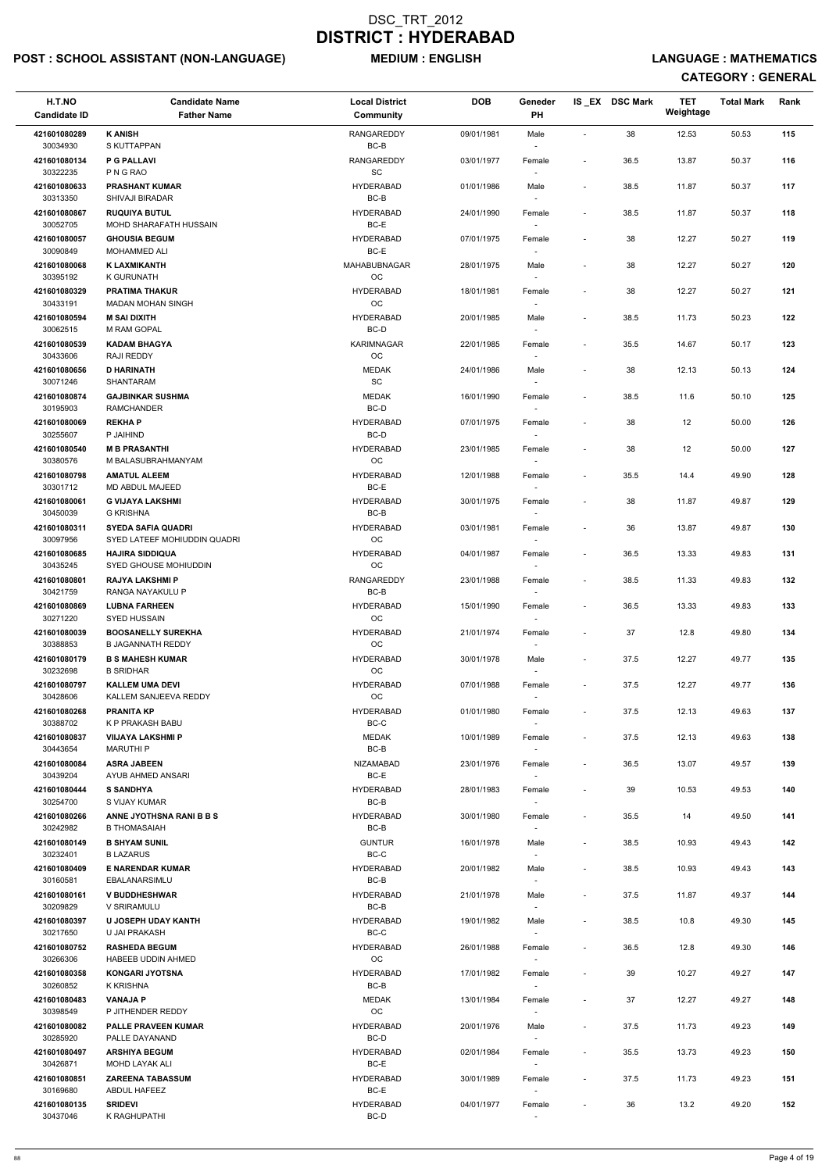## POST : SCHOOL ASSISTANT (NON-LANGUAGE) MEDIUM : ENGLISH LANGUAGE : MATHEMATICS

| H.T.NO<br><b>Candidate ID</b> | <b>Candidate Name</b><br><b>Father Name</b>               | <b>Local District</b><br>Community | <b>DOB</b> | Geneder<br>PH                      |                          | IS EX DSC Mark | <b>TET</b><br>Weightage | <b>Total Mark</b> | Rank |
|-------------------------------|-----------------------------------------------------------|------------------------------------|------------|------------------------------------|--------------------------|----------------|-------------------------|-------------------|------|
| 421601080289                  | <b>K ANISH</b>                                            | <b>RANGAREDDY</b>                  | 09/01/1981 | Male                               | $\overline{\phantom{a}}$ | 38             | 12.53                   | 50.53             | 115  |
| 30034930<br>421601080134      | S KUTTAPPAN<br><b>P G PALLAVI</b>                         | BC-B<br>RANGAREDDY                 | 03/01/1977 | Female                             | $\overline{\phantom{a}}$ | 36.5           | 13.87                   | 50.37             | 116  |
| 30322235<br>421601080633      | P N G RAO<br><b>PRASHANT KUMAR</b>                        | SC<br><b>HYDERABAD</b>             | 01/01/1986 | Male                               | $\overline{\phantom{a}}$ | 38.5           | 11.87                   | 50.37             | 117  |
| 30313350<br>421601080867      | <b>SHIVAJI BIRADAR</b><br><b>RUQUIYA BUTUL</b>            | $BC-B$<br><b>HYDERABAD</b>         | 24/01/1990 | Female                             | $\overline{\phantom{a}}$ | 38.5           | 11.87                   | 50.37             | 118  |
| 30052705<br>421601080057      | MOHD SHARAFATH HUSSAIN<br><b>GHOUSIA BEGUM</b>            | BC-E<br><b>HYDERABAD</b>           | 07/01/1975 | $\overline{\phantom{a}}$<br>Female | $\overline{\phantom{a}}$ | 38             | 12.27                   | 50.27             | 119  |
| 30090849                      | MOHAMMED ALI                                              | BC-E                               |            | $\overline{\phantom{a}}$           |                          |                |                         |                   |      |
| 421601080068<br>30395192      | <b>K LAXMIKANTH</b><br><b>K GURUNATH</b>                  | MAHABUBNAGAR<br><b>OC</b>          | 28/01/1975 | Male                               | $\overline{\phantom{a}}$ | 38             | 12.27                   | 50.27             | 120  |
| 421601080329<br>30433191      | <b>PRATIMA THAKUR</b><br><b>MADAN MOHAN SINGH</b>         | <b>HYDERABAD</b><br>OC             | 18/01/1981 | Female                             | $\overline{\phantom{a}}$ | 38             | 12.27                   | 50.27             | 121  |
| 421601080594<br>30062515      | <b>M SAI DIXITH</b><br>M RAM GOPAL                        | <b>HYDERABAD</b><br>BC-D           | 20/01/1985 | Male                               | $\overline{\phantom{a}}$ | 38.5           | 11.73                   | 50.23             | 122  |
| 421601080539<br>30433606      | <b>KADAM BHAGYA</b><br>RAJI REDDY                         | <b>KARIMNAGAR</b><br>OC            | 22/01/1985 | Female                             | $\overline{\phantom{a}}$ | 35.5           | 14.67                   | 50.17             | 123  |
| 421601080656                  | <b>D HARINATH</b>                                         | <b>MEDAK</b>                       | 24/01/1986 | Male                               | $\overline{\phantom{a}}$ | 38             | 12.13                   | 50.13             | 124  |
| 30071246<br>421601080874      | SHANTARAM<br><b>GAJBINKAR SUSHMA</b>                      | SC<br><b>MEDAK</b>                 | 16/01/1990 | $\overline{\phantom{a}}$<br>Female | $\overline{\phantom{a}}$ | 38.5           | 11.6                    | 50.10             | 125  |
| 30195903<br>421601080069      | <b>RAMCHANDER</b><br><b>REKHAP</b>                        | BC-D<br><b>HYDERABAD</b>           | 07/01/1975 | Female                             | $\overline{\phantom{a}}$ | 38             | 12                      | 50.00             | 126  |
| 30255607<br>421601080540      | P JAIHIND<br><b>M B PRASANTHI</b>                         | BC-D<br><b>HYDERABAD</b>           | 23/01/1985 | Female                             | $\overline{\phantom{a}}$ | 38             | 12                      | 50.00             | 127  |
| 30380576<br>421601080798      | M BALASUBRAHMANYAM<br><b>AMATUL ALEEM</b>                 | OC<br><b>HYDERABAD</b>             | 12/01/1988 | $\sim$                             |                          | 35.5           | 14.4                    | 49.90             | 128  |
| 30301712                      | MD ABDUL MAJEED                                           | BC-E                               |            | Female                             | $\overline{\phantom{a}}$ |                |                         |                   |      |
| 421601080061<br>30450039      | <b>G VIJAYA LAKSHMI</b><br>G KRISHNA                      | <b>HYDERABAD</b><br>BC-B           | 30/01/1975 | Female                             | $\overline{\phantom{a}}$ | 38             | 11.87                   | 49.87             | 129  |
| 421601080311<br>30097956      | <b>SYEDA SAFIA QUADRI</b><br>SYED LATEEF MOHIUDDIN QUADRI | <b>HYDERABAD</b><br>OC.            | 03/01/1981 | Female<br>$\overline{\phantom{a}}$ | $\overline{\phantom{a}}$ | 36             | 13.87                   | 49.87             | 130  |
| 421601080685<br>30435245      | <b>HAJIRA SIDDIQUA</b><br><b>SYED GHOUSE MOHIUDDIN</b>    | <b>HYDERABAD</b><br><b>OC</b>      | 04/01/1987 | Female<br>$\overline{\phantom{a}}$ | $\overline{\phantom{a}}$ | 36.5           | 13.33                   | 49.83             | 131  |
| 421601080801<br>30421759      | <b>RAJYA LAKSHMI P</b><br>RANGA NAYAKULU P                | RANGAREDDY<br>BC-B                 | 23/01/1988 | Female                             | $\overline{\phantom{a}}$ | 38.5           | 11.33                   | 49.83             | 132  |
| 421601080869                  | <b>LUBNA FARHEEN</b>                                      | <b>HYDERABAD</b><br><b>OC</b>      | 15/01/1990 | Female                             | $\overline{\phantom{a}}$ | 36.5           | 13.33                   | 49.83             | 133  |
| 30271220<br>421601080039      | <b>SYED HUSSAIN</b><br><b>BOOSANELLY SUREKHA</b>          | <b>HYDERABAD</b>                   | 21/01/1974 | Female                             | $\overline{\phantom{a}}$ | 37             | 12.8                    | 49.80             | 134  |
| 30388853<br>421601080179      | <b>B JAGANNATH REDDY</b><br><b>B S MAHESH KUMAR</b>       | <b>OC</b><br><b>HYDERABAD</b>      | 30/01/1978 | Male                               | $\overline{\phantom{a}}$ | 37.5           | 12.27                   | 49.77             | 135  |
| 30232698<br>421601080797      | <b>B SRIDHAR</b><br><b>KALLEM UMA DEVI</b>                | <b>OC</b><br><b>HYDERABAD</b>      | 07/01/1988 | $\sim$<br>Female                   | $\overline{\phantom{a}}$ | 37.5           | 12.27                   | 49.77             | 136  |
| 30428606<br>421601080268      | KALLEM SANJEEVA REDDY<br><b>PRANITA KP</b>                | OC<br><b>HYDERABAD</b>             | 01/01/1980 | Female                             | $\overline{\phantom{a}}$ | 37.5           | 12.13                   | 49.63             | 137  |
| 30388702<br>421601080837      | K P PRAKASH BABU<br><b>VIIJAYA LAKSHMI P</b>              | BC-C<br><b>MEDAK</b>               |            |                                    |                          | 37.5           | 12.13                   | 49.63             | 138  |
| 30443654                      | <b>MARUTHI P</b>                                          | BC-B                               | 10/01/1989 | Female<br>$\overline{\phantom{a}}$ | $\overline{\phantom{a}}$ |                |                         |                   |      |
| 421601080084<br>30439204      | <b>ASRA JABEEN</b><br>AYUB AHMED ANSARI                   | NIZAMABAD<br>BC-E                  | 23/01/1976 | Female                             | $\overline{\phantom{a}}$ | 36.5           | 13.07                   | 49.57             | 139  |
| 421601080444<br>30254700      | <b>S SANDHYA</b><br>S VIJAY KUMAR                         | <b>HYDERABAD</b><br>BC-B           | 28/01/1983 | Female                             | $\overline{\phantom{a}}$ | 39             | 10.53                   | 49.53             | 140  |
| 421601080266<br>30242982      | ANNE JYOTHSNA RANI B B S<br><b>B THOMASAIAH</b>           | <b>HYDERABAD</b><br>BC-B           | 30/01/1980 | Female                             | $\overline{\phantom{a}}$ | 35.5           | 14                      | 49.50             | 141  |
| 421601080149<br>30232401      | <b>B SHYAM SUNIL</b><br><b>B LAZARUS</b>                  | <b>GUNTUR</b><br>$BC-C$            | 16/01/1978 | Male                               | $\overline{\phantom{a}}$ | 38.5           | 10.93                   | 49.43             | 142  |
| 421601080409                  | <b>E NARENDAR KUMAR</b>                                   | <b>HYDERABAD</b><br>BC-B           | 20/01/1982 | Male                               | $\blacksquare$           | 38.5           | 10.93                   | 49.43             | 143  |
| 30160581<br>421601080161      | EBALANARSIMLU<br><b>V BUDDHESHWAR</b>                     | <b>HYDERABAD</b>                   | 21/01/1978 | Male                               | $\overline{\phantom{a}}$ | 37.5           | 11.87                   | 49.37             | 144  |
| 30209829<br>421601080397      | V SRIRAMULU<br>U JOSEPH UDAY KANTH                        | BC-B<br><b>HYDERABAD</b>           | 19/01/1982 | $\sim$<br>Male                     | $\overline{\phantom{a}}$ | 38.5           | 10.8                    | 49.30             | 145  |
| 30217650<br>421601080752      | U JAI PRAKASH<br><b>RASHEDA BEGUM</b>                     | BC-C<br><b>HYDERABAD</b>           | 26/01/1988 | Female                             | $\overline{\phantom{a}}$ | 36.5           | 12.8                    | 49.30             | 146  |
| 30266306<br>421601080358      | <b>HABEEB UDDIN AHMED</b><br><b>KONGARI JYOTSNA</b>       | <b>OC</b><br><b>HYDERABAD</b>      | 17/01/1982 | Female                             | $\overline{\phantom{a}}$ | 39             | 10.27                   | 49.27             | 147  |
| 30260852                      | K KRISHNA                                                 | BC-B                               |            | $\overline{\phantom{a}}$           |                          |                |                         |                   |      |
| 421601080483<br>30398549      | <b>VANAJA P</b><br>P JITHENDER REDDY                      | MEDAK<br>OC                        | 13/01/1984 | Female                             | $\overline{\phantom{a}}$ | 37             | 12.27                   | 49.27             | 148  |
| 421601080082<br>30285920      | <b>PALLE PRAVEEN KUMAR</b><br>PALLE DAYANAND              | <b>HYDERABAD</b><br>BC-D           | 20/01/1976 | Male<br>$\overline{\phantom{a}}$   | $\overline{\phantom{a}}$ | 37.5           | 11.73                   | 49.23             | 149  |
| 421601080497<br>30426871      | <b>ARSHIYA BEGUM</b><br>MOHD LAYAK ALI                    | <b>HYDERABAD</b><br>BC-E           | 02/01/1984 | Female<br>$\overline{\phantom{a}}$ | $\overline{\phantom{a}}$ | 35.5           | 13.73                   | 49.23             | 150  |
| 421601080851<br>30169680      | <b>ZAREENA TABASSUM</b><br>ABDUL HAFEEZ                   | <b>HYDERABAD</b><br>BC-E           | 30/01/1989 | Female<br>$\overline{\phantom{a}}$ | $\overline{\phantom{a}}$ | 37.5           | 11.73                   | 49.23             | 151  |
| 421601080135<br>30437046      | <b>SRIDEVI</b><br>K RAGHUPATHI                            | <b>HYDERABAD</b><br>BC-D           | 04/01/1977 | Female                             | $\overline{\phantom{a}}$ | 36             | 13.2                    | 49.20             | 152  |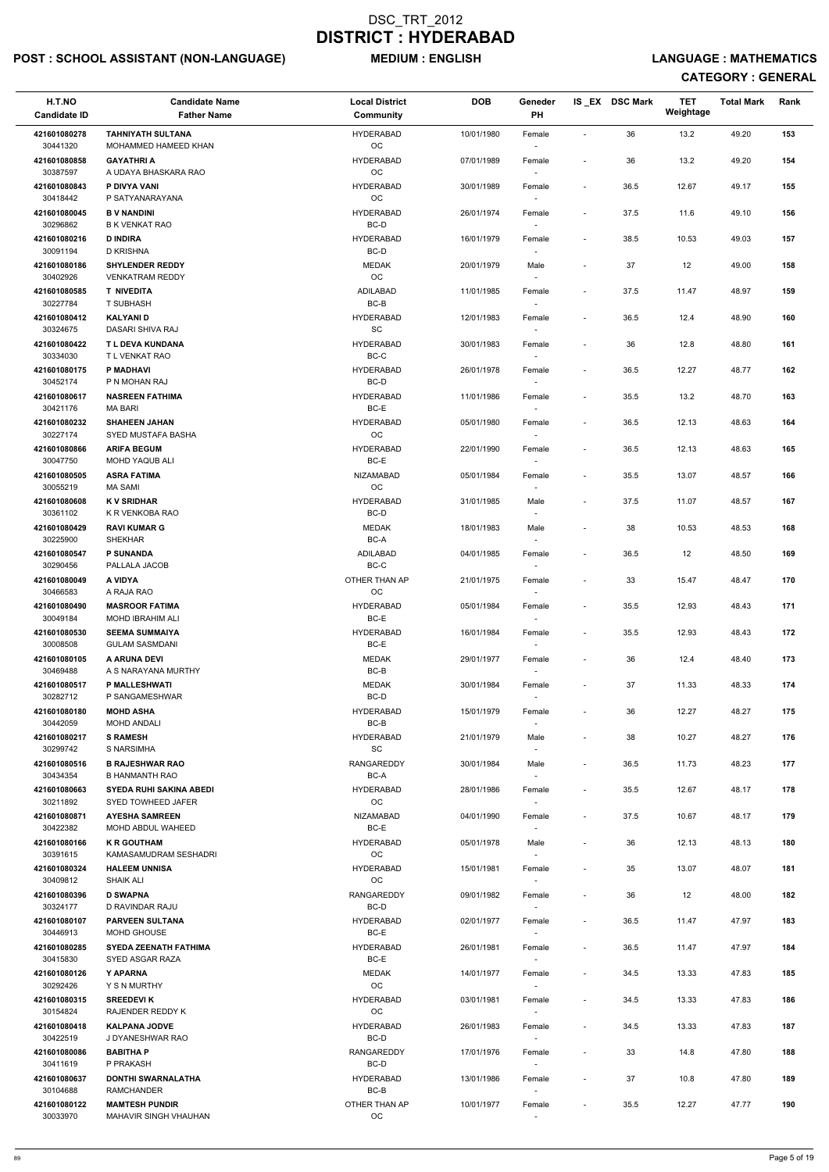## POST : SCHOOL ASSISTANT (NON-LANGUAGE) MEDIUM : ENGLISH LANGUAGE : MATHEMATICS

| H.T.NO                   | <b>Candidate Name</b>                                | <b>Local District</b>         | <b>DOB</b> | Geneder                            |                          | IS_EX DSC Mark | <b>TET</b><br>Weightage | <b>Total Mark</b> | Rank |
|--------------------------|------------------------------------------------------|-------------------------------|------------|------------------------------------|--------------------------|----------------|-------------------------|-------------------|------|
| <b>Candidate ID</b>      | <b>Father Name</b>                                   | Community                     |            | PH                                 |                          |                |                         |                   |      |
| 421601080278<br>30441320 | <b>TAHNIYATH SULTANA</b><br>MOHAMMED HAMEED KHAN     | <b>HYDERABAD</b><br>OC        | 10/01/1980 | Female                             | $\blacksquare$           | 36             | 13.2                    | 49.20             | 153  |
| 421601080858<br>30387597 | <b>GAYATHRI A</b><br>A UDAYA BHASKARA RAO            | <b>HYDERABAD</b><br>OC        | 07/01/1989 | Female                             | $\overline{\phantom{a}}$ | 36             | 13.2                    | 49.20             | 154  |
| 421601080843<br>30418442 | P DIVYA VANI<br>P SATYANARAYANA                      | <b>HYDERABAD</b><br>OC        | 30/01/1989 | Female                             | $\overline{\phantom{a}}$ | 36.5           | 12.67                   | 49.17             | 155  |
| 421601080045             | <b>B V NANDINI</b>                                   | <b>HYDERABAD</b>              | 26/01/1974 | Female                             | $\overline{\phantom{a}}$ | 37.5           | 11.6                    | 49.10             | 156  |
| 30296862<br>421601080216 | <b>B K VENKAT RAO</b><br><b>D INDIRA</b>             | BC-D<br><b>HYDERABAD</b>      | 16/01/1979 | $\sim$<br>Female                   | $\overline{\phantom{a}}$ | 38.5           | 10.53                   | 49.03             | 157  |
| 30091194                 | D KRISHNA                                            | BC-D                          |            |                                    |                          |                |                         |                   |      |
| 421601080186<br>30402926 | <b>SHYLENDER REDDY</b><br><b>VENKATRAM REDDY</b>     | <b>MEDAK</b><br>OC            | 20/01/1979 | Male                               | $\overline{\phantom{a}}$ | 37             | 12                      | 49.00             | 158  |
| 421601080585<br>30227784 | <b>T NIVEDITA</b><br><b>T SUBHASH</b>                | <b>ADILABAD</b><br>$BC-B$     | 11/01/1985 | Female                             | $\overline{\phantom{a}}$ | 37.5           | 11.47                   | 48.97             | 159  |
| 421601080412<br>30324675 | <b>KALYANID</b><br>DASARI SHIVA RAJ                  | <b>HYDERABAD</b><br><b>SC</b> | 12/01/1983 | Female                             | $\overline{\phantom{a}}$ | 36.5           | 12.4                    | 48.90             | 160  |
| 421601080422             | T L DEVA KUNDANA                                     | <b>HYDERABAD</b>              | 30/01/1983 | Female                             | $\overline{\phantom{a}}$ | 36             | 12.8                    | 48.80             | 161  |
| 30334030                 | T L VENKAT RAO                                       | BC-C                          |            |                                    |                          |                |                         |                   |      |
| 421601080175<br>30452174 | P MADHAVI<br>P N MOHAN RAJ                           | <b>HYDERABAD</b><br>BC-D      | 26/01/1978 | Female<br>$\sim$                   | $\overline{\phantom{a}}$ | 36.5           | 12.27                   | 48.77             | 162  |
| 421601080617<br>30421176 | <b>NASREEN FATHIMA</b><br>MA BARI                    | <b>HYDERABAD</b><br>BC-E      | 11/01/1986 | Female                             | $\overline{\phantom{a}}$ | 35.5           | 13.2                    | 48.70             | 163  |
| 421601080232             | <b>SHAHEEN JAHAN</b>                                 | <b>HYDERABAD</b>              | 05/01/1980 | Female                             | $\overline{\phantom{a}}$ | 36.5           | 12.13                   | 48.63             | 164  |
| 30227174<br>421601080866 | SYED MUSTAFA BASHA<br><b>ARIFA BEGUM</b>             | OC<br><b>HYDERABAD</b>        | 22/01/1990 | Female                             | $\overline{\phantom{a}}$ | 36.5           | 12.13                   | 48.63             | 165  |
| 30047750                 | MOHD YAQUB ALI                                       | BC-E                          |            | $\sim$                             |                          |                |                         |                   |      |
| 421601080505<br>30055219 | <b>ASRA FATIMA</b><br>MA SAMI                        | <b>NIZAMABAD</b><br>OC        | 05/01/1984 | Female                             | $\overline{\phantom{a}}$ | 35.5           | 13.07                   | 48.57             | 166  |
| 421601080608<br>30361102 | <b>KV SRIDHAR</b><br>K R VENKOBA RAO                 | <b>HYDERABAD</b><br>BC-D      | 31/01/1985 | Male                               | $\overline{\phantom{a}}$ | 37.5           | 11.07                   | 48.57             | 167  |
| 421601080429             | <b>RAVI KUMAR G</b>                                  | <b>MEDAK</b>                  | 18/01/1983 | Male                               | $\overline{\phantom{a}}$ | 38             | 10.53                   | 48.53             | 168  |
| 30225900<br>421601080547 | <b>SHEKHAR</b><br><b>P SUNANDA</b>                   | BC-A<br><b>ADILABAD</b>       | 04/01/1985 | Female                             | $\overline{\phantom{a}}$ | 36.5           | 12                      | 48.50             | 169  |
| 30290456                 | PALLALA JACOB                                        | BC-C                          |            | $\sim$                             |                          |                |                         |                   |      |
| 421601080049<br>30466583 | A VIDYA<br>A RAJA RAO                                | OTHER THAN AP<br>OC           | 21/01/1975 | Female                             | $\overline{\phantom{a}}$ | 33             | 15.47                   | 48.47             | 170  |
| 421601080490             | <b>MASROOR FATIMA</b>                                | <b>HYDERABAD</b>              | 05/01/1984 | Female                             | $\overline{\phantom{a}}$ | 35.5           | 12.93                   | 48.43             | 171  |
| 30049184                 | <b>MOHD IBRAHIM ALI</b>                              | BC-E                          |            |                                    |                          |                |                         |                   |      |
| 421601080530<br>30008508 | <b>SEEMA SUMMAIYA</b><br><b>GULAM SASMDANI</b>       | <b>HYDERABAD</b><br>BC-E      | 16/01/1984 | Female<br>$\sim$                   | $\overline{\phantom{a}}$ | 35.5           | 12.93                   | 48.43             | 172  |
| 421601080105<br>30469488 | A ARUNA DEVI<br>A S NARAYANA MURTHY                  | <b>MEDAK</b><br>BC-B          | 29/01/1977 | Female<br>$\overline{\phantom{a}}$ | $\overline{\phantom{a}}$ | 36             | 12.4                    | 48.40             | 173  |
| 421601080517<br>30282712 | P MALLESHWATI<br>P SANGAMESHWAR                      | <b>MEDAK</b><br>BC-D          | 30/01/1984 | Female<br>$\sim$                   | $\overline{\phantom{a}}$ | 37             | 11.33                   | 48.33             | 174  |
| 421601080180             | <b>MOHD ASHA</b>                                     | <b>HYDERABAD</b>              | 15/01/1979 | Female                             | $\overline{\phantom{a}}$ | 36             | 12.27                   | 48.27             | 175  |
| 30442059                 | <b>MOHD ANDALI</b>                                   | $BC-B$                        |            |                                    |                          |                |                         |                   |      |
| 421601080217<br>30299742 | <b>S RAMESH</b><br>S NARSIMHA                        | <b>HYDERABAD</b><br>SC        | 21/01/1979 | Male                               | $\overline{\phantom{a}}$ | 38             | 10.27                   | 48.27             | 176  |
| 421601080516<br>30434354 | <b>B RAJESHWAR RAO</b><br><b>B HANMANTH RAO</b>      | RANGAREDDY<br>BC-A            | 30/01/1984 | Male<br>$\overline{\phantom{a}}$   | $\overline{\phantom{a}}$ | 36.5           | 11.73                   | 48.23             | 177  |
| 421601080663<br>30211892 | <b>SYEDA RUHI SAKINA ABEDI</b><br>SYED TOWHEED JAFER | <b>HYDERABAD</b><br>OC        | 28/01/1986 | Female<br>$\sim$                   | $\overline{\phantom{a}}$ | 35.5           | 12.67                   | 48.17             | 178  |
| 421601080871<br>30422382 | <b>AYESHA SAMREEN</b><br>MOHD ABDUL WAHEED           | <b>NIZAMABAD</b><br>BC-E      | 04/01/1990 | Female                             | $\overline{\phantom{a}}$ | 37.5           | 10.67                   | 48.17             | 179  |
| 421601080166             | <b>K R GOUTHAM</b>                                   | <b>HYDERABAD</b>              | 05/01/1978 | Male                               | $\overline{\phantom{a}}$ | 36             | 12.13                   | 48.13             | 180  |
| 30391615                 | KAMASAMUDRAM SESHADRI                                | OC                            |            |                                    |                          |                |                         |                   |      |
| 421601080324<br>30409812 | <b>HALEEM UNNISA</b><br><b>SHAIK ALI</b>             | <b>HYDERABAD</b><br>OC        | 15/01/1981 | Female<br>$\sim$                   | $\overline{\phantom{a}}$ | 35             | 13.07                   | 48.07             | 181  |
| 421601080396             | <b>D SWAPNA</b>                                      | RANGAREDDY                    | 09/01/1982 | Female                             | $\overline{\phantom{a}}$ | 36             | 12                      | 48.00             | 182  |
| 30324177                 | D RAVINDAR RAJU                                      | BC-D                          |            | $\sim$                             |                          |                |                         |                   |      |
| 421601080107<br>30446913 | <b>PARVEEN SULTANA</b><br><b>MOHD GHOUSE</b>         | <b>HYDERABAD</b><br>BC-E      | 02/01/1977 | Female                             | $\overline{\phantom{a}}$ | 36.5           | 11.47                   | 47.97             | 183  |
| 421601080285<br>30415830 | <b>SYEDA ZEENATH FATHIMA</b><br>SYED ASGAR RAZA      | <b>HYDERABAD</b><br>BC-E      | 26/01/1981 | Female                             | $\overline{\phantom{a}}$ | 36.5           | 11.47                   | 47.97             | 184  |
| 421601080126             | Y APARNA                                             | MEDAK                         | 14/01/1977 | Female                             | $\overline{\phantom{a}}$ | 34.5           | 13.33                   | 47.83             | 185  |
| 30292426<br>421601080315 | Y S N MURTHY<br><b>SREEDEVIK</b>                     | OC<br><b>HYDERABAD</b>        | 03/01/1981 | $\sim$<br>Female                   | $\overline{a}$           | 34.5           | 13.33                   | 47.83             | 186  |
| 30154824<br>421601080418 | RAJENDER REDDY K<br><b>KALPANA JODVE</b>             | OC<br><b>HYDERABAD</b>        | 26/01/1983 | Female                             | $\overline{\phantom{a}}$ | 34.5           | 13.33                   | 47.83             | 187  |
| 30422519<br>421601080086 | J DYANESHWAR RAO<br><b>BABITHA P</b>                 | BC-D<br>RANGAREDDY            | 17/01/1976 | Female                             | $\overline{\phantom{a}}$ | 33             | 14.8                    | 47.80             | 188  |
| 30411619                 | P PRAKASH                                            | BC-D                          |            | $\overline{\phantom{a}}$           |                          |                |                         |                   |      |
| 421601080637<br>30104688 | <b>DONTHI SWARNALATHA</b><br><b>RAMCHANDER</b>       | <b>HYDERABAD</b><br>BC-B      | 13/01/1986 | Female<br>$\sim$                   | $\overline{\phantom{a}}$ | 37             | 10.8                    | 47.80             | 189  |
| 421601080122             | <b>MAMTESH PUNDIR</b>                                | OTHER THAN AP                 | 10/01/1977 | Female                             | $\overline{\phantom{a}}$ | 35.5           | 12.27                   | 47.77             | 190  |
| 30033970                 | MAHAVIR SINGH VHAUHAN                                | OC                            |            |                                    |                          |                |                         |                   |      |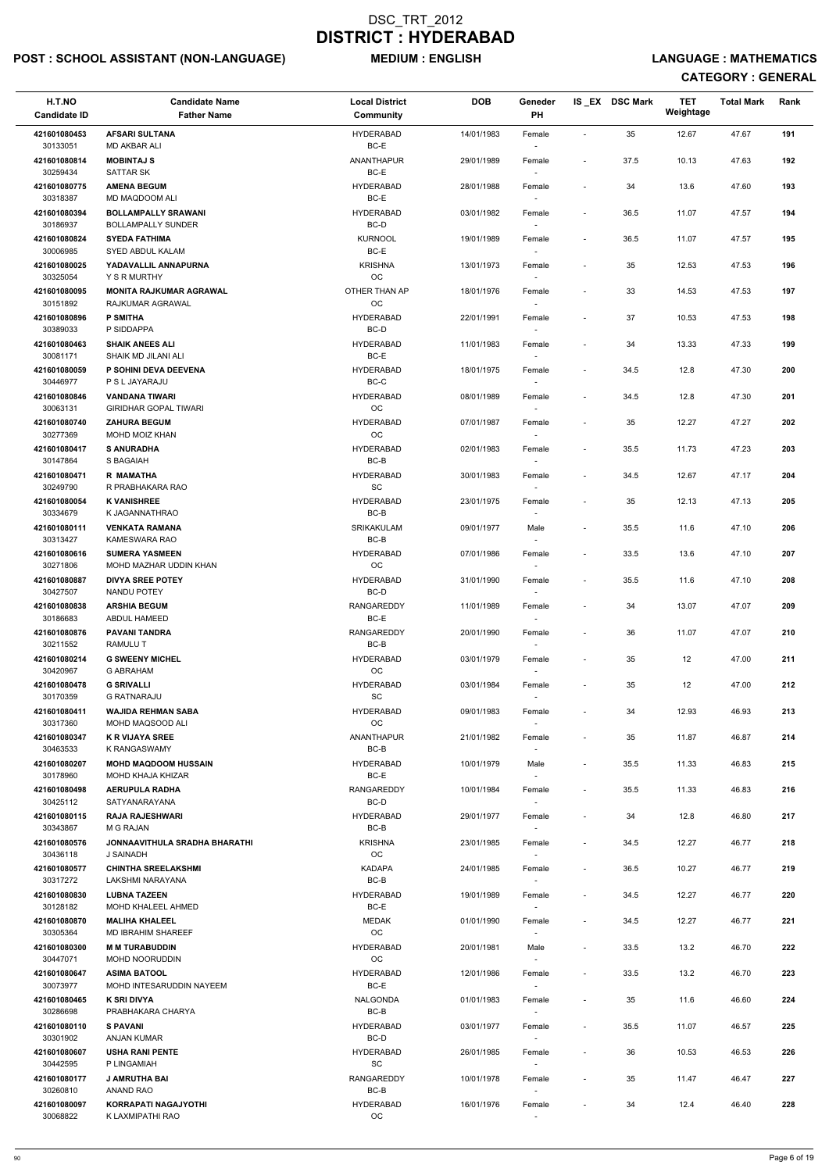## POST : SCHOOL ASSISTANT (NON-LANGUAGE) MEDIUM : ENGLISH LANGUAGE : MATHEMATICS

| H.T.NO<br><b>Candidate ID</b> | <b>Candidate Name</b><br><b>Father Name</b>             | <b>Local District</b><br>Community | <b>DOB</b> | Geneder<br>PH                      |                          | IS_EX DSC Mark | <b>TET</b><br>Weightage | <b>Total Mark</b> | Rank |
|-------------------------------|---------------------------------------------------------|------------------------------------|------------|------------------------------------|--------------------------|----------------|-------------------------|-------------------|------|
|                               |                                                         |                                    |            |                                    |                          |                |                         |                   |      |
| 421601080453<br>30133051      | <b>AFSARI SULTANA</b><br><b>MD AKBAR ALI</b>            | <b>HYDERABAD</b><br>BC-E           | 14/01/1983 | Female                             | $\sim$                   | 35             | 12.67                   | 47.67             | 191  |
| 421601080814<br>30259434      | <b>MOBINTAJ S</b><br><b>SATTAR SK</b>                   | <b>ANANTHAPUR</b><br>BC-E          | 29/01/1989 | Female                             | $\overline{\phantom{a}}$ | 37.5           | 10.13                   | 47.63             | 192  |
| 421601080775<br>30318387      | <b>AMENA BEGUM</b><br>MD MAQDOOM ALI                    | <b>HYDERABAD</b><br>BC-E           | 28/01/1988 | Female                             | $\overline{\phantom{a}}$ | 34             | 13.6                    | 47.60             | 193  |
| 421601080394<br>30186937      | <b>BOLLAMPALLY SRAWANI</b><br><b>BOLLAMPALLY SUNDER</b> | <b>HYDERABAD</b><br>BC-D           | 03/01/1982 | Female<br>$\sim$                   | $\overline{\phantom{a}}$ | 36.5           | 11.07                   | 47.57             | 194  |
| 421601080824<br>30006985      | <b>SYEDA FATHIMA</b><br>SYED ABDUL KALAM                | <b>KURNOOL</b><br>BC-E             | 19/01/1989 | Female                             | $\overline{\phantom{a}}$ | 36.5           | 11.07                   | 47.57             | 195  |
| 421601080025<br>30325054      | YADAVALLIL ANNAPURNA<br>Y S R MURTHY                    | <b>KRISHNA</b><br>OC               | 13/01/1973 | Female                             | $\overline{\phantom{a}}$ | 35             | 12.53                   | 47.53             | 196  |
| 421601080095<br>30151892      | <b>MONITA RAJKUMAR AGRAWAL</b><br>RAJKUMAR AGRAWAL      | OTHER THAN AP<br>OC                | 18/01/1976 | Female                             | $\overline{\phantom{a}}$ | 33             | 14.53                   | 47.53             | 197  |
| 421601080896<br>30389033      | <b>P SMITHA</b><br>P SIDDAPPA                           | <b>HYDERABAD</b><br>BC-D           | 22/01/1991 | Female                             | $\overline{\phantom{a}}$ | 37             | 10.53                   | 47.53             | 198  |
| 421601080463                  | <b>SHAIK ANEES ALI</b>                                  | HYDERABAD                          | 11/01/1983 | Female                             | $\overline{\phantom{a}}$ | 34             | 13.33                   | 47.33             | 199  |
| 30081171                      | SHAIK MD JILANI ALI                                     | BC-E                               |            |                                    |                          |                |                         |                   |      |
| 421601080059<br>30446977      | P SOHINI DEVA DEEVENA<br>P S L JAYARAJU                 | <b>HYDERABAD</b><br>BC-C           | 18/01/1975 | Female<br>$\sim$                   | $\overline{\phantom{a}}$ | 34.5           | 12.8                    | 47.30             | 200  |
| 421601080846<br>30063131      | <b>VANDANA TIWARI</b><br><b>GIRIDHAR GOPAL TIWARI</b>   | <b>HYDERABAD</b><br>OC             | 08/01/1989 | Female                             | $\overline{\phantom{a}}$ | 34.5           | 12.8                    | 47.30             | 201  |
| 421601080740<br>30277369      | <b>ZAHURA BEGUM</b><br>MOHD MOIZ KHAN                   | <b>HYDERABAD</b><br>OC             | 07/01/1987 | Female                             | $\blacksquare$           | 35             | 12.27                   | 47.27             | 202  |
| 421601080417<br>30147864      | <b>S ANURADHA</b><br>S BAGAIAH                          | <b>HYDERABAD</b><br>BC-B           | 02/01/1983 | Female<br>$\sim$                   | $\overline{\phantom{a}}$ | 35.5           | 11.73                   | 47.23             | 203  |
| 421601080471<br>30249790      | <b>R MAMATHA</b><br>R PRABHAKARA RAO                    | <b>HYDERABAD</b><br><b>SC</b>      | 30/01/1983 | Female                             | $\overline{\phantom{a}}$ | 34.5           | 12.67                   | 47.17             | 204  |
| 421601080054<br>30334679      | <b>K VANISHREE</b><br>K JAGANNATHRAO                    | <b>HYDERABAD</b><br>BC-B           | 23/01/1975 | Female                             | $\overline{\phantom{a}}$ | 35             | 12.13                   | 47.13             | 205  |
| 421601080111<br>30313427      | <b>VENKATA RAMANA</b><br>KAMESWARA RAO                  | SRIKAKULAM<br>$BC-B$               | 09/01/1977 | Male                               | $\overline{\phantom{a}}$ | 35.5           | 11.6                    | 47.10             | 206  |
| 421601080616<br>30271806      | <b>SUMERA YASMEEN</b><br>MOHD MAZHAR UDDIN KHAN         | <b>HYDERABAD</b><br>OC             | 07/01/1986 | Female<br>$\sim$                   | $\overline{\phantom{a}}$ | 33.5           | 13.6                    | 47.10             | 207  |
| 421601080887<br>30427507      | <b>DIVYA SREE POTEY</b><br>NANDU POTEY                  | <b>HYDERABAD</b><br>BC-D           | 31/01/1990 | Female                             | $\overline{\phantom{a}}$ | 35.5           | 11.6                    | 47.10             | 208  |
| 421601080838                  | <b>ARSHIA BEGUM</b>                                     | RANGAREDDY                         | 11/01/1989 | Female                             | $\overline{\phantom{a}}$ | 34             | 13.07                   | 47.07             | 209  |
| 30186683<br>421601080876      | <b>ABDUL HAMEED</b><br><b>PAVANI TANDRA</b>             | BC-E<br><b>RANGAREDDY</b>          | 20/01/1990 | Female                             | $\overline{\phantom{a}}$ | 36             | 11.07                   | 47.07             | 210  |
| 30211552<br>421601080214      | <b>RAMULU T</b><br><b>G SWEENY MICHEL</b>               | BC-B<br><b>HYDERABAD</b>           | 03/01/1979 | $\sim$<br>Female                   | $\overline{\phantom{a}}$ | 35             | 12                      | 47.00             | 211  |
| 30420967<br>421601080478      | <b>G ABRAHAM</b><br><b>G SRIVALLI</b>                   | OC<br><b>HYDERABAD</b>             | 03/01/1984 | $\overline{\phantom{a}}$<br>Female | $\overline{\phantom{a}}$ | 35             | 12                      | 47.00             | 212  |
| 30170359<br>421601080411      | <b>G RATNARAJU</b><br><b>WAJIDA REHMAN SABA</b>         | <b>SC</b><br><b>HYDERABAD</b>      | 09/01/1983 | $\sim$<br>Female                   | $\overline{\phantom{a}}$ | 34             | 12.93                   | 46.93             | 213  |
| 30317360<br>421601080347      | MOHD MAQSOOD ALI<br><b>K R VIJAYA SREE</b>              | OC<br><b>ANANTHAPUR</b>            | 21/01/1982 | Female                             | $\overline{\phantom{a}}$ | 35             | 11.87                   | 46.87             | 214  |
| 30463533<br>421601080207      | K RANGASWAMY<br><b>MOHD MAQDOOM HUSSAIN</b>             | BC-B<br>HYDERABAD                  | 10/01/1979 | Male                               | $\overline{\phantom{a}}$ | 35.5           | 11.33                   | 46.83             | 215  |
| 30178960<br>421601080498      | MOHD KHAJA KHIZAR<br><b>AERUPULA RADHA</b>              | BC-E<br>RANGAREDDY                 | 10/01/1984 |                                    | $\overline{\phantom{a}}$ | 35.5           | 11.33                   | 46.83             | 216  |
| 30425112                      | SATYANARAYANA                                           | BC-D                               |            | Female<br>$\sim$                   |                          |                |                         |                   |      |
| 421601080115<br>30343867      | <b>RAJA RAJESHWARI</b><br>M G RAJAN                     | <b>HYDERABAD</b><br>BC-B           | 29/01/1977 | Female                             |                          | 34             | 12.8                    | 46.80             | 217  |
| 421601080576<br>30436118      | <b>JONNAAVITHULA SRADHA BHARATHI</b><br>J SAINADH       | <b>KRISHNA</b><br>OC               | 23/01/1985 | Female                             | $\overline{\phantom{a}}$ | 34.5           | 12.27                   | 46.77             | 218  |
| 421601080577                  | <b>CHINTHA SREELAKSHMI</b>                              | <b>KADAPA</b>                      | 24/01/1985 | Female                             | $\overline{\phantom{a}}$ | 36.5           | 10.27                   | 46.77             | 219  |
| 30317272<br>421601080830      | LAKSHMI NARAYANA<br><b>LUBNA TAZEEN</b>                 | BC-B<br><b>HYDERABAD</b>           | 19/01/1989 | $\sim$<br>Female                   | $\overline{\phantom{a}}$ | 34.5           | 12.27                   | 46.77             | 220  |
| 30128182                      | <b>MOHD KHALEEL AHMED</b>                               | BC-E                               |            | $\sim$                             |                          |                |                         |                   |      |
| 421601080870<br>30305364      | <b>MALIHA KHALEEL</b><br>MD IBRAHIM SHAREEF             | <b>MEDAK</b><br>OC                 | 01/01/1990 | Female                             | $\overline{\phantom{a}}$ | 34.5           | 12.27                   | 46.77             | 221  |
| 421601080300                  | <b>M M TURABUDDIN</b>                                   | <b>HYDERABAD</b>                   | 20/01/1981 | Male                               | $\overline{\phantom{a}}$ | 33.5           | 13.2                    | 46.70             | 222  |
| 30447071                      | MOHD NOORUDDIN                                          | OC                                 |            |                                    |                          |                |                         |                   |      |
| 421601080647<br>30073977      | <b>ASIMA BATOOL</b><br>MOHD INTESARUDDIN NAYEEM         | <b>HYDERABAD</b><br>BC-E           | 12/01/1986 | Female<br>$\sim$                   | $\overline{\phantom{a}}$ | 33.5           | 13.2                    | 46.70             | 223  |
| 421601080465<br>30286698      | <b>K SRI DIVYA</b><br>PRABHAKARA CHARYA                 | <b>NALGONDA</b><br>BC-B            | 01/01/1983 | Female                             |                          | 35             | 11.6                    | 46.60             | 224  |
| 421601080110<br>30301902      | <b>S PAVANI</b><br><b>ANJAN KUMAR</b>                   | <b>HYDERABAD</b><br>BC-D           | 03/01/1977 | Female                             | $\overline{\phantom{a}}$ | 35.5           | 11.07                   | 46.57             | 225  |
| 421601080607<br>30442595      | <b>USHA RANI PENTE</b><br>P LINGAMIAH                   | <b>HYDERABAD</b><br>SC             | 26/01/1985 | Female<br>$\sim$                   | $\overline{\phantom{a}}$ | 36             | 10.53                   | 46.53             | 226  |
| 421601080177<br>30260810      | <b>J AMRUTHA BAI</b><br>ANAND RAO                       | RANGAREDDY<br>BC-B                 | 10/01/1978 | Female<br>$\sim$                   | $\overline{\phantom{a}}$ | 35             | 11.47                   | 46.47             | 227  |
| 421601080097<br>30068822      | KORRAPATI NAGAJYOTHI<br>K LAXMIPATHI RAO                | <b>HYDERABAD</b><br>OC             | 16/01/1976 | Female<br>$\overline{\phantom{a}}$ | $\overline{\phantom{a}}$ | 34             | 12.4                    | 46.40             | 228  |
|                               |                                                         |                                    |            |                                    |                          |                |                         |                   |      |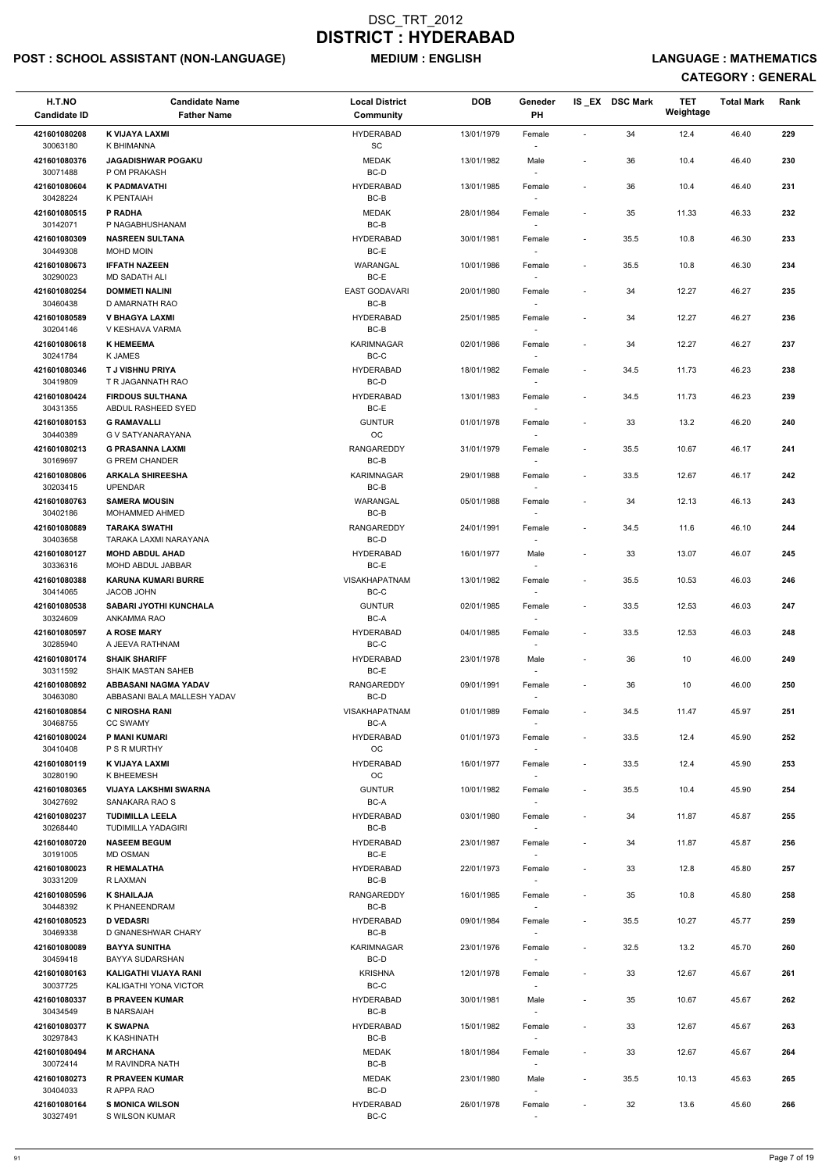## POST : SCHOOL ASSISTANT (NON-LANGUAGE) MEDIUM : ENGLISH LANGUAGE : MATHEMATICS

| H.T.NO<br><b>Candidate ID</b> | <b>Candidate Name</b><br><b>Father Name</b>          | <b>Local District</b><br><b>Community</b> | <b>DOB</b> | Geneder<br><b>PH</b>               |                          | IS_EX DSC Mark | TET<br>Weightage | <b>Total Mark</b> | Rank |
|-------------------------------|------------------------------------------------------|-------------------------------------------|------------|------------------------------------|--------------------------|----------------|------------------|-------------------|------|
|                               |                                                      |                                           |            |                                    |                          |                |                  |                   |      |
| 421601080208<br>30063180      | K VIJAYA LAXMI<br>K BHIMANNA                         | <b>HYDERABAD</b><br><b>SC</b>             | 13/01/1979 | Female                             | $\blacksquare$           | 34             | 12.4             | 46.40             | 229  |
| 421601080376<br>30071488      | <b>JAGADISHWAR POGAKU</b><br>P OM PRAKASH            | <b>MEDAK</b><br>BC-D                      | 13/01/1982 | Male<br>$\overline{\phantom{a}}$   | $\blacksquare$           | 36             | 10.4             | 46.40             | 230  |
| 421601080604<br>30428224      | K PADMAVATHI<br>K PENTAIAH                           | <b>HYDERABAD</b><br>BC-B                  | 13/01/1985 | Female                             | $\overline{\phantom{a}}$ | 36             | 10.4             | 46.40             | 231  |
| 421601080515<br>30142071      | P RADHA<br>P NAGABHUSHANAM                           | <b>MEDAK</b><br>$BC-B$                    | 28/01/1984 | Female<br>$\sim$                   | $\overline{\phantom{a}}$ | 35             | 11.33            | 46.33             | 232  |
| 421601080309<br>30449308      | <b>NASREEN SULTANA</b><br>MOHD MOIN                  | <b>HYDERABAD</b><br>BC-E                  | 30/01/1981 | Female                             | $\overline{\phantom{a}}$ | 35.5           | 10.8             | 46.30             | 233  |
| 421601080673<br>30290023      | <b>IFFATH NAZEEN</b><br><b>MD SADATH ALI</b>         | WARANGAL<br>BC-E                          | 10/01/1986 | Female<br>$\sim$                   | $\overline{\phantom{a}}$ | 35.5           | 10.8             | 46.30             | 234  |
| 421601080254<br>30460438      | <b>DOMMETI NALINI</b><br>D AMARNATH RAO              | <b>EAST GODAVARI</b><br>BC-B              | 20/01/1980 | Female                             |                          | 34             | 12.27            | 46.27             | 235  |
| 421601080589<br>30204146      | <b>V BHAGYA LAXMI</b><br>V KESHAVA VARMA             | <b>HYDERABAD</b><br>BC-B                  | 25/01/1985 | Female                             | $\overline{\phantom{a}}$ | 34             | 12.27            | 46.27             | 236  |
| 421601080618                  | <b>K HEMEEMA</b>                                     | <b>KARIMNAGAR</b>                         | 02/01/1986 | Female                             | $\overline{\phantom{a}}$ | 34             | 12.27            | 46.27             | 237  |
| 30241784                      | K JAMES                                              | BC-C                                      |            | $\sim$                             |                          |                |                  |                   |      |
| 421601080346<br>30419809      | T J VISHNU PRIYA<br>T R JAGANNATH RAO                | <b>HYDERABAD</b><br>BC-D                  | 18/01/1982 | Female<br>$\sim$                   | $\overline{\phantom{a}}$ | 34.5           | 11.73            | 46.23             | 238  |
| 421601080424<br>30431355      | <b>FIRDOUS SULTHANA</b><br>ABDUL RASHEED SYED        | <b>HYDERABAD</b><br>BC-E                  | 13/01/1983 | Female                             | $\overline{\phantom{a}}$ | 34.5           | 11.73            | 46.23             | 239  |
| 421601080153<br>30440389      | <b>G RAMAVALLI</b><br>G V SATYANARAYANA              | <b>GUNTUR</b><br><b>OC</b>                | 01/01/1978 | Female                             | $\overline{\phantom{a}}$ | 33             | 13.2             | 46.20             | 240  |
| 421601080213<br>30169697      | <b>G PRASANNA LAXMI</b><br><b>G PREM CHANDER</b>     | RANGAREDDY<br>BC-B                        | 31/01/1979 | Female<br>$\sim$                   | $\overline{\phantom{a}}$ | 35.5           | 10.67            | 46.17             | 241  |
| 421601080806<br>30203415      | <b>ARKALA SHIREESHA</b><br><b>UPENDAR</b>            | <b>KARIMNAGAR</b><br>BC-B                 | 29/01/1988 | Female                             | $\overline{\phantom{a}}$ | 33.5           | 12.67            | 46.17             | 242  |
| 421601080763<br>30402186      | <b>SAMERA MOUSIN</b><br>MOHAMMED AHMED               | WARANGAL<br>BC-B                          | 05/01/1988 | Female                             | $\overline{\phantom{a}}$ | 34             | 12.13            | 46.13             | 243  |
| 421601080889<br>30403658      | <b>TARAKA SWATHI</b><br>TARAKA LAXMI NARAYANA        | RANGAREDDY<br>BC-D                        | 24/01/1991 | Female                             | $\overline{\phantom{a}}$ | 34.5           | 11.6             | 46.10             | 244  |
| 421601080127<br>30336316      | <b>MOHD ABDUL AHAD</b><br>MOHD ABDUL JABBAR          | <b>HYDERABAD</b><br>BC-E                  | 16/01/1977 | Male<br>$\sim$                     | $\overline{\phantom{a}}$ | 33             | 13.07            | 46.07             | 245  |
| 421601080388<br>30414065      | <b>KARUNA KUMARI BURRE</b><br>JACOB JOHN             | <b>VISAKHAPATNAM</b><br>BC-C              | 13/01/1982 | Female                             | $\overline{\phantom{a}}$ | 35.5           | 10.53            | 46.03             | 246  |
| 421601080538                  | <b>SABARI JYOTHI KUNCHALA</b>                        | <b>GUNTUR</b>                             | 02/01/1985 | Female                             | $\overline{\phantom{a}}$ | 33.5           | 12.53            | 46.03             | 247  |
| 30324609<br>421601080597      | <b>ANKAMMA RAO</b><br><b>A ROSE MARY</b>             | BC-A<br><b>HYDERABAD</b>                  | 04/01/1985 | Female                             | $\overline{\phantom{a}}$ | 33.5           | 12.53            | 46.03             | 248  |
| 30285940<br>421601080174      | A JEEVA RATHNAM<br><b>SHAIK SHARIFF</b>              | BC-C<br><b>HYDERABAD</b>                  | 23/01/1978 | $\sim$<br>Male                     | $\overline{\phantom{a}}$ | 36             | 10               | 46.00             | 249  |
| 30311592<br>421601080892      | <b>SHAIK MASTAN SAHEB</b><br>ABBASANI NAGMA YADAV    | BC-E<br>RANGAREDDY                        | 09/01/1991 | $\sim$<br>Female                   | $\overline{\phantom{a}}$ | 36             | 10               | 46.00             | 250  |
| 30463080<br>421601080854      | ABBASANI BALA MALLESH YADAV<br><b>C NIROSHA RANI</b> | BC-D<br><b>VISAKHAPATNAM</b>              | 01/01/1989 | $\sim$<br>Female                   | $\overline{\phantom{a}}$ | 34.5           | 11.47            | 45.97             | 251  |
| 30468755<br>421601080024      | <b>CC SWAMY</b><br>P MANI KUMARI                     | BC-A<br><b>HYDERABAD</b>                  | 01/01/1973 | Female                             | $\blacksquare$           | 33.5           | 12.4             | 45.90             | 252  |
| 30410408<br>421601080119      | P S R MURTHY                                         | <b>OC</b><br><b>HYDERABAD</b>             | 16/01/1977 | $\sim$                             |                          | 33.5           | 12.4             | 45.90             | 253  |
| 30280190                      | K VIJAYA LAXMI<br>K BHEEMESH                         | ОC                                        |            | Female<br>$\overline{\phantom{a}}$ | $\overline{\phantom{a}}$ |                |                  |                   |      |
| 421601080365<br>30427692      | <b>VIJAYA LAKSHMI SWARNA</b><br>SANAKARA RAO S       | <b>GUNTUR</b><br>BC-A                     | 10/01/1982 | Female<br>$\sim$                   | $\overline{\phantom{a}}$ | 35.5           | 10.4             | 45.90             | 254  |
| 421601080237<br>30268440      | <b>TUDIMILLA LEELA</b><br><b>TUDIMILLA YADAGIRI</b>  | <b>HYDERABAD</b><br>BC-B                  | 03/01/1980 | Female                             | $\blacksquare$           | 34             | 11.87            | 45.87             | 255  |
| 421601080720<br>30191005      | <b>NASEEM BEGUM</b><br><b>MD OSMAN</b>               | <b>HYDERABAD</b><br>BC-E                  | 23/01/1987 | Female                             | $\overline{\phantom{a}}$ | 34             | 11.87            | 45.87             | 256  |
| 421601080023                  | <b>R HEMALATHA</b>                                   | <b>HYDERABAD</b>                          | 22/01/1973 | Female                             | $\overline{\phantom{a}}$ | 33             | 12.8             | 45.80             | 257  |
| 30331209<br>421601080596      | R LAXMAN<br><b>K SHAILAJA</b>                        | BC-B<br>RANGAREDDY                        | 16/01/1985 | $\sim$<br>Female                   | $\overline{\phantom{a}}$ | 35             | 10.8             | 45.80             | 258  |
| 30448392                      | <b>K PHANEENDRAM</b>                                 | BC-B                                      |            | $\overline{\phantom{a}}$           |                          |                |                  |                   |      |
| 421601080523<br>30469338      | <b>D VEDASRI</b><br>D GNANESHWAR CHARY               | <b>HYDERABAD</b><br>BC-B                  | 09/01/1984 | Female<br>$\sim$                   | $\overline{\phantom{a}}$ | 35.5           | 10.27            | 45.77             | 259  |
| 421601080089                  | <b>BAYYA SUNITHA</b><br>BAYYA SUDARSHAN              | <b>KARIMNAGAR</b>                         | 23/01/1976 | Female                             | $\blacksquare$           | 32.5           | 13.2             | 45.70             | 260  |
| 30459418<br>421601080163      | <b>KALIGATHI VIJAYA RANI</b>                         | BC-D<br><b>KRISHNA</b>                    | 12/01/1978 | Female                             | $\blacksquare$           | 33             | 12.67            | 45.67             | 261  |
| 30037725<br>421601080337      | KALIGATHI YONA VICTOR<br><b>B PRAVEEN KUMAR</b>      | $BC-C$<br><b>HYDERABAD</b>                | 30/01/1981 | $\overline{\phantom{a}}$<br>Male   |                          | 35             | 10.67            | 45.67             | 262  |
| 30434549<br>421601080377      | <b>B NARSAIAH</b><br><b>K SWAPNA</b>                 | BC-B<br><b>HYDERABAD</b><br>BC-B          | 15/01/1982 | Female                             | $\overline{\phantom{a}}$ | 33             | 12.67            | 45.67             | 263  |
| 30297843<br>421601080494      | K KASHINATH<br><b>M ARCHANA</b>                      | <b>MEDAK</b>                              | 18/01/1984 | Female                             | $\overline{\phantom{a}}$ | 33             | 12.67            | 45.67             | 264  |
| 30072414<br>421601080273      | M RAVINDRA NATH<br>R PRAVEEN KUMAR                   | BC-B<br><b>MEDAK</b>                      | 23/01/1980 | $\overline{\phantom{a}}$<br>Male   | $\overline{\phantom{a}}$ | 35.5           | 10.13            | 45.63             | 265  |
| 30404033<br>421601080164      | R APPA RAO<br><b>S MONICA WILSON</b>                 | BC-D<br><b>HYDERABAD</b>                  | 26/01/1978 | $\sim$<br>Female                   | $\overline{\phantom{a}}$ | 32             | 13.6             | 45.60             | 266  |
| 30327491                      | S WILSON KUMAR                                       | BC-C                                      |            |                                    |                          |                |                  |                   |      |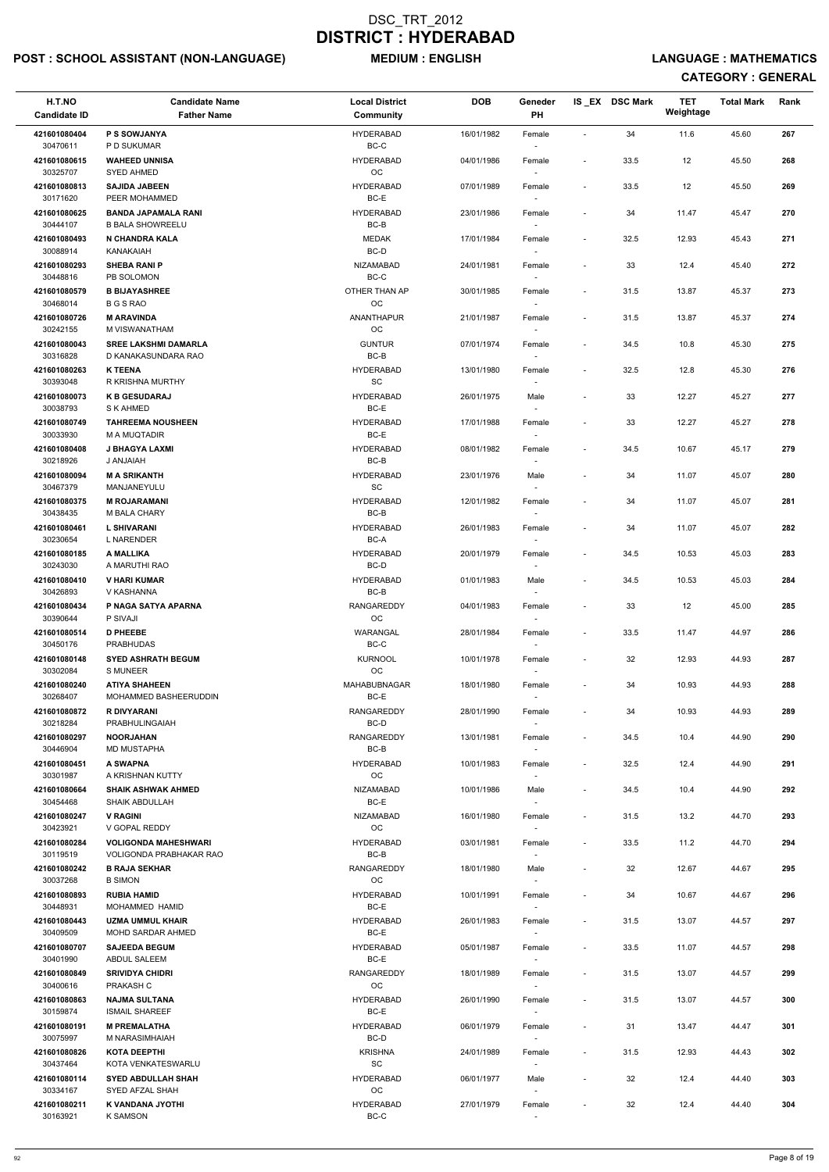## POST : SCHOOL ASSISTANT (NON-LANGUAGE) MEDIUM : ENGLISH LANGUAGE : MATHEMATICS

| H.T.NO<br><b>Candidate ID</b> | <b>Candidate Name</b><br><b>Father Name</b>            | <b>Local District</b><br><b>Community</b> | <b>DOB</b> | Geneder<br>PH                      |                          | IS EX DSC Mark | <b>TET</b><br>Weightage | <b>Total Mark</b> | Rank |
|-------------------------------|--------------------------------------------------------|-------------------------------------------|------------|------------------------------------|--------------------------|----------------|-------------------------|-------------------|------|
| 421601080404                  | P S SOWJANYA                                           | <b>HYDERABAD</b>                          | 16/01/1982 | Female                             | $\overline{\phantom{a}}$ | 34             | 11.6                    | 45.60             | 267  |
| 30470611<br>421601080615      | P D SUKUMAR<br><b>WAHEED UNNISA</b>                    | $BC-C$<br><b>HYDERABAD</b>                | 04/01/1986 | Female                             | $\overline{\phantom{a}}$ | 33.5           | 12                      | 45.50             | 268  |
| 30325707<br>421601080813      | <b>SYED AHMED</b><br><b>SAJIDA JABEEN</b>              | <b>OC</b><br><b>HYDERABAD</b>             | 07/01/1989 | Female                             | $\overline{\phantom{a}}$ | 33.5           | 12                      | 45.50             | 269  |
| 30171620<br>421601080625      | PEER MOHAMMED<br><b>BANDA JAPAMALA RANI</b>            | BC-E<br><b>HYDERABAD</b>                  | 23/01/1986 | Female                             | $\overline{\phantom{a}}$ | 34             | 11.47                   | 45.47             | 270  |
| 30444107<br>421601080493      | <b>B BALA SHOWREELU</b><br>N CHANDRA KALA              | BC-B<br><b>MEDAK</b>                      | 17/01/1984 | Female                             | $\overline{\phantom{a}}$ | 32.5           | 12.93                   | 45.43             | 271  |
| 30088914                      | KANAKAIAH                                              | BC-D                                      |            |                                    |                          |                |                         |                   |      |
| 421601080293<br>30448816      | <b>SHEBA RANI P</b><br>PB SOLOMON                      | NIZAMABAD<br>BC-C                         | 24/01/1981 | Female                             | $\overline{\phantom{a}}$ | 33             | 12.4                    | 45.40             | 272  |
| 421601080579<br>30468014      | <b>B BIJAYASHREE</b><br><b>B G S RAO</b>               | OTHER THAN AP<br>OC                       | 30/01/1985 | Female                             | $\overline{\phantom{a}}$ | 31.5           | 13.87                   | 45.37             | 273  |
| 421601080726<br>30242155      | <b>M ARAVINDA</b><br>M VISWANATHAM                     | <b>ANANTHAPUR</b><br>OC                   | 21/01/1987 | Female                             | $\overline{\phantom{a}}$ | 31.5           | 13.87                   | 45.37             | 274  |
| 421601080043<br>30316828      | <b>SREE LAKSHMI DAMARLA</b><br>D KANAKASUNDARA RAO     | <b>GUNTUR</b><br>BC-B                     | 07/01/1974 | Female<br>$\overline{\phantom{a}}$ | $\overline{\phantom{a}}$ | 34.5           | 10.8                    | 45.30             | 275  |
| 421601080263                  | <b>K TEENA</b>                                         | <b>HYDERABAD</b>                          | 13/01/1980 | Female                             | $\overline{\phantom{a}}$ | 32.5           | 12.8                    | 45.30             | 276  |
| 30393048<br>421601080073      | R KRISHNA MURTHY<br><b>K B GESUDARAJ</b>               | <b>SC</b><br><b>HYDERABAD</b>             | 26/01/1975 | Male                               | $\overline{\phantom{a}}$ | 33             | 12.27                   | 45.27             | 277  |
| 30038793<br>421601080749      | S K AHMED<br><b>TAHREEMA NOUSHEEN</b>                  | BC-E<br><b>HYDERABAD</b>                  | 17/01/1988 | Female                             | $\overline{\phantom{a}}$ | 33             | 12.27                   | 45.27             | 278  |
| 30033930                      | M A MUQTADIR                                           | BC-E                                      |            |                                    |                          |                |                         |                   |      |
| 421601080408<br>30218926      | J BHAGYA LAXMI<br><b>HAIANA U</b>                      | <b>HYDERABAD</b><br>BC-B                  | 08/01/1982 | Female                             | $\overline{\phantom{a}}$ | 34.5           | 10.67                   | 45.17             | 279  |
| 421601080094<br>30467379      | <b>M A SRIKANTH</b><br>MANJANEYULU                     | <b>HYDERABAD</b><br>SC                    | 23/01/1976 | Male                               | $\overline{a}$           | 34             | 11.07                   | 45.07             | 280  |
| 421601080375<br>30438435      | <b>M ROJARAMANI</b><br>M BALA CHARY                    | <b>HYDERABAD</b><br>BC-B                  | 12/01/1982 | Female                             | $\overline{\phantom{a}}$ | 34             | 11.07                   | 45.07             | 281  |
| 421601080461<br>30230654      | <b>L SHIVARANI</b><br><b>L NARENDER</b>                | <b>HYDERABAD</b><br>$BC-A$                | 26/01/1983 | Female                             | $\overline{\phantom{a}}$ | 34             | 11.07                   | 45.07             | 282  |
| 421601080185                  | A MALLIKA                                              | <b>HYDERABAD</b>                          | 20/01/1979 | Female                             | $\overline{\phantom{a}}$ | 34.5           | 10.53                   | 45.03             | 283  |
| 30243030<br>421601080410      | A MARUTHI RAO<br><b>V HARI KUMAR</b>                   | BC-D<br><b>HYDERABAD</b>                  | 01/01/1983 | $\overline{\phantom{a}}$<br>Male   | $\overline{\phantom{a}}$ | 34.5           | 10.53                   | 45.03             | 284  |
| 30426893<br>421601080434      | V KASHANNA<br>P NAGA SATYA APARNA                      | BC-B<br><b>RANGAREDDY</b>                 | 04/01/1983 | $\overline{\phantom{a}}$<br>Female | $\overline{\phantom{a}}$ | 33             | 12                      | 45.00             | 285  |
| 30390644<br>421601080514      | P SIVAJI<br><b>D PHEEBE</b>                            | OC.<br>WARANGAL                           | 28/01/1984 | Female                             | $\overline{\phantom{a}}$ | 33.5           | 11.47                   | 44.97             | 286  |
| 30450176<br>421601080148      | <b>PRABHUDAS</b><br><b>SYED ASHRATH BEGUM</b>          | BC-C<br><b>KURNOOL</b>                    | 10/01/1978 |                                    | $\overline{\phantom{a}}$ | 32             | 12.93                   | 44.93             | 287  |
| 30302084                      | <b>S MUNEER</b>                                        | <b>OC</b>                                 |            | Female                             |                          |                |                         |                   |      |
| 421601080240<br>30268407      | <b>ATIYA SHAHEEN</b><br>MOHAMMED BASHEERUDDIN          | MAHABUBNAGAR<br>BC-E                      | 18/01/1980 | Female                             | $\overline{\phantom{a}}$ | 34             | 10.93                   | 44.93             | 288  |
| 421601080872<br>30218284      | <b>R DIVYARANI</b><br>PRABHULINGAIAH                   | RANGAREDDY<br>BC-D                        | 28/01/1990 | Female                             | $\overline{\phantom{a}}$ | 34             | 10.93                   | 44.93             | 289  |
| 421601080297<br>30446904      | <b>NOORJAHAN</b><br><b>MD MUSTAPHA</b>                 | RANGAREDDY<br>BC-B                        | 13/01/1981 | Female                             | $\overline{\phantom{a}}$ | 34.5           | 10.4                    | 44.90             | 290  |
| 421601080451<br>30301987      | A SWAPNA<br>A KRISHNAN KUTTY                           | <b>HYDERABAD</b><br>OC                    | 10/01/1983 | Female<br>$\overline{\phantom{a}}$ | $\overline{\phantom{a}}$ | 32.5           | 12.4                    | 44.90             | 291  |
| 421601080664                  | <b>SHAIK ASHWAK AHMED</b>                              | NIZAMABAD                                 | 10/01/1986 | Male                               | $\overline{\phantom{a}}$ | 34.5           | 10.4                    | 44.90             | 292  |
| 30454468<br>421601080247      | SHAIK ABDULLAH<br><b>V RAGINI</b>                      | BC-E<br>NIZAMABAD                         | 16/01/1980 | $\sim$<br>Female                   | $\overline{\phantom{a}}$ | 31.5           | 13.2                    | 44.70             | 293  |
| 30423921<br>421601080284      | V GOPAL REDDY<br><b>VOLIGONDA MAHESHWARI</b>           | <b>OC</b><br><b>HYDERABAD</b>             | 03/01/1981 | $\overline{\phantom{a}}$<br>Female | $\overline{\phantom{a}}$ | 33.5           | 11.2                    | 44.70             | 294  |
| 30119519<br>421601080242      | <b>VOLIGONDA PRABHAKAR RAO</b><br><b>B RAJA SEKHAR</b> | BC-B<br>RANGAREDDY                        | 18/01/1980 | Male                               | $\overline{\phantom{a}}$ | 32             | 12.67                   | 44.67             | 295  |
| 30037268                      | <b>B SIMON</b>                                         | OC                                        |            | $\overline{\phantom{a}}$           |                          |                |                         |                   |      |
| 421601080893<br>30448931      | <b>RUBIA HAMID</b><br>MOHAMMED HAMID                   | <b>HYDERABAD</b><br>BC-E                  | 10/01/1991 | Female<br>$\overline{\phantom{a}}$ | $\overline{\phantom{a}}$ | 34             | 10.67                   | 44.67             | 296  |
| 421601080443<br>30409509      | <b>UZMA UMMUL KHAIR</b><br>MOHD SARDAR AHMED           | <b>HYDERABAD</b><br>BC-E                  | 26/01/1983 | Female                             | $\overline{\phantom{a}}$ | 31.5           | 13.07                   | 44.57             | 297  |
| 421601080707<br>30401990      | <b>SAJEEDA BEGUM</b><br>ABDUL SALEEM                   | <b>HYDERABAD</b><br>BC-E                  | 05/01/1987 | Female                             | $\overline{\phantom{a}}$ | 33.5           | 11.07                   | 44.57             | 298  |
| 421601080849<br>30400616      | <b>SRIVIDYA CHIDRI</b><br>PRAKASH C                    | RANGAREDDY<br>OC                          | 18/01/1989 | Female<br>$\sim$                   | $\overline{\phantom{a}}$ | 31.5           | 13.07                   | 44.57             | 299  |
| 421601080863                  | <b>NAJMA SULTANA</b>                                   | <b>HYDERABAD</b>                          | 26/01/1990 | Female                             | $\overline{a}$           | 31.5           | 13.07                   | 44.57             | 300  |
| 30159874<br>421601080191      | <b>ISMAIL SHAREEF</b><br><b>M PREMALATHA</b>           | BC-E<br><b>HYDERABAD</b>                  | 06/01/1979 | Female                             | $\overline{\phantom{a}}$ | 31             | 13.47                   | 44.47             | 301  |
| 30075997<br>421601080826      | M NARASIMHAIAH<br><b>KOTA DEEPTHI</b>                  | BC-D<br><b>KRISHNA</b>                    | 24/01/1989 | Female                             | $\overline{\phantom{a}}$ | 31.5           | 12.93                   | 44.43             | 302  |
| 30437464<br>421601080114      | KOTA VENKATESWARLU<br><b>SYED ABDULLAH SHAH</b>        | SC<br><b>HYDERABAD</b>                    | 06/01/1977 | $\sim$<br>Male                     | $\overline{\phantom{a}}$ | 32             | 12.4                    | 44.40             | 303  |
| 30334167                      | SYED AFZAL SHAH                                        | OC                                        |            | $\sim$                             |                          |                |                         |                   |      |
| 421601080211<br>30163921      | K VANDANA JYOTHI<br><b>K SAMSON</b>                    | <b>HYDERABAD</b><br>$BC-C$                | 27/01/1979 | Female<br>$\overline{\phantom{a}}$ | $\overline{\phantom{a}}$ | 32             | 12.4                    | 44.40             | 304  |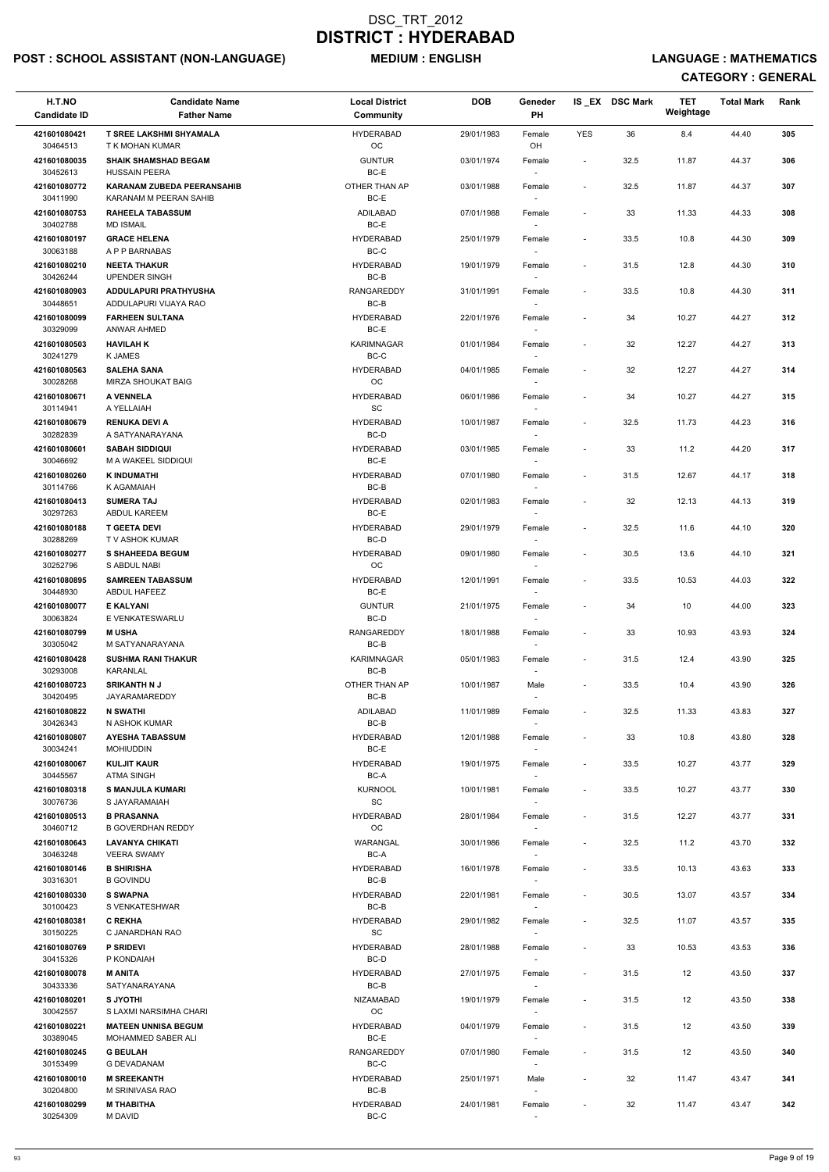## POST : SCHOOL ASSISTANT (NON-LANGUAGE) MEDIUM : ENGLISH LANGUAGE : MATHEMATICS

| H.T.NO<br><b>Candidate ID</b> | <b>Candidate Name</b><br><b>Father Name</b>               | <b>Local District</b><br>Community | <b>DOB</b> | Geneder<br>PH                      |                          | IS EX DSC Mark | <b>TET</b><br>Weightage | <b>Total Mark</b> | Rank |
|-------------------------------|-----------------------------------------------------------|------------------------------------|------------|------------------------------------|--------------------------|----------------|-------------------------|-------------------|------|
| 421601080421<br>30464513      | <b>T SREE LAKSHMI SHYAMALA</b><br>T K MOHAN KUMAR         | <b>HYDERABAD</b><br><b>OC</b>      | 29/01/1983 | Female<br>OH                       | <b>YES</b>               | 36             | 8.4                     | 44.40             | 305  |
| 421601080035                  | <b>SHAIK SHAMSHAD BEGAM</b>                               | <b>GUNTUR</b>                      | 03/01/1974 | Female                             | $\blacksquare$           | 32.5           | 11.87                   | 44.37             | 306  |
| 30452613<br>421601080772      | <b>HUSSAIN PEERA</b><br><b>KARANAM ZUBEDA PEERANSAHIB</b> | BC-E<br>OTHER THAN AP              | 03/01/1988 | Female                             | $\overline{\phantom{a}}$ | 32.5           | 11.87                   | 44.37             | 307  |
| 30411990<br>421601080753      | KARANAM M PEERAN SAHIB<br><b>RAHEELA TABASSUM</b>         | BC-E<br>ADILABAD                   | 07/01/1988 | Female                             | $\blacksquare$           | 33             | 11.33                   | 44.33             | 308  |
| 30402788<br>421601080197      | <b>MD ISMAIL</b><br><b>GRACE HELENA</b>                   | BC-E<br><b>HYDERABAD</b>           | 25/01/1979 | $\sim$<br>Female                   | $\overline{\phantom{a}}$ | 33.5           | 10.8                    | 44.30             | 309  |
| 30063188                      | A P P BARNABAS                                            | BC-C                               |            | $\sim$                             |                          |                |                         |                   |      |
| 421601080210<br>30426244      | <b>NEETA THAKUR</b><br><b>UPENDER SINGH</b>               | <b>HYDERABAD</b><br>BC-B           | 19/01/1979 | Female<br>$\overline{\phantom{a}}$ | $\overline{\phantom{a}}$ | 31.5           | 12.8                    | 44.30             | 310  |
| 421601080903<br>30448651      | ADDULAPURI PRATHYUSHA<br>ADDULAPURI VIJAYA RAO            | RANGAREDDY<br>BC-B                 | 31/01/1991 | Female                             | $\overline{\phantom{a}}$ | 33.5           | 10.8                    | 44.30             | 311  |
| 421601080099<br>30329099      | <b>FARHEEN SULTANA</b><br><b>ANWAR AHMED</b>              | <b>HYDERABAD</b><br>$BC-E$         | 22/01/1976 | Female<br>$\sim$                   | $\overline{\phantom{a}}$ | 34             | 10.27                   | 44.27             | 312  |
| 421601080503<br>30241279      | <b>HAVILAH K</b><br><b>K JAMES</b>                        | <b>KARIMNAGAR</b><br>BC-C          | 01/01/1984 | Female<br>$\sim$                   | $\overline{\phantom{a}}$ | 32             | 12.27                   | 44.27             | 313  |
| 421601080563                  | <b>SALEHA SANA</b>                                        | <b>HYDERABAD</b>                   | 04/01/1985 | Female                             | $\overline{\phantom{a}}$ | 32             | 12.27                   | 44.27             | 314  |
| 30028268                      | MIRZA SHOUKAT BAIG                                        | <b>OC</b>                          |            |                                    |                          |                |                         |                   |      |
| 421601080671<br>30114941      | A VENNELA<br>A YELLAIAH                                   | <b>HYDERABAD</b><br>SC             | 06/01/1986 | Female                             | $\blacksquare$           | 34             | 10.27                   | 44.27             | 315  |
| 421601080679                  | <b>RENUKA DEVI A</b>                                      | <b>HYDERABAD</b>                   | 10/01/1987 | Female                             | $\overline{\phantom{a}}$ | 32.5           | 11.73                   | 44.23             | 316  |
| 30282839<br>421601080601      | A SATYANARAYANA<br><b>SABAH SIDDIQUI</b>                  | BC-D<br><b>HYDERABAD</b>           | 03/01/1985 | Female                             | $\overline{\phantom{a}}$ | 33             | 11.2                    | 44.20             | 317  |
| 30046692<br>421601080260      | M A WAKEEL SIDDIQUI<br><b>K INDUMATHI</b>                 | BC-E<br><b>HYDERABAD</b>           | 07/01/1980 | $\sim$<br>Female                   | $\overline{\phantom{a}}$ | 31.5           | 12.67                   | 44.17             | 318  |
| 30114766                      | K AGAMAIAH                                                | BC-B                               |            | $\sim$                             |                          |                |                         |                   |      |
| 421601080413<br>30297263      | <b>SUMERA TAJ</b><br>ABDUL KAREEM                         | <b>HYDERABAD</b><br>BC-E           | 02/01/1983 | Female                             | $\overline{\phantom{a}}$ | 32             | 12.13                   | 44.13             | 319  |
| 421601080188<br>30288269      | <b>T GEETA DEVI</b><br>T V ASHOK KUMAR                    | <b>HYDERABAD</b><br>BC-D           | 29/01/1979 | Female<br>$\overline{\phantom{a}}$ | $\overline{\phantom{a}}$ | 32.5           | 11.6                    | 44.10             | 320  |
| 421601080277<br>30252796      | <b>S SHAHEEDA BEGUM</b><br>S ABDUL NABI                   | <b>HYDERABAD</b><br>OC             | 09/01/1980 | Female<br>$\sim$                   | $\overline{\phantom{a}}$ | 30.5           | 13.6                    | 44.10             | 321  |
| 421601080895<br>30448930      | <b>SAMREEN TABASSUM</b><br>ABDUL HAFEEZ                   | <b>HYDERABAD</b><br>BC-E           | 12/01/1991 | Female                             | $\overline{\phantom{a}}$ | 33.5           | 10.53                   | 44.03             | 322  |
| 421601080077                  | <b>E KALYANI</b>                                          | <b>GUNTUR</b>                      | 21/01/1975 | Female                             | $\overline{\phantom{a}}$ | 34             | 10                      | 44.00             | 323  |
| 30063824<br>421601080799      | E VENKATESWARLU<br><b>MUSHA</b>                           | BC-D<br><b>RANGAREDDY</b>          | 18/01/1988 | Female                             | $\overline{\phantom{a}}$ | 33             | 10.93                   | 43.93             | 324  |
| 30305042<br>421601080428      | M SATYANARAYANA<br><b>SUSHMA RANI THAKUR</b>              | BC-B<br><b>KARIMNAGAR</b>          | 05/01/1983 | $\sim$<br>Female                   | $\overline{\phantom{a}}$ | 31.5           | 12.4                    | 43.90             | 325  |
| 30293008                      | KARANLAL<br><b>SRIKANTH N J</b>                           | BC-B<br>OTHER THAN AP              |            | $\sim$                             |                          |                |                         |                   |      |
| 421601080723<br>30420495      | <b>JAYARAMAREDDY</b>                                      | BC-B                               | 10/01/1987 | Male<br>$\sim$                     | $\overline{\phantom{a}}$ | 33.5           | 10.4                    | 43.90             | 326  |
| 421601080822<br>30426343      | <b>N SWATHI</b><br>N ASHOK KUMAR                          | ADILABAD<br>BC-B                   | 11/01/1989 | Female                             | $\overline{\phantom{a}}$ | 32.5           | 11.33                   | 43.83             | 327  |
| 421601080807<br>30034241      | <b>AYESHA TABASSUM</b><br><b>MOHIUDDIN</b>                | <b>HYDERABAD</b><br>BC-E           | 12/01/1988 | Female<br>$\sim$                   | $\overline{\phantom{a}}$ | 33             | 10.8                    | 43.80             | 328  |
| 421601080067                  | <b>KULJIT KAUR</b>                                        | <b>HYDERABAD</b>                   | 19/01/1975 | Female                             | $\overline{\phantom{a}}$ | 33.5           | 10.27                   | 43.77             | 329  |
| 30445567<br>421601080318      | <b>ATMA SINGH</b><br><b>S MANJULA KUMARI</b>              | BC-A<br>KURNOOL                    | 10/01/1981 | $\sim$<br>Female                   | $\overline{\phantom{a}}$ | 33.5           | 10.27                   | 43.77             | 330  |
| 30076736<br>421601080513      | S JAYARAMAIAH<br><b>B PRASANNA</b>                        | SC<br><b>HYDERABAD</b>             | 28/01/1984 | $\sim$<br>Female                   | $\overline{\phantom{a}}$ | 31.5           | 12.27                   | 43.77             | 331  |
| 30460712                      | <b>B GOVERDHAN REDDY</b>                                  | OC                                 |            |                                    |                          |                |                         |                   |      |
| 421601080643<br>30463248      | <b>LAVANYA CHIKATI</b><br><b>VEERA SWAMY</b>              | WARANGAL<br>BC-A                   | 30/01/1986 | Female                             | $\overline{\phantom{a}}$ | 32.5           | 11.2                    | 43.70             | 332  |
| 421601080146<br>30316301      | <b>B SHIRISHA</b><br><b>B GOVINDU</b>                     | <b>HYDERABAD</b><br>BC-B           | 16/01/1978 | Female<br>$\overline{\phantom{a}}$ | $\blacksquare$           | 33.5           | 10.13                   | 43.63             | 333  |
| 421601080330                  | <b>S SWAPNA</b>                                           | <b>HYDERABAD</b>                   | 22/01/1981 | Female                             | $\overline{\phantom{a}}$ | 30.5           | 13.07                   | 43.57             | 334  |
| 30100423<br>421601080381      | S VENKATESHWAR<br><b>C REKHA</b>                          | BC-B<br><b>HYDERABAD</b>           | 29/01/1982 | $\sim$<br>Female                   | $\overline{\phantom{a}}$ | 32.5           | 11.07                   | 43.57             | 335  |
| 30150225                      | C JANARDHAN RAO                                           | SC                                 |            |                                    |                          |                |                         |                   |      |
| 421601080769<br>30415326      | <b>P SRIDEVI</b><br>P KONDAIAH                            | <b>HYDERABAD</b><br>BC-D           | 28/01/1988 | Female                             | $\overline{\phantom{a}}$ | 33             | 10.53                   | 43.53             | 336  |
| 421601080078<br>30433336      | <b>M ANITA</b><br>SATYANARAYANA                           | <b>HYDERABAD</b><br>BC-B           | 27/01/1975 | Female<br>$\sim$                   | $\overline{\phantom{a}}$ | 31.5           | 12                      | 43.50             | 337  |
| 421601080201                  | <b>S JYOTHI</b>                                           | NIZAMABAD                          | 19/01/1979 | Female                             | $\overline{\phantom{0}}$ | 31.5           | 12                      | 43.50             | 338  |
| 30042557<br>421601080221      | S LAXMI NARSIMHA CHARI<br><b>MATEEN UNNISA BEGUM</b>      | OC<br><b>HYDERABAD</b>             | 04/01/1979 | Female                             | $\overline{\phantom{a}}$ | 31.5           | 12                      | 43.50             | 339  |
| 30389045<br>421601080245      | MOHAMMED SABER ALI<br><b>G BEULAH</b>                     | BC-E<br>RANGAREDDY                 | 07/01/1980 | $\sim$<br>Female                   | $\overline{\phantom{0}}$ | 31.5           | 12                      | 43.50             | 340  |
| 30153499                      | <b>G DEVADANAM</b>                                        | BC-C                               |            |                                    |                          |                |                         |                   |      |
| 421601080010<br>30204800      | <b>M SREEKANTH</b><br>M SRINIVASA RAO                     | <b>HYDERABAD</b><br>BC-B           | 25/01/1971 | Male<br>$\sim$                     | $\overline{\phantom{a}}$ | 32             | 11.47                   | 43.47             | 341  |
| 421601080299<br>30254309      | <b>M THABITHA</b><br><b>M DAVID</b>                       | <b>HYDERABAD</b><br>BC-C           | 24/01/1981 | Female                             | $\overline{\phantom{0}}$ | 32             | 11.47                   | 43.47             | 342  |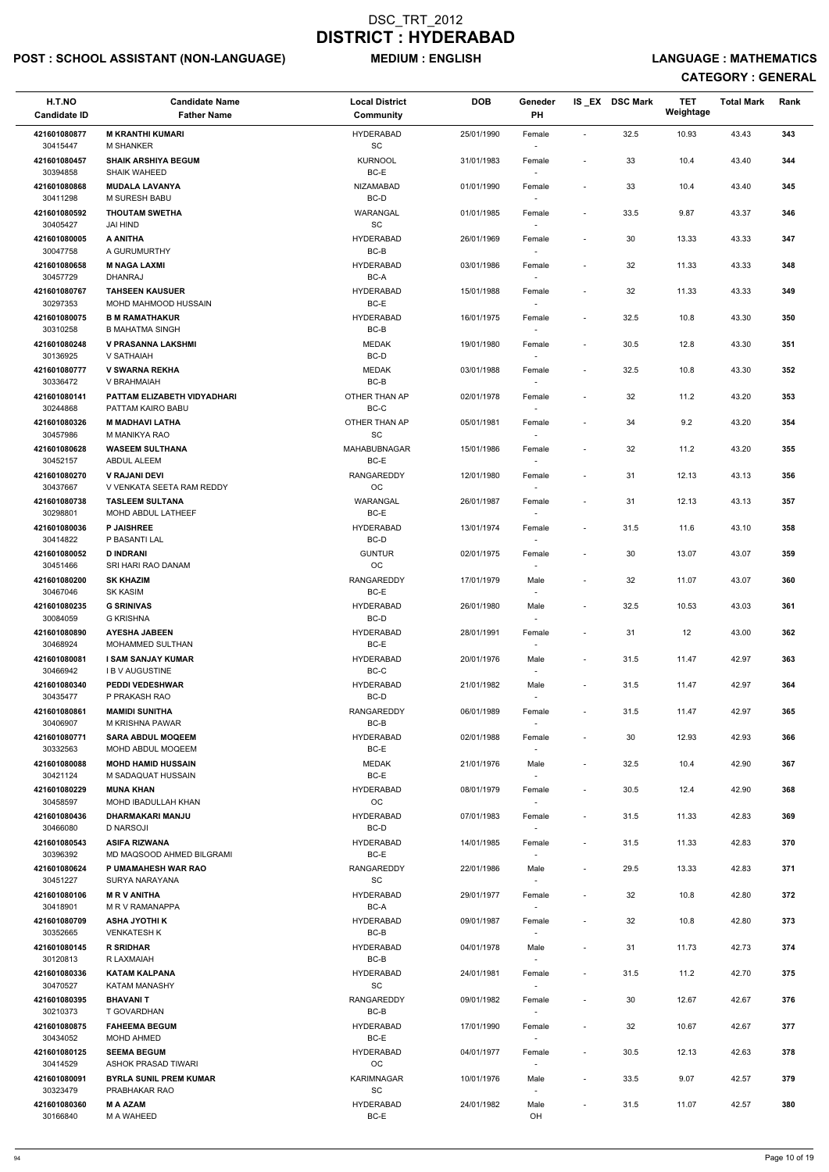## POST : SCHOOL ASSISTANT (NON-LANGUAGE) MEDIUM : ENGLISH LANGUAGE : MATHEMATICS

| H.T.NO                   | <b>Candidate Name</b>                               | <b>Local District</b>         | <b>DOB</b> | Geneder                            |                          | IS_EX DSC Mark | <b>TET</b><br>Weightage | <b>Total Mark</b> | Rank |
|--------------------------|-----------------------------------------------------|-------------------------------|------------|------------------------------------|--------------------------|----------------|-------------------------|-------------------|------|
| <b>Candidate ID</b>      | <b>Father Name</b>                                  | Community                     |            | PH                                 |                          |                |                         |                   |      |
| 421601080877<br>30415447 | <b>M KRANTHI KUMARI</b><br><b>M SHANKER</b>         | <b>HYDERABAD</b><br><b>SC</b> | 25/01/1990 | Female                             | $\overline{\phantom{a}}$ | 32.5           | 10.93                   | 43.43             | 343  |
| 421601080457<br>30394858 | <b>SHAIK ARSHIYA BEGUM</b><br><b>SHAIK WAHEED</b>   | <b>KURNOOL</b><br>BC-E        | 31/01/1983 | Female                             | $\blacksquare$           | 33             | 10.4                    | 43.40             | 344  |
| 421601080868<br>30411298 | <b>MUDALA LAVANYA</b><br>M SURESH BABU              | NIZAMABAD<br>BC-D             | 01/01/1990 | Female                             | $\overline{\phantom{a}}$ | 33             | 10.4                    | 43.40             | 345  |
| 421601080592             | <b>THOUTAM SWETHA</b>                               | WARANGAL                      | 01/01/1985 | Female                             | $\overline{\phantom{a}}$ | 33.5           | 9.87                    | 43.37             | 346  |
| 30405427<br>421601080005 | JAI HIND<br>A ANITHA                                | SC<br><b>HYDERABAD</b>        | 26/01/1969 | $\sim$<br>Female                   | $\overline{\phantom{a}}$ | 30             | 13.33                   | 43.33             | 347  |
| 30047758                 | A GURUMURTHY                                        | BC-B                          |            | $\sim$                             |                          |                |                         |                   |      |
| 421601080658<br>30457729 | <b>M NAGA LAXMI</b><br><b>DHANRAJ</b>               | <b>HYDERABAD</b><br>BC-A      | 03/01/1986 | Female<br>$\sim$                   | $\overline{\phantom{a}}$ | 32             | 11.33                   | 43.33             | 348  |
| 421601080767<br>30297353 | <b>TAHSEEN KAUSUER</b><br>MOHD MAHMOOD HUSSAIN      | <b>HYDERABAD</b><br>BC-E      | 15/01/1988 | Female                             | $\overline{\phantom{a}}$ | 32             | 11.33                   | 43.33             | 349  |
| 421601080075<br>30310258 | <b>B M RAMATHAKUR</b><br><b>B MAHATMA SINGH</b>     | <b>HYDERABAD</b><br>BC-B      | 16/01/1975 | Female<br>$\sim$                   | $\overline{\phantom{a}}$ | 32.5           | 10.8                    | 43.30             | 350  |
| 421601080248<br>30136925 | <b>V PRASANNA LAKSHMI</b><br>V SATHAIAH             | <b>MEDAK</b><br>BC-D          | 19/01/1980 | Female<br>$\sim$                   | $\blacksquare$           | 30.5           | 12.8                    | 43.30             | 351  |
| 421601080777             | <b>V SWARNA REKHA</b>                               | <b>MEDAK</b>                  | 03/01/1988 | Female                             | $\overline{\phantom{a}}$ | 32.5           | 10.8                    | 43.30             | 352  |
| 30336472                 | V BRAHMAIAH                                         | BC-B                          |            | $\sim$                             |                          |                |                         |                   |      |
| 421601080141<br>30244868 | PATTAM ELIZABETH VIDYADHARI<br>PATTAM KAIRO BABU    | OTHER THAN AP<br>BC-C         | 02/01/1978 | Female                             | $\blacksquare$           | 32             | 11.2                    | 43.20             | 353  |
| 421601080326<br>30457986 | <b>M MADHAVI LATHA</b><br>M MANIKYA RAO             | OTHER THAN AP<br><b>SC</b>    | 05/01/1981 | Female                             | $\overline{\phantom{a}}$ | 34             | 9.2                     | 43.20             | 354  |
| 421601080628<br>30452157 | <b>WASEEM SULTHANA</b><br>ABDUL ALEEM               | MAHABUBNAGAR<br>BC-E          | 15/01/1986 | Female<br>$\sim$                   | $\overline{\phantom{a}}$ | 32             | 11.2                    | 43.20             | 355  |
| 421601080270             | <b>V RAJANI DEVI</b>                                | RANGAREDDY                    | 12/01/1980 | Female                             | $\overline{\phantom{a}}$ | 31             | 12.13                   | 43.13             | 356  |
| 30437667<br>421601080738 | V VENKATA SEETA RAM REDDY<br><b>TASLEEM SULTANA</b> | <b>OC</b><br>WARANGAL         | 26/01/1987 | $\sim$<br>Female                   | $\overline{\phantom{a}}$ | 31             | 12.13                   | 43.13             | 357  |
| 30298801<br>421601080036 | MOHD ABDUL LATHEEF<br><b>P JAISHREE</b>             | BC-E<br><b>HYDERABAD</b>      | 13/01/1974 | Female                             | $\overline{\phantom{a}}$ | 31.5           | 11.6                    | 43.10             | 358  |
| 30414822                 | P BASANTI LAL                                       | BC-D                          |            |                                    |                          |                |                         |                   |      |
| 421601080052<br>30451466 | <b>D INDRANI</b><br>SRI HARI RAO DANAM              | <b>GUNTUR</b><br>OC           | 02/01/1975 | Female<br>$\sim$                   | $\overline{\phantom{a}}$ | 30             | 13.07                   | 43.07             | 359  |
| 421601080200<br>30467046 | <b>SK KHAZIM</b><br><b>SK KASIM</b>                 | RANGAREDDY<br>BC-E            | 17/01/1979 | Male                               | $\overline{\phantom{0}}$ | 32             | 11.07                   | 43.07             | 360  |
| 421601080235<br>30084059 | <b>G SRINIVAS</b><br><b>G KRISHNA</b>               | <b>HYDERABAD</b><br>BC-D      | 26/01/1980 | Male                               | $\overline{\phantom{a}}$ | 32.5           | 10.53                   | 43.03             | 361  |
| 421601080890             | <b>AYESHA JABEEN</b>                                | <b>HYDERABAD</b>              | 28/01/1991 | Female                             | $\blacksquare$           | 31             | 12                      | 43.00             | 362  |
| 30468924<br>421601080081 | <b>MOHAMMED SULTHAN</b><br>I SAM SANJAY KUMAR       | BC-E<br><b>HYDERABAD</b>      | 20/01/1976 | $\overline{\phantom{a}}$<br>Male   | $\overline{\phantom{a}}$ | 31.5           | 11.47                   | 42.97             | 363  |
| 30466942<br>421601080340 | <b>IBV AUGUSTINE</b><br><b>PEDDI VEDESHWAR</b>      | BC-C<br><b>HYDERABAD</b>      | 21/01/1982 | Male                               | $\overline{\phantom{a}}$ | 31.5           | 11.47                   | 42.97             | 364  |
| 30435477                 | P PRAKASH RAO                                       | BC-D                          |            | $\sim$                             |                          |                |                         |                   |      |
| 421601080861<br>30406907 | <b>MAMIDI SUNITHA</b><br>M KRISHNA PAWAR            | RANGAREDDY<br>BC-B            | 06/01/1989 | Female                             | $\overline{\phantom{a}}$ | 31.5           | 11.47                   | 42.97             | 365  |
| 421601080771<br>30332563 | <b>SARA ABDUL MOQEEM</b><br>MOHD ABDUL MOQEEM       | <b>HYDERABAD</b><br>BC-E      | 02/01/1988 | Female                             | $\overline{\phantom{a}}$ | 30             | 12.93                   | 42.93             | 366  |
| 421601080088<br>30421124 | <b>MOHD HAMID HUSSAIN</b><br>M SADAQUAT HUSSAIN     | <b>MEDAK</b><br>BC-E          | 21/01/1976 | Male                               | $\overline{\phantom{a}}$ | 32.5           | 10.4                    | 42.90             | 367  |
| 421601080229<br>30458597 | <b>MUNA KHAN</b><br>MOHD IBADULLAH KHAN             | <b>HYDERABAD</b><br><b>OC</b> | 08/01/1979 | Female<br>$\overline{\phantom{a}}$ | $\overline{\phantom{a}}$ | 30.5           | 12.4                    | 42.90             | 368  |
| 421601080436             | DHARMAKARI MANJU                                    | <b>HYDERABAD</b>              | 07/01/1983 | Female                             | $\overline{\phantom{a}}$ | 31.5           | 11.33                   | 42.83             | 369  |
| 30466080<br>421601080543 | D NARSOJI<br><b>ASIFA RIZWANA</b>                   | BC-D<br><b>HYDERABAD</b>      | 14/01/1985 | Female                             | $\overline{\phantom{a}}$ | 31.5           | 11.33                   | 42.83             | 370  |
| 30396392<br>421601080624 | MD MAQSOOD AHMED BILGRAMI<br>P UMAMAHESH WAR RAO    | BC-E<br><b>RANGAREDDY</b>     | 22/01/1986 | Male                               | $\overline{\phantom{a}}$ | 29.5           | 13.33                   | 42.83             | 371  |
| 30451227                 | SURYA NARAYANA                                      | SC                            |            | $\overline{\phantom{a}}$           |                          |                |                         |                   |      |
| 421601080106<br>30418901 | <b>MRVANITHA</b><br>M R V RAMANAPPA                 | <b>HYDERABAD</b><br>BC-A      | 29/01/1977 | Female                             | $\overline{\phantom{a}}$ | 32             | 10.8                    | 42.80             | 372  |
| 421601080709             | <b>ASHA JYOTHI K</b>                                | <b>HYDERABAD</b>              | 09/01/1987 | Female                             | $\overline{\phantom{a}}$ | 32             | 10.8                    | 42.80             | 373  |
| 30352665<br>421601080145 | <b>VENKATESH K</b><br><b>R SRIDHAR</b>              | BC-B<br><b>HYDERABAD</b>      | 04/01/1978 | Male                               | $\overline{\phantom{a}}$ | 31             | 11.73                   | 42.73             | 374  |
| 30120813<br>421601080336 | R LAXMAIAH<br><b>KATAM KALPANA</b>                  | $BC-B$<br><b>HYDERABAD</b>    | 24/01/1981 | Female                             | $\overline{\phantom{a}}$ | 31.5           | 11.2                    | 42.70             | 375  |
| 30470527                 | <b>KATAM MANASHY</b>                                | SC                            |            | $\sim$                             |                          |                |                         |                   |      |
| 421601080395<br>30210373 | <b>BHAVANIT</b><br>T GOVARDHAN                      | RANGAREDDY<br>BC-B            | 09/01/1982 | Female                             |                          | 30             | 12.67                   | 42.67             | 376  |
| 421601080875<br>30434052 | <b>FAHEEMA BEGUM</b><br><b>MOHD AHMED</b>           | <b>HYDERABAD</b><br>BC-E      | 17/01/1990 | Female                             | $\overline{\phantom{a}}$ | 32             | 10.67                   | 42.67             | 377  |
| 421601080125<br>30414529 | <b>SEEMA BEGUM</b><br>ASHOK PRASAD TIWARI           | <b>HYDERABAD</b><br>ОC        | 04/01/1977 | Female                             | $\overline{\phantom{a}}$ | 30.5           | 12.13                   | 42.63             | 378  |
| 421601080091             | <b>BYRLA SUNIL PREM KUMAR</b>                       | KARIMNAGAR                    | 10/01/1976 | $\overline{\phantom{a}}$<br>Male   | $\overline{\phantom{a}}$ | 33.5           | 9.07                    | 42.57             | 379  |
| 30323479<br>421601080360 | PRABHAKAR RAO<br><b>M A AZAM</b>                    | SC<br><b>HYDERABAD</b>        | 24/01/1982 | $\sim$<br>Male                     | $\overline{\phantom{a}}$ | 31.5           | 11.07                   | 42.57             | 380  |
| 30166840                 | M A WAHEED                                          | BC-E                          |            | OH                                 |                          |                |                         |                   |      |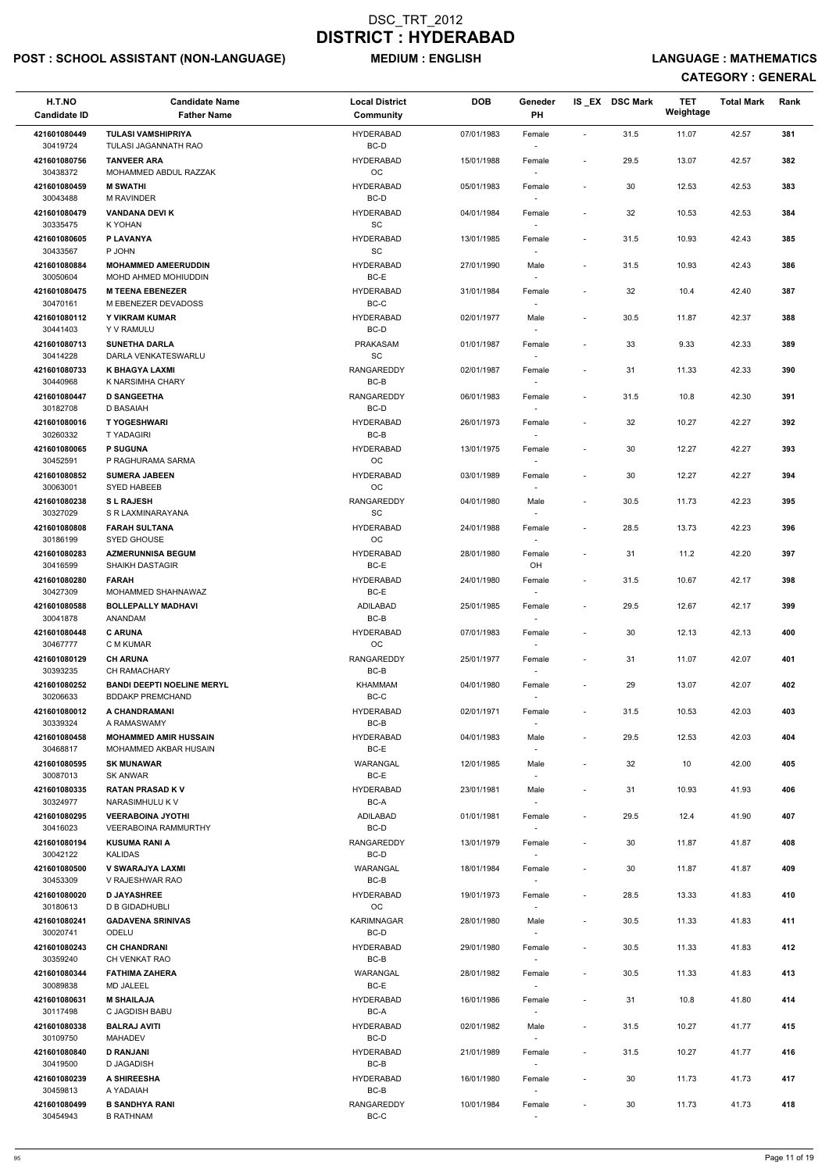## POST : SCHOOL ASSISTANT (NON-LANGUAGE) MEDIUM : ENGLISH LANGUAGE : MATHEMATICS

| H.T.NO<br><b>Candidate ID</b> | <b>Candidate Name</b><br><b>Father Name</b>             | <b>Local District</b><br>Community | <b>DOB</b> | Geneder<br><b>PH</b>               |                          | IS_EX DSC Mark  | <b>TET</b><br>Weightage | <b>Total Mark</b> | Rank |
|-------------------------------|---------------------------------------------------------|------------------------------------|------------|------------------------------------|--------------------------|-----------------|-------------------------|-------------------|------|
| 421601080449                  | <b>TULASI VAMSHIPRIYA</b>                               | <b>HYDERABAD</b>                   | 07/01/1983 | Female                             | $\overline{\phantom{a}}$ | 31.5            | 11.07                   | 42.57             | 381  |
| 30419724                      | TULASI JAGANNATH RAO                                    | BC-D                               |            |                                    |                          |                 |                         |                   |      |
| 421601080756<br>30438372      | <b>TANVEER ARA</b><br>MOHAMMED ABDUL RAZZAK             | <b>HYDERABAD</b><br><b>OC</b>      | 15/01/1988 | Female                             | $\overline{\phantom{a}}$ | 29.5            | 13.07                   | 42.57             | 382  |
| 421601080459<br>30043488      | <b>M SWATHI</b><br><b>M RAVINDER</b>                    | <b>HYDERABAD</b><br>BC-D           | 05/01/1983 | Female                             | $\overline{\phantom{a}}$ | 30              | 12.53                   | 42.53             | 383  |
| 421601080479<br>30335475      | <b>VANDANA DEVI K</b><br>K YOHAN                        | <b>HYDERABAD</b><br><b>SC</b>      | 04/01/1984 | Female<br>$\sim$                   | $\overline{\phantom{a}}$ | 32              | 10.53                   | 42.53             | 384  |
| 421601080605                  | P LAVANYA                                               | <b>HYDERABAD</b>                   | 13/01/1985 | Female                             | $\overline{\phantom{a}}$ | 31.5            | 10.93                   | 42.43             | 385  |
| 30433567<br>421601080884      | P JOHN<br><b>MOHAMMED AMEERUDDIN</b>                    | <b>SC</b><br><b>HYDERABAD</b>      | 27/01/1990 | Male                               | $\overline{\phantom{a}}$ | 31.5            | 10.93                   | 42.43             | 386  |
| 30050604<br>421601080475      | MOHD AHMED MOHIUDDIN<br><b>M TEENA EBENEZER</b>         | BC-E<br><b>HYDERABAD</b>           | 31/01/1984 | Female                             | $\overline{\phantom{a}}$ | 32              | 10.4                    | 42.40             | 387  |
| 30470161<br>421601080112      | M EBENEZER DEVADOSS<br>Y VIKRAM KUMAR                   | $BC-C$<br><b>HYDERABAD</b>         | 02/01/1977 | Male                               | $\overline{\phantom{a}}$ | 30.5            | 11.87                   | 42.37             | 388  |
| 30441403<br>421601080713      | Y V RAMULU<br><b>SUNETHA DARLA</b>                      | BC-D<br>PRAKASAM                   | 01/01/1987 | Female                             | $\overline{\phantom{a}}$ | 33              | 9.33                    | 42.33             | 389  |
| 30414228                      | DARLA VENKATESWARLU                                     | SC                                 |            | $\sim$                             |                          |                 |                         |                   |      |
| 421601080733<br>30440968      | <b>K BHAGYA LAXMI</b><br>K NARSIMHA CHARY               | <b>RANGAREDDY</b><br>BC-B          | 02/01/1987 | Female<br>$\sim$                   | $\overline{\phantom{a}}$ | 31              | 11.33                   | 42.33             | 390  |
| 421601080447<br>30182708      | <b>D SANGEETHA</b><br>D BASAIAH                         | <b>RANGAREDDY</b><br>BC-D          | 06/01/1983 | Female                             | $\blacksquare$           | 31.5            | 10.8                    | 42.30             | 391  |
| 421601080016                  | <b>T YOGESHWARI</b>                                     | <b>HYDERABAD</b>                   | 26/01/1973 | Female                             | $\overline{\phantom{a}}$ | 32              | 10.27                   | 42.27             | 392  |
| 30260332                      | <b>TYADAGIRI</b>                                        | BC-B                               |            |                                    |                          |                 |                         |                   |      |
| 421601080065<br>30452591      | <b>P SUGUNA</b><br>P RAGHURAMA SARMA                    | <b>HYDERABAD</b><br><b>OC</b>      | 13/01/1975 | Female<br>$\sim$                   | $\overline{\phantom{a}}$ | 30              | 12.27                   | 42.27             | 393  |
| 421601080852                  | <b>SUMERA JABEEN</b>                                    | <b>HYDERABAD</b>                   | 03/01/1989 | Female                             | $\overline{\phantom{a}}$ | 30              | 12.27                   | 42.27             | 394  |
| 30063001<br>421601080238      | SYED HABEEB<br><b>SL RAJESH</b>                         | <b>OC</b><br>RANGAREDDY            | 04/01/1980 | $\sim$<br>Male                     | $\overline{\phantom{a}}$ | 30.5            | 11.73                   | 42.23             | 395  |
| 30327029                      | S R LAXMINARAYANA                                       | SC                                 |            |                                    |                          |                 |                         |                   |      |
| 421601080808<br>30186199      | <b>FARAH SULTANA</b><br>SYED GHOUSE                     | <b>HYDERABAD</b><br>OC.            | 24/01/1988 | Female                             | $\overline{\phantom{a}}$ | 28.5            | 13.73                   | 42.23             | 396  |
| 421601080283<br>30416599      | <b>AZMERUNNISA BEGUM</b><br><b>SHAIKH DASTAGIR</b>      | <b>HYDERABAD</b><br>BC-E           | 28/01/1980 | Female<br>OH                       | $\overline{\phantom{a}}$ | 31              | 11.2                    | 42.20             | 397  |
| 421601080280                  | <b>FARAH</b>                                            | <b>HYDERABAD</b>                   | 24/01/1980 | Female                             | $\overline{\phantom{a}}$ | 31.5            | 10.67                   | 42.17             | 398  |
| 30427309<br>421601080588      | MOHAMMED SHAHNAWAZ<br><b>BOLLEPALLY MADHAVI</b>         | BC-E<br><b>ADILABAD</b>            | 25/01/1985 | Female                             | $\overline{\phantom{a}}$ | 29.5            | 12.67                   | 42.17             | 399  |
| 30041878                      | ANANDAM                                                 | $BC-B$                             |            |                                    |                          |                 |                         |                   |      |
| 421601080448<br>30467777      | <b>C ARUNA</b><br>C M KUMAR                             | <b>HYDERABAD</b><br><b>OC</b>      | 07/01/1983 | Female<br>$\overline{\phantom{a}}$ | $\blacksquare$           | 30              | 12.13                   | 42.13             | 400  |
| 421601080129<br>30393235      | <b>CH ARUNA</b><br><b>CH RAMACHARY</b>                  | RANGAREDDY<br>BC-B                 | 25/01/1977 | Female<br>$\sim$                   | $\overline{\phantom{a}}$ | 31              | 11.07                   | 42.07             | 401  |
| 421601080252                  | <b>BANDI DEEPTI NOELINE MERYL</b>                       | <b>KHAMMAM</b>                     | 04/01/1980 | Female                             | $\overline{\phantom{a}}$ | 29              | 13.07                   | 42.07             | 402  |
| 30206633<br>421601080012      | <b>BDDAKP PREMCHAND</b><br>A CHANDRAMANI                | BC-C<br><b>HYDERABAD</b>           | 02/01/1971 | $\sim$<br>Female                   | $\overline{\phantom{a}}$ | 31.5            | 10.53                   | 42.03             | 403  |
| 30339324                      | A RAMASWAMY                                             | BC-B                               |            |                                    |                          |                 |                         |                   |      |
| 421601080458<br>30468817      | <b>MOHAMMED AMIR HUSSAIN</b><br>MOHAMMED AKBAR HUSAIN   | <b>HYDERABAD</b><br>BC-E           | 04/01/1983 | Male                               | $\overline{\phantom{a}}$ | 29.5            | 12.53                   | 42.03             | 404  |
| 421601080595<br>30087013      | <b>SK MUNAWAR</b><br><b>SK ANWAR</b>                    | WARANGAL<br>BC-E                   | 12/01/1985 | Male                               | $\overline{\phantom{a}}$ | 32              | 10                      | 42.00             | 405  |
| 421601080335<br>30324977      | <b>RATAN PRASAD KV</b><br>NARASIMHULU K V               | <b>HYDERABAD</b><br>BC-A           | 23/01/1981 | Male<br>$\sim$                     | $\overline{\phantom{a}}$ | 31              | 10.93                   | 41.93             | 406  |
| 421601080295<br>30416023      | <b>VEERABOINA JYOTHI</b><br><b>VEERABOINA RAMMURTHY</b> | ADILABAD<br>BC-D                   | 01/01/1981 | Female                             | $\overline{\phantom{a}}$ | 29.5            | 12.4                    | 41.90             | 407  |
| 421601080194<br>30042122      | <b>KUSUMA RANI A</b><br><b>KALIDAS</b>                  | <b>RANGAREDDY</b><br>BC-D          | 13/01/1979 | Female                             | $\overline{\phantom{a}}$ | 30              | 11.87                   | 41.87             | 408  |
| 421601080500                  | V SWARAJYA LAXMI                                        | <b>WARANGAL</b>                    | 18/01/1984 | Female                             | $\overline{\phantom{a}}$ | 30              | 11.87                   | 41.87             | 409  |
| 30453309<br>421601080020      | V RAJESHWAR RAO<br><b>D JAYASHREE</b>                   | BC-B<br><b>HYDERABAD</b>           | 19/01/1973 | $\sim$<br>Female                   | $\overline{\phantom{a}}$ | 28.5            | 13.33                   | 41.83             | 410  |
| 30180613                      | <b>D B GIDADHUBLI</b>                                   | <b>OC</b>                          |            | $\overline{\phantom{a}}$           |                          |                 |                         |                   |      |
| 421601080241<br>30020741      | <b>GADAVENA SRINIVAS</b><br>ODELU                       | <b>KARIMNAGAR</b><br>BC-D          | 28/01/1980 | Male<br>$\sim$                     | $\overline{\phantom{a}}$ | 30.5            | 11.33                   | 41.83             | 411  |
| 421601080243                  | <b>CH CHANDRANI</b>                                     | <b>HYDERABAD</b>                   | 29/01/1980 | Female                             | $\overline{\phantom{a}}$ | 30.5            | 11.33                   | 41.83             | 412  |
| 30359240<br>421601080344      | CH VENKAT RAO<br><b>FATHIMA ZAHERA</b>                  | $BC-B$<br>WARANGAL                 | 28/01/1982 | Female                             | $\overline{\phantom{a}}$ | 30.5            | 11.33                   | 41.83             | 413  |
| 30089838                      | <b>MD JALEEL</b>                                        | BC-E                               |            | $\sim$                             |                          |                 |                         |                   |      |
| 421601080631<br>30117498      | <b>M SHAILAJA</b><br>C JAGDISH BABU                     | <b>HYDERABAD</b><br>$BC-A$         | 16/01/1986 | Female                             |                          | 31              | 10.8                    | 41.80             | 414  |
| 421601080338<br>30109750      | <b>BALRAJ AVITI</b><br><b>MAHADEV</b>                   | <b>HYDERABAD</b><br>BC-D           | 02/01/1982 | Male<br>$\sim$                     | $\overline{\phantom{a}}$ | 31.5            | 10.27                   | 41.77             | 415  |
| 421601080840<br>30419500      | <b>D RANJANI</b><br>D JAGADISH                          | <b>HYDERABAD</b><br>BC-B           | 21/01/1989 | Female                             | $\overline{\phantom{a}}$ | 31.5            | 10.27                   | 41.77             | 416  |
| 421601080239                  | A SHIREESHA                                             | <b>HYDERABAD</b>                   | 16/01/1980 | $\sim$<br>Female                   | $\overline{\phantom{a}}$ | 30              | 11.73                   | 41.73             | 417  |
| 30459813<br>421601080499      | A YADAIAH<br><b>B SANDHYA RANI</b><br><b>B RATHNAM</b>  | $BC-B$<br><b>RANGAREDDY</b>        | 10/01/1984 | $\sim$<br>Female                   | $\overline{\phantom{a}}$ | 30 <sub>o</sub> | 11.73                   | 41.73             | 418  |
| 30454943                      |                                                         | $BC-C$                             |            | $\sim$                             |                          |                 |                         |                   |      |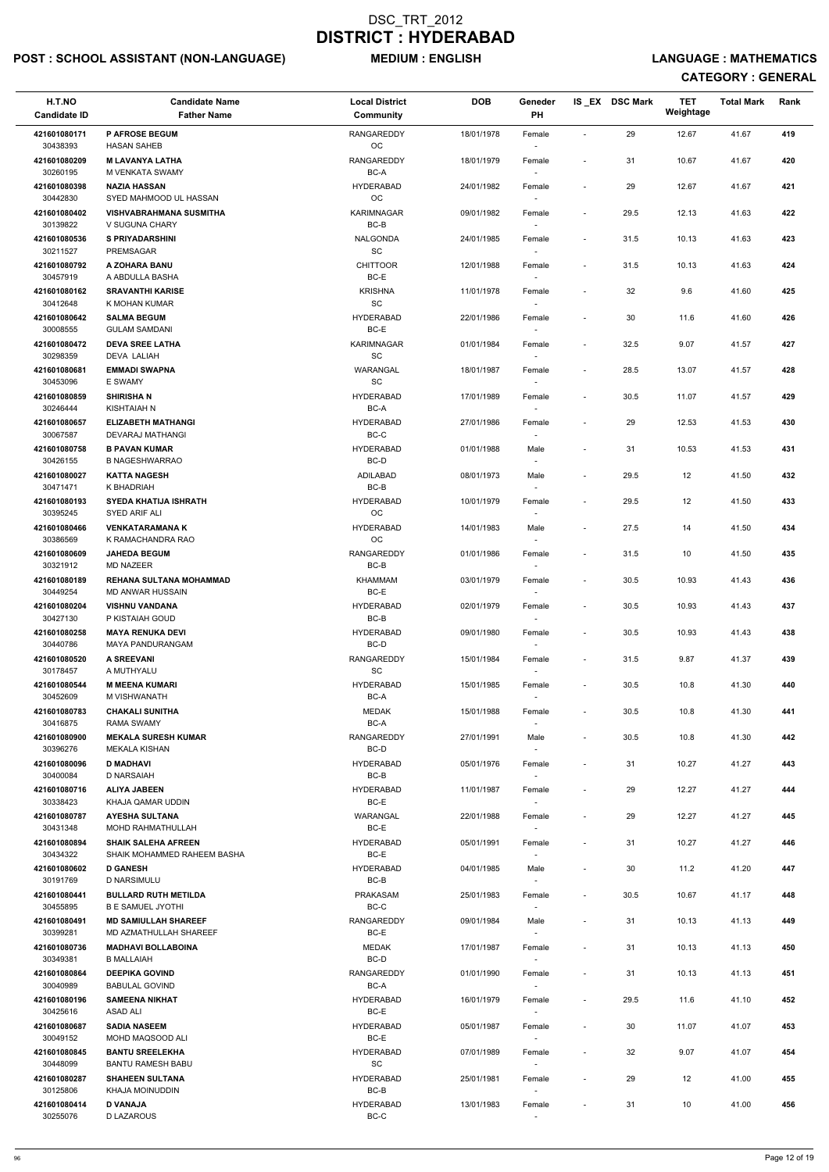## POST : SCHOOL ASSISTANT (NON-LANGUAGE) MEDIUM : ENGLISH LANGUAGE : MATHEMATICS

| H.T.NO                   | <b>Candidate Name</b>                                   | <b>Local District</b>        | <b>DOB</b> | Geneder                            |                          | IS_EX DSC Mark | <b>TET</b><br>Weightage | <b>Total Mark</b> | Rank |
|--------------------------|---------------------------------------------------------|------------------------------|------------|------------------------------------|--------------------------|----------------|-------------------------|-------------------|------|
| <b>Candidate ID</b>      | <b>Father Name</b>                                      | Community                    |            | PH                                 |                          |                |                         |                   |      |
| 421601080171<br>30438393 | <b>P AFROSE BEGUM</b><br><b>HASAN SAHEB</b>             | <b>RANGAREDDY</b><br>OC      | 18/01/1978 | Female                             | $\overline{\phantom{a}}$ | 29             | 12.67                   | 41.67             | 419  |
| 421601080209             | <b>M LAVANYA LATHA</b>                                  | RANGAREDDY                   | 18/01/1979 | Female                             | $\overline{\phantom{a}}$ | 31             | 10.67                   | 41.67             | 420  |
| 30260195                 | M VENKATA SWAMY                                         | BC-A                         |            |                                    |                          |                |                         |                   |      |
| 421601080398<br>30442830 | <b>NAZIA HASSAN</b><br>SYED MAHMOOD UL HASSAN           | <b>HYDERABAD</b><br>OC       | 24/01/1982 | Female                             | $\overline{\phantom{a}}$ | 29             | 12.67                   | 41.67             | 421  |
| 421601080402             | <b>VISHVABRAHMANA SUSMITHA</b>                          | <b>KARIMNAGAR</b>            | 09/01/1982 | Female                             | $\overline{\phantom{a}}$ | 29.5           | 12.13                   | 41.63             | 422  |
| 30139822<br>421601080536 | V SUGUNA CHARY<br><b>S PRIYADARSHINI</b>                | BC-B<br>NALGONDA             | 24/01/1985 | $\sim$<br>Female                   | $\overline{\phantom{a}}$ | 31.5           | 10.13                   | 41.63             | 423  |
| 30211527                 | <b>PREMSAGAR</b>                                        | <b>SC</b>                    |            |                                    |                          |                |                         |                   |      |
| 421601080792<br>30457919 | A ZOHARA BANU<br>A ABDULLA BASHA                        | <b>CHITTOOR</b><br>BC-E      | 12/01/1988 | Female                             | $\overline{\phantom{a}}$ | 31.5           | 10.13                   | 41.63             | 424  |
| 421601080162             | <b>SRAVANTHI KARISE</b>                                 | <b>KRISHNA</b>               | 11/01/1978 | $\sim$<br>Female                   | $\overline{\phantom{a}}$ | 32             | 9.6                     | 41.60             | 425  |
| 30412648                 | K MOHAN KUMAR                                           | $\operatorname{\textsf{SC}}$ |            |                                    |                          |                |                         |                   |      |
| 421601080642<br>30008555 | <b>SALMA BEGUM</b><br><b>GULAM SAMDANI</b>              | <b>HYDERABAD</b><br>BC-E     | 22/01/1986 | Female                             | $\overline{\phantom{a}}$ | 30             | 11.6                    | 41.60             | 426  |
| 421601080472             | <b>DEVA SREE LATHA</b>                                  | <b>KARIMNAGAR</b>            | 01/01/1984 | Female                             | $\overline{\phantom{a}}$ | 32.5           | 9.07                    | 41.57             | 427  |
| 30298359<br>421601080681 | <b>DEVA LALIAH</b><br><b>EMMADI SWAPNA</b>              | SC<br><b>WARANGAL</b>        | 18/01/1987 | $\sim$                             | $\overline{\phantom{a}}$ | 28.5           | 13.07                   | 41.57             | 428  |
| 30453096                 | E SWAMY                                                 | SC                           |            | Female                             |                          |                |                         |                   |      |
| 421601080859             | <b>SHIRISHAN</b>                                        | <b>HYDERABAD</b>             | 17/01/1989 | Female                             | $\blacksquare$           | 30.5           | 11.07                   | 41.57             | 429  |
| 30246444<br>421601080657 | KISHTAIAH N<br><b>ELIZABETH MATHANGI</b>                | BC-A<br><b>HYDERABAD</b>     | 27/01/1986 | Female                             | $\overline{\phantom{a}}$ | 29             | 12.53                   | 41.53             | 430  |
| 30067587                 | DEVARAJ MATHANGI                                        | BC-C                         |            |                                    |                          |                |                         |                   |      |
| 421601080758<br>30426155 | <b>B PAVAN KUMAR</b><br><b>B NAGESHWARRAO</b>           | <b>HYDERABAD</b><br>BC-D     | 01/01/1988 | Male                               | $\overline{\phantom{a}}$ | 31             | 10.53                   | 41.53             | 431  |
| 421601080027             | <b>KATTA NAGESH</b>                                     | ADILABAD                     | 08/01/1973 | Male                               | $\overline{\phantom{a}}$ | 29.5           | 12                      | 41.50             | 432  |
| 30471471                 | K BHADRIAH                                              | BC-B                         |            | $\sim$                             |                          |                |                         |                   |      |
| 421601080193<br>30395245 | <b>SYEDA KHATIJA ISHRATH</b><br>SYED ARIF ALI           | <b>HYDERABAD</b><br>OC       | 10/01/1979 | Female                             | $\overline{\phantom{a}}$ | 29.5           | 12                      | 41.50             | 433  |
| 421601080466             | <b>VENKATARAMANA K</b>                                  | <b>HYDERABAD</b>             | 14/01/1983 | Male                               | $\overline{\phantom{a}}$ | 27.5           | 14                      | 41.50             | 434  |
| 30386569<br>421601080609 | K RAMACHANDRA RAO<br><b>JAHEDA BEGUM</b>                | OC<br>RANGAREDDY             | 01/01/1986 |                                    | $\overline{\phantom{a}}$ | 31.5           | 10                      | 41.50             | 435  |
| 30321912                 | <b>MD NAZEER</b>                                        | BC-B                         |            | Female<br>$\sim$                   |                          |                |                         |                   |      |
| 421601080189             | <b>REHANA SULTANA MOHAMMAD</b>                          | KHAMMAM                      | 03/01/1979 | Female                             | $\overline{\phantom{a}}$ | 30.5           | 10.93                   | 41.43             | 436  |
| 30449254<br>421601080204 | MD ANWAR HUSSAIN<br><b>VISHNU VANDANA</b>               | BC-E<br><b>HYDERABAD</b>     | 02/01/1979 | Female                             | $\overline{\phantom{a}}$ | 30.5           | 10.93                   | 41.43             | 437  |
| 30427130                 | P KISTAIAH GOUD                                         | BC-B                         |            |                                    |                          |                |                         |                   |      |
| 421601080258<br>30440786 | <b>MAYA RENUKA DEVI</b><br>MAYA PANDURANGAM             | <b>HYDERABAD</b><br>BC-D     | 09/01/1980 | Female<br>$\overline{\phantom{a}}$ | $\blacksquare$           | 30.5           | 10.93                   | 41.43             | 438  |
| 421601080520             | <b>A SREEVANI</b>                                       | <b>RANGAREDDY</b>            | 15/01/1984 | Female                             | $\overline{\phantom{a}}$ | 31.5           | 9.87                    | 41.37             | 439  |
| 30178457                 | A MUTHYALU                                              | SC                           |            | $\sim$                             |                          |                |                         |                   |      |
| 421601080544<br>30452609 | <b>M MEENA KUMARI</b><br>M VISHWANATH                   | <b>HYDERABAD</b><br>BC-A     | 15/01/1985 | Female<br>$\overline{\phantom{a}}$ | $\overline{\phantom{a}}$ | 30.5           | 10.8                    | 41.30             | 440  |
| 421601080783             | <b>CHAKALI SUNITHA</b>                                  | <b>MEDAK</b>                 | 15/01/1988 | Female                             | $\overline{\phantom{a}}$ | 30.5           | 10.8                    | 41.30             | 441  |
| 30416875<br>421601080900 | <b>RAMA SWAMY</b><br><b>MEKALA SURESH KUMAR</b>         | BC-A<br>RANGAREDDY           | 27/01/1991 | Male                               | $\overline{\phantom{a}}$ | 30.5           | 10.8                    | 41.30             | 442  |
| 30396276                 | <b>MEKALA KISHAN</b>                                    | BC-D                         |            | $\sim$                             |                          |                |                         |                   |      |
| 421601080096<br>30400084 | <b>D MADHAVI</b><br>D NARSAIAH                          | <b>HYDERABAD</b><br>BC-B     | 05/01/1976 | Female                             | $\overline{\phantom{a}}$ | 31             | 10.27                   | 41.27             | 443  |
| 421601080716             | <b>ALIYA JABEEN</b>                                     | <b>HYDERABAD</b>             | 11/01/1987 | Female                             | $\overline{\phantom{a}}$ | 29             | 12.27                   | 41.27             | 444  |
| 30338423                 | KHAJA QAMAR UDDIN                                       | BC-E                         |            |                                    |                          |                |                         |                   |      |
| 421601080787<br>30431348 | <b>AYESHA SULTANA</b><br><b>MOHD RAHMATHULLAH</b>       | WARANGAL<br>BC-E             | 22/01/1988 | Female                             | $\blacksquare$           | 29             | 12.27                   | 41.27             | 445  |
| 421601080894             | <b>SHAIK SALEHA AFREEN</b>                              | <b>HYDERABAD</b>             | 05/01/1991 | Female                             | $\overline{\phantom{a}}$ | 31             | 10.27                   | 41.27             | 446  |
| 30434322<br>421601080602 | SHAIK MOHAMMED RAHEEM BASHA<br><b>D GANESH</b>          | BC-E<br><b>HYDERABAD</b>     | 04/01/1985 | Male                               | $\overline{\phantom{a}}$ | 30             | 11.2                    | 41.20             | 447  |
| 30191769                 | <b>D NARSIMULU</b>                                      | BC-B                         |            | $\sim$                             |                          |                |                         |                   |      |
| 421601080441             | <b>BULLARD RUTH METILDA</b>                             | <b>PRAKASAM</b>              | 25/01/1983 | Female                             | $\overline{\phantom{a}}$ | 30.5           | 10.67                   | 41.17             | 448  |
| 30455895<br>421601080491 | <b>B E SAMUEL JYOTHI</b><br><b>MD SAMIULLAH SHAREEF</b> | BC-C<br>RANGAREDDY           | 09/01/1984 | $\sim$<br>Male                     | $\overline{\phantom{a}}$ | 31             | 10.13                   | 41.13             | 449  |
| 30399281                 | MD AZMATHULLAH SHAREEF                                  | BC-E                         |            | $\overline{\phantom{a}}$           |                          |                |                         |                   |      |
| 421601080736<br>30349381 | <b>MADHAVI BOLLABOINA</b><br><b>B MALLAIAH</b>          | <b>MEDAK</b><br>BC-D         | 17/01/1987 | Female                             | $\overline{\phantom{a}}$ | 31             | 10.13                   | 41.13             | 450  |
| 421601080864             | <b>DEEPIKA GOVIND</b>                                   | RANGAREDDY                   | 01/01/1990 | Female                             | $\blacksquare$           | 31             | 10.13                   | 41.13             | 451  |
| 30040989                 | <b>BABULAL GOVIND</b>                                   | BC-A                         |            | $\sim$                             |                          |                |                         |                   |      |
| 421601080196<br>30425616 | <b>SAMEENA NIKHAT</b><br>ASAD ALI                       | <b>HYDERABAD</b><br>BC-E     | 16/01/1979 | Female                             | $\overline{\phantom{a}}$ | 29.5           | 11.6                    | 41.10             | 452  |
| 421601080687             | <b>SADIA NASEEM</b>                                     | <b>HYDERABAD</b>             | 05/01/1987 | Female                             | $\overline{\phantom{a}}$ | 30             | 11.07                   | 41.07             | 453  |
| 30049152<br>421601080845 | MOHD MAQSOOD ALI<br><b>BANTU SREELEKHA</b>              | BC-E<br><b>HYDERABAD</b>     | 07/01/1989 | Female                             | $\overline{\phantom{a}}$ | 32             | 9.07                    | 41.07             | 454  |
| 30448099                 | <b>BANTU RAMESH BABU</b>                                | SC                           |            | $\sim$                             |                          |                |                         |                   |      |
| 421601080287             | <b>SHAHEEN SULTANA</b>                                  | <b>HYDERABAD</b>             | 25/01/1981 | Female                             | $\overline{\phantom{a}}$ | 29             | 12                      | 41.00             | 455  |
| 30125806<br>421601080414 | KHAJA MOINUDDIN<br><b>D VANAJA</b>                      | BC-B<br><b>HYDERABAD</b>     | 13/01/1983 | $\overline{\phantom{a}}$<br>Female | $\overline{\phantom{a}}$ | 31             | 10                      | 41.00             | 456  |
| 30255076                 | <b>D LAZAROUS</b>                                       | BC-C                         |            | $\sim$                             |                          |                |                         |                   |      |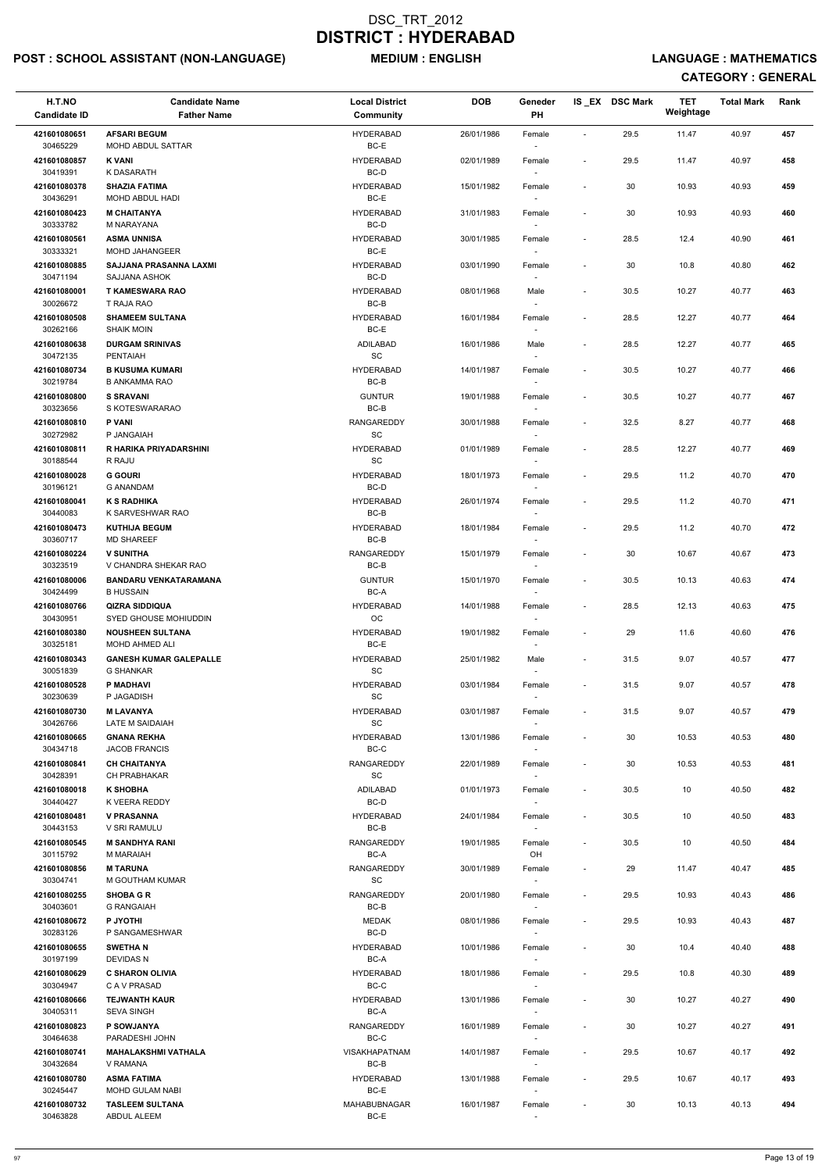## POST : SCHOOL ASSISTANT (NON-LANGUAGE) MEDIUM : ENGLISH LANGUAGE : MATHEMATICS

| H.T.NO<br><b>Candidate ID</b> | <b>Candidate Name</b><br><b>Father Name</b>            | <b>Local District</b><br>Community | <b>DOB</b> | Geneder<br><b>PH</b>             |                          | IS_EX DSC Mark | <b>TET</b><br>Weightage | <b>Total Mark</b> | Rank |
|-------------------------------|--------------------------------------------------------|------------------------------------|------------|----------------------------------|--------------------------|----------------|-------------------------|-------------------|------|
| 421601080651                  | <b>AFSARI BEGUM</b>                                    | <b>HYDERABAD</b>                   | 26/01/1986 | Female                           | $\overline{\phantom{a}}$ | 29.5           | 11.47                   | 40.97             | 457  |
| 30465229                      | <b>MOHD ABDUL SATTAR</b>                               | BC-E                               |            |                                  |                          |                |                         |                   |      |
| 421601080857<br>30419391      | <b>K VANI</b><br>K DASARATH                            | <b>HYDERABAD</b><br>BC-D           | 02/01/1989 | Female                           | $\overline{\phantom{a}}$ | 29.5           | 11.47                   | 40.97             | 458  |
| 421601080378<br>30436291      | <b>SHAZIA FATIMA</b><br>MOHD ABDUL HADI                | <b>HYDERABAD</b><br>BC-E           | 15/01/1982 | Female                           | $\overline{\phantom{a}}$ | 30             | 10.93                   | 40.93             | 459  |
| 421601080423<br>30333782      | <b>M CHAITANYA</b><br>M NARAYANA                       | <b>HYDERABAD</b><br>BC-D           | 31/01/1983 | Female<br>$\sim$                 | $\overline{\phantom{a}}$ | 30             | 10.93                   | 40.93             | 460  |
| 421601080561                  | <b>ASMA UNNISA</b>                                     | <b>HYDERABAD</b>                   | 30/01/1985 | Female                           | $\overline{\phantom{a}}$ | 28.5           | 12.4                    | 40.90             | 461  |
| 30333321<br>421601080885      | <b>MOHD JAHANGEER</b><br>SAJJANA PRASANNA LAXMI        | BC-E<br><b>HYDERABAD</b>           | 03/01/1990 | $\sim$<br>Female                 | $\overline{\phantom{a}}$ | 30             | 10.8                    | 40.80             | 462  |
| 30471194                      | SAJJANA ASHOK                                          | BC-D                               |            | $\sim$                           |                          |                |                         |                   |      |
| 421601080001<br>30026672      | <b>T KAMESWARA RAO</b><br>T RAJA RAO                   | <b>HYDERABAD</b><br>$BC-B$         | 08/01/1968 | Male                             | $\overline{\phantom{a}}$ | 30.5           | 10.27                   | 40.77             | 463  |
| 421601080508<br>30262166      | <b>SHAMEEM SULTANA</b><br><b>SHAIK MOIN</b>            | <b>HYDERABAD</b><br>BC-E           | 16/01/1984 | Female                           | $\overline{\phantom{a}}$ | 28.5           | 12.27                   | 40.77             | 464  |
| 421601080638<br>30472135      | <b>DURGAM SRINIVAS</b><br>PENTAIAH                     | <b>ADILABAD</b><br><b>SC</b>       | 16/01/1986 | Male<br>$\overline{\phantom{a}}$ | $\overline{\phantom{a}}$ | 28.5           | 12.27                   | 40.77             | 465  |
| 421601080734                  | <b>B KUSUMA KUMARI</b>                                 | <b>HYDERABAD</b>                   | 14/01/1987 | Female                           | $\overline{\phantom{a}}$ | 30.5           | 10.27                   | 40.77             | 466  |
| 30219784<br>421601080800      | B ANKAMMA RAO<br><b>S SRAVANI</b>                      | BC-B<br><b>GUNTUR</b>              | 19/01/1988 | $\sim$<br>Female                 | $\blacksquare$           | 30.5           | 10.27                   | 40.77             | 467  |
| 30323656                      | S KOTESWARARAO                                         | $BC-B$                             |            |                                  |                          |                |                         |                   |      |
| 421601080810<br>30272982      | <b>P VANI</b><br>P JANGAIAH                            | <b>RANGAREDDY</b><br>SC            | 30/01/1988 | Female                           | $\overline{\phantom{a}}$ | 32.5           | 8.27                    | 40.77             | 468  |
| 421601080811<br>30188544      | <b>R HARIKA PRIYADARSHINI</b><br>R RAJU                | <b>HYDERABAD</b><br>SC             | 01/01/1989 | Female<br>$\sim$                 | $\overline{\phantom{a}}$ | 28.5           | 12.27                   | 40.77             | 469  |
| 421601080028                  | <b>G GOURI</b>                                         | <b>HYDERABAD</b>                   | 18/01/1973 | Female                           | $\overline{\phantom{a}}$ | 29.5           | 11.2                    | 40.70             | 470  |
| 30196121<br>421601080041      | <b>G ANANDAM</b><br><b>K S RADHIKA</b>                 | BC-D<br><b>HYDERABAD</b>           | 26/01/1974 | $\sim$<br>Female                 | $\overline{\phantom{a}}$ | 29.5           | 11.2                    | 40.70             | 471  |
| 30440083<br>421601080473      | K SARVESHWAR RAO<br><b>KUTHIJA BEGUM</b>               | $BC-B$<br><b>HYDERABAD</b>         | 18/01/1984 | Female                           | $\overline{\phantom{a}}$ | 29.5           | 11.2                    | 40.70             | 472  |
| 30360717<br>421601080224      | <b>MD SHAREEF</b><br><b>V SUNITHA</b>                  | BC-B<br>RANGAREDDY                 | 15/01/1979 | Female                           | $\overline{\phantom{a}}$ | 30             | 10.67                   | 40.67             | 473  |
| 30323519                      | V CHANDRA SHEKAR RAO                                   | BC-B                               |            | $\sim$                           |                          |                |                         |                   |      |
| 421601080006<br>30424499      | <b>BANDARU VENKATARAMANA</b><br><b>B HUSSAIN</b>       | <b>GUNTUR</b><br>BC-A              | 15/01/1970 | Female                           | $\overline{\phantom{a}}$ | 30.5           | 10.13                   | 40.63             | 474  |
| 421601080766<br>30430951      | <b>QIZRA SIDDIQUA</b><br><b>SYED GHOUSE MOHIUDDIN</b>  | <b>HYDERABAD</b><br>OC             | 14/01/1988 | Female                           | $\overline{\phantom{a}}$ | 28.5           | 12.13                   | 40.63             | 475  |
| 421601080380                  | <b>NOUSHEEN SULTANA</b>                                | <b>HYDERABAD</b>                   | 19/01/1982 | Female                           | $\blacksquare$           | 29             | 11.6                    | 40.60             | 476  |
| 30325181<br>421601080343      | <b>MOHD AHMED ALI</b><br><b>GANESH KUMAR GALEPALLE</b> | BC-E<br><b>HYDERABAD</b>           | 25/01/1982 | $\overline{\phantom{a}}$<br>Male | $\overline{\phantom{a}}$ | 31.5           | 9.07                    | 40.57             | 477  |
| 30051839                      | <b>G SHANKAR</b>                                       | SC                                 |            | $\sim$                           |                          |                |                         |                   |      |
| 421601080528<br>30230639      | P MADHAVI<br>P JAGADISH                                | <b>HYDERABAD</b><br><b>SC</b>      | 03/01/1984 | Female<br>$\sim$                 | $\overline{\phantom{a}}$ | 31.5           | 9.07                    | 40.57             | 478  |
| 421601080730<br>30426766      | <b>M LAVANYA</b><br>LATE M SAIDAIAH                    | <b>HYDERABAD</b><br><b>SC</b>      | 03/01/1987 | Female                           | $\overline{\phantom{a}}$ | 31.5           | 9.07                    | 40.57             | 479  |
| 421601080665<br>30434718      | <b>GNANA REKHA</b><br><b>JACOB FRANCIS</b>             | <b>HYDERABAD</b><br>BC-C           | 13/01/1986 | Female<br>$\sim$                 | $\overline{\phantom{a}}$ | 30             | 10.53                   | 40.53             | 480  |
| 421601080841                  | <b>CH CHAITANYA</b>                                    | RANGAREDDY                         | 22/01/1989 | Female                           |                          | 30             | 10.53                   | 40.53             | 481  |
| 30428391<br>421601080018      | CH PRABHAKAR<br><b>K SHOBHA</b>                        | SC<br>ADILABAD                     | 01/01/1973 | Female                           | $\overline{\phantom{a}}$ | 30.5           | 10                      | 40.50             | 482  |
| 30440427                      | K VEERA REDDY                                          | BC-D                               |            | $\sim$                           |                          |                |                         |                   |      |
| 421601080481<br>30443153      | <b>V PRASANNA</b><br>V SRI RAMULU                      | <b>HYDERABAD</b><br>BC-B           | 24/01/1984 | Female                           | $\overline{\phantom{a}}$ | 30.5           | 10                      | 40.50             | 483  |
| 421601080545<br>30115792      | <b>M SANDHYA RANI</b><br>M MARAIAH                     | RANGAREDDY<br>BC-A                 | 19/01/1985 | Female<br>OH                     | $\overline{\phantom{a}}$ | 30.5           | 10                      | 40.50             | 484  |
| 421601080856<br>30304741      | <b>M TARUNA</b><br>M GOUTHAM KUMAR                     | <b>RANGAREDDY</b><br>SC            | 30/01/1989 | Female<br>$\sim$                 | $\overline{\phantom{a}}$ | 29             | 11.47                   | 40.47             | 485  |
| 421601080255                  | <b>SHOBA G R</b>                                       | RANGAREDDY                         | 20/01/1980 | Female                           | $\overline{\phantom{a}}$ | 29.5           | 10.93                   | 40.43             | 486  |
| 30403601<br>421601080672      | <b>G RANGAIAH</b><br>P JYOTHI                          | BC-B<br><b>MEDAK</b>               | 08/01/1986 | $\sim$<br>Female                 | $\overline{\phantom{a}}$ | 29.5           | 10.93                   | 40.43             | 487  |
| 30283126                      | P SANGAMESHWAR                                         | BC-D                               |            | $\sim$                           |                          |                |                         |                   |      |
| 421601080655<br>30197199      | <b>SWETHAN</b><br><b>DEVIDAS N</b>                     | <b>HYDERABAD</b><br>BC-A           | 10/01/1986 | Female                           | $\overline{\phantom{a}}$ | 30             | 10.4                    | 40.40             | 488  |
| 421601080629<br>30304947      | <b>C SHARON OLIVIA</b><br>C A V PRASAD                 | <b>HYDERABAD</b><br>BC-C           | 18/01/1986 | Female<br>$\sim$                 | $\overline{\phantom{a}}$ | 29.5           | 10.8                    | 40.30             | 489  |
| 421601080666<br>30405311      | <b>TEJWANTH KAUR</b><br><b>SEVA SINGH</b>              | <b>HYDERABAD</b><br>BC-A           | 13/01/1986 | Female                           |                          | 30             | 10.27                   | 40.27             | 490  |
| 421601080823                  | P SOWJANYA                                             | RANGAREDDY                         | 16/01/1989 | Female                           | $\overline{\phantom{a}}$ | 30             | 10.27                   | 40.27             | 491  |
| 30464638<br>421601080741      | PARADESHI JOHN<br><b>MAHALAKSHMI VATHALA</b>           | BC-C<br><b>VISAKHAPATNAM</b>       | 14/01/1987 | Female                           | $\overline{\phantom{a}}$ | 29.5           | 10.67                   | 40.17             | 492  |
| 30432684<br>421601080780      | V RAMANA<br><b>ASMA FATIMA</b>                         | BC-B<br><b>HYDERABAD</b>           | 13/01/1988 | $\sim$<br>Female                 | $\overline{\phantom{a}}$ | 29.5           | 10.67                   | 40.17             | 493  |
| 30245447                      | MOHD GULAM NABI                                        | BC-E                               |            | $\sim$                           |                          |                |                         |                   |      |
| 421601080732<br>30463828      | <b>TASLEEM SULTANA</b><br>ABDUL ALEEM                  | MAHABUBNAGAR<br>BC-E               | 16/01/1987 | Female<br>$\sim$                 | $\overline{\phantom{a}}$ | 30             | 10.13                   | 40.13             | 494  |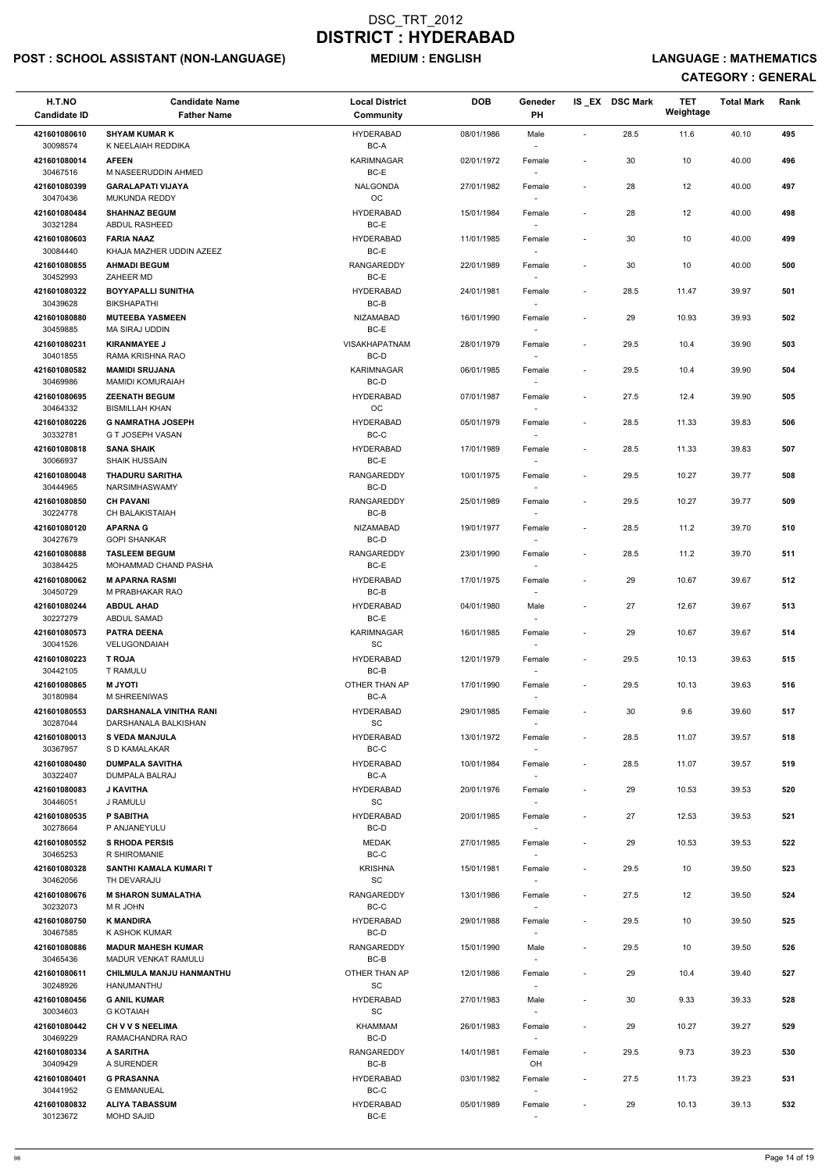## POST : SCHOOL ASSISTANT (NON-LANGUAGE) MEDIUM : ENGLISH LANGUAGE : MATHEMATICS

| H.T.NO<br><b>Candidate ID</b> | <b>Candidate Name</b><br><b>Father Name</b>                   | <b>Local District</b><br>Community      | <b>DOB</b> | Geneder<br>PH                      |                              | IS_EX DSC Mark | TET<br>Weightage | <b>Total Mark</b> | Rank |
|-------------------------------|---------------------------------------------------------------|-----------------------------------------|------------|------------------------------------|------------------------------|----------------|------------------|-------------------|------|
|                               |                                                               |                                         |            |                                    |                              |                |                  |                   |      |
| 421601080610<br>30098574      | <b>SHYAM KUMAR K</b><br>K NEELAIAH REDDIKA                    | <b>HYDERABAD</b><br>BC-A                | 08/01/1986 | Male                               | $\overline{\phantom{a}}$     | 28.5           | 11.6             | 40.10             | 495  |
| 421601080014<br>30467516      | <b>AFEEN</b><br>M NASEERUDDIN AHMED                           | <b>KARIMNAGAR</b><br>BC-E               | 02/01/1972 | Female                             | $\overline{\phantom{a}}$     | 30             | 10               | 40.00             | 496  |
| 421601080399<br>30470436      | <b>GARALAPATI VIJAYA</b><br><b>MUKUNDA REDDY</b>              | <b>NALGONDA</b><br>OC                   | 27/01/1982 | Female                             | $\overline{\phantom{a}}$     | 28             | 12               | 40.00             | 497  |
| 421601080484                  | <b>SHAHNAZ BEGUM</b>                                          | <b>HYDERABAD</b>                        | 15/01/1984 | Female                             | $\overline{\phantom{a}}$     | 28             | 12               | 40.00             | 498  |
| 30321284<br>421601080603      | ABDUL RASHEED<br><b>FARIA NAAZ</b>                            | BC-E<br><b>HYDERABAD</b>                | 11/01/1985 | $\sim$<br>Female                   | $\overline{\phantom{a}}$     | 30             | 10               | 40.00             | 499  |
| 30084440                      | KHAJA MAZHER UDDIN AZEEZ                                      | BC-E                                    |            |                                    |                              |                |                  |                   |      |
| 421601080855<br>30452993      | <b>AHMADI BEGUM</b><br>ZAHEER MD                              | <b>RANGAREDDY</b><br>BC-E               | 22/01/1989 | Female<br>$\sim$                   | $\overline{\phantom{a}}$     | 30             | 10               | 40.00             | 500  |
| 421601080322<br>30439628      | <b>BOYYAPALLI SUNITHA</b><br><b>BIKSHAPATHI</b>               | <b>HYDERABAD</b><br>BC-B                | 24/01/1981 | Female                             | $\overline{\phantom{a}}$     | 28.5           | 11.47            | 39.97             | 501  |
| 421601080880<br>30459885      | <b>MUTEEBA YASMEEN</b><br>MA SIRAJ UDDIN                      | <b>NIZAMABAD</b><br>BC-E                | 16/01/1990 | Female                             | $\overline{\phantom{a}}$     | 29             | 10.93            | 39.93             | 502  |
| 421601080231                  | <b>KIRANMAYEE J</b>                                           | <b>VISAKHAPATNAM</b>                    | 28/01/1979 | Female                             | $\overline{\phantom{a}}$     | 29.5           | 10.4             | 39.90             | 503  |
| 30401855                      | RAMA KRISHNA RAO                                              | BC-D                                    |            |                                    |                              |                |                  |                   |      |
| 421601080582<br>30469986      | <b>MAMIDI SRUJANA</b><br><b>MAMIDI KOMURAIAH</b>              | <b>KARIMNAGAR</b><br>BC-D               | 06/01/1985 | Female                             | $\overline{\phantom{a}}$     | 29.5           | 10.4             | 39.90             | 504  |
| 421601080695                  | <b>ZEENATH BEGUM</b>                                          | <b>HYDERABAD</b>                        | 07/01/1987 | Female                             | $\overline{\phantom{a}}$     | 27.5           | 12.4             | 39.90             | 505  |
| 30464332                      | <b>BISMILLAH KHAN</b>                                         | OC                                      |            |                                    |                              |                |                  |                   |      |
| 421601080226<br>30332781      | <b>G NAMRATHA JOSEPH</b><br>G T JOSEPH VASAN                  | <b>HYDERABAD</b><br>BC-C                | 05/01/1979 | Female                             | $\overline{\phantom{a}}$     | 28.5           | 11.33            | 39.83             | 506  |
| 421601080818<br>30066937      | <b>SANA SHAIK</b><br><b>SHAIK HUSSAIN</b>                     | <b>HYDERABAD</b><br>BC-E                | 17/01/1989 | Female<br>$\sim$                   | $\overline{\phantom{a}}$     | 28.5           | 11.33            | 39.83             | 507  |
| 421601080048                  | <b>THADURU SARITHA</b>                                        | <b>RANGAREDDY</b>                       | 10/01/1975 | Female                             | $\overline{\phantom{a}}$     | 29.5           | 10.27            | 39.77             | 508  |
| 30444965<br>421601080850      | <b>NARSIMHASWAMY</b><br><b>CH PAVANI</b>                      | BC-D<br><b>RANGAREDDY</b>               | 25/01/1989 | Female                             | $\overline{\phantom{a}}$     | 29.5           | 10.27            | 39.77             | 509  |
| 30224778                      | CH BALAKISTAIAH                                               | BC-B                                    |            |                                    |                              |                |                  |                   |      |
| 421601080120<br>30427679      | <b>APARNA G</b><br><b>GOPI SHANKAR</b>                        | <b>NIZAMABAD</b><br>BC-D                | 19/01/1977 | Female                             | $\overline{\phantom{a}}$     | 28.5           | 11.2             | 39.70             | 510  |
| 421601080888<br>30384425      | <b>TASLEEM BEGUM</b><br><b>MOHAMMAD CHAND PASHA</b>           | RANGAREDDY<br>BC-E                      | 23/01/1990 | Female<br>$\sim$                   | $\qquad \qquad \blacksquare$ | 28.5           | 11.2             | 39.70             | 511  |
| 421601080062<br>30450729      | <b>M APARNA RASMI</b><br>M PRABHAKAR RAO                      | <b>HYDERABAD</b><br>BC-B                | 17/01/1975 | Female                             | $\overline{\phantom{a}}$     | 29             | 10.67            | 39.67             | 512  |
| 421601080244                  | <b>ABDUL AHAD</b>                                             | <b>HYDERABAD</b>                        | 04/01/1980 | Male                               | $\overline{\phantom{a}}$     | 27             | 12.67            | 39.67             | 513  |
| 30227279                      | <b>ABDUL SAMAD</b>                                            | BC-E                                    |            |                                    |                              |                |                  |                   |      |
| 421601080573<br>30041526      | <b>PATRA DEENA</b><br>VELUGONDAIAH                            | <b>KARIMNAGAR</b><br>SC                 | 16/01/1985 | Female                             | $\qquad \qquad \blacksquare$ | 29             | 10.67            | 39.67             | 514  |
| 421601080223<br>30442105      | <b>T ROJA</b><br><b>T RAMULU</b>                              | <b>HYDERABAD</b><br>BC-B                | 12/01/1979 | Female                             | $\overline{\phantom{a}}$     | 29.5           | 10.13            | 39.63             | 515  |
| 421601080865                  | <b>ITOYU M</b>                                                | OTHER THAN AP                           | 17/01/1990 | Female                             | $\overline{\phantom{a}}$     | 29.5           | 10.13            | 39.63             | 516  |
| 30180984<br>421601080553      | M SHREENIWAS<br>DARSHANALA VINITHA RANI                       | BC-A<br><b>HYDERABAD</b>                | 29/01/1985 | $\sim$<br>Female                   | $\overline{\phantom{a}}$     | 30             | 9.6              | 39.60             | 517  |
| 30287044                      | DARSHANALA BALKISHAN                                          | SC                                      |            |                                    |                              |                |                  |                   |      |
| 421601080013<br>30367957      | <b>S VEDA MANJULA</b><br>S D KAMALAKAR                        | <b>HYDERABAD</b><br>BC-C                | 13/01/1972 | Female                             | $\overline{\phantom{a}}$     | 28.5           | 11.07            | 39.57             | 518  |
| 421601080480<br>30322407      | <b>DUMPALA SAVITHA</b><br>DUMPALA BALRAJ                      | <b>HYDERABAD</b><br>BC-A                | 10/01/1984 | Female<br>$\overline{\phantom{a}}$ | $\overline{\phantom{a}}$     | 28.5           | 11.07            | 39.57             | 519  |
| 421601080083<br>30446051      | <b>J KAVITHA</b><br>J RAMULU                                  | <b>HYDERABAD</b><br><b>SC</b>           | 20/01/1976 | Female<br>$\sim$                   | $\overline{\phantom{a}}$     | 29             | 10.53            | 39.53             | 520  |
| 421601080535<br>30278664      | <b>P SABITHA</b><br>P ANJANEYULU                              | <b>HYDERABAD</b><br>BC-D                | 20/01/1985 | Female                             | $\overline{\phantom{a}}$     | 27             | 12.53            | 39.53             | 521  |
| 421601080552                  | <b>S RHODA PERSIS</b>                                         | <b>MEDAK</b>                            | 27/01/1985 | Female                             | $\overline{\phantom{a}}$     | 29             | 10.53            | 39.53             | 522  |
| 30465253                      | R SHIROMANIE                                                  | BC-C                                    |            |                                    |                              |                |                  |                   |      |
| 421601080328<br>30462056      | SANTHI KAMALA KUMARI T<br>TH DEVARAJU                         | <b>KRISHNA</b><br>SC                    | 15/01/1981 | Female<br>$\sim$                   | $\overline{\phantom{a}}$     | 29.5           | 10               | 39.50             | 523  |
| 421601080676                  | <b>M SHARON SUMALATHA</b>                                     | <b>RANGAREDDY</b>                       | 13/01/1986 | Female                             | $\overline{\phantom{a}}$     | 27.5           | 12               | 39.50             | 524  |
| 30232073<br>421601080750      | M R JOHN<br><b>K MANDIRA</b>                                  | BC-C<br><b>HYDERABAD</b>                | 29/01/1988 | $\overline{\phantom{a}}$<br>Female | $\overline{\phantom{a}}$     | 29.5           | 10               | 39.50             | 525  |
| 30467585                      | K ASHOK KUMAR                                                 | BC-D                                    |            |                                    |                              |                |                  |                   |      |
| 421601080886                  | <b>MADUR MAHESH KUMAR</b>                                     | <b>RANGAREDDY</b>                       | 15/01/1990 | Male                               | $\overline{\phantom{a}}$     | 29.5           | 10               | 39.50             | 526  |
| 30465436<br>421601080611      | <b>MADUR VENKAT RAMULU</b><br><b>CHILMULA MANJU HANMANTHU</b> | BC-B<br>OTHER THAN AP                   | 12/01/1986 | Female                             | $\overline{\phantom{a}}$     | 29             | 10.4             | 39.40             | 527  |
| 30248926<br>421601080456      | HANUMANTHU<br><b>G ANIL KUMAR</b>                             | SC<br><b>HYDERABAD</b>                  | 27/01/1983 | $\sim$<br>Male                     |                              | 30             | 9.33             | 39.33             | 528  |
| 30034603<br>421601080442      | <b>G KOTAIAH</b><br><b>CH V V S NEELIMA</b>                   | $\operatorname{\textsf{SC}}$<br>KHAMMAM | 26/01/1983 |                                    |                              |                |                  |                   | 529  |
| 30469229                      | RAMACHANDRA RAO                                               | BC-D                                    |            | Female                             | $\overline{\phantom{a}}$     | 29             | 10.27            | 39.27             |      |
| 421601080334<br>30409429      | A SARITHA<br>A SURENDER                                       | <b>RANGAREDDY</b><br>BC-B               | 14/01/1981 | Female<br>OH                       | $\overline{\phantom{a}}$     | 29.5           | 9.73             | 39.23             | 530  |
| 421601080401<br>30441952      | <b>G PRASANNA</b><br><b>G EMMANUEAL</b>                       | <b>HYDERABAD</b><br>BC-C                | 03/01/1982 | Female                             | $\overline{\phantom{a}}$     | 27.5           | 11.73            | 39.23             | 531  |
| 421601080832                  | <b>ALIYA TABASSUM</b>                                         | <b>HYDERABAD</b>                        | 05/01/1989 | $\sim$<br>Female                   | $\overline{\phantom{a}}$     | 29             | 10.13            | 39.13             | 532  |
| 30123672                      | <b>MOHD SAJID</b>                                             | BC-E                                    |            | $\overline{\phantom{a}}$           |                              |                |                  |                   |      |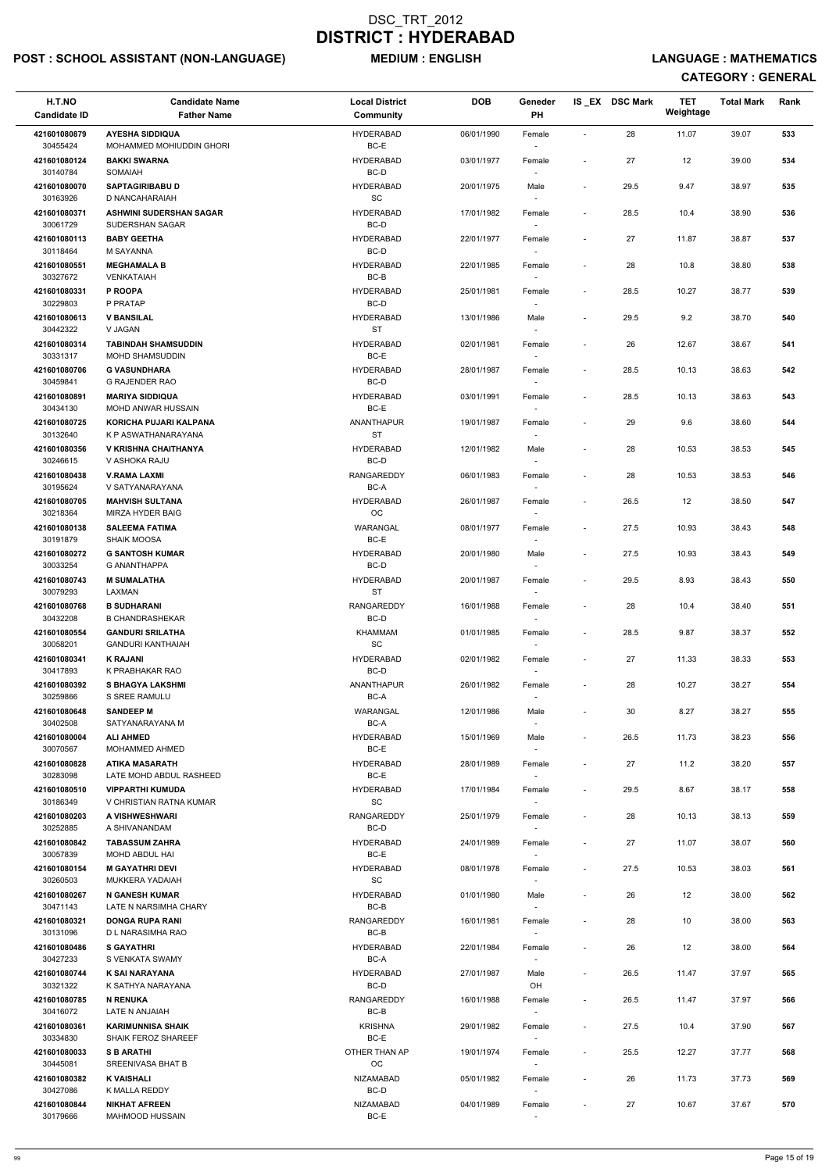## POST : SCHOOL ASSISTANT (NON-LANGUAGE) MEDIUM : ENGLISH LANGUAGE : MATHEMATICS

| H.T.NO                   | <b>Candidate Name</b>                                  | <b>Local District</b>         | <b>DOB</b> | Geneder                            |                          | IS_EX DSC Mark | <b>TET</b><br>Weightage | <b>Total Mark</b> | Rank |
|--------------------------|--------------------------------------------------------|-------------------------------|------------|------------------------------------|--------------------------|----------------|-------------------------|-------------------|------|
| <b>Candidate ID</b>      | <b>Father Name</b>                                     | Community                     |            | PH                                 |                          |                |                         |                   |      |
| 421601080879<br>30455424 | <b>AYESHA SIDDIQUA</b><br>MOHAMMED MOHIUDDIN GHORI     | <b>HYDERABAD</b><br>BC-E      | 06/01/1990 | Female                             | $\sim$                   | 28             | 11.07                   | 39.07             | 533  |
| 421601080124             | <b>BAKKI SWARNA</b>                                    | <b>HYDERABAD</b>              | 03/01/1977 | Female                             | $\blacksquare$           | 27             | 12                      | 39.00             | 534  |
| 30140784                 | SOMAIAH                                                | BC-D                          |            |                                    |                          |                |                         |                   |      |
| 421601080070<br>30163926 | <b>SAPTAGIRIBABU D</b><br>D NANCAHARAIAH               | <b>HYDERABAD</b><br>SC        | 20/01/1975 | Male                               | $\overline{\phantom{a}}$ | 29.5           | 9.47                    | 38.97             | 535  |
| 421601080371             | <b>ASHWINI SUDERSHAN SAGAR</b>                         | <b>HYDERABAD</b>              | 17/01/1982 | Female                             | $\overline{\phantom{a}}$ | 28.5           | 10.4                    | 38.90             | 536  |
| 30061729                 | SUDERSHAN SAGAR                                        | BC-D                          |            | $\sim$                             |                          |                |                         |                   |      |
| 421601080113<br>30118464 | <b>BABY GEETHA</b><br>M SAYANNA                        | <b>HYDERABAD</b><br>BC-D      | 22/01/1977 | Female                             | $\overline{\phantom{a}}$ | 27             | 11.87                   | 38.87             | 537  |
| 421601080551             | <b>MEGHAMALA B</b>                                     | <b>HYDERABAD</b>              | 22/01/1985 | Female                             | $\overline{\phantom{a}}$ | 28             | 10.8                    | 38.80             | 538  |
| 30327672                 | <b>VENKATAIAH</b>                                      | BC-B                          |            | $\sim$                             |                          |                |                         |                   |      |
| 421601080331<br>30229803 | P ROOPA<br>P PRATAP                                    | <b>HYDERABAD</b><br>BC-D      | 25/01/1981 | Female                             | $\overline{\phantom{a}}$ | 28.5           | 10.27                   | 38.77             | 539  |
| 421601080613             | <b>V BANSILAL</b>                                      | <b>HYDERABAD</b>              | 13/01/1986 | Male                               | $\overline{\phantom{a}}$ | 29.5           | 9.2                     | 38.70             | 540  |
| 30442322                 | V JAGAN                                                | <b>ST</b>                     |            |                                    |                          |                |                         |                   |      |
| 421601080314<br>30331317 | <b>TABINDAH SHAMSUDDIN</b><br><b>MOHD SHAMSUDDIN</b>   | <b>HYDERABAD</b><br>BC-E      | 02/01/1981 | Female<br>$\overline{\phantom{a}}$ | $\blacksquare$           | 26             | 12.67                   | 38.67             | 541  |
| 421601080706             | <b>G VASUNDHARA</b>                                    | <b>HYDERABAD</b>              | 28/01/1987 | Female                             | $\overline{\phantom{a}}$ | 28.5           | 10.13                   | 38.63             | 542  |
| 30459841                 | <b>G RAJENDER RAO</b><br><b>MARIYA SIDDIQUA</b>        | BC-D<br><b>HYDERABAD</b>      |            |                                    |                          |                |                         |                   |      |
| 421601080891<br>30434130 | <b>MOHD ANWAR HUSSAIN</b>                              | BC-E                          | 03/01/1991 | Female                             | $\blacksquare$           | 28.5           | 10.13                   | 38.63             | 543  |
| 421601080725             | KORICHA PUJARI KALPANA                                 | <b>ANANTHAPUR</b>             | 19/01/1987 | Female                             | $\overline{\phantom{a}}$ | 29             | 9.6                     | 38.60             | 544  |
| 30132640<br>421601080356 | K P ASWATHANARAYANA<br>V KRISHNA CHAITHANYA            | <b>ST</b><br><b>HYDERABAD</b> | 12/01/1982 | Male                               | $\overline{\phantom{a}}$ | 28             | 10.53                   | 38.53             | 545  |
| 30246615                 | V ASHOKA RAJU                                          | BC-D                          |            | $\sim$                             |                          |                |                         |                   |      |
| 421601080438<br>30195624 | <b>V.RAMA LAXMI</b><br>V SATYANARAYANA                 | RANGAREDDY<br>BC-A            | 06/01/1983 | Female                             | $\overline{\phantom{a}}$ | 28             | 10.53                   | 38.53             | 546  |
| 421601080705             | <b>MAHVISH SULTANA</b>                                 | <b>HYDERABAD</b>              | 26/01/1987 | Female                             | $\overline{\phantom{a}}$ | 26.5           | 12                      | 38.50             | 547  |
| 30218364                 | MIRZA HYDER BAIG                                       | OC                            |            |                                    |                          |                |                         |                   |      |
| 421601080138<br>30191879 | <b>SALEEMA FATIMA</b><br>SHAIK MOOSA                   | WARANGAL<br>BC-E              | 08/01/1977 | Female                             | $\overline{\phantom{a}}$ | 27.5           | 10.93                   | 38.43             | 548  |
| 421601080272             | <b>G SANTOSH KUMAR</b>                                 | <b>HYDERABAD</b>              | 20/01/1980 | Male                               | $\overline{\phantom{a}}$ | 27.5           | 10.93                   | 38.43             | 549  |
| 30033254<br>421601080743 | <b>G ANANTHAPPA</b><br><b>M SUMALATHA</b>              | BC-D<br><b>HYDERABAD</b>      | 20/01/1987 | $\sim$                             | $\overline{\phantom{a}}$ | 29.5           | 8.93                    | 38.43             | 550  |
| 30079293                 | LAXMAN                                                 | ST                            |            | Female                             |                          |                |                         |                   |      |
| 421601080768             | <b>B SUDHARANI</b>                                     | RANGAREDDY<br>BC-D            | 16/01/1988 | Female                             | $\overline{\phantom{a}}$ | 28             | 10.4                    | 38.40             | 551  |
| 30432208<br>421601080554 | <b>B CHANDRASHEKAR</b><br><b>GANDURI SRILATHA</b>      | KHAMMAM                       | 01/01/1985 | Female                             | $\blacksquare$           | 28.5           | 9.87                    | 38.37             | 552  |
| 30058201                 | <b>GANDURI KANTHAIAH</b>                               | SC                            |            | $\overline{\phantom{a}}$           |                          |                |                         |                   |      |
| 421601080341<br>30417893 | <b>K RAJANI</b><br>K PRABHAKAR RAO                     | <b>HYDERABAD</b><br>BC-D      | 02/01/1982 | Female<br>$\sim$                   | $\overline{\phantom{a}}$ | 27             | 11.33                   | 38.33             | 553  |
| 421601080392             | <b>S BHAGYA LAKSHMI</b>                                | ANANTHAPUR                    | 26/01/1982 | Female                             | $\overline{\phantom{a}}$ | 28             | 10.27                   | 38.27             | 554  |
| 30259866                 | S SREE RAMULU                                          | BC-A                          |            |                                    |                          |                |                         |                   |      |
| 421601080648<br>30402508 | <b>SANDEEP M</b><br>SATYANARAYANA M                    | WARANGAL<br>BC-A              | 12/01/1986 | Male                               | $\overline{\phantom{a}}$ | 30             | 8.27                    | 38.27             | 555  |
| 421601080004             | <b>ALI AHMED</b>                                       | <b>HYDERABAD</b>              | 15/01/1969 | Male                               | $\overline{\phantom{a}}$ | 26.5           | 11.73                   | 38.23             | 556  |
| 30070567<br>421601080828 | MOHAMMED AHMED<br><b>ATIKA MASARATH</b>                | BC-E<br><b>HYDERABAD</b>      | 28/01/1989 | $\overline{\phantom{a}}$<br>Female | $\overline{\phantom{a}}$ | 27             | 11.2                    | 38.20             | 557  |
| 30283098                 | LATE MOHD ABDUL RASHEED                                | BC-E                          |            |                                    |                          |                |                         |                   |      |
| 421601080510             | <b>VIPPARTHI KUMUDA</b>                                | <b>HYDERABAD</b><br><b>SC</b> | 17/01/1984 | Female                             | $\overline{\phantom{a}}$ | 29.5           | 8.67                    | 38.17             | 558  |
| 30186349<br>421601080203 | V CHRISTIAN RATNA KUMAR<br>A VISHWESHWARI              | RANGAREDDY                    | 25/01/1979 | Female                             | $\overline{\phantom{a}}$ | 28             | 10.13                   | 38.13             | 559  |
| 30252885                 | A SHIVANANDAM                                          | BC-D                          |            |                                    |                          |                |                         |                   |      |
| 421601080842<br>30057839 | <b>TABASSUM ZAHRA</b><br>MOHD ABDUL HAI                | <b>HYDERABAD</b><br>BC-E      | 24/01/1989 | Female                             | $\overline{\phantom{a}}$ | 27             | 11.07                   | 38.07             | 560  |
| 421601080154             | <b>M GAYATHRI DEVI</b>                                 | <b>HYDERABAD</b>              | 08/01/1978 | Female                             | $\overline{\phantom{a}}$ | 27.5           | 10.53                   | 38.03             | 561  |
| 30260503                 | MUKKERA YADAIAH                                        | SC                            |            | $\overline{\phantom{a}}$           |                          |                |                         |                   |      |
| 421601080267<br>30471143 | <b>N GANESH KUMAR</b><br>LATE N NARSIMHA CHARY         | <b>HYDERABAD</b><br>BC-B      | 01/01/1980 | Male<br>$\overline{\phantom{a}}$   | $\overline{\phantom{a}}$ | 26             | 12                      | 38.00             | 562  |
| 421601080321             | <b>DONGA RUPA RANI</b>                                 | RANGAREDDY                    | 16/01/1981 | Female                             | $\overline{\phantom{a}}$ | 28             | 10                      | 38.00             | 563  |
| 30131096<br>421601080486 | D L NARASIMHA RAO<br><b>S GAYATHRI</b>                 | BC-B<br><b>HYDERABAD</b>      | 22/01/1984 | Female                             | $\overline{\phantom{a}}$ | 26             | 12                      | 38.00             | 564  |
| 30427233                 | S VENKATA SWAMY                                        | BC-A                          |            |                                    |                          |                |                         |                   |      |
| 421601080744             | <b>K SAI NARAYANA</b>                                  | <b>HYDERABAD</b>              | 27/01/1987 | Male                               | $\sim$                   | 26.5           | 11.47                   | 37.97             | 565  |
| 30321322<br>421601080785 | K SATHYA NARAYANA<br><b>N RENUKA</b>                   | BC-D<br>RANGAREDDY            | 16/01/1988 | OH<br>Female                       | $\overline{\phantom{a}}$ | 26.5           | 11.47                   | 37.97             | 566  |
| 30416072                 | LATE N ANJAIAH                                         | BC-B                          |            |                                    |                          |                |                         |                   |      |
| 421601080361<br>30334830 | <b>KARIMUNNISA SHAIK</b><br><b>SHAIK FEROZ SHAREEF</b> | <b>KRISHNA</b><br>BC-E        | 29/01/1982 | Female                             | $\overline{\phantom{a}}$ | 27.5           | 10.4                    | 37.90             | 567  |
| 421601080033             | <b>S B ARATHI</b>                                      | OTHER THAN AP                 | 19/01/1974 | Female                             | $\overline{\phantom{a}}$ | 25.5           | 12.27                   | 37.77             | 568  |
| 30445081                 | SREENIVASA BHAT B                                      | OC                            |            | $\overline{\phantom{a}}$           |                          |                |                         |                   |      |
| 421601080382<br>30427086 | <b>K VAISHALI</b><br>K MALLA REDDY                     | NIZAMABAD<br>BC-D             | 05/01/1982 | Female<br>$\overline{\phantom{a}}$ | $\overline{\phantom{a}}$ | 26             | 11.73                   | 37.73             | 569  |
| 421601080844             | <b>NIKHAT AFREEN</b>                                   | NIZAMABAD<br>BC-E             | 04/01/1989 | Female                             | $\overline{\phantom{a}}$ | 27             | 10.67                   | 37.67             | 570  |
| 30179666                 | <b>MAHMOOD HUSSAIN</b>                                 |                               |            | $\sim$                             |                          |                |                         |                   |      |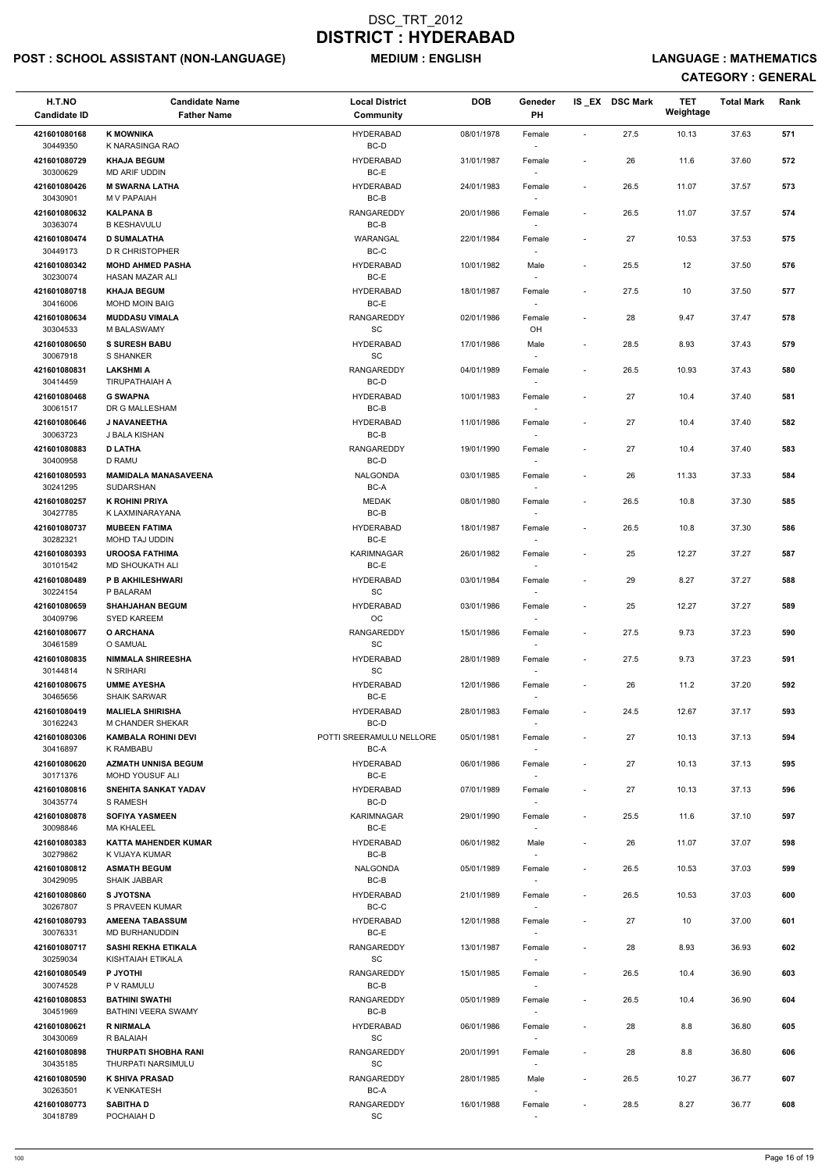## POST : SCHOOL ASSISTANT (NON-LANGUAGE) MEDIUM : ENGLISH LANGUAGE : MATHEMATICS

| H.T.NO<br><b>Candidate ID</b> | <b>Candidate Name</b><br><b>Father Name</b>       | <b>Local District</b><br>Community | <b>DOB</b> | Geneder<br>PH                      |                          | IS_EX DSC Mark | <b>TET</b><br>Weightage | <b>Total Mark</b> | Rank |
|-------------------------------|---------------------------------------------------|------------------------------------|------------|------------------------------------|--------------------------|----------------|-------------------------|-------------------|------|
| 421601080168<br>30449350      | <b>K MOWNIKA</b><br>K NARASINGA RAO               | <b>HYDERABAD</b><br>BC-D           | 08/01/1978 | Female                             | $\overline{\phantom{a}}$ | 27.5           | 10.13                   | 37.63             | 571  |
| 421601080729                  | <b>KHAJA BEGUM</b>                                | <b>HYDERABAD</b>                   | 31/01/1987 | Female                             | $\overline{\phantom{a}}$ | 26             | 11.6                    | 37.60             | 572  |
| 30300629<br>421601080426      | MD ARIF UDDIN<br><b>M SWARNA LATHA</b>            | BC-E<br>HYDERABAD                  | 24/01/1983 | Female                             | $\overline{\phantom{a}}$ | 26.5           | 11.07                   | 37.57             | 573  |
| 30430901<br>421601080632      | M V PAPAIAH<br><b>KALPANA B</b>                   | BC-B<br><b>RANGAREDDY</b>          | 20/01/1986 | Female                             | $\overline{\phantom{a}}$ | 26.5           | 11.07                   | 37.57             | 574  |
| 30363074<br>421601080474      | <b>B KESHAVULU</b><br><b>D SUMALATHA</b>          | $BC-B$<br>WARANGAL                 | 22/01/1984 | Female                             | $\overline{\phantom{a}}$ | 27             | 10.53                   | 37.53             | 575  |
| 30449173                      | <b>D R CHRISTOPHER</b>                            | BC-C                               |            |                                    |                          |                |                         |                   |      |
| 421601080342<br>30230074      | <b>MOHD AHMED PASHA</b><br>HASAN MAZAR ALI        | <b>HYDERABAD</b><br>BC-E           | 10/01/1982 | Male                               | $\overline{\phantom{a}}$ | 25.5           | 12                      | 37.50             | 576  |
| 421601080718<br>30416006      | <b>KHAJA BEGUM</b><br><b>MOHD MOIN BAIG</b>       | <b>HYDERABAD</b><br>BC-E           | 18/01/1987 | Female                             | $\blacksquare$           | 27.5           | 10                      | 37.50             | 577  |
| 421601080634<br>30304533      | <b>MUDDASU VIMALA</b><br>M BALASWAMY              | <b>RANGAREDDY</b><br>SC            | 02/01/1986 | Female<br>OH                       | $\overline{\phantom{a}}$ | 28             | 9.47                    | 37.47             | 578  |
| 421601080650<br>30067918      | <b>S SURESH BABU</b><br><b>S SHANKER</b>          | <b>HYDERABAD</b><br>SC             | 17/01/1986 | Male<br>$\sim$                     | $\overline{\phantom{a}}$ | 28.5           | 8.93                    | 37.43             | 579  |
| 421601080831                  | <b>LAKSHMI A</b>                                  | <b>RANGAREDDY</b>                  | 04/01/1989 | Female                             | $\overline{\phantom{a}}$ | 26.5           | 10.93                   | 37.43             | 580  |
| 30414459                      | TIRUPATHAIAH A<br><b>G SWAPNA</b>                 | BC-D                               |            |                                    |                          |                |                         |                   |      |
| 421601080468<br>30061517      | DR G MALLESHAM                                    | HYDERABAD<br>BC-B                  | 10/01/1983 | Female                             | $\overline{\phantom{a}}$ | 27             | 10.4                    | 37.40             | 581  |
| 421601080646<br>30063723      | <b>J NAVANEETHA</b><br>J BALA KISHAN              | <b>HYDERABAD</b><br>BC-B           | 11/01/1986 | Female                             | $\overline{\phantom{m}}$ | 27             | 10.4                    | 37.40             | 582  |
| 421601080883<br>30400958      | <b>D LATHA</b><br><b>D RAMU</b>                   | <b>RANGAREDDY</b><br>BC-D          | 19/01/1990 | Female<br>$\sim$                   | $\overline{\phantom{a}}$ | 27             | 10.4                    | 37.40             | 583  |
| 421601080593<br>30241295      | <b>MAMIDALA MANASAVEENA</b><br>SUDARSHAN          | NALGONDA<br>BC-A                   | 03/01/1985 | Female                             | $\overline{\phantom{a}}$ | 26             | 11.33                   | 37.33             | 584  |
| 421601080257<br>30427785      | <b>K ROHINI PRIYA</b><br>K LAXMINARAYANA          | <b>MEDAK</b><br>BC-B               | 08/01/1980 | Female                             | $\overline{\phantom{a}}$ | 26.5           | 10.8                    | 37.30             | 585  |
| 421601080737<br>30282321      | <b>MUBEEN FATIMA</b><br>MOHD TAJ UDDIN            | HYDERABAD<br>$BC-E$                | 18/01/1987 | Female                             | $\overline{\phantom{a}}$ | 26.5           | 10.8                    | 37.30             | 586  |
| 421601080393                  | <b>UROOSA FATHIMA</b>                             | <b>KARIMNAGAR</b>                  | 26/01/1982 | Female                             | $\overline{\phantom{a}}$ | 25             | 12.27                   | 37.27             | 587  |
| 30101542<br>421601080489      | MD SHOUKATH ALI<br><b>P B AKHILESHWARI</b>        | BC-E<br><b>HYDERABAD</b>           | 03/01/1984 | $\sim$<br>Female                   | $\overline{\phantom{a}}$ | 29             | 8.27                    | 37.27             | 588  |
| 30224154<br>421601080659      | P BALARAM<br><b>SHAHJAHAN BEGUM</b>               | SC<br><b>HYDERABAD</b>             | 03/01/1986 | $\sim$<br>Female                   | $\overline{\phantom{a}}$ | 25             | 12.27                   | 37.27             | 589  |
| 30409796                      | <b>SYED KAREEM</b>                                | <b>OC</b>                          |            |                                    |                          |                |                         |                   |      |
| 421601080677<br>30461589      | <b>O ARCHANA</b><br>O SAMUAL                      | <b>RANGAREDDY</b><br><b>SC</b>     | 15/01/1986 | Female                             | $\overline{\phantom{a}}$ | 27.5           | 9.73                    | 37.23             | 590  |
| 421601080835<br>30144814      | <b>NIMMALA SHIREESHA</b><br>N SRIHARI             | <b>HYDERABAD</b><br>SC             | 28/01/1989 | Female                             | $\overline{\phantom{a}}$ | 27.5           | 9.73                    | 37.23             | 591  |
| 421601080675<br>30465656      | <b>UMME AYESHA</b><br><b>SHAIK SARWAR</b>         | <b>HYDERABAD</b><br>BC-E           | 12/01/1986 | Female<br>$\sim$                   | $\overline{\phantom{a}}$ | 26             | 11.2                    | 37.20             | 592  |
| 421601080419<br>30162243      | <b>MALIELA SHIRISHA</b><br>M CHANDER SHEKAR       | HYDERABAD<br>BC-D                  | 28/01/1983 | Female                             | $\overline{\phantom{a}}$ | 24.5           | 12.67                   | 37.17             | 593  |
| 421601080306                  | <b>KAMBALA ROHINI DEVI</b>                        | POTTI SREERAMULU NELLORE           | 05/01/1981 | Female                             | $\overline{\phantom{a}}$ | 27             | 10.13                   | 37.13             | 594  |
| 30416897<br>421601080620      | K RAMBABU<br><b>AZMATH UNNISA BEGUM</b>           | BC-A<br><b>HYDERABAD</b>           | 06/01/1986 | Female                             | $\blacksquare$           | 27             | 10.13                   | 37.13             | 595  |
| 30171376<br>421601080816      | MOHD YOUSUF ALI<br><b>SNEHITA SANKAT YADAV</b>    | BC-E<br>HYDERABAD                  | 07/01/1989 | $\sim$<br>Female                   | $\overline{\phantom{a}}$ | 27             | 10.13                   | 37.13             | 596  |
| 30435774<br>421601080878      | S RAMESH<br><b>SOFIYA YASMEEN</b>                 | BC-D<br><b>KARIMNAGAR</b>          | 29/01/1990 | $\sim$<br>Female                   | $\overline{\phantom{a}}$ | 25.5           | 11.6                    | 37.10             | 597  |
| 30098846                      | <b>MA KHALEEL</b>                                 | BC-E                               |            |                                    |                          |                |                         |                   |      |
| 421601080383<br>30279862      | <b>KATTA MAHENDER KUMAR</b><br>K VIJAYA KUMAR     | HYDERABAD<br>BC-B                  | 06/01/1982 | Male                               | $\overline{\phantom{a}}$ | 26             | 11.07                   | 37.07             | 598  |
| 421601080812<br>30429095      | <b>ASMATH BEGUM</b><br><b>SHAIK JABBAR</b>        | <b>NALGONDA</b><br>BC-B            | 05/01/1989 | Female<br>$\sim$                   | $\overline{\phantom{a}}$ | 26.5           | 10.53                   | 37.03             | 599  |
| 421601080860                  | <b>S JYOTSNA</b>                                  | <b>HYDERABAD</b>                   | 21/01/1989 | Female                             | $\overline{\phantom{a}}$ | 26.5           | 10.53                   | 37.03             | 600  |
| 30267807<br>421601080793      | S PRAVEEN KUMAR<br><b>AMEENA TABASSUM</b>         | BC-C<br><b>HYDERABAD</b>           | 12/01/1988 | $\sim$<br>Female                   | $\overline{\phantom{a}}$ | 27             | 10                      | 37.00             | 601  |
| 30076331<br>421601080717      | MD BURHANUDDIN<br><b>SASHI REKHA ETIKALA</b>      | BC-E<br><b>RANGAREDDY</b>          | 13/01/1987 | Female                             | $\overline{\phantom{a}}$ | 28             | 8.93                    | 36.93             | 602  |
| 30259034                      | KISHTAIAH ETIKALA                                 | SC                                 |            |                                    |                          |                |                         |                   |      |
| 421601080549<br>30074528      | P JYOTHI<br>P V RAMULU                            | RANGAREDDY<br>BC-B                 | 15/01/1985 | Female<br>$\sim$                   | $\overline{\phantom{a}}$ | 26.5           | 10.4                    | 36.90             | 603  |
| 421601080853<br>30451969      | <b>BATHINI SWATHI</b><br>BATHINI VEERA SWAMY      | RANGAREDDY<br>BC-B                 | 05/01/1989 | Female<br>$\overline{\phantom{a}}$ | $\overline{\phantom{a}}$ | 26.5           | 10.4                    | 36.90             | 604  |
| 421601080621<br>30430069      | <b>R NIRMALA</b><br>R BALAIAH                     | <b>HYDERABAD</b><br>SC             | 06/01/1986 | Female                             | $\overline{\phantom{a}}$ | 28             | 8.8                     | 36.80             | 605  |
| 421601080898<br>30435185      | <b>THURPATI SHOBHA RANI</b><br>THURPATI NARSIMULU | RANGAREDDY<br>SC                   | 20/01/1991 | Female<br>$\sim$                   | $\overline{\phantom{a}}$ | 28             | 8.8                     | 36.80             | 606  |
| 421601080590<br>30263501      | <b>K SHIVA PRASAD</b><br>K VENKATESH              | RANGAREDDY<br>BC-A                 | 28/01/1985 | Male<br>$\sim$                     | $\overline{\phantom{a}}$ | 26.5           | 10.27                   | 36.77             | 607  |
| 421601080773<br>30418789      | <b>SABITHAD</b><br>POCHAIAH D                     | RANGAREDDY<br>SC                   | 16/01/1988 | Female                             | $\overline{\phantom{a}}$ | 28.5           | 8.27                    | 36.77             | 608  |
|                               |                                                   |                                    |            |                                    |                          |                |                         |                   |      |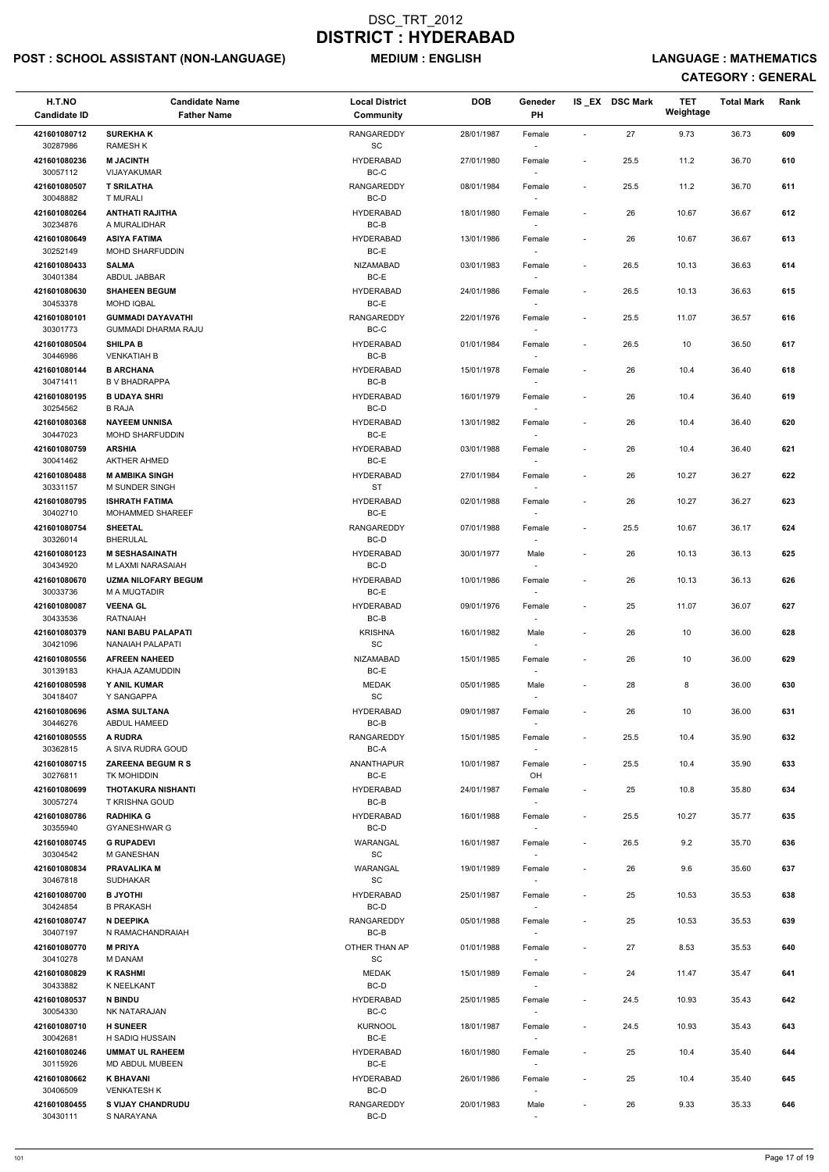## POST : SCHOOL ASSISTANT (NON-LANGUAGE) MEDIUM : ENGLISH LANGUAGE : MATHEMATICS

| H.T.NO                   | <b>Candidate Name</b>                                  | <b>Local District</b>                        | <b>DOB</b> | Geneder                            |                          | IS EX DSC Mark | <b>TET</b><br>Weightage | <b>Total Mark</b> | Rank |
|--------------------------|--------------------------------------------------------|----------------------------------------------|------------|------------------------------------|--------------------------|----------------|-------------------------|-------------------|------|
| <b>Candidate ID</b>      | <b>Father Name</b>                                     | <b>Community</b>                             |            | PH                                 |                          |                |                         |                   |      |
| 421601080712<br>30287986 | <b>SUREKHAK</b><br><b>RAMESH K</b>                     | <b>RANGAREDDY</b><br>SC                      | 28/01/1987 | Female                             | $\overline{\phantom{a}}$ | 27             | 9.73                    | 36.73             | 609  |
| 421601080236<br>30057112 | <b>M JACINTH</b><br>VIJAYAKUMAR                        | <b>HYDERABAD</b><br>BC-C                     | 27/01/1980 | Female                             | $\overline{\phantom{a}}$ | 25.5           | 11.2                    | 36.70             | 610  |
| 421601080507<br>30048882 | <b>T SRILATHA</b><br><b>T MURALI</b>                   | RANGAREDDY<br>BC-D                           | 08/01/1984 | Female                             | $\overline{\phantom{a}}$ | 25.5           | 11.2                    | 36.70             | 611  |
| 421601080264             | <b>ANTHATI RAJITHA</b>                                 | <b>HYDERABAD</b>                             | 18/01/1980 | Female                             | $\overline{\phantom{a}}$ | 26             | 10.67                   | 36.67             | 612  |
| 30234876<br>421601080649 | A MURALIDHAR<br><b>ASIYA FATIMA</b>                    | BC-B<br><b>HYDERABAD</b>                     | 13/01/1986 | $\sim$<br>Female                   | $\overline{\phantom{a}}$ | 26             | 10.67                   | 36.67             | 613  |
| 30252149                 | <b>MOHD SHARFUDDIN</b>                                 | BC-E                                         |            |                                    |                          |                |                         |                   |      |
| 421601080433<br>30401384 | <b>SALMA</b><br>ABDUL JABBAR                           | NIZAMABAD<br>BC-E                            | 03/01/1983 | Female                             | $\overline{\phantom{a}}$ | 26.5           | 10.13                   | 36.63             | 614  |
| 421601080630<br>30453378 | <b>SHAHEEN BEGUM</b><br><b>MOHD IQBAL</b>              | <b>HYDERABAD</b><br>BC-E                     | 24/01/1986 | Female                             | $\overline{\phantom{a}}$ | 26.5           | 10.13                   | 36.63             | 615  |
| 421601080101<br>30301773 | <b>GUMMADI DAYAVATHI</b><br><b>GUMMADI DHARMA RAJU</b> | RANGAREDDY<br>BC-C                           | 22/01/1976 | Female                             | $\overline{\phantom{a}}$ | 25.5           | 11.07                   | 36.57             | 616  |
| 421601080504             | <b>SHILPA B</b>                                        | <b>HYDERABAD</b>                             | 01/01/1984 | Female                             | $\overline{\phantom{a}}$ | 26.5           | 10                      | 36.50             | 617  |
| 30446986<br>421601080144 | <b>VENKATIAH B</b><br><b>B ARCHANA</b>                 | BC-B<br><b>HYDERABAD</b>                     | 15/01/1978 |                                    | $\overline{\phantom{a}}$ | 26             | 10.4                    | 36.40             | 618  |
| 30471411                 | <b>B V BHADRAPPA</b>                                   | BC-B                                         |            | Female<br>$\sim$                   |                          |                |                         |                   |      |
| 421601080195<br>30254562 | <b>B UDAYA SHRI</b><br><b>B RAJA</b>                   | <b>HYDERABAD</b><br>BC-D                     | 16/01/1979 | Female                             | $\overline{\phantom{a}}$ | 26             | 10.4                    | 36.40             | 619  |
| 421601080368<br>30447023 | <b>NAYEEM UNNISA</b><br><b>MOHD SHARFUDDIN</b>         | <b>HYDERABAD</b><br>BC-E                     | 13/01/1982 | Female                             | $\overline{\phantom{a}}$ | 26             | 10.4                    | 36.40             | 620  |
| 421601080759             | <b>ARSHIA</b><br><b>AKTHER AHMED</b>                   | <b>HYDERABAD</b>                             | 03/01/1988 | Female                             | $\overline{\phantom{a}}$ | 26             | 10.4                    | 36.40             | 621  |
| 30041462<br>421601080488 | <b>M AMBIKA SINGH</b>                                  | BC-E<br><b>HYDERABAD</b>                     | 27/01/1984 | $\sim$<br>Female                   | $\overline{\phantom{a}}$ | 26             | 10.27                   | 36.27             | 622  |
| 30331157                 | M SUNDER SINGH                                         | <b>ST</b>                                    |            |                                    |                          |                |                         |                   |      |
| 421601080795<br>30402710 | <b>ISHRATH FATIMA</b><br>MOHAMMED SHAREEF              | <b>HYDERABAD</b><br>BC-E                     | 02/01/1988 | Female                             | $\overline{\phantom{a}}$ | 26             | 10.27                   | 36.27             | 623  |
| 421601080754<br>30326014 | <b>SHEETAL</b><br><b>BHERULAL</b>                      | RANGAREDDY<br>$BC-D$                         | 07/01/1988 | Female                             | $\overline{\phantom{a}}$ | 25.5           | 10.67                   | 36.17             | 624  |
| 421601080123<br>30434920 | <b>M SESHASAINATH</b><br>M LAXMI NARASAIAH             | <b>HYDERABAD</b><br>BC-D                     | 30/01/1977 | Male<br>$\sim$                     | $\overline{a}$           | 26             | 10.13                   | 36.13             | 625  |
| 421601080670<br>30033736 | <b>UZMA NILOFARY BEGUM</b><br>M A MUQTADIR             | <b>HYDERABAD</b><br>BC-E                     | 10/01/1986 | Female                             | $\overline{\phantom{a}}$ | 26             | 10.13                   | 36.13             | 626  |
| 421601080087             | <b>VEENA GL</b>                                        | <b>HYDERABAD</b>                             | 09/01/1976 | Female                             | $\overline{\phantom{a}}$ | 25             | 11.07                   | 36.07             | 627  |
| 30433536                 | <b>RATNAIAH</b>                                        | BC-B                                         |            |                                    |                          |                |                         |                   |      |
| 421601080379<br>30421096 | <b>NANI BABU PALAPATI</b><br>NANAIAH PALAPATI          | <b>KRISHNA</b><br>SC                         | 16/01/1982 | Male<br>$\overline{\phantom{a}}$   | $\overline{\phantom{a}}$ | 26             | 10                      | 36.00             | 628  |
| 421601080556<br>30139183 | <b>AFREEN NAHEED</b><br>KHAJA AZAMUDDIN                | NIZAMABAD<br>BC-E                            | 15/01/1985 | Female<br>$\overline{\phantom{a}}$ | $\overline{\phantom{a}}$ | 26             | 10                      | 36.00             | 629  |
| 421601080598<br>30418407 | Y ANIL KUMAR<br>Y SANGAPPA                             | <b>MEDAK</b><br>$\operatorname{\textsf{SC}}$ | 05/01/1985 | Male<br>$\sim$                     | $\overline{\phantom{a}}$ | 28             | 8                       | 36.00             | 630  |
| 421601080696<br>30446276 | <b>ASMA SULTANA</b><br>ABDUL HAMEED                    | <b>HYDERABAD</b><br>$BC-B$                   | 09/01/1987 | Female                             | $\overline{\phantom{a}}$ | 26             | 10                      | 36.00             | 631  |
| 421601080555             | A RUDRA                                                | RANGAREDDY                                   | 15/01/1985 | Female                             | $\overline{\phantom{a}}$ | 25.5           | 10.4                    | 35.90             | 632  |
| 30362815<br>421601080715 | A SIVA RUDRA GOUD<br><b>ZAREENA BEGUM R S</b>          | BC-A<br><b>ANANTHAPUR</b>                    | 10/01/1987 | Female                             | $\overline{\phantom{a}}$ | 25.5           | 10.4                    | 35.90             | 633  |
| 30276811                 | TK MOHIDDIN                                            | BC-E                                         |            | OH                                 |                          |                |                         |                   |      |
| 421601080699<br>30057274 | <b>THOTAKURA NISHANTI</b><br><b>T KRISHNA GOUD</b>     | <b>HYDERABAD</b><br>BC-B                     | 24/01/1987 | Female<br>$\overline{\phantom{a}}$ | $\overline{\phantom{a}}$ | 25             | 10.8                    | 35.80             | 634  |
| 421601080786<br>30355940 | <b>RADHIKA G</b><br><b>GYANESHWAR G</b>                | <b>HYDERABAD</b><br>BC-D                     | 16/01/1988 | Female                             | $\overline{\phantom{a}}$ | 25.5           | 10.27                   | 35.77             | 635  |
| 421601080745             | <b>G RUPADEVI</b>                                      | WARANGAL                                     | 16/01/1987 | Female                             | $\overline{\phantom{a}}$ | 26.5           | 9.2                     | 35.70             | 636  |
| 30304542<br>421601080834 | M GANESHAN<br><b>PRAVALIKA M</b>                       | SC<br>WARANGAL                               | 19/01/1989 | Female                             | $\overline{\phantom{a}}$ | 26             | 9.6                     | 35.60             | 637  |
| 30467818                 | <b>SUDHAKAR</b>                                        | SC                                           |            | $\sim$                             |                          |                |                         |                   |      |
| 421601080700<br>30424854 | <b>B JYOTHI</b><br><b>B PRAKASH</b>                    | <b>HYDERABAD</b><br>BC-D                     | 25/01/1987 | Female<br>$\sim$                   | $\overline{\phantom{a}}$ | 25             | 10.53                   | 35.53             | 638  |
| 421601080747             | N DEEPIKA                                              | <b>RANGAREDDY</b>                            | 05/01/1988 | Female                             | $\overline{\phantom{a}}$ | 25             | 10.53                   | 35.53             | 639  |
| 30407197                 | N RAMACHANDRAIAH                                       | BC-B                                         |            |                                    |                          |                |                         |                   |      |
| 421601080770<br>30410278 | <b>M PRIYA</b><br><b>M DANAM</b>                       | OTHER THAN AP<br>SC                          | 01/01/1988 | Female                             | $\overline{\phantom{a}}$ | 27             | 8.53                    | 35.53             | 640  |
| 421601080829<br>30433882 | <b>K RASHMI</b><br>K NEELKANT                          | <b>MEDAK</b><br>BC-D                         | 15/01/1989 | Female<br>$\sim$                   | $\overline{\phantom{a}}$ | 24             | 11.47                   | 35.47             | 641  |
| 421601080537<br>30054330 | <b>N BINDU</b><br>NK NATARAJAN                         | <b>HYDERABAD</b><br>BC-C                     | 25/01/1985 | Female                             | $\overline{a}$           | 24.5           | 10.93                   | 35.43             | 642  |
| 421601080710             | <b>H SUNEER</b>                                        | <b>KURNOOL</b>                               | 18/01/1987 | Female                             | $\overline{\phantom{a}}$ | 24.5           | 10.93                   | 35.43             | 643  |
| 30042681<br>421601080246 | H SADIQ HUSSAIN<br><b>UMMAT UL RAHEEM</b>              | BC-E<br><b>HYDERABAD</b>                     | 16/01/1980 | Female                             | $\overline{\phantom{a}}$ | 25             | 10.4                    | 35.40             | 644  |
| 30115926<br>421601080662 | MD ABDUL MUBEEN<br><b>K BHAVANI</b>                    | BC-E<br><b>HYDERABAD</b>                     | 26/01/1986 | $\overline{\phantom{a}}$<br>Female | $\overline{\phantom{a}}$ | 25             | 10.4                    | 35.40             | 645  |
| 30406509                 | <b>VENKATESH K</b>                                     | BC-D                                         |            | $\sim$                             |                          |                |                         |                   |      |
| 421601080455<br>30430111 | <b>S VIJAY CHANDRUDU</b><br>S NARAYANA                 | RANGAREDDY<br>BC-D                           | 20/01/1983 | Male<br>$\sim$                     | $\overline{\phantom{a}}$ | 26             | 9.33                    | 35.33             | 646  |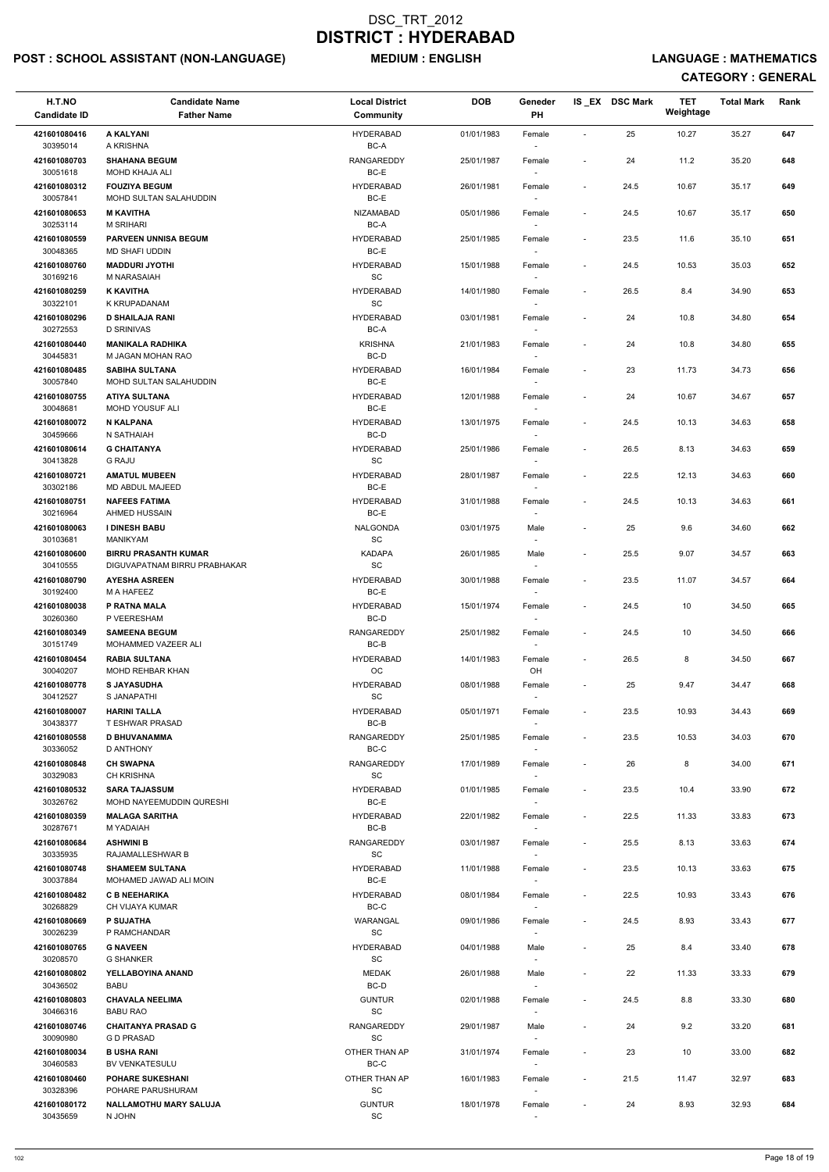## POST : SCHOOL ASSISTANT (NON-LANGUAGE) MEDIUM : ENGLISH LANGUAGE : MATHEMATICS

| H.T.NO                   | <b>Candidate Name</b>                              | <b>Local District</b>          | <b>DOB</b> | Geneder                            |                          | IS_EX DSC Mark | <b>TET</b> | <b>Total Mark</b> | Rank |
|--------------------------|----------------------------------------------------|--------------------------------|------------|------------------------------------|--------------------------|----------------|------------|-------------------|------|
| <b>Candidate ID</b>      | <b>Father Name</b>                                 | Community                      |            | <b>PH</b>                          |                          |                | Weightage  |                   |      |
| 421601080416<br>30395014 | A KALYANI<br>A KRISHNA                             | <b>HYDERABAD</b><br>BC-A       | 01/01/1983 | Female                             | $\sim$                   | 25             | 10.27      | 35.27             | 647  |
| 421601080703             | <b>SHAHANA BEGUM</b>                               | RANGAREDDY                     | 25/01/1987 | Female                             | $\overline{\phantom{a}}$ | 24             | 11.2       | 35.20             | 648  |
| 30051618<br>421601080312 | <b>MOHD KHAJA ALI</b><br><b>FOUZIYA BEGUM</b>      | BC-E<br><b>HYDERABAD</b>       | 26/01/1981 | Female                             | $\overline{\phantom{a}}$ | 24.5           | 10.67      | 35.17             | 649  |
| 30057841<br>421601080653 | MOHD SULTAN SALAHUDDIN<br><b>M KAVITHA</b>         | BC-E<br>NIZAMABAD              | 05/01/1986 |                                    | $\overline{\phantom{a}}$ | 24.5           | 10.67      | 35.17             | 650  |
| 30253114                 | <b>M SRIHARI</b>                                   | BC-A                           |            | Female<br>$\sim$                   |                          |                |            |                   |      |
| 421601080559<br>30048365 | <b>PARVEEN UNNISA BEGUM</b><br>MD SHAFI UDDIN      | <b>HYDERABAD</b><br>BC-E       | 25/01/1985 | Female                             | $\overline{\phantom{a}}$ | 23.5           | 11.6       | 35.10             | 651  |
| 421601080760<br>30169216 | <b>MADDURI JYOTHI</b><br>M NARASAIAH               | <b>HYDERABAD</b><br>SC         | 15/01/1988 | Female<br>$\sim$                   | $\overline{\phantom{a}}$ | 24.5           | 10.53      | 35.03             | 652  |
| 421601080259<br>30322101 | <b>K KAVITHA</b><br>K KRUPADANAM                   | <b>HYDERABAD</b><br>SC         | 14/01/1980 | Female                             | $\overline{\phantom{a}}$ | 26.5           | 8.4        | 34.90             | 653  |
| 421601080296             | <b>D SHAILAJA RANI</b>                             | <b>HYDERABAD</b>               | 03/01/1981 | Female                             | $\overline{\phantom{a}}$ | 24             | 10.8       | 34.80             | 654  |
| 30272553<br>421601080440 | <b>D SRINIVAS</b><br><b>MANIKALA RADHIKA</b>       | BC-A<br><b>KRISHNA</b>         | 21/01/1983 | $\sim$<br>Female                   | $\blacksquare$           | 24             | 10.8       | 34.80             | 655  |
| 30445831<br>421601080485 | M JAGAN MOHAN RAO<br><b>SABIHA SULTANA</b>         | BC-D<br><b>HYDERABAD</b>       | 16/01/1984 | $\sim$<br>Female                   | $\overline{\phantom{a}}$ | 23             | 11.73      | 34.73             | 656  |
| 30057840                 | MOHD SULTAN SALAHUDDIN                             | BC-E                           |            |                                    |                          |                |            |                   |      |
| 421601080755<br>30048681 | <b>ATIYA SULTANA</b><br>MOHD YOUSUF ALI            | <b>HYDERABAD</b><br>BC-E       | 12/01/1988 | Female                             | $\blacksquare$           | 24             | 10.67      | 34.67             | 657  |
| 421601080072<br>30459666 | N KALPANA<br>N SATHAIAH                            | <b>HYDERABAD</b><br>BC-D       | 13/01/1975 | Female                             | $\overline{\phantom{a}}$ | 24.5           | 10.13      | 34.63             | 658  |
| 421601080614<br>30413828 | <b>G CHAITANYA</b><br><b>G RAJU</b>                | <b>HYDERABAD</b><br>SC         | 25/01/1986 | Female<br>$\sim$                   | $\overline{\phantom{a}}$ | 26.5           | 8.13       | 34.63             | 659  |
| 421601080721             | <b>AMATUL MUBEEN</b>                               | <b>HYDERABAD</b>               | 28/01/1987 | Female                             | $\overline{\phantom{a}}$ | 22.5           | 12.13      | 34.63             | 660  |
| 30302186<br>421601080751 | MD ABDUL MAJEED<br><b>NAFEES FATIMA</b>            | BC-E<br><b>HYDERABAD</b>       | 31/01/1988 | $\sim$<br>Female                   | $\overline{\phantom{a}}$ | 24.5           | 10.13      | 34.63             | 661  |
| 30216964<br>421601080063 | AHMED HUSSAIN<br><b>I DINESH BABU</b>              | BC-E<br><b>NALGONDA</b>        | 03/01/1975 | Male                               | $\overline{\phantom{a}}$ | 25             | 9.6        | 34.60             | 662  |
| 30103681<br>421601080600 | <b>MANIKYAM</b><br><b>BIRRU PRASANTH KUMAR</b>     | <sub>SC</sub><br><b>KADAPA</b> | 26/01/1985 | Male                               | $\overline{\phantom{a}}$ | 25.5           | 9.07       | 34.57             | 663  |
| 30410555                 | DIGUVAPATNAM BIRRU PRABHAKAR                       | $\operatorname{\textsf{SC}}$   |            | $\sim$                             |                          |                |            |                   |      |
| 421601080790<br>30192400 | <b>AYESHA ASREEN</b><br>M A HAFEEZ                 | <b>HYDERABAD</b><br>BC-E       | 30/01/1988 | Female                             | $\overline{\phantom{a}}$ | 23.5           | 11.07      | 34.57             | 664  |
| 421601080038<br>30260360 | P RATNA MALA<br>P VEERESHAM                        | <b>HYDERABAD</b><br>BC-D       | 15/01/1974 | Female                             | $\overline{\phantom{a}}$ | 24.5           | 10         | 34.50             | 665  |
| 421601080349<br>30151749 | <b>SAMEENA BEGUM</b><br>MOHAMMED VAZEER ALI        | RANGAREDDY<br>BC-B             | 25/01/1982 | Female<br>$\overline{\phantom{a}}$ | $\blacksquare$           | 24.5           | 10         | 34.50             | 666  |
| 421601080454<br>30040207 | <b>RABIA SULTANA</b><br>MOHD REHBAR KHAN           | <b>HYDERABAD</b><br>OC         | 14/01/1983 | Female<br>OH                       | $\overline{\phantom{a}}$ | 26.5           | 8          | 34.50             | 667  |
| 421601080778             | <b>S JAYASUDHA</b>                                 | <b>HYDERABAD</b>               | 08/01/1988 | Female                             | $\overline{\phantom{a}}$ | 25             | 9.47       | 34.47             | 668  |
| 30412527<br>421601080007 | S JANAPATHI<br><b>HARINI TALLA</b>                 | <b>SC</b><br><b>HYDERABAD</b>  | 05/01/1971 | $\overline{\phantom{a}}$<br>Female | $\overline{\phantom{a}}$ | 23.5           | 10.93      | 34.43             | 669  |
| 30438377<br>421601080558 | T ESHWAR PRASAD<br><b>D BHUVANAMMA</b>             | BC-B<br>RANGAREDDY             | 25/01/1985 | Female                             | $\blacksquare$           | 23.5           | 10.53      | 34.03             | 670  |
| 30336052                 | <b>D ANTHONY</b>                                   | BC-C                           |            | $\sim$                             |                          |                |            |                   |      |
| 421601080848<br>30329083 | <b>CH SWAPNA</b><br><b>CH KRISHNA</b>              | RANGAREDDY<br>SC               | 17/01/1989 | Female                             | $\overline{\phantom{a}}$ | 26             | 8          | 34.00             | 671  |
| 421601080532<br>30326762 | <b>SARA TAJASSUM</b><br>MOHD NAYEEMUDDIN QURESHI   | <b>HYDERABAD</b><br>BC-E       | 01/01/1985 | Female                             | $\overline{\phantom{a}}$ | 23.5           | 10.4       | 33.90             | 672  |
| 421601080359<br>30287671 | <b>MALAGA SARITHA</b><br>M YADAIAH                 | <b>HYDERABAD</b><br>BC-B       | 22/01/1982 | Female                             | $\overline{\phantom{a}}$ | 22.5           | 11.33      | 33.83             | 673  |
| 421601080684<br>30335935 | <b>ASHWINI B</b><br>RAJAMALLESHWAR B               | RANGAREDDY<br>SC               | 03/01/1987 | Female                             | $\overline{\phantom{a}}$ | 25.5           | 8.13       | 33.63             | 674  |
| 421601080748             | <b>SHAMEEM SULTANA</b>                             | <b>HYDERABAD</b>               | 11/01/1988 | Female                             | $\overline{\phantom{a}}$ | 23.5           | 10.13      | 33.63             | 675  |
| 30037884<br>421601080482 | MOHAMED JAWAD ALI MOIN<br><b>C B NEEHARIKA</b>     | BC-E<br><b>HYDERABAD</b>       | 08/01/1984 | $\sim$<br>Female                   | $\overline{\phantom{a}}$ | 22.5           | 10.93      | 33.43             | 676  |
| 30268829<br>421601080669 | <b>CH VIJAYA KUMAR</b><br><b>P SUJATHA</b>         | BC-C<br><b>WARANGAL</b>        | 09/01/1986 | $\sim$<br>Female                   | $\overline{\phantom{a}}$ | 24.5           | 8.93       | 33.43             | 677  |
| 30026239                 | P RAMCHANDAR                                       | SC                             |            |                                    |                          |                |            |                   |      |
| 421601080765<br>30208570 | <b>G NAVEEN</b><br><b>G SHANKER</b>                | <b>HYDERABAD</b><br><b>SC</b>  | 04/01/1988 | Male                               | $\overline{\phantom{a}}$ | 25             | 8.4        | 33.40             | 678  |
| 421601080802<br>30436502 | YELLABOYINA ANAND<br>BABU                          | <b>MEDAK</b><br>BC-D           | 26/01/1988 | Male<br>$\sim$                     | $\blacksquare$           | 22             | 11.33      | 33.33             | 679  |
| 421601080803<br>30466316 | <b>CHAVALA NEELIMA</b><br><b>BABU RAO</b>          | <b>GUNTUR</b><br>SC            | 02/01/1988 | Female                             |                          | 24.5           | 8.8        | 33.30             | 680  |
| 421601080746             | <b>CHAITANYA PRASAD G</b><br><b>GD PRASAD</b>      | <b>RANGAREDDY</b><br>SC        | 29/01/1987 | Male                               | $\overline{\phantom{a}}$ | 24             | 9.2        | 33.20             | 681  |
| 30090980<br>421601080034 | <b>BUSHA RANI</b>                                  | OTHER THAN AP                  | 31/01/1974 | Female                             | $\overline{\phantom{a}}$ | 23             | 10         | 33.00             | 682  |
| 30460583<br>421601080460 | BV VENKATESULU<br><b>POHARE SUKESHANI</b>          | BC-C<br>OTHER THAN AP          | 16/01/1983 | $\sim$<br>Female                   | $\overline{\phantom{a}}$ | 21.5           | 11.47      | 32.97             | 683  |
| 30328396<br>421601080172 | POHARE PARUSHURAM<br><b>NALLAMOTHU MARY SALUJA</b> | SC<br><b>GUNTUR</b>            | 18/01/1978 | $\overline{\phantom{a}}$<br>Female | $\overline{\phantom{a}}$ | 24             | 8.93       | 32.93             | 684  |
| 30435659                 | N JOHN                                             | SC                             |            | $\sim$                             |                          |                |            |                   |      |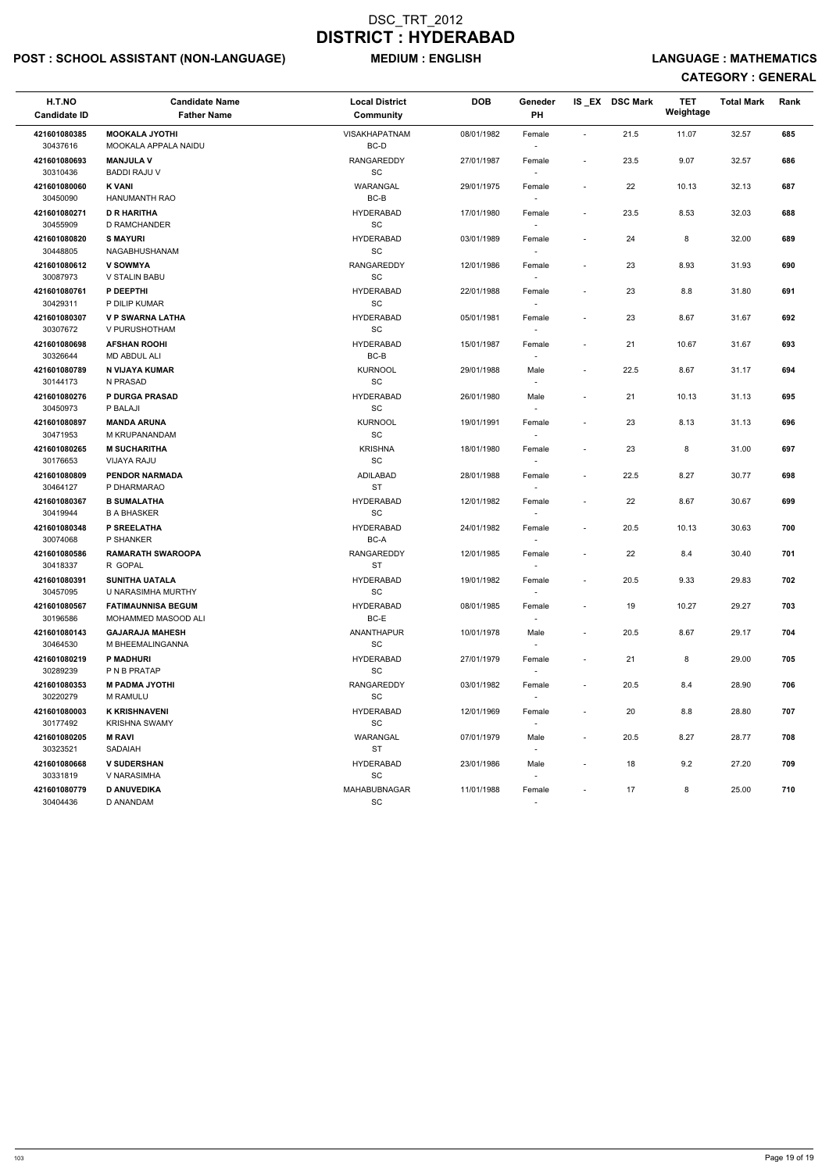## POST : SCHOOL ASSISTANT (NON-LANGUAGE) MEDIUM : ENGLISH LANGUAGE : MATHEMATICS

| H.T.NO<br><b>Candidate ID</b>        | <b>Candidate Name</b><br><b>Father Name</b>      | <b>Local District</b><br>Community                                               | <b>DOB</b> | Geneder<br>PH                      |                              | IS_EX DSC Mark | <b>TET</b><br>Weightage | <b>Total Mark</b> | Rank |
|--------------------------------------|--------------------------------------------------|----------------------------------------------------------------------------------|------------|------------------------------------|------------------------------|----------------|-------------------------|-------------------|------|
| 421601080385<br>30437616             | <b>MOOKALA JYOTHI</b><br>MOOKALA APPALA NAIDU    | <b>VISAKHAPATNAM</b><br>BC-D                                                     | 08/01/1982 | Female                             | $\overline{\phantom{a}}$     | 21.5           | 11.07                   | 32.57             | 685  |
| 421601080693<br>30310436             | <b>MANJULA V</b><br><b>BADDI RAJU V</b>          | RANGAREDDY<br>SC                                                                 | 27/01/1987 | Female                             | $\overline{\phantom{a}}$     | 23.5           | 9.07                    | 32.57             | 686  |
| 421601080060<br>30450090             | <b>K VANI</b><br>HANUMANTH RAO                   | WARANGAL<br>BC-B                                                                 | 29/01/1975 | Female                             | $\overline{\phantom{a}}$     | 22             | 10.13                   | 32.13             | 687  |
| 421601080271<br>30455909             | <b>D R HARITHA</b><br>D RAMCHANDER               | <b>HYDERABAD</b><br>SC                                                           | 17/01/1980 | Female<br>$\overline{\phantom{a}}$ | $\overline{\phantom{a}}$     | 23.5           | 8.53                    | 32.03             | 688  |
| 421601080820<br>30448805             | <b>S MAYURI</b><br>NAGABHUSHANAM                 | <b>HYDERABAD</b><br><b>SC</b>                                                    | 03/01/1989 | Female<br>$\overline{\phantom{a}}$ | $\qquad \qquad \blacksquare$ | 24             | 8                       | 32.00             | 689  |
| 421601080612                         | <b>V SOWMYA</b>                                  | RANGAREDDY                                                                       | 12/01/1986 | Female                             | $\overline{\phantom{a}}$     | 23             | 8.93                    | 31.93             | 690  |
| 30087973<br>421601080761<br>30429311 | V STALIN BABU<br>P DEEPTHI<br>P DILIP KUMAR      | $\operatorname{\textsf{SC}}$<br><b>HYDERABAD</b><br>$\operatorname{\textsf{SC}}$ | 22/01/1988 | Female                             | $\overline{\phantom{a}}$     | 23             | 8.8                     | 31.80             | 691  |
| 421601080307<br>30307672             | <b>V P SWARNA LATHA</b><br>V PURUSHOTHAM         | <b>HYDERABAD</b><br>$\operatorname{\textsf{SC}}$                                 | 05/01/1981 | Female<br>$\sim$                   | $\overline{\phantom{a}}$     | 23             | 8.67                    | 31.67             | 692  |
| 421601080698<br>30326644             | <b>AFSHAN ROOHI</b><br>MD ABDUL ALI              | <b>HYDERABAD</b><br>BC-B                                                         | 15/01/1987 | Female                             | $\overline{\phantom{a}}$     | 21             | 10.67                   | 31.67             | 693  |
| 421601080789<br>30144173             | N VIJAYA KUMAR<br>N PRASAD                       | <b>KURNOOL</b><br>$\operatorname{\textsf{SC}}$                                   | 29/01/1988 | Male<br>$\sim$                     | $\overline{\phantom{a}}$     | 22.5           | 8.67                    | 31.17             | 694  |
| 421601080276<br>30450973             | P DURGA PRASAD<br>P BALAJI                       | <b>HYDERABAD</b><br>SC                                                           | 26/01/1980 | Male                               |                              | 21             | 10.13                   | 31.13             | 695  |
| 421601080897<br>30471953             | <b>MANDA ARUNA</b><br>M KRUPANANDAM              | <b>KURNOOL</b><br>SC                                                             | 19/01/1991 | Female                             | $\qquad \qquad \blacksquare$ | 23             | 8.13                    | 31.13             | 696  |
| 421601080265<br>30176653             | <b>M SUCHARITHA</b><br>VIJAYA RAJU               | <b>KRISHNA</b><br>SC                                                             | 18/01/1980 | Female<br>$\sim$                   |                              | 23             | 8                       | 31.00             | 697  |
| 421601080809<br>30464127             | <b>PENDOR NARMADA</b><br>P DHARMARAO             | <b>ADILABAD</b><br><b>ST</b>                                                     | 28/01/1988 | Female                             | $\overline{\phantom{a}}$     | 22.5           | 8.27                    | 30.77             | 698  |
| 421601080367<br>30419944             | <b>B SUMALATHA</b><br><b>B A BHASKER</b>         | <b>HYDERABAD</b><br>$\operatorname{\textsf{SC}}$                                 | 12/01/1982 | Female                             | $\overline{\phantom{a}}$     | 22             | 8.67                    | 30.67             | 699  |
| 421601080348<br>30074068             | P SREELATHA<br>P SHANKER                         | <b>HYDERABAD</b><br>BC-A                                                         | 24/01/1982 | Female<br>$\sim$                   | $\overline{\phantom{a}}$     | 20.5           | 10.13                   | 30.63             | 700  |
| 421601080586<br>30418337             | <b>RAMARATH SWAROOPA</b><br>R GOPAL              | <b>RANGAREDDY</b><br><b>ST</b>                                                   | 12/01/1985 | Female<br>$\overline{\phantom{a}}$ | $\qquad \qquad \blacksquare$ | 22             | 8.4                     | 30.40             | 701  |
| 421601080391<br>30457095             | <b>SUNITHA UATALA</b><br>U NARASIMHA MURTHY      | <b>HYDERABAD</b><br>SC                                                           | 19/01/1982 | Female                             | $\overline{\phantom{a}}$     | 20.5           | 9.33                    | 29.83             | 702  |
| 421601080567<br>30196586             | <b>FATIMAUNNISA BEGUM</b><br>MOHAMMED MASOOD ALI | <b>HYDERABAD</b><br>BC-E                                                         | 08/01/1985 | Female                             | $\overline{\phantom{a}}$     | 19             | 10.27                   | 29.27             | 703  |
| 421601080143<br>30464530             | <b>GAJARAJA MAHESH</b><br>M BHEEMALINGANNA       | ANANTHAPUR<br>SC                                                                 | 10/01/1978 | Male                               | $\overline{\phantom{a}}$     | 20.5           | 8.67                    | 29.17             | 704  |
| 421601080219<br>30289239             | <b>P MADHURI</b><br>P N B PRATAP                 | <b>HYDERABAD</b><br>SC                                                           | 27/01/1979 | Female<br>$\sim$                   | $\overline{\phantom{a}}$     | 21             | 8                       | 29.00             | 705  |
| 421601080353<br>30220279             | <b>M PADMA JYOTHI</b><br><b>M RAMULU</b>         | RANGAREDDY<br>SC                                                                 | 03/01/1982 | Female                             | $\overline{\phantom{a}}$     | 20.5           | 8.4                     | 28.90             | 706  |
| 421601080003<br>30177492             | <b>K KRISHNAVENI</b><br><b>KRISHNA SWAMY</b>     | <b>HYDERABAD</b><br>SC                                                           | 12/01/1969 | Female                             | $\overline{\phantom{a}}$     | 20             | 8.8                     | 28.80             | 707  |
| 421601080205<br>30323521             | <b>M RAVI</b><br>SADAIAH                         | WARANGAL<br><b>ST</b>                                                            | 07/01/1979 | Male<br>$\sim$                     | $\overline{\phantom{a}}$     | 20.5           | 8.27                    | 28.77             | 708  |
| 421601080668<br>30331819             | <b>V SUDERSHAN</b><br>V NARASIMHA                | <b>HYDERABAD</b><br>SC                                                           | 23/01/1986 | Male<br>$\sim$                     | $\overline{\phantom{a}}$     | 18             | 9.2                     | 27.20             | 709  |
| 421601080779<br>30404436             | <b>D ANUVEDIKA</b><br>D ANANDAM                  | MAHABUBNAGAR<br>SC                                                               | 11/01/1988 | Female                             | $\overline{\phantom{a}}$     | 17             | 8                       | 25.00             | 710  |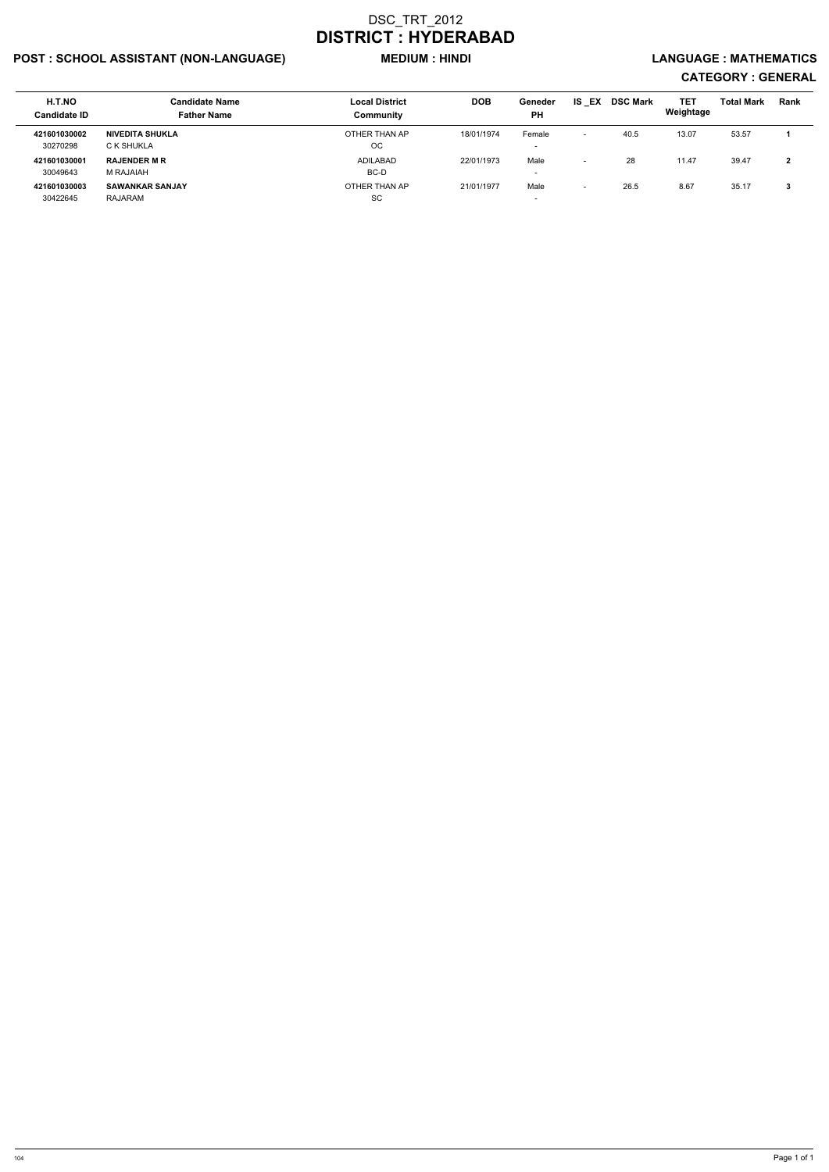## POST : SCHOOL ASSISTANT (NON-LANGUAGE) MEDIUM : HINDI LANGUAGE : MATHEMATICS

| H.T.NO<br><b>Candidate ID</b> | <b>Candidate Name</b><br><b>Father Name</b> | <b>Local District</b><br>Community | <b>DOB</b> | Geneder<br><b>PH</b>             | <b>IS EX</b>             | <b>DSC Mark</b> | <b>TET</b><br>Weightage | <b>Total Mark</b> | Rank                     |
|-------------------------------|---------------------------------------------|------------------------------------|------------|----------------------------------|--------------------------|-----------------|-------------------------|-------------------|--------------------------|
| 421601030002                  | NIVEDITA SHUKLA                             | OTHER THAN AP                      | 18/01/1974 | Female                           | $\overline{\phantom{0}}$ | 40.5            | 13.07                   | 53.57             |                          |
| 30270298                      | C K SHUKLA                                  | ОC                                 |            | $\overline{\phantom{a}}$         |                          |                 |                         |                   |                          |
| 421601030001<br>30049643      | <b>RAJENDER M R</b><br>M RAJAIAH            | ADILABAD<br>BC-D                   | 22/01/1973 | Male<br>$\overline{\phantom{a}}$ | $\overline{\phantom{0}}$ | 28              | 11.47                   | 39.47             | $\overline{\phantom{a}}$ |
| 421601030003                  | <b>SAWANKAR SANJAY</b>                      | OTHER THAN AP                      | 21/01/1977 | Male                             | $\overline{\phantom{0}}$ | 26.5            | 8.67                    | 35.17             |                          |
| 30422645                      | RAJARAM                                     | <b>SC</b>                          |            | $\overline{\phantom{a}}$         |                          |                 |                         |                   |                          |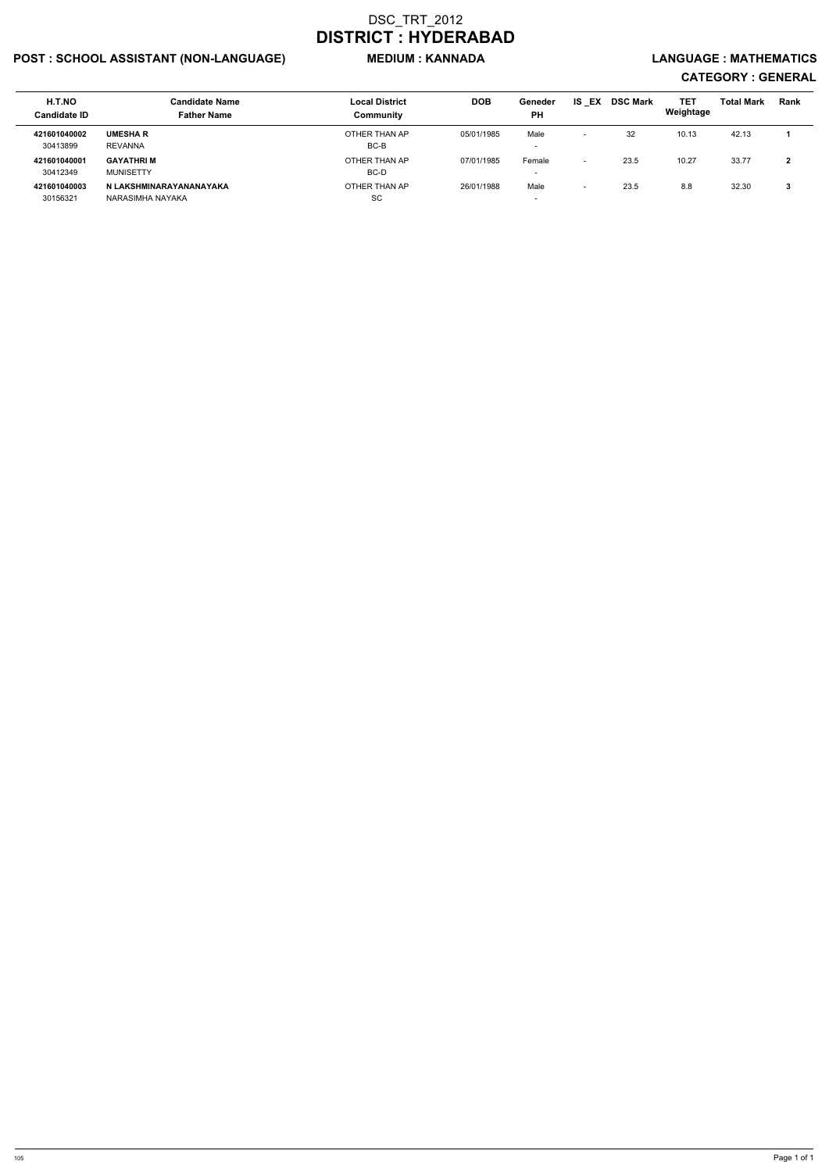## POST : SCHOOL ASSISTANT (NON-LANGUAGE) MEDIUM : KANNADA LANGUAGE : MATHEMATICS

| H.T.NO<br><b>Candidate ID</b> | Candidate Name<br><b>Father Name</b>        | <b>Local District</b><br>Community | <b>DOB</b> | Geneder<br><b>PH</b>               | <b>IS EX</b>             | <b>DSC Mark</b> | <b>TET</b><br>Weightage | <b>Total Mark</b> | Rank |
|-------------------------------|---------------------------------------------|------------------------------------|------------|------------------------------------|--------------------------|-----------------|-------------------------|-------------------|------|
| 421601040002<br>30413899      | <b>UMESHA R</b><br><b>REVANNA</b>           | OTHER THAN AP<br>BC-B              | 05/01/1985 | Male<br>-                          | $\overline{\phantom{0}}$ | -32             | 10.13                   | 42.13             |      |
| 421601040001<br>30412349      | <b>GAYATHRIM</b><br><b>MUNISETTY</b>        | OTHER THAN AP<br>BC-D              | 07/01/1985 | Female<br>$\overline{\phantom{0}}$ | $\overline{\phantom{0}}$ | 23.5            | 10.27                   | 33.77             |      |
| 421601040003<br>30156321      | N LAKSHMINARAYANANAYAKA<br>NARASIMHA NAYAKA | OTHER THAN AP<br>SC                | 26/01/1988 | Male<br>$\overline{\phantom{0}}$   |                          | 23.5            | 8.8                     | 32.30             |      |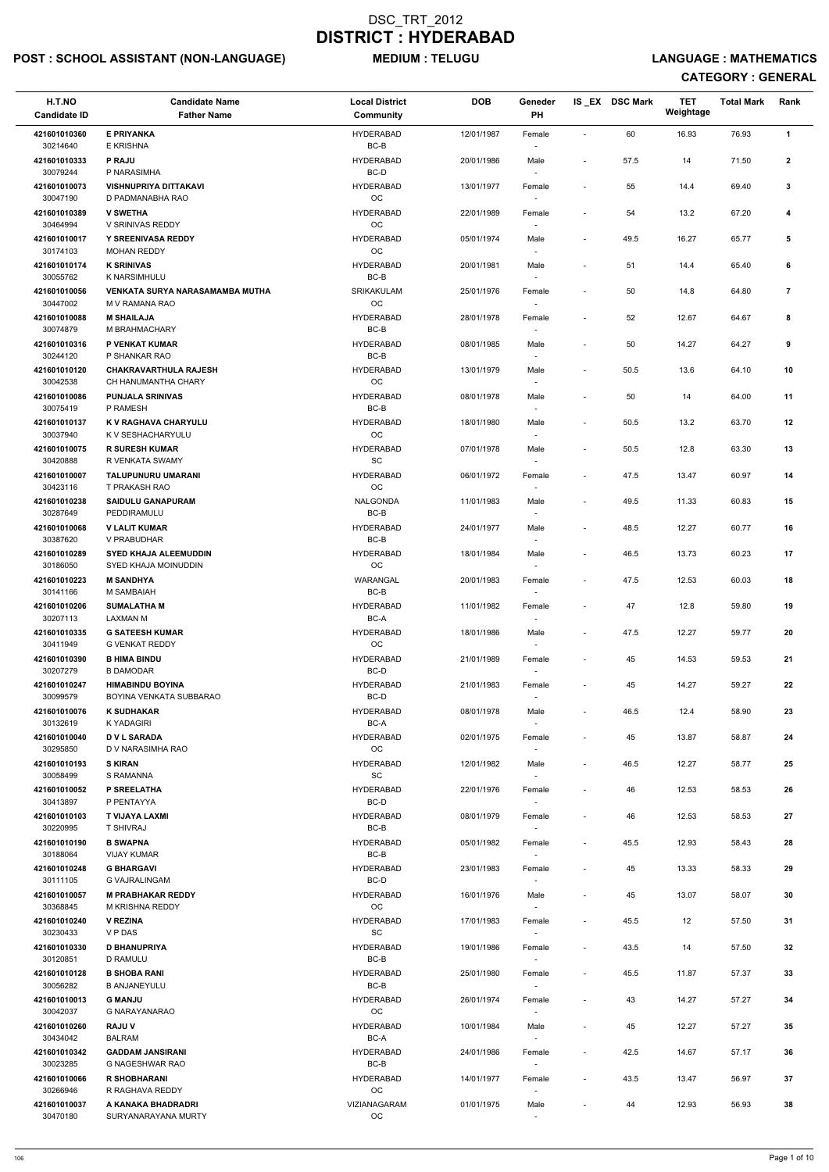## POST : SCHOOL ASSISTANT (NON-LANGUAGE) MEDIUM : TELUGU LANGUAGE : MATHEMATICS

| H.T.NO<br><b>Candidate ID</b> | <b>Candidate Name</b><br><b>Father Name</b>       | <b>Local District</b><br><b>Community</b> | <b>DOB</b> | Geneder<br>PH                                                  |                          | IS_EX DSC Mark | <b>TET</b><br>Weightage | <b>Total Mark</b> | Rank           |  |
|-------------------------------|---------------------------------------------------|-------------------------------------------|------------|----------------------------------------------------------------|--------------------------|----------------|-------------------------|-------------------|----------------|--|
| 421601010360                  | <b>E PRIYANKA</b>                                 | <b>HYDERABAD</b>                          | 12/01/1987 | Female                                                         | $\sim$                   | 60             | 16.93                   | 76.93             | $\mathbf{1}$   |  |
| 30214640                      | E KRISHNA                                         | $BC-B$                                    |            |                                                                |                          |                |                         |                   |                |  |
| 421601010333<br>30079244      | <b>P RAJU</b><br>P NARASIMHA                      | <b>HYDERABAD</b><br>BC-D                  | 20/01/1986 | Male                                                           | $\overline{\phantom{a}}$ | 57.5           | 14                      | 71.50             | $\overline{2}$ |  |
| 421601010073<br>30047190      | <b>VISHNUPRIYA DITTAKAVI</b><br>D PADMANABHA RAO  | <b>HYDERABAD</b><br>OC                    | 13/01/1977 | Female                                                         | $\overline{\phantom{a}}$ | 55             | 14.4                    | 69.40             | 3              |  |
| 421601010389<br>30464994      | <b>V SWETHA</b><br>V SRINIVAS REDDY               | <b>HYDERABAD</b><br><b>OC</b>             | 22/01/1989 | Female                                                         | $\blacksquare$           | 54             | 13.2                    | 67.20             | 4              |  |
| 421601010017                  | <b>Y SREENIVASA REDDY</b>                         | <b>HYDERABAD</b>                          | 05/01/1974 | Male                                                           | $\overline{\phantom{a}}$ | 49.5           | 16.27                   | 65.77             | 5              |  |
| 30174103<br>421601010174      | <b>MOHAN REDDY</b><br><b>K SRINIVAS</b>           | <b>OC</b><br><b>HYDERABAD</b>             | 20/01/1981 | Male                                                           | $\blacksquare$           | 51             | 14.4                    | 65.40             | 6              |  |
| 30055762                      | K NARSIMHULU                                      | BC-B                                      |            | $\sim$                                                         |                          |                |                         |                   |                |  |
| 421601010056<br>30447002      | VENKATA SURYA NARASAMAMBA MUTHA<br>M V RAMANA RAO | SRIKAKULAM<br>$_{\rm OC}$                 | 25/01/1976 | Female                                                         | $\overline{\phantom{a}}$ | 50             | 14.8                    | 64.80             | $\overline{7}$ |  |
| 421601010088<br>30074879      | <b>M SHAILAJA</b><br>M BRAHMACHARY                | <b>HYDERABAD</b><br>$BC-B$                | 28/01/1978 | Female                                                         | $\overline{\phantom{a}}$ | 52             | 12.67                   | 64.67             | 8              |  |
| 421601010316                  | P VENKAT KUMAR                                    | <b>HYDERABAD</b>                          | 08/01/1985 | Male                                                           | $\overline{\phantom{a}}$ | 50             | 14.27                   | 64.27             | 9              |  |
| 30244120<br>421601010120      | P SHANKAR RAO<br><b>CHAKRAVARTHULA RAJESH</b>     | BC-B<br><b>HYDERABAD</b>                  | 13/01/1979 | Male                                                           | $\overline{\phantom{a}}$ | 50.5           | 13.6                    | 64.10             | 10             |  |
| 30042538<br>421601010086      | CH HANUMANTHA CHARY<br><b>PUNJALA SRINIVAS</b>    | <b>OC</b><br><b>HYDERABAD</b>             | 08/01/1978 | Male                                                           | $\overline{\phantom{m}}$ | 50             | 14                      | 64.00             | 11             |  |
| 30075419                      | P RAMESH                                          | BC-B                                      |            |                                                                |                          |                |                         |                   |                |  |
| 421601010137<br>30037940      | K V RAGHAVA CHARYULU<br>K V SESHACHARYULU         | <b>HYDERABAD</b><br>OC                    | 18/01/1980 | Male                                                           | $\overline{\phantom{a}}$ | 50.5           | 13.2                    | 63.70             | 12             |  |
| 421601010075<br>30420888      | <b>R SURESH KUMAR</b><br>R VENKATA SWAMY          | <b>HYDERABAD</b><br><b>SC</b>             | 07/01/1978 | Male                                                           | $\overline{\phantom{a}}$ | 50.5           | 12.8                    | 63.30             | 13             |  |
| 421601010007                  | <b>TALUPUNURU UMARANI</b>                         | <b>HYDERABAD</b>                          | 06/01/1972 | Female                                                         | $\overline{\phantom{a}}$ | 47.5           | 13.47                   | 60.97             | 14             |  |
| 30423116<br>421601010238      | T PRAKASH RAO<br><b>SAIDULU GANAPURAM</b>         | <b>OC</b><br><b>NALGONDA</b>              | 11/01/1983 | Male                                                           | $\overline{\phantom{a}}$ | 49.5           | 11.33                   | 60.83             | 15             |  |
| 30287649<br>421601010068      | PEDDIRAMULU<br><b>V LALIT KUMAR</b>               | $BC-B$<br><b>HYDERABAD</b>                | 24/01/1977 | Male                                                           | $\overline{\phantom{a}}$ | 48.5           | 12.27                   | 60.77             | 16             |  |
| 30387620<br>421601010289      | V PRABUDHAR<br><b>SYED KHAJA ALEEMUDDIN</b>       | $BC-B$<br><b>HYDERABAD</b>                | 18/01/1984 | Male                                                           | $\overline{\phantom{a}}$ | 46.5           | 13.73                   | 60.23             | 17             |  |
| 30186050<br>421601010223      | SYED KHAJA MOINUDDIN<br><b>M SANDHYA</b>          | <b>OC</b><br><b>WARANGAL</b>              | 20/01/1983 | $\sim$<br>Female                                               | $\overline{\phantom{a}}$ | 47.5           | 12.53                   | 60.03             | 18             |  |
| 30141166                      | M SAMBAIAH                                        | $BC-B$                                    |            |                                                                |                          |                |                         |                   |                |  |
| 421601010206<br>30207113      | <b>SUMALATHA M</b><br>LAXMAN M                    | <b>HYDERABAD</b><br>BC-A                  | 11/01/1982 | Female                                                         | $\overline{\phantom{a}}$ | 47             | 12.8                    | 59.80             | 19             |  |
| 421601010335<br>30411949      | <b>G SATEESH KUMAR</b><br><b>G VENKAT REDDY</b>   | <b>HYDERABAD</b><br>OC                    | 18/01/1986 | Male                                                           | $\overline{\phantom{a}}$ | 47.5           | 12.27                   | 59.77             | 20             |  |
| 421601010390<br>30207279      | <b>B HIMA BINDU</b><br><b>B DAMODAR</b>           | <b>HYDERABAD</b><br>BC-D                  | 21/01/1989 | $\overline{\phantom{a}}$<br>Female<br>$\overline{\phantom{a}}$ | $\overline{\phantom{a}}$ | 45             | 14.53                   | 59.53             | 21             |  |
| 421601010247                  | <b>HIMABINDU BOYINA</b>                           | <b>HYDERABAD</b>                          | 21/01/1983 | Female                                                         | $\overline{\phantom{a}}$ | 45             | 14.27                   | 59.27             | 22             |  |
| 30099579<br>421601010076      | BOYINA VENKATA SUBBARAO<br><b>K SUDHAKAR</b>      | BC-D<br><b>HYDERABAD</b>                  | 08/01/1978 | $\sim$<br>Male                                                 | $\overline{\phantom{a}}$ | 46.5           | 12.4                    | 58.90             | 23             |  |
| 30132619                      | K YADAGIRI                                        | BC-A                                      |            |                                                                |                          |                |                         |                   |                |  |
| 421601010040<br>30295850      | <b>DVL SARADA</b><br>D V NARASIMHA RAO            | <b>HYDERABAD</b><br><b>OC</b>             | 02/01/1975 | Female                                                         | $\overline{\phantom{a}}$ | 45             | 13.87                   | 58.87             | 24             |  |
| 421601010193<br>30058499      | <b>S KIRAN</b><br>S RAMANNA                       | <b>HYDERABAD</b><br>SC                    | 12/01/1982 | Male<br>$\overline{\phantom{a}}$                               | $\overline{\phantom{a}}$ | 46.5           | 12.27                   | 58.77             | 25             |  |
| 421601010052<br>30413897      | P SREELATHA<br>P PENTAYYA                         | <b>HYDERABAD</b><br>BC-D                  | 22/01/1976 | Female<br>$\sim$                                               | $\overline{\phantom{a}}$ | 46             | 12.53                   | 58.53             | 26             |  |
| 421601010103                  | T VIJAYA LAXMI                                    | <b>HYDERABAD</b>                          | 08/01/1979 | Female                                                         | $\blacksquare$           | 46             | 12.53                   | 58.53             | 27             |  |
| 30220995<br>421601010190      | T SHIVRAJ<br><b>B SWAPNA</b>                      | BC-B<br><b>HYDERABAD</b>                  | 05/01/1982 | Female                                                         | $\overline{\phantom{a}}$ | 45.5           | 12.93                   | 58.43             | 28             |  |
| 30188064<br>421601010248      | <b>VIJAY KUMAR</b><br><b>G BHARGAVI</b>           | BC-B<br><b>HYDERABAD</b>                  | 23/01/1983 | Female                                                         | $\overline{\phantom{a}}$ | 45             | 13.33                   | 58.33             | 29             |  |
| 30111105                      | <b>G VAJRALINGAM</b>                              | BC-D                                      |            | $\sim$                                                         |                          |                |                         |                   |                |  |
| 421601010057<br>30368845      | <b>M PRABHAKAR REDDY</b><br>M KRISHNA REDDY       | <b>HYDERABAD</b><br><b>OC</b>             | 16/01/1976 | Male<br>$\sim$                                                 | $\overline{\phantom{a}}$ | 45             | 13.07                   | 58.07             | 30             |  |
| 421601010240<br>30230433      | <b>V REZINA</b><br>V P DAS                        | <b>HYDERABAD</b><br><b>SC</b>             | 17/01/1983 | Female                                                         | $\overline{\phantom{a}}$ | 45.5           | 12                      | 57.50             | 31             |  |
| 421601010330                  | <b>D BHANUPRIYA</b>                               | <b>HYDERABAD</b>                          | 19/01/1986 | Female                                                         | $\overline{\phantom{a}}$ | 43.5           | 14                      | 57.50             | 32             |  |
| 30120851<br>421601010128      | D RAMULU<br><b>B SHOBA RANI</b>                   | $BC-B$<br><b>HYDERABAD</b>                | 25/01/1980 | Female                                                         | $\overline{\phantom{a}}$ | 45.5           | 11.87                   | 57.37             | 33             |  |
| 30056282                      | <b>B ANJANEYULU</b>                               | $BC-B$                                    |            | $\sim$                                                         |                          |                |                         |                   |                |  |
| 421601010013<br>30042037      | <b>G MANJU</b><br>G NARAYANARAO                   | <b>HYDERABAD</b><br><b>OC</b>             | 26/01/1974 | Female                                                         |                          | 43             | 14.27                   | 57.27             | 34             |  |
| 421601010260<br>30434042      | <b>RAJU V</b><br><b>BALRAM</b>                    | <b>HYDERABAD</b><br>BC-A                  | 10/01/1984 | Male<br>$\overline{\phantom{a}}$                               | $\overline{\phantom{a}}$ | 45             | 12.27                   | 57.27             | 35             |  |
| 421601010342<br>30023285      | <b>GADDAM JANSIRANI</b><br>G NAGESHWAR RAO        | <b>HYDERABAD</b><br>BC-B                  | 24/01/1986 | Female<br>$\sim$                                               | $\overline{\phantom{a}}$ | 42.5           | 14.67                   | 57.17             | 36             |  |
| 421601010066<br>30266946      | <b>R SHOBHARANI</b><br>R RAGHAVA REDDY            | <b>HYDERABAD</b><br>OC                    | 14/01/1977 | Female<br>$\sim$                                               | $\overline{\phantom{a}}$ | 43.5           | 13.47                   | 56.97             | 37             |  |
| 421601010037<br>30470180      | A KANAKA BHADRADRI<br>SURYANARAYANA MURTY         | VIZIANAGARAM<br>OC                        | 01/01/1975 | Male                                                           | $\overline{\phantom{a}}$ | 44             | 12.93                   | 56.93             | 38             |  |
|                               |                                                   |                                           |            | $\overline{\phantom{a}}$                                       |                          |                |                         |                   |                |  |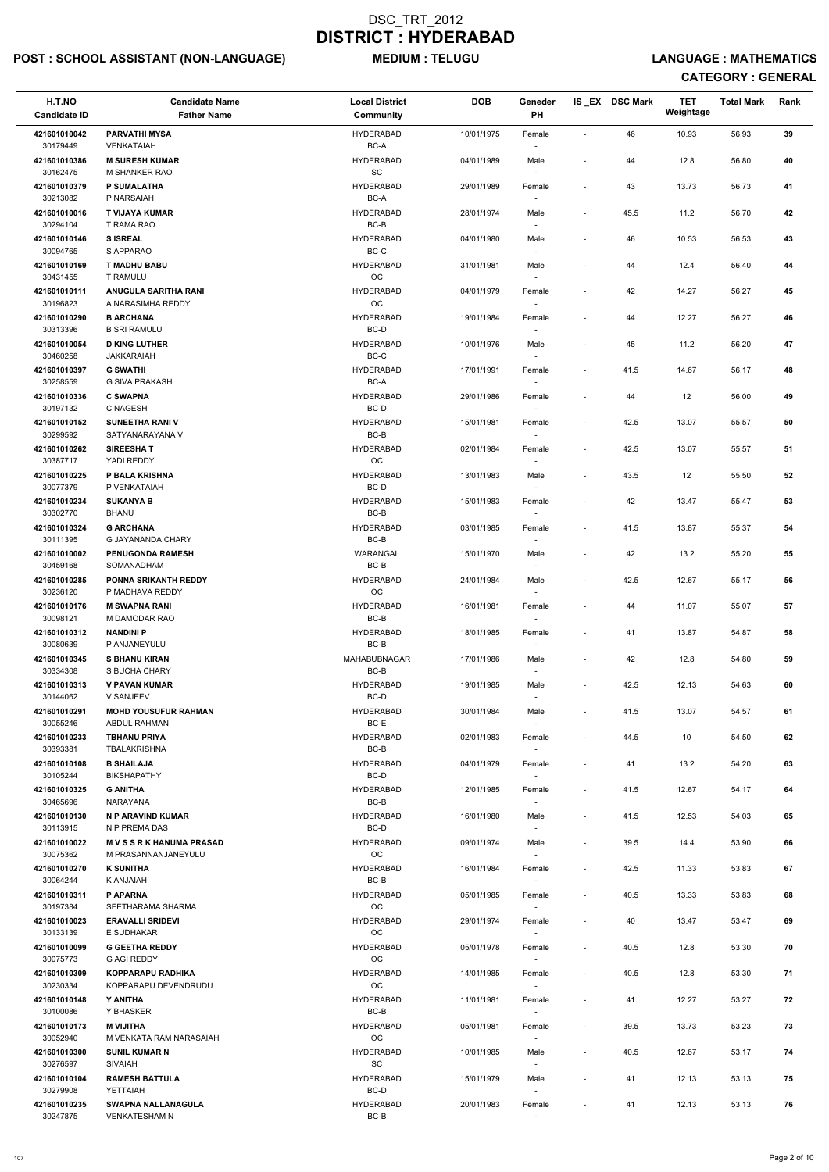## POST : SCHOOL ASSISTANT (NON-LANGUAGE) MEDIUM : TELUGU LANGUAGE : MATHEMATICS

| H.T.NO<br><b>Candidate ID</b> | <b>Candidate Name</b><br><b>Father Name</b>       | <b>Local District</b><br>Community | <b>DOB</b> | Geneder<br><b>PH</b>               |                          | IS EX DSC Mark | <b>TET</b><br>Weightage | <b>Total Mark</b> | Rank |
|-------------------------------|---------------------------------------------------|------------------------------------|------------|------------------------------------|--------------------------|----------------|-------------------------|-------------------|------|
| 421601010042                  | <b>PARVATHI MYSA</b>                              | <b>HYDERABAD</b>                   | 10/01/1975 | Female                             | $\blacksquare$           | 46             | 10.93                   | 56.93             | 39   |
| 30179449<br>421601010386      | VENKATAIAH<br><b>M SURESH KUMAR</b>               | BC-A<br><b>HYDERABAD</b>           | 04/01/1989 | Male                               | $\overline{\phantom{a}}$ | 44             | 12.8                    | 56.80             | 40   |
| 30162475<br>421601010379      | M SHANKER RAO<br><b>P SUMALATHA</b>               | <b>SC</b><br><b>HYDERABAD</b>      | 29/01/1989 | $\sim$<br>Female                   | $\overline{\phantom{a}}$ | 43             | 13.73                   | 56.73             | 41   |
| 30213082<br>421601010016      | P NARSAIAH<br><b>T VIJAYA KUMAR</b>               | BC-A<br><b>HYDERABAD</b>           | 28/01/1974 | Male                               | $\overline{\phantom{a}}$ | 45.5           | 11.2                    | 56.70             | 42   |
| 30294104                      | T RAMA RAO                                        | $BC-B$                             |            |                                    |                          |                |                         |                   |      |
| 421601010146<br>30094765      | <b>SISREAL</b><br>S APPARAO                       | <b>HYDERABAD</b><br>$BC-C$         | 04/01/1980 | Male                               | $\blacksquare$           | 46             | 10.53                   | 56.53             | 43   |
| 421601010169<br>30431455      | <b>T MADHU BABU</b><br><b>T RAMULU</b>            | <b>HYDERABAD</b><br>OC             | 31/01/1981 | Male<br>$\overline{\phantom{a}}$   | $\overline{a}$           | 44             | 12.4                    | 56.40             | 44   |
| 421601010111<br>30196823      | ANUGULA SARITHA RANI<br>A NARASIMHA REDDY         | <b>HYDERABAD</b><br>OC             | 04/01/1979 | Female                             |                          | 42             | 14.27                   | 56.27             | 45   |
| 421601010290<br>30313396      | <b>B ARCHANA</b><br><b>B SRI RAMULU</b>           | <b>HYDERABAD</b><br>BC-D           | 19/01/1984 | Female                             | $\overline{\phantom{a}}$ | 44             | 12.27                   | 56.27             | 46   |
| 421601010054                  | <b>D KING LUTHER</b>                              | <b>HYDERABAD</b>                   | 10/01/1976 | Male                               | $\overline{\phantom{a}}$ | 45             | 11.2                    | 56.20             | 47   |
| 30460258<br>421601010397      | <b>JAKKARAIAH</b><br><b>G SWATHI</b>              | BC-C<br><b>HYDERABAD</b>           | 17/01/1991 | $\overline{\phantom{a}}$<br>Female | $\overline{\phantom{a}}$ | 41.5           | 14.67                   | 56.17             | 48   |
| 30258559                      | G SIVA PRAKASH                                    | BC-A                               |            |                                    |                          |                |                         |                   |      |
| 421601010336<br>30197132      | <b>C SWAPNA</b><br>C NAGESH                       | <b>HYDERABAD</b><br>BC-D           | 29/01/1986 | Female                             | $\overline{\phantom{a}}$ | 44             | 12                      | 56.00             | 49   |
| 421601010152<br>30299592      | <b>SUNEETHA RANI V</b><br>SATYANARAYANA V         | <b>HYDERABAD</b><br>BC-B           | 15/01/1981 | Female                             | $\overline{\phantom{a}}$ | 42.5           | 13.07                   | 55.57             | 50   |
| 421601010262<br>30387717      | <b>SIREESHAT</b><br>YADI REDDY                    | <b>HYDERABAD</b><br>OC             | 02/01/1984 | Female                             | $\overline{\phantom{a}}$ | 42.5           | 13.07                   | 55.57             | 51   |
| 421601010225<br>30077379      | P BALA KRISHNA<br>P VENKATAIAH                    | <b>HYDERABAD</b><br>BC-D           | 13/01/1983 | Male<br>$\overline{\phantom{a}}$   | $\overline{\phantom{a}}$ | 43.5           | 12                      | 55.50             | 52   |
| 421601010234<br>30302770      | <b>SUKANYA B</b><br><b>BHANU</b>                  | <b>HYDERABAD</b><br>BC-B           | 15/01/1983 | Female                             | $\overline{\phantom{a}}$ | 42             | 13.47                   | 55.47             | 53   |
| 421601010324                  | <b>G ARCHANA</b>                                  | <b>HYDERABAD</b>                   | 03/01/1985 | Female                             | $\overline{\phantom{a}}$ | 41.5           | 13.87                   | 55.37             | 54   |
| 30111395<br>421601010002      | G JAYANANDA CHARY<br><b>PENUGONDA RAMESH</b>      | $BC-B$<br>WARANGAL                 | 15/01/1970 | Male                               | $\overline{\phantom{a}}$ | 42             | 13.2                    | 55.20             | 55   |
| 30459168<br>421601010285      | SOMANADHAM<br><b>PONNA SRIKANTH REDDY</b>         | BC-B<br><b>HYDERABAD</b>           | 24/01/1984 | $\overline{\phantom{a}}$<br>Male   | $\overline{\phantom{a}}$ | 42.5           | 12.67                   | 55.17             | 56   |
| 30236120<br>421601010176      | P MADHAVA REDDY<br><b>M SWAPNA RANI</b>           | OC<br><b>HYDERABAD</b>             | 16/01/1981 | $\sim$<br>Female                   | $\overline{\phantom{a}}$ | 44             | 11.07                   | 55.07             | 57   |
| 30098121                      | M DAMODAR RAO                                     | BC-B                               |            |                                    |                          |                |                         |                   |      |
| 421601010312<br>30080639      | <b>NANDINI P</b><br>P ANJANEYULU                  | <b>HYDERABAD</b><br>$BC-B$         | 18/01/1985 | Female                             | $\overline{\phantom{a}}$ | 41             | 13.87                   | 54.87             | 58   |
| 421601010345<br>30334308      | <b>S BHANU KIRAN</b><br>S BUCHA CHARY             | MAHABUBNAGAR<br>BC-B               | 17/01/1986 | Male                               |                          | 42             | 12.8                    | 54.80             | 59   |
| 421601010313<br>30144062      | <b>V PAVAN KUMAR</b><br>V SANJEEV                 | <b>HYDERABAD</b><br>BC-D           | 19/01/1985 | Male<br>$\overline{\phantom{a}}$   | $\overline{\phantom{a}}$ | 42.5           | 12.13                   | 54.63             | 60   |
| 421601010291<br>30055246      | <b>MOHD YOUSUFUR RAHMAN</b><br>ABDUL RAHMAN       | <b>HYDERABAD</b><br>BC-E           | 30/01/1984 | Male                               | $\overline{\phantom{a}}$ | 41.5           | 13.07                   | 54.57             | 61   |
| 421601010233                  | <b>TBHANU PRIYA</b><br><b>TBALAKRISHNA</b>        | <b>HYDERABAD</b><br>BC-B           | 02/01/1983 | Female                             | $\overline{\phantom{a}}$ | 44.5           | 10                      | 54.50             | 62   |
| 30393381<br>421601010108      | <b>B SHAILAJA</b>                                 | <b>HYDERABAD</b>                   | 04/01/1979 | Female                             | $\overline{\phantom{a}}$ | 41             | 13.2                    | 54.20             | 63   |
| 30105244<br>421601010325      | <b>BIKSHAPATHY</b><br><b>G ANITHA</b>             | BC-D<br><b>HYDERABAD</b>           | 12/01/1985 | $\sim$<br>Female                   | $\overline{\phantom{a}}$ | 41.5           | 12.67                   | 54.17             | 64   |
| 30465696<br>421601010130      | NARAYANA<br>N P ARAVIND KUMAR                     | BC-B<br><b>HYDERABAD</b>           | 16/01/1980 | Male                               | $\overline{\phantom{a}}$ | 41.5           | 12.53                   | 54.03             | 65   |
| 30113915                      | N P PREMA DAS                                     | BC-D                               |            |                                    |                          |                |                         |                   |      |
| 421601010022<br>30075362      | <b>MVSSRKHANUMA PRASAD</b><br>M PRASANNANJANEYULU | <b>HYDERABAD</b><br>OC             | 09/01/1974 | Male                               | $\overline{\phantom{a}}$ | 39.5           | 14.4                    | 53.90             | 66   |
| 421601010270<br>30064244      | <b>K SUNITHA</b><br>K ANJAIAH                     | <b>HYDERABAD</b><br>BC-B           | 16/01/1984 | Female<br>$\sim$                   | $\overline{\phantom{a}}$ | 42.5           | 11.33                   | 53.83             | 67   |
| 421601010311                  | P APARNA                                          | <b>HYDERABAD</b>                   | 05/01/1985 | Female                             | $\overline{\phantom{a}}$ | 40.5           | 13.33                   | 53.83             | 68   |
| 30197384<br>421601010023      | SEETHARAMA SHARMA<br><b>ERAVALLI SRIDEVI</b>      | OC<br><b>HYDERABAD</b>             | 29/01/1974 | Female                             | $\overline{\phantom{a}}$ | 40             | 13.47                   | 53.47             | 69   |
| 30133139<br>421601010099      | E SUDHAKAR<br><b>G GEETHA REDDY</b>               | OC<br><b>HYDERABAD</b>             | 05/01/1978 | $\sim$<br>Female                   | $\overline{\phantom{a}}$ | 40.5           | 12.8                    | 53.30             | 70   |
| 30075773                      | <b>G AGI REDDY</b>                                | OC                                 |            |                                    |                          |                |                         |                   |      |
| 421601010309<br>30230334      | <b>KOPPARAPU RADHIKA</b><br>KOPPARAPU DEVENDRUDU  | <b>HYDERABAD</b><br>OC             | 14/01/1985 | Female<br>$\sim$                   | $\overline{\phantom{a}}$ | 40.5           | 12.8                    | 53.30             | 71   |
| 421601010148<br>30100086      | Y ANITHA<br>Y BHASKER                             | <b>HYDERABAD</b><br>BC-B           | 11/01/1981 | Female<br>$\sim$                   | $\overline{\phantom{a}}$ | 41             | 12.27                   | 53.27             | 72   |
| 421601010173<br>30052940      | <b>M VIJITHA</b><br>M VENKATA RAM NARASAIAH       | <b>HYDERABAD</b><br>OC             | 05/01/1981 | Female                             | $\overline{\phantom{a}}$ | 39.5           | 13.73                   | 53.23             | 73   |
| 421601010300                  | <b>SUNIL KUMAR N</b>                              | <b>HYDERABAD</b>                   | 10/01/1985 | Male                               | $\overline{\phantom{a}}$ | 40.5           | 12.67                   | 53.17             | 74   |
| 30276597<br>421601010104      | <b>SIVAIAH</b><br><b>RAMESH BATTULA</b>           | SC<br><b>HYDERABAD</b>             | 15/01/1979 | $\sim$<br>Male                     | $\overline{\phantom{a}}$ | 41             | 12.13                   | 53.13             | 75   |
| 30279908<br>421601010235      | YETTAIAH<br>SWAPNA NALLANAGULA                    | BC-D<br><b>HYDERABAD</b>           | 20/01/1983 | $\sim$<br>Female                   | $\overline{\phantom{a}}$ | 41             | 12.13                   | 53.13             | 76   |
| 30247875                      | <b>VENKATESHAM N</b>                              | BC-B                               |            | $\sim$                             |                          |                |                         |                   |      |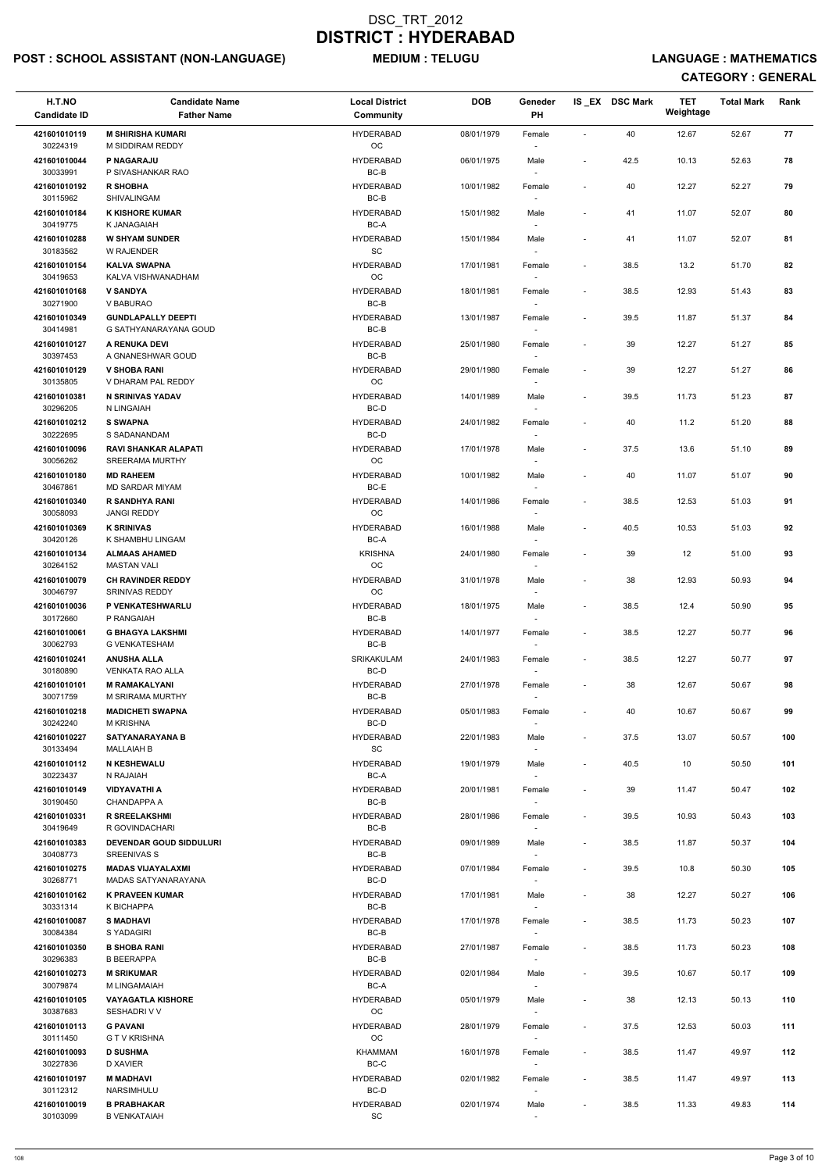## POST : SCHOOL ASSISTANT (NON-LANGUAGE) MEDIUM : TELUGU LANGUAGE : MATHEMATICS

| H.T.NO<br><b>Candidate ID</b> | <b>Candidate Name</b><br><b>Father Name</b>           | <b>Local District</b><br><b>Community</b> | <b>DOB</b> | Geneder<br>PH                      |                              | IS_EX DSC Mark | <b>TET</b><br>Weightage | <b>Total Mark</b> | Rank |  |
|-------------------------------|-------------------------------------------------------|-------------------------------------------|------------|------------------------------------|------------------------------|----------------|-------------------------|-------------------|------|--|
|                               |                                                       |                                           |            |                                    |                              |                |                         |                   |      |  |
| 421601010119<br>30224319      | <b>M SHIRISHA KUMARI</b><br>M SIDDIRAM REDDY          | <b>HYDERABAD</b><br><b>OC</b>             | 08/01/1979 | Female                             | $\sim$                       | 40             | 12.67                   | 52.67             | 77   |  |
| 421601010044<br>30033991      | P NAGARAJU<br>P SIVASHANKAR RAO                       | <b>HYDERABAD</b><br>BC-B                  | 06/01/1975 | Male                               | $\overline{\phantom{a}}$     | 42.5           | 10.13                   | 52.63             | 78   |  |
| 421601010192<br>30115962      | <b>R SHOBHA</b><br>SHIVALINGAM                        | <b>HYDERABAD</b><br>$BC-B$                | 10/01/1982 | Female                             | $\overline{\phantom{a}}$     | 40             | 12.27                   | 52.27             | 79   |  |
| 421601010184<br>30419775      | <b>K KISHORE KUMAR</b><br>K JANAGAIAH                 | <b>HYDERABAD</b><br>BC-A                  | 15/01/1982 | Male                               | $\overline{\phantom{a}}$     | 41             | 11.07                   | 52.07             | 80   |  |
| 421601010288<br>30183562      | <b>W SHYAM SUNDER</b><br>W RAJENDER                   | <b>HYDERABAD</b><br><b>SC</b>             | 15/01/1984 | Male                               | $\overline{\phantom{a}}$     | 41             | 11.07                   | 52.07             | 81   |  |
| 421601010154<br>30419653      | <b>KALVA SWAPNA</b><br>KALVA VISHWANADHAM             | <b>HYDERABAD</b><br>OC                    | 17/01/1981 | Female                             | $\blacksquare$               | 38.5           | 13.2                    | 51.70             | 82   |  |
| 421601010168<br>30271900      | <b>V SANDYA</b><br>V BABURAO                          | <b>HYDERABAD</b><br>BC-B                  | 18/01/1981 | Female                             | $\overline{\phantom{a}}$     | 38.5           | 12.93                   | 51.43             | 83   |  |
| 421601010349<br>30414981      | <b>GUNDLAPALLY DEEPTI</b><br>G SATHYANARAYANA GOUD    | <b>HYDERABAD</b><br>BC-B                  | 13/01/1987 | Female                             | $\overline{\phantom{a}}$     | 39.5           | 11.87                   | 51.37             | 84   |  |
| 421601010127<br>30397453      | A RENUKA DEVI<br>A GNANESHWAR GOUD                    | <b>HYDERABAD</b><br>BC-B                  | 25/01/1980 | Female<br>$\overline{\phantom{a}}$ | $\overline{\phantom{a}}$     | 39             | 12.27                   | 51.27             | 85   |  |
| 421601010129                  | <b>V SHOBA RANI</b>                                   | <b>HYDERABAD</b>                          | 29/01/1980 | Female                             | $\blacksquare$               | 39             | 12.27                   | 51.27             | 86   |  |
| 30135805<br>421601010381      | V DHARAM PAL REDDY<br><b>N SRINIVAS YADAV</b>         | <b>OC</b><br><b>HYDERABAD</b>             | 14/01/1989 | Male                               | $\overline{\phantom{a}}$     | 39.5           | 11.73                   | 51.23             | 87   |  |
| 30296205                      | N LINGAIAH                                            | BC-D                                      |            |                                    |                              |                |                         |                   |      |  |
| 421601010212<br>30222695      | <b>S SWAPNA</b><br>S SADANANDAM                       | <b>HYDERABAD</b><br>BC-D                  | 24/01/1982 | Female                             | $\overline{\phantom{a}}$     | 40             | 11.2                    | 51.20             | 88   |  |
| 421601010096<br>30056262      | <b>RAVI SHANKAR ALAPATI</b><br><b>SREERAMA MURTHY</b> | <b>HYDERABAD</b><br><b>OC</b>             | 17/01/1978 | Male                               | $\overline{\phantom{a}}$     | 37.5           | 13.6                    | 51.10             | 89   |  |
| 421601010180<br>30467861      | <b>MD RAHEEM</b><br>MD SARDAR MIYAM                   | <b>HYDERABAD</b><br>BC-E                  | 10/01/1982 | Male                               | $\overline{\phantom{a}}$     | 40             | 11.07                   | 51.07             | 90   |  |
| 421601010340<br>30058093      | R SANDHYA RANI<br><b>JANGI REDDY</b>                  | <b>HYDERABAD</b><br>OC                    | 14/01/1986 | Female                             | $\blacksquare$               | 38.5           | 12.53                   | 51.03             | 91   |  |
| 421601010369<br>30420126      | <b>K SRINIVAS</b><br>K SHAMBHU LINGAM                 | <b>HYDERABAD</b><br>BC-A                  | 16/01/1988 | Male                               | $\overline{\phantom{a}}$     | 40.5           | 10.53                   | 51.03             | 92   |  |
| 421601010134<br>30264152      | <b>ALMAAS AHAMED</b><br><b>MASTAN VALI</b>            | <b>KRISHNA</b><br>$_{\rm OC}$             | 24/01/1980 | Female<br>$\overline{\phantom{a}}$ | $\qquad \qquad \blacksquare$ | 39             | 12                      | 51.00             | 93   |  |
| 421601010079<br>30046797      | <b>CH RAVINDER REDDY</b><br><b>SRINIVAS REDDY</b>     | <b>HYDERABAD</b><br>OC                    | 31/01/1978 | Male                               | $\qquad \qquad \blacksquare$ | 38             | 12.93                   | 50.93             | 94   |  |
| 421601010036                  | P VENKATESHWARLU                                      | <b>HYDERABAD</b>                          | 18/01/1975 | Male                               | $\blacksquare$               | 38.5           | 12.4                    | 50.90             | 95   |  |
| 30172660<br>421601010061      | P RANGAIAH<br><b>G BHAGYA LAKSHMI</b>                 | BC-B<br><b>HYDERABAD</b>                  | 14/01/1977 | Female                             | $\overline{\phantom{a}}$     | 38.5           | 12.27                   | 50.77             | 96   |  |
| 30062793                      | <b>G VENKATESHAM</b>                                  | BC-B                                      |            | $\overline{\phantom{a}}$           |                              |                |                         |                   |      |  |
| 421601010241<br>30180890      | <b>ANUSHA ALLA</b><br><b>VENKATA RAO ALLA</b>         | <b>SRIKAKULAM</b><br>BC-D                 | 24/01/1983 | Female<br>$\overline{\phantom{a}}$ | $\overline{\phantom{a}}$     | 38.5           | 12.27                   | 50.77             | 97   |  |
| 421601010101<br>30071759      | <b>M RAMAKALYANI</b><br>M SRIRAMA MURTHY              | <b>HYDERABAD</b><br>BC-B                  | 27/01/1978 | Female<br>$\sim$                   | $\overline{\phantom{a}}$     | 38             | 12.67                   | 50.67             | 98   |  |
| 421601010218<br>30242240      | <b>MADICHETI SWAPNA</b><br><b>M KRISHNA</b>           | <b>HYDERABAD</b><br>BC-D                  | 05/01/1983 | Female                             | $\overline{\phantom{a}}$     | 40             | 10.67                   | 50.67             | 99   |  |
| 421601010227<br>30133494      | <b>SATYANARAYANA B</b><br><b>MALLAIAH B</b>           | <b>HYDERABAD</b><br>SC                    | 22/01/1983 | Male                               | $\blacksquare$               | 37.5           | 13.07                   | 50.57             | 100  |  |
| 421601010112<br>30223437      | <b>N KESHEWALU</b><br>N RAJAIAH                       | <b>HYDERABAD</b><br>BC-A                  | 19/01/1979 | Male<br>$\overline{\phantom{a}}$   | $\overline{\phantom{a}}$     | 40.5           | 10                      | 50.50             | 101  |  |
| 421601010149<br>30190450      | <b>VIDYAVATHI A</b><br><b>CHANDAPPA A</b>             | <b>HYDERABAD</b><br>BC-B                  | 20/01/1981 | Female<br>$\overline{\phantom{a}}$ | $\overline{\phantom{a}}$     | 39             | 11.47                   | 50.47             | 102  |  |
| 421601010331<br>30419649      | <b>R SREELAKSHMI</b><br>R GOVINDACHARI                | <b>HYDERABAD</b><br>BC-B                  | 28/01/1986 | Female                             | $\blacksquare$               | 39.5           | 10.93                   | 50.43             | 103  |  |
| 421601010383<br>30408773      | <b>DEVENDAR GOUD SIDDULURI</b><br><b>SREENIVAS S</b>  | <b>HYDERABAD</b><br>BC-B                  | 09/01/1989 | Male                               | $\overline{\phantom{a}}$     | 38.5           | 11.87                   | 50.37             | 104  |  |
| 421601010275                  | <b>MADAS VIJAYALAXMI</b>                              | <b>HYDERABAD</b>                          | 07/01/1984 | Female                             | $\overline{\phantom{a}}$     | 39.5           | 10.8                    | 50.30             | 105  |  |
| 30268771<br>421601010162      | MADAS SATYANARAYANA<br><b>K PRAVEEN KUMAR</b>         | BC-D<br><b>HYDERABAD</b>                  | 17/01/1981 | $\sim$<br>Male                     | $\overline{\phantom{a}}$     | 38             | 12.27                   | 50.27             | 106  |  |
| 30331314                      | K BICHAPPA                                            | BC-B<br><b>HYDERABAD</b>                  |            | $\overline{\phantom{a}}$           |                              |                |                         |                   |      |  |
| 421601010087<br>30084384      | <b>S MADHAVI</b><br>S YADAGIRI                        | BC-B                                      | 17/01/1978 | Female                             | $\overline{\phantom{a}}$     | 38.5           | 11.73                   | 50.23             | 107  |  |
| 421601010350<br>30296383      | <b>B SHOBA RANI</b><br><b>B BEERAPPA</b>              | <b>HYDERABAD</b><br>BC-B                  | 27/01/1987 | Female                             | $\blacksquare$               | 38.5           | 11.73                   | 50.23             | 108  |  |
| 421601010273<br>30079874      | <b>M SRIKUMAR</b><br>M LINGAMAIAH                     | <b>HYDERABAD</b><br>BC-A                  | 02/01/1984 | Male<br>$\sim$                     | $\overline{\phantom{a}}$     | 39.5           | 10.67                   | 50.17             | 109  |  |
| 421601010105<br>30387683      | <b>VAYAGATLA KISHORE</b><br>SESHADRI V V              | <b>HYDERABAD</b><br>OC                    | 05/01/1979 | Male                               |                              | 38             | 12.13                   | 50.13             | 110  |  |
| 421601010113<br>30111450      | <b>G PAVANI</b><br><b>G T V KRISHNA</b>               | <b>HYDERABAD</b><br>OC                    | 28/01/1979 | Female<br>$\overline{\phantom{a}}$ | $\overline{\phantom{a}}$     | 37.5           | 12.53                   | 50.03             | 111  |  |
| 421601010093<br>30227836      | <b>D SUSHMA</b><br>D XAVIER                           | KHAMMAM<br>BC-C                           | 16/01/1978 | Female<br>$\overline{\phantom{a}}$ | $\overline{\phantom{a}}$     | 38.5           | 11.47                   | 49.97             | 112  |  |
| 421601010197<br>30112312      | <b>M MADHAVI</b><br>NARSIMHULU                        | <b>HYDERABAD</b><br>BC-D                  | 02/01/1982 | Female<br>$\sim$                   | $\overline{\phantom{a}}$     | 38.5           | 11.47                   | 49.97             | 113  |  |
| 421601010019<br>30103099      | <b>B PRABHAKAR</b><br><b>B VENKATAIAH</b>             | <b>HYDERABAD</b><br>SC                    | 02/01/1974 | Male<br>$\overline{\phantom{a}}$   | $\overline{\phantom{a}}$     | 38.5           | 11.33                   | 49.83             | 114  |  |
|                               |                                                       |                                           |            |                                    |                              |                |                         |                   |      |  |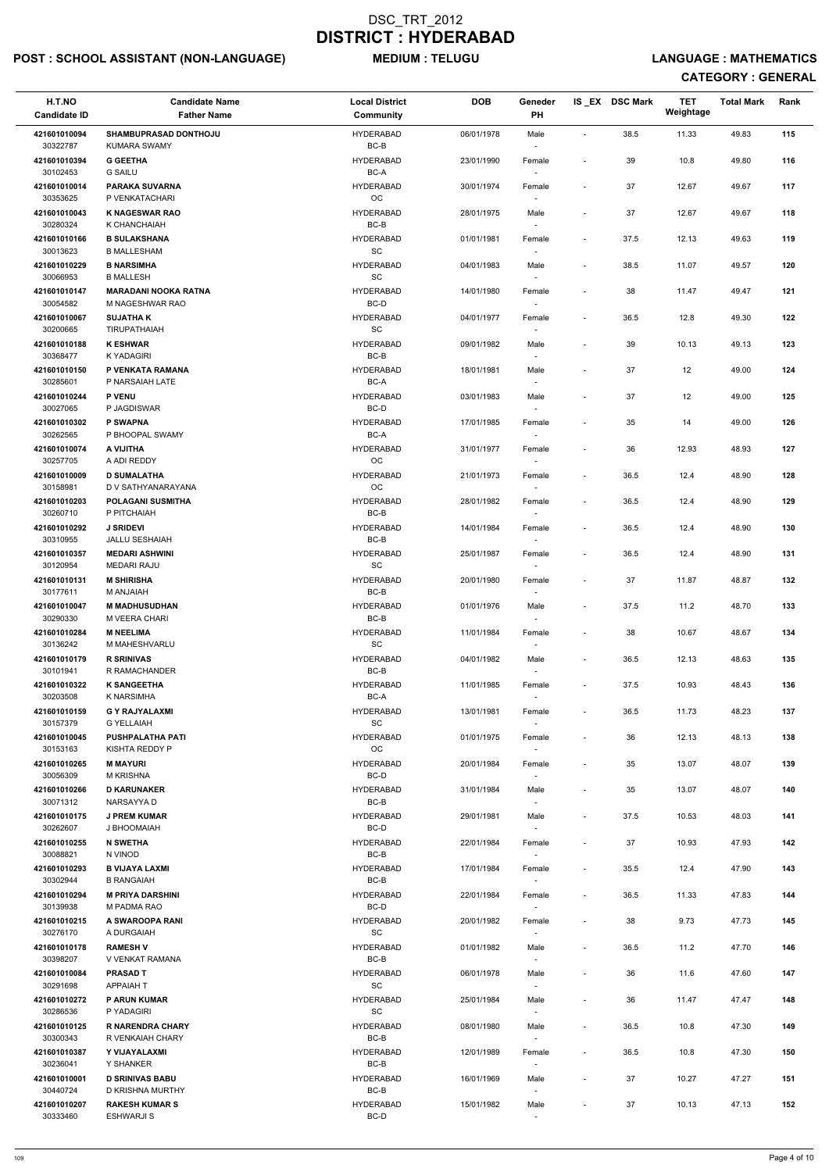## POST : SCHOOL ASSISTANT (NON-LANGUAGE) MEDIUM : TELUGU LANGUAGE : MATHEMATICS

| H.T.NO<br><b>Candidate ID</b> | <b>Candidate Name</b><br><b>Father Name</b>     | <b>Local District</b><br>Community | <b>DOB</b> | Geneder<br>PH                      |                          | IS_EX DSC Mark | <b>TET</b><br>Weightage | <b>Total Mark</b> | Rank |
|-------------------------------|-------------------------------------------------|------------------------------------|------------|------------------------------------|--------------------------|----------------|-------------------------|-------------------|------|
| 421601010094<br>30322787      | SHAMBUPRASAD DONTHOJU<br><b>KUMARA SWAMY</b>    | <b>HYDERABAD</b><br>BC-B           | 06/01/1978 | Male                               | $\sim$                   | 38.5           | 11.33                   | 49.83             | 115  |
| 421601010394                  | <b>G GEETHA</b>                                 | <b>HYDERABAD</b>                   | 23/01/1990 | Female                             | $\overline{\phantom{a}}$ | 39             | 10.8                    | 49.80             | 116  |
| 30102453<br>421601010014      | <b>G SAILU</b><br><b>PARAKA SUVARNA</b>         | BC-A<br><b>HYDERABAD</b>           | 30/01/1974 | Female                             | $\overline{\phantom{a}}$ | 37             | 12.67                   | 49.67             | 117  |
| 30353625<br>421601010043      | P VENKATACHARI<br><b>K NAGESWAR RAO</b>         | OC<br><b>HYDERABAD</b>             | 28/01/1975 | Male                               | $\overline{\phantom{a}}$ | 37             | 12.67                   | 49.67             | 118  |
| 30280324<br>421601010166      | K CHANCHAIAH<br><b>B SULAKSHANA</b>             | $BC-B$<br><b>HYDERABAD</b>         | 01/01/1981 | Female                             | $\overline{\phantom{a}}$ | 37.5           | 12.13                   | 49.63             | 119  |
| 30013623<br>421601010229      | <b>B MALLESHAM</b><br><b>B NARSIMHA</b>         | SC<br><b>HYDERABAD</b>             | 04/01/1983 | Male                               | $\overline{\phantom{a}}$ | 38.5           | 11.07                   | 49.57             | 120  |
| 30066953<br>421601010147      | <b>B MALLESH</b><br><b>MARADANI NOOKA RATNA</b> | SC<br><b>HYDERABAD</b>             | 14/01/1980 | Female                             | $\blacksquare$           | 38             | 11.47                   | 49.47             | 121  |
| 30054582<br>421601010067      | M NAGESHWAR RAO<br><b>SUJATHAK</b>              | BC-D<br><b>HYDERABAD</b>           | 04/01/1977 | Female                             | $\sim$                   | 36.5           | 12.8                    | 49.30             | 122  |
| 30200665                      | <b>TIRUPATHAIAH</b>                             | SC                                 |            |                                    |                          |                |                         |                   |      |
| 421601010188<br>30368477      | <b>K ESHWAR</b><br>K YADAGIRI                   | <b>HYDERABAD</b><br>BC-B           | 09/01/1982 | Male                               | $\overline{\phantom{a}}$ | 39             | 10.13                   | 49.13             | 123  |
| 421601010150<br>30285601      | P VENKATA RAMANA<br>P NARSAIAH LATE             | <b>HYDERABAD</b><br>BC-A           | 18/01/1981 | Male                               | $\overline{\phantom{a}}$ | 37             | 12                      | 49.00             | 124  |
| 421601010244                  | <b>P VENU</b>                                   | <b>HYDERABAD</b>                   | 03/01/1983 | $\overline{\phantom{a}}$<br>Male   | ٠                        | 37             | 12                      | 49.00             | 125  |
| 30027065                      | P JAGDISWAR<br>P SWAPNA                         | BC-D<br><b>HYDERABAD</b>           |            |                                    |                          |                |                         |                   | 126  |
| 421601010302<br>30262565      | P BHOOPAL SWAMY                                 | BC-A                               | 17/01/1985 | Female                             | $\overline{\phantom{a}}$ | 35             | 14                      | 49.00             |      |
| 421601010074<br>30257705      | A VIJITHA<br>A ADI REDDY                        | <b>HYDERABAD</b><br>$_{\rm OC}$    | 31/01/1977 | Female<br>$\overline{\phantom{a}}$ | $\overline{\phantom{a}}$ | 36             | 12.93                   | 48.93             | 127  |
| 421601010009<br>30158981      | <b>D SUMALATHA</b><br>D V SATHYANARAYANA        | <b>HYDERABAD</b><br>OC             | 21/01/1973 | Female                             | $\overline{\phantom{a}}$ | 36.5           | 12.4                    | 48.90             | 128  |
| 421601010203<br>30260710      | <b>POLAGANI SUSMITHA</b><br>P PITCHAIAH         | <b>HYDERABAD</b><br>BC-B           | 28/01/1982 | Female                             | $\overline{\phantom{a}}$ | 36.5           | 12.4                    | 48.90             | 129  |
| 421601010292                  | <b>J SRIDEVI</b>                                | <b>HYDERABAD</b>                   | 14/01/1984 | Female                             | $\overline{\phantom{a}}$ | 36.5           | 12.4                    | 48.90             | 130  |
| 30310955<br>421601010357      | JALLU SESHAIAH<br><b>MEDARI ASHWINI</b>         | $BC-B$<br><b>HYDERABAD</b>         | 25/01/1987 | Female                             | $\overline{\phantom{a}}$ | 36.5           | 12.4                    | 48.90             | 131  |
| 30120954<br>421601010131      | <b>MEDARI RAJU</b><br><b>M SHIRISHA</b>         | SC<br><b>HYDERABAD</b>             | 20/01/1980 | $\overline{\phantom{a}}$<br>Female | $\tilde{\phantom{a}}$    | 37             | 11.87                   | 48.87             | 132  |
| 30177611                      | M ANJAIAH                                       | BC-B                               |            | $\overline{\phantom{a}}$           |                          |                |                         |                   |      |
| 421601010047<br>30290330      | <b>M MADHUSUDHAN</b><br>M VEERA CHARI           | <b>HYDERABAD</b><br>BC-B           | 01/01/1976 | Male                               | $\overline{\phantom{a}}$ | 37.5           | 11.2                    | 48.70             | 133  |
| 421601010284<br>30136242      | <b>M NEELIMA</b><br>M MAHESHVARLU               | <b>HYDERABAD</b><br><b>SC</b>      | 11/01/1984 | Female<br>$\sim$                   | $\overline{\phantom{a}}$ | 38             | 10.67                   | 48.67             | 134  |
| 421601010179<br>30101941      | <b>R SRINIVAS</b><br>R RAMACHANDER              | <b>HYDERABAD</b><br>BC-B           | 04/01/1982 | Male                               | $\blacksquare$           | 36.5           | 12.13                   | 48.63             | 135  |
| 421601010322                  | <b>K SANGEETHA</b>                              | <b>HYDERABAD</b>                   | 11/01/1985 | $\sim$<br>Female                   | $\blacksquare$           | 37.5           | 10.93                   | 48.43             | 136  |
| 30203508<br>421601010159      | K NARSIMHA<br><b>G Y RAJYALAXMI</b>             | BC-A<br><b>HYDERABAD</b>           | 13/01/1981 | Female                             | $\blacksquare$           | 36.5           | 11.73                   | 48.23             | 137  |
| 30157379<br>421601010045      | <b>G YELLAIAH</b><br><b>PUSHPALATHA PATI</b>    | SC<br><b>HYDERABAD</b>             | 01/01/1975 | Female                             | $\overline{\phantom{a}}$ | 36             | 12.13                   | 48.13             | 138  |
| 30153163                      | KISHTA REDDY P                                  | <b>OC</b>                          |            |                                    |                          |                |                         |                   |      |
| 421601010265<br>30056309      | <b>M MAYURI</b><br><b>M KRISHNA</b>             | <b>HYDERABAD</b><br>BC-D           | 20/01/1984 | Female<br>$\overline{\phantom{a}}$ | $\overline{\phantom{a}}$ | 35             | 13.07                   | 48.07             | 139  |
| 421601010266<br>30071312      | <b>D KARUNAKER</b><br>NARSAYYA D                | <b>HYDERABAD</b><br>BC-B           | 31/01/1984 | Male<br>$\sim$                     | $\overline{\phantom{a}}$ | 35             | 13.07                   | 48.07             | 140  |
| 421601010175<br>30262607      | <b>J PREM KUMAR</b><br>J BHOOMAIAH              | <b>HYDERABAD</b><br>BC-D           | 29/01/1981 | Male                               | $\overline{\phantom{a}}$ | 37.5           | 10.53                   | 48.03             | 141  |
| 421601010255<br>30088821      | <b>N SWETHA</b><br>N VINOD                      | <b>HYDERABAD</b><br>BC-B           | 22/01/1984 | Female                             | $\overline{\phantom{a}}$ | 37             | 10.93                   | 47.93             | 142  |
| 421601010293                  | <b>B VIJAYA LAXMI</b>                           | <b>HYDERABAD</b>                   | 17/01/1984 | Female                             | $\blacksquare$           | 35.5           | 12.4                    | 47.90             | 143  |
| 30302944<br>421601010294      | <b>B RANGAIAH</b><br><b>M PRIYA DARSHINI</b>    | BC-B<br><b>HYDERABAD</b>           | 22/01/1984 | $\sim$                             | $\blacksquare$           | 36.5           | 11.33                   | 47.83             | 144  |
| 30139938                      | M PADMA RAO                                     | BC-D                               |            | Female<br>$\overline{\phantom{a}}$ |                          |                |                         |                   |      |
| 421601010215<br>30276170      | A SWAROOPA RANI<br>A DURGAIAH                   | <b>HYDERABAD</b><br>SC             | 20/01/1982 | Female<br>$\overline{\phantom{a}}$ | $\blacksquare$           | 38             | 9.73                    | 47.73             | 145  |
| 421601010178                  | <b>RAMESH V</b>                                 | <b>HYDERABAD</b>                   | 01/01/1982 | Male                               | $\overline{\phantom{a}}$ | 36.5           | 11.2                    | 47.70             | 146  |
| 30398207<br>421601010084      | V VENKAT RAMANA<br><b>PRASAD T</b>              | BC-B<br><b>HYDERABAD</b>           | 06/01/1978 | Male                               | $\overline{\phantom{a}}$ | 36             | 11.6                    | 47.60             | 147  |
| 30291698<br>421601010272      | <b>APPAIAHT</b><br><b>P ARUN KUMAR</b>          | SC<br><b>HYDERABAD</b>             | 25/01/1984 | $\overline{\phantom{a}}$<br>Male   |                          | 36             | 11.47                   | 47.47             | 148  |
| 30286536<br>421601010125      | P YADAGIRI<br><b>R NARENDRA CHARY</b>           | SC<br><b>HYDERABAD</b>             | 08/01/1980 | $\overline{\phantom{a}}$<br>Male   | $\blacksquare$           | 36.5           | 10.8                    | 47.30             | 149  |
| 30300343<br>421601010387      | R VENKAIAH CHARY<br>Y VIJAYALAXMI               | BC-B<br><b>HYDERABAD</b>           | 12/01/1989 | $\overline{\phantom{a}}$<br>Female | $\overline{\phantom{a}}$ | 36.5           | 10.8                    | 47.30             | 150  |
| 30236041                      | Y SHANKER                                       | BC-B                               |            | $\overline{\phantom{a}}$           |                          |                |                         |                   |      |
| 421601010001<br>30440724      | <b>D SRINIVAS BABU</b><br>D KRISHNA MURTHY      | <b>HYDERABAD</b><br>BC-B           | 16/01/1969 | Male<br>$\overline{\phantom{a}}$   | $\overline{\phantom{a}}$ | 37             | 10.27                   | 47.27             | 151  |
| 421601010207<br>30333460      | <b>RAKESH KUMAR S</b><br><b>ESHWARJI S</b>      | <b>HYDERABAD</b><br>BC-D           | 15/01/1982 | Male                               | $\overline{\phantom{a}}$ | 37             | 10.13                   | 47.13             | 152  |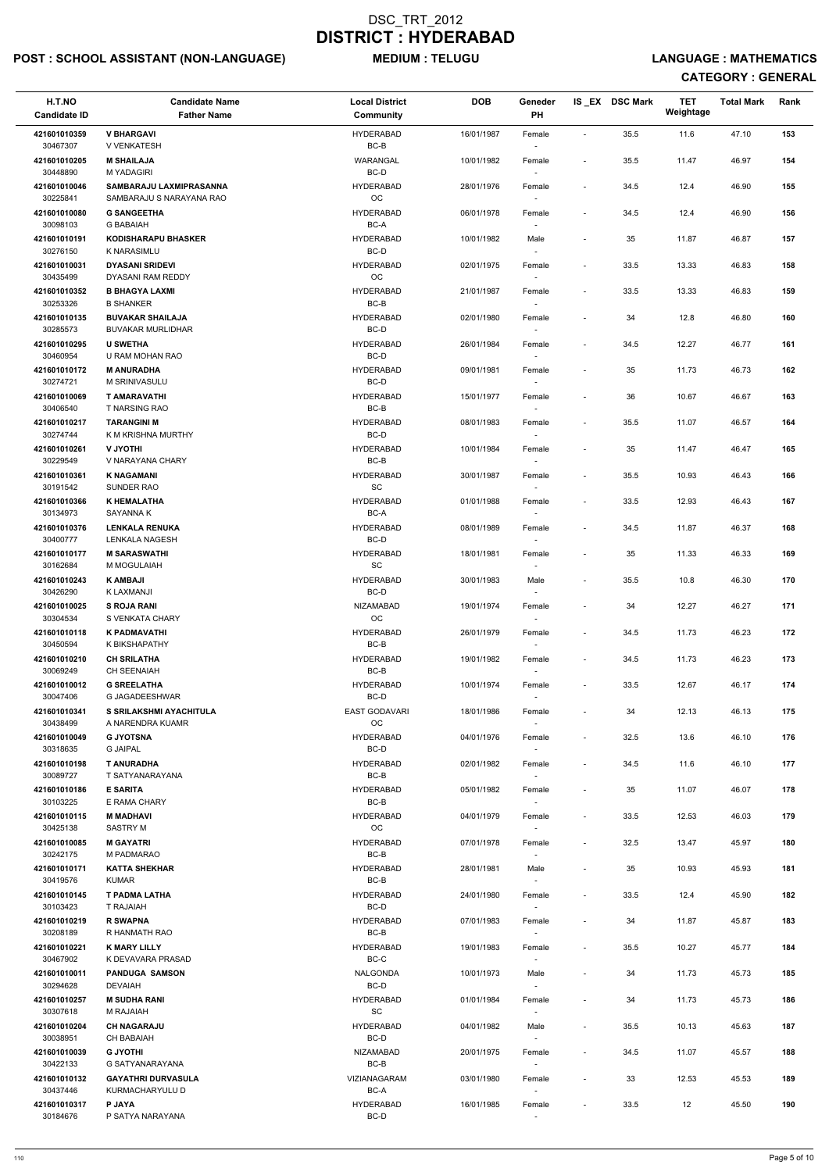## POST : SCHOOL ASSISTANT (NON-LANGUAGE) MEDIUM : TELUGU LANGUAGE : MATHEMATICS

| H.T.NO<br><b>Candidate ID</b>        | <b>Candidate Name</b><br><b>Father Name</b>                             | <b>Local District</b><br>Community | <b>DOB</b> | Geneder<br>PH                    |                          | IS EX DSC Mark | <b>TET</b><br>Weightage | <b>Total Mark</b> | Rank |
|--------------------------------------|-------------------------------------------------------------------------|------------------------------------|------------|----------------------------------|--------------------------|----------------|-------------------------|-------------------|------|
| 421601010359<br>30467307             | <b>V BHARGAVI</b><br>V VENKATESH                                        | <b>HYDERABAD</b><br>BC-B           | 16/01/1987 | Female                           | $\overline{\phantom{a}}$ | 35.5           | 11.6                    | 47.10             | 153  |
| 421601010205<br>30448890             | <b>M SHAILAJA</b><br><b>M YADAGIRI</b>                                  | WARANGAL<br>BC-D                   | 10/01/1982 | Female                           | $\overline{\phantom{a}}$ | 35.5           | 11.47                   | 46.97             | 154  |
| 421601010046<br>30225841             | SAMBARAJU LAXMIPRASANNA<br>SAMBARAJU S NARAYANA RAO                     | <b>HYDERABAD</b><br>OC             | 28/01/1976 | Female                           | $\overline{\phantom{a}}$ | 34.5           | 12.4                    | 46.90             | 155  |
| 421601010080<br>30098103             | <b>G SANGEETHA</b><br><b>G BABAIAH</b>                                  | <b>HYDERABAD</b><br>BC-A           | 06/01/1978 | Female                           | $\overline{\phantom{a}}$ | 34.5           | 12.4                    | 46.90             | 156  |
| 421601010191<br>30276150             | <b>KODISHARAPU BHASKER</b><br>K NARASIMLU                               | <b>HYDERABAD</b><br>BC-D           | 10/01/1982 | Male                             | $\overline{\phantom{a}}$ | 35             | 11.87                   | 46.87             | 157  |
| 421601010031<br>30435499             | <b>DYASANI SRIDEVI</b>                                                  | <b>HYDERABAD</b><br><b>OC</b>      | 02/01/1975 | Female                           | $\overline{\phantom{a}}$ | 33.5           | 13.33                   | 46.83             | 158  |
| 421601010352                         | DYASANI RAM REDDY<br><b>B BHAGYA LAXMI</b>                              | <b>HYDERABAD</b><br>BC-B           | 21/01/1987 | Female                           | $\overline{\phantom{a}}$ | 33.5           | 13.33                   | 46.83             | 159  |
| 30253326<br>421601010135<br>30285573 | <b>B SHANKER</b><br><b>BUVAKAR SHAILAJA</b><br><b>BUVAKAR MURLIDHAR</b> | <b>HYDERABAD</b><br>BC-D           | 02/01/1980 | Female                           | $\overline{\phantom{a}}$ | 34             | 12.8                    | 46.80             | 160  |
| 421601010295                         | <b>U SWETHA</b>                                                         | <b>HYDERABAD</b>                   | 26/01/1984 | Female                           | $\blacksquare$           | 34.5           | 12.27                   | 46.77             | 161  |
| 30460954                             | U RAM MOHAN RAO                                                         | BC-D                               |            | $\sim$                           |                          |                |                         |                   |      |
| 421601010172<br>30274721             | <b>M ANURADHA</b><br>M SRINIVASULU                                      | <b>HYDERABAD</b><br>BC-D           | 09/01/1981 | Female                           | $\overline{\phantom{a}}$ | 35             | 11.73                   | 46.73             | 162  |
| 421601010069<br>30406540             | <b>T AMARAVATHI</b><br>T NARSING RAO                                    | <b>HYDERABAD</b><br>BC-B           | 15/01/1977 | Female                           | $\overline{\phantom{a}}$ | 36             | 10.67                   | 46.67             | 163  |
| 421601010217<br>30274744             | <b>TARANGINI M</b><br>K M KRISHNA MURTHY                                | <b>HYDERABAD</b><br>BC-D           | 08/01/1983 | Female                           | $\overline{\phantom{a}}$ | 35.5           | 11.07                   | 46.57             | 164  |
| 421601010261<br>30229549             | <b>U JYOTHI</b><br>V NARAYANA CHARY                                     | <b>HYDERABAD</b><br>BC-B           | 10/01/1984 | Female<br>$\sim$                 | $\overline{\phantom{a}}$ | 35             | 11.47                   | 46.47             | 165  |
| 421601010361                         | <b>K NAGAMANI</b>                                                       | <b>HYDERABAD</b>                   | 30/01/1987 | Female                           | $\overline{\phantom{a}}$ | 35.5           | 10.93                   | 46.43             | 166  |
| 30191542<br>421601010366             | SUNDER RAO<br>K HEMALATHA                                               | SC<br><b>HYDERABAD</b>             | 01/01/1988 | Female                           | $\overline{\phantom{a}}$ | 33.5           | 12.93                   | 46.43             | 167  |
| 30134973<br>421601010376             | SAYANNA K<br><b>LENKALA RENUKA</b>                                      | BC-A<br><b>HYDERABAD</b>           | 08/01/1989 | Female                           | $\overline{\phantom{a}}$ | 34.5           | 11.87                   | 46.37             | 168  |
| 30400777<br>421601010177             | LENKALA NAGESH<br><b>M SARASWATHI</b>                                   | BC-D<br><b>HYDERABAD</b>           | 18/01/1981 | Female                           | $\overline{\phantom{a}}$ | 35             | 11.33                   | 46.33             | 169  |
| 30162684                             | M MOGULAIAH                                                             | <b>SC</b>                          |            | $\overline{\phantom{a}}$         |                          |                |                         |                   |      |
| 421601010243<br>30426290             | <b>K AMBAJI</b><br>K LAXMANJI                                           | <b>HYDERABAD</b><br>BC-D           | 30/01/1983 | Male<br>$\overline{\phantom{a}}$ | $\overline{\phantom{a}}$ | 35.5           | 10.8                    | 46.30             | 170  |
| 421601010025<br>30304534             | <b>S ROJA RANI</b><br>S VENKATA CHARY                                   | NIZAMABAD<br>OC                    | 19/01/1974 | Female                           | $\overline{\phantom{a}}$ | 34             | 12.27                   | 46.27             | 171  |
| 421601010118                         | K PADMAVATHI                                                            | <b>HYDERABAD</b><br>BC-B           | 26/01/1979 | Female                           | $\overline{\phantom{a}}$ | 34.5           | 11.73                   | 46.23             | 172  |
| 30450594<br>421601010210             | K BIKSHAPATHY<br><b>CH SRILATHA</b>                                     | <b>HYDERABAD</b>                   | 19/01/1982 | $\sim$<br>Female                 | $\overline{\phantom{a}}$ | 34.5           | 11.73                   | 46.23             | 173  |
| 30069249<br>421601010012             | <b>CH SEENAIAH</b><br><b>G SREELATHA</b>                                | BC-B<br><b>HYDERABAD</b>           | 10/01/1974 | $\sim$<br>Female                 | $\overline{\phantom{a}}$ | 33.5           | 12.67                   | 46.17             | 174  |
| 30047406<br>421601010341             | G JAGADEESHWAR<br>S SRILAKSHMI AYACHITULA                               | BC-D<br><b>EAST GODAVARI</b>       | 18/01/1986 | $\sim$<br>Female                 | $\overline{\phantom{a}}$ | 34             | 12.13                   | 46.13             | 175  |
| 30438499<br>421601010049             | A NARENDRA KUAMR<br><b>G JYOTSNA</b>                                    | OC<br><b>HYDERABAD</b>             | 04/01/1976 | Female                           | $\overline{\phantom{a}}$ | 32.5           | 13.6                    | 46.10             | 176  |
| 30318635<br>421601010198             | <b>G JAIPAL</b><br><b>T ANURADHA</b>                                    | BC-D<br><b>HYDERABAD</b>           | 02/01/1982 | Female                           | $\overline{\phantom{a}}$ | 34.5           | 11.6                    | 46.10             | 177  |
| 30089727<br>421601010186             | T SATYANARAYANA<br><b>E SARITA</b>                                      | BC-B<br><b>HYDERABAD</b>           | 05/01/1982 | $\sim$<br>Female                 | $\overline{\phantom{a}}$ | 35             | 11.07                   | 46.07             | 178  |
| 30103225                             | E RAMA CHARY                                                            | BC-B                               |            | $\sim$                           |                          |                |                         |                   |      |
| 421601010115<br>30425138             | <b>M MADHAVI</b><br><b>SASTRY M</b>                                     | <b>HYDERABAD</b><br>OC             | 04/01/1979 | Female                           | $\overline{\phantom{a}}$ | 33.5           | 12.53                   | 46.03             | 179  |
| 421601010085<br>30242175             | <b>M GAYATRI</b><br>M PADMARAO                                          | <b>HYDERABAD</b><br>BC-B           | 07/01/1978 | Female                           | $\overline{\phantom{a}}$ | 32.5           | 13.47                   | 45.97             | 180  |
| 421601010171<br>30419576             | <b>KATTA SHEKHAR</b><br>KUMAR                                           | <b>HYDERABAD</b><br>BC-B           | 28/01/1981 | Male<br>$\sim$                   | $\overline{\phantom{a}}$ | 35             | 10.93                   | 45.93             | 181  |
| 421601010145<br>30103423             | <b>T PADMA LATHA</b><br>T RAJAIAH                                       | <b>HYDERABAD</b><br>BC-D           | 24/01/1980 | Female<br>$\sim$                 | $\overline{\phantom{a}}$ | 33.5           | 12.4                    | 45.90             | 182  |
| 421601010219                         | <b>R SWAPNA</b>                                                         | <b>HYDERABAD</b>                   | 07/01/1983 | Female                           | $\overline{\phantom{a}}$ | 34             | 11.87                   | 45.87             | 183  |
| 30208189<br>421601010221             | R HANMATH RAO<br><b>K MARY LILLY</b>                                    | BC-B<br><b>HYDERABAD</b>           | 19/01/1983 | $\sim$<br>Female                 | $\overline{\phantom{a}}$ | 35.5           | 10.27                   | 45.77             | 184  |
| 30467902                             | K DEVAVARA PRASAD                                                       | BC-C                               |            |                                  |                          |                |                         |                   |      |
| 421601010011<br>30294628             | <b>PANDUGA SAMSON</b><br><b>DEVAIAH</b>                                 | <b>NALGONDA</b><br>BC-D            | 10/01/1973 | Male<br>$\overline{\phantom{a}}$ | $\overline{\phantom{a}}$ | 34             | 11.73                   | 45.73             | 185  |
| 421601010257<br>30307618             | <b>M SUDHA RANI</b><br><b>M RAJAIAH</b>                                 | <b>HYDERABAD</b><br>SC             | 01/01/1984 | Female                           |                          | 34             | 11.73                   | 45.73             | 186  |
| 421601010204<br>30038951             | <b>CH NAGARAJU</b><br><b>CH BABAIAH</b>                                 | <b>HYDERABAD</b><br>BC-D           | 04/01/1982 | Male<br>$\overline{\phantom{a}}$ | $\overline{\phantom{a}}$ | 35.5           | 10.13                   | 45.63             | 187  |
| 421601010039                         | <b>G JYOTHI</b>                                                         | NIZAMABAD                          | 20/01/1975 | Female                           | $\overline{\phantom{a}}$ | 34.5           | 11.07                   | 45.57             | 188  |
| 30422133<br>421601010132             | G SATYANARAYANA<br><b>GAYATHRI DURVASULA</b>                            | $BC-B$<br>VIZIANAGARAM             | 03/01/1980 | $\sim$<br>Female                 | $\overline{\phantom{a}}$ | 33             | 12.53                   | 45.53             | 189  |
| 30437446<br>421601010317             | KURMACHARYULU D<br><b>P JAYA</b>                                        | BC-A<br><b>HYDERABAD</b>           | 16/01/1985 | $\sim$<br>Female                 | $\overline{\phantom{a}}$ | 33.5           | 12                      | 45.50             | 190  |
| 30184676                             | P SATYA NARAYANA                                                        | $BC-D$                             |            | $\overline{\phantom{a}}$         |                          |                |                         |                   |      |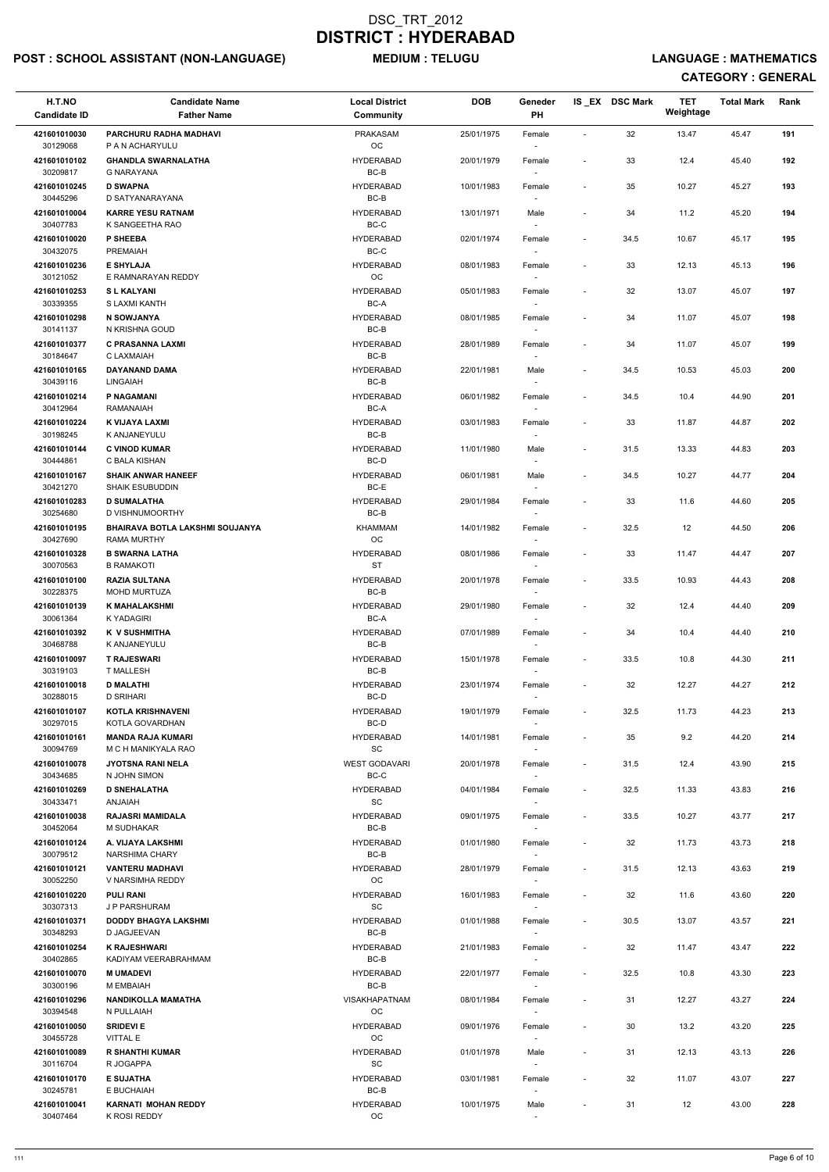## POST : SCHOOL ASSISTANT (NON-LANGUAGE) MEDIUM : TELUGU LANGUAGE : MATHEMATICS

| H.T.NO<br><b>Candidate ID</b> | <b>Candidate Name</b><br><b>Father Name</b>     | <b>Local District</b><br><b>Community</b> | <b>DOB</b> | Geneder<br><b>PH</b>               |                          | IS_EX DSC Mark | <b>TET</b><br>Weightage | <b>Total Mark</b> | Rank |
|-------------------------------|-------------------------------------------------|-------------------------------------------|------------|------------------------------------|--------------------------|----------------|-------------------------|-------------------|------|
| 421601010030                  | PARCHURU RADHA MADHAVI                          | <b>PRAKASAM</b>                           | 25/01/1975 | Female                             | $\sim$                   | 32             | 13.47                   | 45.47             | 191  |
| 30129068                      | P A N ACHARYULU                                 | <b>OC</b>                                 |            |                                    |                          |                |                         |                   |      |
| 421601010102<br>30209817      | <b>GHANDLA SWARNALATHA</b><br><b>G NARAYANA</b> | <b>HYDERABAD</b><br>BC-B                  | 20/01/1979 | Female                             | $\blacksquare$           | 33             | 12.4                    | 45.40             | 192  |
| 421601010245<br>30445296      | <b>D SWAPNA</b><br>D SATYANARAYANA              | <b>HYDERABAD</b><br>$BC-B$                | 10/01/1983 | Female                             | $\overline{\phantom{a}}$ | 35             | 10.27                   | 45.27             | 193  |
| 421601010004                  | <b>KARRE YESU RATNAM</b>                        | <b>HYDERABAD</b>                          | 13/01/1971 | Male                               | $\overline{\phantom{a}}$ | 34             | 11.2                    | 45.20             | 194  |
| 30407783<br>421601010020      | K SANGEETHA RAO<br>P SHEEBA                     | BC-C<br><b>HYDERABAD</b>                  | 02/01/1974 | $\sim$<br>Female                   | $\overline{\phantom{a}}$ | 34.5           | 10.67                   | 45.17             | 195  |
| 30432075                      | <b>PREMAIAH</b>                                 | BC-C                                      |            |                                    |                          |                |                         |                   |      |
| 421601010236<br>30121052      | <b>E SHYLAJA</b><br>E RAMNARAYAN REDDY          | <b>HYDERABAD</b><br>OC                    | 08/01/1983 | Female                             | $\overline{\phantom{a}}$ | 33             | 12.13                   | 45.13             | 196  |
| 421601010253<br>30339355      | <b>SL KALYANI</b><br>S LAXMI KANTH              | <b>HYDERABAD</b><br>BC-A                  | 05/01/1983 | Female                             | ÷,                       | 32             | 13.07                   | 45.07             | 197  |
| 421601010298                  | N SOWJANYA                                      | <b>HYDERABAD</b>                          | 08/01/1985 | Female                             | $\overline{\phantom{a}}$ | 34             | 11.07                   | 45.07             | 198  |
| 30141137<br>421601010377      | N KRISHNA GOUD<br><b>C PRASANNA LAXMI</b>       | BC-B<br><b>HYDERABAD</b>                  | 28/01/1989 | Female                             | $\overline{\phantom{a}}$ | 34             | 11.07                   | 45.07             | 199  |
| 30184647                      | C LAXMAIAH<br>DAYANAND DAMA                     | BC-B<br><b>HYDERABAD</b>                  |            |                                    |                          |                |                         |                   | 200  |
| 421601010165<br>30439116      | <b>LINGAIAH</b>                                 | BC-B                                      | 22/01/1981 | Male<br>$\sim$                     | $\overline{\phantom{a}}$ | 34.5           | 10.53                   | 45.03             |      |
| 421601010214<br>30412964      | P NAGAMANI<br>RAMANAIAH                         | <b>HYDERABAD</b><br>BC-A                  | 06/01/1982 | Female                             | $\blacksquare$           | 34.5           | 10.4                    | 44.90             | 201  |
| 421601010224<br>30198245      | K VIJAYA LAXMI<br>K ANJANEYULU                  | <b>HYDERABAD</b><br>BC-B                  | 03/01/1983 | Female                             | $\overline{\phantom{a}}$ | 33             | 11.87                   | 44.87             | 202  |
| 421601010144                  | <b>C VINOD KUMAR</b>                            | <b>HYDERABAD</b>                          | 11/01/1980 | Male                               | $\overline{\phantom{a}}$ | 31.5           | 13.33                   | 44.83             | 203  |
| 30444861<br>421601010167      | C BALA KISHAN<br><b>SHAIK ANWAR HANEEF</b>      | BC-D<br><b>HYDERABAD</b>                  | 06/01/1981 | Male                               | $\overline{\phantom{a}}$ | 34.5           | 10.27                   | 44.77             | 204  |
| 30421270                      | <b>SHAIK ESUBUDDIN</b>                          | BC-E                                      |            |                                    |                          |                |                         |                   |      |
| 421601010283<br>30254680      | <b>D SUMALATHA</b><br>D VISHNUMOORTHY           | <b>HYDERABAD</b><br>BC-B                  | 29/01/1984 | Female                             | $\overline{\phantom{a}}$ | 33             | 11.6                    | 44.60             | 205  |
| 421601010195<br>30427690      | BHAIRAVA BOTLA LAKSHMI SOUJANYA<br>RAMA MURTHY  | KHAMMAM<br>OC                             | 14/01/1982 | Female                             | $\overline{\phantom{a}}$ | 32.5           | 12                      | 44.50             | 206  |
| 421601010328                  | <b>B SWARNA LATHA</b>                           | <b>HYDERABAD</b>                          | 08/01/1986 | Female                             | $\overline{\phantom{a}}$ | 33             | 11.47                   | 44.47             | 207  |
| 30070563<br>421601010100      | <b>B RAMAKOTI</b><br><b>RAZIA SULTANA</b>       | <b>ST</b><br><b>HYDERABAD</b>             | 20/01/1978 | $\sim$<br>Female                   | $\overline{\phantom{a}}$ | 33.5           | 10.93                   | 44.43             | 208  |
| 30228375<br>421601010139      | <b>MOHD MURTUZA</b><br><b>K MAHALAKSHMI</b>     | BC-B<br><b>HYDERABAD</b>                  | 29/01/1980 | Female                             | $\overline{\phantom{a}}$ | 32             | 12.4                    | 44.40             | 209  |
| 30061364                      | K YADAGIRI                                      | BC-A                                      |            |                                    |                          |                |                         |                   |      |
| 421601010392<br>30468788      | <b>K V SUSHMITHA</b><br><b>K ANJANEYULU</b>     | <b>HYDERABAD</b><br>BC-B                  | 07/01/1989 | Female<br>$\sim$                   | $\overline{\phantom{a}}$ | 34             | 10.4                    | 44.40             | 210  |
| 421601010097<br>30319103      | <b>T RAJESWARI</b><br><b>T MALLESH</b>          | <b>HYDERABAD</b><br>BC-B                  | 15/01/1978 | Female<br>$\overline{\phantom{a}}$ | $\overline{\phantom{a}}$ | 33.5           | 10.8                    | 44.30             | 211  |
| 421601010018                  | <b>D MALATHI</b>                                | <b>HYDERABAD</b>                          | 23/01/1974 | Female                             | $\overline{\phantom{a}}$ | 32             | 12.27                   | 44.27             | 212  |
| 30288015<br>421601010107      | <b>D SRIHARI</b><br><b>KOTLA KRISHNAVENI</b>    | BC-D<br><b>HYDERABAD</b>                  | 19/01/1979 | $\sim$<br>Female                   | $\overline{\phantom{a}}$ | 32.5           | 11.73                   | 44.23             | 213  |
| 30297015<br>421601010161      | KOTLA GOVARDHAN<br><b>MANDA RAJA KUMARI</b>     | BC-D<br><b>HYDERABAD</b>                  | 14/01/1981 |                                    | $\overline{\phantom{a}}$ | 35             | 9.2                     | 44.20             | 214  |
| 30094769                      | M C H MANIKYALA RAO                             | SC                                        |            | Female                             |                          |                |                         |                   |      |
| 421601010078<br>30434685      | <b>JYOTSNA RANI NELA</b><br>N JOHN SIMON        | <b>WEST GODAVARI</b><br>BC-C              | 20/01/1978 | Female<br>$\sim$                   | $\overline{\phantom{a}}$ | 31.5           | 12.4                    | 43.90             | 215  |
| 421601010269<br>30433471      | <b>D SNEHALATHA</b><br><b>ANJAIAH</b>           | <b>HYDERABAD</b><br><b>SC</b>             | 04/01/1984 | Female<br>$\sim$                   | $\overline{\phantom{a}}$ | 32.5           | 11.33                   | 43.83             | 216  |
| 421601010038                  | <b>RAJASRI MAMIDALA</b>                         | <b>HYDERABAD</b>                          | 09/01/1975 | Female                             | $\blacksquare$           | 33.5           | 10.27                   | 43.77             | 217  |
| 30452064<br>421601010124      | M SUDHAKAR<br>A. VIJAYA LAKSHMI                 | BC-B<br><b>HYDERABAD</b>                  | 01/01/1980 | Female                             | $\overline{\phantom{a}}$ | 32             | 11.73                   | 43.73             | 218  |
| 30079512                      | NARSHIMA CHARY                                  | BC-B                                      |            |                                    |                          |                |                         |                   |      |
| 421601010121<br>30052250      | <b>VANTERU MADHAVI</b><br>V NARSIMHA REDDY      | <b>HYDERABAD</b><br>OC                    | 28/01/1979 | Female<br>$\sim$                   | $\overline{\phantom{a}}$ | 31.5           | 12.13                   | 43.63             | 219  |
| 421601010220<br>30307313      | <b>PULI RANI</b><br>J P PARSHURAM               | <b>HYDERABAD</b><br><b>SC</b>             | 16/01/1983 | Female<br>$\sim$                   | $\overline{\phantom{a}}$ | 32             | 11.6                    | 43.60             | 220  |
| 421601010371                  | <b>DODDY BHAGYA LAKSHMI</b>                     | <b>HYDERABAD</b>                          | 01/01/1988 | Female                             | $\overline{\phantom{a}}$ | 30.5           | 13.07                   | 43.57             | 221  |
| 30348293<br>421601010254      | D JAGJEEVAN<br><b>K RAJESHWARI</b>              | BC-B<br><b>HYDERABAD</b>                  | 21/01/1983 | $\sim$<br>Female                   | $\overline{\phantom{a}}$ | 32             | 11.47                   | 43.47             | 222  |
| 30402865<br>421601010070      | KADIYAM VEERABRAHMAM<br><b>M UMADEVI</b>        | BC-B<br><b>HYDERABAD</b>                  | 22/01/1977 | Female                             | $\overline{\phantom{a}}$ | 32.5           | 10.8                    | 43.30             | 223  |
| 30300196                      | M EMBAIAH                                       | BC-B                                      |            | $\sim$                             |                          |                |                         |                   |      |
| 421601010296<br>30394548      | <b>NANDIKOLLA MAMATHA</b><br>N PULLAIAH         | <b>VISAKHAPATNAM</b><br>OC                | 08/01/1984 | Female                             |                          | 31             | 12.27                   | 43.27             | 224  |
| 421601010050<br>30455728      | <b>SRIDEVI E</b><br><b>VITTAL E</b>             | <b>HYDERABAD</b><br>OC                    | 09/01/1976 | Female                             | $\overline{\phantom{a}}$ | 30             | 13.2                    | 43.20             | 225  |
| 421601010089                  | <b>R SHANTHI KUMAR</b>                          | <b>HYDERABAD</b>                          | 01/01/1978 | Male                               | $\blacksquare$           | 31             | 12.13                   | 43.13             | 226  |
| 30116704<br>421601010170      | R JOGAPPA<br><b>E SUJATHA</b>                   | SC<br><b>HYDERABAD</b>                    | 03/01/1981 | $\sim$<br>Female                   | $\overline{\phantom{a}}$ | 32             | 11.07                   | 43.07             | 227  |
| 30245781                      | E BUCHAIAH                                      | BC-B                                      |            | $\sim$                             |                          |                |                         |                   |      |
| 421601010041<br>30407464      | <b>KARNATI MOHAN REDDY</b><br>K ROSI REDDY      | <b>HYDERABAD</b><br><b>OC</b>             | 10/01/1975 | Male<br>$\overline{\phantom{a}}$   | $\overline{\phantom{a}}$ | 31             | 12                      | 43.00             | 228  |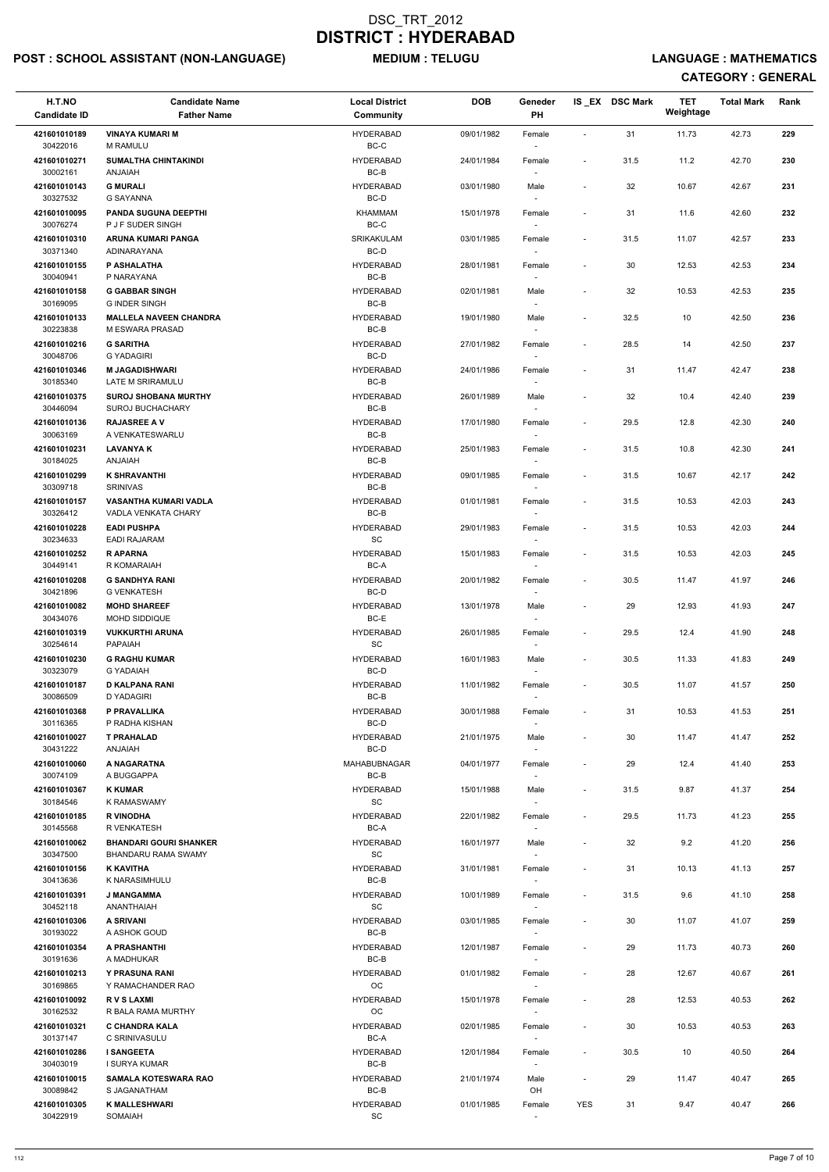## POST : SCHOOL ASSISTANT (NON-LANGUAGE) MEDIUM : TELUGU LANGUAGE : MATHEMATICS

| H.T.NO<br><b>Candidate ID</b> | <b>Candidate Name</b><br><b>Father Name</b>                 | <b>Local District</b><br>Community | <b>DOB</b> | Geneder<br>PH                      |                              | IS EX DSC Mark | <b>TET</b><br>Weightage | <b>Total Mark</b> | Rank |
|-------------------------------|-------------------------------------------------------------|------------------------------------|------------|------------------------------------|------------------------------|----------------|-------------------------|-------------------|------|
| 421601010189<br>30422016      | <b>VINAYA KUMARI M</b><br>M RAMULU                          | <b>HYDERABAD</b><br>BC-C           | 09/01/1982 | Female                             | $\overline{\phantom{a}}$     | 31             | 11.73                   | 42.73             | 229  |
| 421601010271<br>30002161      | <b>SUMALTHA CHINTAKINDI</b><br><b>ANJAIAH</b>               | <b>HYDERABAD</b><br>BC-B           | 24/01/1984 | Female                             | $\overline{\phantom{a}}$     | 31.5           | 11.2                    | 42.70             | 230  |
| 421601010143<br>30327532      | <b>G MURALI</b><br><b>G SAYANNA</b>                         | <b>HYDERABAD</b><br>BC-D           | 03/01/1980 | Male                               | $\overline{\phantom{a}}$     | 32             | 10.67                   | 42.67             | 231  |
| 421601010095<br>30076274      | <b>PANDA SUGUNA DEEPTHI</b><br>P J F SUDER SINGH            | <b>KHAMMAM</b><br>$BC-C$           | 15/01/1978 | Female                             | $\overline{\phantom{a}}$     | 31             | 11.6                    | 42.60             | 232  |
| 421601010310<br>30371340      | ARUNA KUMARI PANGA<br>ADINARAYANA                           | SRIKAKULAM<br>BC-D                 | 03/01/1985 | Female                             | $\overline{\phantom{a}}$     | 31.5           | 11.07                   | 42.57             | 233  |
| 421601010155<br>30040941      | P ASHALATHA<br>P NARAYANA                                   | <b>HYDERABAD</b><br>BC-B           | 28/01/1981 | Female                             | $\overline{\phantom{a}}$     | 30             | 12.53                   | 42.53             | 234  |
| 421601010158<br>30169095      | <b>G GABBAR SINGH</b><br><b>G INDER SINGH</b>               | <b>HYDERABAD</b><br>BC-B           | 02/01/1981 | Male                               | $\qquad \qquad \blacksquare$ | 32             | 10.53                   | 42.53             | 235  |
| 421601010133<br>30223838      | <b>MALLELA NAVEEN CHANDRA</b><br>M ESWARA PRASAD            | <b>HYDERABAD</b><br>$BC-B$         | 19/01/1980 | Male                               | $\overline{\phantom{a}}$     | 32.5           | 10                      | 42.50             | 236  |
| 421601010216                  | <b>G SARITHA</b>                                            | <b>HYDERABAD</b>                   | 27/01/1982 | Female                             | $\overline{\phantom{a}}$     | 28.5           | 14                      | 42.50             | 237  |
| 30048706                      | <b>G YADAGIRI</b>                                           | BC-D                               |            | $\sim$                             |                              |                |                         |                   |      |
| 421601010346<br>30185340      | <b>M JAGADISHWARI</b><br>LATE M SRIRAMULU                   | <b>HYDERABAD</b><br>BC-B           | 24/01/1986 | Female                             | $\overline{\phantom{a}}$     | 31             | 11.47                   | 42.47             | 238  |
| 421601010375<br>30446094      | <b>SUROJ SHOBANA MURTHY</b><br><b>SUROJ BUCHACHARY</b>      | <b>HYDERABAD</b><br>BC-B           | 26/01/1989 | Male                               | $\qquad \qquad \blacksquare$ | 32             | 10.4                    | 42.40             | 239  |
| 421601010136<br>30063169      | <b>RAJASREE A V</b><br>A VENKATESWARLU                      | <b>HYDERABAD</b><br>BC-B           | 17/01/1980 | Female                             | $\overline{\phantom{a}}$     | 29.5           | 12.8                    | 42.30             | 240  |
| 421601010231<br>30184025      | <b>LAVANYA K</b><br><b>ANJAIAH</b>                          | <b>HYDERABAD</b><br>BC-B           | 25/01/1983 | Female<br>$\sim$                   | $\overline{\phantom{a}}$     | 31.5           | 10.8                    | 42.30             | 241  |
| 421601010299<br>30309718      | <b>K SHRAVANTHI</b><br><b>SRINIVAS</b>                      | <b>HYDERABAD</b><br>BC-B           | 09/01/1985 | Female                             | $\overline{\phantom{a}}$     | 31.5           | 10.67                   | 42.17             | 242  |
| 421601010157<br>30326412      | <b>VASANTHA KUMARI VADLA</b><br>VADLA VENKATA CHARY         | <b>HYDERABAD</b><br>BC-B           | 01/01/1981 | Female                             | $\overline{\phantom{a}}$     | 31.5           | 10.53                   | 42.03             | 243  |
| 421601010228<br>30234633      | <b>EADI PUSHPA</b><br><b>EADI RAJARAM</b>                   | <b>HYDERABAD</b><br>SC             | 29/01/1983 | Female                             | $\overline{\phantom{a}}$     | 31.5           | 10.53                   | 42.03             | 244  |
| 421601010252<br>30449141      | <b>RAPARNA</b><br>R KOMARAIAH                               | <b>HYDERABAD</b><br>BC-A           | 15/01/1983 | Female<br>$\sim$                   | $\overline{\phantom{a}}$     | 31.5           | 10.53                   | 42.03             | 245  |
| 421601010208<br>30421896      | <b>G SANDHYA RANI</b><br><b>G VENKATESH</b>                 | <b>HYDERABAD</b><br>BC-D           | 20/01/1982 | Female<br>$\overline{\phantom{a}}$ | $\blacksquare$               | 30.5           | 11.47                   | 41.97             | 246  |
| 421601010082                  | <b>MOHD SHAREEF</b>                                         | <b>HYDERABAD</b>                   | 13/01/1978 | Male                               | $\overline{\phantom{a}}$     | 29             | 12.93                   | 41.93             | 247  |
| 30434076<br>421601010319      | <b>MOHD SIDDIQUE</b><br><b>VUKKURTHI ARUNA</b>              | BC-E<br><b>HYDERABAD</b>           | 26/01/1985 | Female                             | $\overline{\phantom{a}}$     | 29.5           | 12.4                    | 41.90             | 248  |
| 30254614                      | PAPAIAH                                                     | <b>SC</b>                          |            |                                    |                              |                |                         |                   |      |
| 421601010230<br>30323079      | <b>G RAGHU KUMAR</b><br><b>G YADAIAH</b>                    | <b>HYDERABAD</b><br>BC-D           | 16/01/1983 | Male<br>$\sim$                     | $\overline{\phantom{a}}$     | 30.5           | 11.33                   | 41.83             | 249  |
| 421601010187<br>30086509      | <b>D KALPANA RANI</b><br>D YADAGIRI                         | <b>HYDERABAD</b><br>BC-B           | 11/01/1982 | Female<br>$\sim$                   | $\overline{\phantom{a}}$     | 30.5           | 11.07                   | 41.57             | 250  |
| 421601010368<br>30116365      | P PRAVALLIKA<br>P RADHA KISHAN                              | <b>HYDERABAD</b><br>BC-D           | 30/01/1988 | Female                             | $\overline{\phantom{a}}$     | 31             | 10.53                   | 41.53             | 251  |
| 421601010027<br>30431222      | <b>T PRAHALAD</b><br><b>ANJAIAH</b>                         | <b>HYDERABAD</b><br>BC-D           | 21/01/1975 | Male                               | $\overline{\phantom{a}}$     | 30             | 11.47                   | 41.47             | 252  |
| 421601010060<br>30074109      | A NAGARATNA<br>A BUGGAPPA                                   | <b>MAHABUBNAGAR</b><br>BC-B        | 04/01/1977 | Female                             | $\overline{\phantom{a}}$     | 29             | 12.4                    | 41.40             | 253  |
| 421601010367<br>30184546      | <b>K KUMAR</b><br>K RAMASWAMY                               | <b>HYDERABAD</b><br><b>SC</b>      | 15/01/1988 | Male<br>$\sim$                     | $\overline{\phantom{a}}$     | 31.5           | 9.87                    | 41.37             | 254  |
| 421601010185<br>30145568      | <b>R VINODHA</b><br>R VENKATESH                             | <b>HYDERABAD</b><br>BC-A           | 22/01/1982 | Female                             | $\overline{\phantom{a}}$     | 29.5           | 11.73                   | 41.23             | 255  |
| 421601010062<br>30347500      | <b>BHANDARI GOURI SHANKER</b><br><b>BHANDARU RAMA SWAMY</b> | <b>HYDERABAD</b><br><b>SC</b>      | 16/01/1977 | Male                               | $\overline{\phantom{a}}$     | 32             | 9.2                     | 41.20             | 256  |
| 421601010156                  | <b>K KAVITHA</b>                                            | <b>HYDERABAD</b>                   | 31/01/1981 | Female                             | $\overline{\phantom{a}}$     | 31             | 10.13                   | 41.13             | 257  |
| 30413636<br>421601010391      | K NARASIMHULU<br><b>J MANGAMMA</b>                          | BC-B<br><b>HYDERABAD</b>           | 10/01/1989 | $\overline{\phantom{a}}$           | $\overline{\phantom{a}}$     | 31.5           | 9.6                     | 41.10             | 258  |
| 30452118                      | ANANTHAIAH                                                  | <b>SC</b>                          |            | Female                             |                              |                |                         |                   |      |
| 421601010306<br>30193022      | <b>A SRIVANI</b><br>A ASHOK GOUD                            | <b>HYDERABAD</b><br>BC-B           | 03/01/1985 | Female<br>$\sim$                   | $\overline{\phantom{a}}$     | 30             | 11.07                   | 41.07             | 259  |
| 421601010354                  | A PRASHANTHI                                                | <b>HYDERABAD</b>                   | 12/01/1987 | Female                             | $\overline{\phantom{a}}$     | 29             | 11.73                   | 40.73             | 260  |
| 30191636<br>421601010213      | A MADHUKAR<br><b>Y PRASUNA RANI</b>                         | BC-B<br><b>HYDERABAD</b>           | 01/01/1982 | Female                             | $\overline{\phantom{a}}$     | 28             | 12.67                   | 40.67             | 261  |
| 30169865<br>421601010092      | Y RAMACHANDER RAO<br><b>RVSLAXMI</b>                        | OС<br><b>HYDERABAD</b>             | 15/01/1978 | $\sim$<br>Female                   |                              | 28             | 12.53                   | 40.53             | 262  |
| 30162532<br>421601010321      | R BALA RAMA MURTHY<br>C CHANDRA KALA                        | OC<br><b>HYDERABAD</b>             | 02/01/1985 | Female                             | $\overline{\phantom{a}}$     | 30             | 10.53                   | 40.53             | 263  |
| 30137147                      | C SRINIVASULU                                               | BC-A                               |            |                                    |                              |                |                         |                   |      |
| 421601010286<br>30403019      | <b>I SANGEETA</b><br>I SURYA KUMAR                          | <b>HYDERABAD</b><br>BC-B           | 12/01/1984 | Female<br>$\sim$                   | $\overline{\phantom{a}}$     | 30.5           | 10                      | 40.50             | 264  |
| 421601010015<br>30089842      | <b>SAMALA KOTESWARA RAO</b><br>S JAGANATHAM                 | <b>HYDERABAD</b><br>BC-B           | 21/01/1974 | Male<br>OH                         | $\overline{\phantom{a}}$     | 29             | 11.47                   | 40.47             | 265  |
| 421601010305<br>30422919      | <b>K MALLESHWARI</b><br>SOMAIAH                             | <b>HYDERABAD</b><br>SC             | 01/01/1985 | Female<br>$\overline{\phantom{a}}$ | YES                          | 31             | 9.47                    | 40.47             | 266  |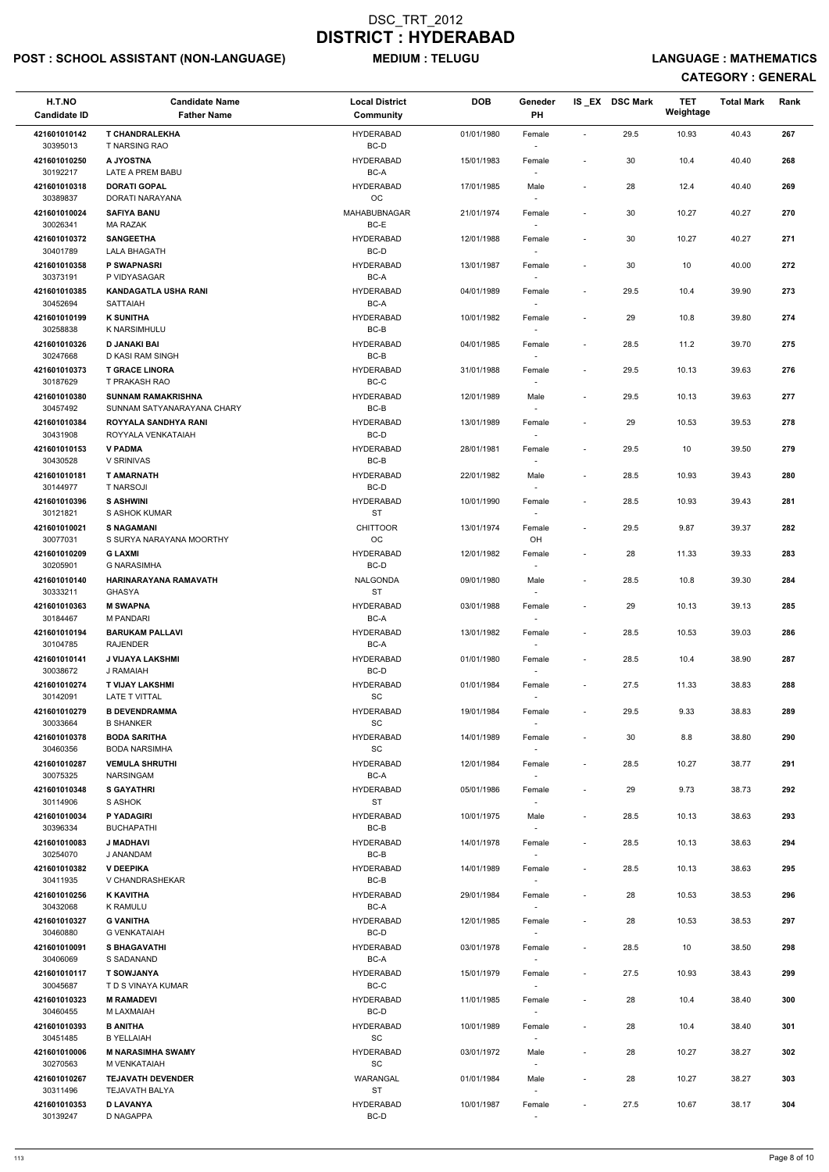## POST : SCHOOL ASSISTANT (NON-LANGUAGE) MEDIUM : TELUGU LANGUAGE : MATHEMATICS

| H.T.NO<br><b>Candidate ID</b> | <b>Candidate Name</b><br><b>Father Name</b>        | <b>Local District</b><br>Community               | <b>DOB</b> | Geneder<br>PH                      |                          | IS_EX DSC Mark | <b>TET</b><br>Weightage | <b>Total Mark</b> | Rank |
|-------------------------------|----------------------------------------------------|--------------------------------------------------|------------|------------------------------------|--------------------------|----------------|-------------------------|-------------------|------|
| 421601010142                  | <b>T CHANDRALEKHA</b>                              | <b>HYDERABAD</b>                                 | 01/01/1980 | Female                             | $\sim$                   | 29.5           | 10.93                   | 40.43             | 267  |
| 30395013<br>421601010250      | T NARSING RAO<br>A JYOSTNA                         | BC-D<br><b>HYDERABAD</b>                         | 15/01/1983 | Female                             | $\overline{\phantom{a}}$ | 30             | 10.4                    | 40.40             | 268  |
| 30192217                      | LATE A PREM BABU                                   | BC-A                                             |            |                                    |                          |                |                         |                   |      |
| 421601010318<br>30389837      | <b>DORATI GOPAL</b><br>DORATI NARAYANA             | <b>HYDERABAD</b><br>OC                           | 17/01/1985 | Male                               | $\overline{\phantom{a}}$ | 28             | 12.4                    | 40.40             | 269  |
| 421601010024<br>30026341      | <b>SAFIYA BANU</b><br>MA RAZAK                     | MAHABUBNAGAR<br>BC-E                             | 21/01/1974 | Female<br>$\sim$                   | $\overline{\phantom{a}}$ | 30             | 10.27                   | 40.27             | 270  |
| 421601010372                  | <b>SANGEETHA</b>                                   | <b>HYDERABAD</b>                                 | 12/01/1988 | Female                             | $\overline{\phantom{a}}$ | 30             | 10.27                   | 40.27             | 271  |
| 30401789<br>421601010358      | <b>LALA BHAGATH</b><br>P SWAPNASRI                 | BC-D<br><b>HYDERABAD</b>                         | 13/01/1987 | Female                             | $\blacksquare$           | 30             | 10                      | 40.00             | 272  |
| 30373191<br>421601010385      | P VIDYASAGAR<br><b>KANDAGATLA USHA RANI</b>        | BC-A<br><b>HYDERABAD</b>                         | 04/01/1989 | $\sim$<br>Female                   | $\overline{\phantom{a}}$ | 29.5           | 10.4                    | 39.90             | 273  |
| 30452694                      | <b>SATTAIAH</b>                                    | BC-A                                             |            |                                    |                          |                |                         |                   |      |
| 421601010199<br>30258838      | <b>K SUNITHA</b><br>K NARSIMHULU                   | <b>HYDERABAD</b><br>BC-B                         | 10/01/1982 | Female                             | $\overline{\phantom{a}}$ | 29             | 10.8                    | 39.80             | 274  |
| 421601010326<br>30247668      | <b>D JANAKI BAI</b><br>D KASI RAM SINGH            | <b>HYDERABAD</b><br>BC-B                         | 04/01/1985 | Female<br>$\sim$                   | $\overline{\phantom{a}}$ | 28.5           | 11.2                    | 39.70             | 275  |
| 421601010373                  | <b>T GRACE LINORA</b>                              | <b>HYDERABAD</b>                                 | 31/01/1988 | Female                             | $\overline{\phantom{a}}$ | 29.5           | 10.13                   | 39.63             | 276  |
| 30187629<br>421601010380      | T PRAKASH RAO<br><b>SUNNAM RAMAKRISHNA</b>         | BC-C<br><b>HYDERABAD</b>                         | 12/01/1989 | Male                               | $\overline{\phantom{a}}$ | 29.5           | 10.13                   | 39.63             | 277  |
| 30457492<br>421601010384      | SUNNAM SATYANARAYANA CHARY<br>ROYYALA SANDHYA RANI | BC-B<br><b>HYDERABAD</b>                         | 13/01/1989 | Female                             | $\overline{\phantom{a}}$ | 29             | 10.53                   | 39.53             | 278  |
| 30431908                      | ROYYALA VENKATAIAH                                 | BC-D                                             |            |                                    |                          |                |                         |                   |      |
| 421601010153<br>30430528      | <b>V PADMA</b><br>V SRINIVAS                       | <b>HYDERABAD</b><br>BC-B                         | 28/01/1981 | Female                             | $\overline{\phantom{a}}$ | 29.5           | 10                      | 39.50             | 279  |
| 421601010181<br>30144977      | <b>T AMARNATH</b><br><b>T NARSOJI</b>              | <b>HYDERABAD</b><br>BC-D                         | 22/01/1982 | Male                               | $\overline{\phantom{a}}$ | 28.5           | 10.93                   | 39.43             | 280  |
| 421601010396                  | <b>S ASHWINI</b>                                   | <b>HYDERABAD</b>                                 | 10/01/1990 | Female                             | $\overline{\phantom{a}}$ | 28.5           | 10.93                   | 39.43             | 281  |
| 30121821<br>421601010021      | S ASHOK KUMAR<br><b>S NAGAMANI</b>                 | <b>ST</b><br><b>CHITTOOR</b>                     | 13/01/1974 | Female                             | $\overline{\phantom{a}}$ | 29.5           | 9.87                    | 39.37             | 282  |
| 30077031<br>421601010209      | S SURYA NARAYANA MOORTHY<br><b>G LAXMI</b>         | OC<br><b>HYDERABAD</b>                           | 12/01/1982 | OH<br>Female                       | $\overline{a}$           | 28             | 11.33                   | 39.33             | 283  |
| 30205901                      | <b>G NARASIMHA</b>                                 | BC-D                                             |            | $\sim$                             |                          |                |                         |                   |      |
| 421601010140<br>30333211      | HARINARAYANA RAMAVATH<br><b>GHASYA</b>             | <b>NALGONDA</b><br><b>ST</b>                     | 09/01/1980 | Male                               | $\overline{\phantom{a}}$ | 28.5           | 10.8                    | 39.30             | 284  |
| 421601010363<br>30184467      | <b>M SWAPNA</b><br><b>M PANDARI</b>                | <b>HYDERABAD</b><br>BC-A                         | 03/01/1988 | Female                             | $\overline{\phantom{a}}$ | 29             | 10.13                   | 39.13             | 285  |
| 421601010194<br>30104785      | <b>BARUKAM PALLAVI</b><br><b>RAJENDER</b>          | <b>HYDERABAD</b><br>BC-A                         | 13/01/1982 | Female                             | $\overline{\phantom{a}}$ | 28.5           | 10.53                   | 39.03             | 286  |
| 421601010141                  | J VIJAYA LAKSHMI                                   | <b>HYDERABAD</b>                                 | 01/01/1980 | $\sim$<br>Female                   | $\overline{\phantom{a}}$ | 28.5           | 10.4                    | 38.90             | 287  |
| 30038672<br>421601010274      | J RAMAIAH<br>T VIJAY LAKSHMI                       | BC-D<br><b>HYDERABAD</b>                         | 01/01/1984 | $\sim$<br>Female                   | $\overline{\phantom{a}}$ | 27.5           | 11.33                   | 38.83             | 288  |
| 30142091<br>421601010279      | LATE T VITTAL<br><b>B DEVENDRAMMA</b>              | SC<br><b>HYDERABAD</b>                           | 19/01/1984 | $\sim$<br>Female                   | $\overline{\phantom{a}}$ | 29.5           | 9.33                    | 38.83             | 289  |
| 30033664                      | <b>B SHANKER</b>                                   | SC                                               |            |                                    |                          |                |                         |                   |      |
| 421601010378<br>30460356      | <b>BODA SARITHA</b><br><b>BODA NARSIMHA</b>        | <b>HYDERABAD</b><br>SC                           | 14/01/1989 | Female<br>$\sim$                   | $\overline{\phantom{a}}$ | 30             | 8.8                     | 38.80             | 290  |
| 421601010287<br>30075325      | <b>VEMULA SHRUTHI</b><br>NARSINGAM                 | <b>HYDERABAD</b><br>BC-A                         | 12/01/1984 | Female<br>$\sim$                   | $\overline{\phantom{a}}$ | 28.5           | 10.27                   | 38.77             | 291  |
| 421601010348<br>30114906      | <b>S GAYATHRI</b><br>S ASHOK                       | <b>HYDERABAD</b><br><b>ST</b>                    | 05/01/1986 | Female<br>$\overline{\phantom{a}}$ | $\overline{\phantom{a}}$ | 29             | 9.73                    | 38.73             | 292  |
| 421601010034                  | <b>PYADAGIRI</b>                                   | <b>HYDERABAD</b>                                 | 10/01/1975 | Male                               | $\overline{\phantom{a}}$ | 28.5           | 10.13                   | 38.63             | 293  |
| 30396334<br>421601010083      | <b>BUCHAPATHI</b><br><b>J MADHAVI</b>              | BC-B<br><b>HYDERABAD</b>                         | 14/01/1978 | Female                             | $\overline{\phantom{a}}$ | 28.5           | 10.13                   | 38.63             | 294  |
| 30254070<br>421601010382      | J ANANDAM<br><b>V DEEPIKA</b>                      | BC-B<br><b>HYDERABAD</b>                         | 14/01/1989 | Female                             | $\overline{\phantom{a}}$ | 28.5           | 10.13                   | 38.63             | 295  |
| 30411935                      | V CHANDRASHEKAR                                    | BC-B                                             |            | $\sim$                             |                          |                |                         |                   |      |
| 421601010256<br>30432068      | K KAVITHA<br>K RAMULU                              | <b>HYDERABAD</b><br>BC-A                         | 29/01/1984 | Female<br>$\sim$                   | $\overline{\phantom{a}}$ | 28             | 10.53                   | 38.53             | 296  |
| 421601010327<br>30460880      | <b>G VANITHA</b><br><b>G VENKATAIAH</b>            | <b>HYDERABAD</b><br>BC-D                         | 12/01/1985 | Female<br>$\sim$                   | $\overline{\phantom{a}}$ | 28             | 10.53                   | 38.53             | 297  |
| 421601010091                  | <b>S BHAGAVATHI</b>                                | <b>HYDERABAD</b>                                 | 03/01/1978 | Female                             | $\overline{\phantom{a}}$ | 28.5           | 10                      | 38.50             | 298  |
| 30406069<br>421601010117      | S SADANAND<br><b>T SOWJANYA</b>                    | BC-A<br><b>HYDERABAD</b>                         | 15/01/1979 | Female                             | $\overline{\phantom{a}}$ | 27.5           | 10.93                   | 38.43             | 299  |
| 30045687<br>421601010323      | T D S VINAYA KUMAR<br><b>M RAMADEVI</b>            | $BC-C$<br><b>HYDERABAD</b>                       | 11/01/1985 | $\sim$<br>Female                   |                          | 28             | 10.4                    | 38.40             | 300  |
| 30460455                      | M LAXMAIAH                                         | BC-D                                             |            |                                    |                          |                |                         |                   |      |
| 421601010393<br>30451485      | <b>B ANITHA</b><br><b>B YELLAIAH</b>               | <b>HYDERABAD</b><br>SC                           | 10/01/1989 | Female                             | $\overline{\phantom{a}}$ | 28             | 10.4                    | 38.40             | 301  |
| 421601010006<br>30270563      | <b>M NARASIMHA SWAMY</b><br>M VENKATAIAH           | <b>HYDERABAD</b><br>$\operatorname{\textsf{SC}}$ | 03/01/1972 | Male<br>$\overline{\phantom{a}}$   | $\overline{\phantom{a}}$ | 28             | 10.27                   | 38.27             | 302  |
| 421601010267<br>30311496      | <b>TEJAVATH DEVENDER</b><br><b>TEJAVATH BALYA</b>  | WARANGAL<br><b>ST</b>                            | 01/01/1984 | Male<br>$\sim$                     | $\overline{\phantom{a}}$ | 28             | 10.27                   | 38.27             | 303  |
| 421601010353                  | <b>D LAVANYA</b>                                   | <b>HYDERABAD</b>                                 | 10/01/1987 | Female                             | $\overline{\phantom{a}}$ | 27.5           | 10.67                   | 38.17             | 304  |
| 30139247                      | D NAGAPPA                                          | BC-D                                             |            | $\sim$                             |                          |                |                         |                   |      |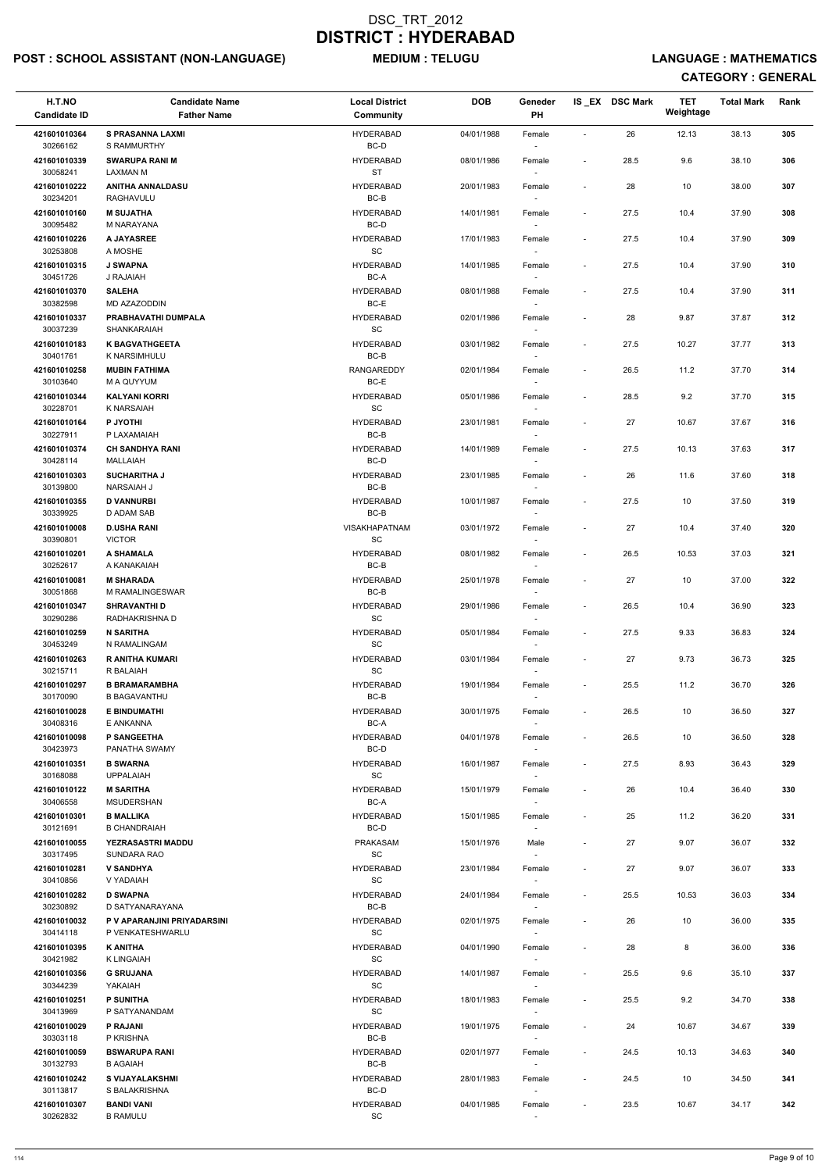## POST : SCHOOL ASSISTANT (NON-LANGUAGE) MEDIUM : TELUGU LANGUAGE : MATHEMATICS

| H.T.NO<br><b>Candidate ID</b> | <b>Candidate Name</b><br><b>Father Name</b>    | <b>Local District</b><br>Community | <b>DOB</b> | Geneder<br>PH    |                          | IS EX DSC Mark | TET<br>Weightage | <b>Total Mark</b> | Rank |  |
|-------------------------------|------------------------------------------------|------------------------------------|------------|------------------|--------------------------|----------------|------------------|-------------------|------|--|
|                               |                                                | <b>HYDERABAD</b>                   | 04/01/1988 |                  | ÷,                       | 26             |                  |                   | 305  |  |
| 421601010364<br>30266162      | <b>S PRASANNA LAXMI</b><br>S RAMMURTHY         | BC-D                               |            | Female           |                          |                | 12.13            | 38.13             |      |  |
| 421601010339<br>30058241      | <b>SWARUPA RANI M</b><br><b>LAXMAN M</b>       | <b>HYDERABAD</b><br><b>ST</b>      | 08/01/1986 | Female           | $\overline{\phantom{a}}$ | 28.5           | 9.6              | 38.10             | 306  |  |
| 421601010222<br>30234201      | <b>ANITHA ANNALDASU</b><br>RAGHAVULU           | <b>HYDERABAD</b><br>BC-B           | 20/01/1983 | Female           | $\overline{\phantom{a}}$ | 28             | 10               | 38.00             | 307  |  |
| 421601010160<br>30095482      | <b>M SUJATHA</b><br>M NARAYANA                 | <b>HYDERABAD</b><br>BC-D           | 14/01/1981 | Female<br>$\sim$ | $\overline{\phantom{a}}$ | 27.5           | 10.4             | 37.90             | 308  |  |
| 421601010226<br>30253808      | A JAYASREE<br>A MOSHE                          | <b>HYDERABAD</b><br><b>SC</b>      | 17/01/1983 | Female           | $\overline{\phantom{a}}$ | 27.5           | 10.4             | 37.90             | 309  |  |
| 421601010315<br>30451726      | <b>J SWAPNA</b><br>J RAJAIAH                   | <b>HYDERABAD</b><br>BC-A           | 14/01/1985 | Female<br>$\sim$ | $\overline{\phantom{a}}$ | 27.5           | 10.4             | 37.90             | 310  |  |
| 421601010370<br>30382598      | <b>SALEHA</b><br>MD AZAZODDIN                  | <b>HYDERABAD</b><br>BC-E           | 08/01/1988 | Female           | $\overline{\phantom{a}}$ | 27.5           | 10.4             | 37.90             | 311  |  |
| 421601010337<br>30037239      | PRABHAVATHI DUMPALA<br><b>SHANKARAIAH</b>      | <b>HYDERABAD</b><br><b>SC</b>      | 02/01/1986 | Female           | $\overline{\phantom{a}}$ | 28             | 9.87             | 37.87             | 312  |  |
| 421601010183                  | <b>K BAGVATHGEETA</b>                          | <b>HYDERABAD</b>                   | 03/01/1982 | Female           | $\overline{\phantom{a}}$ | 27.5           | 10.27            | 37.77             | 313  |  |
| 30401761<br>421601010258      | K NARSIMHULU<br><b>MUBIN FATHIMA</b>           | BC-B<br><b>RANGAREDDY</b>          | 02/01/1984 | $\sim$<br>Female | $\overline{\phantom{a}}$ | 26.5           | 11.2             | 37.70             | 314  |  |
| 30103640                      | M A QUYYUM                                     | BC-E                               |            | $\sim$           |                          |                |                  |                   |      |  |
| 421601010344<br>30228701      | <b>KALYANI KORRI</b><br>K NARSAIAH             | <b>HYDERABAD</b><br>SC             | 05/01/1986 | Female           | $\overline{\phantom{a}}$ | 28.5           | 9.2              | 37.70             | 315  |  |
| 421601010164<br>30227911      | P JYOTHI<br>P LAXAMAIAH                        | <b>HYDERABAD</b><br>BC-B           | 23/01/1981 | Female           | $\overline{\phantom{a}}$ | 27             | 10.67            | 37.67             | 316  |  |
| 421601010374<br>30428114      | <b>CH SANDHYA RANI</b><br>MALLAIAH             | <b>HYDERABAD</b><br>BC-D           | 14/01/1989 | Female<br>$\sim$ | $\overline{\phantom{a}}$ | 27.5           | 10.13            | 37.63             | 317  |  |
| 421601010303                  | <b>SUCHARITHA J</b>                            | <b>HYDERABAD</b>                   | 23/01/1985 | Female           | $\overline{\phantom{a}}$ | 26             | 11.6             | 37.60             | 318  |  |
| 30139800<br>421601010355      | <b>NARSAIAH J</b><br><b>D VANNURBI</b>         | BC-B<br><b>HYDERABAD</b>           | 10/01/1987 | Female           | $\overline{\phantom{a}}$ | 27.5           | 10               | 37.50             | 319  |  |
| 30339925<br>421601010008      | D ADAM SAB<br><b>D.USHA RANI</b>               | $BC-B$<br><b>VISAKHAPATNAM</b>     | 03/01/1972 | Female           | $\overline{\phantom{a}}$ | 27             | 10.4             | 37.40             | 320  |  |
| 30390801<br>421601010201      | <b>VICTOR</b><br>A SHAMALA                     | SC<br><b>HYDERABAD</b>             | 08/01/1982 | Female           | $\overline{\phantom{a}}$ | 26.5           | 10.53            | 37.03             | 321  |  |
| 30252617<br>421601010081      | A KANAKAIAH<br><b>M SHARADA</b>                | $BC-B$<br><b>HYDERABAD</b>         | 25/01/1978 | $\sim$<br>Female | $\overline{\phantom{a}}$ | 27             | 10               | 37.00             | 322  |  |
| 30051868<br>421601010347      | M RAMALINGESWAR<br><b>SHRAVANTHI D</b>         | BC-B<br><b>HYDERABAD</b>           | 29/01/1986 |                  | $\overline{\phantom{a}}$ | 26.5           | 10.4             | 36.90             | 323  |  |
| 30290286                      | RADHAKRISHNA D                                 | <b>SC</b>                          |            | Female           |                          |                |                  |                   |      |  |
| 421601010259<br>30453249      | <b>N SARITHA</b><br>N RAMALINGAM               | <b>HYDERABAD</b><br>SC             | 05/01/1984 | Female<br>$\sim$ | $\overline{\phantom{a}}$ | 27.5           | 9.33             | 36.83             | 324  |  |
| 421601010263<br>30215711      | <b>R ANITHA KUMARI</b><br>R BALAIAH            | <b>HYDERABAD</b><br><b>SC</b>      | 03/01/1984 | Female<br>$\sim$ | $\overline{\phantom{a}}$ | 27             | 9.73             | 36.73             | 325  |  |
| 421601010297<br>30170090      | <b>B BRAMARAMBHA</b><br><b>B BAGAVANTHU</b>    | <b>HYDERABAD</b><br>BC-B           | 19/01/1984 | Female<br>$\sim$ | $\overline{\phantom{a}}$ | 25.5           | 11.2             | 36.70             | 326  |  |
| 421601010028                  | <b>E BINDUMATHI</b>                            | <b>HYDERABAD</b>                   | 30/01/1975 | Female           | $\overline{\phantom{a}}$ | 26.5           | 10               | 36.50             | 327  |  |
| 30408316<br>421601010098      | E ANKANNA<br><b>P SANGEETHA</b>                | BC-A<br><b>HYDERABAD</b>           | 04/01/1978 | Female           | $\overline{\phantom{a}}$ | 26.5           | 10               | 36.50             | 328  |  |
| 30423973<br>421601010351      | PANATHA SWAMY<br><b>B SWARNA</b>               | BC-D<br><b>HYDERABAD</b>           | 16/01/1987 | Female           | $\overline{\phantom{a}}$ | 27.5           | 8.93             | 36.43             | 329  |  |
| 30168088<br>421601010122      | <b>UPPALAIAH</b><br><b>M SARITHA</b>           | SC<br><b>HYDERABAD</b>             | 15/01/1979 | $\sim$<br>Female | $\overline{\phantom{a}}$ | 26             | 10.4             | 36.40             | 330  |  |
| 30406558<br>421601010301      | <b>MSUDERSHAN</b><br><b>B MALLIKA</b>          | BC-A<br><b>HYDERABAD</b>           | 15/01/1985 | $\sim$<br>Female | $\overline{\phantom{0}}$ | 25             | 11.2             | 36.20             | 331  |  |
| 30121691                      | <b>B CHANDRAIAH</b>                            | BC-D                               |            |                  |                          |                |                  |                   |      |  |
| 421601010055<br>30317495      | <b>YEZRASASTRI MADDU</b><br>SUNDARA RAO        | PRAKASAM<br><b>SC</b>              | 15/01/1976 | Male             | $\overline{\phantom{a}}$ | 27             | 9.07             | 36.07             | 332  |  |
| 421601010281<br>30410856      | <b>V SANDHYA</b><br>V YADAIAH                  | <b>HYDERABAD</b><br>SC             | 23/01/1984 | Female<br>$\sim$ | $\overline{\phantom{a}}$ | 27             | 9.07             | 36.07             | 333  |  |
| 421601010282                  | <b>D SWAPNA</b>                                | <b>HYDERABAD</b>                   | 24/01/1984 | Female           | $\overline{\phantom{a}}$ | 25.5           | 10.53            | 36.03             | 334  |  |
| 30230892<br>421601010032      | D SATYANARAYANA<br>P V APARANJINI PRIYADARSINI | BC-B<br><b>HYDERABAD</b>           | 02/01/1975 | $\sim$<br>Female | $\overline{\phantom{a}}$ | 26             | 10               | 36.00             | 335  |  |
| 30414118                      | P VENKATESHWARLU                               | <b>SC</b>                          |            |                  |                          |                |                  |                   |      |  |
| 421601010395<br>30421982      | <b>K ANITHA</b><br><b>K LINGAIAH</b>           | <b>HYDERABAD</b><br>SC             | 04/01/1990 | Female           | $\overline{\phantom{a}}$ | 28             | 8                | 36.00             | 336  |  |
| 421601010356<br>30344239      | <b>G SRUJANA</b><br>YAKAIAH                    | <b>HYDERABAD</b><br>SC             | 14/01/1987 | Female<br>$\sim$ | $\overline{\phantom{a}}$ | 25.5           | 9.6              | 35.10             | 337  |  |
| 421601010251<br>30413969      | <b>P SUNITHA</b><br>P SATYANANDAM              | <b>HYDERABAD</b><br>SC             | 18/01/1983 | Female           | $\overline{\phantom{0}}$ | 25.5           | 9.2              | 34.70             | 338  |  |
| 421601010029<br>30303118      | P RAJANI<br>P KRISHNA                          | <b>HYDERABAD</b><br>BC-B           | 19/01/1975 | Female           | $\overline{\phantom{a}}$ | 24             | 10.67            | 34.67             | 339  |  |
| 421601010059<br>30132793      | <b>BSWARUPA RANI</b><br>B AGAIAH               | <b>HYDERABAD</b><br>$BC-B$         | 02/01/1977 | Female<br>$\sim$ | $\overline{\phantom{a}}$ | 24.5           | 10.13            | 34.63             | 340  |  |
| 421601010242<br>30113817      | <b>S VIJAYALAKSHMI</b><br>S BALAKRISHNA        | <b>HYDERABAD</b><br>BC-D           | 28/01/1983 | Female<br>$\sim$ | $\overline{\phantom{a}}$ | 24.5           | 10               | 34.50             | 341  |  |
| 421601010307<br>30262832      | <b>BANDI VANI</b><br><b>B RAMULU</b>           | <b>HYDERABAD</b><br>SC             | 04/01/1985 | Female<br>$\sim$ | $\overline{\phantom{a}}$ | 23.5           | 10.67            | 34.17             | 342  |  |
|                               |                                                |                                    |            |                  |                          |                |                  |                   |      |  |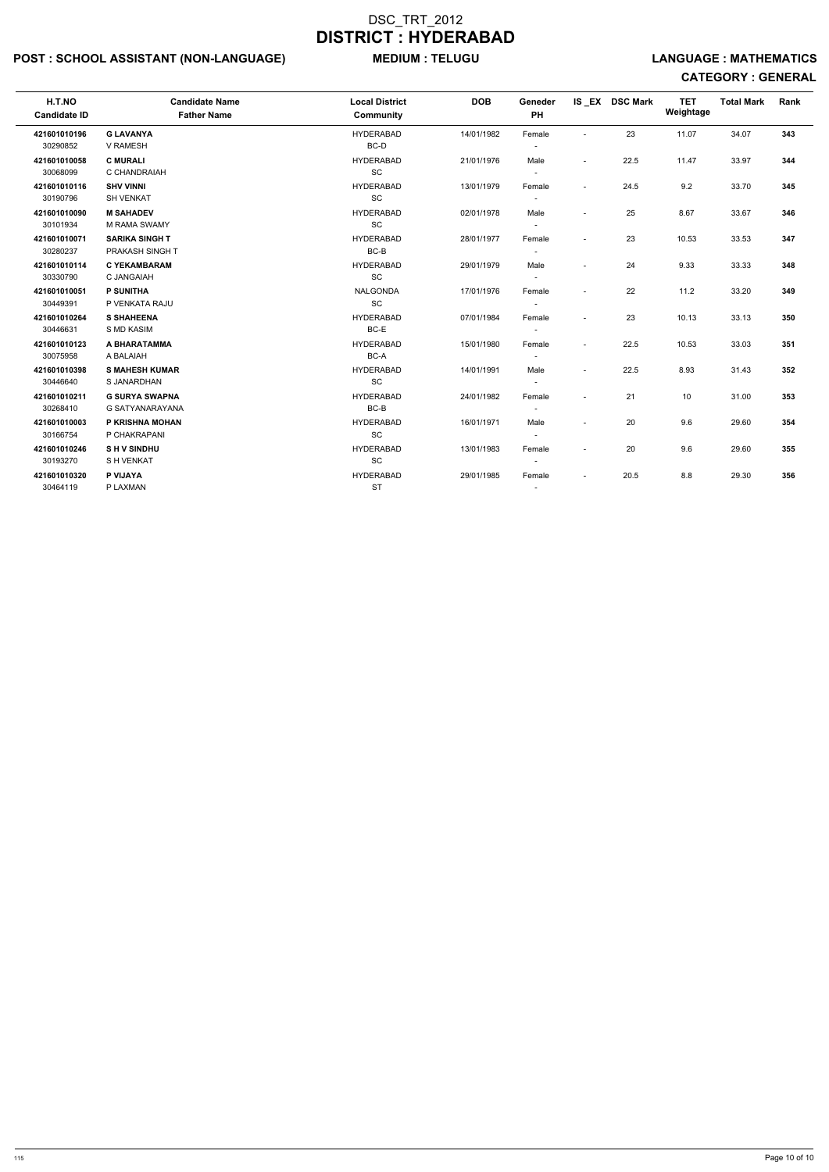## POST : SCHOOL ASSISTANT (NON-LANGUAGE) MEDIUM : TELUGU LANGUAGE : MATHEMATICS

| H.T.NO<br><b>Candidate ID</b> | <b>Candidate Name</b><br><b>Father Name</b> | <b>Local District</b><br><b>Community</b> | <b>DOB</b> | Geneder<br><b>PH</b>     |                          | IS_EX DSC Mark | <b>TET</b><br>Weightage | <b>Total Mark</b> | Rank |
|-------------------------------|---------------------------------------------|-------------------------------------------|------------|--------------------------|--------------------------|----------------|-------------------------|-------------------|------|
| 421601010196                  | <b>G LAVANYA</b>                            | <b>HYDERABAD</b>                          | 14/01/1982 | Female                   |                          | 23             | 11.07                   | 34.07             | 343  |
| 30290852                      | V RAMESH                                    | BC-D                                      |            |                          |                          |                |                         |                   |      |
| 421601010058                  | <b>C MURALI</b>                             | <b>HYDERABAD</b>                          | 21/01/1976 | Male                     | $\overline{\phantom{a}}$ | 22.5           | 11.47                   | 33.97             | 344  |
| 30068099                      | C CHANDRAIAH                                | SC                                        |            | $\overline{\phantom{a}}$ |                          |                |                         |                   |      |
| 421601010116                  | <b>SHV VINNI</b>                            | <b>HYDERABAD</b>                          | 13/01/1979 | Female                   | $\sim$                   | 24.5           | 9.2                     | 33.70             | 345  |
| 30190796                      | <b>SH VENKAT</b>                            | SC                                        |            | $\overline{\phantom{a}}$ |                          |                |                         |                   |      |
| 421601010090                  | <b>M SAHADEV</b>                            | <b>HYDERABAD</b>                          | 02/01/1978 | Male                     | $\overline{\phantom{a}}$ | 25             | 8.67                    | 33.67             | 346  |
| 30101934                      | M RAMA SWAMY                                | SC                                        |            | $\overline{\phantom{a}}$ |                          |                |                         |                   |      |
| 421601010071                  | <b>SARIKA SINGH T</b>                       | <b>HYDERABAD</b>                          | 28/01/1977 | Female                   |                          | 23             | 10.53                   | 33.53             | 347  |
| 30280237                      | PRAKASH SINGH T                             | BC-B                                      |            | $\overline{\phantom{a}}$ |                          |                |                         |                   |      |
| 421601010114                  | <b>C YEKAMBARAM</b>                         | <b>HYDERABAD</b>                          | 29/01/1979 | Male                     |                          | 24             | 9.33                    | 33.33             | 348  |
| 30330790                      | C JANGAIAH                                  | SC                                        |            |                          |                          |                |                         |                   |      |
| 421601010051                  | <b>P SUNITHA</b>                            | <b>NALGONDA</b>                           | 17/01/1976 | Female                   |                          | 22             | 11.2                    | 33.20             | 349  |
| 30449391                      | P VENKATA RAJU                              | SC                                        |            | $\overline{\phantom{a}}$ |                          |                |                         |                   |      |
| 421601010264                  | <b>S SHAHEENA</b>                           | <b>HYDERABAD</b>                          | 07/01/1984 | Female                   | $\sim$                   | 23             | 10.13                   | 33.13             | 350  |
| 30446631                      | S MD KASIM                                  | BC-E                                      |            |                          |                          |                |                         |                   |      |
| 421601010123                  | A BHARATAMMA                                | <b>HYDERABAD</b>                          | 15/01/1980 | Female                   | $\sim$                   | 22.5           | 10.53                   | 33.03             | 351  |
| 30075958                      | A BALAIAH                                   | BC-A                                      |            | $\overline{\phantom{a}}$ |                          |                |                         |                   |      |
| 421601010398                  | <b>S MAHESH KUMAR</b>                       | <b>HYDERABAD</b>                          | 14/01/1991 | Male                     | $\sim$                   | 22.5           | 8.93                    | 31.43             | 352  |
| 30446640                      | S JANARDHAN                                 | SC                                        |            | $\overline{\phantom{a}}$ |                          |                |                         |                   |      |
| 421601010211                  | <b>G SURYA SWAPNA</b>                       | <b>HYDERABAD</b>                          | 24/01/1982 | Female                   |                          | 21             | 10                      | 31.00             | 353  |
| 30268410                      | G SATYANARAYANA                             | BC-B                                      |            |                          |                          |                |                         |                   |      |
| 421601010003                  | P KRISHNA MOHAN                             | <b>HYDERABAD</b>                          | 16/01/1971 | Male                     |                          | 20             | 9.6                     | 29.60             | 354  |
| 30166754                      | P CHAKRAPANI                                | SC                                        |            | $\sim$                   |                          |                |                         |                   |      |
| 421601010246                  | <b>SHV SINDHU</b>                           | <b>HYDERABAD</b>                          | 13/01/1983 | Female                   | $\sim$                   | 20             | 9.6                     | 29.60             | 355  |
| 30193270                      | S H VENKAT                                  | $\operatorname{\textsf{SC}}$              |            |                          |                          |                |                         |                   |      |
| 421601010320                  | P VIJAYA                                    | <b>HYDERABAD</b>                          | 29/01/1985 | Female                   | $\overline{\phantom{a}}$ | 20.5           | 8.8                     | 29.30             | 356  |
| 30464119                      | P LAXMAN                                    | <b>ST</b>                                 |            | $\overline{\phantom{a}}$ |                          |                |                         |                   |      |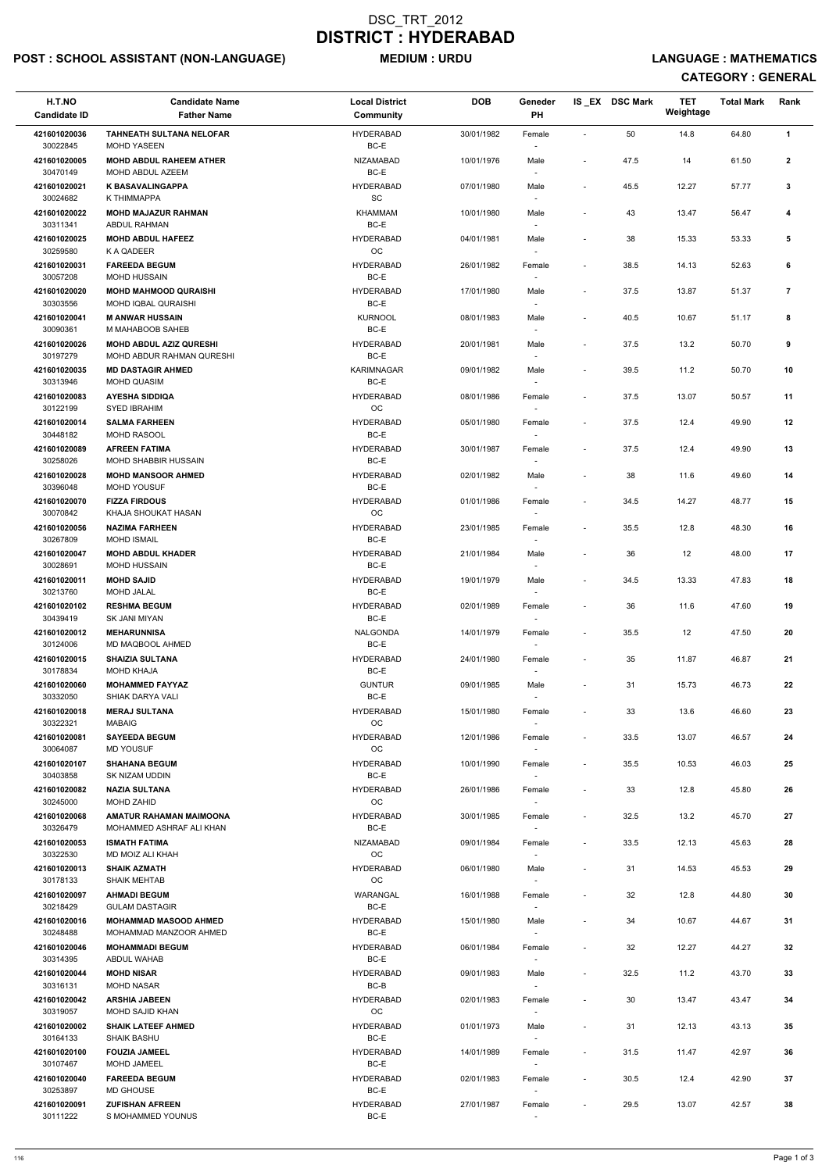## POST : SCHOOL ASSISTANT (NON-LANGUAGE) MEDIUM : URDU LANGUAGE : MATHEMATICS

| H.T.NO<br><b>Candidate ID</b> | <b>Candidate Name</b><br><b>Father Name</b>                | <b>Local District</b><br>Community               | <b>DOB</b> | Geneder<br>PH                      |                          | IS_EX DSC Mark | <b>TET</b><br>Weightage | <b>Total Mark</b> | Rank           |
|-------------------------------|------------------------------------------------------------|--------------------------------------------------|------------|------------------------------------|--------------------------|----------------|-------------------------|-------------------|----------------|
| 421601020036<br>30022845      | <b>TAHNEATH SULTANA NELOFAR</b><br><b>MOHD YASEEN</b>      | <b>HYDERABAD</b><br>BC-E                         | 30/01/1982 | Female                             | $\overline{\phantom{a}}$ | 50             | 14.8                    | 64.80             | $\mathbf{1}$   |
| 421601020005<br>30470149      | <b>MOHD ABDUL RAHEEM ATHER</b><br>MOHD ABDUL AZEEM         | NIZAMABAD<br>BC-E                                | 10/01/1976 | Male                               | $\overline{\phantom{a}}$ | 47.5           | 14                      | 61.50             | $\mathbf{2}$   |
| 421601020021<br>30024682      | <b>K BASAVALINGAPPA</b><br>K THIMMAPPA                     | <b>HYDERABAD</b><br>$\operatorname{\textsf{SC}}$ | 07/01/1980 | Male                               | $\blacksquare$           | 45.5           | 12.27                   | 57.77             | 3              |
| 421601020022                  | <b>MOHD MAJAZUR RAHMAN</b>                                 | <b>KHAMMAM</b>                                   | 10/01/1980 | Male                               | $\blacksquare$           | 43             | 13.47                   | 56.47             | 4              |
| 30311341<br>421601020025      | <b>ABDUL RAHMAN</b><br><b>MOHD ABDUL HAFEEZ</b>            | BC-E<br><b>HYDERABAD</b>                         | 04/01/1981 | Male                               | $\blacksquare$           | 38             | 15.33                   | 53.33             | 5              |
| 30259580<br>421601020031      | K A QADEER<br><b>FAREEDA BEGUM</b>                         | OC<br><b>HYDERABAD</b>                           | 26/01/1982 | $\overline{\phantom{a}}$<br>Female | $\blacksquare$           | 38.5           | 14.13                   | 52.63             | 6              |
| 30057208<br>421601020020      | <b>MOHD HUSSAIN</b><br><b>MOHD MAHMOOD QURAISHI</b>        | BC-E<br><b>HYDERABAD</b>                         | 17/01/1980 | Male                               | $\sim$                   | 37.5           | 13.87                   | 51.37             | $\overline{7}$ |
| 30303556<br>421601020041      | MOHD IQBAL QURAISHI<br><b>M ANWAR HUSSAIN</b>              | BC-E<br><b>KURNOOL</b>                           | 08/01/1983 | Male                               | $\blacksquare$           | 40.5           | 10.67                   | 51.17             | 8              |
| 30090361<br>421601020026      | M MAHABOOB SAHEB<br><b>MOHD ABDUL AZIZ QURESHI</b>         | BC-E<br><b>HYDERABAD</b>                         | 20/01/1981 | $\overline{\phantom{a}}$<br>Male   | $\overline{\phantom{a}}$ | 37.5           | 13.2                    | 50.70             | 9              |
| 30197279                      | MOHD ABDUR RAHMAN QURESHI                                  | BC-E                                             |            |                                    |                          |                |                         |                   |                |
| 421601020035<br>30313946      | <b>MD DASTAGIR AHMED</b><br><b>MOHD QUASIM</b>             | <b>KARIMNAGAR</b><br>BC-E                        | 09/01/1982 | Male<br>$\overline{\phantom{a}}$   | $\overline{\phantom{a}}$ | 39.5           | 11.2                    | 50.70             | 10             |
| 421601020083<br>30122199      | <b>AYESHA SIDDIQA</b><br><b>SYED IBRAHIM</b>               | <b>HYDERABAD</b><br>OC                           | 08/01/1986 | Female                             | $\blacksquare$           | 37.5           | 13.07                   | 50.57             | 11             |
| 421601020014<br>30448182      | <b>SALMA FARHEEN</b><br>MOHD RASOOL                        | <b>HYDERABAD</b><br>BC-E                         | 05/01/1980 | Female                             | $\blacksquare$           | 37.5           | 12.4                    | 49.90             | 12             |
| 421601020089                  | <b>AFREEN FATIMA</b>                                       | <b>HYDERABAD</b>                                 | 30/01/1987 | Female                             | $\blacksquare$           | 37.5           | 12.4                    | 49.90             | 13             |
| 30258026<br>421601020028      | MOHD SHABBIR HUSSAIN<br><b>MOHD MANSOOR AHMED</b>          | BC-E<br><b>HYDERABAD</b>                         | 02/01/1982 | $\overline{\phantom{a}}$<br>Male   | $\blacksquare$           | 38             | 11.6                    | 49.60             | 14             |
| 30396048<br>421601020070      | <b>MOHD YOUSUF</b><br><b>FIZZA FIRDOUS</b>                 | BC-E<br><b>HYDERABAD</b>                         | 01/01/1986 | Female                             | $\overline{\phantom{a}}$ | 34.5           | 14.27                   | 48.77             | 15             |
| 30070842                      | KHAJA SHOUKAT HASAN                                        | $_{\rm OC}$                                      |            |                                    |                          |                |                         |                   |                |
| 421601020056<br>30267809      | <b>NAZIMA FARHEEN</b><br><b>MOHD ISMAIL</b>                | <b>HYDERABAD</b><br>BC-E                         | 23/01/1985 | Female<br>$\overline{\phantom{a}}$ | $\blacksquare$           | 35.5           | 12.8                    | 48.30             | 16             |
| 421601020047<br>30028691      | <b>MOHD ABDUL KHADER</b><br><b>MOHD HUSSAIN</b>            | <b>HYDERABAD</b><br>BC-E                         | 21/01/1984 | Male<br>$\overline{\phantom{a}}$   |                          | 36             | 12                      | 48.00             | 17             |
| 421601020011<br>30213760      | <b>MOHD SAJID</b><br><b>MOHD JALAL</b>                     | <b>HYDERABAD</b><br>BC-E                         | 19/01/1979 | Male                               | $\overline{\phantom{a}}$ | 34.5           | 13.33                   | 47.83             | 18             |
| 421601020102<br>30439419      | <b>RESHMA BEGUM</b><br><b>SK JANI MIYAN</b>                | <b>HYDERABAD</b><br>BC-E                         | 02/01/1989 | Female                             | $\overline{\phantom{a}}$ | 36             | 11.6                    | 47.60             | 19             |
| 421601020012<br>30124006      | <b>MEHARUNNISA</b><br>MD MAQBOOL AHMED                     | NALGONDA<br>BC-E                                 | 14/01/1979 | Female                             | $\blacksquare$           | 35.5           | 12                      | 47.50             | 20             |
| 421601020015<br>30178834      | <b>SHAIZIA SULTANA</b><br><b>MOHD KHAJA</b>                | <b>HYDERABAD</b><br>BC-E                         | 24/01/1980 | Female<br>$\overline{\phantom{a}}$ | $\overline{\phantom{a}}$ | 35             | 11.87                   | 46.87             | 21             |
| 421601020060<br>30332050      | <b>MOHAMMED FAYYAZ</b><br>SHIAK DARYA VALI                 | <b>GUNTUR</b><br>BC-E                            | 09/01/1985 | Male                               | $\blacksquare$           | 31             | 15.73                   | 46.73             | 22             |
| 421601020018                  | <b>MERAJ SULTANA</b>                                       | HYDERABAD                                        | 15/01/1980 | Female                             | $\overline{\phantom{a}}$ | 33             | 13.6                    | 46.60             | 23             |
| 30322321<br>421601020081      | <b>MABAIG</b><br><b>SAYEEDA BEGUM</b>                      | OC<br><b>HYDERABAD</b>                           | 12/01/1986 | Female                             | $\overline{\phantom{a}}$ | 33.5           | 13.07                   | 46.57             | 24             |
| 30064087<br>421601020107      | <b>MD YOUSUF</b><br><b>SHAHANA BEGUM</b>                   | OC<br>HYDERABAD                                  | 10/01/1990 | $\overline{\phantom{a}}$<br>Female | $\blacksquare$           | 35.5           | 10.53                   | 46.03             | 25             |
| 30403858<br>421601020082      | SK NIZAM UDDIN<br><b>NAZIA SULTANA</b>                     | BC-E<br>HYDERABAD                                | 26/01/1986 | $\sim$                             | $\blacksquare$           |                | 12.8                    | 45.80             | 26             |
| 30245000                      | <b>MOHD ZAHID</b>                                          | OC                                               |            | Female<br>$\overline{\phantom{a}}$ |                          | 33             |                         |                   |                |
| 421601020068<br>30326479      | <b>AMATUR RAHAMAN MAIMOONA</b><br>MOHAMMED ASHRAF ALI KHAN | <b>HYDERABAD</b><br>BC-E                         | 30/01/1985 | Female                             | $\blacksquare$           | 32.5           | 13.2                    | 45.70             | 27             |
| 421601020053<br>30322530      | <b>ISMATH FATIMA</b><br>MD MOIZ ALI KHAH                   | NIZAMABAD<br>OC                                  | 09/01/1984 | Female<br>$\overline{\phantom{a}}$ | $\overline{\phantom{a}}$ | 33.5           | 12.13                   | 45.63             | 28             |
| 421601020013<br>30178133      | <b>SHAIK AZMATH</b><br><b>SHAIK MEHTAB</b>                 | <b>HYDERABAD</b><br><b>OC</b>                    | 06/01/1980 | Male<br>$\overline{\phantom{a}}$   | $\blacksquare$           | 31             | 14.53                   | 45.53             | 29             |
| 421601020097                  | <b>AHMADI BEGUM</b>                                        | WARANGAL                                         | 16/01/1988 | Female                             | $\overline{\phantom{a}}$ | 32             | 12.8                    | 44.80             | 30             |
| 30218429<br>421601020016      | <b>GULAM DASTAGIR</b><br><b>MOHAMMAD MASOOD AHMED</b>      | BC-E<br><b>HYDERABAD</b>                         | 15/01/1980 | Male                               |                          | 34             | 10.67                   | 44.67             | 31             |
| 30248488                      | MOHAMMAD MANZOOR AHMED                                     | BC-E                                             |            |                                    |                          |                |                         |                   |                |
| 421601020046<br>30314395      | <b>MOHAMMADI BEGUM</b><br>ABDUL WAHAB                      | HYDERABAD<br>BC-E                                | 06/01/1984 | Female                             | $\blacksquare$           | 32             | 12.27                   | 44.27             | 32             |
| 421601020044<br>30316131      | <b>MOHD NISAR</b><br><b>MOHD NASAR</b>                     | HYDERABAD<br>$BC-B$                              | 09/01/1983 | Male<br>$\sim$                     | $\overline{\phantom{a}}$ | 32.5           | 11.2                    | 43.70             | 33             |
| 421601020042<br>30319057      | <b>ARSHIA JABEEN</b><br><b>MOHD SAJID KHAN</b>             | <b>HYDERABAD</b><br>OC                           | 02/01/1983 | Female                             | $\overline{\phantom{a}}$ | 30             | 13.47                   | 43.47             | 34             |
| 421601020002                  | <b>SHAIK LATEEF AHMED</b>                                  | HYDERABAD<br>BC-E                                | 01/01/1973 | Male                               | $\overline{\phantom{a}}$ | 31             | 12.13                   | 43.13             | 35             |
| 30164133<br>421601020100      | <b>SHAIK BASHU</b><br><b>FOUZIA JAMEEL</b>                 | HYDERABAD                                        | 14/01/1989 | $\sim$<br>Female                   | $\overline{\phantom{a}}$ | 31.5           | 11.47                   | 42.97             | 36             |
| 30107467<br>421601020040      | <b>MOHD JAMEEL</b><br><b>FAREEDA BEGUM</b>                 | BC-E<br><b>HYDERABAD</b>                         | 02/01/1983 | $\overline{\phantom{a}}$<br>Female | $\overline{\phantom{a}}$ | 30.5           | 12.4                    | 42.90             | 37             |
| 30253897<br>421601020091      | MD GHOUSE<br><b>ZUFISHAN AFREEN</b>                        | BC-E<br><b>HYDERABAD</b>                         | 27/01/1987 | $\sim$<br>Female                   | $\overline{\phantom{a}}$ | 29.5           | 13.07                   | 42.57             | 38             |
| 30111222                      | S MOHAMMED YOUNUS                                          | BC-E                                             |            | $\overline{\phantom{a}}$           |                          |                |                         |                   |                |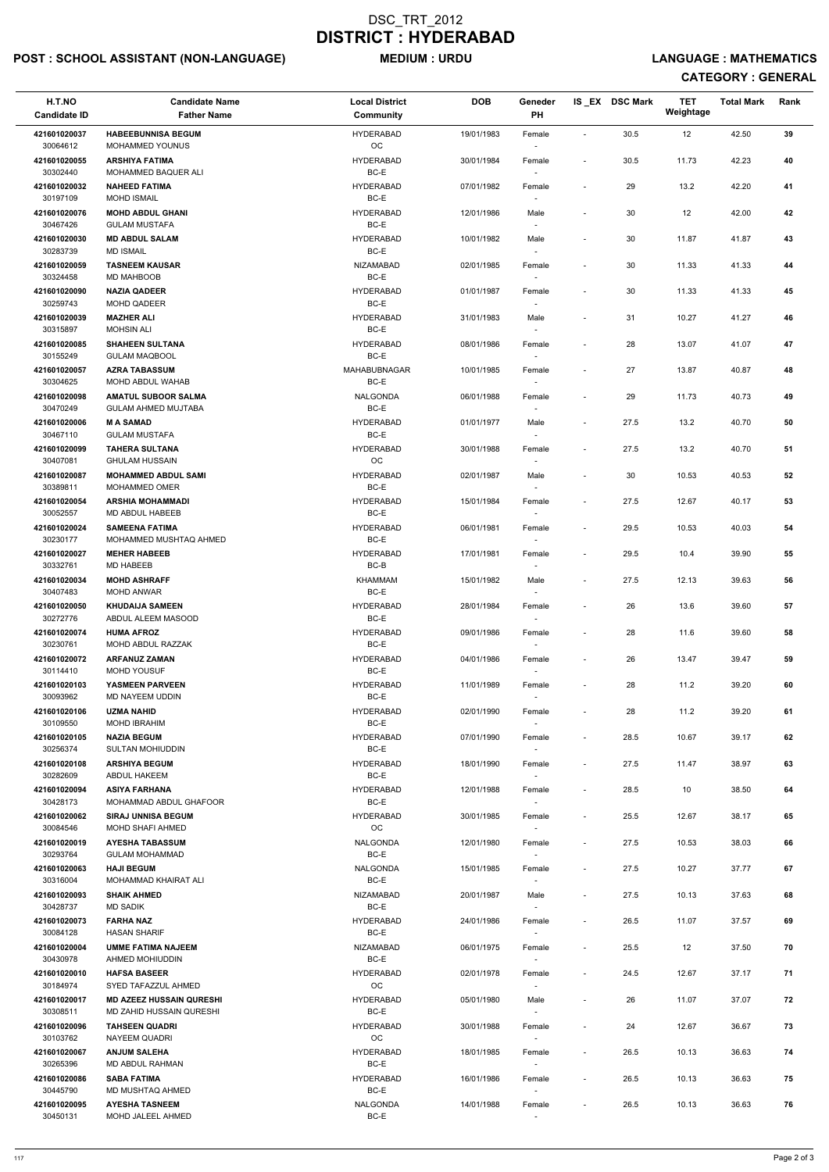## POST : SCHOOL ASSISTANT (NON-LANGUAGE) MEDIUM : URDU LANGUAGE : MATHEMATICS

| H.T.NO<br><b>Candidate ID</b> | <b>Candidate Name</b><br><b>Father Name</b>                 | <b>Local District</b><br>Community | <b>DOB</b> | Geneder<br>PH                      |                              | IS_EX DSC Mark | <b>TET</b><br>Weightage | <b>Total Mark</b> | Rank |  |
|-------------------------------|-------------------------------------------------------------|------------------------------------|------------|------------------------------------|------------------------------|----------------|-------------------------|-------------------|------|--|
| 421601020037                  | <b>HABEEBUNNISA BEGUM</b>                                   | <b>HYDERABAD</b>                   | 19/01/1983 | Female                             | $\blacksquare$               | 30.5           | 12                      | 42.50             | 39   |  |
| 30064612<br>421601020055      | MOHAMMED YOUNUS<br><b>ARSHIYA FATIMA</b>                    | $_{\rm OC}$<br><b>HYDERABAD</b>    | 30/01/1984 |                                    | $\overline{\phantom{a}}$     | 30.5           | 11.73                   | 42.23             | 40   |  |
| 30302440                      | MOHAMMED BAQUER ALI                                         | BC-E                               |            | Female                             |                              |                |                         |                   |      |  |
| 421601020032<br>30197109      | <b>NAHEED FATIMA</b><br><b>MOHD ISMAIL</b>                  | <b>HYDERABAD</b><br>BC-E           | 07/01/1982 | Female                             | $\overline{\phantom{a}}$     | 29             | 13.2                    | 42.20             | 41   |  |
| 421601020076                  | <b>MOHD ABDUL GHANI</b>                                     | <b>HYDERABAD</b>                   | 12/01/1986 | Male                               | $\overline{\phantom{a}}$     | 30             | 12                      | 42.00             | 42   |  |
| 30467426<br>421601020030      | <b>GULAM MUSTAFA</b><br><b>MD ABDUL SALAM</b>               | BC-E<br><b>HYDERABAD</b>           | 10/01/1982 | Male                               | $\blacksquare$               | 30             | 11.87                   | 41.87             | 43   |  |
| 30283739                      | <b>MD ISMAIL</b>                                            | BC-E                               |            | $\overline{\phantom{a}}$           |                              |                |                         |                   |      |  |
| 421601020059<br>30324458      | <b>TASNEEM KAUSAR</b><br><b>MD MAHBOOB</b>                  | <b>NIZAMABAD</b><br>BC-E           | 02/01/1985 | Female                             |                              | $30\,$         | 11.33                   | 41.33             | 44   |  |
| 421601020090<br>30259743      | <b>NAZIA QADEER</b><br>MOHD QADEER                          | <b>HYDERABAD</b><br>BC-E           | 01/01/1987 | Female                             | $\overline{\phantom{a}}$     | 30             | 11.33                   | 41.33             | 45   |  |
| 421601020039<br>30315897      | <b>MAZHER ALI</b><br><b>MOHSIN ALI</b>                      | <b>HYDERABAD</b><br>BC-E           | 31/01/1983 | Male<br>$\overline{\phantom{a}}$   | $\overline{\phantom{a}}$     | 31             | 10.27                   | 41.27             | 46   |  |
| 421601020085<br>30155249      | <b>SHAHEEN SULTANA</b><br><b>GULAM MAQBOOL</b>              | <b>HYDERABAD</b><br>BC-E           | 08/01/1986 | Female                             | $\overline{\phantom{a}}$     | 28             | 13.07                   | 41.07             | 47   |  |
| 421601020057                  | <b>AZRA TABASSUM</b>                                        | MAHABUBNAGAR<br>BC-E               | 10/01/1985 | Female                             | $\blacksquare$               | 27             | 13.87                   | 40.87             | 48   |  |
| 30304625<br>421601020098      | MOHD ABDUL WAHAB<br><b>AMATUL SUBOOR SALMA</b>              | <b>NALGONDA</b>                    | 06/01/1988 | Female                             | $\overline{\phantom{a}}$     | 29             | 11.73                   | 40.73             | 49   |  |
| 30470249                      | <b>GULAM AHMED MUJTABA</b>                                  | BC-E                               |            |                                    |                              |                |                         |                   |      |  |
| 421601020006<br>30467110      | <b>MASAMAD</b><br><b>GULAM MUSTAFA</b>                      | <b>HYDERABAD</b><br>BC-E           | 01/01/1977 | Male                               | $\overline{\phantom{a}}$     | 27.5           | 13.2                    | 40.70             | 50   |  |
| 421601020099<br>30407081      | <b>TAHERA SULTANA</b><br><b>GHULAM HUSSAIN</b>              | <b>HYDERABAD</b><br>OC             | 30/01/1988 | Female<br>$\overline{\phantom{a}}$ |                              | 27.5           | 13.2                    | 40.70             | 51   |  |
| 421601020087                  | <b>MOHAMMED ABDUL SAMI</b>                                  | <b>HYDERABAD</b>                   | 02/01/1987 | Male                               | $\blacksquare$               | 30             | 10.53                   | 40.53             | 52   |  |
| 30389811<br>421601020054      | <b>MOHAMMED OMER</b><br><b>ARSHIA MOHAMMADI</b>             | BC-E<br><b>HYDERABAD</b>           | 15/01/1984 | $\overline{\phantom{a}}$<br>Female | $\overline{\phantom{a}}$     | 27.5           | 12.67                   | 40.17             | 53   |  |
| 30052557                      | MD ABDUL HABEEB                                             | BC-E                               |            |                                    |                              |                |                         |                   |      |  |
| 421601020024<br>30230177      | <b>SAMEENA FATIMA</b><br>MOHAMMED MUSHTAQ AHMED             | <b>HYDERABAD</b><br>BC-E           | 06/01/1981 | Female<br>$\overline{\phantom{a}}$ | $\overline{\phantom{a}}$     | 29.5           | 10.53                   | 40.03             | 54   |  |
| 421601020027<br>30332761      | <b>MEHER HABEEB</b><br><b>MD HABEEB</b>                     | <b>HYDERABAD</b><br>BC-B           | 17/01/1981 | Female                             | $\qquad \qquad \blacksquare$ | 29.5           | 10.4                    | 39.90             | 55   |  |
| 421601020034<br>30407483      | <b>MOHD ASHRAFF</b><br><b>MOHD ANWAR</b>                    | <b>KHAMMAM</b><br>BC-E             | 15/01/1982 | Male                               | $\blacksquare$               | 27.5           | 12.13                   | 39.63             | 56   |  |
| 421601020050                  | <b>KHUDAIJA SAMEEN</b>                                      | <b>HYDERABAD</b>                   | 28/01/1984 | Female                             | $\overline{\phantom{a}}$     | 26             | 13.6                    | 39.60             | 57   |  |
| 30272776<br>421601020074      | ABDUL ALEEM MASOOD<br><b>HUMA AFROZ</b>                     | BC-E<br><b>HYDERABAD</b>           | 09/01/1986 | Female                             | $\overline{\phantom{a}}$     | 28             | 11.6                    | 39.60             | 58   |  |
| 30230761                      | MOHD ABDUL RAZZAK                                           | BC-E                               |            | $\sim$                             |                              |                |                         |                   |      |  |
| 421601020072<br>30114410      | <b>ARFANUZ ZAMAN</b><br>MOHD YOUSUF                         | <b>HYDERABAD</b><br>BC-E           | 04/01/1986 | Female<br>$\overline{\phantom{a}}$ | $\overline{\phantom{a}}$     | 26             | 13.47                   | 39.47             | 59   |  |
| 421601020103<br>30093962      | <b>YASMEEN PARVEEN</b><br>MD NAYEEM UDDIN                   | <b>HYDERABAD</b><br>BC-E           | 11/01/1989 | Female                             | $\overline{\phantom{a}}$     | 28             | 11.2                    | 39.20             | 60   |  |
| 421601020106                  | <b>UZMA NAHID</b>                                           | <b>HYDERABAD</b>                   | 02/01/1990 | Female                             | $\blacksquare$               | 28             | 11.2                    | 39.20             | 61   |  |
| 30109550<br>421601020105      | <b>MOHD IBRAHIM</b><br><b>NAZIA BEGUM</b>                   | BC-E<br><b>HYDERABAD</b>           | 07/01/1990 | Female                             | $\overline{\phantom{a}}$     | 28.5           | 10.67                   | 39.17             | 62   |  |
| 30256374                      | <b>SULTAN MOHIUDDIN</b>                                     | BC-E                               |            | $\sim$                             |                              |                |                         |                   |      |  |
| 421601020108<br>30282609      | <b>ARSHIYA BEGUM</b><br>ABDUL HAKEEM                        | <b>HYDERABAD</b><br>BC-E           | 18/01/1990 | Female<br>$\sim$                   | $\overline{\phantom{a}}$     | 27.5           | 11.47                   | 38.97             | 63   |  |
| 421601020094                  | <b>ASIYA FARHANA</b>                                        | <b>HYDERABAD</b><br>BC-E           | 12/01/1988 | Female                             | $\blacksquare$               | 28.5           | 10                      | 38.50             | 64   |  |
| 30428173<br>421601020062      | MOHAMMAD ABDUL GHAFOOR<br><b>SIRAJ UNNISA BEGUM</b>         | <b>HYDERABAD</b>                   | 30/01/1985 | $\sim$<br>Female                   | $\blacksquare$               | 25.5           | 12.67                   | 38.17             | 65   |  |
| 30084546<br>421601020019      | <b>MOHD SHAFI AHMED</b><br><b>AYESHA TABASSUM</b>           | OC<br>NALGONDA                     | 12/01/1980 | Female                             | $\overline{\phantom{a}}$     | 27.5           | 10.53                   | 38.03             | 66   |  |
| 30293764                      | <b>GULAM MOHAMMAD</b>                                       | BC-E                               |            | $\overline{\phantom{a}}$           |                              |                |                         |                   |      |  |
| 421601020063<br>30316004      | <b>HAJI BEGUM</b><br>MOHAMMAD KHAIRAT ALI                   | <b>NALGONDA</b><br>BC-E            | 15/01/1985 | Female<br>$\sim$                   | $\overline{\phantom{a}}$     | 27.5           | 10.27                   | 37.77             | 67   |  |
| 421601020093<br>30428737      | <b>SHAIK AHMED</b><br><b>MD SADIK</b>                       | <b>NIZAMABAD</b><br>BC-E           | 20/01/1987 | Male<br>$\sim$                     | $\blacksquare$               | 27.5           | 10.13                   | 37.63             | 68   |  |
| 421601020073                  | <b>FARHA NAZ</b>                                            | <b>HYDERABAD</b>                   | 24/01/1986 | Female                             | $\overline{\phantom{a}}$     | 26.5           | 11.07                   | 37.57             | 69   |  |
| 30084128<br>421601020004      | <b>HASAN SHARIF</b><br><b>UMME FATIMA NAJEEM</b>            | BC-E<br><b>NIZAMABAD</b>           | 06/01/1975 | Female                             | $\blacksquare$               | 25.5           | 12                      | 37.50             | 70   |  |
| 30430978                      | AHMED MOHIUDDIN                                             | BC-E                               |            |                                    |                              |                |                         |                   |      |  |
| 421601020010<br>30184974      | <b>HAFSA BASEER</b><br>SYED TAFAZZUL AHMED                  | <b>HYDERABAD</b><br>OC             | 02/01/1978 | Female<br>$\overline{\phantom{a}}$ | $\sim$                       | 24.5           | 12.67                   | 37.17             | 71   |  |
| 421601020017<br>30308511      | <b>MD AZEEZ HUSSAIN QURESHI</b><br>MD ZAHID HUSSAIN QURESHI | <b>HYDERABAD</b><br>BC-E           | 05/01/1980 | Male                               | $\qquad \qquad \blacksquare$ | 26             | 11.07                   | 37.07             | 72   |  |
| 421601020096<br>30103762      | <b>TAHSEEN QUADRI</b><br>NAYEEM QUADRI                      | <b>HYDERABAD</b><br>OC             | 30/01/1988 | Female<br>$\sim$                   | $\overline{\phantom{a}}$     | 24             | 12.67                   | 36.67             | 73   |  |
| 421601020067                  | <b>ANJUM SALEHA</b>                                         | <b>HYDERABAD</b>                   | 18/01/1985 | Female                             | $\overline{\phantom{a}}$     | 26.5           | 10.13                   | 36.63             | 74   |  |
| 30265396<br>421601020086      | MD ABDUL RAHMAN<br><b>SABA FATIMA</b>                       | BC-E<br><b>HYDERABAD</b>           | 16/01/1986 | $\sim$<br>Female                   | $\overline{\phantom{a}}$     | 26.5           | 10.13                   | 36.63             | 75   |  |
| 30445790                      | MD MUSHTAQ AHMED                                            | BC-E                               |            | $\overline{\phantom{a}}$           |                              |                |                         |                   |      |  |
| 421601020095<br>30450131      | <b>AYESHA TASNEEM</b><br>MOHD JALEEL AHMED                  | NALGONDA<br>BC-E                   | 14/01/1988 | Female                             |                              | 26.5           | 10.13                   | 36.63             | 76   |  |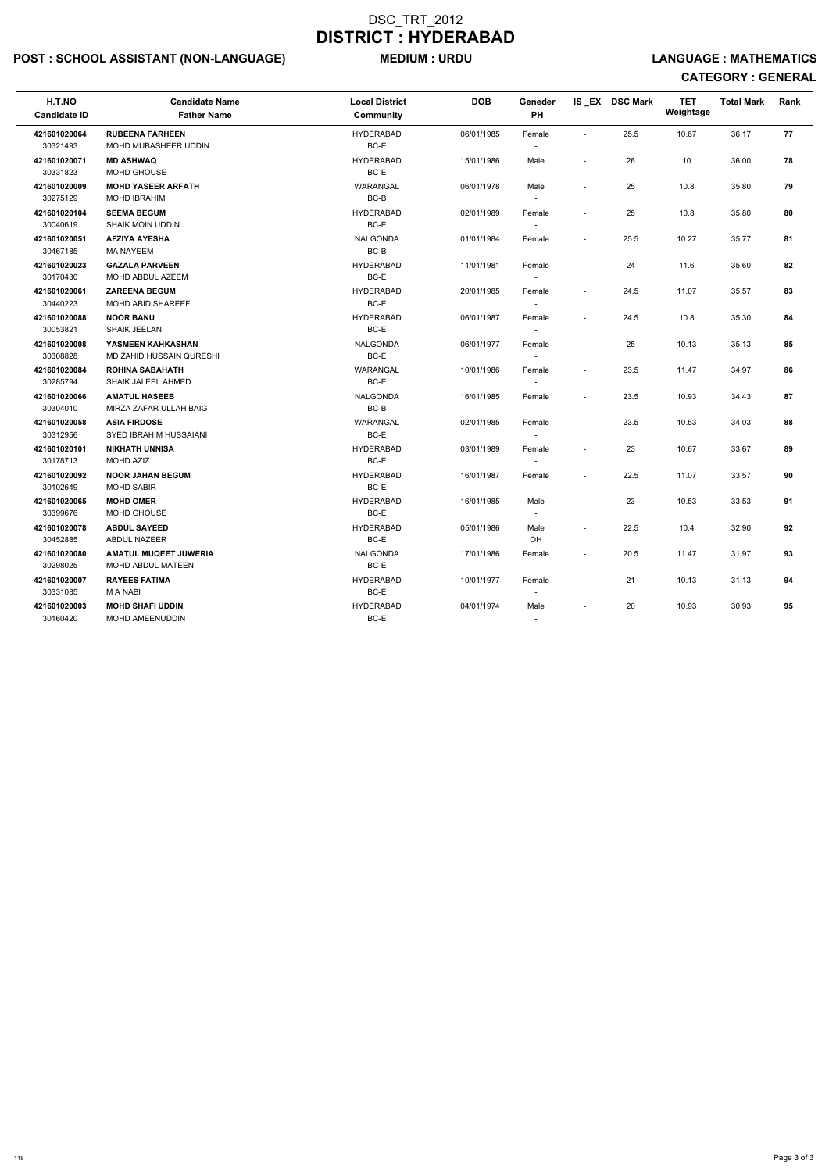## POST : SCHOOL ASSISTANT (NON-LANGUAGE) MEDIUM : URDU LANGUAGE : MATHEMATICS

| H.T.NO<br><b>Candidate ID</b> | <b>Candidate Name</b><br><b>Father Name</b>          | <b>Local District</b><br><b>Community</b> | <b>DOB</b> | Geneder<br>PH                      |                          | IS EX DSC Mark | <b>TET</b><br>Weightage | <b>Total Mark</b> | Rank |
|-------------------------------|------------------------------------------------------|-------------------------------------------|------------|------------------------------------|--------------------------|----------------|-------------------------|-------------------|------|
| 421601020064<br>30321493      | <b>RUBEENA FARHEEN</b><br>MOHD MUBASHEER UDDIN       | <b>HYDERABAD</b><br>BC-E                  | 06/01/1985 | Female<br>$\overline{\phantom{a}}$ | $\overline{\phantom{a}}$ | 25.5           | 10.67                   | 36.17             | 77   |
| 421601020071<br>30331823      | <b>MD ASHWAQ</b><br>MOHD GHOUSE                      | <b>HYDERABAD</b><br>BC-E                  | 15/01/1986 | Male<br>$\overline{\phantom{a}}$   |                          | 26             | 10                      | 36.00             | 78   |
| 421601020009<br>30275129      | <b>MOHD YASEER ARFATH</b><br><b>MOHD IBRAHIM</b>     | WARANGAL<br>BC-B                          | 06/01/1978 | Male                               | $\blacksquare$           | 25             | 10.8                    | 35.80             | 79   |
| 421601020104<br>30040619      | <b>SEEMA BEGUM</b><br><b>SHAIK MOIN UDDIN</b>        | <b>HYDERABAD</b><br>BC-E                  | 02/01/1989 | Female                             | $\blacksquare$           | 25             | 10.8                    | 35.80             | 80   |
| 421601020051<br>30467185      | <b>AFZIYA AYESHA</b><br><b>MA NAYEEM</b>             | <b>NALGONDA</b><br>BC-B                   | 01/01/1984 | Female                             | $\sim$                   | 25.5           | 10.27                   | 35.77             | 81   |
| 421601020023<br>30170430      | <b>GAZALA PARVEEN</b><br>MOHD ABDUL AZEEM            | <b>HYDERABAD</b><br>BC-E                  | 11/01/1981 | Female                             | $\overline{\phantom{a}}$ | 24             | 11.6                    | 35.60             | 82   |
| 421601020061<br>30440223      | <b>ZAREENA BEGUM</b><br><b>MOHD ABID SHAREEF</b>     | <b>HYDERABAD</b><br>BC-E                  | 20/01/1985 | Female                             |                          | 24.5           | 11.07                   | 35.57             | 83   |
| 421601020088<br>30053821      | <b>NOOR BANU</b><br><b>SHAIK JEELANI</b>             | <b>HYDERABAD</b><br>BC-E                  | 06/01/1987 | Female                             | $\overline{\phantom{a}}$ | 24.5           | 10.8                    | 35.30             | 84   |
| 421601020008<br>30308828      | YASMEEN KAHKASHAN<br><b>MD ZAHID HUSSAIN QURESHI</b> | <b>NALGONDA</b><br>BC-E                   | 06/01/1977 | Female<br>$\sim$                   |                          | 25             | 10.13                   | 35.13             | 85   |
| 421601020084<br>30285794      | <b>ROHINA SABAHATH</b><br>SHAIK JALEEL AHMED         | WARANGAL<br>BC-E                          | 10/01/1986 | Female<br>$\overline{\phantom{a}}$ | $\sim$                   | 23.5           | 11.47                   | 34.97             | 86   |
| 421601020066<br>30304010      | <b>AMATUL HASEEB</b><br>MIRZA ZAFAR ULLAH BAIG       | <b>NALGONDA</b><br>BC-B                   | 16/01/1985 | Female<br>$\overline{\phantom{a}}$ | $\overline{\phantom{a}}$ | 23.5           | 10.93                   | 34.43             | 87   |
| 421601020058<br>30312956      | <b>ASIA FIRDOSE</b><br>SYED IBRAHIM HUSSAIANI        | WARANGAL<br>BC-E                          | 02/01/1985 | Female                             | $\sim$                   | 23.5           | 10.53                   | 34.03             | 88   |
| 421601020101<br>30178713      | <b>NIKHATH UNNISA</b><br><b>MOHD AZIZ</b>            | <b>HYDERABAD</b><br>BC-E                  | 03/01/1989 | Female<br>$\overline{\phantom{a}}$ |                          | 23             | 10.67                   | 33.67             | 89   |
| 421601020092<br>30102649      | <b>NOOR JAHAN BEGUM</b><br><b>MOHD SABIR</b>         | <b>HYDERABAD</b><br>BC-E                  | 16/01/1987 | Female<br>$\overline{\phantom{a}}$ |                          | 22.5           | 11.07                   | 33.57             | 90   |
| 421601020065<br>30399676      | <b>MOHD OMER</b><br>MOHD GHOUSE                      | <b>HYDERABAD</b><br>BC-E                  | 16/01/1985 | Male                               |                          | 23             | 10.53                   | 33.53             | 91   |
| 421601020078<br>30452885      | <b>ABDUL SAYEED</b><br><b>ABDUL NAZEER</b>           | <b>HYDERABAD</b><br>BC-E                  | 05/01/1986 | Male<br>OH                         |                          | 22.5           | 10.4                    | 32.90             | 92   |
| 421601020080<br>30298025      | <b>AMATUL MUQEET JUWERIA</b><br>MOHD ABDUL MATEEN    | <b>NALGONDA</b><br>BC-E                   | 17/01/1986 | Female<br>$\overline{\phantom{a}}$ | $\overline{\phantom{a}}$ | 20.5           | 11.47                   | 31.97             | 93   |
| 421601020007<br>30331085      | <b>RAYEES FATIMA</b><br>M A NABI                     | <b>HYDERABAD</b><br>BC-E                  | 10/01/1977 | Female<br>$\sim$                   |                          | 21             | 10.13                   | 31.13             | 94   |
| 421601020003<br>30160420      | <b>MOHD SHAFI UDDIN</b><br>MOHD AMEENUDDIN           | <b>HYDERABAD</b><br>$BC-E$                | 04/01/1974 | Male<br>$\sim$                     | $\overline{\phantom{a}}$ | 20             | 10.93                   | 30.93             | 95   |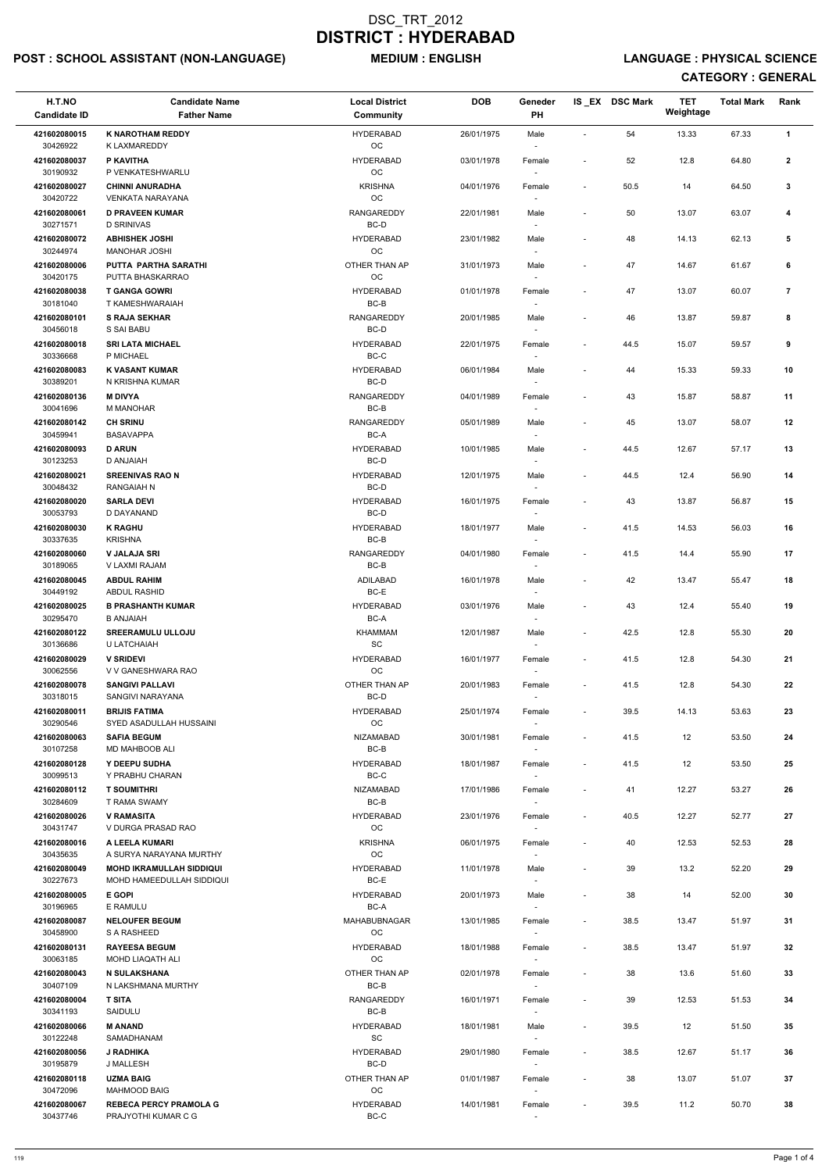## POST : SCHOOL ASSISTANT (NON-LANGUAGE) MEDIUM : ENGLISH LANGUAGE : PHYSICAL SCIENCE

| H.T.NO<br><b>Candidate ID</b>        | <b>Candidate Name</b><br><b>Father Name</b>                         | <b>Local District</b><br><b>Community</b>        | <b>DOB</b> | Geneder<br>PH                      |                          | IS_EX DSC Mark | <b>TET</b><br>Weightage | <b>Total Mark</b> | Rank           |
|--------------------------------------|---------------------------------------------------------------------|--------------------------------------------------|------------|------------------------------------|--------------------------|----------------|-------------------------|-------------------|----------------|
| 421602080015                         | <b>K NAROTHAM REDDY</b>                                             | <b>HYDERABAD</b>                                 | 26/01/1975 | Male                               |                          | 54             | 13.33                   | 67.33             | $\mathbf{1}$   |
| 30426922<br>421602080037             | K LAXMAREDDY<br>P KAVITHA                                           | $_{\rm OC}$<br><b>HYDERABAD</b>                  | 03/01/1978 | Female                             |                          | 52             | 12.8                    | 64.80             | $\mathbf{2}$   |
| 30190932                             | P VENKATESHWARLU                                                    | $_{\rm OC}$                                      |            |                                    |                          |                |                         |                   |                |
| 421602080027<br>30420722             | <b>CHINNI ANURADHA</b><br><b>VENKATA NARAYANA</b>                   | <b>KRISHNA</b><br>OC                             | 04/01/1976 | Female                             | $\overline{\phantom{a}}$ | 50.5           | 14                      | 64.50             | 3              |
| 421602080061                         | <b>D PRAVEEN KUMAR</b>                                              | <b>RANGAREDDY</b>                                | 22/01/1981 | Male                               |                          | 50             | 13.07                   | 63.07             | 4              |
| 30271571                             | <b>D SRINIVAS</b>                                                   | BC-D                                             |            |                                    |                          |                |                         |                   |                |
| 421602080072<br>30244974             | <b>ABHISHEK JOSHI</b><br><b>MANOHAR JOSHI</b>                       | <b>HYDERABAD</b><br>OC                           | 23/01/1982 | Male<br>$\sim$                     |                          | 48             | 14.13                   | 62.13             | 5              |
| 421602080006<br>30420175             | PUTTA PARTHA SARATHI<br>PUTTA BHASKARRAO                            | OTHER THAN AP<br>$_{\rm OC}$                     | 31/01/1973 | Male                               |                          | 47             | 14.67                   | 61.67             | 6              |
| 421602080038<br>30181040             | <b>T GANGA GOWRI</b><br>T KAMESHWARAIAH                             | <b>HYDERABAD</b><br>BC-B                         | 01/01/1978 | Female                             |                          | 47             | 13.07                   | 60.07             | $\overline{7}$ |
| 421602080101<br>30456018             | <b>S RAJA SEKHAR</b><br>S SAI BABU                                  | <b>RANGAREDDY</b><br>$BC-D$                      | 20/01/1985 | Male<br>$\overline{\phantom{a}}$   | $\overline{\phantom{a}}$ | 46             | 13.87                   | 59.87             | 8              |
| 421602080018<br>30336668             | <b>SRI LATA MICHAEL</b><br>P MICHAEL                                | <b>HYDERABAD</b><br>BC-C                         | 22/01/1975 | Female                             |                          | 44.5           | 15.07                   | 59.57             | 9              |
| 421602080083<br>30389201             | <b>K VASANT KUMAR</b><br>N KRISHNA KUMAR                            | <b>HYDERABAD</b><br>BC-D                         | 06/01/1984 | Male                               | $\overline{\phantom{a}}$ | 44             | 15.33                   | 59.33             | 10             |
| 421602080136                         | <b>M DIVYA</b>                                                      | RANGAREDDY                                       | 04/01/1989 | Female                             |                          | 43             | 15.87                   | 58.87             | 11             |
| 30041696                             | M MANOHAR                                                           | BC-B                                             |            |                                    |                          |                |                         |                   |                |
| 421602080142<br>30459941             | <b>CH SRINU</b><br><b>BASAVAPPA</b>                                 | <b>RANGAREDDY</b><br>BC-A                        | 05/01/1989 | Male                               |                          | 45             | 13.07                   | 58.07             | 12             |
| 421602080093                         | <b>D ARUN</b>                                                       | <b>HYDERABAD</b>                                 | 10/01/1985 | Male                               |                          | 44.5           | 12.67                   | 57.17             | 13             |
| 30123253<br>421602080021             | D ANJAIAH<br><b>SREENIVAS RAO N</b>                                 | BC-D<br><b>HYDERABAD</b>                         | 12/01/1975 | $\overline{\phantom{a}}$<br>Male   | $\overline{\phantom{a}}$ | 44.5           | 12.4                    | 56.90             | 14             |
| 30048432                             | <b>RANGAIAH N</b>                                                   | BC-D                                             |            |                                    |                          |                |                         |                   |                |
| 421602080020<br>30053793             | <b>SARLA DEVI</b><br>D DAYANAND                                     | <b>HYDERABAD</b><br>BC-D                         | 16/01/1975 | Female                             | $\overline{\phantom{a}}$ | 43             | 13.87                   | 56.87             | 15             |
| 421602080030<br>30337635             | <b>K RAGHU</b><br><b>KRISHNA</b>                                    | <b>HYDERABAD</b><br>BC-B                         | 18/01/1977 | Male<br>$\sim$                     | $\overline{\phantom{a}}$ | 41.5           | 14.53                   | 56.03             | 16             |
| 421602080060<br>30189065             | <b>V JALAJA SRI</b><br>V LAXMI RAJAM                                | RANGAREDDY<br>BC-B                               | 04/01/1980 | Female<br>$\sim$                   | $\blacksquare$           | 41.5           | 14.4                    | 55.90             | 17             |
| 421602080045                         | <b>ABDUL RAHIM</b>                                                  | <b>ADILABAD</b>                                  | 16/01/1978 | Male                               |                          | 42             | 13.47                   | 55.47             | 18             |
| 30449192<br>421602080025<br>30295470 | <b>ABDUL RASHID</b><br><b>B PRASHANTH KUMAR</b><br><b>B ANJAIAH</b> | BC-E<br><b>HYDERABAD</b><br>BC-A                 | 03/01/1976 | Male                               | $\blacksquare$           | 43             | 12.4                    | 55.40             | 19             |
| 421602080122                         | <b>SREERAMULU ULLOJU</b>                                            | KHAMMAM                                          | 12/01/1987 | Male                               | $\blacksquare$           | 42.5           | 12.8                    | 55.30             | 20             |
| 30136686<br>421602080029             | U LATCHAIAH<br><b>V SRIDEVI</b>                                     | SC<br><b>HYDERABAD</b>                           | 16/01/1977 | $\overline{\phantom{a}}$<br>Female | $\overline{\phantom{a}}$ | 41.5           | 12.8                    | 54.30             | 21             |
| 30062556<br>421602080078             | V V GANESHWARA RAO<br><b>SANGIVI PALLAVI</b>                        | OC<br>OTHER THAN AP                              | 20/01/1983 | $\sim$<br>Female                   | $\overline{\phantom{a}}$ | 41.5           | 12.8                    | 54.30             | 22             |
| 30318015                             | SANGIVI NARAYANA                                                    | BC-D                                             |            |                                    |                          |                |                         |                   |                |
| 421602080011<br>30290546             | <b>BRIJIS FATIMA</b><br>SYED ASADULLAH HUSSAINI                     | <b>HYDERABAD</b><br>OC                           | 25/01/1974 | Female                             | $\sim$                   | 39.5           | 14.13                   | 53.63             | 23             |
| 421602080063<br>30107258             | <b>SAFIA BEGUM</b><br><b>MD MAHBOOB ALI</b>                         | <b>NIZAMABAD</b><br>BC-B                         | 30/01/1981 | Female<br>$\sim$                   | $\sim$                   | 41.5           | 12                      | 53.50             | 24             |
| 421602080128<br>30099513             | Y DEEPU SUDHA<br>Y PRABHU CHARAN                                    | <b>HYDERABAD</b><br>BC-C                         | 18/01/1987 | Female<br>$\sim$                   | $\sim$                   | 41.5           | 12                      | 53.50             | 25             |
| 421602080112<br>30284609             | <b>T SOUMITHRI</b><br><b>T RAMA SWAMY</b>                           | <b>NIZAMABAD</b><br>BC-B                         | 17/01/1986 | Female                             | $\sim$                   | 41             | 12.27                   | 53.27             | 26             |
| 421602080026                         | <b>V RAMASITA</b>                                                   | <b>HYDERABAD</b>                                 | 23/01/1976 | Female                             |                          | 40.5           | 12.27                   | 52.77             | 27             |
| 30431747<br>421602080016<br>30435635 | V DURGA PRASAD RAO<br>A LEELA KUMARI<br>A SURYA NARAYANA MURTHY     | OC<br><b>KRISHNA</b><br>OC                       | 06/01/1975 | Female                             | $\overline{\phantom{a}}$ | 40             | 12.53                   | 52.53             | 28             |
| 421602080049                         | <b>MOHD IKRAMULLAH SIDDIQUI</b>                                     | <b>HYDERABAD</b>                                 | 11/01/1978 | Male                               |                          | 39             | 13.2                    | 52.20             | 29             |
| 30227673<br>421602080005             | MOHD HAMEEDULLAH SIDDIQUI<br><b>E GOPI</b>                          | BC-E<br><b>HYDERABAD</b>                         | 20/01/1973 | $\overline{\phantom{a}}$<br>Male   | $\blacksquare$           | 38             | 14                      | 52.00             | 30             |
| 30196965                             | E RAMULU                                                            | BC-A                                             |            | $\sim$                             |                          |                |                         |                   |                |
| 421602080087<br>30458900             | <b>NELOUFER BEGUM</b><br><b>S A RASHEED</b>                         | MAHABUBNAGAR<br>OC                               | 13/01/1985 | Female                             | $\overline{\phantom{a}}$ | 38.5           | 13.47                   | 51.97             | 31             |
| 421602080131                         | <b>RAYEESA BEGUM</b>                                                | <b>HYDERABAD</b>                                 | 18/01/1988 | Female                             | $\sim$                   | 38.5           | 13.47                   | 51.97             | 32             |
| 30063185<br>421602080043             | MOHD LIAQATH ALI<br>N SULAKSHANA                                    | OC<br>OTHER THAN AP                              | 02/01/1978 | Female                             | $\sim$                   | 38             | 13.6                    | 51.60             | 33             |
| 30407109                             | N LAKSHMANA MURTHY                                                  | BC-B                                             |            | $\sim$                             |                          |                |                         |                   |                |
| 421602080004<br>30341193             | <b>T SITA</b><br>SAIDULU                                            | RANGAREDDY<br>BC-B                               | 16/01/1971 | Female                             |                          | 39             | 12.53                   | 51.53             | 34             |
| 421602080066<br>30122248             | <b>M ANAND</b><br>SAMADHANAM                                        | <b>HYDERABAD</b><br>$\operatorname{\textsf{SC}}$ | 18/01/1981 | Male<br>$\sim$                     | $\sim$                   | 39.5           | 12                      | 51.50             | 35             |
| 421602080056                         | J RADHIKA                                                           | <b>HYDERABAD</b>                                 | 29/01/1980 | Female                             |                          | 38.5           | 12.67                   | 51.17             | 36             |
| 30195879<br>421602080118             | J MALLESH<br><b>UZMA BAIG</b>                                       | BC-D<br>OTHER THAN AP                            | 01/01/1987 | $\sim$<br>Female                   | $\overline{\phantom{a}}$ | 38             | 13.07                   | 51.07             | 37             |
| 30472096                             | <b>MAHMOOD BAIG</b>                                                 | OC                                               |            | $\sim$                             |                          |                |                         |                   |                |
| 421602080067<br>30437746             | <b>REBECA PERCY PRAMOLA G</b><br>PRAJYOTHI KUMAR C G                | <b>HYDERABAD</b><br>$BC-C$                       | 14/01/1981 | Female                             |                          | 39.5           | 11.2                    | 50.70             | ${\bf 38}$     |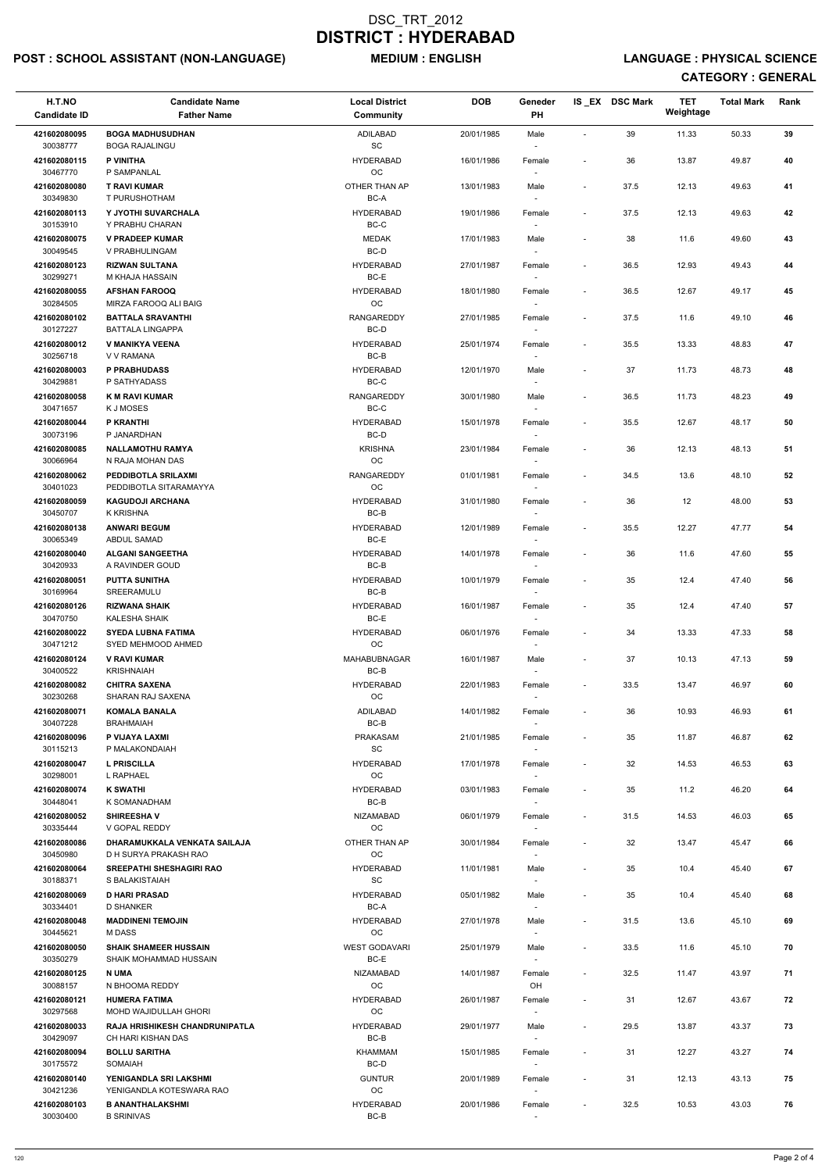## POST : SCHOOL ASSISTANT (NON-LANGUAGE) MEDIUM : ENGLISH LANGUAGE : PHYSICAL SCIENCE

| H.T.NO<br><b>Candidate ID</b> | <b>Candidate Name</b><br><b>Father Name</b>                 | <b>Local District</b><br><b>Community</b> | <b>DOB</b> | Geneder<br>PH                      |                              | IS_EX DSC Mark | <b>TET</b><br>Weightage | <b>Total Mark</b> | Rank |
|-------------------------------|-------------------------------------------------------------|-------------------------------------------|------------|------------------------------------|------------------------------|----------------|-------------------------|-------------------|------|
| 421602080095<br>30038777      | <b>BOGA MADHUSUDHAN</b><br><b>BOGA RAJALINGU</b>            | ADILABAD<br>$\operatorname{\textsf{SC}}$  | 20/01/1985 | Male                               | $\sim$                       | 39             | 11.33                   | 50.33             | 39   |
| 421602080115<br>30467770      | P VINITHA<br>P SAMPANLAL                                    | <b>HYDERABAD</b><br>OC                    | 16/01/1986 | Female                             | $\blacksquare$               | 36             | 13.87                   | 49.87             | 40   |
| 421602080080<br>30349830      | <b>T RAVI KUMAR</b><br>T PURUSHOTHAM                        | OTHER THAN AP<br>BC-A                     | 13/01/1983 | Male                               | $\overline{\phantom{a}}$     | 37.5           | 12.13                   | 49.63             | 41   |
| 421602080113<br>30153910      | Y JYOTHI SUVARCHALA<br>Y PRABHU CHARAN                      | <b>HYDERABAD</b><br>BC-C                  | 19/01/1986 | Female<br>$\overline{\phantom{a}}$ | $\sim$                       | 37.5           | 12.13                   | 49.63             | 42   |
| 421602080075<br>30049545      | <b>V PRADEEP KUMAR</b><br>V PRABHULINGAM                    | <b>MEDAK</b><br>BC-D                      | 17/01/1983 | Male                               | $\overline{\phantom{a}}$     | 38             | 11.6                    | 49.60             | 43   |
| 421602080123<br>30299271      | <b>RIZWAN SULTANA</b><br>M KHAJA HASSAIN                    | <b>HYDERABAD</b><br>BC-E                  | 27/01/1987 | $\sim$<br>Female                   | $\overline{\phantom{a}}$     | 36.5           | 12.93                   | 49.43             | 44   |
| 421602080055<br>30284505      | <b>AFSHAN FAROOQ</b><br>MIRZA FAROOQ ALI BAIG               | <b>HYDERABAD</b><br>OC                    | 18/01/1980 | Female                             | $\overline{\phantom{a}}$     | 36.5           | 12.67                   | 49.17             | 45   |
| 421602080102<br>30127227      | <b>BATTALA SRAVANTHI</b><br><b>BATTALA LINGAPPA</b>         | <b>RANGAREDDY</b><br>$BC-D$               | 27/01/1985 | Female<br>$\overline{\phantom{a}}$ | $\overline{\phantom{a}}$     | 37.5           | 11.6                    | 49.10             | 46   |
| 421602080012<br>30256718      | V MANIKYA VEENA<br>V V RAMANA                               | <b>HYDERABAD</b><br>BC-B                  | 25/01/1974 | Female                             | $\overline{\phantom{a}}$     | 35.5           | 13.33                   | 48.83             | 47   |
| 421602080003<br>30429881      | <b>P PRABHUDASS</b><br>P SATHYADASS                         | <b>HYDERABAD</b><br>BC-C                  | 12/01/1970 | Male                               | $\overline{\phantom{a}}$     | 37             | 11.73                   | 48.73             | 48   |
| 421602080058<br>30471657      | <b>K M RAVI KUMAR</b><br>K J MOSES                          | RANGAREDDY<br>BC-C                        | 30/01/1980 | Male                               | $\overline{\phantom{a}}$     | 36.5           | 11.73                   | 48.23             | 49   |
| 421602080044<br>30073196      | P KRANTHI<br>P JANARDHAN                                    | <b>HYDERABAD</b><br>BC-D                  | 15/01/1978 | Female                             | $\overline{\phantom{a}}$     | 35.5           | 12.67                   | 48.17             | 50   |
| 421602080085<br>30066964      | <b>NALLAMOTHU RAMYA</b><br>N RAJA MOHAN DAS                 | <b>KRISHNA</b><br>$_{\rm OC}$             | 23/01/1984 | Female<br>$\overline{\phantom{a}}$ | $\qquad \qquad \blacksquare$ | 36             | 12.13                   | 48.13             | 51   |
| 421602080062<br>30401023      | PEDDIBOTLA SRILAXMI<br>PEDDIBOTLA SITARAMAYYA               | <b>RANGAREDDY</b><br>OC                   | 01/01/1981 | Female                             | $\overline{\phantom{a}}$     | 34.5           | 13.6                    | 48.10             | 52   |
| 421602080059<br>30450707      | <b>KAGUDOJI ARCHANA</b><br><b>K KRISHNA</b>                 | <b>HYDERABAD</b><br>BC-B                  | 31/01/1980 | Female                             | $\overline{\phantom{a}}$     | 36             | 12                      | 48.00             | 53   |
| 421602080138<br>30065349      | <b>ANWARI BEGUM</b><br>ABDUL SAMAD                          | <b>HYDERABAD</b><br>BC-E                  | 12/01/1989 | Female<br>$\overline{\phantom{a}}$ | $\overline{\phantom{a}}$     | 35.5           | 12.27                   | 47.77             | 54   |
| 421602080040<br>30420933      | <b>ALGANI SANGEETHA</b><br>A RAVINDER GOUD                  | <b>HYDERABAD</b><br>$BC-B$                | 14/01/1978 | Female<br>$\overline{\phantom{a}}$ | $\qquad \qquad \blacksquare$ | 36             | 11.6                    | 47.60             | 55   |
| 421602080051<br>30169964      | <b>PUTTA SUNITHA</b><br>SREERAMULU                          | <b>HYDERABAD</b><br>BC-B                  | 10/01/1979 | Female                             | $\blacksquare$               | 35             | 12.4                    | 47.40             | 56   |
| 421602080126<br>30470750      | <b>RIZWANA SHAIK</b><br>KALESHA SHAIK                       | <b>HYDERABAD</b><br>BC-E                  | 16/01/1987 | Female                             | $\overline{\phantom{a}}$     | 35             | 12.4                    | 47.40             | 57   |
| 421602080022<br>30471212      | <b>SYEDA LUBNA FATIMA</b><br>SYED MEHMOOD AHMED             | <b>HYDERABAD</b><br>OC                    | 06/01/1976 | Female                             | $\blacksquare$               | 34             | 13.33                   | 47.33             | 58   |
| 421602080124<br>30400522      | <b>V RAVI KUMAR</b><br><b>KRISHNAIAH</b>                    | MAHABUBNAGAR<br>BC-B                      | 16/01/1987 | Male<br>$\sim$                     | $\overline{\phantom{a}}$     | 37             | 10.13                   | 47.13             | 59   |
| 421602080082<br>30230268      | <b>CHITRA SAXENA</b><br>SHARAN RAJ SAXENA                   | <b>HYDERABAD</b><br>OC                    | 22/01/1983 | Female<br>$\overline{\phantom{a}}$ | $\overline{\phantom{a}}$     | 33.5           | 13.47                   | 46.97             | 60   |
| 421602080071<br>30407228      | <b>KOMALA BANALA</b><br><b>BRAHMAIAH</b>                    | ADILABAD<br>BC-B                          | 14/01/1982 | Female                             | $\overline{\phantom{a}}$     | 36             | 10.93                   | 46.93             | 61   |
| 421602080096<br>30115213      | P VIJAYA LAXMI<br>P MALAKONDAIAH                            | PRAKASAM<br>SC                            | 21/01/1985 | Female<br>$\overline{\phantom{a}}$ | $\overline{\phantom{a}}$     | 35             | 11.87                   | 46.87             | 62   |
| 421602080047<br>30298001      | <b>L PRISCILLA</b><br>L RAPHAEL                             | <b>HYDERABAD</b><br><b>OC</b>             | 17/01/1978 | Female                             | $\tilde{\phantom{a}}$        | 32             | 14.53                   | 46.53             | 63   |
| 421602080074<br>30448041      | <b>K SWATHI</b><br>K SOMANADHAM                             | <b>HYDERABAD</b><br>BC-B                  | 03/01/1983 | Female<br>$\overline{\phantom{a}}$ | $\overline{\phantom{a}}$     | 35             | 11.2                    | 46.20             | 64   |
| 421602080052<br>30335444      | <b>SHIREESHAV</b><br>V GOPAL REDDY                          | <b>NIZAMABAD</b><br>OC                    | 06/01/1979 | Female                             | $\blacksquare$               | 31.5           | 14.53                   | 46.03             | 65   |
| 421602080086<br>30450980      | DHARAMUKKALA VENKATA SAILAJA<br>D H SURYA PRAKASH RAO       | OTHER THAN AP<br>OC                       | 30/01/1984 | Female                             | $\overline{\phantom{a}}$     | 32             | 13.47                   | 45.47             | 66   |
| 421602080064<br>30188371      | <b>SREEPATHI SHESHAGIRI RAO</b><br>S BALAKISTAIAH           | <b>HYDERABAD</b><br>SC                    | 11/01/1981 | Male<br>$\overline{\phantom{a}}$   | $\blacksquare$               | 35             | 10.4                    | 45.40             | 67   |
| 421602080069<br>30334401      | <b>D HARI PRASAD</b><br><b>D SHANKER</b>                    | <b>HYDERABAD</b><br>BC-A                  | 05/01/1982 | Male<br>$\sim$                     | $\overline{\phantom{a}}$     | 35             | 10.4                    | 45.40             | 68   |
| 421602080048<br>30445621      | <b>MADDINENI TEMOJIN</b><br><b>MDASS</b>                    | <b>HYDERABAD</b><br><b>OC</b>             | 27/01/1978 | Male                               | $\overline{\phantom{a}}$     | 31.5           | 13.6                    | 45.10             | 69   |
| 421602080050<br>30350279      | <b>SHAIK SHAMEER HUSSAIN</b><br>SHAIK MOHAMMAD HUSSAIN      | <b>WEST GODAVARI</b><br>BC-E              | 25/01/1979 | Male                               | $\overline{\phantom{a}}$     | 33.5           | 11.6                    | 45.10             | 70   |
| 421602080125<br>30088157      | N UMA<br>N BHOOMA REDDY                                     | <b>NIZAMABAD</b><br>OC                    | 14/01/1987 | Female<br>OH                       | $\overline{\phantom{a}}$     | 32.5           | 11.47                   | 43.97             | 71   |
| 421602080121<br>30297568      | <b>HUMERA FATIMA</b><br><b>MOHD WAJIDULLAH GHORI</b>        | <b>HYDERABAD</b><br>OC                    | 26/01/1987 | Female                             | ٠                            | 31             | 12.67                   | 43.67             | 72   |
| 421602080033<br>30429097      | <b>RAJA HRISHIKESH CHANDRUNIPATLA</b><br>CH HARI KISHAN DAS | <b>HYDERABAD</b><br>BC-B                  | 29/01/1977 | Male<br>$\overline{\phantom{a}}$   | $\overline{\phantom{a}}$     | 29.5           | 13.87                   | 43.37             | 73   |
| 421602080094<br>30175572      | <b>BOLLU SARITHA</b><br>SOMAIAH                             | KHAMMAM<br>BC-D                           | 15/01/1985 | Female<br>$\overline{\phantom{a}}$ | ٠                            | 31             | 12.27                   | 43.27             | 74   |
| 421602080140<br>30421236      | YENIGANDLA SRI LAKSHMI<br>YENIGANDLA KOTESWARA RAO          | <b>GUNTUR</b><br>OC                       | 20/01/1989 | Female<br>$\overline{\phantom{a}}$ | $\overline{\phantom{a}}$     | 31             | 12.13                   | 43.13             | 75   |
| 421602080103<br>30030400      | <b>B ANANTHALAKSHMI</b><br><b>B SRINIVAS</b>                | <b>HYDERABAD</b><br>BC-B                  | 20/01/1986 | Female<br>$\overline{\phantom{a}}$ | $\overline{\phantom{a}}$     | 32.5           | 10.53                   | 43.03             | 76   |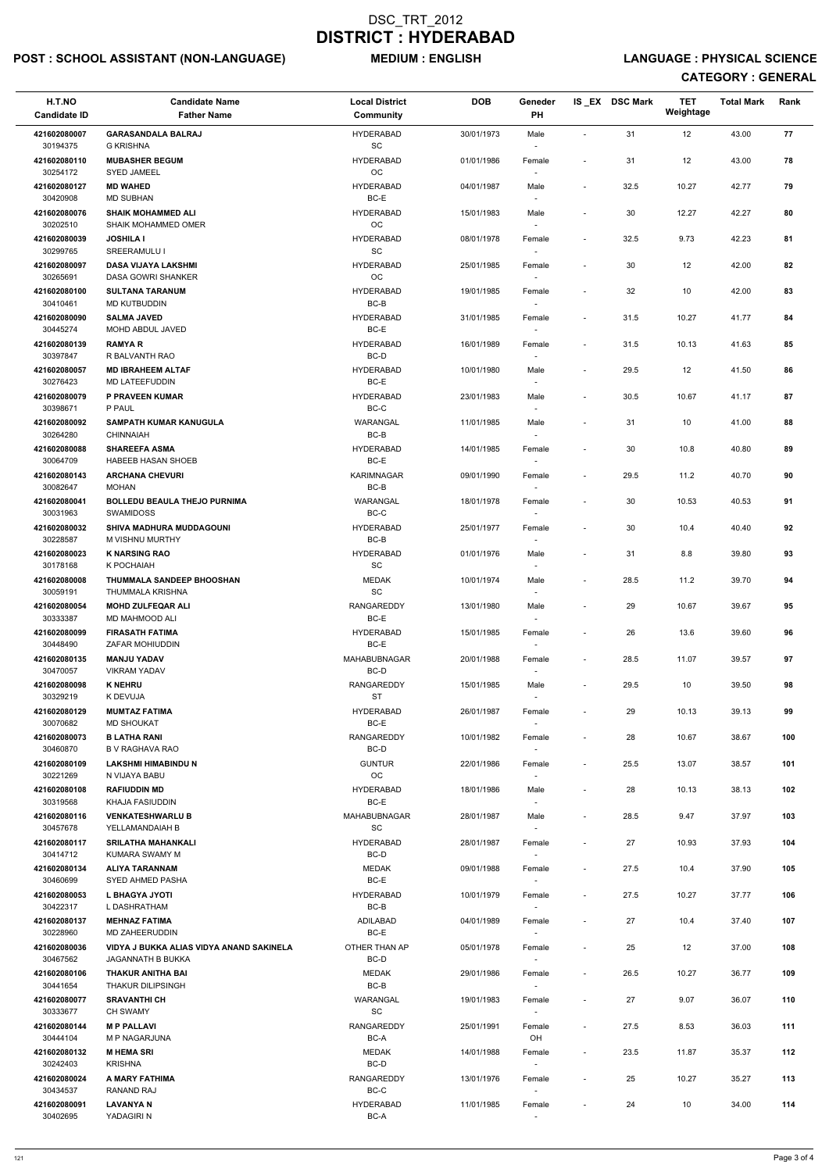## POST : SCHOOL ASSISTANT (NON-LANGUAGE) MEDIUM : ENGLISH LANGUAGE : PHYSICAL SCIENCE

| H.T.NO                   | <b>Candidate Name</b>                                   | <b>Local District</b>         | <b>DOB</b> | Geneder                            |                          | IS_EX DSC Mark | <b>TET</b><br>Weightage | <b>Total Mark</b> | Rank |
|--------------------------|---------------------------------------------------------|-------------------------------|------------|------------------------------------|--------------------------|----------------|-------------------------|-------------------|------|
| <b>Candidate ID</b>      | <b>Father Name</b>                                      | <b>Community</b>              |            | PH                                 |                          |                |                         |                   |      |
| 421602080007<br>30194375 | <b>GARASANDALA BALRAJ</b><br><b>G KRISHNA</b>           | <b>HYDERABAD</b><br>SC        | 30/01/1973 | Male                               | $\overline{a}$           | 31             | 12                      | 43.00             | 77   |
| 421602080110             | <b>MUBASHER BEGUM</b>                                   | <b>HYDERABAD</b>              | 01/01/1986 | Female                             | $\blacksquare$           | 31             | 12                      | 43.00             | 78   |
| 30254172                 | <b>SYED JAMEEL</b>                                      | OC                            |            |                                    |                          |                |                         |                   |      |
| 421602080127<br>30420908 | <b>MD WAHED</b><br><b>MD SUBHAN</b>                     | <b>HYDERABAD</b><br>BC-E      | 04/01/1987 | Male                               | $\overline{\phantom{a}}$ | 32.5           | 10.27                   | 42.77             | 79   |
| 421602080076             | <b>SHAIK MOHAMMED ALI</b>                               | <b>HYDERABAD</b>              | 15/01/1983 | Male                               | $\overline{\phantom{a}}$ | 30             | 12.27                   | 42.27             | 80   |
| 30202510                 | <b>SHAIK MOHAMMED OMER</b>                              | <b>OC</b>                     |            |                                    |                          |                |                         |                   |      |
| 421602080039<br>30299765 | <b>JOSHILA I</b><br>SREERAMULU I                        | <b>HYDERABAD</b><br><b>SC</b> | 08/01/1978 | Female<br>$\sim$                   | $\overline{\phantom{a}}$ | 32.5           | 9.73                    | 42.23             | 81   |
| 421602080097<br>30265691 | <b>DASA VIJAYA LAKSHMI</b><br><b>DASA GOWRI SHANKER</b> | <b>HYDERABAD</b><br>OC        | 25/01/1985 | Female                             | $\blacksquare$           | 30             | 12                      | 42.00             | 82   |
| 421602080100<br>30410461 | <b>SULTANA TARANUM</b><br><b>MD KUTBUDDIN</b>           | <b>HYDERABAD</b><br>$BC-B$    | 19/01/1985 | Female                             | $\overline{\phantom{a}}$ | 32             | 10                      | 42.00             | 83   |
| 421602080090<br>30445274 | <b>SALMA JAVED</b><br>MOHD ABDUL JAVED                  | <b>HYDERABAD</b><br>BC-E      | 31/01/1985 | Female<br>$\sim$                   | $\overline{\phantom{a}}$ | 31.5           | 10.27                   | 41.77             | 84   |
| 421602080139             | <b>RAMYAR</b>                                           | <b>HYDERABAD</b>              | 16/01/1989 | Female                             | $\overline{\phantom{a}}$ | 31.5           | 10.13                   | 41.63             | 85   |
| 30397847<br>421602080057 | R BALVANTH RAO<br><b>MD IBRAHEEM ALTAF</b>              | BC-D<br><b>HYDERABAD</b>      | 10/01/1980 | Male                               | $\overline{\phantom{a}}$ | 29.5           | 12                      | 41.50             | 86   |
| 30276423                 | MD LATEEFUDDIN                                          | BC-E                          |            |                                    |                          |                |                         |                   |      |
| 421602080079             | P PRAVEEN KUMAR                                         | <b>HYDERABAD</b>              | 23/01/1983 | Male                               | $\overline{\phantom{a}}$ | 30.5           | 10.67                   | 41.17             | 87   |
| 30398671<br>421602080092 | P PAUL<br><b>SAMPATH KUMAR KANUGULA</b>                 | BC-C<br><b>WARANGAL</b>       | 11/01/1985 | Male                               | $\overline{\phantom{a}}$ | 31             | 10                      | 41.00             | 88   |
| 30264280                 | <b>CHINNAIAH</b>                                        | BC-B                          |            |                                    |                          |                |                         |                   |      |
| 421602080088<br>30064709 | <b>SHAREEFA ASMA</b><br>HABEEB HASAN SHOEB              | <b>HYDERABAD</b><br>BC-E      | 14/01/1985 | Female<br>$\sim$                   |                          | 30             | 10.8                    | 40.80             | 89   |
| 421602080143             | <b>ARCHANA CHEVURI</b>                                  | <b>KARIMNAGAR</b>             | 09/01/1990 | Female                             | $\overline{\phantom{a}}$ | 29.5           | 11.2                    | 40.70             | 90   |
| 30082647                 | <b>MOHAN</b>                                            | BC-B                          |            |                                    |                          |                |                         |                   |      |
| 421602080041<br>30031963 | <b>BOLLEDU BEAULA THEJO PURNIMA</b><br><b>SWAMIDOSS</b> | WARANGAL<br>$BC-C$            | 18/01/1978 | Female                             | $\overline{\phantom{a}}$ | 30             | 10.53                   | 40.53             | 91   |
| 421602080032<br>30228587 | SHIVA MADHURA MUDDAGOUNI<br>M VISHNU MURTHY             | <b>HYDERABAD</b><br>BC-B      | 25/01/1977 | Female<br>$\overline{\phantom{a}}$ | $\overline{\phantom{a}}$ | 30             | 10.4                    | 40.40             | 92   |
| 421602080023<br>30178168 | <b>K NARSING RAO</b><br>K POCHAIAH                      | <b>HYDERABAD</b><br><b>SC</b> | 01/01/1976 | Male<br>$\overline{\phantom{a}}$   | $\overline{\phantom{0}}$ | 31             | 8.8                     | 39.80             | 93   |
| 421602080008<br>30059191 | THUMMALA SANDEEP BHOOSHAN<br>THUMMALA KRISHNA           | <b>MEDAK</b><br>SC            | 10/01/1974 | Male                               | $\overline{\phantom{a}}$ | 28.5           | 11.2                    | 39.70             | 94   |
| 421602080054             | <b>MOHD ZULFEQAR ALI</b>                                | <b>RANGAREDDY</b>             | 13/01/1980 | Male                               | $\overline{\phantom{a}}$ | 29             | 10.67                   | 39.67             | 95   |
| 30333387<br>421602080099 | <b>MD MAHMOOD ALI</b><br><b>FIRASATH FATIMA</b>         | BC-E<br><b>HYDERABAD</b>      | 15/01/1985 | Female                             | $\overline{\phantom{a}}$ | 26             | 13.6                    | 39.60             | 96   |
| 30448490<br>421602080135 | <b>ZAFAR MOHIUDDIN</b><br><b>MANJU YADAV</b>            | BC-E<br><b>MAHABUBNAGAR</b>   | 20/01/1988 | Female                             | $\overline{\phantom{a}}$ | 28.5           | 11.07                   | 39.57             | 97   |
| 30470057                 | <b>VIKRAM YADAV</b>                                     | BC-D                          |            |                                    |                          |                |                         |                   |      |
| 421602080098<br>30329219 | <b>K NEHRU</b><br>K DEVUJA                              | RANGAREDDY<br><b>ST</b>       | 15/01/1985 | Male                               | $\overline{\phantom{a}}$ | 29.5           | 10                      | 39.50             | 98   |
| 421602080129<br>30070682 | <b>MUMTAZ FATIMA</b><br><b>MD SHOUKAT</b>               | <b>HYDERABAD</b><br>BC-E      | 26/01/1987 | Female                             | $\blacksquare$           | 29             | 10.13                   | 39.13             | 99   |
| 421602080073<br>30460870 | <b>B LATHA RANI</b><br><b>B V RAGHAVA RAO</b>           | RANGAREDDY<br>BC-D            | 10/01/1982 | Female<br>$\sim$                   | $\overline{\phantom{a}}$ | 28             | 10.67                   | 38.67             | 100  |
| 421602080109             | <b>LAKSHMI HIMABINDU N</b>                              | <b>GUNTUR</b>                 | 22/01/1986 | Female                             | $\overline{\phantom{a}}$ | 25.5           | 13.07                   | 38.57             | 101  |
| 30221269<br>421602080108 | N VIJAYA BABU<br><b>RAFIUDDIN MD</b>                    | OC<br><b>HYDERABAD</b>        | 18/01/1986 | Male                               | $\overline{\phantom{a}}$ | 28             | 10.13                   | 38.13             | 102  |
| 30319568<br>421602080116 | KHAJA FASIUDDIN<br><b>VENKATESHWARLU B</b>              | BC-E<br>MAHABUBNAGAR          | 28/01/1987 | $\sim$<br>Male                     | $\overline{\phantom{a}}$ | 28.5           | 9.47                    | 37.97             | 103  |
| 30457678                 | YELLAMANDAIAH B                                         | SC                            |            |                                    |                          |                |                         |                   |      |
| 421602080117<br>30414712 | <b>SRILATHA MAHANKALI</b><br>KUMARA SWAMY M             | <b>HYDERABAD</b><br>BC-D      | 28/01/1987 | Female<br>$\overline{\phantom{a}}$ | $\overline{\phantom{a}}$ | 27             | 10.93                   | 37.93             | 104  |
| 421602080134             | <b>ALIYA TARANNAM</b>                                   | <b>MEDAK</b><br>BC-E          | 09/01/1988 | Female                             | $\overline{\phantom{a}}$ | 27.5           | 10.4                    | 37.90             | 105  |
| 30460699<br>421602080053 | <b>SYED AHMED PASHA</b><br>L BHAGYA JYOTI               | <b>HYDERABAD</b>              | 10/01/1979 | $\sim$<br>Female                   | $\overline{\phantom{a}}$ | 27.5           | 10.27                   | 37.77             | 106  |
| 30422317                 | L DASHRATHAM                                            | BC-B                          |            | $\sim$                             |                          |                |                         |                   |      |
| 421602080137<br>30228960 | <b>MEHNAZ FATIMA</b><br><b>MD ZAHEERUDDIN</b>           | ADILABAD<br>BC-E              | 04/01/1989 | Female                             | $\overline{\phantom{a}}$ | 27             | 10.4                    | 37.40             | 107  |
| 421602080036             | VIDYA J BUKKA ALIAS VIDYA ANAND SAKINELA                | OTHER THAN AP                 | 05/01/1978 | Female                             | $\overline{\phantom{a}}$ | 25             | 12                      | 37.00             | 108  |
| 30467562<br>421602080106 | <b>JAGANNATH B BUKKA</b><br>THAKUR ANITHA BAI           | BC-D<br>MEDAK                 | 29/01/1986 | Female                             | $\overline{\phantom{a}}$ | 26.5           | 10.27                   | 36.77             | 109  |
| 30441654                 | <b>THAKUR DILIPSINGH</b>                                | BC-B                          |            | $\sim$                             |                          |                |                         |                   |      |
| 421602080077<br>30333677 | <b>SRAVANTHI CH</b><br><b>CH SWAMY</b>                  | WARANGAL<br>SC                | 19/01/1983 | Female                             | $\overline{\phantom{a}}$ | 27             | 9.07                    | 36.07             | 110  |
| 421602080144<br>30444104 | <b>MP PALLAVI</b><br>M P NAGARJUNA                      | RANGAREDDY<br>BC-A            | 25/01/1991 | Female<br>OH                       | $\overline{\phantom{a}}$ | 27.5           | 8.53                    | 36.03             | 111  |
| 421602080132             | <b>M HEMA SRI</b>                                       | MEDAK                         | 14/01/1988 | Female                             | $\overline{\phantom{a}}$ | 23.5           | 11.87                   | 35.37             | 112  |
| 30242403                 | <b>KRISHNA</b>                                          | BC-D                          |            | $\sim$                             |                          |                |                         |                   |      |
| 421602080024<br>30434537 | A MARY FATHIMA<br>RANAND RAJ                            | RANGAREDDY<br>BC-C            | 13/01/1976 | Female<br>$\sim$                   | $\overline{\phantom{a}}$ | 25             | 10.27                   | 35.27             | 113  |
| 421602080091<br>30402695 | <b>LAVANYA N</b><br>YADAGIRI N                          | HYDERABAD<br>BC-A             | 11/01/1985 | Female                             | $\overline{\phantom{a}}$ | 24             | 10                      | 34.00             | 114  |
|                          |                                                         |                               |            |                                    |                          |                |                         |                   |      |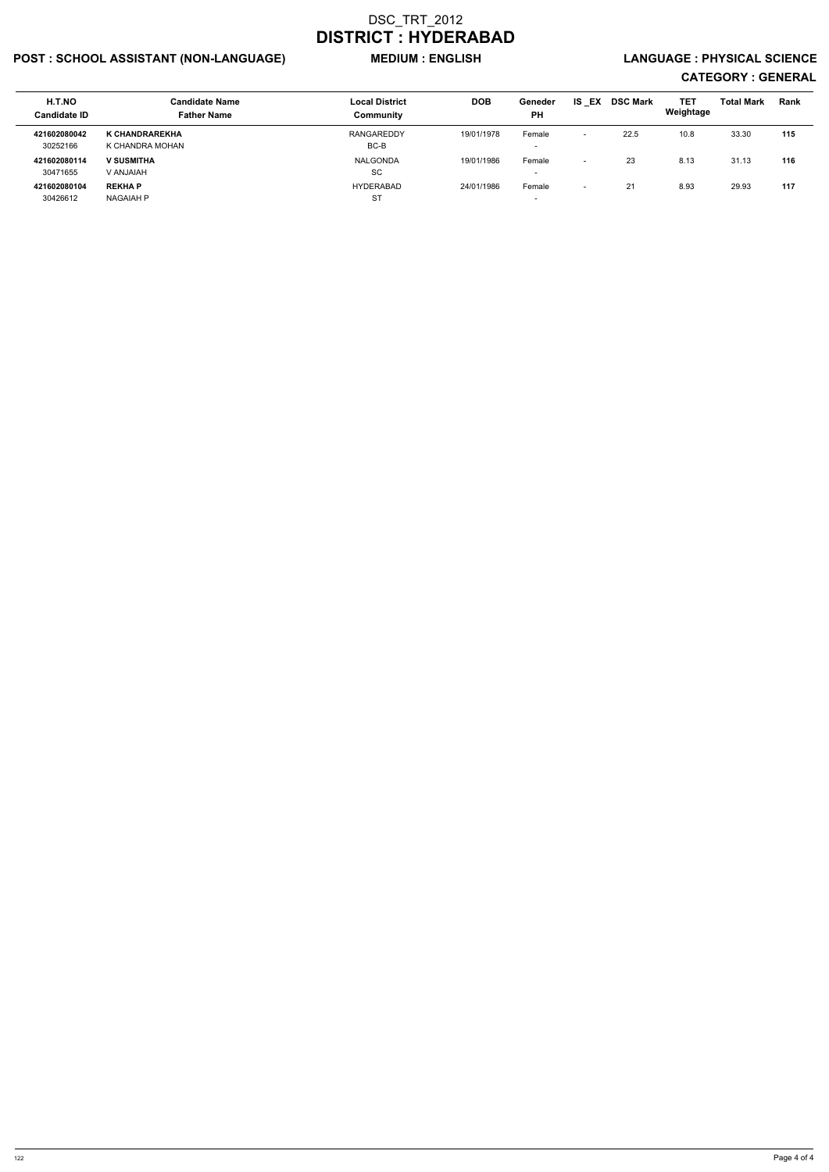## POST : SCHOOL ASSISTANT (NON-LANGUAGE) MEDIUM : ENGLISH LANGUAGE : PHYSICAL SCIENCE

| H.T.NO<br><b>Candidate ID</b> | <b>Candidate Name</b><br><b>Father Name</b> | <b>Local District</b><br>Community | <b>DOB</b> | Geneder<br><b>PH</b> | IS.<br>EX                | <b>DSC Mark</b> | TET<br>Weightage | <b>Total Mark</b> | Rank |
|-------------------------------|---------------------------------------------|------------------------------------|------------|----------------------|--------------------------|-----------------|------------------|-------------------|------|
| 421602080042                  | K CHANDRAREKHA                              | RANGAREDDY                         | 19/01/1978 | Female               | $\overline{\phantom{0}}$ | 22.5            | 10.8             | 33.30             | 115  |
| 30252166                      | K CHANDRA MOHAN                             | BC-B                               |            |                      |                          |                 |                  |                   |      |
| 421602080114                  | <b>V SUSMITHA</b>                           | NALGONDA                           | 19/01/1986 | Female               | $\overline{\phantom{0}}$ | 23              | 8.13             | 31.13             | 116  |
| 30471655                      | V ANJAIAH                                   | SC                                 |            |                      |                          |                 |                  |                   |      |
| 421602080104                  | <b>REKHAP</b>                               | <b>HYDERABAD</b>                   | 24/01/1986 | Female               | $\overline{\phantom{0}}$ | 21              | 8.93             | 29.93             | 117  |
| 30426612                      | NAGAIAH P                                   | <b>ST</b>                          |            |                      |                          |                 |                  |                   |      |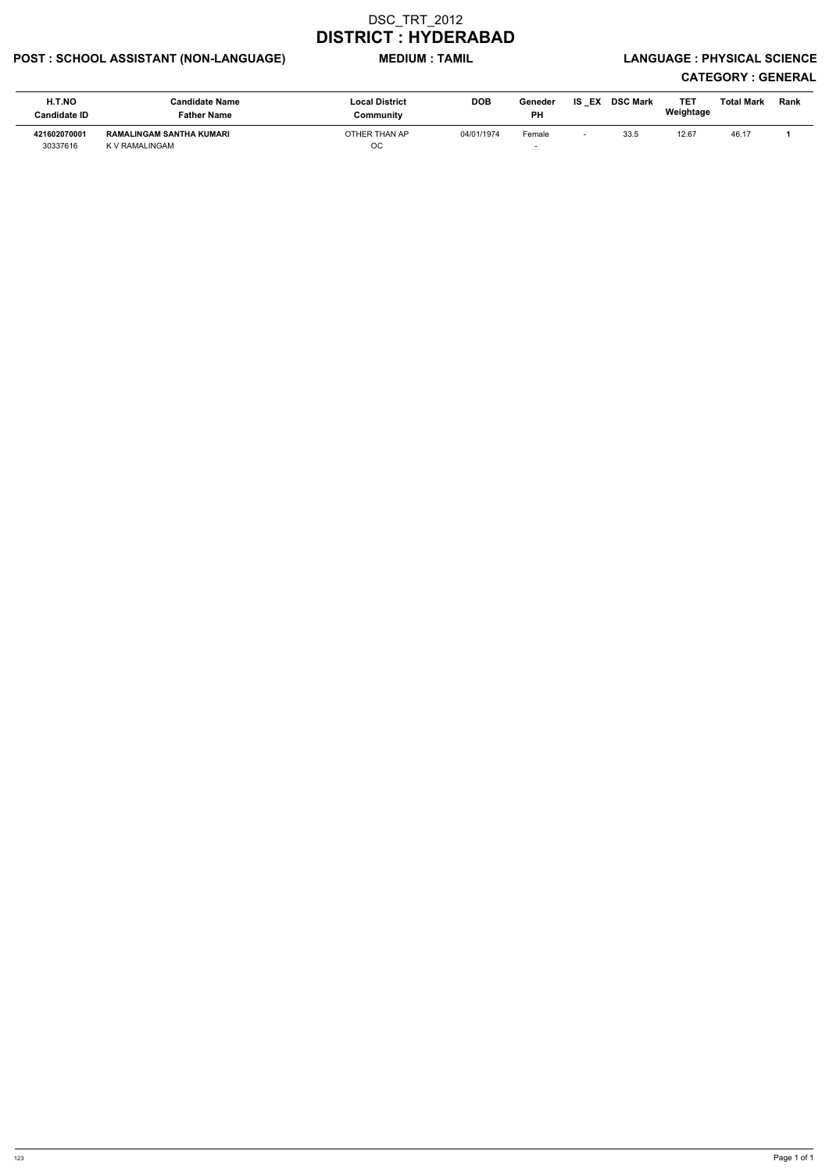## POST : SCHOOL ASSISTANT (NON-LANGUAGE) MEDIUM : TAMIL LANGUAGE : PHYSICAL SCIENCE

| H.T.NO<br><b>Candidate ID</b> | Candidate Name<br>Father Name              | <b>Local District</b><br>Community | <b>DOB</b> | Geneder<br><b>PH</b> | <b>IS EX</b> | <b>DSC Mark</b> | TE1<br>Weightage | Total Mark | Rank |
|-------------------------------|--------------------------------------------|------------------------------------|------------|----------------------|--------------|-----------------|------------------|------------|------|
| 421602070001<br>30337616      | RAMALINGAM SANTHA KUMARI<br>K V RAMALINGAM | OTHER THAN AP<br>OC                | 04/01/1974 | Female               |              | 33.5            | 12.67            | 46.17      |      |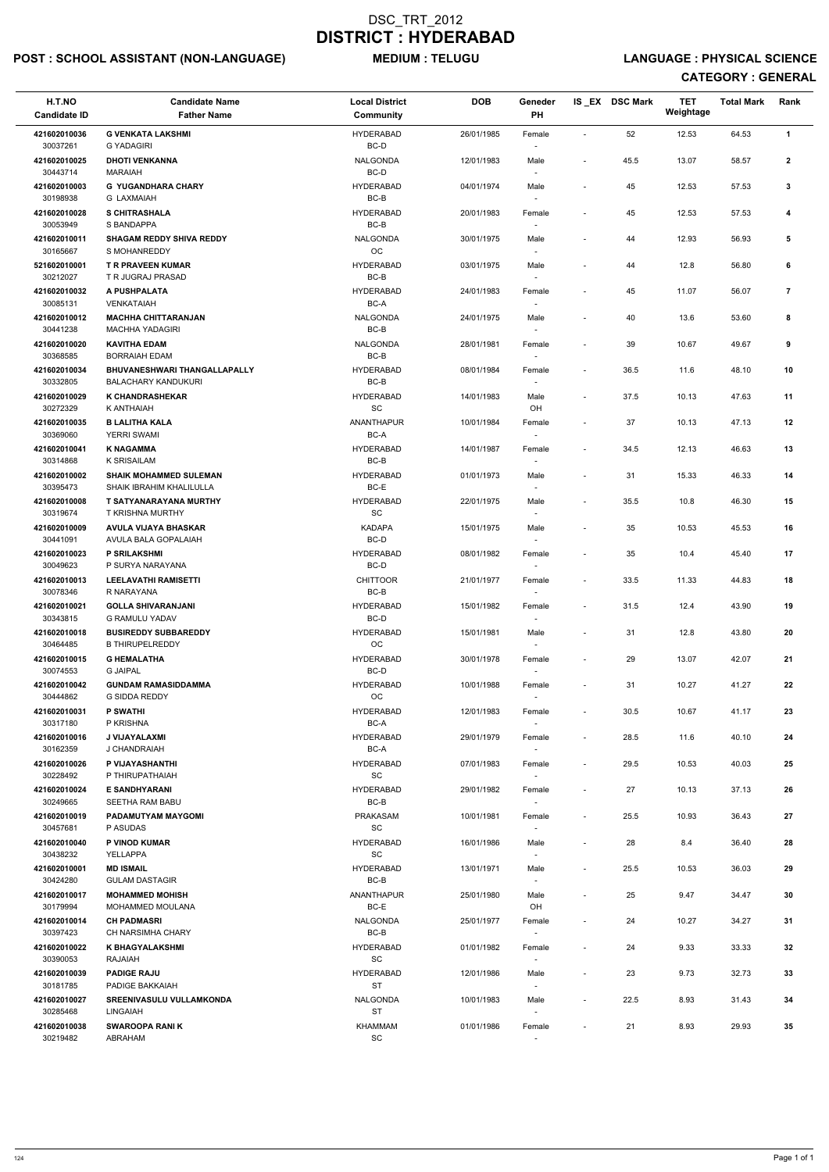## POST : SCHOOL ASSISTANT (NON-LANGUAGE) MEDIUM : TELUGU LANGUAGE : PHYSICAL SCIENCE

| H.T.NO<br><b>Candidate ID</b> | <b>Candidate Name</b><br><b>Father Name</b>                | <b>Local District</b><br>Community               | <b>DOB</b> | Geneder<br>PH                      |                              | IS_EX DSC Mark | <b>TET</b><br>Weightage | <b>Total Mark</b> | Rank           |
|-------------------------------|------------------------------------------------------------|--------------------------------------------------|------------|------------------------------------|------------------------------|----------------|-------------------------|-------------------|----------------|
| 421602010036<br>30037261      | <b>G VENKATA LAKSHMI</b><br><b>G YADAGIRI</b>              | <b>HYDERABAD</b><br>BC-D                         | 26/01/1985 | Female                             | $\sim$                       | 52             | 12.53                   | 64.53             | $\mathbf{1}$   |
| 421602010025<br>30443714      | <b>DHOTI VENKANNA</b><br><b>MARAIAH</b>                    | <b>NALGONDA</b><br>BC-D                          | 12/01/1983 | Male                               | $\overline{\phantom{a}}$     | 45.5           | 13.07                   | 58.57             | $\mathbf{2}$   |
| 421602010003<br>30198938      | <b>G YUGANDHARA CHARY</b><br><b>G LAXMAIAH</b>             | <b>HYDERABAD</b><br>$BC-B$                       | 04/01/1974 | Male                               | $\blacksquare$               | 45             | 12.53                   | 57.53             | 3              |
| 421602010028<br>30053949      | <b>S CHITRASHALA</b><br>S BANDAPPA                         | <b>HYDERABAD</b><br>BC-B                         | 20/01/1983 | Female                             | $\tilde{\phantom{a}}$        | 45             | 12.53                   | 57.53             | 4              |
| 421602010011<br>30165667      | <b>SHAGAM REDDY SHIVA REDDY</b><br>S MOHANREDDY            | <b>NALGONDA</b><br>OC                            | 30/01/1975 | Male                               | $\qquad \qquad \blacksquare$ | 44             | 12.93                   | 56.93             | 5              |
| 521602010001<br>30212027      | <b>T R PRAVEEN KUMAR</b><br>T R JUGRAJ PRASAD              | <b>HYDERABAD</b><br>$BC-B$                       | 03/01/1975 | Male                               | $\overline{\phantom{a}}$     | 44             | 12.8                    | 56.80             | 6              |
| 421602010032<br>30085131      | A PUSHPALATA<br><b>VENKATAIAH</b>                          | <b>HYDERABAD</b><br>BC-A                         | 24/01/1983 | Female                             | $\blacksquare$               | 45             | 11.07                   | 56.07             | $\overline{7}$ |
| 421602010012<br>30441238      | <b>MACHHA CHITTARANJAN</b><br><b>MACHHA YADAGIRI</b>       | <b>NALGONDA</b><br>$BC-B$                        | 24/01/1975 | Male                               | $\qquad \qquad \blacksquare$ | 40             | 13.6                    | 53.60             | 8              |
| 421602010020<br>30368585      | <b>KAVITHA EDAM</b><br><b>BORRAIAH EDAM</b>                | <b>NALGONDA</b><br>BC-B                          | 28/01/1981 | Female                             | $\overline{\phantom{a}}$     | 39             | 10.67                   | 49.67             | 9              |
| 421602010034<br>30332805      | BHUVANESHWARI THANGALLAPALLY<br><b>BALACHARY KANDUKURI</b> | <b>HYDERABAD</b><br>BC-B                         | 08/01/1984 | Female                             | $\overline{\phantom{a}}$     | 36.5           | 11.6                    | 48.10             | 10             |
| 421602010029<br>30272329      | <b>K CHANDRASHEKAR</b><br>K ANTHAIAH                       | <b>HYDERABAD</b><br>$\operatorname{\textsf{SC}}$ | 14/01/1983 | Male<br>OH                         | $\overline{\phantom{a}}$     | 37.5           | 10.13                   | 47.63             | 11             |
| 421602010035<br>30369060      | <b>B LALITHA KALA</b><br>YERRI SWAMI                       | <b>ANANTHAPUR</b><br>BC-A                        | 10/01/1984 | Female<br>$\overline{\phantom{a}}$ | $\overline{\phantom{a}}$     | 37             | 10.13                   | 47.13             | 12             |
| 421602010041<br>30314868      | <b>K NAGAMMA</b><br>K SRISAILAM                            | <b>HYDERABAD</b><br>BC-B                         | 14/01/1987 | Female<br>$\overline{\phantom{a}}$ | $\blacksquare$               | 34.5           | 12.13                   | 46.63             | 13             |
| 421602010002<br>30395473      | <b>SHAIK MOHAMMED SULEMAN</b><br>SHAIK IBRAHIM KHALILULLA  | <b>HYDERABAD</b><br>BC-E                         | 01/01/1973 | Male<br>$\overline{\phantom{a}}$   | $\overline{\phantom{a}}$     | 31             | 15.33                   | 46.33             | 14             |
| 421602010008<br>30319674      | T SATYANARAYANA MURTHY<br><b>T KRISHNA MURTHY</b>          | <b>HYDERABAD</b><br>$\operatorname{\textsf{SC}}$ | 22/01/1975 | Male                               | $\blacksquare$               | 35.5           | 10.8                    | 46.30             | 15             |
| 421602010009<br>30441091      | AVULA VIJAYA BHASKAR<br>AVULA BALA GOPALAIAH               | <b>KADAPA</b><br>BC-D                            | 15/01/1975 | Male<br>$\overline{\phantom{a}}$   | $\overline{\phantom{a}}$     | 35             | 10.53                   | 45.53             | 16             |
| 421602010023<br>30049623      | <b>P SRILAKSHMI</b><br>P SURYA NARAYANA                    | <b>HYDERABAD</b><br>BC-D                         | 08/01/1982 | Female<br>$\overline{\phantom{a}}$ | $\qquad \qquad \blacksquare$ | 35             | 10.4                    | 45.40             | 17             |
| 421602010013<br>30078346      | <b>LEELAVATHI RAMISETTI</b><br>R NARAYANA                  | <b>CHITTOOR</b><br>BC-B                          | 21/01/1977 | Female                             | $\overline{\phantom{a}}$     | 33.5           | 11.33                   | 44.83             | 18             |
| 421602010021<br>30343815      | <b>GOLLA SHIVARANJANI</b><br><b>G RAMULU YADAV</b>         | <b>HYDERABAD</b><br>BC-D                         | 15/01/1982 | Female                             | $\overline{\phantom{a}}$     | 31.5           | 12.4                    | 43.90             | 19             |
| 421602010018<br>30464485      | <b>BUSIREDDY SUBBAREDDY</b><br><b>B THIRUPELREDDY</b>      | <b>HYDERABAD</b><br>OC                           | 15/01/1981 | Male                               | $\overline{\phantom{a}}$     | 31             | 12.8                    | 43.80             | 20             |
| 421602010015<br>30074553      | <b>G HEMALATHA</b><br><b>G JAIPAL</b>                      | <b>HYDERABAD</b><br>BC-D                         | 30/01/1978 | Female                             | $\overline{\phantom{a}}$     | 29             | 13.07                   | 42.07             | 21             |
| 421602010042<br>30444862      | <b>GUNDAM RAMASIDDAMMA</b><br>G SIDDA REDDY                | <b>HYDERABAD</b><br><b>OC</b>                    | 10/01/1988 | Female                             | $\overline{\phantom{a}}$     | 31             | 10.27                   | 41.27             | 22             |
| 421602010031<br>30317180      | <b>P SWATHI</b><br>P KRISHNA                               | <b>HYDERABAD</b><br>BC-A                         | 12/01/1983 | Female                             | $\overline{\phantom{a}}$     | 30.5           | 10.67                   | 41.17             | 23             |
| 421602010016<br>30162359      | J VIJAYALAXMI<br>J CHANDRAIAH                              | <b>HYDERABAD</b><br>BC-A                         | 29/01/1979 | Female<br>$\sim$                   | $\overline{\phantom{a}}$     | 28.5           | 11.6                    | 40.10             | 24             |
| 421602010026<br>30228492      | P VIJAYASHANTHI<br>P THIRUPATHAIAH                         | <b>HYDERABAD</b><br><b>SC</b>                    | 07/01/1983 | Female<br>$\sim$                   | $\overline{\phantom{a}}$     | 29.5           | 10.53                   | 40.03             | 25             |
| 421602010024<br>30249665      | <b>E SANDHYARANI</b><br>SEETHA RAM BABU                    | <b>HYDERABAD</b><br>BC-B                         | 29/01/1982 | Female<br>$\sim$                   | $\overline{\phantom{a}}$     | 27             | 10.13                   | 37.13             | 26             |
| 421602010019<br>30457681      | PADAMUTYAM MAYGOMI<br>P ASUDAS                             | <b>PRAKASAM</b><br><b>SC</b>                     | 10/01/1981 | Female                             | $\overline{\phantom{a}}$     | 25.5           | 10.93                   | 36.43             | 27             |
| 421602010040<br>30438232      | P VINOD KUMAR<br>YELLAPPA                                  | <b>HYDERABAD</b><br><b>SC</b>                    | 16/01/1986 | Male<br>$\overline{\phantom{a}}$   | $\overline{\phantom{a}}$     | 28             | 8.4                     | 36.40             | 28             |
| 421602010001<br>30424280      | <b>MD ISMAIL</b><br><b>GULAM DASTAGIR</b>                  | <b>HYDERABAD</b><br>BC-B                         | 13/01/1971 | Male                               | $\overline{\phantom{a}}$     | 25.5           | 10.53                   | 36.03             | 29             |
| 421602010017<br>30179994      | <b>MOHAMMED MOHISH</b><br>MOHAMMED MOULANA                 | <b>ANANTHAPUR</b><br>BC-E                        | 25/01/1980 | Male<br>OH                         | $\overline{\phantom{m}}$     | 25             | 9.47                    | 34.47             | 30             |
| 421602010014<br>30397423      | <b>CH PADMASRI</b><br><b>CH NARSIMHA CHARY</b>             | <b>NALGONDA</b><br>BC-B                          | 25/01/1977 | Female                             | $\overline{\phantom{a}}$     | 24             | 10.27                   | 34.27             | 31             |
| 421602010022<br>30390053      | <b>K BHAGYALAKSHMI</b><br><b>RAJAIAH</b>                   | <b>HYDERABAD</b><br><b>SC</b>                    | 01/01/1982 | Female                             | $\overline{\phantom{a}}$     | 24             | 9.33                    | 33.33             | 32             |
| 421602010039<br>30181785      | <b>PADIGE RAJU</b><br>PADIGE BAKKAIAH                      | <b>HYDERABAD</b><br><b>ST</b>                    | 12/01/1986 | Male<br>$\overline{\phantom{a}}$   | $\overline{\phantom{a}}$     | 23             | 9.73                    | 32.73             | 33             |
| 421602010027<br>30285468      | SREENIVASULU VULLAMKONDA<br>LINGAIAH                       | NALGONDA<br><b>ST</b>                            | 10/01/1983 | Male                               | $\overline{\phantom{a}}$     | 22.5           | 8.93                    | 31.43             | 34             |
| 421602010038<br>30219482      | <b>SWAROOPA RANIK</b><br>ABRAHAM                           | <b>KHAMMAM</b><br>$\operatorname{\textsf{SC}}$   | 01/01/1986 | Female                             | $\overline{\phantom{a}}$     | 21             | 8.93                    | 29.93             | 35             |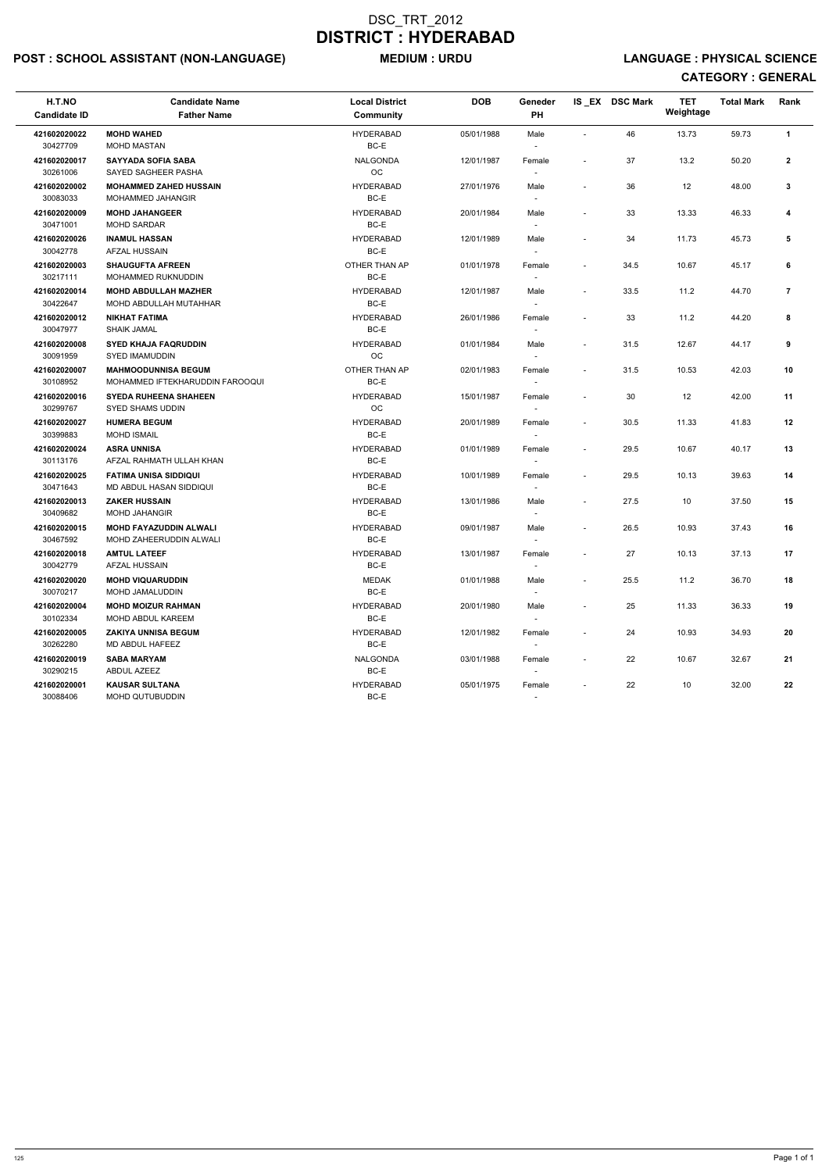## POST : SCHOOL ASSISTANT (NON-LANGUAGE) MEDIUM : URDU LANGUAGE : PHYSICAL SCIENCE

| H.T.NO<br><b>Candidate ID</b> | <b>Candidate Name</b><br><b>Father Name</b>                    | <b>Local District</b><br>Community | <b>DOB</b> | Geneder<br><b>PH</b>             |                          | IS_EX DSC Mark | <b>TET</b><br>Weightage | <b>Total Mark</b> | Rank           |
|-------------------------------|----------------------------------------------------------------|------------------------------------|------------|----------------------------------|--------------------------|----------------|-------------------------|-------------------|----------------|
| 421602020022<br>30427709      | <b>MOHD WAHED</b><br><b>MOHD MASTAN</b>                        | <b>HYDERABAD</b><br>BC-E           | 05/01/1988 | Male                             | $\blacksquare$           | 46             | 13.73                   | 59.73             | $\mathbf{1}$   |
| 421602020017<br>30261006      | SAYYADA SOFIA SABA<br>SAYED SAGHEER PASHA                      | <b>NALGONDA</b><br>OC              | 12/01/1987 | Female                           | $\blacksquare$           | 37             | 13.2                    | 50.20             | $\mathbf{2}$   |
| 421602020002<br>30083033      | <b>MOHAMMED ZAHED HUSSAIN</b><br>MOHAMMED JAHANGIR             | <b>HYDERABAD</b><br>BC-E           | 27/01/1976 | Male                             |                          | 36             | 12                      | 48.00             | 3              |
| 421602020009<br>30471001      | <b>MOHD JAHANGEER</b><br><b>MOHD SARDAR</b>                    | <b>HYDERABAD</b><br>BC-E           | 20/01/1984 | Male                             | $\overline{\phantom{a}}$ | 33             | 13.33                   | 46.33             | 4              |
| 421602020026<br>30042778      | <b>INAMUL HASSAN</b><br>AFZAL HUSSAIN                          | <b>HYDERABAD</b><br>BC-E           | 12/01/1989 | Male                             | $\overline{\phantom{a}}$ | 34             | 11.73                   | 45.73             | 5              |
| 421602020003<br>30217111      | <b>SHAUGUFTA AFREEN</b><br>MOHAMMED RUKNUDDIN                  | OTHER THAN AP<br>BC-E              | 01/01/1978 | Female                           | $\sim$                   | 34.5           | 10.67                   | 45.17             | 6              |
| 421602020014<br>30422647      | <b>MOHD ABDULLAH MAZHER</b><br>MOHD ABDULLAH MUTAHHAR          | <b>HYDERABAD</b><br>BC-E           | 12/01/1987 | Male                             | $\tilde{\phantom{a}}$    | 33.5           | 11.2                    | 44.70             | $\overline{7}$ |
| 421602020012<br>30047977      | <b>NIKHAT FATIMA</b><br><b>SHAIK JAMAL</b>                     | <b>HYDERABAD</b><br>BC-E           | 26/01/1986 | Female                           | $\overline{\phantom{a}}$ | 33             | 11.2                    | 44.20             | 8              |
| 421602020008<br>30091959      | <b>SYED KHAJA FAQRUDDIN</b><br><b>SYED IMAMUDDIN</b>           | <b>HYDERABAD</b><br><b>OC</b>      | 01/01/1984 | Male                             | $\sim$                   | 31.5           | 12.67                   | 44.17             | 9              |
| 421602020007<br>30108952      | <b>MAHMOODUNNISA BEGUM</b><br>MOHAMMED IFTEKHARUDDIN FAROOQUI  | OTHER THAN AP<br>BC-E              | 02/01/1983 | Female                           | $\overline{\phantom{a}}$ | 31.5           | 10.53                   | 42.03             | 10             |
| 421602020016<br>30299767      | <b>SYEDA RUHEENA SHAHEEN</b><br><b>SYED SHAMS UDDIN</b>        | <b>HYDERABAD</b><br><b>OC</b>      | 15/01/1987 | Female                           | $\sim$                   | 30             | 12                      | 42.00             | 11             |
| 421602020027<br>30399883      | <b>HUMERA BEGUM</b><br><b>MOHD ISMAIL</b>                      | <b>HYDERABAD</b><br>BC-E           | 20/01/1989 | Female                           | $\sim$                   | 30.5           | 11.33                   | 41.83             | 12             |
| 421602020024<br>30113176      | <b>ASRA UNNISA</b><br>AFZAL RAHMATH ULLAH KHAN                 | <b>HYDERABAD</b><br>BC-E           | 01/01/1989 | Female                           | $\overline{\phantom{a}}$ | 29.5           | 10.67                   | 40.17             | 13             |
| 421602020025<br>30471643      | <b>FATIMA UNISA SIDDIQUI</b><br><b>MD ABDUL HASAN SIDDIQUI</b> | <b>HYDERABAD</b><br>BC-E           | 10/01/1989 | Female                           | $\blacksquare$           | 29.5           | 10.13                   | 39.63             | 14             |
| 421602020013<br>30409682      | <b>ZAKER HUSSAIN</b><br><b>MOHD JAHANGIR</b>                   | <b>HYDERABAD</b><br>BC-E           | 13/01/1986 | Male                             | $\sim$                   | 27.5           | 10                      | 37.50             | 15             |
| 421602020015<br>30467592      | MOHD FAYAZUDDIN ALWALI<br>MOHD ZAHEERUDDIN ALWALI              | <b>HYDERABAD</b><br>BC-E           | 09/01/1987 | Male<br>$\overline{\phantom{a}}$ |                          | 26.5           | 10.93                   | 37.43             | 16             |
| 421602020018<br>30042779      | <b>AMTUL LATEEF</b><br>AFZAL HUSSAIN                           | <b>HYDERABAD</b><br>BC-E           | 13/01/1987 | Female<br>$\sim$                 | $\overline{\phantom{a}}$ | 27             | 10.13                   | 37.13             | 17             |
| 421602020020<br>30070217      | <b>MOHD VIQUARUDDIN</b><br>MOHD JAMALUDDIN                     | <b>MEDAK</b><br>BC-E               | 01/01/1988 | Male<br>$\overline{\phantom{a}}$ | $\overline{\phantom{a}}$ | 25.5           | 11.2                    | 36.70             | 18             |
| 421602020004<br>30102334      | <b>MOHD MOIZUR RAHMAN</b><br>MOHD ABDUL KAREEM                 | <b>HYDERABAD</b><br>BC-E           | 20/01/1980 | Male                             | $\overline{\phantom{a}}$ | 25             | 11.33                   | 36.33             | 19             |
| 421602020005<br>30262280      | <b>ZAKIYA UNNISA BEGUM</b><br>MD ABDUL HAFEEZ                  | <b>HYDERABAD</b><br>BC-E           | 12/01/1982 | Female<br>$\sim$                 | $\overline{\phantom{a}}$ | 24             | 10.93                   | 34.93             | 20             |
| 421602020019<br>30290215      | <b>SABA MARYAM</b><br>ABDUL AZEEZ                              | <b>NALGONDA</b><br>BC-E            | 03/01/1988 | Female                           |                          | 22             | 10.67                   | 32.67             | 21             |
| 421602020001<br>30088406      | <b>KAUSAR SULTANA</b><br><b>MOHD QUTUBUDDIN</b>                | <b>HYDERABAD</b><br>BC-E           | 05/01/1975 | Female<br>$\sim$                 |                          | 22             | 10                      | 32.00             | 22             |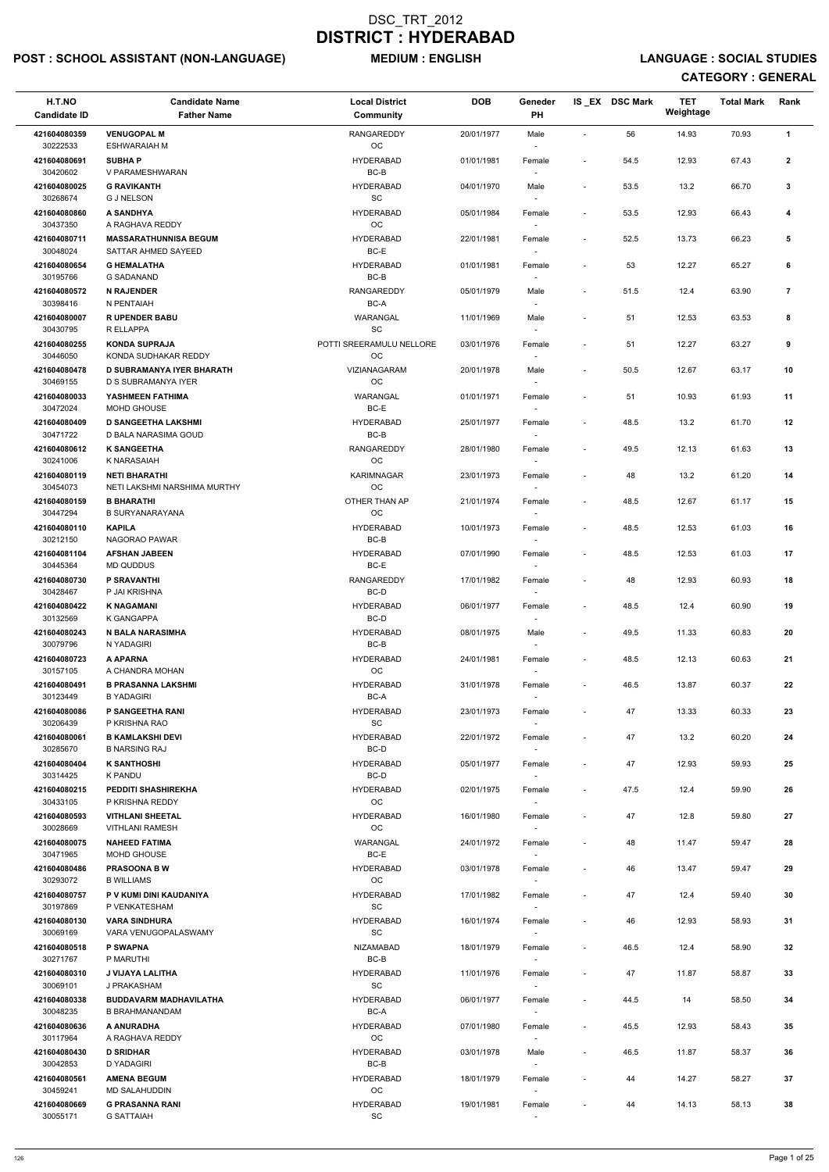## POST : SCHOOL ASSISTANT (NON-LANGUAGE) MEDIUM : ENGLISH LANGUAGE : SOCIAL STUDIES

| H.T.NO<br><b>Candidate ID</b> | <b>Candidate Name</b><br><b>Father Name</b>              | <b>Local District</b><br>Community               | <b>DOB</b> | Geneder<br>PH                      |                          | IS EX DSC Mark | <b>TET</b><br>Weightage | <b>Total Mark</b> | Rank           |
|-------------------------------|----------------------------------------------------------|--------------------------------------------------|------------|------------------------------------|--------------------------|----------------|-------------------------|-------------------|----------------|
| 421604080359<br>30222533      | <b>VENUGOPAL M</b><br><b>ESHWARAIAH M</b>                | <b>RANGAREDDY</b><br>$_{\rm OC}$                 | 20/01/1977 | Male                               | $\overline{a}$           | 56             | 14.93                   | 70.93             | $\mathbf{1}$   |
| 421604080691<br>30420602      | <b>SUBHAP</b><br>V PARAMESHWARAN                         | <b>HYDERABAD</b><br>$BC-B$                       | 01/01/1981 | Female                             | $\blacksquare$           | 54.5           | 12.93                   | 67.43             | $\mathbf{2}$   |
| 421604080025<br>30268674      | <b>G RAVIKANTH</b><br><b>G J NELSON</b>                  | <b>HYDERABAD</b><br>SC                           | 04/01/1970 | Male                               | $\overline{\phantom{a}}$ | 53.5           | 13.2                    | 66.70             | 3              |
| 421604080860                  | <b>A SANDHYA</b>                                         | <b>HYDERABAD</b>                                 | 05/01/1984 | $\overline{\phantom{a}}$<br>Female | $\blacksquare$           | 53.5           | 12.93                   | 66.43             | 4              |
| 30437350<br>421604080711      | A RAGHAVA REDDY<br><b>MASSARATHUNNISA BEGUM</b>          | OC<br><b>HYDERABAD</b>                           | 22/01/1981 | $\overline{\phantom{a}}$<br>Female | $\overline{\phantom{a}}$ | 52.5           | 13.73                   | 66.23             | 5              |
| 30048024                      | SATTAR AHMED SAYEED                                      | BC-E                                             |            |                                    |                          |                |                         |                   |                |
| 421604080654                  | <b>G HEMALATHA</b>                                       | <b>HYDERABAD</b>                                 | 01/01/1981 | Female                             | $\overline{\phantom{a}}$ | 53             | 12.27                   | 65.27             | 6              |
| 30195766                      | <b>G SADANAND</b>                                        | $BC-B$                                           |            |                                    |                          |                |                         |                   |                |
| 421604080572<br>30398416      | <b>N RAJENDER</b><br>N PENTAIAH                          | <b>RANGAREDDY</b><br>$BC-A$                      | 05/01/1979 | Male                               | $\overline{\phantom{a}}$ | 51.5           | 12.4                    | 63.90             | $\overline{7}$ |
| 421604080007<br>30430795      | <b>RUPENDER BABU</b><br>R ELLAPPA                        | WARANGAL<br>SC                                   | 11/01/1969 | Male                               | $\blacksquare$           | 51             | 12.53                   | 63.53             | 8              |
| 421604080255                  | <b>KONDA SUPRAJA</b>                                     | POTTI SREERAMULU NELLORE                         | 03/01/1976 | Female                             | $\blacksquare$           | 51             | 12.27                   | 63.27             | 9              |
| 30446050<br>421604080478      | KONDA SUDHAKAR REDDY<br><b>D SUBRAMANYA IYER BHARATH</b> | OC<br>VIZIANAGARAM                               | 20/01/1978 | Male                               |                          | 50.5           | 12.67                   | 63.17             | 10             |
| 30469155<br>421604080033      | D S SUBRAMANYA IYER<br>YASHMEEN FATHIMA                  | OC<br>WARANGAL                                   | 01/01/1971 | Female                             | $\blacksquare$           | 51             | 10.93                   | 61.93             | 11             |
| 30472024                      | MOHD GHOUSE                                              | BC-E                                             |            |                                    |                          |                |                         |                   |                |
| 421604080409<br>30471722      | <b>D SANGEETHA LAKSHMI</b><br>D BALA NARASIMA GOUD       | <b>HYDERABAD</b><br>BC-B                         | 25/01/1977 | Female<br>$\overline{\phantom{a}}$ | $\blacksquare$           | 48.5           | 13.2                    | 61.70             | 12             |
| 421604080612<br>30241006      | <b>K SANGEETHA</b><br>K NARASAIAH                        | <b>RANGAREDDY</b><br><b>OC</b>                   | 28/01/1980 | Female                             | $\blacksquare$           | 49.5           | 12.13                   | 61.63             | 13             |
| 421604080119                  | <b>NETI BHARATHI</b>                                     | <b>KARIMNAGAR</b>                                | 23/01/1973 | Female                             | $\blacksquare$           | 48             | 13.2                    | 61.20             | 14             |
| 30454073<br>421604080159      | NETI LAKSHMI NARSHIMA MURTHY<br><b>B BHARATHI</b>        | OC<br>OTHER THAN AP                              | 21/01/1974 | Female                             | $\overline{\phantom{a}}$ | 48.5           | 12.67                   | 61.17             | 15             |
| 30447294                      | <b>B SURYANARAYANA</b>                                   | OC                                               |            |                                    |                          |                |                         |                   |                |
| 421604080110<br>30212150      | <b>KAPILA</b><br>NAGORAO PAWAR                           | <b>HYDERABAD</b><br>BC-B                         | 10/01/1973 | Female<br>$\overline{\phantom{a}}$ | $\sim$                   | 48.5           | 12.53                   | 61.03             | 16             |
| 421604081104<br>30445364      | <b>AFSHAN JABEEN</b><br>MD QUDDUS                        | <b>HYDERABAD</b><br>BC-E                         | 07/01/1990 | Female                             |                          | 48.5           | 12.53                   | 61.03             | 17             |
| 421604080730                  | <b>P SRAVANTHI</b>                                       | <b>RANGAREDDY</b>                                | 17/01/1982 | Female                             | $\overline{\phantom{a}}$ | 48             | 12.93                   | 60.93             | 18             |
| 30428467<br>421604080422      | P JAI KRISHNA<br><b>K NAGAMANI</b>                       | BC-D<br><b>HYDERABAD</b>                         | 06/01/1977 | Female                             | $\overline{\phantom{a}}$ | 48.5           | 12.4                    | 60.90             | 19             |
| 30132569                      | K GANGAPPA                                               | BC-D                                             |            |                                    |                          |                |                         |                   |                |
| 421604080243<br>30079796      | N BALA NARASIMHA<br>N YADAGIRI                           | <b>HYDERABAD</b><br>BC-B                         | 08/01/1975 | Male<br>$\sim$                     | $\blacksquare$           | 49.5           | 11.33                   | 60.83             | 20             |
| 421604080723<br>30157105      | A APARNA<br>A CHANDRA MOHAN                              | <b>HYDERABAD</b><br>OC                           | 24/01/1981 | Female                             | $\blacksquare$           | 48.5           | 12.13                   | 60.63             | 21             |
| 421604080491<br>30123449      | <b>B PRASANNA LAKSHMI</b><br><b>B YADAGIRI</b>           | HYDERABAD<br>BC-A                                | 31/01/1978 | Female                             | $\overline{\phantom{a}}$ | 46.5           | 13.87                   | 60.37             | 22             |
| 421604080086                  | P SANGEETHA RANI                                         | <b>HYDERABAD</b>                                 | 23/01/1973 | Female                             | $\overline{\phantom{a}}$ | 47             | 13.33                   | 60.33             | 23             |
| 30206439                      | P KRISHNA RAO                                            | <b>SC</b>                                        |            |                                    |                          |                |                         |                   |                |
| 421604080061<br>30285670      | <b>B KAMLAKSHI DEVI</b><br><b>B NARSING RAJ</b>          | <b>HYDERABAD</b><br>BC-D                         | 22/01/1972 | Female                             | $\blacksquare$           | 47             | 13.2                    | 60.20             | 24             |
| 421604080404                  | <b>K SANTHOSHI</b>                                       | <b>HYDERABAD</b>                                 | 05/01/1977 | Female                             | $\overline{\phantom{a}}$ | 47             | 12.93                   | 59.93             | 25             |
| 30314425<br>421604080215      | K PANDU<br><b>PEDDITI SHASHIREKHA</b>                    | BC-D<br>HYDERABAD                                | 02/01/1975 | $\overline{\phantom{a}}$<br>Female | $\blacksquare$           | 47.5           | 12.4                    | 59.90             | 26             |
| 30433105                      | P KRISHNA REDDY                                          | <b>OC</b>                                        |            |                                    |                          |                |                         |                   |                |
| 421604080593<br>30028669      | <b>VITHLANI SHEETAL</b><br><b>VITHLANI RAMESH</b>        | HYDERABAD<br>OC                                  | 16/01/1980 | Female                             | $\blacksquare$           | 47             | 12.8                    | 59.80             | 27             |
| 421604080075<br>30471965      | <b>NAHEED FATIMA</b><br><b>MOHD GHOUSE</b>               | WARANGAL<br>BC-E                                 | 24/01/1972 | Female<br>$\sim$                   | $\blacksquare$           | 48             | 11.47                   | 59.47             | 28             |
| 421604080486                  | <b>PRASOONA B W</b>                                      | <b>HYDERABAD</b>                                 | 03/01/1978 | Female                             | $\blacksquare$           | 46             | 13.47                   | 59.47             | 29             |
| 30293072<br>421604080757      | <b>B WILLIAMS</b><br>P V KUMI DINI KAUDANIYA             | <b>OC</b><br><b>HYDERABAD</b>                    | 17/01/1982 | $\overline{\phantom{a}}$           | $\overline{\phantom{a}}$ | 47             | 12.4                    | 59.40             | 30             |
| 30197869                      | P VENKATESHAM                                            | SC                                               |            | Female                             |                          |                |                         |                   |                |
| 421604080130<br>30069169      | <b>VARA SINDHURA</b><br>VARA VENUGOPALASWAMY             | <b>HYDERABAD</b><br><b>SC</b>                    | 16/01/1974 | Female                             | $\overline{\phantom{a}}$ | 46             | 12.93                   | 58.93             | 31             |
| 421604080518                  | <b>P SWAPNA</b>                                          | NIZAMABAD                                        | 18/01/1979 | Female                             | $\overline{\phantom{a}}$ | 46.5           | 12.4                    | 58.90             | 32             |
| 30271767                      | P MARUTHI                                                | BC-B                                             |            | $\overline{\phantom{a}}$           |                          |                |                         |                   |                |
| 421604080310<br>30069101      | J VIJAYA LALITHA<br>J PRAKASHAM                          | <b>HYDERABAD</b><br>$\operatorname{\textsf{SC}}$ | 11/01/1976 | Female<br>$\overline{\phantom{a}}$ |                          | 47             | 11.87                   | 58.87             | 33             |
| 421604080338<br>30048235      | <b>BUDDAVARM MADHAVILATHA</b><br><b>B BRAHMANANDAM</b>   | <b>HYDERABAD</b><br>BC-A                         | 06/01/1977 | Female                             | $\overline{\phantom{0}}$ | 44.5           | 14                      | 58.50             | 34             |
| 421604080636                  | A ANURADHA                                               | <b>HYDERABAD</b>                                 | 07/01/1980 | Female                             |                          | 45.5           | 12.93                   | 58.43             | 35             |
| 30117964<br>421604080430      | A RAGHAVA REDDY<br><b>D SRIDHAR</b>                      | ОC<br>HYDERABAD                                  | 03/01/1978 | Male                               | $\overline{\phantom{a}}$ | 46.5           | 11.87                   | 58.37             | 36             |
| 30042853                      | D YADAGIRI                                               | $BC-B$                                           |            | $\overline{\phantom{a}}$           |                          |                |                         |                   |                |
| 421604080561<br>30459241      | <b>AMENA BEGUM</b><br>MD SALAHUDDIN                      | HYDERABAD<br>OC                                  | 18/01/1979 | Female                             |                          | 44             | 14.27                   | 58.27             | 37             |
| 421604080669<br>30055171      | <b>G PRASANNA RANI</b><br><b>G SATTAIAH</b>              | <b>HYDERABAD</b><br>$\operatorname{\textsf{SC}}$ | 19/01/1981 | Female<br>$\sim$                   |                          | 44             | 14.13                   | 58.13             | 38             |
|                               |                                                          |                                                  |            |                                    |                          |                |                         |                   |                |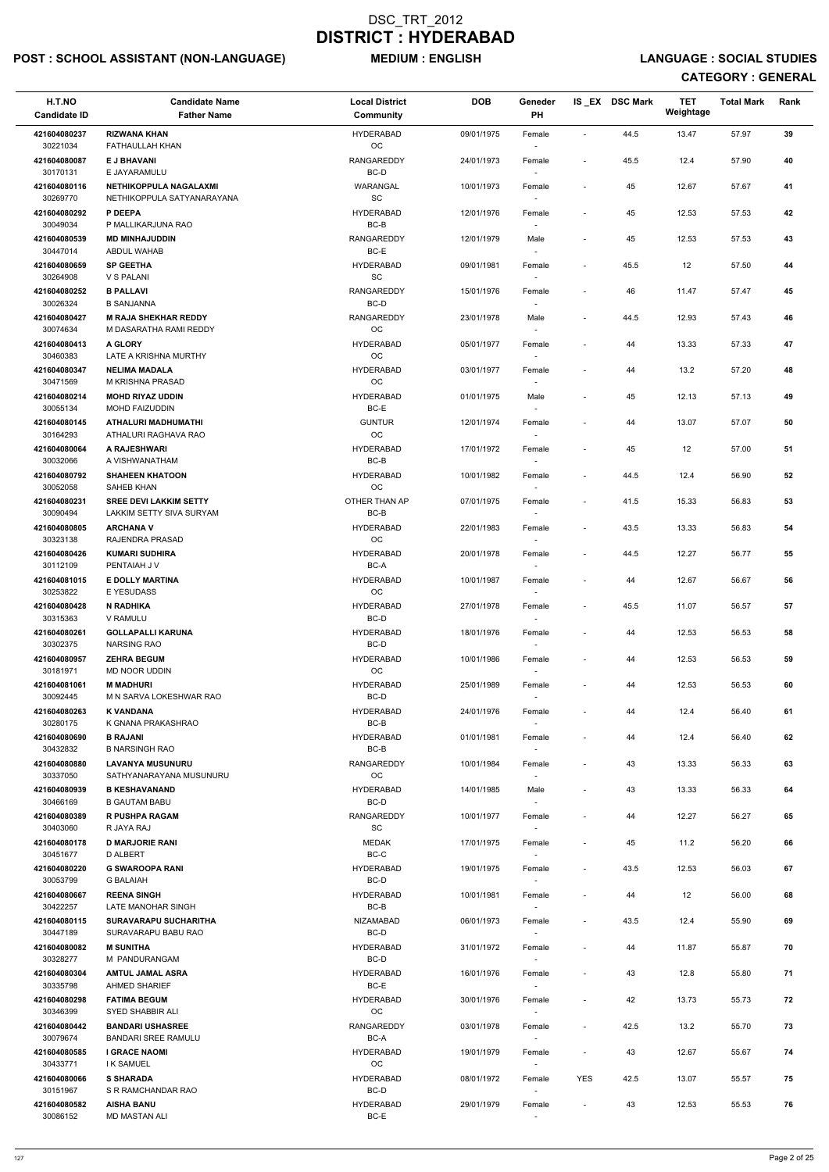## POST : SCHOOL ASSISTANT (NON-LANGUAGE) MEDIUM : ENGLISH LANGUAGE : SOCIAL STUDIES

| H.T.NO<br><b>Candidate ID</b> | <b>Candidate Name</b><br><b>Father Name</b>           | <b>Local District</b><br>Community | <b>DOB</b> | Geneder<br>PH                      |                              | IS_EX DSC Mark | <b>TET</b><br>Weightage | <b>Total Mark</b> | Rank |
|-------------------------------|-------------------------------------------------------|------------------------------------|------------|------------------------------------|------------------------------|----------------|-------------------------|-------------------|------|
| 421604080237<br>30221034      | <b>RIZWANA KHAN</b><br>FATHAULLAH KHAN                | <b>HYDERABAD</b><br>OC             | 09/01/1975 | Female                             | $\blacksquare$               | 44.5           | 13.47                   | 57.97             | 39   |
| 421604080087<br>30170131      | <b>E J BHAVANI</b><br>E JAYARAMULU                    | <b>RANGAREDDY</b><br>BC-D          | 24/01/1973 | Female                             | $\overline{\phantom{a}}$     | 45.5           | 12.4                    | 57.90             | 40   |
| 421604080116                  | <b>NETHIKOPPULA NAGALAXMI</b>                         | WARANGAL                           | 10/01/1973 | Female                             | $\blacksquare$               | 45             | 12.67                   | 57.67             | 41   |
| 30269770<br>421604080292      | NETHIKOPPULA SATYANARAYANA<br>P DEEPA                 | SC<br><b>HYDERABAD</b>             | 12/01/1976 | Female                             | $\overline{\phantom{a}}$     | 45             | 12.53                   | 57.53             | 42   |
| 30049034                      | P MALLIKARJUNA RAO                                    | BC-B                               |            |                                    |                              |                |                         |                   |      |
| 421604080539<br>30447014      | <b>MD MINHAJUDDIN</b><br>ABDUL WAHAB                  | <b>RANGAREDDY</b><br>BC-E          | 12/01/1979 | Male                               | $\blacksquare$               | 45             | 12.53                   | 57.53             | 43   |
| 421604080659<br>30264908      | <b>SP GEETHA</b><br>V S PALANI                        | <b>HYDERABAD</b><br>SC             | 09/01/1981 | Female                             | $\overline{\phantom{a}}$     | 45.5           | 12                      | 57.50             | 44   |
| 421604080252<br>30026324      | <b>B PALLAVI</b><br><b>B SANJANNA</b>                 | <b>RANGAREDDY</b><br>BC-D          | 15/01/1976 | Female                             | $\blacksquare$               | 46             | 11.47                   | 57.47             | 45   |
| 421604080427<br>30074634      | <b>M RAJA SHEKHAR REDDY</b><br>M DASARATHA RAMI REDDY | <b>RANGAREDDY</b><br>OC            | 23/01/1978 | Male                               | $\overline{\phantom{a}}$     | 44.5           | 12.93                   | 57.43             | 46   |
| 421604080413                  | <b>A GLORY</b>                                        | <b>HYDERABAD</b>                   | 05/01/1977 | Female                             | $\overline{\phantom{a}}$     | 44             | 13.33                   | 57.33             | 47   |
| 30460383<br>421604080347      | LATE A KRISHNA MURTHY<br><b>NELIMA MADALA</b>         | <b>OC</b><br><b>HYDERABAD</b>      | 03/01/1977 | $\overline{\phantom{a}}$<br>Female |                              | 44             | 13.2                    | 57.20             | 48   |
| 30471569                      | M KRISHNA PRASAD                                      | OC                                 |            |                                    |                              |                |                         |                   |      |
| 421604080214<br>30055134      | <b>MOHD RIYAZ UDDIN</b><br><b>MOHD FAIZUDDIN</b>      | <b>HYDERABAD</b><br>BC-E           | 01/01/1975 | Male                               | $\overline{\phantom{a}}$     | 45             | 12.13                   | 57.13             | 49   |
| 421604080145<br>30164293      | ATHALURI MADHUMATHI<br>ATHALURI RAGHAVA RAO           | <b>GUNTUR</b><br>OC                | 12/01/1974 | Female<br>$\overline{\phantom{a}}$ | $\overline{\phantom{a}}$     | 44             | 13.07                   | 57.07             | 50   |
| 421604080064<br>30032066      | A RAJESHWARI<br>A VISHWANATHAM                        | <b>HYDERABAD</b><br>BC-B           | 17/01/1972 | Female                             | $\overline{\phantom{a}}$     | 45             | 12                      | 57.00             | 51   |
| 421604080792                  | <b>SHAHEEN KHATOON</b><br>SAHEB KHAN                  | <b>HYDERABAD</b><br>OC             | 10/01/1982 | Female                             | $\overline{\phantom{a}}$     | 44.5           | 12.4                    | 56.90             | 52   |
| 30052058<br>421604080231      | <b>SREE DEVI LAKKIM SETTY</b>                         | OTHER THAN AP                      | 07/01/1975 | Female                             | $\overline{\phantom{a}}$     | 41.5           | 15.33                   | 56.83             | 53   |
| 30090494<br>421604080805      | LAKKIM SETTY SIVA SURYAM<br><b>ARCHANA V</b>          | BC-B<br>HYDERABAD                  | 22/01/1983 | Female                             | $\overline{\phantom{a}}$     | 43.5           | 13.33                   | 56.83             | 54   |
| 30323138<br>421604080426      | RAJENDRA PRASAD<br><b>KUMARI SUDHIRA</b>              | OC.<br><b>HYDERABAD</b>            | 20/01/1978 | Female                             | $\overline{\phantom{a}}$     | 44.5           | 12.27                   | 56.77             | 55   |
| 30112109<br>421604081015      | PENTAIAH J V<br><b>E DOLLY MARTINA</b>                | BC-A<br><b>HYDERABAD</b>           | 10/01/1987 | Female                             | $\overline{\phantom{a}}$     | 44             | 12.67                   | 56.67             | 56   |
| 30253822                      | <b>E YESUDASS</b>                                     | ОC                                 |            |                                    |                              |                |                         |                   |      |
| 421604080428<br>30315363      | N RADHIKA<br>V RAMULU                                 | <b>HYDERABAD</b><br>BC-D           | 27/01/1978 | Female                             | $\overline{\phantom{a}}$     | 45.5           | 11.07                   | 56.57             | 57   |
| 421604080261<br>30302375      | <b>GOLLAPALLI KARUNA</b><br><b>NARSING RAO</b>        | <b>HYDERABAD</b><br>BC-D           | 18/01/1976 | Female<br>$\overline{\phantom{a}}$ | $\overline{\phantom{a}}$     | 44             | 12.53                   | 56.53             | 58   |
| 421604080957<br>30181971      | <b>ZEHRA BEGUM</b><br>MD NOOR UDDIN                   | <b>HYDERABAD</b><br><b>OC</b>      | 10/01/1986 | Female<br>$\overline{\phantom{a}}$ | $\overline{\phantom{a}}$     | 44             | 12.53                   | 56.53             | 59   |
| 421604081061                  | <b>M MADHURI</b>                                      | <b>HYDERABAD</b>                   | 25/01/1989 | Female                             | $\overline{\phantom{a}}$     | 44             | 12.53                   | 56.53             | 60   |
| 30092445<br>421604080263      | M N SARVA LOKESHWAR RAO<br><b>K VANDANA</b>           | BC-D<br><b>HYDERABAD</b>           | 24/01/1976 | Female                             | $\overline{\phantom{a}}$     | 44             | 12.4                    | 56.40             | 61   |
| 30280175                      | K GNANA PRAKASHRAO                                    | BC-B                               |            |                                    |                              |                |                         |                   |      |
| 421604080690<br>30432832      | <b>B RAJANI</b><br><b>B NARSINGH RAO</b>              | <b>HYDERABAD</b><br>BC-B           | 01/01/1981 | Female                             | $\qquad \qquad \blacksquare$ | 44             | 12.4                    | 56.40             | 62   |
| 421604080880<br>30337050      | <b>LAVANYA MUSUNURU</b><br>SATHYANARAYANA MUSUNURU    | RANGAREDDY<br><b>OC</b>            | 10/01/1984 | Female<br>$\overline{\phantom{a}}$ | $\overline{\phantom{a}}$     | 43             | 13.33                   | 56.33             | 63   |
| 421604080939<br>30466169      | <b>B KESHAVANAND</b><br><b>B GAUTAM BABU</b>          | <b>HYDERABAD</b><br>BC-D           | 14/01/1985 | Male                               | $\overline{\phantom{a}}$     | 43             | 13.33                   | 56.33             | 64   |
| 421604080389<br>30403060      | <b>R PUSHPA RAGAM</b><br>R JAYA RAJ                   | RANGAREDDY<br><b>SC</b>            | 10/01/1977 | Female                             | $\overline{\phantom{a}}$     | 44             | 12.27                   | 56.27             | 65   |
| 421604080178<br>30451677      | <b>D MARJORIE RANI</b><br>D ALBERT                    | <b>MEDAK</b><br>BC-C               | 17/01/1975 | Female                             | $\overline{\phantom{a}}$     | 45             | 11.2                    | 56.20             | 66   |
| 421604080220                  | <b>G SWAROOPA RANI</b>                                | <b>HYDERABAD</b>                   | 19/01/1975 | $\sim$<br>Female                   | $\overline{\phantom{a}}$     | 43.5           | 12.53                   | 56.03             | 67   |
| 30053799<br>421604080667      | <b>G BALAIAH</b><br><b>REENA SINGH</b>                | BC-D<br><b>HYDERABAD</b>           | 10/01/1981 | Female                             | $\overline{\phantom{a}}$     | 44             | 12                      | 56.00             | 68   |
| 30422257                      | LATE MANOHAR SINGH                                    | BC-B                               |            |                                    |                              |                |                         |                   |      |
| 421604080115<br>30447189      | SURAVARAPU SUCHARITHA<br>SURAVARAPU BABU RAO          | NIZAMABAD<br>BC-D                  | 06/01/1973 | Female                             | $\overline{\phantom{a}}$     | 43.5           | 12.4                    | 55.90             | 69   |
| 421604080082<br>30328277      | <b>M SUNITHA</b><br>M PANDURANGAM                     | <b>HYDERABAD</b><br>BC-D           | 31/01/1972 | Female                             | $\overline{\phantom{a}}$     | 44             | 11.87                   | 55.87             | 70   |
| 421604080304                  | <b>AMTUL JAMAL ASRA</b>                               | HYDERABAD                          | 16/01/1976 | Female                             | $\overline{\phantom{a}}$     | 43             | 12.8                    | 55.80             | 71   |
| 30335798<br>421604080298      | <b>AHMED SHARIEF</b><br><b>FATIMA BEGUM</b>           | BC-E<br>HYDERABAD                  | 30/01/1976 | $\overline{\phantom{a}}$<br>Female | $\overline{\phantom{a}}$     | 42             | 13.73                   | 55.73             | 72   |
| 30346399<br>421604080442      | SYED SHABBIR ALI<br><b>BANDARI USHASREE</b>           | $_{\rm OC}$<br>RANGAREDDY          | 03/01/1978 | Female                             | $\blacksquare$               | 42.5           | 13.2                    | 55.70             | 73   |
| 30079674<br>421604080585      | <b>BANDARI SREE RAMULU</b><br><b>I GRACE NAOMI</b>    | BC-A<br><b>HYDERABAD</b>           | 19/01/1979 | $\sim$<br>Female                   | $\overline{\phantom{a}}$     | 43             | 12.67                   | 55.67             | 74   |
| 30433771                      | <b>IK SAMUEL</b>                                      | OC                                 |            | $\sim$                             |                              |                |                         |                   |      |
| 421604080066<br>30151967      | <b>S SHARADA</b><br>S R RAMCHANDAR RAO                | HYDERABAD<br>BC-D                  | 08/01/1972 | Female<br>$\sim$                   | YES                          | 42.5           | 13.07                   | 55.57             | 75   |
| 421604080582<br>30086152      | <b>AISHA BANU</b><br><b>MD MASTAN ALI</b>             | HYDERABAD<br>BC-E                  | 29/01/1979 | Female                             | $\overline{\phantom{a}}$     | 43             | 12.53                   | 55.53             | 76   |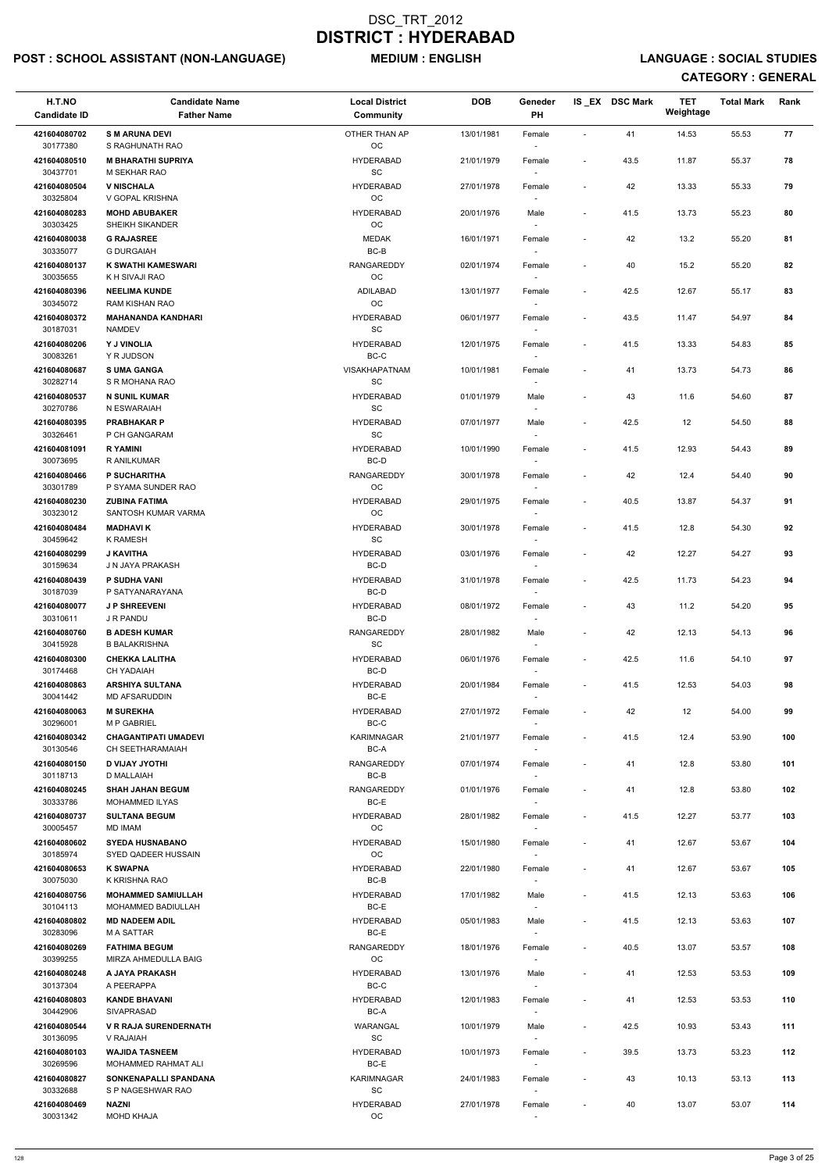## POST : SCHOOL ASSISTANT (NON-LANGUAGE) MEDIUM : ENGLISH LANGUAGE : SOCIAL STUDIES

| H.T.NO<br><b>Candidate ID</b> | <b>Candidate Name</b><br><b>Father Name</b>              | <b>Local District</b><br><b>Community</b>        | <b>DOB</b> | Geneder<br>PH                      |                          | IS EX DSC Mark | <b>TET</b><br>Weightage | <b>Total Mark</b> | Rank |
|-------------------------------|----------------------------------------------------------|--------------------------------------------------|------------|------------------------------------|--------------------------|----------------|-------------------------|-------------------|------|
| 421604080702<br>30177380      | <b>SM ARUNA DEVI</b><br>S RAGHUNATH RAO                  | OTHER THAN AP<br>OC                              | 13/01/1981 | Female                             |                          | 41             | 14.53                   | 55.53             | 77   |
| 421604080510<br>30437701      | <b>M BHARATHI SUPRIYA</b><br>M SEKHAR RAO                | <b>HYDERABAD</b><br>SC                           | 21/01/1979 | Female                             | $\overline{\phantom{a}}$ | 43.5           | 11.87                   | 55.37             | 78   |
| 421604080504<br>30325804      | <b>V NISCHALA</b><br>V GOPAL KRISHNA                     | <b>HYDERABAD</b><br>OC                           | 27/01/1978 | Female                             |                          | 42             | 13.33                   | 55.33             | 79   |
| 421604080283                  | <b>MOHD ABUBAKER</b>                                     | <b>HYDERABAD</b>                                 | 20/01/1976 | Male                               | $\sim$                   | 41.5           | 13.73                   | 55.23             | 80   |
| 30303425<br>421604080038      | SHEIKH SIKANDER<br><b>G RAJASREE</b>                     | <b>OC</b><br><b>MEDAK</b>                        | 16/01/1971 | $\overline{\phantom{a}}$<br>Female |                          | 42             | 13.2                    | 55.20             | 81   |
| 30335077                      | <b>G DURGAIAH</b>                                        | $BC-B$                                           |            | $\overline{\phantom{a}}$           |                          |                |                         |                   |      |
| 421604080137<br>30035655      | <b>K SWATHI KAMESWARI</b><br>K H SIVAJI RAO              | <b>RANGAREDDY</b><br>OC                          | 02/01/1974 | Female                             | $\overline{\phantom{a}}$ | 40             | 15.2                    | 55.20             | 82   |
| 421604080396<br>30345072      | <b>NEELIMA KUNDE</b><br>RAM KISHAN RAO                   | ADILABAD<br>OC                                   | 13/01/1977 | Female                             | $\overline{\phantom{a}}$ | 42.5           | 12.67                   | 55.17             | 83   |
| 421604080372<br>30187031      | <b>MAHANANDA KANDHARI</b><br><b>NAMDEV</b>               | <b>HYDERABAD</b><br>SC                           | 06/01/1977 | Female                             | $\overline{\phantom{a}}$ | 43.5           | 11.47                   | 54.97             | 84   |
| 421604080206<br>30083261      | Y J VINOLIA<br>Y R JUDSON                                | <b>HYDERABAD</b><br>BC-C                         | 12/01/1975 | Female<br>$\overline{\phantom{a}}$ | $\overline{\phantom{a}}$ | 41.5           | 13.33                   | 54.83             | 85   |
| 421604080687<br>30282714      | <b>SUMA GANGA</b><br>S R MOHANA RAO                      | <b>VISAKHAPATNAM</b><br>SC                       | 10/01/1981 | Female                             |                          | 41             | 13.73                   | 54.73             | 86   |
| 421604080537<br>30270786      | <b>N SUNIL KUMAR</b><br>N ESWARAIAH                      | <b>HYDERABAD</b><br>SC                           | 01/01/1979 | Male                               | $\overline{\phantom{a}}$ | 43             | 11.6                    | 54.60             | 87   |
| 421604080395                  | <b>PRABHAKAR P</b>                                       | <b>HYDERABAD</b>                                 | 07/01/1977 | Male                               |                          | 42.5           | 12                      | 54.50             | 88   |
| 30326461<br>421604081091      | P CH GANGARAM<br><b>RYAMINI</b>                          | SC<br><b>HYDERABAD</b>                           | 10/01/1990 | $\sim$                             | $\overline{\phantom{a}}$ | 41.5           | 12.93                   | 54.43             | 89   |
| 30073695                      | R ANILKUMAR                                              | BC-D                                             |            | Female<br>$\overline{\phantom{a}}$ |                          |                |                         |                   |      |
| 421604080466<br>30301789      | <b>P SUCHARITHA</b><br>P SYAMA SUNDER RAO                | <b>RANGAREDDY</b><br>OC                          | 30/01/1978 | Female<br>$\overline{\phantom{a}}$ | $\overline{\phantom{a}}$ | 42             | 12.4                    | 54.40             | 90   |
| 421604080230                  | <b>ZUBINA FATIMA</b>                                     | <b>HYDERABAD</b>                                 | 29/01/1975 | Female                             | $\overline{\phantom{a}}$ | 40.5           | 13.87                   | 54.37             | 91   |
| 30323012                      | SANTOSH KUMAR VARMA                                      | OC                                               |            |                                    |                          |                |                         |                   |      |
| 421604080484<br>30459642      | <b>MADHAVIK</b><br><b>K RAMESH</b>                       | <b>HYDERABAD</b><br>SC                           | 30/01/1978 | Female<br>$\overline{\phantom{a}}$ | $\sim$                   | 41.5           | 12.8                    | 54.30             | 92   |
| 421604080299<br>30159634      | <b>J KAVITHA</b><br>J N JAYA PRAKASH                     | <b>HYDERABAD</b><br>BC-D                         | 03/01/1976 | Female                             |                          | 42             | 12.27                   | 54.27             | 93   |
| 421604080439                  | <b>P SUDHA VANI</b>                                      | <b>HYDERABAD</b>                                 | 31/01/1978 | Female                             | $\overline{\phantom{a}}$ | 42.5           | 11.73                   | 54.23             | 94   |
| 30187039<br>421604080077      | P SATYANARAYANA<br><b>JP SHREEVENI</b>                   | BC-D<br><b>HYDERABAD</b>                         | 08/01/1972 | Female                             |                          | 43             | 11.2                    | 54.20             | 95   |
| 30310611                      | J R PANDU                                                | BC-D                                             |            |                                    |                          |                |                         |                   |      |
| 421604080760<br>30415928      | <b>B ADESH KUMAR</b><br>B BALAKRISHNA                    | <b>RANGAREDDY</b><br><b>SC</b>                   | 28/01/1982 | Male<br>$\sim$                     | $\overline{\phantom{a}}$ | 42             | 12.13                   | 54.13             | 96   |
| 421604080300<br>30174468      | <b>CHEKKA LALITHA</b><br><b>CH YADAIAH</b>               | <b>HYDERABAD</b><br>BC-D                         | 06/01/1976 | Female<br>$\overline{\phantom{a}}$ | $\overline{\phantom{a}}$ | 42.5           | 11.6                    | 54.10             | 97   |
| 421604080863                  | <b>ARSHIYA SULTANA</b>                                   | <b>HYDERABAD</b>                                 | 20/01/1984 | Female                             | $\overline{\phantom{a}}$ | 41.5           | 12.53                   | 54.03             | 98   |
| 30041442<br>421604080063      | MD AFSARUDDIN<br><b>M SUREKHA</b>                        | BC-E<br><b>HYDERABAD</b>                         | 27/01/1972 | Female                             | $\overline{\phantom{a}}$ | 42             | 12                      | 54.00             | 99   |
| 30296001                      | <b>M P GABRIEL</b>                                       | BC-C                                             |            |                                    |                          |                |                         |                   |      |
| 421604080342<br>30130546      | <b>CHAGANTIPATI UMADEVI</b><br><b>CH SEETHARAMAIAH</b>   | <b>KARIMNAGAR</b><br>BC-A                        | 21/01/1977 | Female                             | $\sim$                   | 41.5           | 12.4                    | 53.90             | 100  |
| 421604080150<br>30118713      | <b>D VIJAY JYOTHI</b><br>D MALLAIAH                      | <b>RANGAREDDY</b><br>BC-B                        | 07/01/1974 | Female<br>$\sim$                   | $\overline{\phantom{a}}$ | 41             | 12.8                    | 53.80             | 101  |
| 421604080245<br>30333786      | <b>SHAH JAHAN BEGUM</b><br><b>MOHAMMED ILYAS</b>         | <b>RANGAREDDY</b><br>BC-E                        | 01/01/1976 | Female                             |                          | 41             | 12.8                    | 53.80             | 102  |
| 421604080737                  | <b>SULTANA BEGUM</b>                                     | <b>HYDERABAD</b><br><b>OC</b>                    | 28/01/1982 | Female                             | $\overline{\phantom{a}}$ | 41.5           | 12.27                   | 53.77             | 103  |
| 30005457<br>421604080602      | MD IMAM<br><b>SYEDA HUSNABANO</b><br>SYED QADEER HUSSAIN | <b>HYDERABAD</b><br><b>OC</b>                    | 15/01/1980 | Female                             | $\overline{\phantom{a}}$ | 41             | 12.67                   | 53.67             | 104  |
| 30185974<br>421604080653      | <b>K SWAPNA</b>                                          | <b>HYDERABAD</b>                                 | 22/01/1980 | $\sim$<br>Female                   | $\sim$                   | 41             | 12.67                   | 53.67             | 105  |
| 30075030<br>421604080756      | K KRISHNA RAO<br><b>MOHAMMED SAMIULLAH</b>               | BC-B<br><b>HYDERABAD</b>                         | 17/01/1982 | $\sim$<br>Male                     | $\overline{\phantom{a}}$ | 41.5           | 12.13                   | 53.63             | 106  |
| 30104113                      | <b>MOHAMMED BADIULLAH</b>                                | BC-E                                             |            |                                    |                          |                |                         |                   |      |
| 421604080802<br>30283096      | <b>MD NADEEM ADIL</b><br><b>MA SATTAR</b>                | <b>HYDERABAD</b><br>BC-E                         | 05/01/1983 | Male                               | $\overline{\phantom{a}}$ | 41.5           | 12.13                   | 53.63             | 107  |
| 421604080269                  | <b>FATHIMA BEGUM</b><br>MIRZA AHMEDULLA BAIG             | <b>RANGAREDDY</b>                                | 18/01/1976 | Female                             | $\sim$                   | 40.5           | 13.07                   | 53.57             | 108  |
| 30399255<br>421604080248      | A JAYA PRAKASH                                           | OC<br><b>HYDERABAD</b>                           | 13/01/1976 | Male                               |                          | 41             | 12.53                   | 53.53             | 109  |
| 30137304                      | A PEERAPPA                                               | BC-C                                             |            |                                    |                          |                |                         |                   |      |
| 421604080803<br>30442906      | <b>KANDE BHAVANI</b><br><b>SIVAPRASAD</b>                | <b>HYDERABAD</b><br>BC-A                         | 12/01/1983 | Female                             |                          | 41             | 12.53                   | 53.53             | 110  |
| 421604080544<br>30136095      | <b>V R RAJA SURENDERNATH</b><br>V RAJAIAH                | <b>WARANGAL</b><br>SC                            | 10/01/1979 | Male<br>$\overline{\phantom{a}}$   |                          | 42.5           | 10.93                   | 53.43             | 111  |
| 421604080103<br>30269596      | <b>WAJIDA TASNEEM</b><br>MOHAMMED RAHMAT ALI             | <b>HYDERABAD</b><br>BC-E                         | 10/01/1973 | Female                             | $\overline{\phantom{a}}$ | 39.5           | 13.73                   | 53.23             | 112  |
| 421604080827                  | SONKENAPALLI SPANDANA                                    | KARIMNAGAR                                       | 24/01/1983 | $\overline{\phantom{a}}$<br>Female |                          | 43             | 10.13                   | 53.13             | 113  |
| 30332688<br>421604080469      | S P NAGESHWAR RAO<br><b>NAZNI</b>                        | $\operatorname{\textsf{SC}}$<br><b>HYDERABAD</b> | 27/01/1978 | $\overline{\phantom{a}}$<br>Female | $\overline{\phantom{a}}$ | 40             | 13.07                   | 53.07             | 114  |
| 30031342                      | <b>MOHD KHAJA</b>                                        | OC                                               |            | $\sim$                             |                          |                |                         |                   |      |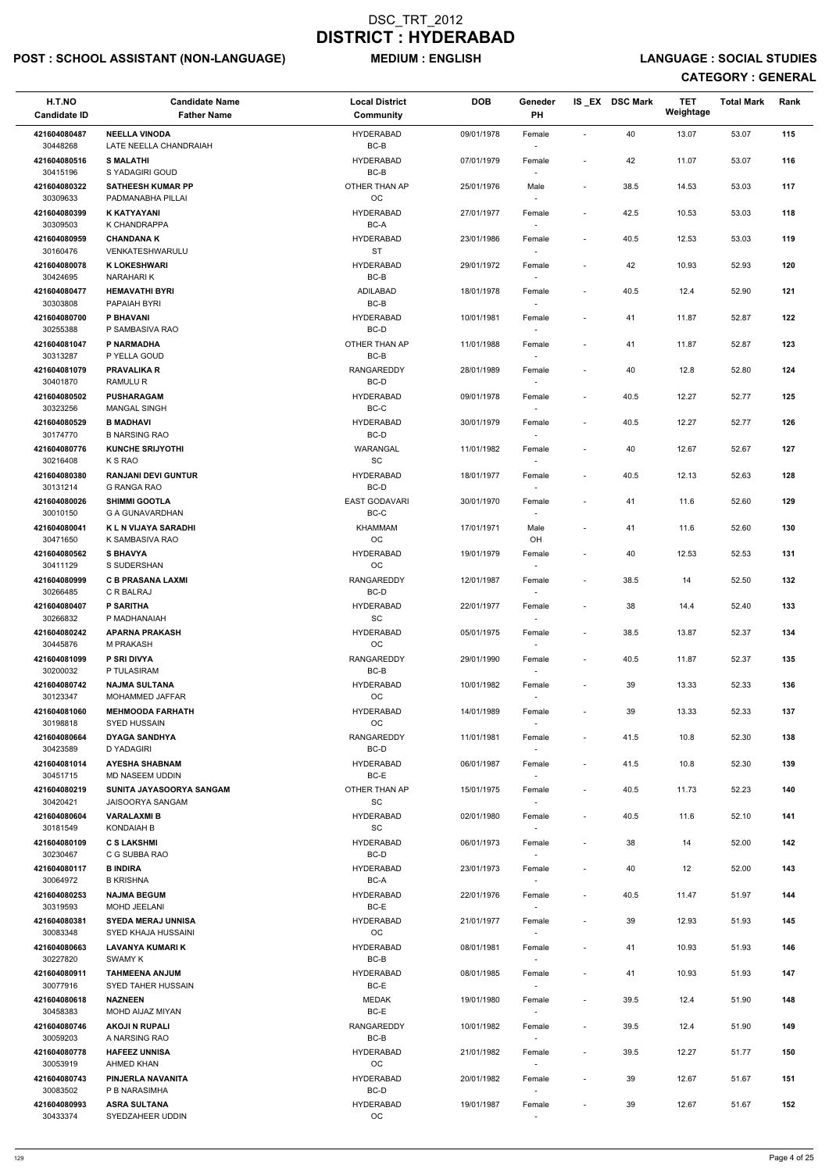## POST : SCHOOL ASSISTANT (NON-LANGUAGE) MEDIUM : ENGLISH LANGUAGE : SOCIAL STUDIES

| H.T.NO<br><b>Candidate ID</b> | <b>Candidate Name</b><br><b>Father Name</b>        | <b>Local District</b><br>Community         | <b>DOB</b> | Geneder<br>PH                      |                              | IS EX DSC Mark | TET<br>Weightage | <b>Total Mark</b> | Rank |
|-------------------------------|----------------------------------------------------|--------------------------------------------|------------|------------------------------------|------------------------------|----------------|------------------|-------------------|------|
| 421604080487<br>30448268      | <b>NEELLA VINODA</b><br>LATE NEELLA CHANDRAIAH     | <b>HYDERABAD</b><br>$BC-B$                 | 09/01/1978 | Female                             | $\sim$                       | 40             | 13.07            | 53.07             | 115  |
| 421604080516<br>30415196      | <b>S MALATHI</b><br>S YADAGIRI GOUD                | <b>HYDERABAD</b><br>$BC-B$                 | 07/01/1979 | Female                             | $\overline{\phantom{a}}$     | 42             | 11.07            | 53.07             | 116  |
| 421604080322<br>30309633      | <b>SATHEESH KUMAR PP</b><br>PADMANABHA PILLAI      | OTHER THAN AP<br>OC                        | 25/01/1976 | Male<br>$\overline{\phantom{a}}$   | $\overline{\phantom{a}}$     | 38.5           | 14.53            | 53.03             | 117  |
| 421604080399                  | <b>K KATYAYANI</b><br>K CHANDRAPPA                 | <b>HYDERABAD</b>                           | 27/01/1977 | Female                             | $\overline{\phantom{a}}$     | 42.5           | 10.53            | 53.03             | 118  |
| 30309503<br>421604080959      | <b>CHANDANA K</b>                                  | BC-A<br><b>HYDERABAD</b>                   | 23/01/1986 | $\overline{\phantom{a}}$<br>Female | $\overline{\phantom{a}}$     | 40.5           | 12.53            | 53.03             | 119  |
| 30160476                      | VENKATESHWARULU                                    | <b>ST</b>                                  |            | $\overline{\phantom{a}}$           |                              |                |                  |                   |      |
| 421604080078<br>30424695      | <b>K LOKESHWARI</b><br>NARAHARI K                  | <b>HYDERABAD</b><br>$BC-B$                 | 29/01/1972 | Female                             | $\overline{\phantom{a}}$     | 42             | 10.93            | 52.93             | 120  |
| 421604080477<br>30303808      | <b>HEMAVATHI BYRI</b><br>PAPAIAH BYRI              | <b>ADILABAD</b><br>$BC-B$                  | 18/01/1978 | Female<br>$\sim$                   | $\overline{\phantom{a}}$     | 40.5           | 12.4             | 52.90             | 121  |
| 421604080700<br>30255388      | P BHAVANI<br>P SAMBASIVA RAO                       | <b>HYDERABAD</b><br>BC-D                   | 10/01/1981 | Female<br>$\overline{\phantom{a}}$ | $\overline{\phantom{a}}$     | 41             | 11.87            | 52.87             | 122  |
| 421604081047                  | P NARMADHA                                         | OTHER THAN AP                              | 11/01/1988 | Female                             | $\overline{\phantom{a}}$     | 41             | 11.87            | 52.87             | 123  |
| 30313287<br>421604081079      | P YELLA GOUD<br><b>PRAVALIKA R</b>                 | BC-B<br>RANGAREDDY                         | 28/01/1989 | $\overline{\phantom{a}}$<br>Female | $\overline{\phantom{a}}$     | 40             | 12.8             | 52.80             | 124  |
| 30401870<br>421604080502      | RAMULU R<br><b>PUSHARAGAM</b>                      | BC-D<br><b>HYDERABAD</b>                   | 09/01/1978 | Female                             | $\overline{\phantom{a}}$     | 40.5           | 12.27            | 52.77             | 125  |
| 30323256                      | <b>MANGAL SINGH</b>                                | $BC-C$                                     |            |                                    |                              |                |                  |                   |      |
| 421604080529<br>30174770      | <b>B MADHAVI</b><br><b>B NARSING RAO</b>           | <b>HYDERABAD</b><br>BC-D                   | 30/01/1979 | Female<br>$\sim$                   | $\overline{\phantom{a}}$     | 40.5           | 12.27            | 52.77             | 126  |
| 421604080776<br>30216408      | <b>KUNCHE SRIJYOTHI</b><br>K S RAO                 | WARANGAL<br><b>SC</b>                      | 11/01/1982 | Female<br>$\overline{\phantom{a}}$ | $\overline{\phantom{a}}$     | 40             | 12.67            | 52.67             | 127  |
| 421604080380                  | <b>RANJANI DEVI GUNTUR</b>                         | <b>HYDERABAD</b>                           | 18/01/1977 | Female                             | $\blacksquare$               | 40.5           | 12.13            | 52.63             | 128  |
| 30131214<br>421604080026      | <b>G RANGA RAO</b><br><b>SHIMMI GOOTLA</b>         | BC-D<br>EAST GODAVARI                      | 30/01/1970 | $\sim$<br>Female                   | $\overline{\phantom{a}}$     | 41             | 11.6             | 52.60             | 129  |
| 30010150<br>421604080041      | G A GUNAVARDHAN<br><b>KLN VIJAYA SARADHI</b>       | $\mathsf{BC}\text{-}\mathsf{C}$<br>KHAMMAM | 17/01/1971 |                                    | $\overline{\phantom{a}}$     | 41             | 11.6             | 52.60             | 130  |
| 30471650                      | K SAMBASIVA RAO                                    | <b>OC</b>                                  |            | Male<br>OH                         |                              |                |                  |                   |      |
| 421604080562<br>30411129      | <b>S BHAVYA</b><br>S SUDERSHAN                     | <b>HYDERABAD</b><br>OC                     | 19/01/1979 | Female<br>$\overline{\phantom{a}}$ | $\qquad \qquad \blacksquare$ | 40             | 12.53            | 52.53             | 131  |
| 421604080999<br>30266485      | <b>C B PRASANA LAXMI</b><br>C R BALRAJ             | <b>RANGAREDDY</b><br>BC-D                  | 12/01/1987 | Female                             | $\overline{\phantom{a}}$     | 38.5           | 14               | 52.50             | 132  |
| 421604080407<br>30266832      | <b>P SARITHA</b><br>P MADHANAIAH                   | <b>HYDERABAD</b><br><b>SC</b>              | 22/01/1977 | Female<br>$\overline{\phantom{a}}$ | $\overline{\phantom{a}}$     | 38             | 14.4             | 52.40             | 133  |
| 421604080242                  | <b>APARNA PRAKASH</b>                              | <b>HYDERABAD</b>                           | 05/01/1975 | Female                             | $\overline{\phantom{a}}$     | 38.5           | 13.87            | 52.37             | 134  |
| 30445876<br>421604081099      | M PRAKASH<br>P SRI DIVYA                           | OC<br><b>RANGAREDDY</b>                    | 29/01/1990 | $\sim$<br>Female                   | $\overline{\phantom{a}}$     | 40.5           | 11.87            | 52.37             | 135  |
| 30200032                      | P TULASIRAM                                        | BC-B                                       |            | $\sim$                             |                              |                |                  |                   |      |
| 421604080742<br>30123347      | <b>NAJMA SULTANA</b><br>MOHAMMED JAFFAR            | <b>HYDERABAD</b><br>OC                     | 10/01/1982 | Female                             | $\overline{\phantom{a}}$     | 39             | 13.33            | 52.33             | 136  |
| 421604081060<br>30198818      | <b>MEHMOODA FARHATH</b><br><b>SYED HUSSAIN</b>     | <b>HYDERABAD</b><br>OC                     | 14/01/1989 | Female<br>$\sim$                   | $\overline{\phantom{a}}$     | 39             | 13.33            | 52.33             | 137  |
| 421604080664<br>30423589      | <b>DYAGA SANDHYA</b><br>D YADAGIRI                 | <b>RANGAREDDY</b><br>BC-D                  | 11/01/1981 | Female<br>$\sim$                   | $\overline{\phantom{a}}$     | 41.5           | 10.8             | 52.30             | 138  |
| 421604081014                  | <b>AYESHA SHABNAM</b>                              | <b>HYDERABAD</b>                           | 06/01/1987 | Female                             | $\overline{\phantom{a}}$     | 41.5           | 10.8             | 52.30             | 139  |
| 30451715<br>421604080219      | MD NASEEM UDDIN<br>SUNITA JAYASOORYA SANGAM        | BC-E<br>OTHER THAN AP                      | 15/01/1975 | $\sim$<br>Female                   | $\overline{\phantom{a}}$     | 40.5           | 11.73            | 52.23             | 140  |
| 30420421<br>421604080604      | <b>JAISOORYA SANGAM</b><br><b>VARALAXMI B</b>      | <b>SC</b><br><b>HYDERABAD</b>              | 02/01/1980 | Female                             | $\overline{\phantom{a}}$     | 40.5           | 11.6             | 52.10             | 141  |
| 30181549                      | <b>KONDAIAH B</b>                                  | <b>SC</b>                                  |            |                                    |                              |                |                  |                   |      |
| 421604080109<br>30230467      | <b>C S LAKSHMI</b><br>C G SUBBA RAO                | <b>HYDERABAD</b><br>BC-D                   | 06/01/1973 | Female<br>$\sim$                   | $\qquad \qquad \blacksquare$ | 38             | 14               | 52.00             | 142  |
| 421604080117<br>30064972      | <b>B INDIRA</b><br><b>B KRISHNA</b>                | <b>HYDERABAD</b><br>BC-A                   | 23/01/1973 | Female<br>$\sim$                   | $\overline{\phantom{a}}$     | 40             | 12               | 52.00             | 143  |
| 421604080253<br>30319593      | <b>NAJMA BEGUM</b><br><b>MOHD JEELANI</b>          | <b>HYDERABAD</b><br>BC-E                   | 22/01/1976 | Female                             | $\overline{\phantom{a}}$     | 40.5           | 11.47            | 51.97             | 144  |
| 421604080381                  | <b>SYEDA MERAJ UNNISA</b>                          | <b>HYDERABAD</b>                           | 21/01/1977 | Female                             | $\overline{\phantom{a}}$     | 39             | 12.93            | 51.93             | 145  |
| 30083348<br>421604080663      | <b>SYED KHAJA HUSSAINI</b><br>LAVANYA KUMARI K     | OC<br><b>HYDERABAD</b>                     | 08/01/1981 | Female                             | $\overline{\phantom{a}}$     | 41             | 10.93            | 51.93             | 146  |
| 30227820                      | SWAMY K                                            | BC-B                                       |            | $\overline{\phantom{a}}$           |                              |                |                  |                   |      |
| 421604080911<br>30077916      | <b>TAHMEENA ANJUM</b><br><b>SYED TAHER HUSSAIN</b> | <b>HYDERABAD</b><br>BC-E                   | 08/01/1985 | Female<br>$\overline{\phantom{a}}$ |                              | 41             | 10.93            | 51.93             | 147  |
| 421604080618<br>30458383      | <b>NAZNEEN</b><br>MOHD AIJAZ MIYAN                 | <b>MEDAK</b><br>BC-E                       | 19/01/1980 | Female<br>$\sim$                   | $\overline{\phantom{a}}$     | 39.5           | 12.4             | 51.90             | 148  |
| 421604080746<br>30059203      | <b>AKOJI N RUPALI</b><br>A NARSING RAO             | <b>RANGAREDDY</b><br>BC-B                  | 10/01/1982 | Female<br>$\overline{\phantom{a}}$ | $\qquad \qquad \blacksquare$ | 39.5           | 12.4             | 51.90             | 149  |
| 421604080778                  | <b>HAFEEZ UNNISA</b>                               | <b>HYDERABAD</b>                           | 21/01/1982 | Female                             | $\overline{\phantom{a}}$     | 39.5           | 12.27            | 51.77             | 150  |
| 30053919<br>421604080743      | AHMED KHAN<br>PINJERLA NAVANITA                    | OC<br><b>HYDERABAD</b>                     | 20/01/1982 | $\overline{\phantom{a}}$<br>Female | $\overline{\phantom{a}}$     | 39             | 12.67            | 51.67             | 151  |
| 30083502<br>421604080993      | P B NARASIMHA<br><b>ASRA SULTANA</b>               | BC-D<br><b>HYDERABAD</b>                   | 19/01/1987 | $\overline{\phantom{a}}$<br>Female | $\overline{\phantom{a}}$     | 39             | 12.67            | 51.67             | 152  |
| 30433374                      | SYEDZAHEER UDDIN                                   | $_{\rm OC}$                                |            | $\overline{\phantom{a}}$           |                              |                |                  |                   |      |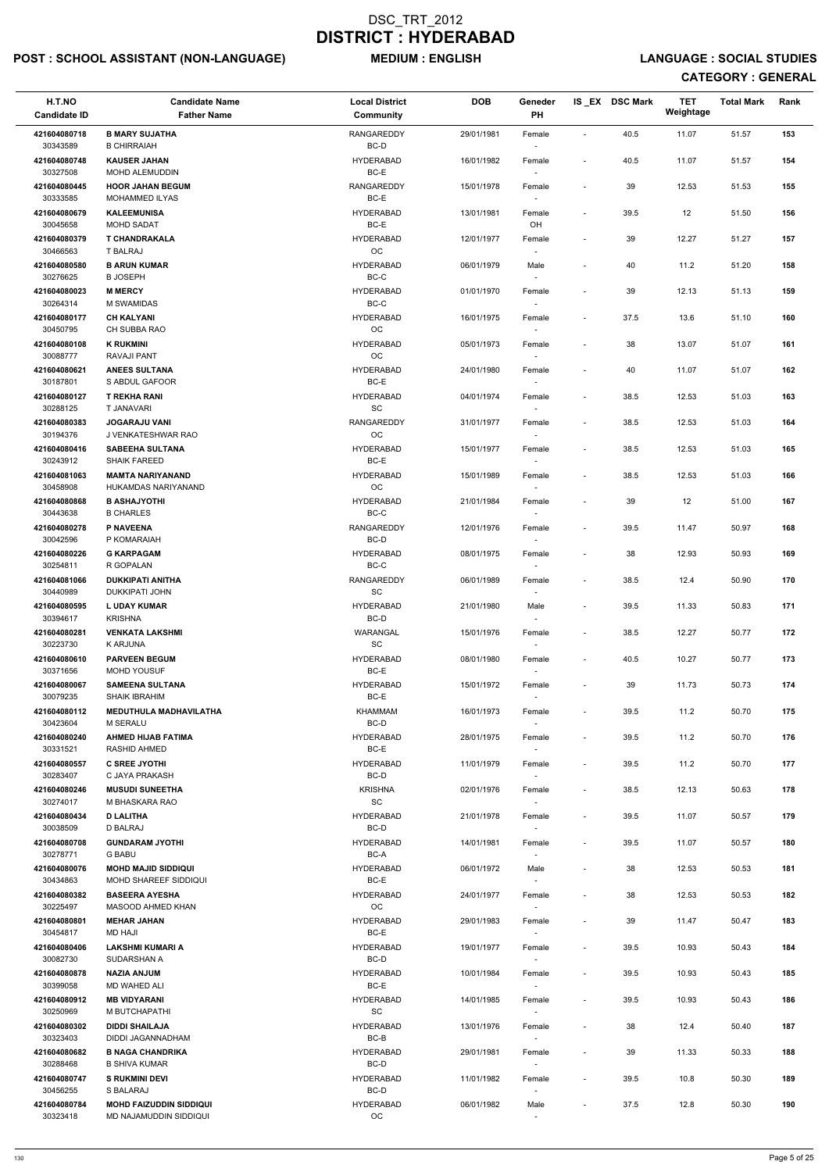## POST : SCHOOL ASSISTANT (NON-LANGUAGE) MEDIUM : ENGLISH LANGUAGE : SOCIAL STUDIES

| H.T.NO<br><b>Candidate ID</b> | <b>Candidate Name</b><br><b>Father Name</b>         | <b>Local District</b><br>Community               | <b>DOB</b> | Geneder<br><b>PH</b>               |                          | IS_EX DSC Mark | <b>TET</b><br>Weightage | <b>Total Mark</b> | Rank |
|-------------------------------|-----------------------------------------------------|--------------------------------------------------|------------|------------------------------------|--------------------------|----------------|-------------------------|-------------------|------|
| 421604080718<br>30343589      | <b>B MARY SUJATHA</b><br><b>B CHIRRAIAH</b>         | <b>RANGAREDDY</b><br>BC-D                        | 29/01/1981 | Female                             | $\blacksquare$           | 40.5           | 11.07                   | 51.57             | 153  |
| 421604080748<br>30327508      | <b>KAUSER JAHAN</b><br>MOHD ALEMUDDIN               | <b>HYDERABAD</b><br>BC-E                         | 16/01/1982 | Female<br>$\overline{\phantom{a}}$ | $\overline{\phantom{a}}$ | 40.5           | 11.07                   | 51.57             | 154  |
| 421604080445<br>30333585      | <b>HOOR JAHAN BEGUM</b><br>MOHAMMED ILYAS           | <b>RANGAREDDY</b><br>BC-E                        | 15/01/1978 | Female<br>$\overline{\phantom{a}}$ | $\blacksquare$           | 39             | 12.53                   | 51.53             | 155  |
| 421604080679                  | <b>KALEEMUNISA</b>                                  | <b>HYDERABAD</b>                                 | 13/01/1981 | Female                             | ÷,                       | 39.5           | 12                      | 51.50             | 156  |
| 30045658<br>421604080379      | <b>MOHD SADAT</b><br><b>T CHANDRAKALA</b>           | BC-E<br><b>HYDERABAD</b>                         | 12/01/1977 | OH<br>Female                       |                          | 39             | 12.27                   | 51.27             | 157  |
| 30466563                      | T BALRAJ                                            | OC                                               |            |                                    |                          |                |                         |                   |      |
| 421604080580<br>30276625      | <b>B ARUN KUMAR</b><br><b>B JOSEPH</b>              | <b>HYDERABAD</b><br>BC-C                         | 06/01/1979 | Male                               | $\overline{\phantom{a}}$ | 40             | 11.2                    | 51.20             | 158  |
| 421604080023<br>30264314      | <b>M MERCY</b><br>M SWAMIDAS                        | <b>HYDERABAD</b><br>BC-C                         | 01/01/1970 | Female<br>$\sim$                   | $\overline{\phantom{a}}$ | 39             | 12.13                   | 51.13             | 159  |
| 421604080177<br>30450795      | <b>CH KALYANI</b><br>CH SUBBA RAO                   | <b>HYDERABAD</b><br>OC                           | 16/01/1975 | Female<br>$\overline{\phantom{a}}$ | $\overline{\phantom{a}}$ | 37.5           | 13.6                    | 51.10             | 160  |
| 421604080108                  | <b>K RUKMINI</b>                                    | <b>HYDERABAD</b>                                 | 05/01/1973 | Female                             | $\overline{\phantom{a}}$ | 38             | 13.07                   | 51.07             | 161  |
| 30088777                      | RAVAJI PANT                                         | OC                                               |            | $\overline{\phantom{a}}$           |                          |                |                         |                   |      |
| 421604080621<br>30187801      | <b>ANEES SULTANA</b><br>S ABDUL GAFOOR              | <b>HYDERABAD</b><br>BC-E                         | 24/01/1980 | Female                             | $\blacksquare$           | 40             | 11.07                   | 51.07             | 162  |
| 421604080127<br>30288125      | <b>T REKHA RANI</b><br><b>T JANAVARI</b>            | <b>HYDERABAD</b><br>SC                           | 04/01/1974 | Female<br>$\overline{\phantom{a}}$ | $\overline{\phantom{a}}$ | 38.5           | 12.53                   | 51.03             | 163  |
| 421604080383<br>30194376      | <b>JOGARAJU VANI</b><br>J VENKATESHWAR RAO          | <b>RANGAREDDY</b><br>OC                          | 31/01/1977 | Female<br>$\sim$                   | $\blacksquare$           | 38.5           | 12.53                   | 51.03             | 164  |
| 421604080416                  | <b>SABEEHA SULTANA</b>                              | <b>HYDERABAD</b>                                 | 15/01/1977 | Female                             | $\overline{\phantom{a}}$ | 38.5           | 12.53                   | 51.03             | 165  |
| 30243912<br>421604081063      | <b>SHAIK FAREED</b><br><b>MAMTA NARIYANAND</b>      | BC-E<br><b>HYDERABAD</b>                         | 15/01/1989 | $\overline{\phantom{a}}$<br>Female | $\blacksquare$           | 38.5           | 12.53                   | 51.03             | 166  |
| 30458908                      | HUKAMDAS NARIYANAND                                 | OC                                               |            |                                    |                          |                |                         |                   |      |
| 421604080868<br>30443638      | <b>B ASHAJYOTHI</b><br><b>B CHARLES</b>             | <b>HYDERABAD</b><br>BC-C                         | 21/01/1984 | Female                             | $\overline{\phantom{a}}$ | 39             | 12                      | 51.00             | 167  |
| 421604080278<br>30042596      | <b>P NAVEENA</b><br>P KOMARAIAH                     | <b>RANGAREDDY</b><br>BC-D                        | 12/01/1976 | Female<br>$\overline{\phantom{a}}$ | $\overline{\phantom{a}}$ | 39.5           | 11.47                   | 50.97             | 168  |
| 421604080226<br>30254811      | <b>G KARPAGAM</b><br>R GOPALAN                      | <b>HYDERABAD</b><br>BC-C                         | 08/01/1975 | Female                             | $\overline{\phantom{a}}$ | 38             | 12.93                   | 50.93             | 169  |
| 421604081066                  | <b>DUKKIPATI ANITHA</b>                             | <b>RANGAREDDY</b>                                | 06/01/1989 | Female                             | $\overline{\phantom{a}}$ | 38.5           | 12.4                    | 50.90             | 170  |
| 30440989<br>421604080595      | <b>DUKKIPATI JOHN</b><br><b>L UDAY KUMAR</b>        | <b>SC</b><br><b>HYDERABAD</b>                    | 21/01/1980 | $\sim$<br>Male                     | $\overline{\phantom{a}}$ | 39.5           | 11.33                   | 50.83             | 171  |
| 30394617<br>421604080281      | <b>KRISHNA</b><br><b>VENKATA LAKSHMI</b>            | BC-D<br>WARANGAL                                 | 15/01/1976 | $\overline{\phantom{a}}$<br>Female | $\overline{\phantom{a}}$ | 38.5           | 12.27                   | 50.77             | 172  |
| 30223730<br>421604080610      | <b>K ARJUNA</b><br><b>PARVEEN BEGUM</b>             | <b>SC</b><br><b>HYDERABAD</b>                    | 08/01/1980 | $\sim$<br>Female                   | $\overline{\phantom{a}}$ | 40.5           | 10.27                   | 50.77             | 173  |
| 30371656                      | <b>MOHD YOUSUF</b>                                  | BC-E                                             |            |                                    |                          |                |                         |                   |      |
| 421604080067<br>30079235      | <b>SAMEENA SULTANA</b><br><b>SHAIK IBRAHIM</b>      | <b>HYDERABAD</b><br>BC-E                         | 15/01/1972 | Female<br>$\overline{\phantom{a}}$ | $\overline{\phantom{a}}$ | 39             | 11.73                   | 50.73             | 174  |
| 421604080112<br>30423604      | <b>MEDUTHULA MADHAVILATHA</b><br><b>M SERALU</b>    | KHAMMAM<br>BC-D                                  | 16/01/1973 | Female<br>$\sim$                   | $\blacksquare$           | 39.5           | 11.2                    | 50.70             | 175  |
| 421604080240                  | <b>AHMED HIJAB FATIMA</b>                           | <b>HYDERABAD</b>                                 | 28/01/1975 | Female                             | $\overline{\phantom{a}}$ | 39.5           | 11.2                    | 50.70             | 176  |
| 30331521<br>421604080557      | <b>RASHID AHMED</b><br><b>C SREE JYOTHI</b>         | BC-E<br><b>HYDERABAD</b>                         | 11/01/1979 | $\sim$<br>Female                   | $\blacksquare$           | 39.5           | 11.2                    | 50.70             | 177  |
| 30283407<br>421604080246      | C JAYA PRAKASH<br><b>MUSUDI SUNEETHA</b>            | BC-D<br><b>KRISHNA</b>                           | 02/01/1976 | $\sim$<br>Female                   | $\overline{\phantom{a}}$ | 38.5           | 12.13                   | 50.63             | 178  |
| 30274017<br>421604080434      | M BHASKARA RAO<br><b>D LALITHA</b>                  | SC<br><b>HYDERABAD</b>                           | 21/01/1978 | Female                             | $\overline{\phantom{a}}$ | 39.5           | 11.07                   | 50.57             | 179  |
| 30038509<br>421604080708      | D BALRAJ<br><b>GUNDARAM JYOTHI</b>                  | BC-D<br><b>HYDERABAD</b>                         | 14/01/1981 | $\overline{\phantom{a}}$<br>Female | $\blacksquare$           | 39.5           | 11.07                   | 50.57             | 180  |
| 30278771                      | <b>G BABU</b>                                       | BC-A                                             |            | $\sim$                             |                          |                |                         |                   |      |
| 421604080076<br>30434863      | <b>MOHD MAJID SIDDIQUI</b><br>MOHD SHAREEF SIDDIQUI | <b>HYDERABAD</b><br>BC-E                         | 06/01/1972 | Male<br>$\sim$                     | $\overline{\phantom{a}}$ | 38             | 12.53                   | 50.53             | 181  |
| 421604080382                  | <b>BASEERA AYESHA</b>                               | <b>HYDERABAD</b>                                 | 24/01/1977 | Female                             | $\overline{\phantom{a}}$ | 38             | 12.53                   | 50.53             | 182  |
| 30225497<br>421604080801      | <b>MASOOD AHMED KHAN</b><br><b>MEHAR JAHAN</b>      | OC<br><b>HYDERABAD</b>                           | 29/01/1983 | Female                             | $\overline{\phantom{a}}$ | 39             | 11.47                   | 50.47             | 183  |
| 30454817                      | MD HAJI                                             | BC-E                                             |            |                                    |                          |                |                         |                   |      |
| 421604080406<br>30082730      | <b>LAKSHMI KUMARI A</b><br>SUDARSHAN A              | <b>HYDERABAD</b><br>BC-D                         | 19/01/1977 | Female<br>$\overline{\phantom{a}}$ | $\blacksquare$           | 39.5           | 10.93                   | 50.43             | 184  |
| 421604080878                  | NAZIA ANJUM                                         | <b>HYDERABAD</b>                                 | 10/01/1984 | Female                             |                          | 39.5           | 10.93                   | 50.43             | 185  |
| 30399058                      | MD WAHED ALI                                        | BC-E                                             |            | $\overline{\phantom{a}}$           |                          |                |                         |                   |      |
| 421604080912<br>30250969      | <b>MB VIDYARANI</b><br>M BUTCHAPATHI                | <b>HYDERABAD</b><br>$\operatorname{\textsf{SC}}$ | 14/01/1985 | Female<br>$\sim$                   | $\overline{\phantom{a}}$ | 39.5           | 10.93                   | 50.43             | 186  |
| 421604080302<br>30323403      | <b>DIDDI SHAILAJA</b><br>DIDDI JAGANNADHAM          | <b>HYDERABAD</b><br>BC-B                         | 13/01/1976 | Female<br>$\overline{\phantom{a}}$ |                          | 38             | 12.4                    | 50.40             | 187  |
| 421604080682<br>30288468      | <b>B NAGA CHANDRIKA</b><br><b>B SHIVA KUMAR</b>     | <b>HYDERABAD</b><br>BC-D                         | 29/01/1981 | Female<br>$\sim$                   | $\overline{a}$           | 39             | 11.33                   | 50.33             | 188  |
| 421604080747<br>30456255      | <b>S RUKMINI DEVI</b><br>S BALARAJ                  | <b>HYDERABAD</b><br>BC-D                         | 11/01/1982 | Female<br>$\overline{\phantom{a}}$ | $\overline{a}$           | 39.5           | 10.8                    | 50.30             | 189  |
| 421604080784                  | <b>MOHD FAIZUDDIN SIDDIQUI</b>                      | <b>HYDERABAD</b>                                 | 06/01/1982 | Male                               | $\overline{\phantom{a}}$ | 37.5           | 12.8                    | 50.30             | 190  |
| 30323418                      | MD NAJAMUDDIN SIDDIQUI                              | $_{\rm OC}$                                      |            | $\overline{\phantom{a}}$           |                          |                |                         |                   |      |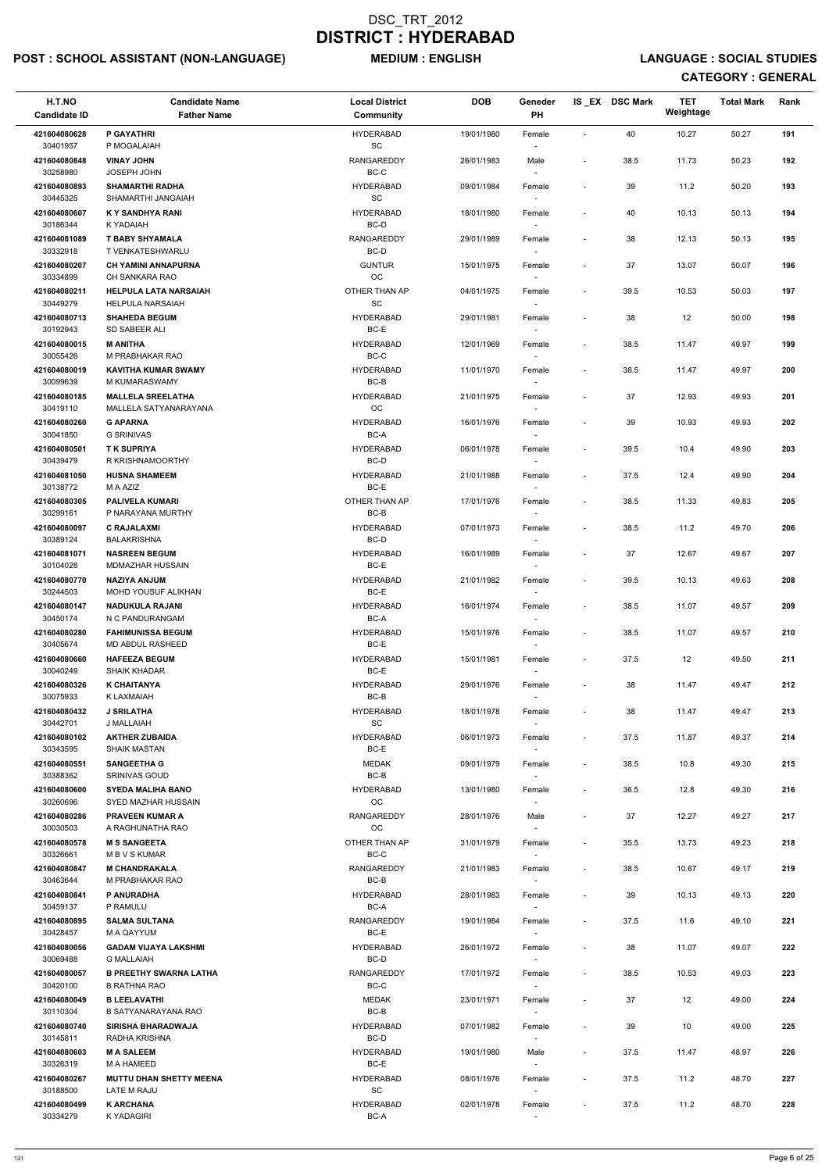## POST : SCHOOL ASSISTANT (NON-LANGUAGE) MEDIUM : ENGLISH LANGUAGE : SOCIAL STUDIES

| H.T.NO<br><b>Candidate ID</b> | <b>Candidate Name</b><br><b>Father Name</b>          | <b>Local District</b><br>Community | <b>DOB</b> | Geneder<br>PH                      |                              | IS_EX DSC Mark | TET<br>Weightage | <b>Total Mark</b> | Rank |
|-------------------------------|------------------------------------------------------|------------------------------------|------------|------------------------------------|------------------------------|----------------|------------------|-------------------|------|
| 421604080628<br>30401957      | P GAYATHRI<br>P MOGALAIAH                            | <b>HYDERABAD</b><br>SC             | 19/01/1980 | Female                             | $\sim$                       | 40             | 10.27            | 50.27             | 191  |
| 421604080848<br>30258980      | <b>VINAY JOHN</b><br>JOSEPH JOHN                     | <b>RANGAREDDY</b><br>$BC-C$        | 26/01/1983 | Male                               | $\overline{\phantom{a}}$     | 38.5           | 11.73            | 50.23             | 192  |
| 421604080893                  | <b>SHAMARTHI RADHA</b><br>SHAMARTHI JANGAIAH         | <b>HYDERABAD</b>                   | 09/01/1984 | Female                             | $\blacksquare$               | 39             | 11.2             | 50.20             | 193  |
| 30445325<br>421604080607      | K Y SANDHYA RANI                                     | SC<br><b>HYDERABAD</b>             | 18/01/1980 | $\overline{\phantom{a}}$<br>Female | $\overline{\phantom{a}}$     | 40             | 10.13            | 50.13             | 194  |
| 30186344<br>421604081089      | K YADAIAH<br><b>T BABY SHYAMALA</b>                  | BC-D<br>RANGAREDDY                 | 29/01/1989 | $\overline{\phantom{a}}$<br>Female | $\overline{\phantom{a}}$     | 38             | 12.13            | 50.13             | 195  |
| 30332918                      | T VENKATESHWARLU                                     | BC-D                               |            | $\overline{\phantom{a}}$           |                              |                |                  |                   |      |
| 421604080207                  | <b>CH YAMINI ANNAPURNA</b>                           | <b>GUNTUR</b>                      | 15/01/1975 | Female                             | $\overline{\phantom{a}}$     | 37             | 13.07            | 50.07             | 196  |
| 30334899<br>421604080211      | CH SANKARA RAO<br><b>HELPULA LATA NARSAIAH</b>       | OC<br>OTHER THAN AP                | 04/01/1975 | Female                             | $\overline{\phantom{a}}$     | 39.5           | 10.53            | 50.03             | 197  |
| 30449279<br>421604080713      | <b>HELPULA NARSAIAH</b><br><b>SHAHEDA BEGUM</b>      | SC<br><b>HYDERABAD</b>             | 29/01/1981 | Female                             | $\overline{\phantom{a}}$     | 38             | 12               | 50.00             | 198  |
| 30192943<br>421604080015      | SD SABEER ALI<br><b>M ANITHA</b>                     | BC-E<br><b>HYDERABAD</b>           | 12/01/1969 | $\overline{\phantom{a}}$<br>Female | $\overline{\phantom{a}}$     | 38.5           | 11.47            | 49.97             | 199  |
| 30055426                      | M PRABHAKAR RAO                                      | BC-C                               |            | $\overline{\phantom{a}}$           |                              |                |                  |                   |      |
| 421604080019<br>30099639      | <b>KAVITHA KUMAR SWAMY</b><br>M KUMARASWAMY          | <b>HYDERABAD</b><br>BC-B           | 11/01/1970 | Female                             | $\overline{\phantom{a}}$     | 38.5           | 11.47            | 49.97             | 200  |
| 421604080185<br>30419110      | <b>MALLELA SREELATHA</b><br>MALLELA SATYANARAYANA    | <b>HYDERABAD</b><br><b>OC</b>      | 21/01/1975 | Female                             | $\sim$                       | 37             | 12.93            | 49.93             | 201  |
| 421604080260<br>30041850      | <b>G APARNA</b><br><b>G SRINIVAS</b>                 | <b>HYDERABAD</b><br>BC-A           | 16/01/1976 | Female<br>$\sim$                   | $\overline{\phantom{a}}$     | 39             | 10.93            | 49.93             | 202  |
| 421604080501                  | <b>TK SUPRIYA</b>                                    | <b>HYDERABAD</b>                   | 06/01/1978 | Female                             | $\overline{\phantom{a}}$     | 39.5           | 10.4             | 49.90             | 203  |
| 30439479<br>421604081050      | R KRISHNAMOORTHY<br><b>HUSNA SHAMEEM</b>             | BC-D<br><b>HYDERABAD</b>           | 21/01/1988 | $\overline{\phantom{a}}$<br>Female | $\overline{\phantom{a}}$     | 37.5           | 12.4             | 49.90             | 204  |
| 30138772                      | M A AZIZ                                             | BC-E                               |            |                                    |                              |                |                  |                   |      |
| 421604080305<br>30299161      | <b>PALIVELA KUMARI</b><br>P NARAYANA MURTHY          | OTHER THAN AP<br>BC-B              | 17/01/1976 | Female                             | $\blacksquare$               | 38.5           | 11.33            | 49.83             | 205  |
| 421604080097<br>30389124      | <b>C RAJALAXMI</b><br><b>BALAKRISHNA</b>             | <b>HYDERABAD</b><br>BC-D           | 07/01/1973 | Female<br>$\overline{\phantom{a}}$ | $\sim$                       | 38.5           | 11.2             | 49.70             | 206  |
| 421604081071<br>30104028      | <b>NASREEN BEGUM</b><br>MDMAZHAR HUSSAIN             | <b>HYDERABAD</b><br>BC-E           | 16/01/1989 | Female                             |                              | 37             | 12.67            | 49.67             | 207  |
| 421604080770                  | <b>NAZIYA ANJUM</b>                                  | <b>HYDERABAD</b>                   | 21/01/1982 | Female                             | $\overline{\phantom{a}}$     | 39.5           | 10.13            | 49.63             | 208  |
| 30244503<br>421604080147      | <b>MOHD YOUSUF ALIKHAN</b><br><b>NADUKULA RAJANI</b> | BC-E<br><b>HYDERABAD</b>           | 16/01/1974 | Female                             | $\overline{\phantom{a}}$     | 38.5           | 11.07            | 49.57             | 209  |
| 30450174                      | N C PANDURANGAM                                      | BC-A                               |            | $\overline{\phantom{a}}$           |                              |                |                  |                   |      |
| 421604080280<br>30405674      | <b>FAHIMUNISSA BEGUM</b><br><b>MD ABDUL RASHEED</b>  | <b>HYDERABAD</b><br>BC-E           | 15/01/1976 | Female<br>$\sim$                   | $\overline{\phantom{a}}$     | 38.5           | 11.07            | 49.57             | 210  |
| 421604080660<br>30040249      | <b>HAFEEZA BEGUM</b><br>SHAIK KHADAR                 | <b>HYDERABAD</b><br>BC-E           | 15/01/1981 | Female                             | $\overline{\phantom{a}}$     | 37.5           | 12               | 49.50             | 211  |
| 421604080326                  | <b>K CHAITANYA</b>                                   | <b>HYDERABAD</b>                   | 29/01/1976 | Female                             | $\overline{\phantom{a}}$     | 38             | 11.47            | 49.47             | 212  |
| 30075933<br>421604080432      | K LAXMAIAH<br><b>J SRILATHA</b>                      | BC-B<br><b>HYDERABAD</b>           | 18/01/1978 | Female                             | $\overline{\phantom{a}}$     | 38             | 11.47            | 49.47             | 213  |
| 30442701                      | J MALLAIAH                                           | SC                                 |            | $\overline{\phantom{a}}$           |                              |                |                  |                   |      |
| 421604080102<br>30343595      | <b>AKTHER ZUBAIDA</b><br>SHAIK MASTAN                | <b>HYDERABAD</b><br>BC-E           | 06/01/1973 | Female<br>$\overline{\phantom{a}}$ | $\overline{\phantom{a}}$     | 37.5           | 11.87            | 49.37             | 214  |
| 421604080551<br>30388362      | <b>SANGEETHA G</b><br><b>SRINIVAS GOUD</b>           | <b>MEDAK</b><br>BC-B               | 09/01/1979 | Female<br>$\sim$                   | $\overline{\phantom{a}}$     | 38.5           | 10.8             | 49.30             | 215  |
| 421604080600                  | <b>SYEDA MALIHA BANO</b>                             | <b>HYDERABAD</b>                   | 13/01/1980 | Female                             | $\overline{\phantom{a}}$     | 36.5           | 12.8             | 49.30             | 216  |
| 30260696<br>421604080286      | SYED MAZHAR HUSSAIN<br><b>PRAVEEN KUMAR A</b>        | <b>OC</b><br>RANGAREDDY            | 28/01/1976 | Male                               | $\overline{\phantom{a}}$     | 37             | 12.27            | 49.27             | 217  |
| 30030503                      | A RAGHUNATHA RAO                                     | <b>OC</b>                          |            |                                    |                              |                |                  |                   |      |
| 421604080578<br>30326661      | <b>M S SANGEETA</b><br>M B V S KUMAR                 | OTHER THAN AP<br>BC-C              | 31/01/1979 | Female<br>$\sim$                   | $\overline{\phantom{a}}$     | 35.5           | 13.73            | 49.23             | 218  |
| 421604080847<br>30463644      | <b>M CHANDRAKALA</b><br>M PRABHAKAR RAO              | <b>RANGAREDDY</b><br>BC-B          | 21/01/1983 | Female<br>$\overline{\phantom{a}}$ | $\overline{\phantom{a}}$     | 38.5           | 10.67            | 49.17             | 219  |
| 421604080841                  | P ANURADHA                                           | <b>HYDERABAD</b>                   | 28/01/1983 | Female                             | $\overline{\phantom{a}}$     | 39             | 10.13            | 49.13             | 220  |
| 30459137<br>421604080895      | P RAMULU<br><b>SALMA SULTANA</b>                     | BC-A<br><b>RANGAREDDY</b>          | 19/01/1984 | $\overline{\phantom{a}}$           | $\overline{\phantom{a}}$     | 37.5           | 11.6             | 49.10             | 221  |
| 30428457                      | M A QAYYUM                                           | BC-E                               |            | Female                             |                              |                |                  |                   |      |
| 421604080056<br>30069488      | <b>GADAM VIJAYA LAKSHMI</b><br><b>G MALLAIAH</b>     | <b>HYDERABAD</b><br>BC-D           | 26/01/1972 | Female                             | $\overline{\phantom{a}}$     | 38             | 11.07            | 49.07             | 222  |
| 421604080057                  | <b>B PREETHY SWARNA LATHA</b>                        | RANGAREDDY                         | 17/01/1972 | $\overline{\phantom{a}}$<br>Female |                              | 38.5           | 10.53            | 49.03             | 223  |
| 30420100<br>421604080049      | <b>B RATHNA RAO</b><br><b>B LEELAVATHI</b>           | BC-C<br><b>MEDAK</b>               | 23/01/1971 |                                    |                              |                | 12               | 49.00             | 224  |
| 30110304                      | <b>B SATYANARAYANA RAO</b>                           | BC-B                               |            | Female                             | $\qquad \qquad \blacksquare$ | 37             |                  |                   |      |
| 421604080740<br>30145811      | <b>SIRISHA BHARADWAJA</b><br>RADHA KRISHNA           | <b>HYDERABAD</b><br>BC-D           | 07/01/1982 | Female                             |                              | 39             | 10               | 49.00             | 225  |
| 421604080603<br>30326319      | <b>M A SALEEM</b><br>M A HAMEED                      | <b>HYDERABAD</b><br>BC-E           | 19/01/1980 | Male                               | $\overline{\phantom{a}}$     | 37.5           | 11.47            | 48.97             | 226  |
| 421604080267                  | <b>MUTTU DHAN SHETTY MEENA</b>                       | <b>HYDERABAD</b>                   | 08/01/1976 | $\sim$<br>Female                   | $\overline{\phantom{a}}$     | 37.5           | 11.2             | 48.70             | 227  |
| 30188500<br>421604080499      | LATE M RAJU<br><b>K ARCHANA</b>                      | SC<br><b>HYDERABAD</b>             | 02/01/1978 | $\overline{\phantom{a}}$<br>Female | $\overline{\phantom{a}}$     | 37.5           | 11.2             | 48.70             | 228  |
| 30334279                      | <b>KYADAGIRI</b>                                     | BC-A                               |            | $\sim$                             |                              |                |                  |                   |      |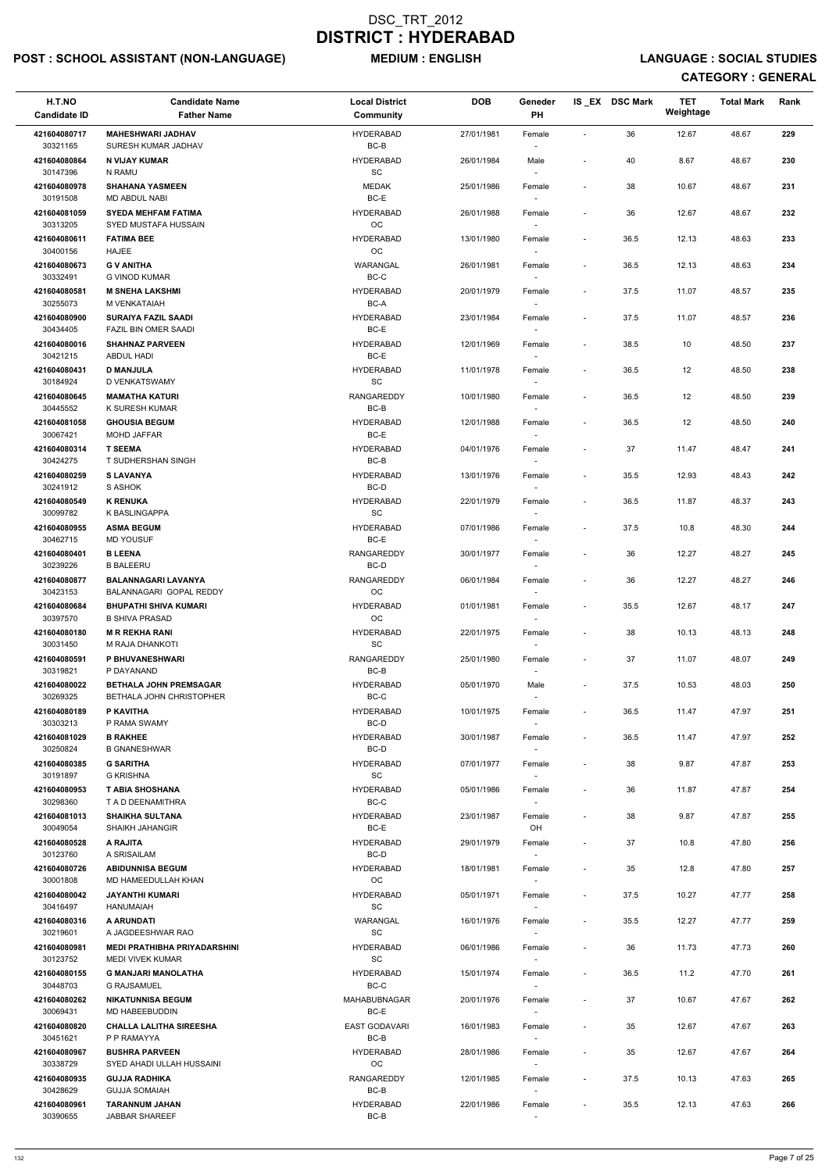## POST : SCHOOL ASSISTANT (NON-LANGUAGE) MEDIUM : ENGLISH LANGUAGE : SOCIAL STUDIES

| H.T.NO<br><b>Candidate ID</b> | <b>Candidate Name</b><br><b>Father Name</b>               | <b>Local District</b><br>Community | <b>DOB</b> | Geneder<br>PH                      |                          | IS EX DSC Mark | <b>TET</b><br>Weightage | <b>Total Mark</b> | Rank |
|-------------------------------|-----------------------------------------------------------|------------------------------------|------------|------------------------------------|--------------------------|----------------|-------------------------|-------------------|------|
| 421604080717<br>30321165      | <b>MAHESHWARI JADHAV</b><br>SURESH KUMAR JADHAV           | <b>HYDERABAD</b><br>BC-B           | 27/01/1981 | Female                             | $\blacksquare$           | 36             | 12.67                   | 48.67             | 229  |
| 421604080864<br>30147396      | N VIJAY KUMAR<br>N RAMU                                   | <b>HYDERABAD</b><br>SC             | 26/01/1984 | Male                               | $\blacksquare$           | 40             | 8.67                    | 48.67             | 230  |
| 421604080978<br>30191508      | <b>SHAHANA YASMEEN</b><br>MD ABDUL NABI                   | <b>MEDAK</b><br>$BC-E$             | 25/01/1986 | Female<br>$\overline{\phantom{a}}$ | $\blacksquare$           | 38             | 10.67                   | 48.67             | 231  |
| 421604081059                  | <b>SYEDA MEHFAM FATIMA</b>                                | <b>HYDERABAD</b>                   | 26/01/1988 | Female                             | $\overline{\phantom{a}}$ | 36             | 12.67                   | 48.67             | 232  |
| 30313205<br>421604080611      | <b>SYED MUSTAFA HUSSAIN</b><br><b>FATIMA BEE</b>          | OC<br><b>HYDERABAD</b>             | 13/01/1980 | $\sim$<br>Female                   | $\overline{\phantom{a}}$ | 36.5           | 12.13                   | 48.63             | 233  |
| 30400156                      | <b>HAJEE</b>                                              | OC                                 |            | $\sim$                             |                          |                |                         |                   |      |
| 421604080673<br>30332491      | <b>G V ANITHA</b><br><b>G VINOD KUMAR</b>                 | WARANGAL<br>$BC-C$                 | 26/01/1981 | Female                             | $\overline{\phantom{a}}$ | 36.5           | 12.13                   | 48.63             | 234  |
| 421604080581<br>30255073      | <b>M SNEHA LAKSHMI</b><br>M VENKATAIAH                    | <b>HYDERABAD</b><br>BC-A           | 20/01/1979 | Female<br>$\sim$                   | $\overline{\phantom{a}}$ | 37.5           | 11.07                   | 48.57             | 235  |
| 421604080900<br>30434405      | <b>SURAIYA FAZIL SAADI</b><br>FAZIL BIN OMER SAADI        | <b>HYDERABAD</b><br>BC-E           | 23/01/1984 | Female<br>$\overline{\phantom{a}}$ | $\overline{\phantom{a}}$ | 37.5           | 11.07                   | 48.57             | 236  |
| 421604080016                  | <b>SHAHNAZ PARVEEN</b>                                    | <b>HYDERABAD</b>                   | 12/01/1969 | Female                             | $\overline{\phantom{a}}$ | 38.5           | 10                      | 48.50             | 237  |
| 30421215<br>421604080431      | <b>ABDUL HADI</b><br><b>D MANJULA</b>                     | BC-E<br><b>HYDERABAD</b>           | 11/01/1978 | $\sim$<br>Female                   | $\overline{\phantom{a}}$ | 36.5           | 12                      | 48.50             | 238  |
| 30184924                      | D VENKATSWAMY                                             | $\operatorname{\textsf{SC}}$       |            |                                    |                          |                |                         |                   |      |
| 421604080645<br>30445552      | <b>MAMATHA KATURI</b><br>K SURESH KUMAR                   | <b>RANGAREDDY</b><br>$BC-B$        | 10/01/1980 | Female<br>$\overline{\phantom{a}}$ | $\overline{\phantom{a}}$ | 36.5           | 12                      | 48.50             | 239  |
| 421604081058<br>30067421      | <b>GHOUSIA BEGUM</b><br><b>MOHD JAFFAR</b>                | <b>HYDERABAD</b><br>BC-E           | 12/01/1988 | Female<br>$\sim$                   | $\blacksquare$           | 36.5           | 12                      | 48.50             | 240  |
| 421604080314<br>30424275      | <b>T SEEMA</b><br>T SUDHERSHAN SINGH                      | <b>HYDERABAD</b><br>BC-B           | 04/01/1976 | Female<br>$\sim$                   | $\overline{\phantom{a}}$ | 37             | 11.47                   | 48.47             | 241  |
| 421604080259                  | <b>S LAVANYA</b>                                          | <b>HYDERABAD</b>                   | 13/01/1976 | Female                             | $\blacksquare$           | 35.5           | 12.93                   | 48.43             | 242  |
| 30241912<br>421604080549      | S ASHOK<br><b>K RENUKA</b>                                | BC-D<br><b>HYDERABAD</b>           | 22/01/1979 | $\sim$<br>Female                   | $\overline{\phantom{a}}$ | 36.5           | 11.87                   | 48.37             | 243  |
| 30099782                      | K BASLINGAPPA                                             | SC                                 |            |                                    |                          |                |                         |                   |      |
| 421604080955<br>30462715      | <b>ASMA BEGUM</b><br><b>MD YOUSUF</b>                     | <b>HYDERABAD</b><br>BC-E           | 07/01/1986 | Female<br>$\sim$                   | $\blacksquare$           | 37.5           | 10.8                    | 48.30             | 244  |
| 421604080401<br>30239226      | <b>B LEENA</b><br><b>B BALEERU</b>                        | <b>RANGAREDDY</b><br>BC-D          | 30/01/1977 | Female                             |                          | 36             | 12.27                   | 48.27             | 245  |
| 421604080877                  | <b>BALANNAGARI LAVANYA</b>                                | <b>RANGAREDDY</b>                  | 06/01/1984 | Female                             | $\overline{\phantom{a}}$ | 36             | 12.27                   | 48.27             | 246  |
| 30423153<br>421604080684      | BALANNAGARI GOPAL REDDY<br><b>BHUPATHI SHIVA KUMARI</b>   | OC.<br><b>HYDERABAD</b>            | 01/01/1981 | Female                             | $\overline{\phantom{a}}$ | 35.5           | 12.67                   | 48.17             | 247  |
| 30397570                      | <b>B SHIVA PRASAD</b><br><b>M R REKHA RANI</b>            | <b>OC</b><br><b>HYDERABAD</b>      | 22/01/1975 | $\overline{\phantom{a}}$           | $\blacksquare$           |                |                         |                   | 248  |
| 421604080180<br>30031450      | M RAJA DHANKOTI                                           | <b>SC</b>                          |            | Female<br>$\sim$                   |                          | 38             | 10.13                   | 48.13             |      |
| 421604080591<br>30319821      | P BHUVANESHWARI<br>P DAYANAND                             | <b>RANGAREDDY</b><br>BC-B          | 25/01/1980 | Female                             |                          | 37             | 11.07                   | 48.07             | 249  |
| 421604080022<br>30269325      | <b>BETHALA JOHN PREMSAGAR</b><br>BETHALA JOHN CHRISTOPHER | <b>HYDERABAD</b><br>BC-C           | 05/01/1970 | Male                               | $\overline{\phantom{a}}$ | 37.5           | 10.53                   | 48.03             | 250  |
| 421604080189                  | P KAVITHA                                                 | <b>HYDERABAD</b>                   | 10/01/1975 | Female                             | $\overline{\phantom{a}}$ | 36.5           | 11.47                   | 47.97             | 251  |
| 30303213                      | P RAMA SWAMY<br><b>B RAKHEE</b>                           | BC-D                               |            | $\sim$                             |                          |                |                         |                   | 252  |
| 421604081029<br>30250824      | <b>B GNANESHWAR</b>                                       | <b>HYDERABAD</b><br>BC-D           | 30/01/1987 | Female<br>$\sim$                   | $\overline{\phantom{a}}$ | 36.5           | 11.47                   | 47.97             |      |
| 421604080385<br>30191897      | <b>G SARITHA</b><br><b>G KRISHNA</b>                      | <b>HYDERABAD</b><br><b>SC</b>      | 07/01/1977 | Female<br>$\sim$                   | $\overline{\phantom{a}}$ | 38             | 9.87                    | 47.87             | 253  |
| 421604080953                  | <b>T ABIA SHOSHANA</b>                                    | <b>HYDERABAD</b>                   | 05/01/1986 | Female                             | $\blacksquare$           | 36             | 11.87                   | 47.87             | 254  |
| 30298360<br>421604081013      | T A D DEENAMITHRA<br><b>SHAIKHA SULTANA</b>               | BC-C<br><b>HYDERABAD</b>           | 23/01/1987 | Female                             | $\blacksquare$           | 38             | 9.87                    | 47.87             | 255  |
| 30049054                      | <b>SHAIKH JAHANGIR</b>                                    | BC-E                               |            | OH                                 |                          |                |                         |                   |      |
| 421604080528<br>30123760      | A RAJITA<br>A SRISAILAM                                   | <b>HYDERABAD</b><br>BC-D           | 29/01/1979 | Female<br>$\sim$                   | $\blacksquare$           | 37             | 10.8                    | 47.80             | 256  |
| 421604080726<br>30001808      | <b>ABIDUNNISA BEGUM</b><br>MD HAMEEDULLAH KHAN            | <b>HYDERABAD</b><br><b>OC</b>      | 18/01/1981 | Female<br>$\overline{\phantom{a}}$ | $\overline{\phantom{a}}$ | 35             | 12.8                    | 47.80             | 257  |
| 421604080042<br>30416497      | <b>JAYANTHI KUMARI</b><br><b>HANUMAIAH</b>                | <b>HYDERABAD</b><br>SC             | 05/01/1971 | Female                             | $\overline{\phantom{a}}$ | 37.5           | 10.27                   | 47.77             | 258  |
| 421604080316                  | A ARUNDATI                                                | WARANGAL                           | 16/01/1976 | Female                             | $\blacksquare$           | 35.5           | 12.27                   | 47.77             | 259  |
| 30219601<br>421604080981      | A JAGDEESHWAR RAO<br><b>MEDI PRATHIBHA PRIYADARSHINI</b>  | <b>SC</b><br><b>HYDERABAD</b>      | 06/01/1986 | Female                             | $\overline{\phantom{a}}$ | 36             | 11.73                   | 47.73             | 260  |
| 30123752                      | <b>MEDI VIVEK KUMAR</b>                                   | SC                                 |            | $\overline{\phantom{a}}$           |                          |                |                         |                   |      |
| 421604080155<br>30448703      | <b>G MANJARI MANOLATHA</b><br><b>G RAJSAMUEL</b>          | <b>HYDERABAD</b><br>BC-C           | 15/01/1974 | Female<br>$\overline{\phantom{a}}$ |                          | 36.5           | 11.2                    | 47.70             | 261  |
| 421604080262                  | <b>NIKATUNNISA BEGUM</b>                                  | MAHABUBNAGAR                       | 20/01/1976 | Female                             |                          | 37             | 10.67                   | 47.67             | 262  |
| 30069431<br>421604080820      | MD HABEEBUDDIN<br><b>CHALLA LALITHA SIREESHA</b>          | BC-E<br><b>EAST GODAVARI</b>       | 16/01/1983 | $\sim$<br>Female                   |                          | 35             | 12.67                   | 47.67             | 263  |
| 30451621<br>421604080967      | P P RAMAYYA<br><b>BUSHRA PARVEEN</b>                      | BC-B<br><b>HYDERABAD</b>           | 28/01/1986 | $\overline{\phantom{a}}$<br>Female |                          | 35             | 12.67                   | 47.67             | 264  |
| 30338729                      | SYED AHADI ULLAH HUSSAINI                                 | OC<br><b>RANGAREDDY</b>            | 12/01/1985 | $\overline{\phantom{a}}$           |                          |                |                         |                   |      |
| 421604080935<br>30428629      | <b>GUJJA RADHIKA</b><br><b>GUJJA SOMAIAH</b>              | BC-B                               |            | Female<br>$\overline{\phantom{a}}$ | $\overline{\phantom{a}}$ | 37.5           | 10.13                   | 47.63             | 265  |
| 421604080961<br>30390655      | <b>TARANNUM JAHAN</b><br>JABBAR SHAREEF                   | HYDERABAD<br>BC-B                  | 22/01/1986 | Female<br>$\sim$                   | $\overline{\phantom{a}}$ | 35.5           | 12.13                   | 47.63             | 266  |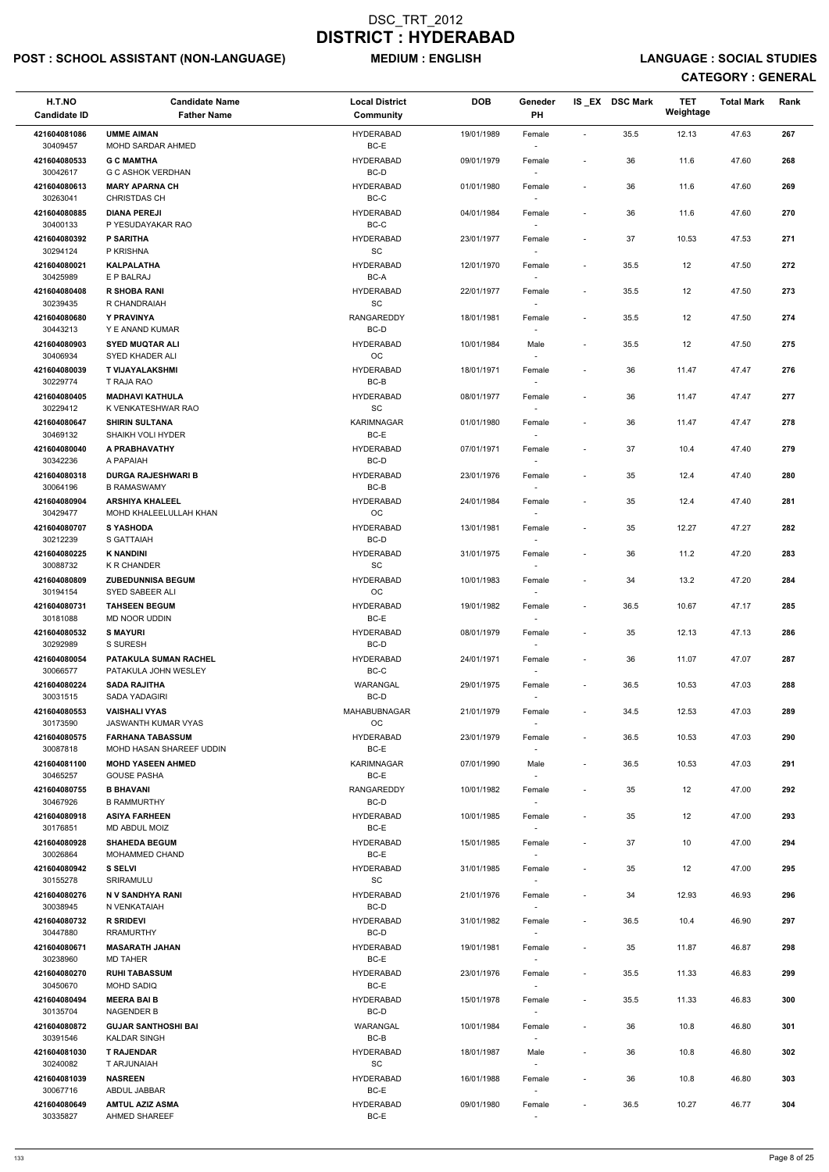## POST : SCHOOL ASSISTANT (NON-LANGUAGE) MEDIUM : ENGLISH LANGUAGE : SOCIAL STUDIES

| H.T.NO<br><b>Candidate ID</b> | <b>Candidate Name</b><br><b>Father Name</b>         | <b>Local District</b><br>Community                | <b>DOB</b> | Geneder<br>PH                      |                              | IS_EX DSC Mark | <b>TET</b><br>Weightage | <b>Total Mark</b> | Rank |
|-------------------------------|-----------------------------------------------------|---------------------------------------------------|------------|------------------------------------|------------------------------|----------------|-------------------------|-------------------|------|
| 421604081086<br>30409457      | <b>UMME AIMAN</b><br><b>MOHD SARDAR AHMED</b>       | <b>HYDERABAD</b><br>BC-E                          | 19/01/1989 | Female                             | $\sim$                       | 35.5           | 12.13                   | 47.63             | 267  |
| 421604080533<br>30042617      | <b>G C MAMTHA</b><br><b>G C ASHOK VERDHAN</b>       | <b>HYDERABAD</b><br>BC-D                          | 09/01/1979 | Female                             | $\overline{\phantom{a}}$     | 36             | 11.6                    | 47.60             | 268  |
| 421604080613                  | <b>MARY APARNA CH</b>                               | <b>HYDERABAD</b>                                  | 01/01/1980 | Female                             | $\overline{\phantom{a}}$     | 36             | 11.6                    | 47.60             | 269  |
| 30263041<br>421604080885      | <b>CHRISTDAS CH</b><br><b>DIANA PEREJI</b>          | BC-C<br>HYDERABAD                                 | 04/01/1984 | $\sim$<br>Female                   | $\overline{\phantom{a}}$     | 36             | 11.6                    | 47.60             | 270  |
| 30400133<br>421604080392      | P YESUDAYAKAR RAO<br><b>P SARITHA</b>               | BC-C<br><b>HYDERABAD</b>                          | 23/01/1977 | Female                             | $\overline{\phantom{a}}$     | 37             | 10.53                   | 47.53             | 271  |
| 30294124<br>421604080021      | P KRISHNA<br><b>KALPALATHA</b>                      | SC<br><b>HYDERABAD</b>                            | 12/01/1970 |                                    | $\overline{\phantom{a}}$     | 35.5           | 12                      | 47.50             | 272  |
| 30425989                      | E P BALRAJ                                          | $BC-A$                                            |            | Female                             |                              |                |                         |                   |      |
| 421604080408<br>30239435      | <b>R SHOBA RANI</b><br>R CHANDRAIAH                 | <b>HYDERABAD</b><br>SC                            | 22/01/1977 | Female                             | $\overline{\phantom{a}}$     | 35.5           | 12                      | 47.50             | 273  |
| 421604080680<br>30443213      | Y PRAVINYA<br>Y E ANAND KUMAR                       | <b>RANGAREDDY</b><br>BC-D                         | 18/01/1981 | Female                             | $\overline{\phantom{a}}$     | 35.5           | 12                      | 47.50             | 274  |
| 421604080903<br>30406934      | <b>SYED MUQTAR ALI</b><br>SYED KHADER ALI           | <b>HYDERABAD</b><br>ОC                            | 10/01/1984 | Male                               | $\overline{\phantom{a}}$     | 35.5           | 12                      | 47.50             | 275  |
| 421604080039                  | <b>T VIJAYALAKSHMI</b><br>T RAJA RAO                | <b>HYDERABAD</b><br>BC-B                          | 18/01/1971 | Female                             | $\overline{\phantom{a}}$     | 36             | 11.47                   | 47.47             | 276  |
| 30229774<br>421604080405      | <b>MADHAVI KATHULA</b>                              | <b>HYDERABAD</b>                                  | 08/01/1977 | Female                             | $\overline{\phantom{a}}$     | 36             | 11.47                   | 47.47             | 277  |
| 30229412<br>421604080647      | K VENKATESHWAR RAO<br><b>SHIRIN SULTANA</b>         | $\operatorname{\textsf{SC}}$<br><b>KARIMNAGAR</b> | 01/01/1980 | Female                             | $\overline{\phantom{a}}$     | 36             | 11.47                   | 47.47             | 278  |
| 30469132<br>421604080040      | SHAIKH VOLI HYDER<br>A PRABHAVATHY                  | BC-E<br><b>HYDERABAD</b>                          | 07/01/1971 | $\sim$<br>Female                   | $\overline{\phantom{a}}$     | 37             | 10.4                    | 47.40             | 279  |
| 30342236                      | A PAPAIAH                                           | BC-D                                              |            |                                    |                              |                |                         |                   |      |
| 421604080318<br>30064196      | <b>DURGA RAJESHWARI B</b><br><b>B RAMASWAMY</b>     | <b>HYDERABAD</b><br>BC-B                          | 23/01/1976 | Female                             | $\overline{\phantom{a}}$     | 35             | 12.4                    | 47.40             | 280  |
| 421604080904<br>30429477      | <b>ARSHIYA KHALEEL</b><br>MOHD KHALEELULLAH KHAN    | <b>HYDERABAD</b><br>OC                            | 24/01/1984 | Female                             | $\overline{\phantom{a}}$     | 35             | 12.4                    | 47.40             | 281  |
| 421604080707<br>30212239      | <b>S YASHODA</b><br>S GATTAIAH                      | <b>HYDERABAD</b><br>BC-D                          | 13/01/1981 | Female                             | $\overline{\phantom{a}}$     | 35             | 12.27                   | 47.27             | 282  |
| 421604080225<br>30088732      | <b>K NANDINI</b><br><b>K R CHANDER</b>              | <b>HYDERABAD</b><br><b>SC</b>                     | 31/01/1975 | Female                             | $\qquad \qquad \blacksquare$ | 36             | 11.2                    | 47.20             | 283  |
| 421604080809                  | <b>ZUBEDUNNISA BEGUM</b>                            | HYDERABAD                                         | 10/01/1983 | Female                             | $\overline{\phantom{a}}$     | 34             | 13.2                    | 47.20             | 284  |
| 30194154<br>421604080731      | SYED SABEER ALI<br><b>TAHSEEN BEGUM</b>             | ОC<br><b>HYDERABAD</b>                            | 19/01/1982 | Female                             | $\overline{\phantom{a}}$     | 36.5           | 10.67                   | 47.17             | 285  |
| 30181088<br>421604080532      | MD NOOR UDDIN<br><b>S MAYURI</b>                    | BC-E<br><b>HYDERABAD</b>                          | 08/01/1979 | $\overline{\phantom{a}}$<br>Female | $\overline{\phantom{a}}$     | 35             | 12.13                   | 47.13             | 286  |
| 30292989<br>421604080054      | S SURESH<br><b>PATAKULA SUMAN RACHEL</b>            | BC-D<br><b>HYDERABAD</b>                          | 24/01/1971 | $\sim$<br>Female                   | $\overline{\phantom{a}}$     | 36             | 11.07                   | 47.07             | 287  |
| 30066577<br>421604080224      | PATAKULA JOHN WESLEY<br><b>SADA RAJITHA</b>         | BC-C<br>WARANGAL                                  | 29/01/1975 | Female                             | $\overline{\phantom{a}}$     | 36.5           | 10.53                   | 47.03             | 288  |
| 30031515                      | <b>SADA YADAGIRI</b>                                | BC-D                                              |            |                                    |                              |                |                         |                   |      |
| 421604080553<br>30173590      | <b>VAISHALI VYAS</b><br><b>JASWANTH KUMAR VYAS</b>  | MAHABUBNAGAR<br><b>OC</b>                         | 21/01/1979 | Female                             | $\overline{\phantom{a}}$     | 34.5           | 12.53                   | 47.03             | 289  |
| 421604080575<br>30087818      | <b>FARHANA TABASSUM</b><br>MOHD HASAN SHAREEF UDDIN | <b>HYDERABAD</b><br>BC-E                          | 23/01/1979 | Female                             | $\overline{\phantom{a}}$     | 36.5           | 10.53                   | 47.03             | 290  |
| 421604081100<br>30465257      | <b>MOHD YASEEN AHMED</b><br><b>GOUSE PASHA</b>      | <b>KARIMNAGAR</b><br>BC-E                         | 07/01/1990 | Male<br>$\overline{\phantom{a}}$   | $\overline{\phantom{a}}$     | 36.5           | 10.53                   | 47.03             | 291  |
| 421604080755                  | <b>B BHAVANI</b>                                    | RANGAREDDY                                        | 10/01/1982 | Female                             | $\blacksquare$               | 35             | 12                      | 47.00             | 292  |
| 30467926<br>421604080918      | <b>B RAMMURTHY</b><br><b>ASIYA FARHEEN</b>          | BC-D<br><b>HYDERABAD</b>                          | 10/01/1985 | Female                             | $\overline{\phantom{a}}$     | 35             | 12                      | 47.00             | 293  |
| 30176851<br>421604080928      | MD ABDUL MOIZ<br><b>SHAHEDA BEGUM</b>               | BC-E<br><b>HYDERABAD</b>                          | 15/01/1985 | Female                             | $\overline{\phantom{a}}$     | 37             | 10                      | 47.00             | 294  |
| 30026864<br>421604080942      | MOHAMMED CHAND<br><b>S SELVI</b>                    | BC-E<br><b>HYDERABAD</b>                          | 31/01/1985 | $\sim$<br>Female                   | $\overline{\phantom{a}}$     | 35             | 12                      | 47.00             | 295  |
| 30155278                      | <b>SRIRAMULU</b>                                    | <b>SC</b>                                         |            | $\sim$                             |                              |                |                         |                   |      |
| 421604080276<br>30038945      | N V SANDHYA RANI<br>N VENKATAIAH                    | <b>HYDERABAD</b><br>BC-D                          | 21/01/1976 | Female                             | $\overline{\phantom{a}}$     | 34             | 12.93                   | 46.93             | 296  |
| 421604080732<br>30447880      | <b>R SRIDEVI</b><br><b>RRAMURTHY</b>                | HYDERABAD<br>BC-D                                 | 31/01/1982 | Female                             | $\overline{\phantom{a}}$     | 36.5           | 10.4                    | 46.90             | 297  |
| 421604080671<br>30238960      | <b>MASARATH JAHAN</b><br><b>MD TAHER</b>            | <b>HYDERABAD</b><br>BC-E                          | 19/01/1981 | Female                             | $\overline{\phantom{a}}$     | 35             | 11.87                   | 46.87             | 298  |
| 421604080270                  | <b>RUHI TABASSUM</b>                                | <b>HYDERABAD</b>                                  | 23/01/1976 | Female                             | $\overline{\phantom{a}}$     | 35.5           | 11.33                   | 46.83             | 299  |
| 30450670<br>421604080494      | <b>MOHD SADIQ</b><br><b>MEERA BAI B</b>             | BC-E<br><b>HYDERABAD</b>                          | 15/01/1978 | $\overline{\phantom{a}}$<br>Female | $\overline{\phantom{a}}$     | 35.5           | 11.33                   | 46.83             | 300  |
| 30135704<br>421604080872      | <b>NAGENDER B</b><br><b>GUJAR SANTHOSHI BAI</b>     | BC-D<br>WARANGAL                                  | 10/01/1984 | Female                             | $\overline{\phantom{a}}$     | 36             | 10.8                    | 46.80             | 301  |
| 30391546<br>421604081030      | <b>KALDAR SINGH</b><br><b>T RAJENDAR</b>            | BC-B<br>HYDERABAD                                 | 18/01/1987 | Male                               | $\qquad \qquad \blacksquare$ | 36             | 10.8                    | 46.80             | 302  |
| 30240082                      | T ARJUNAIAH                                         | SC                                                |            | $\sim$                             |                              |                |                         |                   |      |
| 421604081039<br>30067716      | <b>NASREEN</b><br>ABDUL JABBAR                      | <b>HYDERABAD</b><br>BC-E                          | 16/01/1988 | Female<br>$\overline{\phantom{a}}$ | $\overline{\phantom{a}}$     | 36             | 10.8                    | 46.80             | 303  |
| 421604080649<br>30335827      | <b>AMTUL AZIZ ASMA</b><br>AHMED SHAREEF             | HYDERABAD<br>BC-E                                 | 09/01/1980 | Female<br>$\sim$                   | $\overline{\phantom{a}}$     | 36.5           | 10.27                   | 46.77             | 304  |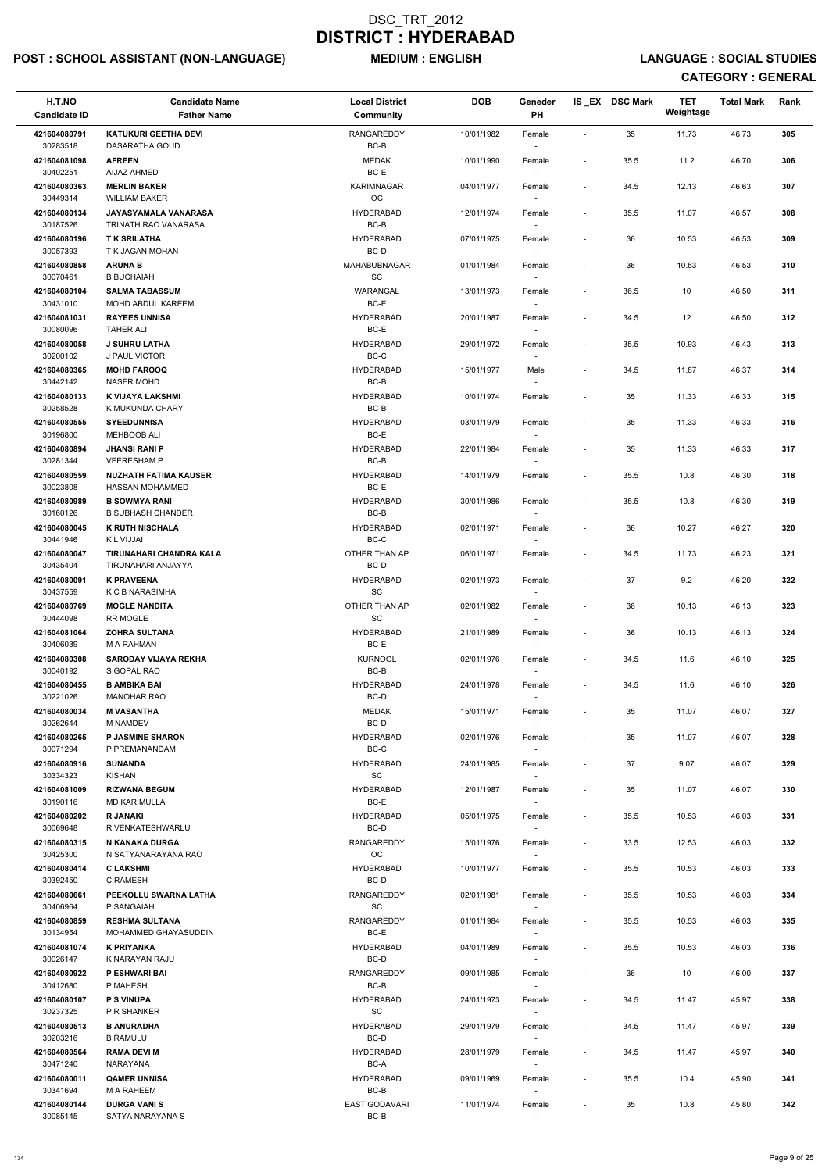## POST : SCHOOL ASSISTANT (NON-LANGUAGE) MEDIUM : ENGLISH LANGUAGE : SOCIAL STUDIES

| H.T.NO<br><b>Candidate ID</b> | <b>Candidate Name</b><br><b>Father Name</b>            | <b>Local District</b><br><b>Community</b> | <b>DOB</b> | Geneder<br>PH                      |                          | IS EX DSC Mark | TET<br>Weightage | <b>Total Mark</b> | Rank |
|-------------------------------|--------------------------------------------------------|-------------------------------------------|------------|------------------------------------|--------------------------|----------------|------------------|-------------------|------|
| 421604080791<br>30283518      | <b>KATUKURI GEETHA DEVI</b><br>DASARATHA GOUD          | <b>RANGAREDDY</b><br>BC-B                 | 10/01/1982 | Female                             | $\blacksquare$           | 35             | 11.73            | 46.73             | 305  |
| 421604081098<br>30402251      | <b>AFREEN</b><br>AIJAZ AHMED                           | <b>MEDAK</b><br>$BC-E$                    | 10/01/1990 | Female                             | $\overline{\phantom{a}}$ | 35.5           | 11.2             | 46.70             | 306  |
| 421604080363<br>30449314      | <b>MERLIN BAKER</b><br><b>WILLIAM BAKER</b>            | KARIMNAGAR<br>OC                          | 04/01/1977 | Female<br>$\overline{\phantom{a}}$ | $\blacksquare$           | 34.5           | 12.13            | 46.63             | 307  |
| 421604080134<br>30187526      | JAYASYAMALA VANARASA<br>TRINATH RAO VANARASA           | <b>HYDERABAD</b><br>BC-B                  | 12/01/1974 | Female<br>$\sim$                   | $\overline{\phantom{a}}$ | 35.5           | 11.07            | 46.57             | 308  |
| 421604080196                  | <b>TK SRILATHA</b>                                     | <b>HYDERABAD</b>                          | 07/01/1975 | Female                             | $\overline{\phantom{a}}$ | 36             | 10.53            | 46.53             | 309  |
| 30057393                      | T K JAGAN MOHAN                                        | BC-D                                      |            |                                    |                          |                |                  |                   |      |
| 421604080858<br>30070461      | <b>ARUNA B</b><br><b>B BUCHAIAH</b>                    | MAHABUBNAGAR<br>SC                        | 01/01/1984 | Female                             | $\overline{\phantom{a}}$ | 36             | 10.53            | 46.53             | 310  |
| 421604080104<br>30431010      | <b>SALMA TABASSUM</b><br>MOHD ABDUL KAREEM             | WARANGAL<br>BC-E                          | 13/01/1973 | Female                             | $\overline{\phantom{a}}$ | 36.5           | 10               | 46.50             | 311  |
| 421604081031<br>30080096      | <b>RAYEES UNNISA</b><br><b>TAHER ALI</b>               | <b>HYDERABAD</b><br>BC-E                  | 20/01/1987 | Female                             | $\overline{\phantom{a}}$ | 34.5           | 12               | 46.50             | 312  |
| 421604080058<br>30200102      | <b>J SUHRU LATHA</b><br><b>J PAUL VICTOR</b>           | HYDERABAD<br>BC-C                         | 29/01/1972 | Female                             | $\overline{\phantom{a}}$ | 35.5           | 10.93            | 46.43             | 313  |
| 421604080365<br>30442142      | <b>MOHD FAROOQ</b><br><b>NASER MOHD</b>                | <b>HYDERABAD</b><br>BC-B                  | 15/01/1977 | Male                               | $\overline{\phantom{a}}$ | 34.5           | 11.87            | 46.37             | 314  |
| 421604080133<br>30258528      | K VIJAYA LAKSHMI<br>K MUKUNDA CHARY                    | <b>HYDERABAD</b><br>BC-B                  | 10/01/1974 | Female                             | $\blacksquare$           | 35             | 11.33            | 46.33             | 315  |
| 421604080555<br>30196800      | <b>SYEEDUNNISA</b><br><b>MEHBOOB ALI</b>               | <b>HYDERABAD</b><br>BC-E                  | 03/01/1979 | Female<br>$\sim$                   | $\overline{\phantom{a}}$ | 35             | 11.33            | 46.33             | 316  |
| 421604080894                  | <b>JHANSI RANI P</b>                                   | HYDERABAD                                 | 22/01/1984 | Female                             | $\overline{\phantom{a}}$ | 35             | 11.33            | 46.33             | 317  |
| 30281344                      | <b>VEERESHAM P</b>                                     | BC-B                                      |            |                                    |                          |                |                  |                   |      |
| 421604080559<br>30023808      | <b>NUZHATH FATIMA KAUSER</b><br><b>HASSAN MOHAMMED</b> | <b>HYDERABAD</b><br>BC-E                  | 14/01/1979 | Female                             | $\overline{\phantom{a}}$ | 35.5           | 10.8             | 46.30             | 318  |
| 421604080989                  | <b>B SOWMYA RANI</b>                                   | <b>HYDERABAD</b>                          | 30/01/1986 | Female                             | $\overline{\phantom{a}}$ | 35.5           | 10.8             | 46.30             | 319  |
| 30160126<br>421604080045      | <b>B SUBHASH CHANDER</b><br><b>K RUTH NISCHALA</b>     | BC-B<br><b>HYDERABAD</b>                  | 02/01/1971 | Female                             | $\overline{\phantom{a}}$ | 36             | 10.27            | 46.27             | 320  |
| 30441946                      | K L VIJJAI                                             | BC-C<br>OTHER THAN AP                     |            | $\sim$                             |                          |                |                  |                   |      |
| 421604080047<br>30435404      | TIRUNAHARI CHANDRA KALA<br>TIRUNAHARI ANJAYYA          | BC-D                                      | 06/01/1971 | Female                             | $\overline{\phantom{a}}$ | 34.5           | 11.73            | 46.23             | 321  |
| 421604080091<br>30437559      | <b>K PRAVEENA</b><br>K C B NARASIMHA                   | <b>HYDERABAD</b><br><b>SC</b>             | 02/01/1973 | Female                             | $\overline{\phantom{a}}$ | 37             | 9.2              | 46.20             | 322  |
| 421604080769<br>30444098      | <b>MOGLE NANDITA</b><br><b>RR MOGLE</b>                | OTHER THAN AP<br>SC                       | 02/01/1982 | Female<br>$\overline{\phantom{a}}$ | $\overline{\phantom{a}}$ | 36             | 10.13            | 46.13             | 323  |
| 421604081064<br>30406039      | <b>ZOHRA SULTANA</b><br><b>M A RAHMAN</b>              | <b>HYDERABAD</b><br>BC-E                  | 21/01/1989 | Female<br>$\sim$                   | $\overline{\phantom{a}}$ | 36             | 10.13            | 46.13             | 324  |
| 421604080308<br>30040192      | <b>SARODAY VIJAYA REKHA</b><br>S GOPAL RAO             | <b>KURNOOL</b><br>BC-B                    | 02/01/1976 | Female                             | $\overline{\phantom{a}}$ | 34.5           | 11.6             | 46.10             | 325  |
| 421604080455                  | <b>B AMBIKA BAI</b>                                    | <b>HYDERABAD</b>                          | 24/01/1978 | Female                             | $\overline{\phantom{a}}$ | 34.5           | 11.6             | 46.10             | 326  |
| 30221026                      | <b>MANOHAR RAO</b>                                     | BC-D                                      |            |                                    |                          |                |                  |                   |      |
| 421604080034<br>30262644      | <b>M VASANTHA</b><br><b>M NAMDEV</b>                   | <b>MEDAK</b><br>BC-D                      | 15/01/1971 | Female                             | $\overline{\phantom{a}}$ | 35             | 11.07            | 46.07             | 327  |
| 421604080265<br>30071294      | <b>P JASMINE SHARON</b><br>P PREMANANDAM               | <b>HYDERABAD</b><br>BC-C                  | 02/01/1976 | Female                             | $\overline{\phantom{a}}$ | 35             | 11.07            | 46.07             | 328  |
| 421604080916<br>30334323      | <b>SUNANDA</b><br><b>KISHAN</b>                        | HYDERABAD<br>SC                           | 24/01/1985 | Female                             | $\overline{\phantom{a}}$ | 37             | 9.07             | 46.07             | 329  |
| 421604081009<br>30190116      | <b>RIZWANA BEGUM</b><br><b>MD KARIMULLA</b>            | <b>HYDERABAD</b><br>BC-E                  | 12/01/1987 | Female                             | $\overline{\phantom{a}}$ | 35             | 11.07            | 46.07             | 330  |
| 421604080202                  | <b>R JANAKI</b>                                        | HYDERABAD                                 | 05/01/1975 | Female                             | $\overline{\phantom{a}}$ | 35.5           | 10.53            | 46.03             | 331  |
| 30069648<br>421604080315      | R VENKATESHWARLU<br>N KANAKA DURGA                     | BC-D<br>RANGAREDDY                        | 15/01/1976 | Female                             | $\overline{\phantom{a}}$ | 33.5           | 12.53            | 46.03             | 332  |
| 30425300<br>421604080414      | N SATYANARAYANA RAO<br><b>C LAKSHMI</b>                | <b>OC</b><br>HYDERABAD                    | 10/01/1977 | $\sim$<br>Female                   | $\overline{\phantom{a}}$ | 35.5           | 10.53            | 46.03             | 333  |
| 30392450                      | C RAMESH                                               | BC-D                                      |            | $\sim$                             |                          |                |                  |                   |      |
| 421604080661<br>30406964      | PEEKOLLU SWARNA LATHA<br>P SANGAIAH                    | <b>RANGAREDDY</b><br>SC                   | 02/01/1981 | Female                             | $\overline{\phantom{a}}$ | 35.5           | 10.53            | 46.03             | 334  |
| 421604080859                  | <b>RESHMA SULTANA</b>                                  | <b>RANGAREDDY</b>                         | 01/01/1984 | Female                             | $\overline{\phantom{a}}$ | 35.5           | 10.53            | 46.03             | 335  |
| 30134954<br>421604081074      | MOHAMMED GHAYASUDDIN<br><b>K PRIYANKA</b>              | BC-E<br><b>HYDERABAD</b>                  | 04/01/1989 | Female                             | $\overline{\phantom{a}}$ | 35.5           | 10.53            | 46.03             | 336  |
| 30026147                      | K NARAYAN RAJU                                         | BC-D                                      |            |                                    |                          |                |                  |                   |      |
| 421604080922<br>30412680      | P ESHWARI BAI<br>P MAHESH                              | RANGAREDDY<br>$BC-B$                      | 09/01/1985 | Female                             |                          | 36             | 10               | 46.00             | 337  |
| 421604080107<br>30237325      | <b>P S VINUPA</b><br>P R SHANKER                       | <b>HYDERABAD</b><br>SC                    | 24/01/1973 | Female<br>$\overline{\phantom{a}}$ | $\overline{\phantom{a}}$ | 34.5           | 11.47            | 45.97             | 338  |
| 421604080513                  | <b>B ANURADHA</b>                                      | HYDERABAD                                 | 29/01/1979 | Female                             | $\overline{\phantom{a}}$ | 34.5           | 11.47            | 45.97             | 339  |
| 30203216<br>421604080564      | <b>B RAMULU</b><br><b>RAMA DEVI M</b>                  | BC-D<br><b>HYDERABAD</b>                  | 28/01/1979 | $\overline{\phantom{a}}$<br>Female | $\overline{\phantom{a}}$ | 34.5           | 11.47            | 45.97             | 340  |
| 30471240                      | NARAYANA                                               | BC-A                                      |            | $\sim$                             |                          |                |                  |                   |      |
| 421604080011<br>30341694      | <b>QAMER UNNISA</b><br>M A RAHEEM                      | HYDERABAD<br>BC-B                         | 09/01/1969 | Female<br>$\overline{\phantom{a}}$ | $\overline{\phantom{a}}$ | 35.5           | 10.4             | 45.90             | 341  |
| 421604080144<br>30085145      | <b>DURGA VANIS</b><br>SATYA NARAYANA S                 | <b>EAST GODAVARI</b><br>$BC-B$            | 11/01/1974 | Female<br>$\sim$                   | $\overline{\phantom{a}}$ | 35             | 10.8             | 45.80             | 342  |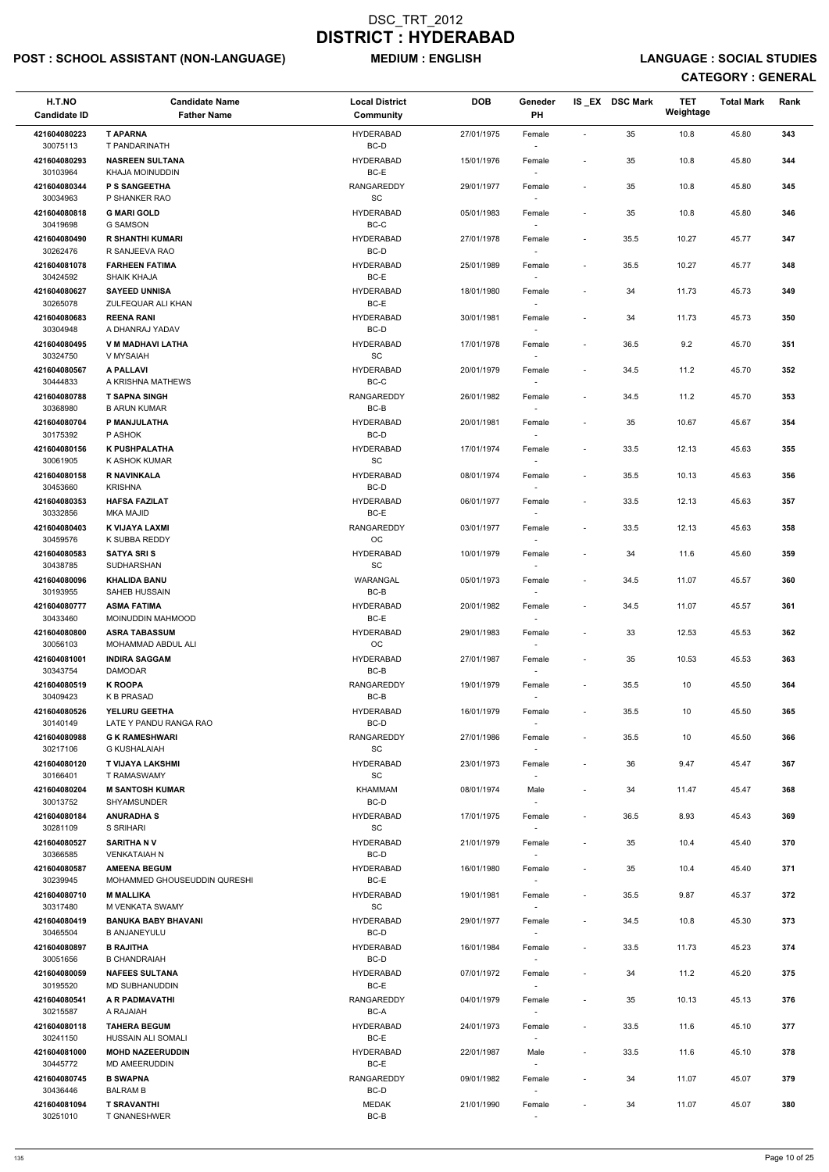## POST : SCHOOL ASSISTANT (NON-LANGUAGE) MEDIUM : ENGLISH LANGUAGE : SOCIAL STUDIES

| H.T.NO<br><b>Candidate ID</b> | <b>Candidate Name</b><br><b>Father Name</b>       | <b>Local District</b><br>Community | <b>DOB</b> | Geneder<br>PH                      |                          | IS EX DSC Mark | TET<br>Weightage | <b>Total Mark</b> | Rank |
|-------------------------------|---------------------------------------------------|------------------------------------|------------|------------------------------------|--------------------------|----------------|------------------|-------------------|------|
| 421604080223<br>30075113      | <b>T APARNA</b><br>T PANDARINATH                  | <b>HYDERABAD</b><br>BC-D           | 27/01/1975 | Female                             | $\blacksquare$           | 35             | 10.8             | 45.80             | 343  |
| 421604080293<br>30103964      | <b>NASREEN SULTANA</b><br>KHAJA MOINUDDIN         | <b>HYDERABAD</b><br>BC-E           | 15/01/1976 | Female                             | $\overline{\phantom{a}}$ | 35             | 10.8             | 45.80             | 344  |
| 421604080344<br>30034963      | <b>P S SANGEETHA</b><br>P SHANKER RAO             | <b>RANGAREDDY</b><br>SC            | 29/01/1977 | Female<br>$\overline{\phantom{a}}$ | $\overline{\phantom{a}}$ | 35             | 10.8             | 45.80             | 345  |
| 421604080818<br>30419698      | <b>G MARI GOLD</b><br><b>G SAMSON</b>             | <b>HYDERABAD</b><br>BC-C           | 05/01/1983 | Female                             | $\overline{\phantom{a}}$ | 35             | 10.8             | 45.80             | 346  |
| 421604080490                  | <b>R SHANTHI KUMARI</b>                           | <b>HYDERABAD</b>                   | 27/01/1978 | $\sim$<br>Female                   | $\overline{\phantom{a}}$ | 35.5           | 10.27            | 45.77             | 347  |
| 30262476                      | R SANJEEVA RAO                                    | BC-D                               |            |                                    |                          |                |                  |                   |      |
| 421604081078<br>30424592      | <b>FARHEEN FATIMA</b><br><b>SHAIK KHAJA</b>       | <b>HYDERABAD</b><br>BC-E           | 25/01/1989 | Female                             | $\overline{\phantom{a}}$ | 35.5           | 10.27            | 45.77             | 348  |
| 421604080627<br>30265078      | <b>SAYEED UNNISA</b><br>ZULFEQUAR ALI KHAN        | <b>HYDERABAD</b><br>$BC-E$         | 18/01/1980 | Female                             | $\overline{\phantom{a}}$ | 34             | 11.73            | 45.73             | 349  |
| 421604080683<br>30304948      | <b>REENA RANI</b><br>A DHANRAJ YADAV              | <b>HYDERABAD</b><br>BC-D           | 30/01/1981 | Female                             | $\overline{\phantom{a}}$ | 34             | 11.73            | 45.73             | 350  |
| 421604080495                  | V M MADHAVI LATHA                                 | <b>HYDERABAD</b>                   | 17/01/1978 | Female                             | $\overline{\phantom{a}}$ | 36.5           | 9.2              | 45.70             | 351  |
| 30324750<br>421604080567      | V MYSAIAH<br>A PALLAVI                            | SC<br><b>HYDERABAD</b>             | 20/01/1979 | Female                             | $\blacksquare$           | 34.5           | 11.2             | 45.70             | 352  |
| 30444833                      | A KRISHNA MATHEWS                                 | BC-C                               |            |                                    |                          |                |                  |                   |      |
| 421604080788<br>30368980      | <b>T SAPNA SINGH</b><br><b>B ARUN KUMAR</b>       | <b>RANGAREDDY</b><br>$BC-B$        | 26/01/1982 | Female                             | $\overline{\phantom{a}}$ | 34.5           | 11.2             | 45.70             | 353  |
| 421604080704<br>30175392      | P MANJULATHA<br>P ASHOK                           | <b>HYDERABAD</b><br>BC-D           | 20/01/1981 | Female<br>$\sim$                   | $\overline{a}$           | 35             | 10.67            | 45.67             | 354  |
| 421604080156<br>30061905      | <b>K PUSHPALATHA</b><br>K ASHOK KUMAR             | <b>HYDERABAD</b><br><b>SC</b>      | 17/01/1974 | Female                             | $\overline{\phantom{a}}$ | 33.5           | 12.13            | 45.63             | 355  |
| 421604080158                  | R NAVINKALA                                       | <b>HYDERABAD</b>                   | 08/01/1974 | Female                             | $\overline{\phantom{a}}$ | 35.5           | 10.13            | 45.63             | 356  |
| 30453660<br>421604080353      | <b>KRISHNA</b><br><b>HAFSA FAZILAT</b>            | BC-D<br><b>HYDERABAD</b>           | 06/01/1977 | Female                             | $\overline{\phantom{a}}$ | 33.5           | 12.13            | 45.63             | 357  |
| 30332856                      | <b>MKA MAJID</b>                                  | BC-E                               |            |                                    |                          |                |                  |                   |      |
| 421604080403<br>30459576      | K VIJAYA LAXMI<br>K SUBBA REDDY                   | <b>RANGAREDDY</b><br>OC.           | 03/01/1977 | Female<br>$\overline{\phantom{a}}$ | $\blacksquare$           | 33.5           | 12.13            | 45.63             | 358  |
| 421604080583<br>30438785      | <b>SATYA SRIS</b><br><b>SUDHARSHAN</b>            | <b>HYDERABAD</b><br>SC             | 10/01/1979 | Female                             | $\overline{a}$           | 34             | 11.6             | 45.60             | 359  |
| 421604080096<br>30193955      | <b>KHALIDA BANU</b><br><b>SAHEB HUSSAIN</b>       | WARANGAL<br>$BC-B$                 | 05/01/1973 | Female                             | $\overline{\phantom{a}}$ | 34.5           | 11.07            | 45.57             | 360  |
| 421604080777                  | <b>ASMA FATIMA</b>                                | <b>HYDERABAD</b>                   | 20/01/1982 | Female                             | $\overline{\phantom{a}}$ | 34.5           | 11.07            | 45.57             | 361  |
| 30433460<br>421604080800      | MOINUDDIN MAHMOOD<br><b>ASRA TABASSUM</b>         | BC-E<br><b>HYDERABAD</b>           | 29/01/1983 | Female                             | $\overline{\phantom{a}}$ | 33             | 12.53            | 45.53             | 362  |
| 30056103<br>421604081001      | <b>MOHAMMAD ABDUL ALI</b><br><b>INDIRA SAGGAM</b> | <b>OC</b><br><b>HYDERABAD</b>      | 27/01/1987 | $\sim$<br>Female                   | $\overline{\phantom{a}}$ | 35             | 10.53            | 45.53             | 363  |
| 30343754                      | <b>DAMODAR</b>                                    | BC-B                               |            |                                    |                          |                |                  |                   |      |
| 421604080519<br>30409423      | <b>K ROOPA</b><br>K B PRASAD                      | RANGAREDDY<br>BC-B                 | 19/01/1979 | Female                             | $\overline{\phantom{a}}$ | 35.5           | 10               | 45.50             | 364  |
| 421604080526                  | YELURU GEETHA                                     | <b>HYDERABAD</b>                   | 16/01/1979 | Female                             | $\overline{\phantom{a}}$ | 35.5           | 10               | 45.50             | 365  |
| 30140149<br>421604080988      | LATE Y PANDU RANGA RAO<br><b>G K RAMESHWARI</b>   | BC-D<br>RANGAREDDY                 | 27/01/1986 | Female                             | $\overline{\phantom{a}}$ | 35.5           | 10               | 45.50             | 366  |
| 30217106                      | <b>G KUSHALAIAH</b>                               | SC                                 |            |                                    |                          |                |                  |                   |      |
| 421604080120<br>30166401      | T VIJAYA LAKSHMI<br>T RAMASWAMY                   | <b>HYDERABAD</b><br><b>SC</b>      | 23/01/1973 | Female<br>$\overline{\phantom{a}}$ | $\overline{\phantom{a}}$ | 36             | 9.47             | 45.47             | 367  |
| 421604080204<br>30013752      | <b>M SANTOSH KUMAR</b><br><b>SHYAMSUNDER</b>      | KHAMMAM<br>BC-D                    | 08/01/1974 | Male                               | $\overline{a}$           | 34             | 11.47            | 45.47             | 368  |
| 421604080184<br>30281109      | <b>ANURADHA S</b><br>S SRIHARI                    | <b>HYDERABAD</b><br>SC             | 17/01/1975 | Female                             | $\overline{\phantom{a}}$ | 36.5           | 8.93             | 45.43             | 369  |
| 421604080527                  | <b>SARITHA NV</b>                                 | <b>HYDERABAD</b><br>BC-D           | 21/01/1979 | Female                             | $\overline{a}$           | 35             | 10.4             | 45.40             | 370  |
| 30366585<br>421604080587      | <b>VENKATAIAH N</b><br><b>AMEENA BEGUM</b>        | <b>HYDERABAD</b>                   | 16/01/1980 | $\sim$<br>Female                   | $\overline{\phantom{a}}$ | 35             | 10.4             | 45.40             | 371  |
| 30239945                      | MOHAMMED GHOUSEUDDIN QURESHI                      | BC-E                               |            | $\sim$                             |                          |                |                  |                   |      |
| 421604080710<br>30317480      | <b>M MALLIKA</b><br>M VENKATA SWAMY               | <b>HYDERABAD</b><br>SC             | 19/01/1981 | Female                             | $\overline{\phantom{a}}$ | 35.5           | 9.87             | 45.37             | 372  |
| 421604080419<br>30465504      | <b>BANUKA BABY BHAVANI</b><br><b>B ANJANEYULU</b> | <b>HYDERABAD</b><br>BC-D           | 29/01/1977 | Female                             | $\overline{\phantom{a}}$ | 34.5           | 10.8             | 45.30             | 373  |
| 421604080897                  | <b>B RAJITHA</b>                                  | <b>HYDERABAD</b>                   | 16/01/1984 | Female                             | $\overline{\phantom{a}}$ | 33.5           | 11.73            | 45.23             | 374  |
| 30051656                      | <b>B CHANDRAIAH</b>                               | BC-D                               |            |                                    |                          |                |                  |                   |      |
| 421604080059<br>30195520      | <b>NAFEES SULTANA</b><br>MD SUBHANUDDIN           | <b>HYDERABAD</b><br>BC-E           | 07/01/1972 | Female                             |                          | 34             | 11.2             | 45.20             | 375  |
| 421604080541<br>30215587      | A R PADMAVATHI<br>A RAJAIAH                       | RANGAREDDY<br>BC-A                 | 04/01/1979 | Female                             | $\overline{\phantom{a}}$ | 35             | 10.13            | 45.13             | 376  |
| 421604080118<br>30241150      | <b>TAHERA BEGUM</b><br>HUSSAIN ALI SOMALI         | <b>HYDERABAD</b><br>BC-E           | 24/01/1973 | Female                             | $\overline{a}$           | 33.5           | 11.6             | 45.10             | 377  |
| 421604081000                  | <b>MOHD NAZEERUDDIN</b>                           | <b>HYDERABAD</b>                   | 22/01/1987 | Male                               | $\overline{\phantom{a}}$ | 33.5           | 11.6             | 45.10             | 378  |
| 30445772<br>421604080745      | MD AMEERUDDIN<br><b>B SWAPNA</b>                  | BC-E<br>RANGAREDDY                 | 09/01/1982 | $\overline{\phantom{a}}$<br>Female | $\overline{\phantom{m}}$ | 34             | 11.07            | 45.07             | 379  |
| 30436446<br>421604081094      | <b>BALRAM B</b><br><b>T SRAVANTHI</b>             | BC-D<br><b>MEDAK</b>               | 21/01/1990 | Female                             | $\overline{\phantom{a}}$ | 34             | 11.07            | 45.07             | 380  |
| 30251010                      | T GNANESHWER                                      | $BC-B$                             |            | $\sim$                             |                          |                |                  |                   |      |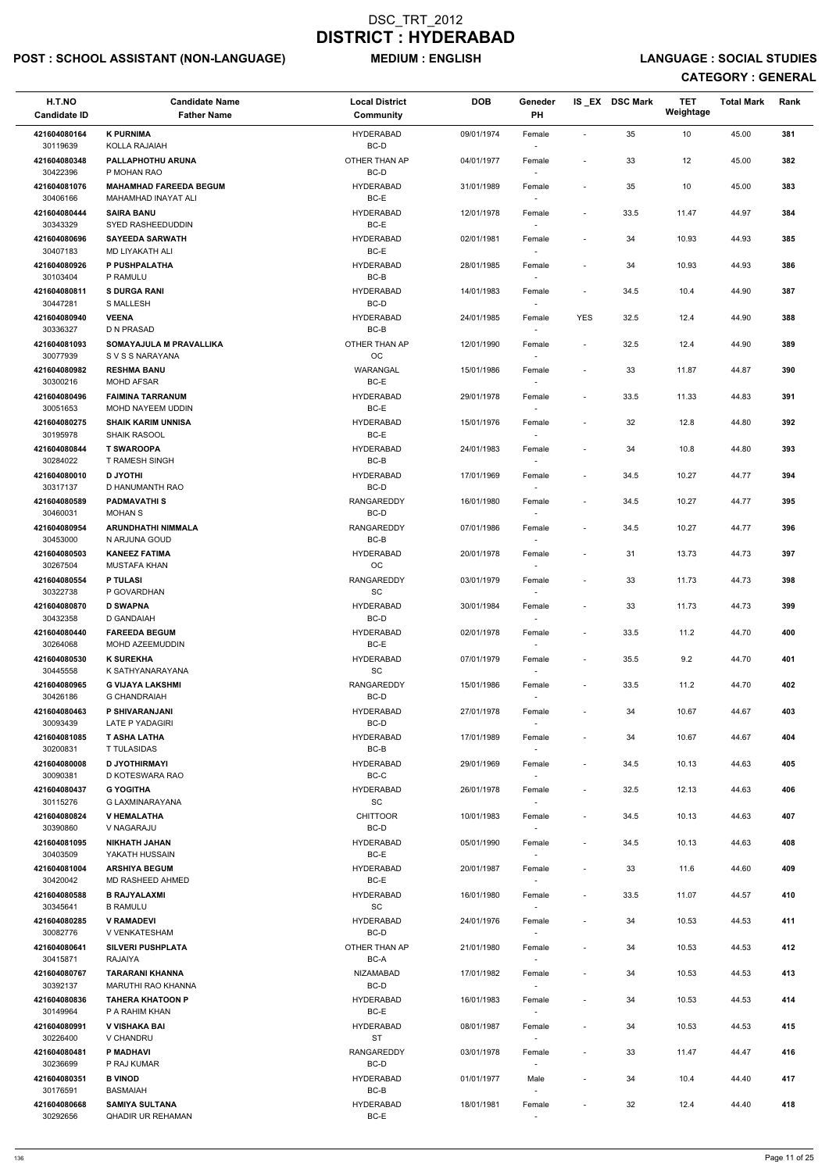## POST : SCHOOL ASSISTANT (NON-LANGUAGE) MEDIUM : ENGLISH LANGUAGE : SOCIAL STUDIES

| H.T.NO<br><b>Candidate ID</b> | <b>Candidate Name</b><br><b>Father Name</b>                 | <b>Local District</b><br><b>Community</b> | <b>DOB</b> | Geneder<br>PH                      |                          | IS EX DSC Mark | TET<br>Weightage | <b>Total Mark</b> | Rank |
|-------------------------------|-------------------------------------------------------------|-------------------------------------------|------------|------------------------------------|--------------------------|----------------|------------------|-------------------|------|
| 421604080164<br>30119639      | <b>K PURNIMA</b><br><b>KOLLA RAJAIAH</b>                    | <b>HYDERABAD</b><br>BC-D                  | 09/01/1974 | Female                             | $\blacksquare$           | 35             | 10               | 45.00             | 381  |
| 421604080348<br>30422396      | PALLAPHOTHU ARUNA<br>P MOHAN RAO                            | OTHER THAN AP<br>BC-D                     | 04/01/1977 | Female                             | $\overline{\phantom{a}}$ | 33             | 12               | 45.00             | 382  |
| 421604081076<br>30406166      | <b>MAHAMHAD FAREEDA BEGUM</b><br><b>MAHAMHAD INAYAT ALI</b> | <b>HYDERABAD</b><br>BC-E                  | 31/01/1989 | Female<br>$\overline{\phantom{a}}$ | $\overline{a}$           | 35             | 10               | 45.00             | 383  |
| 421604080444                  | <b>SAIRA BANU</b>                                           | <b>HYDERABAD</b>                          | 12/01/1978 | Female                             | $\overline{\phantom{a}}$ | 33.5           | 11.47            | 44.97             | 384  |
| 30343329                      | SYED RASHEEDUDDIN                                           | BC-E                                      |            | $\sim$                             |                          |                |                  |                   | 385  |
| 421604080696<br>30407183      | <b>SAYEEDA SARWATH</b><br>MD LIYAKATH ALI                   | <b>HYDERABAD</b><br>BC-E                  | 02/01/1981 | Female<br>$\overline{\phantom{a}}$ | $\overline{\phantom{a}}$ | 34             | 10.93            | 44.93             |      |
| 421604080926                  | P PUSHPALATHA                                               | <b>HYDERABAD</b>                          | 28/01/1985 | Female                             | $\overline{\phantom{a}}$ | 34             | 10.93            | 44.93             | 386  |
| 30103404<br>421604080811      | P RAMULU<br><b>S DURGA RANI</b>                             | BC-B<br><b>HYDERABAD</b>                  | 14/01/1983 | Female                             | $\overline{\phantom{a}}$ | 34.5           | 10.4             | 44.90             | 387  |
| 30447281<br>421604080940      | <b>S MALLESH</b><br><b>VEENA</b>                            | BC-D<br><b>HYDERABAD</b>                  | 24/01/1985 | $\sim$<br>Female                   | <b>YES</b>               | 32.5           | 12.4             | 44.90             | 388  |
| 30336327                      | D N PRASAD                                                  | BC-B                                      |            |                                    |                          |                |                  |                   |      |
| 421604081093<br>30077939      | SOMAYAJULA M PRAVALLIKA<br>S V S S NARAYANA                 | OTHER THAN AP<br><b>OC</b>                | 12/01/1990 | Female                             | $\overline{\phantom{a}}$ | 32.5           | 12.4             | 44.90             | 389  |
| 421604080982<br>30300216      | <b>RESHMA BANU</b><br><b>MOHD AFSAR</b>                     | WARANGAL<br>BC-E                          | 15/01/1986 | Female                             | $\blacksquare$           | 33             | 11.87            | 44.87             | 390  |
| 421604080496<br>30051653      | <b>FAIMINA TARRANUM</b><br>MOHD NAYEEM UDDIN                | <b>HYDERABAD</b><br>BC-E                  | 29/01/1978 | Female                             | $\overline{\phantom{a}}$ | 33.5           | 11.33            | 44.83             | 391  |
| 421604080275                  | <b>SHAIK KARIM UNNISA</b>                                   | <b>HYDERABAD</b>                          | 15/01/1976 | Female                             | $\overline{\phantom{a}}$ | 32             | 12.8             | 44.80             | 392  |
| 30195978                      | <b>SHAIK RASOOL</b>                                         | BC-E                                      |            | $\sim$                             |                          |                |                  |                   |      |
| 421604080844<br>30284022      | <b>T SWAROOPA</b><br><b>T RAMESH SINGH</b>                  | <b>HYDERABAD</b><br>BC-B                  | 24/01/1983 | Female                             | $\overline{\phantom{a}}$ | 34             | 10.8             | 44.80             | 393  |
| 421604080010                  | <b>D JYOTHI</b>                                             | <b>HYDERABAD</b>                          | 17/01/1969 | Female                             | $\overline{\phantom{a}}$ | 34.5           | 10.27            | 44.77             | 394  |
| 30317137                      | D HANUMANTH RAO                                             | BC-D<br><b>RANGAREDDY</b>                 |            | $\sim$                             |                          |                |                  |                   |      |
| 421604080589<br>30460031      | <b>PADMAVATHIS</b><br><b>MOHAN S</b>                        | BC-D                                      | 16/01/1980 | Female                             | $\overline{\phantom{a}}$ | 34.5           | 10.27            | 44.77             | 395  |
| 421604080954<br>30453000      | ARUNDHATHI NIMMALA<br>N ARJUNA GOUD                         | RANGAREDDY<br>BC-B                        | 07/01/1986 | Female<br>$\overline{\phantom{a}}$ | $\blacksquare$           | 34.5           | 10.27            | 44.77             | 396  |
| 421604080503<br>30267504      | <b>KANEEZ FATIMA</b><br>MUSTAFA KHAN                        | <b>HYDERABAD</b><br>OC                    | 20/01/1978 | Female                             | $\overline{a}$           | 31             | 13.73            | 44.73             | 397  |
| 421604080554                  | <b>P TULASI</b>                                             | RANGAREDDY                                | 03/01/1979 | Female                             | $\overline{\phantom{a}}$ | 33             | 11.73            | 44.73             | 398  |
| 30322738                      | P GOVARDHAN                                                 | <b>SC</b>                                 |            |                                    |                          |                |                  |                   |      |
| 421604080870<br>30432358      | <b>D SWAPNA</b><br>D GANDAIAH                               | <b>HYDERABAD</b><br>BC-D                  | 30/01/1984 | Female                             | $\overline{\phantom{a}}$ | 33             | 11.73            | 44.73             | 399  |
| 421604080440<br>30264068      | <b>FAREEDA BEGUM</b><br>MOHD AZEEMUDDIN                     | <b>HYDERABAD</b><br>BC-E                  | 02/01/1978 | Female<br>$\sim$                   | $\overline{\phantom{a}}$ | 33.5           | 11.2             | 44.70             | 400  |
| 421604080530<br>30445558      | <b>K SUREKHA</b><br>K SATHYANARAYANA                        | <b>HYDERABAD</b><br>SC                    | 07/01/1979 | Female<br>$\overline{\phantom{a}}$ | $\overline{\phantom{a}}$ | 35.5           | 9.2              | 44.70             | 401  |
| 421604080965                  | <b>G VIJAYA LAKSHMI</b>                                     | RANGAREDDY                                | 15/01/1986 | Female                             | $\overline{\phantom{a}}$ | 33.5           | 11.2             | 44.70             | 402  |
| 30426186<br>421604080463      | <b>G CHANDRAIAH</b><br>P SHIVARANJANI                       | BC-D<br><b>HYDERABAD</b>                  | 27/01/1978 | Female                             | $\overline{\phantom{a}}$ | 34             | 10.67            | 44.67             | 403  |
| 30093439                      | LATE P YADAGIRI                                             | BC-D                                      |            | $\sim$                             |                          |                |                  |                   |      |
| 421604081085<br>30200831      | <b>T ASHA LATHA</b><br><b>T TULASIDAS</b>                   | <b>HYDERABAD</b><br>BC-B                  | 17/01/1989 | Female                             | $\overline{\phantom{a}}$ | 34             | 10.67            | 44.67             | 404  |
| 421604080008                  | <b>D JYOTHIRMAYI</b>                                        | <b>HYDERABAD</b>                          | 29/01/1969 | Female                             | $\overline{\phantom{a}}$ | 34.5           | 10.13            | 44.63             | 405  |
| 30090381<br>421604080437      | D KOTESWARA RAO<br><b>G YOGITHA</b>                         | BC-C<br><b>HYDERABAD</b>                  | 26/01/1978 | $\sim$<br>Female                   | $\overline{\phantom{a}}$ | 32.5           | 12.13            | 44.63             | 406  |
| 30115276                      | G LAXMINARAYANA                                             | <b>SC</b>                                 |            |                                    |                          |                |                  |                   |      |
| 421604080824<br>30390860      | <b>V HEMALATHA</b><br>V NAGARAJU                            | <b>CHITTOOR</b><br>BC-D                   | 10/01/1983 | Female                             | $\overline{\phantom{a}}$ | 34.5           | 10.13            | 44.63             | 407  |
| 421604081095<br>30403509      | <b>NIKHATH JAHAN</b><br>YAKATH HUSSAIN                      | <b>HYDERABAD</b><br>BC-E                  | 05/01/1990 | Female<br>$\sim$                   | $\overline{\phantom{a}}$ | 34.5           | 10.13            | 44.63             | 408  |
| 421604081004<br>30420042      | <b>ARSHIYA BEGUM</b><br>MD RASHEED AHMED                    | <b>HYDERABAD</b><br>BC-E                  | 20/01/1987 | Female<br>$\sim$                   | $\overline{\phantom{a}}$ | 33             | 11.6             | 44.60             | 409  |
| 421604080588                  | <b>B RAJYALAXMI</b>                                         | <b>HYDERABAD</b>                          | 16/01/1980 | Female                             | $\overline{\phantom{a}}$ | 33.5           | 11.07            | 44.57             | 410  |
| 30345641                      | <b>B RAMULU</b>                                             | SC                                        |            |                                    |                          |                |                  |                   |      |
| 421604080285<br>30082776      | <b>V RAMADEVI</b><br>V VENKATESHAM                          | <b>HYDERABAD</b><br>BC-D                  | 24/01/1976 | Female                             | $\overline{\phantom{a}}$ | 34             | 10.53            | 44.53             | 411  |
| 421604080641                  | <b>SILVERI PUSHPLATA</b>                                    | OTHER THAN AP                             | 21/01/1980 | Female                             | $\blacksquare$           | 34             | 10.53            | 44.53             | 412  |
| 30415871<br>421604080767      | RAJAIYA<br>TARARANI KHANNA                                  | BC-A<br><b>NIZAMABAD</b>                  | 17/01/1982 | Female                             |                          | 34             | 10.53            | 44.53             | 413  |
| 30392137                      | MARUTHI RAO KHANNA                                          | BC-D                                      |            | $\overline{\phantom{a}}$           |                          |                |                  |                   |      |
| 421604080836<br>30149964      | <b>TAHERA KHATOON P</b><br>P A RAHIM KHAN                   | <b>HYDERABAD</b><br>BC-E                  | 16/01/1983 | Female<br>$\overline{\phantom{a}}$ | $\overline{a}$           | 34             | 10.53            | 44.53             | 414  |
| 421604080991<br>30226400      | V VISHAKA BAI<br>V CHANDRU                                  | <b>HYDERABAD</b><br>ST                    | 08/01/1987 | Female<br>$\overline{\phantom{a}}$ | $\overline{\phantom{a}}$ | 34             | 10.53            | 44.53             | 415  |
| 421604080481                  | P MADHAVI                                                   | RANGAREDDY                                | 03/01/1978 | Female                             | $\overline{\phantom{a}}$ | 33             | 11.47            | 44.47             | 416  |
| 30236699<br>421604080351      | P RAJ KUMAR<br><b>B VINOD</b>                               | BC-D<br><b>HYDERABAD</b>                  | 01/01/1977 | Male                               | $\overline{\phantom{a}}$ | 34             | 10.4             | 44.40             | 417  |
| 30176591                      | <b>BASMAIAH</b>                                             | BC-B                                      |            | $\overline{\phantom{a}}$           |                          |                |                  |                   |      |
| 421604080668<br>30292656      | <b>SAMIYA SULTANA</b><br>QHADIR UR REHAMAN                  | <b>HYDERABAD</b><br>$BC-E$                | 18/01/1981 | Female<br>$\sim$                   | $\overline{\phantom{a}}$ | 32             | 12.4             | 44.40             | 418  |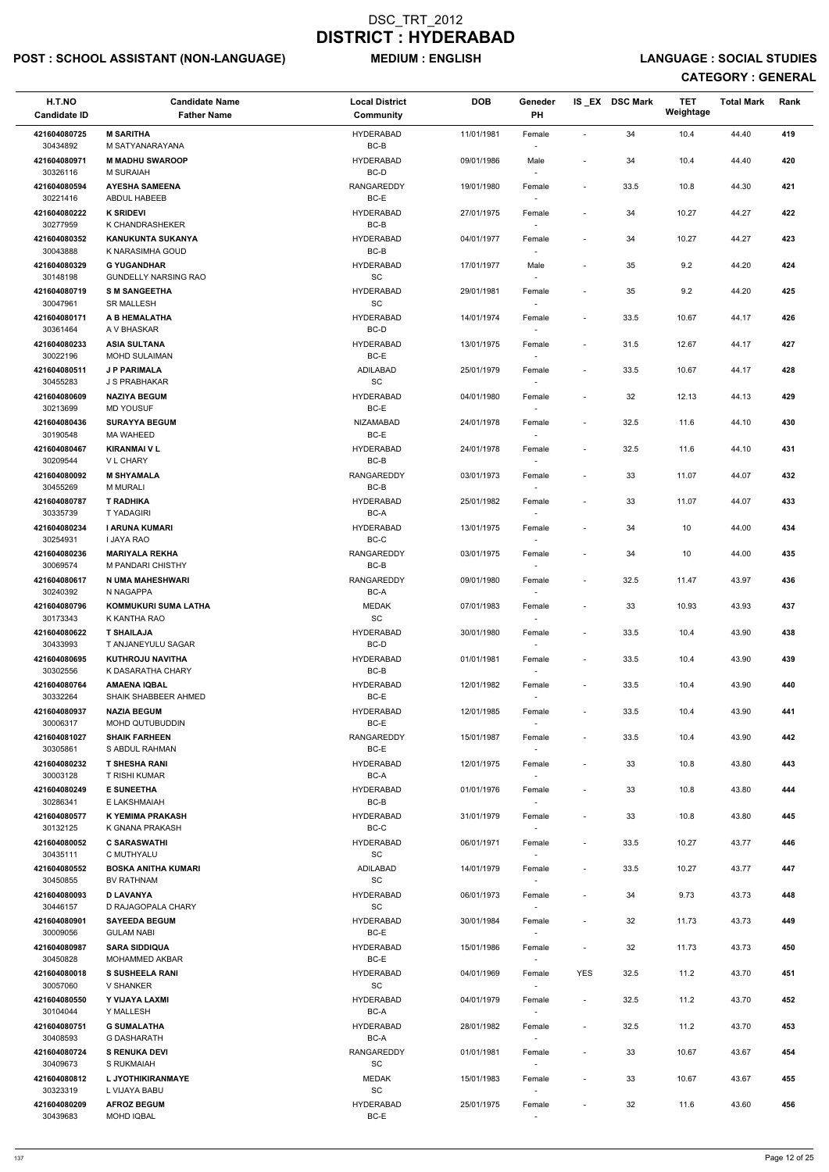## POST : SCHOOL ASSISTANT (NON-LANGUAGE) MEDIUM : ENGLISH LANGUAGE : SOCIAL STUDIES

| H.T.NO<br><b>Candidate ID</b> | <b>Candidate Name</b><br><b>Father Name</b>         | <b>Local District</b><br>Community               | <b>DOB</b> | Geneder<br>PH                      |                          | IS_EX DSC Mark | <b>TET</b><br>Weightage | <b>Total Mark</b> | Rank |
|-------------------------------|-----------------------------------------------------|--------------------------------------------------|------------|------------------------------------|--------------------------|----------------|-------------------------|-------------------|------|
| 421604080725<br>30434892      | <b>M SARITHA</b><br>M SATYANARAYANA                 | <b>HYDERABAD</b><br>BC-B                         | 11/01/1981 | Female                             | $\overline{\phantom{a}}$ | 34             | 10.4                    | 44.40             | 419  |
| 421604080971<br>30326116      | <b>M MADHU SWAROOP</b><br><b>M SURAIAH</b>          | <b>HYDERABAD</b><br>BC-D                         | 09/01/1986 | Male                               | $\overline{\phantom{a}}$ | 34             | 10.4                    | 44.40             | 420  |
| 421604080594                  | <b>AYESHA SAMEENA</b>                               | <b>RANGAREDDY</b>                                | 19/01/1980 | Female                             | $\overline{\phantom{a}}$ | 33.5           | 10.8                    | 44.30             | 421  |
| 30221416<br>421604080222      | ABDUL HABEEB<br><b>K SRIDEVI</b>                    | BC-E<br><b>HYDERABAD</b>                         | 27/01/1975 | $\sim$<br>Female                   | $\overline{\phantom{a}}$ | 34             | 10.27                   | 44.27             | 422  |
| 30277959                      | K CHANDRASHEKER                                     | BC-B                                             |            |                                    |                          |                |                         |                   |      |
| 421604080352<br>30043888      | <b>KANUKUNTA SUKANYA</b><br>K NARASIMHA GOUD        | <b>HYDERABAD</b><br>BC-B                         | 04/01/1977 | Female                             | $\overline{\phantom{a}}$ | 34             | 10.27                   | 44.27             | 423  |
| 421604080329                  | <b>G YUGANDHAR</b>                                  | <b>HYDERABAD</b>                                 | 17/01/1977 | Male                               | $\overline{\phantom{a}}$ | 35             | 9.2                     | 44.20             | 424  |
| 30148198<br>421604080719      | <b>GUNDELLY NARSING RAO</b><br><b>S M SANGEETHA</b> | $\operatorname{\textsf{SC}}$<br><b>HYDERABAD</b> | 29/01/1981 | Female                             | $\overline{\phantom{a}}$ | 35             | 9.2                     | 44.20             | 425  |
| 30047961<br>421604080171      | <b>SR MALLESH</b><br>A B HEMALATHA                  | SC<br><b>HYDERABAD</b>                           | 14/01/1974 | Female                             | $\overline{\phantom{a}}$ | 33.5           | 10.67                   | 44.17             | 426  |
| 30361464<br>421604080233      | A V BHASKAR<br><b>ASIA SULTANA</b>                  | BC-D<br><b>HYDERABAD</b>                         | 13/01/1975 | Female                             | $\overline{\phantom{a}}$ | 31.5           | 12.67                   | 44.17             | 427  |
| 30022196                      | <b>MOHD SULAIMAN</b>                                | BC-E                                             |            | $\sim$                             |                          |                |                         |                   |      |
| 421604080511<br>30455283      | <b>J P PARIMALA</b><br>J S PRABHAKAR                | <b>ADILABAD</b><br>$\operatorname{\textsf{SC}}$  | 25/01/1979 | Female                             | $\overline{\phantom{a}}$ | 33.5           | 10.67                   | 44.17             | 428  |
| 421604080609<br>30213699      | <b>NAZIYA BEGUM</b><br><b>MD YOUSUF</b>             | <b>HYDERABAD</b><br>BC-E                         | 04/01/1980 | Female                             | $\overline{\phantom{a}}$ | 32             | 12.13                   | 44.13             | 429  |
| 421604080436<br>30190548      | <b>SURAYYA BEGUM</b><br><b>MA WAHEED</b>            | NIZAMABAD<br>BC-E                                | 24/01/1978 | Female<br>$\sim$                   | $\overline{\phantom{a}}$ | 32.5           | 11.6                    | 44.10             | 430  |
| 421604080467<br>30209544      | <b>KIRANMAI V L</b><br><b>VL CHARY</b>              | <b>HYDERABAD</b><br>BC-B                         | 24/01/1978 | Female                             | $\overline{\phantom{a}}$ | 32.5           | 11.6                    | 44.10             | 431  |
| 421604080092                  | <b>M SHYAMALA</b>                                   | RANGAREDDY                                       | 03/01/1973 | Female                             | $\overline{\phantom{a}}$ | 33             | 11.07                   | 44.07             | 432  |
| 30455269<br>421604080787      | <b>M MURALI</b><br><b>T RADHIKA</b>                 | BC-B<br><b>HYDERABAD</b>                         | 25/01/1982 | Female                             | $\overline{\phantom{a}}$ | 33             | 11.07                   | 44.07             | 433  |
| 30335739<br>421604080234      | <b>TYADAGIRI</b><br><b>I ARUNA KUMARI</b>           | BC-A<br><b>HYDERABAD</b>                         | 13/01/1975 | Female                             | $\overline{\phantom{a}}$ | 34             | 10                      | 44.00             | 434  |
| 30254931<br>421604080236      | <b>I JAYA RAO</b><br><b>MARIYALA REKHA</b>          | BC-C<br>RANGAREDDY                               | 03/01/1975 | Female                             | $\overline{a}$           | 34             | 10                      | 44.00             | 435  |
| 30069574                      | M PANDARI CHISTHY                                   | BC-B                                             |            |                                    |                          |                |                         |                   |      |
| 421604080617<br>30240392      | N UMA MAHESHWARI<br>N NAGAPPA                       | RANGAREDDY<br>BC-A                               | 09/01/1980 | Female                             | $\overline{\phantom{a}}$ | 32.5           | 11.47                   | 43.97             | 436  |
| 421604080796<br>30173343      | KOMMUKURI SUMA LATHA<br>K KANTHA RAO                | <b>MEDAK</b><br>SC                               | 07/01/1983 | Female<br>$\overline{\phantom{a}}$ | $\overline{\phantom{a}}$ | 33             | 10.93                   | 43.93             | 437  |
| 421604080622<br>30433993      | <b>T SHAILAJA</b><br>T ANJANEYULU SAGAR             | <b>HYDERABAD</b><br>BC-D                         | 30/01/1980 | Female<br>$\sim$                   | $\overline{\phantom{a}}$ | 33.5           | 10.4                    | 43.90             | 438  |
| 421604080695<br>30302556      | <b>KUTHROJU NAVITHA</b><br>K DASARATHA CHARY        | <b>HYDERABAD</b><br>BC-B                         | 01/01/1981 | Female<br>$\overline{\phantom{a}}$ | $\overline{\phantom{a}}$ | 33.5           | 10.4                    | 43.90             | 439  |
| 421604080764                  | <b>AMAENA IQBAL</b>                                 | <b>HYDERABAD</b>                                 | 12/01/1982 | Female                             | $\overline{\phantom{a}}$ | 33.5           | 10.4                    | 43.90             | 440  |
| 30332264<br>421604080937      | SHAIK SHABBEER AHMED<br><b>NAZIA BEGUM</b>          | BC-E<br><b>HYDERABAD</b>                         | 12/01/1985 | Female                             | $\overline{\phantom{a}}$ | 33.5           | 10.4                    | 43.90             | 441  |
| 30006317                      | MOHD QUTUBUDDIN                                     | BC-E                                             |            |                                    |                          |                |                         |                   |      |
| 421604081027<br>30305861      | <b>SHAIK FARHEEN</b><br>S ABDUL RAHMAN              | RANGAREDDY<br>BC-E                               | 15/01/1987 | Female                             | $\overline{\phantom{a}}$ | 33.5           | 10.4                    | 43.90             | 442  |
| 421604080232<br>30003128      | <b>T SHESHA RANI</b><br>T RISHI KUMAR               | <b>HYDERABAD</b><br>BC-A                         | 12/01/1975 | Female<br>$\sim$                   | $\overline{\phantom{a}}$ | 33             | 10.8                    | 43.80             | 443  |
| 421604080249<br>30286341      | <b>E SUNEETHA</b><br>E LAKSHMAIAH                   | <b>HYDERABAD</b><br>BC-B                         | 01/01/1976 | Female                             | $\overline{\phantom{a}}$ | 33             | 10.8                    | 43.80             | 444  |
| 421604080577<br>30132125      | K YEMIMA PRAKASH<br>K GNANA PRAKASH                 | <b>HYDERABAD</b><br>BC-C                         | 31/01/1979 | Female                             | $\overline{\phantom{a}}$ | 33             | 10.8                    | 43.80             | 445  |
| 421604080052<br>30435111      | <b>C SARASWATHI</b><br>C MUTHYALU                   | <b>HYDERABAD</b><br>SC                           | 06/01/1971 | Female<br>$\sim$                   | $\overline{\phantom{a}}$ | 33.5           | 10.27                   | 43.77             | 446  |
| 421604080552<br>30450855      | <b>BOSKA ANITHA KUMARI</b><br><b>BV RATHNAM</b>     | ADILABAD<br>SC                                   | 14/01/1979 | Female                             | $\overline{\phantom{a}}$ | 33.5           | 10.27                   | 43.77             | 447  |
| 421604080093                  | <b>D LAVANYA</b>                                    | <b>HYDERABAD</b>                                 | 06/01/1973 | Female                             | $\overline{\phantom{a}}$ | 34             | 9.73                    | 43.73             | 448  |
| 30446157                      | D RAJAGOPALA CHARY                                  | <b>SC</b>                                        |            |                                    |                          |                |                         |                   |      |
| 421604080901<br>30009056      | <b>SAYEEDA BEGUM</b><br><b>GULAM NABI</b>           | <b>HYDERABAD</b><br>BC-E                         | 30/01/1984 | Female                             | $\overline{\phantom{a}}$ | 32             | 11.73                   | 43.73             | 449  |
| 421604080987<br>30450828      | <b>SARA SIDDIQUA</b><br>MOHAMMED AKBAR              | <b>HYDERABAD</b><br>BC-E                         | 15/01/1986 | Female                             | $\overline{\phantom{a}}$ | 32             | 11.73                   | 43.73             | 450  |
| 421604080018                  | <b>S SUSHEELA RANI</b>                              | <b>HYDERABAD</b>                                 | 04/01/1969 | Female                             | <b>YES</b>               | 32.5           | 11.2                    | 43.70             | 451  |
| 30057060<br>421604080550      | V SHANKER<br>Y VIJAYA LAXMI                         | SC<br><b>HYDERABAD</b>                           | 04/01/1979 | $\overline{\phantom{a}}$<br>Female | $\overline{\phantom{a}}$ | 32.5           | 11.2                    | 43.70             | 452  |
| 30104044<br>421604080751      | Y MALLESH<br><b>G SUMALATHA</b>                     | BC-A<br><b>HYDERABAD</b>                         | 28/01/1982 | $\overline{\phantom{a}}$<br>Female | $\overline{\phantom{a}}$ | 32.5           | 11.2                    | 43.70             | 453  |
| 30408593<br>421604080724      | <b>G DASHARATH</b><br><b>S RENUKA DEVI</b>          | BC-A<br>RANGAREDDY                               | 01/01/1981 | $\overline{\phantom{a}}$<br>Female | $\overline{\phantom{a}}$ | 33             | 10.67                   | 43.67             | 454  |
| 30409673                      | S RUKMAIAH                                          | SC                                               |            | $\overline{\phantom{a}}$           |                          |                |                         |                   |      |
| 421604080812<br>30323319      | L JYOTHIKIRANMAYE<br>L VIJAYA BABU                  | <b>MEDAK</b><br>$\operatorname{\textsf{SC}}$     | 15/01/1983 | Female<br>$\sim$                   | $\overline{\phantom{a}}$ | 33             | 10.67                   | 43.67             | 455  |
| 421604080209<br>30439683      | <b>AFROZ BEGUM</b><br>MOHD IQBAL                    | <b>HYDERABAD</b><br>$BC-E$                       | 25/01/1975 | Female<br>$\overline{\phantom{a}}$ | $\overline{\phantom{a}}$ | 32             | 11.6                    | 43.60             | 456  |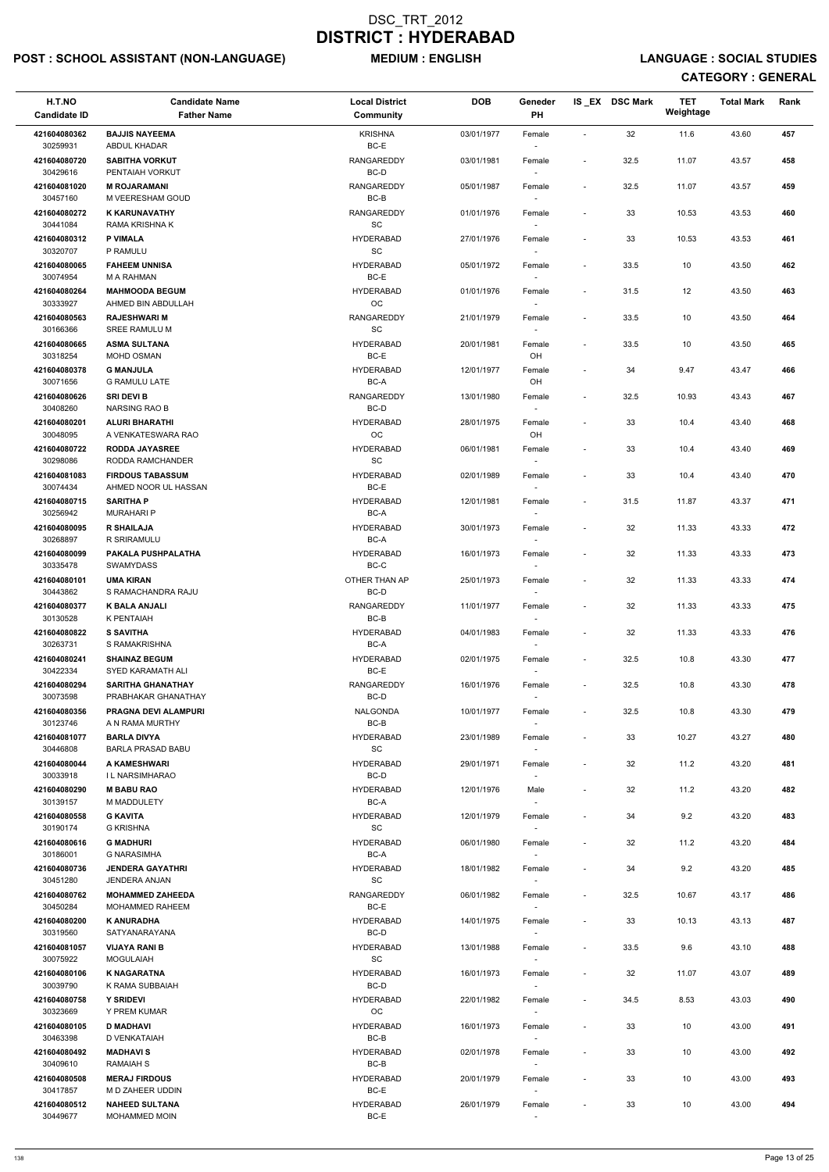## POST : SCHOOL ASSISTANT (NON-LANGUAGE) MEDIUM : ENGLISH LANGUAGE : SOCIAL STUDIES

| H.T.NO<br><b>Candidate ID</b> | <b>Candidate Name</b><br><b>Father Name</b>     | <b>Local District</b><br>Community | <b>DOB</b> | Geneder<br>PH                      |                          | IS_EX DSC Mark | <b>TET</b><br>Weightage | <b>Total Mark</b> | Rank |
|-------------------------------|-------------------------------------------------|------------------------------------|------------|------------------------------------|--------------------------|----------------|-------------------------|-------------------|------|
| 421604080362                  | <b>BAJJIS NAYEEMA</b>                           | <b>KRISHNA</b>                     | 03/01/1977 | Female                             | $\overline{\phantom{a}}$ | 32             | 11.6                    | 43.60             | 457  |
| 30259931                      | <b>ABDUL KHADAR</b>                             | BC-E                               |            |                                    |                          |                |                         |                   |      |
| 421604080720<br>30429616      | <b>SABITHA VORKUT</b><br>PENTAIAH VORKUT        | RANGAREDDY<br>BC-D                 | 03/01/1981 | Female                             | $\overline{\phantom{a}}$ | 32.5           | 11.07                   | 43.57             | 458  |
| 421604081020<br>30457160      | <b>M ROJARAMANI</b><br>M VEERESHAM GOUD         | <b>RANGAREDDY</b><br>$BC-B$        | 05/01/1987 | Female                             | $\overline{\phantom{a}}$ | 32.5           | 11.07                   | 43.57             | 459  |
| 421604080272                  | <b>K KARUNAVATHY</b>                            | RANGAREDDY                         | 01/01/1976 | Female                             | $\overline{\phantom{a}}$ | 33             | 10.53                   | 43.53             | 460  |
| 30441084<br>421604080312      | RAMA KRISHNA K<br><b>P VIMALA</b>               | SC<br><b>HYDERABAD</b>             | 27/01/1976 |                                    | $\overline{\phantom{a}}$ | 33             | 10.53                   | 43.53             | 461  |
| 30320707                      | P RAMULU                                        | SC                                 |            | Female                             |                          |                |                         |                   |      |
| 421604080065<br>30074954      | <b>FAHEEM UNNISA</b><br>M A RAHMAN              | <b>HYDERABAD</b><br>BC-E           | 05/01/1972 | Female                             | $\overline{\phantom{a}}$ | 33.5           | 10                      | 43.50             | 462  |
| 421604080264<br>30333927      | <b>MAHMOODA BEGUM</b><br>AHMED BIN ABDULLAH     | <b>HYDERABAD</b><br>OC             | 01/01/1976 | Female                             | $\overline{\phantom{a}}$ | 31.5           | 12                      | 43.50             | 463  |
| 421604080563<br>30166366      | <b>RAJESHWARI M</b><br>SREE RAMULU M            | <b>RANGAREDDY</b><br>SC            | 21/01/1979 | Female<br>$\sim$                   | $\overline{\phantom{a}}$ | 33.5           | 10                      | 43.50             | 464  |
| 421604080665                  | <b>ASMA SULTANA</b>                             | <b>HYDERABAD</b>                   | 20/01/1981 | Female                             | $\overline{\phantom{a}}$ | 33.5           | 10                      | 43.50             | 465  |
| 30318254<br>421604080378      | <b>MOHD OSMAN</b><br><b>G MANJULA</b>           | BC-E<br><b>HYDERABAD</b>           | 12/01/1977 | OH<br>Female                       | $\overline{\phantom{a}}$ | 34             | 9.47                    | 43.47             | 466  |
| 30071656                      | <b>G RAMULU LATE</b>                            | BC-A                               |            | OH                                 |                          |                |                         |                   |      |
| 421604080626<br>30408260      | <b>SRI DEVI B</b><br>NARSING RAO B              | <b>RANGAREDDY</b><br>BC-D          | 13/01/1980 | Female                             | $\overline{\phantom{a}}$ | 32.5           | 10.93                   | 43.43             | 467  |
| 421604080201                  | <b>ALURI BHARATHI</b>                           | <b>HYDERABAD</b>                   | 28/01/1975 | Female                             | $\overline{\phantom{a}}$ | 33             | 10.4                    | 43.40             | 468  |
| 30048095<br>421604080722      | A VENKATESWARA RAO<br><b>RODDA JAYASREE</b>     | <b>OC</b><br><b>HYDERABAD</b>      | 06/01/1981 | OH<br>Female                       | $\overline{\phantom{a}}$ | 33             | 10.4                    | 43.40             | 469  |
| 30298086                      | RODDA RAMCHANDER                                | SC                                 |            | $\sim$                             |                          |                |                         |                   |      |
| 421604081083<br>30074434      | <b>FIRDOUS TABASSUM</b><br>AHMED NOOR UL HASSAN | <b>HYDERABAD</b><br>BC-E           | 02/01/1989 | Female                             | $\overline{\phantom{a}}$ | 33             | 10.4                    | 43.40             | 470  |
| 421604080715                  | <b>SARITHA P</b>                                | <b>HYDERABAD</b>                   | 12/01/1981 | Female                             | $\overline{\phantom{a}}$ | 31.5           | 11.87                   | 43.37             | 471  |
| 30256942<br>421604080095      | <b>MURAHARI P</b><br><b>R SHAILAJA</b>          | BC-A<br><b>HYDERABAD</b>           | 30/01/1973 | Female                             | $\overline{\phantom{a}}$ | 32             | 11.33                   | 43.33             | 472  |
| 30268897<br>421604080099      | R SRIRAMULU<br>PAKALA PUSHPALATHA               | BC-A<br><b>HYDERABAD</b>           | 16/01/1973 | $\overline{\phantom{a}}$<br>Female |                          | 32             | 11.33                   | 43.33             | 473  |
| 30335478                      | <b>SWAMYDASS</b>                                | BC-C                               |            | $\overline{\phantom{a}}$           |                          |                |                         |                   |      |
| 421604080101<br>30443862      | <b>UMA KIRAN</b><br>S RAMACHANDRA RAJU          | OTHER THAN AP<br>BC-D              | 25/01/1973 | Female                             | $\overline{\phantom{a}}$ | 32             | 11.33                   | 43.33             | 474  |
| 421604080377<br>30130528      | <b>K BALA ANJALI</b><br>K PENTAIAH              | <b>RANGAREDDY</b><br>$BC-B$        | 11/01/1977 | Female                             | $\overline{\phantom{a}}$ | 32             | 11.33                   | 43.33             | 475  |
| 421604080822<br>30263731      | <b>S SAVITHA</b><br>S RAMAKRISHNA               | <b>HYDERABAD</b><br>BC-A           | 04/01/1983 | Female                             | $\overline{\phantom{a}}$ | 32             | 11.33                   | 43.33             | 476  |
| 421604080241                  | <b>SHAINAZ BEGUM</b>                            | <b>HYDERABAD</b>                   | 02/01/1975 | Female                             | $\overline{\phantom{a}}$ | 32.5           | 10.8                    | 43.30             | 477  |
| 30422334<br>421604080294      | SYED KARAMATH ALI<br><b>SARITHA GHANATHAY</b>   | BC-E<br>RANGAREDDY                 | 16/01/1976 | $\sim$<br>Female                   | $\overline{\phantom{a}}$ | 32.5           | 10.8                    | 43.30             | 478  |
| 30073598                      | PRABHAKAR GHANATHAY                             | BC-D                               |            |                                    |                          |                |                         |                   |      |
| 421604080356<br>30123746      | <b>PRAGNA DEVI ALAMPURI</b><br>A N RAMA MURTHY  | <b>NALGONDA</b><br>$BC-B$          | 10/01/1977 | Female                             | $\overline{\phantom{a}}$ | 32.5           | 10.8                    | 43.30             | 479  |
| 421604081077<br>30446808      | <b>BARLA DIVYA</b><br><b>BARLA PRASAD BABU</b>  | <b>HYDERABAD</b><br>SC             | 23/01/1989 | Female<br>$\sim$                   | $\overline{\phantom{a}}$ | 33             | 10.27                   | 43.27             | 480  |
| 421604080044                  | A KAMESHWARI                                    | <b>HYDERABAD</b>                   | 29/01/1971 | Female                             | $\overline{\phantom{a}}$ | 32             | 11.2                    | 43.20             | 481  |
| 30033918<br>421604080290      | I L NARSIMHARAO<br><b>M BABU RAO</b>            | BC-D<br><b>HYDERABAD</b>           | 12/01/1976 | $\overline{\phantom{a}}$<br>Male   | $\overline{\phantom{a}}$ | 32             | 11.2                    | 43.20             | 482  |
| 30139157                      | M MADDULETY                                     | BC-A                               |            |                                    |                          |                |                         |                   |      |
| 421604080558<br>30190174      | <b>G KAVITA</b><br><b>G KRISHNA</b>             | <b>HYDERABAD</b><br>SC             | 12/01/1979 | Female                             | $\overline{\phantom{m}}$ | 34             | 9.2                     | 43.20             | 483  |
| 421604080616<br>30186001      | <b>G MADHURI</b><br><b>G NARASIMHA</b>          | <b>HYDERABAD</b><br>BC-A           | 06/01/1980 | Female                             | $\overline{\phantom{a}}$ | 32             | 11.2                    | 43.20             | 484  |
| 421604080736                  | <b>JENDERA GAYATHRI</b>                         | <b>HYDERABAD</b>                   | 18/01/1982 | Female                             | $\overline{\phantom{a}}$ | 34             | 9.2                     | 43.20             | 485  |
| 30451280<br>421604080762      | JENDERA ANJAN<br><b>MOHAMMED ZAHEEDA</b>        | SC<br><b>RANGAREDDY</b>            | 06/01/1982 | $\overline{\phantom{a}}$<br>Female | $\overline{\phantom{a}}$ | 32.5           | 10.67                   | 43.17             | 486  |
| 30450284                      | MOHAMMED RAHEEM                                 | BC-E                               |            |                                    |                          |                |                         |                   |      |
| 421604080200<br>30319560      | <b>K ANURADHA</b><br>SATYANARAYANA              | <b>HYDERABAD</b><br>BC-D           | 14/01/1975 | Female                             | $\overline{\phantom{m}}$ | 33             | 10.13                   | 43.13             | 487  |
| 421604081057                  | <b>VIJAYA RANI B</b>                            | <b>HYDERABAD</b>                   | 13/01/1988 | Female                             | $\overline{\phantom{a}}$ | 33.5           | 9.6                     | 43.10             | 488  |
| 30075922<br>421604080106      | <b>MOGULAIAH</b><br><b>K NAGARATNA</b>          | SC<br><b>HYDERABAD</b>             | 16/01/1973 | Female                             | $\overline{\phantom{a}}$ | 32             | 11.07                   | 43.07             | 489  |
| 30039790                      | K RAMA SUBBAIAH                                 | BC-D                               |            | $\sim$                             |                          |                |                         |                   |      |
| 421604080758<br>30323669      | <b>Y SRIDEVI</b><br>Y PREM KUMAR                | <b>HYDERABAD</b><br>OC             | 22/01/1982 | Female                             | $\overline{\phantom{a}}$ | 34.5           | 8.53                    | 43.03             | 490  |
| 421604080105<br>30463398      | <b>D MADHAVI</b><br>D VENKATAIAH                | <b>HYDERABAD</b><br>BC-B           | 16/01/1973 | Female<br>$\overline{\phantom{a}}$ | $\overline{\phantom{a}}$ | 33             | 10                      | 43.00             | 491  |
| 421604080492                  | <b>MADHAVIS</b>                                 | <b>HYDERABAD</b>                   | 02/01/1978 | Female                             | $\overline{\phantom{a}}$ | 33             | 10                      | 43.00             | 492  |
| 30409610<br>421604080508      | <b>RAMAIAH S</b><br><b>MERAJ FIRDOUS</b>        | BC-B<br><b>HYDERABAD</b>           | 20/01/1979 | $\sim$<br>Female                   | $\overline{\phantom{a}}$ | 33             | 10                      | 43.00             | 493  |
| 30417857<br>421604080512      | M D ZAHEER UDDIN<br><b>NAHEED SULTANA</b>       | BC-E<br><b>HYDERABAD</b>           |            | $\sim$                             |                          |                |                         |                   | 494  |
| 30449677                      | <b>MOHAMMED MOIN</b>                            | BC-E                               | 26/01/1979 | Female                             | $\overline{\phantom{m}}$ | 33             | 10                      | 43.00             |      |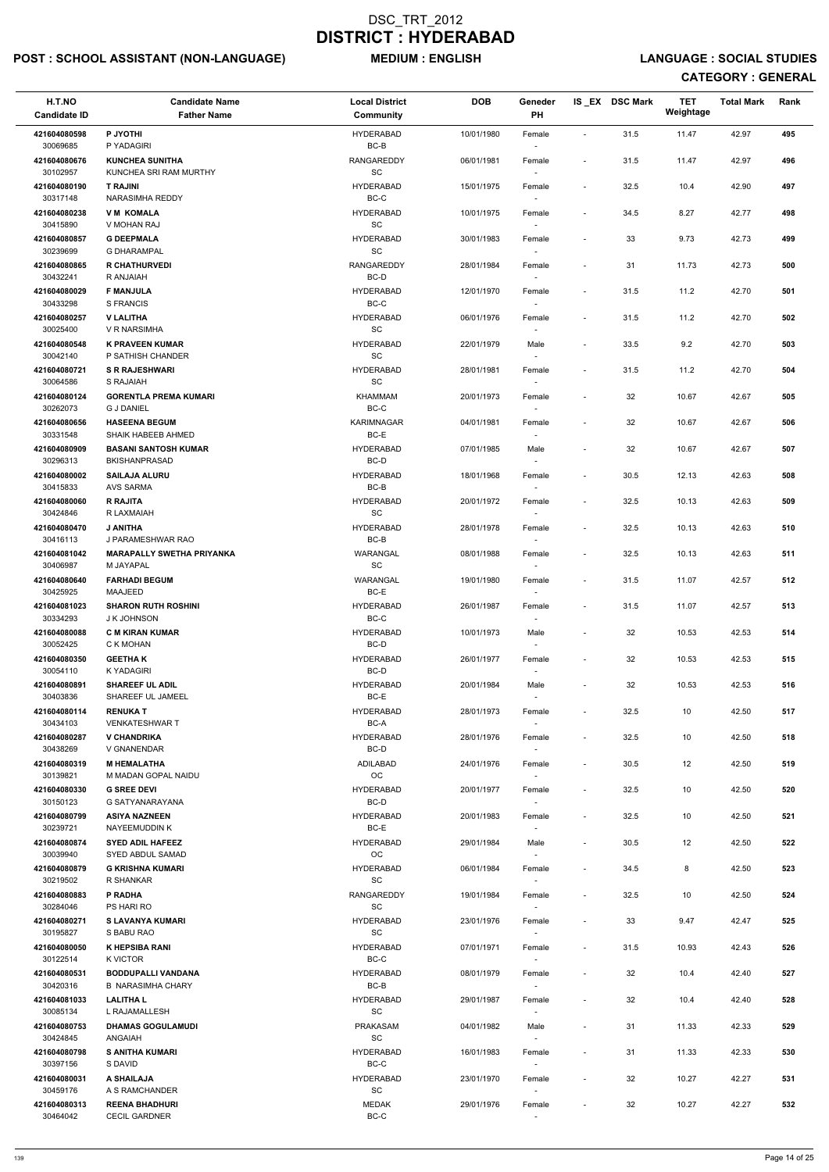## POST : SCHOOL ASSISTANT (NON-LANGUAGE) MEDIUM : ENGLISH LANGUAGE : SOCIAL STUDIES

| H.T.NO<br><b>Candidate ID</b> | <b>Candidate Name</b><br><b>Father Name</b>           | <b>Local District</b><br>Community               | <b>DOB</b> | Geneder<br>PH                      |                          | IS EX DSC Mark | <b>TET</b><br>Weightage | <b>Total Mark</b> | Rank |
|-------------------------------|-------------------------------------------------------|--------------------------------------------------|------------|------------------------------------|--------------------------|----------------|-------------------------|-------------------|------|
| 421604080598<br>30069685      | P JYOTHI<br>P YADAGIRI                                | <b>HYDERABAD</b><br>$BC-B$                       | 10/01/1980 | Female                             | $\sim$                   | 31.5           | 11.47                   | 42.97             | 495  |
| 421604080676<br>30102957      | <b>KUNCHEA SUNITHA</b><br>KUNCHEA SRI RAM MURTHY      | RANGAREDDY<br>SC                                 | 06/01/1981 | Female                             | $\sim$                   | 31.5           | 11.47                   | 42.97             | 496  |
| 421604080190<br>30317148      | <b>T RAJINI</b><br>NARASIMHA REDDY                    | <b>HYDERABAD</b><br>BC-C                         | 15/01/1975 | Female<br>$\sim$                   | $\blacksquare$           | 32.5           | 10.4                    | 42.90             | 497  |
| 421604080238                  | <b>VM KOMALA</b>                                      | <b>HYDERABAD</b>                                 | 10/01/1975 | Female                             | $\sim$                   | 34.5           | 8.27                    | 42.77             | 498  |
| 30415890<br>421604080857      | V MOHAN RAJ<br><b>G DEEPMALA</b>                      | SC<br><b>HYDERABAD</b>                           | 30/01/1983 | $\sim$<br>Female                   | $\blacksquare$           | 33             | 9.73                    | 42.73             | 499  |
| 30239699<br>421604080865      | <b>G DHARAMPAL</b><br><b>R CHATHURVEDI</b>            | SC<br><b>RANGAREDDY</b>                          | 28/01/1984 | $\sim$<br>Female                   | $\overline{\phantom{a}}$ | 31             | 11.73                   | 42.73             | 500  |
| 30432241<br>421604080029      | R ANJAIAH<br><b>F MANJULA</b>                         | $BC-D$<br><b>HYDERABAD</b>                       | 12/01/1970 | Female                             | $\overline{\phantom{a}}$ | 31.5           | 11.2                    | 42.70             | 501  |
| 30433298<br>421604080257      | S FRANCIS<br><b>V LALITHA</b>                         | $BC-C$<br><b>HYDERABAD</b>                       | 06/01/1976 | Female                             | $\blacksquare$           | 31.5           | 11.2                    | 42.70             | 502  |
| 30025400<br>421604080548      | V R NARSIMHA<br><b>K PRAVEEN KUMAR</b>                | SC<br><b>HYDERABAD</b>                           | 22/01/1979 | Male                               | $\overline{\phantom{a}}$ | 33.5           | 9.2                     | 42.70             | 503  |
| 30042140                      | P SATHISH CHANDER                                     | SC                                               |            | $\sim$                             |                          |                |                         |                   |      |
| 421604080721<br>30064586      | <b>S R RAJESHWARI</b><br>S RAJAIAH                    | <b>HYDERABAD</b><br>$\operatorname{\textsf{SC}}$ | 28/01/1981 | Female                             |                          | 31.5           | 11.2                    | 42.70             | 504  |
| 421604080124<br>30262073      | <b>GORENTLA PREMA KUMARI</b><br><b>G J DANIEL</b>     | <b>KHAMMAM</b><br>BC-C                           | 20/01/1973 | Female                             | $\blacksquare$           | 32             | 10.67                   | 42.67             | 505  |
| 421604080656<br>30331548      | <b>HASEENA BEGUM</b><br>SHAIK HABEEB AHMED            | <b>KARIMNAGAR</b><br>BC-E                        | 04/01/1981 | Female<br>$\sim$                   |                          | 32             | 10.67                   | 42.67             | 506  |
| 421604080909<br>30296313      | <b>BASANI SANTOSH KUMAR</b><br><b>BKISHANPRASAD</b>   | <b>HYDERABAD</b><br>BC-D                         | 07/01/1985 | Male                               | $\blacksquare$           | 32             | 10.67                   | 42.67             | 507  |
| 421604080002<br>30415833      | <b>SAILAJA ALURU</b><br>AVS SARMA                     | <b>HYDERABAD</b><br>BC-B                         | 18/01/1968 | Female                             | $\sim$                   | 30.5           | 12.13                   | 42.63             | 508  |
| 421604080060                  | <b>R RAJITA</b>                                       | <b>HYDERABAD</b>                                 | 20/01/1972 | Female                             | $\blacksquare$           | 32.5           | 10.13                   | 42.63             | 509  |
| 30424846<br>421604080470      | R LAXMAIAH<br><b>J ANITHA</b>                         | SC<br><b>HYDERABAD</b>                           | 28/01/1978 | Female                             |                          | 32.5           | 10.13                   | 42.63             | 510  |
| 30416113<br>421604081042      | J PARAMESHWAR RAO<br><b>MARAPALLY SWETHA PRIYANKA</b> | BC-B<br><b>WARANGAL</b>                          | 08/01/1988 | $\blacksquare$<br>Female           |                          | 32.5           | 10.13                   | 42.63             | 511  |
| 30406987<br>421604080640      | M JAYAPAL<br><b>FARHADI BEGUM</b>                     | SC<br>WARANGAL                                   | 19/01/1980 | Female                             | $\overline{\phantom{a}}$ | 31.5           | 11.07                   | 42.57             | 512  |
| 30425925<br>421604081023      | <b>MAAJEED</b><br><b>SHARON RUTH ROSHINI</b>          | BC-E<br><b>HYDERABAD</b>                         | 26/01/1987 | Female                             | $\overline{\phantom{a}}$ | 31.5           | 11.07                   | 42.57             | 513  |
| 30334293<br>421604080088      | J K JOHNSON<br><b>C M KIRAN KUMAR</b>                 | BC-C<br><b>HYDERABAD</b>                         | 10/01/1973 | $\sim$<br>Male                     | $\overline{\phantom{a}}$ | 32             | 10.53                   | 42.53             | 514  |
| 30052425<br>421604080350      | C K MOHAN<br><b>GEETHAK</b>                           | BC-D<br><b>HYDERABAD</b>                         | 26/01/1977 | $\sim$<br>Female                   |                          | 32             | 10.53                   | 42.53             | 515  |
| 30054110<br>421604080891      | K YADAGIRI<br><b>SHAREEF UL ADIL</b>                  | BC-D<br><b>HYDERABAD</b>                         | 20/01/1984 | $\overline{\phantom{a}}$<br>Male   | $\sim$                   | 32             | 10.53                   | 42.53             | 516  |
| 30403836                      | SHAREEF UL JAMEEL                                     | BC-E                                             |            |                                    |                          |                |                         |                   |      |
| 421604080114<br>30434103      | <b>RENUKAT</b><br><b>VENKATESHWAR T</b>               | <b>HYDERABAD</b><br>BC-A                         | 28/01/1973 | Female                             | $\sim$                   | 32.5           | 10                      | 42.50             | 517  |
| 421604080287<br>30438269      | <b>V CHANDRIKA</b><br>V GNANENDAR                     | <b>HYDERABAD</b><br>BC-D                         | 28/01/1976 | Female                             | $\blacksquare$           | 32.5           | 10                      | 42.50             | 518  |
| 421604080319<br>30139821      | <b>M HEMALATHA</b><br>M MADAN GOPAL NAIDU             | ADILABAD<br><b>OC</b>                            | 24/01/1976 | Female<br>$\sim$                   | $\overline{\phantom{a}}$ | 30.5           | 12                      | 42.50             | 519  |
| 421604080330<br>30150123      | <b>G SREE DEVI</b><br>G SATYANARAYANA                 | <b>HYDERABAD</b><br>BC-D                         | 20/01/1977 | Female                             |                          | 32.5           | 10                      | 42.50             | 520  |
| 421604080799<br>30239721      | <b>ASIYA NAZNEEN</b><br>NAYEEMUDDIN K                 | <b>HYDERABAD</b><br>BC-E                         | 20/01/1983 | Female                             | $\sim$                   | 32.5           | 10                      | 42.50             | 521  |
| 421604080874<br>30039940      | <b>SYED ADIL HAFEEZ</b><br>SYED ABDUL SAMAD           | <b>HYDERABAD</b><br>OC                           | 29/01/1984 | Male<br>$\sim$                     | $\blacksquare$           | 30.5           | 12                      | 42.50             | 522  |
| 421604080879<br>30219502      | <b>G KRISHNA KUMARI</b><br>R SHANKAR                  | <b>HYDERABAD</b><br>SC                           | 06/01/1984 | Female<br>$\sim$                   | $\blacksquare$           | 34.5           | 8                       | 42.50             | 523  |
| 421604080883                  | P RADHA                                               | RANGAREDDY                                       | 19/01/1984 | Female                             | $\sim$                   | 32.5           | 10                      | 42.50             | 524  |
| 30284046<br>421604080271      | PS HARI RO<br><b>S LAVANYA KUMARI</b>                 | SC<br><b>HYDERABAD</b>                           | 23/01/1976 | Female                             | $\overline{\phantom{a}}$ | 33             | 9.47                    | 42.47             | 525  |
| 30195827<br>421604080050      | S BABU RAO<br><b>K HEPSIBA RANI</b>                   | SC<br><b>HYDERABAD</b>                           | 07/01/1971 | Female                             | $\sim$                   | 31.5           | 10.93                   | 42.43             | 526  |
| 30122514<br>421604080531      | <b>K VICTOR</b><br><b>BODDUPALLI VANDANA</b>          | BC-C<br><b>HYDERABAD</b>                         | 08/01/1979 | Female                             |                          | 32             | 10.4                    | 42.40             | 527  |
| 30420316<br>421604081033      | <b>B NARASIMHA CHARY</b><br><b>LALITHAL</b>           | $BC-B$<br><b>HYDERABAD</b>                       | 29/01/1987 | $\overline{\phantom{a}}$<br>Female |                          | 32             | 10.4                    | 42.40             | 528  |
| 30085134                      | L RAJAMALLESH                                         | $\operatorname{\textsf{SC}}$<br><b>PRAKASAM</b>  |            |                                    |                          |                |                         |                   |      |
| 421604080753<br>30424845      | <b>DHAMAS GOGULAMUDI</b><br>ANGAIAH                   | SC                                               | 04/01/1982 | Male<br>$\overline{\phantom{a}}$   |                          | 31             | 11.33                   | 42.33             | 529  |
| 421604080798<br>30397156      | <b>S ANITHA KUMARI</b><br>S DAVID                     | <b>HYDERABAD</b><br>BC-C                         | 16/01/1983 | Female<br>$\sim$                   | $\blacksquare$           | 31             | 11.33                   | 42.33             | 530  |
| 421604080031<br>30459176      | A SHAILAJA<br>A S RAMCHANDER                          | <b>HYDERABAD</b><br>$\operatorname{\textsf{SC}}$ | 23/01/1970 | Female                             | $\overline{\phantom{a}}$ | 32             | 10.27                   | 42.27             | 531  |
| 421604080313<br>30464042      | <b>REENA BHADHURI</b><br><b>CECIL GARDNER</b>         | <b>MEDAK</b><br>$BC-C$                           | 29/01/1976 | Female<br>$\sim$                   |                          | 32             | 10.27                   | 42.27             | 532  |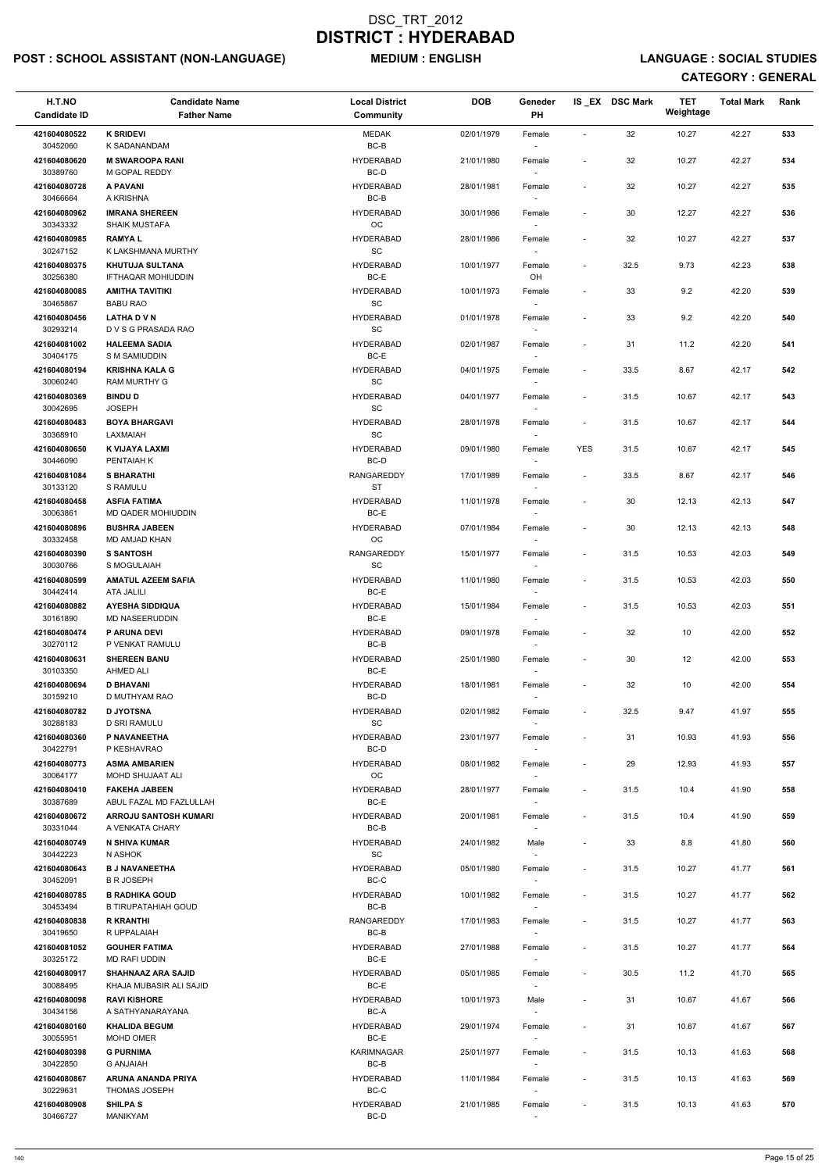## POST : SCHOOL ASSISTANT (NON-LANGUAGE) MEDIUM : ENGLISH LANGUAGE : SOCIAL STUDIES

| H.T.NO<br><b>Candidate ID</b> | <b>Candidate Name</b><br><b>Father Name</b>             | <b>Local District</b><br>Community               | <b>DOB</b> | Geneder<br>PH                      |                          | IS_EX DSC Mark | <b>TET</b><br>Weightage | <b>Total Mark</b> | Rank |
|-------------------------------|---------------------------------------------------------|--------------------------------------------------|------------|------------------------------------|--------------------------|----------------|-------------------------|-------------------|------|
| 421604080522<br>30452060      | <b>K SRIDEVI</b><br>K SADANANDAM                        | MEDAK<br>$BC-B$                                  | 02/01/1979 | Female                             | $\overline{\phantom{a}}$ | 32             | 10.27                   | 42.27             | 533  |
| 421604080620<br>30389760      | <b>M SWAROOPA RANI</b><br>M GOPAL REDDY                 | <b>HYDERABAD</b><br>BC-D                         | 21/01/1980 | Female                             | $\blacksquare$           | 32             | 10.27                   | 42.27             | 534  |
| 421604080728<br>30466664      | A PAVANI<br>A KRISHNA                                   | <b>HYDERABAD</b><br>BC-B                         | 28/01/1981 | Female<br>$\overline{\phantom{a}}$ | $\overline{\phantom{a}}$ | 32             | 10.27                   | 42.27             | 535  |
| 421604080962                  | <b>IMRANA SHEREEN</b>                                   | <b>HYDERABAD</b>                                 | 30/01/1986 | Female                             | $\overline{\phantom{a}}$ | 30             | 12.27                   | 42.27             | 536  |
| 30343332<br>421604080985      | <b>SHAIK MUSTAFA</b><br><b>RAMYAL</b>                   | OC<br><b>HYDERABAD</b>                           | 28/01/1986 | $\overline{\phantom{a}}$<br>Female | $\overline{\phantom{a}}$ | 32             | 10.27                   | 42.27             | 537  |
| 30247152<br>421604080375      | K LAKSHMANA MURTHY<br><b>KHUTUJA SULTANA</b>            | $\operatorname{\textsf{SC}}$<br><b>HYDERABAD</b> | 10/01/1977 | $\sim$<br>Female                   | $\overline{\phantom{a}}$ | 32.5           | 9.73                    | 42.23             | 538  |
| 30256380<br>421604080085      | IFTHAQAR MOHIUDDIN<br><b>AMITHA TAVITIKI</b>            | $BC-E$<br><b>HYDERABAD</b>                       | 10/01/1973 | OH<br>Female                       | $\blacksquare$           | 33             | 9.2                     | 42.20             | 539  |
| 30465867<br>421604080456      | <b>BABU RAO</b><br><b>LATHA D V N</b>                   | $\operatorname{\textsf{SC}}$<br><b>HYDERABAD</b> | 01/01/1978 | Female                             | $\overline{\phantom{a}}$ | 33             | 9.2                     | 42.20             | 540  |
| 30293214                      | D V S G PRASADA RAO                                     | SC                                               |            | $\overline{\phantom{a}}$           |                          |                |                         |                   |      |
| 421604081002<br>30404175      | <b>HALEEMA SADIA</b><br>S M SAMIUDDIN                   | <b>HYDERABAD</b><br>BC-E                         | 02/01/1987 | Female<br>$\sim$                   | $\overline{\phantom{a}}$ | 31             | 11.2                    | 42.20             | 541  |
| 421604080194<br>30060240      | <b>KRISHNA KALA G</b><br>RAM MURTHY G                   | <b>HYDERABAD</b><br>SC                           | 04/01/1975 | Female                             | $\sim$                   | 33.5           | 8.67                    | 42.17             | 542  |
| 421604080369<br>30042695      | <b>BINDU D</b><br><b>JOSEPH</b>                         | <b>HYDERABAD</b><br>SC                           | 04/01/1977 | Female                             | $\blacksquare$           | 31.5           | 10.67                   | 42.17             | 543  |
| 421604080483<br>30368910      | <b>BOYA BHARGAVI</b><br>LAXMAIAH                        | <b>HYDERABAD</b><br>SC                           | 28/01/1978 | Female<br>$\sim$                   | $\blacksquare$           | 31.5           | 10.67                   | 42.17             | 544  |
| 421604080650<br>30446090      | K VIJAYA LAXMI<br>PENTAIAH K                            | <b>HYDERABAD</b><br>BC-D                         | 09/01/1980 | Female<br>$\overline{\phantom{a}}$ | <b>YES</b>               | 31.5           | 10.67                   | 42.17             | 545  |
| 421604081084                  | <b>S BHARATHI</b>                                       | RANGAREDDY                                       | 17/01/1989 | Female                             | $\overline{\phantom{a}}$ | 33.5           | 8.67                    | 42.17             | 546  |
| 30133120<br>421604080458      | <b>S RAMULU</b><br><b>ASFIA FATIMA</b>                  | <b>ST</b><br><b>HYDERABAD</b>                    | 11/01/1978 | Female                             |                          | 30             | 12.13                   | 42.13             | 547  |
| 30063861<br>421604080896      | MD QADER MOHIUDDIN<br><b>BUSHRA JABEEN</b>              | $BC-E$<br><b>HYDERABAD</b>                       | 07/01/1984 | Female                             | $\overline{\phantom{a}}$ | 30             | 12.13                   | 42.13             | 548  |
| 30332458<br>421604080390      | MD AMJAD KHAN<br><b>S SANTOSH</b>                       | OC<br>RANGAREDDY                                 | 15/01/1977 | $\overline{\phantom{a}}$<br>Female | $\overline{\phantom{a}}$ | 31.5           | 10.53                   | 42.03             | 549  |
| 30030766<br>421604080599      | S MOGULAIAH<br><b>AMATUL AZEEM SAFIA</b>                | SC<br><b>HYDERABAD</b>                           | 11/01/1980 | Female                             | $\blacksquare$           | 31.5           | 10.53                   | 42.03             | 550  |
| 30442414<br>421604080882      | ATA JALILI                                              | BC-E<br><b>HYDERABAD</b>                         |            |                                    |                          |                |                         |                   |      |
| 30161890                      | <b>AYESHA SIDDIQUA</b><br><b>MD NASEERUDDIN</b>         | BC-E                                             | 15/01/1984 | Female<br>$\overline{\phantom{a}}$ | $\blacksquare$           | 31.5           | 10.53                   | 42.03             | 551  |
| 421604080474<br>30270112      | <b>P ARUNA DEVI</b><br>P VENKAT RAMULU                  | <b>HYDERABAD</b><br>BC-B                         | 09/01/1978 | Female<br>$\sim$                   | $\overline{\phantom{a}}$ | 32             | 10                      | 42.00             | 552  |
| 421604080631<br>30103350      | <b>SHEREEN BANU</b><br><b>AHMED ALI</b>                 | <b>HYDERABAD</b><br>BC-E                         | 25/01/1980 | Female<br>$\overline{\phantom{a}}$ | $\overline{\phantom{a}}$ | 30             | 12                      | 42.00             | 553  |
| 421604080694<br>30159210      | <b>D BHAVANI</b><br>D MUTHYAM RAO                       | <b>HYDERABAD</b><br>BC-D                         | 18/01/1981 | Female                             | $\overline{\phantom{a}}$ | 32             | 10                      | 42.00             | 554  |
| 421604080782<br>30288183      | <b>D JYOTSNA</b><br>D SRI RAMULU                        | <b>HYDERABAD</b><br><b>SC</b>                    | 02/01/1982 | Female                             | $\blacksquare$           | 32.5           | 9.47                    | 41.97             | 555  |
| 421604080360<br>30422791      | P NAVANEETHA<br>P KESHAVRAO                             | <b>HYDERABAD</b><br>BC-D                         | 23/01/1977 | Female<br>$\overline{\phantom{a}}$ | $\overline{\phantom{a}}$ | 31             | 10.93                   | 41.93             | 556  |
| 421604080773                  | <b>ASMA AMBARIEN</b>                                    | <b>HYDERABAD</b>                                 | 08/01/1982 | Female                             | $\overline{\phantom{a}}$ | 29             | 12.93                   | 41.93             | 557  |
| 30064177<br>421604080410      | MOHD SHUJAAT ALI<br><b>FAKEHA JABEEN</b>                | <b>OC</b><br><b>HYDERABAD</b>                    | 28/01/1977 | $\sim$<br>Female                   | $\overline{\phantom{a}}$ | 31.5           | 10.4                    | 41.90             | 558  |
| 30387689<br>421604080672      | ABUL FAZAL MD FAZLULLAH<br><b>ARROJU SANTOSH KUMARI</b> | BC-E<br><b>HYDERABAD</b>                         | 20/01/1981 | Female                             | $\blacksquare$           | 31.5           | 10.4                    | 41.90             | 559  |
| 30331044<br>421604080749      | A VENKATA CHARY<br><b>N SHIVA KUMAR</b>                 | BC-B<br><b>HYDERABAD</b>                         | 24/01/1982 | Male                               | $\blacksquare$           | 33             | 8.8                     | 41.80             | 560  |
| 30442223<br>421604080643      | N ASHOK<br><b>B J NAVANEETHA</b>                        | SC<br><b>HYDERABAD</b>                           | 05/01/1980 | $\sim$<br>Female                   | $\blacksquare$           | 31.5           | 10.27                   | 41.77             | 561  |
| 30452091<br>421604080785      | <b>B R JOSEPH</b><br><b>B RADHIKA GOUD</b>              | BC-C<br><b>HYDERABAD</b>                         | 10/01/1982 | $\sim$<br>Female                   | $\blacksquare$           | 31.5           | 10.27                   | 41.77             | 562  |
| 30453494                      | <b>B TIRUPATAHIAH GOUD</b>                              | BC-B                                             |            |                                    |                          |                |                         |                   |      |
| 421604080838<br>30419650      | <b>R KRANTHI</b><br>R UPPALAIAH                         | RANGAREDDY<br>BC-B                               | 17/01/1983 | Female                             | $\blacksquare$           | 31.5           | 10.27                   | 41.77             | 563  |
| 421604081052<br>30325172      | <b>GOUHER FATIMA</b><br>MD RAFI UDDIN                   | <b>HYDERABAD</b><br>BC-E                         | 27/01/1988 | Female                             | $\overline{\phantom{a}}$ | 31.5           | 10.27                   | 41.77             | 564  |
| 421604080917<br>30088495      | <b>SHAHNAAZ ARA SAJID</b><br>KHAJA MUBASIR ALI SAJID    | <b>HYDERABAD</b><br>BC-E                         | 05/01/1985 | Female<br>$\overline{\phantom{a}}$ |                          | 30.5           | 11.2                    | 41.70             | 565  |
| 421604080098<br>30434156      | <b>RAVI KISHORE</b><br>A SATHYANARAYANA                 | <b>HYDERABAD</b><br>BC-A                         | 10/01/1973 | Male<br>$\overline{\phantom{a}}$   |                          | 31             | 10.67                   | 41.67             | 566  |
| 421604080160<br>30055951      | <b>KHALIDA BEGUM</b><br>MOHD OMER                       | <b>HYDERABAD</b><br>BC-E                         | 29/01/1974 | Female                             | $\overline{\phantom{a}}$ | 31             | 10.67                   | 41.67             | 567  |
| 421604080398                  | <b>G PURNIMA</b>                                        | <b>KARIMNAGAR</b>                                | 25/01/1977 | $\overline{\phantom{a}}$<br>Female | $\blacksquare$           | 31.5           | 10.13                   | 41.63             | 568  |
| 30422850<br>421604080867      | <b>G ANJAIAH</b><br>ARUNA ANANDA PRIYA                  | BC-B<br><b>HYDERABAD</b>                         | 11/01/1984 | $\sim$<br>Female                   | $\overline{\phantom{a}}$ | 31.5           | 10.13                   | 41.63             | 569  |
| 30229631<br>421604080908      | THOMAS JOSEPH<br><b>SHILPA S</b>                        | $BC-C$<br><b>HYDERABAD</b>                       | 21/01/1985 | $\overline{\phantom{a}}$<br>Female | $\overline{\phantom{a}}$ | 31.5           | 10.13                   | 41.63             | 570  |
| 30466727                      | MANIKYAM                                                | BC-D                                             |            | $\sim$                             |                          |                |                         |                   |      |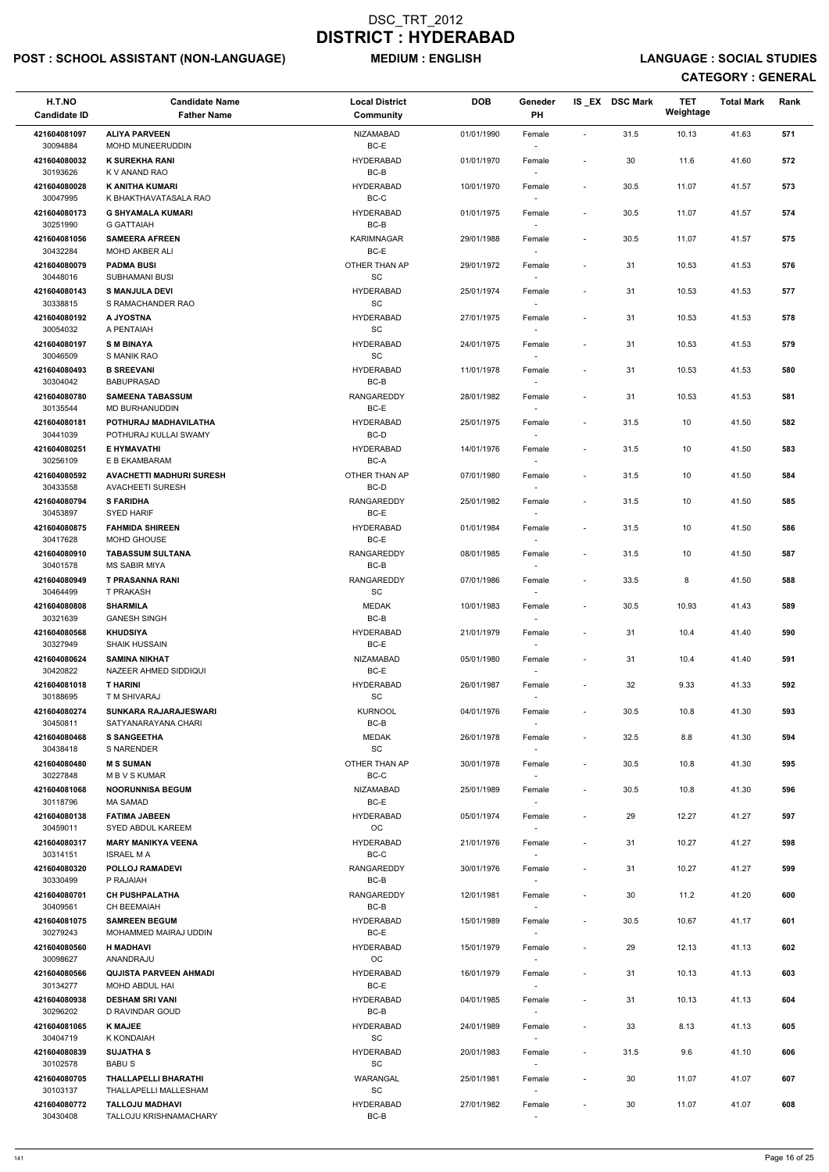## POST : SCHOOL ASSISTANT (NON-LANGUAGE) MEDIUM : ENGLISH LANGUAGE : SOCIAL STUDIES

| H.T.NO<br><b>Candidate ID</b> | <b>Candidate Name</b><br><b>Father Name</b>                | <b>Local District</b><br>Community               | <b>DOB</b> | Geneder<br>PH                      |                          | IS_EX DSC Mark | <b>TET</b><br>Weightage | <b>Total Mark</b> | Rank |
|-------------------------------|------------------------------------------------------------|--------------------------------------------------|------------|------------------------------------|--------------------------|----------------|-------------------------|-------------------|------|
| 421604081097                  | <b>ALIYA PARVEEN</b>                                       | <b>NIZAMABAD</b>                                 | 01/01/1990 | Female                             | $\sim$                   | 31.5           | 10.13                   | 41.63             | 571  |
| 30094884<br>421604080032      | MOHD MUNEERUDDIN<br><b>K SUREKHA RANI</b>                  | BC-E<br>HYDERABAD                                | 01/01/1970 | Female                             | $\overline{\phantom{a}}$ | 30             | 11.6                    | 41.60             | 572  |
| 30193626<br>421604080028      | K V ANAND RAO<br>K ANITHA KUMARI                           | BC-B<br><b>HYDERABAD</b>                         | 10/01/1970 | Female                             | $\overline{\phantom{a}}$ | 30.5           | 11.07                   | 41.57             | 573  |
| 30047995<br>421604080173      | K BHAKTHAVATASALA RAO<br><b>G SHYAMALA KUMARI</b>          | $BC-C$<br><b>HYDERABAD</b>                       | 01/01/1975 | Female                             | $\blacksquare$           | 30.5           | 11.07                   | 41.57             | 574  |
| 30251990                      | <b>G GATTAIAH</b>                                          | BC-B                                             |            | $\sim$                             |                          |                |                         |                   |      |
| 421604081056<br>30432284      | <b>SAMEERA AFREEN</b><br>MOHD AKBER ALI                    | <b>KARIMNAGAR</b><br>BC-E                        | 29/01/1988 | Female<br>$\sim$                   | $\overline{\phantom{a}}$ | 30.5           | 11.07                   | 41.57             | 575  |
| 421604080079<br>30448016      | <b>PADMA BUSI</b><br>SUBHAMANI BUSI                        | OTHER THAN AP<br>SC                              | 29/01/1972 | Female                             | $\overline{\phantom{a}}$ | 31             | 10.53                   | 41.53             | 576  |
| 421604080143<br>30338815      | <b>S MANJULA DEVI</b><br>S RAMACHANDER RAO                 | <b>HYDERABAD</b><br>$\operatorname{\textsf{SC}}$ | 25/01/1974 | Female                             | $\overline{\phantom{a}}$ | 31             | 10.53                   | 41.53             | 577  |
| 421604080192<br>30054032      | A JYOSTNA<br>A PENTAIAH                                    | <b>HYDERABAD</b><br>SC                           | 27/01/1975 | Female<br>$\sim$                   | $\overline{\phantom{a}}$ | 31             | 10.53                   | 41.53             | 578  |
| 421604080197                  | <b>SM BINAYA</b>                                           | <b>HYDERABAD</b>                                 | 24/01/1975 | Female                             | $\overline{\phantom{a}}$ | 31             | 10.53                   | 41.53             | 579  |
| 30046509<br>421604080493      | S MANIK RAO<br><b>B SREEVANI</b>                           | SC<br><b>HYDERABAD</b>                           | 11/01/1978 | Female                             | $\overline{\phantom{a}}$ | 31             | 10.53                   | 41.53             | 580  |
| 30304042<br>421604080780      | <b>BABUPRASAD</b><br><b>SAMEENA TABASSUM</b>               | BC-B<br>RANGAREDDY                               | 28/01/1982 | Female                             | $\blacksquare$           | 31             | 10.53                   | 41.53             | 581  |
| 30135544                      | MD BURHANUDDIN                                             | BC-E                                             |            |                                    |                          |                |                         |                   |      |
| 421604080181<br>30441039      | POTHURAJ MADHAVILATHA<br>POTHURAJ KULLAI SWAMY             | <b>HYDERABAD</b><br>BC-D                         | 25/01/1975 | Female                             | $\overline{\phantom{a}}$ | 31.5           | 10                      | 41.50             | 582  |
| 421604080251<br>30256109      | E HYMAVATHI<br>E B EKAMBARAM                               | <b>HYDERABAD</b><br>BC-A                         | 14/01/1976 | Female<br>$\sim$                   | $\overline{\phantom{a}}$ | 31.5           | 10                      | 41.50             | 583  |
| 421604080592<br>30433558      | <b>AVACHETTI MADHURI SURESH</b><br><b>AVACHEETI SURESH</b> | OTHER THAN AP<br>BC-D                            | 07/01/1980 | Female                             | $\overline{\phantom{a}}$ | 31.5           | 10                      | 41.50             | 584  |
| 421604080794<br>30453897      | <b>S FARIDHA</b><br><b>SYED HARIF</b>                      | RANGAREDDY<br>BC-E                               | 25/01/1982 | Female                             | $\overline{\phantom{a}}$ | 31.5           | 10                      | 41.50             | 585  |
| 421604080875                  | <b>FAHMIDA SHIREEN</b>                                     | <b>HYDERABAD</b>                                 | 01/01/1984 | Female                             | $\overline{\phantom{a}}$ | 31.5           | 10                      | 41.50             | 586  |
| 30417628<br>421604080910      | MOHD GHOUSE<br><b>TABASSUM SULTANA</b>                     | BC-E<br><b>RANGAREDDY</b>                        | 08/01/1985 | $\overline{\phantom{a}}$<br>Female | $\overline{\phantom{m}}$ | 31.5           | 10                      | 41.50             | 587  |
| 30401578<br>421604080949      | <b>MS SABIR MIYA</b><br><b>T PRASANNA RANI</b>             | BC-B<br><b>RANGAREDDY</b>                        | 07/01/1986 | $\sim$<br>Female                   | $\overline{\phantom{a}}$ | 33.5           | 8                       | 41.50             | 588  |
| 30464499<br>421604080808      | <b>T PRAKASH</b><br><b>SHARMILA</b>                        | SC<br><b>MEDAK</b>                               | 10/01/1983 | Female                             | $\overline{\phantom{a}}$ | 30.5           | 10.93                   | 41.43             | 589  |
| 30321639                      | <b>GANESH SINGH</b>                                        | BC-B                                             |            |                                    |                          |                |                         |                   |      |
| 421604080568<br>30327949      | <b>KHUDSIYA</b><br><b>SHAIK HUSSAIN</b>                    | <b>HYDERABAD</b><br>BC-E                         | 21/01/1979 | Female                             | $\overline{\phantom{a}}$ | 31             | 10.4                    | 41.40             | 590  |
| 421604080624<br>30420822      | <b>SAMINA NIKHAT</b><br>NAZEER AHMED SIDDIQUI              | NIZAMABAD<br>BC-E                                | 05/01/1980 | Female<br>$\sim$                   | $\overline{\phantom{a}}$ | 31             | 10.4                    | 41.40             | 591  |
| 421604081018<br>30188695      | <b>T HARINI</b><br>T M SHIVARAJ                            | <b>HYDERABAD</b><br>SC                           | 26/01/1987 | Female                             | $\overline{\phantom{a}}$ | 32             | 9.33                    | 41.33             | 592  |
| 421604080274<br>30450811      | SUNKARA RAJARAJESWARI<br>SATYANARAYANA CHARI               | <b>KURNOOL</b><br>BC-B                           | 04/01/1976 | Female                             | $\overline{\phantom{a}}$ | 30.5           | 10.8                    | 41.30             | 593  |
| 421604080468                  | <b>S SANGEETHA</b>                                         | <b>MEDAK</b><br>SC                               | 26/01/1978 | Female                             | $\overline{\phantom{a}}$ | 32.5           | 8.8                     | 41.30             | 594  |
| 30438418<br>421604080480      | S NARENDER<br><b>M S SUMAN</b>                             | OTHER THAN AP                                    | 30/01/1978 | $\sim$<br>Female                   | $\overline{\phantom{a}}$ | 30.5           | 10.8                    | 41.30             | 595  |
| 30227848<br>421604081068      | <b>MBVSKUMAR</b><br><b>NOORUNNISA BEGUM</b>                | BC-C<br>NIZAMABAD                                | 25/01/1989 | Female                             | $\overline{\phantom{a}}$ | 30.5           | 10.8                    | 41.30             | 596  |
| 30118796<br>421604080138      | <b>MA SAMAD</b><br><b>FATIMA JABEEN</b>                    | BC-E<br>HYDERABAD                                | 05/01/1974 | $\sim$<br>Female                   | $\blacksquare$           | 29             | 12.27                   | 41.27             | 597  |
| 30459011<br>421604080317      | SYED ABDUL KAREEM<br><b>MARY MANIKYA VEENA</b>             | OC<br>HYDERABAD                                  | 21/01/1976 |                                    | $\overline{\phantom{a}}$ | 31             | 10.27                   | 41.27             | 598  |
| 30314151                      | <b>ISRAEL MA</b>                                           | BC-C                                             |            | Female                             |                          |                |                         |                   |      |
| 421604080320<br>30330499      | <b>POLLOJ RAMADEVI</b><br>P RAJAIAH                        | RANGAREDDY<br>BC-B                               | 30/01/1976 | Female<br>$\sim$                   | $\blacksquare$           | 31             | 10.27                   | 41.27             | 599  |
| 421604080701<br>30409561      | <b>CH PUSHPALATHA</b><br><b>CH BEEMAIAH</b>                | RANGAREDDY<br>BC-B                               | 12/01/1981 | Female<br>$\sim$                   | $\overline{\phantom{a}}$ | 30             | 11.2                    | 41.20             | 600  |
| 421604081075<br>30279243      | <b>SAMREEN BEGUM</b><br><b>MOHAMMED MAIRAJ UDDIN</b>       | <b>HYDERABAD</b><br>BC-E                         | 15/01/1989 | Female                             | $\overline{\phantom{a}}$ | 30.5           | 10.67                   | 41.17             | 601  |
| 421604080560                  | <b>H MADHAVI</b>                                           | HYDERABAD                                        | 15/01/1979 | Female                             | $\overline{\phantom{a}}$ | 29             | 12.13                   | 41.13             | 602  |
| 30098627<br>421604080566      | ANANDRAJU<br><b>QUJISTA PARVEEN AHMADI</b>                 | ОC<br><b>HYDERABAD</b>                           | 16/01/1979 | Female                             | $\overline{\phantom{a}}$ | 31             | 10.13                   | 41.13             | 603  |
| 30134277<br>421604080938      | MOHD ABDUL HAI<br><b>DESHAM SRI VANI</b>                   | BC-E<br><b>HYDERABAD</b>                         | 04/01/1985 | $\sim$<br>Female                   |                          | 31             | 10.13                   | 41.13             | 604  |
| 30296202<br>421604081065      | <b>D RAVINDAR GOUD</b><br><b>K MAJEE</b>                   | BC-B<br><b>HYDERABAD</b>                         | 24/01/1989 |                                    |                          |                | 8.13                    |                   | 605  |
| 30404719                      | K KONDAIAH                                                 | SC                                               |            | Female<br>$\overline{\phantom{a}}$ | $\overline{\phantom{a}}$ | 33             |                         | 41.13             |      |
| 421604080839<br>30102578      | <b>SUJATHA S</b><br><b>BABUS</b>                           | <b>HYDERABAD</b><br>SC                           | 20/01/1983 | Female<br>$\overline{\phantom{a}}$ | $\overline{\phantom{a}}$ | 31.5           | 9.6                     | 41.10             | 606  |
| 421604080705<br>30103137      | <b>THALLAPELLI BHARATHI</b><br>THALLAPELLI MALLESHAM       | WARANGAL<br>SC                                   | 25/01/1981 | Female<br>$\overline{\phantom{a}}$ | $\overline{\phantom{a}}$ | 30             | 11.07                   | 41.07             | 607  |
| 421604080772<br>30430408      | <b>TALLOJU MADHAVI</b><br>TALLOJU KRISHNAMACHARY           | <b>HYDERABAD</b><br>BC-B                         | 27/01/1982 | Female                             | $\overline{\phantom{a}}$ | 30             | 11.07                   | 41.07             | 608  |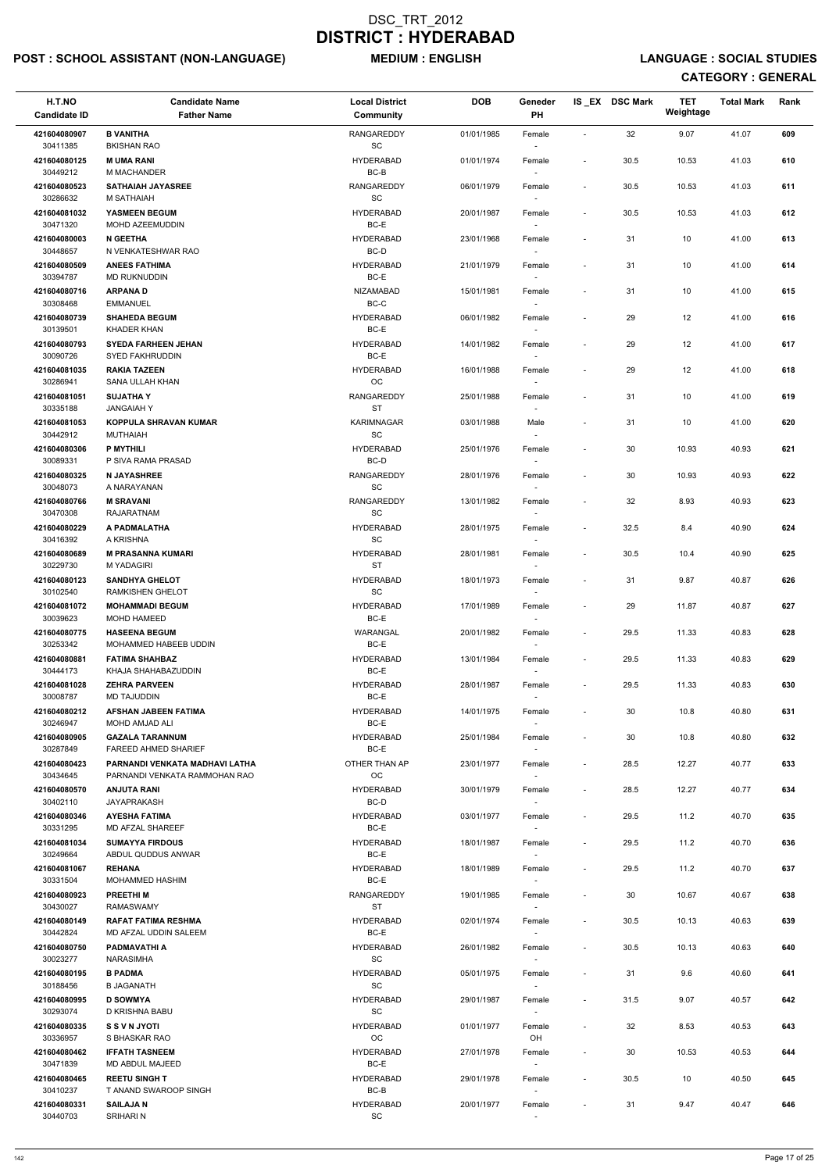## POST : SCHOOL ASSISTANT (NON-LANGUAGE) MEDIUM : ENGLISH LANGUAGE : SOCIAL STUDIES

| H.T.NO<br><b>Candidate ID</b> | <b>Candidate Name</b><br><b>Father Name</b>                   | <b>Local District</b><br>Community                | <b>DOB</b> | Geneder<br>PH                      |                              | IS_EX DSC Mark | <b>TET</b><br>Weightage | <b>Total Mark</b> | Rank |
|-------------------------------|---------------------------------------------------------------|---------------------------------------------------|------------|------------------------------------|------------------------------|----------------|-------------------------|-------------------|------|
| 421604080907<br>30411385      | <b>B VANITHA</b><br><b>BKISHAN RAO</b>                        | <b>RANGAREDDY</b><br>$\operatorname{\textsf{SC}}$ | 01/01/1985 | Female                             | $\blacksquare$               | 32             | 9.07                    | 41.07             | 609  |
| 421604080125                  | <b>M UMA RANI</b>                                             | <b>HYDERABAD</b>                                  | 01/01/1974 | Female                             | $\overline{\phantom{a}}$     | 30.5           | 10.53                   | 41.03             | 610  |
| 30449212<br>421604080523      | M MACHANDER<br><b>SATHAIAH JAYASREE</b>                       | $BC-B$<br><b>RANGAREDDY</b>                       | 06/01/1979 | Female                             | $\overline{\phantom{a}}$     | 30.5           | 10.53                   | 41.03             | 611  |
| 30286632<br>421604081032      | M SATHAIAH<br>YASMEEN BEGUM                                   | SC<br><b>HYDERABAD</b>                            | 20/01/1987 | Female                             | $\overline{\phantom{a}}$     | 30.5           | 10.53                   | 41.03             | 612  |
| 30471320                      | MOHD AZEEMUDDIN                                               | BC-E                                              |            | $\overline{\phantom{a}}$           |                              |                |                         |                   |      |
| 421604080003<br>30448657      | <b>N GEETHA</b><br>N VENKATESHWAR RAO                         | <b>HYDERABAD</b><br>BC-D                          | 23/01/1968 | Female                             | $\overline{\phantom{a}}$     | 31             | 10                      | 41.00             | 613  |
| 421604080509                  | <b>ANEES FATHIMA</b>                                          | <b>HYDERABAD</b>                                  | 21/01/1979 | Female                             | $\overline{\phantom{a}}$     | 31             | 10                      | 41.00             | 614  |
| 30394787                      | MD RUKNUDDIN                                                  | BC-E                                              |            |                                    |                              |                |                         |                   |      |
| 421604080716<br>30308468      | <b>ARPANAD</b><br><b>EMMANUEL</b>                             | NIZAMABAD<br>$BC-C$                               | 15/01/1981 | Female                             | $\overline{\phantom{a}}$     | 31             | 10                      | 41.00             | 615  |
| 421604080739<br>30139501      | <b>SHAHEDA BEGUM</b><br><b>KHADER KHAN</b>                    | <b>HYDERABAD</b><br>BC-E                          | 06/01/1982 | Female                             | $\tilde{\phantom{a}}$        | 29             | 12                      | 41.00             | 616  |
| 421604080793                  | <b>SYEDA FARHEEN JEHAN</b>                                    | <b>HYDERABAD</b>                                  | 14/01/1982 | Female                             | $\overline{\phantom{a}}$     | 29             | 12                      | 41.00             | 617  |
| 30090726                      | <b>SYED FAKHRUDDIN</b>                                        | BC-E                                              |            |                                    |                              |                |                         |                   |      |
| 421604081035<br>30286941      | <b>RAKIA TAZEEN</b><br>SANA ULLAH KHAN                        | HYDERABAD<br>OC                                   | 16/01/1988 | Female                             | $\overline{\phantom{a}}$     | 29             | 12                      | 41.00             | 618  |
| 421604081051<br>30335188      | <b>SUJATHAY</b><br><b>JANGAIAHY</b>                           | <b>RANGAREDDY</b><br><b>ST</b>                    | 25/01/1988 | Female                             | $\overline{\phantom{a}}$     | 31             | 10                      | 41.00             | 619  |
| 421604081053                  | KOPPULA SHRAVAN KUMAR                                         | KARIMNAGAR                                        | 03/01/1988 | Male                               | $\overline{\phantom{a}}$     | 31             | 10                      | 41.00             | 620  |
| 30442912<br>421604080306      | <b>MUTHAIAH</b><br><b>P MYTHILI</b>                           | SC<br><b>HYDERABAD</b>                            | 25/01/1976 | $\overline{\phantom{a}}$<br>Female | $\overline{\phantom{a}}$     | 30             | 10.93                   | 40.93             | 621  |
| 30089331                      | P SIVA RAMA PRASAD                                            | BC-D                                              |            |                                    |                              |                |                         |                   |      |
| 421604080325<br>30048073      | <b>N JAYASHREE</b><br>A NARAYANAN                             | <b>RANGAREDDY</b><br>$\operatorname{\textsf{SC}}$ | 28/01/1976 | Female                             | $\overline{\phantom{a}}$     | 30             | 10.93                   | 40.93             | 622  |
| 421604080766                  | <b>M SRAVANI</b>                                              | RANGAREDDY                                        | 13/01/1982 | Female                             | $\overline{\phantom{a}}$     | 32             | 8.93                    | 40.93             | 623  |
| 30470308                      | RAJARATNAM                                                    | SC<br><b>HYDERABAD</b>                            |            |                                    |                              |                |                         | 40.90             |      |
| 421604080229<br>30416392      | A PADMALATHA<br>A KRISHNA                                     | <b>SC</b>                                         | 28/01/1975 | Female                             | $\overline{\phantom{a}}$     | 32.5           | 8.4                     |                   | 624  |
| 421604080689<br>30229730      | <b>M PRASANNA KUMARI</b><br>M YADAGIRI                        | <b>HYDERABAD</b><br><b>ST</b>                     | 28/01/1981 | Female                             | $\overline{\phantom{a}}$     | 30.5           | 10.4                    | 40.90             | 625  |
| 421604080123                  | <b>SANDHYA GHELOT</b>                                         | <b>HYDERABAD</b>                                  | 18/01/1973 | Female                             | $\overline{\phantom{a}}$     | 31             | 9.87                    | 40.87             | 626  |
| 30102540<br>421604081072      | <b>RAMKISHEN GHELOT</b><br><b>MOHAMMADI BEGUM</b>             | <b>SC</b><br><b>HYDERABAD</b>                     | 17/01/1989 | Female                             | $\overline{\phantom{a}}$     | 29             | 11.87                   | 40.87             | 627  |
| 30039623<br>421604080775      | <b>MOHD HAMEED</b><br><b>HASEENA BEGUM</b>                    | BC-E<br>WARANGAL                                  | 20/01/1982 | Female                             | $\overline{\phantom{a}}$     | 29.5           | 11.33                   | 40.83             | 628  |
| 30253342<br>421604080881      | MOHAMMED HABEEB UDDIN<br><b>FATIMA SHAHBAZ</b>                | BC-E<br>HYDERABAD                                 | 13/01/1984 | $\sim$<br>Female                   | $\overline{\phantom{a}}$     | 29.5           | 11.33                   | 40.83             | 629  |
| 30444173<br>421604081028      | KHAJA SHAHABAZUDDIN<br><b>ZEHRA PARVEEN</b>                   | BC-E<br><b>HYDERABAD</b>                          | 28/01/1987 | Female                             | $\overline{\phantom{a}}$     | 29.5           | 11.33                   | 40.83             | 630  |
| 30008787                      | <b>MD TAJUDDIN</b>                                            | BC-E                                              |            |                                    |                              |                |                         |                   |      |
| 421604080212<br>30246947      | <b>AFSHAN JABEEN FATIMA</b><br>MOHD AMJAD ALI                 | <b>HYDERABAD</b><br>BC-E                          | 14/01/1975 | Female<br>$\sim$                   | $\overline{\phantom{a}}$     | 30             | 10.8                    | 40.80             | 631  |
| 421604080905                  | <b>GAZALA TARANNUM</b>                                        | HYDERABAD                                         | 25/01/1984 | Female                             | $\overline{\phantom{a}}$     | 30             | 10.8                    | 40.80             | 632  |
| 30287849<br>421604080423      | <b>FAREED AHMED SHARIEF</b><br>PARNANDI VENKATA MADHAVI LATHA | BC-E<br>OTHER THAN AP                             | 23/01/1977 |                                    | $\overline{\phantom{a}}$     | 28.5           | 12.27                   | 40.77             | 633  |
| 30434645                      | PARNANDI VENKATA RAMMOHAN RAO                                 | <b>OC</b>                                         |            | Female<br>$\overline{\phantom{a}}$ |                              |                |                         |                   |      |
| 421604080570<br>30402110      | <b>ANJUTA RANI</b><br><b>JAYAPRAKASH</b>                      | <b>HYDERABAD</b><br>BC-D                          | 30/01/1979 | Female                             | $\overline{\phantom{a}}$     | 28.5           | 12.27                   | 40.77             | 634  |
| 421604080346<br>30331295      | <b>AYESHA FATIMA</b><br>MD AFZAL SHAREEF                      | <b>HYDERABAD</b><br>BC-E                          | 03/01/1977 | Female                             | $\overline{\phantom{a}}$     | 29.5           | 11.2                    | 40.70             | 635  |
| 421604081034<br>30249664      | <b>SUMAYYA FIRDOUS</b><br>ABDUL QUDDUS ANWAR                  | <b>HYDERABAD</b><br>BC-E                          | 18/01/1987 | Female                             | $\overline{\phantom{a}}$     | 29.5           | 11.2                    | 40.70             | 636  |
| 421604081067                  | <b>REHANA</b>                                                 | HYDERABAD                                         | 18/01/1989 | $\sim$<br>Female                   | $\overline{\phantom{a}}$     | 29.5           | 11.2                    | 40.70             | 637  |
| 30331504                      | MOHAMMED HASHIM                                               | BC-E                                              |            |                                    |                              |                |                         |                   |      |
| 421604080923<br>30430027      | <b>PREETHIM</b><br><b>RAMASWAMY</b>                           | <b>RANGAREDDY</b><br><b>ST</b>                    | 19/01/1985 | Female                             | $\blacksquare$               | 30             | 10.67                   | 40.67             | 638  |
| 421604080149<br>30442824      | <b>RAFAT FATIMA RESHMA</b><br>MD AFZAL UDDIN SALEEM           | HYDERABAD<br>BC-E                                 | 02/01/1974 | Female                             | $\overline{\phantom{a}}$     | 30.5           | 10.13                   | 40.63             | 639  |
| 421604080750                  | PADMAVATHI A                                                  | <b>HYDERABAD</b>                                  | 26/01/1982 | Female                             | $\overline{\phantom{a}}$     | 30.5           | 10.13                   | 40.63             | 640  |
| 30023277                      | <b>NARASIMHA</b>                                              | SC                                                |            |                                    |                              |                |                         |                   |      |
| 421604080195<br>30188456      | <b>B PADMA</b><br><b>B JAGANATH</b>                           | HYDERABAD<br>$\operatorname{\textsf{SC}}$         | 05/01/1975 | Female                             |                              | 31             | 9.6                     | 40.60             | 641  |
| 421604080995<br>30293074      | <b>D SOWMYA</b><br>D KRISHNA BABU                             | <b>HYDERABAD</b><br>SC                            | 29/01/1987 | Female                             | $\overline{\phantom{a}}$     | 31.5           | 9.07                    | 40.57             | 642  |
| 421604080335                  | <b>S S V N JYOTI</b>                                          | <b>HYDERABAD</b>                                  | 01/01/1977 | Female                             | $\qquad \qquad \blacksquare$ | 32             | 8.53                    | 40.53             | 643  |
| 30336957<br>421604080462      | S BHASKAR RAO<br><b>IFFATH TASNEEM</b>                        | ОC<br>HYDERABAD                                   | 27/01/1978 | OH<br>Female                       | $\qquad \qquad \blacksquare$ | 30             | 10.53                   | 40.53             | 644  |
| 30471839                      | MD ABDUL MAJEED                                               | BC-E                                              |            | $\overline{\phantom{a}}$           |                              |                |                         |                   |      |
| 421604080465<br>30410237      | <b>REETU SINGH T</b><br>T ANAND SWAROOP SINGH                 | HYDERABAD<br>BC-B                                 | 29/01/1978 | Female                             | $\overline{\phantom{a}}$     | 30.5           | 10                      | 40.50             | 645  |
| 421604080331<br>30440703      | <b>SAILAJAN</b><br>SRIHARI N                                  | <b>HYDERABAD</b><br>$\operatorname{\textsf{SC}}$  | 20/01/1977 | Female<br>$\sim$                   | $\overline{\phantom{a}}$     | 31             | 9.47                    | 40.47             | 646  |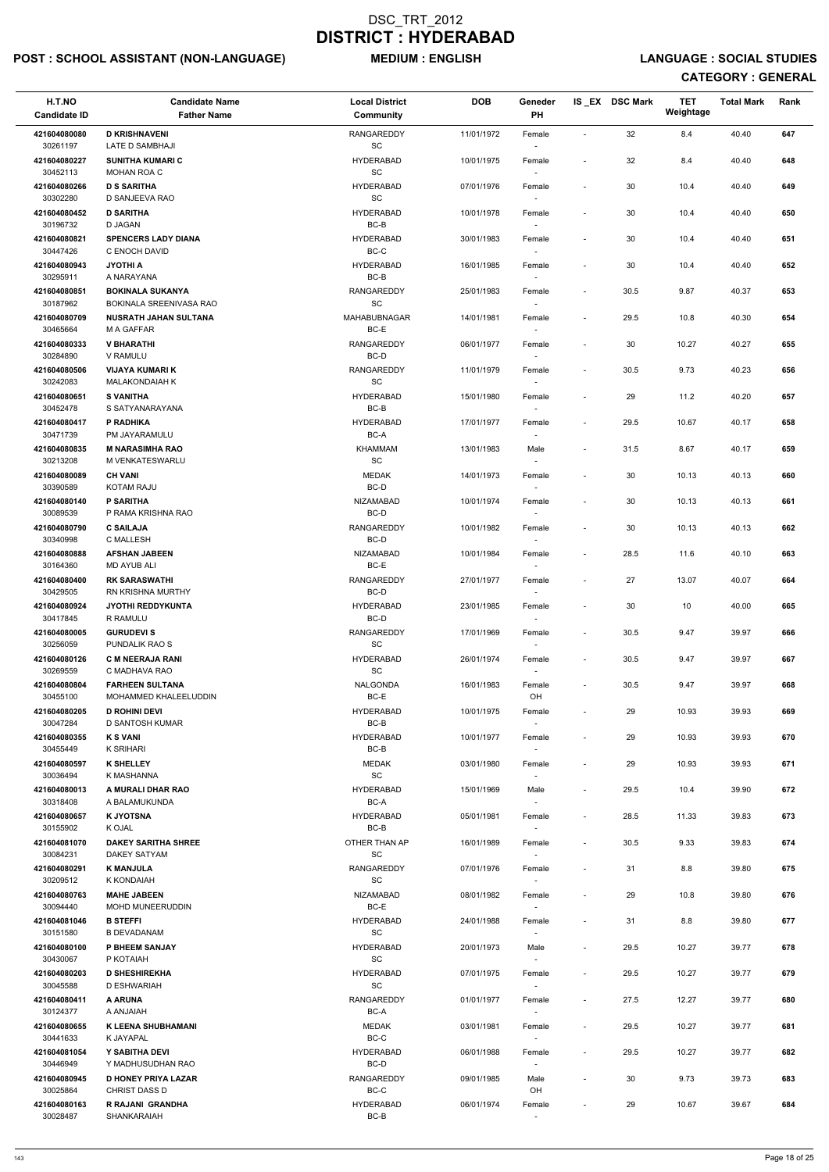## POST : SCHOOL ASSISTANT (NON-LANGUAGE) MEDIUM : ENGLISH LANGUAGE : SOCIAL STUDIES

| H.T.NO<br><b>Candidate ID</b> | <b>Candidate Name</b><br><b>Father Name</b>        | <b>Local District</b><br>Community                | <b>DOB</b> | Geneder<br>PH                      |                          | IS EX DSC Mark | TET<br>Weightage | <b>Total Mark</b> | Rank |
|-------------------------------|----------------------------------------------------|---------------------------------------------------|------------|------------------------------------|--------------------------|----------------|------------------|-------------------|------|
| 421604080080<br>30261197      | <b>D KRISHNAVENI</b><br>LATE D SAMBHAJI            | <b>RANGAREDDY</b><br>$\operatorname{\textsf{SC}}$ | 11/01/1972 | Female                             | $\sim$                   | 32             | 8.4              | 40.40             | 647  |
| 421604080227<br>30452113      | <b>SUNITHA KUMARI C</b><br>MOHAN ROA C             | <b>HYDERABAD</b><br>SC                            | 10/01/1975 | Female                             | $\overline{\phantom{a}}$ | 32             | 8.4              | 40.40             | 648  |
| 421604080266<br>30302280      | <b>D S SARITHA</b><br>D SANJEEVA RAO               | <b>HYDERABAD</b><br>SC                            | 07/01/1976 | Female                             | $\blacksquare$           | 30             | 10.4             | 40.40             | 649  |
| 421604080452                  | <b>D SARITHA</b>                                   | <b>HYDERABAD</b>                                  | 10/01/1978 | Female                             | $\overline{\phantom{a}}$ | 30             | 10.4             | 40.40             | 650  |
| 30196732<br>421604080821      | <b>D JAGAN</b><br><b>SPENCERS LADY DIANA</b>       | BC-B<br><b>HYDERABAD</b>                          | 30/01/1983 | $\sim$<br>Female                   | $\overline{\phantom{a}}$ | 30             | 10.4             | 40.40             | 651  |
| 30447426                      | C ENOCH DAVID                                      | BC-C                                              |            | $\overline{\phantom{a}}$           |                          |                |                  |                   |      |
| 421604080943<br>30295911      | <b>JYOTHI A</b><br>A NARAYANA                      | <b>HYDERABAD</b><br>$BC-B$                        | 16/01/1985 | Female                             | $\overline{\phantom{a}}$ | 30             | 10.4             | 40.40             | 652  |
| 421604080851<br>30187962      | <b>BOKINALA SUKANYA</b><br>BOKINALA SREENIVASA RAO | RANGAREDDY<br>$\operatorname{\textsf{SC}}$        | 25/01/1983 | Female                             | $\overline{\phantom{a}}$ | 30.5           | 9.87             | 40.37             | 653  |
| 421604080709<br>30465664      | <b>NUSRATH JAHAN SULTANA</b><br><b>M A GAFFAR</b>  | <b>MAHABUBNAGAR</b><br>BC-E                       | 14/01/1981 | Female                             | $\overline{\phantom{a}}$ | 29.5           | 10.8             | 40.30             | 654  |
| 421604080333<br>30284890      | <b>V BHARATHI</b><br>V RAMULU                      | <b>RANGAREDDY</b><br>BC-D                         | 06/01/1977 | Female                             | $\overline{\phantom{a}}$ | 30             | 10.27            | 40.27             | 655  |
| 421604080506<br>30242083      | <b>VIJAYA KUMARI K</b><br><b>MALAKONDAIAH K</b>    | RANGAREDDY<br>$\operatorname{\textsf{SC}}$        | 11/01/1979 | Female                             | $\overline{\phantom{a}}$ | 30.5           | 9.73             | 40.23             | 656  |
| 421604080651<br>30452478      | <b>S VANITHA</b><br>S SATYANARAYANA                | <b>HYDERABAD</b><br>BC-B                          | 15/01/1980 | Female                             | $\overline{\phantom{a}}$ | 29             | 11.2             | 40.20             | 657  |
| 421604080417                  | P RADHIKA                                          | <b>HYDERABAD</b>                                  | 17/01/1977 | Female                             | $\overline{\phantom{a}}$ | 29.5           | 10.67            | 40.17             | 658  |
| 30471739<br>421604080835      | PM JAYARAMULU<br><b>M NARASIMHA RAO</b>            | BC-A<br><b>KHAMMAM</b>                            | 13/01/1983 | $\overline{\phantom{a}}$<br>Male   | $\overline{\phantom{a}}$ | 31.5           | 8.67             | 40.17             | 659  |
| 30213208<br>421604080089      | M VENKATESWARLU<br><b>CH VANI</b>                  | SC<br><b>MEDAK</b>                                | 14/01/1973 | Female                             | $\overline{\phantom{a}}$ | 30             | 10.13            | 40.13             | 660  |
| 30390589<br>421604080140      | <b>KOTAM RAJU</b><br><b>P SARITHA</b>              | BC-D<br>NIZAMABAD                                 | 10/01/1974 | Female                             | $\overline{\phantom{a}}$ | 30             | 10.13            | 40.13             | 661  |
| 30089539<br>421604080790      | P RAMA KRISHNA RAO<br><b>C SAILAJA</b>             | BC-D<br><b>RANGAREDDY</b>                         | 10/01/1982 |                                    | $\overline{\phantom{a}}$ | 30             | 10.13            | 40.13             | 662  |
| 30340998                      | C MALLESH                                          | BC-D                                              |            | Female<br>$\overline{\phantom{a}}$ |                          |                |                  |                   |      |
| 421604080888<br>30164360      | <b>AFSHAN JABEEN</b><br><b>MD AYUB ALI</b>         | <b>NIZAMABAD</b><br>BC-E                          | 10/01/1984 | Female                             | $\overline{\phantom{a}}$ | 28.5           | 11.6             | 40.10             | 663  |
| 421604080400<br>30429505      | <b>RK SARASWATHI</b><br><b>RN KRISHNA MURTHY</b>   | <b>RANGAREDDY</b><br>BC-D                         | 27/01/1977 | Female                             | $\overline{\phantom{a}}$ | 27             | 13.07            | 40.07             | 664  |
| 421604080924<br>30417845      | <b>JYOTHI REDDYKUNTA</b><br>R RAMULU               | <b>HYDERABAD</b><br>BC-D                          | 23/01/1985 | Female                             | $\overline{\phantom{a}}$ | 30             | 10               | 40.00             | 665  |
| 421604080005<br>30256059      | <b>GURUDEVIS</b><br>PUNDALIK RAO S                 | <b>RANGAREDDY</b><br><b>SC</b>                    | 17/01/1969 | Female<br>$\sim$                   | $\overline{\phantom{a}}$ | 30.5           | 9.47             | 39.97             | 666  |
| 421604080126<br>30269559      | <b>C M NEERAJA RANI</b><br>C MADHAVA RAO           | <b>HYDERABAD</b><br>SC                            | 26/01/1974 | Female<br>$\sim$                   | $\overline{\phantom{a}}$ | 30.5           | 9.47             | 39.97             | 667  |
| 421604080804                  | <b>FARHEEN SULTANA</b>                             | NALGONDA                                          | 16/01/1983 | Female                             | $\overline{\phantom{a}}$ | 30.5           | 9.47             | 39.97             | 668  |
| 30455100<br>421604080205      | MOHAMMED KHALEELUDDIN<br><b>D ROHINI DEVI</b>      | BC-E<br><b>HYDERABAD</b>                          | 10/01/1975 | OH<br>Female                       | $\overline{\phantom{a}}$ | 29             | 10.93            | 39.93             | 669  |
| 30047284                      | D SANTOSH KUMAR                                    | BC-B                                              |            | $\sim$                             |                          |                |                  |                   |      |
| 421604080355<br>30455449      | <b>K S VANI</b><br><b>K SRIHARI</b>                | <b>HYDERABAD</b><br>BC-B                          | 10/01/1977 | Female                             | $\overline{\phantom{a}}$ | 29             | 10.93            | 39.93             | 670  |
| 421604080597<br>30036494      | <b>K SHELLEY</b><br>K MASHANNA                     | <b>MEDAK</b><br>$\operatorname{\textsf{SC}}$      | 03/01/1980 | Female<br>$\overline{\phantom{a}}$ | $\overline{\phantom{a}}$ | 29             | 10.93            | 39.93             | 671  |
| 421604080013                  | A MURALI DHAR RAO                                  | <b>HYDERABAD</b>                                  | 15/01/1969 | Male                               | $\overline{\phantom{a}}$ | 29.5           | 10.4             | 39.90             | 672  |
| 30318408<br>421604080657      | A BALAMUKUNDA<br><b>K JYOTSNA</b>                  | BC-A<br><b>HYDERABAD</b>                          | 05/01/1981 | Female                             | $\overline{\phantom{a}}$ | 28.5           | 11.33            | 39.83             | 673  |
| 30155902<br>421604081070      | K OJAL<br><b>DAKEY SARITHA SHREE</b>               | BC-B<br>OTHER THAN AP                             | 16/01/1989 | Female                             | $\overline{\phantom{a}}$ | 30.5           | 9.33             | 39.83             | 674  |
| 30084231<br>421604080291      | <b>DAKEY SATYAM</b><br><b>K MANJULA</b>            | SC<br>RANGAREDDY                                  | 07/01/1976 | $\sim$<br>Female                   | $\overline{\phantom{a}}$ | 31             | 8.8              | 39.80             | 675  |
| 30209512                      | K KONDAIAH                                         | <b>SC</b>                                         |            | $\sim$                             |                          |                |                  |                   |      |
| 421604080763<br>30094440      | <b>MAHE JABEEN</b><br><b>MOHD MUNEERUDDIN</b>      | NIZAMABAD<br>BC-E                                 | 08/01/1982 | Female                             | $\overline{\phantom{a}}$ | 29             | 10.8             | 39.80             | 676  |
| 421604081046<br>30151580      | <b>B STEFFI</b><br><b>B DEVADANAM</b>              | <b>HYDERABAD</b><br><b>SC</b>                     | 24/01/1988 | Female                             | $\overline{\phantom{a}}$ | 31             | 8.8              | 39.80             | 677  |
| 421604080100<br>30430067      | P BHEEM SANJAY<br>P KOTAIAH                        | <b>HYDERABAD</b><br>SC                            | 20/01/1973 | Male                               | $\overline{\phantom{a}}$ | 29.5           | 10.27            | 39.77             | 678  |
| 421604080203                  | <b>D SHESHIREKHA</b>                               | <b>HYDERABAD</b>                                  | 07/01/1975 | Female                             |                          | 29.5           | 10.27            | 39.77             | 679  |
| 30045588<br>421604080411      | D ESHWARIAH<br>A ARUNA                             | $\operatorname{\textsf{SC}}$<br>RANGAREDDY        | 01/01/1977 | $\overline{\phantom{a}}$<br>Female | $\overline{\phantom{a}}$ | 27.5           | 12.27            | 39.77             | 680  |
| 30124377<br>421604080655      | <b>HAIAIAH</b><br><b>K LEENA SHUBHAMANI</b>        | BC-A<br><b>MEDAK</b>                              | 03/01/1981 | $\sim$<br>Female                   | $\overline{\phantom{a}}$ | 29.5           | 10.27            | 39.77             | 681  |
| 30441633<br>421604081054      | K JAYAPAL<br>Y SABITHA DEVI                        | BC-C<br><b>HYDERABAD</b>                          | 06/01/1988 | $\sim$<br>Female                   | $\overline{\phantom{a}}$ | 29.5           | 10.27            | 39.77             | 682  |
| 30446949                      | Y MADHUSUDHAN RAO                                  | BC-D                                              |            | $\sim$                             |                          |                |                  |                   |      |
| 421604080945<br>30025864      | <b>D HONEY PRIYA LAZAR</b><br><b>CHRIST DASS D</b> | <b>RANGAREDDY</b><br>$BC-C$                       | 09/01/1985 | Male<br>OH                         |                          | 30             | 9.73             | 39.73             | 683  |
| 421604080163<br>30028487      | R RAJANI GRANDHA<br>SHANKARAIAH                    | <b>HYDERABAD</b><br>BC-B                          | 06/01/1974 | Female<br>$\sim$                   | $\overline{\phantom{a}}$ | 29             | 10.67            | 39.67             | 684  |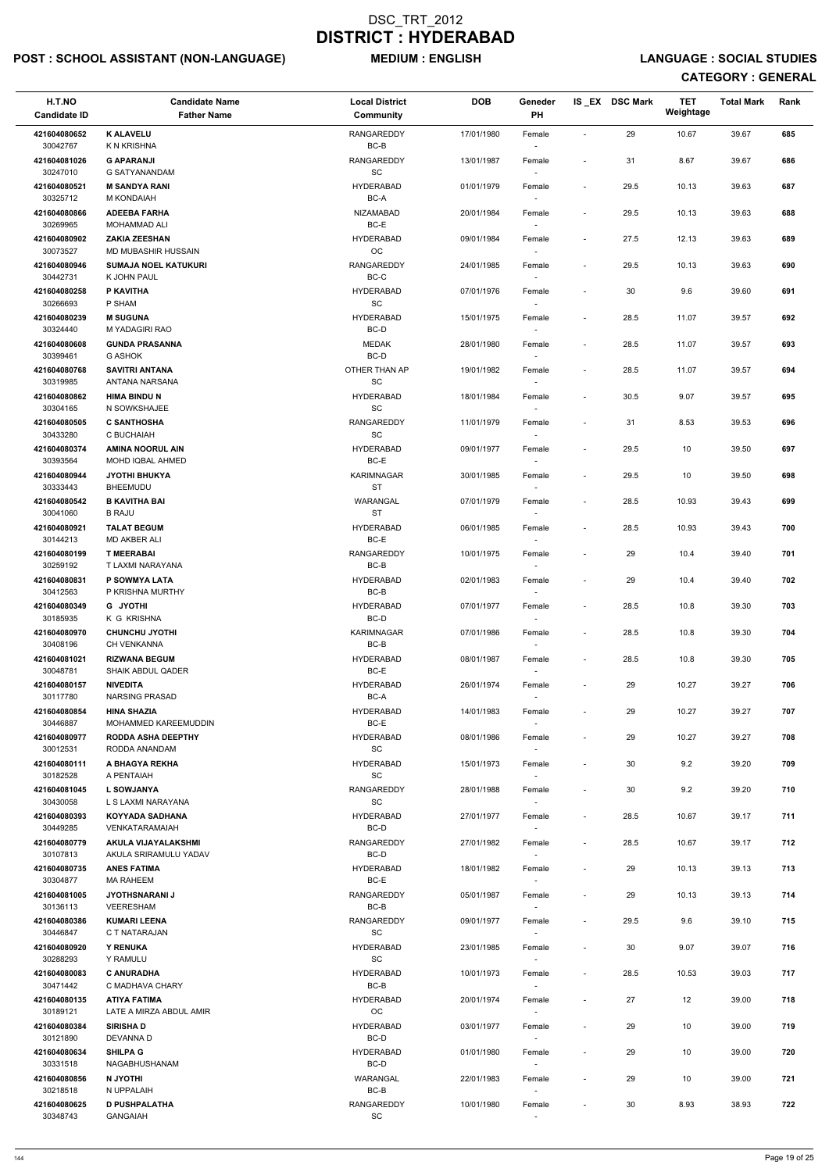## POST : SCHOOL ASSISTANT (NON-LANGUAGE) MEDIUM : ENGLISH LANGUAGE : SOCIAL STUDIES

| H.T.NO<br><b>Candidate ID</b> | <b>Candidate Name</b><br><b>Father Name</b>        | <b>Local District</b><br><b>Community</b>         | <b>DOB</b> | Geneder<br>PH                      |                          | IS EX DSC Mark | TET<br>Weightage | <b>Total Mark</b> | Rank |
|-------------------------------|----------------------------------------------------|---------------------------------------------------|------------|------------------------------------|--------------------------|----------------|------------------|-------------------|------|
| 421604080652<br>30042767      | <b>K ALAVELU</b><br><b>K N KRISHNA</b>             | <b>RANGAREDDY</b><br>BC-B                         | 17/01/1980 | Female                             | $\sim$                   | 29             | 10.67            | 39.67             | 685  |
| 421604081026<br>30247010      | <b>G APARANJI</b><br><b>G SATYANANDAM</b>          | <b>RANGAREDDY</b><br>SC                           | 13/01/1987 | Female                             | $\overline{\phantom{a}}$ | 31             | 8.67             | 39.67             | 686  |
| 421604080521<br>30325712      | <b>M SANDYA RANI</b><br>M KONDAIAH                 | <b>HYDERABAD</b><br>BC-A                          | 01/01/1979 | Female<br>$\sim$                   | $\overline{\phantom{a}}$ | 29.5           | 10.13            | 39.63             | 687  |
| 421604080866                  | <b>ADEEBA FARHA</b>                                | <b>NIZAMABAD</b>                                  | 20/01/1984 | Female                             | $\blacksquare$           | 29.5           | 10.13            | 39.63             | 688  |
| 30269965<br>421604080902      | <b>MOHAMMAD ALI</b><br><b>ZAKIA ZEESHAN</b>        | BC-E<br><b>HYDERABAD</b>                          | 09/01/1984 | $\overline{\phantom{a}}$<br>Female | $\overline{\phantom{a}}$ | 27.5           | 12.13            | 39.63             | 689  |
| 30073527                      | MD MUBASHIR HUSSAIN                                | OC                                                |            | $\overline{\phantom{a}}$           |                          |                |                  |                   |      |
| 421604080946                  | <b>SUMAJA NOEL KATUKURI</b>                        | <b>RANGAREDDY</b>                                 | 24/01/1985 | Female                             | $\overline{\phantom{a}}$ | 29.5           | 10.13            | 39.63             | 690  |
| 30442731<br>421604080258      | K JOHN PAUL<br>P KAVITHA                           | BC-C<br><b>HYDERABAD</b>                          | 07/01/1976 | Female                             | $\sim$                   | 30             | 9.6              | 39.60             | 691  |
| 30266693                      | P SHAM                                             | $\operatorname{\textsf{SC}}$                      |            |                                    |                          |                |                  |                   |      |
| 421604080239                  | <b>M SUGUNA</b>                                    | <b>HYDERABAD</b>                                  | 15/01/1975 | Female                             | $\overline{\phantom{a}}$ | 28.5           | 11.07            | 39.57             | 692  |
| 30324440<br>421604080608      | M YADAGIRI RAO<br><b>GUNDA PRASANNA</b>            | BC-D<br><b>MEDAK</b>                              | 28/01/1980 | $\overline{\phantom{a}}$<br>Female | $\blacksquare$           | 28.5           | 11.07            | 39.57             | 693  |
| 30399461                      | G ASHOK                                            | BC-D                                              |            | $\overline{\phantom{a}}$           |                          |                |                  |                   |      |
| 421604080768<br>30319985      | <b>SAVITRI ANTANA</b><br>ANTANA NARSANA            | OTHER THAN AP<br>SC                               | 19/01/1982 | Female                             | $\overline{\phantom{a}}$ | 28.5           | 11.07            | 39.57             | 694  |
| 421604080862<br>30304165      | <b>HIMA BINDU N</b><br>N SOWKSHAJEE                | <b>HYDERABAD</b><br>SC                            | 18/01/1984 | Female                             | $\sim$                   | 30.5           | 9.07             | 39.57             | 695  |
| 421604080505                  | <b>C SANTHOSHA</b>                                 | <b>RANGAREDDY</b>                                 | 11/01/1979 | Female                             | $\overline{\phantom{a}}$ | 31             | 8.53             | 39.53             | 696  |
| 30433280                      | C BUCHAIAH                                         | SC                                                |            | $\sim$                             |                          |                |                  |                   |      |
| 421604080374<br>30393564      | <b>AMINA NOORUL AIN</b><br><b>MOHD IQBAL AHMED</b> | <b>HYDERABAD</b><br>BC-E                          | 09/01/1977 | Female                             | $\blacksquare$           | 29.5           | 10               | 39.50             | 697  |
| 421604080944                  | <b>JYOTHI BHUKYA</b>                               | KARIMNAGAR                                        | 30/01/1985 | $\overline{\phantom{a}}$<br>Female | $\overline{\phantom{a}}$ | 29.5           | 10               | 39.50             | 698  |
| 30333443                      | <b>BHEEMUDU</b>                                    | <b>ST</b>                                         |            |                                    |                          |                |                  |                   |      |
| 421604080542                  | <b>B KAVITHA BAI</b>                               | WARANGAL                                          | 07/01/1979 | Female                             | $\blacksquare$           | 28.5           | 10.93            | 39.43             | 699  |
| 30041060<br>421604080921      | <b>B RAJU</b><br><b>TALAT BEGUM</b>                | <b>ST</b><br><b>HYDERABAD</b>                     | 06/01/1985 | Female                             | $\overline{\phantom{a}}$ | 28.5           | 10.93            | 39.43             | 700  |
| 30144213                      | <b>MD AKBER ALI</b>                                | BC-E                                              |            | $\overline{\phantom{a}}$           |                          |                |                  |                   |      |
| 421604080199<br>30259192      | <b>T MEERABAI</b><br>T LAXMI NARAYANA              | <b>RANGAREDDY</b><br>BC-B                         | 10/01/1975 | Female                             |                          | 29             | 10.4             | 39.40             | 701  |
| 421604080831                  | P SOWMYA LATA                                      | <b>HYDERABAD</b>                                  | 02/01/1983 | Female                             | $\overline{\phantom{a}}$ | 29             | 10.4             | 39.40             | 702  |
| 30412563<br>421604080349      | P KRISHNA MURTHY<br><b>G JYOTHI</b>                | BC-B<br><b>HYDERABAD</b>                          | 07/01/1977 | Female                             | $\overline{\phantom{a}}$ | 28.5           | 10.8             | 39.30             | 703  |
| 30185935                      | K G KRISHNA                                        | BC-D                                              |            | $\overline{\phantom{a}}$           |                          |                |                  |                   |      |
| 421604080970<br>30408196      | <b>CHUNCHU JYOTHI</b><br><b>CH VENKANNA</b>        | KARIMNAGAR<br>BC-B                                | 07/01/1986 | Female<br>$\sim$                   | $\blacksquare$           | 28.5           | 10.8             | 39.30             | 704  |
| 421604081021<br>30048781      | <b>RIZWANA BEGUM</b><br>SHAIK ABDUL QADER          | <b>HYDERABAD</b><br>BC-E                          | 08/01/1987 | Female                             | $\overline{\phantom{a}}$ | 28.5           | 10.8             | 39.30             | 705  |
| 421604080157                  | <b>NIVEDITA</b>                                    | <b>HYDERABAD</b>                                  | 26/01/1974 | Female                             | $\overline{\phantom{a}}$ | 29             | 10.27            | 39.27             | 706  |
| 30117780                      | <b>NARSING PRASAD</b>                              | BC-A                                              |            |                                    |                          |                |                  |                   |      |
| 421604080854<br>30446887      | <b>HINA SHAZIA</b><br>MOHAMMED KAREEMUDDIN         | <b>HYDERABAD</b><br>BC-E                          | 14/01/1983 | Female<br>$\sim$                   | $\overline{\phantom{a}}$ | 29             | 10.27            | 39.27             | 707  |
| 421604080977                  | <b>RODDA ASHA DEEPTHY</b>                          | <b>HYDERABAD</b>                                  | 08/01/1986 | Female                             | $\blacksquare$           | 29             | 10.27            | 39.27             | 708  |
| 30012531                      | RODDA ANANDAM                                      | SC                                                |            | $\overline{\phantom{a}}$           |                          |                |                  |                   |      |
| 421604080111<br>30182528      | A BHAGYA REKHA<br>A PENTAIAH                       | <b>HYDERABAD</b><br>SC                            | 15/01/1973 | Female<br>$\sim$                   | $\overline{\phantom{a}}$ | 30             | 9.2              | 39.20             | 709  |
| 421604081045<br>30430058      | L SOWJANYA<br>L S LAXMI NARAYANA                   | <b>RANGAREDDY</b><br>SC                           | 28/01/1988 | Female                             | $\overline{\phantom{a}}$ | 30             | 9.2              | 39.20             | 710  |
| 421604080393                  | <b>KOYYADA SADHANA</b>                             | <b>HYDERABAD</b><br>BC-D                          | 27/01/1977 | Female                             | $\blacksquare$           | 28.5           | 10.67            | 39.17             | 711  |
| 30449285<br>421604080779      | VENKATARAMAIAH<br>AKULA VIJAYALAKSHMI              | <b>RANGAREDDY</b>                                 | 27/01/1982 | Female                             | $\blacksquare$           | 28.5           | 10.67            | 39.17             | 712  |
| 30107813<br>421604080735      | AKULA SRIRAMULU YADAV<br><b>ANES FATIMA</b>        | BC-D<br><b>HYDERABAD</b>                          | 18/01/1982 | $\sim$<br>Female                   | $\blacksquare$           | 29             | 10.13            | 39.13             | 713  |
| 30304877                      | <b>MA RAHEEM</b>                                   | BC-E                                              |            | $\sim$                             |                          |                |                  |                   |      |
| 421604081005<br>30136113      | <b>JYOTHSNARANI J</b><br>VEERESHAM                 | <b>RANGAREDDY</b><br>BC-B                         | 05/01/1987 | Female<br>$\overline{\phantom{a}}$ | $\overline{\phantom{a}}$ | 29             | 10.13            | 39.13             | 714  |
| 421604080386                  | <b>KUMARI LEENA</b>                                | <b>RANGAREDDY</b>                                 | 09/01/1977 | Female                             | $\overline{\phantom{a}}$ | 29.5           | 9.6              | 39.10             | 715  |
| 30446847<br>421604080920      | C T NATARAJAN<br><b>Y RENUKA</b>                   | <b>SC</b><br><b>HYDERABAD</b>                     | 23/01/1985 | Female                             | $\overline{\phantom{a}}$ | 30             | 9.07             | 39.07             | 716  |
| 30288293                      | Y RAMULU                                           | SC                                                |            | $\overline{\phantom{a}}$           |                          |                |                  |                   |      |
| 421604080083                  | <b>C ANURADHA</b>                                  | <b>HYDERABAD</b>                                  | 10/01/1973 | Female                             |                          | 28.5           | 10.53            | 39.03             | 717  |
| 30471442<br>421604080135      | C MADHAVA CHARY<br><b>ATIYA FATIMA</b>             | $BC-B$<br><b>HYDERABAD</b>                        | 20/01/1974 | $\overline{\phantom{a}}$<br>Female | $\overline{\phantom{a}}$ | 27             | 12               | 39.00             | 718  |
| 30189121                      | LATE A MIRZA ABDUL AMIR                            | $_{\rm OC}$                                       |            | $\overline{\phantom{a}}$           |                          |                |                  |                   |      |
| 421604080384<br>30121890      | <b>SIRISHAD</b><br>DEVANNA D                       | <b>HYDERABAD</b><br>BC-D                          | 03/01/1977 | Female<br>$\overline{\phantom{a}}$ |                          | 29             | 10               | 39.00             | 719  |
| 421604080634                  | <b>SHILPA G</b>                                    | <b>HYDERABAD</b>                                  | 01/01/1980 | Female                             | $\overline{\phantom{a}}$ | 29             | 10               | 39.00             | 720  |
| 30331518<br>421604080856      | NAGABHUSHANAM<br><b>N JYOTHI</b>                   | BC-D<br>WARANGAL                                  | 22/01/1983 | $\overline{\phantom{a}}$           |                          | 29             | 10               | 39.00             | 721  |
| 30218518                      | N UPPALAIH                                         | BC-B                                              |            | Female<br>$\overline{\phantom{a}}$ |                          |                |                  |                   |      |
| 421604080625<br>30348743      | <b>D PUSHPALATHA</b><br><b>GANGAIAH</b>            | <b>RANGAREDDY</b><br>$\operatorname{\textsf{SC}}$ | 10/01/1980 | Female<br>$\sim$                   | $\overline{\phantom{a}}$ | 30             | 8.93             | 38.93             | 722  |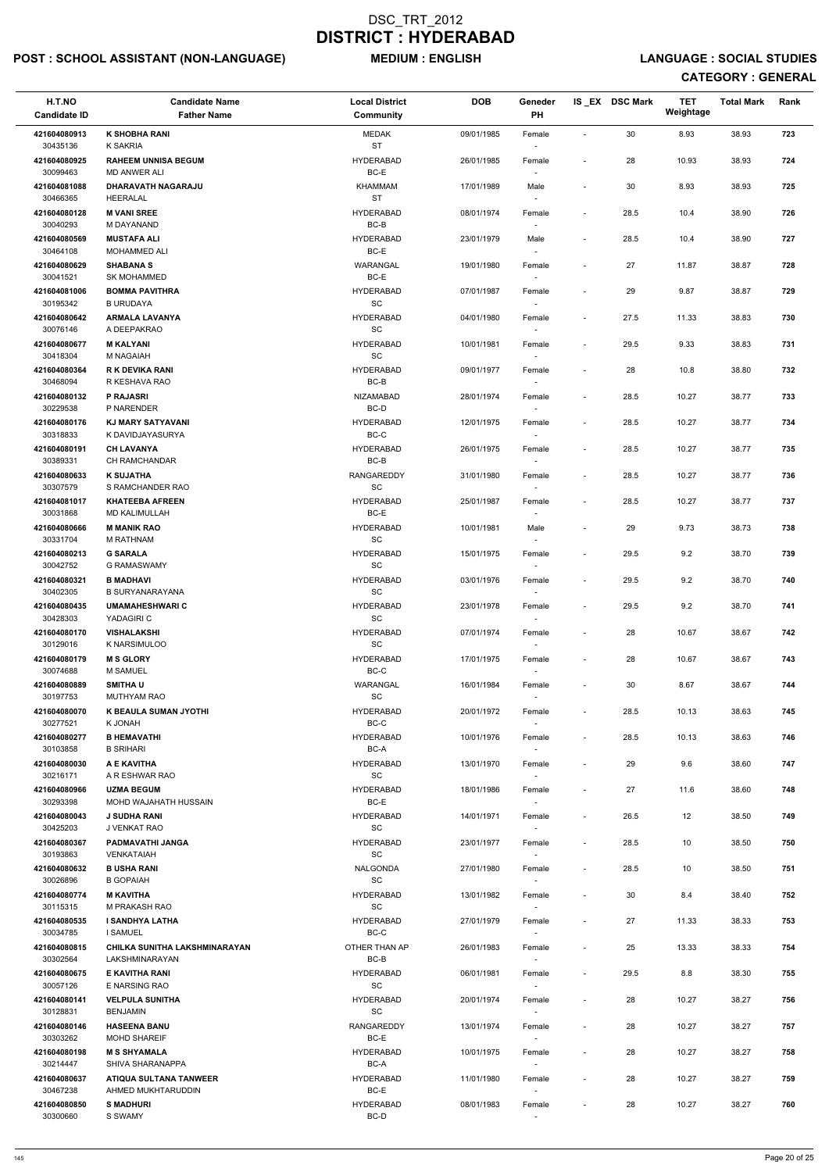# POST : SCHOOL ASSISTANT (NON-LANGUAGE) MEDIUM : ENGLISH LANGUAGE : SOCIAL STUDIES

| H.T.NO<br><b>Candidate ID</b> | <b>Candidate Name</b><br><b>Father Name</b>       | <b>Local District</b><br><b>Community</b>        | <b>DOB</b> | Geneder<br>PH                      |                          | IS_EX DSC Mark | <b>TET</b><br>Weightage | <b>Total Mark</b> | Rank |
|-------------------------------|---------------------------------------------------|--------------------------------------------------|------------|------------------------------------|--------------------------|----------------|-------------------------|-------------------|------|
| 421604080913<br>30435136      | <b>K SHOBHA RANI</b><br>K SAKRIA                  | MEDAK<br><b>ST</b>                               | 09/01/1985 | Female                             | $\sim$                   | 30             | 8.93                    | 38.93             | 723  |
| 421604080925<br>30099463      | <b>RAHEEM UNNISA BEGUM</b><br><b>MD ANWER ALI</b> | <b>HYDERABAD</b><br>BC-E                         | 26/01/1985 | Female                             | $\blacksquare$           | 28             | 10.93                   | 38.93             | 724  |
| 421604081088                  | DHARAVATH NAGARAJU                                | <b>KHAMMAM</b>                                   | 17/01/1989 | Male                               | $\overline{\phantom{a}}$ | 30             | 8.93                    | 38.93             | 725  |
| 30466365<br>421604080128      | HEERALAL<br><b>M VANI SREE</b>                    | <b>ST</b><br><b>HYDERABAD</b>                    | 08/01/1974 | $\overline{\phantom{a}}$<br>Female | $\overline{\phantom{a}}$ | 28.5           | 10.4                    | 38.90             | 726  |
| 30040293<br>421604080569      | M DAYANAND<br><b>MUSTAFA ALI</b>                  | BC-B<br><b>HYDERABAD</b>                         | 23/01/1979 | Male                               | $\blacksquare$           | 28.5           | 10.4                    | 38.90             | 727  |
| 30464108                      | <b>MOHAMMED ALI</b>                               | BC-E                                             |            | $\overline{\phantom{a}}$           |                          |                |                         |                   |      |
| 421604080629<br>30041521      | <b>SHABANA S</b><br><b>SK MOHAMMED</b>            | WARANGAL<br>$BC-E$                               | 19/01/1980 | Female                             | $\overline{\phantom{a}}$ | 27             | 11.87                   | 38.87             | 728  |
| 421604081006<br>30195342      | <b>BOMMA PAVITHRA</b><br><b>B URUDAYA</b>         | <b>HYDERABAD</b><br>SC                           | 07/01/1987 | Female                             | $\overline{\phantom{a}}$ | 29             | 9.87                    | 38.87             | 729  |
| 421604080642<br>30076146      | <b>ARMALA LAVANYA</b><br>A DEEPAKRAO              | <b>HYDERABAD</b><br>SC                           | 04/01/1980 | Female<br>$\overline{\phantom{a}}$ | $\overline{\phantom{a}}$ | 27.5           | 11.33                   | 38.83             | 730  |
| 421604080677<br>30418304      | <b>M KALYANI</b><br>M NAGAIAH                     | <b>HYDERABAD</b><br>SC                           | 10/01/1981 | Female<br>$\sim$                   | $\blacksquare$           | 29.5           | 9.33                    | 38.83             | 731  |
| 421604080364<br>30468094      | <b>R K DEVIKA RANI</b><br>R KESHAVA RAO           | <b>HYDERABAD</b><br>BC-B                         | 09/01/1977 | Female                             | $\blacksquare$           | 28             | 10.8                    | 38.80             | 732  |
| 421604080132                  | P RAJASRI                                         | NIZAMABAD                                        | 28/01/1974 | Female                             | $\blacksquare$           | 28.5           | 10.27                   | 38.77             | 733  |
| 30229538<br>421604080176      | P NARENDER<br>KJ MARY SATYAVANI                   | BC-D<br><b>HYDERABAD</b>                         | 12/01/1975 | Female                             | $\blacksquare$           | 28.5           | 10.27                   | 38.77             | 734  |
| 30318833<br>421604080191      | K DAVIDJAYASURYA<br><b>CH LAVANYA</b>             | BC-C<br><b>HYDERABAD</b>                         | 26/01/1975 | $\sim$<br>Female                   | $\blacksquare$           | 28.5           | 10.27                   | 38.77             | 735  |
| 30389331                      | CH RAMCHANDAR                                     | BC-B                                             |            | $\overline{\phantom{a}}$           |                          |                |                         |                   |      |
| 421604080633<br>30307579      | <b>K SUJATHA</b><br>S RAMCHANDER RAO              | RANGAREDDY<br>$\operatorname{\textsf{SC}}$       | 31/01/1980 | Female<br>$\sim$                   | $\blacksquare$           | 28.5           | 10.27                   | 38.77             | 736  |
| 421604081017<br>30031868      | <b>KHATEEBA AFREEN</b><br><b>MD KALIMULLAH</b>    | <b>HYDERABAD</b><br>BC-E                         | 25/01/1987 | Female                             | $\overline{\phantom{a}}$ | 28.5           | 10.27                   | 38.77             | 737  |
| 421604080666<br>30331704      | <b>M MANIK RAO</b><br><b>M RATHNAM</b>            | <b>HYDERABAD</b><br>SC                           | 10/01/1981 | Male<br>$\overline{\phantom{a}}$   | $\blacksquare$           | 29             | 9.73                    | 38.73             | 738  |
| 421604080213<br>30042752      | <b>G SARALA</b><br>G RAMASWAMY                    | <b>HYDERABAD</b><br>SC                           | 15/01/1975 | Female                             |                          | 29.5           | 9.2                     | 38.70             | 739  |
| 421604080321                  | <b>B MADHAVI</b>                                  | <b>HYDERABAD</b>                                 | 03/01/1976 | Female                             | $\blacksquare$           | 29.5           | 9.2                     | 38.70             | 740  |
| 30402305<br>421604080435      | <b>B SURYANARAYANA</b><br><b>UMAMAHESHWARI C</b>  | SC<br><b>HYDERABAD</b>                           | 23/01/1978 | Female                             | $\overline{\phantom{a}}$ | 29.5           | 9.2                     | 38.70             | 741  |
| 30428303<br>421604080170      | YADAGIRI C<br><b>VISHALAKSHI</b>                  | SC<br><b>HYDERABAD</b>                           | 07/01/1974 | $\sim$<br>Female                   | $\blacksquare$           | 28             | 10.67                   | 38.67             | 742  |
| 30129016<br>421604080179      | K NARSIMULOO<br><b>M S GLORY</b>                  | <b>SC</b><br><b>HYDERABAD</b>                    | 17/01/1975 | $\sim$<br>Female                   | $\overline{\phantom{a}}$ | 28             | 10.67                   | 38.67             | 743  |
| 30074688<br>421604080889      | <b>M SAMUEL</b><br><b>SMITHAU</b>                 | BC-C<br>WARANGAL                                 | 16/01/1984 | $\sim$<br>Female                   | $\blacksquare$           | 30             | 8.67                    | 38.67             | 744  |
| 30197753                      | <b>MUTHYAM RAO</b>                                | SC                                               |            |                                    |                          |                |                         |                   |      |
| 421604080070<br>30277521      | K BEAULA SUMAN JYOTHI<br>K JONAH                  | <b>HYDERABAD</b><br>BC-C                         | 20/01/1972 | Female                             | $\blacksquare$           | 28.5           | 10.13                   | 38.63             | 745  |
| 421604080277<br>30103858      | <b>B HEMAVATHI</b><br><b>B SRIHARI</b>            | <b>HYDERABAD</b><br>BC-A                         | 10/01/1976 | Female<br>$\sim$                   | $\overline{\phantom{a}}$ | 28.5           | 10.13                   | 38.63             | 746  |
| 421604080030<br>30216171      | A E KAVITHA<br>A R ESHWAR RAO                     | <b>HYDERABAD</b><br>SC                           | 13/01/1970 | Female<br>$\sim$                   | $\overline{\phantom{a}}$ | 29             | 9.6                     | 38.60             | 747  |
| 421604080966<br>30293398      | <b>UZMA BEGUM</b><br>MOHD WAJAHATH HUSSAIN        | <b>HYDERABAD</b><br>BC-E                         | 18/01/1986 | Female                             | $\overline{\phantom{a}}$ | 27             | 11.6                    | 38.60             | 748  |
| 421604080043<br>30425203      | <b>J SUDHA RANI</b><br>J VENKAT RAO               | <b>HYDERABAD</b><br>SC                           | 14/01/1971 | Female                             | $\blacksquare$           | 26.5           | 12                      | 38.50             | 749  |
| 421604080367                  | PADMAVATHI JANGA                                  | <b>HYDERABAD</b>                                 | 23/01/1977 | Female                             | $\overline{\phantom{a}}$ | 28.5           | 10                      | 38.50             | 750  |
| 30193863<br>421604080632      | <b>VENKATAIAH</b><br><b>B USHA RANI</b>           | SC<br>NALGONDA                                   | 27/01/1980 | $\sim$<br>Female                   | $\blacksquare$           | 28.5           | 10                      | 38.50             | 751  |
| 30026896<br>421604080774      | <b>B GOPAIAH</b><br><b>M KAVITHA</b>              | <b>SC</b><br><b>HYDERABAD</b>                    | 13/01/1982 | $\sim$<br>Female                   | $\overline{\phantom{a}}$ | 30             | 8.4                     | 38.40             | 752  |
| 30115315                      | M PRAKASH RAO                                     | <b>SC</b>                                        |            | $\sim$                             |                          |                |                         |                   |      |
| 421604080535<br>30034785      | <b>I SANDHYA LATHA</b><br><b>I SAMUEL</b>         | <b>HYDERABAD</b><br>BC-C                         | 27/01/1979 | Female                             | $\overline{\phantom{a}}$ | 27             | 11.33                   | 38.33             | 753  |
| 421604080815<br>30302564      | CHILKA SUNITHA LAKSHMINARAYAN<br>LAKSHMINARAYAN   | OTHER THAN AP<br>BC-B                            | 26/01/1983 | Female                             | $\blacksquare$           | 25             | 13.33                   | 38.33             | 754  |
| 421604080675                  | E KAVITHA RANI                                    | <b>HYDERABAD</b>                                 | 06/01/1981 | Female                             | $\overline{\phantom{a}}$ | 29.5           | 8.8                     | 38.30             | 755  |
| 30057126<br>421604080141      | E NARSING RAO<br><b>VELPULA SUNITHA</b>           | $\operatorname{\textsf{SC}}$<br><b>HYDERABAD</b> | 20/01/1974 | $\overline{\phantom{a}}$<br>Female |                          | 28             | 10.27                   | 38.27             | 756  |
| 30128831<br>421604080146      | <b>BENJAMIN</b><br><b>HASEENA BANU</b>            | $\operatorname{\textsf{SC}}$<br>RANGAREDDY       | 13/01/1974 | Female                             | $\blacksquare$           | 28             | 10.27                   | 38.27             | 757  |
| 30303262<br>421604080198      | <b>MOHD SHAREIF</b><br><b>M S SHYAMALA</b>        | BC-E<br><b>HYDERABAD</b>                         | 10/01/1975 | $\sim$<br>Female                   | $\blacksquare$           | 28             | 10.27                   | 38.27             | 758  |
| 30214447<br>421604080637      | SHIVA SHARANAPPA<br><b>ATIQUA SULTANA TANWEER</b> | BC-A<br><b>HYDERABAD</b>                         | 11/01/1980 | $\sim$<br>Female                   | $\overline{\phantom{a}}$ | 28             | 10.27                   | 38.27             | 759  |
| 30467238<br>421604080850      | AHMED MUKHTARUDDIN<br><b>S MADHURI</b>            | BC-E<br><b>HYDERABAD</b>                         | 08/01/1983 | $\overline{\phantom{a}}$<br>Female | $\overline{\phantom{a}}$ | 28             | 10.27                   | 38.27             | 760  |
| 30300660                      | S SWAMY                                           | BC-D                                             |            |                                    |                          |                |                         |                   |      |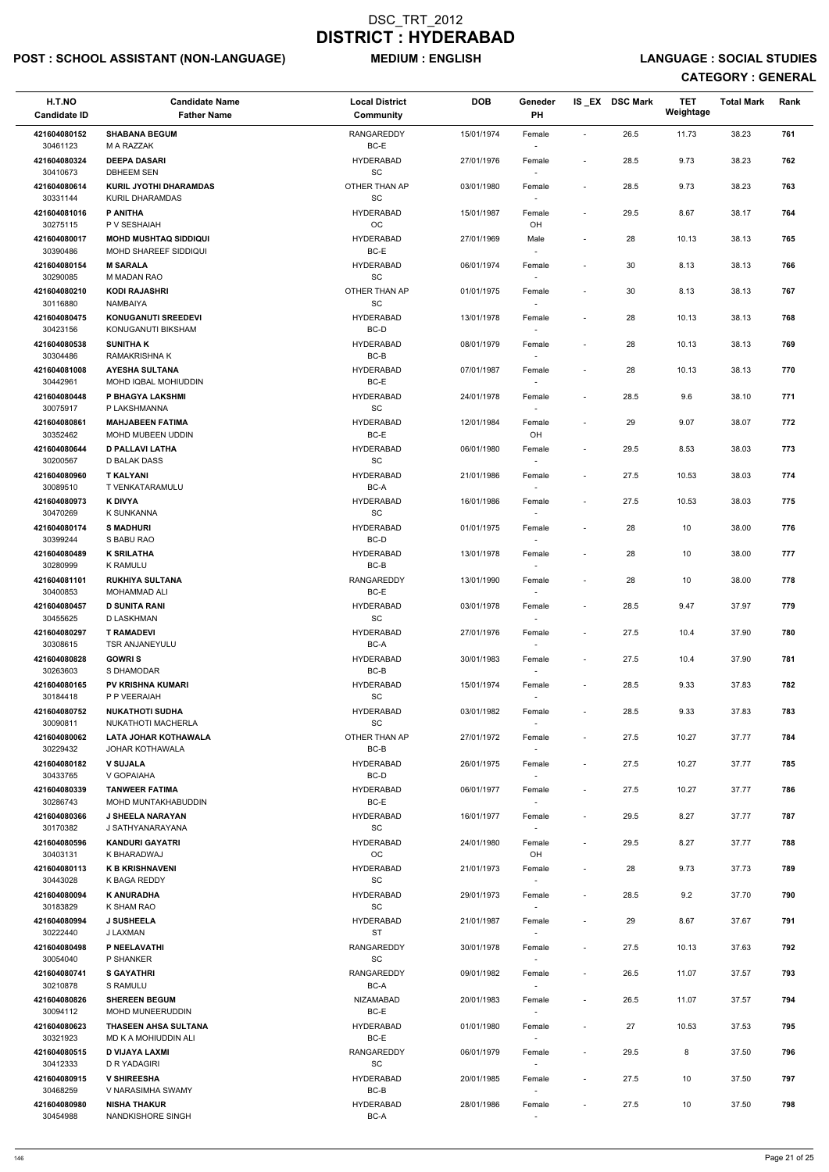# POST : SCHOOL ASSISTANT (NON-LANGUAGE) MEDIUM : ENGLISH LANGUAGE : SOCIAL STUDIES

| H.T.NO<br><b>Candidate ID</b>        | <b>Candidate Name</b><br><b>Father Name</b>                           | <b>Local District</b><br>Community            | <b>DOB</b> | Geneder<br>PH                      |                          | IS EX DSC Mark | TET<br>Weightage | <b>Total Mark</b> | Rank |
|--------------------------------------|-----------------------------------------------------------------------|-----------------------------------------------|------------|------------------------------------|--------------------------|----------------|------------------|-------------------|------|
| 421604080152<br>30461123             | <b>SHABANA BEGUM</b><br>M A RAZZAK                                    | <b>RANGAREDDY</b><br>BC-E                     | 15/01/1974 | Female                             | $\blacksquare$           | 26.5           | 11.73            | 38.23             | 761  |
| 421604080324<br>30410673             | <b>DEEPA DASARI</b><br><b>DBHEEM SEN</b>                              | <b>HYDERABAD</b><br>SC                        | 27/01/1976 | Female                             | $\blacksquare$           | 28.5           | 9.73             | 38.23             | 762  |
| 421604080614<br>30331144             | <b>KURIL JYOTHI DHARAMDAS</b><br>KURIL DHARAMDAS                      | OTHER THAN AP<br>SC                           | 03/01/1980 | Female<br>$\overline{\phantom{a}}$ | $\overline{\phantom{a}}$ | 28.5           | 9.73             | 38.23             | 763  |
| 421604081016<br>30275115             | P ANITHA<br>P V SESHAIAH                                              | <b>HYDERABAD</b><br><b>OC</b>                 | 15/01/1987 | Female<br>OH                       | $\blacksquare$           | 29.5           | 8.67             | 38.17             | 764  |
| 421604080017                         | <b>MOHD MUSHTAQ SIDDIQUI</b>                                          | <b>HYDERABAD</b>                              | 27/01/1969 | Male                               | $\overline{\phantom{a}}$ | 28             | 10.13            | 38.13             | 765  |
| 30390486<br>421604080154             | MOHD SHAREEF SIDDIQUI<br><b>M SARALA</b>                              | BC-E<br><b>HYDERABAD</b>                      | 06/01/1974 | $\overline{\phantom{a}}$<br>Female | $\blacksquare$           | 30             | 8.13             | 38.13             | 766  |
| 30290085<br>421604080210             | M MADAN RAO<br><b>KODI RAJASHRI</b>                                   | $\operatorname{\textsf{SC}}$<br>OTHER THAN AP | 01/01/1975 | Female                             | $\blacksquare$           | 30             | 8.13             | 38.13             | 767  |
| 30116880<br>421604080475<br>30423156 | <b>NAMBAIYA</b><br><b>KONUGANUTI SREEDEVI</b><br>KONUGANUTI BIKSHAM   | SC<br><b>HYDERABAD</b><br>BC-D                | 13/01/1978 | $\overline{\phantom{a}}$<br>Female | $\blacksquare$           | 28             | 10.13            | 38.13             | 768  |
| 421604080538                         | <b>SUNITHAK</b>                                                       | <b>HYDERABAD</b>                              | 08/01/1979 | Female                             | $\overline{\phantom{a}}$ | 28             | 10.13            | 38.13             | 769  |
| 30304486<br>421604081008<br>30442961 | <b>RAMAKRISHNA K</b><br><b>AYESHA SULTANA</b><br>MOHD IQBAL MOHIUDDIN | BC-B<br><b>HYDERABAD</b><br>BC-E              | 07/01/1987 | $\overline{\phantom{a}}$<br>Female | $\blacksquare$           | 28             | 10.13            | 38.13             | 770  |
| 421604080448<br>30075917             | P BHAGYA LAKSHMI<br>P LAKSHMANNA                                      | <b>HYDERABAD</b><br>SC                        | 24/01/1978 | Female                             | $\blacksquare$           | 28.5           | 9.6              | 38.10             | 771  |
| 421604080861                         | <b>MAHJABEEN FATIMA</b>                                               | <b>HYDERABAD</b>                              | 12/01/1984 | Female                             | $\blacksquare$           | 29             | 9.07             | 38.07             | 772  |
| 30352462<br>421604080644             | MOHD MUBEEN UDDIN<br><b>D PALLAVI LATHA</b>                           | BC-E<br><b>HYDERABAD</b>                      | 06/01/1980 | OH<br>Female                       | $\blacksquare$           | 29.5           | 8.53             | 38.03             | 773  |
| 30200567<br>421604080960             | D BALAK DASS<br><b>T KALYANI</b>                                      | SC<br><b>HYDERABAD</b>                        | 21/01/1986 | $\overline{\phantom{a}}$<br>Female | $\overline{\phantom{a}}$ | 27.5           | 10.53            | 38.03             | 774  |
| 30089510<br>421604080973             | T VENKATARAMULU<br><b>K DIVYA</b>                                     | BC-A<br><b>HYDERABAD</b>                      | 16/01/1986 | $\sim$<br>Female                   | $\blacksquare$           | 27.5           | 10.53            | 38.03             | 775  |
| 30470269<br>421604080174             | K SUNKANNA<br><b>S MADHURI</b>                                        | SC<br><b>HYDERABAD</b>                        | 01/01/1975 | Female                             | $\overline{\phantom{a}}$ | 28             | 10               | 38.00             | 776  |
| 30399244                             | S BABU RAO                                                            | BC-D                                          |            | $\overline{\phantom{a}}$           |                          |                |                  |                   |      |
| 421604080489<br>30280999             | <b>K SRILATHA</b><br><b>K RAMULU</b>                                  | <b>HYDERABAD</b><br>BC-B                      | 13/01/1978 | Female                             |                          | 28             | 10               | 38.00             | 777  |
| 421604081101<br>30400853             | <b>RUKHIYA SULTANA</b><br><b>MOHAMMAD ALI</b>                         | <b>RANGAREDDY</b><br>BC-E                     | 13/01/1990 | Female                             | $\overline{\phantom{a}}$ | 28             | 10               | 38.00             | 778  |
| 421604080457<br>30455625             | <b>D SUNITA RANI</b><br>D LASKHMAN                                    | <b>HYDERABAD</b><br>SC                        | 03/01/1978 | Female<br>$\overline{\phantom{a}}$ | $\overline{\phantom{a}}$ | 28.5           | 9.47             | 37.97             | 779  |
| 421604080297<br>30308615             | <b>T RAMADEVI</b><br><b>TSR ANJANEYULU</b>                            | <b>HYDERABAD</b><br>BC-A                      | 27/01/1976 | Female<br>$\sim$                   | $\overline{\phantom{a}}$ | 27.5           | 10.4             | 37.90             | 780  |
| 421604080828<br>30263603             | <b>GOWRIS</b><br>S DHAMODAR                                           | <b>HYDERABAD</b><br>BC-B                      | 30/01/1983 | Female<br>$\overline{\phantom{a}}$ | $\blacksquare$           | 27.5           | 10.4             | 37.90             | 781  |
| 421604080165<br>30184418             | <b>PV KRISHNA KUMARI</b><br>P P VEERAIAH                              | <b>HYDERABAD</b><br>SC                        | 15/01/1974 | Female                             | $\overline{\phantom{a}}$ | 28.5           | 9.33             | 37.83             | 782  |
| 421604080752<br>30090811             | <b>NUKATHOTI SUDHA</b><br>NUKATHOTI MACHERLA                          | <b>HYDERABAD</b><br>SC                        | 03/01/1982 | Female                             | $\sim$                   | 28.5           | 9.33             | 37.83             | 783  |
| 421604080062<br>30229432             | LATA JOHAR KOTHAWALA<br>JOHAR KOTHAWALA                               | OTHER THAN AP<br>BC-B                         | 27/01/1972 | $\sim$<br>Female<br>$\sim$         | $\blacksquare$           | 27.5           | 10.27            | 37.77             | 784  |
| 421604080182<br>30433765             | <b>V SUJALA</b><br>V GOPAIAHA                                         | <b>HYDERABAD</b><br>BC-D                      | 26/01/1975 | Female<br>$\sim$                   | $\blacksquare$           | 27.5           | 10.27            | 37.77             | 785  |
| 421604080339<br>30286743             | <b>TANWEER FATIMA</b><br>MOHD MUNTAKHABUDDIN                          | <b>HYDERABAD</b><br>BC-E                      | 06/01/1977 | Female                             | $\overline{\phantom{a}}$ | 27.5           | 10.27            | 37.77             | 786  |
| 421604080366                         | <b>J SHEELA NARAYAN</b>                                               | <b>HYDERABAD</b>                              | 16/01/1977 | Female                             | $\blacksquare$           | 29.5           | 8.27             | 37.77             | 787  |
| 30170382<br>421604080596<br>30403131 | J SATHYANARAYANA<br><b>KANDURI GAYATRI</b><br>K BHARADWAJ             | <b>SC</b><br><b>HYDERABAD</b><br>OC           | 24/01/1980 | Female<br>OH                       | $\overline{\phantom{a}}$ | 29.5           | 8.27             | 37.77             | 788  |
| 421604080113                         | <b>K B KRISHNAVENI</b>                                                | <b>HYDERABAD</b>                              | 21/01/1973 | Female                             | $\blacksquare$           | 28             | 9.73             | 37.73             | 789  |
| 30443028<br>421604080094             | K BAGA REDDY<br><b>K ANURADHA</b>                                     | SC<br><b>HYDERABAD</b>                        | 29/01/1973 | $\sim$<br>Female                   | $\overline{\phantom{a}}$ | 28.5           | 9.2              | 37.70             | 790  |
| 30183829<br>421604080994             | K SHAM RAO<br><b>J SUSHEELA</b>                                       | SC<br><b>HYDERABAD</b>                        | 21/01/1987 | Female                             | $\overline{\phantom{a}}$ | 29             | 8.67             | 37.67             | 791  |
| 30222440<br>421604080498             | J LAXMAN<br>P NEELAVATHI                                              | <b>ST</b><br>RANGAREDDY                       | 30/01/1978 | Female                             | $\blacksquare$           | 27.5           | 10.13            | 37.63             | 792  |
| 30054040<br>421604080741             | P SHANKER<br><b>S GAYATHRI</b>                                        | SC<br>RANGAREDDY                              | 09/01/1982 | $\overline{\phantom{a}}$<br>Female |                          | 26.5           | 11.07            | 37.57             | 793  |
| 30210878<br>421604080826             | S RAMULU<br><b>SHEREEN BEGUM</b>                                      | $BC-A$<br><b>NIZAMABAD</b>                    | 20/01/1983 | $\overline{\phantom{a}}$<br>Female | $\overline{\phantom{a}}$ | 26.5           | 11.07            | 37.57             | 794  |
| 30094112                             | MOHD MUNEERUDDIN                                                      | $BC-E$                                        |            | $\overline{\phantom{a}}$           |                          |                |                  |                   |      |
| 421604080623<br>30321923             | THASEEN AHSA SULTANA<br>MD K A MOHIUDDIN ALI                          | <b>HYDERABAD</b><br>BC-E                      | 01/01/1980 | Female<br>$\overline{\phantom{a}}$ | $\overline{\phantom{a}}$ | 27             | 10.53            | 37.53             | 795  |
| 421604080515<br>30412333             | D VIJAYA LAXMI<br>D R YADAGIRI                                        | RANGAREDDY<br>SC                              | 06/01/1979 | Female<br>$\sim$                   | $\overline{\phantom{a}}$ | 29.5           | 8                | 37.50             | 796  |
| 421604080915<br>30468259             | <b>V SHIREESHA</b><br>V NARASIMHA SWAMY                               | <b>HYDERABAD</b><br>BC-B                      | 20/01/1985 | Female<br>$\overline{\phantom{a}}$ | $\blacksquare$           | 27.5           | 10               | 37.50             | 797  |
| 421604080980<br>30454988             | <b>NISHA THAKUR</b><br>NANDKISHORE SINGH                              | <b>HYDERABAD</b><br>$BC-A$                    | 28/01/1986 | Female<br>$\sim$                   | $\overline{\phantom{a}}$ | 27.5           | 10               | 37.50             | 798  |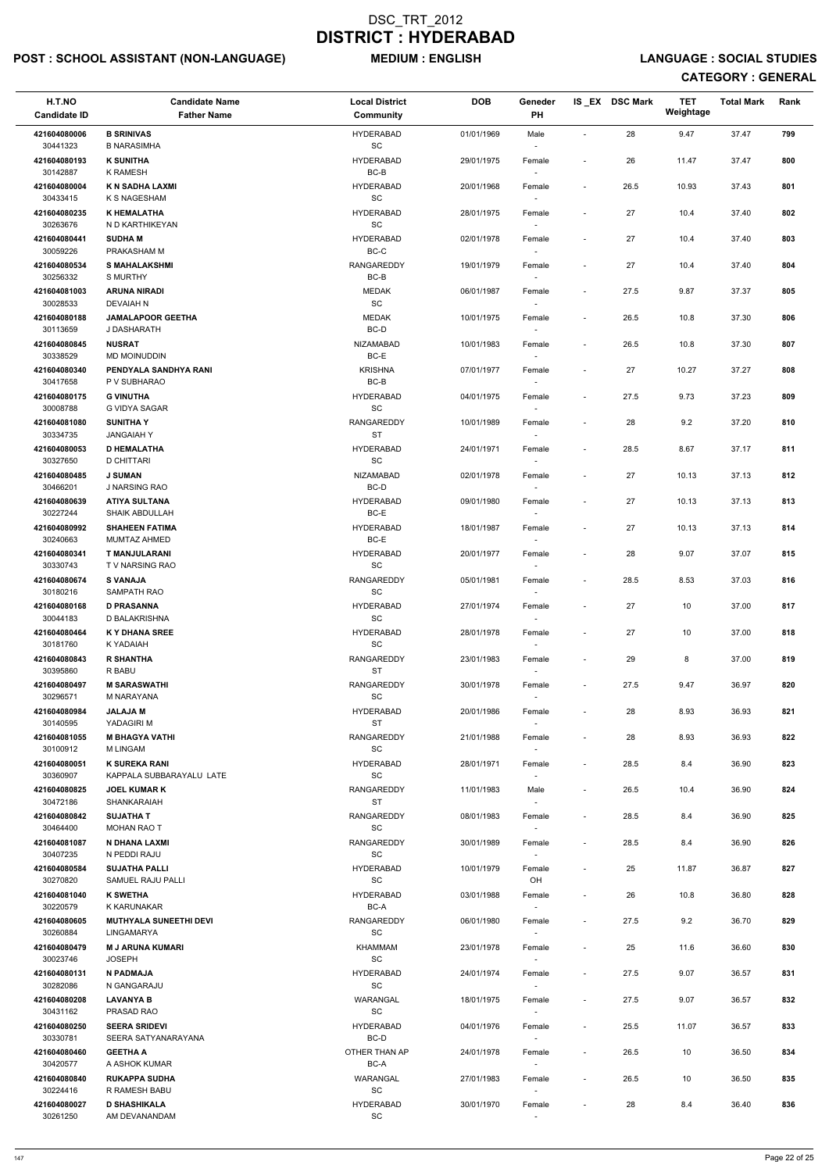# POST : SCHOOL ASSISTANT (NON-LANGUAGE) MEDIUM : ENGLISH LANGUAGE : SOCIAL STUDIES

| H.T.NO<br><b>Candidate ID</b> | <b>Candidate Name</b><br><b>Father Name</b>      | <b>Local District</b><br>Community               | <b>DOB</b> | Geneder<br>PH                      |                              | IS EX DSC Mark | <b>TET</b><br>Weightage | <b>Total Mark</b> | Rank |
|-------------------------------|--------------------------------------------------|--------------------------------------------------|------------|------------------------------------|------------------------------|----------------|-------------------------|-------------------|------|
| 421604080006<br>30441323      | <b>B SRINIVAS</b><br><b>B NARASIMHA</b>          | <b>HYDERABAD</b><br>SC                           | 01/01/1969 | Male                               | $\tilde{\phantom{a}}$        | 28             | 9.47                    | 37.47             | 799  |
| 421604080193<br>30142887      | <b>K SUNITHA</b><br><b>K RAMESH</b>              | <b>HYDERABAD</b><br>$BC-B$                       | 29/01/1975 | Female                             | $\overline{\phantom{a}}$     | 26             | 11.47                   | 37.47             | 800  |
| 421604080004<br>30433415      | K N SADHA LAXMI<br>K S NAGESHAM                  | <b>HYDERABAD</b><br>SC                           | 20/01/1968 | Female<br>$\overline{\phantom{a}}$ | $\overline{\phantom{a}}$     | 26.5           | 10.93                   | 37.43             | 801  |
| 421604080235                  | <b>K HEMALATHA</b>                               | <b>HYDERABAD</b>                                 | 28/01/1975 | Female                             | $\overline{\phantom{a}}$     | 27             | 10.4                    | 37.40             | 802  |
| 30263676<br>421604080441      | N D KARTHIKEYAN<br><b>SUDHAM</b>                 | SC<br><b>HYDERABAD</b>                           | 02/01/1978 | $\sim$<br>Female                   | $\overline{\phantom{a}}$     | 27             | 10.4                    | 37.40             | 803  |
| 30059226                      | PRAKASHAM M                                      | BC-C                                             |            | $\overline{\phantom{a}}$           |                              |                |                         |                   |      |
| 421604080534<br>30256332      | <b>S MAHALAKSHMI</b><br><b>S MURTHY</b>          | <b>RANGAREDDY</b><br>$BC-B$                      | 19/01/1979 | Female                             | $\overline{\phantom{a}}$     | 27             | 10.4                    | 37.40             | 804  |
| 421604081003<br>30028533      | <b>ARUNA NIRADI</b><br><b>DEVAIAH N</b>          | <b>MEDAK</b><br>SC                               | 06/01/1987 | Female<br>$\sim$                   | $\overline{\phantom{a}}$     | 27.5           | 9.87                    | 37.37             | 805  |
| 421604080188                  | <b>JAMALAPOOR GEETHA</b>                         | <b>MEDAK</b>                                     | 10/01/1975 | Female                             | $\overline{\phantom{a}}$     | 26.5           | 10.8                    | 37.30             | 806  |
| 30113659<br>421604080845      | J DASHARATH<br><b>NUSRAT</b>                     | BC-D<br><b>NIZAMABAD</b>                         | 10/01/1983 | $\overline{\phantom{a}}$<br>Female | $\overline{\phantom{a}}$     | 26.5           | 10.8                    | 37.30             | 807  |
| 30338529                      | <b>MD MOINUDDIN</b>                              | BC-E                                             |            | $\sim$                             |                              |                |                         |                   |      |
| 421604080340<br>30417658      | PENDYALA SANDHYA RANI<br>P V SUBHARAO            | <b>KRISHNA</b><br>$BC-B$                         | 07/01/1977 | Female                             | $\blacksquare$               | 27             | 10.27                   | 37.27             | 808  |
| 421604080175<br>30008788      | <b>G VINUTHA</b><br>G VIDYA SAGAR                | <b>HYDERABAD</b><br>SC                           | 04/01/1975 | Female                             | $\overline{\phantom{a}}$     | 27.5           | 9.73                    | 37.23             | 809  |
| 421604081080<br>30334735      | <b>SUNITHAY</b><br><b>JANGAIAH Y</b>             | <b>RANGAREDDY</b><br>ST                          | 10/01/1989 | Female<br>$\sim$                   | $\overline{\phantom{a}}$     | 28             | 9.2                     | 37.20             | 810  |
| 421604080053<br>30327650      | <b>D HEMALATHA</b><br><b>D CHITTARI</b>          | <b>HYDERABAD</b><br>SC                           | 24/01/1971 | Female<br>$\overline{\phantom{a}}$ | $\overline{\phantom{a}}$     | 28.5           | 8.67                    | 37.17             | 811  |
| 421604080485                  | <b>J SUMAN</b>                                   | <b>NIZAMABAD</b>                                 | 02/01/1978 | Female                             | $\overline{\phantom{a}}$     | 27             | 10.13                   | 37.13             | 812  |
| 30466201<br>421604080639      | <b>J NARSING RAO</b><br><b>ATIYA SULTANA</b>     | BC-D<br><b>HYDERABAD</b>                         | 09/01/1980 | $\sim$<br>Female                   | $\overline{\phantom{a}}$     | 27             | 10.13                   | 37.13             | 813  |
| 30227244<br>421604080992      | SHAIK ABDULLAH<br><b>SHAHEEN FATIMA</b>          | $BC-E$<br><b>HYDERABAD</b>                       | 18/01/1987 | Female                             | $\blacksquare$               | 27             | 10.13                   | 37.13             | 814  |
| 30240663<br>421604080341      | MUMTAZ AHMED<br>T MANJULARANI                    | BC-E<br><b>HYDERABAD</b>                         | 20/01/1977 | $\sim$<br>Female                   | $\qquad \qquad \blacksquare$ | 28             | 9.07                    | 37.07             | 815  |
| 30330743<br>421604080674      | <b>TV NARSING RAO</b><br><b>S VANAJA</b>         | <b>SC</b><br><b>RANGAREDDY</b>                   | 05/01/1981 |                                    | $\overline{\phantom{a}}$     | 28.5           | 8.53                    | 37.03             | 816  |
| 30180216                      | <b>SAMPATH RAO</b>                               | <b>SC</b>                                        |            | Female                             |                              |                |                         |                   |      |
| 421604080168<br>30044183      | <b>D PRASANNA</b><br>D BALAKRISHNA               | <b>HYDERABAD</b><br><b>SC</b>                    | 27/01/1974 | Female<br>$\overline{\phantom{a}}$ | $\overline{\phantom{a}}$     | 27             | 10                      | 37.00             | 817  |
| 421604080464<br>30181760      | <b>KY DHANA SREE</b><br>K YADAIAH                | <b>HYDERABAD</b><br><b>SC</b>                    | 28/01/1978 | Female<br>$\sim$                   | $\overline{\phantom{a}}$     | 27             | 10                      | 37.00             | 818  |
| 421604080843<br>30395860      | <b>R SHANTHA</b><br>R BABU                       | <b>RANGAREDDY</b><br><b>ST</b>                   | 23/01/1983 | Female<br>$\sim$                   | $\overline{\phantom{a}}$     | 29             | 8                       | 37.00             | 819  |
| 421604080497<br>30296571      | <b>M SARASWATHI</b><br>M NARAYANA                | <b>RANGAREDDY</b><br><b>SC</b>                   | 30/01/1978 | Female                             | $\overline{\phantom{a}}$     | 27.5           | 9.47                    | 36.97             | 820  |
| 421604080984                  | <b>JALAJAM</b>                                   | <b>HYDERABAD</b>                                 | 20/01/1986 | Female                             | $\overline{\phantom{a}}$     | 28             | 8.93                    | 36.93             | 821  |
| 30140595<br>421604081055      | YADAGIRI M<br><b>M BHAGYA VATHI</b>              | <b>ST</b><br><b>RANGAREDDY</b>                   | 21/01/1988 | $\sim$<br>Female                   | $\overline{\phantom{a}}$     | 28             | 8.93                    | 36.93             | 822  |
| 30100912                      | <b>M LINGAM</b>                                  | <b>SC</b>                                        |            | $\sim$                             |                              |                |                         |                   |      |
| 421604080051<br>30360907      | <b>K SUREKA RANI</b><br>KAPPALA SUBBARAYALU LATE | <b>HYDERABAD</b><br><b>SC</b>                    | 28/01/1971 | Female<br>$\sim$                   | $\overline{\phantom{a}}$     | 28.5           | 8.4                     | 36.90             | 823  |
| 421604080825<br>30472186      | <b>JOEL KUMAR K</b><br><b>SHANKARAIAH</b>        | <b>RANGAREDDY</b><br><b>ST</b>                   | 11/01/1983 | Male                               | $\overline{\phantom{a}}$     | 26.5           | 10.4                    | 36.90             | 824  |
| 421604080842<br>30464400      | <b>SUJATHA T</b><br><b>MOHAN RAO T</b>           | RANGAREDDY<br><b>SC</b>                          | 08/01/1983 | Female                             | $\overline{\phantom{a}}$     | 28.5           | 8.4                     | 36.90             | 825  |
| 421604081087<br>30407235      | N DHANA LAXMI<br>N PEDDI RAJU                    | RANGAREDDY<br>SC                                 | 30/01/1989 | Female<br>$\sim$                   | $\overline{\phantom{a}}$     | 28.5           | 8.4                     | 36.90             | 826  |
| 421604080584<br>30270820      | <b>SUJATHA PALLI</b><br>SAMUEL RAJU PALLI        | <b>HYDERABAD</b><br><b>SC</b>                    | 10/01/1979 | Female<br>OH                       | $\overline{\phantom{a}}$     | 25             | 11.87                   | 36.87             | 827  |
| 421604081040                  | <b>K SWETHA</b>                                  | <b>HYDERABAD</b>                                 | 03/01/1988 | Female                             | $\overline{\phantom{a}}$     | 26             | 10.8                    | 36.80             | 828  |
| 30220579<br>421604080605      | K KARUNAKAR<br><b>MUTHYALA SUNEETHI DEVI</b>     | BC-A<br><b>RANGAREDDY</b>                        | 06/01/1980 | Female                             | $\overline{\phantom{a}}$     | 27.5           | 9.2                     | 36.70             | 829  |
| 30260884<br>421604080479      | <b>LINGAMARYA</b><br><b>M J ARUNA KUMARI</b>     | <b>SC</b><br><b>KHAMMAM</b>                      | 23/01/1978 | Female                             | $\overline{\phantom{a}}$     | 25             | 11.6                    | 36.60             | 830  |
| 30023746                      | <b>JOSEPH</b>                                    | SC                                               |            | $\overline{\phantom{a}}$           |                              |                |                         |                   |      |
| 421604080131<br>30282086      | <b>N PADMAJA</b><br>N GANGARAJU                  | <b>HYDERABAD</b><br>$\operatorname{\textsf{SC}}$ | 24/01/1974 | Female<br>$\overline{\phantom{a}}$ |                              | 27.5           | 9.07                    | 36.57             | 831  |
| 421604080208<br>30431162      | <b>LAVANYA B</b><br>PRASAD RAO                   | WARANGAL<br>$\operatorname{\textsf{SC}}$         | 18/01/1975 | Female<br>$\sim$                   | $\overline{\phantom{a}}$     | 27.5           | 9.07                    | 36.57             | 832  |
| 421604080250                  | <b>SEERA SRIDEVI</b>                             | <b>HYDERABAD</b>                                 | 04/01/1976 | Female                             | $\qquad \qquad \blacksquare$ | 25.5           | 11.07                   | 36.57             | 833  |
| 30330781<br>421604080460      | SEERA SATYANARAYANA<br><b>GEETHA A</b>           | BC-D<br>OTHER THAN AP                            | 24/01/1978 | $\overline{\phantom{a}}$<br>Female | $\overline{\phantom{a}}$     | 26.5           | 10                      | 36.50             | 834  |
| 30420577<br>421604080840      | A ASHOK KUMAR<br><b>RUKAPPA SUDHA</b>            | BC-A<br>WARANGAL                                 | 27/01/1983 | $\overline{\phantom{a}}$<br>Female | $\qquad \qquad \blacksquare$ | 26.5           | 10                      | 36.50             | 835  |
| 30224416<br>421604080027      | R RAMESH BABU<br><b>D SHASHIKALA</b>             | $\operatorname{\textsf{SC}}$<br><b>HYDERABAD</b> | 30/01/1970 | $\overline{\phantom{a}}$<br>Female | $\overline{\phantom{a}}$     | 28             | 8.4                     | 36.40             | 836  |
| 30261250                      | AM DEVANANDAM                                    | $\operatorname{\textsf{SC}}$                     |            | $\sim$                             |                              |                |                         |                   |      |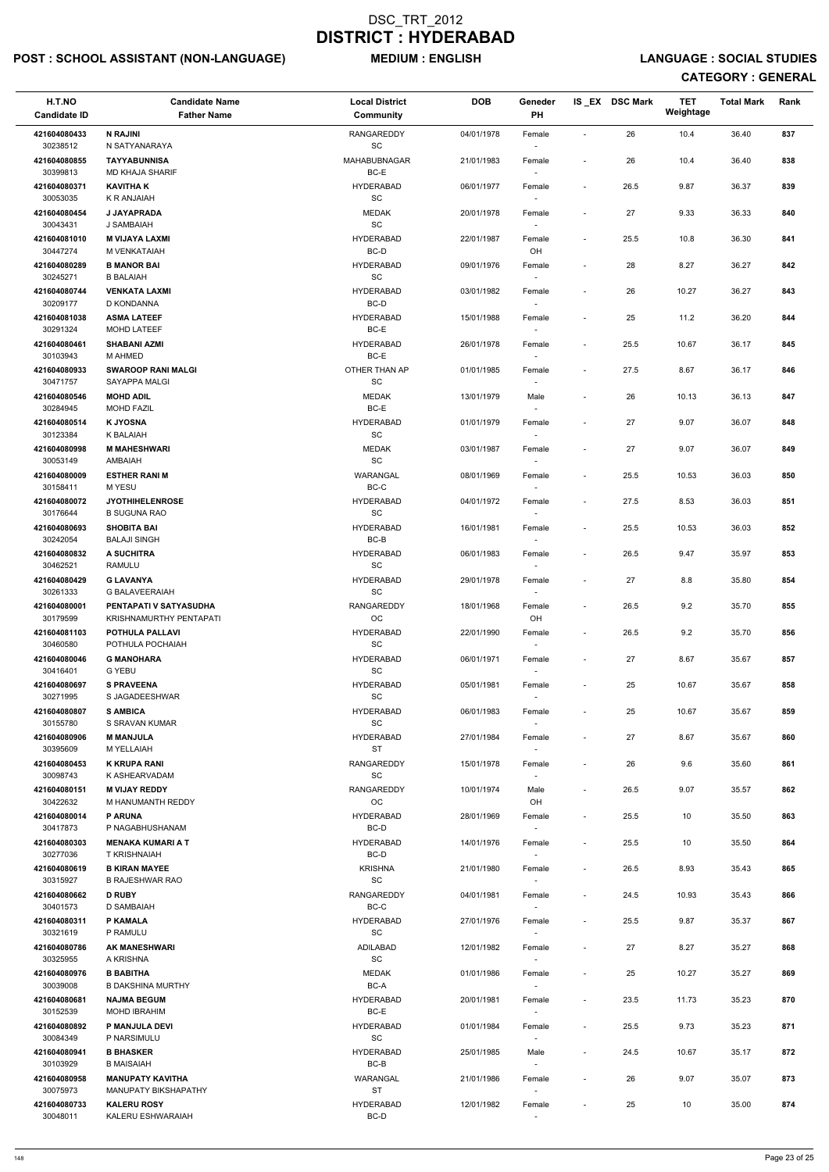# POST : SCHOOL ASSISTANT (NON-LANGUAGE) MEDIUM : ENGLISH LANGUAGE : SOCIAL STUDIES

| H.T.NO<br><b>Candidate ID</b> | <b>Candidate Name</b><br><b>Father Name</b>       | <b>Local District</b><br><b>Community</b>         | <b>DOB</b> | Geneder<br>PH                      |                          | IS EX DSC Mark | <b>TET</b><br>Weightage | <b>Total Mark</b> | Rank |
|-------------------------------|---------------------------------------------------|---------------------------------------------------|------------|------------------------------------|--------------------------|----------------|-------------------------|-------------------|------|
| 421604080433<br>30238512      | <b>N RAJINI</b><br>N SATYANARAYA                  | <b>RANGAREDDY</b><br>$\operatorname{\textsf{SC}}$ | 04/01/1978 | Female                             | $\blacksquare$           | 26             | 10.4                    | 36.40             | 837  |
| 421604080855<br>30399813      | <b>TAYYABUNNISA</b><br><b>MD KHAJA SHARIF</b>     | MAHABUBNAGAR<br>BC-E                              | 21/01/1983 | Female                             | $\overline{\phantom{a}}$ | 26             | 10.4                    | 36.40             | 838  |
| 421604080371<br>30053035      | <b>KAVITHAK</b><br>K R ANJAIAH                    | <b>HYDERABAD</b><br>$\operatorname{\textsf{SC}}$  | 06/01/1977 | Female<br>$\overline{\phantom{a}}$ | $\overline{\phantom{a}}$ | 26.5           | 9.87                    | 36.37             | 839  |
| 421604080454                  | J JAYAPRADA                                       | <b>MEDAK</b><br>$\operatorname{\textsf{SC}}$      | 20/01/1978 | Female                             | $\overline{\phantom{a}}$ | 27             | 9.33                    | 36.33             | 840  |
| 30043431<br>421604081010      | J SAMBAIAH<br><b>M VIJAYA LAXMI</b>               | <b>HYDERABAD</b>                                  | 22/01/1987 | $\sim$<br>Female                   | $\overline{\phantom{a}}$ | 25.5           | 10.8                    | 36.30             | 841  |
| 30447274                      | M VENKATAIAH                                      | BC-D                                              |            | OH                                 |                          |                |                         |                   |      |
| 421604080289                  | <b>B MANOR BAI</b>                                | <b>HYDERABAD</b>                                  | 09/01/1976 | Female                             | $\overline{\phantom{a}}$ | 28             | 8.27                    | 36.27             | 842  |
| 30245271<br>421604080744      | <b>B BALAIAH</b><br><b>VENKATA LAXMI</b>          | $\operatorname{\textsf{SC}}$<br><b>HYDERABAD</b>  | 03/01/1982 | Female                             | $\overline{\phantom{a}}$ | 26             | 10.27                   | 36.27             | 843  |
| 30209177                      | D KONDANNA                                        | $BC-D$                                            |            | $\sim$                             |                          |                |                         |                   |      |
| 421604081038<br>30291324      | <b>ASMA LATEEF</b><br>MOHD LATEEF                 | <b>HYDERABAD</b><br>BC-E                          | 15/01/1988 | Female<br>$\overline{\phantom{a}}$ | $\blacksquare$           | 25             | 11.2                    | 36.20             | 844  |
| 421604080461                  | <b>SHABANI AZMI</b>                               | <b>HYDERABAD</b>                                  | 26/01/1978 | Female                             | $\overline{\phantom{a}}$ | 25.5           | 10.67                   | 36.17             | 845  |
| 30103943                      | M AHMED                                           | BC-E                                              |            | $\sim$                             |                          |                |                         |                   |      |
| 421604080933<br>30471757      | <b>SWAROOP RANI MALGI</b><br>SAYAPPA MALGI        | OTHER THAN AP<br>SC                               | 01/01/1985 | Female                             | $\overline{\phantom{a}}$ | 27.5           | 8.67                    | 36.17             | 846  |
| 421604080546<br>30284945      | <b>MOHD ADIL</b><br><b>MOHD FAZIL</b>             | <b>MEDAK</b><br>BC-E                              | 13/01/1979 | Male<br>$\overline{\phantom{a}}$   | $\blacksquare$           | 26             | 10.13                   | 36.13             | 847  |
| 421604080514                  | <b>K JYOSNA</b>                                   | <b>HYDERABAD</b>                                  | 01/01/1979 | Female                             |                          | 27             | 9.07                    | 36.07             | 848  |
| 30123384                      | K BALAIAH                                         | $\operatorname{\textsf{SC}}$                      |            | $\sim$                             |                          |                |                         |                   |      |
| 421604080998<br>30053149      | <b>M MAHESHWARI</b><br>AMBAIAH                    | <b>MEDAK</b><br>SC                                | 03/01/1987 | Female<br>$\sim$                   | $\overline{\phantom{a}}$ | 27             | 9.07                    | 36.07             | 849  |
| 421604080009                  | <b>ESTHER RANI M</b>                              | WARANGAL                                          | 08/01/1969 | Female                             | $\blacksquare$           | 25.5           | 10.53                   | 36.03             | 850  |
| 30158411<br>421604080072      | M YESU<br><b>JYOTHIHELENROSE</b>                  | BC-C<br><b>HYDERABAD</b>                          | 04/01/1972 | $\sim$<br>Female                   | $\overline{\phantom{a}}$ | 27.5           | 8.53                    | 36.03             | 851  |
| 30176644                      | <b>B SUGUNA RAO</b>                               | SC                                                |            |                                    |                          |                |                         |                   |      |
| 421604080693<br>30242054      | <b>SHOBITA BAI</b><br><b>BALAJI SINGH</b>         | <b>HYDERABAD</b><br>BC-B                          | 16/01/1981 | Female<br>$\sim$                   | $\blacksquare$           | 25.5           | 10.53                   | 36.03             | 852  |
| 421604080832                  | <b>A SUCHITRA</b>                                 | <b>HYDERABAD</b>                                  | 06/01/1983 | Female                             | $\overline{\phantom{a}}$ | 26.5           | 9.47                    | 35.97             | 853  |
| 30462521                      | <b>RAMULU</b>                                     | SC                                                |            |                                    |                          |                |                         |                   |      |
| 421604080429<br>30261333      | <b>G LAVANYA</b><br><b>G BALAVEERAIAH</b>         | <b>HYDERABAD</b><br><b>SC</b>                     | 29/01/1978 | Female<br>$\overline{\phantom{a}}$ | $\overline{\phantom{a}}$ | 27             | 8.8                     | 35.80             | 854  |
| 421604080001<br>30179599      | PENTAPATI V SATYASUDHA<br>KRISHNAMURTHY PENTAPATI | RANGAREDDY<br>OC                                  | 18/01/1968 | Female<br>OH                       | $\blacksquare$           | 26.5           | 9.2                     | 35.70             | 855  |
| 421604081103<br>30460580      | POTHULA PALLAVI<br>POTHULA POCHAIAH               | <b>HYDERABAD</b><br><b>SC</b>                     | 22/01/1990 | Female<br>$\sim$                   | $\overline{\phantom{a}}$ | 26.5           | 9.2                     | 35.70             | 856  |
| 421604080046<br>30416401      | <b>G MANOHARA</b><br><b>G YEBU</b>                | <b>HYDERABAD</b><br>SC                            | 06/01/1971 | Female                             | $\blacksquare$           | 27             | 8.67                    | 35.67             | 857  |
| 421604080697                  | <b>S PRAVEENA</b>                                 | <b>HYDERABAD</b>                                  | 05/01/1981 | Female                             | $\overline{\phantom{a}}$ | 25             | 10.67                   | 35.67             | 858  |
| 30271995<br>421604080807      | S JAGADEESHWAR<br><b>S AMBICA</b>                 | <b>SC</b><br><b>HYDERABAD</b>                     | 06/01/1983 | Female                             | $\overline{\phantom{a}}$ | 25             | 10.67                   | 35.67             | 859  |
| 30155780                      | S SRAVAN KUMAR                                    | <b>SC</b>                                         |            | $\sim$                             |                          |                |                         |                   |      |
| 421604080906<br>30395609      | <b>M MANJULA</b><br>M YELLAIAH                    | <b>HYDERABAD</b><br><b>ST</b>                     | 27/01/1984 | Female<br>$\sim$                   | $\overline{\phantom{a}}$ | 27             | 8.67                    | 35.67             | 860  |
| 421604080453                  | <b>K KRUPA RANI</b>                               | <b>RANGAREDDY</b>                                 | 15/01/1978 | Female                             | $\overline{\phantom{a}}$ | 26             | 9.6                     | 35.60             | 861  |
| 30098743                      | K ASHEARVADAM                                     | <b>SC</b>                                         |            | $\sim$                             |                          |                |                         |                   |      |
| 421604080151<br>30422632      | <b>M VIJAY REDDY</b><br>M HANUMANTH REDDY         | <b>RANGAREDDY</b><br>OC                           | 10/01/1974 | Male<br>OH                         | $\overline{\phantom{a}}$ | 26.5           | 9.07                    | 35.57             | 862  |
| 421604080014                  | <b>P ARUNA</b>                                    | <b>HYDERABAD</b>                                  | 28/01/1969 | Female                             | $\overline{\phantom{a}}$ | 25.5           | 10                      | 35.50             | 863  |
| 30417873<br>421604080303      | P NAGABHUSHANAM<br><b>MENAKA KUMARI A T</b>       | BC-D<br><b>HYDERABAD</b>                          | 14/01/1976 | $\overline{\phantom{a}}$<br>Female | $\blacksquare$           | 25.5           | 10                      | 35.50             | 864  |
| 30277036                      | <b>T KRISHNAIAH</b><br><b>B KIRAN MAYEE</b>       | BC-D<br><b>KRISHNA</b>                            |            | $\sim$                             |                          |                |                         |                   | 865  |
| 421604080619<br>30315927      | <b>B RAJESHWAR RAO</b>                            | <b>SC</b>                                         | 21/01/1980 | Female<br>$\sim$                   | $\overline{\phantom{a}}$ | 26.5           | 8.93                    | 35.43             |      |
| 421604080662<br>30401573      | <b>D RUBY</b><br>D SAMBAIAH                       | <b>RANGAREDDY</b><br>BC-C                         | 04/01/1981 | Female                             | $\overline{\phantom{a}}$ | 24.5           | 10.93                   | 35.43             | 866  |
| 421604080311                  | P KAMALA                                          | <b>HYDERABAD</b>                                  | 27/01/1976 | Female                             | $\overline{\phantom{a}}$ | 25.5           | 9.87                    | 35.37             | 867  |
| 30321619                      | P RAMULU                                          | SC                                                |            |                                    |                          |                |                         |                   |      |
| 421604080786<br>30325955      | <b>AK MANESHWARI</b><br>A KRISHNA                 | ADILABAD<br>SC                                    | 12/01/1982 | Female<br>$\sim$                   | $\overline{\phantom{a}}$ | 27             | 8.27                    | 35.27             | 868  |
| 421604080976                  | <b>B BABITHA</b>                                  | <b>MEDAK</b>                                      | 01/01/1986 | Female                             |                          | 25             | 10.27                   | 35.27             | 869  |
| 30039008<br>421604080681      | <b>B DAKSHINA MURTHY</b><br><b>NAJMA BEGUM</b>    | BC-A<br><b>HYDERABAD</b>                          | 20/01/1981 | $\overline{\phantom{a}}$<br>Female | $\overline{\phantom{a}}$ | 23.5           | 11.73                   | 35.23             | 870  |
| 30152539                      | <b>MOHD IBRAHIM</b>                               | BC-E                                              |            | $\overline{\phantom{a}}$           |                          |                |                         |                   |      |
| 421604080892<br>30084349      | P MANJULA DEVI<br>P NARSIMULU                     | <b>HYDERABAD</b><br>SC                            | 01/01/1984 | Female<br>$\overline{\phantom{a}}$ | $\overline{\phantom{a}}$ | 25.5           | 9.73                    | 35.23             | 871  |
| 421604080941                  | <b>B BHASKER</b>                                  | <b>HYDERABAD</b>                                  | 25/01/1985 | Male                               | $\overline{\phantom{a}}$ | 24.5           | 10.67                   | 35.17             | 872  |
| 30103929<br>421604080958      | <b>B MAISAIAH</b><br><b>MANUPATY KAVITHA</b>      | BC-B<br>WARANGAL                                  | 21/01/1986 | $\overline{\phantom{a}}$<br>Female |                          | 26             | 9.07                    | 35.07             | 873  |
| 30075973                      | MANUPATY BIKSHAPATHY                              | ST                                                |            | $\blacksquare$                     |                          |                |                         |                   |      |
| 421604080733<br>30048011      | <b>KALERU ROSY</b><br>KALERU ESHWARAIAH           | <b>HYDERABAD</b><br>BC-D                          | 12/01/1982 | Female<br>$\sim$                   | $\overline{\phantom{a}}$ | 25             | 10                      | 35.00             | 874  |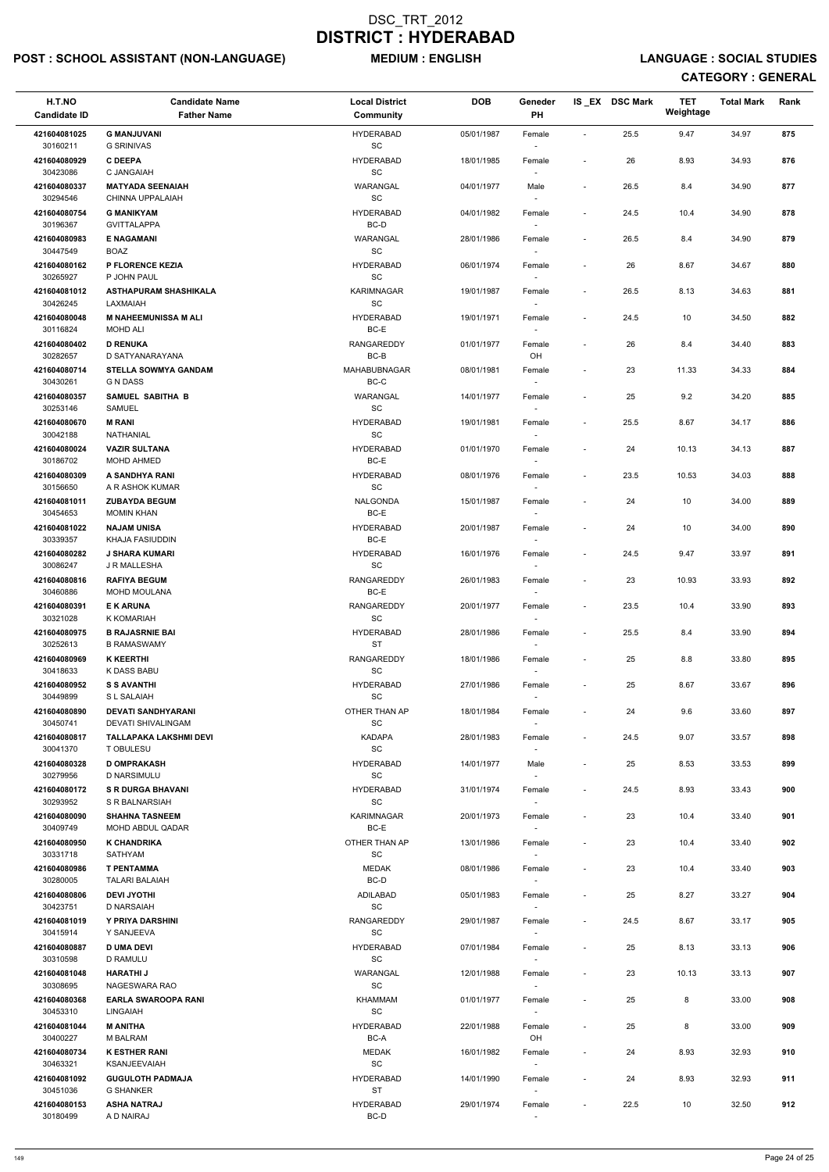# POST : SCHOOL ASSISTANT (NON-LANGUAGE) MEDIUM : ENGLISH LANGUAGE : SOCIAL STUDIES

| H.T.NO<br><b>Candidate ID</b>        | <b>Candidate Name</b><br><b>Father Name</b>           | <b>Local District</b><br>Community               | <b>DOB</b> | Geneder<br>PH                      |                              | IS EX DSC Mark | TET<br>Weightage | <b>Total Mark</b> | Rank |
|--------------------------------------|-------------------------------------------------------|--------------------------------------------------|------------|------------------------------------|------------------------------|----------------|------------------|-------------------|------|
| 421604081025<br>30160211             | <b>G MANJUVANI</b><br><b>G SRINIVAS</b>               | <b>HYDERABAD</b><br>$\operatorname{\textsf{SC}}$ | 05/01/1987 | Female                             | $\overline{\phantom{a}}$     | 25.5           | 9.47             | 34.97             | 875  |
| 421604080929<br>30423086             | <b>C DEEPA</b><br>C JANGAIAH                          | <b>HYDERABAD</b><br>SC                           | 18/01/1985 | Female                             | $\overline{\phantom{a}}$     | 26             | 8.93             | 34.93             | 876  |
| 421604080337                         | <b>MATYADA SEENAIAH</b>                               | WARANGAL                                         | 04/01/1977 | Male                               | $\overline{\phantom{a}}$     | 26.5           | 8.4              | 34.90             | 877  |
| 30294546<br>421604080754             | CHINNA UPPALAIAH<br><b>G MANIKYAM</b>                 | $\operatorname{\textsf{SC}}$<br><b>HYDERABAD</b> | 04/01/1982 | Female                             | $\overline{\phantom{a}}$     | 24.5           | 10.4             | 34.90             | 878  |
| 30196367<br>421604080983             | <b>GVITTALAPPA</b><br><b>E NAGAMANI</b>               | BC-D<br>WARANGAL                                 | 28/01/1986 | $\sim$<br>Female                   | $\overline{\phantom{a}}$     | 26.5           | 8.4              | 34.90             | 879  |
| 30447549                             | <b>BOAZ</b>                                           | $\operatorname{\textsf{SC}}$                     |            |                                    |                              |                |                  |                   |      |
| 421604080162<br>30265927             | P FLORENCE KEZIA<br>P JOHN PAUL                       | <b>HYDERABAD</b><br>SC                           | 06/01/1974 | Female                             | $\overline{\phantom{a}}$     | 26             | 8.67             | 34.67             | 880  |
| 421604081012<br>30426245             | ASTHAPURAM SHASHIKALA<br>LAXMAIAH                     | KARIMNAGAR<br>$\operatorname{\textsf{SC}}$       | 19/01/1987 | Female                             | $\overline{\phantom{a}}$     | 26.5           | 8.13             | 34.63             | 881  |
| 421604080048<br>30116824             | <b>M NAHEEMUNISSA M ALI</b><br><b>MOHD ALI</b>        | <b>HYDERABAD</b><br>BC-E                         | 19/01/1971 | Female                             | $\overline{\phantom{a}}$     | 24.5           | 10               | 34.50             | 882  |
| 421604080402                         | <b>D RENUKA</b>                                       | <b>RANGAREDDY</b>                                | 01/01/1977 | Female                             | $\overline{\phantom{a}}$     | 26             | 8.4              | 34.40             | 883  |
| 30282657<br>421604080714             | D SATYANARAYANA<br><b>STELLA SOWMYA GANDAM</b>        | BC-B<br><b>MAHABUBNAGAR</b>                      | 08/01/1981 | OH<br>Female                       | $\qquad \qquad \blacksquare$ | 23             | 11.33            | 34.33             | 884  |
| 30430261<br>421604080357             | <b>G N DASS</b><br>SAMUEL SABITHA B                   | $BC-C$<br>WARANGAL                               | 14/01/1977 | Female                             | $\overline{\phantom{a}}$     | 25             | 9.2              | 34.20             | 885  |
| 30253146                             | SAMUEL                                                | SC                                               |            |                                    |                              |                |                  |                   |      |
| 421604080670<br>30042188             | <b>M RANI</b><br>NATHANIAL                            | <b>HYDERABAD</b><br>SC                           | 19/01/1981 | Female<br>$\sim$                   | $\overline{\phantom{a}}$     | 25.5           | 8.67             | 34.17             | 886  |
| 421604080024<br>30186702             | <b>VAZIR SULTANA</b><br>MOHD AHMED                    | <b>HYDERABAD</b><br>BC-E                         | 01/01/1970 | Female                             | $\overline{\phantom{a}}$     | 24             | 10.13            | 34.13             | 887  |
| 421604080309                         | A SANDHYA RANI                                        | <b>HYDERABAD</b>                                 | 08/01/1976 | Female                             | $\overline{\phantom{a}}$     | 23.5           | 10.53            | 34.03             | 888  |
| 30156650<br>421604081011             | A R ASHOK KUMAR<br><b>ZUBAYDA BEGUM</b>               | $\operatorname{\textsf{SC}}$<br>NALGONDA         | 15/01/1987 | Female                             | $\overline{\phantom{a}}$     | 24             | 10               | 34.00             | 889  |
| 30454653<br>421604081022             | <b>MOMIN KHAN</b><br><b>NAJAM UNISA</b>               | $BC-E$<br><b>HYDERABAD</b>                       | 20/01/1987 |                                    | $\overline{\phantom{a}}$     | 24             | 10               | 34.00             | 890  |
| 30339357                             | KHAJA FASIUDDIN                                       | BC-E                                             |            | Female<br>$\overline{\phantom{a}}$ |                              |                |                  |                   |      |
| 421604080282<br>30086247             | <b>J SHARA KUMARI</b><br>J R MALLESHA                 | HYDERABAD<br>SC                                  | 16/01/1976 | Female                             | $\overline{\phantom{a}}$     | 24.5           | 9.47             | 33.97             | 891  |
| 421604080816<br>30460886             | <b>RAFIYA BEGUM</b><br><b>MOHD MOULANA</b>            | <b>RANGAREDDY</b><br>BC-E                        | 26/01/1983 | Female                             | $\overline{\phantom{a}}$     | 23             | 10.93            | 33.93             | 892  |
| 421604080391                         | <b>E K ARUNA</b>                                      | <b>RANGAREDDY</b>                                | 20/01/1977 | Female                             | $\overline{\phantom{a}}$     | 23.5           | 10.4             | 33.90             | 893  |
| 30321028<br>421604080975             | K KOMARIAH<br><b>B RAJASRNIE BAI</b>                  | SC<br><b>HYDERABAD</b><br><b>ST</b>              | 28/01/1986 | Female                             | $\overline{\phantom{a}}$     | 25.5           | 8.4              | 33.90             | 894  |
| 30252613<br>421604080969<br>30418633 | <b>B RAMASWAMY</b><br><b>K KEERTHI</b><br>K DASS BABU | <b>RANGAREDDY</b><br>SC                          | 18/01/1986 | $\sim$<br>Female                   | $\overline{\phantom{a}}$     | 25             | 8.8              | 33.80             | 895  |
| 421604080952                         | <b>S S AVANTHI</b>                                    | <b>HYDERABAD</b>                                 | 27/01/1986 | Female                             | $\overline{\phantom{a}}$     | 25             | 8.67             | 33.67             | 896  |
| 30449899<br>421604080890             | S L SALAIAH<br><b>DEVATI SANDHYARANI</b>              | SC<br>OTHER THAN AP                              | 18/01/1984 | Female                             | $\overline{\phantom{a}}$     | 24             | 9.6              | 33.60             | 897  |
| 30450741                             | DEVATI SHIVALINGAM                                    | $\operatorname{\textsf{SC}}$                     |            |                                    |                              |                |                  |                   |      |
| 421604080817<br>30041370             | TALLAPAKA LAKSHMI DEVI<br>T OBULESU                   | <b>KADAPA</b><br>SC                              | 28/01/1983 | Female                             | $\overline{\phantom{a}}$     | 24.5           | 9.07             | 33.57             | 898  |
| 421604080328<br>30279956             | <b>D OMPRAKASH</b><br>D NARSIMULU                     | <b>HYDERABAD</b><br>SC                           | 14/01/1977 | Male<br>$\sim$                     | $\overline{\phantom{a}}$     | 25             | 8.53             | 33.53             | 899  |
| 421604080172<br>30293952             | <b>S R DURGA BHAVANI</b><br>S R BALNARSIAH            | HYDERABAD<br><b>SC</b>                           | 31/01/1974 | Female                             | $\overline{\phantom{a}}$     | 24.5           | 8.93             | 33.43             | 900  |
| 421604080090                         | <b>SHAHNA TASNEEM</b>                                 | <b>KARIMNAGAR</b>                                | 20/01/1973 | Female                             | $\overline{\phantom{a}}$     | 23             | 10.4             | 33.40             | 901  |
| 30409749<br>421604080950             | MOHD ABDUL QADAR<br><b>K CHANDRIKA</b>                | BC-E<br>OTHER THAN AP                            | 13/01/1986 | Female                             | $\overline{\phantom{a}}$     | 23             | 10.4             | 33.40             | 902  |
| 30331718<br>421604080986             | SATHYAM<br><b>T PENTAMMA</b>                          | SC<br><b>MEDAK</b>                               | 08/01/1986 | $\sim$<br>Female                   | $\overline{\phantom{a}}$     | 23             | 10.4             | 33.40             | 903  |
| 30280005<br>421604080806             | <b>TALARI BALAIAH</b><br><b>DEVI JYOTHI</b>           | BC-D<br>ADILABAD                                 | 05/01/1983 | $\sim$<br>Female                   | $\overline{\phantom{a}}$     | 25             | 8.27             | 33.27             | 904  |
| 30423751                             | D NARSAIAH                                            | SC                                               |            |                                    |                              |                |                  |                   |      |
| 421604081019<br>30415914             | Y PRIYA DARSHINI<br>Y SANJEEVA                        | <b>RANGAREDDY</b><br><b>SC</b>                   | 29/01/1987 | Female                             | $\overline{\phantom{a}}$     | 24.5           | 8.67             | 33.17             | 905  |
| 421604080887<br>30310598             | <b>D UMA DEVI</b><br>D RAMULU                         | <b>HYDERABAD</b><br>SC                           | 07/01/1984 | Female                             | $\overline{\phantom{a}}$     | 25             | 8.13             | 33.13             | 906  |
| 421604081048                         | <b>HARATHI J</b>                                      | WARANGAL                                         | 12/01/1988 | Female                             |                              | 23             | 10.13            | 33.13             | 907  |
| 30308695<br>421604080368             | NAGESWARA RAO<br><b>EARLA SWAROOPA RANI</b>           | SC<br>KHAMMAM                                    | 01/01/1977 | Female                             | $\overline{\phantom{a}}$     | 25             | 8                | 33.00             | 908  |
| 30453310                             | <b>LINGAIAH</b>                                       | $\operatorname{\textsf{SC}}$                     |            | $\sim$                             |                              |                |                  |                   |      |
| 421604081044<br>30400227             | <b>M ANITHA</b><br>M BALRAM                           | <b>HYDERABAD</b><br>BC-A                         | 22/01/1988 | Female<br>OH                       | $\overline{\phantom{a}}$     | 25             | 8                | 33.00             | 909  |
| 421604080734<br>30463321             | <b>K ESTHER RANI</b><br>KSANJEEVAIAH                  | <b>MEDAK</b><br>$\operatorname{\textsf{SC}}$     | 16/01/1982 | Female<br>$\sim$                   | $\overline{\phantom{a}}$     | 24             | 8.93             | 32.93             | 910  |
| 421604081092<br>30451036             | <b>GUGULOTH PADMAJA</b><br><b>G SHANKER</b>           | <b>HYDERABAD</b><br>ST                           | 14/01/1990 | Female                             | $\overline{\phantom{a}}$     | 24             | 8.93             | 32.93             | 911  |
| 421604080153<br>30180499             | <b>ASHA NATRAJ</b><br>A D NAIRAJ                      | <b>HYDERABAD</b><br>BC-D                         | 29/01/1974 | Female<br>$\sim$                   | $\overline{\phantom{a}}$     | 22.5           | 10               | 32.50             | 912  |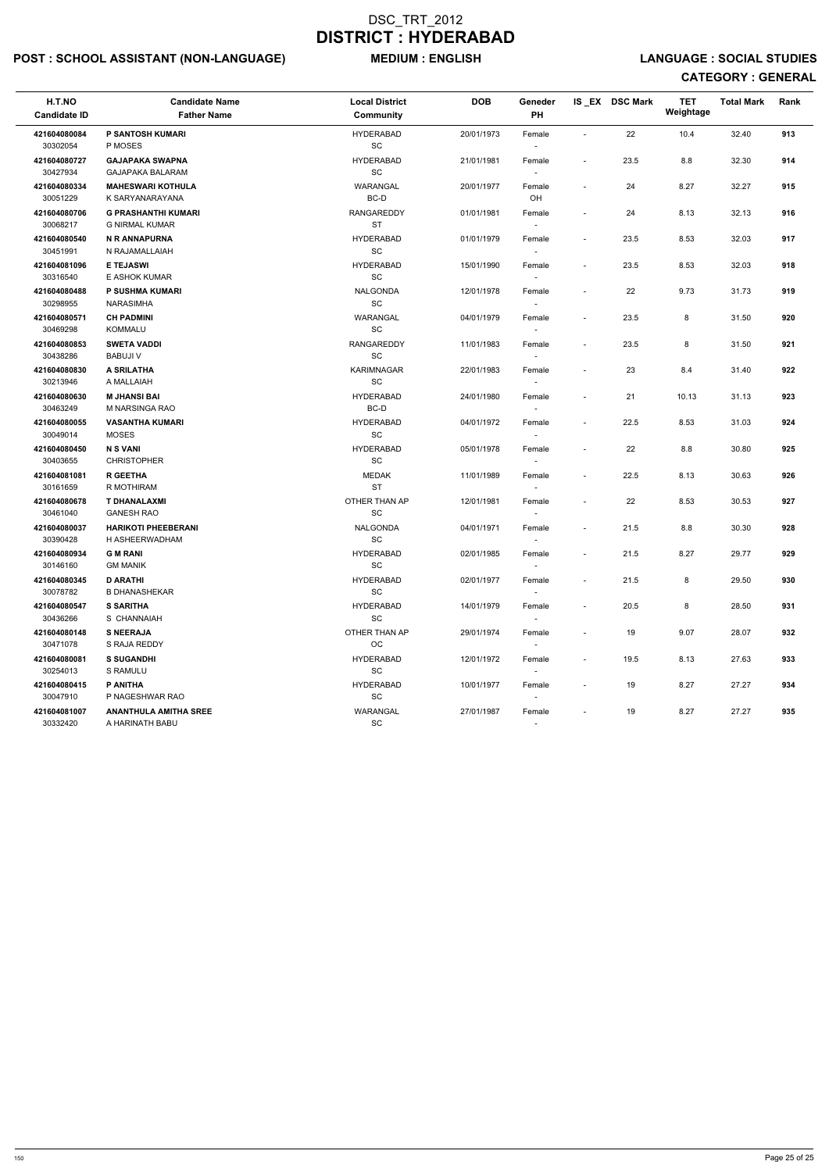# POST : SCHOOL ASSISTANT (NON-LANGUAGE) MEDIUM : ENGLISH LANGUAGE : SOCIAL STUDIES

| H.T.NO<br><b>Candidate ID</b>            | <b>Candidate Name</b><br><b>Father Name</b>         | <b>Local District</b><br><b>Community</b>        | <b>DOB</b>               | Geneder<br>PH                      |                                                      | IS_EX DSC Mark | <b>TET</b><br>Weightage | <b>Total Mark</b> | Rank       |
|------------------------------------------|-----------------------------------------------------|--------------------------------------------------|--------------------------|------------------------------------|------------------------------------------------------|----------------|-------------------------|-------------------|------------|
| 421604080084<br>30302054                 | P SANTOSH KUMARI<br>P MOSES                         | <b>HYDERABAD</b><br>SC                           | 20/01/1973               | Female                             | $\sim$                                               | 22             | 10.4                    | 32.40             | 913        |
| 421604080727<br>30427934                 | <b>GAJAPAKA SWAPNA</b><br>GAJAPAKA BALARAM          | <b>HYDERABAD</b><br>SC                           | 21/01/1981               | Female                             | $\sim$                                               | 23.5           | 8.8                     | 32.30             | 914        |
| 421604080334<br>30051229                 | <b>MAHESWARI KOTHULA</b><br>K SARYANARAYANA         | WARANGAL<br>BC-D                                 | 20/01/1977               | Female<br>OH                       | $\sim$                                               | 24             | 8.27                    | 32.27             | 915        |
| 421604080706<br>30068217                 | <b>G PRASHANTHI KUMARI</b><br><b>G NIRMAL KUMAR</b> | <b>RANGAREDDY</b><br><b>ST</b>                   | 01/01/1981               | Female<br>$\sim$                   | $\overline{\phantom{a}}$                             | 24             | 8.13                    | 32.13             | 916        |
| 421604080540<br>30451991                 | N R ANNAPURNA<br>N RAJAMALLAIAH                     | <b>HYDERABAD</b><br>$\operatorname{\textsf{SC}}$ | 01/01/1979               | Female                             | $\overline{\phantom{a}}$                             | 23.5           | 8.53                    | 32.03             | 917        |
| 421604081096<br>30316540                 | <b>E TEJASWI</b><br>E ASHOK KUMAR                   | <b>HYDERABAD</b><br>SC                           | 15/01/1990               | Female                             | $\overline{\phantom{a}}$                             | 23.5           | 8.53                    | 32.03             | 918        |
| 421604080488<br>30298955                 | P SUSHMA KUMARI<br><b>NARASIMHA</b>                 | <b>NALGONDA</b><br>SC                            | 12/01/1978               | Female<br>$\sim$                   | $\sim$                                               | 22             | 9.73                    | 31.73             | 919        |
| 421604080571<br>30469298                 | <b>CH PADMINI</b><br>KOMMALU                        | WARANGAL<br>SC                                   | 04/01/1979               | Female<br>$\overline{\phantom{a}}$ | $\sim$                                               | 23.5           | 8                       | 31.50             | 920        |
| 421604080853<br>30438286                 | <b>SWETA VADDI</b><br><b>BABUJI V</b>               | RANGAREDDY<br>SC                                 | 11/01/1983               | Female<br>$\sim$                   | $\overline{\phantom{a}}$                             | 23.5           | 8                       | 31.50             | 921        |
| 421604080830<br>30213946                 | A SRILATHA<br>A MALLAIAH                            | <b>KARIMNAGAR</b><br>SC                          | 22/01/1983               | Female                             | $\overline{\phantom{a}}$                             | 23             | 8.4                     | 31.40             | 922        |
| 421604080630<br>30463249                 | <b>M JHANSI BAI</b><br>M NARSINGA RAO               | <b>HYDERABAD</b><br>BC-D                         | 24/01/1980               | Female                             | $\overline{\phantom{a}}$                             | 21             | 10.13                   | 31.13             | 923        |
| 421604080055<br>30049014                 | <b>VASANTHA KUMARI</b><br><b>MOSES</b>              | <b>HYDERABAD</b><br>SC                           | 04/01/1972               | Female<br>$\sim$                   | $\overline{\phantom{a}}$                             | 22.5           | 8.53                    | 31.03             | 924        |
| 421604080450<br>30403655                 | <b>N S VANI</b><br><b>CHRISTOPHER</b>               | <b>HYDERABAD</b><br>SC                           | 05/01/1978               | Female<br>$\sim$                   | $\overline{\phantom{a}}$                             | 22             | 8.8                     | 30.80             | 925        |
| 421604081081<br>30161659<br>421604080678 | <b>R GEETHA</b><br>R MOTHIRAM<br>T DHANALAXMI       | <b>MEDAK</b><br>ST<br>OTHER THAN AP              | 11/01/1989<br>12/01/1981 | Female<br>$\sim$                   | $\overline{\phantom{a}}$<br>$\overline{\phantom{a}}$ | 22.5<br>22     | 8.13<br>8.53            | 30.63<br>30.53    | 926<br>927 |
| 30461040<br>421604080037                 | <b>GANESH RAO</b><br><b>HARIKOTI PHEEBERANI</b>     | SC<br><b>NALGONDA</b>                            | 04/01/1971               | Female<br>Female                   |                                                      | 21.5           | 8.8                     | 30.30             | 928        |
| 30390428<br>421604080934                 | H ASHEERWADHAM<br><b>G M RANI</b>                   | SC<br><b>HYDERABAD</b>                           | 02/01/1985               | $\sim$<br>Female                   |                                                      | 21.5           | 8.27                    | 29.77             | 929        |
| 30146160<br>421604080345                 | <b>GM MANIK</b><br><b>D ARATHI</b>                  | SC<br><b>HYDERABAD</b>                           | 02/01/1977               | Female                             | $\sim$                                               | 21.5           | 8                       | 29.50             | 930        |
| 30078782<br>421604080547                 | <b>B DHANASHEKAR</b><br><b>S SARITHA</b>            | SC<br><b>HYDERABAD</b>                           | 14/01/1979               | $\sim$<br>Female                   | $\overline{\phantom{a}}$                             | 20.5           | 8                       | 28.50             | 931        |
| 30436266<br>421604080148                 | S CHANNAIAH<br><b>S NEERAJA</b>                     | SC<br>OTHER THAN AP                              | 29/01/1974               | $\sim$<br>Female                   | $\sim$                                               | 19             | 9.07                    | 28.07             | 932        |
| 30471078<br>421604080081                 | S RAJA REDDY<br><b>S SUGANDHI</b>                   | OC.<br><b>HYDERABAD</b>                          | 12/01/1972               | $\sim$<br>Female                   | $\sim$                                               | 19.5           | 8.13                    | 27.63             | 933        |
| 30254013<br>421604080415                 | S RAMULU<br><b>P ANITHA</b>                         | SC<br><b>HYDERABAD</b>                           | 10/01/1977               | $\sim$<br>Female                   | $\sim$                                               | 19             | 8.27                    | 27.27             | 934        |
| 30047910<br>421604081007                 | P NAGESHWAR RAO<br><b>ANANTHULA AMITHA SREE</b>     | SC<br>WARANGAL                                   | 27/01/1987               | Female                             |                                                      | 19             | 8.27                    | 27.27             | 935        |
| 30332420                                 | A HARINATH BABU                                     | SC                                               |                          | $\sim$                             |                                                      |                |                         |                   |            |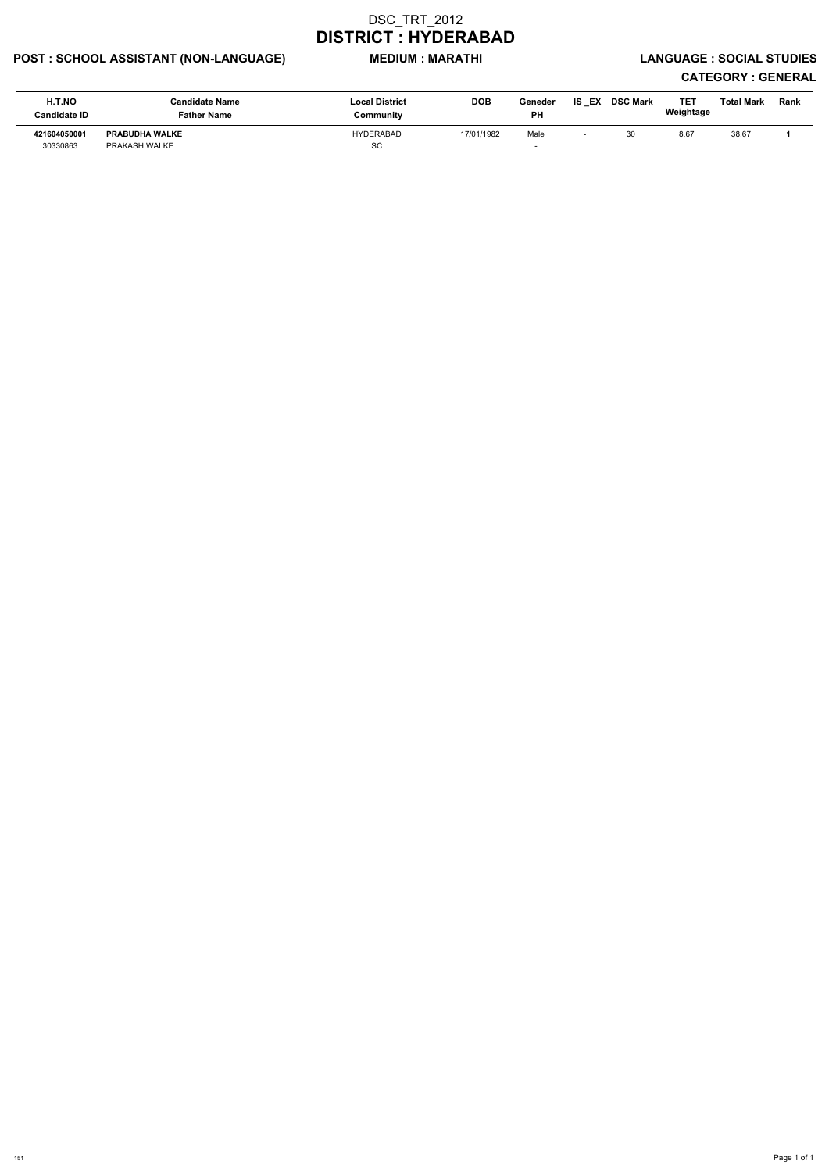# POST : SCHOOL ASSISTANT (NON-LANGUAGE) MEDIUM : MARATHI LANGUAGE : SOCIAL STUDIES

| H.T.NO<br><b>Candidate ID</b> | Candidate Name<br>Father Name          | <b>Local District</b><br>Community | <b>DOB</b> | Geneder<br><b>PH</b> | IS EX | <b>DSC Mark</b> | TET<br>Weightage | <b>Total Mark</b> | Rank |
|-------------------------------|----------------------------------------|------------------------------------|------------|----------------------|-------|-----------------|------------------|-------------------|------|
| 421604050001<br>30330863      | <b>PRABUDHA WALKE</b><br>PRAKASH WALKE | HYDERABAD<br><b>SC</b>             | 17/01/1982 | Male                 |       | 30              | 8.67             | 38.67             |      |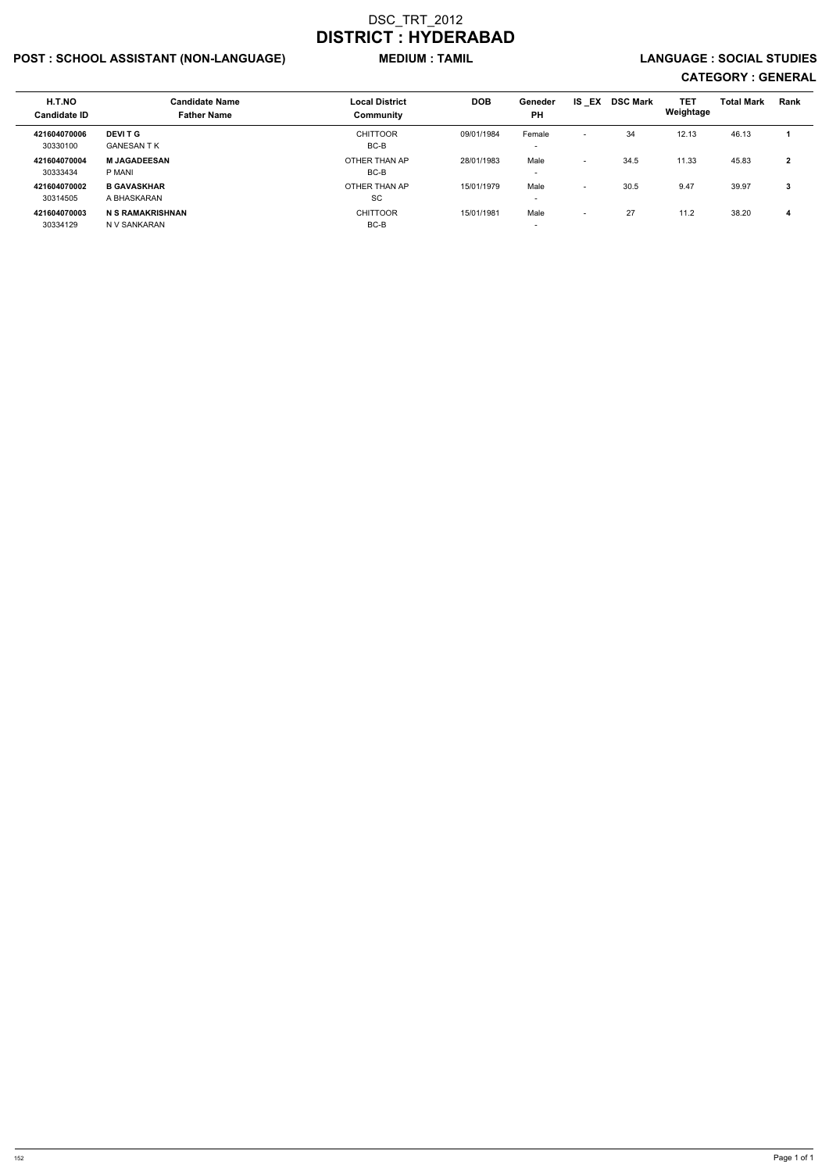# POST : SCHOOL ASSISTANT (NON-LANGUAGE) MEDIUM : TAMIL LANGUAGE : SOCIAL STUDIES

| H.T.NO<br><b>Candidate ID</b> | <b>Candidate Name</b><br><b>Father Name</b> | <b>Local District</b><br>Community | <b>DOB</b> | Geneder<br><b>PH</b>               | <b>IS EX</b>             | <b>DSC Mark</b> | <b>TET</b><br>Weightage | <b>Total Mark</b> | Rank         |
|-------------------------------|---------------------------------------------|------------------------------------|------------|------------------------------------|--------------------------|-----------------|-------------------------|-------------------|--------------|
| 421604070006<br>30330100      | <b>DEVIT G</b><br><b>GANESAN T K</b>        | <b>CHITTOOR</b><br>BC-B            | 09/01/1984 | Female<br>$\overline{\phantom{0}}$ | $\overline{\phantom{0}}$ | 34              | 12.13                   | 46.13             |              |
| 421604070004<br>30333434      | <b>M JAGADEESAN</b><br>P MANI               | OTHER THAN AP<br>BC-B              | 28/01/1983 | Male<br>$\overline{\phantom{0}}$   | $\overline{\phantom{0}}$ | 34.5            | 11.33                   | 45.83             | $\mathbf{2}$ |
| 421604070002<br>30314505      | <b>B GAVASKHAR</b><br>A BHASKARAN           | OTHER THAN AP<br>SC                | 15/01/1979 | Male<br>$\overline{\phantom{a}}$   | $\overline{\phantom{0}}$ | 30.5            | 9.47                    | 39.97             | 3            |
| 421604070003<br>30334129      | <b>N S RAMAKRISHNAN</b><br>N V SANKARAN     | <b>CHITTOOR</b><br>BC-B            | 15/01/1981 | Male<br>$\overline{\phantom{a}}$   | $\overline{\phantom{0}}$ | 27              | 11.2                    | 38.20             | 4            |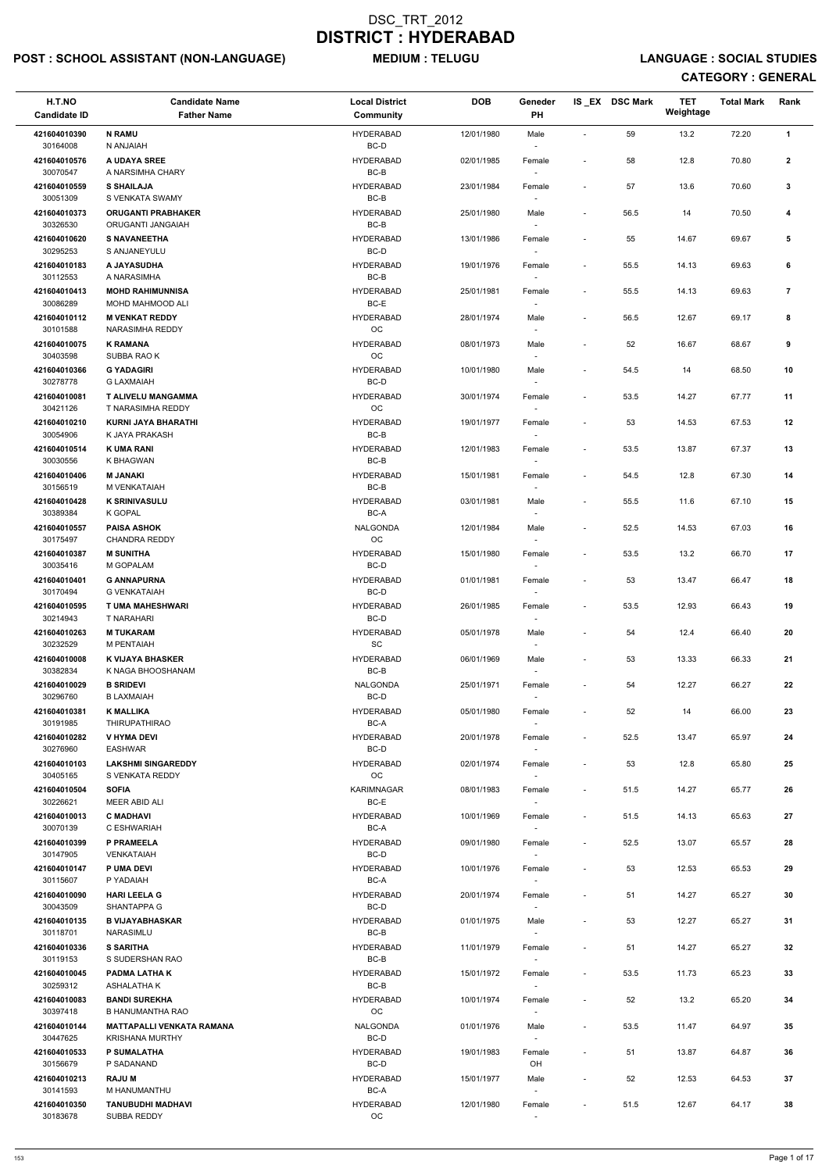# POST : SCHOOL ASSISTANT (NON-LANGUAGE) MEDIUM : TELUGU LANGUAGE : SOCIAL STUDIES

| H.T.NO<br><b>Candidate ID</b> | <b>Candidate Name</b><br><b>Father Name</b>          | <b>Local District</b><br>Community | <b>DOB</b> | Geneder<br>PH                      |                          | IS_EX DSC Mark | <b>TET</b><br>Weightage | <b>Total Mark</b> | Rank           |
|-------------------------------|------------------------------------------------------|------------------------------------|------------|------------------------------------|--------------------------|----------------|-------------------------|-------------------|----------------|
| 421604010390<br>30164008      | <b>N RAMU</b><br>N ANJAIAH                           | <b>HYDERABAD</b><br>BC-D           | 12/01/1980 | Male                               | $\sim$                   | 59             | 13.2                    | 72.20             | $\mathbf{1}$   |
| 421604010576<br>30070547      | A UDAYA SREE<br>A NARSIMHA CHARY                     | <b>HYDERABAD</b><br>BC-B           | 02/01/1985 | Female                             | $\overline{a}$           | 58             | 12.8                    | 70.80             | $\mathbf{2}$   |
| 421604010559                  | <b>S SHAILAJA</b>                                    | <b>HYDERABAD</b>                   | 23/01/1984 | Female                             | $\overline{\phantom{a}}$ | 57             | 13.6                    | 70.60             | 3              |
| 30051309<br>421604010373      | S VENKATA SWAMY<br><b>ORUGANTI PRABHAKER</b>         | $BC-B$<br><b>HYDERABAD</b>         | 25/01/1980 | Male                               | $\overline{\phantom{a}}$ | 56.5           | 14                      | 70.50             | 4              |
| 30326530<br>421604010620      | ORUGANTI JANGAIAH<br><b>S NAVANEETHA</b>             | $BC-B$<br><b>HYDERABAD</b>         | 13/01/1986 | Female                             | $\overline{\phantom{a}}$ | 55             | 14.67                   | 69.67             | 5              |
| 30295253<br>421604010183      | S ANJANEYULU<br>A JAYASUDHA                          | BC-D<br><b>HYDERABAD</b>           | 19/01/1976 | $\sim$<br>Female                   | $\overline{\phantom{a}}$ | 55.5           | 14.13                   | 69.63             | 6              |
| 30112553<br>421604010413      | A NARASIMHA<br><b>MOHD RAHIMUNNISA</b>               | BC-B<br><b>HYDERABAD</b>           | 25/01/1981 | $\overline{\phantom{a}}$<br>Female | $\overline{\phantom{a}}$ | 55.5           | 14.13                   | 69.63             | $\overline{7}$ |
| 30086289<br>421604010112      | MOHD MAHMOOD ALI<br><b>M VENKAT REDDY</b>            | $BC-E$<br><b>HYDERABAD</b>         | 28/01/1974 | Male                               | $\overline{\phantom{a}}$ | 56.5           | 12.67                   | 69.17             | 8              |
| 30101588<br>421604010075      | <b>NARASIMHA REDDY</b><br><b>K RAMANA</b>            | OC<br><b>HYDERABAD</b>             | 08/01/1973 | Male                               | $\overline{a}$           | 52             | 16.67                   | 68.67             | 9              |
| 30403598<br>421604010366      | SUBBA RAO K<br><b>G YADAGIRI</b>                     | OC<br><b>HYDERABAD</b>             |            |                                    |                          |                |                         |                   | 10             |
| 30278778                      | <b>G LAXMAIAH</b>                                    | BC-D                               | 10/01/1980 | Male                               | $\overline{\phantom{a}}$ | 54.5           | 14                      | 68.50             |                |
| 421604010081<br>30421126      | T ALIVELU MANGAMMA<br>T NARASIMHA REDDY              | <b>HYDERABAD</b><br>OC             | 30/01/1974 | Female                             | $\overline{\phantom{a}}$ | 53.5           | 14.27                   | 67.77             | 11             |
| 421604010210<br>30054906      | <b>KURNI JAYA BHARATHI</b><br>K JAYA PRAKASH         | <b>HYDERABAD</b><br>$BC-B$         | 19/01/1977 | Female                             | $\overline{\phantom{a}}$ | 53             | 14.53                   | 67.53             | 12             |
| 421604010514<br>30030556      | <b>K UMA RANI</b><br>K BHAGWAN                       | <b>HYDERABAD</b><br>$BC-B$         | 12/01/1983 | Female<br>$\sim$                   | $\overline{\phantom{a}}$ | 53.5           | 13.87                   | 67.37             | 13             |
| 421604010406<br>30156519      | <b>M JANAKI</b><br>M VENKATAIAH                      | <b>HYDERABAD</b><br>$BC-B$         | 15/01/1981 | Female                             | $\overline{\phantom{a}}$ | 54.5           | 12.8                    | 67.30             | 14             |
| 421604010428<br>30389384      | <b>K SRINIVASULU</b><br>K GOPAL                      | <b>HYDERABAD</b><br>BC-A           | 03/01/1981 | Male                               | $\overline{\phantom{a}}$ | 55.5           | 11.6                    | 67.10             | 15             |
| 421604010557<br>30175497      | <b>PAISA ASHOK</b><br><b>CHANDRA REDDY</b>           | NALGONDA<br>OC.                    | 12/01/1984 | Male<br>$\overline{\phantom{a}}$   | $\overline{\phantom{a}}$ | 52.5           | 14.53                   | 67.03             | 16             |
| 421604010387<br>30035416      | <b>M SUNITHA</b><br>M GOPALAM                        | <b>HYDERABAD</b><br>BC-D           | 15/01/1980 | Female<br>$\sim$                   | $\overline{\phantom{m}}$ | 53.5           | 13.2                    | 66.70             | 17             |
| 421604010401<br>30170494      | <b>G ANNAPURNA</b><br><b>G VENKATAIAH</b>            | <b>HYDERABAD</b><br>BC-D           | 01/01/1981 | Female                             | $\overline{\phantom{a}}$ | 53             | 13.47                   | 66.47             | 18             |
| 421604010595<br>30214943      | <b>T UMA MAHESHWARI</b><br>T NARAHARI                | <b>HYDERABAD</b><br>BC-D           | 26/01/1985 | Female                             | $\overline{\phantom{a}}$ | 53.5           | 12.93                   | 66.43             | 19             |
| 421604010263<br>30232529      | <b>M TUKARAM</b><br>M PENTAIAH                       | <b>HYDERABAD</b><br>SC             | 05/01/1978 | Male                               | $\overline{\phantom{m}}$ | 54             | 12.4                    | 66.40             | 20             |
| 421604010008<br>30382834      | <b>K VIJAYA BHASKER</b><br>K NAGA BHOOSHANAM         | <b>HYDERABAD</b><br>BC-B           | 06/01/1969 | Male<br>$\sim$                     | $\overline{\phantom{a}}$ | 53             | 13.33                   | 66.33             | 21             |
| 421604010029                  | <b>B SRIDEVI</b>                                     | <b>NALGONDA</b>                    | 25/01/1971 | Female                             | $\overline{a}$           | 54             | 12.27                   | 66.27             | 22             |
| 30296760<br>421604010381      | <b>B LAXMAIAH</b><br><b>K MALLIKA</b>                | BC-D<br><b>HYDERABAD</b>           | 05/01/1980 | Female                             | $\overline{\phantom{a}}$ | 52             | 14                      | 66.00             | 23             |
| 30191985<br>421604010282      | <b>THIRUPATHIRAO</b><br><b>V HYMA DEVI</b>           | BC-A<br><b>HYDERABAD</b>           | 20/01/1978 | Female                             | $\overline{\phantom{a}}$ | 52.5           | 13.47                   | 65.97             | 24             |
| 30276960<br>421604010103      | <b>EASHWAR</b><br><b>LAKSHMI SINGAREDDY</b>          | BC-D<br><b>HYDERABAD</b>           | 02/01/1974 | $\sim$<br>Female                   | $\overline{\phantom{a}}$ | 53             | 12.8                    | 65.80             | 25             |
| 30405165<br>421604010504      | S VENKATA REDDY<br><b>SOFIA</b>                      | OC<br><b>KARIMNAGAR</b>            | 08/01/1983 | $\sim$<br>Female                   | $\overline{\phantom{a}}$ | 51.5           | 14.27                   | 65.77             | 26             |
| 30226621<br>421604010013      | MEER ABID ALI<br><b>C MADHAVI</b>                    | BC-E<br><b>HYDERABAD</b>           | 10/01/1969 | Female                             | $\overline{\phantom{a}}$ | 51.5           | 14.13                   | 65.63             | 27             |
| 30070139<br>421604010399      | C ESHWARIAH<br>P PRAMEELA                            | BC-A<br><b>HYDERABAD</b>           | 09/01/1980 | Female                             | $\overline{\phantom{a}}$ | 52.5           | 13.07                   | 65.57             | 28             |
| 30147905<br>421604010147      | <b>VENKATAIAH</b><br><b>P UMA DEVI</b>               | BC-D<br><b>HYDERABAD</b>           | 10/01/1976 | Female                             | $\overline{\phantom{a}}$ | 53             | 12.53                   | 65.53             | 29             |
| 30115607                      | P YADAIAH                                            | BC-A                               |            | $\sim$                             |                          |                |                         |                   |                |
| 421604010090<br>30043509      | <b>HARI LEELA G</b><br><b>SHANTAPPA G</b>            | <b>HYDERABAD</b><br>BC-D           | 20/01/1974 | Female<br>$\sim$                   | $\overline{\phantom{a}}$ | 51             | 14.27                   | 65.27             | 30             |
| 421604010135<br>30118701      | <b>B VIJAYABHASKAR</b><br>NARASIMLU                  | <b>HYDERABAD</b><br>BC-B           | 01/01/1975 | Male                               | $\overline{\phantom{a}}$ | 53             | 12.27                   | 65.27             | 31             |
| 421604010336                  | <b>S SARITHA</b>                                     | <b>HYDERABAD</b>                   | 11/01/1979 | Female                             | $\overline{\phantom{a}}$ | 51             | 14.27                   | 65.27             | 32             |
| 30119153<br>421604010045      | S SUDERSHAN RAO<br><b>PADMA LATHAK</b>               | $BC-B$<br><b>HYDERABAD</b>         | 15/01/1972 | Female                             | $\overline{\phantom{a}}$ | 53.5           | 11.73                   | 65.23             | 33             |
| 30259312<br>421604010083      | ASHALATHA K<br><b>BANDI SUREKHA</b>                  | BC-B<br><b>HYDERABAD</b>           | 10/01/1974 | $\sim$<br>Female                   | $\overline{\phantom{a}}$ | 52             | 13.2                    | 65.20             | 34             |
| 30397418<br>421604010144      | B HANUMANTHA RAO<br><b>MATTAPALLI VENKATA RAMANA</b> | OC<br><b>NALGONDA</b>              | 01/01/1976 | Male                               | $\overline{\phantom{a}}$ | 53.5           | 11.47                   | 64.97             | 35             |
| 30447625<br>421604010533      | <b>KRISHANA MURTHY</b><br><b>P SUMALATHA</b>         | BC-D<br><b>HYDERABAD</b>           | 19/01/1983 | $\sim$<br>Female                   | $\overline{\phantom{a}}$ | 51             | 13.87                   | 64.87             | 36             |
| 30156679                      | P SADANAND                                           | BC-D                               |            | OH                                 |                          |                |                         |                   |                |
| 421604010213<br>30141593      | <b>RAJU M</b><br>M HANUMANTHU                        | <b>HYDERABAD</b><br>BC-A           | 15/01/1977 | Male<br>$\overline{\phantom{a}}$   | $\overline{\phantom{a}}$ | 52             | 12.53                   | 64.53             | 37             |
| 421604010350<br>30183678      | <b>TANUBUDHI MADHAVI</b><br>SUBBA REDDY              | <b>HYDERABAD</b><br>OC             | 12/01/1980 | Female                             | $\overline{\phantom{a}}$ | 51.5           | 12.67                   | 64.17             | 38             |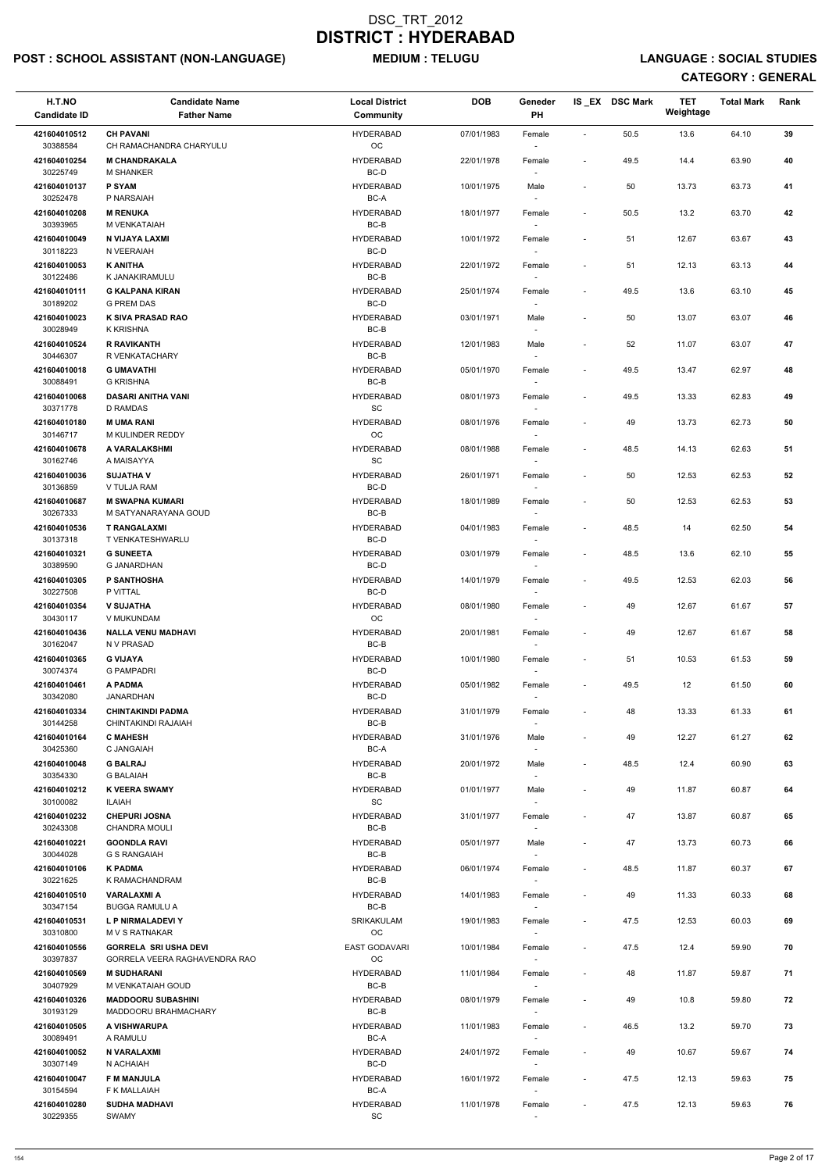# POST : SCHOOL ASSISTANT (NON-LANGUAGE) MEDIUM : TELUGU LANGUAGE : SOCIAL STUDIES

| H.T.NO<br><b>Candidate ID</b> | <b>Candidate Name</b><br><b>Father Name</b>         | <b>Local District</b><br><b>Community</b> | <b>DOB</b> | Geneder<br>PH                      |                          | IS EX DSC Mark | <b>TET</b><br>Weightage | <b>Total Mark</b> | Rank |
|-------------------------------|-----------------------------------------------------|-------------------------------------------|------------|------------------------------------|--------------------------|----------------|-------------------------|-------------------|------|
| 421604010512<br>30388584      | <b>CH PAVANI</b><br>CH RAMACHANDRA CHARYULU         | <b>HYDERABAD</b><br>$_{\rm OC}$           | 07/01/1983 | Female                             | $\overline{\phantom{a}}$ | 50.5           | 13.6                    | 64.10             | 39   |
| 421604010254<br>30225749      | <b>M CHANDRAKALA</b><br><b>M SHANKER</b>            | <b>HYDERABAD</b><br>BC-D                  | 22/01/1978 | Female                             | $\blacksquare$           | 49.5           | 14.4                    | 63.90             | 40   |
| 421604010137<br>30252478      | <b>P SYAM</b><br>P NARSAIAH                         | <b>HYDERABAD</b><br>BC-A                  | 10/01/1975 | Male<br>$\sim$                     |                          | 50             | 13.73                   | 63.73             | 41   |
| 421604010208<br>30393965      | <b>M RENUKA</b><br>M VENKATAIAH                     | <b>HYDERABAD</b><br>BC-B                  | 18/01/1977 | Female                             | $\sim$                   | $50.5\,$       | 13.2                    | 63.70             | 42   |
| 421604010049                  | N VIJAYA LAXMI                                      | <b>HYDERABAD</b>                          | 10/01/1972 | $\sim$<br>Female                   | $\overline{\phantom{a}}$ | 51             | 12.67                   | 63.67             | 43   |
| 30118223<br>421604010053      | N VEERAIAH<br><b>K ANITHA</b>                       | BC-D<br><b>HYDERABAD</b>                  | 22/01/1972 | $\sim$<br>Female                   |                          | 51             | 12.13                   | 63.13             | 44   |
| 30122486                      | K JANAKIRAMULU                                      | BC-B                                      |            |                                    |                          |                |                         |                   |      |
| 421604010111<br>30189202      | <b>G KALPANA KIRAN</b><br><b>G PREM DAS</b>         | <b>HYDERABAD</b><br>BC-D                  | 25/01/1974 | Female                             | $\sim$                   | 49.5           | 13.6                    | 63.10             | 45   |
| 421604010023<br>30028949      | K SIVA PRASAD RAO<br><b>K KRISHNA</b>               | <b>HYDERABAD</b><br>BC-B                  | 03/01/1971 | Male                               |                          | 50             | 13.07                   | 63.07             | 46   |
| 421604010524<br>30446307      | <b>R RAVIKANTH</b><br>R VENKATACHARY                | <b>HYDERABAD</b><br>BC-B                  | 12/01/1983 | Male<br>$\sim$                     | $\blacksquare$           | 52             | 11.07                   | 63.07             | 47   |
| 421604010018<br>30088491      | <b>G UMAVATHI</b><br><b>G KRISHNA</b>               | <b>HYDERABAD</b><br>$BC-B$                | 05/01/1970 | Female                             |                          | 49.5           | 13.47                   | 62.97             | 48   |
| 421604010068                  | <b>DASARI ANITHA VANI</b>                           | <b>HYDERABAD</b>                          | 08/01/1973 | Female                             | $\overline{\phantom{a}}$ | 49.5           | 13.33                   | 62.83             | 49   |
| 30371778<br>421604010180      | <b>D RAMDAS</b><br><b>MUMA RANI</b>                 | SC<br><b>HYDERABAD</b>                    | 08/01/1976 | Female                             |                          | 49             | 13.73                   | 62.73             | 50   |
| 30146717<br>421604010678      | M KULINDER REDDY<br>A VARALAKSHMI                   | OC<br><b>HYDERABAD</b>                    | 08/01/1988 | $\sim$<br>Female                   | $\blacksquare$           | 48.5           | 14.13                   | 62.63             | 51   |
| 30162746                      | A MAISAYYA                                          | SC                                        |            | $\sim$                             |                          |                |                         |                   |      |
| 421604010036<br>30136859      | <b>SUJATHA V</b><br>V TULJA RAM                     | <b>HYDERABAD</b><br>BC-D                  | 26/01/1971 | Female<br>$\sim$                   | $\blacksquare$           | 50             | 12.53                   | 62.53             | 52   |
| 421604010687<br>30267333      | <b>M SWAPNA KUMARI</b><br>M SATYANARAYANA GOUD      | <b>HYDERABAD</b><br>BC-B                  | 18/01/1989 | Female                             | $\overline{\phantom{a}}$ | 50             | 12.53                   | 62.53             | 53   |
| 421604010536                  | <b>T RANGALAXMI</b>                                 | <b>HYDERABAD</b>                          | 04/01/1983 | Female                             | $\sim$                   | 48.5           | 14                      | 62.50             | 54   |
| 30137318<br>421604010321      | T VENKATESHWARLU<br><b>G SUNEETA</b>                | BC-D<br><b>HYDERABAD</b>                  | 03/01/1979 | $\overline{\phantom{a}}$<br>Female |                          | 48.5           | 13.6                    | 62.10             | 55   |
| 30389590<br>421604010305      | <b>G JANARDHAN</b><br>P SANTHOSHA                   | BC-D<br><b>HYDERABAD</b>                  | 14/01/1979 | Female                             | $\overline{\phantom{a}}$ | 49.5           | 12.53                   | 62.03             | 56   |
| 30227508<br>421604010354      | P VITTAL<br><b>V SUJATHA</b>                        | BC-D<br><b>HYDERABAD</b>                  | 08/01/1980 | Female                             |                          | 49             | 12.67                   | 61.67             | 57   |
| 30430117                      | V MUKUNDAM                                          | OC                                        |            | $\overline{\phantom{a}}$           |                          |                |                         |                   |      |
| 421604010436<br>30162047      | <b>NALLA VENU MADHAVI</b><br>N V PRASAD             | <b>HYDERABAD</b><br>BC-B                  | 20/01/1981 | Female<br>$\sim$                   | $\overline{\phantom{a}}$ | 49             | 12.67                   | 61.67             | 58   |
| 421604010365<br>30074374      | <b>G VIJAYA</b><br><b>G PAMPADRI</b>                | <b>HYDERABAD</b><br>BC-D                  | 10/01/1980 | Female<br>$\overline{\phantom{a}}$ | $\blacksquare$           | 51             | 10.53                   | 61.53             | 59   |
| 421604010461<br>30342080      | A PADMA<br><b>JANARDHAN</b>                         | <b>HYDERABAD</b><br>BC-D                  | 05/01/1982 | Female                             | $\overline{\phantom{a}}$ | 49.5           | 12                      | 61.50             | 60   |
| 421604010334<br>30144258      | <b>CHINTAKINDI PADMA</b><br>CHINTAKINDI RAJAIAH     | <b>HYDERABAD</b><br>BC-B                  | 31/01/1979 | Female                             | $\sim$                   | 48             | 13.33                   | 61.33             | 61   |
| 421604010164                  | <b>C MAHESH</b>                                     | <b>HYDERABAD</b>                          | 31/01/1976 | Male                               |                          | 49             | 12.27                   | 61.27             | 62   |
| 30425360<br>421604010048      | C JANGAIAH<br><b>G BALRAJ</b>                       | BC-A<br><b>HYDERABAD</b>                  | 20/01/1972 | $\overline{\phantom{a}}$<br>Male   | $\sim$                   | 48.5           | 12.4                    | 60.90             | 63   |
| 30354330<br>421604010212      | <b>G BALAIAH</b><br><b>K VEERA SWAMY</b>            | BC-B<br><b>HYDERABAD</b>                  |            | $\overline{\phantom{a}}$           |                          |                | 11.87                   |                   | 64   |
| 30100082                      | ILAIAH                                              | SC                                        | 01/01/1977 | Male                               |                          | 49             |                         | 60.87             |      |
| 421604010232<br>30243308      | <b>CHEPURI JOSNA</b><br><b>CHANDRA MOULI</b>        | <b>HYDERABAD</b><br>BC-B                  | 31/01/1977 | Female                             | $\overline{\phantom{a}}$ | 47             | 13.87                   | 60.87             | 65   |
| 421604010221<br>30044028      | <b>GOONDLA RAVI</b><br><b>G S RANGAIAH</b>          | <b>HYDERABAD</b><br>BC-B                  | 05/01/1977 | Male<br>$\sim$                     | $\blacksquare$           | 47             | 13.73                   | 60.73             | 66   |
| 421604010106<br>30221625      | <b>K PADMA</b><br>K RAMACHANDRAM                    | <b>HYDERABAD</b><br>BC-B                  | 06/01/1974 | Female<br>$\sim$                   | $\sim$                   | 48.5           | 11.87                   | 60.37             | 67   |
| 421604010510                  | <b>VARALAXMI A</b>                                  | <b>HYDERABAD</b>                          | 14/01/1983 | Female                             | $\overline{\phantom{a}}$ | 49             | 11.33                   | 60.33             | 68   |
| 30347154<br>421604010531      | <b>BUGGA RAMULU A</b><br>L P NIRMALADEVI Y          | BC-B<br>SRIKAKULAM                        | 19/01/1983 | Female                             | $\blacksquare$           | 47.5           | 12.53                   | 60.03             | 69   |
| 30310800<br>421604010556      | <b>MVS RATNAKAR</b><br><b>GORRELA SRI USHA DEVI</b> | <b>OC</b><br>EAST GODAVARI                | 10/01/1984 | Female                             | $\sim$                   | 47.5           | 12.4                    | 59.90             | 70   |
| 30397837                      | GORRELA VEERA RAGHAVENDRA RAO                       | OC                                        |            | $\overline{\phantom{a}}$           |                          |                |                         |                   |      |
| 421604010569<br>30407929      | <b>M SUDHARANI</b><br>M VENKATAIAH GOUD             | <b>HYDERABAD</b><br>$BC-B$                | 11/01/1984 | Female<br>$\overline{\phantom{a}}$ |                          | 48             | 11.87                   | 59.87             | 71   |
| 421604010326<br>30193129      | <b>MADDOORU SUBASHINI</b><br>MADDOORU BRAHMACHARY   | <b>HYDERABAD</b><br>$BC-B$                | 08/01/1979 | Female<br>$\sim$                   |                          | 49             | 10.8                    | 59.80             | 72   |
| 421604010505<br>30089491      | A VISHWARUPA<br>A RAMULU                            | <b>HYDERABAD</b><br>BC-A                  | 11/01/1983 | Female<br>$\sim$                   |                          | 46.5           | 13.2                    | 59.70             | 73   |
| 421604010052<br>30307149      | N VARALAXMI<br>N ACHAIAH                            | <b>HYDERABAD</b><br>BC-D                  | 24/01/1972 | Female<br>$\sim$                   | $\overline{\phantom{a}}$ | 49             | 10.67                   | 59.67             | 74   |
| 421604010047                  | <b>F M MANJULA</b>                                  | <b>HYDERABAD</b>                          | 16/01/1972 | Female                             | $\overline{\phantom{a}}$ | 47.5           | 12.13                   | 59.63             | 75   |
| 30154594<br>421604010280      | F K MALLAIAH<br><b>SUDHA MADHAVI</b>                | BC-A<br><b>HYDERABAD</b>                  | 11/01/1978 | $\sim$<br>Female                   | $\overline{\phantom{a}}$ | 47.5           | 12.13                   | 59.63             | 76   |
| 30229355                      | <b>SWAMY</b>                                        | $\operatorname{\textsf{SC}}$              |            | $\sim$                             |                          |                |                         |                   |      |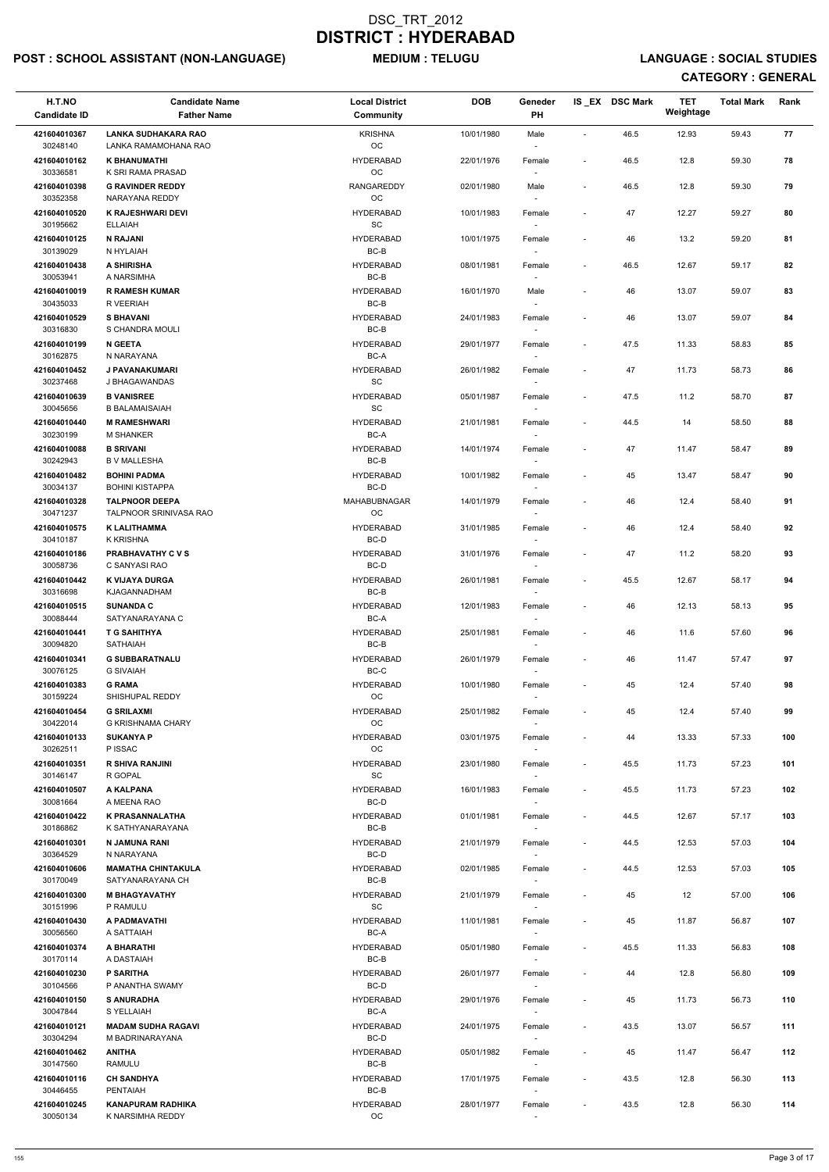# POST : SCHOOL ASSISTANT (NON-LANGUAGE) MEDIUM : TELUGU LANGUAGE : SOCIAL STUDIES

| H.T.NO<br><b>Candidate ID</b> | <b>Candidate Name</b><br><b>Father Name</b>        | <b>Local District</b><br>Community               | <b>DOB</b> | Geneder<br>PH                      |                          | IS_EX DSC Mark | <b>TET</b><br>Weightage | <b>Total Mark</b> | Rank |
|-------------------------------|----------------------------------------------------|--------------------------------------------------|------------|------------------------------------|--------------------------|----------------|-------------------------|-------------------|------|
| 421604010367<br>30248140      | <b>LANKA SUDHAKARA RAO</b><br>LANKA RAMAMOHANA RAO | <b>KRISHNA</b><br>OC                             | 10/01/1980 | Male                               | $\overline{\phantom{a}}$ | 46.5           | 12.93                   | 59.43             | 77   |
| 421604010162<br>30336581      | <b>K BHANUMATHI</b><br>K SRI RAMA PRASAD           | <b>HYDERABAD</b><br>OC                           | 22/01/1976 | Female                             | $\sim$                   | 46.5           | 12.8                    | 59.30             | 78   |
| 421604010398                  | <b>G RAVINDER REDDY</b>                            | <b>RANGAREDDY</b>                                | 02/01/1980 | Male                               | $\overline{\phantom{a}}$ | 46.5           | 12.8                    | 59.30             | 79   |
| 30352358<br>421604010520      | NARAYANA REDDY<br><b>K RAJESHWARI DEVI</b>         | OC<br><b>HYDERABAD</b>                           | 10/01/1983 | $\sim$<br>Female                   |                          | 47             | 12.27                   | 59.27             | 80   |
| 30195662<br>421604010125      | <b>ELLAIAH</b><br><b>N RAJANI</b>                  | SC<br><b>HYDERABAD</b>                           | 10/01/1975 | Female                             | $\overline{\phantom{a}}$ | 46             | 13.2                    | 59.20             | 81   |
| 30139029                      | N HYLAIAH                                          | $BC-B$                                           |            | $\sim$                             |                          |                |                         |                   |      |
| 421604010438<br>30053941      | A SHIRISHA<br>A NARSIMHA                           | <b>HYDERABAD</b><br>BC-B                         | 08/01/1981 | Female                             |                          | 46.5           | 12.67                   | 59.17             | 82   |
| 421604010019<br>30435033      | <b>R RAMESH KUMAR</b><br>R VEERIAH                 | <b>HYDERABAD</b><br>$BC-B$                       | 16/01/1970 | Male                               |                          | 46             | 13.07                   | 59.07             | 83   |
| 421604010529<br>30316830      | <b>S BHAVANI</b><br>S CHANDRA MOULI                | <b>HYDERABAD</b><br>$BC-B$                       | 24/01/1983 | Female<br>$\overline{\phantom{a}}$ |                          | 46             | 13.07                   | 59.07             | 84   |
| 421604010199<br>30162875      | <b>N GEETA</b><br>N NARAYANA                       | <b>HYDERABAD</b><br>BC-A                         | 29/01/1977 | Female                             | $\overline{\phantom{a}}$ | 47.5           | 11.33                   | 58.83             | 85   |
| 421604010452<br>30237468      | J PAVANAKUMARI<br>J BHAGAWANDAS                    | <b>HYDERABAD</b><br>$\operatorname{\textsf{SC}}$ | 26/01/1982 | Female                             | $\overline{\phantom{a}}$ | 47             | 11.73                   | 58.73             | 86   |
| 421604010639                  | <b>B VANISREE</b>                                  | <b>HYDERABAD</b>                                 | 05/01/1987 | Female                             | $\overline{\phantom{a}}$ | 47.5           | 11.2                    | 58.70             | 87   |
| 30045656<br>421604010440      | <b>B BALAMAISAIAH</b><br><b>M RAMESHWARI</b>       | SC<br><b>HYDERABAD</b>                           | 21/01/1981 | Female                             | $\sim$                   | 44.5           | 14                      | 58.50             | 88   |
| 30230199                      | <b>M SHANKER</b>                                   | BC-A                                             |            | $\sim$                             |                          |                |                         |                   |      |
| 421604010088<br>30242943      | <b>B SRIVANI</b><br><b>B V MALLESHA</b>            | <b>HYDERABAD</b><br>BC-B                         | 14/01/1974 | Female                             |                          | 47             | 11.47                   | 58.47             | 89   |
| 421604010482                  | <b>BOHINI PADMA</b>                                | <b>HYDERABAD</b>                                 | 10/01/1982 | Female                             | $\overline{\phantom{a}}$ | 45             | 13.47                   | 58.47             | 90   |
| 30034137<br>421604010328      | <b>BOHINI KISTAPPA</b><br><b>TALPNOOR DEEPA</b>    | BC-D<br>MAHABUBNAGAR                             | 14/01/1979 | Female                             |                          | 46             | 12.4                    | 58.40             | 91   |
| 30471237<br>421604010575      | TALPNOOR SRINIVASA RAO<br>K LALITHAMMA             | OC<br><b>HYDERABAD</b>                           | 31/01/1985 | Female                             |                          | 46             | 12.4                    | 58.40             | 92   |
| 30410187<br>421604010186      | <b>K KRISHNA</b><br><b>PRABHAVATHY C V S</b>       | BC-D<br><b>HYDERABAD</b>                         | 31/01/1976 | $\overline{\phantom{a}}$<br>Female |                          | 47             | 11.2                    | 58.20             | 93   |
| 30058736                      | C SANYASI RAO                                      | BC-D                                             |            |                                    |                          |                |                         |                   |      |
| 421604010442<br>30316698      | <b>K VIJAYA DURGA</b><br><b>KJAGANNADHAM</b>       | <b>HYDERABAD</b><br>$BC-B$                       | 26/01/1981 | Female                             | $\sim$                   | 45.5           | 12.67                   | 58.17             | 94   |
| 421604010515<br>30088444      | <b>SUNANDA C</b><br>SATYANARAYANA C                | <b>HYDERABAD</b><br>BC-A                         | 12/01/1983 | Female<br>$\sim$                   | $\overline{\phantom{a}}$ | 46             | 12.13                   | 58.13             | 95   |
| 421604010441<br>30094820      | <b>T G SAHITHYA</b><br><b>SATHAIAH</b>             | <b>HYDERABAD</b><br>BC-B                         | 25/01/1981 | Female                             | $\overline{\phantom{a}}$ | 46             | 11.6                    | 57.60             | 96   |
| 421604010341<br>30076125      | <b>G SUBBARATNALU</b><br><b>G SIVAIAH</b>          | <b>HYDERABAD</b><br>BC-C                         | 26/01/1979 | Female<br>$\sim$                   | $\sim$                   | 46             | 11.47                   | 57.47             | 97   |
| 421604010383                  | <b>G RAMA</b>                                      | <b>HYDERABAD</b>                                 | 10/01/1980 | Female                             |                          | 45             | 12.4                    | 57.40             | 98   |
| 30159224<br>421604010454      | SHISHUPAL REDDY<br><b>G SRILAXMI</b>               | OC<br><b>HYDERABAD</b>                           | 25/01/1982 | Female                             | $\sim$                   | 45             | 12.4                    | 57.40             | 99   |
| 30422014<br>421604010133      | <b>G KRISHNAMA CHARY</b><br><b>SUKANYA P</b>       | <b>OC</b><br><b>HYDERABAD</b>                    | 03/01/1975 | Female                             | $\overline{\phantom{a}}$ | 44             | 13.33                   | 57.33             | 100  |
| 30262511                      | P ISSAC                                            | ОC                                               |            | $\sim$                             |                          |                |                         |                   |      |
| 421604010351<br>30146147      | <b>R SHIVA RANJINI</b><br>R GOPAL                  | <b>HYDERABAD</b><br><b>SC</b>                    | 23/01/1980 | Female<br>$\sim$                   | $\overline{\phantom{a}}$ | 45.5           | 11.73                   | 57.23             | 101  |
| 421604010507<br>30081664      | A KALPANA<br>A MEENA RAO                           | <b>HYDERABAD</b><br>BC-D                         | 16/01/1983 | Female                             | $\sim$                   | 45.5           | 11.73                   | 57.23             | 102  |
| 421604010422<br>30186862      | <b>K PRASANNALATHA</b><br>K SATHYANARAYANA         | <b>HYDERABAD</b><br>BC-B                         | 01/01/1981 | Female                             | $\sim$                   | 44.5           | 12.67                   | 57.17             | 103  |
| 421604010301<br>30364529      | N JAMUNA RANI<br>N NARAYANA                        | <b>HYDERABAD</b><br>BC-D                         | 21/01/1979 | Female<br>$\sim$                   | $\overline{\phantom{a}}$ | 44.5           | 12.53                   | 57.03             | 104  |
| 421604010606                  | <b>MAMATHA CHINTAKULA</b><br>SATYANARAYANA CH      | <b>HYDERABAD</b>                                 | 02/01/1985 | Female                             | $\sim$                   | 44.5           | 12.53                   | 57.03             | 105  |
| 30170049<br>421604010300      | <b>M BHAGYAVATHY</b>                               | BC-B<br><b>HYDERABAD</b>                         | 21/01/1979 | $\sim$<br>Female                   | $\sim$                   | 45             | 12                      | 57.00             | 106  |
| 30151996<br>421604010430      | P RAMULU                                           | SC<br><b>HYDERABAD</b>                           |            | $\sim$                             |                          |                | 11.87                   |                   |      |
| 30056560                      | A PADMAVATHI<br>A SATTAIAH                         | BC-A                                             | 11/01/1981 | Female                             | $\overline{\phantom{a}}$ | 45             |                         | 56.87             | 107  |
| 421604010374<br>30170114      | A BHARATHI<br>A DASTAIAH                           | <b>HYDERABAD</b><br>BC-B                         | 05/01/1980 | Female                             | $\sim$                   | 45.5           | 11.33                   | 56.83             | 108  |
| 421604010230                  | <b>P SARITHA</b>                                   | <b>HYDERABAD</b>                                 | 26/01/1977 | Female                             |                          | 44             | 12.8                    | 56.80             | 109  |
| 30104566<br>421604010150      | P ANANTHA SWAMY<br><b>S ANURADHA</b>               | BC-D<br><b>HYDERABAD</b>                         | 29/01/1976 | $\overline{\phantom{a}}$<br>Female |                          | 45             | 11.73                   | 56.73             | 110  |
| 30047844<br>421604010121      | S YELLAIAH<br><b>MADAM SUDHA RAGAVI</b>            | BC-A<br><b>HYDERABAD</b>                         | 24/01/1975 | Female                             | $\overline{\phantom{a}}$ | 43.5           | 13.07                   | 56.57             | 111  |
| 30304294                      | M BADRINARAYANA                                    | BC-D<br><b>HYDERABAD</b>                         |            | $\sim$                             |                          |                |                         |                   |      |
| 421604010462<br>30147560      | <b>ANITHA</b><br><b>RAMULU</b>                     | BC-B                                             | 05/01/1982 | Female<br>$\sim$                   | $\sim$                   | 45             | 11.47                   | 56.47             | 112  |
| 421604010116<br>30446455      | <b>CH SANDHYA</b><br><b>PENTAIAH</b>               | <b>HYDERABAD</b><br>BC-B                         | 17/01/1975 | Female<br>$\sim$                   | $\overline{\phantom{a}}$ | 43.5           | 12.8                    | 56.30             | 113  |
| 421604010245<br>30050134      | <b>KANAPURAM RADHIKA</b><br>K NARSIMHA REDDY       | <b>HYDERABAD</b><br>$_{\rm OC}$                  | 28/01/1977 | Female                             |                          | 43.5           | 12.8                    | 56.30             | 114  |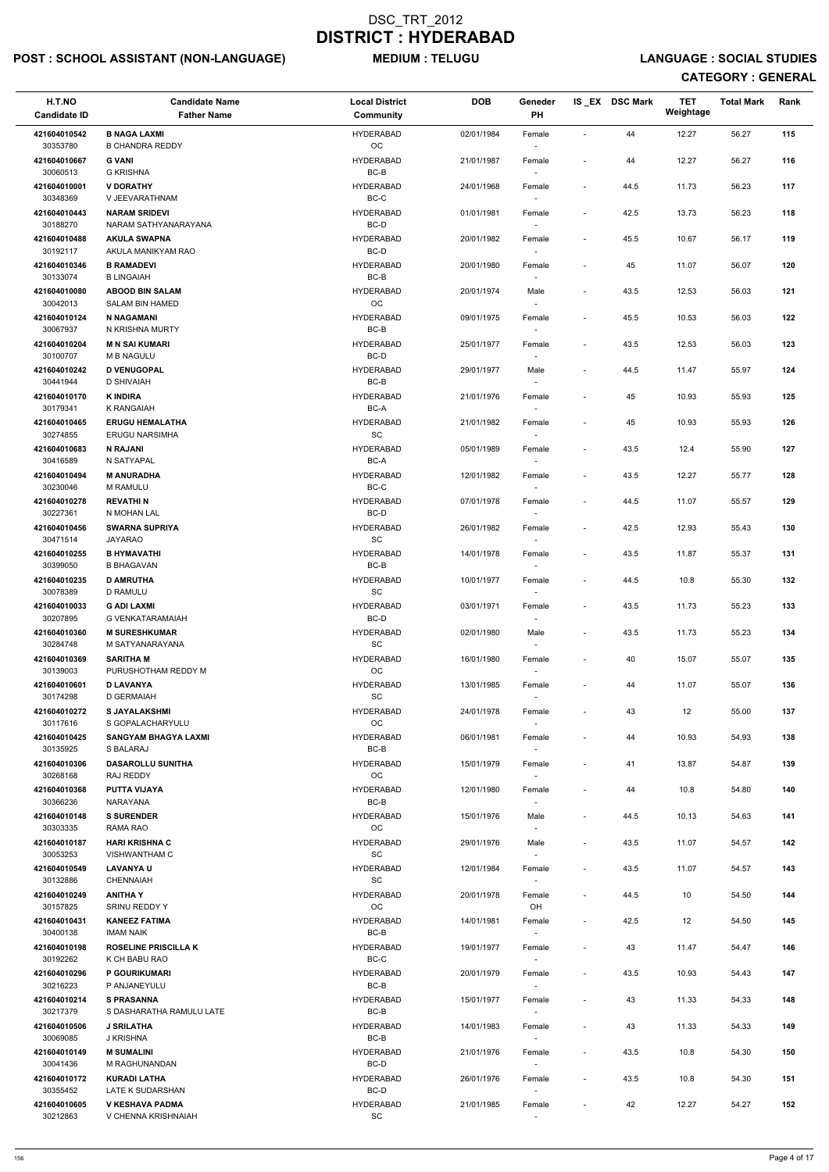# POST : SCHOOL ASSISTANT (NON-LANGUAGE) MEDIUM : TELUGU LANGUAGE : SOCIAL STUDIES

| H.T.NO<br><b>Candidate ID</b> | <b>Candidate Name</b><br><b>Father Name</b>      | <b>Local District</b><br>Community               | <b>DOB</b> | Geneder<br>PH                      |                          | IS_EX DSC Mark | <b>TET</b><br>Weightage | <b>Total Mark</b> | Rank |
|-------------------------------|--------------------------------------------------|--------------------------------------------------|------------|------------------------------------|--------------------------|----------------|-------------------------|-------------------|------|
| 421604010542<br>30353780      | <b>B NAGA LAXMI</b><br><b>B CHANDRA REDDY</b>    | <b>HYDERABAD</b><br>OC                           | 02/01/1984 | Female                             | $\sim$                   | 44             | 12.27                   | 56.27             | 115  |
| 421604010667<br>30060513      | <b>G VANI</b><br><b>G KRISHNA</b>                | <b>HYDERABAD</b><br>BC-B                         | 21/01/1987 | Female                             | $\sim$                   | 44             | 12.27                   | 56.27             | 116  |
| 421604010001<br>30348369      | <b>V DORATHY</b><br>V JEEVARATHNAM               | <b>HYDERABAD</b><br>BC-C                         | 24/01/1968 | Female<br>$\sim$                   | $\blacksquare$           | 44.5           | 11.73                   | 56.23             | 117  |
| 421604010443                  | <b>NARAM SRIDEVI</b>                             | <b>HYDERABAD</b>                                 | 01/01/1981 | Female                             | $\blacksquare$           | 42.5           | 13.73                   | 56.23             | 118  |
| 30188270<br>421604010488      | NARAM SATHYANARAYANA<br><b>AKULA SWAPNA</b>      | BC-D<br><b>HYDERABAD</b>                         | 20/01/1982 | $\sim$<br>Female                   | $\blacksquare$           | 45.5           | 10.67                   | 56.17             | 119  |
| 30192117<br>421604010346      | AKULA MANIKYAM RAO<br><b>B RAMADEVI</b>          | BC-D<br><b>HYDERABAD</b>                         | 20/01/1980 | $\sim$                             | $\overline{\phantom{a}}$ | 45             | 11.07                   | 56.07             | 120  |
| 30133074                      | <b>B LINGAIAH</b>                                | $BC-B$                                           |            | Female                             |                          |                |                         |                   |      |
| 421604010080<br>30042013      | <b>ABOOD BIN SALAM</b><br><b>SALAM BIN HAMED</b> | <b>HYDERABAD</b><br>OC                           | 20/01/1974 | Male                               | $\overline{\phantom{a}}$ | 43.5           | 12.53                   | 56.03             | 121  |
| 421604010124<br>30067937      | N NAGAMANI<br>N KRISHNA MURTY                    | <b>HYDERABAD</b><br>BC-B                         | 09/01/1975 | Female<br>$\sim$                   | $\overline{\phantom{a}}$ | 45.5           | 10.53                   | 56.03             | 122  |
| 421604010204<br>30100707      | <b>M N SAI KUMARI</b><br><b>M B NAGULU</b>       | <b>HYDERABAD</b><br>BC-D                         | 25/01/1977 | Female<br>$\sim$                   | $\blacksquare$           | 43.5           | 12.53                   | 56.03             | 123  |
| 421604010242<br>30441944      | <b>D VENUGOPAL</b><br><b>D SHIVAIAH</b>          | <b>HYDERABAD</b><br>BC-B                         | 29/01/1977 | Male                               |                          | 44.5           | 11.47                   | 55.97             | 124  |
| 421604010170<br>30179341      | <b>K INDIRA</b><br>K RANGAIAH                    | <b>HYDERABAD</b><br>BC-A                         | 21/01/1976 | Female                             | $\blacksquare$           | 45             | 10.93                   | 55.93             | 125  |
| 421604010465                  | <b>ERUGU HEMALATHA</b>                           | <b>HYDERABAD</b>                                 | 21/01/1982 | Female                             | $\overline{\phantom{a}}$ | 45             | 10.93                   | 55.93             | 126  |
| 30274855<br>421604010683      | <b>ERUGU NARSIMHA</b><br><b>N RAJANI</b>         | SC<br><b>HYDERABAD</b>                           | 05/01/1989 | $\sim$<br>Female                   | $\overline{\phantom{a}}$ | 43.5           | 12.4                    | 55.90             | 127  |
| 30416589<br>421604010494      | N SATYAPAL<br><b>M ANURADHA</b>                  | BC-A<br><b>HYDERABAD</b>                         | 12/01/1982 | $\sim$<br>Female                   | $\overline{\phantom{a}}$ | 43.5           | 12.27                   | 55.77             | 128  |
| 30230046                      | <b>M RAMULU</b><br><b>REVATHIN</b>               | BC-C<br><b>HYDERABAD</b>                         |            | $\sim$                             |                          |                |                         |                   |      |
| 421604010278<br>30227361      | N MOHAN LAL                                      | BC-D                                             | 07/01/1978 | Female                             | $\blacksquare$           | 44.5           | 11.07                   | 55.57             | 129  |
| 421604010456<br>30471514      | <b>SWARNA SUPRIYA</b><br><b>JAYARAO</b>          | <b>HYDERABAD</b><br>SC                           | 26/01/1982 | Female<br>$\overline{\phantom{a}}$ | $\blacksquare$           | 42.5           | 12.93                   | 55.43             | 130  |
| 421604010255<br>30399050      | <b>B HYMAVATHI</b><br><b>B BHAGAVAN</b>          | <b>HYDERABAD</b><br>BC-B                         | 14/01/1978 | Female                             | $\blacksquare$           | 43.5           | 11.87                   | 55.37             | 131  |
| 421604010235<br>30078389      | <b>D AMRUTHA</b><br>D RAMULU                     | <b>HYDERABAD</b><br>SC                           | 10/01/1977 | Female                             | $\overline{\phantom{a}}$ | 44.5           | 10.8                    | 55.30             | 132  |
| 421604010033<br>30207895      | <b>G ADI LAXMI</b><br><b>G VENKATARAMAIAH</b>    | <b>HYDERABAD</b><br>BC-D                         | 03/01/1971 | Female                             | $\overline{\phantom{a}}$ | 43.5           | 11.73                   | 55.23             | 133  |
| 421604010360                  | <b>M SURESHKUMAR</b>                             | <b>HYDERABAD</b>                                 | 02/01/1980 | $\sim$<br>Male                     | $\blacksquare$           | 43.5           | 11.73                   | 55.23             | 134  |
| 30284748<br>421604010369      | M SATYANARAYANA<br><b>SARITHA M</b>              | SC<br><b>HYDERABAD</b>                           | 16/01/1980 | $\sim$<br>Female                   | $\overline{\phantom{a}}$ | 40             | 15.07                   | 55.07             | 135  |
| 30139003<br>421604010601      | PURUSHOTHAM REDDY M<br><b>D LAVANYA</b>          | OC<br><b>HYDERABAD</b>                           | 13/01/1985 | $\overline{\phantom{a}}$<br>Female | $\overline{\phantom{a}}$ | 44             | 11.07                   | 55.07             | 136  |
| 30174298                      | D GERMAIAH                                       | SC<br><b>HYDERABAD</b>                           |            |                                    |                          |                |                         |                   |      |
| 421604010272<br>30117616      | <b>S JAYALAKSHMI</b><br>S GOPALACHARYULU         | <b>OC</b>                                        | 24/01/1978 | Female                             | $\overline{\phantom{a}}$ | 43             | 12                      | 55.00             | 137  |
| 421604010425<br>30135925      | <b>SANGYAM BHAGYA LAXMI</b><br>S BALARAJ         | <b>HYDERABAD</b><br>BC-B                         | 06/01/1981 | Female<br>$\overline{\phantom{a}}$ |                          | 44             | 10.93                   | 54.93             | 138  |
| 421604010306<br>30268168      | <b>DASAROLLU SUNITHA</b><br>RAJ REDDY            | <b>HYDERABAD</b><br><b>OC</b>                    | 15/01/1979 | Female<br>$\sim$                   | $\overline{\phantom{a}}$ | 41             | 13.87                   | 54.87             | 139  |
| 421604010368<br>30366236      | <b>PUTTA VIJAYA</b><br>NARAYANA                  | <b>HYDERABAD</b><br>BC-B                         | 12/01/1980 | Female                             |                          | 44             | 10.8                    | 54.80             | 140  |
| 421604010148<br>30303335      | <b>S SURENDER</b><br>RAMA RAO                    | <b>HYDERABAD</b><br><b>OC</b>                    | 15/01/1976 | Male                               | $\overline{\phantom{a}}$ | 44.5           | 10.13                   | 54.63             | 141  |
| 421604010187                  | <b>HARI KRISHNA C</b>                            | <b>HYDERABAD</b>                                 | 29/01/1976 | $\overline{\phantom{a}}$<br>Male   | $\sim$                   | 43.5           | 11.07                   | 54.57             | 142  |
| 30053253<br>421604010549      | <b>VISHWANTHAM C</b><br><b>LAVANYA U</b>         | SC<br><b>HYDERABAD</b>                           | 12/01/1984 | $\sim$<br>Female                   | $\blacksquare$           | 43.5           | 11.07                   | 54.57             | 143  |
| 30132886<br>421604010249      | <b>CHENNAIAH</b><br><b>ANITHAY</b>               | SC<br><b>HYDERABAD</b>                           | 20/01/1978 | $\sim$<br>Female                   | $\blacksquare$           | 44.5           | 10                      | 54.50             | 144  |
| 30157825                      | <b>SRINU REDDY Y</b>                             | <b>OC</b>                                        |            | OH                                 |                          |                |                         |                   |      |
| 421604010431<br>30400138      | <b>KANEEZ FATIMA</b><br><b>IMAM NAIK</b>         | <b>HYDERABAD</b><br>BC-B                         | 14/01/1981 | Female                             | $\sim$                   | 42.5           | 12                      | 54.50             | 145  |
| 421604010198<br>30192262      | <b>ROSELINE PRISCILLA K</b><br>K CH BABU RAO     | <b>HYDERABAD</b><br>BC-C                         | 19/01/1977 | Female                             | $\blacksquare$           | 43             | 11.47                   | 54.47             | 146  |
| 421604010296                  | P GOURIKUMARI                                    | <b>HYDERABAD</b>                                 | 20/01/1979 | Female                             | $\overline{\phantom{a}}$ | 43.5           | 10.93                   | 54.43             | 147  |
| 30216223<br>421604010214      | P ANJANEYULU<br><b>S PRASANNA</b>                | BC-B<br><b>HYDERABAD</b>                         | 15/01/1977 | $\overline{\phantom{a}}$<br>Female |                          | 43             | 11.33                   | 54.33             | 148  |
| 30217379<br>421604010506      | S DASHARATHA RAMULU LATE<br><b>J SRILATHA</b>    | BC-B<br><b>HYDERABAD</b>                         | 14/01/1983 | $\overline{\phantom{a}}$<br>Female |                          | 43             | 11.33                   | 54.33             | 149  |
| 30069085                      | J KRISHNA                                        | BC-B                                             |            | $\sim$                             |                          |                |                         |                   |      |
| 421604010149<br>30041436      | <b>M SUMALINI</b><br>M RAGHUNANDAN               | <b>HYDERABAD</b><br>BC-D                         | 21/01/1976 | Female<br>$\sim$                   | $\blacksquare$           | 43.5           | 10.8                    | 54.30             | 150  |
| 421604010172<br>30355452      | <b>KURADI LATHA</b><br>LATE K SUDARSHAN          | <b>HYDERABAD</b><br>BC-D                         | 26/01/1976 | Female<br>$\overline{\phantom{a}}$ | $\overline{\phantom{a}}$ | 43.5           | 10.8                    | 54.30             | 151  |
| 421604010605<br>30212863      | V KESHAVA PADMA<br>V CHENNA KRISHNAIAH           | <b>HYDERABAD</b><br>$\operatorname{\textsf{SC}}$ | 21/01/1985 | Female<br>$\sim$                   |                          | 42             | 12.27                   | 54.27             | 152  |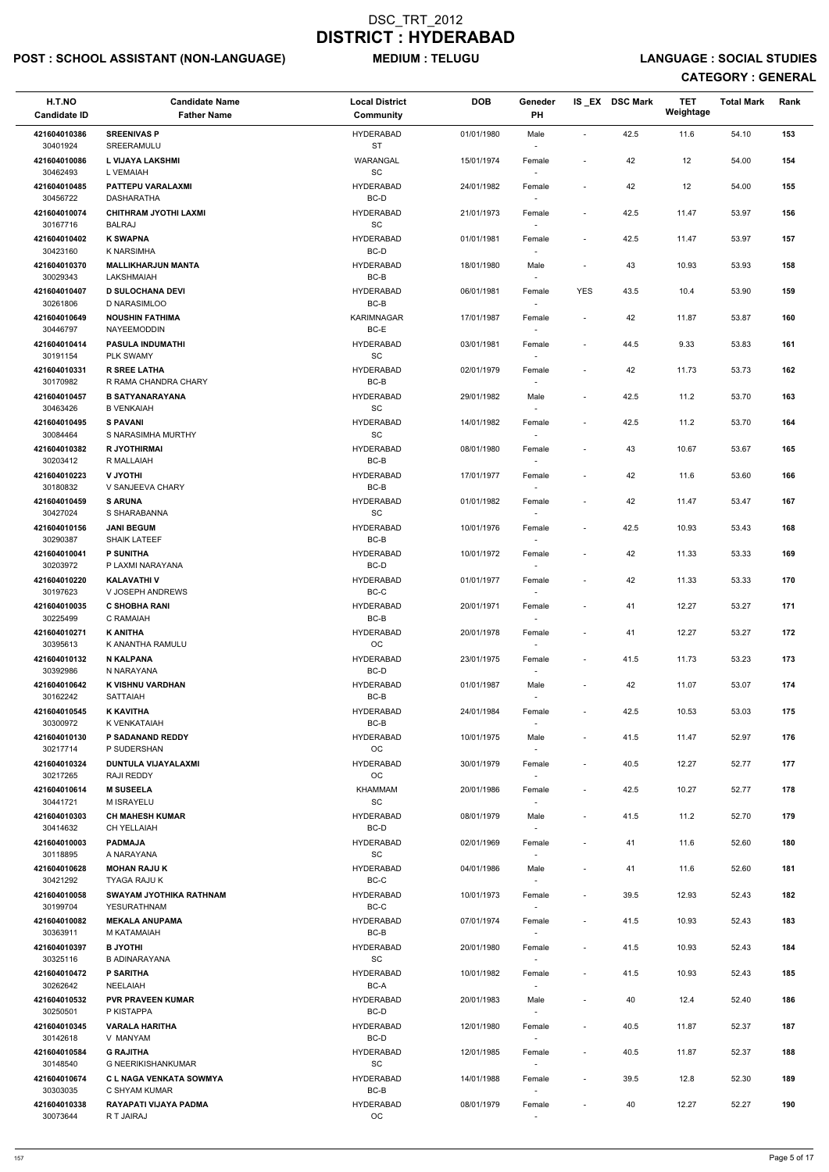# POST : SCHOOL ASSISTANT (NON-LANGUAGE) MEDIUM : TELUGU LANGUAGE : SOCIAL STUDIES

| H.T.NO<br><b>Candidate ID</b>        | <b>Candidate Name</b><br><b>Father Name</b>                           | <b>Local District</b><br>Community    | <b>DOB</b> | Geneder<br>PH                                                  |                          | IS EX DSC Mark | TET<br>Weightage | <b>Total Mark</b> | Rank |
|--------------------------------------|-----------------------------------------------------------------------|---------------------------------------|------------|----------------------------------------------------------------|--------------------------|----------------|------------------|-------------------|------|
| 421604010386<br>30401924             | <b>SREENIVAS P</b><br>SREERAMULU                                      | <b>HYDERABAD</b><br>ST                | 01/01/1980 | Male                                                           | $\sim$                   | 42.5           | 11.6             | 54.10             | 153  |
| 421604010086<br>30462493             | L VIJAYA LAKSHMI<br>L VEMAIAH                                         | WARANGAL<br>SC                        | 15/01/1974 | Female                                                         | $\overline{\phantom{a}}$ | 42             | 12               | 54.00             | 154  |
| 421604010485<br>30456722             | PATTEPU VARALAXMI<br>DASHARATHA                                       | <b>HYDERABAD</b><br>BC-D              | 24/01/1982 | Female<br>$\overline{\phantom{a}}$                             | $\tilde{\phantom{a}}$    | 42             | 12               | 54.00             | 155  |
| 421604010074                         | CHITHRAM JYOTHI LAXMI                                                 | <b>HYDERABAD</b>                      | 21/01/1973 | Female                                                         | $\overline{\phantom{a}}$ | 42.5           | 11.47            | 53.97             | 156  |
| 30167716<br>421604010402             | <b>BALRAJ</b><br><b>K SWAPNA</b>                                      | SC<br><b>HYDERABAD</b>                | 01/01/1981 | $\sim$<br>Female                                               | $\blacksquare$           | 42.5           | 11.47            | 53.97             | 157  |
| 30423160                             | <b>K NARSIMHA</b>                                                     | BC-D                                  |            |                                                                |                          |                |                  |                   |      |
| 421604010370<br>30029343             | <b>MALLIKHARJUN MANTA</b><br>LAKSHMAIAH                               | <b>HYDERABAD</b><br>BC-B              | 18/01/1980 | Male                                                           | $\overline{\phantom{a}}$ | 43             | 10.93            | 53.93             | 158  |
| 421604010407<br>30261806             | <b>D SULOCHANA DEVI</b><br>D NARASIMLOO                               | <b>HYDERABAD</b><br>$BC-B$            | 06/01/1981 | Female<br>$\overline{\phantom{a}}$                             | <b>YES</b>               | 43.5           | 10.4             | 53.90             | 159  |
| 421604010649<br>30446797             | <b>NOUSHIN FATHIMA</b><br>NAYEEMODDIN                                 | <b>KARIMNAGAR</b><br>BC-E             | 17/01/1987 | Female                                                         | $\blacksquare$           | 42             | 11.87            | 53.87             | 160  |
| 421604010414<br>30191154             | <b>PASULA INDUMATHI</b><br>PLK SWAMY                                  | <b>HYDERABAD</b><br>SC                | 03/01/1981 | Female                                                         | $\overline{\phantom{a}}$ | 44.5           | 9.33             | 53.83             | 161  |
| 421604010331                         | <b>R SREE LATHA</b>                                                   | <b>HYDERABAD</b>                      | 02/01/1979 | Female                                                         | $\overline{\phantom{a}}$ | 42             | 11.73            | 53.73             | 162  |
| 30170982<br>421604010457             | R RAMA CHANDRA CHARY<br><b>B SATYANARAYANA</b>                        | $BC-B$<br><b>HYDERABAD</b>            | 29/01/1982 | Male                                                           | $\blacksquare$           | 42.5           | 11.2             | 53.70             | 163  |
| 30463426                             | <b>B VENKAIAH</b>                                                     | SC                                    |            |                                                                |                          |                |                  |                   |      |
| 421604010495<br>30084464             | <b>S PAVANI</b><br>S NARASIMHA MURTHY                                 | <b>HYDERABAD</b><br>SC                | 14/01/1982 | Female<br>$\sim$                                               | $\overline{\phantom{a}}$ | 42.5           | 11.2             | 53.70             | 164  |
| 421604010382<br>30203412             | <b>R JYOTHIRMAI</b><br>R MALLAIAH                                     | <b>HYDERABAD</b><br>BC-B              | 08/01/1980 | Female                                                         | $\overline{\phantom{a}}$ | 43             | 10.67            | 53.67             | 165  |
| 421604010223                         | <b>V JYOTHI</b>                                                       | <b>HYDERABAD</b>                      | 17/01/1977 | Female                                                         | $\overline{\phantom{a}}$ | 42             | 11.6             | 53.60             | 166  |
| 30180832<br>421604010459             | V SANJEEVA CHARY<br><b>S ARUNA</b>                                    | BC-B<br><b>HYDERABAD</b>              | 01/01/1982 | Female                                                         | $\sim$                   | 42             | 11.47            | 53.47             | 167  |
| 30427024                             | S SHARABANNA                                                          | SC                                    |            |                                                                |                          |                |                  |                   |      |
| 421604010156<br>30290387             | <b>JANI BEGUM</b><br><b>SHAIK LATEEF</b>                              | <b>HYDERABAD</b><br>BC-B              | 10/01/1976 | Female<br>$\overline{\phantom{a}}$                             | $\sim$                   | 42.5           | 10.93            | 53.43             | 168  |
| 421604010041<br>30203972             | <b>P SUNITHA</b><br>P LAXMI NARAYANA                                  | <b>HYDERABAD</b><br>BC-D              | 10/01/1972 | Female                                                         |                          | 42             | 11.33            | 53.33             | 169  |
| 421604010220<br>30197623             | <b>KALAVATHI V</b><br>V JOSEPH ANDREWS                                | <b>HYDERABAD</b><br>BC-C              | 01/01/1977 | Female                                                         | $\overline{\phantom{a}}$ | 42             | 11.33            | 53.33             | 170  |
| 421604010035                         | <b>C SHOBHA RANI</b>                                                  | HYDERABAD                             | 20/01/1971 | Female                                                         | $\blacksquare$           | 41             | 12.27            | 53.27             | 171  |
| 30225499<br>421604010271<br>30395613 | C RAMAIAH<br><b>K ANITHA</b><br>K ANANTHA RAMULU                      | BC-B<br><b>HYDERABAD</b><br><b>OC</b> | 20/01/1978 | Female                                                         | $\blacksquare$           | 41             | 12.27            | 53.27             | 172  |
| 421604010132                         | <b>N KALPANA</b>                                                      | HYDERABAD                             | 23/01/1975 | $\sim$<br>Female                                               | $\overline{\phantom{a}}$ | 41.5           | 11.73            | 53.23             | 173  |
| 30392986<br>421604010642             | N NARAYANA<br><b>K VISHNU VARDHAN</b>                                 | BC-D<br><b>HYDERABAD</b>              | 01/01/1987 | $\overline{\phantom{a}}$<br>Male                               | $\overline{\phantom{a}}$ | 42             | 11.07            | 53.07             | 174  |
| 30162242                             | <b>SATTAIAH</b>                                                       | BC-B                                  |            |                                                                |                          |                |                  |                   |      |
| 421604010545<br>30300972             | <b>K KAVITHA</b><br>K VENKATAIAH                                      | <b>HYDERABAD</b><br>BC-B              | 24/01/1984 | Female                                                         | $\overline{\phantom{a}}$ | 42.5           | 10.53            | 53.03             | 175  |
| 421604010130<br>30217714             | P SADANAND REDDY<br>P SUDERSHAN                                       | HYDERABAD<br>OC                       | 10/01/1975 | Male<br>$\overline{\phantom{a}}$                               | $\blacksquare$           | 41.5           | 11.47            | 52.97             | 176  |
| 421604010324<br>30217265             | DUNTULA VIJAYALAXMI<br><b>RAJI REDDY</b>                              | <b>HYDERABAD</b><br><b>OC</b>         | 30/01/1979 | Female<br>$\overline{\phantom{a}}$                             | $\blacksquare$           | 40.5           | 12.27            | 52.77             | 177  |
| 421604010614                         | <b>M SUSEELA</b>                                                      | KHAMMAM                               | 20/01/1986 | Female                                                         | $\overline{\phantom{a}}$ | 42.5           | 10.27            | 52.77             | 178  |
| 30441721<br>421604010303             | M ISRAYELU<br><b>CH MAHESH KUMAR</b>                                  | SC<br>HYDERABAD                       | 08/01/1979 | Male                                                           | $\overline{\phantom{a}}$ | 41.5           | 11.2             | 52.70             | 179  |
| 30414632<br>421604010003             | <b>CH YELLAIAH</b><br><b>PADMAJA</b>                                  | BC-D<br><b>HYDERABAD</b>              | 02/01/1969 | Female                                                         | $\sim$                   | 41             | 11.6             | 52.60             | 180  |
| 30118895                             | A NARAYANA                                                            | SC                                    |            | $\overline{\phantom{a}}$                                       |                          |                |                  |                   |      |
| 421604010628<br>30421292             | <b>MOHAN RAJU K</b><br><b>TYAGA RAJU K</b>                            | HYDERABAD<br>BC-C                     | 04/01/1986 | Male<br>$\sim$                                                 | $\overline{\phantom{a}}$ | 41             | 11.6             | 52.60             | 181  |
| 421604010058<br>30199704             | <b>SWAYAM JYOTHIKA RATHNAM</b><br>YESURATHNAM                         | <b>HYDERABAD</b><br>BC-C              | 10/01/1973 | Female                                                         | $\overline{\phantom{a}}$ | 39.5           | 12.93            | 52.43             | 182  |
| 421604010082                         | <b>MEKALA ANUPAMA</b>                                                 | <b>HYDERABAD</b>                      | 07/01/1974 | Female                                                         | $\overline{\phantom{a}}$ | 41.5           | 10.93            | 52.43             | 183  |
| 30363911<br>421604010397             | M KATAMAIAH<br><b>B JYOTHI</b>                                        | BC-B<br><b>HYDERABAD</b>              | 20/01/1980 | Female                                                         | $\sim$                   | 41.5           | 10.93            | 52.43             | 184  |
| 30325116                             | <b>B ADINARAYANA</b><br><b>P SARITHA</b>                              | SC<br><b>HYDERABAD</b>                |            | $\overline{\phantom{a}}$                                       |                          |                |                  |                   |      |
| 421604010472<br>30262642             | NEELAIAH                                                              | BC-A                                  | 10/01/1982 | Female                                                         |                          | 41.5           | 10.93            | 52.43             | 185  |
| 421604010532<br>30250501             | <b>PVR PRAVEEN KUMAR</b><br>P KISTAPPA                                | <b>HYDERABAD</b><br>BC-D              | 20/01/1983 | Male<br>$\overline{\phantom{a}}$                               | $\overline{\phantom{a}}$ | 40             | 12.4             | 52.40             | 186  |
| 421604010345<br>30142618             | <b>VARALA HARITHA</b><br>V MANYAM                                     | HYDERABAD<br>BC-D                     | 12/01/1980 | Female<br>$\overline{\phantom{a}}$                             | $\overline{\phantom{a}}$ | 40.5           | 11.87            | 52.37             | 187  |
| 421604010584                         | <b>G RAJITHA</b>                                                      | HYDERABAD                             | 12/01/1985 | Female                                                         | $\overline{\phantom{a}}$ | 40.5           | 11.87            | 52.37             | 188  |
| 30148540<br>421604010674<br>30303035 | <b>G NEERIKISHANKUMAR</b><br>C L NAGA VENKATA SOWMYA<br>C SHYAM KUMAR | SC<br>HYDERABAD<br>$BC-B$             | 14/01/1988 | $\overline{\phantom{a}}$<br>Female<br>$\overline{\phantom{a}}$ | $\overline{\phantom{a}}$ | 39.5           | 12.8             | 52.30             | 189  |
| 421604010338                         | RAYAPATI VIJAYA PADMA                                                 | HYDERABAD                             | 08/01/1979 | Female                                                         | $\overline{\phantom{a}}$ | 40             | 12.27            | 52.27             | 190  |
| 30073644                             | R T JAIRAJ                                                            | $_{\rm OC}$                           |            | $\sim$                                                         |                          |                |                  |                   |      |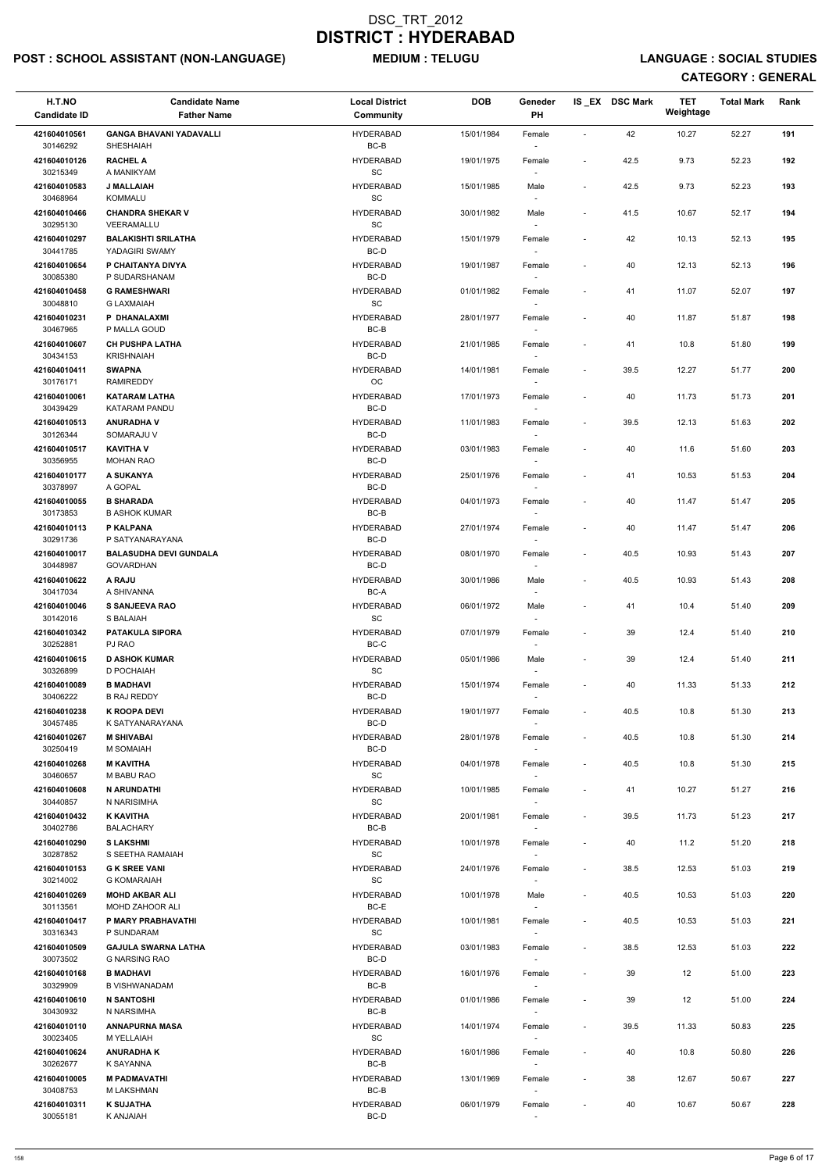# POST : SCHOOL ASSISTANT (NON-LANGUAGE) MEDIUM : TELUGU LANGUAGE : SOCIAL STUDIES

| H.T.NO<br><b>Candidate ID</b> | <b>Candidate Name</b><br><b>Father Name</b>        | <b>Local District</b><br>Community | <b>DOB</b> | Geneder<br>PH                      |                          | IS EX DSC Mark | TET<br>Weightage | <b>Total Mark</b> | Rank |
|-------------------------------|----------------------------------------------------|------------------------------------|------------|------------------------------------|--------------------------|----------------|------------------|-------------------|------|
| 421604010561<br>30146292      | <b>GANGA BHAVANI YADAVALLI</b><br><b>SHESHAIAH</b> | <b>HYDERABAD</b><br>BC-B           | 15/01/1984 | Female                             | $\blacksquare$           | 42             | 10.27            | 52.27             | 191  |
| 421604010126<br>30215349      | <b>RACHEL A</b><br>A MANIKYAM                      | <b>HYDERABAD</b><br>SC             | 19/01/1975 | Female                             | $\overline{\phantom{a}}$ | 42.5           | 9.73             | 52.23             | 192  |
| 421604010583<br>30468964      | <b>J MALLAIAH</b><br><b>KOMMALU</b>                | <b>HYDERABAD</b><br>SC             | 15/01/1985 | Male<br>$\overline{\phantom{a}}$   | $\blacksquare$           | 42.5           | 9.73             | 52.23             | 193  |
| 421604010466<br>30295130      | <b>CHANDRA SHEKAR V</b><br>VEERAMALLU              | <b>HYDERABAD</b><br>SC             | 30/01/1982 | Male<br>$\sim$                     | $\blacksquare$           | 41.5           | 10.67            | 52.17             | 194  |
| 421604010297                  | <b>BALAKISHTI SRILATHA</b>                         | <b>HYDERABAD</b>                   | 15/01/1979 | Female                             | $\overline{\phantom{a}}$ | 42             | 10.13            | 52.13             | 195  |
| 30441785<br>421604010654      | YADAGIRI SWAMY<br>P CHAITANYA DIVYA                | BC-D<br><b>HYDERABAD</b>           | 19/01/1987 | $\overline{\phantom{a}}$<br>Female | $\blacksquare$           | 40             | 12.13            | 52.13             | 196  |
| 30085380                      | P SUDARSHANAM                                      | $BC-D$                             |            |                                    |                          |                |                  |                   |      |
| 421604010458<br>30048810      | <b>G RAMESHWARI</b><br><b>G LAXMAIAH</b>           | <b>HYDERABAD</b><br>SC             | 01/01/1982 | Female<br>$\sim$                   | $\overline{\phantom{a}}$ | 41             | 11.07            | 52.07             | 197  |
| 421604010231<br>30467965      | P DHANALAXMI<br>P MALLA GOUD                       | <b>HYDERABAD</b><br>BC-B           | 28/01/1977 | Female<br>$\overline{\phantom{a}}$ | $\blacksquare$           | 40             | 11.87            | 51.87             | 198  |
| 421604010607<br>30434153      | <b>CH PUSHPA LATHA</b><br><b>KRISHNAIAH</b>        | <b>HYDERABAD</b><br>BC-D           | 21/01/1985 | Female<br>$\overline{\phantom{a}}$ | $\overline{\phantom{a}}$ | 41             | 10.8             | 51.80             | 199  |
| 421604010411                  | <b>SWAPNA</b>                                      | <b>HYDERABAD</b><br>$_{\rm OC}$    | 14/01/1981 | Female                             | $\blacksquare$           | 39.5           | 12.27            | 51.77             | 200  |
| 30176171<br>421604010061      | <b>RAMIREDDY</b><br><b>KATARAM LATHA</b>           | <b>HYDERABAD</b>                   | 17/01/1973 | Female                             | $\blacksquare$           | 40             | 11.73            | 51.73             | 201  |
| 30439429<br>421604010513      | KATARAM PANDU<br><b>ANURADHA V</b>                 | BC-D<br><b>HYDERABAD</b>           | 11/01/1983 | Female                             | $\blacksquare$           | 39.5           | 12.13            | 51.63             | 202  |
| 30126344<br>421604010517      | SOMARAJU V<br><b>KAVITHA V</b>                     | BC-D<br><b>HYDERABAD</b>           | 03/01/1983 | $\sim$<br>Female                   | $\overline{\phantom{a}}$ | 40             | 11.6             | 51.60             | 203  |
| 30356955                      | <b>MOHAN RAO</b>                                   | BC-D                               |            | $\overline{\phantom{a}}$           |                          |                |                  |                   |      |
| 421604010177<br>30378997      | A SUKANYA<br>A GOPAL                               | <b>HYDERABAD</b><br>BC-D           | 25/01/1976 | Female<br>$\overline{\phantom{a}}$ | $\overline{\phantom{a}}$ | 41             | 10.53            | 51.53             | 204  |
| 421604010055<br>30173853      | <b>B SHARADA</b><br><b>B ASHOK KUMAR</b>           | <b>HYDERABAD</b><br>BC-B           | 04/01/1973 | Female                             | $\blacksquare$           | 40             | 11.47            | 51.47             | 205  |
| 421604010113<br>30291736      | P KALPANA<br>P SATYANARAYANA                       | <b>HYDERABAD</b><br>BC-D           | 27/01/1974 | Female                             | $\sim$                   | 40             | 11.47            | 51.47             | 206  |
| 421604010017                  | <b>BALASUDHA DEVI GUNDALA</b>                      | <b>HYDERABAD</b>                   | 08/01/1970 | $\overline{\phantom{a}}$<br>Female |                          | 40.5           | 10.93            | 51.43             | 207  |
| 30448987<br>421604010622      | <b>GOVARDHAN</b><br>A RAJU                         | BC-D<br><b>HYDERABAD</b>           | 30/01/1986 | Male                               | $\overline{\phantom{a}}$ | 40.5           | 10.93            | 51.43             | 208  |
| 30417034                      | A SHIVANNA                                         | BC-A                               |            |                                    |                          |                |                  |                   |      |
| 421604010046<br>30142016      | <b>S SANJEEVA RAO</b><br>S BALAIAH                 | <b>HYDERABAD</b><br>SC             | 06/01/1972 | Male<br>$\overline{\phantom{a}}$   | $\blacksquare$           | 41             | 10.4             | 51.40             | 209  |
| 421604010342<br>30252881      | <b>PATAKULA SIPORA</b><br>PJ RAO                   | <b>HYDERABAD</b><br>BC-C           | 07/01/1979 | Female<br>$\overline{\phantom{a}}$ | $\blacksquare$           | 39             | 12.4             | 51.40             | 210  |
| 421604010615<br>30326899      | <b>D ASHOK KUMAR</b><br>D POCHAIAH                 | <b>HYDERABAD</b><br>SC             | 05/01/1986 | Male<br>$\overline{\phantom{a}}$   | $\blacksquare$           | 39             | 12.4             | 51.40             | 211  |
| 421604010089<br>30406222      | <b>B MADHAVI</b><br><b>B RAJ REDDY</b>             | <b>HYDERABAD</b><br>BC-D           | 15/01/1974 | Female                             | $\overline{\phantom{a}}$ | 40             | 11.33            | 51.33             | 212  |
| 421604010238                  | <b>K ROOPA DEVI</b>                                | <b>HYDERABAD</b>                   | 19/01/1977 | Female                             | $\blacksquare$           | 40.5           | 10.8             | 51.30             | 213  |
| 30457485<br>421604010267      | K SATYANARAYANA<br><b>M SHIVABAI</b>               | BC-D<br><b>HYDERABAD</b>           | 28/01/1978 | $\sim$<br>Female                   | $\blacksquare$           | 40.5           | 10.8             | 51.30             | 214  |
| 30250419                      | <b>M SOMAIAH</b>                                   | BC-D                               |            | $\sim$                             |                          |                |                  |                   |      |
| 421604010268<br>30460657      | <b>M KAVITHA</b><br>M BABU RAO                     | <b>HYDERABAD</b><br>SC             | 04/01/1978 | Female<br>$\overline{\phantom{a}}$ | $\blacksquare$           | 40.5           | 10.8             | 51.30             | 215  |
| 421604010608<br>30440857      | <b>N ARUNDATHI</b><br>N NARISIMHA                  | <b>HYDERABAD</b><br><b>SC</b>      | 10/01/1985 | Female                             | $\blacksquare$           | 41             | 10.27            | 51.27             | 216  |
| 421604010432<br>30402786      | <b>K KAVITHA</b><br><b>BALACHARY</b>               | <b>HYDERABAD</b><br>BC-B           | 20/01/1981 | Female                             | $\blacksquare$           | 39.5           | 11.73            | 51.23             | 217  |
| 421604010290<br>30287852      | <b>SLAKSHMI</b><br>S SEETHA RAMAIAH                | <b>HYDERABAD</b><br>SC             | 10/01/1978 | Female                             | $\blacksquare$           | 40             | 11.2             | 51.20             | 218  |
| 421604010153                  | <b>G K SREE VANI</b>                               | <b>HYDERABAD</b>                   | 24/01/1976 | $\sim$<br>Female                   | $\blacksquare$           | 38.5           | 12.53            | 51.03             | 219  |
| 30214002<br>421604010269      | <b>G KOMARAIAH</b><br><b>MOHD AKBAR ALI</b>        | SC<br><b>HYDERABAD</b>             | 10/01/1978 | $\overline{\phantom{a}}$<br>Male   | $\overline{\phantom{a}}$ | 40.5           | 10.53            | 51.03             | 220  |
| 30113561<br>421604010417      | <b>MOHD ZAHOOR ALI</b><br>P MARY PRABHAVATHI       | BC-E<br><b>HYDERABAD</b>           | 10/01/1981 | Female                             | $\overline{\phantom{a}}$ | 40.5           | 10.53            | 51.03             | 221  |
| 30316343                      | P SUNDARAM                                         | <b>SC</b>                          |            |                                    |                          |                |                  |                   |      |
| 421604010509<br>30073502      | <b>GAJULA SWARNA LATHA</b><br><b>G NARSING RAO</b> | <b>HYDERABAD</b><br>BC-D           | 03/01/1983 | Female<br>$\overline{\phantom{a}}$ | $\blacksquare$           | 38.5           | 12.53            | 51.03             | 222  |
| 421604010168<br>30329909      | <b>B MADHAVI</b><br><b>B VISHWANADAM</b>           | <b>HYDERABAD</b><br>$BC-B$         | 16/01/1976 | Female<br>$\overline{\phantom{a}}$ |                          | 39             | 12               | 51.00             | 223  |
| 421604010610                  | <b>N SANTOSHI</b>                                  | <b>HYDERABAD</b>                   | 01/01/1986 | Female                             | $\overline{\phantom{a}}$ | 39             | 12               | 51.00             | 224  |
| 30430932<br>421604010110      | N NARSIMHA<br><b>ANNAPURNA MASA</b>                | $BC-B$<br><b>HYDERABAD</b>         | 14/01/1974 | $\sim$<br>Female                   | $\overline{\phantom{a}}$ | 39.5           | 11.33            | 50.83             | 225  |
| 30023405<br>421604010624      | M YELLAIAH<br><b>ANURADHAK</b>                     | SC<br><b>HYDERABAD</b>             | 16/01/1986 | $\overline{\phantom{a}}$<br>Female | $\overline{\phantom{a}}$ | 40             | 10.8             | 50.80             | 226  |
| 30262677<br>421604010005      | K SAYANNA<br><b>M PADMAVATHI</b>                   | BC-B<br><b>HYDERABAD</b>           | 13/01/1969 | $\overline{\phantom{a}}$<br>Female | $\blacksquare$           | $38\,$         | 12.67            | 50.67             | 227  |
| 30408753                      | M LAKSHMAN                                         | BC-B                               |            | $\overline{\phantom{a}}$           |                          |                |                  |                   |      |
| 421604010311<br>30055181      | <b>K SUJATHA</b><br>K ANJAIAH                      | <b>HYDERABAD</b><br>BC-D           | 06/01/1979 | Female<br>$\sim$                   | $\overline{\phantom{a}}$ | 40             | 10.67            | 50.67             | 228  |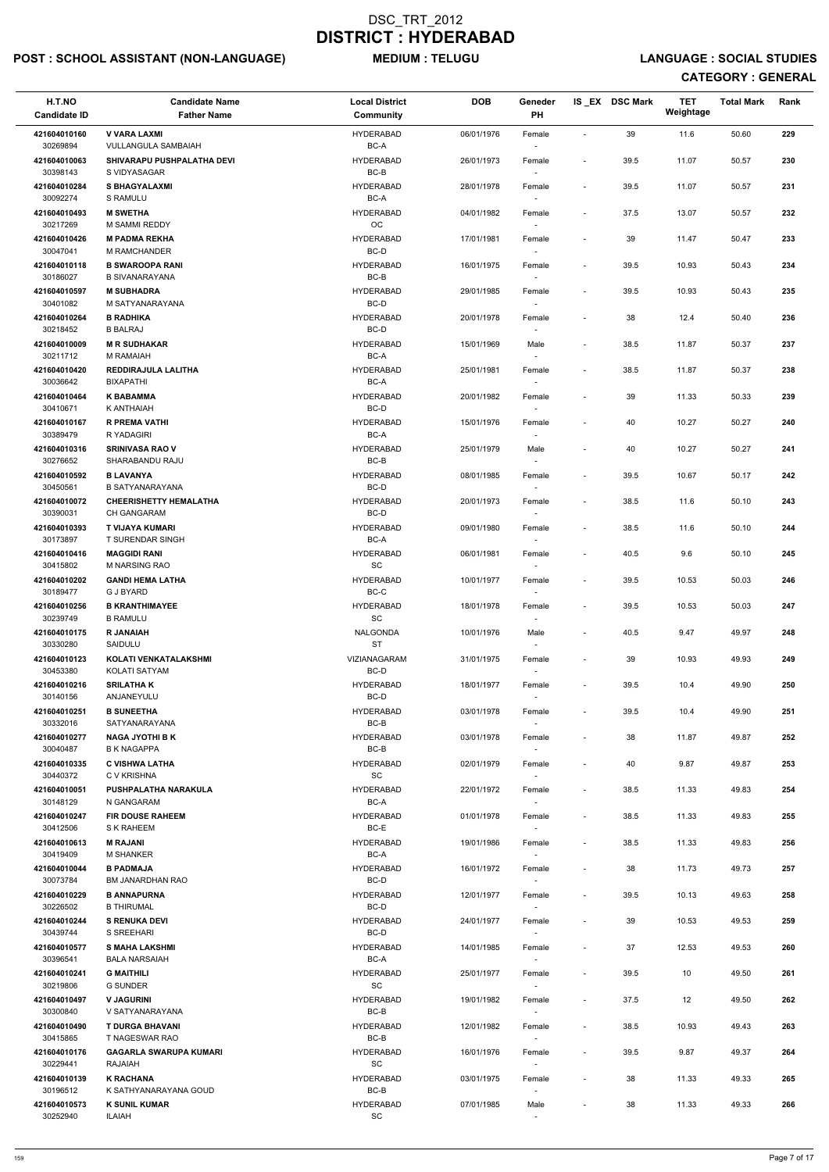# POST : SCHOOL ASSISTANT (NON-LANGUAGE) MEDIUM : TELUGU LANGUAGE : SOCIAL STUDIES

| H.T.NO<br><b>Candidate ID</b> | <b>Candidate Name</b><br><b>Father Name</b>             | <b>Local District</b><br>Community               | <b>DOB</b> | Geneder<br>PH                      |                          | IS_EX DSC Mark | <b>TET</b><br>Weightage | <b>Total Mark</b> | Rank |
|-------------------------------|---------------------------------------------------------|--------------------------------------------------|------------|------------------------------------|--------------------------|----------------|-------------------------|-------------------|------|
| 421604010160<br>30269894      | <b>V VARA LAXMI</b><br>VULLANGULA SAMBAIAH              | <b>HYDERABAD</b><br>BC-A                         | 06/01/1976 | Female                             | $\blacksquare$           | 39             | 11.6                    | 50.60             | 229  |
| 421604010063<br>30398143      | SHIVARAPU PUSHPALATHA DEVI<br>S VIDYASAGAR              | <b>HYDERABAD</b><br>$BC-B$                       | 26/01/1973 | Female                             | $\overline{\phantom{a}}$ | 39.5           | 11.07                   | 50.57             | 230  |
| 421604010284<br>30092274      | <b>S BHAGYALAXMI</b><br>S RAMULU                        | <b>HYDERABAD</b><br>BC-A                         | 28/01/1978 | Female                             | $\overline{\phantom{a}}$ | 39.5           | 11.07                   | 50.57             | 231  |
| 421604010493<br>30217269      | <b>M SWETHA</b><br>M SAMMI REDDY                        | <b>HYDERABAD</b><br><b>OC</b>                    | 04/01/1982 | Female                             | $\overline{\phantom{a}}$ | 37.5           | 13.07                   | 50.57             | 232  |
| 421604010426                  | <b>M PADMA REKHA</b>                                    | <b>HYDERABAD</b>                                 | 17/01/1981 | $\overline{\phantom{a}}$<br>Female | $\overline{\phantom{a}}$ | 39             | 11.47                   | 50.47             | 233  |
| 30047041                      | <b>M RAMCHANDER</b>                                     | BC-D<br><b>HYDERABAD</b>                         |            |                                    |                          |                |                         |                   | 234  |
| 421604010118<br>30186027      | <b>B SWAROOPA RANI</b><br><b>B SIVANARAYANA</b>         | BC-B                                             | 16/01/1975 | Female                             | $\overline{\phantom{a}}$ | 39.5           | 10.93                   | 50.43             |      |
| 421604010597<br>30401082      | <b>M SUBHADRA</b><br>M SATYANARAYANA                    | <b>HYDERABAD</b><br>BC-D                         | 29/01/1985 | Female                             | $\overline{\phantom{a}}$ | 39.5           | 10.93                   | 50.43             | 235  |
| 421604010264<br>30218452      | <b>B RADHIKA</b><br><b>B BALRAJ</b>                     | <b>HYDERABAD</b><br>BC-D                         | 20/01/1978 | Female                             | $\tilde{\phantom{a}}$    | 38             | 12.4                    | 50.40             | 236  |
| 421604010009                  | <b>M R SUDHAKAR</b>                                     | <b>HYDERABAD</b>                                 | 15/01/1969 | Male                               | $\overline{\phantom{a}}$ | 38.5           | 11.87                   | 50.37             | 237  |
| 30211712<br>421604010420      | M RAMAIAH<br>REDDIRAJULA LALITHA                        | BC-A<br><b>HYDERABAD</b>                         | 25/01/1981 | Female                             | $\blacksquare$           | 38.5           | 11.87                   | 50.37             | 238  |
| 30036642<br>421604010464      | <b>BIXAPATHI</b><br><b>K BABAMMA</b>                    | BC-A<br><b>HYDERABAD</b>                         | 20/01/1982 | Female                             | $\overline{\phantom{a}}$ | 39             | 11.33                   | 50.33             | 239  |
| 30410671                      | K ANTHAIAH                                              | BC-D                                             |            |                                    |                          |                |                         |                   |      |
| 421604010167<br>30389479      | <b>R PREMA VATHI</b><br>R YADAGIRI                      | <b>HYDERABAD</b><br>BC-A                         | 15/01/1976 | Female<br>$\overline{\phantom{a}}$ | $\overline{\phantom{a}}$ | 40             | 10.27                   | 50.27             | 240  |
| 421604010316<br>30276652      | <b>SRINIVASA RAO V</b><br>SHARABANDU RAJU               | <b>HYDERABAD</b><br>BC-B                         | 25/01/1979 | Male<br>$\overline{\phantom{a}}$   | $\overline{\phantom{a}}$ | 40             | 10.27                   | 50.27             | 241  |
| 421604010592                  | <b>B LAVANYA</b>                                        | <b>HYDERABAD</b>                                 | 08/01/1985 | Female                             | $\overline{\phantom{a}}$ | 39.5           | 10.67                   | 50.17             | 242  |
| 30450561<br>421604010072      | <b>B SATYANARAYANA</b><br><b>CHEERISHETTY HEMALATHA</b> | BC-D<br><b>HYDERABAD</b>                         | 20/01/1973 | Female                             | $\overline{\phantom{a}}$ | 38.5           | 11.6                    | 50.10             | 243  |
| 30390031                      | <b>CH GANGARAM</b>                                      | BC-D                                             |            |                                    |                          |                |                         |                   |      |
| 421604010393<br>30173897      | T VIJAYA KUMARI<br><b>T SURENDAR SINGH</b>              | <b>HYDERABAD</b><br>BC-A                         | 09/01/1980 | Female                             | $\overline{\phantom{a}}$ | 38.5           | 11.6                    | 50.10             | 244  |
| 421604010416<br>30415802      | <b>MAGGIDI RANI</b><br><b>M NARSING RAO</b>             | <b>HYDERABAD</b><br><b>SC</b>                    | 06/01/1981 | Female                             | $\overline{\phantom{a}}$ | 40.5           | 9.6                     | 50.10             | 245  |
| 421604010202<br>30189477      | <b>GANDI HEMA LATHA</b><br><b>G J BYARD</b>             | <b>HYDERABAD</b><br>BC-C                         | 10/01/1977 | Female                             | $\overline{\phantom{a}}$ | 39.5           | 10.53                   | 50.03             | 246  |
| 421604010256<br>30239749      | <b>B KRANTHIMAYEE</b><br><b>B RAMULU</b>                | <b>HYDERABAD</b><br>SC                           | 18/01/1978 | Female                             | $\overline{\phantom{a}}$ | 39.5           | 10.53                   | 50.03             | 247  |
| 421604010175<br>30330280      | <b>R JANAIAH</b><br>SAIDULU                             | NALGONDA<br><b>ST</b>                            | 10/01/1976 | Male<br>$\sim$                     | $\overline{\phantom{a}}$ | 40.5           | 9.47                    | 49.97             | 248  |
| 421604010123<br>30453380      | KOLATI VENKATALAKSHMI<br>KOLATI SATYAM                  | VIZIANAGARAM<br>BC-D                             | 31/01/1975 | Female                             | $\overline{\phantom{a}}$ | 39             | 10.93                   | 49.93             | 249  |
| 421604010216                  | <b>SRILATHAK</b>                                        | HYDERABAD                                        | 18/01/1977 | Female                             | $\overline{\phantom{a}}$ | 39.5           | 10.4                    | 49.90             | 250  |
| 30140156<br>421604010251      | ANJANEYULU<br><b>B SUNEETHA</b>                         | BC-D<br><b>HYDERABAD</b>                         | 03/01/1978 | Female                             | $\overline{\phantom{a}}$ | 39.5           | 10.4                    | 49.90             | 251  |
| 30332016                      | SATYANARAYANA                                           | BC-B                                             |            | $\sim$                             |                          |                |                         |                   |      |
| 421604010277<br>30040487      | <b>NAGA JYOTHI B K</b><br><b>B K NAGAPPA</b>            | HYDERABAD<br>BC-B                                | 03/01/1978 | Female<br>$\sim$                   | $\overline{\phantom{a}}$ | 38             | 11.87                   | 49.87             | 252  |
| 421604010335<br>30440372      | <b>C VISHWA LATHA</b><br>C V KRISHNA                    | <b>HYDERABAD</b><br><b>SC</b>                    | 02/01/1979 | Female<br>$\sim$                   | $\overline{\phantom{a}}$ | 40             | 9.87                    | 49.87             | 253  |
| 421604010051<br>30148129      | PUSHPALATHA NARAKULA<br>N GANGARAM                      | <b>HYDERABAD</b><br>BC-A                         | 22/01/1972 | Female                             | $\overline{\phantom{a}}$ | 38.5           | 11.33                   | 49.83             | 254  |
| 421604010247                  | <b>FIR DOUSE RAHEEM</b>                                 | <b>HYDERABAD</b><br>BC-E                         | 01/01/1978 | Female                             | $\overline{\phantom{a}}$ | 38.5           | 11.33                   | 49.83             | 255  |
| 30412506<br>421604010613      | S K RAHEEM<br><b>M RAJANI</b>                           | <b>HYDERABAD</b>                                 | 19/01/1986 | Female                             | $\overline{\phantom{a}}$ | 38.5           | 11.33                   | 49.83             | 256  |
| 30419409<br>421604010044      | <b>M SHANKER</b><br><b>B PADMAJA</b>                    | BC-A<br>HYDERABAD                                | 16/01/1972 | $\sim$<br>Female                   | $\overline{\phantom{a}}$ | 38             | 11.73                   | 49.73             | 257  |
| 30073784<br>421604010229      | <b>BM JANARDHAN RAO</b><br><b>B ANNAPURNA</b>           | BC-D<br>HYDERABAD                                | 12/01/1977 | $\sim$<br>Female                   | $\overline{\phantom{a}}$ | 39.5           | 10.13                   | 49.63             | 258  |
| 30226502                      | <b>B THIRUMAL</b>                                       | BC-D                                             |            |                                    |                          |                |                         |                   |      |
| 421604010244<br>30439744      | <b>S RENUKA DEVI</b><br>S SREEHARI                      | HYDERABAD<br>BC-D                                | 24/01/1977 | Female                             | $\overline{\phantom{a}}$ | 39             | 10.53                   | 49.53             | 259  |
| 421604010577                  | <b>S MAHA LAKSHMI</b>                                   | <b>HYDERABAD</b>                                 | 14/01/1985 | Female                             | $\overline{\phantom{a}}$ | 37             | 12.53                   | 49.53             | 260  |
| 30396541<br>421604010241      | <b>BALA NARSAIAH</b><br><b>G MAITHILI</b>               | BC-A<br><b>HYDERABAD</b>                         | 25/01/1977 | Female                             |                          | 39.5           | 10                      | 49.50             | 261  |
| 30219806<br>421604010497      | <b>G SUNDER</b><br><b>V JAGURINI</b>                    | $\operatorname{\textsf{SC}}$<br><b>HYDERABAD</b> | 19/01/1982 | Female                             | $\overline{\phantom{a}}$ | 37.5           | 12                      | 49.50             | 262  |
| 30300840                      | V SATYANARAYANA                                         | BC-B                                             |            |                                    |                          |                |                         |                   |      |
| 421604010490<br>30415865      | <b>T DURGA BHAVANI</b><br>T NAGESWAR RAO                | <b>HYDERABAD</b><br>BC-B                         | 12/01/1982 | Female<br>$\overline{\phantom{a}}$ | $\overline{\phantom{a}}$ | 38.5           | 10.93                   | 49.43             | 263  |
| 421604010176<br>30229441      | <b>GAGARLA SWARUPA KUMARI</b><br>RAJAIAH                | HYDERABAD<br>SC                                  | 16/01/1976 | Female<br>$\overline{\phantom{a}}$ | $\overline{\phantom{a}}$ | 39.5           | 9.87                    | 49.37             | 264  |
| 421604010139<br>30196512      | <b>K RACHANA</b><br>K SATHYANARAYANA GOUD               | HYDERABAD<br>BC-B                                | 03/01/1975 | Female                             | $\overline{\phantom{a}}$ | 38             | 11.33                   | 49.33             | 265  |
| 421604010573<br>30252940      | <b>K SUNIL KUMAR</b><br><b>ILAIAH</b>                   | <b>HYDERABAD</b><br>$\operatorname{\textsf{SC}}$ | 07/01/1985 | Male<br>$\sim$                     | $\overline{\phantom{a}}$ | 38             | 11.33                   | 49.33             | 266  |
|                               |                                                         |                                                  |            |                                    |                          |                |                         |                   |      |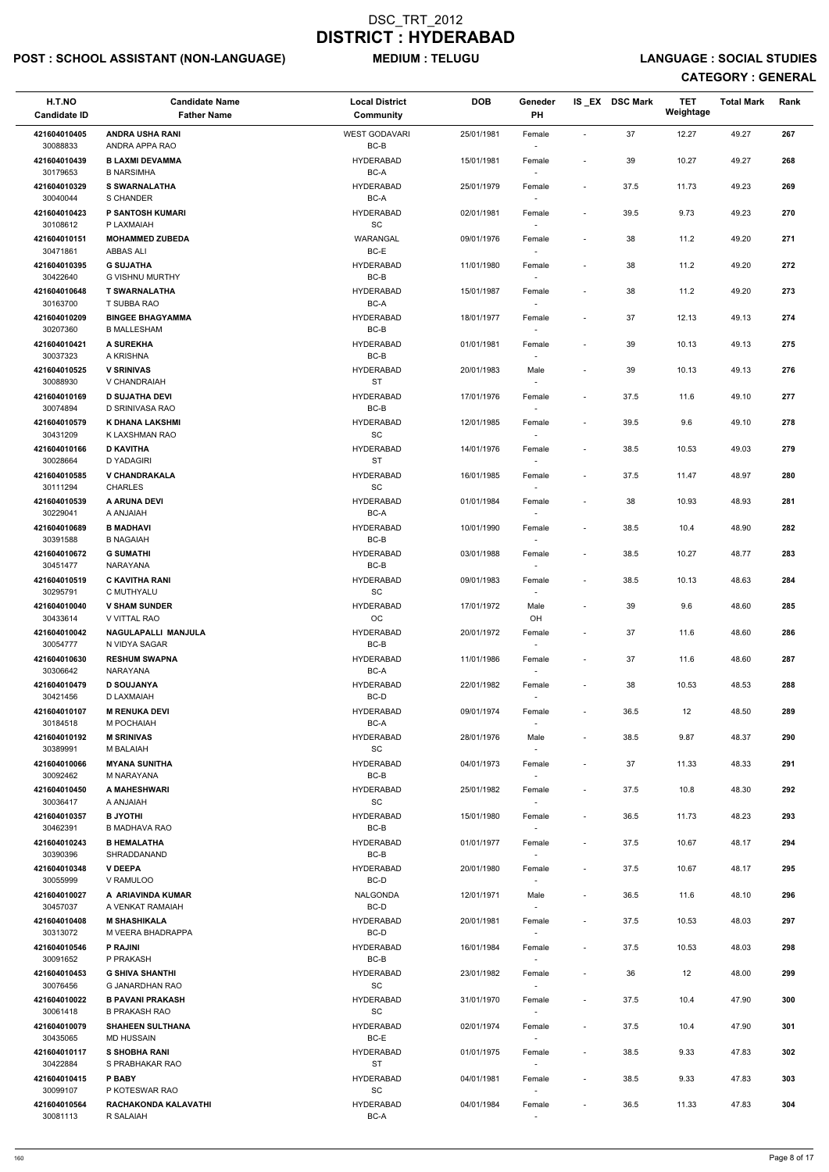# POST : SCHOOL ASSISTANT (NON-LANGUAGE) MEDIUM : TELUGU LANGUAGE : SOCIAL STUDIES

| H.T.NO<br><b>Candidate ID</b> | <b>Candidate Name</b><br><b>Father Name</b>     | <b>Local District</b><br><b>Community</b>        | <b>DOB</b> | Geneder<br>PH                      |                          | IS_EX DSC Mark | <b>TET</b><br>Weightage | <b>Total Mark</b> | Rank |
|-------------------------------|-------------------------------------------------|--------------------------------------------------|------------|------------------------------------|--------------------------|----------------|-------------------------|-------------------|------|
| 421604010405<br>30088833      | <b>ANDRA USHA RANI</b><br>ANDRA APPA RAO        | <b>WEST GODAVARI</b><br>BC-B                     | 25/01/1981 | Female                             | $\sim$                   | 37             | 12.27                   | 49.27             | 267  |
| 421604010439<br>30179653      | <b>B LAXMI DEVAMMA</b><br><b>B NARSIMHA</b>     | <b>HYDERABAD</b><br>BC-A                         | 15/01/1981 | Female                             | $\blacksquare$           | 39             | 10.27                   | 49.27             | 268  |
| 421604010329                  | <b>S SWARNALATHA</b>                            | <b>HYDERABAD</b>                                 | 25/01/1979 | Female                             | $\overline{\phantom{a}}$ | 37.5           | 11.73                   | 49.23             | 269  |
| 30040044<br>421604010423      | S CHANDER<br>P SANTOSH KUMARI                   | BC-A<br><b>HYDERABAD</b>                         | 02/01/1981 | $\sim$<br>Female                   | $\overline{\phantom{a}}$ | 39.5           | 9.73                    | 49.23             | 270  |
| 30108612<br>421604010151      | P LAXMAIAH<br><b>MOHAMMED ZUBEDA</b>            | SC<br>WARANGAL                                   | 09/01/1976 | $\sim$<br>Female                   | $\overline{\phantom{a}}$ | 38             | 11.2                    | 49.20             | 271  |
| 30471861                      | ABBAS ALI                                       | BC-E                                             |            | $\sim$                             |                          |                |                         |                   |      |
| 421604010395<br>30422640      | <b>G SUJATHA</b><br><b>G VISHNU MURTHY</b>      | <b>HYDERABAD</b><br>BC-B                         | 11/01/1980 | Female                             | $\overline{\phantom{a}}$ | 38             | 11.2                    | 49.20             | 272  |
| 421604010648<br>30163700      | <b>T SWARNALATHA</b><br>T SUBBA RAO             | <b>HYDERABAD</b><br>BC-A                         | 15/01/1987 | Female                             | $\overline{\phantom{a}}$ | 38             | 11.2                    | 49.20             | 273  |
| 421604010209<br>30207360      | <b>BINGEE BHAGYAMMA</b><br><b>B MALLESHAM</b>   | <b>HYDERABAD</b><br>BC-B                         | 18/01/1977 | Female<br>$\overline{\phantom{a}}$ |                          | 37             | 12.13                   | 49.13             | 274  |
| 421604010421                  | A SUREKHA                                       | <b>HYDERABAD</b>                                 | 01/01/1981 | Female                             | $\overline{\phantom{a}}$ | 39             | 10.13                   | 49.13             | 275  |
| 30037323<br>421604010525      | A KRISHNA<br><b>V SRINIVAS</b>                  | BC-B<br><b>HYDERABAD</b>                         | 20/01/1983 | $\sim$<br>Male                     | $\overline{\phantom{a}}$ | 39             | 10.13                   | 49.13             | 276  |
| 30088930<br>421604010169      | V CHANDRAIAH<br><b>D SUJATHA DEVI</b>           | <b>ST</b><br><b>HYDERABAD</b>                    | 17/01/1976 | Female                             | $\blacksquare$           | 37.5           | 11.6                    | 49.10             | 277  |
| 30074894<br>421604010579      | D SRINIVASA RAO<br><b>K DHANA LAKSHMI</b>       | BC-B<br><b>HYDERABAD</b>                         | 12/01/1985 |                                    | $\blacksquare$           | 39.5           | 9.6                     | 49.10             | 278  |
| 30431209                      | K LAXSHMAN RAO                                  | SC                                               |            | Female<br>$\sim$                   |                          |                |                         |                   |      |
| 421604010166<br>30028664      | <b>D KAVITHA</b><br><b>D YADAGIRI</b>           | <b>HYDERABAD</b><br><b>ST</b>                    | 14/01/1976 | Female<br>$\sim$                   | $\blacksquare$           | 38.5           | 10.53                   | 49.03             | 279  |
| 421604010585<br>30111294      | V CHANDRAKALA<br><b>CHARLES</b>                 | <b>HYDERABAD</b><br>$\operatorname{\textsf{SC}}$ | 16/01/1985 | Female<br>$\sim$                   | $\blacksquare$           | 37.5           | 11.47                   | 48.97             | 280  |
| 421604010539                  | A ARUNA DEVI                                    | <b>HYDERABAD</b>                                 | 01/01/1984 | Female                             | $\overline{\phantom{a}}$ | 38             | 10.93                   | 48.93             | 281  |
| 30229041<br>421604010689      | A ANJAIAH<br><b>B MADHAVI</b>                   | $BC-A$<br><b>HYDERABAD</b>                       | 10/01/1990 | Female                             | $\blacksquare$           | 38.5           | 10.4                    | 48.90             | 282  |
| 30391588<br>421604010672      | <b>B NAGAIAH</b><br><b>G SUMATHI</b>            | BC-B<br><b>HYDERABAD</b>                         | 03/01/1988 | $\overline{\phantom{a}}$<br>Female |                          | 38.5           | 10.27                   | 48.77             | 283  |
| 30451477<br>421604010519      | NARAYANA<br><b>C KAVITHA RANI</b>               | BC-B<br><b>HYDERABAD</b>                         | 09/01/1983 | Female                             | $\blacksquare$           | 38.5           | 10.13                   | 48.63             | 284  |
| 30295791                      | C MUTHYALU                                      | SC                                               |            |                                    |                          |                |                         |                   |      |
| 421604010040<br>30433614      | <b>V SHAM SUNDER</b><br>V VITTAL RAO            | <b>HYDERABAD</b><br>OC                           | 17/01/1972 | Male<br>OH                         |                          | 39             | 9.6                     | 48.60             | 285  |
| 421604010042<br>30054777      | NAGULAPALLI MANJULA<br>N VIDYA SAGAR            | <b>HYDERABAD</b><br>BC-B                         | 20/01/1972 | Female<br>$\sim$                   | $\blacksquare$           | 37             | 11.6                    | 48.60             | 286  |
| 421604010630<br>30306642      | <b>RESHUM SWAPNA</b><br><b>NARAYANA</b>         | <b>HYDERABAD</b><br>BC-A                         | 11/01/1986 | Female<br>$\sim$                   | $\overline{\phantom{a}}$ | 37             | 11.6                    | 48.60             | 287  |
| 421604010479                  | <b>D SOUJANYA</b>                               | <b>HYDERABAD</b>                                 | 22/01/1982 | Female                             | $\blacksquare$           | 38             | 10.53                   | 48.53             | 288  |
| 30421456<br>421604010107      | D LAXMAIAH<br><b>M RENUKA DEVI</b>              | BC-D<br><b>HYDERABAD</b>                         | 09/01/1974 | Female                             | $\overline{\phantom{a}}$ | 36.5           | 12                      | 48.50             | 289  |
| 30184518<br>421604010192      | M POCHAIAH<br><b>M SRINIVAS</b>                 | BC-A<br><b>HYDERABAD</b>                         | 28/01/1976 | Male                               | $\overline{\phantom{a}}$ | 38.5           | 9.87                    | 48.37             | 290  |
| 30389991<br>421604010066      | M BALAIAH<br><b>MYANA SUNITHA</b>               | SC<br><b>HYDERABAD</b>                           | 04/01/1973 | $\sim$<br>Female                   | $\overline{\phantom{a}}$ | 37             | 11.33                   | 48.33             | 291  |
| 30092462                      | M NARAYANA                                      | BC-B                                             |            | $\sim$                             |                          |                |                         |                   |      |
| 421604010450<br>30036417      | A MAHESHWARI<br>A ANJAIAH                       | <b>HYDERABAD</b><br>SC                           | 25/01/1982 | Female                             | $\overline{\phantom{a}}$ | 37.5           | 10.8                    | 48.30             | 292  |
| 421604010357<br>30462391      | <b>B JYOTHI</b><br><b>B MADHAVA RAO</b>         | <b>HYDERABAD</b><br>BC-B                         | 15/01/1980 | Female                             | $\blacksquare$           | 36.5           | 11.73                   | 48.23             | 293  |
| 421604010243<br>30390396      | <b>B HEMALATHA</b><br>SHRADDANAND               | <b>HYDERABAD</b><br>BC-B                         | 01/01/1977 | Female<br>$\sim$                   | $\overline{\phantom{a}}$ | 37.5           | 10.67                   | 48.17             | 294  |
| 421604010348                  | <b>V DEEPA</b>                                  | <b>HYDERABAD</b>                                 | 20/01/1980 | Female                             | $\blacksquare$           | 37.5           | 10.67                   | 48.17             | 295  |
| 30055999<br>421604010027      | V RAMULOO<br>A ARIAVINDA KUMAR                  | BC-D<br><b>NALGONDA</b>                          | 12/01/1971 | $\overline{\phantom{a}}$<br>Male   | $\blacksquare$           | 36.5           | 11.6                    | 48.10             | 296  |
| 30457037<br>421604010408      | A VENKAT RAMAIAH<br><b>M SHASHIKALA</b>         | BC-D<br><b>HYDERABAD</b>                         | 20/01/1981 | $\sim$<br>Female                   | $\blacksquare$           | 37.5           | 10.53                   | 48.03             | 297  |
| 30313072                      | M VEERA BHADRAPPA                               | BC-D<br><b>HYDERABAD</b>                         |            |                                    |                          |                |                         |                   |      |
| 421604010546<br>30091652      | P RAJINI<br>P PRAKASH                           | BC-B                                             | 16/01/1984 | Female                             | $\blacksquare$           | 37.5           | 10.53                   | 48.03             | 298  |
| 421604010453<br>30076456      | <b>G SHIVA SHANTHI</b><br>G JANARDHAN RAO       | <b>HYDERABAD</b><br>$\operatorname{\textsf{SC}}$ | 23/01/1982 | Female<br>$\sim$                   |                          | 36             | 12                      | 48.00             | 299  |
| 421604010022<br>30061418      | <b>B PAVANI PRAKASH</b><br><b>B PRAKASH RAO</b> | <b>HYDERABAD</b><br>SC                           | 31/01/1970 | Female                             | $\overline{\phantom{a}}$ | 37.5           | 10.4                    | 47.90             | 300  |
| 421604010079<br>30435065      | <b>SHAHEEN SULTHANA</b><br>MD HUSSAIN           | <b>HYDERABAD</b><br>BC-E                         | 02/01/1974 | Female<br>$\sim$                   | $\overline{\phantom{a}}$ | 37.5           | 10.4                    | 47.90             | 301  |
| 421604010117                  | <b>S SHOBHA RANI</b>                            | <b>HYDERABAD</b>                                 | 01/01/1975 | Female                             | $\overline{\phantom{a}}$ | 38.5           | 9.33                    | 47.83             | 302  |
| 30422884<br>421604010415      | S PRABHAKAR RAO<br><b>P BABY</b>                | ST<br><b>HYDERABAD</b>                           | 04/01/1981 | $\sim$<br>Female                   | $\overline{\phantom{a}}$ | 38.5           | 9.33                    | 47.83             | 303  |
| 30099107<br>421604010564      | P KOTESWAR RAO<br>RACHAKONDA KALAVATHI          | $\operatorname{\textsf{SC}}$<br><b>HYDERABAD</b> | 04/01/1984 | $\sim$<br>Female                   | $\overline{\phantom{a}}$ | 36.5           | 11.33                   | 47.83             | 304  |
| 30081113                      | R SALAIAH                                       | $BC-A$                                           |            |                                    |                          |                |                         |                   |      |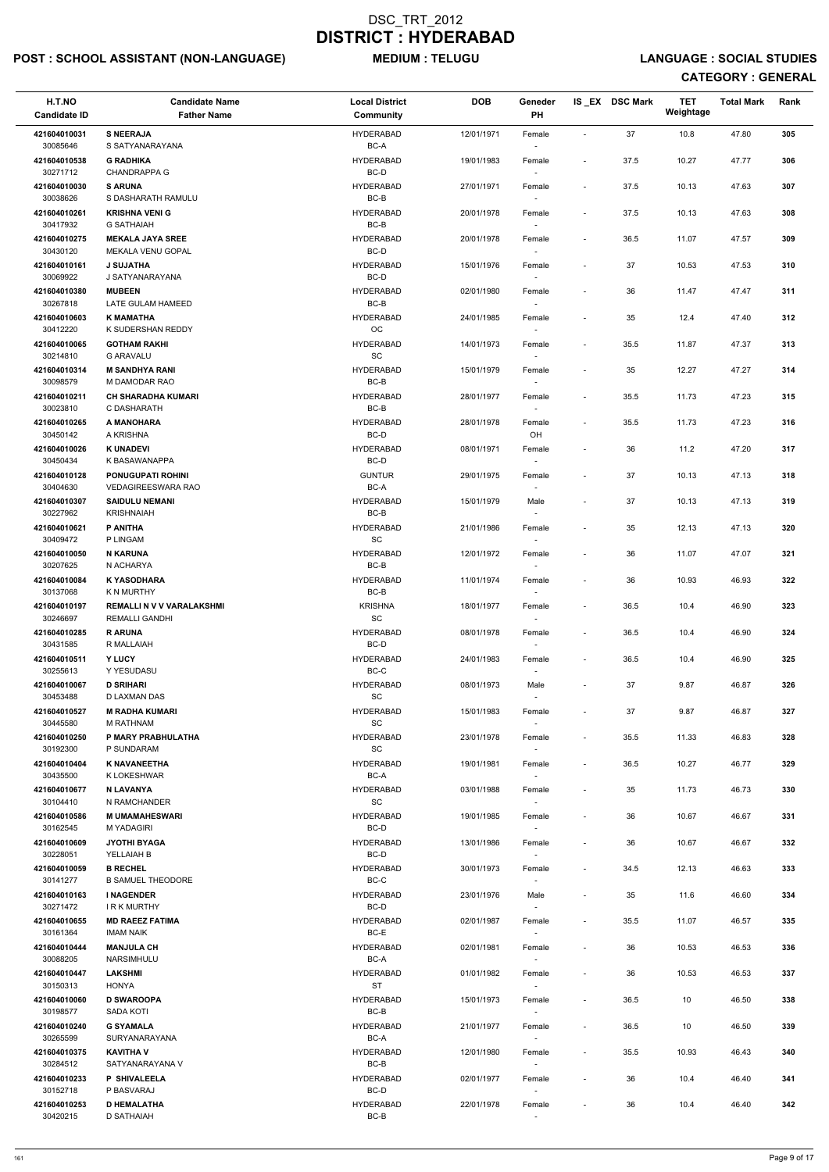# POST : SCHOOL ASSISTANT (NON-LANGUAGE) MEDIUM : TELUGU LANGUAGE : SOCIAL STUDIES

| H.T.NO<br><b>Candidate ID</b> | <b>Candidate Name</b><br><b>Father Name</b>               | <b>Local District</b><br><b>Community</b> | <b>DOB</b> | Geneder<br><b>PH</b>               |                          | IS EX DSC Mark | <b>TET</b><br>Weightage | <b>Total Mark</b> | Rank |
|-------------------------------|-----------------------------------------------------------|-------------------------------------------|------------|------------------------------------|--------------------------|----------------|-------------------------|-------------------|------|
| 421604010031                  | <b>S NEERAJA</b>                                          | <b>HYDERABAD</b>                          | 12/01/1971 | Female                             | $\overline{\phantom{a}}$ | 37             | 10.8                    | 47.80             | 305  |
| 30085646<br>421604010538      | S SATYANARAYANA<br><b>G RADHIKA</b>                       | BC-A<br><b>HYDERABAD</b>                  | 19/01/1983 | Female                             | $\overline{\phantom{a}}$ | 37.5           | 10.27                   | 47.77             | 306  |
| 30271712<br>421604010030      | <b>CHANDRAPPA G</b><br><b>S ARUNA</b>                     | BC-D<br><b>HYDERABAD</b>                  | 27/01/1971 | Female                             | $\overline{\phantom{a}}$ | 37.5           | 10.13                   | 47.63             | 307  |
| 30038626<br>421604010261      | S DASHARATH RAMULU<br><b>KRISHNA VENI G</b>               | $BC-B$<br><b>HYDERABAD</b>                | 20/01/1978 | Female                             | $\overline{\phantom{a}}$ | 37.5           | 10.13                   | 47.63             | 308  |
| 30417932<br>421604010275      | <b>G SATHAIAH</b><br><b>MEKALA JAYA SREE</b>              | BC-B<br><b>HYDERABAD</b>                  | 20/01/1978 | $\sim$<br>Female                   | $\overline{\phantom{a}}$ | 36.5           | 11.07                   | 47.57             | 309  |
| 30430120<br>421604010161      | MEKALA VENU GOPAL<br><b>J SUJATHA</b>                     | BC-D<br><b>HYDERABAD</b>                  | 15/01/1976 | $\sim$<br>Female                   | $\overline{\phantom{a}}$ | 37             | 10.53                   | 47.53             | 310  |
| 30069922                      | J SATYANARAYANA                                           | BC-D                                      |            | $\overline{\phantom{a}}$           |                          |                |                         |                   |      |
| 421604010380<br>30267818      | <b>MUBEEN</b><br>LATE GULAM HAMEED                        | <b>HYDERABAD</b><br>$BC-B$                | 02/01/1980 | Female                             | $\overline{\phantom{a}}$ | 36             | 11.47                   | 47.47             | 311  |
| 421604010603<br>30412220      | <b>K MAMATHA</b><br>K SUDERSHAN REDDY                     | <b>HYDERABAD</b><br>OC                    | 24/01/1985 | Female<br>$\sim$                   | $\overline{\phantom{a}}$ | 35             | 12.4                    | 47.40             | 312  |
| 421604010065<br>30214810      | <b>GOTHAM RAKHI</b><br><b>G ARAVALU</b>                   | <b>HYDERABAD</b><br>SC                    | 14/01/1973 | Female<br>$\sim$                   | $\overline{\phantom{a}}$ | 35.5           | 11.87                   | 47.37             | 313  |
| 421604010314<br>30098579      | <b>M SANDHYA RANI</b><br>M DAMODAR RAO                    | <b>HYDERABAD</b><br>BC-B                  | 15/01/1979 | Female<br>$\sim$                   | $\overline{\phantom{a}}$ | 35             | 12.27                   | 47.27             | 314  |
| 421604010211<br>30023810      | <b>CH SHARADHA KUMARI</b><br>C DASHARATH                  | <b>HYDERABAD</b><br>BC-B                  | 28/01/1977 | Female                             | $\overline{\phantom{a}}$ | 35.5           | 11.73                   | 47.23             | 315  |
| 421604010265                  | A MANOHARA                                                | <b>HYDERABAD</b>                          | 28/01/1978 | Female                             | $\overline{\phantom{a}}$ | 35.5           | 11.73                   | 47.23             | 316  |
| 30450142<br>421604010026      | A KRISHNA<br><b>K UNADEVI</b>                             | BC-D<br><b>HYDERABAD</b>                  | 08/01/1971 | OH<br>Female                       |                          | 36             | 11.2                    | 47.20             | 317  |
| 30450434<br>421604010128      | K BASAWANAPPA<br><b>PONUGUPATI ROHINI</b>                 | BC-D<br><b>GUNTUR</b>                     | 29/01/1975 | $\sim$<br>Female                   | $\overline{\phantom{a}}$ | 37             | 10.13                   | 47.13             | 318  |
| 30404630                      | <b>VEDAGIREESWARA RAO</b>                                 | BC-A                                      |            | $\overline{\phantom{a}}$           |                          |                |                         |                   |      |
| 421604010307<br>30227962      | <b>SAIDULU NEMANI</b><br><b>KRISHNAIAH</b>                | <b>HYDERABAD</b><br>BC-B                  | 15/01/1979 | Male                               | $\overline{\phantom{a}}$ | 37             | 10.13                   | 47.13             | 319  |
| 421604010621<br>30409472      | P ANITHA<br>P LINGAM                                      | <b>HYDERABAD</b><br>SC.                   | 21/01/1986 | Female<br>$\overline{\phantom{a}}$ | $\overline{\phantom{a}}$ | 35             | 12.13                   | 47.13             | 320  |
| 421604010050<br>30207625      | <b>N KARUNA</b><br>N ACHARYA                              | <b>HYDERABAD</b><br>BC-B                  | 12/01/1972 | Female<br>$\sim$                   | $\overline{\phantom{a}}$ | 36             | 11.07                   | 47.07             | 321  |
| 421604010084<br>30137068      | <b>K YASODHARA</b><br>K N MURTHY                          | <b>HYDERABAD</b><br>BC-B                  | 11/01/1974 | Female                             |                          | 36             | 10.93                   | 46.93             | 322  |
| 421604010197<br>30246697      | <b>REMALLI N V V VARALAKSHMI</b><br><b>REMALLI GANDHI</b> | KRISHNA<br>SC                             | 18/01/1977 | Female<br>$\overline{\phantom{a}}$ | $\overline{\phantom{a}}$ | 36.5           | 10.4                    | 46.90             | 323  |
| 421604010285<br>30431585      | <b>RARUNA</b><br>R MALLAIAH                               | <b>HYDERABAD</b><br>BC-D                  | 08/01/1978 | Female<br>$\overline{\phantom{a}}$ | $\overline{\phantom{a}}$ | 36.5           | 10.4                    | 46.90             | 324  |
| 421604010511<br>30255613      | Y LUCY<br>Y YESUDASU                                      | <b>HYDERABAD</b><br>BC-C                  | 24/01/1983 | Female                             | $\overline{\phantom{a}}$ | 36.5           | 10.4                    | 46.90             | 325  |
| 421604010067                  | <b>D SRIHARI</b>                                          | <b>HYDERABAD</b>                          | 08/01/1973 | $\sim$<br>Male                     | $\overline{\phantom{a}}$ | 37             | 9.87                    | 46.87             | 326  |
| 30453488<br>421604010527      | D LAXMAN DAS<br><b>M RADHA KUMARI</b>                     | SC<br><b>HYDERABAD</b>                    | 15/01/1983 | $\sim$<br>Female                   | $\overline{\phantom{a}}$ | 37             | 9.87                    | 46.87             | 327  |
| 30445580<br>421604010250      | M RATHNAM<br>P MARY PRABHULATHA                           | SC<br><b>HYDERABAD</b>                    | 23/01/1978 | Female                             | $\overline{\phantom{a}}$ | 35.5           | 11.33                   | 46.83             | 328  |
| 30192300<br>421604010404      | P SUNDARAM<br><b>K NAVANEETHA</b>                         | <b>SC</b><br><b>HYDERABAD</b>             | 19/01/1981 | $\sim$<br>Female                   | $\overline{\phantom{a}}$ | 36.5           | 10.27                   | 46.77             | 329  |
| 30435500                      | K LOKESHWAR                                               | BC-A                                      |            | $\sim$                             |                          |                |                         |                   |      |
| 421604010677<br>30104410      | <b>N LAVANYA</b><br>N RAMCHANDER                          | <b>HYDERABAD</b><br>SC                    | 03/01/1988 | Female<br>$\sim$                   | $\overline{\phantom{a}}$ | 35             | 11.73                   | 46.73             | 330  |
| 421604010586<br>30162545      | <b>M UMAMAHESWARI</b><br><b>M YADAGIRI</b>                | <b>HYDERABAD</b><br>BC-D                  | 19/01/1985 | Female                             |                          | 36             | 10.67                   | 46.67             | 331  |
| 421604010609<br>30228051      | <b>JYOTHI BYAGA</b><br>YELLAIAH B                         | <b>HYDERABAD</b><br>BC-D                  | 13/01/1986 | Female<br>$\overline{\phantom{a}}$ | $\overline{\phantom{a}}$ | 36             | 10.67                   | 46.67             | 332  |
| 421604010059<br>30141277      | <b>B RECHEL</b><br><b>B SAMUEL THEODORE</b>               | <b>HYDERABAD</b><br>BC-C                  | 30/01/1973 | Female<br>$\overline{\phantom{a}}$ | $\blacksquare$           | 34.5           | 12.13                   | 46.63             | 333  |
| 421604010163                  | <b>I NAGENDER</b>                                         | <b>HYDERABAD</b>                          | 23/01/1976 | Male                               | $\overline{\phantom{a}}$ | 35             | 11.6                    | 46.60             | 334  |
| 30271472<br>421604010655      | <b>IRK MURTHY</b><br><b>MD RAEEZ FATIMA</b>               | BC-D<br><b>HYDERABAD</b>                  | 02/01/1987 | $\sim$<br>Female                   | $\overline{\phantom{a}}$ | 35.5           | 11.07                   | 46.57             | 335  |
| 30161364<br>421604010444      | <b>IMAM NAIK</b><br><b>MANJULA CH</b>                     | BC-E<br><b>HYDERABAD</b>                  | 02/01/1981 | Female                             | $\overline{\phantom{a}}$ | 36             | 10.53                   | 46.53             | 336  |
| 30088205                      | NARSIMHULU                                                | BC-A                                      |            |                                    |                          |                |                         |                   |      |
| 421604010447<br>30150313      | <b>LAKSHMI</b><br><b>HONYA</b>                            | <b>HYDERABAD</b><br><b>ST</b>             | 01/01/1982 | Female<br>$\sim$                   | $\overline{\phantom{a}}$ | 36             | 10.53                   | 46.53             | 337  |
| 421604010060<br>30198577      | <b>D SWAROOPA</b><br><b>SADA KOTI</b>                     | <b>HYDERABAD</b><br>BC-B                  | 15/01/1973 | Female<br>$\overline{\phantom{a}}$ | $\overline{\phantom{a}}$ | 36.5           | 10                      | 46.50             | 338  |
| 421604010240<br>30265599      | <b>G SYAMALA</b><br>SURYANARAYANA                         | <b>HYDERABAD</b><br>BC-A                  | 21/01/1977 | Female<br>$\sim$                   | $\overline{\phantom{a}}$ | 36.5           | 10                      | 46.50             | 339  |
| 421604010375<br>30284512      | <b>KAVITHA V</b><br>SATYANARAYANA V                       | <b>HYDERABAD</b><br>BC-B                  | 12/01/1980 | Female                             | $\overline{\phantom{a}}$ | 35.5           | 10.93                   | 46.43             | 340  |
| 421604010233                  | P SHIVALEELA                                              | <b>HYDERABAD</b>                          | 02/01/1977 | $\sim$<br>Female                   | $\overline{\phantom{a}}$ | 36             | 10.4                    | 46.40             | 341  |
| 30152718<br>421604010253      | P BASVARAJ<br><b>D HEMALATHA</b>                          | BC-D<br><b>HYDERABAD</b>                  | 22/01/1978 | $\sim$<br>Female                   |                          | 36             | 10.4                    | 46.40             | 342  |
| 30420215                      | <b>D SATHAIAH</b>                                         | BC-B                                      |            |                                    |                          |                |                         |                   |      |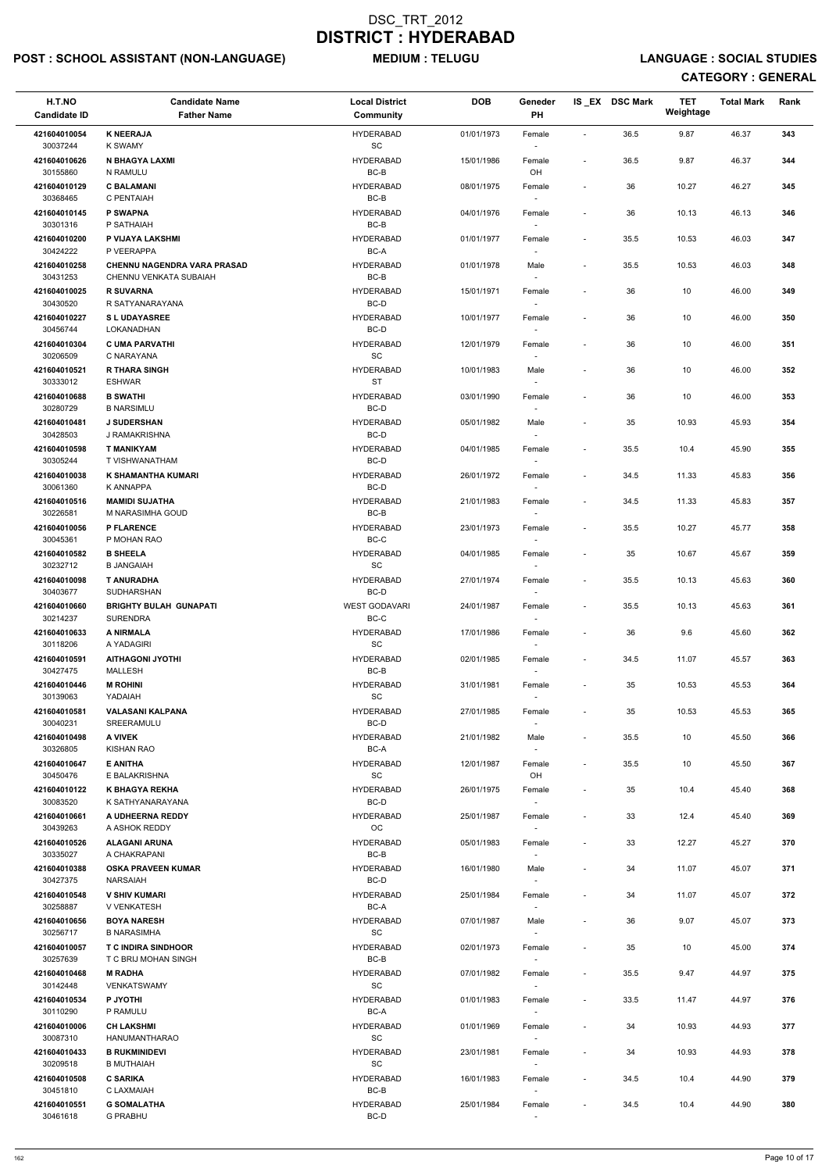# POST : SCHOOL ASSISTANT (NON-LANGUAGE) MEDIUM : TELUGU LANGUAGE : SOCIAL STUDIES

| H.T.NO<br><b>Candidate ID</b> | <b>Candidate Name</b><br><b>Father Name</b>                  | <b>Local District</b><br><b>Community</b> | <b>DOB</b> | Geneder<br>PH                      |                          | IS EX DSC Mark | TET<br>Weightage | <b>Total Mark</b> | Rank |
|-------------------------------|--------------------------------------------------------------|-------------------------------------------|------------|------------------------------------|--------------------------|----------------|------------------|-------------------|------|
| 421604010054<br>30037244      | <b>K NEERAJA</b><br><b>K SWAMY</b>                           | <b>HYDERABAD</b><br>SC                    | 01/01/1973 | Female                             | $\overline{\phantom{a}}$ | 36.5           | 9.87             | 46.37             | 343  |
| 421604010626<br>30155860      | N BHAGYA LAXMI<br>N RAMULU                                   | <b>HYDERABAD</b><br>$BC-B$                | 15/01/1986 | Female<br>OH                       | $\overline{\phantom{a}}$ | 36.5           | 9.87             | 46.37             | 344  |
| 421604010129<br>30368465      | <b>C BALAMANI</b><br>C PENTAIAH                              | <b>HYDERABAD</b><br>BC-B                  | 08/01/1975 | Female                             | $\blacksquare$           | 36             | 10.27            | 46.27             | 345  |
| 421604010145                  | P SWAPNA                                                     | <b>HYDERABAD</b>                          | 04/01/1976 | $\overline{\phantom{a}}$<br>Female | $\overline{\phantom{a}}$ | 36             | 10.13            | 46.13             | 346  |
| 30301316<br>421604010200      | P SATHAIAH<br>P VIJAYA LAKSHMI                               | BC-B<br><b>HYDERABAD</b>                  | 01/01/1977 | $\overline{\phantom{a}}$<br>Female | $\overline{\phantom{a}}$ | 35.5           | 10.53            | 46.03             | 347  |
| 30424222                      | P VEERAPPA                                                   | BC-A<br><b>HYDERABAD</b>                  |            |                                    |                          |                |                  |                   | 348  |
| 421604010258<br>30431253      | <b>CHENNU NAGENDRA VARA PRASAD</b><br>CHENNU VENKATA SUBAIAH | BC-B                                      | 01/01/1978 | Male                               | $\overline{\phantom{a}}$ | 35.5           | 10.53            | 46.03             |      |
| 421604010025<br>30430520      | <b>R SUVARNA</b><br>R SATYANARAYANA                          | <b>HYDERABAD</b><br>BC-D                  | 15/01/1971 | Female<br>$\overline{\phantom{a}}$ | $\overline{\phantom{a}}$ | 36             | $10\,$           | 46.00             | 349  |
| 421604010227<br>30456744      | <b>SL UDAYASREE</b><br>LOKANADHAN                            | <b>HYDERABAD</b><br>BC-D                  | 10/01/1977 | Female                             | $\overline{\phantom{a}}$ | 36             | 10               | 46.00             | 350  |
| 421604010304<br>30206509      | <b>C UMA PARVATHI</b><br>C NARAYANA                          | <b>HYDERABAD</b><br><b>SC</b>             | 12/01/1979 | Female                             | $\overline{\phantom{a}}$ | 36             | 10               | 46.00             | 351  |
| 421604010521                  | <b>R THARA SINGH</b>                                         | <b>HYDERABAD</b>                          | 10/01/1983 | Male                               | $\blacksquare$           | 36             | 10               | 46.00             | 352  |
| 30333012<br>421604010688      | <b>ESHWAR</b><br><b>B SWATHI</b>                             | <b>ST</b><br><b>HYDERABAD</b>             | 03/01/1990 | Female                             | $\overline{\phantom{a}}$ | 36             | 10               | 46.00             | 353  |
| 30280729<br>421604010481      | <b>B NARSIMLU</b><br><b>J SUDERSHAN</b>                      | BC-D<br><b>HYDERABAD</b>                  | 05/01/1982 | Male                               | $\overline{\phantom{a}}$ | 35             | 10.93            | 45.93             | 354  |
| 30428503                      | J RAMAKRISHNA                                                | BC-D                                      |            | $\overline{\phantom{a}}$           |                          |                |                  |                   |      |
| 421604010598<br>30305244      | <b>T MANIKYAM</b><br>T VISHWANATHAM                          | <b>HYDERABAD</b><br>BC-D                  | 04/01/1985 | Female                             | $\overline{\phantom{a}}$ | 35.5           | 10.4             | 45.90             | 355  |
| 421604010038                  | K SHAMANTHA KUMARI                                           | <b>HYDERABAD</b>                          | 26/01/1972 | Female                             | $\overline{\phantom{a}}$ | 34.5           | 11.33            | 45.83             | 356  |
| 30061360<br>421604010516      | <b>K ANNAPPA</b><br><b>MAMIDI SUJATHA</b>                    | BC-D<br><b>HYDERABAD</b>                  | 21/01/1983 | Female                             | $\overline{\phantom{a}}$ | 34.5           | 11.33            | 45.83             | 357  |
| 30226581<br>421604010056      | M NARASIMHA GOUD<br><b>P FLARENCE</b>                        | BC-B<br><b>HYDERABAD</b>                  | 23/01/1973 | Female                             | $\blacksquare$           | 35.5           | 10.27            | 45.77             | 358  |
| 30045361<br>421604010582      | P MOHAN RAO<br><b>B SHEELA</b>                               | BC-C<br><b>HYDERABAD</b>                  | 04/01/1985 | $\overline{\phantom{a}}$<br>Female | $\overline{a}$           | 35             | 10.67            | 45.67             | 359  |
| 30232712                      | <b>B JANGAIAH</b>                                            | SC                                        |            |                                    |                          |                |                  |                   |      |
| 421604010098<br>30403677      | <b>T ANURADHA</b><br><b>SUDHARSHAN</b>                       | <b>HYDERABAD</b><br>BC-D                  | 27/01/1974 | Female                             | $\overline{\phantom{a}}$ | 35.5           | 10.13            | 45.63             | 360  |
| 421604010660<br>30214237      | <b>BRIGHTY BULAH GUNAPATI</b><br><b>SURENDRA</b>             | <b>WEST GODAVARI</b><br>BC-C              | 24/01/1987 | Female                             | $\overline{\phantom{a}}$ | 35.5           | 10.13            | 45.63             | 361  |
| 421604010633<br>30118206      | A NIRMALA<br>A YADAGIRI                                      | <b>HYDERABAD</b><br><b>SC</b>             | 17/01/1986 | Female<br>$\sim$                   | $\overline{\phantom{a}}$ | 36             | 9.6              | 45.60             | 362  |
| 421604010591<br>30427475      | <b>AITHAGONI JYOTHI</b><br><b>MALLESH</b>                    | <b>HYDERABAD</b><br>BC-B                  | 02/01/1985 | Female<br>$\overline{\phantom{a}}$ | $\overline{\phantom{a}}$ | 34.5           | 11.07            | 45.57             | 363  |
| 421604010446<br>30139063      | <b>M ROHINI</b><br>YADAIAH                                   | <b>HYDERABAD</b><br><b>SC</b>             | 31/01/1981 | Female                             | $\overline{\phantom{a}}$ | 35             | 10.53            | 45.53             | 364  |
| 421604010581                  | <b>VALASANI KALPANA</b>                                      | <b>HYDERABAD</b>                          | 27/01/1985 | Female                             | $\overline{\phantom{a}}$ | 35             | 10.53            | 45.53             | 365  |
| 30040231<br>421604010498      | SREERAMULU<br>A VIVEK                                        | BC-D<br><b>HYDERABAD</b>                  | 21/01/1982 | Male                               | $\overline{\phantom{a}}$ | 35.5           | 10               | 45.50             | 366  |
| 30326805<br>421604010647      | <b>KISHAN RAO</b><br><b>E ANITHA</b>                         | BC-A<br><b>HYDERABAD</b>                  | 12/01/1987 | Female                             | $\overline{\phantom{a}}$ | 35.5           | 10               | 45.50             | 367  |
| 30450476                      | E BALAKRISHNA                                                | SC                                        |            | OH                                 |                          |                |                  |                   |      |
| 421604010122<br>30083520      | <b>K BHAGYA REKHA</b><br>K SATHYANARAYANA                    | <b>HYDERABAD</b><br>BC-D                  | 26/01/1975 | Female                             | $\overline{\phantom{a}}$ | 35             | 10.4             | 45.40             | 368  |
| 421604010661<br>30439263      | A UDHEERNA REDDY<br>A ASHOK REDDY                            | <b>HYDERABAD</b><br><b>OC</b>             | 25/01/1987 | Female                             | $\overline{\phantom{a}}$ | 33             | 12.4             | 45.40             | 369  |
| 421604010526<br>30335027      | <b>ALAGANI ARUNA</b><br>A CHAKRAPANI                         | <b>HYDERABAD</b><br>BC-B                  | 05/01/1983 | Female<br>$\overline{\phantom{a}}$ | $\overline{\phantom{a}}$ | 33             | 12.27            | 45.27             | 370  |
| 421604010388<br>30427375      | <b>OSKA PRAVEEN KUMAR</b><br><b>NARSAIAH</b>                 | <b>HYDERABAD</b><br>BC-D                  | 16/01/1980 | Male                               | $\overline{\phantom{a}}$ | 34             | 11.07            | 45.07             | 371  |
| 421604010548                  | <b>V SHIV KUMARI</b>                                         | <b>HYDERABAD</b>                          | 25/01/1984 | $\overline{\phantom{a}}$<br>Female | $\overline{\phantom{a}}$ | 34             | 11.07            | 45.07             | 372  |
| 30258887<br>421604010656      | <b>V VENKATESH</b><br><b>BOYA NARESH</b>                     | BC-A<br><b>HYDERABAD</b>                  | 07/01/1987 | Male                               | $\overline{\phantom{a}}$ | 36             | 9.07             | 45.07             | 373  |
| 30256717                      | <b>B NARASIMHA</b>                                           | <b>SC</b><br><b>HYDERABAD</b>             |            |                                    |                          |                |                  |                   |      |
| 421604010057<br>30257639      | <b>T C INDIRA SINDHOOR</b><br>T C BRIJ MOHAN SINGH           | BC-B                                      | 02/01/1973 | Female                             | $\overline{\phantom{a}}$ | 35             | 10               | 45.00             | 374  |
| 421604010468<br>30142448      | <b>M RADHA</b><br><b>VENKATSWAMY</b>                         | <b>HYDERABAD</b><br>SC                    | 07/01/1982 | Female<br>$\overline{\phantom{a}}$ |                          | 35.5           | 9.47             | 44.97             | 375  |
| 421604010534<br>30110290      | P JYOTHI<br>P RAMULU                                         | <b>HYDERABAD</b><br>BC-A                  | 01/01/1983 | Female<br>$\sim$                   | $\overline{\phantom{a}}$ | 33.5           | 11.47            | 44.97             | 376  |
| 421604010006                  | <b>CH LAKSHMI</b>                                            | <b>HYDERABAD</b>                          | 01/01/1969 | Female                             | $\overline{\phantom{a}}$ | 34             | 10.93            | 44.93             | 377  |
| 30087310<br>421604010433      | HANUMANTHARAO<br><b>B RUKMINIDEVI</b>                        | SC<br><b>HYDERABAD</b>                    | 23/01/1981 | $\sim$<br>Female                   | $\overline{\phantom{a}}$ | 34             | 10.93            | 44.93             | 378  |
| 30209518<br>421604010508      | <b>B MUTHAIAH</b><br><b>C SARIKA</b>                         | SC<br><b>HYDERABAD</b>                    | 16/01/1983 | $\overline{\phantom{a}}$<br>Female | $\overline{\phantom{a}}$ | 34.5           | 10.4             | 44.90             | 379  |
| 30451810                      | C LAXMAIAH                                                   | BC-B                                      |            | $\overline{\phantom{a}}$           |                          |                |                  |                   |      |
| 421604010551<br>30461618      | <b>G SOMALATHA</b><br><b>G PRABHU</b>                        | <b>HYDERABAD</b><br>BC-D                  | 25/01/1984 | Female<br>$\sim$                   | $\overline{\phantom{a}}$ | 34.5           | 10.4             | 44.90             | 380  |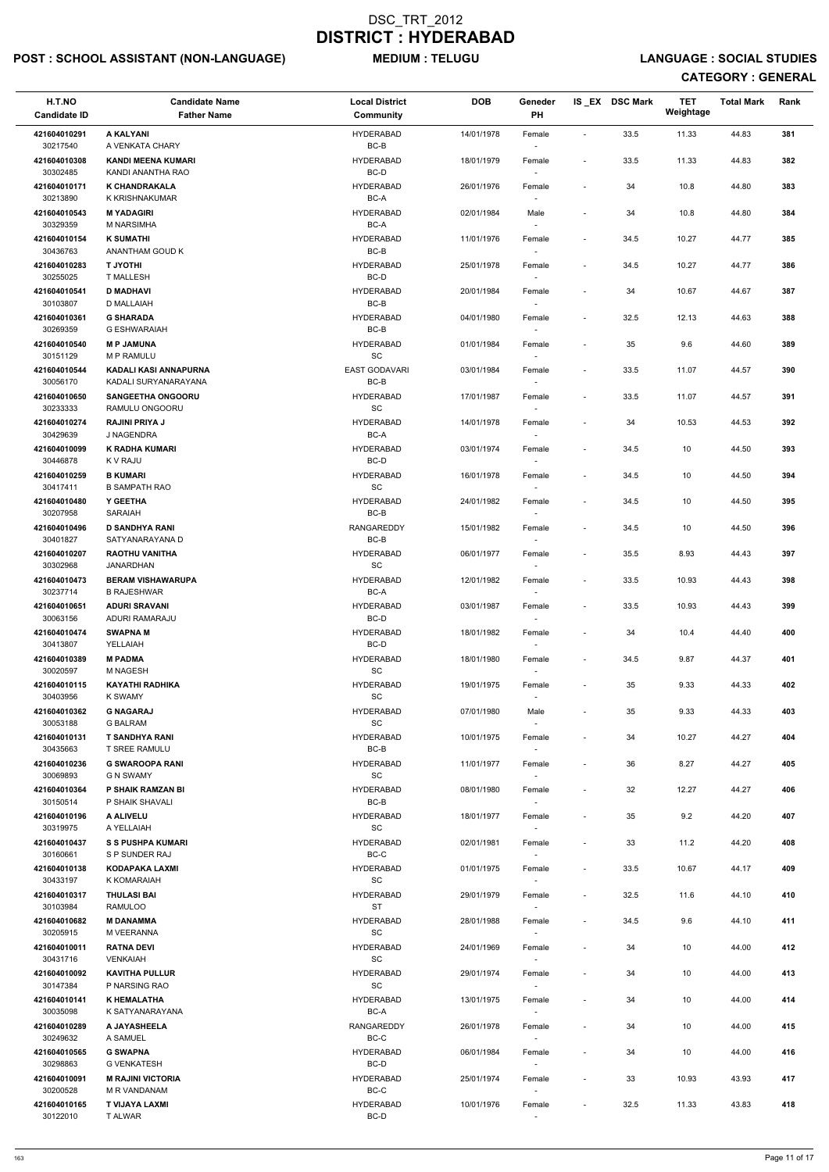# POST : SCHOOL ASSISTANT (NON-LANGUAGE) MEDIUM : TELUGU LANGUAGE : SOCIAL STUDIES

| H.T.NO<br><b>Candidate ID</b> | <b>Candidate Name</b><br><b>Father Name</b>       | <b>Local District</b><br><b>Community</b> | <b>DOB</b> | Geneder<br>PH                      |                          | IS_EX DSC Mark | <b>TET</b><br>Weightage | <b>Total Mark</b> | Rank |
|-------------------------------|---------------------------------------------------|-------------------------------------------|------------|------------------------------------|--------------------------|----------------|-------------------------|-------------------|------|
| 421604010291                  | A KALYANI                                         | <b>HYDERABAD</b>                          | 14/01/1978 | Female                             | $\blacksquare$           | 33.5           | 11.33                   | 44.83             | 381  |
| 30217540                      | A VENKATA CHARY                                   | $BC-B$                                    |            |                                    |                          |                |                         |                   |      |
| 421604010308<br>30302485      | <b>KANDI MEENA KUMARI</b><br>KANDI ANANTHA RAO    | <b>HYDERABAD</b><br>BC-D                  | 18/01/1979 | Female                             | $\blacksquare$           | 33.5           | 11.33                   | 44.83             | 382  |
| 421604010171                  | K CHANDRAKALA                                     | <b>HYDERABAD</b>                          | 26/01/1976 | Female                             | $\blacksquare$           | 34             | 10.8                    | 44.80             | 383  |
| 30213890<br>421604010543      | K KRISHNAKUMAR<br><b>MYADAGIRI</b>                | BC-A<br><b>HYDERABAD</b>                  | 02/01/1984 | Male                               | $\blacksquare$           | 34             | 10.8                    | 44.80             | 384  |
| 30329359                      | M NARSIMHA                                        | BC-A                                      |            |                                    |                          |                |                         |                   |      |
| 421604010154<br>30436763      | <b>K SUMATHI</b><br>ANANTHAM GOUD K               | HYDERABAD<br>BC-B                         | 11/01/1976 | Female<br>$\sim$                   | $\blacksquare$           | 34.5           | 10.27                   | 44.77             | 385  |
| 421604010283                  | <b>IHTOYL T</b>                                   | HYDERABAD                                 | 25/01/1978 | Female                             | $\overline{\phantom{a}}$ | 34.5           | 10.27                   | 44.77             | 386  |
| 30255025<br>421604010541      | <b>T MALLESH</b><br><b>D MADHAVI</b>              | BC-D<br><b>HYDERABAD</b>                  | 20/01/1984 | Female                             | $\overline{\phantom{a}}$ | 34             | 10.67                   | 44.67             | 387  |
| 30103807                      | <b>D MALLAIAH</b>                                 | BC-B                                      |            |                                    |                          |                |                         |                   |      |
| 421604010361<br>30269359      | <b>G SHARADA</b><br><b>G ESHWARAIAH</b>           | <b>HYDERABAD</b><br>BC-B                  | 04/01/1980 | Female<br>$\sim$                   | $\blacksquare$           | 32.5           | 12.13                   | 44.63             | 388  |
| 421604010540                  | <b>MP JAMUNA</b>                                  | HYDERABAD                                 | 01/01/1984 | Female                             | $\overline{\phantom{a}}$ | 35             | 9.6                     | 44.60             | 389  |
| 30151129<br>421604010544      | <b>M P RAMULU</b><br><b>KADALI KASI ANNAPURNA</b> | SC<br><b>EAST GODAVARI</b>                | 03/01/1984 | $\overline{\phantom{a}}$<br>Female | $\blacksquare$           | 33.5           | 11.07                   | 44.57             | 390  |
| 30056170                      | KADALI SURYANARAYANA                              | $BC-B$                                    |            |                                    |                          |                |                         |                   |      |
| 421604010650<br>30233333      | <b>SANGEETHA ONGOORU</b><br>RAMULU ONGOORU        | <b>HYDERABAD</b><br>SC                    | 17/01/1987 | Female                             | $\blacksquare$           | 33.5           | 11.07                   | 44.57             | 391  |
| 421604010274<br>30429639      | <b>RAJINI PRIYA J</b><br>J NAGENDRA               | <b>HYDERABAD</b><br>BC-A                  | 14/01/1978 | Female                             | $\blacksquare$           | 34             | 10.53                   | 44.53             | 392  |
| 421604010099                  | K RADHA KUMARI                                    | <b>HYDERABAD</b>                          | 03/01/1974 | Female                             | $\overline{\phantom{a}}$ | 34.5           | 10                      | 44.50             | 393  |
| 30446878<br>421604010259      | K V RAJU<br><b>B KUMARI</b>                       | BC-D<br>HYDERABAD                         | 16/01/1978 | $\sim$<br>Female                   | $\blacksquare$           | 34.5           | 10                      | 44.50             | 394  |
| 30417411                      | <b>B SAMPATH RAO</b>                              | <b>SC</b>                                 |            | $\sim$                             |                          |                |                         |                   |      |
| 421604010480<br>30207958      | Y GEETHA<br>SARAIAH                               | <b>HYDERABAD</b><br>$BC-B$                | 24/01/1982 | Female                             | $\blacksquare$           | 34.5           | 10                      | 44.50             | 395  |
| 421604010496                  | <b>D SANDHYA RANI</b>                             | RANGAREDDY                                | 15/01/1982 | Female                             | $\overline{\phantom{a}}$ | 34.5           | 10                      | 44.50             | 396  |
| 30401827<br>421604010207      | SATYANARAYANA D<br><b>RAOTHU VANITHA</b>          | BC-B<br><b>HYDERABAD</b>                  | 06/01/1977 | $\overline{\phantom{a}}$<br>Female | $\overline{\phantom{0}}$ | 35.5           | 8.93                    | 44.43             | 397  |
| 30302968                      | JANARDHAN                                         | SC                                        |            | $\sim$                             |                          |                |                         |                   |      |
| 421604010473<br>30237714      | <b>BERAM VISHAWARUPA</b><br><b>B RAJESHWAR</b>    | <b>HYDERABAD</b><br>BC-A                  | 12/01/1982 | Female                             | $\blacksquare$           | 33.5           | 10.93                   | 44.43             | 398  |
| 421604010651                  | <b>ADURI SRAVANI</b>                              | <b>HYDERABAD</b>                          | 03/01/1987 | Female                             | $\blacksquare$           | 33.5           | 10.93                   | 44.43             | 399  |
| 30063156<br>421604010474      | ADURI RAMARAJU<br><b>SWAPNAM</b>                  | BC-D<br><b>HYDERABAD</b>                  | 18/01/1982 | Female                             | $\overline{\phantom{a}}$ | 34             | 10.4                    | 44.40             | 400  |
| 30413807                      | YELLAIAH                                          | BC-D                                      |            |                                    |                          |                |                         |                   |      |
| 421604010389<br>30020597      | <b>M PADMA</b><br><b>M NAGESH</b>                 | <b>HYDERABAD</b><br><b>SC</b>             | 18/01/1980 | Female<br>$\sim$                   | $\overline{\phantom{a}}$ | 34.5           | 9.87                    | 44.37             | 401  |
| 421604010115<br>30403956      | <b>KAYATHI RADHIKA</b><br><b>K SWAMY</b>          | <b>HYDERABAD</b><br>SC                    | 19/01/1975 | Female                             |                          | 35             | 9.33                    | 44.33             | 402  |
| 421604010362                  | <b>G NAGARAJ</b>                                  | <b>HYDERABAD</b>                          | 07/01/1980 | Male                               | $\blacksquare$           | 35             | 9.33                    | 44.33             | 403  |
| 30053188<br>421604010131      | <b>G BALRAM</b><br><b>T SANDHYA RANI</b>          | SC<br><b>HYDERABAD</b>                    | 10/01/1975 | Female                             | $\blacksquare$           | 34             | 10.27                   | 44.27             | 404  |
| 30435663                      | T SREE RAMULU                                     | BC-B                                      |            | $\sim$                             |                          |                |                         |                   |      |
| 421604010236<br>30069893      | <b>G SWAROOPA RANI</b><br><b>G N SWAMY</b>        | HYDERABAD<br>SC                           | 11/01/1977 | Female<br>$\sim$                   | $\overline{\phantom{a}}$ | 36             | 8.27                    | 44.27             | 405  |
| 421604010364                  | P SHAIK RAMZAN BI                                 | <b>HYDERABAD</b>                          | 08/01/1980 | Female                             | $\overline{\phantom{a}}$ | 32             | 12.27                   | 44.27             | 406  |
| 30150514<br>421604010196      | P SHAIK SHAVALI<br>A ALIVELU                      | BC-B<br>HYDERABAD                         | 18/01/1977 | Female                             | $\blacksquare$           | 35             | 9.2                     | 44.20             | 407  |
| 30319975                      | A YELLAIAH                                        | SC                                        |            |                                    |                          |                |                         |                   |      |
| 421604010437<br>30160661      | <b>S S PUSHPA KUMARI</b><br>S P SUNDER RAJ        | <b>HYDERABAD</b><br>BC-C                  | 02/01/1981 | Female<br>$\overline{\phantom{a}}$ | $\overline{\phantom{a}}$ | 33             | 11.2                    | 44.20             | 408  |
| 421604010138<br>30433197      | KODAPAKA LAXMI<br>K KOMARAIAH                     | <b>HYDERABAD</b><br>SC                    | 01/01/1975 | Female<br>$\sim$                   | $\overline{\phantom{a}}$ | 33.5           | 10.67                   | 44.17             | 409  |
| 421604010317                  | <b>THULASI BAI</b>                                | <b>HYDERABAD</b>                          | 29/01/1979 | Female                             | $\blacksquare$           | 32.5           | 11.6                    | 44.10             | 410  |
| 30103984<br>421604010682      | <b>RAMULOO</b><br><b>M DANAMMA</b>                | ST<br><b>HYDERABAD</b>                    | 28/01/1988 | $\sim$<br>Female                   | $\overline{\phantom{a}}$ | 34.5           | 9.6                     | 44.10             | 411  |
| 30205915                      | <b>M VEERANNA</b>                                 | SC                                        |            |                                    |                          |                |                         |                   |      |
| 421604010011<br>30431716      | <b>RATNA DEVI</b><br><b>VENKAIAH</b>              | <b>HYDERABAD</b><br>SC                    | 24/01/1969 | Female                             | $\blacksquare$           | 34             | 10                      | 44.00             | 412  |
| 421604010092                  | <b>KAVITHA PULLUR</b>                             | <b>HYDERABAD</b>                          | 29/01/1974 | Female                             | $\overline{\phantom{a}}$ | 34             | 10                      | 44.00             | 413  |
| 30147384<br>421604010141      | P NARSING RAO<br><b>K HEMALATHA</b>               | $\operatorname{\textsf{SC}}$<br>HYDERABAD | 13/01/1975 | $\sim$<br>Female                   | $\overline{\phantom{0}}$ | 34             | $10$                    | 44.00             | 414  |
| 30035098                      | K SATYANARAYANA                                   | BC-A                                      |            | $\overline{\phantom{a}}$           |                          |                |                         |                   |      |
| 421604010289<br>30249632      | A JAYASHEELA<br>A SAMUEL                          | RANGAREDDY<br>BC-C                        | 26/01/1978 | Female<br>$\sim$                   | $\overline{\phantom{a}}$ | 34             | 10                      | 44.00             | 415  |
| 421604010565                  | <b>G SWAPNA</b>                                   | <b>HYDERABAD</b>                          | 06/01/1984 | Female                             | $\overline{\phantom{a}}$ | 34             | 10                      | 44.00             | 416  |
| 30298863<br>421604010091      | <b>G VENKATESH</b><br><b>M RAJINI VICTORIA</b>    | BC-D<br><b>HYDERABAD</b>                  | 25/01/1974 | $\sim$<br>Female                   | $\overline{\phantom{a}}$ | 33             | 10.93                   | 43.93             | 417  |
| 30200528                      | M R VANDANAM                                      | $BC-C$                                    |            | $\sim$                             |                          |                |                         |                   |      |
| 421604010165<br>30122010      | T VIJAYA LAXMI<br>T ALWAR                         | <b>HYDERABAD</b><br>BC-D                  | 10/01/1976 | Female                             |                          | 32.5           | 11.33                   | 43.83             | 418  |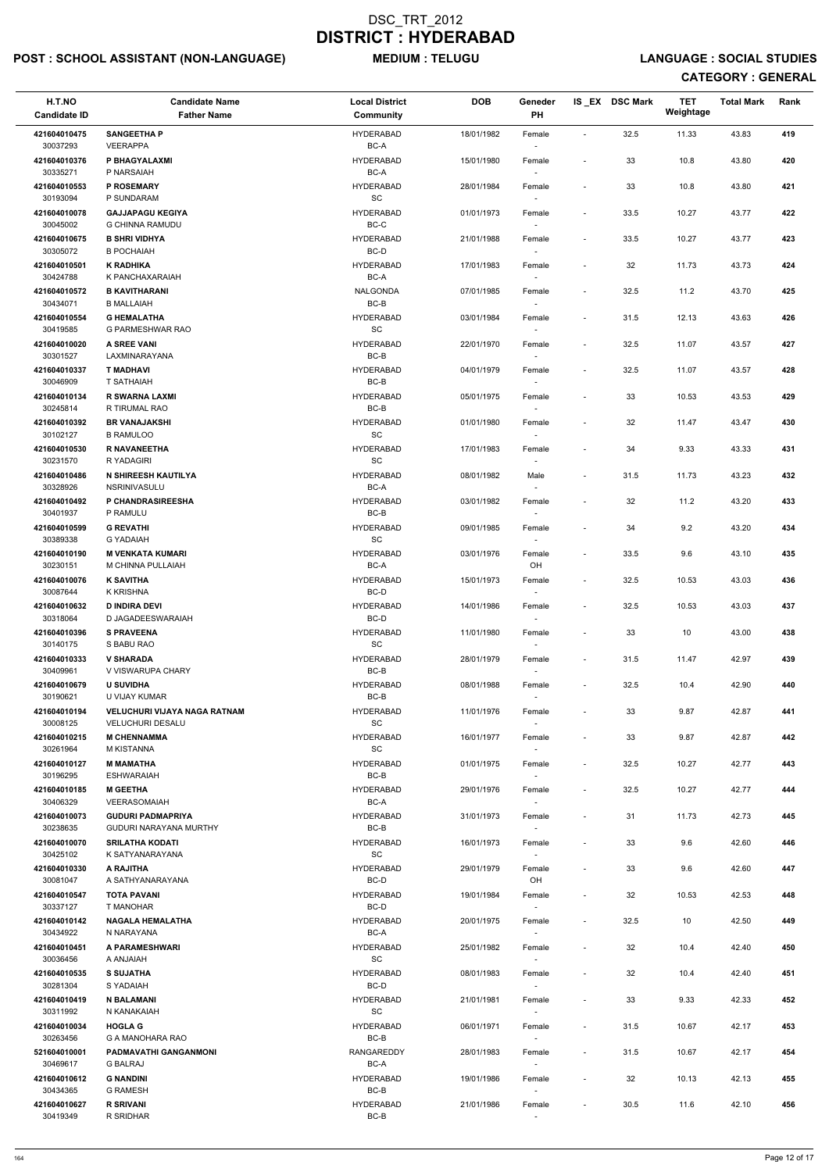# POST : SCHOOL ASSISTANT (NON-LANGUAGE) MEDIUM : TELUGU LANGUAGE : SOCIAL STUDIES

| H.T.NO<br><b>Candidate ID</b> | <b>Candidate Name</b><br><b>Father Name</b>          | <b>Local District</b><br>Community               | <b>DOB</b> | Geneder<br>PH                      |                              | IS_EX DSC Mark | <b>TET</b><br>Weightage | <b>Total Mark</b> | Rank |
|-------------------------------|------------------------------------------------------|--------------------------------------------------|------------|------------------------------------|------------------------------|----------------|-------------------------|-------------------|------|
| 421604010475<br>30037293      | <b>SANGEETHA P</b><br><b>VEERAPPA</b>                | <b>HYDERABAD</b><br>BC-A                         | 18/01/1982 | Female                             | $\sim$                       | 32.5           | 11.33                   | 43.83             | 419  |
| 421604010376<br>30335271      | P BHAGYALAXMI<br>P NARSAIAH                          | <b>HYDERABAD</b><br>BC-A                         | 15/01/1980 | Female                             | $\overline{\phantom{a}}$     | 33             | 10.8                    | 43.80             | 420  |
| 421604010553                  | <b>P ROSEMARY</b><br>P SUNDARAM                      | <b>HYDERABAD</b>                                 | 28/01/1984 | Female                             | $\overline{\phantom{a}}$     | 33             | 10.8                    | 43.80             | 421  |
| 30193094<br>421604010078      | <b>GAJJAPAGU KEGIYA</b>                              | SC<br><b>HYDERABAD</b>                           | 01/01/1973 | $\overline{\phantom{a}}$<br>Female | $\overline{\phantom{a}}$     | 33.5           | 10.27                   | 43.77             | 422  |
| 30045002<br>421604010675      | <b>G CHINNA RAMUDU</b><br><b>B SHRI VIDHYA</b>       | BC-C<br><b>HYDERABAD</b>                         | 21/01/1988 | Female                             | $\overline{\phantom{a}}$     | 33.5           | 10.27                   | 43.77             | 423  |
| 30305072<br>421604010501      | <b>B POCHAIAH</b><br><b>K RADHIKA</b>                | BC-D<br><b>HYDERABAD</b>                         | 17/01/1983 | $\sim$<br>Female                   | $\overline{\phantom{a}}$     | 32             | 11.73                   | 43.73             | 424  |
| 30424788<br>421604010572      | K PANCHAXARAIAH<br><b>B KAVITHARANI</b>              | BC-A<br><b>NALGONDA</b>                          | 07/01/1985 |                                    | $\overline{\phantom{a}}$     | 32.5           |                         | 43.70             | 425  |
| 30434071                      | <b>B MALLAIAH</b>                                    | $BC-B$                                           |            | Female                             |                              |                | 11.2                    |                   |      |
| 421604010554<br>30419585      | <b>G HEMALATHA</b><br>G PARMESHWAR RAO               | <b>HYDERABAD</b><br>SC                           | 03/01/1984 | Female                             | $\overline{\phantom{a}}$     | 31.5           | 12.13                   | 43.63             | 426  |
| 421604010020<br>30301527      | A SREE VANI<br>LAXMINARAYANA                         | <b>HYDERABAD</b><br>BC-B                         | 22/01/1970 | Female<br>$\sim$                   | $\overline{\phantom{a}}$     | 32.5           | 11.07                   | 43.57             | 427  |
| 421604010337<br>30046909      | <b>T MADHAVI</b><br>T SATHAIAH                       | <b>HYDERABAD</b><br>BC-B                         | 04/01/1979 | Female                             | $\overline{\phantom{a}}$     | 32.5           | 11.07                   | 43.57             | 428  |
| 421604010134<br>30245814      | <b>R SWARNA LAXMI</b><br>R TIRUMAL RAO               | <b>HYDERABAD</b><br>BC-B                         | 05/01/1975 | Female                             | $\overline{\phantom{a}}$     | 33             | 10.53                   | 43.53             | 429  |
| 421604010392                  | <b>BR VANAJAKSHI</b>                                 | <b>HYDERABAD</b>                                 | 01/01/1980 | Female                             | $\overline{\phantom{a}}$     | 32             | 11.47                   | 43.47             | 430  |
| 30102127<br>421604010530      | <b>B RAMULOO</b><br>R NAVANEETHA                     | $\operatorname{\textsf{SC}}$<br><b>HYDERABAD</b> | 17/01/1983 | $\sim$<br>Female                   | $\overline{\phantom{a}}$     | 34             | 9.33                    | 43.33             | 431  |
| 30231570<br>421604010486      | R YADAGIRI<br>N SHIREESH KAUTILYA                    | SC<br><b>HYDERABAD</b>                           | 08/01/1982 | Male                               | $\overline{\phantom{a}}$     | 31.5           | 11.73                   | 43.23             | 432  |
| 30328926<br>421604010492      | NSRINIVASULU<br>P CHANDRASIREESHA                    | BC-A<br><b>HYDERABAD</b>                         | 03/01/1982 | Female                             | $\overline{\phantom{a}}$     | 32             | 11.2                    | 43.20             | 433  |
| 30401937<br>421604010599      | P RAMULU<br><b>G REVATHI</b>                         | BC-B<br><b>HYDERABAD</b>                         | 09/01/1985 | Female                             | $\overline{\phantom{a}}$     | 34             | 9.2                     | 43.20             | 434  |
| 30389338                      | <b>G YADAIAH</b>                                     | SC                                               |            | $\overline{\phantom{a}}$           |                              |                |                         |                   |      |
| 421604010190<br>30230151      | <b>M VENKATA KUMARI</b><br>M CHINNA PULLAIAH         | <b>HYDERABAD</b><br>BC-A                         | 03/01/1976 | Female<br>OH                       | $\overline{\phantom{a}}$     | 33.5           | 9.6                     | 43.10             | 435  |
| 421604010076<br>30087644      | <b>K SAVITHA</b><br><b>K KRISHNA</b>                 | <b>HYDERABAD</b><br>BC-D                         | 15/01/1973 | Female                             | $\overline{\phantom{a}}$     | 32.5           | 10.53                   | 43.03             | 436  |
| 421604010632<br>30318064      | <b>D INDIRA DEVI</b><br>D JAGADEESWARAIAH            | <b>HYDERABAD</b><br>BC-D                         | 14/01/1986 | Female<br>$\sim$                   | $\overline{\phantom{a}}$     | 32.5           | 10.53                   | 43.03             | 437  |
| 421604010396<br>30140175      | <b>S PRAVEENA</b><br>S BABU RAO                      | <b>HYDERABAD</b><br><b>SC</b>                    | 11/01/1980 | Female<br>$\overline{\phantom{a}}$ | $\overline{\phantom{a}}$     | 33             | 10                      | 43.00             | 438  |
| 421604010333                  | <b>V SHARADA</b>                                     | <b>HYDERABAD</b>                                 | 28/01/1979 | Female                             | $\overline{\phantom{a}}$     | 31.5           | 11.47                   | 42.97             | 439  |
| 30409961<br>421604010679      | V VISWARUPA CHARY<br><b>U SUVIDHA</b>                | BC-B<br><b>HYDERABAD</b>                         | 08/01/1988 | $\sim$<br>Female                   | $\overline{\phantom{a}}$     | 32.5           | 10.4                    | 42.90             | 440  |
| 30190621<br>421604010194      | U VIJAY KUMAR<br><b>VELUCHURI VIJAYA NAGA RATNAM</b> | BC-B<br>HYDERABAD                                | 11/01/1976 | Female                             | $\overline{\phantom{a}}$     | 33             | 9.87                    | 42.87             | 441  |
| 30008125<br>421604010215      | <b>VELUCHURI DESALU</b><br><b>M CHENNAMMA</b>        | SC<br><b>HYDERABAD</b>                           | 16/01/1977 | Female                             | $\overline{\phantom{a}}$     | 33             | 9.87                    | 42.87             | 442  |
| 30261964                      | M KISTANNA<br><b>M MAMATHA</b>                       | SC<br><b>HYDERABAD</b>                           | 01/01/1975 |                                    | $\overline{\phantom{a}}$     | 32.5           | 10.27                   | 42.77             | 443  |
| 421604010127<br>30196295      | <b>ESHWARAIAH</b>                                    | BC-B                                             |            | Female<br>$\sim$                   |                              |                |                         |                   |      |
| 421604010185<br>30406329      | <b>M GEETHA</b><br><b>VEERASOMAIAH</b>               | <b>HYDERABAD</b><br>BC-A                         | 29/01/1976 | Female                             | $\overline{\phantom{a}}$     | 32.5           | 10.27                   | 42.77             | 444  |
| 421604010073<br>30238635      | <b>GUDURI PADMAPRIYA</b><br>GUDURI NARAYANA MURTHY   | HYDERABAD<br>BC-B                                | 31/01/1973 | Female                             | $\overline{\phantom{a}}$     | 31             | 11.73                   | 42.73             | 445  |
| 421604010070<br>30425102      | <b>SRILATHA KODATI</b><br>K SATYANARAYANA            | <b>HYDERABAD</b><br><b>SC</b>                    | 16/01/1973 | Female<br>$\sim$                   | $\overline{\phantom{a}}$     | 33             | 9.6                     | 42.60             | 446  |
| 421604010330<br>30081047      | A RAJITHA<br>A SATHYANARAYANA                        | <b>HYDERABAD</b><br>BC-D                         | 29/01/1979 | Female<br>OH                       | $\overline{\phantom{a}}$     | 33             | 9.6                     | 42.60             | 447  |
| 421604010547                  | <b>TOTA PAVANI</b>                                   | <b>HYDERABAD</b>                                 | 19/01/1984 | Female                             | $\overline{\phantom{a}}$     | 32             | 10.53                   | 42.53             | 448  |
| 30337127<br>421604010142      | T MANOHAR<br><b>NAGALA HEMALATHA</b>                 | BC-D<br><b>HYDERABAD</b>                         | 20/01/1975 | $\sim$<br>Female                   | $\overline{\phantom{a}}$     | 32.5           | 10                      | 42.50             | 449  |
| 30434922<br>421604010451      | N NARAYANA<br>A PARAMESHWARI                         | BC-A<br><b>HYDERABAD</b>                         | 25/01/1982 | Female                             | $\overline{\phantom{a}}$     | 32             | 10.4                    | 42.40             | 450  |
| 30036456<br>421604010535      | <b>HAIALAR A</b><br><b>S SUJATHA</b>                 | SC<br><b>HYDERABAD</b>                           | 08/01/1983 | Female                             | $\overline{\phantom{a}}$     | 32             | 10.4                    | 42.40             | 451  |
| 30281304                      | S YADAIAH                                            | $BC-D$                                           |            | $\overline{\phantom{a}}$           |                              |                |                         |                   |      |
| 421604010419<br>30311992      | <b>N BALAMANI</b><br>N KANAKAIAH                     | HYDERABAD<br>$\operatorname{\textsf{SC}}$        | 21/01/1981 | Female                             | $\overline{\phantom{a}}$     | 33             | 9.33                    | 42.33             | 452  |
| 421604010034<br>30263456      | <b>HOGLA G</b><br>G A MANOHARA RAO                   | HYDERABAD<br>BC-B                                | 06/01/1971 | Female<br>$\sim$                   | $\overline{\phantom{a}}$     | 31.5           | 10.67                   | 42.17             | 453  |
| 521604010001<br>30469617      | PADMAVATHI GANGANMONI<br><b>G BALRAJ</b>             | RANGAREDDY<br>BC-A                               | 28/01/1983 | Female<br>$\overline{\phantom{a}}$ | $\overline{\phantom{a}}$     | 31.5           | 10.67                   | 42.17             | 454  |
| 421604010612<br>30434365      | <b>G NANDINI</b><br><b>G RAMESH</b>                  | HYDERABAD<br>BC-B                                | 19/01/1986 | Female<br>$\sim$                   | $\qquad \qquad \blacksquare$ | 32             | 10.13                   | 42.13             | 455  |
| 421604010627<br>30419349      | <b>R SRIVANI</b><br>R SRIDHAR                        | HYDERABAD<br>$BC-B$                              | 21/01/1986 | Female<br>$\sim$                   | $\overline{\phantom{a}}$     | 30.5           | 11.6                    | 42.10             | 456  |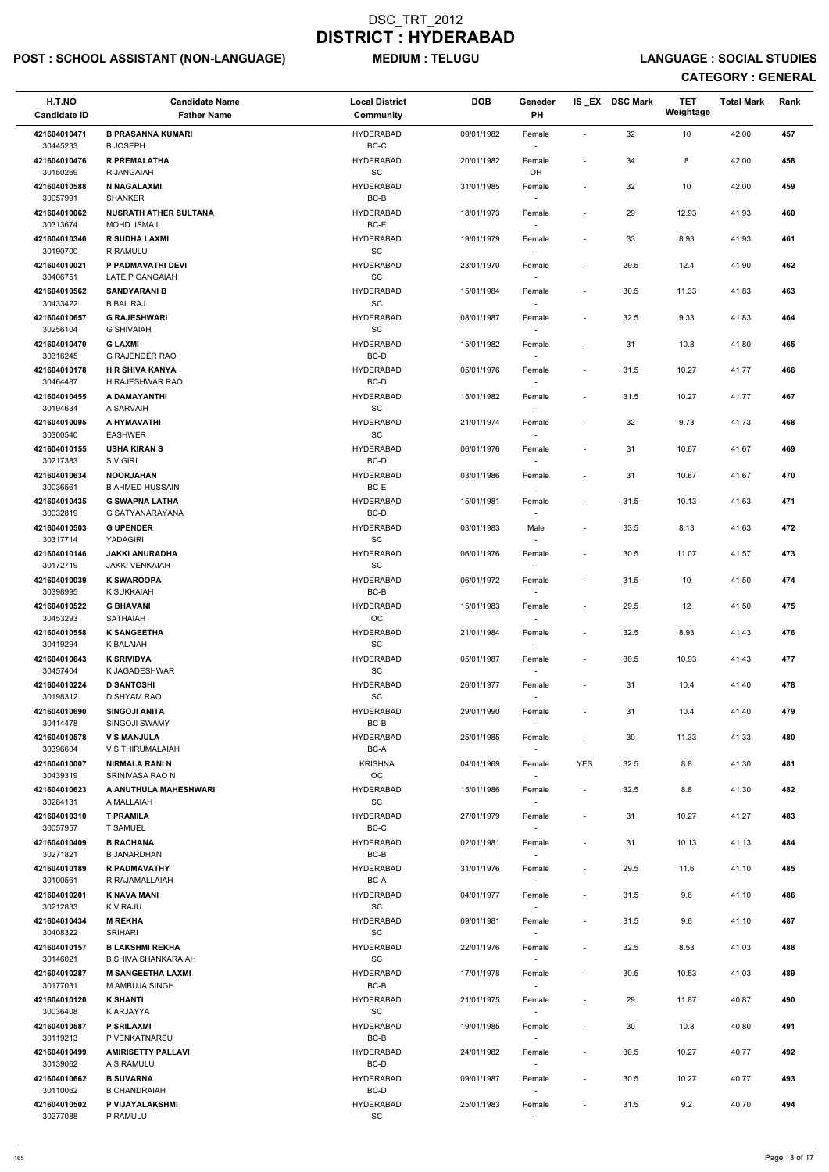# POST : SCHOOL ASSISTANT (NON-LANGUAGE) MEDIUM : TELUGU LANGUAGE : SOCIAL STUDIES

| H.T.NO<br><b>Candidate ID</b> | <b>Candidate Name</b><br><b>Father Name</b>          | <b>Local District</b><br>Community               | <b>DOB</b> | Geneder<br>PH                      |                          | IS EX DSC Mark | <b>TET</b><br>Weightage | <b>Total Mark</b> | Rank |
|-------------------------------|------------------------------------------------------|--------------------------------------------------|------------|------------------------------------|--------------------------|----------------|-------------------------|-------------------|------|
| 421604010471<br>30445233      | <b>B PRASANNA KUMARI</b><br><b>B JOSEPH</b>          | <b>HYDERABAD</b><br>$BC-C$                       | 09/01/1982 | Female                             | $\overline{\phantom{a}}$ | 32             | 10                      | 42.00             | 457  |
| 421604010476<br>30150269      | <b>R PREMALATHA</b><br>R JANGAIAH                    | <b>HYDERABAD</b><br>$\operatorname{\textsf{SC}}$ | 20/01/1982 | Female<br>OH                       | $\overline{\phantom{a}}$ | 34             | 8                       | 42.00             | 458  |
| 421604010588                  | N NAGALAXMI                                          | <b>HYDERABAD</b>                                 | 31/01/1985 | Female                             | $\overline{\phantom{a}}$ | 32             | 10                      | 42.00             | 459  |
| 30057991<br>421604010062      | <b>SHANKER</b><br><b>NUSRATH ATHER SULTANA</b>       | BC-B<br><b>HYDERABAD</b>                         | 18/01/1973 | $\sim$<br>Female                   | $\overline{\phantom{a}}$ | 29             | 12.93                   | 41.93             | 460  |
| 30313674<br>421604010340      | <b>MOHD ISMAIL</b><br><b>R SUDHA LAXMI</b>           | BC-E<br><b>HYDERABAD</b>                         | 19/01/1979 | $\overline{\phantom{a}}$<br>Female | $\overline{\phantom{a}}$ | 33             | 8.93                    | 41.93             | 461  |
| 30190700                      | R RAMULU                                             | SC                                               |            | $\sim$                             |                          |                |                         |                   |      |
| 421604010021<br>30406751      | P PADMAVATHI DEVI<br>LATE P GANGAIAH                 | <b>HYDERABAD</b><br>$\operatorname{\textsf{SC}}$ | 23/01/1970 | Female                             | $\overline{\phantom{a}}$ | 29.5           | 12.4                    | 41.90             | 462  |
| 421604010562<br>30433422      | <b>SANDYARANI B</b><br><b>B BAL RAJ</b>              | <b>HYDERABAD</b><br>$\operatorname{\textsf{SC}}$ | 15/01/1984 | Female<br>$\sim$                   | $\overline{\phantom{a}}$ | 30.5           | 11.33                   | 41.83             | 463  |
| 421604010657<br>30256104      | <b>G RAJESHWARI</b><br><b>G SHIVAIAH</b>             | <b>HYDERABAD</b><br>SC                           | 08/01/1987 | Female<br>$\sim$                   | $\overline{\phantom{a}}$ | 32.5           | 9.33                    | 41.83             | 464  |
| 421604010470<br>30316245      | <b>G LAXMI</b><br><b>G RAJENDER RAO</b>              | <b>HYDERABAD</b><br>BC-D                         | 15/01/1982 | Female<br>$\overline{\phantom{a}}$ | $\overline{\phantom{a}}$ | 31             | 10.8                    | 41.80             | 465  |
| 421604010178                  | <b>H R SHIVA KANYA</b>                               | <b>HYDERABAD</b>                                 | 05/01/1976 | Female                             | $\blacksquare$           | 31.5           | 10.27                   | 41.77             | 466  |
| 30464487<br>421604010455      | H RAJESHWAR RAO<br>A DAMAYANTHI                      | BC-D<br><b>HYDERABAD</b>                         | 15/01/1982 | Female                             | $\overline{\phantom{a}}$ | 31.5           | 10.27                   | 41.77             | 467  |
| 30194634<br>421604010095      | A SARVAIH<br>A HYMAVATHI                             | $\operatorname{\textsf{SC}}$<br><b>HYDERABAD</b> | 21/01/1974 | Female                             | $\overline{\phantom{a}}$ | 32             | 9.73                    | 41.73             | 468  |
| 30300540<br>421604010155      | <b>EASHWER</b><br><b>USHA KIRAN S</b>                | $\operatorname{\textsf{SC}}$<br><b>HYDERABAD</b> | 06/01/1976 | $\sim$<br>Female                   | $\overline{\phantom{a}}$ | 31             | 10.67                   | 41.67             | 469  |
| 30217383                      | S V GIRI                                             | BC-D                                             |            |                                    |                          |                |                         |                   |      |
| 421604010634<br>30036561      | <b>NOORJAHAN</b><br><b>B AHMED HUSSAIN</b>           | <b>HYDERABAD</b><br>BC-E                         | 03/01/1986 | Female                             | $\overline{\phantom{a}}$ | 31             | 10.67                   | 41.67             | 470  |
| 421604010435<br>30032819      | <b>G SWAPNA LATHA</b><br>G SATYANARAYANA             | <b>HYDERABAD</b><br>$BC-D$                       | 15/01/1981 | Female                             | $\overline{\phantom{a}}$ | 31.5           | 10.13                   | 41.63             | 471  |
| 421604010503<br>30317714      | <b>G UPENDER</b><br><b>YADAGIRI</b>                  | <b>HYDERABAD</b><br>SC                           | 03/01/1983 | Male                               | $\overline{\phantom{a}}$ | 33.5           | 8.13                    | 41.63             | 472  |
| 421604010146<br>30172719      | <b>JAKKI ANURADHA</b><br><b>JAKKI VENKAIAH</b>       | <b>HYDERABAD</b><br><b>SC</b>                    | 06/01/1976 | Female                             | $\overline{\phantom{0}}$ | 30.5           | 11.07                   | 41.57             | 473  |
| 421604010039                  | <b>K SWAROOPA</b>                                    | <b>HYDERABAD</b>                                 | 06/01/1972 | Female                             | $\overline{\phantom{a}}$ | 31.5           | 10                      | 41.50             | 474  |
| 30398995<br>421604010522      | K SUKKAIAH<br><b>G BHAVANI</b>                       | BC-B<br><b>HYDERABAD</b>                         | 15/01/1983 | Female                             | $\overline{\phantom{a}}$ | 29.5           | 12                      | 41.50             | 475  |
| 30453293<br>421604010558      | <b>SATHAIAH</b><br><b>K SANGEETHA</b>                | OC<br><b>HYDERABAD</b>                           | 21/01/1984 | $\sim$<br>Female                   | $\overline{\phantom{a}}$ | 32.5           | 8.93                    | 41.43             | 476  |
| 30419294<br>421604010643      | K BALAIAH<br><b>K SRIVIDYA</b>                       | SC<br><b>HYDERABAD</b>                           | 05/01/1987 | $\sim$<br>Female                   | $\overline{\phantom{a}}$ | 30.5           | 10.93                   | 41.43             | 477  |
| 30457404                      | K JAGADESHWAR                                        | SC                                               |            | $\sim$                             |                          |                |                         |                   |      |
| 421604010224<br>30198312      | <b>D SANTOSHI</b><br>D SHYAM RAO                     | <b>HYDERABAD</b><br><b>SC</b>                    | 26/01/1977 | Female                             | $\overline{\phantom{a}}$ | 31             | 10.4                    | 41.40             | 478  |
| 421604010690<br>30414478      | <b>SINGOJI ANITA</b><br>SINGOJI SWAMY                | <b>HYDERABAD</b><br>BC-B                         | 29/01/1990 | Female<br>$\sim$                   | $\overline{\phantom{a}}$ | 31             | 10.4                    | 41.40             | 479  |
| 421604010578<br>30396604      | <b>V S MANJULA</b><br>V S THIRUMALAIAH               | <b>HYDERABAD</b><br>BC-A                         | 25/01/1985 | Female<br>$\sim$                   | $\overline{\phantom{a}}$ | 30             | 11.33                   | 41.33             | 480  |
| 421604010007<br>30439319      | <b>NIRMALA RANI N</b><br>SRINIVASA RAO N             | <b>KRISHNA</b><br>OC                             | 04/01/1969 | Female<br>$\sim$                   | <b>YES</b>               | 32.5           | 8.8                     | 41.30             | 481  |
| 421604010623                  | A ANUTHULA MAHESHWARI                                | <b>HYDERABAD</b>                                 | 15/01/1986 | Female                             | $\overline{\phantom{a}}$ | 32.5           | 8.8                     | 41.30             | 482  |
| 30284131<br>421604010310      | A MALLAIAH<br><b>T PRAMILA</b>                       | SC<br><b>HYDERABAD</b>                           | 27/01/1979 | Female                             | $\overline{\phantom{a}}$ | 31             | 10.27                   | 41.27             | 483  |
| 30057957<br>421604010409      | <b>T SAMUEL</b><br><b>B RACHANA</b>                  | BC-C<br><b>HYDERABAD</b>                         | 02/01/1981 | Female                             | $\overline{\phantom{a}}$ | 31             | 10.13                   | 41.13             | 484  |
| 30271821<br>421604010189      | <b>B JANARDHAN</b><br><b>R PADMAVATHY</b>            | BC-B<br><b>HYDERABAD</b>                         | 31/01/1976 | $\sim$<br>Female                   | $\overline{\phantom{a}}$ | 29.5           | 11.6                    | 41.10             | 485  |
| 30100561<br>421604010201      | R RAJAMALLAIAH<br><b>K NAVA MANI</b>                 | BC-A<br><b>HYDERABAD</b>                         | 04/01/1977 | $\sim$                             | $\overline{\phantom{a}}$ | 31.5           | 9.6                     | 41.10             | 486  |
| 30212833                      | K V RAJU                                             | SC                                               |            | Female                             |                          |                |                         |                   |      |
| 421604010434<br>30408322      | <b>M REKHA</b><br><b>SRIHARI</b>                     | <b>HYDERABAD</b><br><b>SC</b>                    | 09/01/1981 | Female                             | $\overline{\phantom{a}}$ | 31.5           | 9.6                     | 41.10             | 487  |
| 421604010157<br>30146021      | <b>B LAKSHMI REKHA</b><br><b>B SHIVA SHANKARAIAH</b> | <b>HYDERABAD</b><br>SC                           | 22/01/1976 | Female<br>$\sim$                   | $\overline{\phantom{a}}$ | 32.5           | 8.53                    | 41.03             | 488  |
| 421604010287<br>30177031      | <b>M SANGEETHA LAXMI</b><br>M AMBUJA SINGH           | <b>HYDERABAD</b><br>BC-B                         | 17/01/1978 | Female<br>$\overline{\phantom{a}}$ | $\overline{\phantom{a}}$ | 30.5           | 10.53                   | 41.03             | 489  |
| 421604010120                  | <b>K SHANTI</b>                                      | <b>HYDERABAD</b>                                 | 21/01/1975 | Female                             |                          | 29             | 11.87                   | 40.87             | 490  |
| 30036408<br>421604010587      | K ARJAYYA<br><b>P SRILAXMI</b>                       | SC<br><b>HYDERABAD</b>                           | 19/01/1985 | $\overline{\phantom{a}}$<br>Female | $\overline{\phantom{0}}$ | 30             | 10.8                    | 40.80             | 491  |
| 30119213<br>421604010499      | P VENKATNARSU<br><b>AMIRISETTY PALLAVI</b>           | BC-B<br><b>HYDERABAD</b>                         | 24/01/1982 | Female                             | $\overline{\phantom{a}}$ | $30.5\,$       | 10.27                   | 40.77             | 492  |
| 30139062<br>421604010662      | A S RAMULU<br><b>B SUVARNA</b>                       | BC-D<br><b>HYDERABAD</b>                         | 09/01/1987 | $\sim$<br>Female                   | $\overline{\phantom{a}}$ | 30.5           | 10.27                   | 40.77             | 493  |
| 30110062                      | <b>B CHANDRAIAH</b>                                  | BC-D                                             |            | $\overline{\phantom{a}}$           |                          |                |                         |                   |      |
| 421604010502<br>30277088      | P VIJAYALAKSHMI<br>P RAMULU                          | <b>HYDERABAD</b><br>$\operatorname{\textsf{SC}}$ | 25/01/1983 | Female<br>$\sim$                   | $\overline{\phantom{a}}$ | 31.5           | 9.2                     | 40.70             | 494  |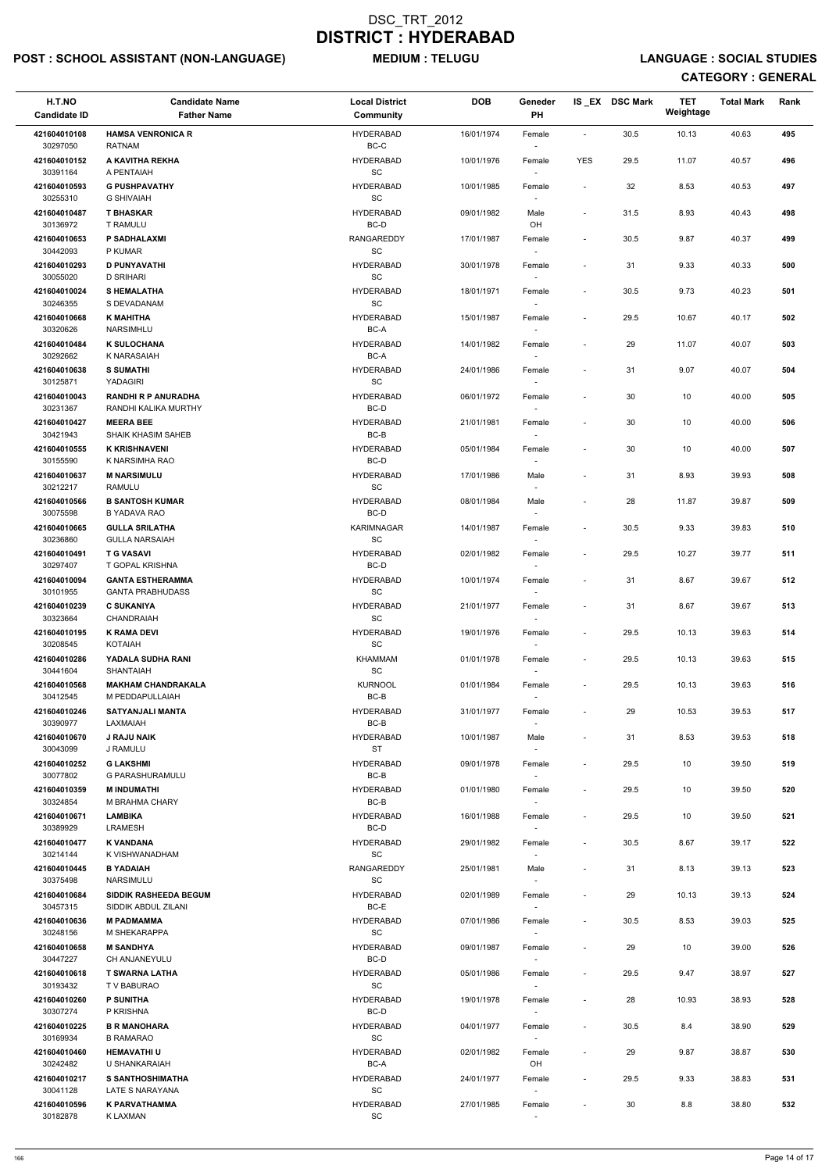# POST : SCHOOL ASSISTANT (NON-LANGUAGE) MEDIUM : TELUGU LANGUAGE : SOCIAL STUDIES

| H.T.NO<br><b>Candidate ID</b> | <b>Candidate Name</b><br><b>Father Name</b>    | <b>Local District</b><br>Community               | <b>DOB</b> | Geneder<br>PH                      |                          | IS_EX DSC Mark | <b>TET</b><br>Weightage | <b>Total Mark</b> | Rank |
|-------------------------------|------------------------------------------------|--------------------------------------------------|------------|------------------------------------|--------------------------|----------------|-------------------------|-------------------|------|
| 421604010108<br>30297050      | <b>HAMSA VENRONICA R</b><br><b>RATNAM</b>      | <b>HYDERABAD</b><br>$BC-C$                       | 16/01/1974 | Female                             | $\blacksquare$           | 30.5           | 10.13                   | 40.63             | 495  |
| 421604010152<br>30391164      | A KAVITHA REKHA<br>A PENTAIAH                  | <b>HYDERABAD</b><br>SC                           | 10/01/1976 | Female                             | <b>YES</b>               | 29.5           | 11.07                   | 40.57             | 496  |
| 421604010593                  | <b>G PUSHPAVATHY</b>                           | <b>HYDERABAD</b>                                 | 10/01/1985 | Female                             | $\overline{\phantom{a}}$ | 32             | 8.53                    | 40.53             | 497  |
| 30255310<br>421604010487      | <b>G SHIVAIAH</b><br><b>T BHASKAR</b>          | $\operatorname{\textsf{SC}}$<br><b>HYDERABAD</b> | 09/01/1982 | Male                               | $\overline{\phantom{a}}$ | 31.5           | 8.93                    | 40.43             | 498  |
| 30136972<br>421604010653      | T RAMULU<br><b>P SADHALAXMI</b>                | BC-D<br><b>RANGAREDDY</b>                        | 17/01/1987 | OH<br>Female                       | $\overline{\phantom{a}}$ | $30.5\,$       | 9.87                    | 40.37             | 499  |
| 30442093                      | P KUMAR                                        | <b>SC</b>                                        |            | $\sim$                             |                          |                |                         |                   |      |
| 421604010293<br>30055020      | <b>D PUNYAVATHI</b><br><b>D SRIHARI</b>        | <b>HYDERABAD</b><br>$\operatorname{\textsf{SC}}$ | 30/01/1978 | Female                             | $\overline{a}$           | 31             | 9.33                    | 40.33             | 500  |
| 421604010024<br>30246355      | <b>SHEMALATHA</b><br>S DEVADANAM               | <b>HYDERABAD</b><br>SC                           | 18/01/1971 | Female                             | $\overline{\phantom{a}}$ | 30.5           | 9.73                    | 40.23             | 501  |
| 421604010668<br>30320626      | <b>K MAHITHA</b><br><b>NARSIMHLU</b>           | <b>HYDERABAD</b><br>BC-A                         | 15/01/1987 | Female<br>$\sim$                   | $\overline{\phantom{a}}$ | 29.5           | 10.67                   | 40.17             | 502  |
| 421604010484<br>30292662      | <b>K SULOCHANA</b><br><b>K NARASAIAH</b>       | <b>HYDERABAD</b><br>BC-A                         | 14/01/1982 | Female                             | $\overline{\phantom{a}}$ | 29             | 11.07                   | 40.07             | 503  |
| 421604010638                  | <b>S SUMATHI</b>                               | <b>HYDERABAD</b>                                 | 24/01/1986 | Female                             | $\overline{\phantom{a}}$ | 31             | 9.07                    | 40.07             | 504  |
| 30125871<br>421604010043      | YADAGIRI<br><b>RANDHI R P ANURADHA</b>         | $\operatorname{\textsf{SC}}$<br><b>HYDERABAD</b> | 06/01/1972 | Female                             | $\overline{\phantom{a}}$ | 30             | 10                      | 40.00             | 505  |
| 30231367<br>421604010427      | RANDHI KALIKA MURTHY<br><b>MEERA BEE</b>       | BC-D<br><b>HYDERABAD</b>                         | 21/01/1981 | Female                             | $\overline{\phantom{a}}$ | 30             | 10                      | 40.00             | 506  |
| 30421943                      | SHAIK KHASIM SAHEB                             | BC-B                                             |            |                                    |                          |                |                         |                   |      |
| 421604010555<br>30155590      | <b>K KRISHNAVENI</b><br>K NARSIMHA RAO         | <b>HYDERABAD</b><br>BC-D                         | 05/01/1984 | Female                             | $\overline{a}$           | 30             | 10                      | 40.00             | 507  |
| 421604010637<br>30212217      | <b>M NARSIMULU</b><br><b>RAMULU</b>            | <b>HYDERABAD</b><br>SC                           | 17/01/1986 | Male                               | $\overline{\phantom{a}}$ | 31             | 8.93                    | 39.93             | 508  |
| 421604010566<br>30075598      | <b>B SANTOSH KUMAR</b><br><b>B YADAVA RAO</b>  | <b>HYDERABAD</b><br>BC-D                         | 08/01/1984 | Male                               | $\overline{\phantom{a}}$ | 28             | 11.87                   | 39.87             | 509  |
| 421604010665<br>30236860      | <b>GULLA SRILATHA</b><br><b>GULLA NARSAIAH</b> | <b>KARIMNAGAR</b><br>SC                          | 14/01/1987 | Female<br>$\overline{\phantom{a}}$ | $\overline{\phantom{a}}$ | 30.5           | 9.33                    | 39.83             | 510  |
| 421604010491<br>30297407      | <b>T G VASAVI</b><br>T GOPAL KRISHNA           | <b>HYDERABAD</b><br>BC-D                         | 02/01/1982 | Female<br>$\sim$                   | $\overline{\phantom{a}}$ | 29.5           | 10.27                   | 39.77             | 511  |
| 421604010094                  | <b>GANTA ESTHERAMMA</b>                        | <b>HYDERABAD</b>                                 | 10/01/1974 | Female                             | $\overline{\phantom{a}}$ | 31             | 8.67                    | 39.67             | 512  |
| 30101955<br>421604010239      | <b>GANTA PRABHUDASS</b><br><b>C SUKANIYA</b>   | SC<br><b>HYDERABAD</b>                           | 21/01/1977 | Female                             | $\overline{\phantom{a}}$ | 31             | 8.67                    | 39.67             | 513  |
| 30323664<br>421604010195      | <b>CHANDRAIAH</b><br><b>K RAMA DEVI</b>        | <b>SC</b><br><b>HYDERABAD</b>                    | 19/01/1976 | Female                             | $\overline{\phantom{a}}$ | 29.5           | 10.13                   | 39.63             | 514  |
| 30208545<br>421604010286      | <b>KOTAIAH</b><br>YADALA SUDHA RANI            | SC<br>KHAMMAM                                    | 01/01/1978 | Female                             | $\overline{\phantom{a}}$ | 29.5           | 10.13                   | 39.63             | 515  |
| 30441604                      | <b>SHANTAIAH</b>                               | SC                                               |            | $\sim$                             |                          |                |                         |                   |      |
| 421604010568<br>30412545      | <b>MAKHAM CHANDRAKALA</b><br>M PEDDAPULLAIAH   | <b>KURNOOL</b><br>BC-B                           | 01/01/1984 | Female                             | $\overline{\phantom{a}}$ | 29.5           | 10.13                   | 39.63             | 516  |
| 421604010246<br>30390977      | <b>SATYANJALI MANTA</b><br>LAXMAIAH            | HYDERABAD<br>BC-B                                | 31/01/1977 | Female                             | $\overline{\phantom{a}}$ | 29             | 10.53                   | 39.53             | 517  |
| 421604010670<br>30043099      | <b>J RAJU NAIK</b><br>J RAMULU                 | <b>HYDERABAD</b><br><b>ST</b>                    | 10/01/1987 | Male<br>$\overline{\phantom{a}}$   | $\overline{\phantom{a}}$ | 31             | 8.53                    | 39.53             | 518  |
| 421604010252<br>30077802      | <b>G LAKSHMI</b><br><b>G PARASHURAMULU</b>     | <b>HYDERABAD</b><br>BC-B                         | 09/01/1978 | Female<br>$\overline{\phantom{a}}$ | $\overline{\phantom{a}}$ | 29.5           | 10                      | 39.50             | 519  |
| 421604010359<br>30324854      | <b>MINDUMATHI</b><br>M BRAHMA CHARY            | <b>HYDERABAD</b><br>BC-B                         | 01/01/1980 | Female<br>$\overline{\phantom{a}}$ | $\overline{\phantom{a}}$ | 29.5           | 10                      | 39.50             | 520  |
| 421604010671                  | <b>LAMBIKA</b>                                 | <b>HYDERABAD</b>                                 | 16/01/1988 | Female                             | $\overline{\phantom{a}}$ | 29.5           | 10                      | 39.50             | 521  |
| 30389929<br>421604010477      | <b>LRAMESH</b><br><b>K VANDANA</b>             | BC-D<br><b>HYDERABAD</b>                         | 29/01/1982 | Female                             | $\overline{\phantom{a}}$ | 30.5           | 8.67                    | 39.17             | 522  |
| 30214144<br>421604010445      | K VISHWANADHAM<br><b>B YADAIAH</b>             | SC<br><b>RANGAREDDY</b>                          | 25/01/1981 | Male                               | $\overline{\phantom{a}}$ | 31             | 8.13                    | 39.13             | 523  |
| 30375498<br>421604010684      | NARSIMULU<br>SIDDIK RASHEEDA BEGUM             | SC<br><b>HYDERABAD</b>                           | 02/01/1989 | Female                             | $\overline{\phantom{a}}$ | 29             | 10.13                   | 39.13             | 524  |
| 30457315                      | SIDDIK ABDUL ZILANI                            | BC-E                                             |            | $\overline{\phantom{a}}$           |                          |                |                         |                   |      |
| 421604010636<br>30248156      | <b>M PADMAMMA</b><br>M SHEKARAPPA              | <b>HYDERABAD</b><br>SC                           | 07/01/1986 | Female                             | $\overline{\phantom{a}}$ | 30.5           | 8.53                    | 39.03             | 525  |
| 421604010658<br>30447227      | <b>M SANDHYA</b><br>CH ANJANEYULU              | <b>HYDERABAD</b><br>BC-D                         | 09/01/1987 | Female                             | $\overline{\phantom{a}}$ | 29             | 10                      | 39.00             | 526  |
| 421604010618                  | T SWARNA LATHA                                 | <b>HYDERABAD</b>                                 | 05/01/1986 | Female                             | $\blacksquare$           | 29.5           | 9.47                    | 38.97             | 527  |
| 30193432<br>421604010260      | T V BABURAO<br>P SUNITHA                       | SC<br><b>HYDERABAD</b>                           | 19/01/1978 | $\sim$<br>Female                   | $\overline{\phantom{a}}$ | 28             | 10.93                   | 38.93             | 528  |
| 30307274<br>421604010225      | P KRISHNA<br><b>B R MANOHARA</b>               | BC-D<br><b>HYDERABAD</b>                         | 04/01/1977 | $\overline{\phantom{a}}$<br>Female | $\overline{\phantom{a}}$ | 30.5           | 8.4                     | 38.90             | 529  |
| 30169934<br>421604010460      | <b>B RAMARAO</b><br><b>HEMAVATHI U</b>         | SC<br><b>HYDERABAD</b>                           | 02/01/1982 | $\sim$<br>Female                   | $\overline{\phantom{a}}$ | 29             | 9.87                    | 38.87             | 530  |
| 30242482                      | U SHANKARAIAH                                  | BC-A                                             |            | OH                                 |                          |                |                         |                   |      |
| 421604010217<br>30041128      | <b>S SANTHOSHIMATHA</b><br>LATE S NARAYANA     | <b>HYDERABAD</b><br>SC                           | 24/01/1977 | Female<br>$\sim$                   | $\overline{\phantom{a}}$ | 29.5           | 9.33                    | 38.83             | 531  |
| 421604010596<br>30182878      | <b>K PARVATHAMMA</b><br>K LAXMAN               | <b>HYDERABAD</b><br>$\operatorname{\textsf{SC}}$ | 27/01/1985 | Female                             |                          | 30             | $8.8\,$                 | 38.80             | 532  |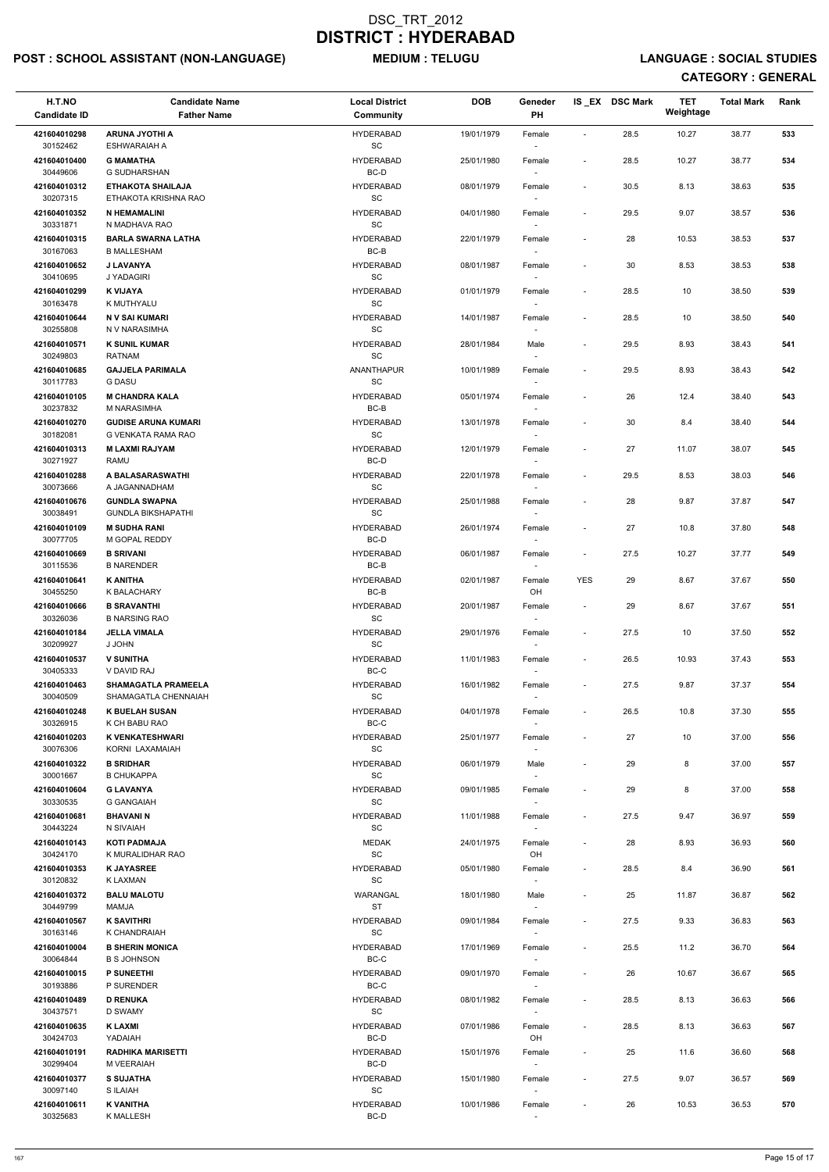# POST : SCHOOL ASSISTANT (NON-LANGUAGE) MEDIUM : TELUGU LANGUAGE : SOCIAL STUDIES

| <b>ARUNA JYOTHI A</b><br><b>HYDERABAD</b><br>19/01/1979<br>28.5<br>10.27<br>421604010298<br>Female<br>$\sim$<br>$\operatorname{\textsf{SC}}$<br>30152462<br><b>ESHWARAIAH A</b><br>421604010400<br><b>G MAMATHA</b><br><b>HYDERABAD</b><br>28.5<br>25/01/1980<br>10.27<br>Female<br>$\overline{\phantom{a}}$<br>BC-D<br>30449606<br><b>G SUDHARSHAN</b><br><b>HYDERABAD</b><br>$30.5\,$<br>421604010312<br><b>ETHAKOTA SHAILAJA</b><br>08/01/1979<br>8.13<br>Female<br>$\overline{\phantom{a}}$<br>30207315<br>SC<br>ETHAKOTA KRISHNA RAO<br>$\sim$<br><b>HYDERABAD</b><br>04/01/1980<br>29.5<br>9.07<br>421604010352<br><b>N HEMAMALINI</b><br>Female<br>$\sim$<br>SC<br>30331871<br>N MADHAVA RAO<br>$\sim$<br><b>BARLA SWARNA LATHA</b><br><b>HYDERABAD</b><br>22/01/1979<br>28<br>10.53<br>421604010315<br>Female<br>$\overline{\phantom{a}}$<br>BC-B<br>30167063<br><b>B MALLESHAM</b><br><b>J LAVANYA</b><br><b>HYDERABAD</b><br>30<br>8.53<br>421604010652<br>08/01/1987<br>Female<br>$\overline{\phantom{a}}$<br>SC<br>30410695<br>J YADAGIRI<br><b>K VIJAYA</b><br><b>HYDERABAD</b><br>28.5<br>421604010299<br>01/01/1979<br>10<br>Female<br>$\blacksquare$ | 38.77<br>533<br>38.77<br>534<br>38.63<br>535<br>38.57<br>536<br>38.53<br>537<br>38.53<br>538<br>539<br>38.50<br>38.50<br>540 |  |
|----------------------------------------------------------------------------------------------------------------------------------------------------------------------------------------------------------------------------------------------------------------------------------------------------------------------------------------------------------------------------------------------------------------------------------------------------------------------------------------------------------------------------------------------------------------------------------------------------------------------------------------------------------------------------------------------------------------------------------------------------------------------------------------------------------------------------------------------------------------------------------------------------------------------------------------------------------------------------------------------------------------------------------------------------------------------------------------------------------------------------------------------------------------------|------------------------------------------------------------------------------------------------------------------------------|--|
|                                                                                                                                                                                                                                                                                                                                                                                                                                                                                                                                                                                                                                                                                                                                                                                                                                                                                                                                                                                                                                                                                                                                                                      |                                                                                                                              |  |
|                                                                                                                                                                                                                                                                                                                                                                                                                                                                                                                                                                                                                                                                                                                                                                                                                                                                                                                                                                                                                                                                                                                                                                      |                                                                                                                              |  |
|                                                                                                                                                                                                                                                                                                                                                                                                                                                                                                                                                                                                                                                                                                                                                                                                                                                                                                                                                                                                                                                                                                                                                                      |                                                                                                                              |  |
|                                                                                                                                                                                                                                                                                                                                                                                                                                                                                                                                                                                                                                                                                                                                                                                                                                                                                                                                                                                                                                                                                                                                                                      |                                                                                                                              |  |
|                                                                                                                                                                                                                                                                                                                                                                                                                                                                                                                                                                                                                                                                                                                                                                                                                                                                                                                                                                                                                                                                                                                                                                      |                                                                                                                              |  |
|                                                                                                                                                                                                                                                                                                                                                                                                                                                                                                                                                                                                                                                                                                                                                                                                                                                                                                                                                                                                                                                                                                                                                                      |                                                                                                                              |  |
|                                                                                                                                                                                                                                                                                                                                                                                                                                                                                                                                                                                                                                                                                                                                                                                                                                                                                                                                                                                                                                                                                                                                                                      |                                                                                                                              |  |
|                                                                                                                                                                                                                                                                                                                                                                                                                                                                                                                                                                                                                                                                                                                                                                                                                                                                                                                                                                                                                                                                                                                                                                      |                                                                                                                              |  |
| SC<br>30163478<br>K MUTHYALU<br>$\sim$<br><b>HYDERABAD</b><br>14/01/1987<br>28.5<br>10<br>421604010644<br>N V SAI KUMARI<br>Female<br>$\blacksquare$                                                                                                                                                                                                                                                                                                                                                                                                                                                                                                                                                                                                                                                                                                                                                                                                                                                                                                                                                                                                                 |                                                                                                                              |  |
| 30255808<br>SC<br>N V NARASIMHA<br>$\sim$                                                                                                                                                                                                                                                                                                                                                                                                                                                                                                                                                                                                                                                                                                                                                                                                                                                                                                                                                                                                                                                                                                                            |                                                                                                                              |  |
| <b>K SUNIL KUMAR</b><br><b>HYDERABAD</b><br>29.5<br>8.93<br>421604010571<br>28/01/1984<br>Male<br>$\sim$<br>SC<br>30249803<br>RATNAM<br>$\sim$                                                                                                                                                                                                                                                                                                                                                                                                                                                                                                                                                                                                                                                                                                                                                                                                                                                                                                                                                                                                                       | 38.43<br>541                                                                                                                 |  |
| <b>GAJJELA PARIMALA</b><br>ANANTHAPUR<br>29.5<br>8.93<br>421604010685<br>10/01/1989<br>Female<br>$\overline{\phantom{a}}$<br>SC<br>30117783<br><b>G DASU</b>                                                                                                                                                                                                                                                                                                                                                                                                                                                                                                                                                                                                                                                                                                                                                                                                                                                                                                                                                                                                         | 542<br>38.43                                                                                                                 |  |
| <b>M CHANDRA KALA</b><br><b>HYDERABAD</b><br>26<br>421604010105<br>05/01/1974<br>12.4<br>Female<br>$\sim$<br>$BC-B$<br>30237832<br>M NARASIMHA                                                                                                                                                                                                                                                                                                                                                                                                                                                                                                                                                                                                                                                                                                                                                                                                                                                                                                                                                                                                                       | 38.40<br>543                                                                                                                 |  |
| <b>HYDERABAD</b><br>30<br>8.4<br>421604010270<br><b>GUDISE ARUNA KUMARI</b><br>13/01/1978<br>Female                                                                                                                                                                                                                                                                                                                                                                                                                                                                                                                                                                                                                                                                                                                                                                                                                                                                                                                                                                                                                                                                  | 544<br>38.40                                                                                                                 |  |
| SC<br>30182081<br>G VENKATA RAMA RAO<br>$\sim$<br><b>M LAXMI RAJYAM</b><br><b>HYDERABAD</b><br>12/01/1979<br>27<br>11.07<br>421604010313<br>Female<br>$\blacksquare$                                                                                                                                                                                                                                                                                                                                                                                                                                                                                                                                                                                                                                                                                                                                                                                                                                                                                                                                                                                                 | 38.07<br>545                                                                                                                 |  |
| 30271927<br>BC-D<br>RAMU<br>$\sim$<br><b>HYDERABAD</b><br>A BALASARASWATHI                                                                                                                                                                                                                                                                                                                                                                                                                                                                                                                                                                                                                                                                                                                                                                                                                                                                                                                                                                                                                                                                                           |                                                                                                                              |  |
| 29.5<br>8.53<br>421604010288<br>22/01/1978<br>Female<br>$\blacksquare$<br>$\operatorname{\textsf{SC}}$<br>30073666<br>A JAGANNADHAM                                                                                                                                                                                                                                                                                                                                                                                                                                                                                                                                                                                                                                                                                                                                                                                                                                                                                                                                                                                                                                  | 38.03<br>546                                                                                                                 |  |
| <b>HYDERABAD</b><br>28<br>9.87<br>421604010676<br><b>GUNDLA SWAPNA</b><br>25/01/1988<br>Female<br>$\blacksquare$                                                                                                                                                                                                                                                                                                                                                                                                                                                                                                                                                                                                                                                                                                                                                                                                                                                                                                                                                                                                                                                     | 37.87<br>547                                                                                                                 |  |
| SC<br>30038491<br><b>GUNDLA BIKSHAPATHI</b><br><b>HYDERABAD</b><br>27<br>421604010109<br><b>M SUDHA RANI</b><br>26/01/1974<br>10.8<br>Female<br>$\blacksquare$                                                                                                                                                                                                                                                                                                                                                                                                                                                                                                                                                                                                                                                                                                                                                                                                                                                                                                                                                                                                       | 37.80<br>548                                                                                                                 |  |
| M GOPAL REDDY<br>BC-D<br>30077705<br>$\overline{\phantom{a}}$                                                                                                                                                                                                                                                                                                                                                                                                                                                                                                                                                                                                                                                                                                                                                                                                                                                                                                                                                                                                                                                                                                        |                                                                                                                              |  |
| <b>B SRIVANI</b><br><b>HYDERABAD</b><br>27.5<br>10.27<br>421604010669<br>06/01/1987<br>Female<br>$\blacksquare$<br>BC-B<br>30115536<br><b>B NARENDER</b>                                                                                                                                                                                                                                                                                                                                                                                                                                                                                                                                                                                                                                                                                                                                                                                                                                                                                                                                                                                                             | 37.77<br>549                                                                                                                 |  |
| <b>K ANITHA</b><br><b>YES</b><br>29<br>421604010641<br><b>HYDERABAD</b><br>02/01/1987<br>8.67<br>Female<br>BC-B<br>OH<br>30455250<br><b>K BALACHARY</b>                                                                                                                                                                                                                                                                                                                                                                                                                                                                                                                                                                                                                                                                                                                                                                                                                                                                                                                                                                                                              | 37.67<br>550                                                                                                                 |  |
| 421604010666<br><b>B SRAVANTHI</b><br><b>HYDERABAD</b><br>20/01/1987<br>29<br>8.67<br>Female<br>$\overline{\phantom{a}}$                                                                                                                                                                                                                                                                                                                                                                                                                                                                                                                                                                                                                                                                                                                                                                                                                                                                                                                                                                                                                                             | 37.67<br>551                                                                                                                 |  |
| <b>SC</b><br>30326036<br><b>B NARSING RAO</b><br>27.5<br>421604010184<br><b>JELLA VIMALA</b><br><b>HYDERABAD</b><br>29/01/1976<br>10<br>Female<br>$\sim$                                                                                                                                                                                                                                                                                                                                                                                                                                                                                                                                                                                                                                                                                                                                                                                                                                                                                                                                                                                                             | 37.50<br>552                                                                                                                 |  |
| <b>SC</b><br>30209927<br>J JOHN<br>$\sim$                                                                                                                                                                                                                                                                                                                                                                                                                                                                                                                                                                                                                                                                                                                                                                                                                                                                                                                                                                                                                                                                                                                            |                                                                                                                              |  |
| <b>V SUNITHA</b><br><b>HYDERABAD</b><br>10.93<br>421604010537<br>11/01/1983<br>26.5<br>Female<br>$\sim$<br>30405333<br>BC-C<br>V DAVID RAJ                                                                                                                                                                                                                                                                                                                                                                                                                                                                                                                                                                                                                                                                                                                                                                                                                                                                                                                                                                                                                           | 37.43<br>553                                                                                                                 |  |
| 421604010463<br><b>SHAMAGATLA PRAMEELA</b><br><b>HYDERABAD</b><br>16/01/1982<br>27.5<br>9.87<br>Female<br>$\blacksquare$<br><b>SC</b><br>30040509<br>SHAMAGATLA CHENNAIAH                                                                                                                                                                                                                                                                                                                                                                                                                                                                                                                                                                                                                                                                                                                                                                                                                                                                                                                                                                                            | 554<br>37.37                                                                                                                 |  |
| 421604010248<br><b>K BUELAH SUSAN</b><br><b>HYDERABAD</b><br>04/01/1978<br>26.5<br>10.8<br>Female<br>$\overline{\phantom{a}}$                                                                                                                                                                                                                                                                                                                                                                                                                                                                                                                                                                                                                                                                                                                                                                                                                                                                                                                                                                                                                                        | 37.30<br>555                                                                                                                 |  |
| 30326915<br>K CH BABU RAO<br>BC-C<br>$\sim$<br>421604010203<br><b>K VENKATESHWARI</b><br><b>HYDERABAD</b><br>25/01/1977<br>27<br>10<br>$\blacksquare$                                                                                                                                                                                                                                                                                                                                                                                                                                                                                                                                                                                                                                                                                                                                                                                                                                                                                                                                                                                                                | 37.00<br>556                                                                                                                 |  |
| Female<br>30076306<br>SC<br>KORNI LAXAMAIAH<br>$\sim$                                                                                                                                                                                                                                                                                                                                                                                                                                                                                                                                                                                                                                                                                                                                                                                                                                                                                                                                                                                                                                                                                                                |                                                                                                                              |  |
| <b>B SRIDHAR</b><br>29<br>8<br>421604010322<br><b>HYDERABAD</b><br>06/01/1979<br>Male<br>$\overline{\phantom{a}}$<br><b>SC</b><br>30001667<br><b>B CHUKAPPA</b><br>$\sim$                                                                                                                                                                                                                                                                                                                                                                                                                                                                                                                                                                                                                                                                                                                                                                                                                                                                                                                                                                                            | 37.00<br>557                                                                                                                 |  |
| <b>HYDERABAD</b><br>8<br>421604010604<br><b>G LAVANYA</b><br>09/01/1985<br>29<br>Female<br>SC<br>30330535<br><b>G GANGAIAH</b>                                                                                                                                                                                                                                                                                                                                                                                                                                                                                                                                                                                                                                                                                                                                                                                                                                                                                                                                                                                                                                       | 37.00<br>558                                                                                                                 |  |
| 421604010681<br><b>BHAVANIN</b><br><b>HYDERABAD</b><br>11/01/1988<br>27.5<br>9.47<br>Female<br>$\overline{\phantom{a}}$                                                                                                                                                                                                                                                                                                                                                                                                                                                                                                                                                                                                                                                                                                                                                                                                                                                                                                                                                                                                                                              | 36.97<br>559                                                                                                                 |  |
| SC<br>30443224<br>N SIVAIAH<br><b>MEDAK</b><br>24/01/1975<br>28<br>8.93<br>421604010143<br><b>KOTI PADMAJA</b><br>Female                                                                                                                                                                                                                                                                                                                                                                                                                                                                                                                                                                                                                                                                                                                                                                                                                                                                                                                                                                                                                                             | 36.93<br>560                                                                                                                 |  |
| SC<br>30424170<br>K MURALIDHAR RAO<br>OH                                                                                                                                                                                                                                                                                                                                                                                                                                                                                                                                                                                                                                                                                                                                                                                                                                                                                                                                                                                                                                                                                                                             |                                                                                                                              |  |
| <b>K JAYASREE</b><br><b>HYDERABAD</b><br>28.5<br>8.4<br>421604010353<br>05/01/1980<br>Female<br>$\overline{\phantom{a}}$<br><b>SC</b><br>30120832<br><b>K LAXMAN</b><br>$\sim$                                                                                                                                                                                                                                                                                                                                                                                                                                                                                                                                                                                                                                                                                                                                                                                                                                                                                                                                                                                       | 36.90<br>561                                                                                                                 |  |
| 421604010372<br><b>BALU MALOTU</b><br>WARANGAL<br>18/01/1980<br>25<br>11.87<br>Male<br>$\overline{\phantom{a}}$<br><b>ST</b><br>30449799<br>MAMJA                                                                                                                                                                                                                                                                                                                                                                                                                                                                                                                                                                                                                                                                                                                                                                                                                                                                                                                                                                                                                    | 562<br>36.87                                                                                                                 |  |
| <b>K SAVITHRI</b><br><b>HYDERABAD</b><br>421604010567<br>09/01/1984<br>27.5<br>9.33<br>Female<br>$\blacksquare$                                                                                                                                                                                                                                                                                                                                                                                                                                                                                                                                                                                                                                                                                                                                                                                                                                                                                                                                                                                                                                                      | 36.83<br>563                                                                                                                 |  |
| SC<br>30163146<br>K CHANDRAIAH<br><b>HYDERABAD</b><br>421604010004<br><b>B SHERIN MONICA</b><br>17/01/1969<br>25.5<br>11.2<br>Female<br>$\overline{\phantom{a}}$                                                                                                                                                                                                                                                                                                                                                                                                                                                                                                                                                                                                                                                                                                                                                                                                                                                                                                                                                                                                     | 36.70<br>564                                                                                                                 |  |
| 30064844<br><b>B S JOHNSON</b><br>BC-C<br>$\overline{\phantom{a}}$                                                                                                                                                                                                                                                                                                                                                                                                                                                                                                                                                                                                                                                                                                                                                                                                                                                                                                                                                                                                                                                                                                   |                                                                                                                              |  |
| <b>HYDERABAD</b><br>421604010015<br>P SUNEETHI<br>09/01/1970<br>10.67<br>Female<br>26<br>30193886<br>P SURENDER<br>BC-C                                                                                                                                                                                                                                                                                                                                                                                                                                                                                                                                                                                                                                                                                                                                                                                                                                                                                                                                                                                                                                              | 36.67<br>565                                                                                                                 |  |
| $\overline{\phantom{a}}$<br>421604010489<br><b>D RENUKA</b><br><b>HYDERABAD</b><br>08/01/1982<br>28.5<br>8.13<br>Female<br>$\overline{\phantom{a}}$                                                                                                                                                                                                                                                                                                                                                                                                                                                                                                                                                                                                                                                                                                                                                                                                                                                                                                                                                                                                                  | 36.63<br>566                                                                                                                 |  |
| $\operatorname{\textsf{SC}}$<br>30437571<br>D SWAMY<br>$\sim$<br><b>HYDERABAD</b><br>28.5<br>8.13<br>421604010635<br><b>KLAXMI</b><br>07/01/1986<br>Female<br>$\overline{\phantom{a}}$                                                                                                                                                                                                                                                                                                                                                                                                                                                                                                                                                                                                                                                                                                                                                                                                                                                                                                                                                                               | 36.63<br>567                                                                                                                 |  |
| YADAIAH<br>BC-D<br>OH<br>30424703                                                                                                                                                                                                                                                                                                                                                                                                                                                                                                                                                                                                                                                                                                                                                                                                                                                                                                                                                                                                                                                                                                                                    |                                                                                                                              |  |
| <b>RADHIKA MARISETTI</b><br>421604010191<br><b>HYDERABAD</b><br>15/01/1976<br>25<br>11.6<br>Female<br>$\overline{\phantom{a}}$<br>BC-D<br>30299404<br>M VEERAIAH<br>$\sim$                                                                                                                                                                                                                                                                                                                                                                                                                                                                                                                                                                                                                                                                                                                                                                                                                                                                                                                                                                                           | 36.60<br>568                                                                                                                 |  |
| 27.5<br>9.07<br>421604010377<br><b>S SUJATHA</b><br><b>HYDERABAD</b><br>15/01/1980<br>Female<br>$\overline{\phantom{a}}$<br>$\operatorname{\textsf{SC}}$<br>30097140<br>S ILAIAH                                                                                                                                                                                                                                                                                                                                                                                                                                                                                                                                                                                                                                                                                                                                                                                                                                                                                                                                                                                     | 36.57<br>569                                                                                                                 |  |
| <b>K VANITHA</b><br><b>HYDERABAD</b><br>10.53<br>421604010611<br>10/01/1986<br>26<br>Female<br>$\blacksquare$<br>$BC-D$<br>30325683<br>K MALLESH<br>$\sim$                                                                                                                                                                                                                                                                                                                                                                                                                                                                                                                                                                                                                                                                                                                                                                                                                                                                                                                                                                                                           | 36.53<br>570                                                                                                                 |  |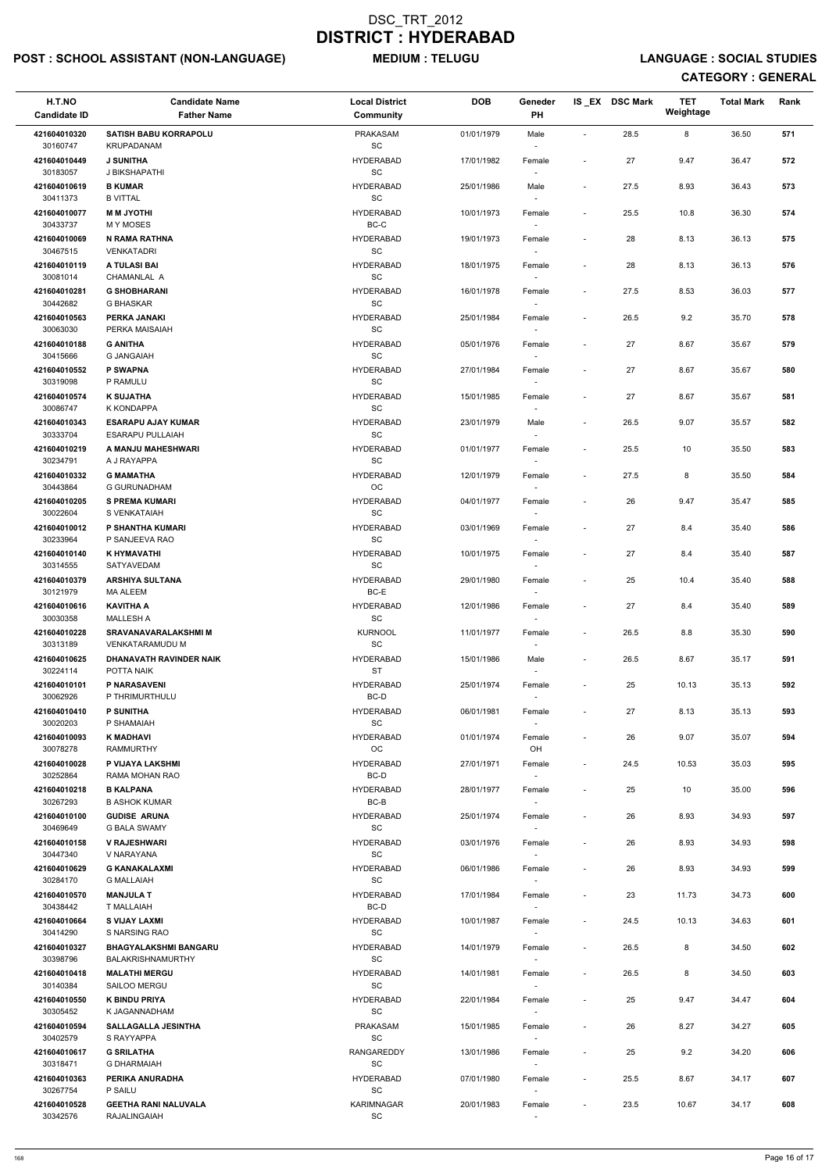# POST : SCHOOL ASSISTANT (NON-LANGUAGE) MEDIUM : TELUGU LANGUAGE : SOCIAL STUDIES

| H.T.NO<br><b>Candidate ID</b> | <b>Candidate Name</b><br><b>Father Name</b>           | <b>Local District</b><br>Community                | <b>DOB</b> | Geneder<br>PH                      |                          | IS_EX DSC Mark | <b>TET</b><br>Weightage | <b>Total Mark</b> | Rank |
|-------------------------------|-------------------------------------------------------|---------------------------------------------------|------------|------------------------------------|--------------------------|----------------|-------------------------|-------------------|------|
| 421604010320<br>30160747      | <b>SATISH BABU KORRAPOLU</b><br>KRUPADANAM            | PRAKASAM<br>$\operatorname{\textsf{SC}}$          | 01/01/1979 | Male                               | $\sim$                   | 28.5           | 8                       | 36.50             | 571  |
| 421604010449<br>30183057      | <b>J SUNITHA</b><br>J BIKSHAPATHI                     | <b>HYDERABAD</b><br>SC                            | 17/01/1982 | Female                             | $\blacksquare$           | 27             | 9.47                    | 36.47             | 572  |
| 421604010619<br>30411373      | <b>B KUMAR</b><br><b>B VITTAL</b>                     | <b>HYDERABAD</b><br>SC                            | 25/01/1986 | Male<br>$\sim$                     | $\overline{\phantom{a}}$ | 27.5           | 8.93                    | 36.43             | 573  |
| 421604010077                  | <b>MM JYOTHI</b>                                      | <b>HYDERABAD</b>                                  | 10/01/1973 | Female                             | $\overline{\phantom{a}}$ | 25.5           | 10.8                    | 36.30             | 574  |
| 30433737<br>421604010069      | <b>MY MOSES</b><br><b>N RAMA RATHNA</b>               | BC-C<br><b>HYDERABAD</b>                          | 19/01/1973 | $\overline{\phantom{a}}$<br>Female | $\overline{\phantom{a}}$ | 28             | 8.13                    | 36.13             | 575  |
| 30467515<br>421604010119      | <b>VENKATADRI</b><br>A TULASI BAI                     | $\operatorname{\textsf{SC}}$<br><b>HYDERABAD</b>  | 18/01/1975 | $\overline{\phantom{a}}$<br>Female | $\overline{\phantom{a}}$ | 28             | 8.13                    | 36.13             | 576  |
| 30081014<br>421604010281      | CHAMANLAL A<br><b>G SHOBHARANI</b>                    | $\operatorname{\textsf{SC}}$<br><b>HYDERABAD</b>  | 16/01/1978 | Female                             | $\overline{\phantom{a}}$ | 27.5           | 8.53                    | 36.03             | 577  |
| 30442682                      | G BHASKAR                                             | SC                                                |            |                                    |                          |                |                         |                   |      |
| 421604010563<br>30063030      | PERKA JANAKI<br>PERKA MAISAIAH                        | <b>HYDERABAD</b><br>SC                            | 25/01/1984 | Female<br>$\overline{\phantom{a}}$ | $\overline{\phantom{a}}$ | 26.5           | 9.2                     | 35.70             | 578  |
| 421604010188<br>30415666      | <b>G ANITHA</b><br><b>G JANGAIAH</b>                  | <b>HYDERABAD</b><br>SC                            | 05/01/1976 | Female<br>$\overline{\phantom{a}}$ | $\overline{\phantom{a}}$ | 27             | 8.67                    | 35.67             | 579  |
| 421604010552<br>30319098      | P SWAPNA<br>P RAMULU                                  | <b>HYDERABAD</b><br>SC                            | 27/01/1984 | Female                             |                          | 27             | 8.67                    | 35.67             | 580  |
| 421604010574<br>30086747      | <b>K SUJATHA</b><br>K KONDAPPA                        | <b>HYDERABAD</b><br>SC                            | 15/01/1985 | Female                             | $\overline{\phantom{a}}$ | 27             | 8.67                    | 35.67             | 581  |
| 421604010343<br>30333704      | <b>ESARAPU AJAY KUMAR</b><br><b>ESARAPU PULLAIAH</b>  | <b>HYDERABAD</b><br>SC                            | 23/01/1979 | Male<br>$\overline{\phantom{a}}$   | $\overline{\phantom{a}}$ | 26.5           | 9.07                    | 35.57             | 582  |
| 421604010219                  | A MANJU MAHESHWARI                                    | <b>HYDERABAD</b>                                  | 01/01/1977 | Female                             | $\overline{\phantom{a}}$ | 25.5           | 10                      | 35.50             | 583  |
| 30234791<br>421604010332      | A J RAYAPPA<br><b>G MAMATHA</b>                       | $\operatorname{\textsf{SC}}$<br><b>HYDERABAD</b>  | 12/01/1979 | Female                             | $\blacksquare$           | 27.5           | 8                       | 35.50             | 584  |
| 30443864<br>421604010205      | <b>G GURUNADHAM</b><br><b>S PREMA KUMARI</b>          | $_{\rm OC}$<br><b>HYDERABAD</b>                   | 04/01/1977 | Female                             |                          | 26             | 9.47                    | 35.47             | 585  |
| 30022604<br>421604010012      | S VENKATAIAH<br>P SHANTHA KUMARI                      | SC<br><b>HYDERABAD</b>                            | 03/01/1969 | Female                             | $\overline{\phantom{a}}$ | 27             | 8.4                     | 35.40             | 586  |
| 30233964<br>421604010140      | P SANJEEVA RAO<br>K HYMAVATHI                         | SC<br><b>HYDERABAD</b>                            | 10/01/1975 | $\overline{\phantom{a}}$<br>Female |                          | 27             | 8.4                     | 35.40             | 587  |
| 30314555                      | SATYAVEDAM                                            | <b>SC</b>                                         |            |                                    |                          |                |                         |                   |      |
| 421604010379<br>30121979      | <b>ARSHIYA SULTANA</b><br>MA ALEEM                    | <b>HYDERABAD</b><br>BC-E                          | 29/01/1980 | Female                             | $\overline{\phantom{a}}$ | 25             | 10.4                    | 35.40             | 588  |
| 421604010616<br>30030358      | <b>KAVITHA A</b><br><b>MALLESH A</b>                  | <b>HYDERABAD</b><br>SC                            | 12/01/1986 | Female<br>$\overline{\phantom{a}}$ | $\overline{\phantom{a}}$ | 27             | 8.4                     | 35.40             | 589  |
| 421604010228<br>30313189      | <b>SRAVANAVARALAKSHMI M</b><br><b>VENKATARAMUDU M</b> | <b>KURNOOL</b><br>SC                              | 11/01/1977 | Female<br>$\sim$                   | $\blacksquare$           | 26.5           | 8.8                     | 35.30             | 590  |
| 421604010625<br>30224114      | DHANAVATH RAVINDER NAIK<br>POTTA NAIK                 | <b>HYDERABAD</b><br><b>ST</b>                     | 15/01/1986 | Male<br>$\sim$                     | $\overline{\phantom{a}}$ | 26.5           | 8.67                    | 35.17             | 591  |
| 421604010101<br>30062926      | P NARASAVENI<br>P THRIMURTHULU                        | <b>HYDERABAD</b><br>BC-D                          | 25/01/1974 | Female                             | $\overline{\phantom{a}}$ | 25             | 10.13                   | 35.13             | 592  |
| 421604010410                  | <b>P SUNITHA</b>                                      | <b>HYDERABAD</b>                                  | 06/01/1981 | Female                             | $\blacksquare$           | 27             | 8.13                    | 35.13             | 593  |
| 30020203<br>421604010093      | P SHAMAIAH<br><b>K MADHAVI</b>                        | <b>SC</b><br><b>HYDERABAD</b>                     | 01/01/1974 | Female                             | $\overline{\phantom{a}}$ | 26             | 9.07                    | 35.07             | 594  |
| 30078278<br>421604010028      | <b>RAMMURTHY</b><br>P VIJAYA LAKSHMI                  | ОC<br><b>HYDERABAD</b>                            | 27/01/1971 | OH<br>Female                       | $\blacksquare$           | 24.5           | 10.53                   | 35.03             | 595  |
| 30252864<br>421604010218      | RAMA MOHAN RAO<br><b>B KALPANA</b>                    | BC-D<br><b>HYDERABAD</b>                          | 28/01/1977 | $\sim$<br>Female                   |                          | 25             | 10                      | 35.00             | 596  |
| 30267293<br>421604010100      | <b>B ASHOK KUMAR</b><br><b>GUDISE ARUNA</b>           | BC-B<br><b>HYDERABAD</b>                          | 25/01/1974 | Female                             | $\blacksquare$           | 26             | 8.93                    | 34.93             | 597  |
| 30469649                      | <b>G BALA SWAMY</b>                                   | SC                                                |            |                                    |                          |                |                         |                   |      |
| 421604010158<br>30447340      | <b>V RAJESHWARI</b><br>V NARAYANA                     | <b>HYDERABAD</b><br>SC                            | 03/01/1976 | Female<br>$\sim$                   | $\blacksquare$           | 26             | 8.93                    | 34.93             | 598  |
| 421604010629<br>30284170      | <b>G KANAKALAXMI</b><br><b>G MALLAIAH</b>             | <b>HYDERABAD</b><br>SC                            | 06/01/1986 | Female<br>$\sim$                   | $\overline{\phantom{a}}$ | 26             | 8.93                    | 34.93             | 599  |
| 421604010570<br>30438442      | <b>MANJULA T</b><br>T MALLAIAH                        | <b>HYDERABAD</b><br>BC-D                          | 17/01/1984 | Female                             | $\overline{\phantom{a}}$ | 23             | 11.73                   | 34.73             | 600  |
| 421604010664<br>30414290      | <b>S VIJAY LAXMI</b><br>S NARSING RAO                 | <b>HYDERABAD</b><br><b>SC</b>                     | 10/01/1987 | Female                             | $\blacksquare$           | 24.5           | 10.13                   | 34.63             | 601  |
| 421604010327<br>30398796      | <b>BHAGYALAKSHMI BANGARU</b><br>BALAKRISHNAMURTHY     | <b>HYDERABAD</b><br>SC                            | 14/01/1979 | Female                             | $\overline{\phantom{a}}$ | 26.5           | 8                       | 34.50             | 602  |
| 421604010418                  | <b>MALATHI MERGU</b>                                  | <b>HYDERABAD</b>                                  | 14/01/1981 | Female                             |                          | 26.5           | 8                       | 34.50             | 603  |
| 30140384<br>421604010550      | SAILOO MERGU<br><b>K BINDU PRIYA</b>                  | $\operatorname{\textsf{SC}}$<br><b>HYDERABAD</b>  | 22/01/1984 | $\overline{\phantom{a}}$<br>Female |                          | 25             | 9.47                    | 34.47             | 604  |
| 30305452<br>421604010594      | K JAGANNADHAM<br><b>SALLAGALLA JESINTHA</b>           | $\operatorname{\textsf{SC}}$<br><b>PRAKASAM</b>   | 15/01/1985 | $\overline{\phantom{a}}$<br>Female |                          | 26             | 8.27                    | 34.27             | 605  |
| 30402579<br>421604010617      | S RAYYAPPA<br><b>G SRILATHA</b>                       | SC<br>RANGAREDDY                                  | 13/01/1986 | $\overline{\phantom{a}}$<br>Female | $\blacksquare$           | 25             | 9.2                     | 34.20             | 606  |
| 30318471                      | <b>G DHARMAIAH</b>                                    | SC                                                |            | $\sim$                             |                          |                |                         |                   |      |
| 421604010363<br>30267754      | PERIKA ANURADHA<br>P SAILU                            | <b>HYDERABAD</b><br>SC                            | 07/01/1980 | Female<br>$\overline{\phantom{a}}$ | $\overline{\phantom{a}}$ | 25.5           | 8.67                    | 34.17             | 607  |
| 421604010528<br>30342576      | <b>GEETHA RANI NALUVALA</b><br><b>RAJALINGAIAH</b>    | <b>KARIMNAGAR</b><br>$\operatorname{\textsf{SC}}$ | 20/01/1983 | Female<br>$\sim$                   | $\overline{\phantom{a}}$ | 23.5           | 10.67                   | 34.17             | 608  |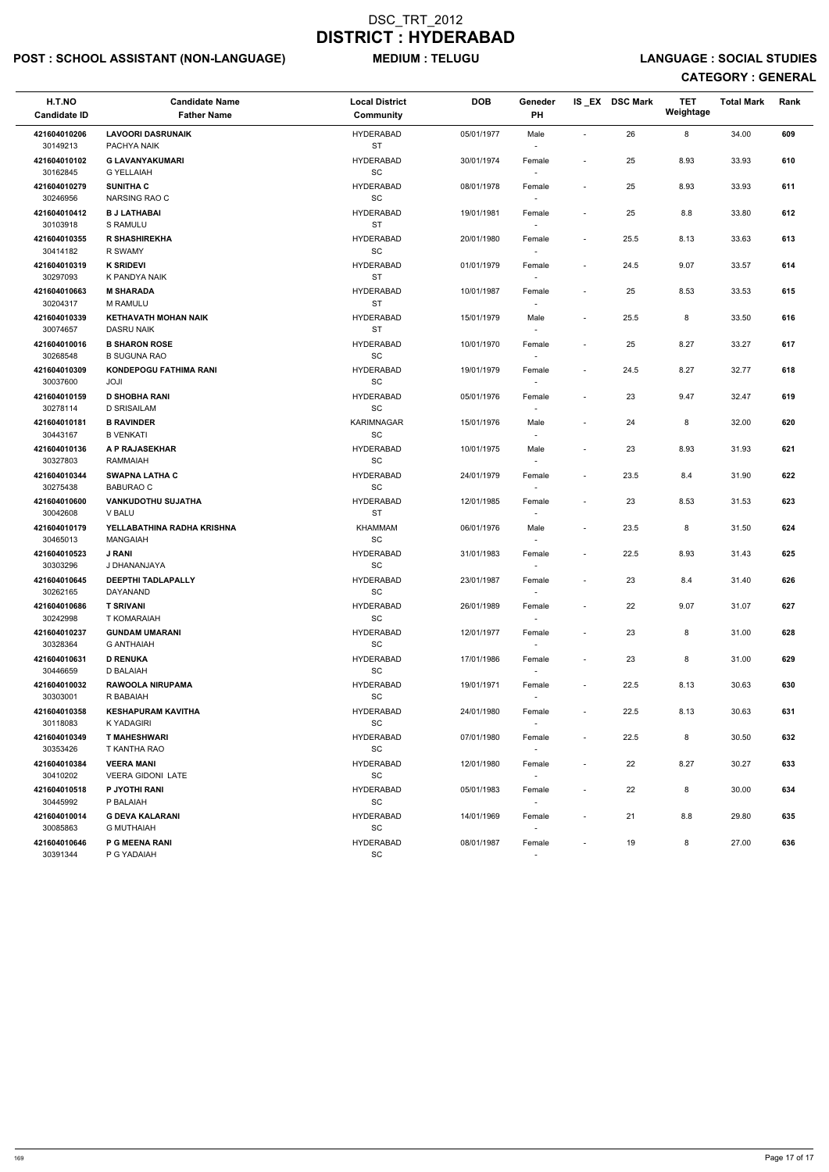# POST : SCHOOL ASSISTANT (NON-LANGUAGE) MEDIUM : TELUGU LANGUAGE : SOCIAL STUDIES

| H.T.NO<br><b>Candidate ID</b> | <b>Candidate Name</b><br><b>Father Name</b>      | <b>Local District</b><br>Community                | <b>DOB</b> | Geneder<br>PH                      |                          | IS_EX DSC Mark | <b>TET</b><br>Weightage | <b>Total Mark</b> | Rank |
|-------------------------------|--------------------------------------------------|---------------------------------------------------|------------|------------------------------------|--------------------------|----------------|-------------------------|-------------------|------|
| 421604010206<br>30149213      | <b>LAVOORI DASRUNAIK</b><br>PACHYA NAIK          | <b>HYDERABAD</b><br><b>ST</b>                     | 05/01/1977 | Male                               |                          | 26             | 8                       | 34.00             | 609  |
| 421604010102<br>30162845      | <b>G LAVANYAKUMARI</b><br><b>G YELLAIAH</b>      | <b>HYDERABAD</b><br>SC                            | 30/01/1974 | Female                             | ÷,                       | 25             | 8.93                    | 33.93             | 610  |
| 421604010279<br>30246956      | <b>SUNITHA C</b><br>NARSING RAO C                | <b>HYDERABAD</b><br>$\operatorname{\textsf{SC}}$  | 08/01/1978 | Female<br>$\overline{\phantom{a}}$ | $\blacksquare$           | 25             | 8.93                    | 33.93             | 611  |
| 421604010412<br>30103918      | <b>B J LATHABAI</b><br>S RAMULU                  | <b>HYDERABAD</b><br><b>ST</b>                     | 19/01/1981 | Female                             | $\overline{\phantom{a}}$ | 25             | $8.8\,$                 | 33.80             | 612  |
| 421604010355<br>30414182      | <b>R SHASHIREKHA</b><br><b>R SWAMY</b>           | <b>HYDERABAD</b><br>$\operatorname{\textsf{SC}}$  | 20/01/1980 | Female<br>$\overline{\phantom{a}}$ | $\overline{\phantom{a}}$ | 25.5           | 8.13                    | 33.63             | 613  |
| 421604010319<br>30297093      | <b>K SRIDEVI</b><br>K PANDYA NAIK                | <b>HYDERABAD</b><br><b>ST</b>                     | 01/01/1979 | Female                             | ÷,                       | 24.5           | 9.07                    | 33.57             | 614  |
| 421604010663<br>30204317      | <b>M SHARADA</b><br>M RAMULU                     | <b>HYDERABAD</b><br><b>ST</b>                     | 10/01/1987 | Female                             | $\overline{\phantom{a}}$ | 25             | 8.53                    | 33.53             | 615  |
| 421604010339<br>30074657      | <b>KETHAVATH MOHAN NAIK</b><br><b>DASRU NAIK</b> | <b>HYDERABAD</b><br><b>ST</b>                     | 15/01/1979 | Male                               |                          | 25.5           | 8                       | 33.50             | 616  |
| 421604010016<br>30268548      | <b>B SHARON ROSE</b><br><b>B SUGUNA RAO</b>      | <b>HYDERABAD</b><br>$\operatorname{\textsf{SC}}$  | 10/01/1970 | Female<br>$\mathbf{r}$             |                          | 25             | 8.27                    | 33.27             | 617  |
| 421604010309<br>30037600      | <b>KONDEPOGU FATHIMA RANI</b><br>JOJI            | <b>HYDERABAD</b><br>$\operatorname{\textsf{SC}}$  | 19/01/1979 | Female                             | $\blacksquare$           | 24.5           | 8.27                    | 32.77             | 618  |
| 421604010159<br>30278114      | <b>D SHOBHA RANI</b><br><b>D SRISAILAM</b>       | <b>HYDERABAD</b><br>SC                            | 05/01/1976 | Female                             | $\overline{\phantom{a}}$ | 23             | 9.47                    | 32.47             | 619  |
| 421604010181<br>30443167      | <b>B RAVINDER</b><br><b>B VENKATI</b>            | <b>KARIMNAGAR</b><br>$\operatorname{\textsf{SC}}$ | 15/01/1976 | Male<br>$\overline{\phantom{a}}$   | $\overline{\phantom{a}}$ | 24             | 8                       | 32.00             | 620  |
| 421604010136<br>30327803      | A P RAJASEKHAR<br>RAMMAIAH                       | <b>HYDERABAD</b><br>SC                            | 10/01/1975 | Male<br>$\overline{\phantom{a}}$   |                          | 23             | 8.93                    | 31.93             | 621  |
| 421604010344<br>30275438      | <b>SWAPNA LATHA C</b><br><b>BABURAO C</b>        | <b>HYDERABAD</b><br>$\operatorname{\textsf{SC}}$  | 24/01/1979 | Female<br>$\overline{\phantom{a}}$ | $\overline{\phantom{a}}$ | 23.5           | 8.4                     | 31.90             | 622  |
| 421604010600<br>30042608      | <b>VANKUDOTHU SUJATHA</b><br>V BALU              | <b>HYDERABAD</b><br><b>ST</b>                     | 12/01/1985 | Female                             |                          | 23             | 8.53                    | 31.53             | 623  |
| 421604010179<br>30465013      | YELLABATHINA RADHA KRISHNA<br><b>MANGAIAH</b>    | <b>KHAMMAM</b><br>SC                              | 06/01/1976 | Male<br>$\overline{\phantom{a}}$   | $\blacksquare$           | 23.5           | 8                       | 31.50             | 624  |
| 421604010523<br>30303296      | <b>J RANI</b><br>J DHANANJAYA                    | <b>HYDERABAD</b><br>SC                            | 31/01/1983 | Female                             |                          | 22.5           | 8.93                    | 31.43             | 625  |
| 421604010645<br>30262165      | <b>DEEPTHI TADLAPALLY</b><br>DAYANAND            | <b>HYDERABAD</b><br>SC                            | 23/01/1987 | Female                             | $\overline{\phantom{a}}$ | 23             | 8.4                     | 31.40             | 626  |
| 421604010686<br>30242998      | <b>T SRIVANI</b><br>T KOMARAIAH                  | <b>HYDERABAD</b><br>SC                            | 26/01/1989 | Female<br>$\sim$                   | $\blacksquare$           | 22             | 9.07                    | 31.07             | 627  |
| 421604010237<br>30328364      | <b>GUNDAM UMARANI</b><br><b>G ANTHAIAH</b>       | <b>HYDERABAD</b><br>SC                            | 12/01/1977 | Female<br>$\overline{\phantom{a}}$ | $\overline{\phantom{a}}$ | 23             | 8                       | 31.00             | 628  |
| 421604010631<br>30446659      | <b>D RENUKA</b><br>D BALAIAH                     | <b>HYDERABAD</b><br>SC                            | 17/01/1986 | Female<br>$\overline{\phantom{a}}$ | $\overline{\phantom{a}}$ | 23             | 8                       | 31.00             | 629  |
| 421604010032<br>30303001      | <b>RAWOOLA NIRUPAMA</b><br>R BABAIAH             | <b>HYDERABAD</b><br>SC                            | 19/01/1971 | Female                             | $\overline{\phantom{a}}$ | 22.5           | 8.13                    | 30.63             | 630  |
| 421604010358<br>30118083      | <b>KESHAPURAM KAVITHA</b><br>K YADAGIRI          | <b>HYDERABAD</b><br>SC                            | 24/01/1980 | Female<br>$\sim$                   | $\blacksquare$           | 22.5           | 8.13                    | 30.63             | 631  |
| 421604010349<br>30353426      | <b>T MAHESHWARI</b><br>T KANTHA RAO              | <b>HYDERABAD</b><br>SC                            | 07/01/1980 | Female<br>$\overline{\phantom{a}}$ |                          | 22.5           | 8                       | 30.50             | 632  |
| 421604010384<br>30410202      | <b>VEERA MANI</b><br><b>VEERA GIDONI LATE</b>    | <b>HYDERABAD</b><br>SC                            | 12/01/1980 | Female<br>$\sim$                   | $\overline{a}$           | 22             | 8.27                    | 30.27             | 633  |
| 421604010518<br>30445992      | P JYOTHI RANI<br>P BALAIAH                       | <b>HYDERABAD</b><br>SC                            | 05/01/1983 | Female                             |                          | 22             | 8                       | 30.00             | 634  |
| 421604010014<br>30085863      | <b>G DEVA KALARANI</b><br><b>G MUTHAIAH</b>      | <b>HYDERABAD</b><br>SC                            | 14/01/1969 | Female                             | $\overline{\phantom{a}}$ | 21             | 8.8                     | 29.80             | 635  |
| 421604010646<br>30391344      | <b>P G MEENA RANI</b><br>P G YADAIAH             | <b>HYDERABAD</b><br>SC                            | 08/01/1987 | Female<br>$\sim$                   |                          | 19             | 8                       | 27.00             | 636  |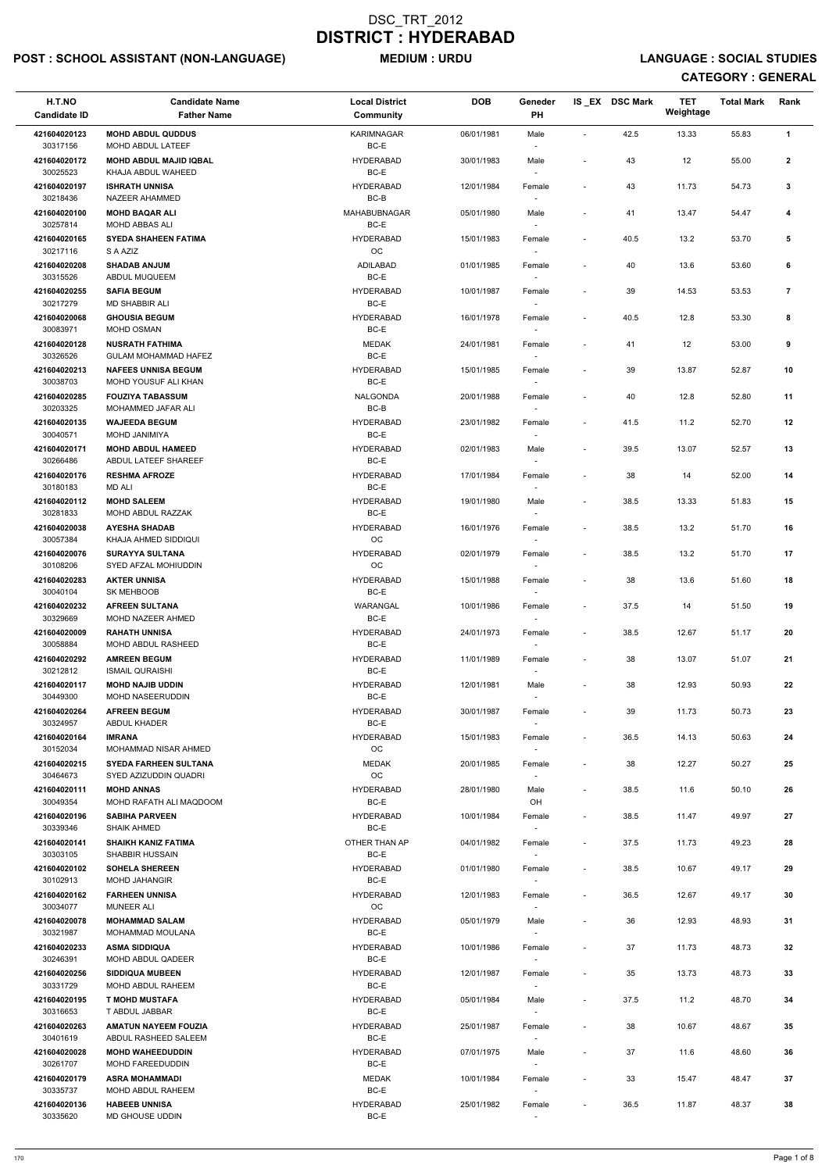# POST : SCHOOL ASSISTANT (NON-LANGUAGE) MEDIUM : URDU LANGUAGE : SOCIAL STUDIES

| H.T.NO<br><b>Candidate ID</b> | <b>Candidate Name</b><br><b>Father Name</b>               | <b>Local District</b><br>Community | <b>DOB</b> | Geneder<br><b>PH</b>               |                          | IS_EX DSC Mark | <b>TET</b><br>Weightage | <b>Total Mark</b> | Rank           |  |
|-------------------------------|-----------------------------------------------------------|------------------------------------|------------|------------------------------------|--------------------------|----------------|-------------------------|-------------------|----------------|--|
| 421604020123                  | <b>MOHD ABDUL QUDDUS</b>                                  | <b>KARIMNAGAR</b>                  | 06/01/1981 | Male                               | $\sim$                   | 42.5           | 13.33                   | 55.83             | $\mathbf{1}$   |  |
| 30317156                      | MOHD ABDUL LATEEF                                         | BC-E                               |            |                                    |                          |                |                         |                   |                |  |
| 421604020172<br>30025523      | <b>MOHD ABDUL MAJID IQBAL</b><br>KHAJA ABDUL WAHEED       | <b>HYDERABAD</b><br>BC-E           | 30/01/1983 | Male                               |                          | 43             | 12                      | 55.00             | $\mathbf{2}$   |  |
| 421604020197<br>30218436      | <b>ISHRATH UNNISA</b><br><b>NAZEER AHAMMED</b>            | <b>HYDERABAD</b><br>$BC-B$         | 12/01/1984 | Female                             |                          | 43             | 11.73                   | 54.73             | 3              |  |
| 421604020100                  | <b>MOHD BAQAR ALI</b>                                     | MAHABUBNAGAR                       | 05/01/1980 | Male                               |                          | 41             | 13.47                   | 54.47             | 4              |  |
| 30257814<br>421604020165      | MOHD ABBAS ALI<br><b>SYEDA SHAHEEN FATIMA</b>             | BC-E<br><b>HYDERABAD</b>           | 15/01/1983 | Female                             | $\blacksquare$           | 40.5           | 13.2                    | 53.70             | 5              |  |
| 30217116                      | S A AZIZ                                                  | OC                                 |            | $\overline{\phantom{a}}$           |                          |                |                         |                   |                |  |
| 421604020208<br>30315526      | <b>SHADAB ANJUM</b><br>ABDUL MUQUEEM                      | ADILABAD<br>BC-E                   | 01/01/1985 | Female                             |                          | 40             | 13.6                    | 53.60             | 6              |  |
| 421604020255<br>30217279      | <b>SAFIA BEGUM</b><br>MD SHABBIR ALI                      | <b>HYDERABAD</b><br>BC-E           | 10/01/1987 | Female                             | $\blacksquare$           | 39             | 14.53                   | 53.53             | $\overline{7}$ |  |
| 421604020068<br>30083971      | <b>GHOUSIA BEGUM</b><br>MOHD OSMAN                        | <b>HYDERABAD</b><br>BC-E           | 16/01/1978 | Female<br>$\sim$                   | $\overline{\phantom{a}}$ | 40.5           | 12.8                    | 53.30             | 8              |  |
| 421604020128                  | <b>NUSRATH FATHIMA</b>                                    | <b>MEDAK</b>                       | 24/01/1981 | Female                             | $\overline{\phantom{a}}$ | 41             | 12                      | 53.00             | 9              |  |
| 30326526<br>421604020213      | <b>GULAM MOHAMMAD HAFEZ</b><br><b>NAFEES UNNISA BEGUM</b> | BC-E<br><b>HYDERABAD</b>           | 15/01/1985 |                                    | $\overline{\phantom{a}}$ | 39             | 13.87                   | 52.87             | 10             |  |
| 30038703                      | MOHD YOUSUF ALI KHAN                                      | BC-E                               |            | Female                             |                          |                |                         |                   |                |  |
| 421604020285<br>30203325      | <b>FOUZIYA TABASSUM</b><br>MOHAMMED JAFAR ALI             | <b>NALGONDA</b><br>BC-B            | 20/01/1988 | Female                             |                          | 40             | 12.8                    | 52.80             | 11             |  |
| 421604020135                  | <b>WAJEEDA BEGUM</b>                                      | <b>HYDERABAD</b>                   | 23/01/1982 | Female                             | $\blacksquare$           | 41.5           | 11.2                    | 52.70             | 12             |  |
| 30040571<br>421604020171      | MOHD JANIMIYA<br><b>MOHD ABDUL HAMEED</b>                 | BC-E<br><b>HYDERABAD</b>           | 02/01/1983 | Male                               |                          | 39.5           | 13.07                   | 52.57             | 13             |  |
| 30266486                      | ABDUL LATEEF SHAREEF                                      | BC-E                               |            | $\overline{\phantom{a}}$           |                          |                |                         |                   |                |  |
| 421604020176<br>30180183      | <b>RESHMA AFROZE</b><br><b>MD ALI</b>                     | <b>HYDERABAD</b><br>BC-E           | 17/01/1984 | Female<br>$\overline{\phantom{a}}$ | $\blacksquare$           | 38             | 14                      | 52.00             | 14             |  |
| 421604020112<br>30281833      | <b>MOHD SALEEM</b><br>MOHD ABDUL RAZZAK                   | <b>HYDERABAD</b><br>BC-E           | 19/01/1980 | Male                               | $\sim$                   | 38.5           | 13.33                   | 51.83             | 15             |  |
| 421604020038<br>30057384      | <b>AYESHA SHADAB</b><br>KHAJA AHMED SIDDIQUI              | <b>HYDERABAD</b><br>ОC             | 16/01/1976 | Female<br>$\overline{\phantom{a}}$ | $\blacksquare$           | 38.5           | 13.2                    | 51.70             | 16             |  |
| 421604020076                  | <b>SURAYYA SULTANA</b>                                    | <b>HYDERABAD</b>                   | 02/01/1979 | Female                             |                          | 38.5           | 13.2                    | 51.70             | 17             |  |
| 30108206<br>421604020283      | SYED AFZAL MOHIUDDIN<br><b>AKTER UNNISA</b>               | <b>OC</b><br><b>HYDERABAD</b>      | 15/01/1988 | $\sim$<br>Female                   | $\blacksquare$           | 38             | 13.6                    | 51.60             | 18             |  |
| 30040104<br>421604020232      | SK MEHBOOB<br><b>AFREEN SULTANA</b>                       | BC-E<br>WARANGAL                   | 10/01/1986 |                                    | $\sim$                   | 37.5           | 14                      | 51.50             | 19             |  |
| 30329669                      | MOHD NAZEER AHMED                                         | BC-E                               |            | Female                             |                          |                |                         |                   |                |  |
| 421604020009<br>30058884      | <b>RAHATH UNNISA</b><br><b>MOHD ABDUL RASHEED</b>         | <b>HYDERABAD</b><br>BC-E           | 24/01/1973 | Female                             | $\overline{\phantom{a}}$ | 38.5           | 12.67                   | 51.17             | 20             |  |
| 421604020292<br>30212812      | <b>AMREEN BEGUM</b><br><b>ISMAIL QURAISHI</b>             | <b>HYDERABAD</b><br>BC-E           | 11/01/1989 | Female<br>$\overline{\phantom{a}}$ | $\blacksquare$           | 38             | 13.07                   | 51.07             | 21             |  |
| 421604020117                  | <b>MOHD NAJIB UDDIN</b>                                   | <b>HYDERABAD</b>                   | 12/01/1981 | Male                               |                          | 38             | 12.93                   | 50.93             | 22             |  |
| 30449300<br>421604020264      | <b>MOHD NASEERUDDIN</b><br><b>AFREEN BEGUM</b>            | BC-E<br><b>HYDERABAD</b>           | 30/01/1987 | Female                             | $\sim$                   | 39             | 11.73                   | 50.73             | 23             |  |
| 30324957                      | ABDUL KHADER                                              | BC-E                               |            |                                    |                          |                |                         |                   |                |  |
| 421604020164<br>30152034      | <b>IMRANA</b><br>MOHAMMAD NISAR AHMED                     | <b>HYDERABAD</b><br>OC             | 15/01/1983 | Female<br>$\sim$                   | $\sim$                   | 36.5           | 14.13                   | 50.63             | 24             |  |
| 421604020215<br>30464673      | <b>SYEDA FARHEEN SULTANA</b><br>SYED AZIZUDDIN QUADRI     | MEDAK<br>OC                        | 20/01/1985 | Female<br>$\sim$                   | $\overline{\phantom{a}}$ | 38             | 12.27                   | 50.27             | 25             |  |
| 421604020111<br>30049354      | <b>MOHD ANNAS</b><br>MOHD RAFATH ALI MAQDOOM              | <b>HYDERABAD</b><br>BC-E           | 28/01/1980 | Male<br>OH                         | $\overline{\phantom{a}}$ | 38.5           | 11.6                    | 50.10             | 26             |  |
| 421604020196                  | <b>SABIHA PARVEEN</b>                                     | <b>HYDERABAD</b>                   | 10/01/1984 | Female                             | $\blacksquare$           | 38.5           | 11.47                   | 49.97             | 27             |  |
| 30339346<br>421604020141      | <b>SHAIK AHMED</b><br><b>SHAIKH KANIZ FATIMA</b>          | BC-E<br>OTHER THAN AP              | 04/01/1982 | Female                             | $\overline{\phantom{a}}$ | 37.5           | 11.73                   | 49.23             | 28             |  |
| 30303105<br>421604020102      | <b>SHABBIR HUSSAIN</b><br><b>SOHELA SHEREEN</b>           | BC-E<br><b>HYDERABAD</b>           | 01/01/1980 | $\sim$<br>Female                   |                          | 38.5           | 10.67                   | 49.17             | 29             |  |
| 30102913                      | <b>MOHD JAHANGIR</b>                                      | BC-E                               |            | $\sim$                             |                          |                |                         |                   |                |  |
| 421604020162<br>30034077      | <b>FARHEEN UNNISA</b><br><b>MUNEER ALI</b>                | <b>HYDERABAD</b><br>OC             | 12/01/1983 | Female<br>$\overline{\phantom{a}}$ | $\overline{\phantom{a}}$ | 36.5           | 12.67                   | 49.17             | 30             |  |
| 421604020078                  | <b>MOHAMMAD SALAM</b>                                     | <b>HYDERABAD</b>                   | 05/01/1979 | Male                               |                          | 36             | 12.93                   | 48.93             | 31             |  |
| 30321987<br>421604020233      | MOHAMMAD MOULANA<br><b>ASMA SIDDIQUA</b>                  | BC-E<br><b>HYDERABAD</b>           | 10/01/1986 | Female                             | $\sim$                   | 37             | 11.73                   | 48.73             | 32             |  |
| 30246391                      | MOHD ABDUL QADEER                                         | BC-E                               |            |                                    |                          |                |                         |                   |                |  |
| 421604020256<br>30331729      | <b>SIDDIQUA MUBEEN</b><br>MOHD ABDUL RAHEEM               | <b>HYDERABAD</b><br>BC-E           | 12/01/1987 | Female<br>$\overline{\phantom{a}}$ |                          | 35             | 13.73                   | 48.73             | 33             |  |
| 421604020195<br>30316653      | <b>T MOHD MUSTAFA</b><br>T ABDUL JABBAR                   | <b>HYDERABAD</b><br>BC-E           | 05/01/1984 | Male<br>$\overline{\phantom{a}}$   |                          | 37.5           | 11.2                    | 48.70             | 34             |  |
| 421604020263                  | <b>AMATUN NAYEEM FOUZIA</b>                               | <b>HYDERABAD</b>                   | 25/01/1987 | Female                             | $\overline{\phantom{a}}$ | 38             | 10.67                   | 48.67             | 35             |  |
| 30401619<br>421604020028      | ABDUL RASHEED SALEEM<br><b>MOHD WAHEEDUDDIN</b>           | BC-E<br><b>HYDERABAD</b>           | 07/01/1975 | $\sim$<br>Male                     | $\sim$                   | 37             | 11.6                    | 48.60             | 36             |  |
| 30261707<br>421604020179      | MOHD FAREEDUDDIN<br><b>ASRA MOHAMMADI</b>                 | BC-E<br><b>MEDAK</b>               | 10/01/1984 | $\sim$<br>Female                   | $\blacksquare$           | 33             | 15.47                   | 48.47             | 37             |  |
| 30335737                      | MOHD ABDUL RAHEEM                                         | BC-E                               |            | $\sim$                             |                          |                |                         |                   |                |  |
| 421604020136<br>30335620      | <b>HABEEB UNNISA</b><br>MD GHOUSE UDDIN                   | <b>HYDERABAD</b><br>BC-E           | 25/01/1982 | Female                             |                          | 36.5           | 11.87                   | 48.37             | 38             |  |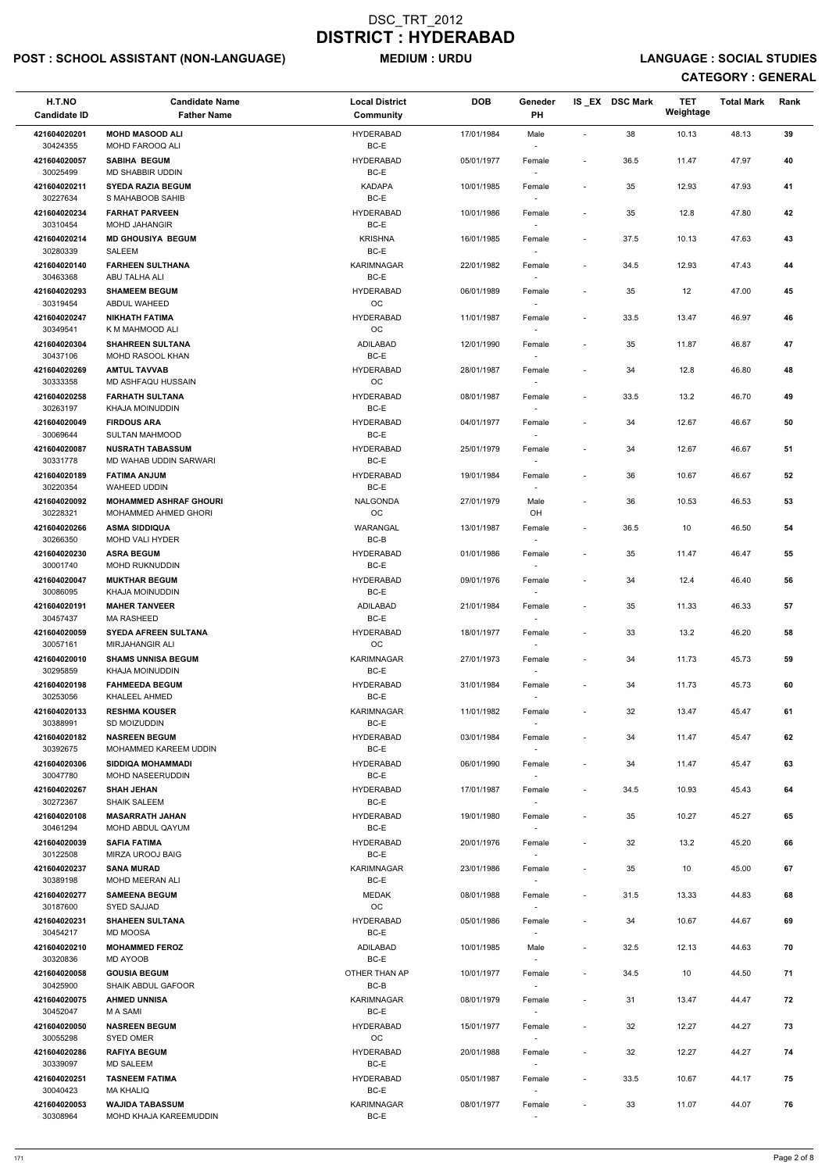# POST : SCHOOL ASSISTANT (NON-LANGUAGE) MEDIUM : URDU LANGUAGE : SOCIAL STUDIES

| H.T.NO<br><b>Candidate ID</b> | <b>Candidate Name</b><br><b>Father Name</b>           | <b>Local District</b><br>Community | <b>DOB</b> | Geneder<br>PH                      |                              | IS EX DSC Mark | <b>TET</b><br>Weightage | <b>Total Mark</b> | Rank |
|-------------------------------|-------------------------------------------------------|------------------------------------|------------|------------------------------------|------------------------------|----------------|-------------------------|-------------------|------|
| 421604020201<br>30424355      | <b>MOHD MASOOD ALI</b><br>MOHD FAROOQ ALI             | <b>HYDERABAD</b><br>BC-E           | 17/01/1984 | Male                               | $\blacksquare$               | 38             | 10.13                   | 48.13             | 39   |
| 421604020057<br>30025499      | <b>SABIHA BEGUM</b><br>MD SHABBIR UDDIN               | <b>HYDERABAD</b><br>BC-E           | 05/01/1977 | Female                             | $\overline{\phantom{a}}$     | 36.5           | 11.47                   | 47.97             | 40   |
| 421604020211                  | <b>SYEDA RAZIA BEGUM</b>                              | <b>KADAPA</b>                      | 10/01/1985 | Female                             | $\overline{\phantom{a}}$     | 35             | 12.93                   | 47.93             | 41   |
| 30227634<br>421604020234      | S MAHABOOB SAHIB<br><b>FARHAT PARVEEN</b>             | BC-E<br><b>HYDERABAD</b>           | 10/01/1986 | $\sim$<br>Female                   | $\overline{\phantom{a}}$     | 35             | 12.8                    | 47.80             | 42   |
| 30310454                      | <b>MOHD JAHANGIR</b>                                  | BC-E                               |            |                                    |                              |                |                         |                   |      |
| 421604020214<br>30280339      | <b>MD GHOUSIYA BEGUM</b><br><b>SALEEM</b>             | <b>KRISHNA</b><br>BC-E             | 16/01/1985 | Female                             | $\overline{\phantom{a}}$     | 37.5           | 10.13                   | 47.63             | 43   |
| 421604020140<br>30463368      | <b>FARHEEN SULTHANA</b><br>ABU TALHA ALI              | <b>KARIMNAGAR</b><br>BC-E          | 22/01/1982 | Female                             | $\overline{\phantom{a}}$     | 34.5           | 12.93                   | 47.43             | 44   |
| 421604020293<br>30319454      | <b>SHAMEEM BEGUM</b><br>ABDUL WAHEED                  | <b>HYDERABAD</b><br>OC             | 06/01/1989 | Female                             | $\overline{\phantom{a}}$     | 35             | 12                      | 47.00             | 45   |
| 421604020247<br>30349541      | <b>NIKHATH FATIMA</b><br>K M MAHMOOD ALI              | <b>HYDERABAD</b><br>OC             | 11/01/1987 | Female<br>$\sim$                   | $\overline{\phantom{a}}$     | 33.5           | 13.47                   | 46.97             | 46   |
| 421604020304<br>30437106      | <b>SHAHREEN SULTANA</b><br>MOHD RASOOL KHAN           | <b>ADILABAD</b><br>BC-E            | 12/01/1990 | Female                             | $\overline{\phantom{a}}$     | 35             | 11.87                   | 46.87             | 47   |
| 421604020269                  | <b>AMTUL TAVVAB</b>                                   | <b>HYDERABAD</b>                   | 28/01/1987 | Female                             | $\overline{\phantom{a}}$     | 34             | 12.8                    | 46.80             | 48   |
| 30333358<br>421604020258      | MD ASHFAQU HUSSAIN<br><b>FARHATH SULTANA</b>          | OC<br><b>HYDERABAD</b>             | 08/01/1987 | Female                             | $\overline{\phantom{a}}$     | 33.5           | 13.2                    | 46.70             | 49   |
| 30263197                      | KHAJA MOINUDDIN                                       | BC-E                               |            |                                    |                              |                |                         |                   |      |
| 421604020049<br>30069644      | <b>FIRDOUS ARA</b><br><b>SULTAN MAHMOOD</b>           | <b>HYDERABAD</b><br>BC-E           | 04/01/1977 | Female<br>$\sim$                   | $\overline{\phantom{a}}$     | 34             | 12.67                   | 46.67             | 50   |
| 421604020087                  | <b>NUSRATH TABASSUM</b>                               | <b>HYDERABAD</b>                   | 25/01/1979 | Female                             |                              | 34             | 12.67                   | 46.67             | 51   |
| 30331778<br>421604020189      | MD WAHAB UDDIN SARWARI<br><b>FATIMA ANJUM</b>         | BC-E<br><b>HYDERABAD</b>           | 19/01/1984 | Female                             | $\overline{\phantom{a}}$     | 36             | 10.67                   | 46.67             | 52   |
| 30220354                      | WAHEED UDDIN                                          | BC-E                               |            |                                    |                              |                |                         |                   |      |
| 421604020092<br>30228321      | <b>MOHAMMED ASHRAF GHOURI</b><br>MOHAMMED AHMED GHORI | NALGONDA<br>$_{\rm OC}$            | 27/01/1979 | Male<br>OH                         | $\overline{\phantom{a}}$     | 36             | 10.53                   | 46.53             | 53   |
| 421604020266<br>30266350      | <b>ASMA SIDDIQUA</b><br><b>MOHD VALI HYDER</b>        | WARANGAL<br>BC-B                   | 13/01/1987 | Female<br>$\overline{\phantom{a}}$ | $\overline{\phantom{a}}$     | 36.5           | 10                      | 46.50             | 54   |
| 421604020230<br>30001740      | <b>ASRA BEGUM</b><br><b>MOHD RUKNUDDIN</b>            | <b>HYDERABAD</b><br>BC-E           | 01/01/1986 | Female                             | $\overline{\phantom{a}}$     | 35             | 11.47                   | 46.47             | 55   |
| 421604020047<br>30086095      | <b>MUKTHAR BEGUM</b><br>KHAJA MOINUDDIN               | <b>HYDERABAD</b><br>BC-E           | 09/01/1976 | Female                             | $\overline{\phantom{a}}$     | 34             | 12.4                    | 46.40             | 56   |
| 421604020191                  | <b>MAHER TANVEER</b>                                  | ADILABAD                           | 21/01/1984 | Female                             | $\overline{\phantom{a}}$     | 35             | 11.33                   | 46.33             | 57   |
| 30457437<br>421604020059      | <b>MA RASHEED</b><br><b>SYEDA AFREEN SULTANA</b>      | BC-E<br><b>HYDERABAD</b>           | 18/01/1977 | $\overline{\phantom{a}}$<br>Female | $\overline{\phantom{a}}$     | 33             | 13.2                    | 46.20             | 58   |
| 30057161<br>421604020010      | MIRJAHANGIR ALI<br><b>SHAMS UNNISA BEGUM</b>          | OC<br><b>KARIMNAGAR</b>            | 27/01/1973 | Female                             | $\overline{\phantom{a}}$     | 34             | 11.73                   | 45.73             | 59   |
| 30295859<br>421604020198      | KHAJA MOINUDDIN<br><b>FAHMEEDA BEGUM</b>              | BC-E<br><b>HYDERABAD</b>           | 31/01/1984 | $\sim$<br>Female                   | $\qquad \qquad \blacksquare$ | 34             | 11.73                   | 45.73             | 60   |
| 30253056                      | KHALEEL AHMED                                         | BC-E                               |            |                                    |                              |                |                         |                   |      |
| 421604020133<br>30388991      | <b>RESHMA KOUSER</b><br>SD MOIZUDDIN                  | <b>KARIMNAGAR</b><br>BC-E          | 11/01/1982 | Female                             | $\overline{\phantom{a}}$     | 32             | 13.47                   | 45.47             | 61   |
| 421604020182<br>30392675      | <b>NASREEN BEGUM</b><br>MOHAMMED KAREEM UDDIN         | <b>HYDERABAD</b><br>BC-E           | 03/01/1984 | Female<br>$\overline{\phantom{a}}$ | $\overline{\phantom{a}}$     | 34             | 11.47                   | 45.47             | 62   |
| 421604020306<br>30047780      | <b>SIDDIQA MOHAMMADI</b><br>MOHD NASEERUDDIN          | <b>HYDERABAD</b><br>BC-E           | 06/01/1990 | Female<br>$\sim$                   | $\qquad \qquad \blacksquare$ | 34             | 11.47                   | 45.47             | 63   |
| 421604020267<br>30272367      | <b>SHAH JEHAN</b><br><b>SHAIK SALEEM</b>              | <b>HYDERABAD</b><br>BC-E           | 17/01/1987 | Female                             | $\overline{\phantom{a}}$     | 34.5           | 10.93                   | 45.43             | 64   |
| 421604020108                  | <b>MASARRATH JAHAN</b>                                | <b>HYDERABAD</b>                   | 19/01/1980 | Female                             | $\overline{\phantom{a}}$     | 35             | 10.27                   | 45.27             | 65   |
| 30461294<br>421604020039      | MOHD ABDUL QAYUM<br><b>SAFIA FATIMA</b>               | BC-E<br><b>HYDERABAD</b>           | 20/01/1976 | Female                             | $\overline{\phantom{a}}$     | 32             | 13.2                    | 45.20             | 66   |
| 30122508<br>421604020237      | MIRZA UROOJ BAIG<br><b>SANA MURAD</b>                 | BC-E<br><b>KARIMNAGAR</b>          | 23/01/1986 | $\sim$<br>Female                   | $\overline{\phantom{a}}$     | 35             | 10                      | 45.00             | 67   |
| 30389198                      | <b>MOHD MEERAN ALI</b>                                | BC-E                               |            |                                    |                              |                |                         |                   |      |
| 421604020277<br>30187600      | <b>SAMEENA BEGUM</b><br><b>SYED SAJJAD</b>            | <b>MEDAK</b><br>OC                 | 08/01/1988 | Female                             | $\overline{\phantom{a}}$     | 31.5           | 13.33                   | 44.83             | 68   |
| 421604020231<br>30454217      | <b>SHAHEEN SULTANA</b><br>MD MOOSA                    | <b>HYDERABAD</b><br>BC-E           | 05/01/1986 | Female                             | $\overline{\phantom{a}}$     | 34             | 10.67                   | 44.67             | 69   |
| 421604020210                  | <b>MOHAMMED FEROZ</b>                                 | <b>ADILABAD</b>                    | 10/01/1985 | Male                               | $\overline{\phantom{a}}$     | 32.5           | 12.13                   | 44.63             | 70   |
| 30320836<br>421604020058      | MD AYOOB<br><b>GOUSIA BEGUM</b>                       | BC-E<br>OTHER THAN AP              | 10/01/1977 | Female                             | $\overline{\phantom{a}}$     | 34.5           | 10                      | 44.50             | 71   |
| 30425900                      | SHAIK ABDUL GAFOOR                                    | BC-B                               |            | $\overline{\phantom{a}}$           |                              |                |                         |                   |      |
| 421604020075<br>30452047      | <b>AHMED UNNISA</b><br>M A SAMI                       | <b>KARIMNAGAR</b><br>$BC-E$        | 08/01/1979 | Female                             | $\qquad \qquad \blacksquare$ | 31             | 13.47                   | 44.47             | 72   |
| 421604020050<br>30055298      | <b>NASREEN BEGUM</b><br><b>SYED OMER</b>              | <b>HYDERABAD</b><br>OC             | 15/01/1977 | Female<br>$\sim$                   | $\overline{\phantom{a}}$     | 32             | 12.27                   | 44.27             | 73   |
| 421604020286                  | <b>RAFIYA BEGUM</b>                                   | <b>HYDERABAD</b>                   | 20/01/1988 | Female                             | $\overline{\phantom{a}}$     | 32             | 12.27                   | 44.27             | 74   |
| 30339097<br>421604020251      | <b>MD SALEEM</b><br><b>TASNEEM FATIMA</b>             | BC-E<br><b>HYDERABAD</b>           | 05/01/1987 | $\overline{\phantom{a}}$<br>Female | $\overline{\phantom{a}}$     | 33.5           | 10.67                   | 44.17             | 75   |
| 30040423<br>421604020053      | <b>MA KHALIQ</b><br><b>WAJIDA TABASSUM</b>            | BC-E<br><b>KARIMNAGAR</b>          | 08/01/1977 | $\sim$<br>Female                   | $\qquad \qquad \blacksquare$ | 33             | 11.07                   | 44.07             | 76   |
| 30308964                      | MOHD KHAJA KAREEMUDDIN                                | $BC-E$                             |            |                                    |                              |                |                         |                   |      |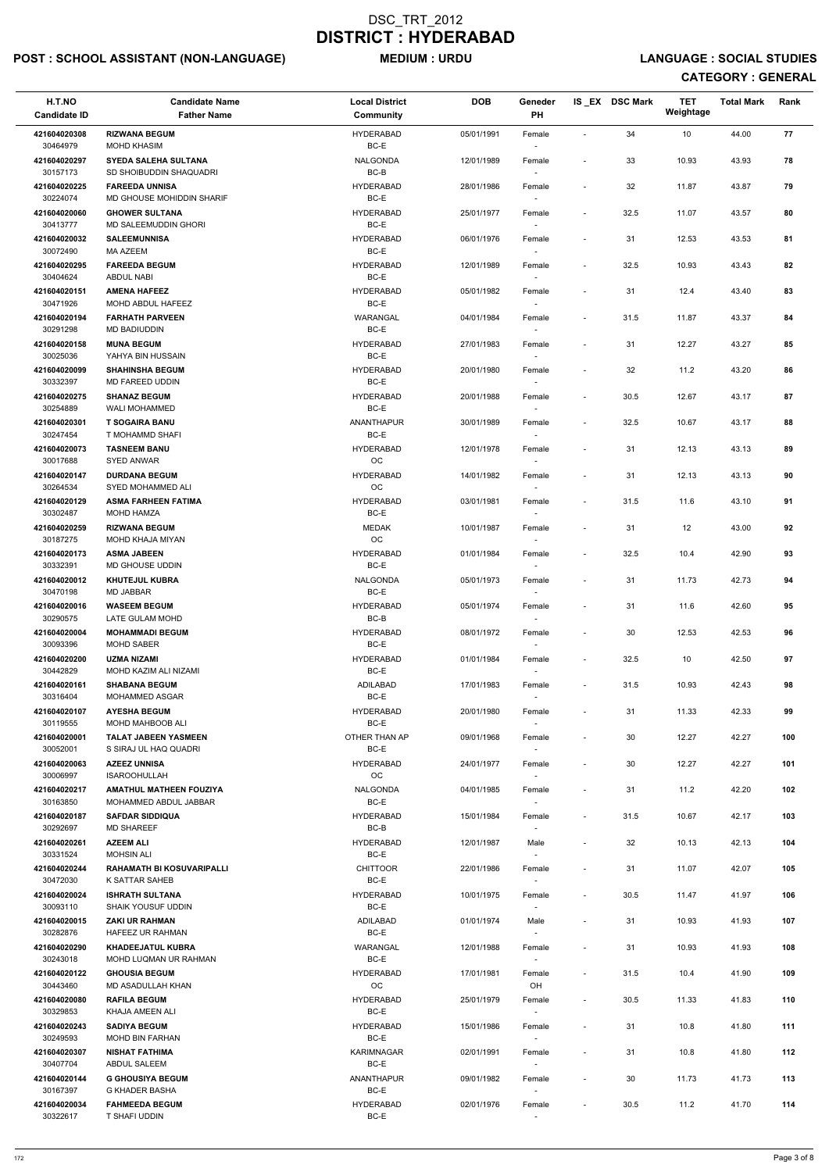# POST : SCHOOL ASSISTANT (NON-LANGUAGE) MEDIUM : URDU LANGUAGE : SOCIAL STUDIES

| H.T.NO<br><b>Candidate ID</b> | <b>Candidate Name</b><br><b>Father Name</b>             | <b>Local District</b><br><b>Community</b> | <b>DOB</b> | Geneder<br>PH                      |                              | IS_EX DSC Mark | <b>TET</b><br>Weightage | <b>Total Mark</b> | Rank |
|-------------------------------|---------------------------------------------------------|-------------------------------------------|------------|------------------------------------|------------------------------|----------------|-------------------------|-------------------|------|
| 421604020308<br>30464979      | <b>RIZWANA BEGUM</b><br><b>MOHD KHASIM</b>              | <b>HYDERABAD</b><br>BC-E                  | 05/01/1991 | Female                             |                              | 34             | 10                      | 44.00             | 77   |
| 421604020297                  | <b>SYEDA SALEHA SULTANA</b>                             | <b>NALGONDA</b>                           | 12/01/1989 | Female                             | $\overline{\phantom{a}}$     | 33             | 10.93                   | 43.93             | 78   |
| 30157173<br>421604020225      | SD SHOIBUDDIN SHAQUADRI<br><b>FAREEDA UNNISA</b>        | $BC-B$<br><b>HYDERABAD</b>                | 28/01/1986 | Female                             | $\overline{\phantom{a}}$     | 32             | 11.87                   | 43.87             | 79   |
| 30224074<br>421604020060      | MD GHOUSE MOHIDDIN SHARIF<br><b>GHOWER SULTANA</b>      | BC-E<br><b>HYDERABAD</b>                  | 25/01/1977 | $\overline{\phantom{a}}$<br>Female | $\overline{\phantom{a}}$     | 32.5           | 11.07                   | 43.57             | 80   |
| 30413777                      | MD SALEEMUDDIN GHORI                                    | BC-E                                      |            |                                    |                              |                |                         |                   |      |
| 421604020032<br>30072490      | <b>SALEEMUNNISA</b><br><b>MA AZEEM</b>                  | <b>HYDERABAD</b><br>BC-E                  | 06/01/1976 | Female<br>$\overline{\phantom{a}}$ | $\overline{\phantom{a}}$     | 31             | 12.53                   | 43.53             | 81   |
| 421604020295<br>30404624      | <b>FAREEDA BEGUM</b><br><b>ABDUL NABI</b>               | <b>HYDERABAD</b><br>BC-E                  | 12/01/1989 | Female                             | $\overline{\phantom{a}}$     | 32.5           | 10.93                   | 43.43             | 82   |
| 421604020151<br>30471926      | <b>AMENA HAFEEZ</b><br>MOHD ABDUL HAFEEZ                | <b>HYDERABAD</b><br>BC-E                  | 05/01/1982 | Female                             | $\overline{\phantom{a}}$     | 31             | 12.4                    | 43.40             | 83   |
| 421604020194<br>30291298      | <b>FARHATH PARVEEN</b><br>MD BADIUDDIN                  | WARANGAL<br>BC-E                          | 04/01/1984 | Female                             | $\qquad \qquad \blacksquare$ | 31.5           | 11.87                   | 43.37             | 84   |
| 421604020158                  | <b>MUNA BEGUM</b>                                       | <b>HYDERABAD</b>                          | 27/01/1983 | Female                             | $\overline{\phantom{a}}$     | 31             | 12.27                   | 43.27             | 85   |
| 30025036<br>421604020099      | YAHYA BIN HUSSAIN<br><b>SHAHINSHA BEGUM</b>             | BC-E<br><b>HYDERABAD</b>                  | 20/01/1980 | $\sim$<br>Female                   | $\overline{\phantom{a}}$     | 32             | 11.2                    | 43.20             | 86   |
| 30332397<br>421604020275      | MD FAREED UDDIN<br><b>SHANAZ BEGUM</b>                  | BC-E<br><b>HYDERABAD</b>                  | 20/01/1988 | Female                             | $\overline{\phantom{a}}$     | 30.5           | 12.67                   | 43.17             | 87   |
| 30254889<br>421604020301      | <b>WALI MOHAMMED</b><br><b>T SOGAIRA BANU</b>           | BC-E<br>ANANTHAPUR                        | 30/01/1989 | Female                             | $\overline{\phantom{a}}$     | 32.5           | 10.67                   | 43.17             | 88   |
| 30247454                      | T MOHAMMD SHAFI                                         | BC-E                                      |            | $\sim$                             |                              |                |                         |                   |      |
| 421604020073<br>30017688      | <b>TASNEEM BANU</b><br>SYED ANWAR                       | <b>HYDERABAD</b><br>OC                    | 12/01/1978 | Female                             | $\overline{\phantom{a}}$     | 31             | 12.13                   | 43.13             | 89   |
| 421604020147<br>30264534      | <b>DURDANA BEGUM</b><br>SYED MOHAMMED ALI               | <b>HYDERABAD</b><br>OC                    | 14/01/1982 | Female                             | $\overline{\phantom{a}}$     | 31             | 12.13                   | 43.13             | 90   |
| 421604020129                  | <b>ASMA FARHEEN FATIMA</b>                              | <b>HYDERABAD</b>                          | 03/01/1981 | Female                             | $\overline{\phantom{a}}$     | 31.5           | 11.6                    | 43.10             | 91   |
| 30302487<br>421604020259      | MOHD HAMZA<br><b>RIZWANA BEGUM</b>                      | BC-E<br><b>MEDAK</b>                      | 10/01/1987 | Female                             | $\overline{\phantom{a}}$     | 31             | 12                      | 43.00             | 92   |
| 30187275<br>421604020173      | MOHD KHAJA MIYAN<br><b>ASMA JABEEN</b>                  | OС<br><b>HYDERABAD</b>                    | 01/01/1984 | $\overline{\phantom{a}}$<br>Female | $\overline{\phantom{a}}$     | 32.5           | 10.4                    | 42.90             | 93   |
| 30332391<br>421604020012      | MD GHOUSE UDDIN<br><b>KHUTEJUL KUBRA</b>                | BC-E<br><b>NALGONDA</b>                   | 05/01/1973 | Female                             | $\overline{\phantom{a}}$     | 31             | 11.73                   | 42.73             | 94   |
| 30470198<br>421604020016      | MD JABBAR<br><b>WASEEM BEGUM</b>                        | BC-E<br><b>HYDERABAD</b>                  | 05/01/1974 | Female                             | $\overline{\phantom{a}}$     | 31             | 11.6                    | 42.60             | 95   |
| 30290575<br>421604020004      | LATE GULAM MOHD<br><b>MOHAMMADI BEGUM</b>               | BC-B<br><b>HYDERABAD</b>                  | 08/01/1972 | $\overline{\phantom{a}}$<br>Female | $\overline{\phantom{a}}$     | 30             | 12.53                   | 42.53             | 96   |
| 30093396                      | <b>MOHD SABER</b>                                       | BC-E                                      |            |                                    |                              |                |                         |                   |      |
| 421604020200<br>30442829      | <b>UZMA NIZAMI</b><br>MOHD KAZIM ALI NIZAMI             | <b>HYDERABAD</b><br>BC-E                  | 01/01/1984 | Female<br>$\overline{\phantom{a}}$ | $\overline{\phantom{a}}$     | 32.5           | 10                      | 42.50             | 97   |
| 421604020161<br>30316404      | <b>SHABANA BEGUM</b><br><b>MOHAMMED ASGAR</b>           | ADILABAD<br>BC-E                          | 17/01/1983 | Female                             | $\overline{\phantom{a}}$     | 31.5           | 10.93                   | 42.43             | 98   |
| 421604020107                  | <b>AYESHA BEGUM</b>                                     | <b>HYDERABAD</b>                          | 20/01/1980 | Female                             | $\overline{\phantom{a}}$     | 31             | 11.33                   | 42.33             | 99   |
| 30119555<br>421604020001      | <b>MOHD MAHBOOB ALI</b><br><b>TALAT JABEEN YASMEEN</b>  | BC-E<br>OTHER THAN AP                     | 09/01/1968 | Female                             | $\qquad \qquad \blacksquare$ | 30             | 12.27                   | 42.27             | 100  |
| 30052001                      | S SIRAJ UL HAQ QUADRI                                   | BC-E                                      |            |                                    |                              |                |                         |                   |      |
| 421604020063<br>30006997      | <b>AZEEZ UNNISA</b><br><b>ISAROOHULLAH</b>              | <b>HYDERABAD</b><br><b>OC</b>             | 24/01/1977 | Female<br>$\overline{\phantom{a}}$ | $\overline{\phantom{a}}$     | 30             | 12.27                   | 42.27             | 101  |
| 421604020217<br>30163850      | <b>AMATHUL MATHEEN FOUZIYA</b><br>MOHAMMED ABDUL JABBAR | <b>NALGONDA</b><br>BC-E                   | 04/01/1985 | Female                             | $\overline{\phantom{a}}$     | 31             | 11.2                    | 42.20             | 102  |
| 421604020187<br>30292697      | <b>SAFDAR SIDDIQUA</b><br><b>MD SHAREEF</b>             | <b>HYDERABAD</b><br>BC-B                  | 15/01/1984 | Female                             | $\overline{\phantom{a}}$     | 31.5           | 10.67                   | 42.17             | 103  |
| 421604020261<br>30331524      | <b>AZEEM ALI</b><br><b>MOHSIN ALI</b>                   | <b>HYDERABAD</b><br>BC-E                  | 12/01/1987 | Male<br>$\overline{\phantom{a}}$   | $\overline{\phantom{a}}$     | 32             | 10.13                   | 42.13             | 104  |
| 421604020244                  | <b>RAHAMATH BI KOSUVARIPALLI</b>                        | <b>CHITTOOR</b>                           | 22/01/1986 | Female                             | $\qquad \qquad \blacksquare$ | 31             | 11.07                   | 42.07             | 105  |
| 30472030<br>421604020024      | K SATTAR SAHEB<br><b>ISHRATH SULTANA</b>                | BC-E<br><b>HYDERABAD</b>                  | 10/01/1975 | Female                             | $\overline{\phantom{a}}$     | 30.5           | 11.47                   | 41.97             | 106  |
| 30093110<br>421604020015      | <b>SHAIK YOUSUF UDDIN</b><br><b>ZAKI UR RAHMAN</b>      | BC-E<br>ADILABAD                          | 01/01/1974 | Male                               | $\overline{\phantom{a}}$     | 31             | 10.93                   | 41.93             | 107  |
| 30282876                      | HAFEEZ UR RAHMAN                                        | BC-E                                      |            |                                    |                              |                |                         |                   |      |
| 421604020290<br>30243018      | <b>KHADEEJATUL KUBRA</b><br>MOHD LUQMAN UR RAHMAN       | WARANGAL<br>BC-E                          | 12/01/1988 | Female                             | $\overline{\phantom{a}}$     | 31             | 10.93                   | 41.93             | 108  |
| 421604020122                  | <b>GHOUSIA BEGUM</b>                                    | <b>HYDERABAD</b>                          | 17/01/1981 | Female                             | $\overline{\phantom{a}}$     | 31.5           | 10.4                    | 41.90             | 109  |
| 30443460<br>421604020080      | MD ASADULLAH KHAN<br><b>RAFILA BEGUM</b>                | $_{\rm OC}$<br><b>HYDERABAD</b>           | 25/01/1979 | OH<br>Female                       | $\qquad \qquad \blacksquare$ | 30.5           | 11.33                   | 41.83             | 110  |
| 30329853                      | KHAJA AMEEN ALI                                         | BC-E                                      |            | $\overline{\phantom{a}}$           |                              |                |                         |                   |      |
| 421604020243<br>30249593      | <b>SADIYA BEGUM</b><br>MOHD BIN FARHAN                  | <b>HYDERABAD</b><br>BC-E                  | 15/01/1986 | Female<br>$\overline{\phantom{a}}$ | $\overline{\phantom{a}}$     | 31             | 10.8                    | 41.80             | 111  |
| 421604020307<br>30407704      | <b>NISHAT FATHIMA</b><br>ABDUL SALEEM                   | KARIMNAGAR<br>BC-E                        | 02/01/1991 | Female<br>$\overline{\phantom{a}}$ | $\overline{\phantom{a}}$     | 31             | 10.8                    | 41.80             | 112  |
| 421604020144<br>30167397      | <b>G GHOUSIYA BEGUM</b><br><b>G KHADER BASHA</b>        | ANANTHAPUR<br>BC-E                        | 09/01/1982 | Female<br>$\overline{\phantom{a}}$ | $\overline{\phantom{a}}$     | 30             | 11.73                   | 41.73             | 113  |
| 421604020034                  | <b>FAHMEEDA BEGUM</b>                                   | <b>HYDERABAD</b>                          | 02/01/1976 | Female                             | $\overline{\phantom{a}}$     | 30.5           | 11.2                    | 41.70             | 114  |
| 30322617                      | T SHAFI UDDIN                                           | $BC-E$                                    |            |                                    |                              |                |                         |                   |      |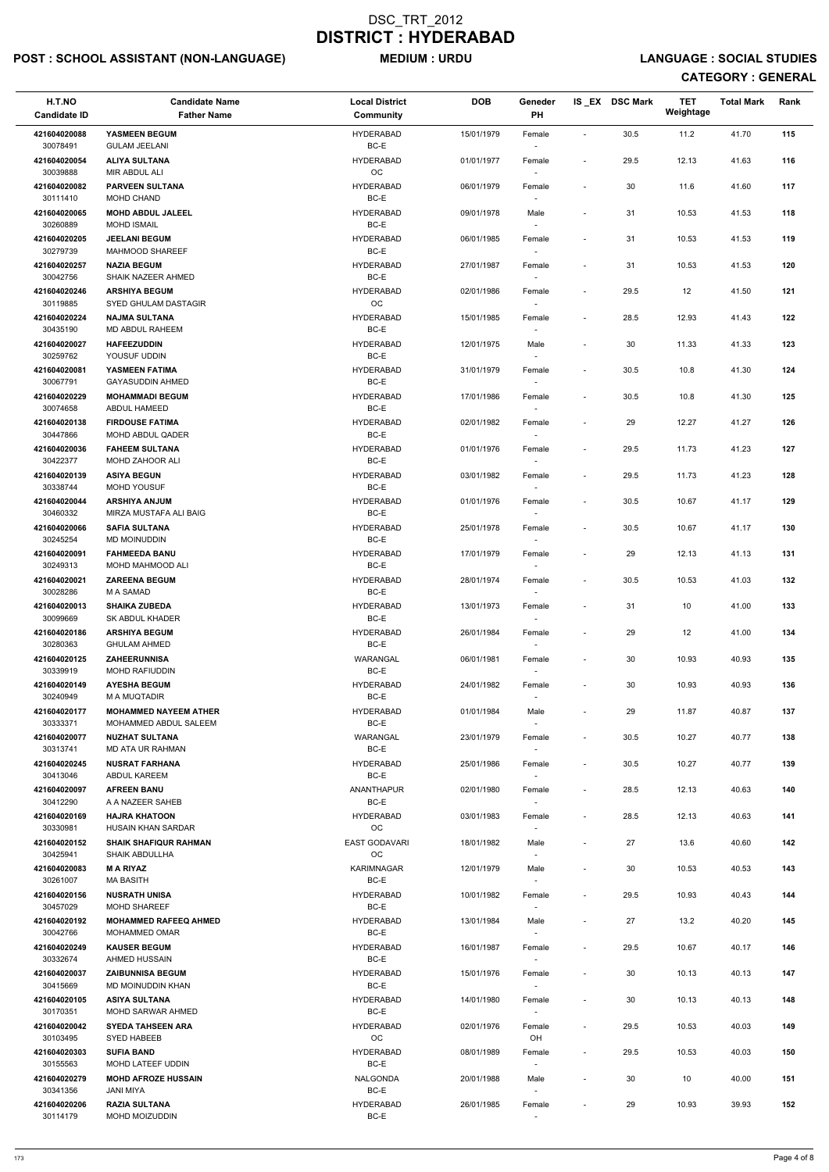# POST : SCHOOL ASSISTANT (NON-LANGUAGE) MEDIUM : URDU LANGUAGE : SOCIAL STUDIES

| H.T.NO<br><b>Candidate ID</b> | <b>Candidate Name</b><br><b>Father Name</b>           | <b>Local District</b><br>Community | <b>DOB</b> | Geneder<br>PH                      |                          | IS_EX DSC Mark | <b>TET</b><br>Weightage | <b>Total Mark</b> | Rank |
|-------------------------------|-------------------------------------------------------|------------------------------------|------------|------------------------------------|--------------------------|----------------|-------------------------|-------------------|------|
| 421604020088<br>30078491      | YASMEEN BEGUM<br><b>GULAM JEELANI</b>                 | <b>HYDERABAD</b><br>BC-E           | 15/01/1979 | Female                             | $\sim$                   | 30.5           | 11.2                    | 41.70             | 115  |
| 421604020054<br>30039888      | <b>ALIYA SULTANA</b><br>MIR ABDUL ALI                 | <b>HYDERABAD</b><br>OC             | 01/01/1977 | Female                             | $\overline{\phantom{a}}$ | 29.5           | 12.13                   | 41.63             | 116  |
| 421604020082<br>30111410      | <b>PARVEEN SULTANA</b><br>MOHD CHAND                  | <b>HYDERABAD</b><br>$BC-E$         | 06/01/1979 | Female                             | $\overline{\phantom{a}}$ | 30             | 11.6                    | 41.60             | 117  |
| 421604020065                  | <b>MOHD ABDUL JALEEL</b>                              | <b>HYDERABAD</b>                   | 09/01/1978 | Male                               | $\overline{\phantom{a}}$ | 31             | 10.53                   | 41.53             | 118  |
| 30260889<br>421604020205      | <b>MOHD ISMAIL</b><br><b>JEELANI BEGUM</b>            | BC-E<br><b>HYDERABAD</b>           | 06/01/1985 | Female                             | $\overline{a}$           | 31             | 10.53                   | 41.53             | 119  |
| 30279739                      | <b>MAHMOOD SHAREEF</b><br><b>NAZIA BEGUM</b>          | BC-E                               |            |                                    |                          |                |                         |                   |      |
| 421604020257<br>30042756      | SHAIK NAZEER AHMED                                    | <b>HYDERABAD</b><br>$BC-E$         | 27/01/1987 | Female                             | $\overline{\phantom{a}}$ | 31             | 10.53                   | 41.53             | 120  |
| 421604020246<br>30119885      | <b>ARSHIYA BEGUM</b><br>SYED GHULAM DASTAGIR          | <b>HYDERABAD</b><br>OC             | 02/01/1986 | Female                             | $\overline{\phantom{a}}$ | 29.5           | 12                      | 41.50             | 121  |
| 421604020224<br>30435190      | <b>NAJMA SULTANA</b><br>MD ABDUL RAHEEM               | <b>HYDERABAD</b><br>BC-E           | 15/01/1985 | Female<br>$\overline{\phantom{a}}$ | $\overline{\phantom{a}}$ | 28.5           | 12.93                   | 41.43             | 122  |
| 421604020027<br>30259762      | <b>HAFEEZUDDIN</b><br>YOUSUF UDDIN                    | <b>HYDERABAD</b>                   | 12/01/1975 | Male                               | $\overline{\phantom{a}}$ | 30             | 11.33                   | 41.33             | 123  |
| 421604020081                  | YASMEEN FATIMA                                        | BC-E<br><b>HYDERABAD</b>           | 31/01/1979 | Female                             | $\overline{\phantom{a}}$ | 30.5           | 10.8                    | 41.30             | 124  |
| 30067791<br>421604020229      | <b>GAYASUDDIN AHMED</b><br><b>MOHAMMADI BEGUM</b>     | BC-E<br><b>HYDERABAD</b>           | 17/01/1986 | Female                             | $\overline{\phantom{a}}$ | 30.5           | 10.8                    | 41.30             | 125  |
| 30074658                      | ABDUL HAMEED                                          | $BC-E$<br><b>HYDERABAD</b>         |            |                                    |                          |                |                         |                   |      |
| 421604020138<br>30447866      | <b>FIRDOUSE FATIMA</b><br>MOHD ABDUL QADER            | $BC-E$                             | 02/01/1982 | Female                             | $\overline{\phantom{a}}$ | 29             | 12.27                   | 41.27             | 126  |
| 421604020036<br>30422377      | <b>FAHEEM SULTANA</b><br>MOHD ZAHOOR ALI              | <b>HYDERABAD</b><br>BC-E           | 01/01/1976 | Female                             | $\overline{\phantom{a}}$ | 29.5           | 11.73                   | 41.23             | 127  |
| 421604020139<br>30338744      | <b>ASIYA BEGUN</b><br><b>MOHD YOUSUF</b>              | <b>HYDERABAD</b><br>BC-E           | 03/01/1982 | Female                             | $\overline{\phantom{a}}$ | 29.5           | 11.73                   | 41.23             | 128  |
| 421604020044                  | <b>ARSHIYA ANJUM</b>                                  | <b>HYDERABAD</b>                   | 01/01/1976 | Female                             | $\overline{\phantom{a}}$ | 30.5           | 10.67                   | 41.17             | 129  |
| 30460332<br>421604020066      | MIRZA MUSTAFA ALI BAIG<br><b>SAFIA SULTANA</b>        | BC-E<br><b>HYDERABAD</b>           | 25/01/1978 | Female                             | $\overline{\phantom{a}}$ | 30.5           | 10.67                   | 41.17             | 130  |
| 30245254<br>421604020091      | <b>MD MOINUDDIN</b><br><b>FAHMEEDA BANU</b>           | BC-E<br><b>HYDERABAD</b>           | 17/01/1979 | $\overline{\phantom{a}}$<br>Female |                          | 29             | 12.13                   | 41.13             | 131  |
| 30249313<br>421604020021      | MOHD MAHMOOD ALI<br><b>ZAREENA BEGUM</b>              | BC-E<br><b>HYDERABAD</b>           | 28/01/1974 | Female                             | $\overline{\phantom{a}}$ | 30.5           | 10.53                   | 41.03             | 132  |
| 30028286                      | M A SAMAD                                             | $BC-E$                             |            |                                    |                          |                |                         |                   |      |
| 421604020013<br>30099669      | <b>SHAIKA ZUBEDA</b><br><b>SK ABDUL KHADER</b>        | <b>HYDERABAD</b><br>BC-E           | 13/01/1973 | Female                             | $\overline{\phantom{a}}$ | 31             | 10                      | 41.00             | 133  |
| 421604020186<br>30280363      | <b>ARSHIYA BEGUM</b><br><b>GHULAM AHMED</b>           | <b>HYDERABAD</b><br>BC-E           | 26/01/1984 | Female                             | $\overline{\phantom{a}}$ | 29             | 12                      | 41.00             | 134  |
| 421604020125<br>30339919      | <b>ZAHEERUNNISA</b><br>MOHD RAFIUDDIN                 | WARANGAL<br>BC-E                   | 06/01/1981 | Female<br>$\overline{\phantom{a}}$ | $\overline{\phantom{a}}$ | 30             | 10.93                   | 40.93             | 135  |
| 421604020149<br>30240949      | <b>AYESHA BEGUM</b><br>M A MUQTADIR                   | HYDERABAD<br>BC-E                  | 24/01/1982 | Female                             | $\overline{a}$           | 30             | 10.93                   | 40.93             | 136  |
| 421604020177                  | <b>MOHAMMED NAYEEM ATHER</b>                          | <b>HYDERABAD</b>                   | 01/01/1984 | Male                               | $\overline{\phantom{a}}$ | 29             | 11.87                   | 40.87             | 137  |
| 30333371<br>421604020077      | MOHAMMED ABDUL SALEEM<br><b>NUZHAT SULTANA</b>        | BC-E<br>WARANGAL                   | 23/01/1979 | Female                             | $\blacksquare$           | 30.5           | 10.27                   | 40.77             | 138  |
| 30313741<br>421604020245      | <b>MD ATA UR RAHMAN</b><br><b>NUSRAT FARHANA</b>      | BC-E<br><b>HYDERABAD</b>           | 25/01/1986 | $\sim$<br>Female                   | $\overline{\phantom{a}}$ | 30.5           | 10.27                   | 40.77             | 139  |
| 30413046                      | <b>ABDUL KAREEM</b>                                   | BC-E                               |            | $\sim$                             |                          |                |                         |                   |      |
| 421604020097<br>30412290      | <b>AFREEN BANU</b><br>A A NAZEER SAHEB                | ANANTHAPUR<br>BC-E                 | 02/01/1980 | Female                             | $\overline{\phantom{a}}$ | 28.5           | 12.13                   | 40.63             | 140  |
| 421604020169<br>30330981      | <b>HAJRA KHATOON</b><br>HUSAIN KHAN SARDAR            | <b>HYDERABAD</b><br><b>OC</b>      | 03/01/1983 | Female                             | $\overline{\phantom{a}}$ | 28.5           | 12.13                   | 40.63             | 141  |
| 421604020152<br>30425941      | <b>SHAIK SHAFIQUR RAHMAN</b><br><b>SHAIK ABDULLHA</b> | <b>EAST GODAVARI</b><br>OC         | 18/01/1982 | Male                               | $\blacksquare$           | 27             | 13.6                    | 40.60             | 142  |
| 421604020083                  | <b>MARIYAZ</b>                                        | <b>KARIMNAGAR</b>                  | 12/01/1979 | Male                               | $\overline{\phantom{a}}$ | 30             | 10.53                   | 40.53             | 143  |
| 30261007<br>421604020156      | <b>MA BASITH</b><br><b>NUSRATH UNISA</b>              | BC-E<br><b>HYDERABAD</b>           | 10/01/1982 | $\overline{\phantom{a}}$<br>Female | $\overline{\phantom{a}}$ | 29.5           | 10.93                   | 40.43             | 144  |
| 30457029<br>421604020192      | <b>MOHD SHAREEF</b><br><b>MOHAMMED RAFEEQ AHMED</b>   | BC-E<br><b>HYDERABAD</b>           | 13/01/1984 | Male                               | $\overline{\phantom{a}}$ | 27             | 13.2                    | 40.20             | 145  |
| 30042766                      | <b>MOHAMMED OMAR</b>                                  | BC-E                               |            |                                    |                          |                |                         |                   |      |
| 421604020249<br>30332674      | <b>KAUSER BEGUM</b><br>AHMED HUSSAIN                  | <b>HYDERABAD</b><br>BC-E           | 16/01/1987 | Female                             | $\overline{\phantom{a}}$ | 29.5           | 10.67                   | 40.17             | 146  |
| 421604020037<br>30415669      | <b>ZAIBUNNISA BEGUM</b><br>MD MOINUDDIN KHAN          | <b>HYDERABAD</b><br>BC-E           | 15/01/1976 | Female<br>$\overline{\phantom{a}}$ | $\overline{\phantom{a}}$ | 30             | 10.13                   | 40.13             | 147  |
| 421604020105<br>30170351      | <b>ASIYA SULTANA</b><br><b>MOHD SARWAR AHMED</b>      | <b>HYDERABAD</b><br>BC-E           | 14/01/1980 | Female                             | $\overline{\phantom{a}}$ | 30             | 10.13                   | 40.13             | 148  |
| 421604020042                  | <b>SYEDA TAHSEEN ARA</b>                              | <b>HYDERABAD</b>                   | 02/01/1976 | Female                             | $\overline{\phantom{a}}$ | 29.5           | 10.53                   | 40.03             | 149  |
| 30103495<br>421604020303      | SYED HABEEB<br><b>SUFIA BAND</b>                      | ОC<br><b>HYDERABAD</b>             | 08/01/1989 | OH<br>Female                       | $\overline{\phantom{a}}$ | 29.5           | 10.53                   | 40.03             | 150  |
| 30155563<br>421604020279      | MOHD LATEEF UDDIN<br><b>MOHD AFROZE HUSSAIN</b>       | BC-E<br>NALGONDA                   | 20/01/1988 | $\overline{\phantom{a}}$           | $\overline{\phantom{m}}$ |                |                         | 40.00             | 151  |
| 30341356                      | JANI MIYA                                             | BC-E                               |            | Male<br>$\overline{\phantom{a}}$   |                          | 30             | 10                      |                   |      |
| 421604020206<br>30114179      | <b>RAZIA SULTANA</b><br>MOHD MOIZUDDIN                | <b>HYDERABAD</b><br>BC-E           | 26/01/1985 | Female                             | $\overline{a}$           | 29             | 10.93                   | 39.93             | 152  |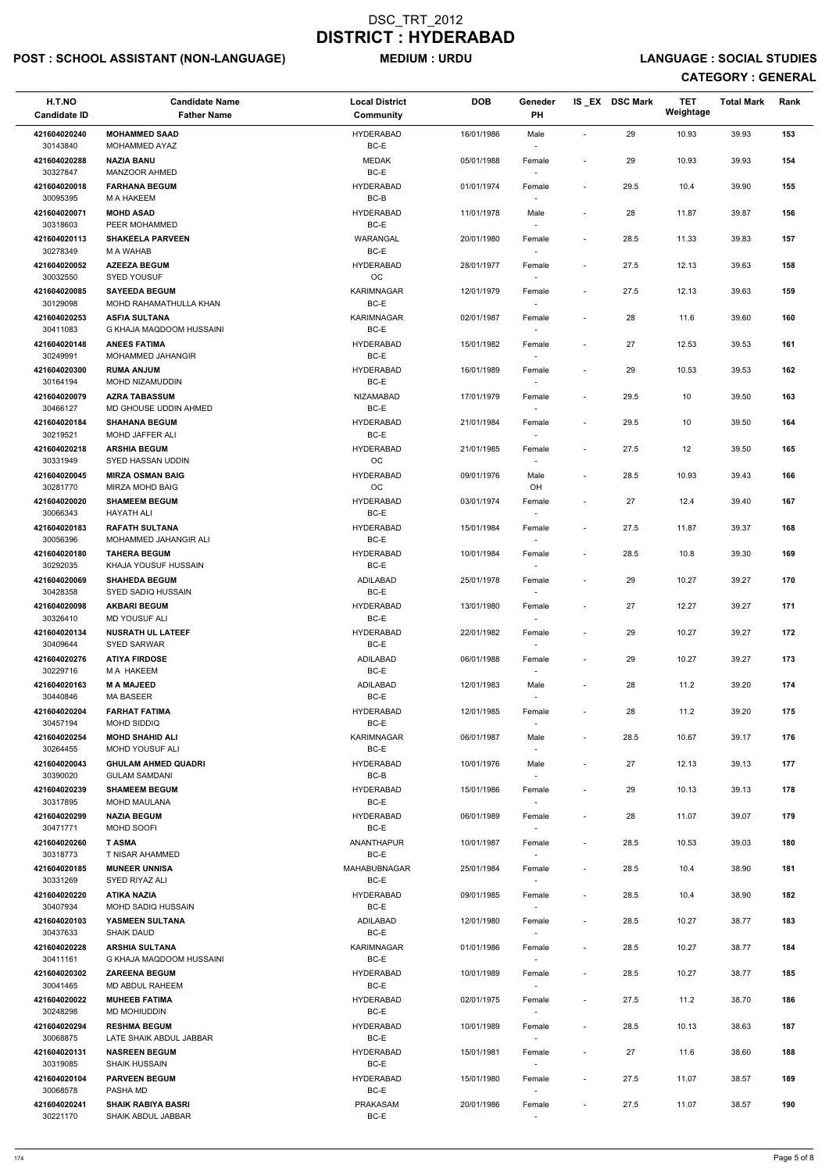# POST : SCHOOL ASSISTANT (NON-LANGUAGE) MEDIUM : URDU LANGUAGE : SOCIAL STUDIES

| H.T.NO<br><b>Candidate ID</b> | <b>Candidate Name</b><br><b>Father Name</b>        | <b>Local District</b><br>Community | <b>DOB</b> | Geneder<br>PH                      |                          | IS_EX DSC Mark | <b>TET</b><br>Weightage | <b>Total Mark</b> | Rank |
|-------------------------------|----------------------------------------------------|------------------------------------|------------|------------------------------------|--------------------------|----------------|-------------------------|-------------------|------|
| 421604020240<br>30143840      | <b>MOHAMMED SAAD</b><br>MOHAMMED AYAZ              | <b>HYDERABAD</b><br>BC-E           | 16/01/1986 | Male                               | $\overline{a}$           | 29             | 10.93                   | 39.93             | 153  |
| 421604020288<br>30327847      | <b>NAZIA BANU</b><br>MANZOOR AHMED                 | <b>MEDAK</b><br>BC-E               | 05/01/1988 | Female                             | $\overline{\phantom{a}}$ | 29             | 10.93                   | 39.93             | 154  |
| 421604020018                  | <b>FARHANA BEGUM</b>                               | <b>HYDERABAD</b>                   | 01/01/1974 | Female                             | $\overline{\phantom{a}}$ | 29.5           | 10.4                    | 39.90             | 155  |
| 30095395<br>421604020071      | M A HAKEEM<br><b>MOHD ASAD</b>                     | BC-B<br><b>HYDERABAD</b>           | 11/01/1978 | Male                               | $\overline{\phantom{a}}$ | 28             | 11.87                   | 39.87             | 156  |
| 30318603                      | PEER MOHAMMED                                      | BC-E                               |            |                                    |                          |                |                         |                   |      |
| 421604020113<br>30278349      | <b>SHAKEELA PARVEEN</b><br>M A WAHAB               | WARANGAL<br>BC-E                   | 20/01/1980 | Female<br>$\sim$                   | $\overline{\phantom{a}}$ | 28.5           | 11.33                   | 39.83             | 157  |
| 421604020052<br>30032550      | <b>AZEEZA BEGUM</b><br><b>SYED YOUSUF</b>          | <b>HYDERABAD</b><br>OC             | 28/01/1977 | Female                             | $\overline{\phantom{a}}$ | 27.5           | 12.13                   | 39.63             | 158  |
| 421604020085<br>30129098      | <b>SAYEEDA BEGUM</b><br>MOHD RAHAMATHULLA KHAN     | <b>KARIMNAGAR</b><br>BC-E          | 12/01/1979 | Female                             | $\overline{\phantom{a}}$ | 27.5           | 12.13                   | 39.63             | 159  |
| 421604020253<br>30411083      | <b>ASFIA SULTANA</b><br>G KHAJA MAQDOOM HUSSAINI   | <b>KARIMNAGAR</b><br>BC-E          | 02/01/1987 | Female                             | $\overline{\phantom{a}}$ | 28             | 11.6                    | 39.60             | 160  |
| 421604020148                  | <b>ANEES FATIMA</b>                                | <b>HYDERABAD</b>                   | 15/01/1982 | Female                             | $\overline{\phantom{a}}$ | 27             | 12.53                   | 39.53             | 161  |
| 30249991<br>421604020300      | MOHAMMED JAHANGIR<br><b>RUMA ANJUM</b>             | BC-E<br><b>HYDERABAD</b>           | 16/01/1989 | $\sim$<br>Female                   | $\overline{\phantom{a}}$ | 29             | 10.53                   | 39.53             | 162  |
| 30164194<br>421604020079      | MOHD NIZAMUDDIN<br><b>AZRA TABASSUM</b>            | BC-E<br>NIZAMABAD                  | 17/01/1979 | Female                             | $\overline{\phantom{a}}$ | 29.5           | 10                      | 39.50             | 163  |
| 30466127<br>421604020184      | MD GHOUSE UDDIN AHMED<br><b>SHAHANA BEGUM</b>      | BC-E<br><b>HYDERABAD</b>           | 21/01/1984 | Female                             | $\overline{\phantom{a}}$ | 29.5           | 10                      | 39.50             | 164  |
| 30219521                      | MOHD JAFFER ALI                                    | BC-E                               |            | $\sim$                             |                          |                |                         |                   |      |
| 421604020218<br>30331949      | <b>ARSHIA BEGUM</b><br>SYED HASSAN UDDIN           | <b>HYDERABAD</b><br><b>OC</b>      | 21/01/1985 | Female                             | $\overline{\phantom{a}}$ | 27.5           | 12                      | 39.50             | 165  |
| 421604020045<br>30281770      | <b>MIRZA OSMAN BAIG</b><br>MIRZA MOHD BAIG         | <b>HYDERABAD</b><br><b>OC</b>      | 09/01/1976 | Male<br>OH                         | $\overline{\phantom{a}}$ | 28.5           | 10.93                   | 39.43             | 166  |
| 421604020020                  | <b>SHAMEEM BEGUM</b>                               | <b>HYDERABAD</b>                   | 03/01/1974 | Female                             | $\overline{\phantom{a}}$ | 27             | 12.4                    | 39.40             | 167  |
| 30066343<br>421604020183      | <b>HAYATH ALI</b><br><b>RAFATH SULTANA</b>         | BC-E<br>HYDERABAD                  | 15/01/1984 | Female                             | $\overline{\phantom{a}}$ | 27.5           | 11.87                   | 39.37             | 168  |
| 30056396<br>421604020180      | MOHAMMED JAHANGIR ALI<br><b>TAHERA BEGUM</b>       | BC-E<br><b>HYDERABAD</b>           | 10/01/1984 | Female                             | $\overline{\phantom{a}}$ | 28.5           | 10.8                    | 39.30             | 169  |
| 30292035<br>421604020069      | KHAJA YOUSUF HUSSAIN<br><b>SHAHEDA BEGUM</b>       | BC-E<br>ADILABAD                   | 25/01/1978 | Female                             | $\overline{\phantom{a}}$ | 29             | 10.27                   | 39.27             | 170  |
| 30428358                      | <b>SYED SADIQ HUSSAIN</b>                          | BC-E                               |            |                                    |                          |                |                         |                   |      |
| 421604020098<br>30326410      | <b>AKBARI BEGUM</b><br><b>MD YOUSUF ALI</b>        | <b>HYDERABAD</b><br>BC-E           | 13/01/1980 | Female<br>$\overline{\phantom{a}}$ | $\overline{\phantom{a}}$ | 27             | 12.27                   | 39.27             | 171  |
| 421604020134<br>30409644      | <b>NUSRATH UL LATEEF</b><br><b>SYED SARWAR</b>     | <b>HYDERABAD</b><br>BC-E           | 22/01/1982 | Female<br>$\overline{\phantom{a}}$ | $\overline{\phantom{a}}$ | 29             | 10.27                   | 39.27             | 172  |
| 421604020276<br>30229716      | <b>ATIYA FIRDOSE</b><br>M A HAKEEM                 | ADILABAD<br>BC-E                   | 06/01/1988 | Female<br>$\overline{\phantom{a}}$ | $\overline{\phantom{a}}$ | 29             | 10.27                   | 39.27             | 173  |
| 421604020163                  | <b>M A MAJEED</b>                                  | ADILABAD                           | 12/01/1983 | Male                               | $\overline{\phantom{a}}$ | 28             | 11.2                    | 39.20             | 174  |
| 30440846<br>421604020204      | <b>MA BASEER</b><br><b>FARHAT FATIMA</b>           | BC-E<br><b>HYDERABAD</b>           | 12/01/1985 |                                    | $\overline{\phantom{a}}$ | 28             | 11.2                    | 39.20             | 175  |
| 30457194                      | MOHD SIDDIQ                                        | BC-E                               |            | Female                             |                          |                |                         |                   |      |
| 421604020254<br>30264455      | <b>MOHD SHAHID ALI</b><br>MOHD YOUSUF ALI          | <b>KARIMNAGAR</b><br>BC-E          | 06/01/1987 | Male                               | $\overline{\phantom{a}}$ | 28.5           | 10.67                   | 39.17             | 176  |
| 421604020043<br>30390020      | <b>GHULAM AHMED QUADRI</b><br><b>GULAM SAMDANI</b> | <b>HYDERABAD</b><br>BC-B           | 10/01/1976 | Male<br>$\sim$                     | $\overline{\phantom{a}}$ | 27             | 12.13                   | 39.13             | 177  |
| 421604020239<br>30317895      | <b>SHAMEEM BEGUM</b><br><b>MOHD MAULANA</b>        | <b>HYDERABAD</b><br>BC-E           | 15/01/1986 | Female                             | $\blacksquare$           | 29             | 10.13                   | 39.13             | 178  |
| 421604020299                  | <b>NAZIA BEGUM</b>                                 | <b>HYDERABAD</b>                   | 06/01/1989 | Female                             | $\overline{\phantom{a}}$ | 28             | 11.07                   | 39.07             | 179  |
| 30471771<br>421604020260      | MOHD SOOFI<br><b>T ASMA</b>                        | BC-E<br>ANANTHAPUR                 | 10/01/1987 | Female                             | $\overline{\phantom{a}}$ | 28.5           | 10.53                   | 39.03             | 180  |
| 30318773<br>421604020185      | T NISAR AHAMMED<br><b>MUNEER UNNISA</b>            | BC-E<br><b>MAHABUBNAGAR</b>        | 25/01/1984 | $\sim$<br>Female                   | $\overline{\phantom{a}}$ | 28.5           | 10.4                    | 38.90             | 181  |
| 30331269                      | SYED RIYAZ ALI                                     | BC-E                               |            | $\sim$                             |                          |                |                         |                   |      |
| 421604020220<br>30407934      | <b>ATIKA NAZIA</b><br><b>MOHD SADIQ HUSSAIN</b>    | <b>HYDERABAD</b><br>BC-E           | 09/01/1985 | Female<br>$\sim$                   | $\overline{\phantom{a}}$ | 28.5           | 10.4                    | 38.90             | 182  |
| 421604020103<br>30437633      | YASMEEN SULTANA<br><b>SHAIK DAUD</b>               | ADILABAD<br>BC-E                   | 12/01/1980 | Female                             | $\overline{\phantom{a}}$ | 28.5           | 10.27                   | 38.77             | 183  |
| 421604020228                  | <b>ARSHIA SULTANA</b>                              | <b>KARIMNAGAR</b>                  | 01/01/1986 | Female                             | $\sim$                   | 28.5           | 10.27                   | 38.77             | 184  |
| 30411161                      | G KHAJA MAQDOOM HUSSAINI                           | BC-E                               |            |                                    |                          |                |                         |                   |      |
| 421604020302<br>30041465      | <b>ZAREENA BEGUM</b><br>MD ABDUL RAHEEM            | HYDERABAD<br>BC-E                  | 10/01/1989 | Female<br>$\overline{\phantom{a}}$ | $\overline{\phantom{a}}$ | 28.5           | 10.27                   | 38.77             | 185  |
| 421604020022<br>30248298      | <b>MUHEEB FATIMA</b><br>MD MOHIUDDIN               | HYDERABAD<br>BC-E                  | 02/01/1975 | Female                             | $\overline{\phantom{a}}$ | 27.5           | 11.2                    | 38.70             | 186  |
| 421604020294<br>30068875      | <b>RESHMA BEGUM</b><br>LATE SHAIK ABDUL JABBAR     | <b>HYDERABAD</b><br>BC-E           | 10/01/1989 | Female<br>$\overline{\phantom{a}}$ | $\blacksquare$           | 28.5           | 10.13                   | 38.63             | 187  |
| 421604020131                  | <b>NASREEN BEGUM</b>                               | HYDERABAD                          | 15/01/1981 | Female                             | $\overline{\phantom{a}}$ | 27             | 11.6                    | 38.60             | 188  |
| 30319085<br>421604020104      | <b>SHAIK HUSSAIN</b><br><b>PARVEEN BEGUM</b>       | BC-E<br><b>HYDERABAD</b>           | 15/01/1980 | $\overline{\phantom{a}}$<br>Female | $\overline{\phantom{a}}$ | 27.5           | 11.07                   | 38.57             | 189  |
| 30068578<br>421604020241      | PASHA MD<br><b>SHAIK RABIYA BASRI</b>              | BC-E<br><b>PRAKASAM</b>            | 20/01/1986 | $\sim$<br>Female                   | $\overline{\phantom{a}}$ | 27.5           | 11.07                   | 38.57             | 190  |
| 30221170                      | SHAIK ABDUL JABBAR                                 | BC-E                               |            |                                    |                          |                |                         |                   |      |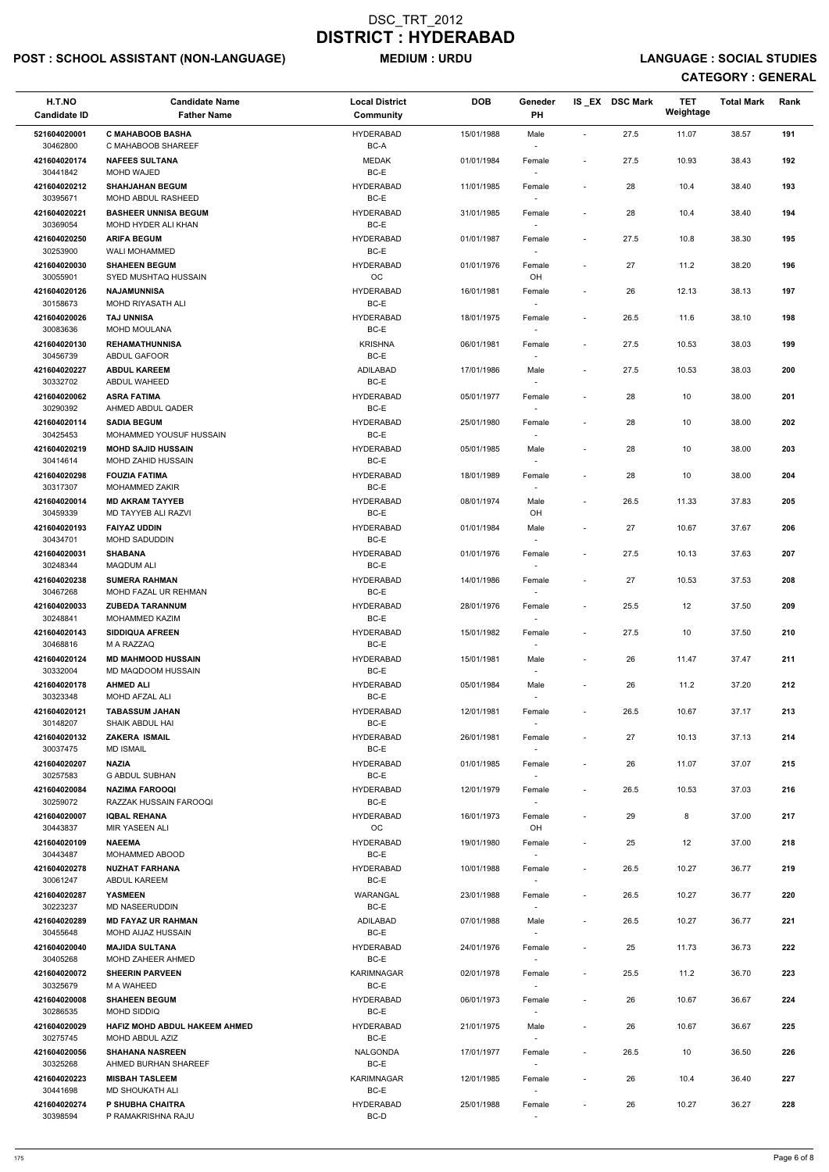# POST : SCHOOL ASSISTANT (NON-LANGUAGE) MEDIUM : URDU LANGUAGE : SOCIAL STUDIES

| H.T.NO<br><b>Candidate ID</b> | <b>Candidate Name</b><br><b>Father Name</b>             | <b>Local District</b><br><b>Community</b> | <b>DOB</b> | Geneder<br>PH                      |                          | IS_EX DSC Mark | <b>TET</b><br>Weightage | <b>Total Mark</b> | Rank |
|-------------------------------|---------------------------------------------------------|-------------------------------------------|------------|------------------------------------|--------------------------|----------------|-------------------------|-------------------|------|
| 521604020001<br>30462800      | <b>C MAHABOOB BASHA</b><br>C MAHABOOB SHAREEF           | <b>HYDERABAD</b><br>BC-A                  | 15/01/1988 | Male                               | $\overline{\phantom{a}}$ | 27.5           | 11.07                   | 38.57             | 191  |
| 421604020174<br>30441842      | <b>NAFEES SULTANA</b><br><b>MOHD WAJED</b>              | <b>MEDAK</b><br>BC-E                      | 01/01/1984 | Female                             | $\overline{\phantom{a}}$ | 27.5           | 10.93                   | 38.43             | 192  |
| 421604020212                  | <b>SHAHJAHAN BEGUM</b>                                  | <b>HYDERABAD</b>                          | 11/01/1985 | Female                             | $\overline{\phantom{a}}$ | 28             | 10.4                    | 38.40             | 193  |
| 30395671<br>421604020221      | MOHD ABDUL RASHEED<br><b>BASHEER UNNISA BEGUM</b>       | BC-E<br><b>HYDERABAD</b>                  | 31/01/1985 | $\overline{\phantom{a}}$<br>Female | $\overline{\phantom{a}}$ | 28             | 10.4                    | 38.40             | 194  |
| 30369054                      | MOHD HYDER ALI KHAN                                     | BC-E                                      |            |                                    |                          |                |                         |                   |      |
| 421604020250                  | <b>ARIFA BEGUM</b>                                      | <b>HYDERABAD</b>                          | 01/01/1987 | Female                             | $\overline{\phantom{a}}$ | 27.5           | 10.8                    | 38.30             | 195  |
| 30253900<br>421604020030      | <b>WALI MOHAMMED</b><br><b>SHAHEEN BEGUM</b>            | BC-E<br><b>HYDERABAD</b>                  | 01/01/1976 | $\sim$<br>Female                   | $\overline{\phantom{a}}$ | 27             | 11.2                    | 38.20             | 196  |
| 30055901<br>421604020126      | SYED MUSHTAQ HUSSAIN<br><b>NAJAMUNNISA</b>              | OC<br><b>HYDERABAD</b>                    | 16/01/1981 | OH<br>Female                       | $\overline{\phantom{a}}$ | 26             | 12.13                   | 38.13             | 197  |
| 30158673                      | MOHD RIYASATH ALI                                       | BC-E                                      |            |                                    |                          |                |                         |                   |      |
| 421604020026<br>30083636      | <b>TAJ UNNISA</b><br>MOHD MOULANA                       | <b>HYDERABAD</b><br>BC-E                  | 18/01/1975 | Female<br>$\overline{\phantom{a}}$ | $\overline{\phantom{a}}$ | 26.5           | 11.6                    | 38.10             | 198  |
| 421604020130                  | <b>REHAMATHUNNISA</b>                                   | <b>KRISHNA</b>                            | 06/01/1981 | Female                             | $\overline{\phantom{a}}$ | 27.5           | 10.53                   | 38.03             | 199  |
| 30456739<br>421604020227      | ABDUL GAFOOR<br><b>ABDUL KAREEM</b>                     | BC-E<br>ADILABAD                          | 17/01/1986 | Male                               | $\overline{\phantom{a}}$ | 27.5           | 10.53                   | 38.03             | 200  |
| 30332702                      | ABDUL WAHEED                                            | BC-E                                      |            |                                    |                          |                |                         |                   |      |
| 421604020062<br>30290392      | <b>ASRA FATIMA</b><br>AHMED ABDUL QADER                 | <b>HYDERABAD</b><br>BC-E                  | 05/01/1977 | Female                             | $\overline{\phantom{a}}$ | 28             | 10                      | 38.00             | 201  |
| 421604020114                  | <b>SADIA BEGUM</b>                                      | <b>HYDERABAD</b>                          | 25/01/1980 | Female                             | $\overline{\phantom{a}}$ | 28             | $10\,$                  | 38.00             | 202  |
| 30425453<br>421604020219      | MOHAMMED YOUSUF HUSSAIN<br><b>MOHD SAJID HUSSAIN</b>    | BC-E<br><b>HYDERABAD</b>                  | 05/01/1985 | Male                               | $\overline{\phantom{a}}$ | 28             | $10\,$                  | 38.00             | 203  |
| 30414614                      | MOHD ZAHID HUSSAIN                                      | BC-E                                      |            |                                    |                          |                |                         |                   |      |
| 421604020298<br>30317307      | <b>FOUZIA FATIMA</b><br>MOHAMMED ZAKIR                  | <b>HYDERABAD</b><br>BC-E                  | 18/01/1989 | Female                             | $\overline{\phantom{a}}$ | 28             | 10                      | 38.00             | 204  |
| 421604020014                  | <b>MD AKRAM TAYYEB</b>                                  | <b>HYDERABAD</b>                          | 08/01/1974 | Male                               | $\overline{\phantom{a}}$ | 26.5           | 11.33                   | 37.83             | 205  |
| 30459339<br>421604020193      | MD TAYYEB ALI RAZVI<br><b>FAIYAZ UDDIN</b>              | BC-E<br><b>HYDERABAD</b>                  | 01/01/1984 | OH<br>Male                         | $\overline{\phantom{a}}$ | 27             | 10.67                   | 37.67             | 206  |
| 30434701                      | MOHD SADUDDIN                                           | BC-E                                      |            |                                    |                          |                |                         |                   |      |
| 421604020031<br>30248344      | <b>SHABANA</b><br><b>MAQDUM ALI</b>                     | <b>HYDERABAD</b><br>BC-E                  | 01/01/1976 | Female                             | $\overline{\phantom{a}}$ | 27.5           | 10.13                   | 37.63             | 207  |
| 421604020238<br>30467268      | <b>SUMERA RAHMAN</b><br>MOHD FAZAL UR REHMAN            | <b>HYDERABAD</b><br>BC-E                  | 14/01/1986 | Female                             | $\overline{\phantom{a}}$ | 27             | 10.53                   | 37.53             | 208  |
| 421604020033                  | <b>ZUBEDA TARANNUM</b>                                  | <b>HYDERABAD</b>                          | 28/01/1976 | Female                             | $\overline{\phantom{a}}$ | 25.5           | 12                      | 37.50             | 209  |
| 30248841<br>421604020143      | <b>MOHAMMED KAZIM</b><br><b>SIDDIQUA AFREEN</b>         | BC-E<br><b>HYDERABAD</b>                  | 15/01/1982 | $\overline{\phantom{a}}$<br>Female | $\overline{\phantom{a}}$ | 27.5           | 10                      | 37.50             | 210  |
| 30468816<br>421604020124      | M A RAZZAQ<br><b>MD MAHMOOD HUSSAIN</b>                 | BC-E<br><b>HYDERABAD</b>                  | 15/01/1981 | Male                               | $\overline{\phantom{a}}$ | 26             | 11.47                   | 37.47             | 211  |
| 30332004                      | MD MAQDOOM HUSSAIN                                      | BC-E                                      |            | $\sim$                             |                          |                |                         |                   |      |
| 421604020178<br>30323348      | <b>AHMED ALI</b><br>MOHD AFZAL ALI                      | <b>HYDERABAD</b><br>BC-E                  | 05/01/1984 | Male                               | $\overline{\phantom{a}}$ | 26             | 11.2                    | 37.20             | 212  |
| 421604020121                  | <b>TABASSUM JAHAN</b>                                   | <b>HYDERABAD</b>                          | 12/01/1981 | Female                             | $\overline{\phantom{a}}$ | 26.5           | 10.67                   | 37.17             | 213  |
| 30148207<br>421604020132      | SHAIK ABDUL HAI<br><b>ZAKERA ISMAIL</b>                 | BC-E<br><b>HYDERABAD</b>                  | 26/01/1981 | Female                             | $\overline{\phantom{a}}$ | 27             | 10.13                   | 37.13             | 214  |
| 30037475                      | <b>MD ISMAIL</b>                                        | BC-E                                      |            | $\sim$                             |                          |                |                         |                   |      |
| 421604020207<br>30257583      | <b>NAZIA</b><br><b>G ABDUL SUBHAN</b>                   | <b>HYDERABAD</b><br>BC-E                  | 01/01/1985 | Female<br>$\sim$                   | $\overline{\phantom{a}}$ | 26             | 11.07                   | 37.07             | 215  |
| 421604020084<br>30259072      | <b>NAZIMA FAROOQI</b><br>RAZZAK HUSSAIN FAROOQI         | <b>HYDERABAD</b><br>BC-E                  | 12/01/1979 | Female                             | $\overline{\phantom{a}}$ | 26.5           | 10.53                   | 37.03             | 216  |
| 421604020007                  | <b>IQBAL REHANA</b>                                     | <b>HYDERABAD</b>                          | 16/01/1973 | Female                             | $\overline{\phantom{a}}$ | 29             | 8                       | 37.00             | 217  |
| 30443837                      | MIR YASEEN ALI                                          | <b>OC</b>                                 |            | OH                                 |                          |                |                         |                   |      |
| 421604020109<br>30443487      | <b>NAEEMA</b><br>MOHAMMED ABOOD                         | <b>HYDERABAD</b><br>BC-E                  | 19/01/1980 | Female<br>$\sim$                   | $\overline{\phantom{a}}$ | 25             | 12                      | 37.00             | 218  |
| 421604020278<br>30061247      | <b>NUZHAT FARHANA</b><br>ABDUL KAREEM                   | <b>HYDERABAD</b><br>BC-E                  | 10/01/1988 | Female<br>$\sim$                   | $\overline{\phantom{a}}$ | 26.5           | 10.27                   | 36.77             | 219  |
| 421604020287                  | <b>YASMEEN</b>                                          | WARANGAL                                  | 23/01/1988 | Female                             | $\blacksquare$           | 26.5           | 10.27                   | 36.77             | 220  |
| 30223237                      | MD NASEERUDDIN                                          | BC-E                                      |            |                                    |                          |                |                         |                   |      |
| 421604020289<br>30455648      | <b>MD FAYAZ UR RAHMAN</b><br>MOHD AIJAZ HUSSAIN         | <b>ADILABAD</b><br>BC-E                   | 07/01/1988 | Male                               | $\overline{\phantom{a}}$ | 26.5           | 10.27                   | 36.77             | 221  |
| 421604020040                  | <b>MAJIDA SULTANA</b>                                   | <b>HYDERABAD</b>                          | 24/01/1976 | Female                             | $\overline{\phantom{a}}$ | 25             | 11.73                   | 36.73             | 222  |
| 30405268<br>421604020072      | MOHD ZAHEER AHMED<br><b>SHEERIN PARVEEN</b>             | BC-E<br><b>KARIMNAGAR</b>                 | 02/01/1978 | Female                             | $\overline{\phantom{a}}$ | 25.5           | 11.2                    | 36.70             | 223  |
| 30325679                      | M A WAHEED                                              | BC-E                                      |            | $\overline{\phantom{a}}$           |                          |                |                         |                   |      |
| 421604020008<br>30286535      | <b>SHAHEEN BEGUM</b><br>MOHD SIDDIQ                     | <b>HYDERABAD</b><br>BC-E                  | 06/01/1973 | Female                             | $\overline{\phantom{a}}$ | 26             | 10.67                   | 36.67             | 224  |
| 421604020029<br>30275745      | <b>HAFIZ MOHD ABDUL HAKEEM AHMED</b><br>MOHD ABDUL AZIZ | <b>HYDERABAD</b><br>BC-E                  | 21/01/1975 | Male<br>$\overline{\phantom{a}}$   | $\blacksquare$           | 26             | 10.67                   | 36.67             | 225  |
| 421604020056                  | <b>SHAHANA NASREEN</b>                                  | NALGONDA                                  | 17/01/1977 | Female                             | $\overline{\phantom{a}}$ | 26.5           | 10                      | 36.50             | 226  |
| 30325268<br>421604020223      | AHMED BURHAN SHAREEF<br><b>MISBAH TASLEEM</b>           | BC-E<br><b>KARIMNAGAR</b>                 | 12/01/1985 | $\overline{\phantom{a}}$           | $\overline{\phantom{a}}$ | 26             | 10.4                    | 36.40             | 227  |
| 30441698                      | <b>MD SHOUKATH ALI</b>                                  | BC-E                                      |            | Female<br>$\overline{\phantom{a}}$ |                          |                |                         |                   |      |
| 421604020274<br>30398594      | P SHUBHA CHAITRA<br>P RAMAKRISHNA RAJU                  | <b>HYDERABAD</b><br>BC-D                  | 25/01/1988 | Female                             | $\overline{\phantom{a}}$ | 26             | 10.27                   | 36.27             | 228  |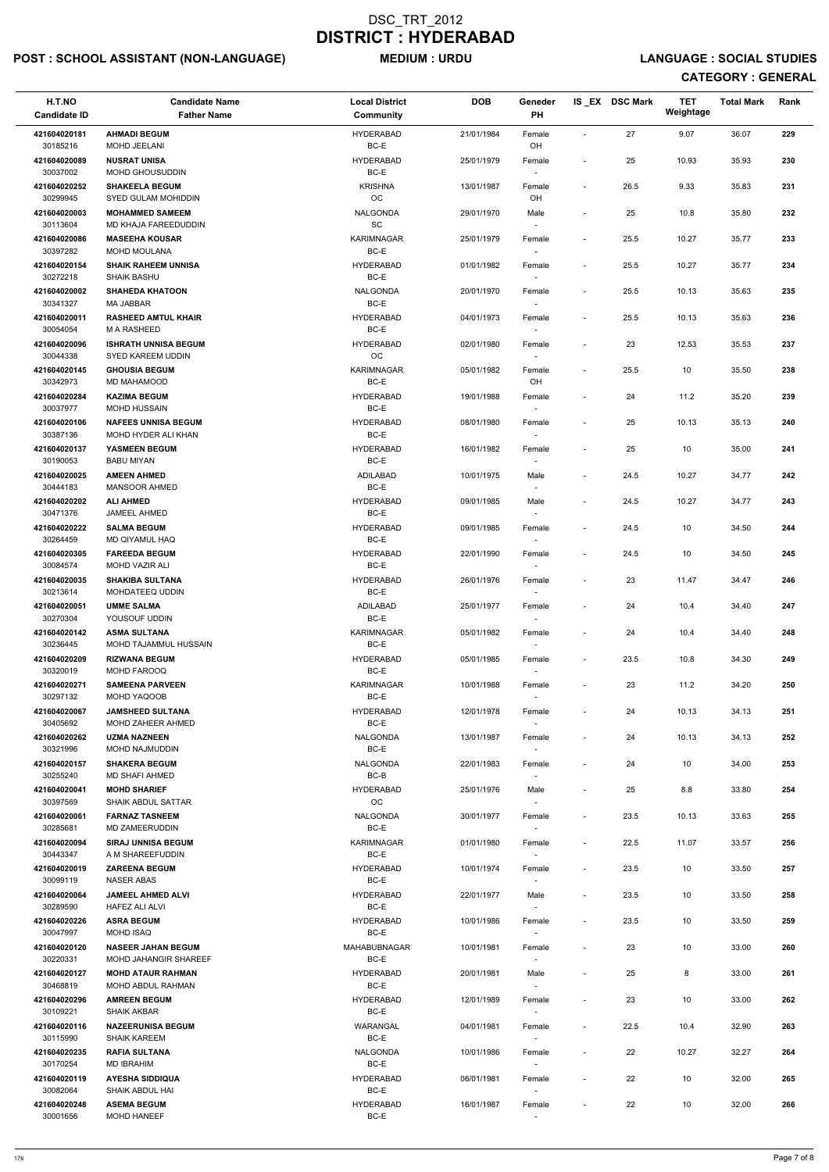# POST : SCHOOL ASSISTANT (NON-LANGUAGE) MEDIUM : URDU LANGUAGE : SOCIAL STUDIES

| H.T.NO<br><b>Candidate ID</b> | <b>Candidate Name</b><br><b>Father Name</b>               | <b>Local District</b><br>Community | <b>DOB</b> | Geneder<br><b>PH</b>             |                          | IS EX DSC Mark | <b>TET</b><br>Weightage | <b>Total Mark</b> | Rank |
|-------------------------------|-----------------------------------------------------------|------------------------------------|------------|----------------------------------|--------------------------|----------------|-------------------------|-------------------|------|
| 421604020181                  | <b>AHMADI BEGUM</b>                                       | <b>HYDERABAD</b>                   | 21/01/1984 | Female                           | $\blacksquare$           | 27             | 9.07                    | 36.07             | 229  |
| 30185216                      | MOHD JEELANI                                              | BC-E                               |            | OH                               |                          |                |                         |                   |      |
| 421604020089<br>30037002      | <b>NUSRAT UNISA</b><br>MOHD GHOUSUDDIN                    | <b>HYDERABAD</b><br>BC-E           | 25/01/1979 | Female                           | $\overline{\phantom{a}}$ | 25             | 10.93                   | 35.93             | 230  |
| 421604020252                  | <b>SHAKEELA BEGUM</b>                                     | <b>KRISHNA</b>                     | 13/01/1987 | Female                           | $\overline{\phantom{a}}$ | 26.5           | 9.33                    | 35.83             | 231  |
| 30299945                      | <b>SYED GULAM MOHIDDIN</b>                                | OC                                 |            | OH                               |                          |                |                         |                   |      |
| 421604020003<br>30113604      | <b>MOHAMMED SAMEEM</b><br>MD KHAJA FAREEDUDDIN            | NALGONDA<br>SC                     | 29/01/1970 | Male                             | $\overline{\phantom{a}}$ | 25             | 10.8                    | 35.80             | 232  |
| 421604020086                  | <b>MASEEHA KOUSAR</b>                                     | <b>KARIMNAGAR</b>                  | 25/01/1979 | Female                           | $\overline{\phantom{a}}$ | 25.5           | 10.27                   | 35.77             | 233  |
| 30397282                      | <b>MOHD MOULANA</b>                                       | BC-E                               |            | $\sim$                           |                          |                |                         |                   |      |
| 421604020154<br>30272218      | <b>SHAIK RAHEEM UNNISA</b><br><b>SHAIK BASHU</b>          | <b>HYDERABAD</b><br>BC-E           | 01/01/1982 | Female                           | $\overline{\phantom{a}}$ | 25.5           | 10.27                   | 35.77             | 234  |
| 421604020002<br>30341327      | <b>SHAHEDA KHATOON</b><br><b>MA JABBAR</b>                | <b>NALGONDA</b><br>BC-E            | 20/01/1970 | Female                           | $\overline{\phantom{a}}$ | 25.5           | 10.13                   | 35.63             | 235  |
| 421604020011                  | <b>RASHEED AMTUL KHAIR</b>                                | <b>HYDERABAD</b>                   | 04/01/1973 | Female                           | $\overline{\phantom{a}}$ | 25.5           | 10.13                   | 35.63             | 236  |
| 30054054<br>421604020096      | M A RASHEED<br><b>ISHRATH UNNISA BEGUM</b>                | BC-E<br><b>HYDERABAD</b>           | 02/01/1980 | $\sim$<br>Female                 | $\overline{\phantom{a}}$ | 23             | 12.53                   | 35.53             | 237  |
| 30044338                      | SYED KAREEM UDDIN                                         | <b>OC</b>                          |            | $\sim$                           |                          |                |                         |                   |      |
| 421604020145<br>30342973      | <b>GHOUSIA BEGUM</b><br>MD MAHAMOOD                       | KARIMNAGAR<br>BC-E                 | 05/01/1982 | Female<br>OH                     | $\overline{\phantom{a}}$ | 25.5           | 10                      | 35.50             | 238  |
| 421604020284                  | <b>KAZIMA BEGUM</b>                                       | <b>HYDERABAD</b>                   | 19/01/1988 | Female                           | $\overline{\phantom{a}}$ | 24             | 11.2                    | 35.20             | 239  |
| 30037977                      | <b>MOHD HUSSAIN</b>                                       | BC-E                               |            |                                  |                          |                |                         |                   |      |
| 421604020106<br>30387136      | <b>NAFEES UNNISA BEGUM</b><br>MOHD HYDER ALI KHAN         | <b>HYDERABAD</b><br>BC-E           | 08/01/1980 | Female                           | $\overline{\phantom{a}}$ | 25             | 10.13                   | 35.13             | 240  |
| 421604020137                  | YASMEEN BEGUM                                             | <b>HYDERABAD</b>                   | 16/01/1982 | Female                           | $\overline{\phantom{a}}$ | 25             | 10                      | 35.00             | 241  |
| 30190053<br>421604020025      | <b>BABU MIYAN</b><br><b>AMEEN AHMED</b>                   | BC-E<br>ADILABAD                   | 10/01/1975 | $\overline{\phantom{a}}$<br>Male | $\overline{\phantom{a}}$ | 24.5           | 10.27                   | 34.77             | 242  |
| 30444183                      | <b>MANSOOR AHMED</b>                                      | BC-E                               |            | $\sim$                           |                          |                |                         |                   |      |
| 421604020202<br>30471376      | <b>ALI AHMED</b><br>JAMEEL AHMED                          | <b>HYDERABAD</b><br>BC-E           | 09/01/1985 | Male                             | $\overline{\phantom{a}}$ | 24.5           | 10.27                   | 34.77             | 243  |
| 421604020222                  | <b>SALMA BEGUM</b>                                        | <b>HYDERABAD</b>                   | 09/01/1985 | Female                           | $\overline{\phantom{a}}$ | 24.5           | 10                      | 34.50             | 244  |
| 30264459                      | MD QIYAMUL HAQ                                            | BC-E                               |            | $\overline{\phantom{a}}$         |                          |                |                         |                   |      |
| 421604020305<br>30084574      | <b>FAREEDA BEGUM</b><br><b>MOHD VAZIR ALI</b>             | <b>HYDERABAD</b><br>BC-E           | 22/01/1990 | Female<br>$\sim$                 | $\overline{\phantom{0}}$ | 24.5           | 10                      | 34.50             | 245  |
| 421604020035<br>30213614      | <b>SHAKIBA SULTANA</b><br>MOHDATEEQ UDDIN                 | <b>HYDERABAD</b><br>BC-E           | 26/01/1976 | Female                           | $\overline{\phantom{a}}$ | 23             | 11.47                   | 34.47             | 246  |
| 421604020051                  | <b>UMME SALMA</b>                                         | <b>ADILABAD</b>                    | 25/01/1977 | Female                           | $\overline{\phantom{a}}$ | 24             | 10.4                    | 34.40             | 247  |
| 30270304                      | YOUSOUF UDDIN                                             | BC-E                               |            | $\sim$                           |                          |                |                         |                   |      |
| 421604020142<br>30236445      | <b>ASMA SULTANA</b><br>MOHD TAJAMMUL HUSSAIN              | <b>KARIMNAGAR</b><br>BC-E          | 05/01/1982 | Female                           | $\overline{\phantom{a}}$ | 24             | 10.4                    | 34.40             | 248  |
| 421604020209<br>30320019      | <b>RIZWANA BEGUM</b><br><b>MOHD FAROOQ</b>                | <b>HYDERABAD</b><br>BC-E           | 05/01/1985 | Female                           | $\overline{\phantom{a}}$ | 23.5           | 10.8                    | 34.30             | 249  |
| 421604020271                  | <b>SAMEENA PARVEEN</b>                                    | <b>KARIMNAGAR</b>                  | 10/01/1988 | Female                           | $\overline{\phantom{a}}$ | 23             | 11.2                    | 34.20             | 250  |
| 30297132                      | MOHD YAQOOB                                               | BC-E                               |            |                                  |                          |                |                         |                   |      |
| 421604020067<br>30405692      | <b>JAMSHEED SULTANA</b><br>MOHD ZAHEER AHMED              | <b>HYDERABAD</b><br>BC-E           | 12/01/1978 | Female                           | $\overline{\phantom{a}}$ | 24             | 10.13                   | 34.13             | 251  |
| 421604020262<br>30321996      | <b>UZMA NAZNEEN</b><br>MOHD NAJMUDDIN                     | NALGONDA<br>BC-E                   | 13/01/1987 | Female                           | $\overline{\phantom{a}}$ | 24             | 10.13                   | 34.13             | 252  |
| 421604020157                  | <b>SHAKERA BEGUM</b>                                      | NALGONDA                           | 22/01/1983 | $\sim$<br>Female                 | $\overline{\phantom{a}}$ | 24             | 10                      | 34.00             | 253  |
| 30255240                      | <b>MD SHAFI AHMED</b>                                     | BC-B                               |            |                                  |                          |                |                         |                   |      |
| 421604020041<br>30397569      | <b>MOHD SHARIEF</b><br><b>SHAIK ABDUL SATTAR</b>          | <b>HYDERABAD</b><br><b>OC</b>      | 25/01/1976 | Male<br>$\sim$                   | $\overline{\phantom{a}}$ | 25             | 8.8                     | 33.80             | 254  |
| 421604020061                  | <b>FARNAZ TASNEEM</b>                                     | NALGONDA                           | 30/01/1977 | Female                           | $\overline{\phantom{a}}$ | 23.5           | 10.13                   | 33.63             | 255  |
| 30285681<br>421604020094      | <b>MD ZAMEERUDDIN</b><br><b>SIRAJ UNNISA BEGUM</b>        | BC-E<br><b>KARIMNAGAR</b>          | 01/01/1980 | Female                           | $\overline{\phantom{a}}$ | 22.5           | 11.07                   | 33.57             | 256  |
| 30443347                      | A M SHAREEFUDDIN                                          | BC-E                               |            | $\sim$                           |                          |                |                         |                   |      |
| 421604020019<br>30099119      | <b>ZAREENA BEGUM</b><br><b>NASER ABAS</b>                 | <b>HYDERABAD</b><br>BC-E           | 10/01/1974 | Female                           | $\overline{\phantom{a}}$ | 23.5           | 10                      | 33.50             | 257  |
| 421604020064                  | <b>JAMEEL AHMED ALVI</b>                                  | <b>HYDERABAD</b>                   | 22/01/1977 | Male                             | $\overline{\phantom{a}}$ | 23.5           | 10                      | 33.50             | 258  |
| 30289590<br>421604020226      | <b>HAFEZ ALI ALVI</b><br><b>ASRA BEGUM</b>                | BC-E<br><b>HYDERABAD</b>           | 10/01/1986 | $\sim$<br>Female                 | $\overline{\phantom{a}}$ | 23.5           | 10                      | 33.50             | 259  |
| 30047997                      | MOHD ISAQ                                                 | BC-E                               |            |                                  |                          |                |                         |                   |      |
| 421604020120<br>30220331      | <b>NASEER JAHAN BEGUM</b><br><b>MOHD JAHANGIR SHAREEF</b> | MAHABUBNAGAR<br>BC-E               | 10/01/1981 | Female                           | $\overline{\phantom{a}}$ | 23             | 10                      | 33.00             | 260  |
| 421604020127                  | <b>MOHD ATAUR RAHMAN</b>                                  | <b>HYDERABAD</b>                   | 20/01/1981 | Male                             | $\overline{\phantom{a}}$ | 25             | 8                       | 33.00             | 261  |
| 30468819                      | MOHD ABDUL RAHMAN                                         | BC-E                               |            | $\sim$                           |                          |                |                         |                   |      |
| 421604020296<br>30109221      | <b>AMREEN BEGUM</b><br><b>SHAIK AKBAR</b>                 | <b>HYDERABAD</b><br>BC-E           | 12/01/1989 | Female                           | $\overline{\phantom{0}}$ | 23             | 10                      | 33.00             | 262  |
| 421604020116                  | <b>NAZEERUNISA BEGUM</b>                                  | <b>WARANGAL</b>                    | 04/01/1981 | Female                           | $\overline{\phantom{a}}$ | 22.5           | 10.4                    | 32.90             | 263  |
| 30115990<br>421604020235      | <b>SHAIK KAREEM</b><br><b>RAFIA SULTANA</b>               | BC-E<br>NALGONDA                   | 10/01/1986 | $\sim$<br>Female                 | $\overline{\phantom{a}}$ | 22             | 10.27                   | 32.27             | 264  |
| 30170254                      | <b>MD IBRAHIM</b>                                         | BC-E                               |            | $\sim$                           |                          |                |                         |                   |      |
| 421604020119<br>30082064      | <b>AYESHA SIDDIQUA</b><br>SHAIK ABDUL HAI                 | <b>HYDERABAD</b><br>BC-E           | 06/01/1981 | Female<br>$\sim$                 | $\overline{\phantom{a}}$ | 22             | 10                      | 32.00             | 265  |
| 421604020248<br>30001656      | <b>ASEMA BEGUM</b><br><b>MOHD HANEEF</b>                  | <b>HYDERABAD</b><br>BC-E           | 16/01/1987 | Female                           | $\overline{\phantom{0}}$ | 22             | 10                      | 32.00             | 266  |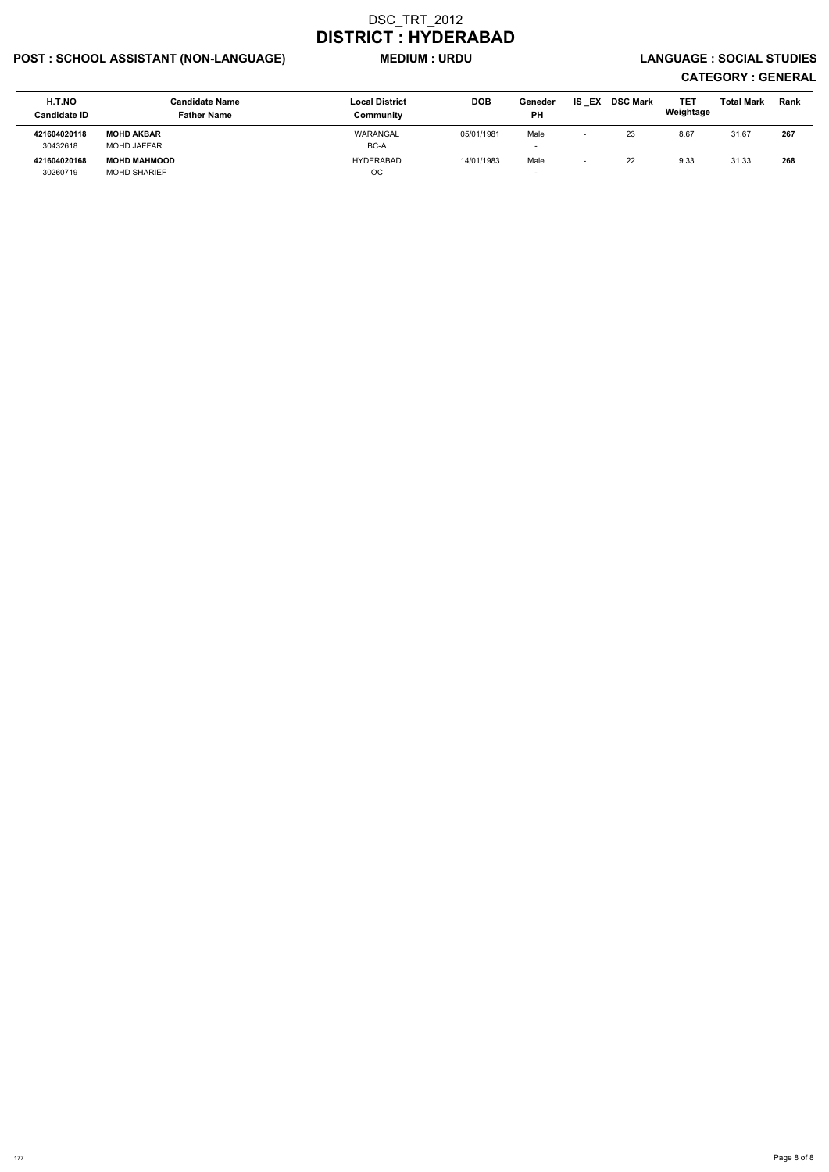# POST : SCHOOL ASSISTANT (NON-LANGUAGE) MEDIUM : URDU LANGUAGE : SOCIAL STUDIES

| <b>H.T.NO</b><br><b>Candidate ID</b> | <b>Candidate Name</b><br><b>Father Name</b> | <b>Local District</b><br>Community | <b>DOB</b> | Geneder<br><b>PH</b> | IS<br>EX                 | <b>DSC Mark</b> | TET<br>Weightage | <b>Total Mark</b> | Rank |
|--------------------------------------|---------------------------------------------|------------------------------------|------------|----------------------|--------------------------|-----------------|------------------|-------------------|------|
| 421604020118                         | <b>MOHD AKBAR</b>                           | WARANGAL                           | 05/01/1981 | Male                 | $\overline{\phantom{0}}$ | 23              | 8.67             | 31.67             | 267  |
| 30432618                             | <b>MOHD JAFFAR</b>                          | BC-A                               |            |                      |                          |                 |                  |                   |      |
| 421604020168                         | <b>MOHD MAHMOOD</b>                         | HYDERABAD                          | 14/01/1983 | Male                 | $\overline{\phantom{0}}$ | 22              | 9.33             | 31.33             | 268  |
| 30260719                             | <b>MOHD SHARIEF</b>                         | ОC                                 |            |                      |                          |                 |                  |                   |      |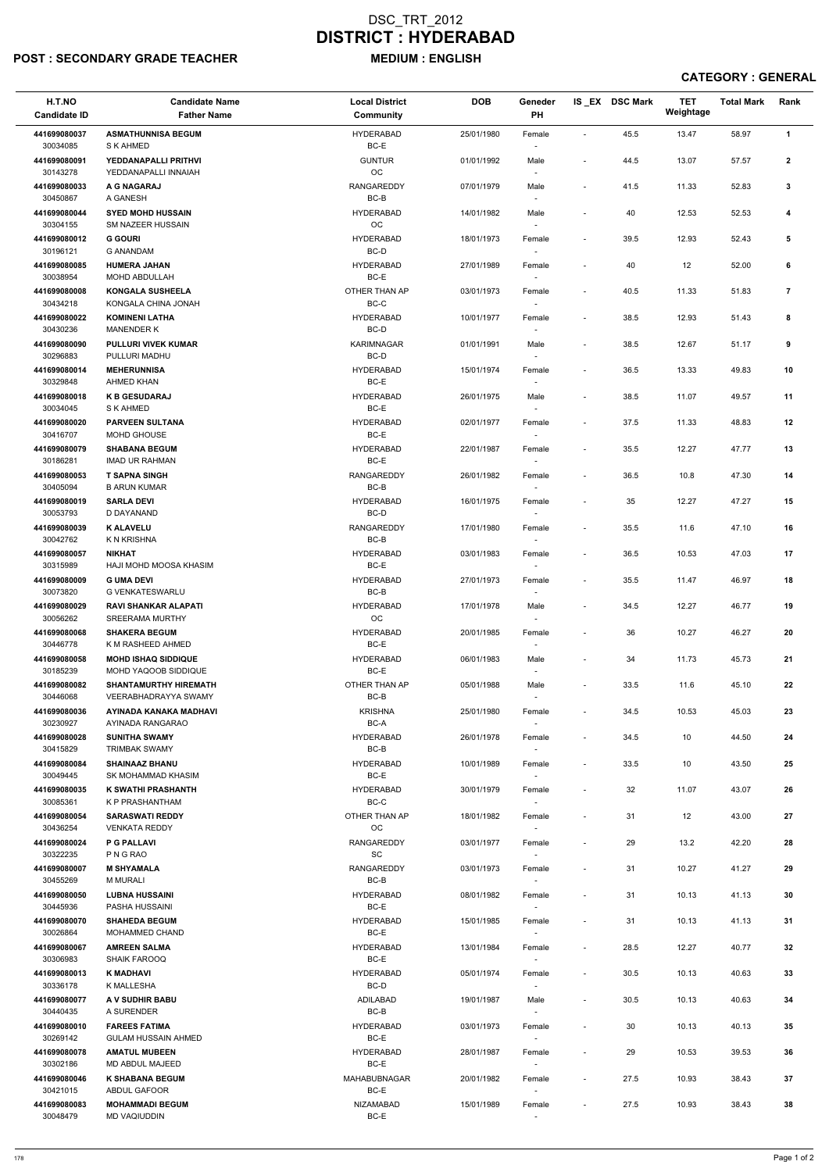## POST : SECONDARY GRADE TEACHER MEDIUM : ENGLISH

| H.T.NO<br><b>Candidate ID</b> | <b>Candidate Name</b><br><b>Father Name</b>          | <b>Local District</b><br><b>Community</b> | <b>DOB</b> | Geneder<br>PH                      |                          | IS_EX DSC Mark | <b>TET</b><br>Weightage | <b>Total Mark</b> | Rank           |
|-------------------------------|------------------------------------------------------|-------------------------------------------|------------|------------------------------------|--------------------------|----------------|-------------------------|-------------------|----------------|
| 441699080037<br>30034085      | <b>ASMATHUNNISA BEGUM</b><br>S K AHMED               | <b>HYDERABAD</b><br>BC-E                  | 25/01/1980 | Female                             | $\sim$                   | 45.5           | 13.47                   | 58.97             | $\mathbf{1}$   |
| 441699080091                  | YEDDANAPALLI PRITHVI                                 | <b>GUNTUR</b>                             | 01/01/1992 | Male                               | $\overline{\phantom{a}}$ | 44.5           | 13.07                   | 57.57             | $\mathbf{2}$   |
| 30143278<br>441699080033      | YEDDANAPALLI INNAIAH<br>A G NAGARAJ                  | OC<br>RANGAREDDY                          | 07/01/1979 | Male                               | $\overline{\phantom{a}}$ | 41.5           | 11.33                   | 52.83             | $\mathbf{3}$   |
| 30450867<br>441699080044      | A GANESH<br><b>SYED MOHD HUSSAIN</b>                 | $BC-B$<br><b>HYDERABAD</b>                | 14/01/1982 | Male                               | $\overline{\phantom{a}}$ | 40             | 12.53                   | 52.53             | 4              |
| 30304155                      | SM NAZEER HUSSAIN                                    | OC                                        |            |                                    |                          |                |                         |                   |                |
| 441699080012<br>30196121      | <b>G GOURI</b><br><b>G ANANDAM</b>                   | <b>HYDERABAD</b><br>BC-D                  | 18/01/1973 | Female<br>$\overline{\phantom{a}}$ | $\blacksquare$           | 39.5           | 12.93                   | 52.43             | 5              |
| 441699080085<br>30038954      | <b>HUMERA JAHAN</b><br>MOHD ABDULLAH                 | <b>HYDERABAD</b><br>BC-E                  | 27/01/1989 | Female                             | $\blacksquare$           | 40             | 12                      | 52.00             | 6              |
| 441699080008<br>30434218      | <b>KONGALA SUSHEELA</b><br>KONGALA CHINA JONAH       | OTHER THAN AP<br>$BC-C$                   | 03/01/1973 | Female                             | $\overline{\phantom{a}}$ | 40.5           | 11.33                   | 51.83             | $\overline{7}$ |
| 441699080022<br>30430236      | <b>KOMINENI LATHA</b><br><b>MANENDER K</b>           | <b>HYDERABAD</b><br>BC-D                  | 10/01/1977 | Female                             | $\sim$                   | 38.5           | 12.93                   | 51.43             | 8              |
| 441699080090<br>30296883      | <b>PULLURI VIVEK KUMAR</b><br>PULLURI MADHU          | <b>KARIMNAGAR</b><br>BC-D                 | 01/01/1991 | Male<br>$\overline{\phantom{a}}$   | $\blacksquare$           | 38.5           | 12.67                   | 51.17             | 9              |
| 441699080014<br>30329848      | <b>MEHERUNNISA</b><br>AHMED KHAN                     | <b>HYDERABAD</b><br>BC-E                  | 15/01/1974 | Female                             | $\overline{\phantom{a}}$ | 36.5           | 13.33                   | 49.83             | 10             |
| 441699080018<br>30034045      | <b>K B GESUDARAJ</b><br>S K AHMED                    | <b>HYDERABAD</b><br>BC-E                  | 26/01/1975 | Male                               | $\blacksquare$           | 38.5           | 11.07                   | 49.57             | 11             |
| 441699080020                  | <b>PARVEEN SULTANA</b>                               | <b>HYDERABAD</b>                          | 02/01/1977 | Female                             | $\overline{\phantom{a}}$ | 37.5           | 11.33                   | 48.83             | 12             |
| 30416707<br>441699080079      | MOHD GHOUSE<br><b>SHABANA BEGUM</b>                  | BC-E<br><b>HYDERABAD</b>                  | 22/01/1987 | $\sim$<br>Female                   | $\overline{\phantom{a}}$ | 35.5           | 12.27                   | 47.77             | 13             |
| 30186281                      | <b>IMAD UR RAHMAN</b>                                | BC-E                                      |            |                                    |                          |                |                         |                   |                |
| 441699080053<br>30405094      | <b>T SAPNA SINGH</b><br><b>B ARUN KUMAR</b>          | <b>RANGAREDDY</b><br>BC-B                 | 26/01/1982 | Female                             | $\blacksquare$           | 36.5           | 10.8                    | 47.30             | 14             |
| 441699080019<br>30053793      | <b>SARLA DEVI</b><br>D DAYANAND                      | <b>HYDERABAD</b><br>BC-D                  | 16/01/1975 | Female                             | $\overline{\phantom{a}}$ | 35             | 12.27                   | 47.27             | 15             |
| 441699080039<br>30042762      | <b>K ALAVELU</b><br>K N KRISHNA                      | RANGAREDDY<br>BC-B                        | 17/01/1980 | Female<br>$\overline{\phantom{a}}$ | $\overline{\phantom{a}}$ | 35.5           | 11.6                    | 47.10             | 16             |
| 441699080057<br>30315989      | <b>NIKHAT</b><br>HAJI MOHD MOOSA KHASIM              | <b>HYDERABAD</b><br>BC-E                  | 03/01/1983 | Female                             | $\blacksquare$           | 36.5           | 10.53                   | 47.03             | 17             |
| 441699080009<br>30073820      | <b>G UMA DEVI</b><br><b>G VENKATESWARLU</b>          | <b>HYDERABAD</b><br>BC-B                  | 27/01/1973 | Female                             | $\blacksquare$           | 35.5           | 11.47                   | 46.97             | 18             |
| 441699080029                  | <b>RAVI SHANKAR ALAPATI</b>                          | <b>HYDERABAD</b>                          | 17/01/1978 | Male                               | $\overline{\phantom{a}}$ | 34.5           | 12.27                   | 46.77             | 19             |
| 30056262<br>441699080068      | <b>SREERAMA MURTHY</b><br><b>SHAKERA BEGUM</b>       | OC<br><b>HYDERABAD</b>                    | 20/01/1985 | Female                             | $\sim$                   | 36             | 10.27                   | 46.27             | 20             |
| 30446778<br>441699080058      | K M RASHEED AHMED<br><b>MOHD ISHAQ SIDDIQUE</b>      | BC-E<br><b>HYDERABAD</b>                  | 06/01/1983 | $\overline{\phantom{a}}$<br>Male   | $\blacksquare$           | 34             | 11.73                   | 45.73             | 21             |
| 30185239<br>441699080082      | MOHD YAQOOB SIDDIQUE<br><b>SHANTAMURTHY HIREMATH</b> | BC-E<br>OTHER THAN AP                     | 05/01/1988 | $\sim$<br>Male                     | $\overline{\phantom{a}}$ | 33.5           | 11.6                    | 45.10             | 22             |
| 30446068                      | VEERABHADRAYYA SWAMY                                 | BC-B                                      |            |                                    |                          |                |                         |                   |                |
| 441699080036<br>30230927      | AYINADA KANAKA MADHAVI<br>AYINADA RANGARAO           | <b>KRISHNA</b><br>BC-A                    | 25/01/1980 | Female                             | $\blacksquare$           | 34.5           | 10.53                   | 45.03             | 23             |
| 441699080028<br>30415829      | <b>SUNITHA SWAMY</b><br><b>TRIMBAK SWAMY</b>         | <b>HYDERABAD</b><br>BC-B                  | 26/01/1978 | Female<br>$\overline{\phantom{a}}$ | $\overline{\phantom{a}}$ | 34.5           | 10                      | 44.50             | 24             |
| 441699080084<br>30049445      | <b>SHAINAAZ BHANU</b><br>SK MOHAMMAD KHASIM          | <b>HYDERABAD</b><br>BC-E                  | 10/01/1989 | Female<br>$\sim$                   | $\blacksquare$           | 33.5           | 10                      | 43.50             | 25             |
| 441699080035<br>30085361      | K SWATHI PRASHANTH<br>K P PRASHANTHAM                | <b>HYDERABAD</b><br>BC-C                  | 30/01/1979 | Female                             | $\blacksquare$           | 32             | 11.07                   | 43.07             | 26             |
| 441699080054<br>30436254      | <b>SARASWATI REDDY</b><br><b>VENKATA REDDY</b>       | OTHER THAN AP<br>OC.                      | 18/01/1982 | Female                             | $\overline{\phantom{a}}$ | 31             | 12                      | 43.00             | 27             |
| 441699080024<br>30322235      | <b>P G PALLAVI</b><br>P N G RAO                      | <b>RANGAREDDY</b><br><b>SC</b>            | 03/01/1977 | Female<br>$\sim$                   | $\overline{\phantom{a}}$ | 29             | 13.2                    | 42.20             | 28             |
| 441699080007                  | <b>M SHYAMALA</b>                                    | <b>RANGAREDDY</b>                         | 03/01/1973 | Female                             | $\blacksquare$           | 31             | 10.27                   | 41.27             | 29             |
| 30455269<br>441699080050      | <b>M MURALI</b><br><b>LUBNA HUSSAINI</b>             | BC-B<br><b>HYDERABAD</b>                  | 08/01/1982 | $\sim$<br>Female                   | $\blacksquare$           | 31             | 10.13                   | 41.13             | 30             |
| 30445936                      | PASHA HUSSAINI                                       | BC-E                                      |            | $\sim$                             |                          |                |                         |                   |                |
| 441699080070<br>30026864      | <b>SHAHEDA BEGUM</b><br>MOHAMMED CHAND               | <b>HYDERABAD</b><br>BC-E                  | 15/01/1985 | Female                             | $\overline{\phantom{a}}$ | 31             | 10.13                   | 41.13             | 31             |
| 441699080067<br>30306983      | <b>AMREEN SALMA</b><br><b>SHAIK FAROOQ</b>           | <b>HYDERABAD</b><br>BC-E                  | 13/01/1984 | Female                             | $\blacksquare$           | 28.5           | 12.27                   | 40.77             | 32             |
| 441699080013                  | K MADHAVI                                            | <b>HYDERABAD</b>                          | 05/01/1974 | Female                             | $\overline{\phantom{a}}$ | 30.5           | 10.13                   | 40.63             | 33             |
| 30336178<br>441699080077      | K MALLESHA<br>A V SUDHIR BABU                        | BC-D<br>ADILABAD                          | 19/01/1987 | Male                               | $\overline{\phantom{a}}$ | $30.5\,$       | 10.13                   | 40.63             | 34             |
| 30440435<br>441699080010      | A SURENDER<br><b>FAREES FATIMA</b>                   | $BC-B$<br><b>HYDERABAD</b>                | 03/01/1973 | $\overline{\phantom{a}}$<br>Female | $\blacksquare$           | 30             | 10.13                   | 40.13             | 35             |
| 30269142                      | <b>GULAM HUSSAIN AHMED</b>                           | BC-E                                      |            | $\sim$                             |                          |                |                         |                   |                |
| 441699080078<br>30302186      | <b>AMATUL MUBEEN</b><br>MD ABDUL MAJEED              | <b>HYDERABAD</b><br>BC-E                  | 28/01/1987 | Female<br>$\overline{\phantom{a}}$ | $\overline{\phantom{a}}$ | 29             | 10.53                   | 39.53             | 36             |
| 441699080046<br>30421015      | <b>K SHABANA BEGUM</b><br>ABDUL GAFOOR               | <b>MAHABUBNAGAR</b><br>BC-E               | 20/01/1982 | Female<br>$\overline{\phantom{a}}$ | $\overline{\phantom{a}}$ | 27.5           | 10.93                   | 38.43             | 37             |
| 441699080083<br>30048479      | <b>MOHAMMADI BEGUM</b><br><b>MD VAQIUDDIN</b>        | NIZAMABAD<br>$BC-E$                       | 15/01/1989 | Female                             | $\overline{\phantom{a}}$ | 27.5           | 10.93                   | 38.43             | 38             |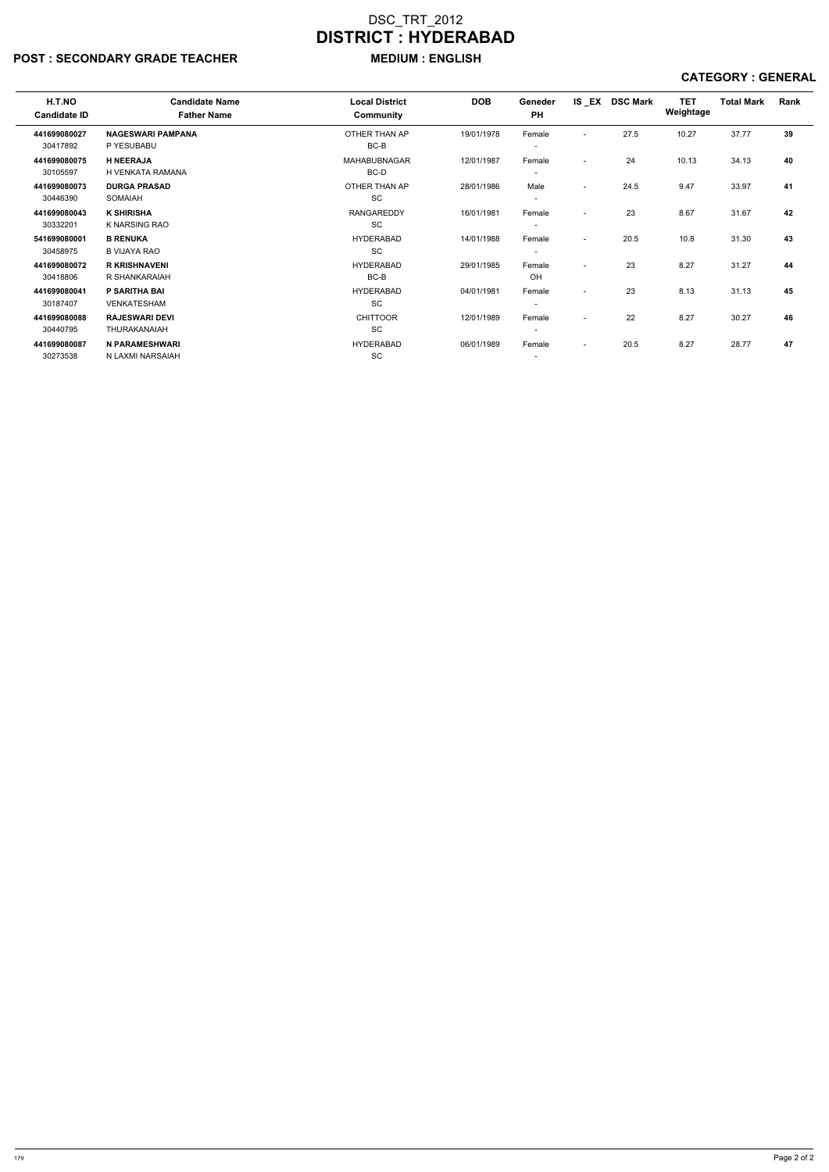# POST : SECONDARY GRADE TEACHER MEDIUM : ENGLISH

| H.T.NO<br><b>Candidate ID</b> | <b>Candidate Name</b><br><b>Father Name</b> | <b>Local District</b><br>Community | <b>DOB</b> | Geneder<br>PH            |                          | IS EX DSC Mark | <b>TET</b><br>Weightage | <b>Total Mark</b> | Rank |
|-------------------------------|---------------------------------------------|------------------------------------|------------|--------------------------|--------------------------|----------------|-------------------------|-------------------|------|
| 441699080027                  | <b>NAGESWARI PAMPANA</b>                    | OTHER THAN AP                      | 19/01/1978 | Female                   | $\overline{\phantom{a}}$ | 27.5           | 10.27                   | 37.77             | 39   |
| 30417892                      | P YESUBABU                                  | BC-B                               |            | $\overline{\phantom{a}}$ |                          |                |                         |                   |      |
| 441699080075                  | <b>H NEERAJA</b>                            | <b>MAHABUBNAGAR</b>                | 12/01/1987 | Female                   | $\overline{\phantom{a}}$ | 24             | 10.13                   | 34.13             | 40   |
| 30105597                      | H VENKATA RAMANA                            | BC-D                               |            | $\overline{\phantom{a}}$ |                          |                |                         |                   |      |
| 441699080073                  | <b>DURGA PRASAD</b>                         | OTHER THAN AP                      | 28/01/1986 | Male                     | $\overline{\phantom{a}}$ | 24.5           | 9.47                    | 33.97             | 41   |
| 30446390                      | <b>SOMAIAH</b>                              | <b>SC</b>                          |            | $\overline{\phantom{a}}$ |                          |                |                         |                   |      |
| 441699080043                  | <b>K SHIRISHA</b>                           | <b>RANGAREDDY</b>                  | 16/01/1981 | Female                   | $\overline{\phantom{a}}$ | 23             | 8.67                    | 31.67             | 42   |
| 30332201                      | K NARSING RAO                               | <b>SC</b>                          |            | $\overline{\phantom{a}}$ |                          |                |                         |                   |      |
| 541699080001                  | <b>B RENUKA</b>                             | <b>HYDERABAD</b>                   | 14/01/1988 | Female                   | $\blacksquare$           | 20.5           | 10.8                    | 31.30             | 43   |
| 30458975                      | <b>B VIJAYA RAO</b>                         | <b>SC</b>                          |            | -                        |                          |                |                         |                   |      |
| 441699080072                  | <b>R KRISHNAVENI</b>                        | <b>HYDERABAD</b>                   | 29/01/1985 | Female                   | $\overline{\phantom{a}}$ | 23             | 8.27                    | 31.27             | 44   |
| 30418806                      | R SHANKARAIAH                               | BC-B                               |            | OH                       |                          |                |                         |                   |      |
| 441699080041                  | P SARITHA BAI                               | <b>HYDERABAD</b>                   | 04/01/1981 | Female                   | $\overline{\phantom{a}}$ | 23             | 8.13                    | 31.13             | 45   |
| 30187407                      | <b>VENKATESHAM</b>                          | <b>SC</b>                          |            | -                        |                          |                |                         |                   |      |
| 441699080088                  | <b>RAJESWARI DEVI</b>                       | <b>CHITTOOR</b>                    | 12/01/1989 | Female                   | $\overline{\phantom{a}}$ | 22             | 8.27                    | 30.27             | 46   |
| 30440795                      | <b>THURAKANAIAH</b>                         | <b>SC</b>                          |            | $\overline{\phantom{a}}$ |                          |                |                         |                   |      |
| 441699080087                  | N PARAMESHWARI                              | <b>HYDERABAD</b>                   | 06/01/1989 | Female                   | $\overline{\phantom{a}}$ | 20.5           | 8.27                    | 28.77             | 47   |
| 30273538                      | N LAXMI NARSAIAH                            | <b>SC</b>                          |            | $\overline{\phantom{a}}$ |                          |                |                         |                   |      |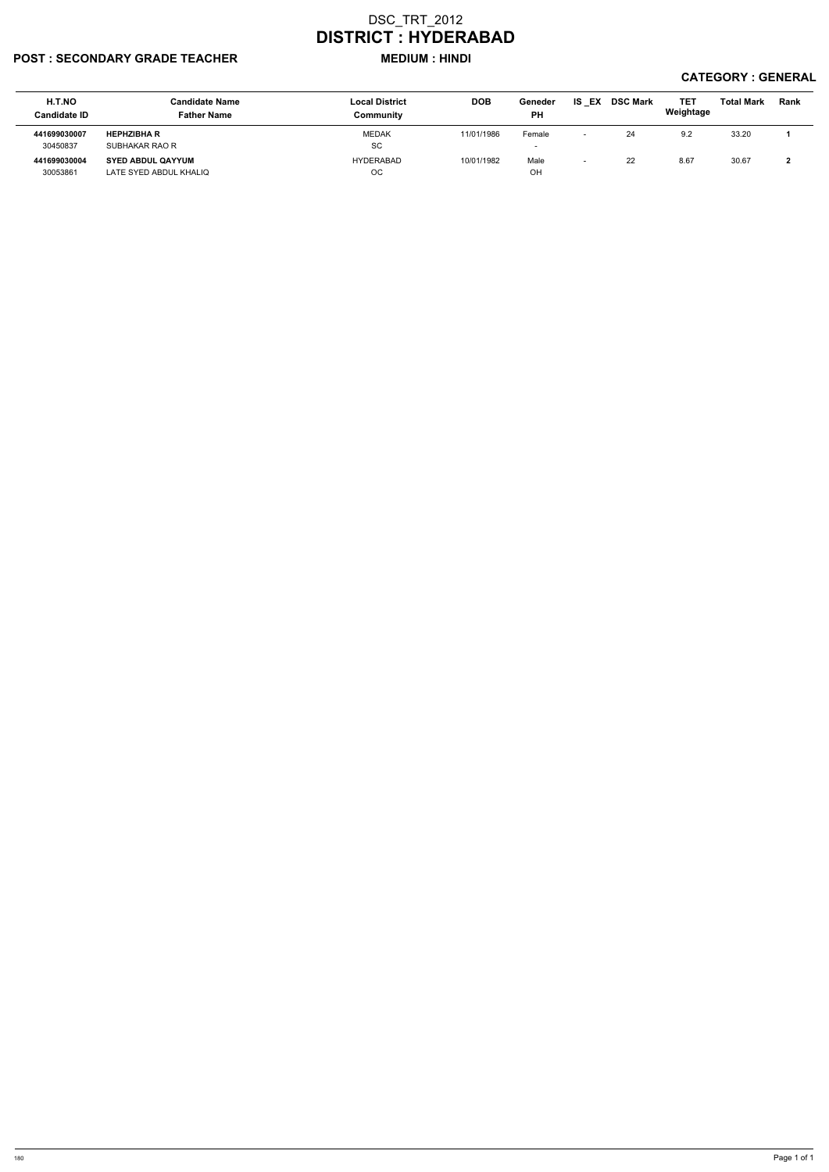### POST : SECONDARY GRADE TEACHER MEDIUM : HINDI

| H.T.NO<br><b>Candidate ID</b> | Candidate Name<br><b>Father Name</b> | <b>Local District</b><br>Community | <b>DOB</b> | Geneder<br><b>PH</b>     | IS EX                    | <b>DSC Mark</b> | <b>TET</b><br>Weightage | <b>Total Mark</b> | Rank |
|-------------------------------|--------------------------------------|------------------------------------|------------|--------------------------|--------------------------|-----------------|-------------------------|-------------------|------|
| 441699030007                  | <b>HEPHZIBHA R</b>                   | <b>MEDAK</b>                       | 11/01/1986 | Female                   | $\overline{\phantom{0}}$ | 24              | 9.2                     | 33.20             |      |
| 30450837                      | SUBHAKAR RAO R                       | SC                                 |            | $\overline{\phantom{0}}$ |                          |                 |                         |                   |      |
| 441699030004                  | <b>SYED ABDUL QAYYUM</b>             | <b>HYDERABAD</b>                   | 10/01/1982 | Male                     |                          | 22              | 8.67                    | 30.67             |      |
| 30053861                      | LATE SYED ABDUL KHALIQ               | <b>OC</b>                          |            | OH                       |                          |                 |                         |                   |      |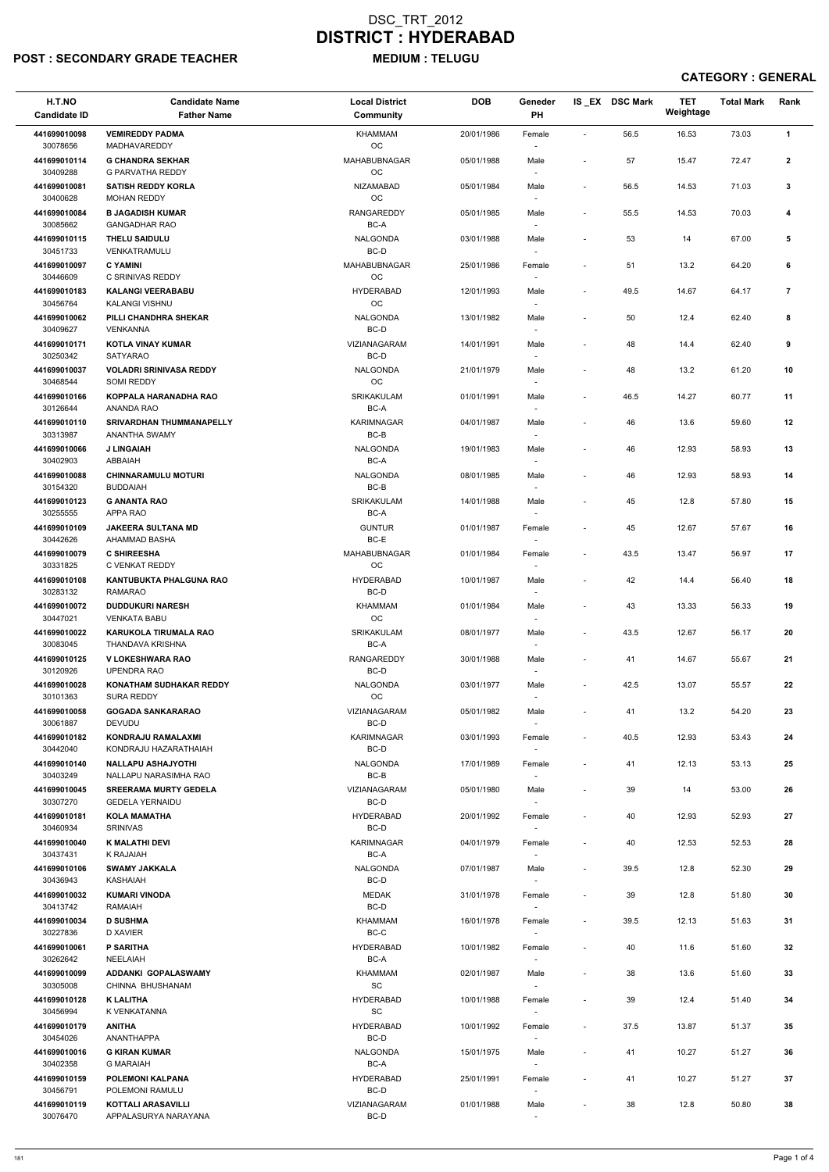## POST : SECONDARY GRADE TEACHER MEDIUM : TELUGU

| H.T.NO<br><b>Candidate ID</b> | <b>Candidate Name</b><br><b>Father Name</b>            | <b>Local District</b><br><b>Community</b>        | <b>DOB</b> | Geneder<br>PH                      |                          | IS_EX DSC Mark | <b>TET</b><br>Weightage | <b>Total Mark</b> | Rank           |
|-------------------------------|--------------------------------------------------------|--------------------------------------------------|------------|------------------------------------|--------------------------|----------------|-------------------------|-------------------|----------------|
| 441699010098                  | <b>VEMIREDDY PADMA</b>                                 | <b>KHAMMAM</b>                                   | 20/01/1986 | Female                             | $\overline{\phantom{a}}$ | 56.5           | 16.53                   | 73.03             | $\mathbf{1}$   |
| 30078656<br>441699010114      | MADHAVAREDDY<br><b>G CHANDRA SEKHAR</b>                | OC<br>MAHABUBNAGAR                               | 05/01/1988 | Male                               | $\overline{\phantom{a}}$ | 57             | 15.47                   | 72.47             | $\mathbf{2}$   |
| 30409288<br>441699010081      | G PARVATHA REDDY<br><b>SATISH REDDY KORLA</b>          | OC<br><b>NIZAMABAD</b>                           | 05/01/1984 | Male                               | $\overline{\phantom{a}}$ | 56.5           | 14.53                   | 71.03             | 3              |
| 30400628                      | <b>MOHAN REDDY</b>                                     | OC                                               |            |                                    |                          |                |                         |                   |                |
| 441699010084<br>30085662      | <b>B JAGADISH KUMAR</b><br><b>GANGADHAR RAO</b>        | <b>RANGAREDDY</b><br>BC-A                        | 05/01/1985 | Male                               | $\blacksquare$           | 55.5           | 14.53                   | 70.03             | 4              |
| 441699010115<br>30451733      | <b>THELU SAIDULU</b><br>VENKATRAMULU                   | <b>NALGONDA</b><br>BC-D                          | 03/01/1988 | Male<br>$\overline{\phantom{a}}$   | $\overline{\phantom{a}}$ | 53             | 14                      | 67.00             | 5              |
| 441699010097                  | <b>C YAMINI</b>                                        | MAHABUBNAGAR                                     | 25/01/1986 | Female                             | $\overline{\phantom{a}}$ | 51             | 13.2                    | 64.20             | 6              |
| 30446609<br>441699010183      | C SRINIVAS REDDY<br><b>KALANGI VEERABABU</b>           | <b>OC</b><br><b>HYDERABAD</b>                    | 12/01/1993 | $\overline{\phantom{a}}$<br>Male   | $\overline{\phantom{a}}$ | 49.5           | 14.67                   | 64.17             | $\overline{7}$ |
| 30456764<br>441699010062      | KALANGI VISHNU<br>PILLI CHANDHRA SHEKAR                | OC<br><b>NALGONDA</b>                            | 13/01/1982 | Male                               | $\overline{\phantom{a}}$ | 50             | 12.4                    | 62.40             | 8              |
| 30409627<br>441699010171      | VENKANNA<br><b>KOTLA VINAY KUMAR</b>                   | BC-D<br>VIZIANAGARAM                             | 14/01/1991 | $\overline{\phantom{a}}$<br>Male   | $\overline{a}$           | 48             | 14.4                    | 62.40             | 9              |
| 30250342                      | <b>SATYARAO</b>                                        | BC-D                                             |            |                                    |                          |                |                         |                   |                |
| 441699010037<br>30468544      | <b>VOLADRI SRINIVASA REDDY</b><br>SOMI REDDY           | <b>NALGONDA</b><br><b>OC</b>                     | 21/01/1979 | Male<br>$\overline{\phantom{a}}$   | $\blacksquare$           | 48             | 13.2                    | 61.20             | 10             |
| 441699010166<br>30126644      | KOPPALA HARANADHA RAO<br>ANANDA RAO                    | SRIKAKULAM<br>BC-A                               | 01/01/1991 | Male                               | $\blacksquare$           | 46.5           | 14.27                   | 60.77             | 11             |
| 441699010110<br>30313987      | <b>SRIVARDHAN THUMMANAPELLY</b><br>ANANTHA SWAMY       | <b>KARIMNAGAR</b><br>$BC-B$                      | 04/01/1987 | Male                               | $\overline{\phantom{a}}$ | 46             | 13.6                    | 59.60             | 12             |
| 441699010066<br>30402903      | <b>J LINGAIAH</b><br>ABBAIAH                           | <b>NALGONDA</b><br>BC-A                          | 19/01/1983 | Male<br>$\overline{\phantom{a}}$   | ٠                        | 46             | 12.93                   | 58.93             | 13             |
| 441699010088                  | <b>CHINNARAMULU MOTURI</b>                             | <b>NALGONDA</b>                                  | 08/01/1985 | Male                               | $\overline{\phantom{a}}$ | 46             | 12.93                   | 58.93             | 14             |
| 30154320<br>441699010123      | <b>BUDDAIAH</b><br><b>G ANANTA RAO</b>                 | BC-B<br>SRIKAKULAM                               | 14/01/1988 | Male                               | $\overline{\phantom{a}}$ | 45             | 12.8                    | 57.80             | 15             |
| 30255555<br>441699010109      | APPA RAO<br><b>JAKEERA SULTANA MD</b>                  | BC-A<br><b>GUNTUR</b>                            | 01/01/1987 | Female                             | $\overline{\phantom{a}}$ | 45             | 12.67                   | 57.67             | 16             |
| 30442626<br>441699010079      | AHAMMAD BASHA<br><b>C SHIREESHA</b>                    | BC-E<br>MAHABUBNAGAR                             | 01/01/1984 | $\overline{\phantom{a}}$<br>Female | $\overline{\phantom{a}}$ | 43.5           | 13.47                   | 56.97             | 17             |
| 30331825                      | C VENKAT REDDY                                         | OC                                               |            | $\sim$                             |                          |                |                         |                   |                |
| 441699010108<br>30283132      | <b>KANTUBUKTA PHALGUNA RAO</b><br><b>RAMARAO</b>       | <b>HYDERABAD</b><br>BC-D                         | 10/01/1987 | Male                               | $\overline{\phantom{a}}$ | 42             | 14.4                    | 56.40             | 18             |
| 441699010072<br>30447021      | <b>DUDDUKURI NARESH</b><br><b>VENKATA BABU</b>         | <b>KHAMMAM</b><br><b>OC</b>                      | 01/01/1984 | Male                               | $\overline{\phantom{a}}$ | 43             | 13.33                   | 56.33             | 19             |
| 441699010022<br>30083045      | <b>KARUKOLA TIRUMALA RAO</b><br>THANDAVA KRISHNA       | <b>SRIKAKULAM</b><br>BC-A                        | 08/01/1977 | Male                               | $\blacksquare$           | 43.5           | 12.67                   | 56.17             | 20             |
| 441699010125<br>30120926      | <b>V LOKESHWARA RAO</b><br><b>UPENDRA RAO</b>          | RANGAREDDY<br>BC-D                               | 30/01/1988 | Male<br>$\sim$                     | $\blacksquare$           | 41             | 14.67                   | 55.67             | 21             |
| 441699010028                  | <b>KONATHAM SUDHAKAR REDDY</b>                         | <b>NALGONDA</b>                                  | 03/01/1977 | Male                               | $\overline{\phantom{a}}$ | 42.5           | 13.07                   | 55.57             | 22             |
| 30101363<br>441699010058      | <b>SURA REDDY</b><br><b>GOGADA SANKARARAO</b>          | OC<br>VIZIANAGARAM                               | 05/01/1982 | $\overline{\phantom{a}}$<br>Male   | $\overline{\phantom{a}}$ | 41             | 13.2                    | 54.20             | 23             |
| 30061887<br>441699010182      | <b>DEVUDU</b><br>KONDRAJU RAMALAXMI                    | BC-D<br>KARIMNAGAR                               | 03/01/1993 | Female                             | $\overline{\phantom{a}}$ | 40.5           | 12.93                   | 53.43             | 24             |
| 30442040                      | KONDRAJU HAZARATHAIAH                                  | BC-D                                             |            | $\overline{\phantom{a}}$           |                          |                |                         |                   |                |
| 441699010140<br>30403249      | <b>NALLAPU ASHAJYOTHI</b><br>NALLAPU NARASIMHA RAO     | NALGONDA<br>BC-B                                 | 17/01/1989 | Female                             | $\blacksquare$           | 41             | 12.13                   | 53.13             | 25             |
| 441699010045<br>30307270      | <b>SREERAMA MURTY GEDELA</b><br><b>GEDELA YERNAIDU</b> | VIZIANAGARAM<br>BC-D                             | 05/01/1980 | Male<br>$\overline{\phantom{a}}$   | $\overline{\phantom{a}}$ | 39             | 14                      | 53.00             | 26             |
| 441699010181<br>30460934      | <b>KOLA MAMATHA</b><br><b>SRINIVAS</b>                 | <b>HYDERABAD</b><br>BC-D                         | 20/01/1992 | Female                             | $\overline{a}$           | 40             | 12.93                   | 52.93             | 27             |
| 441699010040<br>30437431      | K MALATHI DEVI<br>K RAJAIAH                            | <b>KARIMNAGAR</b><br>BC-A                        | 04/01/1979 | Female                             | $\overline{\phantom{a}}$ | 40             | 12.53                   | 52.53             | 28             |
| 441699010106                  | <b>SWAMY JAKKALA</b>                                   | <b>NALGONDA</b>                                  | 07/01/1987 | Male                               | $\blacksquare$           | 39.5           | 12.8                    | 52.30             | 29             |
| 30436943<br>441699010032      | <b>KASHAIAH</b><br><b>KUMARI VINODA</b>                | BC-D<br><b>MEDAK</b>                             | 31/01/1978 | $\overline{\phantom{a}}$<br>Female | $\overline{\phantom{a}}$ | 39             | 12.8                    | 51.80             | 30             |
| 30413742                      | RAMAIAH                                                | BC-D                                             |            | $\sim$                             |                          |                |                         |                   |                |
| 441699010034<br>30227836      | <b>D SUSHMA</b><br>D XAVIER                            | <b>KHAMMAM</b><br>BC-C                           | 16/01/1978 | Female                             | $\overline{\phantom{a}}$ | 39.5           | 12.13                   | 51.63             | 31             |
| 441699010061<br>30262642      | <b>P SARITHA</b><br><b>NEELAIAH</b>                    | <b>HYDERABAD</b><br>BC-A                         | 10/01/1982 | Female                             | $\overline{\phantom{a}}$ | 40             | 11.6                    | 51.60             | 32             |
| 441699010099                  | <b>ADDANKI GOPALASWAMY</b>                             | <b>KHAMMAM</b>                                   | 02/01/1987 | Male                               | $\overline{\phantom{a}}$ | 38             | 13.6                    | 51.60             | 33             |
| 30305008<br>441699010128      | CHINNA BHUSHANAM<br><b>K LALITHA</b>                   | SC<br><b>HYDERABAD</b>                           | 10/01/1988 | $\sim$<br>Female                   | $\overline{\phantom{a}}$ | 39             | 12.4                    | 51.40             | 34             |
| 30456994<br>441699010179      | K VENKATANNA<br><b>ANITHA</b>                          | $\operatorname{\textsf{SC}}$<br><b>HYDERABAD</b> | 10/01/1992 | Female                             | $\overline{\phantom{a}}$ | 37.5           | 13.87                   | 51.37             | 35             |
| 30454026                      | ANANTHAPPA                                             | BC-D                                             |            | $\sim$                             |                          |                |                         |                   |                |
| 441699010016<br>30402358      | <b>G KIRAN KUMAR</b><br><b>G MARAIAH</b>               | <b>NALGONDA</b><br>BC-A                          | 15/01/1975 | Male<br>$\sim$                     | $\overline{\phantom{a}}$ | 41             | 10.27                   | 51.27             | 36             |
| 441699010159<br>30456791      | <b>POLEMONI KALPANA</b><br>POLEMONI RAMULU             | <b>HYDERABAD</b><br>BC-D                         | 25/01/1991 | Female<br>$\overline{\phantom{a}}$ | $\overline{\phantom{a}}$ | 41             | 10.27                   | 51.27             | 37             |
| 441699010119<br>30076470      | <b>KOTTALI ARASAVILLI</b><br>APPALASURYA NARAYANA      | VIZIANAGARAM<br>$BC-D$                           | 01/01/1988 | Male                               | $\overline{\phantom{a}}$ | 38             | 12.8                    | 50.80             | 38             |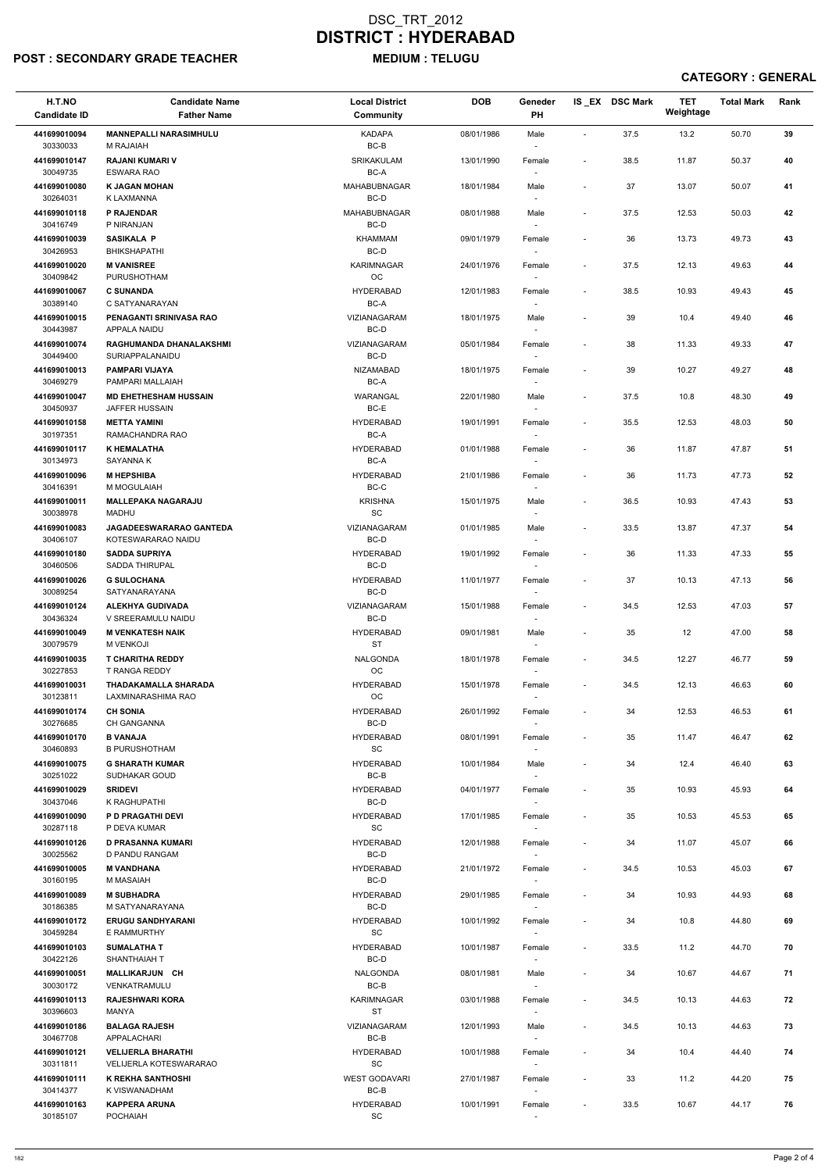## POST : SECONDARY GRADE TEACHER MEDIUM : TELUGU

| H.T.NO<br><b>Candidate ID</b> | <b>Candidate Name</b><br><b>Father Name</b>          | <b>Local District</b><br><b>Community</b> | <b>DOB</b> | Geneder<br>PH                      |                              | IS EX DSC Mark | <b>TET</b><br>Weightage | <b>Total Mark</b> | Rank |
|-------------------------------|------------------------------------------------------|-------------------------------------------|------------|------------------------------------|------------------------------|----------------|-------------------------|-------------------|------|
| 441699010094<br>30330033      | <b>MANNEPALLI NARASIMHULU</b><br><b>M RAJAIAH</b>    | <b>KADAPA</b><br>$BC-B$                   | 08/01/1986 | Male                               | $\blacksquare$               | 37.5           | 13.2                    | 50.70             | 39   |
| 441699010147<br>30049735      | <b>RAJANI KUMARI V</b><br><b>ESWARA RAO</b>          | SRIKAKULAM<br>BC-A                        | 13/01/1990 | Female                             | $\overline{\phantom{a}}$     | 38.5           | 11.87                   | 50.37             | 40   |
| 441699010080                  | <b>K JAGAN MOHAN</b>                                 | MAHABUBNAGAR                              | 18/01/1984 | Male                               | $\overline{\phantom{a}}$     | 37             | 13.07                   | 50.07             | 41   |
| 30264031<br>441699010118      | K LAXMANNA<br><b>P RAJENDAR</b>                      | BC-D<br>MAHABUBNAGAR                      | 08/01/1988 | Male                               | $\overline{\phantom{a}}$     | 37.5           | 12.53                   | 50.03             | 42   |
| 30416749                      | P NIRANJAN                                           | BC-D                                      |            | $\overline{\phantom{a}}$           |                              |                |                         |                   |      |
| 441699010039<br>30426953      | <b>SASIKALA P</b><br><b>BHIKSHAPATHI</b>             | <b>KHAMMAM</b><br>BC-D                    | 09/01/1979 | Female<br>$\overline{\phantom{a}}$ | $\overline{\phantom{a}}$     | 36             | 13.73                   | 49.73             | 43   |
| 441699010020<br>30409842      | <b>M VANISREE</b><br>PURUSHOTHAM                     | KARIMNAGAR<br>OC                          | 24/01/1976 | Female                             | $\overline{\phantom{a}}$     | 37.5           | 12.13                   | 49.63             | 44   |
| 441699010067<br>30389140      | <b>C SUNANDA</b><br>C SATYANARAYAN                   | <b>HYDERABAD</b><br>BC-A                  | 12/01/1983 | Female                             | $\overline{\phantom{a}}$     | 38.5           | 10.93                   | 49.43             | 45   |
| 441699010015<br>30443987      | PENAGANTI SRINIVASA RAO<br>APPALA NAIDU              | VIZIANAGARAM<br>BC-D                      | 18/01/1975 | Male<br>$\sim$                     | $\overline{\phantom{a}}$     | 39             | 10.4                    | 49.40             | 46   |
| 441699010074<br>30449400      | RAGHUMANDA DHANALAKSHMI<br>SURIAPPALANAIDU           | <b>VIZIANAGARAM</b><br>BC-D               | 05/01/1984 | Female<br>$\overline{\phantom{a}}$ | $\overline{\phantom{a}}$     | 38             | 11.33                   | 49.33             | 47   |
| 441699010013<br>30469279      | <b>PAMPARI VIJAYA</b><br>PAMPARI MALLAIAH            | <b>NIZAMABAD</b><br>BC-A                  | 18/01/1975 | Female                             | $\overline{\phantom{a}}$     | 39             | 10.27                   | 49.27             | 48   |
| 441699010047<br>30450937      | <b>MD EHETHESHAM HUSSAIN</b><br>JAFFER HUSSAIN       | WARANGAL<br>BC-E                          | 22/01/1980 | Male                               | $\overline{\phantom{a}}$     | 37.5           | 10.8                    | 48.30             | 49   |
| 441699010158                  | <b>METTA YAMINI</b>                                  | <b>HYDERABAD</b>                          | 19/01/1991 | Female                             | $\overline{\phantom{a}}$     | 35.5           | 12.53                   | 48.03             | 50   |
| 30197351<br>441699010117      | RAMACHANDRA RAO<br><b>K HEMALATHA</b>                | BC-A<br><b>HYDERABAD</b>                  | 01/01/1988 | $\sim$<br>Female                   | $\overline{\phantom{a}}$     | 36             | 11.87                   | 47.87             | 51   |
| 30134973<br>441699010096      | SAYANNA K<br><b>M HEPSHIBA</b>                       | BC-A<br><b>HYDERABAD</b>                  | 21/01/1986 | $\overline{\phantom{a}}$<br>Female | $\overline{\phantom{a}}$     | 36             | 11.73                   | 47.73             | 52   |
| 30416391<br>441699010011      | M MOGULAIAH<br><b>MALLEPAKA NAGARAJU</b>             | BC-C<br><b>KRISHNA</b>                    | 15/01/1975 | $\overline{\phantom{a}}$<br>Male   | $\overline{\phantom{a}}$     | 36.5           | 10.93                   | 47.43             | 53   |
| 30038978                      | <b>MADHU</b>                                         | SC                                        |            |                                    |                              |                |                         |                   |      |
| 441699010083<br>30406107      | <b>JAGADEESWARARAO GANTEDA</b><br>KOTESWARARAO NAIDU | <b>VIZIANAGARAM</b><br>$BC-D$             | 01/01/1985 | Male<br>$\overline{\phantom{a}}$   | $\overline{\phantom{a}}$     | 33.5           | 13.87                   | 47.37             | 54   |
| 441699010180<br>30460506      | <b>SADDA SUPRIYA</b><br>SADDA THIRUPAL               | <b>HYDERABAD</b><br>BC-D                  | 19/01/1992 | Female                             | $\overline{\phantom{a}}$     | 36             | 11.33                   | 47.33             | 55   |
| 441699010026<br>30089254      | <b>G SULOCHANA</b><br><b>SATYANARAYANA</b>           | <b>HYDERABAD</b><br>BC-D                  | 11/01/1977 | Female                             | $\overline{\phantom{a}}$     | 37             | 10.13                   | 47.13             | 56   |
| 441699010124<br>30436324      | <b>ALEKHYA GUDIVADA</b><br>V SREERAMULU NAIDU        | <b>VIZIANAGARAM</b><br>BC-D               | 15/01/1988 | Female                             | $\overline{\phantom{a}}$     | 34.5           | 12.53                   | 47.03             | 57   |
| 441699010049<br>30079579      | <b>M VENKATESH NAIK</b><br><b>M VENKOJI</b>          | <b>HYDERABAD</b><br><b>ST</b>             | 09/01/1981 | Male<br>$\sim$                     | $\overline{\phantom{a}}$     | 35             | 12                      | 47.00             | 58   |
| 441699010035<br>30227853      | <b>T CHARITHA REDDY</b><br>T RANGA REDDY             | <b>NALGONDA</b><br>OC                     | 18/01/1978 | Female<br>$\sim$                   | $\overline{\phantom{a}}$     | 34.5           | 12.27                   | 46.77             | 59   |
| 441699010031<br>30123811      | THADAKAMALLA SHARADA<br>LAXMINARASHIMA RAO           | <b>HYDERABAD</b><br>OC                    | 15/01/1978 | Female                             | $\overline{\phantom{a}}$     | 34.5           | 12.13                   | 46.63             | 60   |
| 441699010174                  | <b>CH SONIA</b>                                      | <b>HYDERABAD</b>                          | 26/01/1992 | Female                             | $\overline{\phantom{a}}$     | 34             | 12.53                   | 46.53             | 61   |
| 30276685<br>441699010170      | <b>CH GANGANNA</b><br><b>B VANAJA</b>                | BC-D<br><b>HYDERABAD</b>                  | 08/01/1991 |                                    | $\overline{\phantom{a}}$     | 35             |                         | 46.47             | 62   |
| 30460893                      | <b>B PURUSHOTHAM</b>                                 | SC                                        |            | Female<br>$\overline{\phantom{a}}$ |                              |                | 11.47                   |                   |      |
| 441699010075<br>30251022      | <b>G SHARATH KUMAR</b><br>SUDHAKAR GOUD              | <b>HYDERABAD</b><br>BC-B                  | 10/01/1984 | Male<br>$\sim$                     | $\overline{\phantom{a}}$     | 34             | 12.4                    | 46.40             | 63   |
| 441699010029<br>30437046      | <b>SRIDEVI</b><br>K RAGHUPATHI                       | <b>HYDERABAD</b><br>BC-D                  | 04/01/1977 | Female                             | $\qquad \qquad \blacksquare$ | 35             | 10.93                   | 45.93             | 64   |
| 441699010090<br>30287118      | <b>P D PRAGATHI DEVI</b><br>P DEVA KUMAR             | <b>HYDERABAD</b><br>SC                    | 17/01/1985 | Female                             | $\overline{\phantom{a}}$     | 35             | 10.53                   | 45.53             | 65   |
| 441699010126<br>30025562      | D PRASANNA KUMARI<br>D PANDU RANGAM                  | <b>HYDERABAD</b><br>BC-D                  | 12/01/1988 | Female<br>$\sim$                   | $\overline{\phantom{a}}$     | 34             | 11.07                   | 45.07             | 66   |
| 441699010005<br>30160195      | <b>M VANDHANA</b><br>M MASAIAH                       | <b>HYDERABAD</b><br>BC-D                  | 21/01/1972 | Female                             | $\overline{\phantom{a}}$     | 34.5           | 10.53                   | 45.03             | 67   |
| 441699010089                  | <b>M SUBHADRA</b>                                    | <b>HYDERABAD</b>                          | 29/01/1985 | $\sim$<br>Female                   | $\overline{\phantom{a}}$     | 34             | 10.93                   | 44.93             | 68   |
| 30186385<br>441699010172      | M SATYANARAYANA<br><b>ERUGU SANDHYARANI</b>          | BC-D<br><b>HYDERABAD</b>                  | 10/01/1992 | $\sim$<br>Female                   | $\qquad \qquad \blacksquare$ | 34             | 10.8                    | 44.80             | 69   |
| 30459284<br>441699010103      | E RAMMURTHY<br><b>SUMALATHAT</b>                     | SC<br><b>HYDERABAD</b>                    | 10/01/1987 | Female                             | $\overline{\phantom{a}}$     | 33.5           | 11.2                    | 44.70             | 70   |
| 30422126                      | SHANTHAIAH T                                         | BC-D                                      |            |                                    |                              |                |                         |                   |      |
| 441699010051<br>30030172      | <b>MALLIKARJUN CH</b><br>VENKATRAMULU                | NALGONDA<br>BC-B                          | 08/01/1981 | Male<br>$\overline{\phantom{a}}$   | $\overline{\phantom{a}}$     | 34             | 10.67                   | 44.67             | 71   |
| 441699010113<br>30396603      | <b>RAJESHWARI KORA</b><br>MANYA                      | KARIMNAGAR<br><b>ST</b>                   | 03/01/1988 | Female<br>$\overline{\phantom{a}}$ | $\overline{\phantom{a}}$     | 34.5           | 10.13                   | 44.63             | 72   |
| 441699010186<br>30467708      | <b>BALAGA RAJESH</b><br>APPALACHARI                  | VIZIANAGARAM<br>BC-B                      | 12/01/1993 | Male<br>$\sim$                     | $\overline{\phantom{a}}$     | 34.5           | 10.13                   | 44.63             | 73   |
| 441699010121                  | <b>VELIJERLA BHARATHI</b>                            | <b>HYDERABAD</b>                          | 10/01/1988 | Female                             | $\overline{\phantom{a}}$     | 34             | 10.4                    | 44.40             | 74   |
| 30311811<br>441699010111      | <b>VELIJERLA KOTESWARARAO</b><br>K REKHA SANTHOSHI   | SC<br><b>WEST GODAVARI</b>                | 27/01/1987 | $\sim$<br>Female                   | $\overline{\phantom{a}}$     | 33             | 11.2                    | 44.20             | 75   |
| 30414377<br>441699010163      | K VISWANADHAM<br><b>KAPPERA ARUNA</b>                | BC-B<br><b>HYDERABAD</b>                  | 10/01/1991 | $\sim$<br>Female                   | $\overline{\phantom{a}}$     | 33.5           | 10.67                   | 44.17             | 76   |
| 30185107                      | <b>POCHAIAH</b>                                      | $\operatorname{\textsf{SC}}$              |            | $\sim$                             |                              |                |                         |                   |      |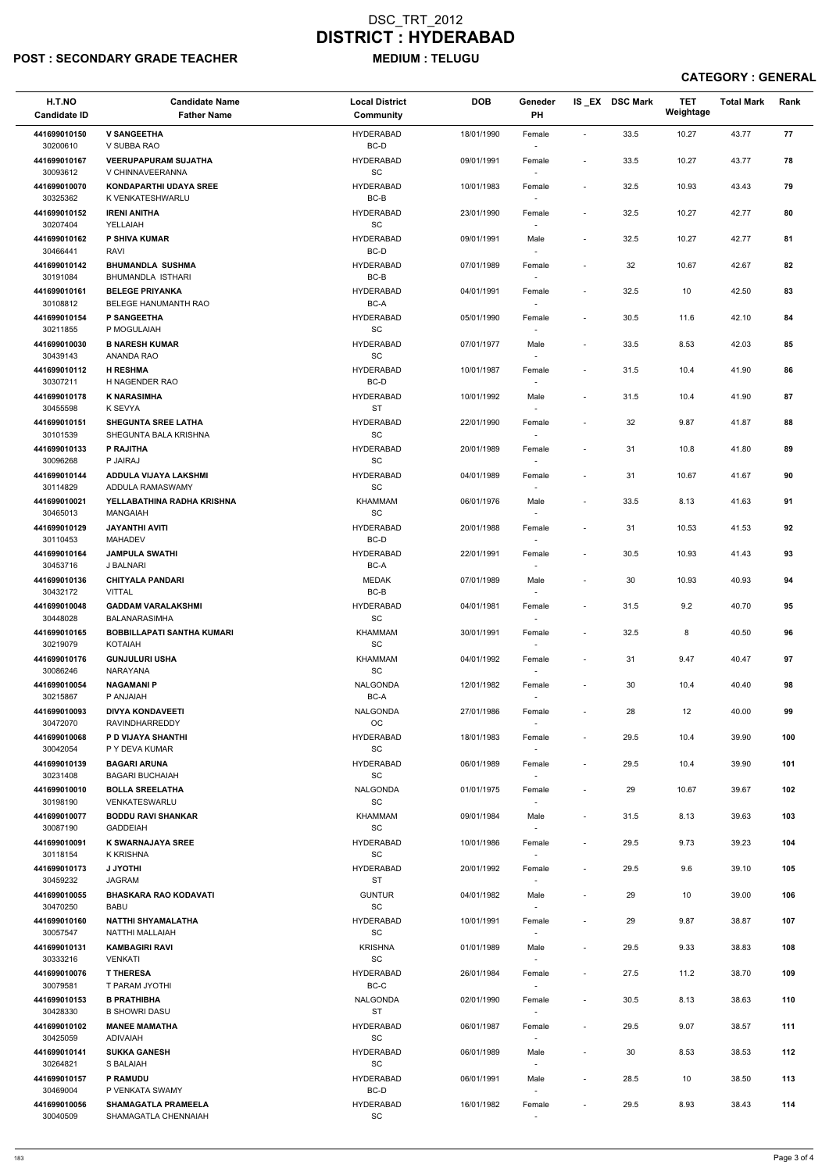# POST : SECONDARY GRADE TEACHER MEDIUM : TELUGU

## DSC\_TRT\_2012 DISTRICT : HYDERABAD

| H.T.NO<br><b>Candidate ID</b>        | <b>Candidate Name</b><br><b>Father Name</b>               | <b>Local District</b><br>Community                   | <b>DOB</b> | Geneder<br>PH                      |                          | IS EX DSC Mark | <b>TET</b><br>Weightage | <b>Total Mark</b> | Rank |
|--------------------------------------|-----------------------------------------------------------|------------------------------------------------------|------------|------------------------------------|--------------------------|----------------|-------------------------|-------------------|------|
| 441699010150<br>30200610             | <b>V SANGEETHA</b><br>V SUBBA RAO                         | <b>HYDERABAD</b><br>BC-D                             | 18/01/1990 | Female                             |                          | 33.5           | 10.27                   | 43.77             | 77   |
| 441699010167<br>30093612             | <b>VEERUPAPURAM SUJATHA</b><br>V CHINNAVEERANNA           | <b>HYDERABAD</b><br><b>SC</b>                        | 09/01/1991 | Female<br>$\sim$                   | $\overline{\phantom{a}}$ | 33.5           | 10.27                   | 43.77             | 78   |
| 441699010070                         | <b>KONDAPARTHI UDAYA SREE</b>                             | <b>HYDERABAD</b>                                     | 10/01/1983 | Female                             | $\overline{\phantom{a}}$ | 32.5           | 10.93                   | 43.43             | 79   |
| 30325362<br>441699010152<br>30207404 | K VENKATESHWARLU<br><b>IRENI ANITHA</b><br>YELLAIAH       | BC-B<br><b>HYDERABAD</b><br>SC                       | 23/01/1990 | Female<br>$\overline{\phantom{a}}$ | $\overline{\phantom{a}}$ | 32.5           | 10.27                   | 42.77             | 80   |
| 441699010162                         | P SHIVA KUMAR                                             | <b>HYDERABAD</b>                                     | 09/01/1991 | Male                               | $\tilde{\phantom{a}}$    | 32.5           | 10.27                   | 42.77             | 81   |
| 30466441<br>441699010142             | RAVI<br><b>BHUMANDLA SUSHMA</b>                           | BC-D<br><b>HYDERABAD</b>                             | 07/01/1989 | $\overline{\phantom{a}}$<br>Female | $\sim$                   | 32             | 10.67                   | 42.67             | 82   |
| 30191084                             | <b>BHUMANDLA ISTHARI</b>                                  | BC-B                                                 |            | $\sim$                             |                          |                |                         |                   |      |
| 441699010161<br>30108812             | <b>BELEGE PRIYANKA</b><br><b>BELEGE HANUMANTH RAO</b>     | <b>HYDERABAD</b><br>BC-A                             | 04/01/1991 | Female<br>$\overline{\phantom{a}}$ | $\overline{\phantom{a}}$ | 32.5           | 10                      | 42.50             | 83   |
| 441699010154<br>30211855             | <b>P SANGEETHA</b><br>P MOGULAIAH                         | <b>HYDERABAD</b><br>SC                               | 05/01/1990 | Female                             | $\overline{\phantom{a}}$ | 30.5           | 11.6                    | 42.10             | 84   |
| 441699010030<br>30439143             | <b>B NARESH KUMAR</b><br>ANANDA RAO                       | <b>HYDERABAD</b><br>SC                               | 07/01/1977 | Male<br>$\overline{\phantom{a}}$   | $\sim$                   | 33.5           | 8.53                    | 42.03             | 85   |
| 441699010112<br>30307211             | <b>H RESHMA</b><br>H NAGENDER RAO                         | <b>HYDERABAD</b><br>BC-D                             | 10/01/1987 | Female<br>$\overline{\phantom{a}}$ |                          | 31.5           | 10.4                    | 41.90             | 86   |
| 441699010178                         | <b>K NARASIMHA</b>                                        | <b>HYDERABAD</b>                                     | 10/01/1992 | Male                               | $\overline{\phantom{a}}$ | 31.5           | 10.4                    | 41.90             | 87   |
| 30455598<br>441699010151             | K SEVYA<br><b>SHEGUNTA SREE LATHA</b>                     | <b>ST</b><br><b>HYDERABAD</b>                        | 22/01/1990 | $\overline{\phantom{a}}$<br>Female |                          | 32             | 9.87                    | 41.87             | 88   |
| 30101539                             | SHEGUNTA BALA KRISHNA                                     | SC                                                   |            |                                    |                          |                |                         |                   |      |
| 441699010133<br>30096268             | P RAJITHA<br>P JAIRAJ                                     | <b>HYDERABAD</b><br>SC                               | 20/01/1989 | Female<br>$\overline{\phantom{a}}$ | $\sim$                   | 31             | 10.8                    | 41.80             | 89   |
| 441699010144<br>30114829             | ADDULA VIJAYA LAKSHMI<br>ADDULA RAMASWAMY                 | <b>HYDERABAD</b><br>$\operatorname{\textsf{SC}}$     | 04/01/1989 | Female<br>$\overline{\phantom{a}}$ |                          | 31             | 10.67                   | 41.67             | 90   |
| 441699010021<br>30465013             | YELLABATHINA RADHA KRISHNA<br><b>MANGAIAH</b>             | <b>KHAMMAM</b><br>SC                                 | 06/01/1976 | Male<br>$\overline{\phantom{m}}$   | $\overline{\phantom{a}}$ | 33.5           | 8.13                    | 41.63             | 91   |
| 441699010129<br>30110453             | JAYANTHI AVITI<br>MAHADEV                                 | <b>HYDERABAD</b><br>BC-D                             | 20/01/1988 | Female<br>$\overline{\phantom{a}}$ |                          | 31             | 10.53                   | 41.53             | 92   |
| 441699010164                         | <b>JAMPULA SWATHI</b>                                     | <b>HYDERABAD</b>                                     | 22/01/1991 | Female                             | $\overline{\phantom{a}}$ | 30.5           | 10.93                   | 41.43             | 93   |
| 30453716<br>441699010136             | J BALNARI<br><b>CHITYALA PANDARI</b>                      | BC-A<br><b>MEDAK</b>                                 | 07/01/1989 | $\sim$<br>Male                     | $\sim$                   | 30             | 10.93                   | 40.93             | 94   |
| 30432172<br>441699010048             | <b>VITTAL</b><br><b>GADDAM VARALAKSHMI</b>                | BC-B<br><b>HYDERABAD</b>                             | 04/01/1981 | $\sim$<br>Female                   | $\overline{\phantom{a}}$ | 31.5           | 9.2                     | 40.70             | 95   |
| 30448028<br>441699010165             | <b>BALANARASIMHA</b><br><b>BOBBILLAPATI SANTHA KUMARI</b> | SC<br>KHAMMAM                                        | 30/01/1991 | Female                             | $\overline{\phantom{a}}$ | 32.5           | 8                       | 40.50             | 96   |
| 30219079                             | <b>KOTAIAH</b>                                            | SC                                                   |            |                                    |                          |                |                         |                   |      |
| 441699010176<br>30086246             | <b>GUNJULURI USHA</b><br>NARAYANA                         | <b>KHAMMAM</b><br>SC                                 | 04/01/1992 | Female<br>$\sim$                   | $\overline{\phantom{a}}$ | 31             | 9.47                    | 40.47             | 97   |
| 441699010054<br>30215867             | <b>NAGAMANI P</b><br>P ANJAIAH                            | NALGONDA<br>BC-A                                     | 12/01/1982 | Female<br>$\sim$                   | $\overline{\phantom{a}}$ | 30             | 10.4                    | 40.40             | 98   |
| 441699010093<br>30472070             | <b>DIVYA KONDAVEETI</b><br><b>RAVINDHARREDDY</b>          | <b>NALGONDA</b><br>OC                                | 27/01/1986 | Female<br>$\sim$                   |                          | 28             | 12                      | 40.00             | 99   |
| 441699010068<br>30042054             | P D VIJAYA SHANTHI<br>P Y DEVA KUMAR                      | <b>HYDERABAD</b><br>SC                               | 18/01/1983 | Female                             | $\overline{\phantom{a}}$ | 29.5           | 10.4                    | 39.90             | 100  |
| 441699010139                         | <b>BAGARI ARUNA</b>                                       | <b>HYDERABAD</b>                                     | 06/01/1989 | Female                             | $\overline{\phantom{a}}$ | 29.5           | 10.4                    | 39.90             | 101  |
| 30231408<br>441699010010             | <b>BAGARI BUCHAIAH</b><br><b>BOLLA SREELATHA</b>          | SC<br><b>NALGONDA</b>                                | 01/01/1975 | $\sim$<br>Female                   |                          | 29             | 10.67                   | 39.67             | 102  |
| 30198190<br>441699010077             | VENKATESWARLU<br><b>BODDU RAVI SHANKAR</b>                | SC<br>KHAMMAM                                        | 09/01/1984 | $\sim$<br>Male                     | $\overline{\phantom{a}}$ | 31.5           | 8.13                    | 39.63             | 103  |
| 30087190                             | <b>GADDEIAH</b>                                           | SC                                                   |            | $\sim$                             |                          |                |                         |                   |      |
| 441699010091<br>30118154             | <b>K SWARNAJAYA SREE</b><br>K KRISHNA                     | <b>HYDERABAD</b><br>SC                               | 10/01/1986 | Female                             | $\overline{\phantom{a}}$ | 29.5           | 9.73                    | 39.23             | 104  |
| 441699010173<br>30459232             | <b>J JYOTHI</b><br>JAGRAM                                 | <b>HYDERABAD</b><br><b>ST</b>                        | 20/01/1992 | Female<br>$\sim$                   | $\overline{\phantom{a}}$ | 29.5           | 9.6                     | 39.10             | 105  |
| 441699010055<br>30470250             | <b>BHASKARA RAO KODAVATI</b><br><b>BABU</b>               | <b>GUNTUR</b><br>SC                                  | 04/01/1982 | Male<br>$\overline{\phantom{a}}$   |                          | 29             | 10                      | 39.00             | 106  |
| 441699010160                         | <b>NATTHI SHYAMALATHA</b>                                 | <b>HYDERABAD</b>                                     | 10/01/1991 | Female                             | $\overline{\phantom{a}}$ | 29             | 9.87                    | 38.87             | 107  |
| 30057547<br>441699010131<br>30333216 | NATTHI MALLAIAH<br><b>KAMBAGIRI RAVI</b><br>VENKATI       | SC<br><b>KRISHNA</b><br>$\operatorname{\textsf{SC}}$ | 01/01/1989 | $\sim$<br>Male                     | $\overline{\phantom{a}}$ | 29.5           | 9.33                    | 38.83             | 108  |
| 441699010076                         | <b>T THERESA</b>                                          | <b>HYDERABAD</b>                                     | 26/01/1984 | Female                             |                          | 27.5           | 11.2                    | 38.70             | 109  |
| 30079581<br>441699010153             | T PARAM JYOTHI<br><b>B PRATHIBHA</b>                      | BC-C<br><b>NALGONDA</b>                              | 02/01/1990 | $\sim$<br>Female                   | $\overline{\phantom{a}}$ | 30.5           | 8.13                    | 38.63             | 110  |
| 30428330                             | <b>B SHOWRI DASU</b>                                      | ST                                                   |            | $\sim$                             |                          |                |                         |                   |      |
| 441699010102<br>30425059             | <b>MANEE MAMATHA</b><br>ADIVAIAH                          | <b>HYDERABAD</b><br>SC                               | 06/01/1987 | Female                             | $\overline{\phantom{a}}$ | 29.5           | 9.07                    | 38.57             | 111  |
| 441699010141<br>30264821             | <b>SUKKA GANESH</b><br>S BALAIAH                          | <b>HYDERABAD</b><br>SC                               | 06/01/1989 | Male<br>$\sim$                     | $\sim$                   | 30             | 8.53                    | 38.53             | 112  |
| 441699010157<br>30469004             | <b>P RAMUDU</b><br>P VENKATA SWAMY                        | <b>HYDERABAD</b><br>BC-D                             | 06/01/1991 | Male<br>$\sim$                     | $\overline{\phantom{a}}$ | 28.5           | 10                      | 38.50             | 113  |
| 441699010056                         | <b>SHAMAGATLA PRAMEELA</b>                                | <b>HYDERABAD</b>                                     | 16/01/1982 | Female                             | $\overline{\phantom{a}}$ | 29.5           | 8.93                    | 38.43             | 114  |
| 30040509                             | SHAMAGATLA CHENNAIAH                                      | SC                                                   |            | $\sim$                             |                          |                |                         |                   |      |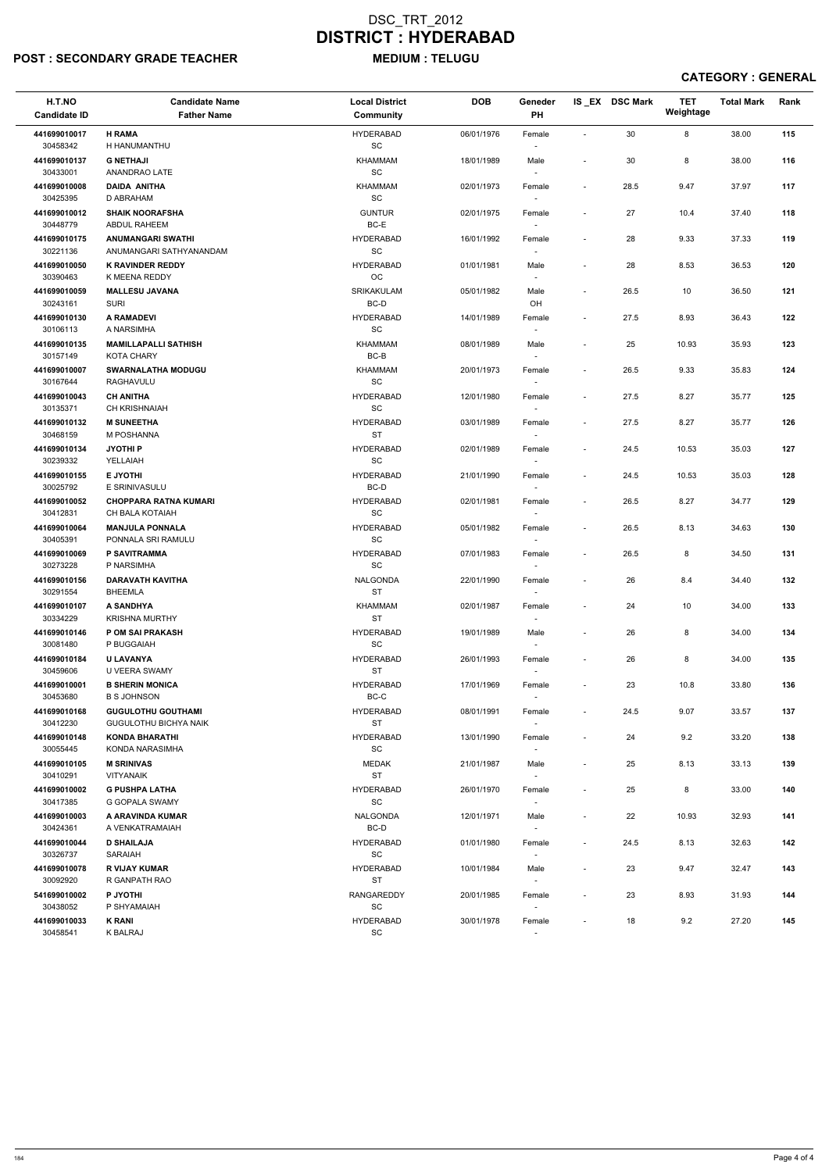### POST : SECONDARY GRADE TEACHER MEDIUM : TELUGU

| H.T.NO<br><b>Candidate ID</b> | <b>Candidate Name</b><br><b>Father Name</b>               | <b>Local District</b><br>Community               | <b>DOB</b> | Geneder<br>PH                      |                          | IS EX DSC Mark | <b>TET</b><br>Weightage | <b>Total Mark</b> | Rank |
|-------------------------------|-----------------------------------------------------------|--------------------------------------------------|------------|------------------------------------|--------------------------|----------------|-------------------------|-------------------|------|
| 441699010017<br>30458342      | <b>H RAMA</b><br>H HANUMANTHU                             | <b>HYDERABAD</b><br>$\operatorname{\textsf{SC}}$ | 06/01/1976 | Female                             | $\sim$                   | 30             | 8                       | 38.00             | 115  |
| 441699010137<br>30433001      | <b>G NETHAJI</b><br>ANANDRAO LATE                         | KHAMMAM<br>SC                                    | 18/01/1989 | Male<br>$\sim$                     | $\blacksquare$           | 30             | 8                       | 38.00             | 116  |
| 441699010008<br>30425395      | <b>DAIDA ANITHA</b><br>D ABRAHAM                          | KHAMMAM<br>SC                                    | 02/01/1973 | Female<br>$\sim$                   | $\blacksquare$           | 28.5           | 9.47                    | 37.97             | 117  |
| 441699010012<br>30448779      | <b>SHAIK NOORAFSHA</b><br>ABDUL RAHEEM                    | <b>GUNTUR</b><br>BC-E                            | 02/01/1975 | Female<br>$\overline{\phantom{a}}$ | $\blacksquare$           | 27             | 10.4                    | 37.40             | 118  |
| 441699010175<br>30221136      | <b>ANUMANGARI SWATHI</b><br>ANUMANGARI SATHYANANDAM       | <b>HYDERABAD</b><br>SC                           | 16/01/1992 | Female<br>$\sim$                   | $\overline{\phantom{a}}$ | 28             | 9.33                    | 37.33             | 119  |
| 441699010050<br>30390463      | <b>K RAVINDER REDDY</b><br>K MEENA REDDY                  | <b>HYDERABAD</b><br>OC                           | 01/01/1981 | Male<br>$\sim$                     | $\overline{\phantom{a}}$ | 28             | 8.53                    | 36.53             | 120  |
| 441699010059<br>30243161      | <b>MALLESU JAVANA</b><br><b>SURI</b>                      | SRIKAKULAM<br>BC-D                               | 05/01/1982 | Male<br>OH                         | $\sim$                   | 26.5           | 10                      | 36.50             | 121  |
| 441699010130<br>30106113      | <b>A RAMADEVI</b><br>A NARSIMHA                           | <b>HYDERABAD</b><br>SC                           | 14/01/1989 | Female<br>$\sim$                   | $\overline{\phantom{a}}$ | 27.5           | 8.93                    | 36.43             | 122  |
| 441699010135<br>30157149      | <b>MAMILLAPALLI SATHISH</b><br><b>KOTA CHARY</b>          | KHAMMAM<br>BC-B                                  | 08/01/1989 | Male<br>$\sim$                     | $\blacksquare$           | 25             | 10.93                   | 35.93             | 123  |
| 441699010007<br>30167644      | <b>SWARNALATHA MODUGU</b><br>RAGHAVULU                    | KHAMMAM<br>$\operatorname{\textsf{SC}}$          | 20/01/1973 | Female<br>$\sim$                   | $\blacksquare$           | 26.5           | 9.33                    | 35.83             | 124  |
| 441699010043<br>30135371      | <b>CH ANITHA</b><br><b>CH KRISHNAIAH</b>                  | <b>HYDERABAD</b><br>SC                           | 12/01/1980 | Female                             | $\blacksquare$           | 27.5           | 8.27                    | 35.77             | 125  |
| 441699010132<br>30468159      | <b>M SUNEETHA</b><br>M POSHANNA                           | <b>HYDERABAD</b><br><b>ST</b>                    | 03/01/1989 | Female<br>$\sim$                   | $\blacksquare$           | 27.5           | 8.27                    | 35.77             | 126  |
| 441699010134<br>30239332      | <b>JYOTHIP</b><br>YELLAIAH                                | <b>HYDERABAD</b><br>SC                           | 02/01/1989 | Female<br>$\sim$                   | $\blacksquare$           | 24.5           | 10.53                   | 35.03             | 127  |
| 441699010155<br>30025792      | <b>E JYOTHI</b><br>E SRINIVASULU                          | <b>HYDERABAD</b><br>BC-D                         | 21/01/1990 | Female<br>$\sim$                   | $\blacksquare$           | 24.5           | 10.53                   | 35.03             | 128  |
| 441699010052<br>30412831      | <b>CHOPPARA RATNA KUMARI</b><br>CH BALA KOTAIAH           | <b>HYDERABAD</b><br>SC                           | 02/01/1981 | Female                             | $\sim$                   | 26.5           | 8.27                    | 34.77             | 129  |
| 441699010064<br>30405391      | <b>MANJULA PONNALA</b><br>PONNALA SRI RAMULU              | <b>HYDERABAD</b><br>SC                           | 05/01/1982 | Female<br>$\sim$                   | $\blacksquare$           | 26.5           | 8.13                    | 34.63             | 130  |
| 441699010069<br>30273228      | P SAVITRAMMA<br>P NARSIMHA                                | <b>HYDERABAD</b><br>SC                           | 07/01/1983 | Female                             | $\overline{\phantom{a}}$ | 26.5           | 8                       | 34.50             | 131  |
| 441699010156<br>30291554      | <b>DARAVATH KAVITHA</b><br>BHEEMLA                        | <b>NALGONDA</b><br><b>ST</b>                     | 22/01/1990 | Female                             | $\blacksquare$           | 26             | 8.4                     | 34.40             | 132  |
| 441699010107<br>30334229      | A SANDHYA<br><b>KRISHNA MURTHY</b>                        | KHAMMAM<br><b>ST</b>                             | 02/01/1987 | Female<br>$\sim$                   | $\overline{\phantom{a}}$ | 24             | 10                      | 34.00             | 133  |
| 441699010146<br>30081480      | <b>P OM SAI PRAKASH</b><br>P BUGGAIAH                     | <b>HYDERABAD</b><br><b>SC</b>                    | 19/01/1989 | Male<br>$\sim$                     | $\blacksquare$           | 26             | 8                       | 34.00             | 134  |
| 441699010184<br>30459606      | <b>U LAVANYA</b><br>U VEERA SWAMY                         | <b>HYDERABAD</b><br><b>ST</b>                    | 26/01/1993 | Female<br>$\sim$                   | $\overline{\phantom{a}}$ | 26             | 8                       | 34.00             | 135  |
| 441699010001<br>30453680      | <b>B SHERIN MONICA</b><br><b>B S JOHNSON</b>              | <b>HYDERABAD</b><br>BC-C                         | 17/01/1969 | Female                             | $\blacksquare$           | 23             | 10.8                    | 33.80             | 136  |
| 441699010168<br>30412230      | <b>GUGULOTHU GOUTHAMI</b><br><b>GUGULOTHU BICHYA NAIK</b> | <b>HYDERABAD</b><br><b>ST</b>                    | 08/01/1991 | Female                             | $\sim$                   | 24.5           | 9.07                    | 33.57             | 137  |
| 441699010148<br>30055445      | <b>KONDA BHARATHI</b><br>KONDA NARASIMHA                  | <b>HYDERABAD</b><br>SC                           | 13/01/1990 | Female<br>$\overline{\phantom{a}}$ | $\blacksquare$           | 24             | 9.2                     | 33.20             | 138  |
| 441699010105<br>30410291      | <b>M SRINIVAS</b><br><b>VITYANAIK</b>                     | MEDAK<br><b>ST</b>                               | 21/01/1987 | Male<br>$\sim$                     | $\overline{\phantom{a}}$ | 25             | 8.13                    | 33.13             | 139  |
| 441699010002<br>30417385      | <b>G PUSHPA LATHA</b><br><b>G GOPALA SWAMY</b>            | <b>HYDERABAD</b><br>SC                           | 26/01/1970 | Female<br>$\overline{\phantom{a}}$ | $\overline{\phantom{a}}$ | 25             | 8                       | 33.00             | 140  |
| 441699010003<br>30424361      | A ARAVINDA KUMAR<br>A VENKATRAMAIAH                       | <b>NALGONDA</b><br>BC-D                          | 12/01/1971 | Male<br>$\sim$                     | $\overline{\phantom{a}}$ | 22             | 10.93                   | 32.93             | 141  |
| 441699010044<br>30326737      | <b>D SHAILAJA</b><br>SARAIAH                              | <b>HYDERABAD</b><br>SC                           | 01/01/1980 | Female<br>$\sim$                   | $\sim$                   | 24.5           | 8.13                    | 32.63             | 142  |
| 441699010078<br>30092920      | <b>R VIJAY KUMAR</b><br>R GANPATH RAO                     | <b>HYDERABAD</b><br><b>ST</b>                    | 10/01/1984 | Male                               |                          | 23             | 9.47                    | 32.47             | 143  |

| 541699010002 | P JYOTHI      | <b>RANGAREDDY</b> | 20/01/1985 | Female | $\sim$<br>∠∪ | 8.93              | 31.93 | 144 |
|--------------|---------------|-------------------|------------|--------|--------------|-------------------|-------|-----|
| 30438052     | P SHYAMAIAH   | c r<br>ں ت        |            |        |              |                   |       |     |
| 441699010033 | <b>K RANI</b> | <b>HYDERABAD</b>  | 30/01/1978 | Female | 18           | <u>ດ ລ</u><br>J.Z | 27.20 | 145 |
| 30458541     | K BALRAJ      | c r<br>ou         |            |        |              |                   |       |     |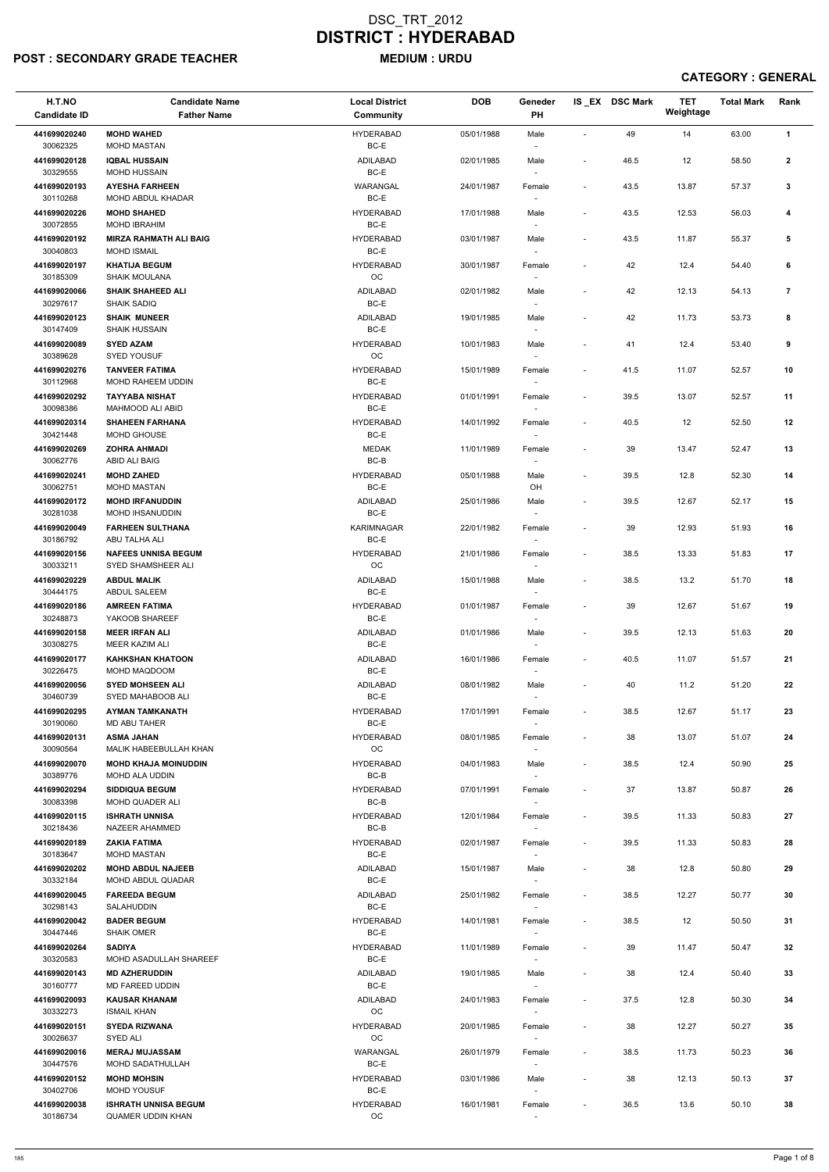## POST : SECONDARY GRADE TEACHER MEDIUM : URDU

| H.T.NO<br><b>Candidate ID</b> | <b>Candidate Name</b><br><b>Father Name</b>           | <b>Local District</b><br><b>Community</b> | <b>DOB</b> | Geneder<br>PH                      |                          | IS_EX DSC Mark | <b>TET</b><br>Weightage | <b>Total Mark</b> | Rank           |
|-------------------------------|-------------------------------------------------------|-------------------------------------------|------------|------------------------------------|--------------------------|----------------|-------------------------|-------------------|----------------|
| 441699020240<br>30062325      | <b>MOHD WAHED</b><br><b>MOHD MASTAN</b>               | <b>HYDERABAD</b><br>BC-E                  | 05/01/1988 | Male                               | ÷,                       | 49             | 14                      | 63.00             | $\mathbf{1}$   |
| 441699020128                  | <b>IQBAL HUSSAIN</b><br><b>MOHD HUSSAIN</b>           | <b>ADILABAD</b><br>BC-E                   | 02/01/1985 | Male                               | $\overline{\phantom{a}}$ | 46.5           | 12                      | 58.50             | $\mathbf{2}$   |
| 30329555<br>441699020193      | <b>AYESHA FARHEEN</b>                                 | WARANGAL                                  | 24/01/1987 | $\overline{\phantom{a}}$<br>Female | $\overline{\phantom{a}}$ | 43.5           | 13.87                   | 57.37             | 3              |
| 30110268<br>441699020226      | <b>MOHD ABDUL KHADAR</b><br><b>MOHD SHAHED</b>        | BC-E<br><b>HYDERABAD</b>                  | 17/01/1988 | $\overline{\phantom{a}}$<br>Male   | $\overline{\phantom{a}}$ | 43.5           | 12.53                   | 56.03             | 4              |
| 30072855                      | <b>MOHD IBRAHIM</b>                                   | BC-E                                      |            | $\overline{\phantom{a}}$           |                          |                |                         |                   |                |
| 441699020192<br>30040803      | <b>MIRZA RAHMATH ALI BAIG</b><br><b>MOHD ISMAIL</b>   | <b>HYDERABAD</b><br>BC-E                  | 03/01/1987 | Male<br>$\overline{\phantom{a}}$   | $\overline{\phantom{a}}$ | 43.5           | 11.87                   | 55.37             | 5              |
| 441699020197<br>30185309      | <b>KHATIJA BEGUM</b><br><b>SHAIK MOULANA</b>          | <b>HYDERABAD</b><br>$_{\rm OC}$           | 30/01/1987 | Female                             |                          | 42             | 12.4                    | 54.40             | 6              |
| 441699020066<br>30297617      | <b>SHAIK SHAHEED ALI</b><br><b>SHAIK SADIQ</b>        | <b>ADILABAD</b><br>BC-E                   | 02/01/1982 | Male<br>$\overline{\phantom{a}}$   | $\overline{a}$           | 42             | 12.13                   | 54.13             | $\overline{7}$ |
| 441699020123<br>30147409      | <b>SHAIK MUNEER</b><br><b>SHAIK HUSSAIN</b>           | ADILABAD<br>$BC-E$                        | 19/01/1985 | Male<br>$\overline{\phantom{a}}$   |                          | 42             | 11.73                   | 53.73             | 8              |
| 441699020089<br>30389628      | <b>SYED AZAM</b><br><b>SYED YOUSUF</b>                | <b>HYDERABAD</b><br>OC                    | 10/01/1983 | Male<br>$\overline{\phantom{a}}$   | $\overline{a}$           | 41             | 12.4                    | 53.40             | 9              |
| 441699020276                  | <b>TANVEER FATIMA</b>                                 | <b>HYDERABAD</b>                          | 15/01/1989 | Female                             | $\blacksquare$           | 41.5           | 11.07                   | 52.57             | 10             |
| 30112968<br>441699020292      | MOHD RAHEEM UDDIN<br><b>TAYYABA NISHAT</b>            | BC-E<br><b>HYDERABAD</b>                  | 01/01/1991 | Female                             | $\overline{\phantom{a}}$ | 39.5           | 13.07                   | 52.57             | 11             |
| 30098386<br>441699020314      | MAHMOOD ALI ABID<br><b>SHAHEEN FARHANA</b>            | BC-E<br><b>HYDERABAD</b>                  | 14/01/1992 | Female                             | $\overline{\phantom{a}}$ | 40.5           | 12                      | 52.50             | 12             |
| 30421448                      | MOHD GHOUSE                                           | BC-E                                      |            | $\sim$                             |                          |                |                         |                   |                |
| 441699020269<br>30062776      | <b>ZOHRA AHMADI</b><br>ABID ALI BAIG                  | <b>MEDAK</b><br>$BC-B$                    | 11/01/1989 | Female<br>$\sim$                   | ÷,                       | 39             | 13.47                   | 52.47             | 13             |
| 441699020241                  | <b>MOHD ZAHED</b>                                     | <b>HYDERABAD</b>                          | 05/01/1988 | Male                               | $\overline{\phantom{a}}$ | 39.5           | 12.8                    | 52.30             | 14             |
| 30062751<br>441699020172      | <b>MOHD MASTAN</b><br><b>MOHD IRFANUDDIN</b>          | BC-E<br><b>ADILABAD</b>                   | 25/01/1986 | OH<br>Male                         | $\overline{\phantom{a}}$ | 39.5           | 12.67                   | 52.17             | 15             |
| 30281038<br>441699020049      | <b>MOHD IHSANUDDIN</b><br><b>FARHEEN SULTHANA</b>     | $BC-E$<br><b>KARIMNAGAR</b>               | 22/01/1982 | Female                             | $\overline{\phantom{a}}$ | 39             | 12.93                   | 51.93             | 16             |
| 30186792<br>441699020156      | ABU TALHA ALI<br><b>NAFEES UNNISA BEGUM</b>           | BC-E<br><b>HYDERABAD</b>                  | 21/01/1986 | $\overline{\phantom{a}}$<br>Female | $\overline{\phantom{a}}$ | 38.5           | 13.33                   | 51.83             | 17             |
| 30033211<br>441699020229      | SYED SHAMSHEER ALI<br><b>ABDUL MALIK</b>              | OC<br>ADILABAD                            | 15/01/1988 | Male                               | $\overline{\phantom{a}}$ | 38.5           | 13.2                    | 51.70             | 18             |
| 30444175                      | <b>ABDUL SALEEM</b>                                   | BC-E                                      |            |                                    |                          |                |                         |                   |                |
| 441699020186<br>30248873      | <b>AMREEN FATIMA</b><br>YAKOOB SHAREEF                | <b>HYDERABAD</b><br>BC-E                  | 01/01/1987 | Female<br>$\overline{\phantom{a}}$ | $\blacksquare$           | 39             | 12.67                   | 51.67             | 19             |
| 441699020158<br>30308275      | <b>MEER IRFAN ALI</b><br>MEER KAZIM ALI               | <b>ADILABAD</b><br>BC-E                   | 01/01/1986 | Male<br>$\sim$                     | $\overline{\phantom{a}}$ | 39.5           | 12.13                   | 51.63             | 20             |
| 441699020177<br>30226475      | <b>KAHKSHAN KHATOON</b><br>MOHD MAQDOOM               | ADILABAD<br>BC-E                          | 16/01/1986 | Female<br>$\overline{\phantom{a}}$ | $\overline{\phantom{a}}$ | 40.5           | 11.07                   | 51.57             | 21             |
| 441699020056<br>30460739      | <b>SYED MOHSEEN ALI</b><br>SYED MAHABOOB ALI          | ADILABAD<br>BC-E                          | 08/01/1982 | Male                               | $\overline{\phantom{a}}$ | 40             | 11.2                    | 51.20             | 22             |
| 441699020295<br>30190060      | <b>AYMAN TAMKANATH</b><br><b>MD ABU TAHER</b>         | <b>HYDERABAD</b><br>BC-E                  | 17/01/1991 | Female                             | $\overline{\phantom{a}}$ | 38.5           | 12.67                   | 51.17             | 23             |
| 441699020131                  | <b>ASMA JAHAN</b>                                     | <b>HYDERABAD</b>                          | 08/01/1985 | $\sim$<br>Female                   | $\blacksquare$           | 38             | 13.07                   | 51.07             | 24             |
| 30090564<br>441699020070      | MALIK HABEEBULLAH KHAN<br><b>MOHD KHAJA MOINUDDIN</b> | ОC<br><b>HYDERABAD</b>                    | 04/01/1983 | $\overline{\phantom{a}}$<br>Male   | $\overline{a}$           | 38.5           | 12.4                    | 50.90             | 25             |
| 30389776                      | MOHD ALA UDDIN                                        | BC-B                                      |            | $\sim$                             |                          |                |                         |                   |                |
| 441699020294<br>30083398      | <b>SIDDIQUA BEGUM</b><br>MOHD QUADER ALI              | <b>HYDERABAD</b><br>BC-B                  | 07/01/1991 | Female                             | $\blacksquare$           | 37             | 13.87                   | 50.87             | 26             |
| 441699020115<br>30218436      | <b>ISHRATH UNNISA</b><br>NAZEER AHAMMED               | <b>HYDERABAD</b><br>BC-B                  | 12/01/1984 | Female                             | $\overline{\phantom{a}}$ | 39.5           | 11.33                   | 50.83             | 27             |
| 441699020189<br>30183647      | <b>ZAKIA FATIMA</b><br><b>MOHD MASTAN</b>             | <b>HYDERABAD</b><br>BC-E                  | 02/01/1987 | Female<br>$\sim$                   | $\overline{\phantom{a}}$ | 39.5           | 11.33                   | 50.83             | 28             |
| 441699020202<br>30332184      | <b>MOHD ABDUL NAJEEB</b><br>MOHD ABDUL QUADAR         | ADILABAD<br>BC-E                          | 15/01/1987 | Male<br>$\sim$                     | $\overline{\phantom{a}}$ | 38             | 12.8                    | 50.80             | 29             |
| 441699020045                  | <b>FAREEDA BEGUM</b>                                  | ADILABAD                                  | 25/01/1982 | Female                             | $\blacksquare$           | 38.5           | 12.27                   | 50.77             | 30             |
| 30298143<br>441699020042      | SALAHUDDIN<br><b>BADER BEGUM</b>                      | BC-E<br><b>HYDERABAD</b>                  | 14/01/1981 | $\overline{\phantom{a}}$<br>Female | $\overline{\phantom{a}}$ | 38.5           | 12                      | 50.50             | 31             |
| 30447446                      | <b>SHAIK OMER</b>                                     | BC-E                                      |            |                                    |                          |                |                         |                   |                |
| 441699020264<br>30320583      | <b>SADIYA</b><br>MOHD ASADULLAH SHAREEF               | <b>HYDERABAD</b><br>BC-E                  | 11/01/1989 | Female<br>$\overline{\phantom{a}}$ | $\overline{\phantom{a}}$ | 39             | 11.47                   | 50.47             | 32             |
| 441699020143                  | <b>MD AZHERUDDIN</b>                                  | ADILABAD                                  | 19/01/1985 | Male                               | $\overline{\phantom{a}}$ | 38             | 12.4                    | 50.40             | 33             |
| 30160777<br>441699020093      | MD FAREED UDDIN<br><b>KAUSAR KHANAM</b>               | BC-E<br>ADILABAD                          | 24/01/1983 | $\overline{\phantom{a}}$<br>Female | $\overline{\phantom{a}}$ | 37.5           | 12.8                    | 50.30             | 34             |
| 30332273<br>441699020151      | <b>ISMAIL KHAN</b><br><b>SYEDA RIZWANA</b>            | OC<br><b>HYDERABAD</b>                    | 20/01/1985 | $\overline{\phantom{a}}$<br>Female | $\overline{a}$           | 38             | 12.27                   | 50.27             | 35             |
| 30026637<br>441699020016      | SYED ALI<br><b>MERAJ MUJASSAM</b>                     | OC<br>WARANGAL                            | 26/01/1979 | $\overline{\phantom{a}}$<br>Female | $\blacksquare$           | 38.5           | 11.73                   | 50.23             | 36             |
| 30447576                      | <b>MOHD SADATHULLAH</b>                               | BC-E                                      |            | $\sim$                             |                          |                |                         |                   |                |
| 441699020152<br>30402706      | <b>MOHD MOHSIN</b><br><b>MOHD YOUSUF</b>              | <b>HYDERABAD</b><br>BC-E                  | 03/01/1986 | Male<br>$\sim$                     | $\overline{\phantom{a}}$ | 38             | 12.13                   | 50.13             | 37             |
| 441699020038<br>30186734      | <b>ISHRATH UNNISA BEGUM</b><br>QUAMER UDDIN KHAN      | <b>HYDERABAD</b><br>OC                    | 16/01/1981 | Female<br>$\sim$                   | $\overline{\phantom{a}}$ | 36.5           | 13.6                    | 50.10             | 38             |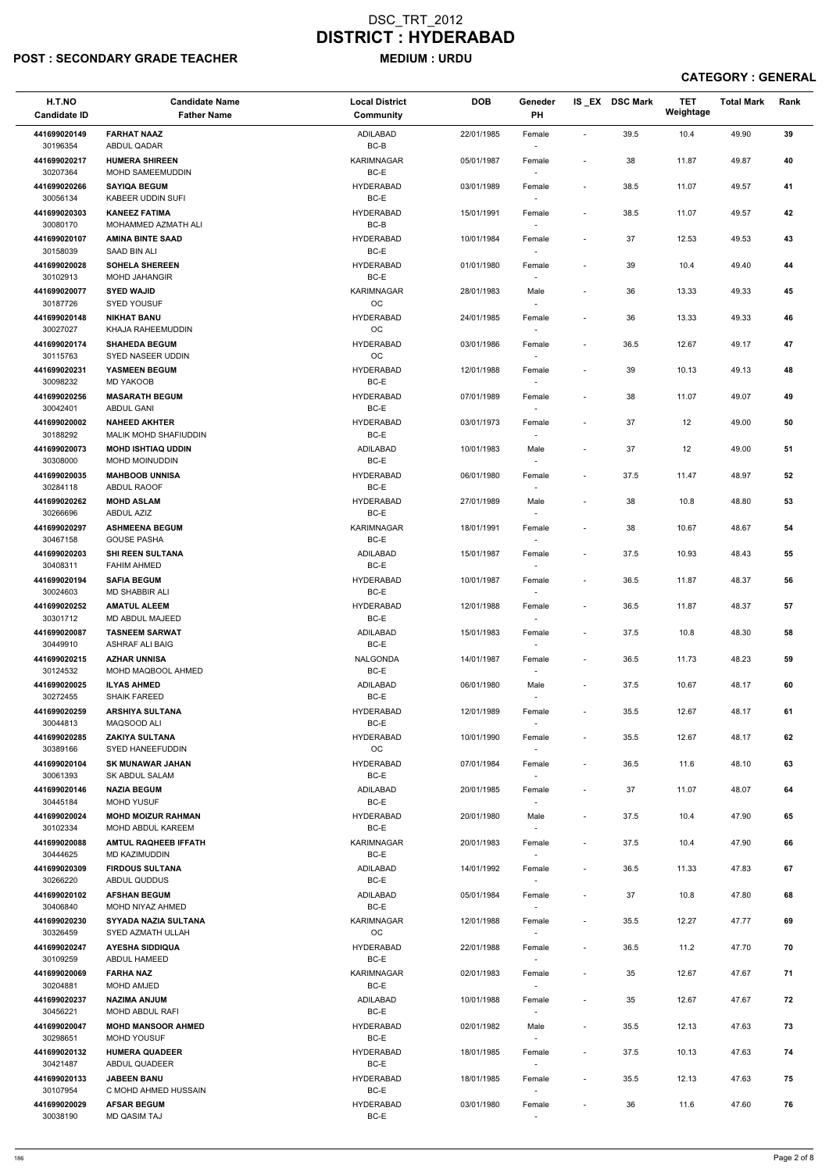## POST : SECONDARY GRADE TEACHER MEDIUM : URDU

| H.T.NO<br><b>Candidate ID</b> | <b>Candidate Name</b><br><b>Father Name</b>      | <b>Local District</b><br>Community | <b>DOB</b> | Geneder<br>PH                      |                          | IS_EX DSC Mark | <b>TET</b><br>Weightage | <b>Total Mark</b> | Rank |
|-------------------------------|--------------------------------------------------|------------------------------------|------------|------------------------------------|--------------------------|----------------|-------------------------|-------------------|------|
| 441699020149<br>30196354      | <b>FARHAT NAAZ</b><br>ABDUL QADAR                | <b>ADILABAD</b><br>BC-B            | 22/01/1985 | Female<br>$\overline{\phantom{a}}$ | $\blacksquare$           | 39.5           | 10.4                    | 49.90             | 39   |
| 441699020217<br>30207364      | <b>HUMERA SHIREEN</b><br>MOHD SAMEEMUDDIN        | KARIMNAGAR<br>BC-E                 | 05/01/1987 | Female                             | $\overline{\phantom{a}}$ | 38             | 11.87                   | 49.87             | 40   |
| 441699020266<br>30056134      | <b>SAYIQA BEGUM</b><br><b>KABEER UDDIN SUFI</b>  | <b>HYDERABAD</b><br>BC-E           | 03/01/1989 | Female<br>$\sim$                   | $\overline{\phantom{a}}$ | 38.5           | 11.07                   | 49.57             | 41   |
| 441699020303                  | <b>KANEEZ FATIMA</b>                             | <b>HYDERABAD</b>                   | 15/01/1991 | Female                             | ÷,                       | 38.5           | 11.07                   | 49.57             | 42   |
| 30080170<br>441699020107      | MOHAMMED AZMATH ALI<br><b>AMINA BINTE SAAD</b>   | BC-B<br><b>HYDERABAD</b>           | 10/01/1984 | $\overline{\phantom{a}}$<br>Female | ÷,                       | 37             | 12.53                   | 49.53             | 43   |
| 30158039                      | SAAD BIN ALI                                     | BC-E                               |            | $\sim$                             |                          |                |                         |                   |      |
| 441699020028<br>30102913      | <b>SOHELA SHEREEN</b><br><b>MOHD JAHANGIR</b>    | <b>HYDERABAD</b><br>BC-E           | 01/01/1980 | Female                             | $\blacksquare$           | 39             | 10.4                    | 49.40             | 44   |
| 441699020077<br>30187726      | <b>SYED WAJID</b><br><b>SYED YOUSUF</b>          | <b>KARIMNAGAR</b><br>OC            | 28/01/1983 | Male                               | $\blacksquare$           | 36             | 13.33                   | 49.33             | 45   |
| 441699020148<br>30027027      | <b>NIKHAT BANU</b><br>KHAJA RAHEEMUDDIN          | <b>HYDERABAD</b><br>OC             | 24/01/1985 | Female<br>$\sim$                   |                          | 36             | 13.33                   | 49.33             | 46   |
| 441699020174<br>30115763      | <b>SHAHEDA BEGUM</b><br>SYED NASEER UDDIN        | <b>HYDERABAD</b><br><b>OC</b>      | 03/01/1986 | Female<br>$\overline{\phantom{a}}$ | $\overline{\phantom{a}}$ | 36.5           | 12.67                   | 49.17             | 47   |
| 441699020231<br>30098232      | YASMEEN BEGUM                                    | <b>HYDERABAD</b><br>BC-E           | 12/01/1988 | Female                             | $\overline{\phantom{a}}$ | 39             | 10.13                   | 49.13             | 48   |
| 441699020256                  | <b>MD YAKOOB</b><br><b>MASARATH BEGUM</b>        | <b>HYDERABAD</b>                   | 07/01/1989 | $\overline{\phantom{a}}$<br>Female | $\overline{a}$           | 38             | 11.07                   | 49.07             | 49   |
| 30042401<br>441699020002      | <b>ABDUL GANI</b><br><b>NAHEED AKHTER</b>        | BC-E<br><b>HYDERABAD</b>           | 03/01/1973 | Female                             | $\overline{\phantom{a}}$ | 37             | 12                      | 49.00             | 50   |
| 30188292                      | MALIK MOHD SHAFIUDDIN                            | BC-E                               |            | $\overline{\phantom{a}}$           |                          |                |                         |                   |      |
| 441699020073<br>30308000      | <b>MOHD ISHTIAQ UDDIN</b><br>MOHD MOINUDDIN      | ADILABAD<br>BC-E                   | 10/01/1983 | Male<br>$\overline{\phantom{a}}$   |                          | 37             | 12                      | 49.00             | 51   |
| 441699020035                  | <b>MAHBOOB UNNISA</b>                            | <b>HYDERABAD</b>                   | 06/01/1980 | Female                             | $\overline{\phantom{a}}$ | 37.5           | 11.47                   | 48.97             | 52   |
| 30284118<br>441699020262      | <b>ABDUL RAOOF</b><br><b>MOHD ASLAM</b>          | BC-E<br><b>HYDERABAD</b>           | 27/01/1989 | $\overline{\phantom{a}}$<br>Male   | $\blacksquare$           | 38             | 10.8                    | 48.80             | 53   |
| 30266696<br>441699020297      | ABDUL AZIZ<br><b>ASHMEENA BEGUM</b>              | BC-E<br><b>KARIMNAGAR</b>          | 18/01/1991 | Female                             | $\overline{\phantom{a}}$ | 38             | 10.67                   | 48.67             | 54   |
| 30467158<br>441699020203      | <b>GOUSE PASHA</b><br><b>SHI REEN SULTANA</b>    | BC-E<br>ADILABAD                   | 15/01/1987 | $\overline{\phantom{a}}$<br>Female | $\overline{\phantom{a}}$ | 37.5           | 10.93                   | 48.43             | 55   |
| 30408311                      | <b>FAHIM AHMED</b>                               | BC-E                               |            | $\sim$                             |                          |                |                         |                   |      |
| 441699020194<br>30024603      | <b>SAFIA BEGUM</b><br><b>MD SHABBIR ALI</b>      | <b>HYDERABAD</b><br>BC-E           | 10/01/1987 | Female                             | $\overline{\phantom{a}}$ | 36.5           | 11.87                   | 48.37             | 56   |
| 441699020252<br>30301712      | <b>AMATUL ALEEM</b><br>MD ABDUL MAJEED           | <b>HYDERABAD</b><br>BC-E           | 12/01/1988 | Female<br>$\sim$                   | $\overline{\phantom{a}}$ | 36.5           | 11.87                   | 48.37             | 57   |
| 441699020087<br>30449910      | <b>TASNEEM SARWAT</b><br><b>ASHRAF ALI BAIG</b>  | ADILABAD<br>BC-E                   | 15/01/1983 | Female<br>$\sim$                   | $\overline{\phantom{a}}$ | 37.5           | 10.8                    | 48.30             | 58   |
| 441699020215<br>30124532      | <b>AZHAR UNNISA</b><br>MOHD MAQBOOL AHMED        | NALGONDA<br>BC-E                   | 14/01/1987 | Female<br>$\sim$                   | $\blacksquare$           | 36.5           | 11.73                   | 48.23             | 59   |
| 441699020025                  | <b>ILYAS AHMED</b>                               | ADILABAD                           | 06/01/1980 | Male                               | $\overline{\phantom{a}}$ | 37.5           | 10.67                   | 48.17             | 60   |
| 30272455<br>441699020259      | <b>SHAIK FAREED</b><br><b>ARSHIYA SULTANA</b>    | BC-E<br><b>HYDERABAD</b>           | 12/01/1989 | $\overline{\phantom{a}}$<br>Female | $\overline{\phantom{a}}$ | 35.5           | 12.67                   | 48.17             | 61   |
| 30044813<br>441699020285      | MAQSOOD ALI<br><b>ZAKIYA SULTANA</b>             | BC-E<br><b>HYDERABAD</b>           | 10/01/1990 | $\overline{\phantom{a}}$<br>Female | $\overline{\phantom{a}}$ | 35.5           | 12.67                   | 48.17             | 62   |
| 30389166                      | SYED HANEEFUDDIN                                 | OC                                 |            | $\sim$                             |                          |                |                         |                   |      |
| 441699020104<br>30061393      | <b>SK MUNAWAR JAHAN</b><br><b>SK ABDUL SALAM</b> | <b>HYDERABAD</b><br>BC-E           | 07/01/1984 | Female<br>$\sim$                   | $\overline{\phantom{a}}$ | 36.5           | 11.6                    | 48.10             | 63   |
| 441699020146<br>30445184      | <b>NAZIA BEGUM</b><br>MOHD YUSUF                 | ADILABAD<br>BC-E                   | 20/01/1985 | Female<br>$\sim$                   | $\overline{\phantom{a}}$ | 37             | 11.07                   | 48.07             | 64   |
| 441699020024<br>30102334      | <b>MOHD MOIZUR RAHMAN</b><br>MOHD ABDUL KAREEM   | <b>HYDERABAD</b><br>BC-E           | 20/01/1980 | Male                               | $\overline{\phantom{a}}$ | 37.5           | 10.4                    | 47.90             | 65   |
| 441699020088<br>30444625      | <b>AMTUL RAQHEEB IFFATH</b><br>MD KAZIMUDDIN     | <b>KARIMNAGAR</b><br>BC-E          | 20/01/1983 | Female<br>$\sim$                   | $\blacksquare$           | 37.5           | 10.4                    | 47.90             | 66   |
| 441699020309                  | <b>FIRDOUS SULTANA</b>                           | ADILABAD                           | 14/01/1992 | Female                             | $\overline{\phantom{a}}$ | 36.5           | 11.33                   | 47.83             | 67   |
| 30266220<br>441699020102      | ABDUL QUDDUS<br><b>AFSHAN BEGUM</b>              | BC-E<br>ADILABAD                   | 05/01/1984 | $\sim$<br>Female                   | $\overline{\phantom{a}}$ | 37             | 10.8                    | 47.80             | 68   |
| 30406840                      | MOHD NIYAZ AHMED                                 | BC-E                               |            | $\sim$                             |                          |                |                         |                   |      |
| 441699020230<br>30326459      | SYYADA NAZIA SULTANA<br>SYED AZMATH ULLAH        | <b>KARIMNAGAR</b><br><b>OC</b>     | 12/01/1988 | Female                             | $\overline{\phantom{a}}$ | 35.5           | 12.27                   | 47.77             | 69   |
| 441699020247<br>30109259      | <b>AYESHA SIDDIQUA</b><br>ABDUL HAMEED           | <b>HYDERABAD</b><br>BC-E           | 22/01/1988 | Female                             | $\overline{\phantom{a}}$ | 36.5           | 11.2                    | 47.70             | 70   |
| 441699020069                  | <b>FARHA NAZ</b>                                 | KARIMNAGAR                         | 02/01/1983 | Female                             | $\overline{\phantom{a}}$ | 35             | 12.67                   | 47.67             | 71   |
| 30204881<br>441699020237      | <b>MOHD AMJED</b><br><b>NAZIMA ANJUM</b>         | BC-E<br><b>ADILABAD</b>            | 10/01/1988 | $\sim$<br>Female                   | $\overline{\phantom{a}}$ | 35             | 12.67                   | 47.67             | 72   |
| 30456221<br>441699020047      | MOHD ABDUL RAFI<br><b>MOHD MANSOOR AHMED</b>     | BC-E<br><b>HYDERABAD</b>           | 02/01/1982 | $\overline{\phantom{a}}$<br>Male   | $\overline{\phantom{a}}$ | 35.5           | 12.13                   | 47.63             | 73   |
| 30298651<br>441699020132      | <b>MOHD YOUSUF</b><br><b>HUMERA QUADEER</b>      | BC-E<br><b>HYDERABAD</b>           | 18/01/1985 | $\sim$<br>Female                   | $\overline{\phantom{a}}$ | 37.5           | 10.13                   | 47.63             | 74   |
| 30421487                      | ABDUL QUADEER                                    | BC-E                               |            | $\sim$                             |                          |                |                         |                   |      |
| 441699020133<br>30107954      | <b>JABEEN BANU</b><br>C MOHD AHMED HUSSAIN       | <b>HYDERABAD</b><br>BC-E           | 18/01/1985 | Female<br>$\sim$                   | $\blacksquare$           | 35.5           | 12.13                   | 47.63             | 75   |
| 441699020029<br>30038190      | <b>AFSAR BEGUM</b><br><b>MD QASIM TAJ</b>        | <b>HYDERABAD</b><br>BC-E           | 03/01/1980 | Female<br>$\overline{\phantom{a}}$ |                          | 36             | 11.6                    | 47.60             | 76   |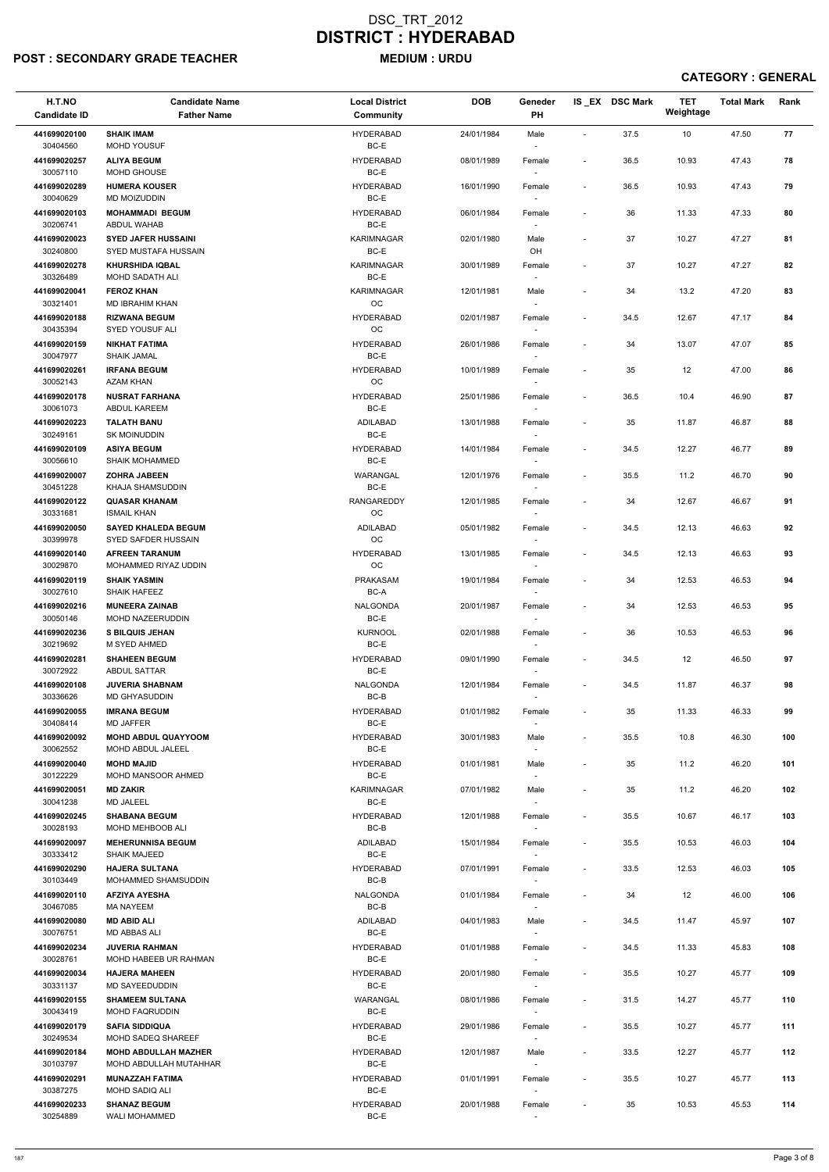## POST : SECONDARY GRADE TEACHER MEDIUM : URDU

| H.T.NO<br><b>Candidate ID</b> | <b>Candidate Name</b><br><b>Father Name</b>       | <b>Local District</b><br>Community | <b>DOB</b> | Geneder<br>PH                      |                              | IS EX DSC Mark | <b>TET</b><br>Weightage | <b>Total Mark</b> | Rank |
|-------------------------------|---------------------------------------------------|------------------------------------|------------|------------------------------------|------------------------------|----------------|-------------------------|-------------------|------|
| 441699020100<br>30404560      | <b>SHAIK IMAM</b><br>MOHD YOUSUF                  | <b>HYDERABAD</b><br>BC-E           | 24/01/1984 | Male<br>$\overline{\phantom{a}}$   | $\blacksquare$               | 37.5           | 10                      | 47.50             | 77   |
| 441699020257<br>30057110      | <b>ALIYA BEGUM</b><br>MOHD GHOUSE                 | <b>HYDERABAD</b><br>BC-E           | 08/01/1989 | Female                             | $\overline{\phantom{a}}$     | 36.5           | 10.93                   | 47.43             | 78   |
| 441699020289<br>30040629      | <b>HUMERA KOUSER</b><br><b>MD MOIZUDDIN</b>       | <b>HYDERABAD</b><br>BC-E           | 16/01/1990 | Female                             | $\overline{\phantom{a}}$     | 36.5           | 10.93                   | 47.43             | 79   |
| 441699020103                  | <b>MOHAMMADI BEGUM</b>                            | <b>HYDERABAD</b>                   | 06/01/1984 | $\sim$<br>Female                   | $\overline{\phantom{a}}$     | 36             | 11.33                   | 47.33             | 80   |
| 30206741<br>441699020023      | <b>ABDUL WAHAB</b><br><b>SYED JAFER HUSSAINI</b>  | BC-E<br>KARIMNAGAR                 | 02/01/1980 | $\overline{\phantom{a}}$<br>Male   |                              | 37             | 10.27                   | 47.27             | 81   |
| 30240800                      | SYED MUSTAFA HUSSAIN<br><b>KHURSHIDA IQBAL</b>    | BC-E                               |            | OH                                 |                              |                |                         |                   |      |
| 441699020278<br>30326489      | MOHD SADATH ALI                                   | KARIMNAGAR<br>BC-E                 | 30/01/1989 | Female                             | $\qquad \qquad \blacksquare$ | 37             | 10.27                   | 47.27             | 82   |
| 441699020041<br>30321401      | <b>FEROZ KHAN</b><br><b>MD IBRAHIM KHAN</b>       | <b>KARIMNAGAR</b><br>OC            | 12/01/1981 | Male                               | $\overline{\phantom{a}}$     | 34             | 13.2                    | 47.20             | 83   |
| 441699020188<br>30435394      | <b>RIZWANA BEGUM</b><br>SYED YOUSUF ALI           | <b>HYDERABAD</b><br>OC             | 02/01/1987 | Female<br>$\sim$                   | $\overline{\phantom{a}}$     | 34.5           | 12.67                   | 47.17             | 84   |
| 441699020159<br>30047977      | <b>NIKHAT FATIMA</b><br><b>SHAIK JAMAL</b>        | <b>HYDERABAD</b><br>BC-E           | 26/01/1986 | Female<br>$\overline{\phantom{a}}$ | $\overline{\phantom{a}}$     | 34             | 13.07                   | 47.07             | 85   |
| 441699020261<br>30052143      | <b>IRFANA BEGUM</b><br>AZAM KHAN                  | <b>HYDERABAD</b><br>OC             | 10/01/1989 | Female<br>$\sim$                   | $\overline{\phantom{a}}$     | 35             | 12                      | 47.00             | 86   |
| 441699020178                  | <b>NUSRAT FARHANA</b>                             | <b>HYDERABAD</b>                   | 25/01/1986 | Female                             | $\overline{\phantom{a}}$     | 36.5           | 10.4                    | 46.90             | 87   |
| 30061073<br>441699020223      | ABDUL KAREEM<br><b>TALATH BANU</b>                | BC-E<br><b>ADILABAD</b>            | 13/01/1988 | Female                             | $\overline{\phantom{a}}$     | 35             | 11.87                   | 46.87             | 88   |
| 30249161                      | SK MOINUDDIN                                      | $BC-E$                             |            | $\sim$                             |                              |                |                         |                   |      |
| 441699020109<br>30056610      | <b>ASIYA BEGUM</b><br><b>SHAIK MOHAMMED</b>       | <b>HYDERABAD</b><br>BC-E           | 14/01/1984 | Female<br>$\sim$                   | $\overline{\phantom{a}}$     | 34.5           | 12.27                   | 46.77             | 89   |
| 441699020007<br>30451228      | <b>ZOHRA JABEEN</b><br>KHAJA SHAMSUDDIN           | WARANGAL<br>BC-E                   | 12/01/1976 | Female                             | $\overline{\phantom{a}}$     | 35.5           | 11.2                    | 46.70             | 90   |
| 441699020122                  | <b>QUASAR KHANAM</b>                              | RANGAREDDY                         | 12/01/1985 | $\overline{\phantom{a}}$<br>Female | $\overline{\phantom{a}}$     | 34             | 12.67                   | 46.67             | 91   |
| 30331681<br>441699020050      | <b>ISMAIL KHAN</b><br><b>SAYED KHALEDA BEGUM</b>  | OC<br><b>ADILABAD</b>              | 05/01/1982 | Female                             | $\overline{\phantom{a}}$     | 34.5           | 12.13                   | 46.63             | 92   |
| 30399978<br>441699020140      | SYED SAFDER HUSSAIN<br><b>AFREEN TARANUM</b>      | OC.<br><b>HYDERABAD</b>            | 13/01/1985 | $\overline{\phantom{a}}$<br>Female | $\qquad \qquad \blacksquare$ | 34.5           | 12.13                   | 46.63             | 93   |
| 30029870<br>441699020119      | MOHAMMED RIYAZ UDDIN<br><b>SHAIK YASMIN</b>       | OC<br>PRAKASAM                     | 19/01/1984 | $\overline{\phantom{a}}$<br>Female | $\overline{\phantom{a}}$     | 34             | 12.53                   | 46.53             | 94   |
| 30027610                      | <b>SHAIK HAFEEZ</b>                               | BC-A                               |            |                                    |                              |                |                         |                   |      |
| 441699020216<br>30050146      | <b>MUNEERA ZAINAB</b><br>MOHD NAZEERUDDIN         | NALGONDA<br>BC-E                   | 20/01/1987 | Female<br>$\sim$                   | $\overline{\phantom{a}}$     | 34             | 12.53                   | 46.53             | 95   |
| 441699020236<br>30219692      | <b>S BILQUIS JEHAN</b><br>M SYED AHMED            | <b>KURNOOL</b><br>BC-E             | 02/01/1988 | Female<br>$\sim$                   | $\overline{\phantom{a}}$     | 36             | 10.53                   | 46.53             | 96   |
| 441699020281<br>30072922      | <b>SHAHEEN BEGUM</b><br><b>ABDUL SATTAR</b>       | <b>HYDERABAD</b><br>BC-E           | 09/01/1990 | Female<br>$\sim$                   | $\overline{\phantom{a}}$     | 34.5           | 12                      | 46.50             | 97   |
| 441699020108<br>30336626      | <b>JUVERIA SHABNAM</b><br><b>MD GHYASUDDIN</b>    | NALGONDA<br>BC-B                   | 12/01/1984 | Female                             | $\overline{\phantom{a}}$     | 34.5           | 11.87                   | 46.37             | 98   |
| 441699020055                  | <b>IMRANA BEGUM</b>                               | <b>HYDERABAD</b>                   | 01/01/1982 | Female                             | $\overline{\phantom{a}}$     | 35             | 11.33                   | 46.33             | 99   |
| 30408414<br>441699020092      | <b>MD JAFFER</b><br><b>MOHD ABDUL QUAYYOOM</b>    | BC-E<br><b>HYDERABAD</b>           | 30/01/1983 | $\overline{\phantom{a}}$<br>Male   | $\blacksquare$               | 35.5           | 10.8                    | 46.30             | 100  |
| 30062552<br>441699020040      | MOHD ABDUL JALEEL<br><b>MOHD MAJID</b>            | BC-E<br><b>HYDERABAD</b>           | 01/01/1981 | $\overline{\phantom{a}}$<br>Male   | $\overline{\phantom{a}}$     | 35             | 11.2                    | 46.20             | 101  |
| 30122229                      | MOHD MANSOOR AHMED                                | BC-E                               |            | $\sim$                             |                              |                |                         |                   |      |
| 441699020051<br>30041238      | <b>MD ZAKIR</b><br><b>MD JALEEL</b>               | KARIMNAGAR<br>BC-E                 | 07/01/1982 | Male<br>$\overline{\phantom{a}}$   | $\qquad \qquad \blacksquare$ | 35             | 11.2                    | 46.20             | 102  |
| 441699020245<br>30028193      | <b>SHABANA BEGUM</b><br>MOHD MEHBOOB ALI          | <b>HYDERABAD</b><br>BC-B           | 12/01/1988 | Female                             | $\overline{\phantom{a}}$     | 35.5           | 10.67                   | 46.17             | 103  |
| 441699020097<br>30333412      | <b>MEHERUNNISA BEGUM</b><br><b>SHAIK MAJEED</b>   | ADILABAD<br>BC-E                   | 15/01/1984 | Female<br>$\sim$                   | $\overline{\phantom{a}}$     | 35.5           | 10.53                   | 46.03             | 104  |
| 441699020290<br>30103449      | <b>HAJERA SULTANA</b><br>MOHAMMED SHAMSUDDIN      | <b>HYDERABAD</b><br>BC-B           | 07/01/1991 | Female<br>$\sim$                   | $\overline{\phantom{a}}$     | 33.5           | 12.53                   | 46.03             | 105  |
| 441699020110                  | <b>AFZIYA AYESHA</b>                              | NALGONDA                           | 01/01/1984 | Female                             | $\overline{\phantom{a}}$     | 34             | 12                      | 46.00             | 106  |
| 30467085<br>441699020080      | <b>MA NAYEEM</b><br><b>MD ABID ALI</b>            | BC-B<br><b>ADILABAD</b>            | 04/01/1983 | $\sim$<br>Male                     | $\overline{\phantom{a}}$     | 34.5           | 11.47                   | 45.97             | 107  |
| 30076751                      | MD ABBAS ALI                                      | BC-E                               |            |                                    |                              |                |                         |                   |      |
| 441699020234<br>30028761      | <b>JUVERIA RAHMAN</b><br>MOHD HABEEB UR RAHMAN    | <b>HYDERABAD</b><br>BC-E           | 01/01/1988 | Female<br>$\overline{\phantom{a}}$ | $\overline{\phantom{a}}$     | 34.5           | 11.33                   | 45.83             | 108  |
| 441699020034<br>30331137      | <b>HAJERA MAHEEN</b><br>MD SAYEEDUDDIN            | <b>HYDERABAD</b><br>BC-E           | 20/01/1980 | Female                             | $\overline{\phantom{a}}$     | 35.5           | 10.27                   | 45.77             | 109  |
| 441699020155                  | <b>SHAMEEM SULTANA</b>                            | WARANGAL                           | 08/01/1986 | $\overline{\phantom{a}}$<br>Female | $\overline{\phantom{a}}$     | 31.5           | 14.27                   | 45.77             | 110  |
| 30043419<br>441699020179      | <b>MOHD FAQRUDDIN</b><br><b>SAFIA SIDDIQUA</b>    | $BC-E$<br><b>HYDERABAD</b>         | 29/01/1986 | $\overline{\phantom{a}}$<br>Female | $\overline{\phantom{a}}$     | 35.5           | 10.27                   | 45.77             | 111  |
| 30249534<br>441699020184      | MOHD SADEQ SHAREEF<br><b>MOHD ABDULLAH MAZHER</b> | BC-E<br><b>HYDERABAD</b>           | 12/01/1987 | $\sim$<br>Male                     | $\overline{\phantom{a}}$     | 33.5           | 12.27                   | 45.77             | 112  |
| 30103797<br>441699020291      | MOHD ABDULLAH MUTAHHAR<br><b>MUNAZZAH FATIMA</b>  | BC-E<br><b>HYDERABAD</b>           | 01/01/1991 | $\sim$<br>Female                   | $\overline{\phantom{a}}$     | 35.5           | 10.27                   | 45.77             | 113  |
| 30387275                      | MOHD SADIQ ALI                                    | BC-E                               |            | $\overline{\phantom{a}}$           |                              |                |                         |                   |      |
| 441699020233<br>30254889      | <b>SHANAZ BEGUM</b><br>WALI MOHAMMED              | <b>HYDERABAD</b><br>$BC-E$         | 20/01/1988 | Female                             | $\qquad \qquad \blacksquare$ | 35             | 10.53                   | 45.53             | 114  |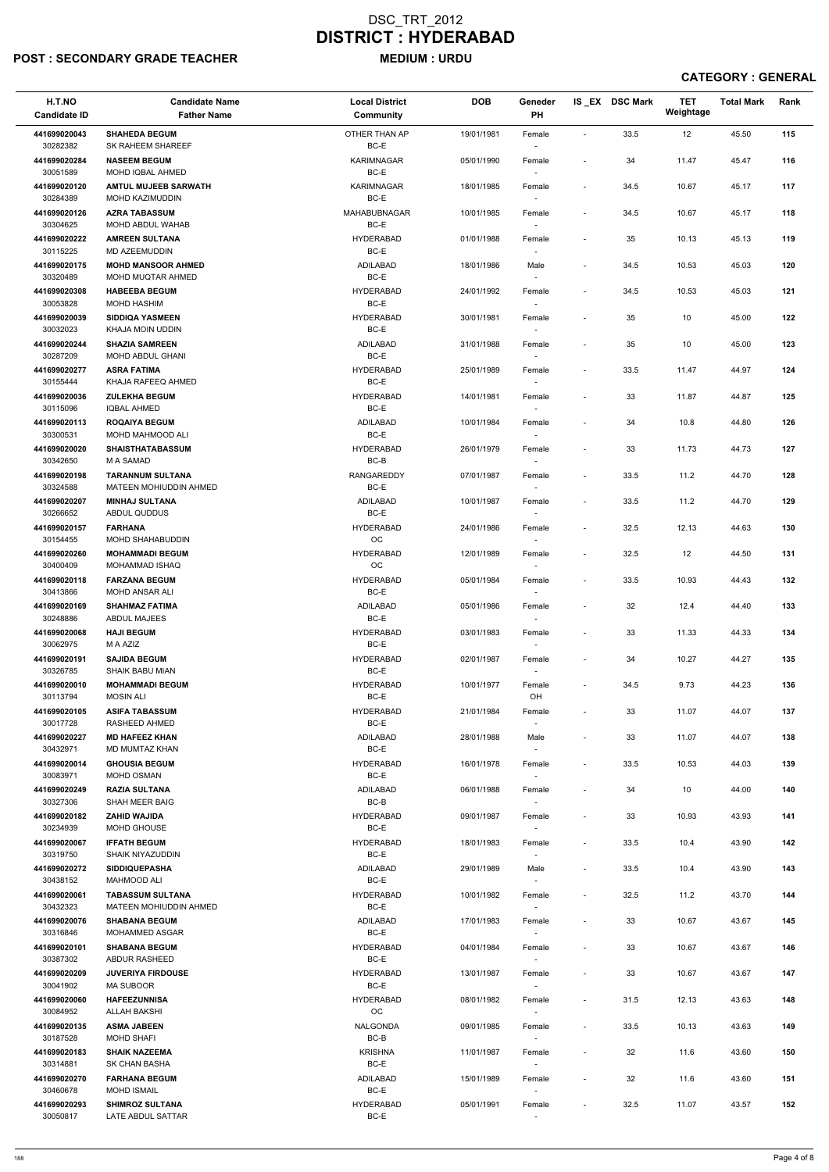## POST : SECONDARY GRADE TEACHER MEDIUM : URDU

| H.T.NO<br><b>Candidate ID</b> | <b>Candidate Name</b><br><b>Father Name</b>      | <b>Local District</b><br>Community | <b>DOB</b> | Geneder<br>PH                      |                          | IS EX DSC Mark | <b>TET</b><br>Weightage | <b>Total Mark</b> | Rank |
|-------------------------------|--------------------------------------------------|------------------------------------|------------|------------------------------------|--------------------------|----------------|-------------------------|-------------------|------|
| 441699020043<br>30282382      | <b>SHAHEDA BEGUM</b><br>SK RAHEEM SHAREEF        | OTHER THAN AP<br>BC-E              | 19/01/1981 | Female                             | $\overline{\phantom{a}}$ | 33.5           | 12                      | 45.50             | 115  |
| 441699020284                  | <b>NASEEM BEGUM</b>                              | KARIMNAGAR                         | 05/01/1990 | Female                             | $\overline{\phantom{a}}$ | 34             | 11.47                   | 45.47             | 116  |
| 30051589<br>441699020120      | MOHD IQBAL AHMED<br><b>AMTUL MUJEEB SARWATH</b>  | BC-E<br><b>KARIMNAGAR</b>          | 18/01/1985 | Female                             | $\overline{\phantom{a}}$ | 34.5           | 10.67                   | 45.17             | 117  |
| 30284389                      | MOHD KAZIMUDDIN                                  | BC-E                               |            | $\sim$                             |                          |                |                         |                   |      |
| 441699020126<br>30304625      | <b>AZRA TABASSUM</b><br>MOHD ABDUL WAHAB         | MAHABUBNAGAR<br>BC-E               | 10/01/1985 | Female<br>$\overline{\phantom{a}}$ | $\overline{\phantom{a}}$ | 34.5           | 10.67                   | 45.17             | 118  |
| 441699020222                  | <b>AMREEN SULTANA</b>                            | <b>HYDERABAD</b>                   | 01/01/1988 | Female                             | $\overline{\phantom{a}}$ | 35             | 10.13                   | 45.13             | 119  |
| 30115225<br>441699020175      | MD AZEEMUDDIN<br><b>MOHD MANSOOR AHMED</b>       | BC-E<br>ADILABAD                   | 18/01/1986 | $\overline{\phantom{a}}$<br>Male   | $\overline{\phantom{a}}$ | 34.5           | 10.53                   | 45.03             | 120  |
| 30320489                      | <b>MOHD MUQTAR AHMED</b>                         | BC-E                               |            |                                    |                          |                |                         |                   |      |
| 441699020308<br>30053828      | <b>HABEEBA BEGUM</b><br><b>MOHD HASHIM</b>       | <b>HYDERABAD</b><br>BC-E           | 24/01/1992 | Female<br>$\overline{\phantom{a}}$ | $\overline{\phantom{a}}$ | 34.5           | 10.53                   | 45.03             | 121  |
| 441699020039<br>30032023      | <b>SIDDIQA YASMEEN</b><br>KHAJA MOIN UDDIN       | <b>HYDERABAD</b><br>BC-E           | 30/01/1981 | Female<br>$\sim$                   | $\blacksquare$           | 35             | 10                      | 45.00             | 122  |
| 441699020244<br>30287209      | <b>SHAZIA SAMREEN</b><br><b>MOHD ABDUL GHANI</b> | <b>ADILABAD</b><br>BC-E            | 31/01/1988 | Female<br>$\overline{\phantom{a}}$ | $\overline{\phantom{a}}$ | 35             | 10                      | 45.00             | 123  |
| 441699020277<br>30155444      | <b>ASRA FATIMA</b><br>KHAJA RAFEEQ AHMED         | <b>HYDERABAD</b><br>BC-E           | 25/01/1989 | Female<br>$\sim$                   | $\overline{\phantom{a}}$ | 33.5           | 11.47                   | 44.97             | 124  |
| 441699020036                  | <b>ZULEKHA BEGUM</b>                             | <b>HYDERABAD</b>                   | 14/01/1981 | Female                             | $\overline{\phantom{a}}$ | 33             | 11.87                   | 44.87             | 125  |
| 30115096<br>441699020113      | <b>IQBAL AHMED</b><br><b>ROQAIYA BEGUM</b>       | BC-E<br><b>ADILABAD</b>            | 10/01/1984 |                                    | $\overline{\phantom{a}}$ | 34             | 10.8                    | 44.80             | 126  |
| 30300531                      | MOHD MAHMOOD ALI                                 | $BC-E$                             |            | Female<br>$\sim$                   |                          |                |                         |                   |      |
| 441699020020                  | <b>SHAISTHATABASSUM</b>                          | <b>HYDERABAD</b><br>BC-B           | 26/01/1979 | Female                             | $\overline{\phantom{a}}$ | 33             | 11.73                   | 44.73             | 127  |
| 30342650<br>441699020198      | M A SAMAD<br><b>TARANNUM SULTANA</b>             | <b>RANGAREDDY</b>                  | 07/01/1987 | $\sim$<br>Female                   | $\overline{\phantom{a}}$ | 33.5           | 11.2                    | 44.70             | 128  |
| 30324588                      | <b>MATEEN MOHIUDDIN AHMED</b>                    | BC-E                               |            | $\sim$                             |                          |                |                         |                   |      |
| 441699020207<br>30266652      | <b>MINHAJ SULTANA</b><br>ABDUL QUDDUS            | ADILABAD<br>$BC-E$                 | 10/01/1987 | Female                             | $\overline{\phantom{a}}$ | 33.5           | 11.2                    | 44.70             | 129  |
| 441699020157<br>30154455      | <b>FARHANA</b><br>MOHD SHAHABUDDIN               | <b>HYDERABAD</b><br>OС             | 24/01/1986 | Female<br>$\overline{\phantom{a}}$ | $\overline{\phantom{a}}$ | 32.5           | 12.13                   | 44.63             | 130  |
| 441699020260<br>30400409      | <b>MOHAMMADI BEGUM</b><br>MOHAMMAD ISHAQ         | <b>HYDERABAD</b><br>OC             | 12/01/1989 | Female                             | $\overline{\phantom{a}}$ | 32.5           | 12                      | 44.50             | 131  |
| 441699020118                  | <b>FARZANA BEGUM</b>                             | <b>HYDERABAD</b>                   | 05/01/1984 | Female                             | $\overline{\phantom{a}}$ | 33.5           | 10.93                   | 44.43             | 132  |
| 30413866<br>441699020169      | <b>MOHD ANSAR ALI</b><br><b>SHAHMAZ FATIMA</b>   | BC-E<br>ADILABAD                   | 05/01/1986 | Female                             | $\overline{\phantom{a}}$ | 32             | 12.4                    | 44.40             | 133  |
| 30248886                      | <b>ABDUL MAJEES</b>                              | BC-E                               |            | $\sim$                             |                          |                |                         |                   |      |
| 441699020068<br>30062975      | <b>HAJI BEGUM</b><br>M A AZIZ                    | <b>HYDERABAD</b><br>BC-E           | 03/01/1983 | Female<br>$\overline{\phantom{a}}$ | $\overline{\phantom{a}}$ | 33             | 11.33                   | 44.33             | 134  |
| 441699020191<br>30326785      | <b>SAJIDA BEGUM</b><br><b>SHAIK BABU MIAN</b>    | <b>HYDERABAD</b><br>BC-E           | 02/01/1987 | Female<br>$\sim$                   | $\overline{\phantom{a}}$ | 34             | 10.27                   | 44.27             | 135  |
| 441699020010                  | <b>MOHAMMADI BEGUM</b>                           | <b>HYDERABAD</b>                   | 10/01/1977 | Female                             | $\overline{\phantom{a}}$ | 34.5           | 9.73                    | 44.23             | 136  |
| 30113794                      | <b>MOSIN ALI</b>                                 | BC-E                               |            | OH                                 |                          |                |                         |                   |      |
| 441699020105<br>30017728      | <b>ASIFA TABASSUM</b><br>RASHEED AHMED           | <b>HYDERABAD</b><br>BC-E           | 21/01/1984 | Female<br>$\overline{\phantom{a}}$ | $\overline{\phantom{a}}$ | 33             | 11.07                   | 44.07             | 137  |
| 441699020227<br>30432971      | <b>MD HAFEEZ KHAN</b><br>MD MUMTAZ KHAN          | ADILABAD<br>BC-E                   | 28/01/1988 | Male<br>$\overline{\phantom{a}}$   | $\overline{\phantom{a}}$ | 33             | 11.07                   | 44.07             | 138  |
| 441699020014<br>30083971      | <b>GHOUSIA BEGUM</b><br><b>MOHD OSMAN</b>        | <b>HYDERABAD</b><br>BC-E           | 16/01/1978 | Female<br>$\overline{\phantom{a}}$ | $\overline{\phantom{a}}$ | 33.5           | 10.53                   | 44.03             | 139  |
| 441699020249                  | <b>RAZIA SULTANA</b>                             | ADILABAD                           | 06/01/1988 | Female                             | $\blacksquare$           | 34             | 10                      | 44.00             | 140  |
| 30327306<br>441699020182      | SHAH MEER BAIG<br><b>ZAHID WAJIDA</b>            | BC-B<br><b>HYDERABAD</b>           | 09/01/1987 | $\overline{\phantom{a}}$<br>Female | $\overline{\phantom{a}}$ | 33             | 10.93                   | 43.93             | 141  |
| 30234939                      | MOHD GHOUSE                                      | BC-E                               |            |                                    |                          |                |                         |                   |      |
| 441699020067<br>30319750      | <b>IFFATH BEGUM</b><br><b>SHAIK NIYAZUDDIN</b>   | <b>HYDERABAD</b><br>BC-E           | 18/01/1983 | Female<br>$\sim$                   | $\overline{\phantom{a}}$ | 33.5           | 10.4                    | 43.90             | 142  |
| 441699020272<br>30438152      | <b>SIDDIQUEPASHA</b><br>MAHMOOD ALI              | ADILABAD<br>BC-E                   | 29/01/1989 | Male                               | $\overline{\phantom{a}}$ | 33.5           | 10.4                    | 43.90             | 143  |
| 441699020061                  | <b>TABASSUM SULTANA</b>                          | <b>HYDERABAD</b>                   | 10/01/1982 | $\sim$<br>Female                   | $\overline{\phantom{a}}$ | 32.5           | 11.2                    | 43.70             | 144  |
| 30432323                      | <b>MATEEN MOHIUDDIN AHMED</b>                    | BC-E                               |            | $\sim$                             |                          |                |                         |                   |      |
| 441699020076<br>30316846      | <b>SHABANA BEGUM</b><br>MOHAMMED ASGAR           | ADILABAD<br>BC-E                   | 17/01/1983 | Female                             | $\overline{\phantom{a}}$ | 33             | 10.67                   | 43.67             | 145  |
| 441699020101                  | <b>SHABANA BEGUM</b>                             | <b>HYDERABAD</b>                   | 04/01/1984 | Female                             | $\overline{\phantom{a}}$ | 33             | 10.67                   | 43.67             | 146  |
| 30387302<br>441699020209      | ABDUR RASHEED<br><b>JUVERIYA FIRDOUSE</b>        | BC-E<br><b>HYDERABAD</b>           | 13/01/1987 | $\overline{\phantom{a}}$<br>Female |                          | 33             | 10.67                   | 43.67             | 147  |
| 30041902                      | <b>MA SUBOOR</b>                                 | BC-E                               |            | $\overline{\phantom{a}}$           |                          |                |                         |                   |      |
| 441699020060<br>30084952      | <b>HAFEEZUNNISA</b><br><b>ALLAH BAKSHI</b>       | <b>HYDERABAD</b><br>$_{\rm OC}$    | 08/01/1982 | Female<br>$\overline{\phantom{a}}$ | $\overline{\phantom{a}}$ | 31.5           | 12.13                   | 43.63             | 148  |
| 441699020135<br>30187528      | <b>ASMA JABEEN</b><br><b>MOHD SHAFI</b>          | <b>NALGONDA</b><br>BC-B            | 09/01/1985 | Female<br>$\sim$                   | $\overline{\phantom{a}}$ | 33.5           | 10.13                   | 43.63             | 149  |
| 441699020183<br>30314881      | <b>SHAIK NAZEEMA</b><br>SK CHAN BASHA            | <b>KRISHNA</b><br>BC-E             | 11/01/1987 | Female                             | $\overline{\phantom{a}}$ | 32             | 11.6                    | 43.60             | 150  |
| 441699020270                  | <b>FARHANA BEGUM</b>                             | ADILABAD                           | 15/01/1989 | $\sim$<br>Female                   | $\overline{\phantom{a}}$ | 32             | 11.6                    | 43.60             | 151  |
| 30460678<br>441699020293      | <b>MOHD ISMAIL</b><br><b>SHIMROZ SULTANA</b>     | BC-E<br><b>HYDERABAD</b>           | 05/01/1991 | $\sim$<br>Female                   | $\overline{\phantom{a}}$ | 32.5           | 11.07                   | 43.57             | 152  |
| 30050817                      | LATE ABDUL SATTAR                                | BC-E                               |            |                                    |                          |                |                         |                   |      |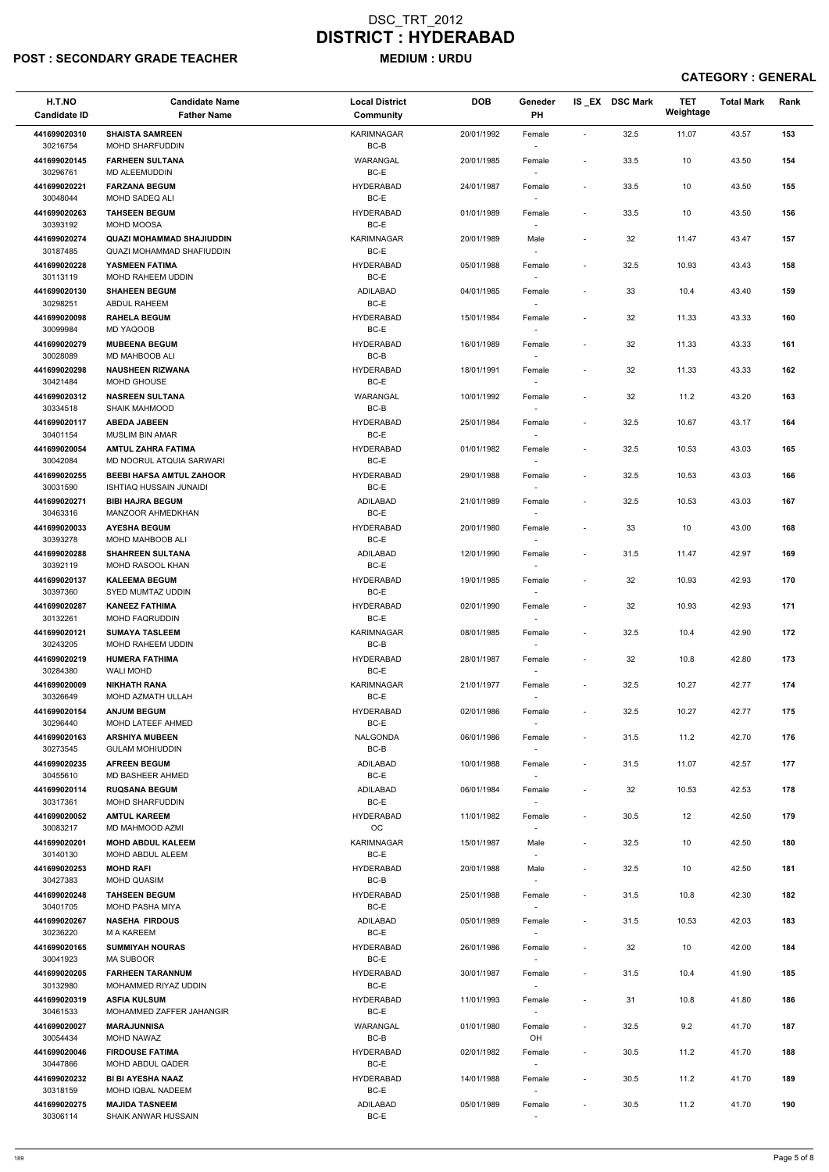### POST : SECONDARY GRADE TEACHER MEDIUM : URDU

| H.T.NO<br><b>Candidate ID</b> | <b>Candidate Name</b><br><b>Father Name</b>                       | <b>Local District</b><br><b>Community</b> | <b>DOB</b> | Geneder<br>PH                      |                              | IS EX DSC Mark | <b>TET</b><br>Weightage | <b>Total Mark</b> | Rank |
|-------------------------------|-------------------------------------------------------------------|-------------------------------------------|------------|------------------------------------|------------------------------|----------------|-------------------------|-------------------|------|
| 441699020310<br>30216754      | <b>SHAISTA SAMREEN</b><br><b>MOHD SHARFUDDIN</b>                  | <b>KARIMNAGAR</b><br>BC-B                 | 20/01/1992 | Female<br>$\overline{\phantom{a}}$ | $\sim$                       | 32.5           | 11.07                   | 43.57             | 153  |
| 441699020145<br>30296761      | <b>FARHEEN SULTANA</b><br><b>MD ALEEMUDDIN</b>                    | WARANGAL<br>BC-E                          | 20/01/1985 | Female                             | $\sim$                       | 33.5           | 10                      | 43.50             | 154  |
| 441699020221                  | <b>FARZANA BEGUM</b>                                              | <b>HYDERABAD</b>                          | 24/01/1987 | Female                             | $\blacksquare$               | 33.5           | 10                      | 43.50             | 155  |
| 30048044<br>441699020263      | <b>MOHD SADEQ ALI</b><br><b>TAHSEEN BEGUM</b>                     | BC-E<br><b>HYDERABAD</b>                  | 01/01/1989 | $\sim$<br>Female                   | $\overline{\phantom{a}}$     | 33.5           | 10                      | 43.50             | 156  |
| 30393192                      | MOHD MOOSA                                                        | BC-E                                      |            | $\overline{\phantom{a}}$           |                              |                |                         |                   |      |
| 441699020274                  | <b>QUAZI MOHAMMAD SHAJIUDDIN</b>                                  | <b>KARIMNAGAR</b><br>BC-E                 | 20/01/1989 | Male                               | $\overline{\phantom{a}}$     | 32             | 11.47                   | 43.47             | 157  |
| 30187485<br>441699020228      | QUAZI MOHAMMAD SHAFIUDDIN<br>YASMEEN FATIMA                       | <b>HYDERABAD</b>                          | 05/01/1988 | $\sim$<br>Female                   | $\sim$                       | 32.5           | 10.93                   | 43.43             | 158  |
| 30113119                      | MOHD RAHEEM UDDIN                                                 | BC-E                                      |            | $\overline{\phantom{a}}$           |                              |                |                         |                   |      |
| 441699020130<br>30298251      | <b>SHAHEEN BEGUM</b><br>ABDUL RAHEEM                              | ADILABAD<br>BC-E                          | 04/01/1985 | Female                             | $\blacksquare$               | 33             | 10.4                    | 43.40             | 159  |
| 441699020098<br>30099984      | <b>RAHELA BEGUM</b><br>MD YAQOOB                                  | <b>HYDERABAD</b><br>BC-E                  | 15/01/1984 | Female<br>$\sim$                   | $\overline{\phantom{a}}$     | 32             | 11.33                   | 43.33             | 160  |
| 441699020279                  | <b>MUBEENA BEGUM</b>                                              | <b>HYDERABAD</b>                          | 16/01/1989 | Female                             | $\overline{\phantom{a}}$     | 32             | 11.33                   | 43.33             | 161  |
| 30028089<br>441699020298      | <b>MD MAHBOOB ALI</b><br><b>NAUSHEEN RIZWANA</b>                  | BC-B<br><b>HYDERABAD</b>                  | 18/01/1991 | $\sim$<br>Female                   | $\blacksquare$               | 32             | 11.33                   | 43.33             | 162  |
| 30421484                      | MOHD GHOUSE                                                       | BC-E                                      |            | $\sim$                             |                              |                |                         |                   |      |
| 441699020312<br>30334518      | <b>NASREEN SULTANA</b><br><b>SHAIK MAHMOOD</b>                    | WARANGAL<br>BC-B                          | 10/01/1992 | Female                             | $\blacksquare$               | 32             | 11.2                    | 43.20             | 163  |
| 441699020117                  | <b>ABEDA JABEEN</b>                                               | <b>HYDERABAD</b>                          | 25/01/1984 | Female                             | $\blacksquare$               | 32.5           | 10.67                   | 43.17             | 164  |
| 30401154<br>441699020054      | <b>MUSLIM BIN AMAR</b><br><b>AMTUL ZAHRA FATIMA</b>               | BC-E<br><b>HYDERABAD</b>                  | 01/01/1982 | $\sim$<br>Female                   | $\overline{\phantom{a}}$     | 32.5           | 10.53                   | 43.03             | 165  |
| 30042084                      | MD NOORUL ATQUIA SARWARI                                          | BC-E                                      |            | $\overline{\phantom{a}}$           |                              |                |                         |                   |      |
| 441699020255<br>30031590      | <b>BEEBI HAFSA AMTUL ZAHOOR</b><br><b>ISHTIAQ HUSSAIN JUNAIDI</b> | <b>HYDERABAD</b><br>BC-E                  | 29/01/1988 | Female<br>$\sim$                   | $\blacksquare$               | 32.5           | 10.53                   | 43.03             | 166  |
| 441699020271                  | <b>BIBI HAJRA BEGUM</b>                                           | ADILABAD                                  | 21/01/1989 | Female                             | $\blacksquare$               | 32.5           | 10.53                   | 43.03             | 167  |
| 30463316<br>441699020033      | MANZOOR AHMEDKHAN<br><b>AYESHA BEGUM</b>                          | BC-E<br><b>HYDERABAD</b>                  | 20/01/1980 | Female                             | $\blacksquare$               | 33             | 10                      | 43.00             | 168  |
| 30393278                      | <b>MOHD MAHBOOB ALI</b>                                           | BC-E                                      |            | $\overline{\phantom{a}}$           |                              |                |                         |                   |      |
| 441699020288<br>30392119      | <b>SHAHREEN SULTANA</b><br>MOHD RASOOL KHAN                       | ADILABAD<br>BC-E                          | 12/01/1990 | Female<br>$\sim$                   | $\overline{\phantom{a}}$     | 31.5           | 11.47                   | 42.97             | 169  |
| 441699020137<br>30397360      | <b>KALEEMA BEGUM</b><br>SYED MUMTAZ UDDIN                         | <b>HYDERABAD</b><br>BC-E                  | 19/01/1985 | Female                             | $\overline{\phantom{a}}$     | 32             | 10.93                   | 42.93             | 170  |
| 441699020287                  | <b>KANEEZ FATHIMA</b>                                             | <b>HYDERABAD</b>                          | 02/01/1990 | Female                             | $\overline{\phantom{a}}$     | 32             | 10.93                   | 42.93             | 171  |
| 30132261<br>441699020121      | <b>MOHD FAQRUDDIN</b><br><b>SUMAYA TASLEEM</b>                    | BC-E<br><b>KARIMNAGAR</b>                 | 08/01/1985 | $\sim$<br>Female                   | $\blacksquare$               | 32.5           | 10.4                    | 42.90             | 172  |
| 30243205<br>441699020219      | MOHD RAHEEM UDDIN<br><b>HUMERA FATHIMA</b>                        | BC-B<br><b>HYDERABAD</b>                  | 28/01/1987 | $\sim$<br>Female                   | $\overline{\phantom{a}}$     | 32             | 10.8                    | 42.80             | 173  |
| 30284380                      | <b>WALI MOHD</b>                                                  | BC-E                                      |            | $\sim$                             |                              |                |                         |                   |      |
| 441699020009<br>30326649      | <b>NIKHATH RANA</b><br>MOHD AZMATH ULLAH                          | <b>KARIMNAGAR</b><br>BC-E                 | 21/01/1977 | Female                             | $\overline{\phantom{a}}$     | 32.5           | 10.27                   | 42.77             | 174  |
| 441699020154                  | <b>ANJUM BEGUM</b>                                                | <b>HYDERABAD</b>                          | 02/01/1986 | Female                             | $\blacksquare$               | 32.5           | 10.27                   | 42.77             | 175  |
| 30296440<br>441699020163      | <b>MOHD LATEEF AHMED</b><br><b>ARSHIYA MUBEEN</b>                 | BC-E<br>NALGONDA                          | 06/01/1986 | $\sim$<br>Female                   | $\sim$                       | 31.5           | 11.2                    | 42.70             | 176  |
| 30273545                      | <b>GULAM MOHIUDDIN</b>                                            | BC-B                                      |            | $\sim$                             |                              |                |                         |                   |      |
| 441699020235<br>30455610      | <b>AFREEN BEGUM</b><br>MD BASHEER AHMED                           | ADILABAD<br>BC-E                          | 10/01/1988 | Female<br>$\sim$                   | $\blacksquare$               | 31.5           | 11.07                   | 42.57             | 177  |
| 441699020114<br>30317361      | <b>RUQSANA BEGUM</b><br><b>MOHD SHARFUDDIN</b>                    | ADILABAD<br>BC-E                          | 06/01/1984 | Female<br>$\sim$                   | $\blacksquare$               | 32             | 10.53                   | 42.53             | 178  |
| 441699020052                  | <b>AMTUL KAREEM</b>                                               | <b>HYDERABAD</b>                          | 11/01/1982 | Female                             | $\blacksquare$               | 30.5           | 12                      | 42.50             | 179  |
| 30083217<br>441699020201      | MD MAHMOOD AZMI<br><b>MOHD ABDUL KALEEM</b>                       | <b>OC</b><br><b>KARIMNAGAR</b>            | 15/01/1987 | Male                               | $\blacksquare$               | 32.5           | 10                      | 42.50             | 180  |
| 30140130                      | MOHD ABDUL ALEEM                                                  | BC-E                                      |            | $\sim$                             |                              |                |                         |                   |      |
| 441699020253<br>30427383      | <b>MOHD RAFI</b><br>MOHD QUASIM                                   | <b>HYDERABAD</b><br>BC-B                  | 20/01/1988 | Male<br>$\sim$                     | $\overline{\phantom{a}}$     | 32.5           | 10                      | 42.50             | 181  |
| 441699020248<br>30401705      | <b>TAHSEEN BEGUM</b><br>MOHD PASHA MIYA                           | <b>HYDERABAD</b><br>BC-E                  | 25/01/1988 | Female<br>$\sim$                   | $\overline{\phantom{a}}$     | 31.5           | 10.8                    | 42.30             | 182  |
| 441699020267                  | <b>NASEHA FIRDOUS</b>                                             | ADILABAD                                  | 05/01/1989 | Female                             | $\overline{\phantom{a}}$     | 31.5           | 10.53                   | 42.03             | 183  |
| 30236220                      | <b>M A KAREEM</b>                                                 | BC-E                                      |            |                                    |                              |                |                         |                   |      |
| 441699020165<br>30041923      | <b>SUMMIYAH NOURAS</b><br><b>MA SUBOOR</b>                        | <b>HYDERABAD</b><br>BC-E                  | 26/01/1986 | Female<br>$\overline{\phantom{a}}$ | $\sim$                       | 32             | 10                      | 42.00             | 184  |
| 441699020205                  | <b>FARHEEN TARANNUM</b>                                           | <b>HYDERABAD</b>                          | 30/01/1987 | Female                             | $\sim$                       | 31.5           | 10.4                    | 41.90             | 185  |
| 30132980<br>441699020319      | MOHAMMED RIYAZ UDDIN<br><b>ASFIA KULSUM</b>                       | BC-E<br><b>HYDERABAD</b>                  | 11/01/1993 | $\overline{\phantom{a}}$<br>Female | $\overline{\phantom{a}}$     | 31             | 10.8                    | 41.80             | 186  |
| 30461533<br>441699020027      | MOHAMMED ZAFFER JAHANGIR<br><b>MARAJUNNISA</b>                    | $BC-E$<br>WARANGAL                        | 01/01/1980 | $\overline{\phantom{a}}$<br>Female | $\blacksquare$               | 32.5           | 9.2                     | 41.70             | 187  |
| 30054434                      | MOHD NAWAZ                                                        | BC-B                                      |            | OH                                 |                              |                |                         |                   |      |
| 441699020046<br>30447866      | <b>FIRDOUSE FATIMA</b><br><b>MOHD ABDUL QADER</b>                 | <b>HYDERABAD</b><br>BC-E                  | 02/01/1982 | Female<br>$\sim$                   | $\blacksquare$               | 30.5           | 11.2                    | 41.70             | 188  |
| 441699020232<br>30318159      | <b>BI BI AYESHA NAAZ</b><br>MOHD IQBAL NADEEM                     | <b>HYDERABAD</b><br>BC-E                  | 14/01/1988 | Female<br>$\sim$                   | $\sim$                       | 30.5           | 11.2                    | 41.70             | 189  |
| 441699020275                  | <b>MAJIDA TASNEEM</b>                                             | ADILABAD                                  | 05/01/1989 | Female                             | $\qquad \qquad \blacksquare$ | 30.5           | 11.2                    | 41.70             | 190  |
| 30306114                      | SHAIK ANWAR HUSSAIN                                               | $BC-E$                                    |            | $\overline{\phantom{a}}$           |                              |                |                         |                   |      |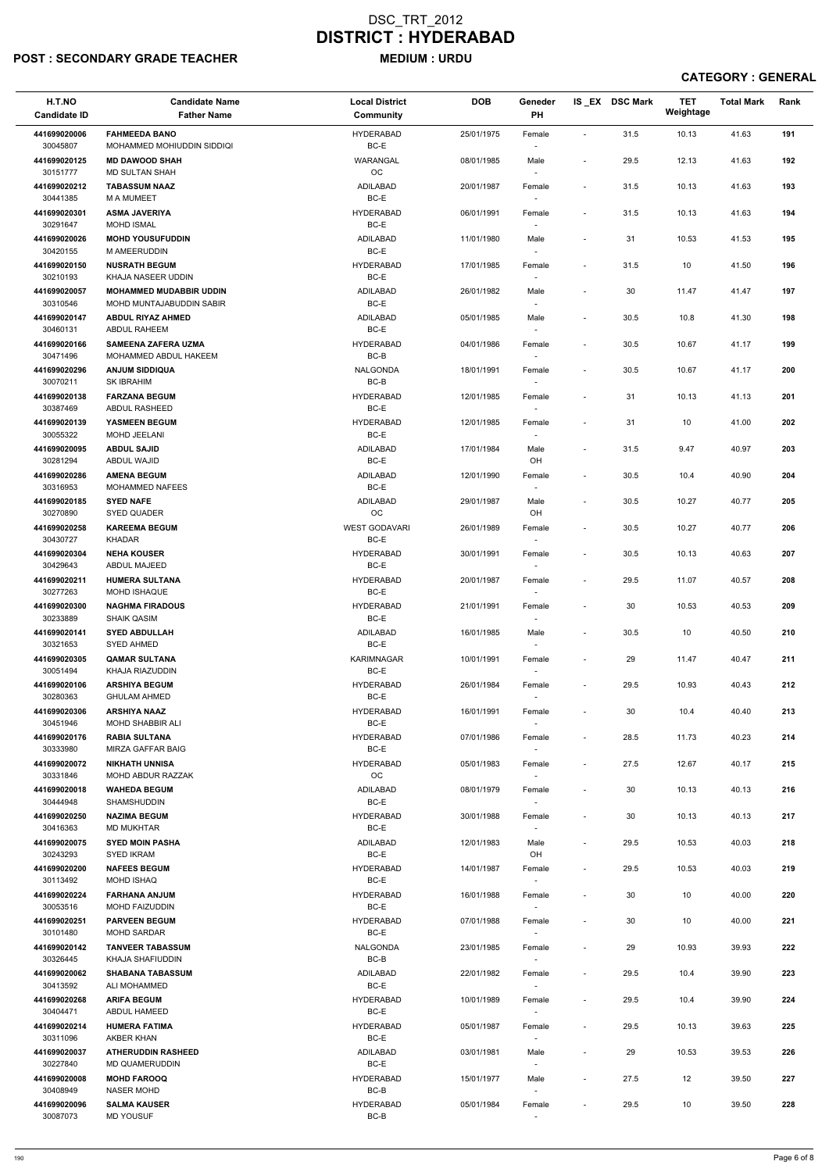## POST : SECONDARY GRADE TEACHER MEDIUM : URDU

| H.T.NO<br><b>Candidate ID</b>        | <b>Candidate Name</b><br><b>Father Name</b>                 | <b>Local District</b><br><b>Community</b>   | <b>DOB</b> | Geneder<br>PH                      |                          | IS_EX DSC Mark | <b>TET</b><br>Weightage | <b>Total Mark</b> | Rank |
|--------------------------------------|-------------------------------------------------------------|---------------------------------------------|------------|------------------------------------|--------------------------|----------------|-------------------------|-------------------|------|
| 441699020006<br>30045807             | <b>FAHMEEDA BANO</b><br>MOHAMMED MOHIUDDIN SIDDIQI          | <b>HYDERABAD</b><br>BC-E                    | 25/01/1975 | Female                             | $\overline{\phantom{a}}$ | 31.5           | 10.13                   | 41.63             | 191  |
| 441699020125<br>30151777             | <b>MD DAWOOD SHAH</b><br><b>MD SULTAN SHAH</b>              | WARANGAL<br>OC                              | 08/01/1985 | Male<br>$\overline{\phantom{a}}$   | $\overline{\phantom{a}}$ | 29.5           | 12.13                   | 41.63             | 192  |
| 441699020212<br>30441385             | <b>TABASSUM NAAZ</b><br><b>MAMUMEET</b>                     | <b>ADILABAD</b><br>$BC-E$                   | 20/01/1987 | Female<br>$\overline{\phantom{a}}$ | $\blacksquare$           | 31.5           | 10.13                   | 41.63             | 193  |
| 441699020301                         | <b>ASMA JAVERIYA</b>                                        | <b>HYDERABAD</b>                            | 06/01/1991 | Female                             | $\overline{\phantom{a}}$ | 31.5           | 10.13                   | 41.63             | 194  |
| 30291647<br>441699020026             | <b>MOHD ISMAL</b><br><b>MOHD YOUSUFUDDIN</b>                | BC-E<br><b>ADILABAD</b>                     | 11/01/1980 | $\overline{\phantom{a}}$<br>Male   | $\overline{\phantom{a}}$ | 31             | 10.53                   | 41.53             | 195  |
| 30420155                             | M AMEERUDDIN                                                | BC-E                                        |            | $\overline{\phantom{a}}$           |                          |                |                         |                   |      |
| 441699020150<br>30210193             | <b>NUSRATH BEGUM</b><br>KHAJA NASEER UDDIN                  | <b>HYDERABAD</b><br>BC-E                    | 17/01/1985 | Female                             | $\overline{\phantom{a}}$ | 31.5           | 10                      | 41.50             | 196  |
| 441699020057<br>30310546             | <b>MOHAMMED MUDABBIR UDDIN</b><br>MOHD MUNTAJABUDDIN SABIR  | <b>ADILABAD</b><br>BC-E                     | 26/01/1982 | Male<br>$\sim$                     | $\overline{\phantom{a}}$ | 30             | 11.47                   | 41.47             | 197  |
| 441699020147<br>30460131             | <b>ABDUL RIYAZ AHMED</b><br>ABDUL RAHEEM                    | <b>ADILABAD</b><br>BC-E                     | 05/01/1985 | Male<br>$\overline{\phantom{a}}$   | $\overline{\phantom{a}}$ | 30.5           | 10.8                    | 41.30             | 198  |
| 441699020166                         | <b>SAMEENA ZAFERA UZMA</b>                                  | <b>HYDERABAD</b>                            | 04/01/1986 | Female                             | $\overline{\phantom{a}}$ | 30.5           | 10.67                   | 41.17             | 199  |
| 30471496<br>441699020296             | MOHAMMED ABDUL HAKEEM<br><b>ANJUM SIDDIQUA</b>              | BC-B<br><b>NALGONDA</b>                     | 18/01/1991 | $\overline{\phantom{a}}$<br>Female | $\blacksquare$           | 30.5           | 10.67                   | 41.17             | 200  |
| 30070211                             | <b>SK IBRAHIM</b>                                           | $BC-B$                                      |            |                                    |                          |                |                         |                   |      |
| 441699020138<br>30387469             | <b>FARZANA BEGUM</b><br>ABDUL RASHEED                       | <b>HYDERABAD</b><br>BC-E                    | 12/01/1985 | Female                             | $\overline{\phantom{a}}$ | 31             | 10.13                   | 41.13             | 201  |
| 441699020139<br>30055322             | YASMEEN BEGUM<br>MOHD JEELANI                               | <b>HYDERABAD</b><br>BC-E                    | 12/01/1985 | Female<br>$\sim$                   | $\blacksquare$           | 31             | 10                      | 41.00             | 202  |
| 441699020095                         | <b>ABDUL SAJID</b>                                          | <b>ADILABAD</b>                             | 17/01/1984 | Male                               | $\overline{\phantom{a}}$ | 31.5           | 9.47                    | 40.97             | 203  |
| 30281294                             | ABDUL WAJID                                                 | BC-E                                        |            | OH                                 |                          |                |                         |                   |      |
| 441699020286<br>30316953             | <b>AMENA BEGUM</b><br><b>MOHAMMED NAFEES</b>                | ADILABAD<br>BC-E                            | 12/01/1990 | Female<br>$\sim$                   | $\overline{\phantom{a}}$ | 30.5           | 10.4                    | 40.90             | 204  |
| 441699020185                         | <b>SYED NAFE</b>                                            | ADILABAD                                    | 29/01/1987 | Male                               | $\overline{\phantom{a}}$ | 30.5           | 10.27                   | 40.77             | 205  |
| 30270890<br>441699020258<br>30430727 | <b>SYED QUADER</b><br><b>KAREEMA BEGUM</b><br><b>KHADAR</b> | $_{\rm OC}$<br><b>WEST GODAVARI</b><br>BC-E | 26/01/1989 | OH<br>Female<br>$\sim$             | $\blacksquare$           | 30.5           | 10.27                   | 40.77             | 206  |
| 441699020304                         | <b>NEHA KOUSER</b>                                          | <b>HYDERABAD</b>                            | 30/01/1991 | Female                             | $\overline{\phantom{a}}$ | 30.5           | 10.13                   | 40.63             | 207  |
| 30429643<br>441699020211             | <b>ABDUL MAJEED</b><br><b>HUMERA SULTANA</b>                | BC-E<br><b>HYDERABAD</b>                    | 20/01/1987 | Female                             | $\overline{\phantom{a}}$ | 29.5           | 11.07                   | 40.57             | 208  |
| 30277263<br>441699020300             | <b>MOHD ISHAQUE</b><br><b>NAGHMA FIRADOUS</b>               | BC-E<br><b>HYDERABAD</b>                    | 21/01/1991 | Female                             | $\overline{\phantom{a}}$ | 30             | 10.53                   | 40.53             | 209  |
| 30233889                             | <b>SHAIK QASIM</b>                                          | BC-E                                        |            |                                    |                          |                |                         |                   |      |
| 441699020141<br>30321653             | <b>SYED ABDULLAH</b><br><b>SYED AHMED</b>                   | ADILABAD<br>BC-E                            | 16/01/1985 | Male<br>$\sim$                     | $\blacksquare$           | 30.5           | 10                      | 40.50             | 210  |
| 441699020305<br>30051494             | <b>QAMAR SULTANA</b><br>KHAJA RIAZUDDIN                     | <b>KARIMNAGAR</b><br>BC-E                   | 10/01/1991 | Female<br>$\sim$                   | $\blacksquare$           | 29             | 11.47                   | 40.47             | 211  |
| 441699020106                         | <b>ARSHIYA BEGUM</b>                                        | <b>HYDERABAD</b>                            | 26/01/1984 | Female                             | $\overline{\phantom{a}}$ | 29.5           | 10.93                   | 40.43             | 212  |
| 30280363<br>441699020306             | <b>GHULAM AHMED</b><br><b>ARSHIYA NAAZ</b>                  | BC-E<br><b>HYDERABAD</b>                    | 16/01/1991 | Female                             | $\overline{\phantom{a}}$ | 30             | 10.4                    | 40.40             | 213  |
| 30451946                             | MOHD SHABBIR ALI                                            | BC-E                                        |            | $\sim$                             |                          |                |                         |                   |      |
| 441699020176<br>30333980             | <b>RABIA SULTANA</b><br>MIRZA GAFFAR BAIG                   | <b>HYDERABAD</b><br>BC-E                    | 07/01/1986 | Female<br>$\sim$                   | $\overline{\phantom{a}}$ | 28.5           | 11.73                   | 40.23             | 214  |
| 441699020072                         | <b>NIKHATH UNNISA</b>                                       | <b>HYDERABAD</b>                            | 05/01/1983 | Female                             | $\overline{\phantom{a}}$ | 27.5           | 12.67                   | 40.17             | 215  |
| 30331846<br>441699020018             | MOHD ABDUR RAZZAK<br><b>WAHEDA BEGUM</b>                    | OC<br>ADILABAD                              | 08/01/1979 | $\sim$<br>Female                   | $\blacksquare$           | 30             | 10.13                   | 40.13             | 216  |
| 30444948                             | <b>SHAMSHUDDIN</b>                                          | BC-E                                        |            |                                    |                          |                |                         |                   |      |
| 441699020250<br>30416363             | <b>NAZIMA BEGUM</b><br><b>MD MUKHTAR</b>                    | <b>HYDERABAD</b><br>BC-E                    | 30/01/1988 | Female<br>$\overline{\phantom{a}}$ | $\overline{\phantom{a}}$ | 30             | 10.13                   | 40.13             | 217  |
| 441699020075<br>30243293             | <b>SYED MOIN PASHA</b><br><b>SYED IKRAM</b>                 | ADILABAD<br>BC-E                            | 12/01/1983 | Male<br>OH                         | $\blacksquare$           | 29.5           | 10.53                   | 40.03             | 218  |
| 441699020200                         | <b>NAFEES BEGUM</b>                                         | <b>HYDERABAD</b>                            | 14/01/1987 | Female                             | $\overline{\phantom{a}}$ | 29.5           | 10.53                   | 40.03             | 219  |
| 30113492<br>441699020224             | MOHD ISHAQ<br><b>FARHANA ANJUM</b>                          | BC-E<br><b>HYDERABAD</b>                    | 16/01/1988 | $\sim$<br>Female                   | $\overline{\phantom{a}}$ | 30             | 10                      | 40.00             | 220  |
| 30053516                             | <b>MOHD FAIZUDDIN</b>                                       | BC-E                                        |            |                                    |                          |                |                         |                   |      |
| 441699020251<br>30101480             | <b>PARVEEN BEGUM</b><br><b>MOHD SARDAR</b>                  | <b>HYDERABAD</b><br>BC-E                    | 07/01/1988 | Female<br>$\sim$                   | $\overline{\phantom{a}}$ | 30             | 10                      | 40.00             | 221  |
| 441699020142                         | <b>TANVEER TABASSUM</b>                                     | <b>NALGONDA</b>                             | 23/01/1985 | Female                             | $\overline{\phantom{a}}$ | 29             | 10.93                   | 39.93             | 222  |
| 30326445<br>441699020062             | KHAJA SHAFIUDDIN<br><b>SHABANA TABASSUM</b>                 | BC-B<br>ADILABAD                            | 22/01/1982 | $\overline{\phantom{a}}$<br>Female |                          | 29.5           | 10.4                    | 39.90             | 223  |
| 30413592                             | ALI MOHAMMED                                                | BC-E                                        |            | $\overline{\phantom{a}}$           |                          |                |                         |                   |      |
| 441699020268<br>30404471             | <b>ARIFA BEGUM</b><br>ABDUL HAMEED                          | <b>HYDERABAD</b><br>BC-E                    | 10/01/1989 | Female<br>$\overline{\phantom{a}}$ | $\overline{\phantom{a}}$ | 29.5           | 10.4                    | 39.90             | 224  |
| 441699020214<br>30311096             | <b>HUMERA FATIMA</b><br>AKBER KHAN                          | <b>HYDERABAD</b><br>BC-E                    | 05/01/1987 | Female<br>$\overline{\phantom{a}}$ | $\overline{\phantom{a}}$ | 29.5           | 10.13                   | 39.63             | 225  |
| 441699020037                         | <b>ATHERUDDIN RASHEED</b>                                   | ADILABAD                                    | 03/01/1981 | Male                               | $\overline{\phantom{a}}$ | 29             | 10.53                   | 39.53             | 226  |
| 30227840<br>441699020008             | MD QUAMERUDDIN<br><b>MOHD FAROOQ</b>                        | BC-E<br><b>HYDERABAD</b>                    | 15/01/1977 | $\overline{\phantom{a}}$<br>Male   | $\overline{\phantom{a}}$ | 27.5           | 12                      | 39.50             | 227  |
| 30408949                             | <b>NASER MOHD</b>                                           | BC-B                                        |            | $\blacksquare$                     |                          |                |                         |                   |      |
| 441699020096<br>30087073             | <b>SALMA KAUSER</b><br><b>MD YOUSUF</b>                     | <b>HYDERABAD</b><br>BC-B                    | 05/01/1984 | Female<br>$\sim$                   | $\overline{\phantom{a}}$ | 29.5           | 10                      | 39.50             | 228  |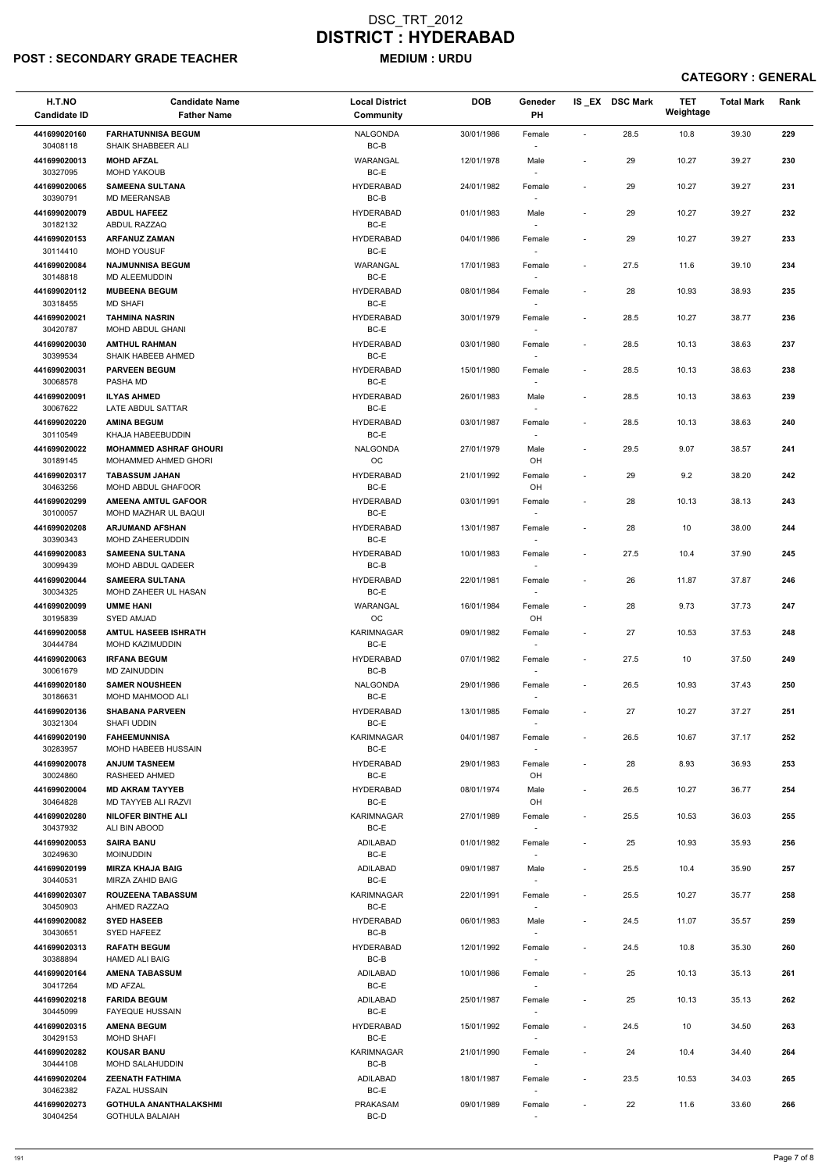### POST : SECONDARY GRADE TEACHER MEDIUM : URDU

| H.T.NO<br><b>Candidate ID</b> | <b>Candidate Name</b><br><b>Father Name</b>             | <b>Local District</b><br>Community | <b>DOB</b> | Geneder<br><b>PH</b>               |                          | IS EX DSC Mark | <b>TET</b><br>Weightage | <b>Total Mark</b> | Rank |
|-------------------------------|---------------------------------------------------------|------------------------------------|------------|------------------------------------|--------------------------|----------------|-------------------------|-------------------|------|
| 441699020160<br>30408118      | <b>FARHATUNNISA BEGUM</b><br>SHAIK SHABBEER ALI         | <b>NALGONDA</b><br>BC-B            | 30/01/1986 | Female                             | $\sim$                   | 28.5           | 10.8                    | 39.30             | 229  |
| 441699020013<br>30327095      | <b>MOHD AFZAL</b><br><b>MOHD YAKOUB</b>                 | WARANGAL<br>BC-E                   | 12/01/1978 | Male<br>$\overline{\phantom{a}}$   | $\overline{\phantom{a}}$ | 29             | 10.27                   | 39.27             | 230  |
| 441699020065                  | <b>SAMEENA SULTANA</b>                                  | <b>HYDERABAD</b>                   | 24/01/1982 | Female                             | $\overline{\phantom{a}}$ | 29             | 10.27                   | 39.27             | 231  |
| 30390791<br>441699020079      | <b>MD MEERANSAB</b><br><b>ABDUL HAFEEZ</b>              | BC-B<br><b>HYDERABAD</b>           | 01/01/1983 | $\sim$<br>Male                     | $\blacksquare$           | 29             | 10.27                   | 39.27             | 232  |
| 30182132                      | ABDUL RAZZAQ                                            | BC-E                               |            | $\overline{\phantom{a}}$           |                          |                |                         |                   |      |
| 441699020153<br>30114410      | <b>ARFANUZ ZAMAN</b><br><b>MOHD YOUSUF</b>              | <b>HYDERABAD</b><br>BC-E           | 04/01/1986 | Female<br>$\sim$                   | $\blacksquare$           | 29             | 10.27                   | 39.27             | 233  |
| 441699020084<br>30148818      | <b>NAJMUNNISA BEGUM</b><br>MD ALEEMUDDIN                | WARANGAL<br>BC-E                   | 17/01/1983 | Female                             | $\overline{\phantom{a}}$ | 27.5           | 11.6                    | 39.10             | 234  |
| 441699020112<br>30318455      | <b>MUBEENA BEGUM</b><br><b>MD SHAFI</b>                 | <b>HYDERABAD</b><br>BC-E           | 08/01/1984 | Female<br>$\overline{\phantom{a}}$ | $\overline{\phantom{a}}$ | 28             | 10.93                   | 38.93             | 235  |
| 441699020021<br>30420787      | <b>TAHMINA NASRIN</b><br>MOHD ABDUL GHANI               | <b>HYDERABAD</b><br>BC-E           | 30/01/1979 | Female<br>$\sim$                   | $\blacksquare$           | 28.5           | 10.27                   | 38.77             | 236  |
| 441699020030<br>30399534      | <b>AMTHUL RAHMAN</b><br>SHAIK HABEEB AHMED              | <b>HYDERABAD</b><br>BC-E           | 03/01/1980 | Female<br>$\sim$                   | $\overline{\phantom{a}}$ | 28.5           | 10.13                   | 38.63             | 237  |
| 441699020031                  | <b>PARVEEN BEGUM</b>                                    | <b>HYDERABAD</b>                   | 15/01/1980 | Female                             | $\blacksquare$           | 28.5           | 10.13                   | 38.63             | 238  |
| 30068578<br>441699020091      | PASHA MD<br><b>ILYAS AHMED</b>                          | BC-E<br><b>HYDERABAD</b>           | 26/01/1983 | Male                               | $\blacksquare$           | 28.5           | 10.13                   | 38.63             | 239  |
| 30067622<br>441699020220      | LATE ABDUL SATTAR<br><b>AMINA BEGUM</b>                 | BC-E<br><b>HYDERABAD</b>           | 03/01/1987 | $\sim$<br>Female                   | $\blacksquare$           | 28.5           | 10.13                   | 38.63             | 240  |
| 30110549                      | KHAJA HABEEBUDDIN                                       | BC-E                               |            | $\sim$                             |                          |                |                         |                   |      |
| 441699020022<br>30189145      | <b>MOHAMMED ASHRAF GHOURI</b><br>MOHAMMED AHMED GHORI   | NALGONDA<br><b>OC</b>              | 27/01/1979 | Male<br>OH                         | $\blacksquare$           | 29.5           | 9.07                    | 38.57             | 241  |
| 441699020317<br>30463256      | <b>TABASSUM JAHAN</b><br><b>MOHD ABDUL GHAFOOR</b>      | <b>HYDERABAD</b><br>BC-E           | 21/01/1992 | Female<br>OH                       | $\sim$                   | 29             | 9.2                     | 38.20             | 242  |
| 441699020299                  | <b>AMEENA AMTUL GAFOOR</b>                              | <b>HYDERABAD</b>                   | 03/01/1991 | Female                             | $\overline{\phantom{a}}$ | 28             | 10.13                   | 38.13             | 243  |
| 30100057<br>441699020208      | MOHD MAZHAR UL BAQUI<br><b>ARJUMAND AFSHAN</b>          | BC-E<br><b>HYDERABAD</b>           | 13/01/1987 | Female                             | $\blacksquare$           | 28             | 10                      | 38.00             | 244  |
| 30390343<br>441699020083      | MOHD ZAHEERUDDIN<br><b>SAMEENA SULTANA</b>              | BC-E<br><b>HYDERABAD</b>           | 10/01/1983 | $\overline{\phantom{a}}$<br>Female | $\overline{\phantom{a}}$ | 27.5           | 10.4                    | 37.90             | 245  |
| 30099439                      | MOHD ABDUL QADEER                                       | BC-B                               |            | $\overline{\phantom{a}}$           |                          |                |                         |                   |      |
| 441699020044<br>30034325      | <b>SAMEERA SULTANA</b><br>MOHD ZAHEER UL HASAN          | <b>HYDERABAD</b><br>BC-E           | 22/01/1981 | Female                             | $\blacksquare$           | 26             | 11.87                   | 37.87             | 246  |
| 441699020099<br>30195839      | <b>UMME HANI</b><br><b>SYED AMJAD</b>                   | WARANGAL<br>OC                     | 16/01/1984 | Female<br>OH                       | $\blacksquare$           | 28             | 9.73                    | 37.73             | 247  |
| 441699020058<br>30444784      | <b>AMTUL HASEEB ISHRATH</b><br><b>MOHD KAZIMUDDIN</b>   | <b>KARIMNAGAR</b><br>BC-E          | 09/01/1982 | Female<br>$\sim$                   | $\overline{\phantom{a}}$ | 27             | 10.53                   | 37.53             | 248  |
| 441699020063<br>30061679      | <b>IRFANA BEGUM</b><br><b>MD ZAINUDDIN</b>              | <b>HYDERABAD</b><br>BC-B           | 07/01/1982 | Female<br>$\sim$                   | $\blacksquare$           | 27.5           | 10                      | 37.50             | 249  |
| 441699020180                  | <b>SAMER NOUSHEEN</b>                                   | NALGONDA                           | 29/01/1986 | Female                             | $\sim$                   | 26.5           | 10.93                   | 37.43             | 250  |
| 30186631<br>441699020136      | MOHD MAHMOOD ALI<br><b>SHABANA PARVEEN</b>              | BC-E<br><b>HYDERABAD</b>           | 13/01/1985 | Female                             | $\sim$                   | 27             | 10.27                   | 37.27             | 251  |
| 30321304                      | SHAFI UDDIN                                             | BC-E                               |            | $\sim$                             |                          |                |                         |                   |      |
| 441699020190<br>30283957      | <b>FAHEEMUNNISA</b><br>MOHD HABEEB HUSSAIN              | <b>KARIMNAGAR</b><br>BC-E          | 04/01/1987 | Female<br>$\sim$                   | $\blacksquare$           | 26.5           | 10.67                   | 37.17             | 252  |
| 441699020078<br>30024860      | <b>ANJUM TASNEEM</b><br>RASHEED AHMED                   | <b>HYDERABAD</b><br>BC-E           | 29/01/1983 | Female<br>OH                       | $\blacksquare$           | 28             | 8.93                    | 36.93             | 253  |
| 441699020004<br>30464828      | <b>MD AKRAM TAYYEB</b><br>MD TAYYEB ALI RAZVI           | <b>HYDERABAD</b><br>BC-E           | 08/01/1974 | Male<br>OH                         | $\sim$                   | 26.5           | 10.27                   | 36.77             | 254  |
| 441699020280<br>30437932      | <b>NILOFER BINTHE ALI</b><br>ALI BIN ABOOD              | <b>KARIMNAGAR</b><br>BC-E          | 27/01/1989 | Female<br>$\sim$                   | $\blacksquare$           | 25.5           | 10.53                   | 36.03             | 255  |
| 441699020053<br>30249630      | <b>SAIRA BANU</b><br><b>MOINUDDIN</b>                   | ADILABAD<br>BC-E                   | 01/01/1982 | Female                             | $\blacksquare$           | 25             | 10.93                   | 35.93             | 256  |
| 441699020199                  | <b>MIRZA KHAJA BAIG</b>                                 | ADILABAD                           | 09/01/1987 | $\sim$<br>Male                     | $\sim$                   | 25.5           | 10.4                    | 35.90             | 257  |
| 30440531<br>441699020307      | MIRZA ZAHID BAIG<br><b>ROUZEENA TABASSUM</b>            | BC-E<br><b>KARIMNAGAR</b>          | 22/01/1991 | $\sim$<br>Female                   | $\sim$                   | 25.5           | 10.27                   | 35.77             | 258  |
| 30450903                      | AHMED RAZZAQ                                            | BC-E                               |            | $\sim$                             |                          |                |                         |                   |      |
| 441699020082<br>30430651      | <b>SYED HASEEB</b><br>SYED HAFEEZ                       | <b>HYDERABAD</b><br>BC-B           | 06/01/1983 | Male<br>$\overline{\phantom{a}}$   | $\blacksquare$           | 24.5           | 11.07                   | 35.57             | 259  |
| 441699020313<br>30388894      | <b>RAFATH BEGUM</b><br><b>HAMED ALI BAIG</b>            | <b>HYDERABAD</b><br>BC-B           | 12/01/1992 | Female<br>$\sim$                   | $\blacksquare$           | 24.5           | 10.8                    | 35.30             | 260  |
| 441699020164                  | <b>AMENA TABASSUM</b>                                   | ADILABAD                           | 10/01/1986 | Female                             | $\overline{\phantom{a}}$ | 25             | 10.13                   | 35.13             | 261  |
| 30417264<br>441699020218      | <b>MD AFZAL</b><br><b>FARIDA BEGUM</b>                  | BC-E<br>ADILABAD                   | 25/01/1987 | $\overline{\phantom{a}}$<br>Female | $\overline{\phantom{a}}$ | 25             | 10.13                   | 35.13             | 262  |
| 30445099<br>441699020315      | <b>FAYEQUE HUSSAIN</b><br><b>AMENA BEGUM</b>            | BC-E<br><b>HYDERABAD</b>           | 15/01/1992 | $\sim$<br>Female                   | $\overline{\phantom{a}}$ | 24.5           | 10                      | 34.50             | 263  |
| 30429153<br>441699020282      | <b>MOHD SHAFI</b><br><b>KOUSAR BANU</b>                 | BC-E<br><b>KARIMNAGAR</b>          | 21/01/1990 | $\sim$<br>Female                   | $\blacksquare$           | 24             | 10.4                    | 34.40             | 264  |
| 30444108<br>441699020204      | MOHD SALAHUDDIN<br><b>ZEENATH FATHIMA</b>               | BC-B<br>ADILABAD                   | 18/01/1987 | $\sim$                             |                          |                |                         |                   | 265  |
| 30462382                      | <b>FAZAL HUSSAIN</b>                                    | BC-E                               |            | Female<br>$\sim$                   | $\sim$                   | 23.5           | 10.53                   | 34.03             |      |
| 441699020273<br>30404254      | <b>GOTHULA ANANTHALAKSHMI</b><br><b>GOTHULA BALAIAH</b> | <b>PRAKASAM</b><br>BC-D            | 09/01/1989 | Female<br>$\sim$                   | $\overline{\phantom{a}}$ | 22             | 11.6                    | 33.60             | 266  |